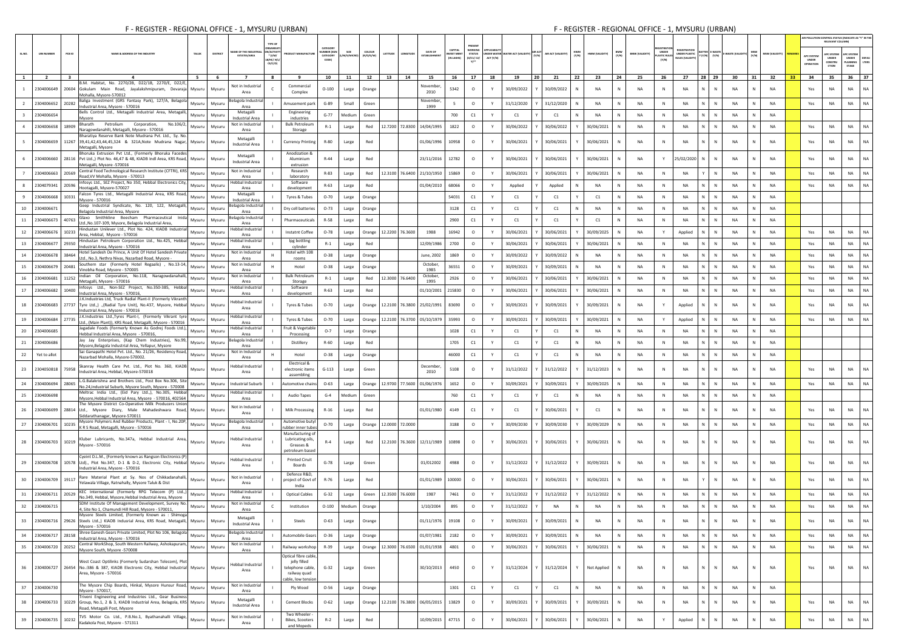|                         |                     |                         |                                                                                                                                                                             |               | <b>TYPE O</b>                                                                                          |                                                          |                                         |                    |                                   |                 |                             |                                   |                               |           |            |                                   |              |                                |                       |                               |                                                           |                                                                                                        |                           |              |                       |                                         | RELEVANT COLUMN)                              | IR POLLUTION CONTROL STATUS (INDICATE AS "Y" IN TH               |
|-------------------------|---------------------|-------------------------|-----------------------------------------------------------------------------------------------------------------------------------------------------------------------------|---------------|--------------------------------------------------------------------------------------------------------|----------------------------------------------------------|-----------------------------------------|--------------------|-----------------------------------|-----------------|-----------------------------|-----------------------------------|-------------------------------|-----------|------------|-----------------------------------|--------------|--------------------------------|-----------------------|-------------------------------|-----------------------------------------------------------|--------------------------------------------------------------------------------------------------------|---------------------------|--------------|-----------------------|-----------------------------------------|-----------------------------------------------|------------------------------------------------------------------|
|                         | <b>UIN NUMBER</b>   | PCB ID                  | <b>NAME &amp; ADDRESS OF THE INDUSTR</b><br>TALUR                                                                                                                           | DISTRICT      | ME OF THE INDUST<br><b>N/ACTIV</b><br>$^{\star}$ (i/M/<br><b>ESTATES/AREA</b><br>8/HC/ H/L<br>$CE/C/O$ |                                                          | CATEGOR<br>MBER DO<br>CATEGORY<br>CODE) | SIZE<br>/M/S/MICRI | coLour<br>ATITUDE<br>(R/O/G/W)    | NGITUD          | DATE OF<br><b>STABLISHI</b> | CAPITAL<br>VEST MEN<br>(IN LAKHS) | NORKING<br>STATU:<br>0/01/02/ | ACT (Y/N) |            | <b>UR ACT (VALIDITY)</b><br>(Y/N) | HWM<br>(Y/N) | BMW<br>(Y/N)<br>HWM (VALIDITY) | <b>BMW (VALIDITY)</b> | UNDER<br>ASTIC RULES<br>(Y/N) | <b>EGISTRATIO</b><br>NDER PLASTIC<br><b>ILES (VALIDIT</b> | $\label{eq:YN} \mathbf{Y}\left(\mathbf{Y}/\mathbf{N}\right) \qquad \left(\mathbf{Y}/\mathbf{N}\right)$ |                           | (Y/N)        | <b>MSW (VALIDITY)</b> | APC SYSTEM<br>UNDER<br><b>OPERATION</b> | PC SYSTEM<br>UNDER<br><b>CONSTRU</b><br>CTION | APC SYSTEM<br>UNDER<br>DEFAL<br>LTERS<br><b>LANNING</b><br>STAGE |
|                         | $\overline{2}$      | $\overline{\mathbf{3}}$ | 5                                                                                                                                                                           | - 6           | 8<br>$\overline{7}$                                                                                    | -9                                                       | 10                                      | 11                 | 12<br>13                          | 14              | 15                          | 16                                | 17                            | 18        | 19         | 21<br>20                          | 22           | 23<br>24                       | 25                    | - 26                          | 27                                                        | 28 29                                                                                                  | 30                        | 31           | 32 33                 | 34                                      | 35                                            | 36 37                                                            |
|                         | 2304006649          |                         | B.M. Habitat, No. 2270/2B, D22/1B, 2270/E, D22/<br>20604 Gokulam Main Road, Jayalakshmipuram, Devaraja<br>Mysuru                                                            | Mysuru        | Not in Industrial                                                                                      | Commercial                                               | $O-100$                                 | Large              | Orange                            |                 | November                    | 5342                              | $\circ$                       |           | 30/09/2022 | 30/09/2022                        | $\mathbb N$  | <b>NA</b><br>N                 | <b>NA</b>             | N                             | <b>NA</b>                                                 | N                                                                                                      | N<br><b>NA</b>            | N            | <b>NA</b>             | Yes                                     | NA                                            | NA<br>NA                                                         |
|                         |                     |                         | Mohalla, Mysore-570012<br>Baliga Investment (GRS Fantasy Park), 127/A, Belagola                                                                                             |               | Area<br>Belagola Industria                                                                             | Complex                                                  |                                         |                    |                                   |                 | 2010<br>November            |                                   |                               |           |            |                                   |              |                                |                       |                               |                                                           |                                                                                                        |                           |              |                       |                                         |                                               |                                                                  |
|                         | 2304006652          | 20282                   | Mysuru<br>Industrial Area, Mysore - 570016<br>Bells Control Ltd., Metagalli Industrial Area, Metagall                                                                       | Mysuru        | Area<br>Metagalli                                                                                      | Amusement par<br>Engineering                             | G-89                                    | Small              | Green                             |                 | 1999                        | - 5                               | $\circ$                       |           | 31/12/2020 | 31/12/2020                        | N            | N<br><b>NA</b>                 | <b>NA</b>             | N                             | NA                                                        | N                                                                                                      | N<br>NA                   | N            | <b>NA</b>             | Yes                                     | NA                                            | NA<br>NA                                                         |
| $\overline{\mathbf{3}}$ | 2304006654          |                         | Mysuru<br>Mysore<br>Bharath<br>Petrolium<br>Corporation,<br>No.106/                                                                                                         | Mysuru        | <b>Industrial Area</b><br>Not in Industrial                                                            | industries<br><b>Bulk Petroleum</b>                      | $G-77$                                  | Medium             | Green                             |                 |                             | 700                               | C1                            | Y         | C1         | C1                                | N            | NA<br>N                        | <b>NA</b>             | N                             | NA                                                        | N                                                                                                      | $\mathbb N$<br>NA         | N            | NA                    |                                         |                                               |                                                                  |
|                         | 2304006658          | 18909                   | Mysuru<br>Naragowdanahlli, Metagalli, Mysore - 570016                                                                                                                       | Mysuru        | Area                                                                                                   | Storage                                                  | $R-1$                                   | Large              | Red                               | 12.7200 72.8300 | 14/04/1995                  | 1822                              | $\circ$                       | Y         | 30/06/2022 | 30/06/2022                        |              | 30/06/2021<br>N                | NA                    | ${\sf N}$                     | NA                                                        | N                                                                                                      | ${\sf N}$<br>NA           | N            | NA                    | Yes                                     | NA                                            | <b>NA</b><br>NA                                                  |
|                         | 2304006659          |                         | Bharatiya Reserve Bank Note Mudrana Pvt. Ltd., Sy. No<br>11267 39,41,42,43,44,45,324 & 321A,Note Mudrana Nagar<br>Mysuru<br>Metagalli, Mysore                               | Mysuru        | Metagalli<br><b>Industrial Area</b>                                                                    | <b>Currency Printing</b>                                 | R-80                                    | Large              | Red                               |                 | 01/06/1996                  | 10958                             | $\circ$                       |           | 30/06/2021 | 30/06/2021                        |              | 30/06/2021<br>N                | <b>NA</b>             | N                             | <b>NA</b>                                                 | N                                                                                                      | ${\sf N}$<br>NA           |              | <b>NA</b>             | Yes                                     | <b>NA</b>                                     | NA.<br>NA                                                        |
|                         | 2304006660          |                         | Bhoruka Extrusion Pvt Ltd., (Formerly Bhoruka Facede<br>28116 Pvt Ltd.,) Plot No. 46,47 & 48, KIADB Indi Area, KRS Road,<br>Mysuru<br>Metagalli, Mysore -570016             | Mysuru        | Metagalli<br><b>Industrial Area</b>                                                                    | Anodization &<br>Aluminium<br>extrusion                  | $R - 44$                                | Large              | Red                               |                 | 23/11/2016                  | 12782                             | $\circ$                       |           | 30/06/2021 | 30/06/2021                        |              | 30/06/2021<br>N                | NA                    | Y                             | 25/02/2020                                                | N                                                                                                      | $\mathbb{N}$<br>NA        |              | <b>NA</b>             | Yes                                     | NA                                            | NA<br>NA                                                         |
| $\overline{7}$          | 2304006663 20569    |                         | Central Food Technological Research Institute (CFTRI), KRS<br>Mysuru<br>Road, VV Mohalla, Mysore - 570013                                                                   | Mysuru        | Not in Industria<br>Area                                                                               | Research<br>laboratory                                   | R-83                                    | Large              | Red                               |                 | 12.3100 76.6400 21/10/1950  | 15869                             | $\circ$                       | Y         | 30/06/2021 | 30/06/2021                        |              | 30/06/2021<br>N                | NA                    | N                             | <b>NA</b>                                                 | Y                                                                                                      | N<br>NA                   | N            | NA                    | Yes                                     | NA                                            | NA<br>NA                                                         |
| 8                       | 2304079341          | 20596                   | Infosys Ltd., SEZ Project, No 350, Hebbal Electronics City<br>Mysuru<br>Hootagalli, Mysore-570027                                                                           | Mysuru        | ebbal Industria<br>Area                                                                                | Software<br>developmer                                   | $R - 63$                                | Large              | Red                               |                 | 01/04/2010                  | 68066                             | $\circ$                       | Y         | Applied    | Applied                           |              | NA<br>N                        | NA                    | N                             | NA                                                        | N                                                                                                      | ${\sf N}$<br>NA           | N            | NA                    | Yes                                     | NA                                            | NA<br>NA                                                         |
| 9                       | 2304006668          | 10331                   | Falcon Tyres Ltd., Metagalli Industrial Area, KRS Road<br>Mysuru<br>Mysore - 570016                                                                                         | Mysuru        | Metagalli<br>Industrial Area                                                                           | <b>Tyres &amp; Tubes</b>                                 | $O-70$                                  | Large              | Orange                            |                 |                             | 54031                             | C1                            |           | C1         | C1                                |              | C1<br>N                        | <b>NA</b>             | N                             | NA                                                        | N                                                                                                      | $\mathbb N$<br><b>NA</b>  | N            | <b>NA</b>             |                                         |                                               |                                                                  |
| 10                      | 2304006671          |                         | Geep Industrial Syndicate, No. 120, 122, Metagall<br>Mysuru<br>Belagola Industrial Area, Mysore                                                                             | Mysuru        | Belagola Industria<br>Area                                                                             | Dry cell batteries                                       | $O-73$                                  | Large              | Orange                            |                 |                             | 3128                              | C1                            |           | C1         | C1                                | N            | <b>NA</b><br>N                 | <b>NA</b>             | $\mathbb N$                   | <b>NA</b>                                                 | N                                                                                                      | N<br><b>NA</b>            | N            | <b>NA</b>             |                                         |                                               |                                                                  |
| 11                      | 2304006673          | 40763                   | Glaxo Smithkline Beecham Pharmaceutical Inio<br>Mysuru                                                                                                                      | Mysuru        | lagola Industria                                                                                       | Pharmaceuticals                                          | R-58                                    | Large              | Red                               |                 |                             | 2900                              | C1                            |           | C1         | C1                                |              | C1<br>N                        | <b>NA</b>             | $\mathbb N$                   | NA                                                        | N                                                                                                      | $\mathbb{N}$<br><b>NA</b> | N            | <b>NA</b>             |                                         |                                               |                                                                  |
| 12                      | 2304006676          | 10233                   | Ltd., No.107-109, Mysore, Belagola Industrial Area,<br>Hindustan Unilever Ltd., Plot No. 424, KIADB Industria<br>Mysuru                                                     | Mysuru        | Area<br>lebbal Industria                                                                               | Instatnt Coffee                                          | $O-78$                                  | Large              | Orange                            | 12,2200 76,3600 | 1988                        | 16942                             | $\circ$                       | Y         | 30/06/2021 | 30/06/2021                        |              | 30/09/2025<br>N                | <b>NA</b>             | Y                             | Applied                                                   | N                                                                                                      | N<br>NA                   | N            | NA                    | Yes                                     | NA                                            | NA<br>NA                                                         |
| 13                      | 2304006677          | 29350                   | Area, Hebbal, Mysore - 570016<br>Hindustan Petroleum Corporation Ltd., No.425, Hebba<br>Mysuru                                                                              |               | Area<br>ebbal Industria                                                                                | lpg bottling                                             | $R-1$                                   |                    | Red                               |                 | 12/09/1986                  | 2700                              | $\circ$                       | Y         | 30/06/2021 | 30/06/2021                        |              | 30/06/2021                     | NA                    | ${\sf N}$                     | NA                                                        | N                                                                                                      | ${\sf N}$<br>NA           | N            | NA                    | Yes                                     | NA                                            | NA.<br>NA                                                        |
|                         |                     |                         | Industrial Area, Mysore - 570016<br>Hotel Sandesh De Prince, A Unit Of Hotel Sandesh Privat                                                                                 | Mysuru        | Area<br>Not in Industria                                                                               | cylinder<br>Hotel with 108                               |                                         | Large              |                                   |                 |                             |                                   |                               |           |            |                                   |              |                                |                       |                               |                                                           |                                                                                                        |                           |              |                       |                                         |                                               |                                                                  |
| 14                      | 2304006678          | 38464                   | Mysuru<br>Ltd., No.3. Nethra Nivas, Nazarbad Road, Mysore -<br>Southern star (Formerly Hotel Regaalis) , No.13-14                                                           | Mysuru        | Area<br>Not in Industrial                                                                              | rooms                                                    | $O-38$                                  | Large              | Orange                            |                 | June, 2002<br>October.      | 1869                              | $\circ$                       |           | 30/09/2022 | 30/09/2022                        |              | <b>NA</b>                      | <b>NA</b>             | $\mathbb{N}$                  | NA                                                        | N                                                                                                      | N<br><b>NA</b>            | N            | <b>NA</b>             | Yes                                     | <b>NA</b>                                     | NA<br><b>NA</b>                                                  |
| 15                      | 2304006679 20481    |                         | Mysuru<br>Vinobha Road, Mysore - 570005                                                                                                                                     | Mysuru        | Area                                                                                                   | Hotel                                                    | $O-38$                                  | Large              | Orange                            |                 | 1985                        | 36551                             | $\circ$                       |           | 30/09/2021 | 30/09/2021                        |              | <b>NA</b><br>N                 | <b>NA</b>             | $\mathbb N$                   | <b>NA</b>                                                 | N                                                                                                      | $\mathbb{N}$<br><b>NA</b> | N            | <b>NA</b>             | Yes                                     | <b>NA</b>                                     | NA<br><b>NA</b>                                                  |
| 16                      | 2304006681          | 11252                   | Indian Oil Corporation, No.118, Naragowdanahal<br>Mysuru<br>Metagalli, Mysore - 570016                                                                                      | Mysuru        | Not in Industria<br>Area                                                                               | <b>Bulk Petroleun</b><br>Storage                         | $R-1$                                   | Large              | Red                               | 12.3000 76.6400 | October<br>1995             | 2926                              | $\circ$                       |           | 30/06/2021 | 30/06/2021                        |              | 30/06/2021<br>N                | <b>NA</b>             | N                             | NA                                                        | N                                                                                                      | $\mathbb{N}$<br>NA        | N            | <b>NA</b>             | Yes                                     | NA                                            | NA<br>NA                                                         |
| 17                      | 2304006682          | 10400                   | Infosys Ltd., Non-SEZ Project, No.350-385, Hebba<br>Mysuru<br>Industrial Area, Mysore - 570016,                                                                             | Mysuru        | lebbal Industria<br>Area                                                                               | Software<br>development                                  | $R - 63$                                | Large              | Red                               |                 | 01/10/2001                  | 215830                            | $\circ$                       | Y         | 30/06/2021 | 30/06/2021                        |              | 30/06/2021<br>N                | NA                    | N                             | NA                                                        | N                                                                                                      | N<br>NA                   | N            | NA                    | Yes                                     | NA                                            | NA<br>NA                                                         |
|                         | 2304006683          |                         | J.K.Industries Ltd, Truck Radial Plant-II (Formerly Vikrant<br>27737 Tyre Ltd.,) .,(Radial Tyre Unit), No.437, Mysore, Hebbal<br>Mysuru<br>Industrial Area, Mysore - 570016 | Mysuru        | ebbal Industria<br>Area                                                                                | <b>Tyres &amp; Tubes</b>                                 | $O-70$                                  | Large              | Orange                            | 12.2100 76.3800 | 25/02/1991                  | 83690                             | $\circ$                       |           | 30/09/2021 | 30/09/2021                        |              | 30/09/2021                     | NA                    |                               | Applied                                                   |                                                                                                        | N<br>NA                   |              | NA                    | Yes                                     | NA                                            | NA.<br>NA                                                        |
| 19                      | 2304006684          | 27735                   | J.K.Industries Ltd., Tyres Plant-I, (Formerly Vikrant tyr<br>Mysuru                                                                                                         | Mysuru        | lebbal Industria<br>Area                                                                               | <b>Tyres &amp; Tubes</b>                                 | $O-70$                                  | Large              | Orange 12.2100 76.3700 05/10/1979 |                 |                             | 35993                             | $\circ$                       | Y         | 30/09/2021 | 30/09/2021                        |              | 30/09/2021<br>N                | <b>NA</b>             | Y                             | Applied                                                   | N                                                                                                      | NA<br>$\mathbb N$         | N            | <b>NA</b>             | Yes                                     | NA                                            | NA<br>NA                                                         |
| 20                      | 2304006685          |                         | Ltd., (Main Plant)), KRS Road, Metagalli, Mysore - 570016<br>Jagadale Foods (Formerly Known As Godrei Foods Ltd.<br>Mysuru                                                  | Mysuru        | lebbal Industrial                                                                                      | Fruit & Vegetabl                                         | $O-7$                                   | Large              | Orange                            |                 |                             | 1028                              | C1                            |           | C1         | C1                                |              | <b>NA</b>                      | NA                    | N                             | <b>NA</b>                                                 | N                                                                                                      | ${\sf N}$<br>NA           | N            | NA                    |                                         |                                               |                                                                  |
| 21                      | 230400668           |                         | Hebbal Industrial Area, Mysore - 570016<br>Jay Jay Enterprises, (Kap Chem Industries), No.99<br>Mysuru                                                                      | Mysuru        | Area<br>Belagola Industria                                                                             | Processing<br>Distillery                                 | $R-60$                                  | Large              | Red                               |                 |                             | 1705                              | C1                            |           | C1         | C1                                | N            | <b>NA</b><br>N                 | <b>NA</b>             | $\mathbb{N}$                  | <b>NA</b>                                                 | N                                                                                                      | $\mathbb{N}$<br><b>NA</b> | N            | <b>NA</b>             |                                         |                                               |                                                                  |
| 22                      | Yet to allot        |                         | Mysore, Belagola Industrial Area, Yellapur, Mysore<br>Sai Ganapathi Hotel Pvt. Ltd., No. 21/26, Residency Roac<br>Mysuru                                                    | Mysuru        | Area<br>Not in Industria                                                                               | Hotel                                                    | $O-38$                                  | Large              | Orange                            |                 |                             | 46000                             | C1                            | Y         | C1         | C1                                | N            | <b>NA</b><br>N                 | <b>NA</b>             | N                             | <b>NA</b>                                                 | N                                                                                                      | N<br><b>NA</b>            | N            | <b>NA</b>             |                                         |                                               |                                                                  |
|                         |                     |                         | Nazarbad Mohalla, Mysore-570002.                                                                                                                                            |               | Area                                                                                                   | Electrical &                                             |                                         |                    |                                   |                 |                             |                                   |                               |           |            |                                   |              |                                |                       |                               |                                                           |                                                                                                        |                           |              |                       |                                         |                                               |                                                                  |
| 23                      | 2304050818          | 75958                   | Skanray Health Care Pvt. Ltd., Plot No. 360, KIADE<br>Mysuru<br>Industrial Area, Hebbal, Mysore-570018<br>L.G.Balakrishna and Brothers Ltd., Post Box No.306, Sit           | Mysuru        | ebbal Industria<br>Area                                                                                | electronic items<br>assembling                           | $G-113$                                 | Large              | Green                             |                 | December<br>2010            | 5108                              | $\circ$                       |           | 31/12/2022 | 31/12/2022                        |              | 31/12/2023<br>N                | <b>NA</b>             | $\mathbb N$                   | NA                                                        | N                                                                                                      | $\mathbb{N}$<br>NA        | N            | <b>NA</b>             | Yes                                     | <b>NA</b>                                     | NA<br>NA                                                         |
| 24                      | 2304006694 28065    |                         | Mysuru<br>No.24, Industrial Suburb, Mysore South, Mysore - 570008                                                                                                           | Mysuru        | <b>Industrial Suburb</b>                                                                               | Automotive chains                                        | $O-63$                                  | Large              | Orange 12.9700 77.5600 01/06/1976 |                 |                             | 1652                              | $\circ$                       |           | 30/09/2021 | 30/09/2021                        |              | 30/09/2025                     | <b>NA</b>             | $\mathbb N$                   | <b>NA</b>                                                 | N                                                                                                      | $\mathbb{N}$<br><b>NA</b> | N            | <b>NA</b>             | Yes                                     | <b>NA</b>                                     | NA<br>NA                                                         |
| 25                      | 2304006698          |                         | Meltrac India Ltd., (Eid Pary Ltd.,), No.305, Hebba<br>Mysuru<br>Mysore, Hebbal Industrial Area, Mysore - 570016, 402564                                                    | Mysuru        | ebbal Industria<br>Area                                                                                | <b>Audio Tapes</b>                                       | $G-4$                                   | Medium             | Green                             |                 |                             | 760                               | C1                            |           | C1         | C1                                | N            | <b>NA</b><br>N                 | <b>NA</b>             | $\mathbb N$                   | NA                                                        | N                                                                                                      | N<br>NA                   | $\mathsf{N}$ | <b>NA</b>             |                                         |                                               |                                                                  |
| 26                      | 2304006699          |                         | The Mysore District Co-Operative Milk Producers Unio<br>28814 Ltd., Mysore Diary, Male Mahadeshwara Road,<br>Mysuru<br>Siddarathanagar, Mysore-570011                       | Mysuru        | Not in Industria<br>Area                                                                               | Milk Processing                                          | $R-16$                                  | Large              | Red                               |                 | 01/01/1980                  | 4149                              | C1                            |           | C1         | 30/06/2021                        |              | C1<br>N                        | <b>NA</b>             | N                             | <b>NA</b>                                                 | N                                                                                                      | $\mathbb N$<br><b>NA</b>  | N            | <b>NA</b>             | Yes                                     | <b>NA</b>                                     | NA<br><b>NA</b>                                                  |
| 27                      | 2304006701 10235    |                         | Mysore Polymers And Rubber Products, Plant - I, No.201<br>Mysuru<br>K R S Road, Metagalli, Mysore - 570016                                                                  | Mysuru        | Belagola Industria<br>Area                                                                             | Automotive butyl<br>rubber inner tubes                   | $O-70$                                  | Large              | Orange 12.0000 72.0000            |                 |                             | 3188                              | $\circ$                       |           | 30/09/2030 | 30/09/2030                        |              | 30/09/2029<br>N                | NA                    | N                             | NA                                                        | N                                                                                                      | ${\sf N}$<br>NA           | N            | NA                    | Yes                                     | NA                                            | NA<br>NA                                                         |
| 28                      | 2304006703 10219    |                         | Kluber Lubricants, No.347a, Hebbal Industrial Area<br>Mysuru<br>Mysore - 570016                                                                                             | Mysuru        | ebbal Industria<br>Area                                                                                | Manufacturing of<br>Lubricating oils,<br>Greases &       | $R-4$                                   | Large              | Red                               |                 | 12.2100 76.3600 12/11/1989  | 10898                             | $\circ$                       |           | 30/06/2021 | 30/06/2021                        |              | 30/06/2021                     | <b>NA</b>             | N                             | <b>NA</b>                                                 | N                                                                                                      | N<br><b>NA</b>            |              | <b>NA</b>             | Yes                                     | <b>NA</b>                                     | <b>NA</b><br><b>NA</b>                                           |
|                         |                     |                         | Cyeint D.L.M., (Formerly known as Rangson Electronics (I                                                                                                                    |               | lebbal Industrial                                                                                      | etroleum base                                            |                                         |                    |                                   |                 |                             |                                   |                               |           |            |                                   |              |                                |                       |                               |                                                           |                                                                                                        |                           |              |                       |                                         |                                               |                                                                  |
| 29                      |                     |                         | 2304006708 10578 Ltd)., Plot No.347, D-1 & D-2, Electronic City, Hebbal Mysuru<br>Industrial Area, Mysore - 570016                                                          | Mysuru        | Area                                                                                                   | <b>Printed Ciruit</b><br>Boards<br>Defence R&D,          | $G-78$                                  | Large              | Green                             |                 | 01/012002                   | 4988                              | $\circ$                       |           | 31/12/2022 | 31/12/2022                        |              | 30/09/2021<br>N                | <b>NA</b>             | N                             | <b>NA</b>                                                 |                                                                                                        | $\mathsf{N}$<br><b>NA</b> |              | <b>NA</b>             | Yes                                     | <b>NA</b>                                     | <b>NA</b><br><b>NA</b>                                           |
| 30                      | 2304006709          | 19117                   | Rare Material Plant at Sy. Nos of Chikkadanahal<br>Mysuru<br>Yelawala Village, Ratnahally, Mysore Taluk & Dist                                                              | Mysuru        | Not in Industrial<br>Area                                                                              | project of Govt of<br>India                              | R-76                                    | Large              | Red                               |                 | 01/01/1989                  | 100000                            | $\circ$                       |           | 30/06/2021 | 30/06/2021                        |              | 30/06/2021                     | NA                    | N                             | <b>NA</b>                                                 |                                                                                                        | ${\sf N}$<br>NA           |              | NA                    | Yes                                     | NA                                            | NA.<br>NA                                                        |
| 31                      | 2304006711          | 20529                   | KEC International (Formerly RPG Telecom (P) Ltd.<br>Mysuru<br>No.349. Hebbal. Mysore.Hebbal Industrial Area. Mysore                                                         | Mysuru        | Hebbal Industria<br>Area                                                                               | <b>Optical Cables</b>                                    | $G-32$                                  | Large              | Green                             | 12.3500 76.6000 | 1987                        | 7461                              | $\circ$                       |           | 31/12/2022 | 31/12/2022                        |              | 31/12/2022<br>N                | NA                    | N                             | <b>NA</b>                                                 | N                                                                                                      | $\mathbb N$<br>NA         | N            | NA                    | Yes                                     | NA                                            | NA<br>NA                                                         |
| 32                      | 2304006715          |                         | SDM Institute Of Management Development, Survey No<br>Mysuru<br>4, Site No 1, Chamundi Hill Road, Mysore - 570011,                                                          | Mysuru        | Not in Industria<br>Area                                                                               | Institution                                              | $O-100$                                 | Medium             | Orange                            |                 | 1/10/2004                   | 895                               | $\circ$                       |           | 31/12/2022 | NA                                |              | <b>NA</b>                      | NA                    |                               | <b>NA</b>                                                 | N                                                                                                      | ${\sf N}$<br>NA           |              | NA                    | Yes                                     | NA                                            | NA<br>NA                                                         |
|                         |                     |                         | Mysore Steels Limited, (Formerly Known as : Shimoga                                                                                                                         |               | Metagalli                                                                                              |                                                          |                                         |                    |                                   |                 |                             |                                   |                               |           |            |                                   |              |                                |                       |                               |                                                           |                                                                                                        |                           |              |                       |                                         |                                               |                                                                  |
|                         |                     |                         | 33 2304006716 29626 Steels Ltd.,) KIADB Indusrial Area, KRS Road, Metagalli, Mysuru<br>Mysore - 570016                                                                      | Mysuru        | Industrial Area                                                                                        | Steels                                                   | $O - 63$                                | Large              | Orange                            |                 | 01/11/1976 19108            |                                   | $\circ$                       |           | 30/09/2021 | Y 30/09/2021                      | $\mathbb{N}$ |                                | <b>NA</b>             |                               | NΑ                                                        |                                                                                                        | ${\sf N}$                 |              |                       | Yes                                     | <b>NA</b>                                     | <b>NA</b><br>NA                                                  |
| 34                      | 2304006717 28158    |                         | Shree Ganesh Gears Private Limited, Plot No 106, Belagola<br>Mysuru<br>ndustrial Area, Mysore - 570016                                                                      | Mysuru        | Belagola Industrial<br>Area                                                                            | Automobile Gears                                         | $O-36$                                  | Large              | Orange                            |                 | 01/07/1981                  | 2182                              | $\circ$                       | Y         | 30/09/2021 | 30/09/2021                        | N            | NA<br>N                        | NA                    | $\mathbb N$                   | <b>NA</b>                                                 | $\mathbb{N}$                                                                                           | $\mathbb N$<br>NA         | N            | NA                    | Yes                                     | NA                                            | NA<br><b>NA</b>                                                  |
|                         | 35 2304006720 20252 |                         | Central WorkShop, South Western Railway, Ashokapuram<br>Mysore South, Mysore -570008                                                                                        | Mysuru Mysuru | Not in Industrial<br>Area                                                                              | Railway workshop                                         | R-39                                    | Large              | Orange 12.3000 76.6500 01/01/1938 |                 |                             | 4801                              | $\circ$                       | Y         | 30/06/2021 | 30/06/2021                        | Y            | 30/06/2021<br>N                | <b>NA</b>             | N                             | <b>NA</b>                                                 | $\mathsf{N}^-$                                                                                         | $\mathbb N$<br>NA         | N            | NA                    | Yes                                     | NA                                            | <b>NA</b><br>NA                                                  |
| 36                      |                     |                         | West Coast Optilinks (Formerly Sudarshan Telecom), Plo<br>2304006727 26454 No.:386 & 387, KIADB Electronic City, Hebbal Industrial Mysuru                                   | Mysuru        | Hebbal Industrial                                                                                      | Optical fibre cable,<br>jelly filled<br>telephone cable, | $G - 32$                                | Large              | Green                             |                 | 30/10/2013                  | 4450                              | $\circ$                       | Y         | 31/12/2024 | 31/12/2024                        | Y            | Not Applied<br>N               | NA                    | $\mathbb N$                   | <b>NA</b>                                                 | $\mathbb{N}$                                                                                           | N<br>NA                   | N            | NA                    | Yes                                     | NA                                            | NA<br><b>NA</b>                                                  |
|                         |                     |                         | Area, Mysore - 570016                                                                                                                                                       |               | Area                                                                                                   | railway quad<br>cable, low tensior                       |                                         |                    |                                   |                 |                             |                                   |                               |           |            |                                   |              |                                |                       |                               |                                                           |                                                                                                        |                           |              |                       |                                         |                                               |                                                                  |
| 37                      | 2304006730          |                         | The Mysore Chip Boards, Hinkal, Mysore Hunsur Road<br>Mysuru<br>Mysore - 570017.                                                                                            | Mysuru        | Not in Industrial<br>Area                                                                              | Ply Wood                                                 | $O - 56$                                | Large              | Orange                            |                 |                             | 1301                              | C1                            | Y         | C1         | C1                                | N            | <b>NA</b><br>N                 | NA                    | N                             | NA                                                        | N                                                                                                      | N<br><b>NA</b>            | N            | NA                    |                                         |                                               |                                                                  |
| 38                      |                     |                         | Triveni Engineering and Industries Ltd., Gear Busines<br>2304006733 10229 Group, No.1, 2 & 3, KIADB Industrial Area, Belagola, KRS Mysuru<br>Road, Metagalli Post, Mysore   | Mysuru        | Metagalli<br>Industrial Area                                                                           | <b>Cement Blocks</b>                                     | $O - 62$                                | Large              | Orange 12.2100 76.3800 06/05/2015 |                 |                             | 13829                             | $\circ$                       |           | 30/09/2021 | 30/09/2021                        |              | 30/09/2021<br>N                | <b>NA</b>             | N                             | NA                                                        | N                                                                                                      | $\mathbb N$<br><b>NA</b>  | N            | NA                    | Yes                                     | <b>NA</b>                                     | NA<br><b>NA</b>                                                  |
| 39                      | 2304006735          | 10232                   | TVS Motor Co. Ltd., P.B.No.1, Byathanahalli Village<br>Mysuru<br>Kadakola Post, Mysore - 571311                                                                             | Mysuru        | Not in Industrial<br>Area                                                                              | Two Wheeler<br>Bikes, Scooters<br>and Mopeds             | $R-2$                                   | Large              | Red                               |                 | 10/09/2015                  | 47715                             | $\circ$                       |           | 30/06/2021 | 30/06/2021                        | Y            | 30/06/2021<br>N                | NA                    | Y                             | Applied                                                   | N                                                                                                      | ${\sf N}$<br>NA           | ${\sf N}$    | NA                    | Yes                                     | NA                                            | NA<br>NA                                                         |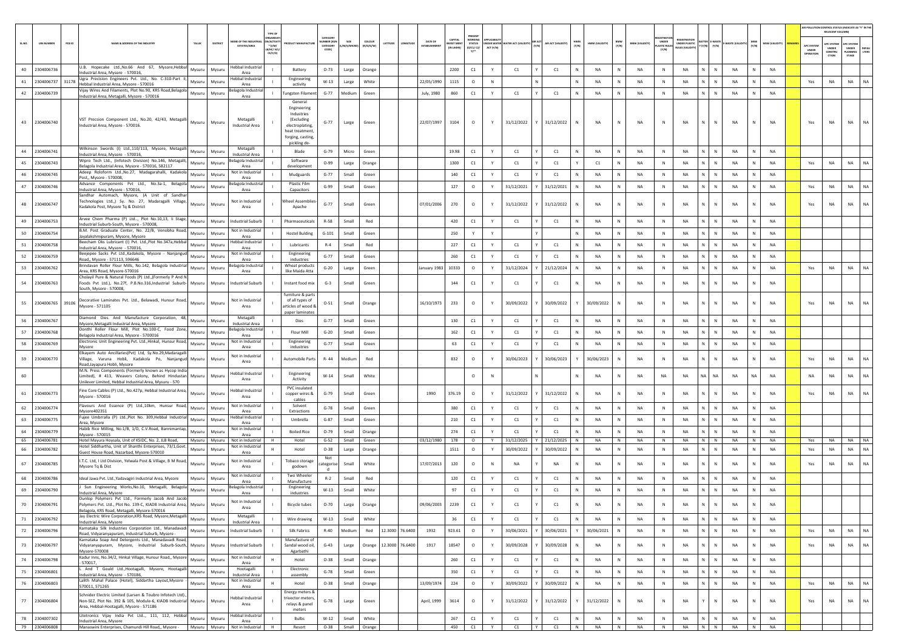|        |                   |                                                                                                                                                                                                    |        |          |                                     |                                                            |                                                                                                                 |                                         |                   |                                      |                 |              |                            |                                                  |           |                                  |       |                    |              |                |              |                       |                                  |                                            |                                |             |              |                |                     | <b>NR POLLUTION CONTROL STATUS (INDICATE AS "Y" IN T</b><br>RELEVANT COLUMN |                                        |           |
|--------|-------------------|----------------------------------------------------------------------------------------------------------------------------------------------------------------------------------------------------|--------|----------|-------------------------------------|------------------------------------------------------------|-----------------------------------------------------------------------------------------------------------------|-----------------------------------------|-------------------|--------------------------------------|-----------------|--------------|----------------------------|--------------------------------------------------|-----------|----------------------------------|-------|--------------------|--------------|----------------|--------------|-----------------------|----------------------------------|--------------------------------------------|--------------------------------|-------------|--------------|----------------|---------------------|-----------------------------------------------------------------------------|----------------------------------------|-----------|
| SL.NO. | <b>UIN NUMBER</b> | PCB ID<br>NAME & ADDRESS OF THE INDUSTR'                                                                                                                                                           | TALUK  | DISTRICT | ME OF THE INDUST                    | TYPE OF<br>N/ACTIVIT<br>$*$ (i/M/<br>LB/HC/ H/L<br>CE/C/OI | <b>OUCT MANUFACTU</b>                                                                                           | CATEGOR<br>MBER (XG<br>CATEGOR<br>CODE) | SIZE<br>/S/Mb     | <b>COLOUR</b><br>ATITUD<br>(R/O/G/W) | NGITUD          | DATE OF      | CAPITAL<br><b>VEST MEN</b> | <b>STATUS</b><br>(0/C1/ C2/<br>$Y$ <sup>++</sup> | ACT (Y/N) | INDER WATER WATER ACT IVALIDITY) | (V/N) | AIR ACT (VALIDITY) | HWM<br>(Y/N) | HWM (VALIDITY) | BMW<br>(Y/N) | <b>BMW (VALIDITY)</b> | UNDER<br><b>STIC RU</b><br>(Y/N) | <b>EGISTRATION</b><br><b>UNDER PLASTIC</b> | E-WAST<br>(Y/N)<br>(Y/N)       | WASTE (VALI | (Y/N)        | MSW (VALIDITY) | APC SYSTEM<br>UNDER | UNDER<br>CONSTRU<br>crion                                                   | PC SYSTEM<br>UNDER<br>LANNING<br>STAGE | LTERS     |
| 40     | 2304006736        | U.B. Hopecake Ltd., No.66 And 67, Mysore, Hebbal                                                                                                                                                   | Mysuru | Mysuru   | lebbal Industria                    |                                                            | Battery                                                                                                         | $O-73$                                  | Large             | Orange                               |                 |              | 2200                       | C1                                               | Y         | C1                               |       | C1                 | N            | <b>NA</b>      | N            | NA                    | N                                | NA                                         | N<br>N                         | NA          | N            | <b>NA</b>      |                     |                                                                             |                                        |           |
| 41     | 2304006737        | Industrial Area, Mysore - 570016,<br>Ugra Precision Engineers Pvt. Ltd., No. C-310-Part II<br>31178                                                                                                | Mysuru | Mysuru   | Area<br>lebbal Industrial           |                                                            | Engineering                                                                                                     | $W-13$                                  | Large             | White                                |                 | 22/05/1990   | 1115                       | $\circ$                                          | ${\sf N}$ |                                  |       |                    |              | <b>NA</b>      | ${\sf N}$    | NA                    | N                                | NA                                         | N.<br>N                        | NA          | N            | <b>NA</b>      | Yes                 | NA                                                                          | NA                                     | <b>NA</b> |
| 42     | 2304006739        | Hebbal Industrial Area, Mysore - 570016<br>Vijay Wires And Filaments, Plot No.90, KRS Road, Belagola                                                                                               | Mysuru | Mysuru   | Area<br>elagola Industria           |                                                            | activity<br>ungsten Filamen                                                                                     | $G-77$                                  | Medium            | Green                                |                 | July, 1980   | 860                        | C1                                               | Y         | C1                               |       | C1                 | N            | <b>NA</b>      | N            | <b>NA</b>             | $\mathbb N$                      | <b>NA</b>                                  | N<br>$\mathbb{N}$              | NA          | N            | <b>NA</b>      |                     |                                                                             |                                        |           |
|        |                   | ndustrial Area, Metagalli, Mysore - 570016                                                                                                                                                         |        |          | Area                                |                                                            | General                                                                                                         |                                         |                   |                                      |                 |              |                            |                                                  |           |                                  |       |                    |              |                |              |                       |                                  |                                            |                                |             |              |                |                     |                                                                             |                                        |           |
|        | 43 2304006740     | VST Precsion Component Ltd., No.20, 42/43, Metagalli<br>Industrial Area, Mysore - 570016.                                                                                                          | Mysuru | Mysuru   | Metagalli<br><b>Industrial Area</b> |                                                            | Engineering<br>Industries<br>(Excluding<br>electroplating<br>heat treatment<br>forging, casting<br>pickling de- | $G-77$                                  | Large             | Green                                |                 | 22/07/1997   | 3104                       | $\circ$                                          | Y         | 31/12/2022                       |       | 31/12/2022         |              | <b>NA</b>      | N            | <b>NA</b>             |                                  | NA                                         | N<br>$\mathbb{N}$              | NA          |              | <b>NA</b>      | Yes                 | <b>NA</b>                                                                   | <b>NA</b>                              | <b>NA</b> |
| 44     | 2304006741        | Wilkinson Swords (I) Ltd.,110/113, Mysore, Metagalli<br>Industrial Area, Mysore - 570016,                                                                                                          | Mysuru | Mysuru   | Metagalli<br><b>Industrial Area</b> |                                                            | Blade                                                                                                           | $G-79$                                  | Micro             | Green                                |                 |              | 19.98                      | C1                                               | Y         | C1                               |       | C1                 | N            | <b>NA</b>      | N            | NA                    | $\mathbb{N}$                     | NA                                         | N<br>$\mathbb{N}$              | NA          | N            | <b>NA</b>      |                     |                                                                             |                                        |           |
| 45     | 2304006743        | Wipro Tech Ltd., (Infotech Division) No.146, Metagalli,<br>Belagola Industrial Area, Mysore - 570016, 582117                                                                                       | Mysuru | Mysuru   | elagola Industrial                  |                                                            | Software                                                                                                        | $O-99$                                  | Large             | Orange                               |                 |              | 1300                       | C1                                               | Y         | C1                               |       | C1                 |              | C1             | N            | <b>NA</b>             | $\mathbb N$                      | <b>NA</b>                                  | $\mathbb{N}$<br>N              | NA          | N            | <b>NA</b>      | Yes                 | NA                                                                          | <b>NA</b>                              | <b>NA</b> |
| 46     | 2304006745        | Adeep Roloform Ltd., No.27, Madagarahalli, Kadakola                                                                                                                                                | Mysuru | Mysuru   | Area<br>Not in Industria            |                                                            | development<br>Mudguards                                                                                        | $G - 77$                                | Small             | Green                                |                 |              | 140                        | C1                                               |           | C1                               |       | C1                 |              | NA             | N            | <b>NA</b>             | N                                | NA                                         | N<br>N                         | <b>NA</b>   | N            | NA             |                     |                                                                             |                                        |           |
| 47     | 2304006746        | Post., Mysore - 570008.<br>Advance Components Pvt Ltd., No.3a-1, Belagola                                                                                                                          | Mysuru | Mysuru   | Area<br>lagola Industri             |                                                            | Plastic Film                                                                                                    | $G-99$                                  | Small             | Green                                |                 |              | 127                        | $\circ$                                          | Y         | 31/12/2021                       |       | 31/12/2021         | N            | NA             | N            | NA                    | N                                | NA                                         | N<br>N                         | NA          | N            | NA             | Yes                 | NA                                                                          | <b>NA</b>                              | <b>NA</b> |
|        |                   | Industrial Area, Mysore - 570016,<br>Sandhar Automach, Mysore, (A Unit of Sandha                                                                                                                   |        |          | Area                                |                                                            | Capacitors                                                                                                      |                                         |                   |                                      |                 |              |                            |                                                  |           |                                  |       |                    |              |                |              |                       |                                  |                                            |                                |             |              |                |                     |                                                                             |                                        |           |
| 48     | 2304006747        | Technologies Ltd.,) Sy. No. 27, Madaragalli Village,<br>Kadakola Post, Mysore Tq & District                                                                                                        | Mysuru | Mysuru   | Not in Industrial<br>Area           |                                                            | heel Assemblie<br>Apache                                                                                        | $G-77$                                  | Small             | Green                                |                 | 07/01/2006   | 270                        | $\circ$                                          | Y         | 31/12/2022                       |       | 31/12/2022         |              | NA             | N            | <b>NA</b>             | N                                | <b>NA</b>                                  | N.<br>N                        | NA          |              | NA             | Yes                 | NA                                                                          | <b>NA</b>                              | <b>NA</b> |
| 49     | 2304006753        | Arvee Chem Pharma (P) Ltd, Plot No.10,13, Ii Stage,<br>Industrial Suburb-South, Mysore - 570008,                                                                                                   | Mysuru | Mysuru   | <b>Industrial Suburb</b>            |                                                            | Pharmaceuticals                                                                                                 | R-58                                    | Small             | Red                                  |                 |              | 420                        | C1                                               | Y         | C1                               |       | C1                 |              | <b>NA</b>      | N            | <b>NA</b>             | $\mathbb N$                      | <b>NA</b>                                  | N<br>N                         | <b>NA</b>   | N            | <b>NA</b>      |                     |                                                                             |                                        |           |
| 50     | 2304006754        | B.M. Post Graduate Center, No. 22/B, Venobha Road<br>Jayalakshmipuram, Mysore, Mysore                                                                                                              | Mysuru | Mysuru   | Not in Industria<br>Area            |                                                            | <b>Hostel Bulding</b>                                                                                           | $G-101$                                 | Small             | Green                                |                 |              | 250                        | Y                                                |           |                                  |       |                    |              | NA             | N            | <b>NA</b>             | <b>N</b>                         | NA                                         | N.<br>N                        | NA          | $\mathbf{N}$ | NA             |                     |                                                                             |                                        |           |
| 51     | 2304006758        | Beecham Oks Lubricant (I) Pvt. Ltd., Plot No.347a, Hebbal<br>Industrial Area, Mysore - 570016,                                                                                                     | Mysuru | Mysuru   | lebbal Industria<br>Area            |                                                            | Lubricants                                                                                                      | $R-4$                                   | Small             | Red                                  |                 |              | 227                        | C1                                               | Y         | C1                               |       | C1                 | N            | <b>NA</b>      | N            | <b>NA</b>             | N                                | NA                                         | N<br>N                         | NA          | N            | <b>NA</b>      |                     |                                                                             |                                        |           |
| 52     | 2304006759        | Beejepee Sacks Pyt Ltd., Kadakola, Mysore - Nanjanguo<br>Road,, Mysore - 571113, 596646                                                                                                            | Mysuru | Mysuru   | Not in Industrial<br>Area           |                                                            | Engineering<br>industries                                                                                       | $G-77$                                  | Small             | Green                                |                 |              | 260                        | C1                                               | Y         | C1                               |       | C1                 |              | NA             | N            | NA                    | N                                | NA                                         | N<br>N                         | NA          |              | <b>NA</b>      |                     |                                                                             |                                        |           |
| 53     | 2304006762        | Brindavan Roller Flour Mills, No.142, Belagola Industria<br>Area, KRS Road, Mysore-570016                                                                                                          | Mysuru | Mysuru   | lagola Industria<br>Area            |                                                            | Wheat product:<br>like Maida Atta                                                                               | $G-20$                                  | Large             | Green                                |                 | January 1983 | 10333                      | $\circ$                                          | Y         | 31/12/2024                       |       | 21/12/2024         |              | <b>NA</b>      | N            | <b>NA</b>             | $\mathbb{N}$                     | <b>NA</b>                                  | $\mathsf{N}$<br>N              | <b>NA</b>   | N            | <b>NA</b>      | Yes                 | <b>NA</b>                                                                   | NA                                     | <b>NA</b> |
| 54     | 2304006763        | Cholayil Pure & Natural Foods (P) Ltd., (Formerly P And N<br>Foods Pvt Ltd.), No.27f, P.B.No.316,Industrial Suburb- Mysuru<br>South, Mysore - 570008,                                              |        | Mysuru   | <b>Industrial Suburb</b>            |                                                            | Instant food mix                                                                                                | $G-3$                                   | Small             | Green                                |                 |              | 144                        | C1                                               |           | C1                               |       | C1                 |              | <b>NA</b>      | N            | <b>NA</b>             | $\mathsf{N}$                     | <b>NA</b>                                  | N                              | NA          |              | <b>NA</b>      |                     |                                                                             |                                        |           |
| 55     | 2304006765        | Decorative Laminates Pvt. Ltd., Belawadi, Hunsur Road,<br>39106<br>Mysore - 571105                                                                                                                 | Mysuru | Mysuru   | Not in Industria<br>Area            |                                                            | furniture & parts<br>of all types of<br>articles of wood &<br>paper laminate:                                   | $O - 51$                                | Small             | Orange                               |                 | 16/10/1973   | 233                        | $\circ$                                          | Y         | 30/09/2022                       |       | 30/09/2022         |              | 30/09/2022     | N            | <b>NA</b>             | N                                | NA                                         | N<br>N                         | NA          | N            | <b>NA</b>      | Yes                 | NA                                                                          | <b>NA</b>                              | <b>NA</b> |
| 56     | 2304006767        | Diamond Dies And Manufacture Corporation, 48,<br>Mysore, Metagalli Industrial Area, Mysore                                                                                                         | Mysuru | Mysuru   | Metagalli<br><b>Industrial Area</b> |                                                            | Dies                                                                                                            | $G - 77$                                | Small             | Green                                |                 |              | 130                        | C1                                               |           | C1                               |       | C1                 |              | <b>NA</b>      | N            | <b>NA</b>             | N                                | NA                                         | N                              | <b>NA</b>   | $\mathbf{N}$ | NA             |                     |                                                                             |                                        |           |
| 57     | 2304006768        | Donthi Roller Flour Mill, Plot No.100-C, Food Zone,                                                                                                                                                | Mysuru | Mysuru   | lagola Industria<br>Area            |                                                            | Flour Mill                                                                                                      | $G-20$                                  | Small             | Green                                |                 |              | 162                        | C1                                               | Y         | C1                               |       | C1                 | N            | <b>NA</b>      | N            | NA                    | $\mathbb{N}$                     | NA                                         | N<br>N                         | <b>NA</b>   | N            | <b>NA</b>      |                     |                                                                             |                                        |           |
| 58     | 2304006769        | Belagola Industrial Area, Mysore - 5700016<br>Electronic Unit Engineering Pvt. Ltd., Hinkal, Hunsur Road,                                                                                          | Mysuru | Mysuru   | Not in Industria                    |                                                            | Engineering                                                                                                     | $G-77$                                  | Small             | Green                                |                 |              | 63                         | C1                                               |           | C1                               |       | C1                 |              | <b>NA</b>      | N            | NA                    | N                                | NA                                         | N<br>N                         | <b>NA</b>   | N            | NA             |                     |                                                                             |                                        |           |
| 59     | 2304006770        | Mysore<br>Elkayem Auto Ancillaries(Pvt) Ltd, Sy.No.29,Madaragall<br>Village, Varuna Hobli, Kadakola Po, Nanjangud Mysuru                                                                           |        | Mysuru   | Area<br>Not in Industria<br>Area    |                                                            | industries<br>Automobile Parts                                                                                  | R-44                                    | Medium            | Red                                  |                 |              | 832                        | $\circ$                                          |           | 30/06/2023                       |       | 30/06/2023         |              | 30/06/2023     | N            | <b>NA</b>             | N                                | NA                                         | N<br>N                         | <b>NA</b>   | $\mathbb N$  | NA             | Yes                 | NA                                                                          | NA                                     | NA        |
| 60     |                   | Road, Jayapura Hobli, Mysore<br>M.N. Press Components (Formerly known as Hycop India<br>imited), # 413, Weavers Colony, Behind Hindustan<br>Unilever Limited, Hebbal Industrial Area, Mysuru - 570 | Mysuru | Mysuru   | lebbal Industria<br>Area            |                                                            | Engineering<br>Activity                                                                                         | $W-14$                                  | Small             | White                                |                 |              |                            | $\circ$                                          | N         |                                  |       |                    |              | NA             | N            | NA                    | NA                               | NA                                         | NA.<br>NA                      | NA          | <b>NA</b>    | NA             | NA                  | NA                                                                          | NA                                     | NA        |
| 61     | 2304006773        | Fine Core Cables (P) Ltd., No.427p, Hebbal Industrial Area,<br>Mysore - 570016                                                                                                                     | Mysuru | Mysuru   | lebbal Industria<br>Area            |                                                            | PVC insulated<br>copper wires &<br>cables                                                                       | $G-79$                                  | Small             | Green                                |                 | 1990         | 376.19                     | $\circ$                                          | Y         | 31/12/2022                       |       | 31/12/2022         | N            | <b>NA</b>      | N            | <b>NA</b>             | N                                | <b>NA</b>                                  | $\mathbb{N}$<br>N              | <b>NA</b>   | <b>N</b>     | <b>NA</b>      | Yes                 | NA                                                                          | <b>NA</b>                              | <b>NA</b> |
| 62     | 2304006774        | Flavours And Essence (P) Ltd.,10km, Hunsur Road,<br>Mysore402351                                                                                                                                   | Mysuru | Mysuru   | Not in Industria<br>Area            |                                                            | Solvent<br>Extractions                                                                                          | $G-78$                                  | Small             | Green                                |                 |              | 380                        | C1                                               |           | C1                               |       | C1                 |              | NA             | N            | <b>NA</b>             | N                                | NA                                         | N<br>N                         | NA          | N            | NA             |                     |                                                                             |                                        |           |
| 63     | 2304006775        | Fujee Umbrralla (P) Ltd., Plot No. 309, Hebbal Industria<br>Area, Mysore                                                                                                                           | Mysuru | Mysuru   | lebbal Industria<br>Area            |                                                            | Umbrella                                                                                                        | G-87                                    | Small             | Green                                |                 |              | 210                        | C1                                               | Y         | C1                               |       | C1                 | N            | <b>NA</b>      | N            | NA                    | N                                | NA                                         | $\mathsf{N}^-$<br>$\mathsf{N}$ | NA          | N            | NA             |                     |                                                                             |                                        |           |
| 64     | 2304006779        | Habib Rice Milling, No.1/B, 1/D, C.V.Road, Bannimantap,                                                                                                                                            | Mysuru | Mysuru   | Not in Industrial                   |                                                            | <b>Boiled Rice</b>                                                                                              | $O-79$                                  | Small             | Orange                               |                 |              | 274                        | C1                                               | Y         | C1                               |       | C1                 |              | NA             | N            | NA                    | N                                | NA                                         | N<br>N                         | <b>NA</b>   |              | NA             |                     |                                                                             |                                        |           |
| 65     | 2304006781        | Mysore - 570015<br>Hotel Mayura Hoysala, Unit of KSIDC, No. 2, JLB Road,                                                                                                                           | Mysuru | Mysuru   | Area<br>Not in Industrial           | <b>H</b>                                                   | Hotel                                                                                                           | $G-52$                                  | Small             | Green                                |                 | 03/12/1980   | 178                        | $\circ$                                          | Y         | 31/12/2025                       |       | Y 21/12/2025       | N            | <b>NA</b>      | N            | <b>NA</b>             | N                                | <b>NA</b>                                  | N N                            | <b>NA</b>   | N            | <b>NA</b>      | Yes                 | <b>NA</b>                                                                   | NA NA                                  |           |
| 66     | 2304006782        | Hotel Siddhartha, Unit of Shanthi Enterprises, 73/1, Govt.<br>Guest House Road, Nazarbad, Mysore-570010                                                                                            | Mysuru | Mysuru   | Not in Industrial<br>Area           |                                                            | Hote                                                                                                            | $O-38$                                  | Large             | Orange                               |                 |              | 1511                       | $\circ$                                          | Y         | 30/09/2022                       |       | 30/09/2022         |              | <b>NA</b>      | N            | NA                    | N                                | NA                                         | ${\sf N}$<br>N                 | NA          | N            | NA             | Yes                 | NA                                                                          | NA                                     | NA        |
| 67     | 2304006785        | I.T.C. Ltd, I Ltd Division, Yelwala Post & Village, B M Road,<br>Mysore Tq & Dist                                                                                                                  | Mysuru | Mysuru   | Not in Industria<br>Area            |                                                            | <b>Tobaco storage</b><br>godown                                                                                 | Not<br>tegori:                          | Small             | White                                |                 | 17/07/2013   | 120                        | $\circ$                                          | N         | NA                               |       | NA                 |              | NA             | N            | NA                    | N                                | <b>NA</b>                                  | N<br>N                         | <b>NA</b>   |              | NA             | Yes                 | NA                                                                          | <b>NA</b>                              | NA        |
| 68     | 2304006786        | Ideal Jawa Pvt. Ltd., Yadavagiri Industrial Area, Mysore                                                                                                                                           | Mysuru | Mysuru   | Not in Industria<br>Area            |                                                            | Two Wheeler<br>Manufacture                                                                                      | $R-2$                                   | Small             | Red                                  |                 |              | 120                        | C1                                               | Y         | C1                               |       | C1                 | N            | NA             | N            | NA                    | N                                | NA                                         | N<br>N                         | NA          | N            | NA             |                     |                                                                             |                                        |           |
| 69     | 2304006790        | Sun Engineering Works, No.10, Metagalli, Belagola<br>ndustrial Area, Mysore                                                                                                                        | Mysuru | Mysuru   | lagola Industria<br>Area            |                                                            | Engineering<br>industries                                                                                       | $W-13$                                  | Small             | White                                |                 |              | 97                         | C1                                               | Y         | C1                               |       | C1                 |              | <b>NA</b>      | N            | NA                    | N                                | NA                                         | ${\sf N}$                      | NA          |              | NA             |                     |                                                                             |                                        |           |
| 70     | 2304006791        | Dunlop Polymers Pvt Ltd., Formerly Jacob And Jacob<br>olymers Pyt. Ltd., Plot No. 139-C. KIADB Industrial Area.<br>Belagola, KRS Road, Metagalli, Mysore-570016                                    | Mysuru | Mysu     | Not in Industrial<br>Area           |                                                            | <b>Bicycle tubes</b>                                                                                            | $O-70$                                  | Large             | Orang                                |                 |              | 2239                       | C1                                               |           |                                  |       |                    |              |                |              |                       |                                  |                                            |                                |             |              |                |                     |                                                                             |                                        |           |
| 71     | 2304006792        | Jay Electric Wire Corporation, KRS Road, Mysore, Metagalli<br>Industrial Area, Mysore                                                                                                              | Mysuru | Mysuru   | Metagalli<br><b>Industrial Area</b> |                                                            | Wire drawing                                                                                                    | $W-13$                                  | Small             | White                                |                 |              | 36                         | C1                                               | Y         | C1                               |       | C1                 |              | <b>NA</b>      | ${\sf N}$    | NA                    | N                                | NA                                         | N.<br>N                        | NA          | N            | NA             |                     |                                                                             |                                        |           |
| 72     | 2304006796        | Karnataka Silk Industries Corporation Ltd., Manadavadi<br>Road, Vidyaranyapuram, Industrial Suburb, Mysore -                                                                                       | Mysuru | Mysuru   | Industrial Suburb                   |                                                            | Silk Fabrics                                                                                                    | $R-40$                                  | Medium            | Red                                  | 12.3000 76.6400 | 1932         | 923.61                     | $\circ$                                          | Y         | 30/06/2021                       |       | 30/06/2021         | Y            | 30/06/2021     | $\mathsf{N}$ | NA                    | $\,$ N                           | NA                                         | N<br>$\mathbb{N}$              | NA          | N            | <b>NA</b>      | Yes                 | NA                                                                          | <b>NA</b>                              | NA        |
| 73     | 2304006797        | Karnataka Soap And Detergents Ltd., Manadavadi Road,<br>Vidyaranyapuram, Mysore, Industrial Suburb-South, Mysuru<br>Mysore-570008                                                                  |        | Mysuru   | Industrial Suburb                   |                                                            | Manufacture of<br>Sandal wood oil,<br>Agarbathi                                                                 | $G-43$                                  | Large             | Orange<br>12.3000                    | 76.6400         | 1917         | 18547                      | $\circ$                                          |           | 30/09/2028                       |       | 30/09/2028         |              | <b>NA</b>      | N            | NA                    | ${\sf N}$                        | NA                                         | N.<br>$\mathsf{N}$             | NA          | N            | <b>NA</b>      | Yes                 | NA                                                                          | <b>NA</b>                              | <b>NA</b> |
| 74     | 2304006798        | Kadur Inns, No.34/2, Hinkal Village, Hunsur Road,, Mysore<br>$-570017,$                                                                                                                            | Mysuru | Mysuru   | Not in Industrial<br>Area           |                                                            | Hotel                                                                                                           | $O - 38$                                | Small             | Orange                               |                 |              | 260                        | C1                                               | Y         | C1                               |       | C1                 | N            | <b>NA</b>      | ${\sf N}$    | NA                    | $\,$ N                           | NA                                         | N<br>$\,$ N $\,$               | NA          | N            | NA             |                     |                                                                             |                                        |           |
| 75     | 2304006801        | And T Gould Ltd., Hootagalli, Mysore, Hootagall<br>Industrial Area, Mysore - 570186,                                                                                                               | Mysuru | Mysuru   | Hootagalli<br>Industrial Area       |                                                            | Electronic<br>assembly                                                                                          | $G-78$                                  | Small             | Green                                |                 |              | 350                        | $\mathsf{C1}$                                    | Y         | C1                               |       | C1                 | N            | <b>NA</b>      | N            | NA                    | N                                | NA                                         | $\mathbb{N}$<br>N              | NA          | N            | <b>NA</b>      |                     |                                                                             |                                        |           |
| 76     | 2304006803        | Lalith Mahal Palace (Hotel), Siddartha Layout, Mysore<br>570011, 571265                                                                                                                            | Mysuru | Mysuru   | Not in Industrial<br>Area           |                                                            | Hotel                                                                                                           | $O-38$                                  | Small             | Orange                               |                 | 13/09/1974   | 224                        | $\circ$                                          | Y         | 30/09/2022                       |       | 30/09/2022         |              | NA             | N            | NA                    | $\,$ N                           | NA                                         | N.<br>$\mathbb{N}$             | NA          | N            | NA             | Yes                 | NA                                                                          | <b>NA</b>                              | NA        |
| 77     | 2304006804        | Schnider Electric Limited (Larsen & Toubro Infotech Ltd).,<br>Non-SEZ, Plot No. 392 & 105, Module-6, KIADB Industrial Mysuru<br>Area, Hebbal-Hootagalli, Mysore - 571186                           |        | Mysuru   | Hebbal Industrial<br>Area           |                                                            | Energy meters &<br>trivector meters,<br>relays & panel<br>meters                                                | $G-78$                                  | Large             | Green                                |                 | April, 1999  | 3614                       | $\circ$                                          | Y         | 31/12/2022                       |       | 31/12/2022         |              | 31/12/2022     | N            | NA                    | $\mathbb N$                      | <b>NA</b>                                  | $\mathbb{N}$                   | <b>NA</b>   | N            | <b>NA</b>      | Yes                 | <b>NA</b>                                                                   | <b>NA</b>                              | NA        |
| 78     | 2304007302        | Litetronics Vijay India Pvt Ltd, 111, 112, Hebbal<br>Industrial Area, Mysore                                                                                                                       | Mysuru | Mysuru   | <b>Hebbal Industrial</b><br>Area    |                                                            | <b>Bulbs</b>                                                                                                    | $W-12$                                  | Small             | White                                |                 |              | 267                        | C1                                               | Y         | C1                               |       | C1                 | N            | <b>NA</b>      | N            | NA                    | $\mathbb{N}$                     | NA                                         | $\mathbb{N}$<br>$\mathbb{N}$   | NA          | N            | <b>NA</b>      |                     |                                                                             |                                        |           |
|        | 79 2304006808     | Manaswini Enterprises, Chamundi Hill Road,, Mysore -   Mysuru   Mysuru   Not in Industrial                                                                                                         |        |          |                                     | H                                                          | Resort                                                                                                          |                                         | O-38 Small Orange |                                      |                 |              | 450                        | C1                                               | Y         | C1                               | IY.   | C1                 | N            | NA             | N            | <b>NA</b>             | N                                | NA                                         | N N                            | NA          | N I          | <b>NA</b>      |                     |                                                                             |                                        |           |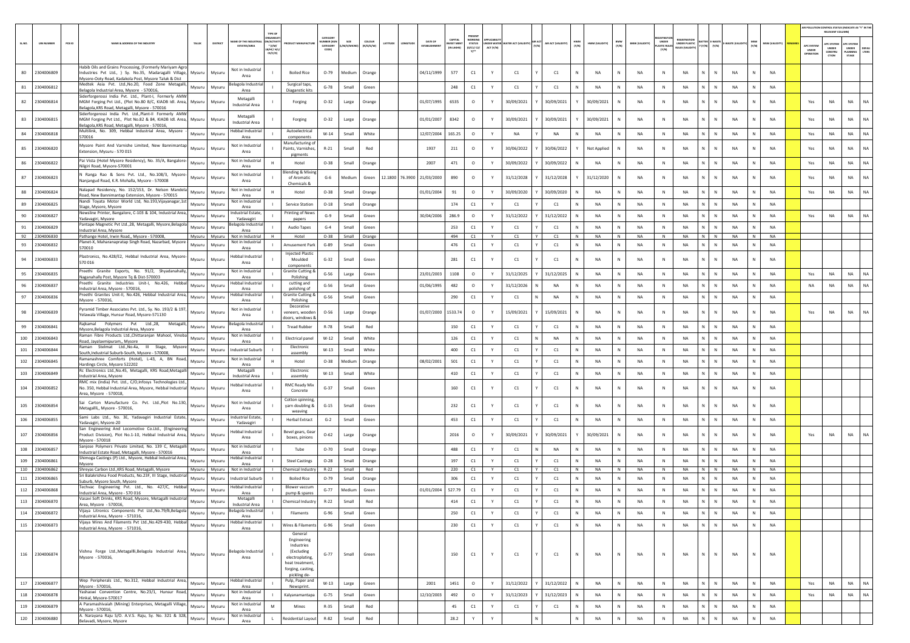|        |                                  |                                                                                                                                                                                     |                         |                                               |                                                                                                                    |                                         |                    |                     |        |                 |                         |                                |                                             |                               |                     |                   |              |               |                                      |                                     |                                      |                                       |                           |                   |                 |                                  | RELEVANT COLUMN)                               | AIR POLLUTION CONTROL STATUS (INDICATE AS "Y" IN TH      |
|--------|----------------------------------|-------------------------------------------------------------------------------------------------------------------------------------------------------------------------------------|-------------------------|-----------------------------------------------|--------------------------------------------------------------------------------------------------------------------|-----------------------------------------|--------------------|---------------------|--------|-----------------|-------------------------|--------------------------------|---------------------------------------------|-------------------------------|---------------------|-------------------|--------------|---------------|--------------------------------------|-------------------------------------|--------------------------------------|---------------------------------------|---------------------------|-------------------|-----------------|----------------------------------|------------------------------------------------|----------------------------------------------------------|
| SL.NO. | PCB ID<br><b>UIN NUMBER</b>      | LAME & ADDRESS OF THE INDUSTR'<br>TALUR                                                                                                                                             | DISTRIC                 | AME OF THE INDUSTR<br><b>ESTATES/AREA</b>     | <b>N/ACTIV</b><br>$*(1/M)$<br><b>B/HC/ H/</b><br>CE/C/O]                                                           | CATEGOR<br>MBER DO<br>CATEGORY<br>CODE) | SIZE<br>'M/S/MICRO | coLous<br>(R/O/G/W) | ATITUD |                 | DATE OF<br>ESTABLISHMEN | CAPITAL<br>EST MEN<br>IN LAKHS | NORKING<br><b>STATUS</b><br>(0/C1/C2/<br>Y1 | <b>VOFR WATE</b><br>ACT (Y/N) | ATER ACT (VALIDITY) | AIR ACT (VALIDITY | HWM<br>(Y/N) | HWM (VALIDITY | BMW<br>(Y/N)<br><b>BMW (VALIDIT)</b> | UNDER<br><b>ASTIC RULE</b><br>(Y/N) | <b>INDER PLASTIC</b><br>ULES (VALIDI | <b>ITTER E-WASTI</b><br>Y (Y/N) (Y/N) | WASTE (VAL                | MSW<br>(Y/N)      | MSW (VALIDITY)  | APC SYSTEM<br>UNDER<br>OPERATION | <b>IPC SYSTEM</b><br>UNDER<br>CONSTRU<br>CTION | PC SYSTEM<br>UNDER<br>DEFAU<br>LTERS<br>LANNING<br>STAGE |
| 80     | 2304006809                       | Habib Oils and Grains Processing, (Formerly Mariyam Agro<br>ndustries Pvt Ltd., ) Sy. No.35, Madaragalli Village,<br>Mysuru<br>Mysore-Ooty Road, Kadakola Post, Mysore Taluk & Dist | Mysuru                  | Not in Industria<br>Area                      | <b>Boiled Rice</b>                                                                                                 | $O-79$                                  | Medium             | Orange              |        |                 | 04/11/1999              | 577                            | C1                                          | Y                             | C1                  | C1                |              | NA            | N<br>NA                              | N                                   | NA                                   |                                       | N<br>NA                   | $\mathbb N$       | NA              |                                  |                                                |                                                          |
|        | 81 2304006812                    | Medtek Asia Pvt. Ltd., No.20, Food Zone Metagalli,<br>Mysuru<br>Belagola Industrial Area, Mysore - 570016                                                                           | Mysuru                  | elagola Industri<br>Area                      | Surgical taps<br>Diaganstic kits                                                                                   | $G-78$                                  | Small              | Green               |        |                 |                         | 248                            | C1                                          | Y                             | C1                  | C1                |              | NA            | N<br>NA                              | N                                   | NA                                   | N.<br>N                               | NA                        | N                 | <b>NA</b>       |                                  |                                                |                                                          |
| 82     | 2304006814                       | Siderforgerossi India Pvt. Ltd., Plant-I, Formerly AMW<br>MGM Forging Pvt Ltd., (Plot No.80 B/C, KIADB Idl. Area,<br>Mysuru<br>Belagola, KRS Road, Metagalli, Mysore - 570016       | Mysuru                  | Metagalli<br><b>Industrial Area</b>           | Forging                                                                                                            | $O-32$                                  | Large              | Orange              |        |                 | 01/07/1995              | 6535                           | $\circ$                                     | Υ                             | 30/09/2021          | 30/09/2021        |              | 30/09/2021    | N<br>NA                              | N                                   | NA                                   |                                       | N<br>NA                   | N                 | NA              | Yes                              | NA                                             | NA<br>NA                                                 |
| 83     | 2304006815                       | Siderforgerossi India Pvt. Ltd., Plant-II Formerly AMW<br>MGM Forging Pvt Ltd., Plot No.82 & 84, KIADB Idl. Area, Mysuru<br>Belagola, KRS Road, Metagalli, Mysore - 570016,         | Mysuru                  | Metagalli<br>Industrial Area                  | Forging                                                                                                            | $O-32$                                  | Large              | Orange              |        |                 | 01/01/2007              | 8342                           | $\circ$                                     | Y                             | 30/09/2021          | 30/09/2021        |              | 30/09/2021    | N<br><b>NA</b>                       | N                                   | <b>NA</b>                            | N.                                    | N<br>NA                   | $\mathbb N$       | NA              | Yes                              | <b>NA</b>                                      | NA<br><b>NA</b>                                          |
|        | 84 2304006818                    | Multilink, No. 309, Hebbal Industrial Area, Mysore<br>Mysuru<br>570016                                                                                                              | Mysuru                  | lebbal Industria<br>Area                      | Autoelectrical<br>components                                                                                       | $W-14$                                  | Small              | White               |        |                 | 12/07/2004              | 165.25                         | $\circ$                                     | Y                             | <b>NA</b>           | NA                |              | NA            | N<br>NA                              | N                                   | NA                                   | N                                     | N<br>NA                   | $\mathbf N$       | NA              | Yes                              | NA                                             | NA<br>NA                                                 |
|        | 85 2304006820                    | Mysore Paint And Varnishe Limited, New Bannimantap<br>Mysuru<br>Extension, Mysuru - 570 015                                                                                         | Mysuru                  | Not in Industrial<br>Area                     | Manufacturing o<br>Paints, Varnishes,<br>pigments                                                                  | $R - 21$                                | Small              | Red                 |        |                 | 1937                    | 211                            | $\circ$                                     | Y                             | 30/06/2022          | 30/06/2022        |              | Not Applied   | N<br>NA                              | N                                   | <b>NA</b>                            | N                                     | N<br>NA                   | N                 | <b>NA</b>       | Yes                              | <b>NA</b>                                      | NA<br>NA                                                 |
|        | 86 2304006822                    | Pai Vista (Hotel Mysore Residency), No. 35/A, Bangalore-<br>Mysuru<br>Nilgiri Road, Mysore-570001                                                                                   | Mysuru                  | Not in Industrial<br>Area                     | Hotel                                                                                                              | $O-38$                                  | Small              | Orange              |        |                 | 2007                    | 471                            | $\circ$                                     | Y                             | 30/09/2022          | 30/09/2022        |              | NA            | N<br>NA                              | N                                   | NA                                   | N.<br>$\mathbb N$                     | NA                        | $\mathbb N$       | NA              | Yes                              | NA                                             | NA<br>NA                                                 |
| 87     | 2304006823                       | Ranga Rao & Sons Pvt. Ltd., No.108/3, Mysore-<br>Mysuru<br>Nanjangud Road, K.R. Mohalla, Mysore - 570008                                                                            | Mysuru                  | Not in Industrial<br>Area                     | lending & Mixing<br>of Aromatic<br>Chemicals 8                                                                     | $G-6$                                   | Medium             | Green               |        | 12.1800 76.3900 | 21/03/2000              | 890                            | $\circ$                                     | Y                             | 31/12/2028          | 31/12/2028        | Y            | 31/12/2020    | N<br><b>NA</b>                       | N                                   | NA                                   | N                                     | N<br>NA                   | $\mathbf N$       | NA              | Yes                              | NA                                             | NA<br>NA                                                 |
|        | 88 2304006824                    | Nalapad Residency, No. 152/153, Dr. Nelson Mandela<br>Mysuru<br>Road, New Bannimantap Extension, Mysore - 570015                                                                    | Mysuru                  | Not in Industrial<br>Area                     | Hotel                                                                                                              | $O-38$                                  | Small              | Orange              |        |                 | 01/01/2004              | 91                             | $\circ$                                     | Y                             | 30/09/2020          | 30/09/2020        |              | NA            | N<br>NA                              | N                                   | NA                                   | N.                                    | N<br>NA                   | $\mathbf N$       | NA              | Yes                              | NA                                             | NA<br>NA                                                 |
| 89     | 2304006825                       | Nandi Toyata Motor World Ltd, No.193, Vijayanagar, 1st<br>Mysuru<br>Stage, Mysore, Mysore                                                                                           | Mysuri                  | Not in Industrial<br>Area                     | <b>Service Station</b>                                                                                             | $O-18$                                  | Small              | Orange              |        |                 |                         | 174                            | C1                                          | Y                             | C1                  | C1                |              | NA            | N<br>NA                              | N                                   | NA                                   | N<br>N                                | NA                        | N                 | NA              |                                  |                                                |                                                          |
|        | 90 2304006827                    | Newsline Printer, Bangalore, C-103 & 104, Industrial Area,<br>Mysuru<br>Yadavagiri, Mysore                                                                                          | Mysuru                  | ndustrial Estate,<br>Yadavagiri               | Printing of New:<br>papers                                                                                         | $G-9$                                   | Small              | Green               |        |                 | 0/04/2006               | 286.9                          | $\circ$                                     |                               | 31/12/2022          | 31/12/2022        |              | NA            | N<br>NA                              | N                                   | NA                                   | N.<br>${\sf N}$                       | NA                        | N                 | NA              | Yes                              | NA                                             | NA<br>NA                                                 |
|        | 91 2304006829                    | Pantape Magnetic Pvt Ltd., 28, Metagalli, Mysore, Belagola<br>Mysuru<br>Industrial Area, Mysore                                                                                     | Mysuru                  | elagola Industria<br>Area                     | <b>Audio Tapes</b>                                                                                                 | $G-4$                                   | Small              | Green               |        |                 |                         | 253                            | C1                                          | Y                             | C1                  | C1                |              | NA            | ${\sf N}$<br>NA                      | N                                   | NA                                   | N<br>N                                | <b>NA</b>                 | $\mathbb N$       | NA              |                                  |                                                |                                                          |
| 93     | 92 2304006830<br>2304006832      | Pathange Hotel, Irwin Road,, Mysore - 570008,<br>Planet-X, Maharanapratap Singh Road, Nazarbad, Mysore<br>Mysuru                                                                    | Mysuru Mysuru           | Not in Industrial<br>Not in Industria         | Hotel<br>н.<br><b>Amusement Par</b>                                                                                | $O - 38$<br>$G-89$                      | Small<br>Small     | Orange<br>Green     |        |                 |                         | 494<br>476                     | C1<br>C1                                    | Y<br>Y                        | C1<br>Y<br>C1       | C1<br>C1          | N            | NA<br>NA      | N<br>NA<br>N<br>NA                   | N<br>N                              | NA<br>NA                             | N N<br>N                              | NA<br>NA                  | N<br>N            | NA<br>NA        |                                  |                                                |                                                          |
| 94     | 2304006833                       | 570010<br>Plastronics, No.428/E2, Hebbal Industrial Area, Mysore-<br>Mysuru                                                                                                         | Mysuru<br>Mysuru        | Area<br>Hebbal Industrial                     | <b>Injected Plastic</b><br>Moulded                                                                                 | $G-32$                                  | Small              | Green               |        |                 |                         | 281                            | C1                                          | Y                             | C1                  | C1                |              | NA            | N<br><b>NA</b>                       | N                                   | <b>NA</b>                            | N                                     | $\mathsf{N}$<br>NA        | $\mathbb N$       | NA              |                                  |                                                |                                                          |
| 95     | 2304006835                       | 570 016<br>Preethi Granite Exports, No. 91/2, Shyadanahally,<br>Mysuru                                                                                                              | Mysuru                  | Area<br><b>Not in Industrial</b>              | components<br>Granite Cutting &                                                                                    | $G-56$                                  |                    | Green               |        |                 | 23/01/2003              | 1108                           | $\circ$                                     | Y                             | 31/12/2025          | 31/12/2025        |              | NA            | N<br>NA                              | N                                   | NA                                   | N<br>N                                | NA                        | N                 | NA              | Yes                              | NA                                             | NA<br>NA                                                 |
| 96     | 2304006837                       | Naganahally Post, Mysore Tq & Dist-570003<br>Preethi Granite Industries Unit-I, No.426, Hebbal<br>Mysuru                                                                            | Mysuru                  | Area<br>Hebbal Industria                      | Polishing<br>cutting and                                                                                           | $G-56$                                  | Large<br>Small     | Green               |        |                 | 01/06/1995              | 482                            | $\circ$                                     | Y                             | 31/12/2026          | NA                |              | NA            | N<br><b>NA</b>                       | N                                   | <b>NA</b>                            | N<br>N                                | NA                        | N                 | NA              | NA                               | <b>NA</b>                                      | NA<br>NA                                                 |
|        | 97 2304006836                    | Industrial Area, Mysore - 570016<br>Preethi Granites Unit-II, No.426, Hebbal Industrial Area,<br>Mysuru                                                                             | Mysuru                  | Area<br>Hebbal Industria                      | polishing of<br>Granite Cutting &                                                                                  | $G-56$                                  | Small              | Green               |        |                 |                         | 290                            | C1                                          | Y                             | C1                  | <b>NA</b>         |              | <b>NA</b>     | N<br><b>NA</b>                       | N                                   | NA                                   | N<br>$\mathbb N$                      | <b>NA</b>                 | N                 | <b>NA</b>       |                                  |                                                |                                                          |
|        |                                  | Mysore - 570016,<br>Pyramid Timber Associates Pvt. Ltd., Sy. No. 193/2 & 197,                                                                                                       |                         | Area<br><b>Not in Industrial</b>              | Polishing<br>Decorative                                                                                            |                                         |                    |                     |        |                 |                         |                                |                                             |                               |                     |                   |              |               |                                      |                                     |                                      |                                       |                           |                   |                 |                                  |                                                |                                                          |
| 98     | 2304006839                       | Mysuru<br>Yelawala Village, Hunsur Road, Mysore-571130<br>Rajkamal Polymers Pvt Ltd.,28,<br>Metagalli<br>Mysuru                                                                     | Mysuru                  | Area<br>elagola Industria                     | veneers, woode<br>doors, windows &                                                                                 | $O - 56$<br>$R-78$                      | Large<br>Small     | Orange<br>Red       |        |                 | 01/07/2000              | 1533.74<br>150                 | $\circ$                                     | Y                             | 15/09/2021          | 15/09/2021<br>C1  |              | NA            | N<br><b>NA</b><br><b>NA</b>          | N                                   | <b>NA</b><br><b>NA</b>               | N.<br>N                               | $\mathsf{N}$<br><b>NA</b> | $\mathsf{N}$<br>N | NA              | Yes                              | <b>NA</b>                                      | NA<br><b>NA</b>                                          |
|        | 99 2304006841                    | Mysore, Belagola Industrial Area, Mysore<br>Raman Fibre Products Ltd., Chittaranjan Mahool, Vinoba                                                                                  | Mysuru                  | Area<br>Not in Industrial                     | <b>Tread Rubber</b>                                                                                                |                                         |                    |                     |        |                 |                         |                                | C1                                          | Y                             | C1                  |                   |              | NA            | N                                    | N                                   |                                      | N<br>N.                               | NA                        |                   | NA              |                                  |                                                |                                                          |
| 100    | 2304006843                       | Mysuru<br>Road, Jayalaxmipuram,, Mysore<br>Raman Stelmat Ltd., No.4a, III Stage, Mysore                                                                                             | Mysuru                  | Area                                          | Electrical panel<br>Electronic                                                                                     | $W-12$                                  | Small              | White               |        |                 |                         | 126                            | C1                                          | Y                             | C1                  | NA                |              | NA            | N<br>NA                              | N                                   | <b>NA</b>                            | $\mathbb{N}$                          | NA                        | $\mathsf{N}$      | NA              |                                  |                                                |                                                          |
|        | 101 2304006844                   | Mysuru<br>South, Industrial Suburb-South, Mysore - 570008,<br>Ramanashree Comforts (Hotel), L-43, A, BN Road,                                                                       | Mysuru                  | ndustrial Suburb<br>Not in Industrial         | assembly                                                                                                           | $W-13$                                  | Small              | White               |        |                 |                         | 400                            | C1                                          | Y                             | C1                  | C1                | N            | NA            | N<br>NA                              | N                                   | NA                                   | N<br>N                                | NA                        | N                 | NA              |                                  |                                                |                                                          |
|        | 102 2304006845                   | Mysuru<br>Hardings Circle, Mysore 522202<br>Rc Electronics Ltd., No.45, Metagalli, KRS Road, Metagall                                                                               | Mysuru                  | Area<br>Metagalli                             | Hotel<br>Electronic                                                                                                | $O-38$                                  | Medium             | Orange              |        |                 | 08/02/2001              | 501                            | C1                                          | Y                             | C1                  | C1                |              | NA            | N<br>NA                              | $\,$ N                              | <b>NA</b>                            | N                                     | NA                        | $\mathbb N$       | NA              |                                  |                                                |                                                          |
|        | 103 2304006849                   | Mysuru<br>Industrial Area, Mysore<br>RMC mix (India) Pvt. Ltd., C/O,Infosys Technologies Ltd.,                                                                                      | Mysuru                  | <b>Industrial Area</b>                        | assembly                                                                                                           | $W-13$                                  | Small              | White               |        |                 |                         | 410                            | C1                                          | Y                             | C1                  | C1                |              | NA            | N<br>NA                              | $\,$ N                              | NA                                   | N.<br>$\mathbb{N}$                    | NA                        | $\mathbb N$       | NA              |                                  |                                                |                                                          |
|        | 104 2304006852                   | No. 350, Hebbal Industrial Area, Mysore, Hebbal Industrial<br>Mysuru<br>Area, Mysore - 570018,                                                                                      | Mysuru                  | <b>Hebbal Industrial</b><br>Area              | <b>RMC Ready Mix</b><br>Concrete<br>Cotton spinning                                                                | $G-37$                                  | Small              | Green               |        |                 |                         | 160                            | C1                                          | Y                             | C1                  | C1                |              | NA            | N<br><b>NA</b>                       | N                                   | <b>NA</b>                            |                                       | N<br>NA                   |                   | NA              |                                  |                                                |                                                          |
|        | 105 2304006854                   | Sai Carton Manufacture Co. Pvt. Ltd., Plot No.130,<br>Mysuru<br>Metagalli,, Mysore - 570016,                                                                                        | Mysuru                  | Not in Industrial<br>Area                     | yarn doubling &<br>weaving                                                                                         | $G-15$                                  | Small              | Green               |        |                 |                         | 232                            | C1                                          | Y                             | C1                  | C1                |              | NA            | N<br><b>NA</b>                       | $\mathbb{N}$                        | <b>NA</b>                            | N<br>N                                | <b>NA</b>                 | $\mathbb N$       | NA              |                                  |                                                |                                                          |
|        | 106 2304006855                   | Sami Labs Ltd., No. 3E, Yadavagiri Industrial Estate,<br>Mysuru<br>Yadavagiri, Mysore-20                                                                                            | Mysuru                  | ndustrial Estate,<br>Yadavagiri               | <b>Herbal Extract</b>                                                                                              | $G-2$                                   | Small              | Green               |        |                 |                         | 453                            | C1                                          | Y                             | C1                  | C1                |              | NA            | N<br><b>NA</b>                       | $\,$ N                              | <b>NA</b>                            |                                       | N<br>NA                   | $\mathbb N$       | NA              |                                  |                                                |                                                          |
|        | 107 2304006856                   | San Engineering And Locomotive Co.Ltd., (Engineering<br>Product Division), Plot No.1-10, Hebbal Industrial Area, Mysuru<br>Mysore - 570018                                          | Mysuru                  | Hebbal Industrial<br>Area                     | Bevel gears, Gea<br>boxes, pinions                                                                                 | $O - 62$                                | Large              | Orange              |        |                 |                         | 2016                           | $\circ$                                     | Y                             | 30/09/2021          | 30/09/2021        |              | 30/09/2021    | <b>NA</b><br>N                       | $\,$ N                              | <b>NA</b>                            | N<br>N                                | <b>NA</b>                 | $\mathbb N$       | NA              | Yes                              | <b>NA</b>                                      | <b>NA</b><br><b>NA</b>                                   |
|        | 108 2304006857                   | Sanjose Polymers Private Limited, No. 139 C, Metagalli<br>Mysuru<br>Industrial Estate Road, Metagalli, Mysore - 570016                                                              | Mysuru                  | Not in Industrial<br>Area                     | Tube                                                                                                               | $O-70$                                  | Small              | Orange              |        |                 |                         | 488                            | C1                                          | Y                             | C1                  | NA                |              | NA            | N<br><b>NA</b>                       | N                                   | <b>NA</b>                            | N<br>N                                | NA                        | $\mathbb N$       | NA              |                                  |                                                |                                                          |
|        | 109 2304006861                   | Shimoga Castings (P) Ltd., Mysore, Hebbal Industrial Area,<br>Mysuru<br>Mysore                                                                                                      | Mysuru                  | Hebbal Industria<br>Area                      | <b>Steel Castings</b>                                                                                              | $O-28$                                  | Small              | Orange              |        |                 |                         | 197                            | C1                                          | Y                             | C1                  | C1                |              | NA            | N<br><b>NA</b>                       | N                                   | <b>NA</b>                            | N.<br>N                               | NA                        | $\mathbb N$       | NA              |                                  |                                                |                                                          |
|        | 110 2304006862<br>111 2304006865 | Shreyas Carbon Ltd., KRS Road, Metagalli, Mysore<br>Sri Balakrishna Food Products, No.23F, III Stage, Industria<br>Mysuru                                                           | Mysuru Mysuru<br>Mysuru | Not in Industrial<br>ndustrial Suburb         | Chemical Industry<br><b>Boiled Rice</b>                                                                            | $R - 22$<br>$O-79$                      | Small<br>Small     | Red<br>Orange       |        |                 |                         | 220<br>306                     | C1<br>C1                                    | Y<br>Y                        | C1<br>Y<br>C1       | C1<br>C1          | N            | NA<br>NA      | N<br><b>NA</b><br>N<br>NA            | N<br>N                              | <b>NA</b><br>NA                      | N N                                   | NA<br>N<br>NA             | N<br>$\mathbb N$  | <b>NA</b><br>NA |                                  |                                                |                                                          |
|        | 112 2304006868                   | iuburb, Mysore South, Mysore<br>Techvac Engineering Pvt. Ltd., No. 427/C, Hebbal<br>Mysuru                                                                                          | Mysuru                  | Hebbal Industria                              | Blower vaccum                                                                                                      | $G-77$                                  | Medium             | Green               |        |                 | 01/01/2004              | 527.79                         | C1                                          | Y                             | C1                  | C1                |              | NA            | N<br>NA                              | N                                   | NA                                   | N.<br>N                               | <b>NA</b>                 | $\mathbb N$       | NA              |                                  |                                                |                                                          |
|        | 113 2304006870                   | Industrial Area, Mysore - 570 016<br>Vasavi Soft Drinks, KRS Road, Mysore, Metagalli Industria<br>Mysuru                                                                            | Mysuru                  | Area<br>Metagalli                             | pump & spares<br>Chemical Industry                                                                                 | $R-22$                                  | Small              | Red                 |        |                 |                         | 414                            | C1                                          |                               | C1                  | C1                |              | NA            | <b>NA</b><br>N                       |                                     | <b>NA</b>                            |                                       | NA                        |                   | <b>NA</b>       |                                  |                                                |                                                          |
|        | 114 2304006872                   | Area, Mysore - 570016<br>Vijaya Litronics Components Pvt Ltd., No.79/B, Belagola<br>Mysuru                                                                                          | Mysuru                  | <b>Industrial Area</b><br>Belagola Industrial | Filaments                                                                                                          | $G-96$                                  | Small              | Green               |        |                 |                         | 250                            | $\mathsf{C1}$                               | Y                             | C1                  | C1                |              | NA            | ${\sf N}$<br>NA                      | $\,$ N                              | NA                                   | N<br>N                                | NA                        | N                 | NA              |                                  |                                                |                                                          |
|        | 115 2304006873                   | Industrial Area, Mysore - 571016,<br>Vijaya Wires And Filaments Pvt Ltd., No. 429-430, Hebbal<br>Mysuru                                                                             | Mysuru                  | Area<br>Hebbal Industrial                     | Wires & Filaments                                                                                                  | $G-96$                                  | Small              | Green               |        |                 |                         | 230                            | C1                                          | Y                             | C1                  | C1                | N            | NA            | N<br>NA                              | N                                   | <b>NA</b>                            | $\,N\,$ $\,$ $\,$ $\,N\,$             | NA                        | N                 | <b>NA</b>       |                                  |                                                |                                                          |
|        |                                  | Industrial Area, Mysore - 571016,                                                                                                                                                   |                         | Area                                          | General                                                                                                            |                                         |                    |                     |        |                 |                         |                                |                                             |                               |                     |                   |              |               |                                      |                                     |                                      |                                       |                           |                   |                 |                                  |                                                |                                                          |
|        | 116 2304006874                   | Vishnu Forge Ltd., Metagallli, Belagola Industrial Area, Mysuru<br>Mysore - 570016.                                                                                                 | Mysuru                  | Belagola Industrial<br>Area                   | Engineering<br>Industries<br>(Excluding<br>electroplating,<br>heat treatment.<br>forging, casting,<br>pickling de- | $G-77$                                  | Small              | Green               |        |                 |                         | 150                            | C1                                          | Υ                             | C1                  | C1                | N            | NA            | N<br><b>NA</b>                       | $\,$ N                              | NA                                   | N                                     | NA<br>N                   | N                 | <b>NA</b>       |                                  |                                                |                                                          |
|        | 117 2304006877                   | Wep Peripherals Ltd., No.312, Hebbal Industrial Area,<br>Mysuru<br>Mysore - 570016.                                                                                                 | Mysuru                  | <b>Hebbal Industrial</b><br>Area              | Pulp, Paper and<br>Newsprint.                                                                                      | $W-13$                                  | Large              | Green               |        |                 | 2001                    | 1451                           | $\circ$                                     | Y                             | 31/12/2022          | 31/12/2022        | N            | NA            | N<br>NA                              | N                                   | <b>NA</b>                            | $N$ $N$                               | <b>NA</b>                 | N                 | NA              | Yes                              | NA                                             | NA<br><b>NA</b>                                          |
|        | 118 2304006878                   | Yashaswi Convention Centre, No.23/1, Hunsur Road,<br>Mysuru<br>Hinkal, Mysore-570017                                                                                                | Mysuru                  | Not in Industrial<br>Area                     | Kalyanamantapa                                                                                                     | $G-75$                                  | Small              | Green               |        |                 | 12/10/2003              | 492                            | $\circ$                                     | Y                             | 31/12/2023          | 31/12/2023        |              | <b>NA</b>     | NA<br>N                              | N                                   | NA                                   | $\mathbb{N}$                          | NA                        | $\mathbb N$       | NA              | Yes                              | NA                                             | NA<br>NA                                                 |
|        | 119 2304006879                   | A Paramashivaiah (Mining) Enterprises, Metagalli Village,<br>Mysuru<br>Mysore - 570016,                                                                                             | Mysuru                  | Not in Industrial<br>Area                     | M<br>Mines                                                                                                         | R-35                                    | Small              | Red                 |        |                 |                         | 45                             | C1                                          | Y                             | C1                  | C1                |              | NA            | ${\sf N}$<br>NA                      | N                                   | NA                                   | N<br>N                                | NA                        | N                 | NA              |                                  |                                                |                                                          |
|        | 120 2304006880                   | A. Narayana Raju S/O. A.V.S. Raju, Sy. No. 321 & 328,<br>Mysuru<br>Belavadi, Mysore, Mysore                                                                                         | Mysuru                  | Not in Industrial<br>Area                     | Residential Layout                                                                                                 | R-82                                    | Small              | Red                 |        |                 |                         | 28.2                           | Y                                           | Y                             |                     |                   |              | NA            | ${\sf N}$<br>NA                      | $\,$ N                              | <b>NA</b>                            | N<br>N                                | NA                        | $\mathbb N$       | <b>NA</b>       |                                  |                                                |                                                          |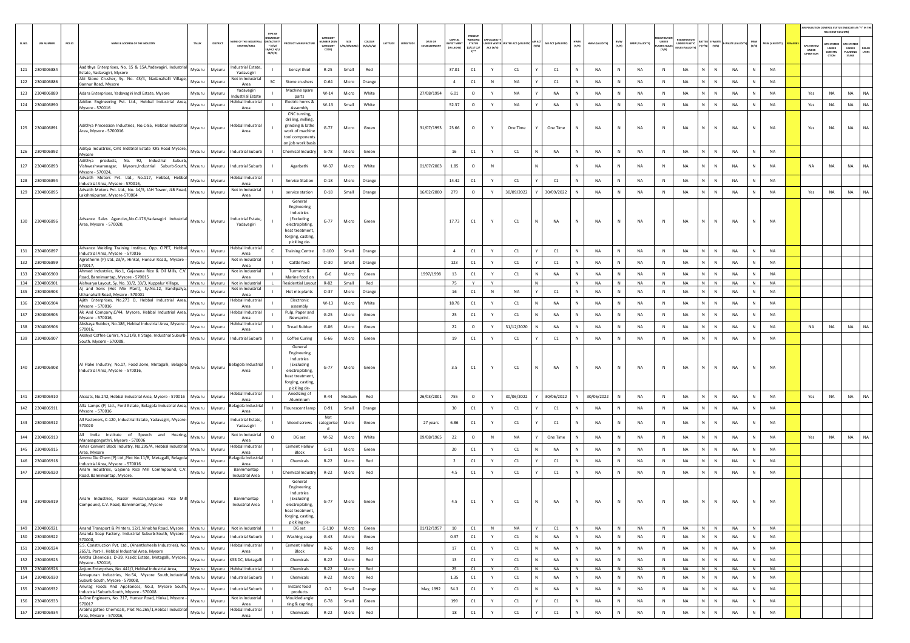| PRESENT<br>CATEGOR<br>CAPITAL<br>WORKING<br><b>EGISTRATIC</b><br>AME OF THE INDUSTR<br>N/ACTIVI<br>UMBER (XGP<br>SIZE<br><b>COLOUR</b><br>DATE OF<br>UNDER<br>HWM<br>(Y/N)<br>BMW<br>(Y/N)<br><b>IATTER E-WASTI</b><br>PCB ID<br>STATUS<br>(0/C1/ C2/<br>AIR ACT (VALIDITY)<br>UNDER PLASTIC<br>IULES (VALIDITY)<br>SLNO.<br><b>UIN NUMBER</b><br>NAME & ADDRESS OF THE INDUSTR'<br>TALUK<br>DISTRICT<br><b>UCT MANUFACTU</b><br>LATITUDE<br>NGITUC<br><b>EST MENT</b><br>NDER WATE<br><b>TER ACT (VALIDI</b><br>HWM (VALIDITY)<br><b>BMW (VALIDITY)</b><br>$\gamma\left(\gamma/N\right)\equiv\left.\begin{array}{c}\gamma/N\end{array}\right]\in\text{WASTE}\left\{ \text{VALU}\\$<br>(y/N)<br>(R/O/G/W)<br><b>MASTIC RULE</b><br><b>ESTATES/AREA</b><br>* (I/M/<br>CATEGORY<br>M/S/MK<br>ESTABLISHME<br>ACT (Y/N)<br>(IN LAKHS)<br><b>LB/HC/ H/L</b><br>CODE)<br>(Y/N)<br>Y1<br>CE/C/O<br>Aadithya Enterprises, No. 15 & 15A, Yadavagiri, Industrial<br>ndustrial Estate,<br>121<br>2304006884<br>Mysuru<br>Mysuru<br>$R-25$<br>Small<br>Red<br>37.01<br>C1<br>C1<br>C1<br>NA<br>N<br><b>NA</b><br>NA<br>N<br>benzyl thiol<br>Y<br>N<br>N<br>state, Yadavagiri, Mysore<br>Yadavagiri<br>Abi Stone Crusher, Sy. No. 43/4, Nadanahalli Village<br>Not in Industrial<br>$\mathsf{N}^-$<br>122<br>2304006886<br>Mysuru<br>SC<br>$O - 64$<br>Micro<br>Orange<br>$\overline{4}$<br>C1<br>N<br><b>NA</b><br>C1<br>NA<br>N<br><b>NA</b><br>N<br>NA<br>$\mathbb{N}$<br>Mysuru<br>Stone crushers<br>Jannur Road, Mysore<br>Area<br>Yadavagiri<br>Machine spare | NA              |             |    | MSW<br>(Y/N)     | MSW (VALIDITY)         |                                  | RELEVANT COLUMN)                              |                                                                         |
|--------------------------------------------------------------------------------------------------------------------------------------------------------------------------------------------------------------------------------------------------------------------------------------------------------------------------------------------------------------------------------------------------------------------------------------------------------------------------------------------------------------------------------------------------------------------------------------------------------------------------------------------------------------------------------------------------------------------------------------------------------------------------------------------------------------------------------------------------------------------------------------------------------------------------------------------------------------------------------------------------------------------------------------------------------------------------------------------------------------------------------------------------------------------------------------------------------------------------------------------------------------------------------------------------------------------------------------------------------------------------------------------------------------------------------------------------------------------------------------------------------------------------------------------------------|-----------------|-------------|----|------------------|------------------------|----------------------------------|-----------------------------------------------|-------------------------------------------------------------------------|
|                                                                                                                                                                                                                                                                                                                                                                                                                                                                                                                                                                                                                                                                                                                                                                                                                                                                                                                                                                                                                                                                                                                                                                                                                                                                                                                                                                                                                                                                                                                                                        |                 |             |    |                  |                        | APC SYSTEM<br>UNDER<br>OPERATION | <b>PC SYSTEM</b><br>UNDER<br>CONSTRU<br>CTION | <b>UPC SYSTEM</b><br>UNDER<br><b>DEFAU</b><br>LTERS<br>LANNING<br>STAGE |
|                                                                                                                                                                                                                                                                                                                                                                                                                                                                                                                                                                                                                                                                                                                                                                                                                                                                                                                                                                                                                                                                                                                                                                                                                                                                                                                                                                                                                                                                                                                                                        |                 |             |    |                  | NA                     |                                  |                                               |                                                                         |
|                                                                                                                                                                                                                                                                                                                                                                                                                                                                                                                                                                                                                                                                                                                                                                                                                                                                                                                                                                                                                                                                                                                                                                                                                                                                                                                                                                                                                                                                                                                                                        |                 |             | NA | N                | <b>NA</b>              |                                  |                                               |                                                                         |
| 123<br>6.01<br>2304006889<br>$W-14$<br>White<br>27/08/1994<br><b>NA</b><br><b>NA</b><br><b>NA</b><br>N<br><b>NA</b><br><b>NA</b><br>N<br>Adara Enterprises, Yadavagiri Indl Estate, Mysore<br>Micro<br>$\circ$<br>N<br>Mysuru<br>Mysuru<br>Y<br>N                                                                                                                                                                                                                                                                                                                                                                                                                                                                                                                                                                                                                                                                                                                                                                                                                                                                                                                                                                                                                                                                                                                                                                                                                                                                                                      | NA              | $\mathbb N$ |    | N                | <b>NA</b>              | Yes                              | <b>NA</b>                                     | NA<br><b>NA</b>                                                         |
| <b>Industrial Estate</b><br>parts<br>Addon Engineering Pvt. Ltd., Hebbal Industrial Area,<br>Hebbal Industrial<br>Electric horns &<br>124<br>2304006890<br>52.37<br>N.<br>Mysuru<br>Mysuru<br>$W-13$<br>Small<br>White<br>$\circ$<br>NA<br>NA<br>NA<br>N<br>NA<br>N<br>NA<br>N                                                                                                                                                                                                                                                                                                                                                                                                                                                                                                                                                                                                                                                                                                                                                                                                                                                                                                                                                                                                                                                                                                                                                                                                                                                                         | <b>NA</b>       |             |    | $\mathbf{N}$     | NA                     | Yes                              | NA                                            | NA<br><b>NA</b>                                                         |
| Mysore - 570016<br>Assembly<br>Area<br>CNC turning,                                                                                                                                                                                                                                                                                                                                                                                                                                                                                                                                                                                                                                                                                                                                                                                                                                                                                                                                                                                                                                                                                                                                                                                                                                                                                                                                                                                                                                                                                                    |                 |             |    |                  |                        |                                  |                                               |                                                                         |
| drilling, milling,<br>Adithya Precession Industries, No.C-85, Hebbal Industrial<br>grinding & lathe<br>Hebbal Industrial<br>125 2304006891<br>Mysuru<br>Mysuru<br>$G-77$<br>Micro<br>Green<br>31/07/1993<br>23.66<br>$\circ$<br>One Time<br>One Time<br>NA<br>${\sf N}$<br><b>NA</b><br>N<br>NA<br>N<br>$\mathbb N$<br>Area, Mysore - 5700016<br>work of machine<br>Area<br>tool components<br>on job work basis                                                                                                                                                                                                                                                                                                                                                                                                                                                                                                                                                                                                                                                                                                                                                                                                                                                                                                                                                                                                                                                                                                                                       | NA              |             |    |                  | NA                     | Yes                              | NA                                            | NA<br>NA                                                                |
| Aditya Industries, Cmt Indstrial Estate KRS Road Mysore<br>126<br>2304006892<br>16<br>C1<br><b>Industrial Suburb</b><br>$G-78$<br>Micro<br>Green<br>C1<br><b>NA</b><br><b>NA</b><br>N<br><b>NA</b><br>N<br><b>NA</b><br>N.<br>Mysuru<br>Mysuru<br>Chemical Industry<br>Y<br>$\mathbb N$<br>- 11<br>N<br>Mysore                                                                                                                                                                                                                                                                                                                                                                                                                                                                                                                                                                                                                                                                                                                                                                                                                                                                                                                                                                                                                                                                                                                                                                                                                                         | NA              |             |    | N                | <b>NA</b>              |                                  |                                               |                                                                         |
| Adithya products, No. 92, Industrial Suburt<br>127 2304006893<br>$W-37$<br>White<br>01/07/2003<br>1.85<br>$\circ$<br>N<br><b>NA</b><br>$\mathbb{N}$<br><b>NA</b><br>N<br>$\mathsf{N}$<br>Vishweshwaranagar, Mysore,Industrial Suburb-South,<br>Mysuru<br>Industrial Suburb<br>Agarbathi<br>Micro<br>N<br>N<br><b>NA</b><br>Mysuru<br>Mysore - 570024,                                                                                                                                                                                                                                                                                                                                                                                                                                                                                                                                                                                                                                                                                                                                                                                                                                                                                                                                                                                                                                                                                                                                                                                                  | <b>NA</b>       |             |    | $\mathbb N$      | NA                     | <b>NA</b>                        | <b>NA</b>                                     | NA<br><b>NA</b>                                                         |
| Advaith Motors Pvt. Ltd., No.117, Hebbal, Hebbal<br>Hebbal Industria<br>128<br>14.42<br>C1<br>2304006894<br>Mysuru<br>C1<br>N<br><b>NA</b><br>N<br><b>NA</b><br>N.<br>Mysuru<br><b>Service Station</b><br>$O-18$<br>Micro<br>Orange<br>Y<br>C1<br><b>NA</b><br>$\mathbb N$<br>N<br>ndustrial Area, Mysore - 570016,<br>Area                                                                                                                                                                                                                                                                                                                                                                                                                                                                                                                                                                                                                                                                                                                                                                                                                                                                                                                                                                                                                                                                                                                                                                                                                            | NA              |             |    | $\mathbb N$      | <b>NA</b>              |                                  |                                               |                                                                         |
| Advaith Motors Pvt. Ltd., No. 14/5, IAH Tower, JLB Road,<br>Not in Industrial<br>129<br>16/02/2000<br>279<br>30/09/2022<br>N<br>N.<br>2304006895<br>Mysuru<br>Mysuru<br>service station<br>$O-18$<br>Small<br>Orange<br>$\circ$<br>Y<br>30/09/2022<br>NA<br>NA<br>N<br>NA<br>N<br>Lakshmipuram, Mysore-570004<br>Area                                                                                                                                                                                                                                                                                                                                                                                                                                                                                                                                                                                                                                                                                                                                                                                                                                                                                                                                                                                                                                                                                                                                                                                                                                  | <b>NA</b>       |             |    | N                | NA                     | Yes                              | NA                                            | NA<br>NA                                                                |
| General<br>Engineering<br>Industries<br>Advance Sales Agencies, No.C-176, Yadavagiri Industrial<br>(Excluding<br>ndustrial Estate,<br>130 2304006896<br>Mysuru<br>17.73<br>C1<br>NA<br><b>NA</b><br>NA<br>Mysuru<br>$G-77$<br>Micro<br>Green<br>C1<br>$\mathbb N$<br>NA<br>N<br>$\mathbb N$<br>N<br>N<br>Area, Mysore - 570020,<br>Yadavagiri<br>electroplating<br>heat treatment,<br>forging, casting,<br>pickling de-                                                                                                                                                                                                                                                                                                                                                                                                                                                                                                                                                                                                                                                                                                                                                                                                                                                                                                                                                                                                                                                                                                                                | NA              |             |    | N                | <b>NA</b>              |                                  |                                               |                                                                         |
| Advance Welding Training Institue, Opp. CIPET, Hebbal<br>Hebbal Industria<br>N.<br>131 2304006897<br>C1<br>N<br>NA<br>NA<br>Mysuru<br>Mysuru<br><b>Training Centre</b><br>$O-100$<br>Small<br>Orange<br>$\overline{4}$<br>Y<br>C1<br>C1<br>NA<br>N<br>N<br>Industrial Area, Mysore - 570016<br>Area                                                                                                                                                                                                                                                                                                                                                                                                                                                                                                                                                                                                                                                                                                                                                                                                                                                                                                                                                                                                                                                                                                                                                                                                                                                    | <b>NA</b>       |             |    | N                | NA                     |                                  |                                               |                                                                         |
| Agrotherm (P) Ltd.,23/A, Hinkal, Hunsur Road,, Mysore<br>Not in Industrial<br>132<br>2304006899<br>Cattle feed<br>$O-30$<br>Small<br>Orange<br>123<br>C1<br>C1<br>C1<br>NA<br>$\,N\,$<br><b>NA</b><br>NA<br>$\mathsf{N}^-$<br>${\sf N}$<br>Mysuru<br>Mysuru<br>Y<br>$\mathbb N$<br>N<br>570017<br>Area                                                                                                                                                                                                                                                                                                                                                                                                                                                                                                                                                                                                                                                                                                                                                                                                                                                                                                                                                                                                                                                                                                                                                                                                                                                 | NA              |             |    | N                | NA                     |                                  |                                               |                                                                         |
| Ahmed Industries, No.1, Gajanana Rice & Oil Mills, C.V<br>Not in Industrial<br>Turmeric &<br>133<br>2304006900<br>Mysuru<br>Mysuru<br>$G-6$<br>Micro<br>Green<br>1997/1998<br>13<br>C1<br>C1<br>NA<br>NA<br>N<br>NA<br>N<br><b>NA</b><br>N.<br>$\mathsf{N}$<br>Y<br>$\mathbb N$<br>Road, Bannimantap, Mysore - 570015<br>Area<br>Marine food or                                                                                                                                                                                                                                                                                                                                                                                                                                                                                                                                                                                                                                                                                                                                                                                                                                                                                                                                                                                                                                                                                                                                                                                                        | NA              |             |    | $\mathbb N$      | NA                     |                                  |                                               |                                                                         |
| 134 2304006901<br>$N$ $N$<br>75<br>Y<br>N<br>N<br>N<br><b>NA</b><br>N<br><b>NA</b><br>Aishvarya Layout, Sy. No. 33/2, 33/3, Kuppalur Village,<br>Mysuru Mysuru<br>Not in Industrial<br><b>Residential Layout</b><br>R-82<br>Small<br>Red<br>Y<br>NA<br>i and Sons (Hot Mix Plant), Sy.No.12, Bandipalya<br>Not in Industrial                                                                                                                                                                                                                                                                                                                                                                                                                                                                                                                                                                                                                                                                                                                                                                                                                                                                                                                                                                                                                                                                                                                                                                                                                           | <b>NA</b>       |             |    | $\overline{z}$   | <b>NA</b>              |                                  |                                               |                                                                         |
| 135<br>2304006903<br>Mysuru<br>$O-37$<br>Micro<br>Orange<br>16<br>C1<br>$\mathbb N$<br><b>NA</b><br>C1<br>NA<br>N<br>NA<br>NA<br>Mysur<br>Hot mix plants<br>N<br>N<br>N<br>N<br>Ithanahalli Road, Mysore - 570001<br>Area<br>Ajith Enterprises, No.273 D, Hebbal Industrial Area,<br>Hebbal Industrial<br>Electronic                                                                                                                                                                                                                                                                                                                                                                                                                                                                                                                                                                                                                                                                                                                                                                                                                                                                                                                                                                                                                                                                                                                                                                                                                                   | NA              |             |    | N                | NA                     |                                  |                                               |                                                                         |
| 136<br>2304006904<br>Mysuru<br>$W-13$<br>Micro<br>White<br>18.78<br>C1<br>NA<br>NA<br>N<br><b>NA</b><br>NA<br>N<br>Mysuru<br>Y<br>C1<br>N<br>N<br>Mysore - 570016<br>Area<br>assembly<br>-lebbal Industrial                                                                                                                                                                                                                                                                                                                                                                                                                                                                                                                                                                                                                                                                                                                                                                                                                                                                                                                                                                                                                                                                                                                                                                                                                                                                                                                                            | NA              |             |    | N                | NA                     |                                  |                                               |                                                                         |
| Ak And Company, C/44, Mysore, Hebbal Industrial Area,<br>Pulp, Paper and<br>137<br>25<br>$\mathsf{N}^-$<br>2304006905<br>Mysuru<br>Mysuru<br>$G-25$<br>Micro<br>Green<br>C1<br>Y<br>C1<br><b>NA</b><br>NA<br>N<br><b>NA</b><br>N<br><b>NA</b><br>$\mathbb{N}$<br>Mysore - 570016,<br>Newsprint.<br>Area                                                                                                                                                                                                                                                                                                                                                                                                                                                                                                                                                                                                                                                                                                                                                                                                                                                                                                                                                                                                                                                                                                                                                                                                                                                | NA              |             |    | $\mathbb N$      | NA                     |                                  |                                               |                                                                         |
| Akshaya Rubber, No.186, Hebbal Industrial Area, Mysore<br>Hebbal Industria<br>138<br>22<br>2304006906<br>$G-86$<br>Green<br>31/12/2020<br><b>NA</b><br><b>NA</b><br><b>NA</b><br><b>NA</b><br>Mysuru<br>Mysuru<br><b>Tread Rubber</b><br>Micro<br>$\circ$<br>N<br>N<br>N.<br>Y<br>N<br>$\mathbb N$<br>570016,<br>Area                                                                                                                                                                                                                                                                                                                                                                                                                                                                                                                                                                                                                                                                                                                                                                                                                                                                                                                                                                                                                                                                                                                                                                                                                                  | <b>NA</b>       |             |    | N                | <b>NA</b>              | <b>NA</b>                        | NA                                            | <b>NA</b><br>NA                                                         |
| Akshya Coffee Curers, No.21/B, II Stage, Industrial Suburb-<br>N<br>139<br>19<br>C1<br>N<br>NA<br>NA<br>2304006907<br>Mysuru<br>Mysuru<br><b>Industrial Suburb</b><br>Coffee Curing<br>$G-66$<br>Micro<br>Green<br>C1<br>C1<br>N<br>NA<br>N<br>N<br>Y<br>South, Mysore - 570008,                                                                                                                                                                                                                                                                                                                                                                                                                                                                                                                                                                                                                                                                                                                                                                                                                                                                                                                                                                                                                                                                                                                                                                                                                                                                       | NA              |             |    | $\mathbb N$      | NA                     |                                  |                                               |                                                                         |
| General<br>Engineering<br>Industries<br>Al Flake Industry, No.17, Food Zone, Metagalli, Belagola Mysuru<br>(Excluding<br>selagola Industrial<br>140 2304006908<br>3.5<br>C1<br><b>NA</b><br>NA<br>N<br>Mysuru<br>$G - 77$<br>Micro<br>Green<br>Y<br>C1<br>NA<br>N<br>NA<br>N<br>Ν<br>N<br>Industrial Area, Mysore - 570016,<br>electroplating<br>Area<br>heat treatment,<br>forging, casting,<br>pickling de-                                                                                                                                                                                                                                                                                                                                                                                                                                                                                                                                                                                                                                                                                                                                                                                                                                                                                                                                                                                                                                                                                                                                          | NA              |             |    | N                | NA                     |                                  |                                               |                                                                         |
| Hebbal Industria<br>Anodizing of<br>N.<br>141<br>26/03/2001<br>755<br><b>NA</b><br>2304006910<br>Alcoats, No.242, Hebbal Industrial Area, Mysore - 570016<br>Mysuru<br>Mysuru<br>$R - 44$<br>Medium<br>Red<br>$\circ$<br>30/06/2022<br>30/06/2022<br>30/06/2022<br>N<br>N<br>NA<br>N<br>Y<br>Aluminium<br>Area                                                                                                                                                                                                                                                                                                                                                                                                                                                                                                                                                                                                                                                                                                                                                                                                                                                                                                                                                                                                                                                                                                                                                                                                                                         | NA              |             |    | N                | NA                     | Yes                              | NA                                            | NA<br>NA                                                                |
| Alfa Lamps (P) Ltd., Ford Estate, Belagola Industrial Area,<br>elagola Industria<br>142<br>2304006911<br>Mysuru<br>Mysuru<br>Flourescent lamp<br>$O-91$<br>Small<br>30<br>C1<br>C1<br>C1<br>NA<br>N<br><b>NA</b><br>$\,$ N<br>NA<br>$\mathsf{N}^-$<br>$\,$ N<br>Orange<br>Υ<br>Mysore - 570016<br>Area                                                                                                                                                                                                                                                                                                                                                                                                                                                                                                                                                                                                                                                                                                                                                                                                                                                                                                                                                                                                                                                                                                                                                                                                                                                 | NA              |             |    | N                | NA                     |                                  |                                               |                                                                         |
| Not<br>All Fasteners, C-120, Industrial Estate, Yadavagiri, Mysore-<br>dustrial Estate,<br>143 2304006912<br>Mysuru<br>Mysuru<br>Wood screws<br>Micro<br>Green<br>6.86<br>C1<br>C1<br>C1<br>$\mathbb N$<br>NA<br>${\sf N}$<br>NA<br>$\,$ N<br>NA<br>N<br>$\mathsf{N}$<br>ategoris<br>27 years<br>570020<br>Yadavagiri                                                                                                                                                                                                                                                                                                                                                                                                                                                                                                                                                                                                                                                                                                                                                                                                                                                                                                                                                                                                                                                                                                                                                                                                                                  | NA              |             |    | N                | NA                     |                                  |                                               |                                                                         |
| All India Institute of Speech and Hearing,<br>Not in Industrial<br>144<br>2304006913<br>Mysuru<br>Mysuru<br>DG set<br>W-52<br>Micro<br>White<br>09/08/1965<br>22<br>$\circ$<br>N<br><b>NA</b><br>One Time<br>NA<br>$\,N\,$<br><b>NA</b><br>N<br><b>NA</b><br>$\mathsf{N}^-$<br>$\mathbb{N}$<br>$\circ$<br>N                                                                                                                                                                                                                                                                                                                                                                                                                                                                                                                                                                                                                                                                                                                                                                                                                                                                                                                                                                                                                                                                                                                                                                                                                                            | NA              |             |    | N                | NA                     | Yes                              | NA                                            | <b>NA</b><br>NA                                                         |
| Manasagongothri, Mysore - 570006<br>Area<br>Amar Cement Block Industry, No.295/A, Hebbal Industria<br><b>Hebbal Industrial</b><br><b>Cement Hallow</b><br>C1<br>145<br>2304006915<br>Mysuru<br>Mysuru<br>$G-11$<br>Micro<br>Green<br>20<br>C1<br>NA<br>NA<br>N<br><b>NA</b><br>N<br><b>NA</b><br>N<br>N<br>Y                                                                                                                                                                                                                                                                                                                                                                                                                                                                                                                                                                                                                                                                                                                                                                                                                                                                                                                                                                                                                                                                                                                                                                                                                                           | NA              |             |    | $\mathbb{N}$     | NA                     |                                  |                                               |                                                                         |
| Block<br>Area, Mysore<br>Area<br>Ammu Die Chem (P) Ltd.,Plot No.11/B, Metagalli, Belagola<br>elagola Industria<br>146<br>2304006918<br>Mysuru<br>$R-22$<br>Micro<br>Red<br>$\overline{2}$<br>C1<br>C1<br>C1<br>NA<br>N<br><b>NA</b><br>N<br><b>NA</b><br>N.<br>$\mathsf{N}$<br>Mysuru<br>Chemicals<br>Y                                                                                                                                                                                                                                                                                                                                                                                                                                                                                                                                                                                                                                                                                                                                                                                                                                                                                                                                                                                                                                                                                                                                                                                                                                                | NA              |             |    | $\mathbb N$      | NA                     |                                  |                                               |                                                                         |
| Industrial Area, Mysore - 570016<br>Area<br>Anam Industries, Gajanna Rice Mill Commpound, C.V.<br>Bannimantap<br>147 2304006920<br>NA<br>NA<br>Red<br>4.5<br>Y<br><b>NA</b><br>N<br>Chemical Industry<br>Micro<br>N.<br>$\mathbb N$                                                                                                                                                                                                                                                                                                                                                                                                                                                                                                                                                                                                                                                                                                                                                                                                                                                                                                                                                                                                                                                                                                                                                                                                                                                                                                                    |                 |             |    | N                | <b>NA</b>              |                                  |                                               |                                                                         |
| $\mathsf{C1}$<br>Mysuru<br>$R - 22$<br>C1<br>N<br>Mysuru<br>C1<br>N<br>Road, Bannimantap, Mysore.<br>Industrial Area<br>General<br>Engineering<br>Industries<br>Anam Industries, Nassir Hussan, Gajanana Rice Mill<br>Bannimantap<br>(Excluding<br>148 2304006919<br>4.5<br>$\mathsf{C}1$<br>NA<br>$G - 77$<br>Green<br>C1<br>NA<br>NA<br>NA<br>Mysuru<br>Mysuru<br>Micro<br>$\mathbb N$<br>N<br>N<br>- 11<br>Y<br>Industrial Area<br>Compound, C.V. Road, Bannimantan, Mysore<br>electroplating.<br>heat treatment,<br>forging, casting,<br>pickling de-                                                                                                                                                                                                                                                                                                                                                                                                                                                                                                                                                                                                                                                                                                                                                                                                                                                                                                                                                                                              | NA<br>NA        |             |    |                  | NA                     |                                  |                                               |                                                                         |
| 149 2304006921<br>Anand Transport & Printers, 12/1, Vinobha Road, Mysore   Mysuru   Mysuru   Not in Industrial<br>G-110 Micro Green<br>01/12/1957<br><b>NA</b><br>DG set<br>10<br>$C1$ N<br>Y<br>C1<br>N<br>NA<br>N<br>NA<br>N<br><b>NA</b><br>N N<br>Ananda Soap Factory, Industrial Suburb-South, Mysore<br>150<br>2304006922<br>Mysuru<br><b>Industrial Suburb</b><br>Washing soap<br>$G-43$<br>Micro<br>Green<br>0.37<br>C1<br>NA<br>${\sf N}$<br>NA<br>NA<br>N<br>Mysuru<br>Y<br>C1<br>$\mathbb{N}$<br><b>NA</b><br>$\,$ N<br>$\mathsf{N}$                                                                                                                                                                                                                                                                                                                                                                                                                                                                                                                                                                                                                                                                                                                                                                                                                                                                                                                                                                                                        | <b>NA</b><br>NA |             |    | N<br>$\mathbb N$ | <b>NA</b><br><b>NA</b> |                                  |                                               |                                                                         |
| 570008,<br>S.S. Construction Pvt. Ltd., (Ananthsheela Industries), No.<br><b>Hebbal Industrial</b><br><b>Cement Hallow</b><br>151<br>2304006924<br>$R-26$<br>Micro<br>Red<br>17<br>C1<br>${\sf N}$<br>N<br>$\mathbf{L}$<br>$\mathbb N$<br>N                                                                                                                                                                                                                                                                                                                                                                                                                                                                                                                                                                                                                                                                                                                                                                                                                                                                                                                                                                                                                                                                                                                                                                                                                                                                                                            |                 |             |    | N                |                        |                                  |                                               |                                                                         |
| Mysuru<br>Mysuru<br>Y<br>C1<br>NA<br>NA<br>NA<br>N<br>NA<br>265/1, Part-I, Hebbal Industrial Area, Mysore<br>Area<br>Block<br>Anitha Chemicals, D-39, Kssidc Estate, Metagalli, Mysore,                                                                                                                                                                                                                                                                                                                                                                                                                                                                                                                                                                                                                                                                                                                                                                                                                                                                                                                                                                                                                                                                                                                                                                                                                                                                                                                                                                | NA              |             |    |                  | NA                     |                                  |                                               |                                                                         |
| 152 2304006925<br>Mysuru<br>KSSIDC, Metagalli<br>Chemicals<br>$R - 22$<br>Micro<br>Red<br>13<br>C1<br>C1<br>NA<br>N<br>NA<br>NA<br>Mysuru<br>Y<br><b>NA</b><br>N<br>N<br>N<br>N<br>- 11<br>Mysore - 570016,<br>153 2304006926<br>Anjum Enterprises, No. 441/J, Hebbal Industrial Area,<br>Mysuru Mysuru<br>Hebbal Industrial<br>Chemicals<br>$R-22$<br>Micro<br>Red<br>25<br>C1<br>Y<br>C1<br>N<br>NA<br>N<br>NA<br>N<br>NA<br>N<br>NA<br>$N$ $N$                                                                                                                                                                                                                                                                                                                                                                                                                                                                                                                                                                                                                                                                                                                                                                                                                                                                                                                                                                                                                                                                                                      | NA<br>NA        |             |    | N<br>N           | NA<br>NA               |                                  |                                               |                                                                         |
| Annapuran Industries, No.54, Mysore South, Industrial<br>154<br>2304006930<br>$R-22$<br>Micro<br>1.35<br>C1<br>C1<br>NA<br>${\sf N}$<br>NA<br>NA<br>N<br>$\mathbb{N}$<br>Mysuru<br>Mysuru<br><b>Industrial Suburb</b><br>Chemicals<br>Red<br>Y<br>N<br>N<br><b>NA</b><br>N<br>Suburb-South, Mysore - 570008,                                                                                                                                                                                                                                                                                                                                                                                                                                                                                                                                                                                                                                                                                                                                                                                                                                                                                                                                                                                                                                                                                                                                                                                                                                           | NA              |             |    | N                | NA                     |                                  |                                               |                                                                         |
| Anurag Foods And Appliances, No.3, Mysore South,<br>Instant food<br>155<br>2304006932<br>Mysuru<br>Mysuru<br><b>Industrial Suburb</b><br>$O-7$<br>Small<br>Orange<br>May, 1992<br>54.3<br>C1<br>Y<br>C1<br>NA<br><b>NA</b><br><b>NA</b><br><b>NA</b><br>N<br>N<br>N<br>N<br>N<br>Industrial Suburb-South, Mysore - 570008<br>products                                                                                                                                                                                                                                                                                                                                                                                                                                                                                                                                                                                                                                                                                                                                                                                                                                                                                                                                                                                                                                                                                                                                                                                                                  | NA              |             |    | N                | <b>NA</b>              |                                  |                                               |                                                                         |
| A-One Engineers, No. 217, Hunsur Road, Hinkal, Mysore<br>Not in Industrial<br>Moulded angle<br>156<br>$\mathsf{C1}$<br>N<br>2304006933<br>$G-78$<br>Small<br>199<br>Y<br>C1<br>C1<br>N<br><b>NA</b><br>N<br>NA<br>Mysuru<br>Mysuru<br>Green<br>N<br>NA<br>$\mathbb N$<br>570017<br>Area                                                                                                                                                                                                                                                                                                                                                                                                                                                                                                                                                                                                                                                                                                                                                                                                                                                                                                                                                                                                                                                                                                                                                                                                                                                                | NA              |             |    | N                | NA                     |                                  |                                               |                                                                         |
| ring & capring<br>Arabhagattee Chemicals, Plot No.265/1, Hebbal Industrial<br>Hebbal Industrial<br>157<br>$R - 22$<br>Red<br>18<br>$\mathsf{C}1$<br>C1<br>NA<br>NA<br>2304006934<br>Mysuru<br>Mysuru<br>Chemicals<br>Micro<br>Y<br>C1<br>$\,$ N<br>NA<br>N<br>N<br>N<br>$\mathbb{N}$<br>Area, Mysore - 570016.<br>Area                                                                                                                                                                                                                                                                                                                                                                                                                                                                                                                                                                                                                                                                                                                                                                                                                                                                                                                                                                                                                                                                                                                                                                                                                                 | NA              |             |    | N                | NA                     |                                  |                                               |                                                                         |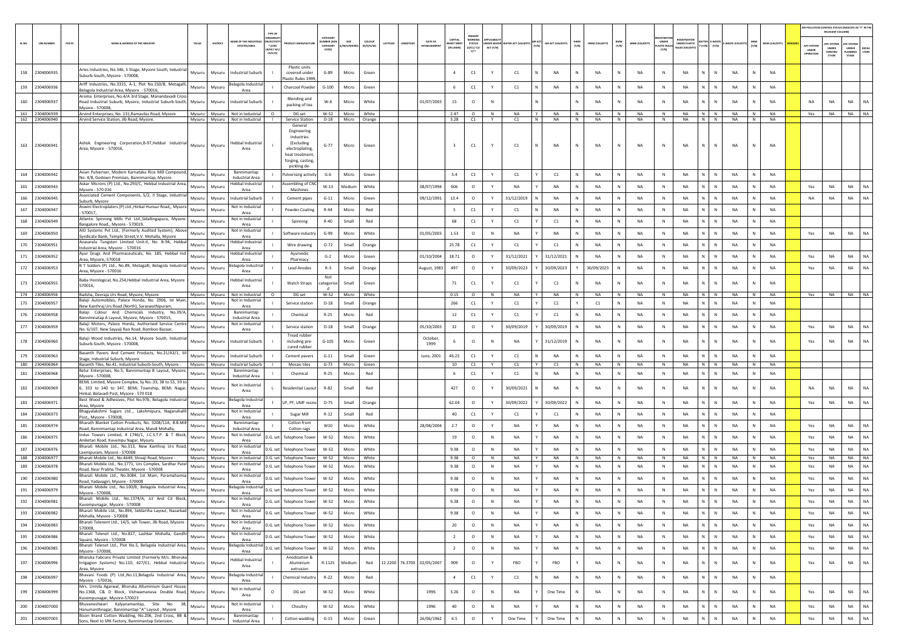|            |                                  |        |                                                                                                                                                            |                  |                  |                                                                       |                                |                                                                                                                             |                              |                          |                       |                     |                                |                                           |                                                         |              |                                      |                                  |                   |                        |                   |                        |                                 |                                                        |                              |                        |                                                 |                        |                                  | RELEVANT COLUMN)                               | AIR POLLUTION CONTROL STATUS (INDICATE AS "Y" IN THI     |
|------------|----------------------------------|--------|------------------------------------------------------------------------------------------------------------------------------------------------------------|------------------|------------------|-----------------------------------------------------------------------|--------------------------------|-----------------------------------------------------------------------------------------------------------------------------|------------------------------|--------------------------|-----------------------|---------------------|--------------------------------|-------------------------------------------|---------------------------------------------------------|--------------|--------------------------------------|----------------------------------|-------------------|------------------------|-------------------|------------------------|---------------------------------|--------------------------------------------------------|------------------------------|------------------------|-------------------------------------------------|------------------------|----------------------------------|------------------------------------------------|----------------------------------------------------------|
| SL.NO.     | <b>UIN NUMBER</b>                | PCB ID | NAME & ADDRESS OF THE INDUSTR                                                                                                                              | TALUS            | DISTRICT         | E OF THE IND<br><b>ESTATES/AREA</b>                                   | $*(1/M)^*$<br>MC/H/<br>CE/C/O) |                                                                                                                             | CATEGOR<br>CATEGORY<br>CODET | SIZE<br><b>M/S/MICRO</b> | coLour<br>(R/O/G/W)   | ATITUDE<br>LONGITUD | DATE OF<br><b>ESTABLISHMEN</b> | CAPITAL<br><b>NVEST MEN</b><br>(IN LAKHS) | PRESENT<br><b>NORKING</b><br><b>STATUS</b><br>(0/C1/C2/ | ACT (Y/N)    | <b>IDER WATER WATER ACT (VALIDIT</b> | AIR ACT (VALIDITY)<br>(Y/N)      | HWM<br>(Y/N)      | HWM (VALIDITY)         | BMW<br>(Y/N)      | <b>BMW (VALIDITY)</b>  | UNDER<br>PLASTIC RULE:<br>[Y/N] | <b>EGISTRAT</b><br><b>JNDER PLASTIC</b><br>ULES (VALID | $Y(Y/N)$ $(Y/N)$             | E-WASTE (VALII         | (Y/N)                                           | <b>MSW (VALIDITY)</b>  | APC SYSTER<br>UNDER<br>OPERATION | <b>APC SYSTEM</b><br>UNDER<br>CONSTRU<br>CTION | APC SYSTER<br>UNDER<br>DEFA<br>LTERS<br>LANNING<br>STAGE |
| 158        | 2304006935                       |        | Aries Industries, No.346, Ii Stage, Mysore South, Industria<br>Suburb-South, Mysore - 570008,                                                              | Mysuru           | Mysuru           | Industrial Suburb                                                     |                                | Plastic units<br>covered under<br>Plastic Rules 1999                                                                        | $G-89$                       | Micro                    | Green                 |                     |                                | $\overline{4}$                            | C1                                                      |              | C1                                   | <b>NA</b>                        | N                 | <b>NA</b>              |                   | <b>NA</b>              | $\mathbb N$                     | <b>NA</b>                                              |                              | <b>NA</b>              |                                                 | <b>NA</b>              |                                  |                                                |                                                          |
|            | 159 2304006936                   |        | Ariff Industries, No.3315, A-1, Plot No.150/B, Metagalli<br>Belagola Industrial Area, Mysore - 570016.                                                     | Mysuru           | Mysuru           | Belagola Industrial<br>Area                                           |                                | Charcoal Powder                                                                                                             | $G-100$                      | Micro                    | Green                 |                     |                                | 6                                         | C1                                                      | Y            | C1                                   | <b>NA</b>                        | N                 | NA                     |                   | <b>NA</b>              | $\mathbb N$                     | <b>NA</b>                                              | N<br>$\mathbb N$             | <b>NA</b>              | N                                               | <b>NA</b>              |                                  |                                                |                                                          |
| 160        | 2304006937                       |        | Aroma Enterprises, No.4/A 3rd Stage, Manandavadi Cros<br>Road Industrial Suburb, Mysore, Industrial Suburb-South                                           | Mysuru           | Mysuru           | ndustrial Suburb                                                      |                                | <b>Blending and</b><br>packing of tea                                                                                       | $W-6$                        | Micro                    | White                 |                     | 01/07/2003                     | 15                                        | $\circ$                                                 | N            |                                      |                                  | N                 | <b>NA</b>              |                   | <b>NA</b>              | N                               | <b>NA</b>                                              |                              | <b>NA</b>              |                                                 | NA                     | <b>NA</b>                        | <b>NA</b>                                      | <b>NA</b>                                                |
|            | 161 2304006939<br>162 2304006940 |        | Mysore - 570008<br>Arvind Enterprises, No. 131, Ramavilas Road, Mysore<br>Arvind Service Station, Jlb Road, Mysore                                         | Mysuru           |                  | Mysuru Not in Industrial O                                            |                                | DG set<br><b>Service Station</b>                                                                                            | W-52<br>$O-18$               | Micro                    | White<br>Micro Orange |                     |                                | 2.47<br>3.28                              | $\circ$<br>C1                                           | N<br>Y       | <b>NA</b><br>C1                      | <b>NA</b><br>Y<br>N<br><b>NA</b> | N<br>N            | <b>NA</b><br><b>NA</b> | N<br>N            | <b>NA</b><br>NA        | N<br>N                          | <b>NA</b><br><b>NA</b>                                 | $N$ $N$<br>$N$ $N$           | <b>NA</b><br><b>NA</b> | N<br>$\begin{array}{ccc} \n & N \n \end{array}$ | <b>NA</b><br><b>NA</b> | Yes                              |                                                | NA NA NA                                                 |
|            | 163 2304006941                   |        | Ashok Engineering Corporation, B-97, Hebbal Industrial<br>Area, Mysore - 570016,                                                                           | Mysuru           | Mysuru           | Mysuru Mysuru Not in Industrial I<br><b>Hebbal Industrial</b><br>Area |                                | General<br>Engineering<br>Industries<br>(Excluding<br>electroplating,<br>heat treatment<br>forging, casting<br>pickling de- | $G-77$                       | Micro                    | Green                 |                     |                                | $\overline{\mathbf{3}}$                   | C1                                                      |              | C1                                   | <b>NA</b>                        | N                 | <b>NA</b>              |                   | <b>NA</b>              |                                 | <b>NA</b>                                              | $\mathbb{N}$                 | <b>NA</b>              |                                                 | <b>NA</b>              |                                  |                                                |                                                          |
| 164        | 2304006942                       |        | Asian Pulveriser, Modern Karnataka Rice Mill Compound<br>No. 4/8, Godown Premises, Bannimantap, Mysore                                                     | Mysuru           | Mysuru           | Bannimantap<br><b>Industrial Area</b>                                 |                                | ulverising activity                                                                                                         | $G-6$                        | Micro                    | Green                 |                     |                                | 5.4                                       | C1                                                      | Y            | C1                                   | C1                               | N                 | <b>NA</b>              |                   | NA                     | $\mathbb N$                     | <b>NA</b>                                              | N<br>$\,$ N                  | <b>NA</b>              | N                                               | <b>NA</b>              |                                  |                                                |                                                          |
| 165        | 2304006943                       |        | Askar Microns (P) Ltd., No.293/C, Hebbal Industrial Area<br>Mysore - 570 016                                                                               | Mysuru           | Mysuri           | lebbal Industrial<br>Area                                             |                                | ssembling of CNC<br>Machines                                                                                                | $W-13$                       | Medium                   | White                 |                     | 08/07/1994                     | 606                                       | $\circ$                                                 | Y            | <b>NA</b>                            | NA                               | N                 | NA                     |                   | NA                     | N                               | <b>NA</b>                                              | $\mathbb{N}$<br>$\mathbb{N}$ | NA                     | N                                               | NA                     | Yes                              | NA                                             | <b>NA</b><br>NA                                          |
| 166        | 2304006945                       |        | Associated Cement Components, 5/2, II Stage, Industria<br>Suburb, Mysore                                                                                   | Mysuru           | Mysuru           | Industrial Suburb                                                     |                                | Cement pipes                                                                                                                | $G-11$                       | Micro                    | Green                 |                     | 09/12/1991                     | 13.4                                      | $\circ$                                                 | Y            | 31/12/2019                           | <b>NA</b>                        | N                 | <b>NA</b>              |                   | <b>NA</b>              | N                               | <b>NA</b>                                              | N<br>N                       | <b>NA</b>              | N                                               | <b>NA</b>              | <b>NA</b>                        | NA                                             | NA<br><b>NA</b>                                          |
| 167        | 2304006947                       |        | Aswini Electroplaters (P) Ltd., Hinkal Hunsur Road,, Mysor<br>570017.                                                                                      | Mysuru           | Mysuru           | Not in Industrial<br>Area                                             |                                | <b>Powder Coating</b>                                                                                                       | R-44                         | Micro                    | Red                   |                     |                                | $\overline{\phantom{0}}$                  | C1                                                      | Y            | C1                                   | NA                               | N                 | <b>NA</b>              |                   | <b>NA</b>              | $\mathbb N$                     | <b>NA</b>                                              | N<br>$\mathbb N$             | NA                     | N                                               | <b>NA</b>              |                                  |                                                |                                                          |
| 168        | 2304006949                       |        | Atlantic Spinning Mills Pvt Ltd., Sidallingapura, Mysore<br>Bangalore Road,, Mysore - 570019,                                                              | Mysuru           | Mysuri           | Not in Industrial<br>Area                                             |                                | Spinning                                                                                                                    | $R-40$                       | Small                    | Red                   |                     |                                | 68                                        | C1                                                      |              | C1                                   | C1                               | $\mathbb N$       | NA                     |                   | NA                     | N                               | NA                                                     | N<br>${\sf N}$               | NA                     | N                                               | NA                     |                                  |                                                |                                                          |
| 169        | 2304006950                       |        | AID Systems Pvt Ltd., (Formerly Audited System), Abov<br>Syndicate Bank, Temple Street, V.V. Mohalla, Mysore                                               | Mysuru           | Mysuri           | Not in Industrial<br>Area                                             |                                | Software industry                                                                                                           | $G-99$                       | Micro                    | White                 |                     | 01/05/2003                     | 1.53                                      | $\circ$                                                 | N            | <b>NA</b>                            | <b>NA</b>                        | N                 | <b>NA</b>              |                   | <b>NA</b>              | N                               | <b>NA</b>                                              | N<br>$\mathbb{N}$            | <b>NA</b>              | N                                               | <b>NA</b>              | Yes                              | NA                                             | NA<br><b>NA</b>                                          |
| 170        | 2304006951                       |        | Avasarala Tungsten Limited Unit-II, No. B-94, Hebba<br>Industrial Area, Mysore - 570016                                                                    | Mysuru           | Mysuru           | Hebbal Industrial<br>Area                                             |                                | Wire drawing                                                                                                                | $O-72$                       | Small                    | Orange                |                     |                                | 25.78                                     | C1                                                      | Y            | C1                                   | C1                               | N                 | NA                     |                   | NA                     | $\mathbb N$                     | NA                                                     | $\mathbb{N}$<br>$\mathbb N$  | NA                     | N                                               | NA                     |                                  |                                                |                                                          |
| 171        | 2304006952                       |        | Ayur Drugs And Pharmaceuticals, No. 185, Hebbal Ind<br>Area, Mysore,-570018                                                                                | Mysuru           | Mysuri           | lebbal Industria<br>Area                                              |                                | Ayurvedic<br>Pharmacy                                                                                                       | $G-2$                        | Micro                    | Green                 |                     | 01/10/2004                     | 18.71                                     | $\circ$                                                 | Y            | 31/12/2021                           | 31/12/2021                       | $\mathbb{N}$      | <b>NA</b>              |                   | <b>NA</b>              | N                               | <b>NA</b>                                              | N<br>N                       | <b>NA</b>              | ${\sf N}$                                       | <b>NA</b>              | Yes                              | <b>NA</b>                                      | <b>NA</b><br><b>NA</b>                                   |
|            | 172 2304006953                   |        | B T Solders (P) Ltd., No.89, Metagalli, Belagola Industria<br>Area, Mysore - 570016                                                                        | Mysuru           | Mysuru           | lagola Industria<br>Area                                              |                                | <b>Lead Anodes</b>                                                                                                          | $R-3$                        | Small                    | Orange                |                     | August, 1983                   | 497                                       | $\circ$                                                 | Y            | 30/09/2023                           | 30/09/2023                       | Y                 | 30/09/2023             |                   | <b>NA</b>              | $\mathbb N$                     | <b>NA</b>                                              | N<br>N                       | NA                     | N                                               | <b>NA</b>              | Yes                              | NA                                             | NA<br>NA                                                 |
| 173        | 230400695                        |        | Baba Horological, No.254, Hebbal Industrial Area, Mysore<br>570016,<br>Badsha, Devraja Urs Road, Mysore, Mysore                                            | Mysuru           | Mysuru           | ebbal Industrial<br>Area                                              |                                | Watch Straps                                                                                                                | Not<br>categoris             | Small                    | Green                 |                     |                                | 71                                        | C1                                                      | N            | C1                                   | C1<br><b>V</b>                   | N                 | <b>NA</b>              |                   | <b>NA</b>              | N                               | <b>NA</b>                                              | N<br>N                       | <b>NA</b>              | N                                               | NA                     |                                  |                                                |                                                          |
| 175        | 174 2304006956<br>2304006957     |        | Balaii Automobiles, Palace Honda, No. 2906. Ist Mair                                                                                                       | Mysuru<br>Mysuru | Mysuru<br>Mysuru | Not in Industrial 0<br>Not in Industrial                              |                                | DG set<br>Service station                                                                                                   | W-52<br>$O-18$               | Micro<br>Small           | White<br>Orange       |                     |                                | 0.15<br>266                               | $\circ$<br>C1                                           | Y            | NA<br>C1                             | NA<br>C1                         | N<br>Y            | NA<br>C1               | N                 | NA<br>NA               | N<br>N                          | NA<br><b>NA</b>                                        | $N$ $N$<br>$\mathbb{N}$<br>N | <b>NA</b><br>NA        | N<br>N                                          | <b>NA</b><br><b>NA</b> | Yes I                            |                                                | NA NA NA                                                 |
| 176        | 2304006958                       |        | New Kanthraj Urs Road (North), Saraswathipuram,<br>Balaji Colour And Chemicals Industry, No.39/A                                                           | Mysuru           | Mysuri           | Area<br>Bannimantap<br><b>Industrial Area</b>                         |                                | Chemical                                                                                                                    | R-25                         | Micro                    | Red                   |                     |                                | 12                                        | C1                                                      | Y            | C1                                   | C1                               | N                 | <b>NA</b>              |                   | <b>NA</b>              | N                               | <b>NA</b>                                              | N<br>N                       | <b>NA</b>              | ${\sf N}$                                       | <b>NA</b>              |                                  |                                                |                                                          |
|            | 177 2304006959                   |        | Bannimnatap A Layout, Mysore, Mysore - 570015,<br>Balaji Motors, Palace Honda, Authorised Service Centr<br>No. 6/107, New Sayyaji Rao Road, Bomboo Bazaar, | Mysuru           | Mysuru           | Not in Industria<br>Area                                              |                                | Service station                                                                                                             | $O-18$                       | Small                    | Orange                |                     | 05/10/2003                     | 32                                        | $\circ$                                                 | Y            | 30/09/2019                           | 30/09/2019                       | N                 | NA                     | N                 | <b>NA</b>              | $\mathbb N$                     | <b>NA</b>                                              | N<br>N                       | NA                     | N                                               | NA                     | Yes                              | NA                                             | NA<br>NA                                                 |
|            | 178 2304006960                   |        | Balaji Wood Industries, No.14, Mysore South, Industria<br>Suburb-South, Mysore - 570008,                                                                   | Mysuru           | Mysuru           | ndustrial Suburb                                                      |                                | Tread rubber<br>including pre-<br>cured rubber                                                                              | $G-105$                      | Micro                    | Green                 |                     | October,<br>1999               | 6                                         | $\circ$                                                 | N            | <b>NA</b>                            | 31/12/2019                       | N                 | NA                     |                   | <b>NA</b>              | N                               | <b>NA</b>                                              | N<br>$\mathbb N$             | <b>NA</b>              | N                                               | NA                     | Yes                              | <b>NA</b>                                      | <b>NA</b>                                                |
| 179        | 2304006963                       |        | Basanth Pavers And Cement Products, No.21/A3/1, II<br>Stage, Industrial Suburb, Mysore                                                                     | Mysuru           | Mysuru           | Industrial Suburb                                                     |                                | Cement pavers                                                                                                               | $G-11$                       | Small                    | Green                 |                     | June, 2001                     | 46.23                                     | C1                                                      | Y            | C1                                   | NA                               | N                 | <b>NA</b>              | N                 | <b>NA</b>              | N                               | <b>NA</b>                                              | N<br>N                       | NA                     | N                                               | NA                     |                                  |                                                |                                                          |
| 181        | 180 2304006964<br>2304006968     |        | Basanth Tiles, No.41, Industrial Suburb-South, Mysore -<br>Belur Enterprises, No.5, Bannimantap B Layout, Myson                                            | Mysuru           | Mysuru           | Industrial Suburb<br>Bannimantap                                      |                                | Mosaic tiles<br>Chemical                                                                                                    | $G-73$<br>R-25               | Micro<br>Micro           | Green<br>Red          |                     |                                | 10<br>6                                   | C1<br>C1                                                | Y            | C1<br>C1                             | C1<br><b>NA</b><br>N             | N<br>N            | NA<br><b>NA</b>        |                   | <b>NA</b><br><b>NA</b> | N<br>$\mathbb N$                | <b>NA</b><br><b>NA</b>                                 | N<br>N<br>$\mathbb{N}$<br>N  | NA<br><b>NA</b>        | N<br>N                                          | <b>NA</b><br><b>NA</b> |                                  |                                                |                                                          |
|            |                                  |        | Mysore - 570008.<br>BEML Limited, Mysore Complex, Sy No.:33, 38 to 53, 59 t                                                                                | Mysuru           | Mysuri           | <b>Industrial Area</b><br>Not in Industrial                           |                                |                                                                                                                             |                              |                          |                       |                     |                                |                                           |                                                         |              |                                      |                                  |                   |                        |                   |                        |                                 |                                                        |                              |                        |                                                 |                        |                                  |                                                |                                                          |
| 182        | 2304006969<br>2304006971         |        | 6, 333 to 340 to 347, BEML Township, BEML Nagar,<br>Hinkal, Belavadi Post, Mysore - 570 018<br>Best Wood & Adhesives, Plot No.97b, Belagola Industria      | Mysuru           | Mysuri           | Area<br>Belagola Industrial                                           |                                | <b>Residential Layout</b><br>UF. PF. UMF resins                                                                             | $R-82$<br>$O - 75$           | Small<br>Small           | Red                   |                     |                                | 427<br>62.04                              | $\circ$<br>$\circ$                                      |              | 30/09/2021                           | <b>NA</b>                        | N<br>$\mathbb{N}$ | <b>NA</b><br><b>NA</b> |                   | NA<br>NA               | N<br>N                          | <b>NA</b><br><b>NA</b>                                 | N<br>N<br>N<br>$\mathbb N$   | <b>NA</b><br><b>NA</b> | N<br>N                                          | <b>NA</b>              | <b>NA</b>                        | <b>NA</b>                                      | <b>NA</b><br><b>NA</b><br>NA<br>NA                       |
| 183<br>184 | 2304006973                       |        | Area. Mysore<br>Bhagyalakshmi Sugars Ltd, Lakshmipura, Naganahall                                                                                          | Mysuru<br>Mysuru | Mysuri<br>Mysuru | Area<br>Not in Industria                                              |                                | Sugar Mill                                                                                                                  | $R-12$                       | Small                    | Orange<br>Red         |                     |                                | 40                                        | C1                                                      | Y<br>Y       | 30/09/2022<br>C1                     | 30/09/2022<br>C1                 | N                 | NA                     | N                 | NA                     | N                               | NA                                                     | N<br>N                       | NA                     | N                                               | NA<br>NA               | Yes                              | NA                                             |                                                          |
| 185        | 2304006974                       |        | Post., Mysore - 570008.<br>Bharath Blanket Cotton Products, No. 3208/11A, B.B.Mi                                                                           | Mysuru           | Mysuri           | Area<br>Bannimantap                                                   |                                | Cotton from                                                                                                                 | W10                          | Micro                    | White                 |                     | 28/08/2004                     | 2.7                                       | $\circ$                                                 | Y            | NA                                   | NA                               | N                 | NA                     |                   | NA                     | N                               | NA                                                     | N<br>$\mathbb N$             | <b>NA</b>              | N                                               | NA                     | Yes                              | NA                                             | NA<br>NA                                                 |
| 186        | 2304006975                       |        | Road, Bannimantap Industrial Area, Mandi Mohalla,<br>Indus Towers Limited, # 1746/1, J.C.S.T.P. & T Block                                                  | Mysuru           | Mysuru           | <b>Industrial Area</b><br>Not in Industrial                           | D.G. set                       | Cotton rags<br><b>Telephone Tower</b>                                                                                       | $W-52$                       | Micro                    | White                 |                     |                                | 19                                        | $\circ$                                                 | N            | <b>NA</b>                            | <b>NA</b>                        | N                 | <b>NA</b>              |                   | <b>NA</b>              | $\mathbb N$                     | <b>NA</b>                                              | N<br>$\mathbb{N}$            | <b>NA</b>              | N                                               | <b>NA</b>              | Yes                              | NA                                             | NA<br><b>NA</b>                                          |
| 187        | 2304006976                       |        | Aniketan Road, Kuvempu Nagar, Mysuru<br>Bharati Mobile Ltd., No.313, New Kanthraj Urs Roa                                                                  | Mysuru           | Mysuri           | Area<br>Not in Industrial                                             |                                | D.G. set Telephone Tower                                                                                                    | $W-52$                       | Micro                    | White                 |                     |                                | 9.38                                      | $\circ$                                                 | $\mathbb{N}$ | <b>NA</b>                            | <b>NA</b>                        | N                 | <b>NA</b>              |                   | <b>NA</b>              | N                               | <b>NA</b>                                              | N<br>$\mathbb{N}$            | <b>NA</b>              | N                                               | <b>NA</b>              | Yes                              | <b>NA</b>                                      | <b>NA</b><br><b>NA</b>                                   |
|            | 188 2304006977                   |        | Laxmipuram, Mysore - 570008<br>Bharati Mobile Ltd., No.4649, Shivaji Road, Mysore -                                                                        | Mysuru           | Mysuru           | Area                                                                  |                                | Not in Industrial D.G. set Telephone Tower                                                                                  | W-52                         | Micro                    | White                 |                     |                                | 9.38                                      | $\circ$                                                 | N            | <b>NA</b>                            | Y<br>NA                          | N                 | NA                     | N                 | <b>NA</b>              | N                               | NA                                                     | N N                          | NA                     | N                                               | <b>NA</b>              | Yes                              | <b>NA</b>                                      | <b>NA</b><br>NA                                          |
| 189        | 2304006978                       |        | Bharati Mobile Ltd., No.1771, Urs Complex, Sardhar Pat-<br>Road, Near Prabha Theater, Mysore - 570008                                                      | Mysuru           | Mysuri           | Not in Industrial<br>Area                                             | D.G. set                       | <b>Telephone Tower</b>                                                                                                      | $W-52$                       | Micro                    | White                 |                     |                                | 9.38                                      | $\circ$                                                 | N            | <b>NA</b>                            | <b>NA</b>                        | $\mathbb{N}$      | <b>NA</b>              |                   | <b>NA</b>              | $\mathbb N$                     | <b>NA</b>                                              | $\mathbb{N}$<br>$\mathbb{N}$ | <b>NA</b>              | N                                               | <b>NA</b>              | Yes                              | NA                                             | NA<br>NA                                                 |
| 190        | 2304006980                       |        | Bharati Mobile Ltd., No.3084, 1st Main, Paramahams<br>Road, Yadavagiri, Mysore - 570008                                                                    | Mysuru           | Mysuru           | Not in Industrial<br>Area<br>lagola Industria                         |                                | D.G. set Telephone Tower                                                                                                    | W-52                         | Micro                    | White                 |                     |                                | 9.38                                      | $\circ$                                                 | N            | <b>NA</b>                            | <b>NA</b>                        | N                 | <b>NA</b>              | N                 | NA                     | N                               | <b>NA</b>                                              | N<br>$\mathbb N$             | <b>NA</b>              | N                                               | NA                     | Yes                              | NA                                             | NA<br><b>NA</b>                                          |
| 191        | 2304006979                       |        | Bharati Mobile Ltd., No.100/B, Belagola Industrial Area<br>Mysore - 570008<br>Bharati Mobile Ltd., No.1374/A, Jct And Cd Block                             | Mysuru           | Mysuru           | Area<br>Not in Industria                                              | D.G. set                       | <b>Telephone Tower</b>                                                                                                      | W-52                         | Micro                    | White                 |                     |                                | 9.38                                      | $\circ$                                                 | <b>N</b>     | <b>NA</b>                            | <b>NA</b>                        | $\mathbb{N}$      | <b>NA</b>              |                   | <b>NA</b>              | N                               | <b>NA</b>                                              | $\mathbb{N}$<br>$\mathbb N$  | <b>NA</b>              | $\mathbb N$                                     | <b>NA</b>              | Yes                              | NA                                             | NA<br><b>NA</b>                                          |
| 192        | 2304006981                       |        | Kuvempunagar, Mysore - 570008<br>Bharati Mobile Ltd., No.894, Siddartha Layout, Nazarbad                                                                   | Mysuru           | Mysuru           | Area<br>Not in Industrial                                             |                                | D.G. set Telephone Tower                                                                                                    | W-52                         | Micro                    | White                 |                     |                                | 9.38                                      | $\circ$                                                 | N            | <b>NA</b>                            | <b>NA</b>                        | N                 | NA                     |                   | <b>NA</b>              | N                               | <b>NA</b>                                              | N<br>N                       | <b>NA</b>              | N                                               | NA                     | Yes                              | NA                                             | NA<br>NA                                                 |
|            | 193 2304006982                   |        | Mohalla, Mysore - 570008<br>Bharati Telenent Ltd., 14/5, Iah Tower, Jlb Road, Mysore                                                                       | Mysuru           | Mysuru           | Area<br>Not in Industrial                                             |                                | D.G. set Telephone Tower                                                                                                    | W-52                         | Micro                    | White                 |                     |                                | 9.38                                      | $\circ$                                                 | N            | NA                                   | <b>NA</b>                        | $\mathbb N$       | NA                     |                   | NA                     | N                               | NA                                                     | N<br>$\mathbb N$             | NA                     | N                                               | NA                     | Yes                              | NA                                             | NA<br>NA                                                 |
| 194        | 2304006983                       |        | 570008.<br>Bharati Telenet Ltd., No.817, Lashkar Mohalla, Gandh                                                                                            | Mysuru           | Mysuru           | Area<br>Not in Industrial                                             |                                | D.G. set Telephone Tower                                                                                                    | $W-52$                       | Micro                    | White                 |                     |                                | 20                                        | $\circ$                                                 | N            | NA                                   | <b>NA</b>                        | $\mathbb N$       | NA                     | $\mathsf{N}$      | NA                     | $\,$ N                          | <b>NA</b>                                              | N<br>$\,$ N                  | NA                     | N                                               | NA                     | Yes                              | NA                                             | NA<br><b>NA</b>                                          |
| 196        | 195 2304006986<br>2304006985     |        | Square, Mysore - 570008<br>Bharati Telenet Ltd., Plot No.5, Belagola Industrial Area                                                                       | Mysuru<br>Mysuru | Mysuru           | Area                                                                  |                                | D.G. set Telephone Tower<br>Belagola Industrial D.G. set Telephone Tower                                                    | W-52<br>W-52                 | Micro<br>Micro           | White<br>White        |                     |                                | $\overline{2}$<br>$\overline{2}$          | $\circ$<br>$\circ$                                      | N<br>N       | NA<br><b>NA</b>                      | <b>NA</b><br><b>NA</b>           | N<br>$\mathbb N$  | <b>NA</b><br><b>NA</b> | N<br>N            | NA<br><b>NA</b>        | N<br>N                          | <b>NA</b><br>NA                                        | N<br>N<br>N<br>N             | NA<br>NA               | N<br>N                                          | NA<br><b>NA</b>        | Yes<br>Yes                       | <b>NA</b><br>NA                                | <b>NA</b><br><b>NA</b><br>NA<br><b>NA</b>                |
|            |                                  |        | Mysore - 570008,<br>Bharuka Fabcons Private Limited (Formerly M/s. Bhoruk                                                                                  |                  | Mysuru           | lebbal Industrial                                                     |                                | Anodization &                                                                                                               |                              |                          |                       |                     |                                |                                           |                                                         |              |                                      |                                  |                   |                        |                   |                        |                                 |                                                        |                              |                        |                                                 |                        |                                  |                                                |                                                          |
| 197        | 2304006996<br>198 2304006997     |        | Irrigagion Systems) No.110, 427/E1, Hebbal Industrial Mysuru<br>Area, Mysore<br>Bhavani Foods (P) Ltd., No.11, Belagola Industrial Area,                   | Mysuru           | Mysuru<br>Mysuru | Area<br>Belagola Industrial                                           |                                | Aluminium<br>extrusion<br>Chemical Industry                                                                                 | R-1125<br>$R - 22$           | Medium<br>Micro          | Red<br>Red            | 12.2200 76.3700     | 02/05/2007                     | 909<br>$\sim$                             | $\circ$<br>C1                                           | Y<br>Y       | <b>FBO</b><br>C1                     | FBO<br><b>NA</b><br>N            | Y<br>$\mathbb N$  | NA<br>NA               | N<br>$\mathsf{N}$ | <b>NA</b><br>NA        | N<br>N                          | NA<br><b>NA</b>                                        | N<br>N<br>N<br>N             | <b>NA</b><br>NA        | N<br>N                                          | NA<br><b>NA</b>        | Yes                              | NA                                             | NA<br><b>NA</b>                                          |
|            |                                  |        | Mysore - 570016,<br>Mrs. Urmila Agarwal, Bhoruka Alluminium Guest House                                                                                    |                  |                  | Area<br>Not in Industrial                                             |                                |                                                                                                                             |                              |                          |                       |                     |                                |                                           |                                                         |              |                                      |                                  |                   |                        |                   |                        |                                 |                                                        |                              |                        |                                                 |                        |                                  |                                                |                                                          |
| 199        | 2304006999                       |        | No.1368, C& D Block, Vishwamanava Double Road, Mysuru<br>Kuvempunagar, Mysore-570023<br>Bhuvaneshwari Kalyanamantap, Site No. 38,                          |                  | Mysuru           | Area<br>Not in Industrial                                             | $\Omega$                       | DG set                                                                                                                      | $W-52$                       | Micro                    | White                 |                     | 1996                           | 3.26                                      | $\circ$                                                 | N            | <b>NA</b>                            | One Time                         | N                 | NA                     | N                 | <b>NA</b>              | $\mathbb N$                     | <b>NA</b>                                              | N<br>N                       | <b>NA</b>              | ${\sf N}$                                       | <b>NA</b>              | Yes                              | NA                                             | <b>NA</b><br><b>NA</b>                                   |
|            | 200 2304007000                   |        | Hanumanthnagar, Bannimantap "A" Layout, Mysore<br>Bison Brand Cotton Wadding, No.206, 2nd Cross, BB &                                                      | Mysuru           | Mysuru           | Area<br>Bannimantap                                                   |                                | Choultry                                                                                                                    | $W-52$                       | Micro                    | White                 |                     | 1996                           | 40                                        | $\circ$                                                 | N            | <b>NA</b>                            | <b>NA</b>                        | N                 | <b>NA</b>              | N                 | <b>NA</b>              | N                               | NA                                                     | N<br>N                       | <b>NA</b>              | N                                               | NA                     | Yes                              | NA                                             | NA<br><b>NA</b>                                          |
|            | 201 2304007003                   |        | Sons, Next to SRK Factory, Bannimantap Extension,                                                                                                          | Mysuru           | Mysuru           | Industrial Area                                                       | - 11                           | Cotton wadding                                                                                                              | $G-15$                       | Micro                    | Green                 |                     | 26/06/1962                     | 6.5                                       | $\circ$                                                 | Y            | One Time                             | One Time                         | $\mathsf N$       | NA                     | N                 | NA                     | N                               | NA                                                     | N<br>$\mathbb N$             | NA                     | ${\sf N}$                                       | NA                     | Yes                              | $\sf NA$                                       | <b>NA</b><br><b>NA</b>                                   |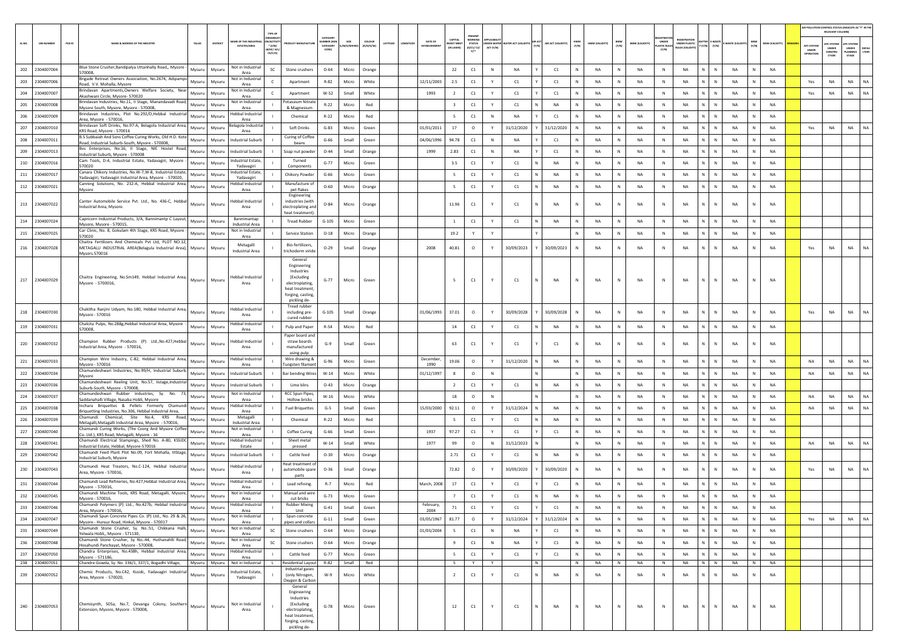|       |                                  |        |                                                                                                                                                 |                         |               |                                                       |                                                                 |                                                                                                                              |                                                   |                |                     |          |         |                   |                                         |                                                       |             |                                  |   |                    |              |                |              |                       |                             |                              |                                       |               |              |                 |                                 | RELEVANT COLUMN)                                           | AIR POLLUTION CONTROL STATUS (INDICATE AS "Y" IN T                |
|-------|----------------------------------|--------|-------------------------------------------------------------------------------------------------------------------------------------------------|-------------------------|---------------|-------------------------------------------------------|-----------------------------------------------------------------|------------------------------------------------------------------------------------------------------------------------------|---------------------------------------------------|----------------|---------------------|----------|---------|-------------------|-----------------------------------------|-------------------------------------------------------|-------------|----------------------------------|---|--------------------|--------------|----------------|--------------|-----------------------|-----------------------------|------------------------------|---------------------------------------|---------------|--------------|-----------------|---------------------------------|------------------------------------------------------------|-------------------------------------------------------------------|
| SLNO. | <b>UIN NUMBER</b>                | PCB ID | NAME & ADDRESS OF THE INDUSTR'                                                                                                                  | TALUK                   | DISTRICT      | ME OF THE INDUS'                                      | TYPE OF<br>N/ACTIVI<br>$^{\circ}$ (i/M/<br>LB/HC/ H/L<br>CE/C/O | <b>OUCT MANUFACTUR</b>                                                                                                       | CATEGOR<br><b>IMBER (XG)</b><br>CATEGORY<br>CODE) | SIZE<br>/S/MI  | coLous<br>(R/O/G/W) | LATITUDE | MGITUDE | DATE OF           | CAPITAL<br><b>VEST MEN</b><br>IN LAKHS) | WORKING<br><b>STATUS</b><br>(0/C1/C2/<br>$v^{\ldots}$ | ACT (Y/N)   | UNDER WATER WATER ACT (VALIDITY) |   | AIR ACT (VALIDITY) | HWM<br>(Y/N) | HWM (VALIDITY) | BMW<br>(Y/N) | <b>BMW (VALIDITY)</b> | UNDER<br>LASTIC RU<br>(Y/N) | EGISTRATION<br>UNDER PLASTIC | <b>IATTER E-WAST</b><br>Y (Y/N) (Y/N) | E-WASTE (VAL) | (Y/N)        | MSW (VALIDITY)  | APC SYSTEM<br>UNDER<br>PERATION | <b>C SYSTER</b><br>UNDER<br>CONSTRU<br>$c$ <sub>TION</sub> | PC SYSTEN<br>UNDER<br>DEFAL<br>LANNING<br>LTERS<br>$\text{stack}$ |
| 202   | 2304007004                       |        | Blue Stone Crusher, Bandipalya Uttanhally Road,, Mysore                                                                                         | Mysuru                  | Mysuru        | Not in Industria                                      | SC                                                              | Stone crushers                                                                                                               | $O - 64$                                          | Micro          | Orange              |          |         |                   | 22                                      | C1                                                    | $\,$ N      | <b>NA</b>                        |   | C1                 | N            | <b>NA</b>      | N            | NA                    | N                           | NA<br>N                      | N                                     | NA            | N            | NA              |                                 |                                                            |                                                                   |
| 203   | 2304007006                       |        | 570008<br>Brigade Retreat Owners Association, No.2674, Adipamps                                                                                 | Mysuru                  | Mysuru        | Area<br>Not in Industrial                             |                                                                 | Apartment                                                                                                                    | $R - 82$                                          | Micro          | White               |          |         | 12/11/2003        | 2.5                                     | C1                                                    | Y           | C1                               |   | C1                 |              | NA             | N            | <b>NA</b>             | N                           | NA<br>N                      | $\mathsf{N}$                          | NA            | $\mathbb{N}$ | NA              | Yes                             | NA                                                         | NA<br>NA                                                          |
| 204   | 2304007007                       |        | oad, V.V. Mohalla, Mysore<br>Brindavan Apartments, Owners Welfare Society, Near                                                                 | Mysuru                  | Mysuru        | Area<br>Not in Industria                              |                                                                 | Apartment                                                                                                                    | W-52                                              | Small          | White               |          |         | 1993              | $\overline{2}$                          | C1                                                    | Y           | C1                               |   | C1                 | $\mathbb{N}$ | NA             | ${\sf N}$    | <b>NA</b>             | N                           | $\mathsf{N}^-$<br><b>NA</b>  | $\mathbb{N}$                          | NA            | $\mathbb N$  | <b>NA</b>       | Yes                             | NA                                                         | NA<br><b>NA</b>                                                   |
| 205   | 2304007008                       |        | Akashwani Circle, Mysore- 570020<br>Brindavan Industries, No.11, II Stage, Manandavadi Road,<br>Mysore South, Mysore, Mysore - 570008           | Mysuru                  | Mysuru        | Area<br>Not in Industrial<br>Area                     |                                                                 | otassium Nitrat<br>& Magnesium                                                                                               | $R-22$                                            | Micro          | Red                 |          |         |                   | $\overline{\mathbf{3}}$                 | $\mathsf{C1}$                                         | Y           | C1                               |   | <b>NA</b>          | N            | <b>NA</b>      | N            | <b>NA</b>             | N                           | <b>NA</b><br>N.              | $\mathbb N$                           | NA            | $\mathbb N$  | <b>NA</b>       |                                 |                                                            |                                                                   |
| 206   | 2304007009                       |        | Brindavan Industries, Plot No.292/D,Hebbal Industrial<br>Area. Mysore - 570016.                                                                 | Mysuru                  | Mysuru        | lebbal Industrial<br>Area                             |                                                                 | Chemical                                                                                                                     | $R - 22$                                          | Micro          | Red                 |          |         |                   | - 5                                     | C1                                                    | N           | NA                               |   | C1                 |              | NA             | N            | NA                    | $\mathbb N$                 | N.<br>NA                     | N                                     | <b>NA</b>     | N            | <b>NA</b>       |                                 |                                                            |                                                                   |
| 207   | 2304007010                       |        | Brindavan Soft Drinks, No.97-A, Belagola Industrial Area,<br>KRS Road, Mysore - 570016                                                          | Mysuru                  | Mysuru        | lagola Industri<br>Area                               |                                                                 | Soft Drinks                                                                                                                  | $G-83$                                            | Micro          | Green               |          |         | 01/01/2011        | 17                                      | $\circ$                                               | Y           | 31/12/2020                       |   | 31/12/2020         | N            | NA             | N            | <b>NA</b>             | N                           | NA<br>N.                     | $\mathbb N$                           | NA            | $\mathbb N$  | NA              | Yes                             | NA                                                         | NA<br><b>NA</b>                                                   |
| 208   | 2304007011                       |        | B.S Subbaiah And Sons Coffee Curing Works, Old H.D. Kote<br>oad, Industrial Suburb-South, Mysore - 570008                                       | Mysuru                  | Mysuru        | ndustrial Suburb                                      |                                                                 | <b>Curing of Coffee</b><br>beans                                                                                             | $G-66$                                            | Small          | Green               |          |         | 04/06/1996        | 94.78                                   | C1                                                    | $\mathbb N$ | <b>NA</b>                        |   | C1                 |              | NA             | ${\sf N}$    | <b>NA</b>             | N                           | <b>NA</b><br>N               | N                                     | NA            | $\mathbb N$  | NA              |                                 |                                                            |                                                                   |
| 209   | 2304007013                       |        | Bvs Enterprises, No.16, II Stage, NIE Hostel Road,<br>ndustrial Suburb, Mysore - 570008                                                         | Mysuru                  | Mysuru        | ndustrial Suburb                                      |                                                                 | Soap nut powder                                                                                                              | $O-44$                                            | Small          | Orange              |          |         | 1999              | 2.83                                    | C1                                                    | $\mathbb N$ | <b>NA</b>                        |   | C1                 |              | <b>NA</b>      | N            | <b>NA</b>             | N                           | NA<br>N                      | $\mathsf{N}$                          | NA            | $\mathbb N$  | <b>NA</b>       |                                 |                                                            |                                                                   |
| 210   | 2304007016                       |        | Cam Tools, D-4, Industrial Estate, Yadavagiri, Mysore<br>70020                                                                                  | Mysuru                  | Mysuru        | ndustrial Estate,<br>Yadavagiri                       |                                                                 | Turned<br>Component:                                                                                                         | $G-77$                                            | Micro          | Green               |          |         |                   | 3.5                                     | C1                                                    | Y           | C1                               |   | <b>NA</b>          | N            | <b>NA</b>      | N            | <b>NA</b>             | N                           | <b>NA</b><br>N.              | $\mathbb N$                           | NA            | $\mathbb N$  | <b>NA</b>       |                                 |                                                            |                                                                   |
| 211   | 2304007017                       |        | Canara Chikory Industries, No.W-7,W-8, Industrial Estate<br>Yadavagiri, Yadavagiri Industrial Area, Mysore - 570020,                            | Mysuru                  | Mysuru        | ndustrial Estate,<br>Yadavagiri                       |                                                                 | Chikory Powder                                                                                                               | $G-66$                                            | Micro          | Green               |          |         |                   | 5                                       | C1                                                    | Y           | C1                               |   | NA                 |              | <b>NA</b>      | N            | NA                    | N                           | N.<br>NA                     | N                                     | NA            | $\mathbf{N}$ | NA              |                                 |                                                            |                                                                   |
| 212   | 2304007021                       |        | Canning Solutions, No. 232-A, Hebbal Industrial Area<br>Mysore                                                                                  | Mysuru                  | Mysuru        | Hebbal Industria<br>Area                              |                                                                 | Manufacture o<br>pet flakes                                                                                                  | $O - 60$                                          | Micro          | Orange              |          |         |                   | - 5                                     | C1                                                    | Y           | C1                               |   | NA                 | $\mathbb N$  | NA             | N            | NA                    | N                           | NA<br>N                      | N                                     | NA            | N            | NA              |                                 |                                                            |                                                                   |
|       | 213 2304007022                   |        | Canter Automobile Service Pvt. Ltd., No. 436-C, Hebbal<br>Industrial Area, Mysore.                                                              | Mysuru                  | Mysuru        | lebbal Industria<br>Area                              |                                                                 | Engineering<br>ndustries (with<br>electroplating and                                                                         | $O - 84$                                          | Micro          | Orange              |          |         |                   | 11.96                                   | C1                                                    | Y           | C1                               |   | NA                 | N            | NA             | N            | NA                    | N                           | NA<br>N                      | N                                     | <b>NA</b>     |              | <b>NA</b>       |                                 |                                                            |                                                                   |
|       | 214 2304007024                   |        | Capricorn Industrial Products, 3/A, Bannimantp C Layout,                                                                                        | Mysuru                  | Mysuru        | Bannimantap                                           |                                                                 | heat treatment).<br><b>Tread Rubber</b>                                                                                      | $G-105$                                           | Micro          | Green               |          |         |                   | $\overline{1}$                          | $\mathsf{C1}$                                         | Y           | C1                               |   | <b>NA</b>          | N            | <b>NA</b>      | N            | <b>NA</b>             | N                           | <b>NA</b><br>N.              | N                                     | <b>NA</b>     | N            | <b>NA</b>       |                                 |                                                            |                                                                   |
| 215   | 2304007025                       |        | Mysore, Mysore - 570015,<br>Car Clinic, No. 8, Gokulam 4th Stage, KRS Road, Mysore<br>570020                                                    | Mysuru                  | Mysuru        | Industrial Area<br>Not in Industrial<br>Area          |                                                                 | <b>Service Station</b>                                                                                                       | $O-18$                                            | Micro          | Orange              |          |         |                   | 19.2                                    | Y                                                     | Y           |                                  |   |                    |              | NA             | N            | <b>NA</b>             | N                           | NA<br>N.                     | N                                     | <b>NA</b>     | N            | <b>NA</b>       |                                 |                                                            |                                                                   |
|       | 216 2304007028                   |        | Chaitra Fertilizers And Chemicals Pvt Ltd, PLOT NO.12<br>METAGALLI INDUSTRIAL AREA(Belagula Industrial Area), Mysuru<br>Mysors.570016           |                         | Mysuru        | Metagalli<br><b>Industrial Area</b>                   |                                                                 | Bio-fertilizers,<br>trichoderm viride                                                                                        | $O-29$                                            | Small          | Orange              |          |         | 2008              | 40.81                                   | $\circ$                                               | Y           | 30/09/2023                       |   | 30/09/2023         | N            | NA             | N            | NA                    | $\mathbb N$                 | NA<br>N                      | N                                     | <b>NA</b>     | N            | <b>NA</b>       | Yes                             | NA                                                         | NA<br><b>NA</b>                                                   |
|       |                                  |        |                                                                                                                                                 |                         |               |                                                       |                                                                 | General<br>Engineering<br>Industries                                                                                         |                                                   |                |                     |          |         |                   |                                         |                                                       |             |                                  |   |                    |              |                |              |                       |                             |                              |                                       |               |              |                 |                                 |                                                            |                                                                   |
|       | 217 2304007029                   |        | Chaitra Engineering, No.Sm149, Hebbal Industrial Area,<br>Mysore - 5700016,                                                                     | Mysuru                  | Mysuru        | Hebbal Industrial<br>Area                             |                                                                 | (Excluding<br>electroplating,<br>heat treatment<br>forging, casting<br>pickling de-                                          | $G-77$                                            | Micro          | Green               |          |         |                   | 5                                       | $\mathsf{C1}$                                         |             | C1                               |   | <b>NA</b>          | N            | <b>NA</b>      | N            | <b>NA</b>             | N                           | <b>NA</b><br>N               | N                                     | <b>NA</b>     |              | NA              |                                 |                                                            |                                                                   |
| 218   | 2304007030                       |        | Chakitha Raniini Udvam, No.180, Hebbal Industrial Area<br>Mysore - 570016                                                                       | Mysuru                  | Mysuru        | <b>Hebbal Industrial</b><br>Area                      |                                                                 | Tread rubber<br>including pre-<br>cured rubber                                                                               | $G-105$                                           | Small          | Orange              |          |         | 01/06/1993        | 37.01                                   | $\circ$                                               | Y           | 30/09/2028                       |   | 30/09/2028         |              | <b>NA</b>      | ${\sf N}$    | <b>NA</b>             | N                           | <b>NA</b>                    |                                       | NA            |              | <b>NA</b>       | Yes                             | NA                                                         | NA<br>NA                                                          |
|       | 219 2304007031                   |        | Chalcita Pulps, No.288g, Hebbal Industrial Area, Mysore<br>570008,                                                                              | Mysuru                  | Mysuru        | -lebbal Industrial<br>Area                            |                                                                 | Pulp and Paper                                                                                                               | $R-54$                                            | Micro          | Red                 |          |         |                   | 14                                      | C1                                                    | Y           | C1                               |   | NA                 | $\mathbb{N}$ | NA             | ${\sf N}$    | NA                    | $\,$ N                      | $\mathsf{N}^-$<br><b>NA</b>  | $\mathbb{N}$                          | NA            | N            | NA              |                                 |                                                            |                                                                   |
|       | 220 2304007032                   |        | Champion Rubber Products (P) Ltd., No.427, Hebbal<br>ndustrial Area, Mysore - 570016,                                                           | Mysuru                  | Mysuru        | lebbal Industria<br>Area                              |                                                                 | Paper board and<br>straw boards<br>manufactured                                                                              | $G-9$                                             | Small          | Green               |          |         |                   | 63                                      | C1                                                    |             | C1                               |   | C1                 | $\mathbb N$  | NA             | N            | <b>NA</b>             | ${\sf N}$                   | NA                           | N                                     | NA            |              | NA              |                                 |                                                            |                                                                   |
| 221   | 2304007033                       |        | Champion Wire Industry, C-82, Hebbal Industrial Area,<br>Mysore - 570016                                                                        | Mysuru                  | Mysuru        | Hebbal Industria<br>Area                              |                                                                 | using pulp.<br>Wire drawing &<br><b>Fungsten filamen</b>                                                                     | G-96                                              | Micro          | Green               |          |         | December<br>1990  | 19.06                                   | $\circ$                                               | Y           | 31/12/2020                       |   | NA                 | N            | NA             | N            | <b>NA</b>             | $\,$ N                      | <b>NA</b><br>N               | $\,$ N                                | NA            | N            | NA              | NA                              | NA                                                         | NA<br>NA                                                          |
| 222   | 2304007034                       |        | Chamundeshwari Industries, No.99/H, Industrial Suburb,<br>Mysore                                                                                | Mysuru                  | Mysuru        | ndustrial Suburb                                      |                                                                 | Bar bending Wire:                                                                                                            | $W-14$                                            | Micro          | White               |          |         | 01/12/1997        | 8                                       | $\circ$                                               | ${\sf N}$   |                                  |   |                    |              | NA             | ${\sf N}$    | <b>NA</b>             | $\,$ N                      | NA<br>N                      | $\mathsf{N}$                          | NA            | $\mathbb N$  | <b>NA</b>       | NA                              | NA                                                         | NA<br>NA                                                          |
| 223   | 2304007036                       |        | Chamundeshwari Reeling Unit, No.57, listage,Industrial<br>Suburb-South, Mysore - 570008,                                                        | Mysuru                  | Mysuru        | <b>Industrial Suburb</b>                              |                                                                 | Lime kilns                                                                                                                   | $O-43$                                            | Micro          | Orange              |          |         |                   | $\overline{2}$                          | C1                                                    | Y           | C1                               |   | NA                 | $\mathbb N$  | NA             | N            | NA                    | N                           | $\mathsf{N}^-$<br>NA         | $\mathbb{N}$                          | NA            | N            | NA              |                                 |                                                            |                                                                   |
| 224   | 2304007037                       |        | Chamundeshwari Rubber Industries, Sy. No.<br>Saddanahalli Village, Nasaba Hobli, Mysore                                                         | Mysuru                  | Mysuru        | Not in Industrial<br>Area                             |                                                                 | <b>RCC Spun Pipes</b><br>Hollow bricks                                                                                       | $W-16$                                            | Micro          | White               |          |         |                   | 18                                      | $\circ$                                               | N           |                                  |   |                    |              | <b>NA</b>      | N            | <b>NA</b>             | N                           | <b>NA</b><br>N.              | N                                     | <b>NA</b>     | $\mathbb N$  | <b>NA</b>       | <b>NA</b>                       | <b>NA</b>                                                  | NA<br><b>NA</b>                                                   |
| 225   | 2304007038                       |        | nchara Briquettes & Pellets Formerly Chamundi<br>Briquetting Industries, No.306, Hebbal Industrial Area,                                        | Mysuru                  | Mysuru        | lebbal Industria<br>Area                              |                                                                 | <b>Fuel Briquettes</b>                                                                                                       | $G-5$                                             | Small          | Green               |          |         | 15/03/2000        | 92.11                                   | $\circ$                                               |             | 31/12/2024                       |   | <b>NA</b>          |              | NA             | N            | NA                    | $\mathbb{N}$                | N.<br><b>NA</b>              | N                                     | <b>NA</b>     | N            | <b>NA</b>       | NA                              | NA                                                         | NA<br>NA                                                          |
| 226   | 2304007039                       |        | Chamundi Chemical, Site No.4, KRS Road,<br>Metagalli, Metagalli Industrial Area, Mysore - 570016,                                               | Mysuru                  | Mysuru        | Metagalli<br><b>Industrial Area</b>                   |                                                                 | Chemical                                                                                                                     | $R-22$                                            | Micro          | Red                 |          |         |                   | 5                                       | C1                                                    | Y           | C1                               |   | NA                 | $\mathbb N$  | NA             | N            | <b>NA</b>             | $\mathbb N$                 | NA<br>$\mathsf{N}^-$         | $\mathbb N$                           | NA            | N            | NA              |                                 |                                                            |                                                                   |
| 227   | 2304007040                       |        | hamundi Curing Works, (The Coorg And Mysore Coffee<br>Co. Ltd.), KRS Road, Metagalli, Mysore - 16                                               | Mysuru                  | Mysuru        | Not in Industrial<br>Area                             |                                                                 | Coffee Curing                                                                                                                | $G-66$                                            | Small          | Green               |          |         | 1937              | 97.27                                   | C1                                                    | Y           | C1                               |   | C1                 |              | NA             | ${\sf N}$    | <b>NA</b>             | $\mathbb N$                 | NA<br>N                      | N                                     | NA            | $\mathbb N$  | NA              |                                 |                                                            |                                                                   |
| 228   | 2304007041                       |        | Chamundi Electrical Stampings, Shed No. A-80, KSSIDC<br>Industrial Estate, Hebbal, Mysore-570016                                                | Mysuru                  | Mysuru        | -lebbal Industrial<br>Estate                          |                                                                 | Sheet metal<br>pressed                                                                                                       | $W-14$                                            | Small          | White               |          |         | 1977              | 99                                      | $\circ$                                               | ${\sf N}$   | 31/12/2023                       |   |                    |              | <b>NA</b>      | N            | <b>NA</b>             | N                           | N<br><b>NA</b>               | $\mathsf{N}$                          | NA            | $\mathbb N$  | NA              | NA                              | <b>NA</b>                                                  | NA<br>NA                                                          |
| 229   | 2304007042                       |        | Chamundi Feed Plant Plot No.09, Fort Mohalla, IIIStage,<br>ndustrial Suburb, Mysore                                                             | Mysuru                  | Mysuru        | Industrial Suburb                                     |                                                                 | Cattle feed                                                                                                                  | $O-30$                                            | Micro          | Orange              |          |         |                   | 2.71                                    | $\mathsf{C1}$                                         | Y           | C1                               |   | <b>NA</b>          | N            | <b>NA</b>      | N            | <b>NA</b>             | N                           | <b>NA</b><br>N.              | $\mathbb N$                           | NA            | $\mathbb N$  | <b>NA</b>       |                                 |                                                            |                                                                   |
| 230   | 2304007043                       |        | hamundi Heat Treators, No.C-124, Hebbal Industrial<br>Area, Mysore - 570016,                                                                    | Mysuru                  | Mysuru        | <b>Hebbal Industrial</b><br>Area                      |                                                                 | leat treatment o<br>automobile spare<br>parts                                                                                | $O-36$                                            | Small          | Orange              |          |         |                   | 72.82                                   | $\circ$                                               |             | 30/09/2020                       |   | 30/09/2020         |              | <b>NA</b>      | N            | <b>NA</b>             | $\mathbb N$                 | <b>NA</b><br>N               | N                                     | <b>NA</b>     | $\mathbb N$  | NA              | Yes                             | <b>NA</b>                                                  | NA<br><b>NA</b>                                                   |
| 231   | 2304007044                       |        | Chamundi Lead Refineries, No.427,Hebbal Industrial Area,<br>Mysore - 570016,                                                                    | Mysuru                  | Mysuru        | Hebbal Industria<br>Area                              |                                                                 | Lead refining.                                                                                                               | $R-7$                                             | Micro          | Red                 |          |         | March, 2008       | 17                                      | C1                                                    | Y           | C1                               |   | C1                 |              | <b>NA</b>      | N            | NA                    | $\mathbb N$                 | <b>NA</b><br>N               | N                                     | <b>NA</b>     | N            | <b>NA</b>       |                                 |                                                            |                                                                   |
| 232   | 2304007045                       |        | Chamundi Machine Tools, KRS Road, Metagalli, Mysore,<br>Mysore - 570016,                                                                        | Mysuru                  | Mysuru        | Not in Industrial<br>Area                             |                                                                 | Manual and wire<br>cut bricks                                                                                                | $G-73$                                            | Micro          | Green               |          |         |                   | $\overline{7}$                          | C1                                                    |             | C1                               |   | NA                 |              | <b>NA</b>      | N            | NA                    | $\mathbb N$                 | N<br>NA                      | N                                     | <b>NA</b>     |              | <b>NA</b>       |                                 |                                                            |                                                                   |
|       | 233 2304007046                   |        | Chamundi Polymers (P) Ltd., No.427b, Hebbal Industri<br>Area, Mysore - 570016,                                                                  | Mysuru                  | Mysuru        | ebbal Industria<br>Area                               |                                                                 | <b>Rubber Mixine</b><br>Unit                                                                                                 | $G-41$                                            | Small          | Green               |          |         | February.<br>2004 | 71                                      | C1                                                    | Y           | C1                               |   | C1                 |              | NA             | N            | NA                    | N                           | <b>NA</b><br>N               |                                       | NA            | N            | NA              |                                 |                                                            |                                                                   |
|       | 234 2304007047                   |        | Chamundi Spun Concrete Pipes Co. (P) Ltd., No. 29 & 26,<br>Mysore - Hunsur Road, Hinkal, Mysore - 570017                                        | Mysuru                  | Mysuru        | Not in Industrial<br>Area                             |                                                                 | Spun concrete<br>pipes and collars                                                                                           | $G-11$                                            | Small          | Green               |          |         | 03/05/1967        | 81.77                                   | $\circ$                                               | Y           | 31/12/2024                       |   | 31/12/2024         | N            | NA             | $\,N\,$      | <b>NA</b>             | N                           | $\,$ N $\,$<br><b>NA</b>     | N                                     | NA            | N            | NA              | Yes                             | NA                                                         | NA<br><b>NA</b>                                                   |
|       | 235 2304007049                   |        | Chamundi Stone Crusher, Sy. No.:51, Chikkana Halli,<br>Yelwala Hobli,, Mysore - 571130,<br>Chamundi Stone Crusher, Sy No.:44, Huthanahlli Road, | Mysuru                  | Mysuru        | Not in Industrial<br>Area                             | SC                                                              | Stone crushers                                                                                                               | $O - 64$                                          | Micro          | Orange              |          |         | 01/03/2004        | $5 -$                                   | C1                                                    | N           | <b>NA</b>                        |   | C1                 | N            | NA             | ${\sf N}$    | NA                    | N                           | NA<br>N                      | N                                     | NA            | N            | NA              |                                 |                                                            |                                                                   |
|       | 236 2304007048                   |        | Hosahundi Panchayat, Mysore - 570008,                                                                                                           | Mysuru                  | Mysuru        | Not in Industrial<br>Area<br><b>Hebbal Industrial</b> | SC                                                              | Stone crushers                                                                                                               | $O - 64$                                          | Micro          | Orange              |          |         |                   | -9                                      | C1                                                    | N           | NA                               |   | C1                 | N            | NA             | ${\sf N}$    | NA                    | N                           | NA                           | $\,N\,$ $\,$ $\,$ $\,N\,$             | $_{\sf NA}$   | N            | <b>NA</b>       |                                 |                                                            |                                                                   |
|       | 237 2304007050<br>238 2304007051 |        | Chandra Enterprises, No.438h, Hebbal Industrial Area,<br>Mysore - 571186,<br>Chandre Gowda, Sy. No. 336/1, 337/1, Bogadhi Village,              | Mysuru<br>Mysuru Mysuru | Mysuru        | Area<br>Not in Industrial                             |                                                                 | Cattle feed<br>Residential Layout                                                                                            | $G-77$<br>R-82                                    | Micro<br>Small | Green<br>Red        |          |         |                   | 5<br>-5                                 | C1                                                    | Y<br>Y      | C1                               | N | C1                 | N<br>N       | NA<br>NA       | N<br>N       | <b>NA</b><br>NA       | N<br>N                      | $\mathbb N$<br>NA<br>NA      | $\mathbb{N}$<br>N N                   | NA<br>NA      | N<br>N       | NA<br><b>NA</b> |                                 |                                                            |                                                                   |
|       | 239 2304007052                   |        | Chemic Products, No.C42, Kssidc, Yadavagiri Industrial<br>Area, Mysore - 570020,                                                                | Mysuru                  | Mysuru        | Industrial Estate,<br>Yadavagiri                      |                                                                 | Industrial gases<br>(only Nitrogen,<br>Oxygen & Carbon                                                                       | W-9                                               | Micro          | White               |          |         |                   | $\overline{2}$                          | C1                                                    | Y           | C1                               |   | NA                 | N            | NA             | ${\sf N}$    | NA                    | $\,$ N                      | NA<br>N                      | $\mathsf{N}$                          | NA            | N            | <b>NA</b>       |                                 |                                                            |                                                                   |
|       | 240 2304007053                   |        | Chemisynth, 505a, No.7, Devanga Colony, Southern<br>Extension, Mysore, Mysore - 570008,                                                         |                         | Mysuru Mysuru | Not in Industrial<br>Area                             |                                                                 | General<br>Engineering<br>Industries<br>(Excluding<br>electroplating,<br>heat treatment<br>forging, casting,<br>pickling de- | $G-78$                                            | Micro          | Green               |          |         |                   | 12                                      | C1                                                    | Y           | C1                               |   | NA                 | N            | NA             | $\,N\,$      | NA                    | N                           | <b>NA</b><br>$\mathbb N$     | N                                     | NA            | N            | NA              |                                 |                                                            |                                                                   |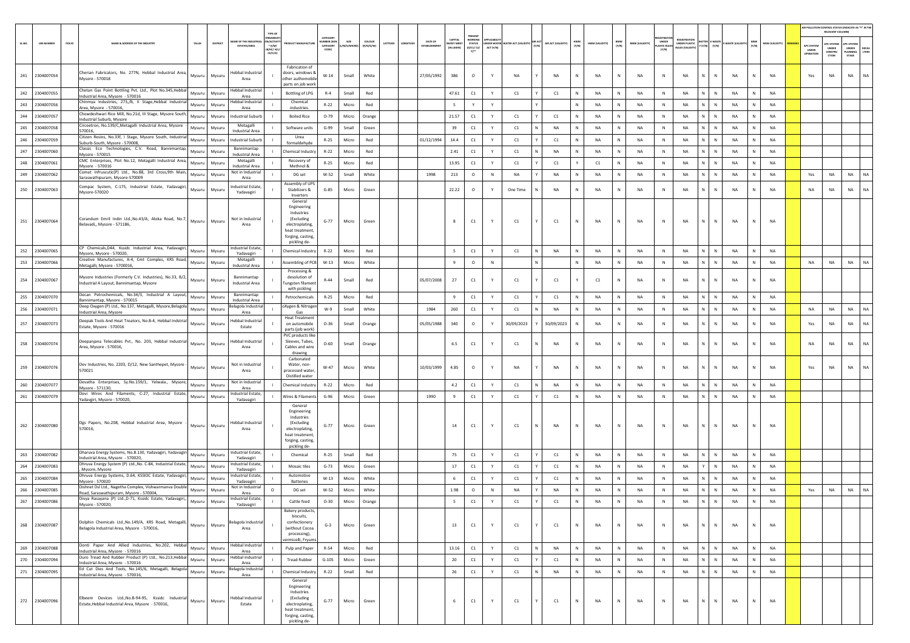|     |                  |        |                                                                                                                 |               |                                                                                              |                                                                                                                               |                                          |                  |                                |         |                             |                                   |                                                   |           |            |       |                   |              |                |              |                       |                                       |                                                           |                |                           |           |                       |                                  | RELEVANT COLUMN)                               | AIR POLLUTION CONTROL STATUS (INDICATE AS "Y" IN THE             |
|-----|------------------|--------|-----------------------------------------------------------------------------------------------------------------|---------------|----------------------------------------------------------------------------------------------|-------------------------------------------------------------------------------------------------------------------------------|------------------------------------------|------------------|--------------------------------|---------|-----------------------------|-----------------------------------|---------------------------------------------------|-----------|------------|-------|-------------------|--------------|----------------|--------------|-----------------------|---------------------------------------|-----------------------------------------------------------|----------------|---------------------------|-----------|-----------------------|----------------------------------|------------------------------------------------|------------------------------------------------------------------|
|     | <b>UIN NUMBE</b> | PCB ID | NAME & ADDRESS OF THE INDUSTR<br>TALUR                                                                          | DISTRICT      | ME OF THE INDUSTI<br><b>VACTIV</b><br>* (1/M/<br><b>ESTATES/AREA</b><br>B/HC/ H/L<br>CE/C/O) |                                                                                                                               | CATEGOR<br>UMBER DO<br>CATEGORY<br>CODE) | SIZE<br>M/S/MICR | coLour<br>ATITUDE<br>(R/O/G/W) | ONGITUD | DATE OF<br><b>ESTABLISH</b> | CAPITAL<br>VEST MEN<br>(IN LAKHS) | <b>NORKIN</b><br><b>STATUS</b><br>(0/C1/C2/<br>Y1 | ACT (Y/N) |            | (Y/N) | AIR ACT (VALIDITY | HWM<br>(Y/N) | HWM (VALIDITY) | BMW<br>(Y/N) | <b>BMW (VALIDITY)</b> | UNDER<br><b>LASTIC RULES</b><br>(Y/N) | <b>EGISTRATI</b><br>INDER PLASTIC<br><b>JLES (VALIDI)</b> |                | E-WAST<br>$(Y/N)$ $(Y/N)$ | (Y/N)     | <b>MSW (VALIDITY)</b> | APC SYSTEM<br>UNDER<br>OPERATION | APC SYSTER<br><b>UNDER</b><br>CONSTRU<br>CTION | APC SYSTEM<br>UNDER<br><b>DEFAU</b><br>LTERS<br>LANNING<br>STAGE |
| 241 | 2304007054       |        | Cherian Fabricators, No. 277N, Hebbal Industrial Area<br>Mysuru<br>Mysore - 570018                              | Mysuru        | ebbal Industrial<br>Area                                                                     | Fabrication of<br>doors, windows 8<br>other authomobile<br>parts on job work                                                  | $W-14$                                   | Small            | White                          |         | 27/05/1992                  | 386                               | $\circ$                                           | Y         | <b>NA</b>  |       | NA                | N            | NA             | N            | <b>NA</b>             | N                                     | NA                                                        | N              | N<br>NA                   | N         | <b>NA</b>             | Yes                              | NA                                             | NA<br>NA                                                         |
|     | 242 2304007055   |        | Chetan Gas Point Bottling Pvt. Ltd., Plot No.345, Hebba<br>Mysuru<br>Industrial Area, Mysore - 570016           | Mysuru        | Hebbal Industrial<br>Area                                                                    | Bottling of LPG                                                                                                               | $R-4$                                    | Small            | Red                            |         |                             | 47.61                             | C1                                                | Y         | C1         |       | C1                | $\mathbb N$  | <b>NA</b>      | N            | <b>NA</b>             | N                                     | NA                                                        | N              | N<br>NA                   | N         | <b>NA</b>             |                                  |                                                |                                                                  |
| 243 | 2304007056       |        | Chinmya Industries, 273,/B, II Stage, Hebbal Industria<br>Mysuru<br>Area. Mysore - 570016.                      | Mysuru        | ebbal Industrial<br>Area                                                                     | Chemical<br>industries.                                                                                                       | $R-22$                                   | Micro            | Red                            |         |                             | $\sim$                            | Y                                                 | Y         |            |       |                   | N            | <b>NA</b>      | N            | <b>NA</b>             | $\mathbb N$                           | NA                                                        | N              | $\mathbb{N}$<br>NA        | N         | <b>NA</b>             |                                  |                                                |                                                                  |
| 244 | 2304007057       |        | Chowdeshwari Rice Mill, No.21d, III Stage, Mysore South<br>Mysuru<br>Industrial Suburb, Mysore                  | Mysuru        | Industrial Suburb                                                                            | <b>Boiled Rice</b>                                                                                                            | $O-79$                                   | Micro            | Orange                         |         |                             | 21.57                             | C1                                                | Y         | C1         |       | C1                | $\mathbb N$  | <b>NA</b>      | N            | NA                    | N                                     | <b>NA</b>                                                 | N              | $\mathbb N$<br>NA         | N         | <b>NA</b>             |                                  |                                                |                                                                  |
| 245 | 2304007058       |        | Circeetron, No.139/C, Metagalli Industrial Area, Mysore<br>Mysuru<br>570016,                                    | Mysuru        | Metagalli<br>Industrial Area                                                                 | Software units                                                                                                                | $G-99$                                   | Small            | Green                          |         |                             | 39                                | C1                                                | Y         | C1         |       | NA                | $\mathsf{N}$ | <b>NA</b>      | N            | NA                    | $\mathbb N$                           | <b>NA</b>                                                 | N              | ${\sf N}$<br>NA           | N         | NA                    |                                  |                                                |                                                                  |
| 246 | 2304007059       |        | Citizen Resins, No.33f, I Stage, Mysore South, Industria<br>Mysuru<br>Suburb-South, Mysore - 570008,            | Mysuru        | <b>Industrial Suburb</b>                                                                     | Urea<br>formaldehyde                                                                                                          | $R-25$                                   | Micro            | Red                            |         | 01/12/1994                  | 14.4                              | C1                                                | Y         | C1         |       | C1                | N            | <b>NA</b>      | N            | NA                    | $\mathbb N$                           | NA                                                        | N              | ${\sf N}$<br>NA           | ${\sf N}$ | <b>NA</b>             |                                  |                                                |                                                                  |
|     | 247 2304007060   |        | Classic Eco Technologies, C.V. Road, Bannimantap<br>Mysuru<br>Mysore - 570015                                   | Mysuru        | Bannimantap<br>Industrial Area                                                               | Chemical Industry                                                                                                             | $R - 22$                                 | Micro            | Red                            |         |                             | 2.41                              | C1                                                | Y         | C1         |       | <b>NA</b>         | N            | <b>NA</b>      | N            | <b>NA</b>             | $\mathbb N$                           | <b>NA</b>                                                 | N              | $\mathbb{N}$<br><b>NA</b> | N         | <b>NA</b>             |                                  |                                                |                                                                  |
| 248 | 230400706        |        | CMC Enterprises, Plot No.12, Metagalli Industrial Area<br>Mysuru<br>Mysore - 570016                             | Mysuru        | Metagalli<br><b>Industrial Area</b>                                                          | Recovery of<br>Methnol &                                                                                                      | R-25                                     | Micro            | Red                            |         |                             | 13.95                             | C1                                                |           | C1         |       | C1                |              | C1             | N            | <b>NA</b>             | $\mathbb N$                           | NA                                                        | N              | $\mathbb{N}$<br>NA        | N         | <b>NA</b>             |                                  |                                                |                                                                  |
| 249 | 2304007062       |        | Comat Infruscutic(P) Ltd., No.88, 3rd Cross,9th Main<br>Mysuru<br>Saraswathipuram, Mysore-570009                | Mysuru        | Not in Industrial<br>Area                                                                    | DG set                                                                                                                        | W-52                                     | Small            | White                          |         | 1998                        | 213                               | $\circ$                                           | $\,$ N    | NA         |       | NA                | $\mathbb N$  | NA             | N            | NA                    | $\mathbb N$                           | <b>NA</b>                                                 | $\mathsf{N}^-$ | $\mathbb N$<br>NA         | N         | NA                    | Yes                              | NA                                             | NA<br>NA                                                         |
| 250 | 2304007063       |        | Compac System, C-175, Industrial Estate, Yadavagir<br>Mysuru                                                    | Mysuru        | dustrial Estate,                                                                             | Assembly of UPS<br>Stabilizers &                                                                                              | $G-85$                                   | Micro            | Green                          |         |                             | 22.22                             | $\circ$                                           |           | One Time   |       | NA                | ${\sf N}$    | NA             | N            | NA                    | N                                     | NA                                                        | N              | ${\sf N}$<br>NA           |           | NA                    | NA                               | NA                                             | NA<br>NA                                                         |
|     | 251 2304007064   |        | Mysore-570020<br>Corandum Emril Indin Ltd., No.43/A, Aloka Road, No.7                                           | Mysuru Mysuru | Yadavagiri<br>Not in Industrial                                                              | Inverters<br>General<br>Engineering<br>Industries<br>(Excluding                                                               | $G-77$                                   | Micro            | Green                          |         |                             | 8                                 | C1                                                |           | C1         |       | C1                | $\mathbb N$  | <b>NA</b>      | N            | NA                    | N                                     | NA                                                        | N              | $\mathbb{N}$<br>NA        | <b>N</b>  | <b>NA</b>             |                                  |                                                |                                                                  |
|     |                  |        | Belavadi,, Mysore - 571186,                                                                                     |               | Area                                                                                         | electroplating,<br>heat treatment,<br>forging, casting,<br>pickling de-                                                       |                                          |                  |                                |         |                             |                                   |                                                   |           |            |       |                   |              |                |              |                       |                                       |                                                           |                |                           |           |                       |                                  |                                                |                                                                  |
| 252 | 2304007065       |        | CP Chemicals, D44, Kssidc Industrial Area, Yadavagir<br>Mysuru<br>Mysore, Mysore - 570020                       | Mysuru        | Industrial Estate,<br>Yadavagiri                                                             | Chemical Industr                                                                                                              | R-22                                     | Micro            | Red                            |         |                             | - 5                               | C1                                                |           | C1         |       | NA                | N            | NA             | N            | NA                    | N                                     | NA                                                        | N              | $\mathbb N$<br>NA         | N         | NA                    |                                  |                                                |                                                                  |
|     | 253 2304007066   |        | Creative Manufactures, A-4, Cmt Comples, KRS Road<br>Mysuru<br>Metagalli, Mysore - 5700016,                     | Mysuru        | Metagalli<br>Industrial Area                                                                 | Assembling of PCB                                                                                                             | $W-13$                                   | Micro            | White                          |         |                             | 9                                 | $\circ$                                           | N         |            | N     |                   | $\mathbb N$  | NA             | N            | NA                    | N                                     | <b>NA</b>                                                 | N              | N<br>NA                   | N         | NA                    | NA                               | NA                                             | NA.<br>NA                                                        |
|     | 254 2304007067   |        | Mysore Industries (Formerly C.V. Industries), No.33, B/2,<br>Mysuru<br>Industrial A Layout, Bannimantap, Mysore | Mysuru        | Bannimantap<br>Industrial Area                                                               | Processing &<br>desolution of<br>ungsten filamen<br>with pickling                                                             | $R-44$                                   | Small            | Red                            |         | 05/07/2008                  | 27                                | C1                                                |           | C1         |       | C1                | Y            | C1             | N            | <b>NA</b>             | N                                     | NA                                                        | N              | $\mathbb N$<br>NA         | N         | <b>NA</b>             |                                  |                                                |                                                                  |
| 255 | 2304007070       |        | Decan Petrochemicals, No.34/3, Industrial A Layout<br>Mysuru<br>Bannimantap, Mysore - 570015                    | Mysuru        | Bannimantap<br>Industrial Area                                                               | Petrochemicals                                                                                                                | $R-25$                                   | Micro            | Red                            |         |                             | 9                                 | C1                                                | Y         | C1         |       | $\mathsf{C1}$     | N            | <b>NA</b>      | N            | <b>NA</b>             | $\mathbb N$                           | <b>NA</b>                                                 | N              | $\mathbb N$<br><b>NA</b>  | N         | NA                    |                                  |                                                |                                                                  |
| 256 | 230400707        |        | Deep Oxygen (P) Ltd., No.137, Metagalli, Mysore, Belagola<br>Mysuru<br>ndustrial Area, Mysore                   | Mysuru        | agola Industria<br>Area                                                                      | oXygen & Nitroger<br>Gas                                                                                                      | W-9                                      | Small            | White                          |         | 1984                        | 260                               | C1                                                | Y         | C1         |       | NA                | N            | NA             | N            | NA                    | N                                     | NA                                                        | N              | $\mathbb N$<br>NA         | N         | NA                    | NA                               | NA                                             | NA<br>NA                                                         |
| 257 | 2304007073       |        | Deepak Tools And Heat Treators, No.B-4, Hebbal Indstria<br>Mysuru<br>Estate, Mysore - 570016                    | Mysuru        | ebbal Industrial<br>Estate                                                                   | <b>Heat Treatment</b><br>on automobile<br>parts (job work)                                                                    | $O-36$                                   | Small            | Orange                         |         | 05/05/1988                  | 340                               | $\circ$                                           | Y         | 30/09/2023 |       | 30/09/2023        | N            | <b>NA</b>      | N            | <b>NA</b>             | N                                     | NA                                                        | N              | $\mathbb N$<br>NA         | N         | <b>NA</b>             | Yes                              | NA                                             | NA<br>NA                                                         |
|     | 258 2304007074   |        | Deepanjana Telecables Pvt., No. 203, Hebbal Industria<br>Mysuru<br>Area, Mysore - 570016,                       | Mysuru        | lebbal Industria<br>Area                                                                     | PVC products like<br>Sleeves, Tubes,<br>Cables and wire<br>drawing                                                            | $O - 60$                                 | Small            | Orange                         |         |                             | 6.5                               | C1                                                |           | C1         |       | NA                | $\mathbb N$  | <b>NA</b>      | N            | <b>NA</b>             | ${\sf N}$                             | NA                                                        | N              | $\mathbb N$<br>NA         | N         | <b>NA</b>             | <b>NA</b>                        | NA                                             | NA<br><b>NA</b>                                                  |
|     | 259 2304007076   |        | Dev Industries, No. 2203, D/12, New Santhepet, Mysore<br>Mysuru<br>570021                                       | Mysuru        | Not in Industrial<br>Area                                                                    | Carbonated<br>Water, non-<br>processed water<br>Distilled water                                                               | W-47                                     | Micro            | White                          |         | 10/03/1999                  | 4.85                              | $\circ$                                           |           | <b>NA</b>  |       | NA                | N            | NA             | N            | NA                    | N                                     | <b>NA</b>                                                 | N              | $\mathsf{N}$<br>NA        | N         | NA                    | Yes                              | NA                                             | NA<br>NA                                                         |
|     | 260 2304007077   |        | Devatha Enterprises, Sy.No.159/1, Yelwala., Myson<br>Mysore - 571130,                                           | Mysuru Mysuru | Not in Industrial<br>Area                                                                    | Chemical Industry                                                                                                             | $R - 22$                                 | Micro            | Red                            |         |                             | 4.2                               | C1                                                | Y         | C1         |       | <b>NA</b>         | N            | <b>NA</b>      | N            | <b>NA</b>             | N                                     | <b>NA</b>                                                 | N              | NA<br>$\mathbb N$         | N         | <b>NA</b>             |                                  |                                                |                                                                  |
|     | 261 2304007079   |        | Devi Wires And Filaments, C-27, Industrial Estate,<br>Mysuru<br>Yadavgiri, Mysore - 570020,                     | Mysuru        | ndustrial Estate,<br>Yadavagiri                                                              | Wires & Filament                                                                                                              | $G-96$                                   | Micro            | Green                          |         | 1990                        | -9                                | $\mathsf{C1}$                                     |           | C1         |       | C1                | N            | NA             | N            | <b>NA</b>             | $\mathbb N$                           | NA                                                        | N              | $\mathbb N$<br>NA         | N         | <b>NA</b>             |                                  |                                                |                                                                  |
|     | 262 2304007080   |        | Dgs Papers, No.208, Hebbal Industrial Area, Mysore<br>Mysuru<br>570016,                                         | Mysuru        | lebbal Industrial<br>Area                                                                    | General<br>Engineering<br>Industries<br>(Excluding<br>electroplating,<br>heat treatment,<br>forging, casting,<br>pickling de- | $G-77$                                   | Micro            | Green                          |         |                             | 14                                | C1                                                | Υ         | C1         | N     | NA                | N            | NA             | N            | NA                    | N                                     | NA                                                        | N              | N<br>NA                   |           | NA                    |                                  |                                                |                                                                  |
| 263 | 2304007082       |        | Dharuva Energy Systems, No.B.130, Yadavagiri, Yadavagi<br>Mysuru<br>Industrial Area, Mysore - 570020.           | Mysuru        | Industrial Estate,<br>Yadavagiri                                                             | Chemical                                                                                                                      | $R - 25$                                 | Small            | Red                            |         |                             | 75                                | C1                                                |           | C1         |       | C1                | N            | NA             | N            | <b>NA</b>             | $\mathbb N$                           | NA                                                        | N              | $\mathbb N$<br>NA         | N         | NA                    |                                  |                                                |                                                                  |
| 264 | 2304007083       |        | Dhruva Energy System (P) Ltd., No. C-84, Industrial Estate,<br>Mysuru<br>, Mysore, Mysore                       | Mysuru        | Industrial Estate,<br>Yadavagiri                                                             | Mosaic tiles                                                                                                                  | $G-73$                                   | Micro            | Green                          |         |                             | 17                                | C1                                                | Y         | C1         |       | C1                | $\mathbb N$  | NA             | N            | NA                    | $\mathbb N$                           | <b>NA</b>                                                 | Y              | N<br>NA                   | N         | NA                    |                                  |                                                |                                                                  |
| 265 | 2304007084       |        | Dhruva Energy Systems, D.64, KSSIDC Estate, Yadavagir<br>Mysuru<br>Mysore - 570020                              | Mysuru        | ndustrial Estate.<br>Yadavagiri                                                              | Automotive<br><b>Batteries</b>                                                                                                | $W-13$                                   | Micro            | White                          |         |                             | 6                                 | C1                                                | Y         | C1         |       | C1                | $\mathsf{N}$ | NA             | N            | NA                    | $\mathbb N$                           | NA                                                        | N              | ${\sf N}$<br>NA           | N         | NA                    |                                  |                                                |                                                                  |
| 266 | 2304007085       |        | Dishnet Dsl Ltd., Nagetha Complex, Vishwarmanva Doubl<br>Mysuru<br>Road, Saraswathipuram, Mysore - 570004,      | Mysuru        | Not in Industria<br>Area                                                                     | DG set                                                                                                                        | W-52                                     | Micro            | White                          |         |                             | 1.98                              | $\circ$                                           | N         | <b>NA</b>  |       | NA                | $\mathsf{N}$ | NA             | N            | NA                    | ${\sf N}$                             | NA                                                        | $\mathbb{N}$   | $\mathbb N$<br>NA         | N         | NA                    | Yes                              | NA                                             | NA<br>NA                                                         |
|     | 267 2304007086   |        | Divya Rasayana (P) Ltd., D-71, Kssidc Estate, Yadavagiri<br>Mysuru<br>Mysore - 570020                           | Mysuru        | <b>Industrial Estate</b><br>Yadavagiri                                                       | Cattle feed                                                                                                                   | $O-30$                                   | Micro            | Orange                         |         |                             | 5                                 | C1                                                | Y         | C1         |       | C1                | N            | <b>NA</b>      | N            | <b>NA</b>             | $\mathbb N$                           | <b>NA</b>                                                 | N              | NA<br>$\mathbb N$         | N         | <b>NA</b>             |                                  |                                                |                                                                  |
|     | 268 2304007087   |        | Dolphin Chemicals Ltd., No.149/A, KRS Road, Metagalli,<br>Belagola Industrial Area, Mysore - 570016,            | Mysuru Mysuru | Belagola Industrial<br>Area                                                                  | Bakery products,<br>biscuits.<br>confectionery<br>(without Cocoa<br>processing),<br>rmicelli, Fryum                           | $G-3$                                    | Micro            | Green                          |         |                             | 13                                | C1                                                | Y         | C1         | Y     | C1                | N            | NA             | N            | NA                    | N                                     | <b>NA</b>                                                 | N              | N<br>NA                   | N         | NA                    |                                  |                                                |                                                                  |
|     | 269 2304007088   |        | Donti Paper And Allied Industries, No.202, Hebbal<br>Industrial Area, Mysore - 570016                           | Mysuru Mysuru | Hebbal Industria<br>Area                                                                     | Pulp and Paper                                                                                                                | $R-54$                                   | Micro            | Red                            |         |                             | 13.16                             | C1                                                | Y         | C1         | N     | NA                | N            | NA             | ${\sf N}$    | NA                    | N                                     | <b>NA</b>                                                 | $\mathsf{N}^-$ | $\mathbb N$<br>NA         | N         | <b>NA</b>             |                                  |                                                |                                                                  |
|     | 270 2304007094   |        | Duro Tread And Rubber Product (P) Ltd., No.213, Hebba<br>Industrial Area, Mysore - 570016                       | Mysuru Mysuru | ebbal Industrial<br>Area                                                                     | <b>Tread Rubber</b>                                                                                                           | $G-105$                                  | Micro            | Green                          |         |                             | 20                                | C1                                                | Y         | C1         |       | C1                | N            | <b>NA</b>      | N            | <b>NA</b>             | N                                     | <b>NA</b>                                                 | N              | N<br><b>NA</b>            | N         | <b>NA</b>             |                                  |                                                |                                                                  |
|     | 271 2304007095   |        | Ed Cut Dies And Tools, No.145/6, Metagalli, Belagol<br>Mysuru<br>Industrial Area, Mysore - 570016,              | Mysuru        | Belagola Industrial<br>Area                                                                  | Chemical Industr                                                                                                              | $R - 22$                                 | Small            | Red                            |         |                             | 26                                | C1                                                | Y         | C1         | N     | NA                | $\mathbb N$  | NA             | N            | NA                    | $\mathbb N$                           | NA                                                        | N              | $\mathbb N$<br>NA         | N         | <b>NA</b>             |                                  |                                                |                                                                  |
|     | 272 2304007096   |        | Elbeem Devices Ltd., No.B-94-95, Kssidc Industrial<br>Estate, Hebbal Industrial Area, Mysore - 570016,          | Mysuru Mysuru | Hebbal Industrial<br>Estate                                                                  | General<br>Engineering<br>Industries<br>(Excluding<br>electroplating,<br>heat treatment,<br>forging, casting,<br>pickling de- | $G-77$                                   | Micro            | Green                          |         |                             | $6\phantom{.0}$                   | C1                                                | Y         | C1         | Y     | C1                | N            | NA             | N            | NA                    | N                                     | NA                                                        | N              | N<br>NA                   | N         | NA                    |                                  |                                                |                                                                  |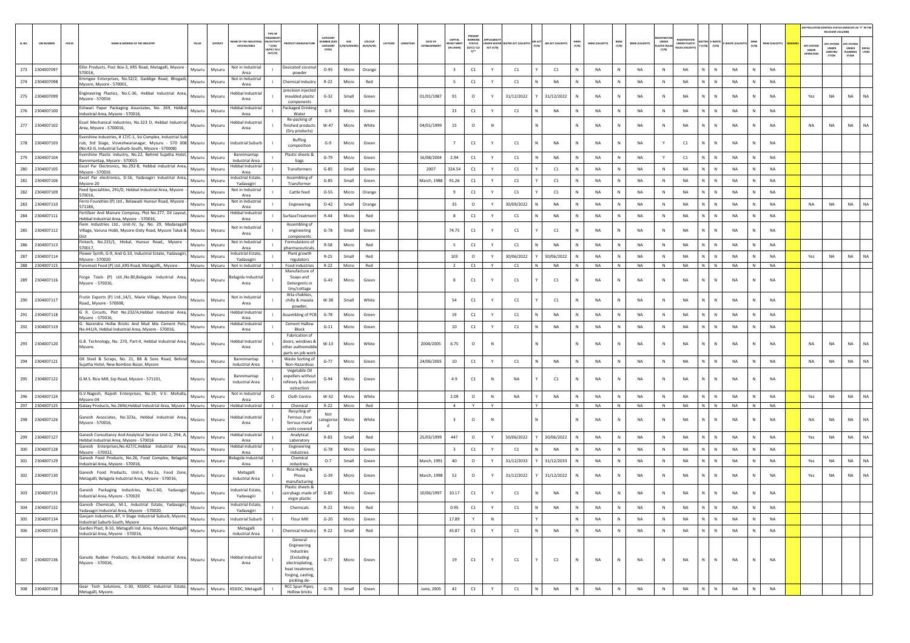|        |                   |        |                                                                                                                                                                          |         |          | TYPE OF                                                                                      |                                                                                                    |                                          |                   |                     |                                                         |                                         |                                                |           |                                        |   |                    |              |                |                                       |                               |                                  |                                    |                           |              |                |                                 | AIR POLLUTION CONTROL STATUS (INDICATE AS "Y" IN TH<br><b>RELEVANT COLUMN</b> |                                          |                       |
|--------|-------------------|--------|--------------------------------------------------------------------------------------------------------------------------------------------------------------------------|---------|----------|----------------------------------------------------------------------------------------------|----------------------------------------------------------------------------------------------------|------------------------------------------|-------------------|---------------------|---------------------------------------------------------|-----------------------------------------|------------------------------------------------|-----------|----------------------------------------|---|--------------------|--------------|----------------|---------------------------------------|-------------------------------|----------------------------------|------------------------------------|---------------------------|--------------|----------------|---------------------------------|-------------------------------------------------------------------------------|------------------------------------------|-----------------------|
| SL.NO. | <b>UIN NUMBER</b> | PCB ID | NAME & ADDRESS OF THE INDUSTRY                                                                                                                                           | TALUK   | DISTRICT | <b>LAME OF THE INDUST</b><br>N/ACTIVI<br><b>ESTATES/AREA</b><br>* (I/M/<br>HC/ H/I<br>CE/C/O | <b>UCT MANUFACTUR</b>                                                                              | CATEGORY<br><b>JMBER (XG</b><br>CATEGORY | SIZE<br>M/S/MICRO | coLour<br>(R/O/G/W) | DATE OF<br>LATITUDE<br>LONGITUDE<br><b>ESTABLISHMEN</b> | CAPITAL<br><b>VEST MEN</b><br>IN LAKHS) | PRESENT<br><b>STATUS</b><br>(0/01/02)<br>$n -$ | ACT (Y/N) | OER WATER WATER ACT (VALIDITY) AIR ACT |   | AIR ACT (VALIDITY) | HWM<br>(Y/N) | HWM (VALIDITY) | BMW<br>(Y/N)<br><b>BMW (VALIDITY)</b> | UNDER<br>LASTIC RULE<br>(Y/N) | UNDER PLASTIC<br>ULES (VALIDITY) | <b>TTER E-WASTI</b><br>(Y/N) [Y/N] | E-WASTE (VALIDI           | MSW<br>(Y/N) | MSW (VALIDITY) | APC SYSTEM<br>UNDER<br>OPERATIO | <b>PC SYSTEM</b><br><b>UNDER</b><br>CONSTRU<br>crion                          | APC SYSTEM<br>UNDER<br>PLANNING<br>STAGE | <b>DEFAU</b><br>LTERS |
| 273    | 2304007097        |        | Elite Products, Post Box-3, KRS Road, Metagalli, Mysore<br>570016.                                                                                                       | Mysuru  | Mysuru   | Not in Industrial<br>Area                                                                    | Desicated coconu<br>powder                                                                         | $O - 95$                                 | Micro             | Orange              |                                                         | $\overline{\mathbf{3}}$                 | C1                                             | Y         | C1                                     |   | C1                 |              | <b>NA</b>      | N<br>NA                               | $\mathbb{N}$                  | NA                               | N                                  | N<br><b>NA</b>            |              | <b>NA</b>      |                                 |                                                                               |                                          |                       |
| 274    | 2304007098        |        | mmgee Enterprises, No.52/2, Gaddige Road, Bhogad<br>Mysore, Mysore - 570001,                                                                                             | Mysuru  | Mysuru   | Not in Industria<br>$\mathbf{I}$<br>Area                                                     | Chemical Industry                                                                                  | $R - 22$                                 | Micro             | Red                 |                                                         | 5 <sub>1</sub>                          | C1                                             | Y         | C1                                     | Ν | NA                 | $\mathbb N$  | NA             | N<br>NA                               | N                             | NA                               | N                                  | N<br>NA                   | N            | <b>NA</b>      |                                 |                                                                               |                                          |                       |
| 275    | 2304007099        |        | ingineering Plastics, No.C-36, Hebbal Industrial Area,<br>Mysore - 570016                                                                                                | Mysuru  | Mysuru   | Hebbal Industria<br>Area                                                                     | precision injecte<br>moulded plastic<br>components                                                 | $G-32$                                   | Small             | Green               | 01/01/1987                                              | 91                                      | $\circ$                                        | Y         | 31/12/2022                             |   | 31/12/2022         | N            | <b>NA</b>      | N<br><b>NA</b>                        | N                             | <b>NA</b>                        | N                                  | $\mathbb{N}$<br><b>NA</b> |              | <b>NA</b>      | Yes                             | <b>NA</b>                                                                     | <b>NA</b>                                |                       |
| 276    | 2304007100        |        | Eshwari Paper Packaging Associates, No. 269, Hebbal<br>Industrial Area, Mysore - 570016,                                                                                 | Mysuru  | Mysuru   | Hebbal Industria<br>Area                                                                     | Packaged Drinking<br>Water                                                                         | $G-9$                                    | Micro             | Green               |                                                         | 23                                      | C1                                             | Y         | C1                                     | N | NA                 | N            | NA             | N<br>NA                               | N                             | NA                               | N                                  | NA<br>N                   | N            | NA             |                                 |                                                                               |                                          |                       |
| 277    | 2304007102        |        | ssel Mechanical Industries, No.323 D, Hebbal Industria<br>Area, Mysore - 5700016,                                                                                        | Mysuru  | Mysuru   | lebbal Industrial<br>Area                                                                    | Re-packing of<br>finished products<br>(Dry products)                                               | W-47                                     | Micro             | White               | 04/01/1999                                              | 15                                      | $\circ$                                        | N         |                                        |   |                    |              | <b>NA</b>      | N<br>NA                               | N                             | <b>NA</b>                        | N.                                 | $\mathbb N$<br>NA         |              | <b>NA</b>      | NA                              | <b>NA</b>                                                                     | NA                                       |                       |
| 278    | 2304007103        |        | Evershine Industries, # 17/C-1, Ssi Complex, Industrial Sul<br>rub, 3rd Stage, Visveshwaranagar, Mysuru - 570 008<br>(No.42-G, Industrial Suburb-South, Mysore - 570008) | Mysuru  | Mysuru   | <b>Industrial Suburb</b>                                                                     | <b>Buffing</b><br>composition                                                                      | $G-9$                                    | Micro             | Green               |                                                         | 7                                       | C1                                             | Y         | C1                                     |   | NA                 | $\mathbb N$  | <b>NA</b>      | N<br>NA                               | Y                             | C1                               | N                                  | $\mathbb N$<br><b>NA</b>  |              | NA             |                                 |                                                                               |                                          |                       |
| 279    | 2304007104        |        | ivershine Plastic Industry, No.22, Behind Sujatha Hotel<br>sannimantap, Mysore - 570015                                                                                  | Mysuru  | Mysuri   | Bannimantap<br><b>Industrial Area</b>                                                        | Plastic sheets &<br>bags                                                                           | $G - 79$                                 | Micro             | Green               | 16/08/2004                                              | 2.94                                    | $\mathsf{C1}$                                  | Y         | C1                                     | N | <b>NA</b>          | $\mathsf{N}$ | NA             | N<br>NA                               | Y                             | $\mathsf{C1}$                    | N                                  | $\mathbb{N}$<br>NA        |              | NA             |                                 |                                                                               |                                          |                       |
| 280    | 2304007105        |        | Excel Par Electronics, No.292-B, Hebbal Industrial Area,<br>Mysore - 570016                                                                                              | Mysuru  | Mysuru   | Hebbal Industria<br>Area                                                                     | Transformers                                                                                       | $G-85$                                   | Small             | Green               | 2007                                                    | 324.54                                  | C1                                             | Y         | C1                                     |   | C1                 | N            | NA             | N<br>NA                               | N                             | NA                               | N                                  | $\mathbb N$<br>NA         | N            | NA             |                                 |                                                                               |                                          |                       |
| 281    | 2304007106        |        | Excel Par electronics, D-16, Yadavagiri Industrial Area<br>Mysore-20                                                                                                     | Mysuru  | Mysuru   | ndustrial Estate,<br>Yadavagiri                                                              | Assembling of<br>Transformer                                                                       | $G-85$                                   | Small             | Green               | March, 1988                                             | 91.26                                   | $\mathsf{C1}$                                  | Y         | C1                                     |   | C1                 |              | <b>NA</b>      | N<br>NA                               | N                             | NA                               | N                                  | ${\sf N}$<br>NA           |              | NA             |                                 |                                                                               |                                          |                       |
| 282    | 2304007109        |        | Feed Specialities, 291/D, Hebbal Industrial Area, Mysore<br>370016,                                                                                                      | Mysuru  | Mysuru   | Not in Industrial<br>Area                                                                    | Cattle feed                                                                                        | $O - 55$                                 | Micro             | Orange              |                                                         | 9                                       | C1                                             | Y         | C1                                     |   | C1                 |              | <b>NA</b>      | N<br>NA                               | $\mathbb{N}$                  | NA                               | N                                  | ${\sf N}$<br>NA           |              | <b>NA</b>      |                                 |                                                                               |                                          |                       |
| 283    | 2304007110        |        | Ferro Foundries (P) Ltd., Belawadi Hunsur Road, Mysore<br>571186.                                                                                                        | Mysuru  | Mysuri   | Not in Industrial<br>Area                                                                    | Engineering                                                                                        | $O-42$                                   | Small             | Orange              |                                                         | 35                                      | $\circ$                                        | Y         | 30/09/2022                             |   | <b>NA</b>          |              | <b>NA</b>      | N<br><b>NA</b>                        | N                             | <b>NA</b>                        | N                                  | $\mathbb N$<br><b>NA</b>  |              | <b>NA</b>      | <b>NA</b>                       | NA                                                                            | NA                                       |                       |
| 284    | 2304007111        |        | Fertilizer And Manure Compnay, Plot No.277, Dil Layout<br>Hebbal Industrial Area, Mysore - 570016                                                                        | Mysuru  | Mysuru   | Hebbal Industria<br>Area                                                                     | SurfaceTreatmer                                                                                    | $R-44$                                   | Micro             | Red                 |                                                         | 8                                       | C1                                             |           | C1                                     |   | NA                 | N            | NA             | N<br>NA                               | $\mathbb N$                   | NA                               | N                                  | $\mathbb N$<br>NA         |              | <b>NA</b>      |                                 |                                                                               |                                          |                       |
| 285    | 2304007112        |        | Fiem Industries Ltd., Unit-IV, Sy. No. 29, Madaragal<br>Village, Varuna Hobli, Mysore-Ooty Road, Mysore Taluk & Mysuru                                                   |         | Mysuru   | Not in Industrial<br>Area                                                                    | Assembling of<br>engineering<br>components                                                         | $G-78$                                   | Small             | Green               |                                                         | 74.75                                   | C1                                             | Y         | C1                                     |   | C1                 | Ν            | NA             | N<br>NA                               | N                             | NA                               | N                                  | N<br>NA                   |              | <b>NA</b>      |                                 |                                                                               |                                          |                       |
| 286    | 2304007113        |        | Fintech, No.215/1, Hinkal, Hunsur Road,, Mysore<br>570017.                                                                                                               | Mysuru  | Mysuru   | Not in Industrial<br>Area                                                                    | Formulations of<br>pharmaceutical:                                                                 | $R-58$                                   | Micro             | Red                 |                                                         | 5                                       | C1                                             | Y         | C1                                     | N | <b>NA</b>          | N            | <b>NA</b>      | N<br>NA                               | $\mathbb{N}$                  | NA                               | N                                  | N<br><b>NA</b>            |              | <b>NA</b>      |                                 |                                                                               |                                          |                       |
| 287    | 2304007114        |        | lower Synth, G-9, And G-10, Industrial Estate, Yadavagir<br>Mysore - 570020                                                                                              | Mysuru  | Mysuru   | ndustrial Estate<br>Yadavagiri                                                               | Plant growth<br>regulators                                                                         | $R-25$                                   | Small             | Red                 |                                                         | 103                                     | $\circ$                                        | Y         | 30/06/2022                             |   | 30/06/2022         |              | <b>NA</b>      | N<br>NA                               | N                             | <b>NA</b>                        | N                                  | $\mathbb N$<br>NA         |              | <b>NA</b>      | Yes                             | NA                                                                            | NA                                       | NA                    |
| 288    | 2304007115        |        | Foremost Food (P) Ltd., KRS Road, Metagallli,, Mysore -                                                                                                                  | Mysuru  | Mysuru   | Not in Industrial                                                                            | Food industries<br>Manufacture o                                                                   | R-22                                     | Micro             | Red                 |                                                         | $\overline{2}$                          | C1                                             | Y         | C1                                     | N | NA                 | N            | NA             | NA<br>N                               | N                             | NA                               | N                                  | N<br>NA                   | N            | NA             |                                 |                                                                               |                                          |                       |
| 289    | 2304007116        |        | Forge Tools (P) Ltd., No.80, Belagola Industrial Area,<br>Mysore - 570016,                                                                                               | Mysuru  | Mysuru   | elagola Industria<br>Area                                                                    | Soaps and<br>Detergents in<br>tiny/cottage                                                         | $G-43$                                   | Micro             | Green               |                                                         | 8                                       | C1                                             |           | C1                                     |   | C1                 |              | <b>NA</b>      | NA                                    | ${\sf N}$                     | NA                               | N                                  | $\mathsf{N}$<br><b>NA</b> |              | <b>NA</b>      |                                 |                                                                               |                                          |                       |
| 290    | 2304007117        |        | Frutin Exports (P) Ltd.,14/1, Marie Village, Myosre Ooty<br>Road., Mysore - 570008.                                                                                      | Mysuru  | Mysuri   | Not in Industrial<br>Area                                                                    | Atta chakkies,<br>chilly & masala<br>powder                                                        | W-38                                     | Small             | White               |                                                         | 54                                      | C1                                             | Y         | C1                                     |   | C1                 |              | NA             | N<br>NA                               | N                             | NA                               | N                                  | N<br>NA                   |              | <b>NA</b>      |                                 |                                                                               |                                          |                       |
| 291    | 2304007118        |        | G R. Circuits, Plot No.232/A,Hebbal Industrial Area,<br>Mysore - 570016                                                                                                  | Mysuru  | Mysuru   | Hebbal Industria<br>Area                                                                     | Assembling of PCB                                                                                  | $G-78$                                   | Micro             | Green               |                                                         | 19                                      | C1                                             | Y         | C1                                     | N | NA                 | N            | NA             | N<br>NA                               | N                             | NA                               | N                                  | N<br>NA                   | <b>N</b>     | <b>NA</b>      |                                 |                                                                               |                                          |                       |
| 292    | 2304007119        |        | . Narendra Hollw Bricks And Mud Mix Cement Pots,<br>No.441/A, Hebbal Industrial Area, Mysore - 570016,                                                                   | Mysuru  | Mysuru   | lebbal Industrial<br>Area                                                                    | <b>Cement Hallow</b><br>Block                                                                      | $G-11$                                   | Micro             | Green               |                                                         | 10                                      | $\mathsf{C1}$                                  | Y         | C1                                     | N | <b>NA</b>          |              | NA             | N<br>NA                               | $\mathsf{N}$                  | NA                               | N                                  | $\mathbb N$<br>NA         |              | NA             |                                 |                                                                               |                                          |                       |
| 293    | 2304007120        |        | G.B. Technology, No. 270, Part-II, Hebbal Industrial Area,<br>Mysore.                                                                                                    | Mysuru  | Mysuru   | Hebbal Industrial<br>Area                                                                    | Fabrication of<br>doors, windows 8<br>ther authomobil<br>parts on job worl                         | $W-13$                                   | Micro             | White               | 2004/2005                                               | 6.75                                    | $\circ$                                        | N         |                                        |   |                    | N            | <b>NA</b>      | NA<br>N                               | N                             | <b>NA</b>                        | N                                  | N<br><b>NA</b>            |              | <b>NA</b>      | NA                              | <b>NA</b>                                                                     | NA                                       |                       |
| 294    | 2304007121        |        | GK Steel & Scraps, No. 21, BB & Sons Road, Behind<br>iuiatha Hotel, New Bomboo Bazar, Mysore                                                                             | Mysuru  | Mysuru   | Bannimantap<br><b>Industrial Area</b>                                                        | Waste Sorting of<br>Non-Hazardous                                                                  | $G-77$                                   | Micro             | Green               | 24/06/2005                                              | 10                                      | C1                                             | Y         | C1                                     | N | NA                 |              | NA             | N<br>NA                               | N                             | NA                               | N                                  | N<br>NA                   |              | NA             | NA                              | NA                                                                            | NA                                       | NA                    |
| 295    | 2304007122        |        | G.M.S. Rice Mill, Srp Road, Mysore - 571101,                                                                                                                             | Mysuru  | Mysuru   | Bannimantap<br>Industrial Area                                                               | Vegetable Oil<br>expellers without<br>efinery & solven<br>extraction                               | $G-94$                                   | Micro             | Green               |                                                         | 4.9                                     | C1                                             | N         | <b>NA</b>                              |   | C1                 | N            | <b>NA</b>      | <b>NA</b><br>N                        | N                             | <b>NA</b>                        | N                                  | $\mathbb N$<br><b>NA</b>  |              | <b>NA</b>      |                                 |                                                                               |                                          |                       |
| 296    | 2304007124        |        | G.V.Nagesh, Rajesh Enterprises, No.19, V.V. Mohalla,<br>Mysore-04                                                                                                        | Mysuru  | Mysuru   | Not in Industrial<br>Area                                                                    | Cloth Centre                                                                                       | $W-52$                                   | Micro             | White               |                                                         | 2.09                                    | $\circ$                                        | $\,$ N    | NA                                     |   | NA                 |              | <b>NA</b>      | N<br>NA                               | $\mathbb{N}$                  | <b>NA</b>                        | N                                  | $\mathbb N$<br><b>NA</b>  | $\mathbb N$  | <b>NA</b>      | Yes                             | NA                                                                            | <b>NA</b>                                | <b>NA</b>             |
|        | 297 2304007125    |        | Galaxy Products, No.269d, Hebbal Industrial Area, Mysore   Mysuru   Mysuru   Hebbal Industrial                                                                           |         |          | $\blacksquare$                                                                               | Chemical<br>Recycling of                                                                           | $R - 22$                                 | Micro             | Red                 |                                                         | $\sim$ 4                                | Y                                              | Y         |                                        | Y |                    | N            | <b>NA</b>      | N<br>NA                               | N                             | NA                               | NIN                                | NA                        | N            | <b>NA</b>      |                                 |                                                                               |                                          |                       |
|        | 298 2304007126    |        | Ganesh Associates, No.323a, Hebbal Industrial Area,<br>Mysore - 570016,                                                                                                  | Mysuru  | Mysuru   | lebbal Industria<br>Area                                                                     | Ferrous /non<br>ferrous metal<br>units covered                                                     | Not<br><b>itegoris</b><br>d              | Micro             | White               |                                                         | $\overline{3}$                          | $\circ$                                        | N         |                                        |   |                    |              | <b>NA</b>      | N<br>NA                               | N                             | NA                               | N                                  | $\mathbb{N}$<br>NA        |              | <b>NA</b>      | NA                              | <b>NA</b>                                                                     | <b>NA</b>                                |                       |
| 299    | 2304007127        |        | Ganesh Consultancy And Analytical Service Unit-2, 294, A<br>lebbal Industrial Area, Mysore - 570016                                                                      | Mysuru  | Mysuri   | Hebbal Industria<br>Area                                                                     | Analytical<br>Laboratory                                                                           | R-83                                     | Small             | Red                 | 25/03/1999                                              | 447                                     | $\circ$                                        | Y         | 30/06/2022                             |   | 30/06/2022         |              | <b>NA</b>      | N<br>NA                               | N                             | <b>NA</b>                        | N.                                 | N<br><b>NA</b>            |              | <b>NA</b>      | Yes                             | $_{\sf NA}$                                                                   | <b>NA</b>                                | <b>NA</b>             |
| 300    | 2304007128        |        | Ganesh Enterprises, No.427/C, Hebbal Industrial Area,<br>Mysore - 570012,                                                                                                | Mysuru  | Mysuru   | Hebbal Industria<br>Area                                                                     | Engineering<br>industries                                                                          | $G-78$                                   | Micro             | Green               |                                                         | $\mathbf{R}$                            | C1                                             |           | C1                                     |   | NA                 |              | NA             | $\mathsf{N}$<br>NA                    | $\mathbb N$                   | <b>NA</b>                        | N                                  | $\mathbb N$<br>NA         |              | NA             |                                 |                                                                               |                                          |                       |
| 301    | 2304007129        |        | Ganesh Food Products, No.26, Food Complex, Belagola<br>Industrial Area, Mysore - 570016                                                                                  | Mysuru  | Mysuru   | lagola Indust<br>Area                                                                        | Chemical<br>industries.                                                                            | $O-7$                                    | Small             | Green               | March, 1991                                             | 40                                      | $\circ$                                        | Y         | 31/12/2033                             |   | 31/12/2033         | N            | NA             | N<br>NA                               | N                             | NA                               | N                                  | N<br>NA                   | <b>N</b>     | NA             | Yes                             | NA                                                                            | NA                                       | NA                    |
| 302    | 2304007130        |        | ianesh Food Products, Unit-li, No.2a, Food Zone<br>Metagalli, Belagola Industrial Area, Mysore - 570016,                                                                 | Mysuru  | Mysuru   | Metagalli<br>Industrial Area                                                                 | Rice Hulling &<br>Phova<br>manufacturing                                                           | $G-39$                                   | Micro             | Green               | March, 1998                                             | 52                                      | $\circ$                                        |           | 31/12/2022                             |   | 31/12/2022         |              | NA             | $\mathsf{N}$<br>NA                    | N                             | NA                               | N                                  | ${\sf N}$<br>NA           |              | NA             | Yes                             | NA                                                                            | NA                                       | <b>NA</b>             |
| 303    | 2304007131        |        | Ganesh Packaging Industries, No.C-60, Yadavagir<br>Industrial Area, Mysore - 570020                                                                                      | Mysuru  | Mysuru   | ndustrial Estate<br>Yadavagiri                                                               | Plastic sheets &<br>carrybags made of                                                              | $G-85$                                   | Micro             | Green               | 10/06/1997                                              | 10.17                                   | C1                                             | Y         | C1                                     |   | NA                 | N            | NA             | N<br>NA                               | N                             | <b>NA</b>                        | N                                  | $\mathbb N$<br><b>NA</b>  |              | NA             |                                 |                                                                               |                                          |                       |
|        | 304 2304007132    |        | Ganesh Chemicals, M-1, Industrial Estate, Yadavagiri,                                                                                                                    | Vlysuru | Mysuru   | Industrial Estate,                                                                           | virgin plastic<br>Chemicals                                                                        | $R - 22$                                 | Micro             | Red                 |                                                         | 0.95                                    | $\mathsf{C}1$                                  |           | C1                                     |   | <b>NA</b>          |              |                | NA                                    |                               | NΔ                               | N                                  | $\mathbf{N}$<br><b>NA</b> |              |                |                                 |                                                                               |                                          |                       |
| 305    | 2304007134        |        | Yadavagiri Industrial Area, Mysore - 570020,<br>Ganjam Industries, 87, Il Stage Industrial Suburb, Mysore<br>Industrial Suburb-South, Mysore                             | Mysuru  | Mysuru   | Yadavagiri<br><b>Industrial Suburb</b>                                                       | Flour Mill                                                                                         | $G-20$                                   | Micro             | Green               |                                                         | 17.89                                   | Y                                              | $\,$ N    |                                        |   |                    | N            | NA             | N<br>NA                               | N                             | NA                               | $N$ $N$                            | NA                        | N            | NA             |                                 |                                                                               |                                          |                       |
| 306    | 2304007135        |        | Garden Plast, B-10, Metagalli Ind. Area, Mysore, Metagall<br>ndustrial Area, Mysore - 570016,                                                                            | Mysuru  | Mysuru   | Metagalli<br><b>Industrial Area</b>                                                          | Chemical Industry                                                                                  | $R-22$                                   | Small             | Red                 |                                                         | 45.87                                   | C1                                             | Y         | C1                                     | N | <b>NA</b>          | $\,$ N       | NA             | ${\sf N}$<br>NA                       | $\,$ N                        | NA                               | N                                  | $\mathbb N$<br>NA         | N            | NA             |                                 |                                                                               |                                          |                       |
|        |                   |        |                                                                                                                                                                          |         |          |                                                                                              | General<br>Engineering                                                                             |                                          |                   |                     |                                                         |                                         |                                                |           |                                        |   |                    |              |                |                                       |                               |                                  |                                    |                           |              |                |                                 |                                                                               |                                          |                       |
| 307    | 2304007136        |        | Garuda Rubber Products, No.6, Hebbal Industrial Area,<br>Mysore - 570016,                                                                                                | Mysuru  | Mysuru   | <b>Hebbal Industrial</b><br>Area                                                             | Industries<br>(Excluding<br>electroplating,<br>heat treatment<br>forging, casting,<br>pickling de- | $G-77$                                   | Micro             | Green               |                                                         | 19                                      | C1                                             | Y         | C1                                     |   | C1                 | $\mathbb N$  | NA             | N<br>NA                               | $\,$ N                        | NA                               | $\mathbb{N}$                       | N<br>NA                   | N            | NA             |                                 |                                                                               |                                          |                       |
| 308    | 2304007138        |        | Gear Tech Solutions, C-30, KSSIDC Industrial Estate,<br>Metagalli, Mysore.                                                                                               | Mysuru  | Mysuru   | KSSIDC, Metagalli                                                                            | RCC Spun Pipes,<br>Hollow bricks                                                                   | $G-78$                                   | Small             | Green               | June, 2005                                              | 42                                      | C1                                             | Y         | C1                                     | N | NA                 | N            | <b>NA</b>      | N<br>NA                               | $\mathsf{N}$                  | NA                               | ${\sf N}$                          | ${\sf N}$<br>NA           | N            | NA             |                                 |                                                                               |                                          |                       |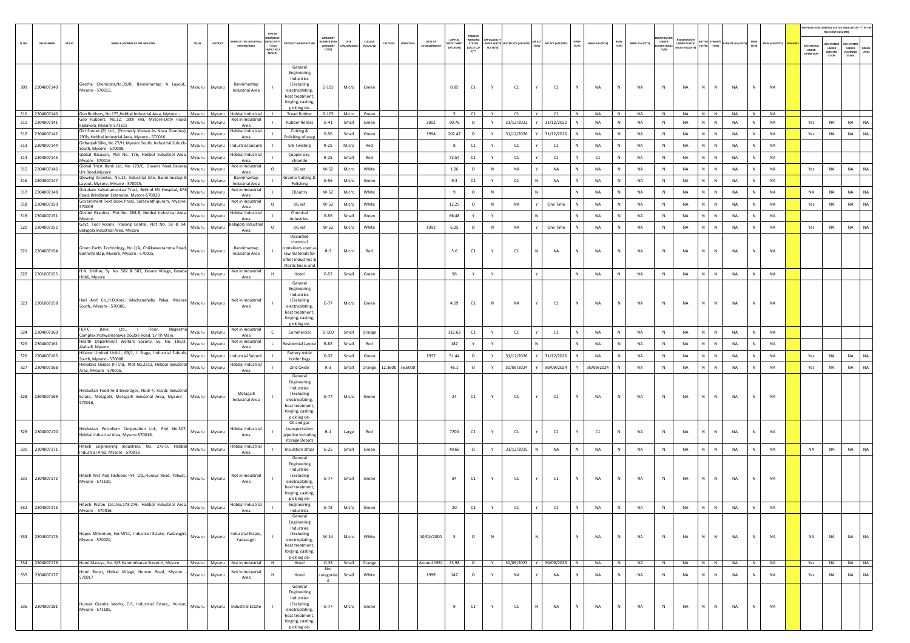| SLNO. | <b>UIN NUMBER</b> | PCB ID<br>NAME & ADDRESS OF THE INDUSTRY<br>TALUK                                                                                                           | DISTRICT | TYPE OF<br>VAME OF THE INDUST<br>N/ACTIVIT<br><b>ESTATES/AREA</b><br>$*(1/M)$<br>LB/HC/ H/L<br>CE/C/O | <b>OUCT MANUFACTUR</b>                                                                                                        | CATEGOR<br>UMBER (XG<br>CATEGORY<br>CODE) | SIZE<br>(/S/MICRO) | COLOUR<br>(R/O/G/W) | LATITUDE<br>ONGITUDE   | DATE OF           | CAPITAL<br><b>VEST MENT</b><br>IN LAKHS) | PRESENT<br>WORKING<br><b>STATUS</b><br>(0/01/02/<br>$v^{\ldots}$ | ACT (Y/N)   | UNDER WATER WATER ACT (VALIDITY) AIR ACT |   | AIR ACT (VALIDITY) | HWM<br>(Y/N) | HWM (VALIDITY) | BMW<br>(Y/N) | <b>BMW (VALIDITY)</b> | UNDER<br>ASTIC RUI<br>(Y/N) | EGISTRATIOI<br><b>UNDER PLASTIC</b> | Y (Y/N)        | <b>TTER E-WASTE</b><br><b>E-WASTE (VALIDIT</b><br>(Y/N) | MSW<br>(Y/N) | MSW (VALIDITY) | APC SYSTEM<br>UNDER<br>OPERATION | AIR POLLUTION CONTROL STATUS (INDICATE AS "Y" IN THE RELEVANT COLUMN)<br><b>IPC SYSTER</b><br>UNDER<br>CONSTRU<br>crion | UNDER<br>PLANNING<br>STAGE | DEFAU<br><b>TERS</b> |
|-------|-------------------|-------------------------------------------------------------------------------------------------------------------------------------------------------------|----------|-------------------------------------------------------------------------------------------------------|-------------------------------------------------------------------------------------------------------------------------------|-------------------------------------------|--------------------|---------------------|------------------------|-------------------|------------------------------------------|------------------------------------------------------------------|-------------|------------------------------------------|---|--------------------|--------------|----------------|--------------|-----------------------|-----------------------------|-------------------------------------|----------------|---------------------------------------------------------|--------------|----------------|----------------------------------|-------------------------------------------------------------------------------------------------------------------------|----------------------------|----------------------|
|       | 309 2304007140    | Geetha Chemicals, No.39/B, Bannimantap A Layout, Mysuru<br>Mysore - 570015,                                                                                 | Mysuru   | Bannimantap<br>Industrial Area                                                                        | General<br>Engineering<br>Industries<br>(Excluding<br>electroplating,<br>heat treatment<br>forging, casting,<br>pickling de-  | $G-105$                                   | Micro              | Green               |                        |                   | 0.85                                     | C1                                                               | Y           | C1                                       |   | C1                 | N            | NA             | N            | <b>NA</b>             | N                           | NA                                  | N              | N<br>NA                                                 | N            | NA             |                                  |                                                                                                                         |                            |                      |
|       | 310 2304007140    | Geo Rubbers, No.175, Hebbal Industrial Area, Mysore - Mysuru   Mysuru   Hebbal Industrial<br>Geo Rubbers, No.12, 10th KM, Mysore-Ooty Road,                 |          | Not in Industrial                                                                                     | <b>Tread Rubber</b>                                                                                                           |                                           | G-105 Micro Green  |                     |                        |                   | 5                                        | C1                                                               | Y           | C1                                       |   | C1                 | N            | <b>NA</b>      | N            | NA                    | N                           | <b>NA</b>                           | N <sup>I</sup> | N<br><b>NA</b>                                          | N            | NA             |                                  |                                                                                                                         |                            |                      |
|       | 311 2304007141    | Mysuru<br>Kadakola, Mysore-571311                                                                                                                           | Mysuru   | Area<br>Hebbal Industria                                                                              | <b>Rubber Rollers</b>                                                                                                         | $G-41$                                    | Small              | Green               |                        | 2002              | 90.76                                    | $\circ$                                                          | Y           | 31/12/2022                               |   | 31/12/2022         |              | NA             | N            | <b>NA</b>             | $\,$ N                      | NA                                  |                | N<br>NA                                                 | N            | <b>NA</b>      | Yes                              | <b>NA</b>                                                                                                               | NA                         | <b>NA</b>            |
|       | 312 2304007142    | Giri Stones (P) Ltd., (Formerly Known As Nova Granites),<br>Mysuru<br>293b, Hebbal Industrial Area, Mysore - 570016                                         | Mysuru   | Area                                                                                                  | Cutting &<br>Polishing of soap                                                                                                | $G-56$                                    | Small              | Green               |                        | 1994              | 202.47                                   | $\circ$                                                          | Y           | 31/12/2026                               |   | 31/12/2026         |              | NA             | N            | <b>NA</b>             | N                           | <b>NA</b>                           |                | N<br><b>NA</b>                                          | $\mathsf{N}$ | <b>NA</b>      | Yes                              | <b>NA</b>                                                                                                               | NA                         | NA                   |
|       | 313 2304007144    | Githanjali Silks, No.27/H, Mysore South, Industrial Suburb-<br>Mysuru<br>South, Mysore - 570008                                                             | Mysuru   | <b>Industrial Suburb</b>                                                                              | <b>Silk Twisting</b>                                                                                                          | $R-25$                                    | Micro              | Red                 |                        |                   | 8                                        | C1                                                               | Y           | C1                                       |   | C1                 | N            | NA             | N            | <b>NA</b>             | N                           | NA                                  |                | N<br>NA                                                 | N            | <b>NA</b>      |                                  |                                                                                                                         |                            |                      |
| 314   | 2304007145        | Global Rasayan, Plot No. 176, Hebbal Industrial Area,<br>Mysuru<br>Mysore - 570016                                                                          | Mysuru   | lebbal Industria<br>Area                                                                              | Copper oxy-<br>chloride                                                                                                       | R-25                                      | Small              | Red                 |                        |                   | 72.54                                    | C1                                                               | Y           | C1                                       |   | C1                 |              | C1             | N            | NA                    | N                           | NA                                  |                | N<br>NA                                                 | N            | <b>NA</b>      |                                  |                                                                                                                         |                            |                      |
|       | 315 2304007146    | Global Trust Bank Ltd, No 123/C, Diwans Road,Devaraj<br>Mysuru<br>Urs Road, Mysore                                                                          | Mysuru   | Not in Industrial<br>$\circ$<br>Area                                                                  | DG set                                                                                                                        | W-52                                      | Micro              | White               |                        |                   | 1.26                                     | $\circ$                                                          | N           | NA                                       |   | NA                 | N            | <b>NA</b>      | N            | NA                    | N                           | NA                                  |                | N<br>NA                                                 | ${\sf N}$    | NA             | Yes                              | NA                                                                                                                      | NA                         | NA                   |
| 316   | 2304007147        | Glowing Granites, No.12, Industrial Site, Bannimnatap E<br>Mysuru<br>Layout, Mysore, Mysore - 570015,                                                       | Mysuru   | Bannimantap<br>Industrial Area                                                                        | Granite Cutting &<br>Polishing                                                                                                | $G-56$                                    | Micro              | Green               |                        |                   | 9.3                                      | C1                                                               | Y           | C1                                       |   | NA                 |              | NA             | N            | NA                    | N                           | NA                                  |                | NA<br>N                                                 | N            | <b>NA</b>      |                                  |                                                                                                                         |                            |                      |
| 317   | 2304007148        | Gokulam Kalyanamantap Trust, Behind ESI Hospital, KRS<br>Mysuru<br>Road, Brindavan Extension, Mysore-570020                                                 | Mysuru   | Not in Industrial<br>Area                                                                             | Choultry                                                                                                                      | W-52                                      | Micro              | White               |                        |                   | $\overline{9}$                           | $\circ$                                                          | N           |                                          |   |                    |              | NA             | N            | <b>NA</b>             | N                           | <b>NA</b>                           |                | N<br><b>NA</b>                                          | N            | <b>NA</b>      | <b>NA</b>                        | NA                                                                                                                      | NA                         | NA                   |
|       | 318 2304007150    | Government Text Book Press, Saraswathipuram, Mysore-<br>Mysuru                                                                                              | Mysuru   | Not in Industrial<br>$\Omega$                                                                         | DG set                                                                                                                        | W-52                                      | Micro              | White               |                        |                   | 12.25                                    | $\circ$                                                          | N           | NA                                       |   | One Time           | <b>N</b>     | NA             | N            | <b>NA</b>             | N                           | NA                                  |                | N<br>NA                                                 | N            | <b>NA</b>      | Yes                              | NA                                                                                                                      | NA                         | NA                   |
| 319   | 2304007151        | 570009<br>Govind Granites, Plot No. 268-B, Hebbal Industrial Area,<br>Mysuru                                                                                | Mysuru   | Area<br>lebbal Industria                                                                              | Chemical                                                                                                                      | $G-56$                                    | Small              | Green               |                        |                   | 66.48                                    | Y                                                                | Y           |                                          |   |                    |              | NA             | N            | NA                    | N                           | NA                                  |                | N<br>NA                                                 | N            | <b>NA</b>      |                                  |                                                                                                                         |                            |                      |
|       |                   | Mysore.<br>Govt. Tool Rooms Training Centre, Plot No. 93 & 94,                                                                                              |          | Area<br>Belagola Industria                                                                            | industries.                                                                                                                   |                                           |                    |                     |                        |                   |                                          |                                                                  |             |                                          |   |                    |              |                |              |                       |                             |                                     | N              |                                                         |              |                |                                  |                                                                                                                         |                            |                      |
|       | 320 2304007152    | Mysuru<br>Belagola Industrial Area, Mysore                                                                                                                  | Mysuru   | $\circ$<br>Area                                                                                       | DG set<br>Discarded                                                                                                           | W-52                                      | Micro              | White               |                        | 1992              | 6.25                                     | $\circ$                                                          | N           | NA                                       |   | One Time           | N            | NA             | N            | NA                    | N                           | NA                                  |                | N<br>NA                                                 | N            | NA             | Yes                              | <b>NA</b>                                                                                                               | NA                         | NA                   |
|       | 321 2304007154    | Green Earth Technology, No.1/A, Chikkaveeramma Road,<br>Mysuru<br>Bannimantap, Mysore, Mysore - 570015,                                                     | Mysuru   | Bannimantap<br>Industrial Area                                                                        | chemical<br>ontainers used a<br>raw materials for<br>othet industries 8<br>Plastic liners and                                 | $R-3$                                     | Micro              | Red                 |                        |                   | 5.6                                      | C1                                                               | Y           | C1                                       |   | <b>NA</b>          |              | NA             | N            | NA                    | N                           | <b>NA</b>                           |                | N<br>NA                                                 | N            | <b>NA</b>      |                                  |                                                                                                                         |                            |                      |
|       | 322 2301007155    | H.N. Sridhar, Sy. No. 582 & 587, Kesare Village, Kasaba<br>Mysuru<br>Hobli, Mysore                                                                          | Mysuru   | Not in Industrial<br>Area                                                                             | Hotel                                                                                                                         | $G-52$                                    | Small              | Green               |                        |                   | 96                                       | Y                                                                | Y           |                                          |   |                    |              | NA             | N            | NA                    | N                           | NA                                  |                | N<br>NA                                                 | N            | NA             |                                  |                                                                                                                         |                            |                      |
|       | 323 2301007158    | Hari And Co., H.D.Kote, Machanahally Palya, Mysore Mysuru Mysuru<br>South,, Mysore - 570008,<br>Ltd.,<br>HDFC<br>Bank<br>$\mathbf{I}$<br>Floor,<br>Nageetha |          | Not in Industrial<br>Area<br>Not in Industria                                                         | General<br>Engineering<br>Industries<br>(Excluding<br>electroplating,<br>heat treatment,<br>forging, casting,<br>pickling de- | $G-77$                                    | Micro              | Green               |                        |                   | 4.09                                     | C1                                                               | $\mathbb N$ | NA                                       |   | C1                 | N            | NA             | N            | NA                    | N                           | NA                                  | N              | N<br>NA                                                 | N            | <b>NA</b>      |                                  |                                                                                                                         |                            |                      |
|       | 324 2304007160    | Mysuru<br>Complex, Vishwamanawa Double Road, 17 Th Main,                                                                                                    | Mysuru   | $\epsilon$<br>Area                                                                                    | Commercial                                                                                                                    | $O-100$                                   | Small              | Orange              |                        |                   | 112.62                                   | C1                                                               | Y           | C1                                       |   | C1                 |              | NA             | N            | NA                    | N                           | NA                                  |                | N<br>NA                                                 | N            | NA.            |                                  |                                                                                                                         |                            |                      |
|       | 325 2304007161    | Health Department Welfare Society, Sy. No. 105/3,<br>Mysuru<br>Alahalli, Mysore                                                                             | Mysuru   | Not in Industrial<br>$\mathbf{L}$<br>Area                                                             | Residential Layou                                                                                                             | R-82                                      | Small              | Red                 |                        |                   | 187                                      | Y                                                                | Y           |                                          |   |                    | N            | NA             | N            | NA                    | N                           | NA                                  | N              | N<br>NA                                                 | N            | NA             |                                  |                                                                                                                         |                            |                      |
| 326   | 2304007165        | Hifame Limited Unit-II, 69/1, II Stage, Industrial Suburb-<br>Mysuru<br>South, Mysore - 570008                                                              | Mysuru   | <b>Industrial Suburb</b>                                                                              | Battery oxide<br>holder bags                                                                                                  | $G-32$                                    | Small              | Green               |                        | 1977              | 51.44                                    | $\circ$                                                          | Y           | 31/12/2026                               |   | 31/12/2026         |              | NA             | N            | NA                    | N                           | <b>NA</b>                           |                | NA<br>N                                                 | N            | NA             | Yes                              | NA                                                                                                                      | NA                         | NA                   |
|       | 327 2304007168    | Himalaya Oxides (P) Ltd., Plot No.231a, Hebbal Industrial<br>Mysuru<br>Area, Mysore - 570016,                                                               | Mysuru   | <b>Hebbal Industrial</b><br>Area                                                                      | Zinc Oxide                                                                                                                    | $R-3$                                     | Small              |                     | Orange 12.3600 76.6000 |                   | 46.1                                     | $\circ$                                                          | Y           | 30/09/2024                               |   | 30/09/2024         | Y            | 30/09/2024     | N            | <b>NA</b>             | N                           | <b>NA</b>                           | N              | N<br><b>NA</b>                                          | $\mathsf{N}$ | NA             | Yes                              | NA                                                                                                                      | <b>NA</b>                  | NA                   |
|       | 328 2304007169    | Hindustan Food And Beverages, No.B-4, Kssidc Industrial<br>Estate, Metagalli, Metagalli Industrial Area, Mysore - Mysuru<br>570016                          | Mysuru   | Metagalli<br>Industrial Area                                                                          | General<br>Engineering<br>Industries<br>(Excluding<br>electroplating,<br>heat treatment,<br>forging, casting<br>pickling de-  | $G-77$                                    | Micro              | Green               |                        |                   | 24                                       | C1                                                               | Y           | C1                                       |   | C1                 | N            | NA             | N            | <b>NA</b>             | N                           | <b>NA</b>                           | N              | N<br>NA                                                 | N            | <b>NA</b>      |                                  |                                                                                                                         |                            |                      |
|       | 329 2304007170    | Hindustan Petrolium Corporation Ltd., Plot No.307,<br>Mysuru<br>Hebbal Industrial Area, Mysore-570016,                                                      | Mysuru   | <b>Hebbal Industrial</b><br>Area                                                                      | Oil and gas<br>transportation<br>pipeline including<br>storage Depots                                                         | $R-1$                                     | Large              | Red                 |                        |                   | 7700                                     | C1                                                               | Y           | C1                                       |   | C1                 | Y            | C1             | N            | NA                    | N                           | <b>NA</b>                           | N              | NA<br>N                                                 | N            | <b>NA</b>      |                                  |                                                                                                                         |                            |                      |
|       | 330 2304007171    | Hitech Engineering Industries, No. 275-D, Hebbal Mysuru<br>Industrial Area, Mysore - 570018                                                                 | Mysuru   | Hebbal Industrial<br>Area                                                                             | Insulation strips                                                                                                             | $G-25$                                    | Small              | Green               |                        |                   | 49.66                                    | $\circ$                                                          | Y           | 31/12/2025                               |   | NA                 |              | NA             | N            | NA                    | N                           | <b>NA</b>                           |                | N<br>NA                                                 | N            | <b>NA</b>      | NA                               | NA                                                                                                                      | NA                         | NA                   |
|       | 331 2304007172    | Hitech Knit And Fashions Pvt. Ltd., Hunsur Road, Yelwal,,<br>Mysuru<br>Mysore - 571130,                                                                     | Mysuru   | Not in Industrial<br>Area                                                                             | General<br>Engineering<br>Industries<br>(Excluding<br>electroplating,<br>heat treatment,<br>forging, casting<br>pickling de-  | $G-77$                                    | Small              | Green               |                        |                   | 84                                       | C1                                                               | Y           | C1                                       |   | C1                 | N            | NA             | N            | NA                    | N                           | NA                                  | N              | N<br>NA                                                 | N            | NA             |                                  |                                                                                                                         |                            |                      |
|       | 332 2304007173    | Hitech Piston Ltd., No.273-276, Hebbal Industrial Area,<br>' Mysuru Mysuru<br>Mysore - 570016,                                                              |          | Hebbal Industrial<br>Area                                                                             | Engineering<br>industries                                                                                                     |                                           | G-78 Micro Green   |                     |                        |                   | 20                                       | C1                                                               | Y           | C1                                       |   | C1                 | $\,$ N       | <b>NA</b>      | $\mathbf N$  | <b>NA</b>             | N                           | <b>NA</b>                           |                | N<br><b>NA</b>                                          | $\mathbf{M}$ | NA             |                                  |                                                                                                                         |                            |                      |
|       | 333 2304007175    | Hopes Millenium, No.Mf11, Industrial Estate, Yadavagiri, Mysuru Mysuru<br>Mysore - 570020,                                                                  |          | Industrial Estate,<br>Yadavagiri                                                                      | General<br>Engineering<br>Industries<br>(Excluding<br>electroplating,<br>heat treatment,<br>forging, casting,<br>pickling de- | $W-14$                                    | Micro White        |                     |                        | 10/04/2000        | 5                                        | $\circ$                                                          | N           |                                          |   |                    | N            | <b>NA</b>      | N            | NA                    | N                           | <b>NA</b>                           | N              | N<br><b>NA</b>                                          | N            | NA             | NA                               | <b>NA</b>                                                                                                               | NA                         | <b>NA</b>            |
|       | 334 2304007176    | Hotel Maurya, No. 9/5 Hanmntharao Street-II, Mysore Mysuru   Mysuru   Not in Industrial                                                                     |          | H                                                                                                     | Hotel                                                                                                                         | $O-38$<br>Not                             |                    | Small Orange        |                        | Around 1981 23.98 |                                          |                                                                  | $O$ $Y$     | 30/09/2023 Y 30/09/2023 N                |   |                    |              | <b>NA</b>      | N            | <b>NA</b>             | N                           | <b>NA</b>                           | N              | N I<br><b>NA</b>                                        | N            | <b>NA</b>      | Yes                              |                                                                                                                         | NA NA NA                   |                      |
|       | 335 2304007177    | Hotel Roost, Hinkal Village, Hunsur Road, Mysore<br>Mysuru<br>570017                                                                                        | Mysuru   | Not in Industrial<br>Area                                                                             | Hotel                                                                                                                         | categorise                                | Small              | White               |                        | 1999              | 147                                      | $\circ$                                                          | Y           | <b>NA</b>                                |   | NA                 | N            | NA             | N            | <b>NA</b>             | N                           | NA                                  | N              | N<br><b>NA</b>                                          | N            | <b>NA</b>      | Yes                              | NA                                                                                                                      | NA                         | NA                   |
|       | 336 2304007181    | Hunsur Granite Works, C-5, Industrial Estate,, Hunsur,<br>Mysuru<br>Mysore - 571105,                                                                        |          | Mysuru Industrial Estate                                                                              | General<br>Engineering<br>Industries<br>(Excluding<br>electroplating,<br>heat treatment.<br>forging, casting,<br>pickling de- | $G - 77$                                  | Micro              | Green               |                        |                   | $\,9$                                    | C1                                                               | Y           | C1                                       | N | NA                 | N            | NA             | N            | NA                    | N                           | <b>NA</b>                           | N              | NA<br>N                                                 | ${\sf N}$    | <b>NA</b>      |                                  |                                                                                                                         |                            |                      |
|       |                   |                                                                                                                                                             |          |                                                                                                       |                                                                                                                               |                                           |                    |                     |                        |                   |                                          |                                                                  |             |                                          |   |                    |              |                |              |                       |                             |                                     |                |                                                         |              |                |                                  |                                                                                                                         |                            |                      |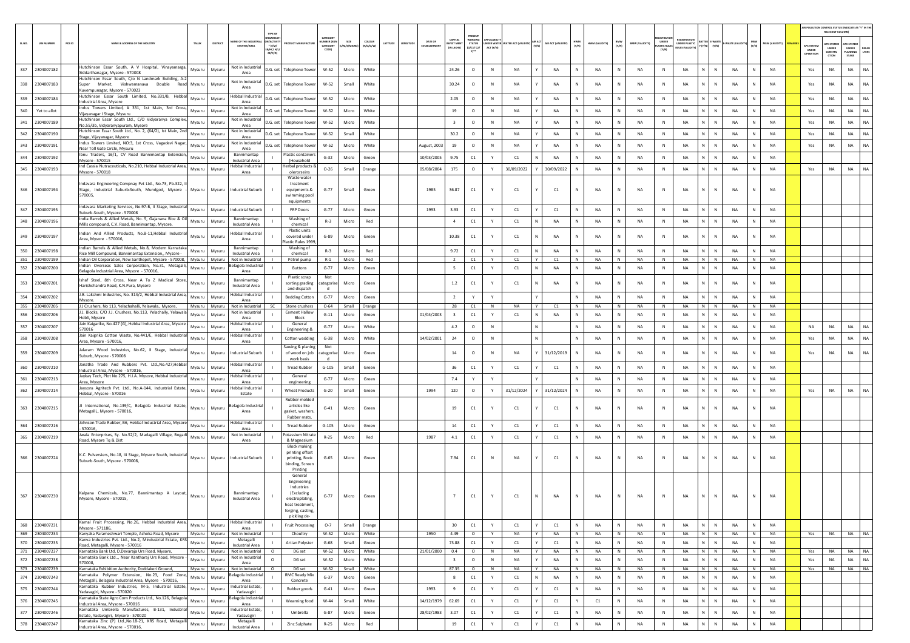|            |                              |                                                                                                                                    |                  |                  |                                                     |                                                                                |                                                                                                              |                                           |                      |                     |                                   |                                         |                                                 |           |                                        |        |                    |              |                 |              |                       |                                     |                                          |                         |                 |              |                        |                                | AIR POLLUTION CONTROL STATUS (INDICATE AS "Y" IN THE<br>RELEVANT COLUMNI |                                                |                |
|------------|------------------------------|------------------------------------------------------------------------------------------------------------------------------------|------------------|------------------|-----------------------------------------------------|--------------------------------------------------------------------------------|--------------------------------------------------------------------------------------------------------------|-------------------------------------------|----------------------|---------------------|-----------------------------------|-----------------------------------------|-------------------------------------------------|-----------|----------------------------------------|--------|--------------------|--------------|-----------------|--------------|-----------------------|-------------------------------------|------------------------------------------|-------------------------|-----------------|--------------|------------------------|--------------------------------|--------------------------------------------------------------------------|------------------------------------------------|----------------|
| SLNO.      | <b>UIN NUMBER</b>            | $PCB$ ID<br>NAME & ADDRESS OF THE INDUSTR'                                                                                         | TALUK            | DISTRICT         | <b><i>RE OF THE INDI</i></b><br><b>ESTATES/AREA</b> | TYPE OI<br><b>IRGANISA</b><br><b>ACTIV</b><br>$*(1/M)^*$<br>B/HC/ H<br>CE/C/O) | <b>OUCT MANUFACTU</b>                                                                                        | CATEGORY<br>MBER (X)<br>CATEGORY<br>CODET | /S/MIC               | coLour<br>(R/O/G/W) | DATE OF<br>LATITUDE<br>ESTABLISHM | CAPITAL<br><b>VEST MEN</b><br>IN LAKHS] | PRESENT<br>WORKIN<br><b>STATUS</b><br>(0/C1/C2) | ACT (Y/N) | <b>NDER WATER WATER ACT (VALIDITY)</b> | (Y/N)  | AIR ACT (VALIDITY) | HWM<br>(Y/N) | HWM (VALIDITY)  | BMW<br>(Y/N) | <b>BMW (VALIDITY)</b> | UNDER<br><b>ASTIC RULE</b><br>[Y/N] | FOISTRAT<br>UNDER PLASTIC<br>ULES (VALID | $(Y/N)$ $(Y/N)$         | WASTE (VAL      | MSW<br>(Y/N) | MSW (VALIDITY)         | APC SYSTE<br>UNDER<br>OPERATIO | <b>APC SYSTEM</b><br><b>UNDER</b><br>CONSTRU<br>CTION                    | APC SYSTEM<br><b>UNDER</b><br>LANNING<br>STAGE | DEFAL<br>LTERS |
|            | 337 2304007182               | Hutchinson Essar South, A V Hospital, Vinayamarga,<br>Siddarthanagar, Mysore - 570008                                              | Mysuru           | Mysuru           | Not in Industrial<br>Area                           | D.G. set                                                                       | <b>Telephone Tower</b>                                                                                       | W-52                                      | Micro                | White               |                                   | 24.26                                   | $\circ$                                         | N         | NA                                     |        | NA                 | N            | <b>NA</b>       | N            | NA                    | $\,$ N                              | <b>NA</b>                                | N<br>$\mathbb N$        | NA              |              | <b>NA</b>              | Yes                            | NA                                                                       | <b>NA</b>                                      | NA.            |
| 338        | 2304007183                   | Hutchinson Essar South, C/o N Landmark Building, A-2<br>Super Market, Vishwamanava Double Road Mysuru                              |                  | Mysuru           | Not in Industrial<br>Area                           | D.G. set                                                                       | <b>Telephone Towe</b>                                                                                        | W-52                                      | Small                | White               |                                   | 30.24                                   | $\circ$                                         | N         | <b>NA</b>                              |        | <b>NA</b>          | N            | <b>NA</b>       | N            | NA                    | N                                   | <b>NA</b>                                | N.<br>N                 | <b>NA</b>       |              | <b>NA</b>              | Yes                            | NA                                                                       | <b>NA</b>                                      | NA             |
| 339        | 2304007184                   | Kuvempunagar, Mysore - 570023<br>Hutchinson Essar South Limited. No.331/B. Hebbal                                                  | Mysuru           | Mysuru           | Hebbal Industrial                                   | D.G. set                                                                       | <b>Telephone Tower</b>                                                                                       | W-52                                      | Micro                | White               |                                   | 2.05                                    | $\circ$                                         | N         | NA                                     |        | NA                 | N            | NA              | N            | NA                    | N                                   | NA                                       | N<br>${\sf N}$          | NA              |              | <b>NA</b>              | Yes                            | NA                                                                       | NA                                             | NA.            |
| 340        | Yet to allot                 | ndustrial Area, Mysore<br>Indus Towers Limited, # 331, 1st Main, 3rd Cross,                                                        | Mysuru           | Mysuru           | Area<br>Not in Industrial                           | D.G. set                                                                       | <b>Telephone Towe</b>                                                                                        | W-52                                      | Micro                | White               |                                   | 19                                      | $\circ$                                         | N         | <b>NA</b>                              |        | <b>NA</b>          | $\mathbb{N}$ | <b>NA</b>       | N            | <b>NA</b>             | N                                   | <b>NA</b>                                | N<br>$\,$ N             | <b>NA</b>       |              | <b>NA</b>              | Yes                            | NA                                                                       | <b>NA</b>                                      | NA             |
| 341        | 2304007189                   | Vijayanagar I Stage, Mysuru<br>Hutchinson Essar South Ltd., C/O Vidyaranya Complex,                                                | Mysuru           | Mysuru           | Area<br>Not in Industrial                           | D.G. set                                                                       | <b>Telephone Towe</b>                                                                                        | W-52                                      | Micro                | White               |                                   | $\overline{\mathbf{3}}$                 | $\circ$                                         | N         | NA                                     |        | NA                 | N            | NA              | N            | NA                    | N                                   | <b>NA</b>                                | N<br>N                  | NA              | $\mathbb N$  | <b>NA</b>              | Yes                            | NA                                                                       | NA                                             | <b>NA</b>      |
| 342        | 2304007190                   | No.55/3b, Vidyaranyapuram, Mysore<br>lutchinson Essar South Ltd., No. 2, (64/2), Ist Main, 2nd                                     | Mysuru           | Mysuru           | Area<br>Not in Industrial<br>Area                   | D.G. set                                                                       | <b>Telephone Towe</b>                                                                                        | W-52                                      | Small                | White               |                                   | 30.2                                    | $\circ$                                         | N         | NA                                     |        | NA                 |              | <b>NA</b>       | N            | NA                    | N                                   | NA                                       | N.<br>${\sf N}$         | NA              |              | NA                     | Yes                            | NA                                                                       | NA                                             | NA.            |
| 343        | 2304007191                   | Stage, Vijayanagar, Mysore<br>Indus Towers Limited, NO:3, 1st Cross, Vagadevi Nagar,                                               | Mysuru           | Mysuru           | Not in Industrial                                   | D.G. set                                                                       | <b>Telephone Towe</b>                                                                                        | W-52                                      | Micro                | White               | August, 2003                      | 19                                      | $\circ$                                         | N         | NA                                     |        | <b>NA</b>          | N            | <b>NA</b>       | N            | NA                    | N                                   | <b>NA</b>                                | N<br>$\mathbb{N}$       | <b>NA</b>       |              | <b>NA</b>              | Yes                            | NA                                                                       | <b>NA</b>                                      | <b>NA</b>      |
| 344        | 2304007192                   | Near Toll Gate Circle, Mysuru<br>Ibnu Traders, 16/1, CV Road Bannimantap Extension<br>Mysore - 570015                              | Mysuru           | Mysuru           | Area<br>Bannimantap<br>Industrial Area              |                                                                                | Plastic container<br>(Household                                                                              | $G-32$                                    | Micro                | Green               | 10/03/2005                        | 9.75                                    | C1                                              |           | C1                                     |        | NA                 |              | <b>NA</b>       | N            | NA                    | N                                   | <b>NA</b>                                | N<br>N                  | NA              |              | <b>NA</b>              |                                |                                                                          |                                                |                |
| 345        | 2304007193                   | Ind Cassia Nutraceuticals, No.210, Hebbal Industrial Area,<br>Mysore - 570018                                                      | Mysuru           | Mysuru           | lebbal Industrial<br>Area                           |                                                                                | Herbal products &<br>olerorseins                                                                             | $O - 26$                                  | Small                | Orange              | 05/08/2004                        | 175                                     | $\circ$                                         | Y         | 30/09/2022                             |        | 30/09/2022         | N            | <b>NA</b>       | N            | <b>NA</b>             | N                                   | <b>NA</b>                                | N<br>$\mathbb{N}$       | <b>NA</b>       |              | <b>NA</b>              | Yes                            | NA                                                                       | <b>NA</b>                                      | <b>NA</b>      |
|            | 346 2304007194               | Indavara Engineering Compnay Pvt Ltd., No.73, Pb.322,<br>Stage, Industrial Suburb-South, Mundgod, Mysore<br>570005,                | Mysuru           | Mysuru           | <b>Industrial Suburb</b>                            |                                                                                | Waste water<br>treatment<br>equipments &<br>swimming pool                                                    | $G-77$                                    | Small                | Green               | 1985                              | 36.87                                   | C1                                              |           | C1                                     |        | C1                 | N            | NA              |              | NA                    | N                                   | NA                                       | $\mathsf{N}$            | NA              |              | <b>NA</b>              |                                |                                                                          |                                                |                |
| 347        | 2304007195                   | Indavara Marketing Services, No.97-B, II Stage, Industrial<br>Suburb-South, Mysore - 570008                                        | Mysuru           | Mysuru           | Industrial Suburb                                   |                                                                                | equipments<br>FRP Doors                                                                                      | $G-77$                                    | Micro                | Green               | 1993                              | 3.93                                    | C1                                              | Y         | C1                                     |        | C1                 | N            | <b>NA</b>       | N            | NA                    | N                                   | NA                                       | N<br>$\mathbb N$        | <b>NA</b>       | N            | <b>NA</b>              |                                |                                                                          |                                                |                |
| 348        | 2304007196                   | India Barrels & Allied Metals, No. 5, Gajanana Rice & Oil                                                                          | Mysuru           | Mysuru           | Bannimantap<br><b>Industrial Area</b>               |                                                                                | Washing of                                                                                                   | $R-3$                                     | Micro                | Red                 |                                   | $\overline{a}$                          | C1                                              |           | C1                                     |        | NA                 | Ν            | NA              | N            | NA                    | N                                   | NA                                       | N.<br>${\sf N}$         | NA              |              | NA                     |                                |                                                                          |                                                |                |
| 349        | 2304007197                   | Mills compound, C.V. Road, Bannimantap, Mysore.<br>Indian And Allied Products, No.B-11,Hebbal Industrial<br>Area, Mysore - 570016, | Mysuru           | Mysuru           | Hebbal Industrial<br>Area                           |                                                                                | chemical<br>Plastic units<br>covered under                                                                   | $G-89$                                    | Micro                | Green               |                                   | 10.38                                   | C1                                              |           | C1                                     | N      | NA                 | Ν            | <b>NA</b>       | N            | NA                    | N                                   | NA                                       | N<br>${\sf N}$          | NA              | N            | <b>NA</b>              |                                |                                                                          |                                                |                |
| 350        | 2304007198                   | Indian Barrels & Allied Metals, No.8, Modern Karnataka<br>Rice Mill Compound, Bannimantap Extension,, Mysore -                     | Mysuru           | Mysuru           | Bannimantap<br><b>Industrial Area</b>               |                                                                                | lastic Rules 1999<br>Washing of<br>chemical                                                                  | $R-3$                                     | Micro                | Red                 |                                   | 9.72                                    | C1                                              | Y         | C1                                     |        | NA                 |              | <b>NA</b>       | N            | NA                    | N                                   | NA                                       | N<br>N                  | NA              |              | NA                     |                                |                                                                          |                                                |                |
| 351<br>352 | 2304007199<br>2304007200     | Indian Oil Corporation, New Santhepet, Mysore - 570008, Mysuru<br>Indian Overseas Sales Corporation, No.31, Metagalli              |                  | Mysuru           | Not in Industrial<br>elagola Industria              |                                                                                | Petrol pump<br><b>Buttons</b>                                                                                | $R-1$<br>$G-77$                           | Micro<br>Micro       | Red                 |                                   | $\overline{2}$<br>5                     | C1<br>C1                                        | Y<br>Y    | C1                                     | Y<br>N | C1<br>NA           | N<br>N       | <b>NA</b><br>NA | N<br>N       | NA<br>NA              | N<br>N                              | <b>NA</b><br>NA                          | N N<br>N<br>N           | <b>NA</b><br>NA | N<br>N       | <b>NA</b><br><b>NA</b> |                                |                                                                          |                                                |                |
|            | 353 2304007201               | Belagola Industrial Area, Mysore - 570016<br>Ishaf Steel, 8th Cross, Near A To Z Madical Store,                                    | Mysuru<br>Mysuru | Mysuru<br>Mysuru | Area<br>Bannimantap                                 |                                                                                | Plastic scrap<br>sorting grading                                                                             | Not<br>ategoris                           | Micro                | Green<br>Green      |                                   | 1.2                                     | C1                                              | Y         | C1<br>C1                               |        | NA                 | N            | <b>NA</b>       | N            | <b>NA</b>             | N                                   | <b>NA</b>                                | N<br>$\mathbb{N}$       | <b>NA</b>       |              | <b>NA</b>              |                                |                                                                          |                                                |                |
| 354        | 2304007202                   | Harishchandra Road, K.N.Pura, Mysore<br>J.B. Lakshmi Industries, No. 314/2, Hebbal Industrial Area,                                | Mysuru           | Mysuru           | Industrial Area<br>Hebbal Industrial                |                                                                                | and dispatch<br><b>Bedding Cotton</b>                                                                        | $G-77$                                    | Micro                | Green               |                                   | $\overline{2}$                          | Y                                               | Y         |                                        |        |                    | N            | <b>NA</b>       | N            | <b>NA</b>             | N                                   | <b>NA</b>                                | N.<br>$\mathbb N$       | <b>NA</b>       | N            | <b>NA</b>              |                                |                                                                          |                                                |                |
| 355        | 2304007205                   | Mysore.<br>J.J Crushers, No 113, Yelachahalli, Yelawala., Mysore,                                                                  | Mysuru           | Mysuru           | Area<br>Not in Industrial                           | <b>SC</b>                                                                      | Stone crushers                                                                                               | $O - 64$                                  | Small                | Orange              |                                   | 28                                      | C1                                              | N         | NA                                     |        | C1                 |              | NA              | N            | NA                    | N                                   | NA                                       | N<br>N                  | NA              |              | NA                     |                                |                                                                          |                                                |                |
| 356        | 2304007206                   | J.J. Blocks, C/O J.J. Crushers, No.113, Yelachally, Yelawala<br>Hobli, Mysore                                                      | Mysuru           | Mysuru           | Not in Industrial<br>Area                           |                                                                                | <b>Cement Hallov</b><br>Block                                                                                | $G-11$                                    | Micro                | Green               | 01/04/2003                        | $\overline{\mathbf{3}}$                 | $\mathsf{C1}$                                   | Y         | C1                                     | N      | <b>NA</b>          | $\mathbb{N}$ | <b>NA</b>       | N            | NA                    | N                                   | <b>NA</b>                                | N<br>N                  | <b>NA</b>       | $\mathbb N$  | <b>NA</b>              |                                |                                                                          |                                                |                |
| 357        | 2304007207                   | Jain Kaigarike, No.427 (G), Hebbal Industrial Area, Mysore<br>570016                                                               | Mysuru           | Mysuru           | lebbal Industria<br>Area                            |                                                                                | General<br><b>Engineering &amp;</b>                                                                          | $G-77$                                    | Micro                | White               |                                   | 4.2                                     | $\circ$                                         | N         |                                        | N      |                    | N            | NA              | N            | NA                    | N                                   | NA                                       | N<br>N                  | NA              | N            | <b>NA</b>              | NA                             | NA                                                                       | NA                                             | <b>NA</b>      |
| 358        | 2304007208                   | Jain Kaigrika Cotton Waste, No.441/E, Hebbal Industrial<br>Area, Mysore - 570016,                                                  | Mysuru           | Mysuru           | lebbal Industrial<br>Area                           |                                                                                | Cotton wadding                                                                                               | $G-38$                                    | Micro                | White               | 14/02/2001                        | 24                                      | $\circ$                                         | N         |                                        |        |                    | N            | NA              | N            | NA                    | N                                   | NA                                       | N<br>${\sf N}$          | NA              |              | NA                     | Yes                            | NA                                                                       | NA                                             | NA             |
| 359        | 2304007209                   | Jalaram Wood Industries, No.62, Il Stage, Industrial<br>Suburb, Mysore - 570008                                                    | Mysuru           | Mysuru           | ndustrial Suburb                                    |                                                                                | Sawing & planing<br>of wood on job<br>work basis                                                             | Not<br><b>stegorise</b>                   | Micro                | Green               |                                   | 14                                      | $\circ$                                         | N         | NΑ                                     |        | 31/12/2019         | Ν            | <b>NA</b>       | N            | NA                    | N                                   | <b>NA</b>                                | N<br>${\sf N}$          | NA              |              | <b>NA</b>              | Yes                            | NA                                                                       | NA                                             | NA             |
| 360        | 2304007210                   | Janatha Trade And Rubbers Pvt. Ltd., No.427, Hebbal<br>Industrial Area, Mysore - 570016                                            | Mysuru           | Mysuru           | lebbal Industrial<br>Area                           |                                                                                | <b>Tread Rubber</b>                                                                                          | $G-105$                                   | Small                | Green               |                                   | 36                                      | C1                                              | Y         | C1                                     |        | C1                 |              | <b>NA</b>       | N            | NA                    | N                                   | NA                                       | N.<br>${\sf N}$         | NA              |              | NA                     |                                |                                                                          |                                                |                |
| 361        | 2304007213                   | Jaykay Tech, Plot No 275, H.I.A. Mysore, Hebbal Industrial<br>Area, Mysore                                                         | Mysuru           | Mysuru           | Hebbal Industrial<br>Area                           |                                                                                | General<br>engineering                                                                                       | $G-77$                                    | Micro                | Green               |                                   | 7.4                                     |                                                 |           |                                        |        |                    | N            | <b>NA</b>       | N            | NA                    | N                                   | <b>NA</b>                                | N<br>$\mathbb{N}$       | <b>NA</b>       | N            | <b>NA</b>              |                                |                                                                          |                                                |                |
| 362        | 2304007214                   | Jaysons Agritech Pvt. Ltd., No.A-144, Industrial Estate,<br>Hebbal, Mysore - 570016                                                | Mysuru           | Mysuru           | lebbal Industrial<br>Estate                         |                                                                                | <b>Wheat Products</b><br>Rubber moldec                                                                       | $G-20$                                    | Small                | Green               | 1994                              | 120                                     | $\circ$                                         | Y         | 31/12/2024                             |        | 31/12/2024         | N            | <b>NA</b>       | N            | <b>NA</b>             | N                                   | <b>NA</b>                                | $\mathbb{N}$<br>N       | <b>NA</b>       | N            | <b>NA</b>              | Yes                            | NA                                                                       | <b>NA</b>                                      |                |
| 363        | 2304007215                   | J International, No.139/C, Belagola Industrial Estate,<br>Metagalli,, Mysore - 570016,                                             | Mysuru           | Mysuru           | elagola Industria<br>Area                           |                                                                                | articles like<br>gasket, washer:<br>Rubber mats.                                                             | $G-41$                                    | Micro                | Green               |                                   | 19                                      | C1                                              |           | C1                                     |        | C1                 | N            | <b>NA</b>       |              | <b>NA</b>             | $\mathbb{N}$                        | <b>NA</b>                                | N<br>$\mathsf{N}$       | <b>NA</b>       |              | <b>NA</b>              |                                |                                                                          |                                                |                |
| 364        | 2304007216                   | ohnson Trade Rubber, B6, Hebbal Industrial Area, Mysore<br>570016                                                                  | Mysuru           | Mysuru           | Hebbal Industrial<br>Area                           |                                                                                | <b>Tread Rubber</b>                                                                                          | $G-105$                                   | Micro                | Green               |                                   | 14                                      | C1                                              | Y         | C1                                     |        | C1                 |              | <b>NA</b>       | N            | NA                    | N                                   | NA                                       | N<br>${\sf N}$          | NA              |              | NA                     |                                |                                                                          |                                                |                |
| 365        | 2304007219                   | Jwala Enterprises, Sy. No.52/2, Madagalli Village, Bogadi<br>Road, Mysore To & Dist                                                | Mysuru           | Mysuru           | Not in Industrial<br>Area                           |                                                                                | Potassium Nitrat<br>& Magnesium                                                                              | $R-25$                                    | Micro                | Red                 | 1987                              | 4.1                                     | C1                                              | Y         | C1                                     |        | C1                 | N            | <b>NA</b>       | N            | NA                    | $\mathbb{N}$                        | <b>NA</b>                                | N<br>${\sf N}$          | <b>NA</b>       | N            | NA                     |                                |                                                                          |                                                |                |
|            | 366 2304007224               | K.C. Pulversiers, No.18, Iii Stage, Mysore South, Industrial Mysuru<br>Suburb-South, Mysore - 570008                               |                  | Mysuru           | <b>Industrial Suburb</b>                            |                                                                                | <b>Block making</b><br>printing offset<br>printing, Book<br>binding, Screen<br>Printing                      | $G-65$                                    | Micro                | Green               |                                   | 7.94                                    | C1                                              | N         | NA                                     |        | C1                 | N            | <b>NA</b>       | N            | NA                    | N                                   | NA                                       | $\mathsf{N}$<br>N       | NA              |              | <b>NA</b>              |                                |                                                                          |                                                |                |
| 367        | 2304007230                   | Kalpana Chemicals, No.77, Bannimantap A Layout,<br>Mysore, Mysore - 570015,                                                        | Mysuru           | Mysuru           | Bannimantap<br>Industrial Area                      |                                                                                | General<br>Engineering<br>Industries<br>(Excluding<br>electroplating,<br>heat treatment<br>forging, casting, | $G-77$                                    | Micro                | Green               |                                   |                                         | C1                                              |           | C1                                     |        | <b>NA</b>          |              | <b>NA</b>       |              | <b>NA</b>             | N                                   | <b>NA</b>                                | $\mathsf{N}$            | <b>NA</b>       |              | <b>NA</b>              |                                |                                                                          |                                                |                |
| 368        | 2304007231                   | Kamal Fruit Processing, No.26, Hebbal Industrial Area,<br>Mysore - 571186,                                                         | Mysuru           | Mysuru           | Hebbal Industrial<br>Area                           |                                                                                | pickling de-<br><b>Fruit Processing</b>                                                                      | $0 - 7$                                   | Small                | Orange              |                                   | 30 <sub>o</sub>                         | C1                                              | Y         | C1                                     |        | C1                 | $\mathbb{N}$ | NA              | N            | NA                    | $\,$ N $\,$                         | NA                                       | N<br>$\mathbb{N}$       | <b>NA</b>       | N            | NA                     |                                |                                                                          |                                                |                |
| 370        | 369 2304007234<br>2304007235 | Kanyaka Parameshwari Temple, Ashoka Road, Mysore Mysuru Mysuru<br>Kanva Industries Pvt. Ltd., No.2, Mindustrial Estate, KRS        | Mysuru           | Mysuru           | Not in Industrial<br>Metagalli                      | $\blacksquare$                                                                 | Choultry<br>Artian Polyster                                                                                  | $W-52$<br>$G-68$                          | Micro White<br>Small | Green               | 1950                              | 4.49<br>73.88                           | $\circ$<br>C1                                   | Y<br>Y    | NA<br>C1                               | Y      | <b>NA</b><br>C1    | N<br>Ν       | <b>NA</b><br>NA | N<br>N       | <b>NA</b><br>NA       | N<br>${\sf N}$                      | <b>NA</b><br>NA                          | N N<br>N<br>$\mathbb N$ | NA<br>NA        | N<br>N       | <b>NA</b><br>NA        |                                | Yes NA NA NA                                                             |                                                |                |
|            | 371 2304007237               | Road, Metagalli, Mysore - 570016<br>Karnataka Bank Ltd, D.Devaraja Urs Road, Mysore,                                               | Mysuru           | Mysuru           | <b>Industrial Area</b><br>Not in Industrial         | $\circ$                                                                        | DG set                                                                                                       | W-52                                      | Micro                | White               | 21/01/2000                        | 0.4                                     | $\circ$                                         | N         | NA                                     | Y      | NA                 | N            | NA              | N            | NA                    | N                                   | <b>NA</b>                                | $N$ $N$                 | <b>NA</b>       | N            | <b>NA</b>              | Yes                            | <b>NA</b>                                                                | NA NA                                          |                |
| 372        | 2304007238                   | Karnataka Bank Ltd, Near Kantharaj Urs Road, Mysore<br>570008                                                                      | Mysuru           | Mysuru           | Not in Industrial<br>Area                           | $\Omega$                                                                       | DG set                                                                                                       | $W-52$                                    | Micro                | White               |                                   | $\overline{\mathbf{3}}$                 | $\circ$                                         | N         | NA                                     |        | <b>NA</b>          | N            | <b>NA</b>       | N            | NA                    | N                                   | <b>NA</b>                                | $N$ $N$                 | NA              | N            | <b>NA</b>              | Yes                            | NA                                                                       | <b>NA</b>                                      | NA             |
| 374        | 373 2304007239<br>2304007243 | Karnataka Exhibition Authority, Doddakeri Ground,<br>Karnataka Polymer Extension, No.23, Food Zone                                 | Mysuru<br>Mysuru | Mysuru<br>Mysuru | Not in Industrial<br>lagola Industria               | $\circ$                                                                        | DG set<br>RMC Ready Mix                                                                                      | W-52<br>$G-37$                            | Small<br>Micro       | White<br>Green      |                                   | 87.35<br>8                              | $\circ$<br>C1                                   | N<br>Y    | NA<br>C1                               | Y<br>N | NA<br><b>NA</b>    | N<br>N       | NA<br>NA        | N<br>N       | NA<br><b>NA</b>       | N<br>N                              | NA<br><b>NA</b>                          | $N$ $N$<br>N<br>$\,$ N  | NA<br><b>NA</b> | N<br>N       | <b>NA</b><br>NA        | Yes                            | NA                                                                       | <b>NA</b>                                      | NA             |
| 375        | 2304007244                   | Metagalli, Belagola Industrial Area, Mysore - 570016,<br>Karnataka Rubber Industries, M-5, Industrial Estate,                      | Mysuru           | Mysuru           | Area<br>Industrial Estate,                          |                                                                                | Concrete<br>Rubber goods                                                                                     | $G-41$                                    | Micro                | Green               | 1993                              | 9                                       | $\mathsf{C1}$                                   | Y         | C1                                     |        | C1                 | N            | NA              | N            | NA                    | N                                   | NA                                       | N<br>N                  | NA              | N            | <b>NA</b>              |                                |                                                                          |                                                |                |
| 376        | 2304007245                   | Yadavagiri, Mysore - 570020<br>Karnataka State Agro Corn Products Ltd., No.126, Belagola                                           | Mysuru           | Mysuru           | Yadavagiri<br>elagola Industrial                    |                                                                                | Wearning food                                                                                                | W-44                                      | Small                | White               | 14/12/1979                        | 62.69                                   | C1                                              | Y         | C1                                     |        | C1                 |              | C1              | N            | NA                    | N                                   | NA                                       | N.<br>${\sf N}$         | NA              | $\mathbb N$  | <b>NA</b>              |                                |                                                                          |                                                |                |
| 377        | 2304007246                   | Industrial Area, Mysore - 570016<br>Karnataka Umbrella Manufactures, B-131, Industrial                                             | Mysuru           | Mysuru           | Area<br>ndustrial Estate.                           |                                                                                | Umbrella                                                                                                     | $G-87$                                    | Micro                | Green               | 28/02/1983                        | 3.07                                    | C1                                              | Y         | C1                                     |        | C1                 | N            | <b>NA</b>       | N            | NA                    | N                                   | NA                                       | N<br>${\sf N}$          | <b>NA</b>       | N            | NA                     |                                |                                                                          |                                                |                |
| 378        | 2304007247                   | Estate, Yadavagiri, Mysore - 570020<br>Karnataka Zinc (P) Ltd., No.18-21, KRS Road, Metagalli                                      | Mysuru           | Mysuru           | Yadavagiri<br>Metagalli                             |                                                                                | Zinc Sulphate                                                                                                | $R-25$                                    | Micro                | Red                 |                                   | 19                                      | C1                                              | Y         | C1                                     |        | C1                 | N            | <b>NA</b>       | N            | <b>NA</b>             | $\mathbb{N}$                        | NA                                       | N<br>N                  | NA              |              | NA                     |                                |                                                                          |                                                |                |
|            |                              | Industrial Area, Mysore - 570016,                                                                                                  |                  |                  | Industrial Area                                     |                                                                                |                                                                                                              |                                           |                      |                     |                                   |                                         |                                                 |           |                                        |        |                    |              |                 |              |                       |                                     |                                          |                         |                 |              |                        |                                |                                                                          |                                                |                |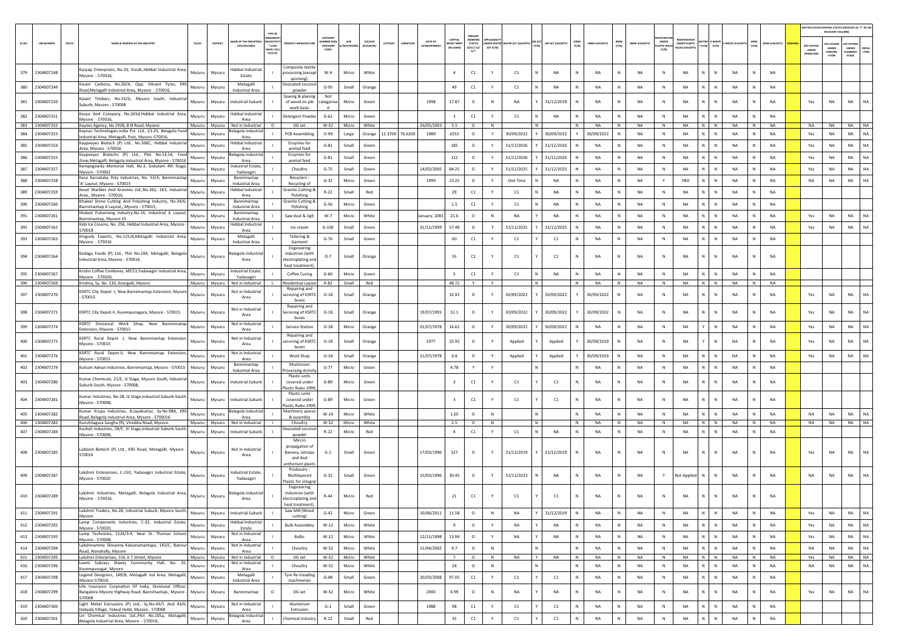|        |                   |                                                                                                                                   |                   |                                            |                                                                          |                              |          |                                |                 |                                |                                   |                                       |              |                                 |   |                    |              |                |              |                       |                                      |                                                   |                   |           |              |                |                                         | RELEVANT COLUMNI                              | AIR POLLUTION CONTROL STATUS (INDICATE AS "Y" IN THI                    |
|--------|-------------------|-----------------------------------------------------------------------------------------------------------------------------------|-------------------|--------------------------------------------|--------------------------------------------------------------------------|------------------------------|----------|--------------------------------|-----------------|--------------------------------|-----------------------------------|---------------------------------------|--------------|---------------------------------|---|--------------------|--------------|----------------|--------------|-----------------------|--------------------------------------|---------------------------------------------------|-------------------|-----------|--------------|----------------|-----------------------------------------|-----------------------------------------------|-------------------------------------------------------------------------|
| SL.NO. | <b>UIN NUMBER</b> | PCB ID<br>NAME & ADDRESS OF THE INDUSTRY                                                                                          | TALUR<br>DISTRICT | E OF THE IND<br><b>ESTATES/AREA</b>        | <b>GANISA</b><br><b>ACTIV</b><br>$*$ (I/M/<br>B/HC/ H/<br>CE/C/O         | CATEGOR<br>CATEGORY<br>CODET | M/S/MICR | coLour<br>ATITUDI<br>(R/O/G/W) |                 | DATE OF<br><b>ESTABLISHMEI</b> | CAPITAL<br>VEST MEN<br>(IN LAKHS) | PRESENT<br><b>STATUS</b><br>(0/C1/C2) | ACT (Y/N)    | NDER WATER WATER ACT (VALIDITY) |   | AIR ACT (VALIDITY) | HWM<br>(Y/N) | HWM (VALIDITY) | BMW<br>(Y/N) | <b>BMW (VALIDITY)</b> | UNDER<br><b>LASTIC RULE</b><br>[Y/N] | <b>FGISTRATI</b><br>UNDER PLASTIC<br>ULES (VALIDI | Y (Y/N)<br>(Y/N)  | WASTE (W  | (Y/N)        | (YTIGLIAV) W2M | <b>APC SYSTEM</b><br>UNDER<br>OPERATION | <b>PC SYSTEM</b><br>UNDER<br>CONSTRU<br>CTION | <b>UPC SYSTEM</b><br>UNDER<br><b>DEFAU</b><br>LTERS<br>LANNING<br>STAGE |
| 379    | 2304007248        | Kasyap Enterprises, No.33, Kssidc, Hebbal Industrial Area,<br>Mysore - 570016.                                                    | Mysuru<br>Mysuru  | lebbal Industrial<br>Estate                | Composite textile<br>processing (except                                  | $W-4$                        | Micro    | White                          |                 |                                | $\overline{a}$                    | C1                                    |              | C1                              |   | <b>NA</b>          |              | NA             | N            | <b>NA</b>             | $\mathbb N$                          | <b>NA</b>                                         |                   | NA        |              | NA             |                                         |                                               |                                                                         |
| 380    | 2304007249        | Kaveri Carbons, No.20/A, Opp. Vikrant Tyres, KRS<br>Road, Metagalli Industrial Area, Mysore - 570016,                             | Mysuru<br>Mysuru  | Metagalli<br><b>Industrial Area</b>        | spinning)<br>Desicated coconut<br>powder                                 | $O-95$                       | Small    | Orange                         |                 |                                | 49                                | C1                                    | Y            | C1                              |   | <b>NA</b>          |              | NA             | $\,$ N       | NA                    | N                                    | NA                                                | N<br>$\mathbb{N}$ | NA        | $\mathbb N$  | NA             |                                         |                                               |                                                                         |
| 381    | 2304007250        | Kaveri Timbers, No.55/G, Mysore South, Industrial<br>Suburb, Mysore - 570008                                                      | Mysuru<br>Mysuru  | Industrial Suburb                          | Sawing & planing<br>of wood on job                                       | Not<br>ategoris              | Micro    | Green                          |                 | 1998                           | 17.87                             | $\circ$                               | N            | <b>NA</b>                       |   | 31/12/2019         |              | <b>NA</b>      | N            | <b>NA</b>             | N                                    | NA                                                |                   | <b>NA</b> |              | NA             | Yes                                     | <b>NA</b>                                     | <b>NA</b><br>NA                                                         |
| 382    | 2304007251        | Kavya And Company, No.265d, Hebbal Industrial Area,<br>Mysore - 570016,                                                           | Mysuru<br>Mysuru  | Hebbal Industria<br>Area                   | work basis<br>Detergent Powder                                           | d.<br>$G-62$                 | Micro    | Green                          |                 |                                | $\overline{\mathbf{3}}$           | C1                                    | Y            | C1                              |   | <b>NA</b>          |              | <b>NA</b>      | N            | <b>NA</b>             | N                                    | <b>NA</b>                                         | N<br>N            | NA        | $\mathbb{N}$ | NA             |                                         |                                               |                                                                         |
|        | 383 2304007252    | Kaynes Agency, No 2928, B.N Road, Mysore                                                                                          | Mysuru<br>Mysuru  | Not in Industrial                          | DG set<br>$\Omega$                                                       | W-52                         | Micro    | White                          |                 | 26/05/2003                     | 3.5                               | $\circ$                               | N            |                                 |   |                    |              | <b>NA</b>      | N            | NA                    | N                                    | <b>NA</b>                                         | N N               | <b>NA</b> | N            | <b>NA</b>      | <b>NA</b>                               | <b>NA</b>                                     | NA NA                                                                   |
| 384    | 2304007253        | Kaynes Technologies India Pvt. Ltd., 23-25, Belagola Food<br>Industrial Area, Metagalli, Post, Mysuru-570016                      | Mysuru<br>Mysuri  | lagola Industria<br>Area                   | <b>PCB Assembling</b>                                                    | $O-99$                       | Large    | Orange                         | 12.3700 76.6200 | 1989                           | 4253                              | $\circ$                               | Υ            | 30/09/2022                      |   | 30/09/2022         |              | 30/09/2022     | N            | NA                    | N                                    | NA                                                | N.<br>N           | <b>NA</b> |              | NA             | Yes                                     | NA                                            | <b>NA</b><br><b>NA</b>                                                  |
| 385    | 2304007254        | Kaypeeyes Biotech (P) Ltd., No.306C, Hebbal Industrial<br>Area, Mysore - 570016                                                   | Mysuru<br>Mysuru  | iebbal Industria<br>Area                   | Enzymes for<br>animal feed                                               | $G-81$                       | Small    | Green                          |                 |                                | 185                               | $\circ$                               | Y            | 31/12/2026                      |   | 31/12/2026         |              | NA             | N            | <b>NA</b>             | N                                    | <b>NA</b>                                         | N.<br>N           | <b>NA</b> | $\mathbb N$  | NA             | Yes                                     | NA                                            | NA<br><b>NA</b>                                                         |
| 386    | 2304007255        | Kaypeeyes Biotechs (P) Ltd., Plot No.13,14, Food                                                                                  | Mysuru<br>Mysuru  | elagola Industria                          | Enzymes for                                                              | $G-81$                       | Small    | Green                          |                 |                                | 122                               | $\circ$                               | Y            | 31/12/2026                      |   | 31/12/2026         |              | NA             | N            | <b>NA</b>             | N                                    | <b>NA</b>                                         | N<br>N            | NA        | N            | NA             | Yes                                     | NA                                            | NA<br>NA                                                                |
| 387    | 2304007257        | Zone, Metagalli, Belagola Industrial Area, Mysore - 570016<br>Kempegowda Memorial Hall, No.3, Gokulam 4th Stage,                  | Mvsuru<br>Mysuru  | Area<br>Industrial Estate,                 | animal feed<br>Choultry                                                  | $G-75$                       | Small    | Green                          |                 | 14/03/2005                     | 84.25                             | $\circ$                               | Y            | 31/12/2025                      |   | 31/12/2025         |              | NA             | N            | <b>NA</b>             | N                                    | <b>NA</b>                                         | N.<br>N           | <b>NA</b> | $\mathbb N$  | NA             | Yes                                     | <b>NA</b>                                     | NA<br>NA                                                                |
| 388    | 2304007258        | Mysore - 570002<br>Kenz Karnataka Poly Industries, No. 53/A, Bannimantap                                                          | Mysuru<br>Mysuru  | Yadavagiri<br>Bannimantap                  | Recyclers                                                                | $G-32$                       | Micro    | Green                          |                 | 1999                           | 23.25                             | $\circ$                               | Y            | One Time                        |   | NA                 |              | NA             | N            | NA                    | Y                                    | FBO                                               | N<br>N            | NA        | $\mathbb N$  | <b>NA</b>      | <b>NA</b>                               | NA                                            | NA<br>NA                                                                |
|        |                   | 'A' Layout, Mysore - 570015<br>Keser Marbles And Granites Ltd., No.262, 263, Industrial                                           |                   | <b>Industrial Area</b><br>lebbal Industria | Recycling of<br>Granite Cutting 8                                        |                              |          |                                |                 |                                |                                   |                                       |              |                                 |   |                    |              |                |              |                       |                                      |                                                   | N.                |           |              |                |                                         |                                               |                                                                         |
| 389    | 2304007259        | Area,, Mysore - 570016<br>Khaleel Stone Cutting And Polyshing Industry, No.34/6,                                                  | Mysuru<br>Mysuru  | Area<br>Bannimantap                        | Polishing<br>Granite Cutting 8                                           | $R-22$                       | Small    | Red                            |                 |                                | 29                                | C1                                    |              | C1                              |   | NA                 |              | <b>NA</b>      | Ν            | NA                    | N                                    | NA                                                | N                 | NA        |              | NA             |                                         |                                               |                                                                         |
| 390    | 2304007260        | Bannimantap A Layout,, Mysore - 570015,                                                                                           | Mysuru<br>Mysuru  | Industrial Area<br>Bannimantap             | Polishing                                                                | $G-56$                       | Micro    | Green                          |                 |                                | 1.5                               | C1                                    | Y            | C1                              |   | <b>NA</b>          |              | <b>NA</b>      | N            | <b>NA</b>             | N                                    | <b>NA</b>                                         | N<br>N            | <b>NA</b> | $\mathbb N$  | NA             |                                         |                                               |                                                                         |
| 391    | 2304007261        | Khaleel Pulverizing Industry, No.14, Industrial A Layout<br>Bannimantap, Mysore-15                                                | Mysuru<br>Mysuru  | Industrial Area                            | Saw dust & Jigit                                                         | $W-7$                        | Micro    | White                          |                 | anuary, 2001                   | 21.6                              | $\circ$                               | N            | <b>NA</b>                       |   | <b>NA</b>          |              | NA             | N            | <b>NA</b>             | $\mathbb N$                          | <b>NA</b>                                         |                   | NA        | $\mathbb N$  | NA             | Yes                                     | <b>NA</b>                                     | NA<br><b>NA</b>                                                         |
| 392    | 2304007262        | Kids Ice Creams, No. 256, Hebbal Industrial Area, Mysore<br>570018                                                                | Mysuru<br>Mysuru  | lebbal Industria<br>Area                   | Ice cream                                                                | $G-106$                      | Small    | Green                          |                 | 31/12/1999                     | 57.48                             | $\circ$                               | Y            | 31/12/2025                      |   | 31/12/2025         |              | <b>NA</b>      | N            | <b>NA</b>             | N                                    | <b>NA</b>                                         | N.<br>N           | <b>NA</b> | N            | <b>NA</b>      | Yes                                     | <b>NA</b>                                     | NA<br>NA                                                                |
| 393    | 2304007263        | Kingsely Exports, No.115/A,Metagalli Industrial Area,<br>Mysore - 570016                                                          | Mysuru<br>Mysuru  | Metagalli<br><b>Industrial Area</b>        | Tailoring &<br>Garment                                                   | $G-76$                       | Small    | Green                          |                 |                                | 60                                | C1                                    | Y            | C1                              |   | C1                 |              | NA             | N            | NA                    | N                                    | <b>NA</b>                                         | N.<br>N           | NA        | $\mathbb N$  | NA             |                                         |                                               |                                                                         |
| 394    | 2304007264        | Kodagu Foods (P) Ltd., Plot No.104, Metagalli, Belagola<br>Industrial Area, Mysore - 570016,                                      | Mysuru<br>Mysuru  | elagola Industria<br>Area                  | Engineering<br>industries (with<br>electroplating and                    | $O-7$                        | Small    | Orange                         |                 |                                | 55                                | C1                                    | Y            | C1                              |   | C1                 |              | <b>NA</b>      | N            | <b>NA</b>             | $\mathbb{N}$                         | <b>NA</b>                                         |                   | <b>NA</b> | N            | <b>NA</b>      |                                         |                                               |                                                                         |
| 395    | 2304007267        | Krishn Coffee Combines, Mf/13, Yadavagiri Industrial Area,                                                                        | Mysuru<br>Mysuru  | Industrial Estate.                         | heat treatment)<br>Coffee Curing                                         | $G-66$                       | Micro    | Green                          |                 |                                | -5                                | C1                                    | Y            | C1                              |   | NA                 |              | NA             | N            | <b>NA</b>             | $\mathbb N$                          | <b>NA</b>                                         |                   | NA        |              | NA             |                                         |                                               |                                                                         |
|        | 396 2304007269    | Mysore - 570020<br>Krishna, Sy. No. 130, Koorgalli, Mysore                                                                        | Mysuru Mysuru     | Yadavagiri<br>Not in Industrial            | <b>Residential Layout</b>                                                | R-82                         | Small    | Red                            |                 |                                | 48.72                             | Y                                     | Y            |                                 | N |                    | N            | NA             | N            | NA                    | N                                    | <b>NA</b>                                         | N N               | NA        | N            | NA             |                                         |                                               |                                                                         |
| 397    | 2304007270        | KSRTC City Depot -I, New Bannimantap Extension, Mysore<br>570015                                                                  | Mysuru<br>Mysuru  | Not in Industria<br>Area                   | Repairing and<br>servicing of KSRTC<br>buses                             | $O-18$                       | Small    | Orange                         |                 |                                | 32.92                             | $\circ$                               |              | 30/09/2022                      |   | 30/09/2022         |              | 30/09/2022     | N            | <b>NA</b>             | N                                    | NA                                                |                   | <b>NA</b> | $\mathbb N$  | NA             | Yes                                     | <b>NA</b>                                     | NA<br>NA                                                                |
| 398    | 2304007271        | KSRTC City Depot-II, Kuvempunagara, Mysore - 570015                                                                               | Mysuru<br>Mysuru  | Not in Industria<br>Area                   | Repairing and<br>Servicing of KSRTC<br>buses                             | $O-18$                       | Small    | Orange                         |                 | 19/07/1991                     | 51.1                              | $\circ$                               | Y            | 30/09/2022                      |   | 30/09/2022         |              | 30/09/2022     | N            | NA                    | N                                    | <b>NA</b>                                         | N<br>N            | NA        | N            | NA             | Yes                                     | <b>NA</b>                                     | NA<br>NA                                                                |
| 399    | 2304007274        | KSRTC Divisional Work Shop, New Bannimnatap<br>Extension, Mysore - 570015                                                         | Mysuru<br>Mysuru  | Not in Industri<br>Area                    | Service Station                                                          | $O-18$                       | Micro    | Orange                         |                 | 01/07/1978                     | 16.62                             | $\circ$                               | Y            | 30/09/2022                      |   | 30/09/2022         |              | NA             | N            | NA                    | N                                    | NA                                                | N                 | NA        | $\mathbb N$  | NA             | Yes                                     | NA                                            | NA<br>NA                                                                |
| 400    | 2304007275        | KSRTC Rural Depot -I, New Bannimantap Extension,<br>Mysore - 570015                                                               | Mysuru<br>Mysuru  | Not in Industrial<br>Area                  | Repairing and<br>servicing of KSRTC<br>buses                             | $O-18$                       | Small    | Orange                         |                 | 1977                           | 32.92                             | $\circ$                               | Y            | Applied                         |   | Applied            |              | 30/09/2019     | N            | <b>NA</b>             | N                                    | <b>NA</b>                                         | N                 | <b>NA</b> |              | <b>NA</b>      | Yes                                     | <b>NA</b>                                     | NA<br><b>NA</b>                                                         |
| 401    | 2304007276        | KSRTC Rural Depot-II, New Bannimantap Extension,<br>Mysore - 570015                                                               | Mysuru<br>Mysuru  | Not in Industri<br>Area                    | Work Shop                                                                | $O-18$                       | Small    | Orange                         |                 | 21/07/1978                     | 6.8                               | $\circ$                               | Y            | Applied                         |   | Applied            |              | 30/09/2019     | N            | NA                    | N                                    | <b>NA</b>                                         | N<br>N            | NA        | $\mathbb N$  | <b>NA</b>      | Yes                                     | NA                                            | NA<br>NA                                                                |
| 402    | 2304007279        | Kulsum Adnan Industries, Bannimantap, Mysore - 570015                                                                             | Mysuru<br>Mysuru  | Bannimantap<br><b>Industrial Area</b>      | Mushroom<br><b>pcessing Activit</b>                                      | $G - 77$                     | Micro    | Green                          |                 |                                | 4.78                              |                                       | Υ            |                                 |   |                    |              | NA             | N            | NA                    | N                                    | NA                                                | N                 | NA        | N            | NA             |                                         |                                               |                                                                         |
| 403    | 2304007280        | Kumar Chemicals, 21/E, Iii Stage, Mysore South, Industria<br>Suburb-South, Mysore - 570008,                                       | Mysuru<br>Mysuru  | Industrial Suburb                          | Plastic units<br>covered under<br>Plastic Rules 1999                     | $G-89$                       | Micro    | Green                          |                 |                                | $\overline{\mathbf{3}}$           | C1                                    | Υ            | C1                              |   | C1                 | $\mathbb N$  | <b>NA</b>      | N            | NA                    | N                                    | NA                                                | N<br>$\mathbb N$  | NA        | N            | NA             |                                         |                                               |                                                                         |
| 404    | 2304007281        | Cumar Industries, No.28, Iii Stage,Industrial Suburb-South,<br>Mysore - 570008,                                                   | Mysuru<br>Mysuru  | <b>Industrial Suburt</b>                   | Plastic units<br>covered under<br>Plastic Rules 1999                     | $G-89$                       | Micro    | Green                          |                 |                                | $\overline{\mathbf{3}}$           | C1                                    | Y            | C1                              |   | C1                 | $\mathbf{N}$ | <b>NA</b>      | N            | <b>NA</b>             | $\mathbb N$                          | <b>NA</b>                                         | N                 | <b>NA</b> | N            | <b>NA</b>      |                                         |                                               |                                                                         |
| 405    | 2304007282        | Kumar Krupa Industries, B.Jayakumar, Sy.No.98A, KRS<br>Road, Belagola Industrial Area, Mysore - 5700016                           | Mysuru<br>Mysuru  | Belagola Industria<br>Area                 | Machinery spares<br>& assembly                                           | $W-14$                       | Micro    | White                          |                 |                                | 1.65                              | $\circ$                               | N            |                                 |   |                    |              | NA             | N            | NA                    | N                                    | <b>NA</b>                                         | N.<br>N           | NA        | N            | <b>NA</b>      | <b>NA</b>                               | <b>NA</b>                                     | NA<br>NA                                                                |
| 406    | 2304007283        | Kunchitagara Sangha (R), Vinobha Road, Mysore.<br>Kushali Industries, 28/F, III Stage,Industrial Suburb-South                     | Mysuru<br>Mysuru  | Not in Industrial                          | Choultry<br>esicated coconu                                              | W-52                         | Micro    | White                          |                 |                                | 2.5                               | $\circ$                               | $\mathbb N$  |                                 |   |                    |              | NA             | N            | NA                    | N                                    | NA                                                | N N               | NA        | N            | NA             | <b>NA</b>                               | NA                                            | NA.<br><b>NA</b>                                                        |
| 407    | 2304007284        | Mysore - 570008                                                                                                                   | Mysuru<br>Mysuru  | <b>Industrial Suburt</b>                   | powder<br>Mircro                                                         | $R-22$                       | Micro    | Red                            |                 |                                | $\overline{4}$                    | $\mathsf{C1}$                         | Y            | C1                              |   | NA                 |              | NA             | N            | <b>NA</b>             | N                                    | <b>NA</b>                                         | N.<br>$\mathbb N$ | <b>NA</b> | $\mathsf{N}$ | NA             |                                         |                                               |                                                                         |
| 408    | 2304007285        | Labland Biotech (P) Ltd., KRS Road, Metagalli, Mysore<br>570016                                                                   | Mysuru<br>Mysuru  | Not in Industrial<br>Area                  | propagation of<br>Banana, Jetropa<br>and And<br>nthorium plant           | $G-2$                        | Small    | Green                          |                 | 17/03/1996                     | 327                               | $\circ$                               | Y            | 31/12/2019                      |   | 31/12/2019         |              | NA             | N            | <b>NA</b>             | ${\sf N}$                            | NA                                                | N                 | NA        |              | NA             | Yes                                     | <b>NA</b>                                     | <b>NA</b><br><b>NA</b>                                                  |
| 409    | 2304007287        | Lakshmi Enterprises, C-150, Yadavagiri Industrial Estate,<br>Mysore - 570020                                                      | Mysuru<br>Mysuru  | ndustrial Estate<br>Yadavagiri             | Producers -<br>Multilayered<br>Plastic for integra                       | $G-32$                       | Small    | Green                          |                 | 15/03/1996                     | 30.45                             | $\circ$                               | Y            | 31/12/2023                      |   | <b>NA</b>          |              | NA             | N            | <b>NA</b>             | Y                                    | Not Applied                                       | N<br>N            | <b>NA</b> | N            | <b>NA</b>      | <b>NA</b>                               | <b>NA</b>                                     | NA<br><b>NA</b>                                                         |
| 410    | 2304007289        | Lakshmi Industries, Metagalli, Belagola Industrial Area, Mysuru<br>Mysore - 570016,                                               | Mysuru            | elagola Industria<br>Area                  | Engineering<br>industries (with<br>electroplating and<br>heat treatment) | $R - 44$                     | Micro    | Red                            |                 |                                | 21                                | C1                                    |              | C1                              |   | C1                 |              | <b>NA</b>      | N            | <b>NA</b>             | N                                    | <b>NA</b>                                         |                   | <b>NA</b> |              | <b>NA</b>      |                                         |                                               |                                                                         |
| 411    | 2304007291        | Lakshmi Traders, No.28, Industrial Suburb, Mysore South,<br>Mysore                                                                | Mysuru<br>Mysuru  | <b>Industrial Suburb</b>                   | Saw Mill (Wood<br>cutting)                                               | $G-42$                       | Micro    | Green                          |                 | 10/06/2011                     | 11.58                             | $\circ$                               | N            | NA                              |   | 31/12/2019         |              | NA             | N            | NA                    | N                                    | NA                                                | N<br>${\sf N}$    | NA        | N            | NA             | Yes                                     | NA                                            | NA<br><b>NA</b>                                                         |
| 412    | 2304007292        | Lamp Components Industries, C-32, Industrial Estate,<br>Mysore - 570020,                                                          | Mysuru<br>Mysuru  | Hebbal Industrial<br>Estate                | <b>Bulb Assembley</b>                                                    | $W-12$                       | Micro    | White                          |                 |                                | 9                                 | $\circ$                               | Y            | NA                              |   | NA                 | N            | NA             | $\,$ N       | NA                    | N                                    | NA                                                | N<br>N            | NA        | N            | <b>NA</b>      | Yes                                     | NA                                            | NA<br>NA                                                                |
| 413    | 2304007293        | Lamp Technicies, 1126/3-4, Near St. Thomas School,                                                                                | Mysuru<br>Mysuru  | Not in Industrial                          | Bulbs                                                                    | $W-12$                       | Micro    | White                          |                 | 12/11/1998                     | 13.94                             | $\circ$                               | Y            | NA                              |   | NA                 | N            | <b>NA</b>      | $\,$ N       | NA                    | N                                    | NA                                                | N<br>N            | NA        | N            | <b>NA</b>      | Yes                                     | NA                                            | NA<br><b>NA</b>                                                         |
| 414    | 2304007294        | Mysore - 570008,<br>Lakshmamma Shivanna Kalyanamantapa, 145/C, Bannur                                                             | Mysuru<br>Mysuru  | Area<br>Not in Industrial                  | Choultry                                                                 | $W-52$                       | Micro    | White                          |                 | 11/04/2002                     | 9.7                               | $\circ$                               | N            |                                 |   |                    |              | <b>NA</b>      | N            | NA                    | N                                    | NA                                                | N<br>$\mathbb{N}$ | <b>NA</b> | N            | <b>NA</b>      | NA                                      | <b>NA</b>                                     | NA<br>NA                                                                |
|        | 415 2304007295    | Road, Alanahally, Mysore<br>Lakshmi Enterprises, 156, K.T.Street, Mysore                                                          | Mysuru<br>Mysuru  | Area<br>Not in Industrial                  | DG set<br>$\circ$                                                        | W-52                         | Micro    | White                          |                 |                                | $\overline{7}$                    | $\circ$                               | N            | NA                              | Y | <b>NA</b>          | N            | NA             | N            | NA                    | N                                    | <b>NA</b>                                         | $N$ $N$           | NA        | N            | <b>NA</b>      | Yes                                     | <b>NA</b>                                     | NA NA                                                                   |
| 416    | 2304007296        | Laxmi Subrays Sheety Community Hall, No. 35,<br>Kuvempunagar, Mysore                                                              | Mysuru<br>Mysuru  | Not in Industrial<br>Area                  | Choultry                                                                 | W-52                         | Micro    | White                          |                 |                                | 24                                | $\circ$                               | N            |                                 |   |                    | N            | <b>NA</b>      | N            | <b>NA</b>             | N                                    | NA                                                | N<br>N            | NA        | N            | <b>NA</b>      | NA                                      | NA                                            | NA<br><b>NA</b>                                                         |
| 417    | 2304007298        | Legend Designers, 149/B, Metagalli Ind Area, Metagalli,<br>Mysore-570016                                                          | Mysuru<br>Mysuru  | Metagalli<br>Industrial Area               | Tyre Re-treading<br>machineries                                          | $G-48$                       | Small    | Green                          |                 | 20/03/2008                     | 97.05                             | $\mathsf{C1}$                         | Y            | C1                              |   | C1                 | <b>N</b>     | <b>NA</b>      | $\,$ N       | <b>NA</b>             | $\,$ N                               | <b>NA</b>                                         | N<br>N            | NA        | N            | <b>NA</b>      |                                         |                                               |                                                                         |
| 418    | 2304007299        | Life Insurance Corpoation Of India, Divisional Officer,<br>Bangalore-Mysore Highway Road, Bannimantap., Mysore - Mysuru<br>570008 | Mysuru            | Bannimantap                                | $\circ$<br>DG set                                                        | W-52                         | Micro    | White                          |                 | 2000                           | 4.99                              | $\circ$                               | N            | NA                              |   | NA                 | N            | NA             | N            | NA                    | N                                    | NA                                                | N<br>$\mathbb N$  | NA        | N            | <b>NA</b>      | Yes                                     | NA                                            | NA<br><b>NA</b>                                                         |
| 419    | 2304007300        | Light Metal Extrusions (P) Ltd., Sy.No.43/5 And 43/6,<br>Haliyala Village, Yelwal Hobli, Mysore - 570008                          | Mysuru<br>Mysuru  | Not in Industrial<br>Area                  | Aluminium<br>Extrusion                                                   | $G-1$                        | Small    | Green                          |                 | 1988                           | 98                                | $\mathsf{C1}$                         | Y            | C1                              |   | C1                 |              | NA             | $\,$ N       | NA                    | $\,$ N                               | NA                                                | N<br>$\mathbb N$  | NA        | N            | NA             |                                         |                                               |                                                                         |
| 420    | 2304007301        | Lin Chemical Industries Ltd., Plot No.105a, Metagalli,<br>Belagola Industrial Area, Mysore - 570016,                              | Mysuru<br>Mysuru  | Belagola Industria<br>Area                 | Chemical Industry<br><b>I</b>                                            | $R - 22$                     | Small    | Red                            |                 |                                | 35                                | $\mathsf{C1}$                         | $\mathsf{Y}$ | C1                              |   | C1                 | N            | NA             | $\,$ N       | NA                    | ${\sf N}$                            | $\sf NA$                                          | N<br>$\mathbb{N}$ | NA        | ${\sf N}$    | NA             |                                         |                                               |                                                                         |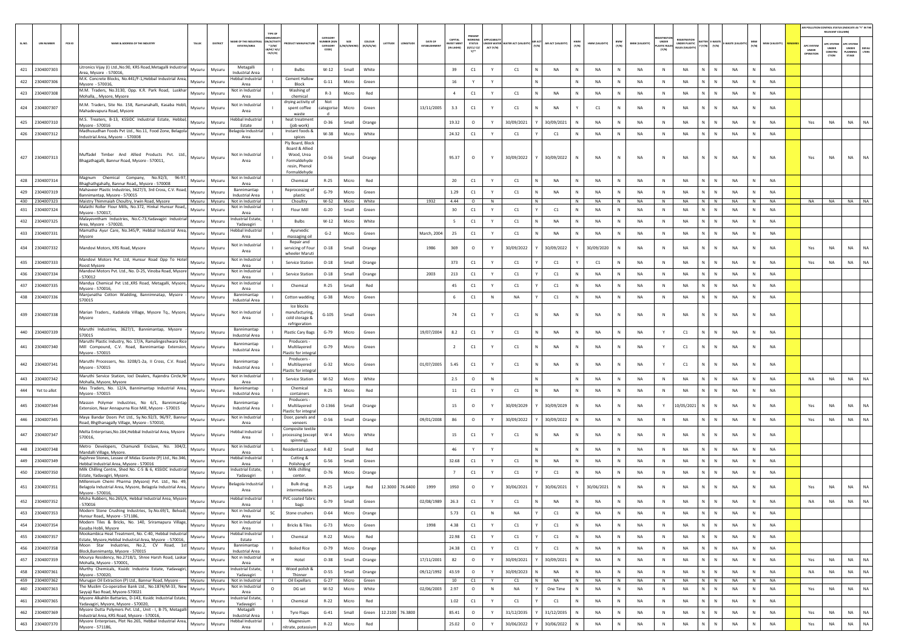|            |                             |                                                                                                                                           |                  |                                               | TYPE OF                                       |                                                                              |                                         |                |                   |          |                 |                |                                      |                                          |           |                                 |                        |                    |                   |                 |                     |                       |                           |                        |                                                          |                 |        |                        |                     | <b>NR POLLUTION CONTROL STATUS (INDICATE AS "Y" IN T</b><br>RELEVANT COLUMN |                                        |           |
|------------|-----------------------------|-------------------------------------------------------------------------------------------------------------------------------------------|------------------|-----------------------------------------------|-----------------------------------------------|------------------------------------------------------------------------------|-----------------------------------------|----------------|-------------------|----------|-----------------|----------------|--------------------------------------|------------------------------------------|-----------|---------------------------------|------------------------|--------------------|-------------------|-----------------|---------------------|-----------------------|---------------------------|------------------------|----------------------------------------------------------|-----------------|--------|------------------------|---------------------|-----------------------------------------------------------------------------|----------------------------------------|-----------|
| SL.NO.     | <b>UIN NUMBER</b><br>PCB ID | NAME & ADDRESS OF THE INDUSTRY<br>TALUK                                                                                                   | DISTRICT         | <b>IAME OF THE INDUS</b>                      | V/ACTIVI<br>$*(1/M)$<br>LB/HC/ H/L<br>CE/C/OI | <b>ANUFACTU</b>                                                              | CATEGOR<br>MBER (XG<br>CATEGOR<br>CODE) | SIZE           | COLOUR<br>k/o/d/w | LATITUDE | LONGITUDE       | <b>DATE OF</b> | CAPITA<br><b>VEST MEN</b><br>N LAKHS | WORKIN<br><b>STATUS</b><br>0/01/02<br>Y1 | ACT (Y/N) | NDER WATER WATER ACT (VALIDITY) | <b>IR ACT</b><br>(Y/N) | AIR ACT (VALIDITY) | HWM<br>(Y/N)      | HWM (VALIDITY)  | <b>BMW</b><br>(Y/N) | <b>BMW (VALIDITY)</b> | UNDER<br>STIC RU<br>(Y/N) | <b>UNDER PLASTIC</b>   | <b>TTER E-WAST</b><br>(Y/N)<br>$(\mathbb{Y}/\mathbb{N})$ | WASTE (VALI)    | (Y/N)  | MSW (VALIDITY)         | APC SYSTEM<br>UNDER | UNDER<br>CONSTRU<br>crion                                                   | PC SYSTEM<br>UNDER<br>LANNING<br>STAGE | LTERS     |
|            | 421 2304007303              | Litronics Vijay (I) Ltd., No.90, KRS Road, Metagalli Industrial<br>Mysuru                                                                 | Mysuru           | Metagall                                      |                                               | <b>Bulbs</b>                                                                 | $W-12$                                  | Small          | White             |          |                 |                | 39                                   | C1                                       | Y         | C1                              | N                      | <b>NA</b>          | N                 | <b>NA</b>       | N                   | NA                    | N                         | <b>NA</b>              | N<br>N.                                                  | NA              | N      | <b>NA</b>              |                     |                                                                             |                                        |           |
| 422        | 2304007306                  | Area, Mysore - 570016,<br>M.K. Concrete Blocks, No.441/F-1, Hebbal Industrial Area,<br>Mysuru                                             | Mysuru           | Industrial Area<br>Hebbal Industria<br>Area   |                                               | <b>Cement Hallow</b><br>Block                                                | $G-11$                                  | Micro          | Green             |          |                 |                | 16                                   | Υ                                        | Y         |                                 | N                      |                    | N                 | <b>NA</b>       | ${\sf N}$           | NA                    | N                         | <b>NA</b>              | N<br>N                                                   | NA              | N      | NA                     |                     |                                                                             |                                        |           |
|            | 423 2304007308              | Mysore - 570016<br>M.M. Traders, No.3130, Opp. K.R. Park Road, Luskhar<br>Mysuru<br>Mohalla, , Mysore, Mysore                             | Mysuru           | Not in Industria<br>Area                      |                                               | Washing of<br>chemical                                                       | $R-3$                                   | Micro          | Red               |          |                 |                | $\overline{4}$                       | C1                                       | Y         | C1                              | N                      | <b>NA</b>          | $\mathbb{N}$      | <b>NA</b>       | N                   | NA                    | N                         | <b>NA</b>              | $\mathbb{N}$<br>N                                        | NA              | N      | <b>NA</b>              |                     |                                                                             |                                        |           |
| 424        | 2304007307                  | M.M. Traders, Site No. 158, Ramanahalli, Kasaba Hobli,<br>Mysuru                                                                          | Mysuru           | Not in Industrial                             |                                               | drying activity of<br>spent coffee                                           | Not<br>ategoris:                        | Micro          | Green             |          |                 | 13/11/2005     | 3.3                                  | C1                                       | Y         | C1                              |                        | <b>NA</b>          |                   | C1              |                     | <b>NA</b>             | N                         | <b>NA</b>              | N                                                        | NA              |        | <b>NA</b>              |                     |                                                                             |                                        |           |
|            |                             | Mahadevapura Road, Mysore<br>M.S. Treaters, B-13, KSSIDC Industrial Estate, Hebbal,                                                       |                  | Area<br>Hebbal Industria                      |                                               | waste<br>heat treatment                                                      |                                         |                |                   |          |                 |                |                                      |                                          |           |                                 |                        |                    |                   |                 |                     |                       |                           |                        |                                                          |                 |        |                        |                     |                                                                             |                                        |           |
| 425        | 2304007310                  | Mysuru<br>Mysore - 570016<br>Madhusudhan Foods Pvt Ltd., No.11, Food Zone, Belagola                                                       | Mysuru           | Estate<br>elagola Industri                    |                                               | (job work)<br>Instant foods &                                                | $O - 36$                                | Small          | Orange            |          |                 |                | 19.32                                | $\circ$                                  | Y         | 30/09/2021                      |                        | 30/09/2021         |                   | <b>NA</b>       | N                   | NA                    | $\mathbb{N}$              | <b>NA</b>              | N<br>N                                                   | NA              | N      | <b>NA</b>              | Yes                 | <b>NA</b>                                                                   | <b>NA</b>                              | NA        |
| 426        | 2304007312                  | Mysuru<br>ndustrial Area, Mysore - 570008                                                                                                 | Mysuru           | Area                                          |                                               | spices<br>Ply Board, Block                                                   | W-38                                    | Micro          | White             |          |                 |                | 24.32                                | C1                                       | Y         | C1                              |                        | C1                 | N                 | <b>NA</b>       | N                   | <b>NA</b>             | N                         | <b>NA</b>              | N<br>N                                                   | <b>NA</b>       | N      | <b>NA</b>              |                     |                                                                             |                                        |           |
|            | 427 2304007313              | Muffadel Timber And Allied Products Pvt. Ltd.,<br>Mysuru<br>Bhagathagalli, Bannur Road, Mysore - 570011,                                  | Mysuru           | Not in Industrial<br>Area                     |                                               | Board & Allied<br>Wood, Urea<br>Formaldehyde<br>resin, Phenol<br>Formaldehyd | $O-56$                                  | Small          | Orange            |          |                 |                | 95.37                                | $\circ$                                  | Y         | 30/09/2022                      |                        | 30/09/2022         | N                 | <b>NA</b>       | N                   | <b>NA</b>             | N                         | <b>NA</b>              | N<br>N                                                   | NA              |        | <b>NA</b>              | Yes                 | <b>NA</b>                                                                   | <b>NA</b>                              |           |
|            | 428 2304007314              | Magnum Chemical Company, No.92/3,<br>96-97,<br>Mysuru<br>Bhaghathgahally, Bannur Road,, Mysore - 570008                                   | Mysuru           | Not in Industrial<br>Area                     |                                               | Chemical                                                                     | $R-25$                                  | Micro          | Red               |          |                 |                | 20                                   | C1                                       | Y         | C1                              | N                      | NA                 | $\mathbb{N}$      | <b>NA</b>       | N                   | <b>NA</b>             | $\mathbb{N}$              | NA                     | N<br>$\,$ N $\,$                                         | <b>NA</b>       | N      | <b>NA</b>              |                     |                                                                             |                                        |           |
| 429        | 2304007319                  | Mahaveer Plastic Industries, 3627/3, 3rd Cross, C.V. Road,<br>Mysuru<br>3annimantap, Mysore - 570015                                      | Mysuru           | Bannimantap<br>Industrial Area                |                                               | Reprocessing of<br>plastic                                                   | $G-79$                                  | Micro          | Green             |          |                 |                | 1.29                                 | C1                                       | Y         | C1                              | N                      | <b>NA</b>          | N                 | <b>NA</b>       | N                   | <b>NA</b>             | N                         | <b>NA</b>              | N<br>N                                                   | NA              | N      | <b>NA</b>              |                     |                                                                             |                                        |           |
| 430<br>431 | 2304007323<br>2304007324    | Maistry Thimmaiah Choultry, Irwin Road, Mysore<br>Mysuru<br>Malathi Roller Flour Mills, No.372, Hinkal Hunsur Road,,<br>Mysuru            | Mysuru<br>Mysuru | Not in Industrial<br>Not in Industrial        |                                               | Choultry<br>Flour Mill                                                       | W-52<br>$G-20$                          | Micro<br>Small | White<br>Green    |          |                 | 1932           | 4.44<br>30                           | $\circ$<br>C1                            | N<br>Y    | C1                              | N<br>Y                 | C1                 | N<br>$\mathbb{N}$ | NA<br><b>NA</b> | N<br>N              | NA<br>NA              | N<br>N                    | <b>NA</b><br><b>NA</b> | $N$ $N$<br>N<br>$\mathbb{N}$                             | <b>NA</b><br>NA | N<br>N | <b>NA</b><br><b>NA</b> |                     | NA NA                                                                       | NA NA                                  |           |
|            | 2304007325                  | Mysore - 570017<br>Malayevntham Industries, No.C-73, Yadavagiri Industrial                                                                |                  | Area<br><b>Industrial Estate</b>              |                                               |                                                                              |                                         |                |                   |          |                 |                | -5                                   |                                          |           | C1                              |                        | <b>NA</b>          |                   | <b>NA</b>       |                     | <b>NA</b>             |                           | <b>NA</b>              |                                                          | <b>NA</b>       | N      | <b>NA</b>              |                     |                                                                             |                                        |           |
| 432        |                             | Mysuru<br>Area, Mysore - 570020,<br>Mamatha Ayur Care, No.345/P, Hebbal Industrial Area,                                                  | Mysuru           | Yadavagiri<br>lebbal Industria                |                                               | <b>Bulbs</b><br>Ayurvedic                                                    | $W-12$                                  | Micro          | White             |          |                 |                |                                      | C1                                       | Y         |                                 | N                      |                    | N                 |                 | N                   |                       | N                         |                        | $\mathbb N$<br>N                                         |                 |        |                        |                     |                                                                             |                                        |           |
| 433        | 2304007331                  | Mysuru<br>Mysore                                                                                                                          | Mysuru           | Area                                          |                                               | massaging oil<br>Repair and                                                  | $G-2$                                   | Micro          | Green             |          |                 | March, 2004    | 25                                   | C1                                       | Y         | C1                              |                        | NA                 |                   | NA              | N                   | NA                    | N                         | <b>NA</b>              | N.<br>N                                                  | NA              | N      | NA                     |                     |                                                                             |                                        |           |
|            | 434 2304007332              | Mandovi Motors, KRS Road, Mysore<br>Mysuru                                                                                                | Mysuru           | Not in Industrial<br>Area                     |                                               | servicing of Four<br>wheeler Marut                                           | $O-18$                                  | Small          | Orange            |          |                 | 1986           | 369                                  | $\circ$                                  | Y         | 30/09/2022                      |                        | 30/09/2022         |                   | 30/09/2020      | N                   | <b>NA</b>             | N                         | NA                     | $\mathbb N$<br>Ν                                         | NA              | N      | <b>NA</b>              | Yes                 | NA                                                                          | <b>NA</b>                              |           |
| 435        | 2304007333                  | Mandovi Motors Pvt. Ltd, Hunsur Road Opp To Hotel<br>Mysuru<br>Roost Mysore                                                               | Mysuru           | Not in Industrial<br>Area                     |                                               | <b>Service Station</b>                                                       | $O-18$                                  | Small          | Orange            |          |                 |                | 373                                  | C1                                       | Y         | C1                              |                        | C1                 |                   | C1              | N                   | NA                    | N                         | NA                     | N.<br>$\mathbb N$                                        | NA              | N      | <b>NA</b>              | Yes                 | <b>NA</b>                                                                   | <b>NA</b>                              | NA        |
| 436        | 2304007334                  | Mandovi Motors Pvt. Ltd., No. D-25, Vinoba Road, Mysore<br>Mysuru<br>570012                                                               | Mysuru           | Not in Industria<br>Area                      |                                               | <b>Service Station</b>                                                       | $O-18$                                  | Small          | Orange            |          |                 | 2003           | 213                                  | C1                                       | Y         | C1                              |                        | C1                 | N                 | NA              | N                   | NA                    | N                         | NA                     | N<br>N                                                   | NA              | N      | <b>NA</b>              |                     |                                                                             |                                        |           |
| 437        | 2304007335                  | Mandya Chemical Pvt Ltd., KRS Road, Metagalli, Mysore,<br>Mysuru<br>Mysore - 570016.                                                      | Mysuru           | Not in Industrial<br>Area                     |                                               | Chemical                                                                     | $R-25$                                  | Small          | Red               |          |                 |                | 45                                   | $\mathsf{C1}$                            | Y         | C1                              |                        | C1                 | N                 | NA              | N                   | NA                    | N                         | <b>NA</b>              | N<br>N                                                   | NA              | N      | NA                     |                     |                                                                             |                                        |           |
|            | 438 2304007336              | Manjunatha Cotton Wadding, Bannimnatap, Mysore<br>Mysuru<br>570015                                                                        | Mysuru           | Bannimantap<br>Industrial Area                |                                               | Cotton wadding                                                               | $G-38$                                  | Micro          | Green             |          |                 |                | 6                                    | C1                                       | N         | NA                              |                        | C1                 | N                 | <b>NA</b>       | N                   | NA                    | $\mathbb{N}$              | <b>NA</b>              | N<br>$\mathbb{N}$                                        | NA              | N      | <b>NA</b>              |                     |                                                                             |                                        |           |
|            | 439 2304007338              | Marian Traders., Kadakola Village, Mysore Tq., Mysore,<br>Mysuru<br>Mysore                                                                | Mysuru           | Not in Industrial<br>Area                     |                                               | Ice blocks<br>manufacturing,<br>cold storage 8<br>refrigeration              | $G-105$                                 | Small          | Green             |          |                 |                | 74                                   | C1                                       |           | C1                              |                        | NA                 | N                 | NA              | N                   | NA                    | ${\sf N}$                 | <b>NA</b>              | N                                                        | NA              |        | NA                     |                     |                                                                             |                                        |           |
| 440        | 2304007339                  | Maruthi Industries, 3627/1, Bannimantap, Mysore<br>Mysuru<br>570015                                                                       | Mysuru           | Bannimantap<br>Industrial Area                |                                               | Plastic Cary Bags                                                            | $G-79$                                  | Micro          | Green             |          |                 | 19/07/2004     | 8.2                                  | C1                                       | Y         | C1                              | N                      | NA                 | N                 | <b>NA</b>       | N                   | NA                    | Y                         | C1                     | N<br>$\mathbb N$                                         | NA              | N      | <b>NA</b>              |                     |                                                                             |                                        |           |
| 441        | 2304007340                  | Maruthi Plastic Industry, No. 17/A, Ramalingeshwara Rice<br>Mill Compound, C.V. Road, Bannimantap Extension,<br>Mysuru<br>Mysore - 570015 | Mysuru           | Bannimantap<br>Industrial Area                |                                               | Producers -<br>Multilayered<br>Plastic for integra                           | $G-79$                                  | Micro          | Green             |          |                 |                | $\overline{2}$                       | C1                                       |           | C1                              |                        | NA                 | N                 | <b>NA</b>       | N                   | NA                    | Y                         | C1                     | N.<br>$\mathbb{N}$                                       | NA              |        | NA                     |                     |                                                                             |                                        |           |
| 442        | 2304007341                  | Maruthi Processers, No. 3208/1-2a, II Cross, C.V. Road,<br>Mysuru<br>Mysore - 570015                                                      | Mysuru           | Bannimantap<br>Industrial Area                |                                               | Producers -<br>Multilayered<br>lastic for integra                            | $G-32$                                  | Micro          | Green             |          |                 | 01/07/2005     | 5.45                                 | C1                                       |           | C1                              | N                      | NA                 | N                 | <b>NA</b>       | N                   | <b>NA</b>             | Y                         | C1                     | $\mathbb N$<br>Ν                                         | NA              | N      | <b>NA</b>              |                     |                                                                             |                                        |           |
| 443        | 2304007342                  | Maruthi Service Station, Iocl Dealers, Rajendra Circle, Nr<br>Mysuru<br>Mohalla, Mysore, Mysore                                           | Mysuru           | Not in Industria<br>Area                      |                                               | <b>Service Station</b>                                                       | $W-52$                                  | Micro          | White             |          |                 |                | 2.5                                  | $\circ$                                  | N         |                                 | N.                     |                    | N                 | <b>NA</b>       | N                   | NA                    | N                         | NA                     | N<br>$\mathbb N$                                         | NA              | N      | NA                     | NA                  | NA                                                                          | NA                                     | <b>NA</b> |
| 444        | Yet to allot                | Mas Traders, No. 12/A, Bannimantap Industrial Area,<br>Mysuru<br>Mysore - 570015                                                          | Mysuru           | Bannimantap<br>Industrial Area                |                                               | Chemica<br>containers                                                        | $R-25$                                  | Micro          | Red               |          |                 |                | 11                                   | $\mathsf{C1}$                            | Y         | C1                              | N                      | NA                 | N                 | NA              | N                   | NA                    | N                         | <b>NA</b>              | N<br>${\sf N}$                                           | NA              | N      | NA                     |                     |                                                                             |                                        |           |
| 445        | 2304007344                  | Masson Polymer Industries, No 6/1, Bannimantap<br>Mysuru<br>Extension, Near Annapurna Rice Mill, Mysore - 570015                          | Mysuru           | Bannimantap<br>Industrial Area                |                                               | Producers -<br>Multilayered                                                  | $O-1366$                                | Small          | Orange            |          |                 |                | 15                                   | $\circ$                                  |           | 30/09/2029                      |                        | 30/09/2029         | N                 | <b>NA</b>       |                     | NA                    | Y                         | 10/05/2021             | N<br>N                                                   | NA              |        | NA                     | Yes                 | <b>NA</b>                                                                   | <b>NA</b>                              | <b>NA</b> |
| 446        | 2304007345                  | Maya Bandar Doors Pvt Ltd., Sy.No.92/3, 96/97, Bannur<br>Mysuru                                                                           | Mysuru           | Not in Industria                              |                                               | Plastic for integra<br>Door, panels and                                      | $O - 56$                                | Small          | Orange            |          |                 | 09/01/2008     | 86                                   | $\circ$                                  | Y         | 30/09/2022                      |                        | 30/09/2022         | N                 | NA              | N                   | NA                    | N                         | <b>NA</b>              | N<br>N                                                   | NA              | N      | NA                     | Yes                 | NA                                                                          | NA                                     | NA        |
|            | 447 2304007347              | Road, Bhgthanagally Village, Mysore - 570010<br>Melta Enterprises, No.164, Hebbal Industrial Area, Mysore<br>Mysuru                       | Mysuri           | Area<br>lebbal Industria                      |                                               | veneers<br>Composite textile<br>rocessing (except                            | $W-4$                                   | Micro          | White             |          |                 |                | 15                                   | $\mathsf{C1}$                            |           | C1                              |                        | NA                 |                   | <b>NA</b>       | N                   | NA                    | N                         | <b>NA</b>              | N.<br>$\mathbb{N}$                                       | NA              |        | NA                     |                     |                                                                             |                                        |           |
|            |                             | 570016,<br>Metro Developers, Chamundi Enclave, No. 304/2, Mysuru                                                                          |                  | Area<br>Not in Industria                      |                                               | spinning).                                                                   |                                         |                |                   |          |                 |                |                                      |                                          |           |                                 |                        |                    |                   |                 |                     |                       |                           |                        |                                                          |                 |        |                        |                     |                                                                             |                                        |           |
| 448        | 2304007348                  | Mandalli Village, Mysore.<br>Rajshree Stones, Lessee of Midas Granite (P) Ltd., No.346,                                                   | Mysuru           | Area<br>lebbal Industria                      |                                               | Residential Layout<br>Cutting &                                              | R-82                                    | Small          | Red               |          |                 |                | 46                                   | Y                                        | Y         |                                 | N                      |                    | N                 | NA              | N                   | NA                    | N                         | <b>NA</b>              | N<br>${\sf N}$                                           | NA              | N      | NA                     |                     |                                                                             |                                        |           |
| 449        | 2304007349                  | Mysuru<br>Hebbal Industrial Area, Mysore - 570016<br>Milk Chilling Centre, Shed No. C-5 & 6, KSSIDC Industrial                            | Mysuri           | Area<br><b>Industrial Estate</b>              |                                               | Polishing of<br>Milk chilling                                                | $G-56$                                  | Small          | Green             |          |                 |                | 32.68                                | $\mathsf{C1}$                            |           | C1                              |                        | NA                 | N                 | NA              | N                   | NA                    | N                         | <b>NA</b>              | N.<br>N                                                  | NA              | N      | NA                     |                     |                                                                             |                                        |           |
|            | 450 2304007350              | Mysuru<br>Estate, Yadavagiri, Mysore.<br>Millennium Chemi Pharma (Mysore) Pvt. Ltd., No. 49,                                              | Mysuru           | Yadavagiri                                    |                                               | center.                                                                      | $O-76$                                  | Micro          | Orange            |          |                 |                | $\overline{7}$                       | C1                                       | Y         | C1                              |                        | C1                 | $\mathbb{N}$      | NA              | N                   | NA                    | $\mathbb{N}$              | <b>NA</b>              | N<br>$\mathbb{N}$                                        | NA              | N      | <b>NA</b>              |                     |                                                                             |                                        |           |
|            | 451 2304007351              | Belagola Industrial Area, Mysore, Belagola Industrial Area, Mysuru<br>Mysore - 570016,                                                    | Mysuru           | elagola Industria<br>Area                     |                                               | Bulk drug<br>intermediates                                                   | $R-25$                                  | Large          | Red               | 12.3000  | 76.6400         | 1999           | 1950                                 | $\circ$                                  | Y         | 30/06/2021                      |                        | 30/06/2021         |                   | 30/06/2021      |                     | <b>NA</b>             | N                         | <b>NA</b>              | N                                                        | NA              |        | <b>NA</b>              | Yes                 | <b>NA</b>                                                                   | <b>NA</b>                              | <b>NA</b> |
|            | 452 2304007352              | Misha Rubbers, No.265/A, Hebbal Industrial Area, Mysore<br>Mysuru<br>570016                                                               | Mysuru           | <b>Hebbal Industrial</b><br>Area              |                                               | PVC coated fabric<br>bags                                                    | $G - 79$                                | Small          | Green             |          |                 | 02/08/1989     | 26.3                                 | C1                                       |           | C1                              |                        | <b>NA</b>          |                   | <b>NA</b>       |                     | <b>NA</b>             | N                         | NA                     | N                                                        | <b>NA</b>       |        | <b>NA</b>              | NA                  | NA                                                                          | <b>NA</b>                              | <b>NA</b> |
|            | 453 2304007353              | Modern Stone Crushing Industries, Sy.No.69/1, Belvadi,<br>Mysuru<br>Hunsur Road,, Mysore - 571186,                                        | Mysuru           | Not in Industrial<br>Area                     | <b>SC</b>                                     | Stone crushers                                                               | $O - 64$                                | Micro          | Orange            |          |                 |                | 5.73                                 | C1                                       | N         | NA                              |                        | C1                 | N                 | NA              | N                   | <b>NA</b>             | N                         | <b>NA</b>              | $\mathbb{N}$<br>N                                        | NA              | N      | <b>NA</b>              |                     |                                                                             |                                        |           |
| 454        | 2304007354                  | Modern Tiles & Bricks, No. 140, Sriramapura Village,<br>Mysuru<br>Kasaba Hobli, Mysore                                                    | Mysuru           | Not in Industrial<br>Area                     |                                               | <b>Bricks &amp; Tiles</b>                                                    | $G-73$                                  | Micro          | Green             |          |                 | 1998           | 4.38                                 | $\mathsf{C1}$                            | Y         | C1                              |                        | C1                 | N                 | NA              | $\mathsf{N}$        | NA                    | N                         | <b>NA</b>              | N<br>$\mathbb{N}$                                        | NA              | N      | NA                     |                     |                                                                             |                                        |           |
| 455        | 2304007357                  | Mookambica Heat Treatment, No. C-40, Hebbal Industrial<br>Mysuru<br>Estate, Mysore, Hebbal Industrial Area, Mysore - 570016,              | Mysuru           | <b>Hebbal Industrial</b><br>Estate            |                                               | Chemical                                                                     | $R - 22$                                | Micro          | Red               |          |                 |                | 22.98                                | C1                                       | Y         | C1                              | Y                      | C1                 | N                 | NA              | N                   | NA                    | N                         | NA                     | $N$ $N$                                                  | NA              | N      | NA                     |                     |                                                                             |                                        |           |
| 456        | 2304007358                  | Moon Star Industries, No.2, CV Road, 1st<br>Mysuru<br>Block, Bannimantp, Mysore - 570015                                                  | Mysuru           | Bannimantap<br>Industrial Area                |                                               | <b>Boiled Rice</b>                                                           | $O-79$                                  | Micro          | Orange            |          |                 |                | 24.38                                | C1                                       | Y         | C1                              |                        | C1                 | N                 | NA              | N                   | NA                    | $\,$ N                    | <b>NA</b>              | N<br>${\sf N}$                                           | NA              | N      | NA                     |                     |                                                                             |                                        |           |
|            | 457 2304007359              | Mourya Residency, No.2718/1, Shree Harsh Road, Laskar<br>Mysuru<br>Mohalla, Mysore - 570001,                                              | Mysuru           | Not in Industrial<br>Area                     | H                                             | Hotel                                                                        | $O - 38$                                | Small          | Orange            |          |                 | 17/11/2001     | 82                                   | $\circ$                                  | Y         | 30/09/2021                      |                        | 30/09/2021         | N                 | NA              | N                   | NA                    | N                         | NA                     | N<br>N                                                   | NA              | N      | <b>NA</b>              | Yes                 | NA                                                                          | NA                                     | NA        |
| 458        | 2304007361                  | Murthy Chemicals, Kssidc Industria Estate, Yadavagiri,<br>Mysuru<br>Mysore - 570020,                                                      | Mysuru           | <b>Industrial Estate</b><br>Yadavagiri        |                                               | Wood polish &<br>Thinner                                                     | $O-55$                                  | Small          | Orange            |          |                 | 09/12/1992     | 43.59                                | $\circ$                                  | Y         | 30/09/2023                      |                        | <b>NA</b>          | N                 | NA              | N                   | NA                    | N                         | <b>NA</b>              | N<br>N                                                   | NA              | N      | NA                     | NA                  | NA                                                                          | NA                                     | NA        |
|            | 459 2304007362              | Murugan Oil Extraction (P) Ltd., Bannur Road, Mysore - Mysuru<br>The Muslim Co-operative Bank Ltd., No.1874/M-33, New                     |                  | Mysuru Not in Industrial<br>Not in Industrial |                                               | Oil Expellars                                                                |                                         | G-27 Micro     | Green             |          |                 |                | 10                                   | C1                                       | Y         | C1                              | N I                    | NA                 | N                 | NA              | N                   | NA                    | N                         | NA                     | $N$ $N$                                                  | NA              | N      | NA                     |                     |                                                                             |                                        |           |
| 460        | 2304007363                  | Mysuru<br>Sayyaji Rao Road, Mysore-570021<br>Mysore Alkahlin Battaries, D-143, Kssidc Industrial Estate,                                  | Mysuru           | Area<br><b>Industrial Estate</b>              | $\circ$                                       | DG set                                                                       | W-52                                    | Micro          | White             |          |                 | 02/06/2003     | 2.97                                 | $\circ$                                  | $\,$ N    | NA                              |                        | One Time           | N                 | <b>NA</b>       | N                   | NA                    | $\mathbb{N}$              | <b>NA</b>              | N<br>N                                                   | NA              | N      | NA                     | Yes                 | NA                                                                          | <b>NA</b>                              | NA        |
| 461        | 2304007365                  | Mysuru<br>Yadavagiri, Mysore, Mysore - 570020,<br>Mysore Dutta Polymers Pvt. Ltd., Unit - I, B-75, Metagalli                              | Mysuru           | Yadavagiri<br>Metagalli                       | $\mathbf{L}$                                  | Chemical                                                                     | $R-22$                                  | Micro          | Red               |          |                 |                | 1.02                                 | C1                                       | Y         | C1                              |                        | C1                 | N                 | NA              | N                   | NA                    | N                         | NA                     | N<br>N                                                   | NA              | N      | NA                     |                     |                                                                             |                                        |           |
| 462        | 2304007369                  | Mysuru<br>Industrial Area, KRS Road, Mysore - 570016,<br>Mysore Enterprises, Plot No.265, Hebbal Industrial Area, Mysuru                  | Mysuru           | <b>Industrial Area</b>                        |                                               | Tyre Flaps                                                                   | $G-41$                                  | Small          | Green             |          | 12.2100 76.3800 |                | 85.41                                | $\circ$                                  | Y         | 31/12/2035                      |                        | 31/12/2035         |                   | NA              | $\mathsf{N}$        | NA                    | N                         | NA                     | N<br>N                                                   | NA              | N      | NA                     | Yes                 | NA                                                                          | <b>NA</b>                              | NA        |
| 463        | 2304007370                  | Mysore - 571186.                                                                                                                          | Mysuru           | <b>Hebbal Industrial</b><br>Area              |                                               | Magnesium<br>nitrate, potassiun                                              | $R - 22$                                | Micro          | Red               |          |                 |                | 25.02                                | $\circ$                                  | Y         | 30/06/2022                      |                        | 30/06/2022         | ${\sf N}$         | NA              | N                   | NA                    | $\,$ N                    | NA                     | N<br>N                                                   | NA              | N      | NA                     | Yes                 | $_{\sf NA}$                                                                 | <b>NA</b>                              | NA        |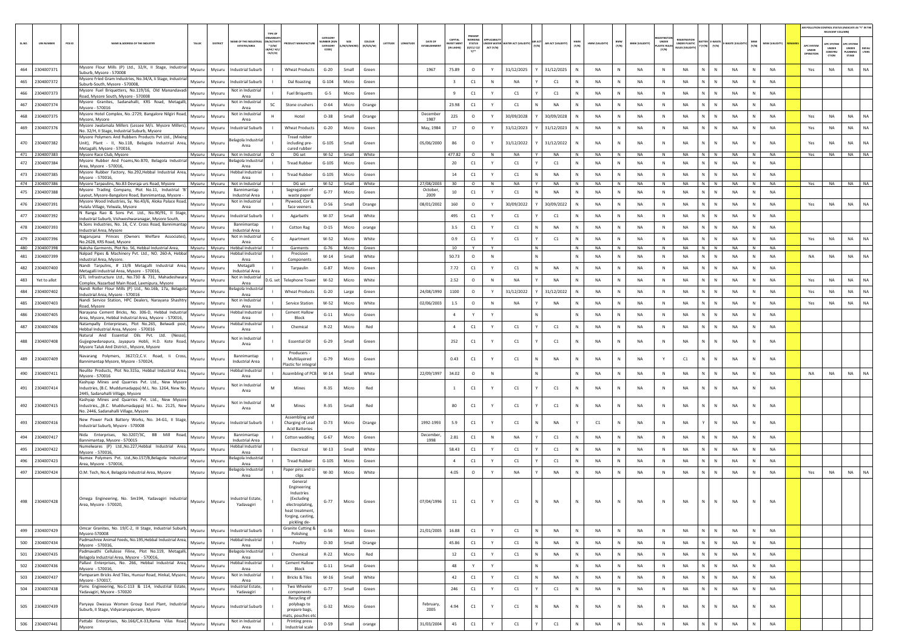|        |                              |                                                                                                                                                         |                         |          |                                             | TYPE OF                                  |                                                                                                                              |                                  |                |                     |                                                        |                              |                                       |           |                                        |                             |              |                 |         |                       |                                            |                                               |                           |                       |                 |                                       | AIR POLLUTION CONTROL STATUS (INDICATE AS "Y" IN TH<br>RELEVANT COLUM |                                          |           |
|--------|------------------------------|---------------------------------------------------------------------------------------------------------------------------------------------------------|-------------------------|----------|---------------------------------------------|------------------------------------------|------------------------------------------------------------------------------------------------------------------------------|----------------------------------|----------------|---------------------|--------------------------------------------------------|------------------------------|---------------------------------------|-----------|----------------------------------------|-----------------------------|--------------|-----------------|---------|-----------------------|--------------------------------------------|-----------------------------------------------|---------------------------|-----------------------|-----------------|---------------------------------------|-----------------------------------------------------------------------|------------------------------------------|-----------|
| SL.NO. | <b>UIN NUMBER</b>            | PCB ID<br>NAME & ADDRESS OF THE INDUSTR'                                                                                                                | <b>TALUK</b>            | DISTRICT | ME OF THE INDI<br><b>ESTATES/AREA</b>       | VACTIV<br>$*$ (1/M/<br>B/HC/ H<br>CE/C/O | <b>OUCT MANUFACTU</b>                                                                                                        | CATEGORY<br>MBER (XG<br>CATEGORY | /S/MIC         | coLous<br>(R/O/G/W) | DATE OF<br>LATITUDE<br>LONGITUD<br><b>FSTARI ISHME</b> | <b>WEST MEN</b><br>IN LAKHST | PRESENT<br><b>STATUS</b><br>(0/01/02) | ACT (Y/N) | <b>IDER WATER WATER ACT (VALIDITY)</b> | AIR ACT (VALIDITY)<br>(V/N) | N/N          | HWM (VALIDITY)  | (Y/N)   | <b>BMW (VALIDITY)</b> | <b>UNDER</b><br><b>ASTIC RULE</b><br>[Y/N] | <b>UNDER PLASTIC</b><br><b>NJLES (VALIDIT</b> | $(Y/N)$ $(Y/N)$           | WASTE (VALII<br>(Y/N) | MSW (VALIDITY)  | <b>APC SYSTE</b><br>UNDER<br>OPERATIO | <b>PC SYSTEM</b><br>UNDER<br>CONSTRU<br>crios                         | APC SYSTER<br>UNDER<br>PLANNING<br>STAGE | LTERS     |
| 464    | 2304007371                   | Mysore Flour Mills (P) Ltd., 32/K, II Stage, Industrial<br>Suburb, Mysore - 570008                                                                      | Mysuru                  | Mysuru   | <b>Industrial Suburb</b>                    | - 11                                     | <b>Wheat Products</b>                                                                                                        | $G-20$                           | Small          | Green               | 1967                                                   | 75.89                        | $\circ$                               | Y         | 31/12/2025                             | 31/12/2025                  | N            | <b>NA</b>       | N       | NA                    | N                                          | NA                                            | N.<br>$\mathbb N$         | NA                    | <b>NA</b>       | Yes                                   | NA                                                                    | <b>NA</b>                                | NA        |
| 465    | 2304007372                   | Mysore Fried Gram Industries, No.34/A, Ii Stage, Industrial<br>uburb-South, Mysore - 570008                                                             | Mysuru                  | Mysuru   | Industrial Suburb                           |                                          | Dal Roasting                                                                                                                 | $G-104$                          | Micro          | Green               |                                                        | $\overline{\mathbf{3}}$      | C1                                    | N         | NA                                     | C1                          |              | <b>NA</b>       | N       | NA                    | N                                          | NA                                            | N<br>$\mathbb N$          | NA                    | NA              |                                       |                                                                       |                                          |           |
| 466    | 2304007373                   | Mysore Fuel Briquetters, No.119/16, Old Manandavadi<br>Road, Mysore South, Mysore - 570008                                                              | Mysuru                  | Mysuru   | Not in Industria<br>Area                    |                                          | <b>Fuel Briquetts</b>                                                                                                        | $G-5$                            | Micro          | Green               |                                                        | 9                            | C1                                    |           | C1                                     | C1                          | N            | NA              | N       | NA                    | N                                          | NA                                            | N  <br>$\,$ N             | NA<br>N               | NA              |                                       |                                                                       |                                          |           |
| 467    | 2304007374                   | Mysore Granites, Sadanahalli, KRS Road, Metagall<br>Mysore - 570016                                                                                     | Mysuru                  | Mysuru   | Not in Industrial<br>Area                   | <b>SC</b>                                | Stone crushers                                                                                                               | $O - 64$                         | Micro          | Orange              |                                                        | 23.98                        | C1                                    |           | C1                                     | NA                          |              | NA              | N       | <b>NA</b>             | N                                          | <b>NA</b>                                     | N<br>N                    | <b>NA</b>             | <b>NA</b>       |                                       |                                                                       |                                          |           |
| 468    | 2304007375                   | Mysore Hotel Complex, No.:2729, Bangalore Nilgiri Road,<br>Mysore, Mysore                                                                               | Mysuru                  | Mysuru   | Not in Industrial<br>Area                   |                                          | Hotel                                                                                                                        | $O-38$                           | Small          | Orange              | Decembe<br>1987                                        | 225                          | $\circ$                               |           | 30/09/2028                             | 30/09/2028                  |              | <b>NA</b>       | N       | NA                    | N                                          | <b>NA</b>                                     | N<br>$\mathbb{N}$         | NA                    | <b>NA</b>       | Yes                                   | <b>NA</b>                                                             | <b>NA</b>                                | <b>NA</b> |
| 469    | 2304007376                   | Mysore Jwalamala Millers (Lessee M/s. Mysore Millers),<br>No. 32/H, II Stage, Industrial Suburb, Mysore                                                 | Mysuru                  | Mysuru   | <b>Industrial Suburb</b>                    |                                          | <b>Wheat Products</b>                                                                                                        | $G-20$                           | Micro          | Green               | May, 1984                                              | 17                           | $\circ$                               | Y         | 31/12/2023                             | 31/12/2023                  | N            | <b>NA</b>       | N       | NA                    | N                                          | <b>NA</b>                                     | N<br>$\mathbb{N}$         | <b>NA</b><br>N        | <b>NA</b>       | Yes                                   | NA                                                                    | <b>NA</b>                                | NA        |
| 470    | 2304007382                   | Mysore Polymers And Rubbers Products Pvt Ltd., (Mixing<br>Unit), Plant - II, No.11B, Belagola Industrial Area,                                          | Mysuru                  | Mysuru   | elagola Industria<br>Area                   |                                          | Tread rubbe<br>including pre-                                                                                                | $G-105$                          | Small          | Green               | 05/06/2000                                             | 86                           | $\circ$                               |           | 31/12/2022                             | 31/12/2022                  |              | <b>NA</b>       | N       | NA                    | N                                          | <b>NA</b>                                     | N.<br>$\mathbb N$         | <b>NA</b>             | <b>NA</b>       | Yes                                   | <b>NA</b>                                                             | <b>NA</b>                                | <b>NA</b> |
|        | 471 2304007383               | Metagalli, Mysore - 570016,<br>Mysore Race Club, Mysore                                                                                                 |                         |          | Mysuru   Mysuru   Not in Industrial         | $\circ$                                  | cured rubber<br>DG set                                                                                                       | W-52                             |                | Small White         |                                                        | 477.82                       | $\circ$                               | N         | NA                                     | <b>NA</b><br>Y              | N            | <b>NA</b>       | N       | NA                    | N                                          | NA                                            | N N                       | NA<br>N               | <b>NA</b>       | Yes                                   | NA                                                                    | NA NA                                    |           |
| 472    | 2304007384                   | Mysore Rubber And Foams, No.B70, Belagola Industrial<br>Area, Mysore - 570016.                                                                          | Mysuru                  | Mysuru   | elagola Industria<br>Area                   |                                          | <b>Tread Rubber</b>                                                                                                          | $G-105$                          | Micro          | Green               |                                                        | 20                           | C1                                    |           | C1                                     | C1                          |              | NA              | N       | NA                    | N                                          | <b>NA</b>                                     | N<br>N                    | NA                    | <b>NA</b>       |                                       |                                                                       |                                          |           |
| 473    | 2304007385                   | Mysore Rubber Factory, No.292, Hebbal Industrial Area,<br>Mysore - 570016,                                                                              | Mysuru                  | Mysuru   | Hebbal Industria<br>Area                    |                                          | <b>Tread Rubber</b>                                                                                                          | $G-105$                          | Micro          | Green               |                                                        | 14                           | C1                                    | Y         | C1                                     | N<br><b>NA</b>              | N            | <b>NA</b>       | N       | <b>NA</b>             | N                                          | <b>NA</b>                                     | N<br>$\mathbb{N}$         | <b>NA</b>             | <b>NA</b>       |                                       |                                                                       |                                          |           |
| 475    | 474 2304007386<br>2304007388 | Mysore Tarpaulins, No.83 Devraja urs Road, Mysore<br>Mysore Trading Company, Plot No.11, Industrial 'B'                                                 | Mysuru Mysuru<br>Mysuru | Mysuru   | Not in Industrial<br>Bannimantap            |                                          | DG set<br>Segregation of                                                                                                     | W-52<br>$G-77$                   | Small<br>Micro | White<br>Green      | 27/08/2003<br>October.                                 | 30<br>10                     | $\circ$<br>C1                         | N<br>Y    | NA<br>C1                               | Y<br><b>NA</b><br><b>NA</b> | N            | NA<br><b>NA</b> | N<br>N  | NA<br>NA              | N<br>$\mathbb{N}$                          | NA<br><b>NA</b>                               | N N<br>N<br>N             | NA<br>N<br><b>NA</b>  | NA<br><b>NA</b> | Yes                                   | <b>NA</b>                                                             | NA NA                                    |           |
| 476    | 2304007391                   | Layout, Mysore-Bangalore Road, Bannimantap, Mysore -<br>Mysore Wood Industries, Sy. No.43/6, Aloka Palace Road,                                         | Mysuru                  | Mysuru   | <b>Industrial Area</b><br>Not in Industrial |                                          | waste paper<br>Plywood, Cor &                                                                                                | $O-56$                           | Small          | Orange              | 2009<br>08/01/2002                                     | 160                          | $\circ$                               | Y         | 30/09/2022                             | 30/09/2022                  |              | <b>NA</b>       | N       | NA                    | N                                          | <b>NA</b>                                     | N<br>$\mathbb{N}$         | NA                    | <b>NA</b>       | Yes                                   | NA                                                                    | <b>NA</b>                                | <b>NA</b> |
| 477    | 2304007392                   | Hulalu Village, Yelwala, Mysore<br>N Ranga Rao & Sons Pvt. Ltd., No.90/91, II Stage,                                                                    | Mysuru                  | Mysuru   | Area<br>Industrial Suburb                   |                                          | face veeners<br>Agarbathi                                                                                                    | W-37                             | Small          | White               |                                                        | 495                          | C1                                    |           | C1                                     | C1                          |              | <b>NA</b>       | N       | <b>NA</b>             | N                                          | <b>NA</b>                                     | $\mathbb{N}$<br>N.        | <b>NA</b>             | <b>NA</b>       |                                       |                                                                       |                                          |           |
| 478    | 2304007393                   | Industrial Suburb, Vishweshwaranagar, Mysore South,<br>N.Sons Industries, No. 16, C.V. Cross Road, Bannimantap                                          | Mysuru                  | Mysuru   | Bannimantap                                 |                                          | <b>Cotton Rag</b>                                                                                                            | $O-15$                           | Micro          | orange              |                                                        | 3.5                          | C1                                    |           | C1                                     | NA                          |              | NA              | N       | NA                    | N                                          | NA                                            | N.<br>$\mathbb N$         | NA                    | NA              |                                       |                                                                       |                                          |           |
| 479    | 2304007396                   | Industrial Area, Mysore<br>Nagarujana Princes (Owners Welfare Associates),                                                                              | Mysuru                  | Mysur    | <b>Industrial Area</b><br>Not in Industrial |                                          | Apartment                                                                                                                    | W-52                             | Micro          | White               |                                                        | 0.9                          | C1                                    | Y         | C1                                     | C1                          | N            | NA              | N       | NA                    | $\,$ N                                     | NA                                            | N<br>$\,$ N               | NA<br>N               | <b>NA</b>       | Yes                                   | NA                                                                    | NA                                       | NA        |
| 480    | 2304007398                   | No.2628, KRS Road, Mysore<br>Naksha Garments, Plot No. 56, Hebbal Industrial Area.                                                                      | Mysuru Mysuru           |          | Area<br><b>Hebbal Industrial</b>            |                                          | Garments                                                                                                                     | G-76                             | Micro          | Green               |                                                        | 10                           |                                       | Y         |                                        | N                           | N            | <b>NA</b>       | N       | NA                    | N                                          | <b>NA</b>                                     | N N                       | NA                    | <b>NA</b>       |                                       |                                                                       |                                          |           |
| 481    | 2304007399                   | Nalpad Pipes & Machinery Pvt. Ltd., NO. 260-A, Hebbal<br>ndustrial Area, Mysore.                                                                        | Mysuru                  | Mysuru   | ebbal Industria<br>Area                     |                                          | Precision<br>Components                                                                                                      | $W-14$                           | Small          | White               |                                                        | 50.73                        | $\circ$                               | N         |                                        |                             |              | NA              | N       | NA                    | N                                          | NA                                            | N.<br>N                   | NA                    | NA              | NA                                    | NA                                                                    | NA                                       | NA        |
| 482    | 2304007400                   | Nandi Tarpulins, # 13/B Metagalli Industrial Area,<br>Metagalli Industrial Area, Mysore - 570016,                                                       | Mysuru                  | Mysuru   | Metagalli<br><b>Industrial Area</b>         |                                          | Tarpaulin                                                                                                                    | $G-87$                           | Micro          | Green               |                                                        | 7.72                         | C1                                    | Y         | C1                                     | N  <br>NA                   | N            | NA              | N       | NA                    | N                                          | NA                                            | N<br>N                    | NA<br>N               | NA              |                                       |                                                                       |                                          |           |
| 483    | Yet to allot                 | GTL Infrastructure Ltd., No.730 & 731, Mahadeshwara<br>Complex, Nazarbad Main Road, Laxmipura, Mysore                                                   | Mysuru                  | Mysuru   | Not in Industrial<br>Area                   | D.G. set                                 | <b>Telephone Tower</b>                                                                                                       | W-52                             | Micro          | White               |                                                        | 2.52                         | $\circ$                               | N         | NA                                     | <b>NA</b>                   |              | NA              |         | <b>NA</b>             | N                                          | <b>NA</b>                                     | N<br>N                    | NA                    | <b>NA</b>       | Yes                                   | NA                                                                    | NA                                       | NA        |
| 484    | 2304007402                   | Nandi Roller Flour Mills (P) Ltd., No.16b, 17a, Belagola<br>Industrial Area, Mysore - 570016                                                            | Mysuru                  | Mysuru   | elagola Industria<br>Area                   |                                          | <b>Wheat Products</b>                                                                                                        | $G-20$                           | Large          | Green               | 24/08/1990                                             | 1100                         | $\circ$                               |           | 31/12/2022                             | 31/12/2022                  | N            | <b>NA</b>       | N       | <b>NA</b>             | N                                          | <b>NA</b>                                     | N<br>$\mathbb{N}$         | <b>NA</b>             | <b>NA</b>       | Yes                                   | <b>NA</b>                                                             | <b>NA</b>                                | NA        |
| 485    | 2304007403                   | Nandi Service Station, HPC Dealers, Narayana Shashtry<br>Road, Mysore                                                                                   | Mysuru                  | Mysuru   | Not in Industrial<br>Area                   |                                          | <b>Service Station</b>                                                                                                       | $W-52$                           | Micro          | White               | 02/06/2003                                             | 1.5                          | $\circ$                               | N         | NA                                     | <b>NA</b>                   |              | <b>NA</b>       | N       | NA                    | N                                          | <b>NA</b>                                     | N.<br>$\mathbb N$         | <b>NA</b><br>N        | <b>NA</b>       | Yes                                   | NA                                                                    | <b>NA</b>                                | NA        |
| 486    | 2304007405                   | Narayana Cement Bricks, No. 306-D, Hebbal Industrial<br>Area, Mysore, Hebbal Industrial Area, Mysore - 570016,                                          | Mysuru                  | Mysuru   | bbal Industrial<br>Area                     |                                          | Cement Halloy<br>Block                                                                                                       | $G-11$                           | Micro          | Green               |                                                        | $\overline{a}$               |                                       | Y         |                                        |                             | N            | NA              | N       | NA                    | N                                          | NA                                            | N<br>N                    | NA                    | NA              |                                       |                                                                       |                                          |           |
| 487    | 2304007406                   | Natampally Enterprieses, Plot No.265, Belwadi post,<br>Hebbal Industrial Area, Mysore - 570016                                                          | Mysuru                  | Mysuru   | lebbal Industrial<br>Area                   |                                          | Chemical                                                                                                                     | $R - 22$                         | Micro          | Red                 |                                                        | $\sim$                       | C1                                    | Y         | C1                                     | Y<br>C1                     | N            | NA              | N       | NA                    | N                                          | NA                                            | N  <br>$\,$ N             | NA<br>N               | NA              |                                       |                                                                       |                                          |           |
| 488    | 2304007408                   | Natural And Essential Oils Pvt. Ltd. (Nesso)<br>Gujjegowdanapura, Jayapura Hobli, H.D. Kote Road,<br>Mysore Taluk And District., Mysore, Mysore         | Mysuru                  | Mysuru   | Not in Industrial<br>Area                   |                                          | <b>Essential Oil</b>                                                                                                         | $G-29$                           | Small          | Green               |                                                        | 252                          | C1                                    |           | C1                                     | C1                          |              | <b>NA</b>       |         | NA                    | N                                          | NA                                            | $\mathbf{N}$<br>${\sf N}$ | NA                    | <b>NA</b>       |                                       |                                                                       |                                          |           |
| 489    | 2304007409                   | Navarang Polymers, 3627/2,C.V. Road, li Cross,<br>Bannimantap Mysore, Mysore - 570024,                                                                  | Mysuru                  | Mysuru   | Bannimantap<br>Industrial Area              |                                          | Producers<br>Multilayered<br>Plastic for integr                                                                              | $G-79$                           | Micro          | Green               |                                                        | 0.43                         | C1                                    |           | C1                                     | <b>NA</b><br>N              | N            | <b>NA</b>       | N       | <b>NA</b>             | Y                                          | C1                                            | N<br>N                    | <b>NA</b><br>N        | <b>NA</b>       |                                       |                                                                       |                                          |           |
| 490    | 2304007411                   | Veulite Products, Plot No.315a, Hebbal Industrial Area,<br>Mysore - 570016                                                                              | Mysuru                  | Mysuru   | Hebbal Industria<br>Area                    |                                          | Assembling of PCB                                                                                                            | $W-14$                           | Small          | White               | 22/09/1997                                             | 34.02                        | $\circ$                               | N         |                                        | N                           | N            | NA              | N       | NA                    | N                                          | NA                                            | N.<br>N                   | NA                    | NA              | NA                                    | NA                                                                    | NA                                       | NA        |
| 491    | 2304007414                   | Kashyap Mines and Quarries Pvt. Ltd., New Mysore<br>Industries, (B.C. Muddumadappa) M.L. No. 1264, New No. Mysuru<br>2445, Sadanahalli Village, Mysore  |                         | Mysuru   | Not in Industrial<br>Area                   | M                                        | Mines                                                                                                                        | R-35                             | Micro          | Red                 |                                                        | $\mathbf{1}$                 | C1                                    |           | C1                                     | C1                          | N            | <b>NA</b>       | N       | NA                    | N                                          | <b>NA</b>                                     | N<br>N                    | <b>NA</b>             | <b>NA</b>       |                                       |                                                                       |                                          |           |
|        | 492 2304007415               | Kashyap Mines and Quarries Pvt. Ltd., New Mysore<br>Industries,.,(B.C. Muddumadappa) M.L. No. 2125, New Mysuru<br>No. 2446, Sadanahalli Village, Mysore |                         | Mysuru   | Not in Industrial<br>Area                   | M                                        | Mines                                                                                                                        | R-35                             | Small          | Red                 |                                                        | 80                           | C1                                    |           | C1                                     | C1                          | N            | <b>NA</b>       | N       | NA                    | N                                          | NA                                            | N<br>N                    | NA                    | <b>NA</b>       |                                       |                                                                       |                                          |           |
| 493    | 2304007416                   | New Power Pack Battery Works, No. 34-G1, II Stage,<br>Industrial Suburb, Mysore - 570008                                                                | Mysuru                  | Mysuru   | Industrial Suburt                           |                                          | Assembling and<br>Charging of Lead<br><b>Acid Batteries</b>                                                                  | $O - 73$                         | Micro          | Orange              | 1992-1993                                              | 5.9                          | C1                                    |           | C1                                     | <b>NA</b>                   |              | C1              | N       | <b>NA</b>             | N                                          | <b>NA</b>                                     | N                         | <b>NA</b>             | <b>NA</b>       |                                       |                                                                       |                                          |           |
| 494    | 2304007417                   | Nida Enterprises, No.3207/3C, BB Mill Road,<br>Bannimantap, Mysore - 570015                                                                             | Mysuru                  | Mysuru   | Bannimantap<br>Industrial Area              |                                          | Cotton wadding                                                                                                               | $G-67$                           | Micro          | Green               | December<br>1998                                       | 2.81                         | C1                                    | N         | <b>NA</b>                              | C1                          | N            | <b>NA</b>       | N       | NA                    | N                                          | NA                                            | N<br>$\mathbb{N}$         | NA                    | <b>NA</b>       |                                       |                                                                       |                                          |           |
| 495    | 2304007422                   | Numelwares (P) Ltd., No.227, Hebbal Industrial Area,<br>Mysore - 570016                                                                                 | Mysuru                  | Mysuru   | Hebbal Industria<br>Area                    |                                          | Electrical                                                                                                                   | $W-13$                           | Small          | White               |                                                        | 58.43                        | C1                                    | Y         | C1                                     | C1                          | N            | <b>NA</b>       | N       | NA                    | N                                          | NA                                            | N<br>$\mathbb N$          | NA<br>N               | <b>NA</b>       |                                       |                                                                       |                                          |           |
| 496    | 2304007423                   | Iumex Polymers Pvt. Ltd., No.157/B, Belagola Industria<br>Area, Mysore - 570016,                                                                        | Mysuru                  | Mysuru   | lagola Industri<br>Area                     |                                          | <b>Tread Rubber</b>                                                                                                          | $G-105$                          | Micro          | Green               |                                                        | $\sim$                       | C1                                    |           | C1                                     | C1                          |              | NA              | N       | NA                    | N                                          | NA                                            | N.<br>N                   | NA                    | NA              |                                       |                                                                       |                                          |           |
|        | 497 2304007424               | O.M. Tech, No.4, Belagola Industrial Area, Mysore                                                                                                       | Mysuru                  | Mysuru   | elagola Industria<br>Area                   |                                          | Paper pins and I<br>clips                                                                                                    | W-30                             | Micro          | White               |                                                        | 4.05                         | $\circ$                               | Y         | NA                                     | NA                          | N            | NA              | N       | NA                    | $\,$ N                                     | NA                                            | $N$ $N$                   | NA<br>N               | <b>NA</b>       | Yes                                   | NA                                                                    | NA                                       | NA        |
| 498    | 2304007428                   | Omega Engineering, No. Sm194, Yadavagiri Industrial<br>Area, Mysore - 570020.                                                                           | Mysuru                  | Mysuru   | ndustrial Estate,<br>Yadavagiri             |                                          | General<br>Engineering<br>Industries<br>(Excluding<br>electroplating<br>heat treatment.<br>forging, casting,<br>pickling de- | $G-77$                           | Micro          | Green               | 07/04/1996                                             | 11                           | C1                                    |           | C <sub>1</sub>                         | NA                          | N            | <b>NA</b>       |         | NA                    | N                                          | NA                                            | N<br>Ν                    | NA                    | <b>NA</b>       |                                       |                                                                       |                                          |           |
|        | 499 2304007429               | Omcar Granites, No. 19/C-2, III Stage, Industrial Suburb,<br>Mysore-570008                                                                              | Mysuru                  | Mysuru   | <b>Industrial Suburb</b>                    |                                          | Granite Cutting &<br>Polishing                                                                                               | $G-56$                           | Micro          | Green               | 21/01/2005                                             | 16.88                        | C1                                    | Y         | C1                                     | N<br>NA                     | N            | NA              | N       | NA                    | N                                          | <b>NA</b>                                     | $N$ $N$                   | NA<br>N               | <b>NA</b>       |                                       |                                                                       |                                          |           |
| 500    | 2304007434                   | Padmashree Animal Feeds, No.195, Hebbal Industrial Area,<br>Mysore - 570016,                                                                            | Mysuru                  | Mysuru   | Hebbal Industrial<br>Area                   |                                          | Poultry                                                                                                                      | $O-30$                           | Small          | Orange              |                                                        | 45.86                        | C1                                    | Y         | C1                                     | NA                          | N            | <b>NA</b>       | N       | NA                    | $\,$ N                                     | NA                                            | N<br>${\sf N}$            | <b>NA</b>             | <b>NA</b>       |                                       |                                                                       |                                          |           |
| 501    | 2304007435                   | Padmavathi Cellulose Filine, Plot No.119, Metagalli,<br>Belagola Industrial Area, Mysore - 570016,                                                      | Mysuru                  | Mysuru   | elagola Industrial<br>Area                  |                                          | Chemical                                                                                                                     | $R-22$                           | Micro          | Red                 |                                                        | 12                           | $\mathsf{C1}$                         | Y         | C1                                     | N<br>NA                     | $\mathbb{N}$ | <b>NA</b>       | N       | NA                    | N                                          | NA                                            | $N$ $N$                   | N<br>NA               | NA              |                                       |                                                                       |                                          |           |
| 502    | 2304007436                   | Pallavi Enterprises, No. 266, Hebbal Industrial Area,<br>Mysore - 570016,                                                                               | Mysuru                  | Mysuru   | Hebbal Industrial<br>Area                   |                                          | <b>Cement Hallow</b><br>Block                                                                                                | $G-11$                           | Small          | Green               |                                                        | 48                           | Y                                     | Y         |                                        | N                           | N            | NA              | N       | NA                    | N                                          | NA                                            | $N$ $N$                   | NA<br>N               | <b>NA</b>       |                                       |                                                                       |                                          |           |
| 503    | 2304007437                   | Pamparam Bricks And Tiles, Hunsur Road, Hinkal, Mysore,<br>Mysore - 570017.                                                                             | Mysuru                  | Mysuru   | Not in Industrial<br>Area                   |                                          | <b>Bricks &amp; Tiles</b>                                                                                                    | W-16                             | Small          | White               |                                                        | 42                           | C1                                    | Y         | C1                                     | N<br>NA                     | N            | NA              | N       | NA                    | N                                          | NA                                            | N<br>N                    | NA<br>N               | NA              |                                       |                                                                       |                                          |           |
| 504    | 2304007438                   | Pams Engineering, No.C-113 & 114, Industrial Estate,<br>Yadavagiri, Mysore - 570020                                                                     | Mysuru                  | Mysuru   | Industrial Estate,<br>Yadavagiri            |                                          | Two Wheeler<br>components                                                                                                    | $G-77$                           | Small          | Green               |                                                        | 246                          | C1                                    | Y         | C1                                     | Y<br>C1                     | N            | NA              | $\,N\,$ | NA                    | N                                          | NA                                            | $N$ $N$                   | NA<br>N               | <b>NA</b>       |                                       |                                                                       |                                          |           |
|        | 505 2304007439               | Paryaya Dwacua Women Group Excel Plant, Industrial<br>Suburb, II Stage, Vidyaranyapuram, Mysore                                                         | Mysuru                  | Mysuru   | <b>Industrial Suburb</b>                    |                                          | Recycling of<br>polybags to<br>prepare bags,<br>mats, pouches etc                                                            | $G-32$                           | Micro          | Green               | February,<br>2005                                      | 4.94                         | $\mathsf{C1}$                         | Y         | C1                                     | NA                          | N            | NA              | N       | NA                    | $\,$ N                                     | NA                                            | N<br>$\mathbb{N}$         | NA<br>$\mathbf{N}$    | <b>NA</b>       |                                       |                                                                       |                                          |           |
| 506    | 2304007441                   | Pattabi Enterprises, No.166/C,K-33,Rama Vilas Road,<br>Mysore                                                                                           | Mysuru                  | Mysuru   | Not in Industrial<br>Area                   |                                          | Printing press<br>Industrial scale                                                                                           | $O - 59$                         | Small          | orange              | 31/03/2004                                             | 45                           | $\mathsf{C1}$                         | Y         | C1                                     | $\mathsf{C1}$               | N            | NA              | N       | NA                    | $\mathsf{N}$                               | NA                                            | N<br>N                    | NA                    | NA              |                                       |                                                                       |                                          |           |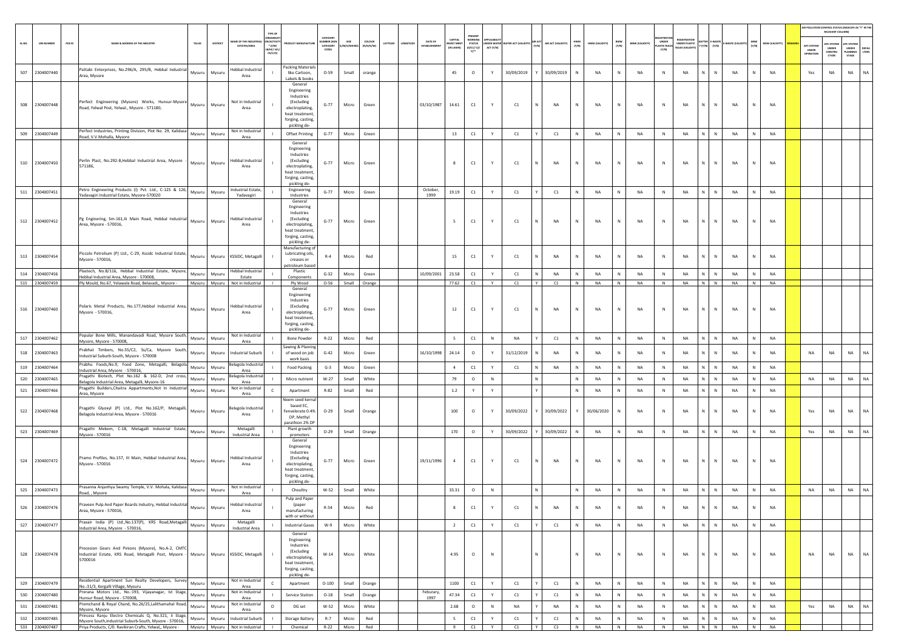|            |                          |        |                                                                                                                                                                                                 |                  |                  |                                                        |                                                                     |                                                                                                                               |                                           |                |                     |          |        |                        |                                    |                                                                      |           |                                  |                |                     |              |                 |                |                       |                             |                                                                       |                           |             |                |                 |                                         | RELEVANT COLUMN)                               | AIR POLLUTION CONTROL STATUS (INDICATE AS "Y" IN THE              |
|------------|--------------------------|--------|-------------------------------------------------------------------------------------------------------------------------------------------------------------------------------------------------|------------------|------------------|--------------------------------------------------------|---------------------------------------------------------------------|-------------------------------------------------------------------------------------------------------------------------------|-------------------------------------------|----------------|---------------------|----------|--------|------------------------|------------------------------------|----------------------------------------------------------------------|-----------|----------------------------------|----------------|---------------------|--------------|-----------------|----------------|-----------------------|-----------------------------|-----------------------------------------------------------------------|---------------------------|-------------|----------------|-----------------|-----------------------------------------|------------------------------------------------|-------------------------------------------------------------------|
| SLNO.      | <b>UIN NUMBER</b>        | PCB ID | NAME & ADDRESS OF THE INDUSTR'                                                                                                                                                                  | TALUK            | DISTRICT         | ME OF THE INDU<br><b>ESTATES/AREA</b>                  | <b>IRGANISA</b><br><b>ACTIV</b><br>$*(1/M)^*$<br>B/HC/ H/<br>CE/C/O | <b>OUCT MANUFACTUR</b>                                                                                                        | CATEGORY<br>MBER (XC<br>CATEGORY<br>CODET | A/S/MIC        | coLour<br>(R/O/G/W) | LATITUDE | NGITUD | DATE OF<br>ESTABLISHME | CAPITAL<br>VEST MENT<br>(IN LAKHS) | PRESENT<br>WORKING<br><b>STATUS</b><br>(0/C1/C2)<br>$Y$ <sup>+</sup> | ACT (Y/N) | INDER WATER WATER ACT (VALIDITY) |                | (VTIGLIAV) T.DA RIA | HWM<br>(Y/N) | HWM (VALIDITY)  | BMW<br>(Y/N)   | <b>BMW (VALIDITY)</b> | UNDER<br><b>LASTIC RULE</b> | <b>EGISTRATI</b><br>UNDER PLASTIC<br>SAITER<br>Y (Y/N)<br>ULES (VALID | (Y/N)                     | E-WASTE (VA | MSW<br>(Y/N)   | (YTIGLIAV) W2M  | APC SYSTEM<br>UNDER<br><b>OPERATION</b> | <b>APC SYSTEM</b><br>UNDER<br>CONSTRU<br>CTION | APC SYSTEM<br>UNDER<br><b>DEFAU<br/>LTERS</b><br>LANNING<br>STAGE |
| 507        | 2304007440               |        | attabi Enterprises, No.296/A, 295/B, Hebbal Industrial<br>Area, Mysore                                                                                                                          | Mysuru           | Mysuru           | Hebbal Industrial<br>Area                              |                                                                     | <b>Packing Materials</b><br>like Cartoon,<br>Labels & books                                                                   | $O-59$                                    | Small          | orange              |          |        |                        | 45                                 | $\circ$                                                              | Y         | 30/09/2019                       |                | 30/09/2019          |              | NA              | ${\sf N}$      | <b>NA</b>             | ${\sf N}$                   | NA                                                                    | N                         | NA          |                | <b>NA</b>       | Yes                                     | NA                                             | <b>NA</b><br>NA                                                   |
|            | 508 2304007448           |        | Perfect Engineering (Mysore) Works, Hunsur-Mysore<br>Road, Yelwal Post, Yelwal., Mysore - 571180,                                                                                               | Mysuru           | Mysuru           | Not in Industrial<br>Area                              |                                                                     | General<br>Engineering<br>Industries<br>(Excluding<br>electroplating,<br>heat treatment<br>forging, casting,<br>pickling de-  | $G-77$                                    | Micro          | Green               |          |        | 03/10/1987             | 14.61                              | C1                                                                   |           | C1                               |                | NA                  | $\mathbb{N}$ | NA              | ${\sf N}$      | <b>NA</b>             | N                           | <b>NA</b>                                                             | N                         | NA          | N              | <b>NA</b>       |                                         |                                                |                                                                   |
|            | 509 2304007449           |        | Perfect Industries, Printing Division, Plot No. 29, Kalidasa<br>Road, V.V.Mohalla, Mysore                                                                                                       | Mysuru           | Mysuru           | Not in Industrial<br>Area                              |                                                                     | <b>Offset Printing</b>                                                                                                        | $G-77$                                    | Micro          | Green               |          |        |                        | 13                                 | C1                                                                   | Y         | C1                               |                | C1                  |              | NA              | $\,N\,$        | <b>NA</b>             | ${\sf N}$                   | NA<br>N                                                               | $\mathsf{N}$              | NA          | $\mathbb N$    | NA              |                                         |                                                |                                                                   |
|            | 510 2304007450           |        | Perlin Plast, No.292-B,Hebbal Industrial Area, Mysore<br>571186,                                                                                                                                | Mysuru           | Mysuru           | Hebbal Industrial<br>Area                              |                                                                     | General<br>Engineering<br>Industries<br>(Excluding<br>electroplating,<br>heat treatment<br>forging, casting,<br>pickling de-  | $G-77$                                    | Micro          | Green               |          |        |                        | 8                                  | C1                                                                   |           | C1                               |                | NA                  | N            | NA              | ${\sf N}$      | <b>NA</b>             | Ν                           | NA<br>N                                                               | N                         | NA          |                | <b>NA</b>       |                                         |                                                |                                                                   |
| 511        | 2304007451               |        | etro Engineering Products (I) Pvt. Ltd., C-125 & 126,<br>Yadavagiri Industrial Estate, Mysore-570020                                                                                            | Mysuru           | Mysuru           | ndustrial Estate,<br>Yadavagiri                        |                                                                     | Engineering<br>Industries                                                                                                     | $G-77$                                    | Micro          | Green               |          |        | October,<br>1999       | 19.19                              | C1                                                                   | Y         | C1                               |                | C1                  |              | NA              | N              | <b>NA</b>             | ${\sf N}$                   | NA<br>N                                                               | $\mathsf{N}$              | NA          | N              | NA              |                                         |                                                |                                                                   |
|            | 512 2304007452           |        | Pg Enginering, Sm-161, lii Main Road, Hebbal Industrial<br>Area, Mysore - 570016,                                                                                                               | Mysuru           | Mysuru           | Hebbal Industrial<br>Area                              |                                                                     | General<br>Engineering<br>Industries<br>(Excluding<br>electroplating,<br>heat treatment<br>forging, casting,<br>pickling de-  | $G-77$                                    | Micro          | Green               |          |        |                        | 5                                  | C1                                                                   |           | C1                               |                | NA                  | $\mathbb N$  | NA              | ${\sf N}$      | <b>NA</b>             | N                           | NA                                                                    | N                         | NA          | N              | <b>NA</b>       |                                         |                                                |                                                                   |
|            | 513 2304007454           |        | Piccolo Petrolium (P) Ltd., C-29, Kssidc Industrial Estate,<br>Mysore - 570016.                                                                                                                 | Mysuru           | Mysuru           | KSSIDC, Metagalli                                      |                                                                     | Manufacturing of<br>Lubricating oils,<br>creases or<br>etroleum basec                                                         | $R-4$                                     | Micro          | Red                 |          |        |                        | 15                                 | C1                                                                   | Y         | C1                               |                | <b>NA</b>           | N            | <b>NA</b>       | N              | NA                    | $\mathbb{N}$                | <b>NA</b><br>N                                                        | N                         | <b>NA</b>   | $\mathbb N$    | <b>NA</b>       |                                         |                                                |                                                                   |
|            | 514 2304007456           |        | Plastech, No.B/116, Hebbal Industrial Estate, Mysore,<br>lebbal Industrial Area, Mysore - 570008,                                                                                               | Mysuru           | Mysuru           | -lebbal Industrial<br>Estate                           |                                                                     | Plastic<br>Components                                                                                                         | $G-32$                                    | Micro          | Green               |          |        | 10/09/2001             | 23.58                              | C1                                                                   | Y         | C1                               |                | NA                  |              | NA              | N              | <b>NA</b>             | $\mathbb N$                 | <b>NA</b>                                                             |                           | NA          |                | NA              |                                         |                                                |                                                                   |
|            | 515 2304007459           |        | Ply Mould, No.67, Yelawala Road, Belavadi,, Mysore -                                                                                                                                            |                  |                  | Mysuru Mysuru Not in Industrial                        |                                                                     | Ply Wood<br>General                                                                                                           | $O-56$                                    | Small Orange   |                     |          |        |                        | 77.62                              | C1                                                                   | Y         | C1                               | $\mathsf{I}$ Y | C1                  | N            | <b>NA</b>       | N              | NA                    | N                           | <b>NA</b>                                                             | $\sqrt{N}$                | <b>NA</b>   | N              | <b>NA</b>       |                                         |                                                |                                                                   |
|            | 516 2304007460           |        | Polaris Metal Products, No.177, Hebbal Industrial Area,<br>Mysore - 570016,                                                                                                                     | Mysuru           | Mysuru           | <b>Hebbal Industrial</b><br>Area                       |                                                                     | Engineering<br>Industries<br>(Excluding<br>electroplating,<br>heat treatment<br>forging, casting,                             | $G-77$                                    | Micro          | Green               |          |        |                        | 12                                 | C1                                                                   | Y         | C1                               |                | NA                  | $\,$ N       | NA              | ${\sf N}$      | <b>NA</b>             | ${\sf N}$                   | NA<br>N                                                               | $\mathbb N$               | NA          | N              | <b>NA</b>       |                                         |                                                |                                                                   |
| 517        | 2304007462               |        | Popular Bone Mills, Manandavadi Road, Mysore South,<br>Mysore, Mysore - 570008                                                                                                                  | Mysuru           | Mysuru           | Not in Industrial<br>Area                              |                                                                     | pickling de-<br><b>Bone Powder</b>                                                                                            | $R-22$                                    | Micro          | Red                 |          |        |                        | 5                                  | $\mathsf{C}1$                                                        | ${\sf N}$ | <b>NA</b>                        |                | C1                  |              | NA              | $\,N\,$        | <b>NA</b>             | N                           | NA<br>N                                                               | ${\sf N}$                 | NA          | $\mathbb N$    | NA              |                                         |                                                |                                                                   |
|            | 518 2304007463           |        | Prabhat Timbers, No.55/C2, Ss/Ca, Mysore South,<br>Industrial Suburb-South, Mysore - 570008                                                                                                     | Mysuru           | Mysuru           | <b>Industrial Suburb</b>                               |                                                                     | Sawing & Plaining<br>of wood on job<br>work basis                                                                             | $G-42$                                    | Micro          | Green               |          |        | 16/10/1998             | 24.14                              | $\circ$                                                              | Y         | 31/12/2019                       |                | NA                  | $\,$ N       | NA              | N              | NA                    | $\,$ N                      | <b>NA</b><br>N                                                        | $\mathsf{N}$              | NA          | N              | NA              | NA                                      | NA                                             | <b>NA</b><br>NA                                                   |
| 519        | 2304007464               |        | rabhu Foods, No.9, Food Zone, Metagalli, Belagola<br>Industrial Area, Mysore - 570016,                                                                                                          | Mysuru           | Mysuru           | elagola Industrial<br>Area                             |                                                                     | Food Packing                                                                                                                  | $G-3$                                     | Micro          | Green               |          |        |                        | $\sim$                             | C1                                                                   | Y         | C1                               |                | NA                  |              | NA              | $\,N\,$        | <b>NA</b>             | N                           | NA<br>N                                                               | ${\sf N}$                 | NA          | N              | NA              |                                         |                                                |                                                                   |
| 520        | 2304007465               |        | Pragathi Biotech, Plot No.162 & 162-D, 2nd cross,<br>Belagola Industrial Area, Metagalli, Mysore-16                                                                                             | Mysuru           | Mysuru           | elagola Industria<br>Area                              |                                                                     | Micro nutrient                                                                                                                | $W-27$                                    | Small          | White               |          |        |                        | 79                                 | $\circ$                                                              | $\,$ N    |                                  |                |                     | N            | NA              | ${\sf N}$      | NA                    | N                           | $\mathsf{N}^-$<br>NA                                                  | $\mathbb{N}$              | NA          | N              | NA              | NA                                      | NA                                             | NA<br>NA                                                          |
|            | 521 2304007466           |        | Pragathi Builders, Chaitra Appartments, Not In Industrial<br>Area, Mysore                                                                                                                       | Mysuru           | Mysuru           | Not in Industria<br>Area                               | $\epsilon$                                                          | Apartment                                                                                                                     | R-82                                      | Small          | Red                 |          |        |                        | $1.2\,$                            | Y                                                                    | Y         |                                  |                |                     | N            | <b>NA</b>       | N              | NA                    | N                           | <b>NA</b><br>N.                                                       | $\mathbb N$               | NA          | N              | <b>NA</b>       |                                         |                                                |                                                                   |
|            | 522 2304007468           |        | Pragathi Glyoxyl (P) Ltd., Plot No.162/P, Metagalli,<br>Belagola Industrial Area, Mysore - 570016                                                                                               | Mysuru           | Mysuru           | lagola Industria<br>Area                               |                                                                     | Neem seed kerna<br>based EC.<br>Fenvelerate 0.4%<br>DP. Methyl<br>arathion 2% DP                                              | $O-29$                                    | Small          | Orange              |          |        |                        | 100                                | $\circ$                                                              |           | 30/09/2022                       |                | 30/09/2022          | Y            | 30/06/2020      | N              | NA                    | N                           | NA<br>N                                                               | N                         | NA          | $\mathbb N$    | NA              | Yes                                     | NA                                             | NA<br>NA                                                          |
|            | 523 2304007469           |        | Pragathi Mekem, C-18, Metagalli Industrial Estate,<br>Mysore - 570016                                                                                                                           | Mysuru           | Mysuru           | Metagalli<br><b>Industrial Area</b>                    |                                                                     | Plant growth<br>promoters                                                                                                     | $O-29$                                    | Small          | Orange              |          |        |                        | 170                                | $\circ$                                                              | Y         | 30/09/2022                       |                | 30/09/2022          |              | NA              | ${\sf N}$      | NA                    | N                           | NA<br>N                                                               | $\mathbb{N}$              | NA          | N              | <b>NA</b>       | Yes                                     | NA                                             | NA<br>NA                                                          |
|            | 524 2304007472           |        | Pramo Profiles, No.157, III Main, Hebbal Industrial Area,<br>Mysore - 570016                                                                                                                    |                  | Mysuru Mysuru    | <b>Hebbal Industrial</b><br>Area                       |                                                                     | General<br>Engineering<br>Industries<br>(Excluding<br>electroplating,<br>heat treatment,<br>forging, casting,<br>pickling de- | $G-77$                                    | Micro          | Green               |          |        | 19/11/1996             | $\overline{4}$                     | C1                                                                   | Y         | C1                               |                | <b>NA</b>           | N            | <b>NA</b>       | N              | NA                    | N                           | <b>NA</b><br>N                                                        | $\mathbb{N}$              | NA          | $\mathbb N$    | <b>NA</b>       |                                         |                                                |                                                                   |
| 525        | 2304007473               |        | Prasanna Anjanhya Swamy Temple, V.V. Mohala, Kalidasa<br>Road, , Mysore                                                                                                                         |                  | Mysuru Mysuru    | Not in Industrial<br>Area                              |                                                                     | Choultry                                                                                                                      | W-52                                      | Small          | White               |          |        |                        | 33.31                              | $\circ$                                                              | $\,$ N    |                                  |                |                     | N            | <b>NA</b>       | N              | NA                    | N                           | NA<br>$\mathbb{N}$                                                    | N                         | NA          | $\mathbb N$    | NA              | NA                                      | NA                                             | NA<br>NA                                                          |
| 526        | 2304007476               |        | Praveen Pulp And Paper Boards Industry, Hebbal Industrial<br>Area, Mysore - 570016,                                                                                                             | Mysuru           | Mysuru           | <b>Hebbal Industrial</b><br>Area                       |                                                                     | Pulp and Paper<br>(paper<br>manufacturing                                                                                     | R-54                                      | Micro          | Red                 |          |        |                        | 8                                  | C1                                                                   |           | C1                               |                | <b>NA</b>           |              | <b>NA</b>       |                |                       |                             | <b>NA</b><br>N                                                        |                           | <b>NA</b>   |                |                 |                                         |                                                |                                                                   |
|            | 527 2304007477           |        | Praxair India (P) Ltd., No.137(P), KRS Road, Metagalli                                                                                                                                          | Mysuru           | Mysuru           | Metagalli                                              |                                                                     | with or without<br><b>Industrial Gases</b>                                                                                    | $W-9$                                     | Micro          | White               |          |        |                        | $\overline{2}$                     | C1                                                                   | Y         | C1                               |                | C1                  | N            | NA              | ${\sf N}$      | NA                    | N                           | NA<br>N                                                               | N                         | NA          | N              | NA              |                                         |                                                |                                                                   |
| 528        | 2304007478               |        | Industrial Area, Mysore - 570016,<br>Precesion Gears And Pinions (Mysore), No.A-2, CMTC<br>Industrial Estate, KRS Road, Metagalli Post, Mysore - Mysuru   Mysuru   KSSIDC, Metagalli<br>5700016 |                  |                  | Industrial Area                                        |                                                                     | General<br>Engineering<br>Industries<br>(Excluding<br>electroplating,<br>heat treatment<br>forging, casting,<br>pickling de-  | $W-14$                                    | Micro          | White               |          |        |                        | 4.95                               | $\circ$                                                              | $\,$ N    |                                  |                |                     | N            | NA              | ${\sf N}$      | NA                    | N                           | NA<br>N                                                               | N                         | NA          | $\mathbb N$    | <b>NA</b>       | <b>NA</b>                               | <b>NA</b>                                      | NA<br>NA                                                          |
|            | 529 2304007479           |        | Residential Apartment Sun Realty Developers, Survey<br>No.:31/3, Kergalli Village, Mysuru                                                                                                       | Mysuru           | Mysuru           | Not in Industrial<br>Area                              | $\mathsf{C}$                                                        | Apartment                                                                                                                     | $O-100$                                   | Small          | Orange              |          |        |                        | 1100                               | C1                                                                   | Y         | C1                               |                | C1                  | N            | NA              | ${\sf N}$      | NA                    | $\,$ N                      | NA                                                                    | $\,N\,$ $\,$ $\,$ $\,N\,$ | NA          | N              | NA              |                                         |                                                |                                                                   |
| 530<br>531 | 2304007480<br>2304007481 |        | Prerana Motors Ltd., No.:193, Vijayanagar, Ist Stage,<br>Hunsur Road, Mysore - 570008,<br>Premchand & Royal Chand, No.26/25,Lalithamahal Road,<br>Mysore, Mysore                                | Mysuru<br>Mysuru | Mysuru<br>Mysuru | Not in Industrial<br>Area<br>Not in Industrial<br>Area | $\mathbf{I}$<br>$\circ$                                             | <b>Service Station</b><br>DG set                                                                                              | $O-18$<br>W-52                            | Small<br>Micro | Orange<br>White     |          |        | Feburary,<br>1997      | 47.34<br>2.68                      | C1<br>$\circ$                                                        | Y<br>N    | C1<br><b>NA</b>                  |                | C1<br>NA            | N<br>N       | <b>NA</b><br>NA | N<br>${\sf N}$ | NA<br>NA              | N<br>N                      | <b>NA</b><br>N<br>N<br>NA                                             | N<br>$\mathbb N$          | NA<br>NA    | N<br>${\sf N}$ | <b>NA</b><br>NA | Yes                                     | NA                                             | NA<br>NA                                                          |
|            | 532 2304007485           |        | Princess Ranju Electro Chemicals Q, No.321, li Stage,<br>Mysore South, Industrial Suburb-South, Mysore - 570016,                                                                                | Mysuru           | Mysuru           | <b>Industrial Suburb</b>                               | $\blacksquare$                                                      | <b>Storage Battery</b>                                                                                                        | $R-7$                                     | Micro          | Red                 |          |        |                        | 5                                  | C1                                                                   | Y         | C1                               |                | C1                  | N            | NA              | N              | NA                    | N                           | NA<br>N                                                               | N                         | NA          | N              | <b>NA</b>       |                                         |                                                |                                                                   |
|            | 533 2304007487           |        | Priya Products, C/O. Ravikiran Crafts, Yelwal,, Mysore -                                                                                                                                        |                  |                  | Mysuru Mysuru Not in Industrial                        |                                                                     | Chemical                                                                                                                      |                                           | R-22 Micro     | Red                 |          |        |                        | 9                                  | C1                                                                   | Y         | C1                               |                | C1                  | N            | NA              | N              | NA                    | N                           | NA                                                                    | $N$ $N$                   | NA          | N              | <b>NA</b>       |                                         |                                                |                                                                   |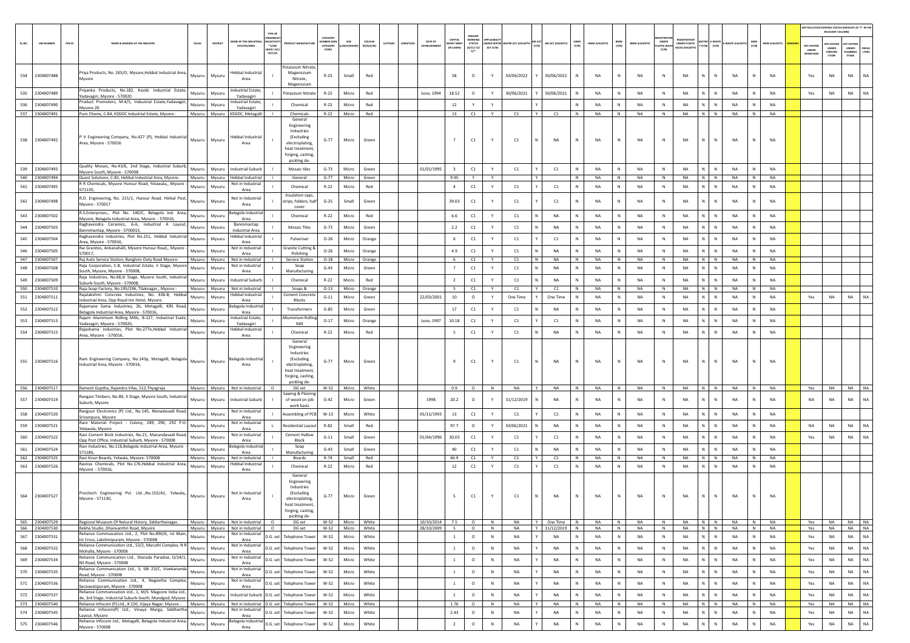|       |                                  |                                                                                                                                                                                       |                  |                  |                                                                      |                                                                    |                                                                                                                              |                                           |                                      |                     |                      |                          |                                          |                                                 |           |                                 |                             |              |                 |              |                 |                                     |                                                     |                           |                        |              |                        |                                        | AIR POLLUTION CONTROL STATUS (INDICATE AS "Y" IN THE<br>RELEVANT COLUMNI |                                                |               |
|-------|----------------------------------|---------------------------------------------------------------------------------------------------------------------------------------------------------------------------------------|------------------|------------------|----------------------------------------------------------------------|--------------------------------------------------------------------|------------------------------------------------------------------------------------------------------------------------------|-------------------------------------------|--------------------------------------|---------------------|----------------------|--------------------------|------------------------------------------|-------------------------------------------------|-----------|---------------------------------|-----------------------------|--------------|-----------------|--------------|-----------------|-------------------------------------|-----------------------------------------------------|---------------------------|------------------------|--------------|------------------------|----------------------------------------|--------------------------------------------------------------------------|------------------------------------------------|---------------|
| SLNO. | <b>UIN NUMBER</b>                | $PCB$ ID<br>NAME & ADDRESS OF THE INDUSTR'                                                                                                                                            | TALUK            | DISTRICT         | ME OF THE INDU<br><b>ESTATES/AREA</b>                                | <b>IRGANISA</b><br><b>ACTIV</b><br>$*(1/M)^*$<br>B/HC/ H<br>CE/C/O | <b>OUCT MANUFACTUR</b>                                                                                                       | CATEGORY<br>MBER (X)<br>CATEGORY<br>CODET | M/S/MICRO                            | coLour<br>(R/O/G/W) | LATITUDE<br>LONGITUD | DATE OF<br>ESTABLISHME   | CAPITAL<br><b>WEST MEN</b><br>(IN LAKHS) | PRESENT<br>WORKIN<br><b>STATUS</b><br>(0/C1/C2) | ACT (Y/N) | NDER WATER WATER ACT (VALIDITY) | AIR ACT (VALIDITY)<br>(Y/N) | HWM<br>(Y/N) | HWM (VALIDITY)  | BMW<br>(Y/N) | BMW (VALIDITY)  | UNDER<br><b>ASTIC RULE</b><br>[Y/N] | FOISTRATI<br>UNDER PLASTIC<br><b>NJLES (VALIDI)</b> | $(Y/N)$ $(Y/N)$           | WASTE (VALI            | MSW<br>(Y/N) | MSW (VALIDITY)         | <b>APC SYSTEM</b><br>UNDER<br>OPERATIO | <b>APC SYSTEM</b><br><b>UNDER</b><br>CONSTRU<br>CTION                    | APC SYSTEM<br><b>UNDER</b><br>LANNING<br>STAGE | DEFA<br>LTERS |
| 534   | 2304007488                       | Priya Products, No. 265/O, Mysore, Hebbal Industrial Area,<br>Mysore                                                                                                                  | Mysuru           | Mysuru           | <b>Hebbal Industrial</b><br>Area                                     |                                                                    | Potassium Nitrate.<br>Magenssium<br>Nitrate,<br>Magenssium                                                                   | $R-25$                                    | Small                                | Red                 |                      |                          | 58                                       | $\circ$                                         |           | 30/06/2022                      | 30/06/2022                  | N            | NA              | N            | NA              | $\,$ N                              | NA                                                  | $\mathbf{N}$<br>${\sf N}$ | NA                     |              | NA                     | Yes                                    | NA                                                                       | NA                                             | NA            |
| 535   | 2304007489                       | Priyanka Products, No.182, Kssidc Industrial Estate,<br>Yadavagiri, Mysore - 570020                                                                                                   | Mysuru           | Mysuru           | Industrial Estate,<br>Yadavagiri                                     |                                                                    | Potassium Nitrate                                                                                                            | R-25                                      | Micro                                | Red                 |                      | June, 1994               | 18.52                                    | $\circ$                                         | Y         | 30/06/2021                      | 30/06/2021                  | N            | <b>NA</b>       | N            | NA              | N                                   | NA                                                  | N<br>$\mathbb N$          | <b>NA</b>              | N            | <b>NA</b>              | Yes                                    | NA                                                                       | NA                                             | <b>NA</b>     |
| 536   | 2304007490                       | Product Promoters, M-4/5, Indsutrial Estate, Yadavagiri<br>Mysore-20                                                                                                                  | Mysuru           | Mysuru           | ndustrial Estate,<br>Yadavagiri                                      |                                                                    | Chemical                                                                                                                     | $R-22$                                    | Micro                                | Red                 |                      |                          | 12                                       |                                                 |           |                                 |                             |              | NA              | N            | NA              | N                                   | NA                                                  | N.<br>N                   | NA                     |              | NA                     |                                        |                                                                          |                                                |               |
|       | 537 2304007491                   | Pure Chems, C-84, KSSIDC Industrial Estate, Mysore -                                                                                                                                  |                  |                  | Mysuru Mysuru KSSIDC, Metagalli                                      |                                                                    | Chemicals<br>General                                                                                                         | $R - 22$                                  | Micro                                | Red                 |                      |                          | 13                                       | C1                                              | Y         | C1                              | Y I<br>C1                   | N            | <b>NA</b>       | N            | <b>NA</b>       | N                                   | <b>NA</b>                                           | N N                       | <b>NA</b>              | N            | NA                     |                                        |                                                                          |                                                |               |
|       | 538 2304007492                   | P V Engineering Company, No.427 (P), Hebbal Industrial<br>Area, Mysore - 570016                                                                                                       | Mysuru           | Mysuru           | Hebbal Industria<br>Area                                             |                                                                    | Engineering<br>Industries<br>(Excluding<br>electroplating.<br>heat treatment<br>forging, casting<br>pickling de-             | $G-77$                                    | Micro                                | Green               |                      |                          | $\overline{7}$                           | C1                                              | Y         | C1                              | N<br><b>NA</b>              | $\mathbb{N}$ | <b>NA</b>       | N            | <b>NA</b>       | N                                   | <b>NA</b>                                           | $\mathsf{N}$<br>N         | <b>NA</b>              |              | <b>NA</b>              |                                        |                                                                          |                                                |               |
| 539   | 2304007493                       | Quality Mosaic, No.43/6, 2nd Stage, Industrial Suburb,<br>Mysore South, Mysore - 570008                                                                                               | Mysuru           | Mysuru           | <b>Industrial Suburb</b>                                             |                                                                    | <b>Mosaic tiles</b>                                                                                                          | $G-73$                                    | Micro                                | Green               |                      | 01/01/1995               | $\overline{\mathbf{3}}$                  | C1                                              | Y         | C1                              | C1                          | N            | <b>NA</b>       | N            | <b>NA</b>       | N                                   | <b>NA</b>                                           | N<br>$\mathbb{N}$         | <b>NA</b>              |              | <b>NA</b>              |                                        |                                                                          |                                                |               |
|       | 540 2304007494                   | Quest Solutions, C-83, Hebbal Industrial Area, Mysore.                                                                                                                                |                  | Mysuru Mysuru    | Hebbal Industrial<br>Not in Industrial                               |                                                                    | General                                                                                                                      | $G-77$                                    | Micro                                | Green               |                      |                          | 9.95                                     | Y                                               | Y         |                                 | Y                           | N            | NA              | N            | NA              | N                                   | NA                                                  | $N$ $N$                   | NA                     | N            | <b>NA</b>              |                                        |                                                                          |                                                |               |
| 541   | 2304007495                       | R R Chemicals, Mysore Hunsur Road, Yelawala,, Mysore<br>571130.                                                                                                                       | Mysuru           | Mysuru           | Area                                                                 |                                                                    | Chemical                                                                                                                     | $R-22$                                    | Micro                                | Red                 |                      |                          | $\overline{4}$                           | C1                                              | Y         | C1                              | C1                          | N            | NA              | N            | NA              | $\mathbb{N}$                        | NA                                                  | N<br>$\mathbb N$          | NA                     |              | NA                     |                                        |                                                                          |                                                |               |
|       | 542 2304007498                   | R.D. Engineering, No. 215/1, Hunsur Road, Hinkal Post,<br>Mysore - 570017                                                                                                             | Mysuru           | Mysuru           | Not in Industrial<br>Area                                            |                                                                    | Insulation caps<br>strips, folders. halt<br>cover                                                                            | $G-25$                                    | Small                                | Green               |                      |                          | 39.03                                    | $\mathsf{C1}$                                   |           | C1                              | C1                          | N            | <b>NA</b>       | N            | NA              | N                                   | <b>NA</b>                                           | N<br>$\mathbb N$          | <b>NA</b>              |              | <b>NA</b>              |                                        |                                                                          |                                                |               |
| 543   | 2304007502                       | R.S.Enterprises., Plot No. 140/C, Belagola Ind. Area,<br>Mysore, Belagola Industrial Area, Mysore - 570016,                                                                           | Mysuru           | Mysuru           | elagola Industrial<br>Area                                           |                                                                    | Chemical                                                                                                                     | $R-22$                                    | Micro                                | Red                 |                      |                          | 6.6                                      | C1                                              | Y         | C1                              | NA                          | N            | NA              | N            | NA              | N                                   | NA                                                  | N<br>${\sf N}$            | NA                     |              | <b>NA</b>              |                                        |                                                                          |                                                |               |
| 544   | 2304007503                       | Raghavendra Ceramics, 6-A, Industrial A Layout,<br>Bannimantap, Mysore - 5700015,                                                                                                     | Mysuru           | Mysuru           | Bannimantap<br><b>Industrial Area</b>                                |                                                                    | <b>Mosaic Tiles</b>                                                                                                          | $G-73$                                    | Micro                                | Green               |                      |                          | 2.2                                      | C1                                              | Y         | C1                              | N<br><b>NA</b>              | $\mathbb N$  | <b>NA</b>       | N            | <b>NA</b>       | N                                   | <b>NA</b>                                           | N<br>$\,$ N               | <b>NA</b>              | $\mathbb N$  | <b>NA</b>              |                                        |                                                                          |                                                |               |
|       | 545 2304007504                   | Raghavendra Industries, Plot No.251, Hebbal Industrial<br>Area. Mysore - 570016.                                                                                                      | Mysuru           | Mysuru           | Hebbal Industria<br>Area                                             |                                                                    | Pulveriser                                                                                                                   | $O - 26$                                  | Micro                                | Orange              |                      |                          | - 6                                      | C1                                              | Y         | C1                              | C1                          | N            | <b>NA</b>       | N            | NA              | N                                   | NA                                                  | N<br>N                    | NA                     | N            | <b>NA</b>              |                                        |                                                                          |                                                |               |
| 546   | 2304007505                       | Rai Granites, Ankanahalli, Mysore Hunsur Road,, Mysore<br>570017.                                                                                                                     | Mysuru           | Mysuru           | Not in Industrial<br>Area                                            |                                                                    | <b>Granite Cutting 8</b><br>Polishing                                                                                        | $O - 26$                                  | Micro                                | Orange              |                      |                          | 4.9                                      | C1                                              | Y         | C1                              | NA                          |              | <b>NA</b>       | N            | NA              | N                                   | NA                                                  | N.<br>N                   | NA                     |              | NA                     |                                        |                                                                          |                                                |               |
|       | 547 2304007507                   | Raj Auto Service Station, Banglore Ooty Road Mysore-<br>Raja Corporation, C-8, Industrial Estate, Ii Stage, Mysore                                                                    |                  | Mysuru Mysuru    | Not in Industrial<br>Not in Industrial                               |                                                                    | Service Station<br>Soap                                                                                                      | $O-18$                                    | Micro                                | Orange              |                      |                          | 6                                        | C1                                              | Y         | C1                              | N<br><b>NA</b>              | N            | <b>NA</b>       | N            | <b>NA</b>       | N                                   | <b>NA</b>                                           | N N                       | <b>NA</b>              | N            | <b>NA</b>              |                                        |                                                                          |                                                |               |
| 548   | 2304007508                       | South, Mysore, Mysore - 570008,<br>Raja Industries, No.68, lii Stage, Mysore South, Industrial                                                                                        | Mysuru           | Mysuru           | Area                                                                 |                                                                    | Manufacturing                                                                                                                | $G-43$                                    | Micro                                | Green               |                      |                          | $\overline{7}$                           | C1                                              | Y         | C1                              | N<br>NA                     | N            | <b>NA</b>       | N            | NA              | N                                   | NA                                                  | N<br>$\mathbb N$          | NA                     | N            | <b>NA</b>              |                                        |                                                                          |                                                |               |
| 549   | 2304007509                       | Suburb-South, Mysore - 570008                                                                                                                                                         | Mysuru           | Mysuru           | ndustrial Suburb                                                     |                                                                    | Chemical                                                                                                                     | $R - 22$                                  | Micro                                | Red                 |                      |                          | $\overline{2}$<br>5                      | C1<br>C1                                        | Y         | C1                              | NA<br>Y<br>C1               | N<br>N       | NA<br><b>NA</b> | N            | NA<br><b>NA</b> | N<br>N                              | NA<br><b>NA</b>                                     | N.<br>N<br>$N$ $N$        | NA<br><b>NA</b>        | N            | NA<br><b>NA</b>        |                                        |                                                                          |                                                |               |
| 551   | 550 2304007510<br>2304007511     | Raja Soap Factory, No.195/196, Tilaknagar,, Mysore -<br>Rajalakshmi Concrete Industries, No. 436-B, Hebbal                                                                            | Mysuru<br>Mysuru | Mysuru<br>Mysuru | Not in Industrial<br>Hebbal Industria                                |                                                                    | Soaps &<br><b>Cement Concret</b>                                                                                             | $O-13$<br>$G-11$                          | Micro<br>Micro                       | Orange<br>Green     |                      | 22/03/2001               | 10                                       | $\circ$                                         | Y         | C1<br>One Time                  | One Time                    | N            | <b>NA</b>       | N<br>N       | <b>NA</b>       | N                                   | <b>NA</b>                                           | N.<br>$\mathbb N$         | <b>NA</b>              | N            | <b>NA</b>              | Yes                                    | NA                                                                       | <b>NA</b>                                      | <b>NA</b>     |
| 552   | 2304007512                       | Industrial Area, Opp Royal Inn Hotel, Mysore.<br>Rajamane Soma Industries, 2b, Metagalli, KRS Road,                                                                                   | Mysuru           | Mysuru           | Area<br>elagola Industrial                                           |                                                                    | Blocks<br>Transformers                                                                                                       | $G-85$                                    | Micro                                | Green               |                      |                          | 17                                       | C1                                              | Y         | C1                              | NA                          |              | <b>NA</b>       | N            | NA              | N                                   | NA                                                  | N<br>${\sf N}$            | NA                     |              | NA                     |                                        |                                                                          |                                                |               |
| 553   | 2304007513                       | Belagola Industrial Area, Mysore - 570016<br>Rajam Aluminium Rolling Mills, B-127, Industrial Esate,                                                                                  | Mysuru           | Mysuru           | Area<br>ndustrial Estate.                                            |                                                                    | Alluminium Rolliı                                                                                                            | $O-17$                                    | Micro                                | Orange              |                      | June, 1997               | 10.18                                    | C1                                              | Y         | C1                              | C1                          | N            | <b>NA</b>       | N            | NA              | $\mathbb{N}$                        | <b>NA</b>                                           | N<br>$\mathbb N$          | <b>NA</b>              | N            | NA                     |                                        |                                                                          |                                                |               |
| 554   | 2304007515                       | Yadavagiri, Mysore - 570020,<br>Rajashama Industries, Plot No.277e, Hebbal Industria                                                                                                  | Mysuru           | Mysuru           | Yadavagiri<br>Hebbal Industrial                                      |                                                                    | Mill<br>Chemical                                                                                                             | $R - 22$                                  | Micro                                | Red                 |                      |                          | 5                                        | C1                                              | Y         | C1                              | NA                          | N            | NA              | N            | NA              | $\,$ N                              | <b>NA</b>                                           | N<br>${\sf N}$            | NA                     |              | NA                     |                                        |                                                                          |                                                |               |
|       | 555 2304007516                   | Area, Mysore - 570016,<br>Ram Engineering Company, No.143p, Metagalli, Belagola<br>Industrial Area, Mysore - 570016,                                                                  | Mysuru           | Mysuru           | Area<br>3elagola Industrial<br>Area                                  |                                                                    | General<br>Engineering<br>Industries<br>(Excluding<br>electroplating,<br>heat treatment<br>forging, casting,                 | $G-77$                                    | Micro                                | Green               |                      |                          | 9                                        | C1                                              | Y         | C1                              | <b>NA</b><br>N              | N            | <b>NA</b>       | N            | <b>NA</b>       | N                                   | <b>NA</b>                                           | N<br>N                    | <b>NA</b>              |              | <b>NA</b>              |                                        |                                                                          |                                                |               |
|       | 556 2304007517                   | Ramesh Guptha, Rajendra Vilas, 512, Thyagraja                                                                                                                                         |                  |                  | Mysuru   Mysuru   Not in Industrial                                  | $\circ$                                                            | pickling de-<br>DG set                                                                                                       | $W-52$                                    | Micro White                          |                     |                      |                          | 0.9                                      | $\circ$                                         | N         | <b>NA</b>                       | <b>NA</b><br>Y              | N.           | <b>NA</b>       | N            | <b>NA</b>       | N                                   | <b>NA</b>                                           | N N                       | NA                     | N            | <b>NA</b>              | Yes                                    | <b>NA</b>                                                                | NA NA                                          |               |
|       | 557 2304007519                   | Rangani Timbers, No.80, II Stage, Mysore South, Industrial<br>Suburb, Mysore                                                                                                          | Mysuru           | Mysuru           | Industrial Suburb                                                    |                                                                    | Sawing & Plaining<br>of wood on job                                                                                          | $G-42$                                    | Micro                                | Green               |                      | 1998                     | 20.2                                     | $\circ$                                         | Y         | 31/12/2019                      | NA                          | N            | <b>NA</b>       | N            | <b>NA</b>       | N                                   | <b>NA</b>                                           | N<br>$\mathbb{N}$         | <b>NA</b>              |              | <b>NA</b>              | <b>NA</b>                              | <b>NA</b>                                                                | <b>NA</b>                                      | <b>NA</b>     |
| 558   | 2304007520                       | Rangson Electronics (P) Ltd., No.145, Manadavadi Road,                                                                                                                                | Mysuru           | Mysuru           | Not in Industria                                                     |                                                                    | work basis<br>Assembling of PCB                                                                                              | $W-13$                                    | Micro                                | White               |                      | 05/11/1993               | 13                                       | C1                                              | Y         | C1                              | C1                          | N            | <b>NA</b>       | N            | NA              | N                                   | <b>NA</b>                                           | N<br>N                    | <b>NA</b>              | N            | <b>NA</b>              |                                        |                                                                          |                                                |               |
| 559   | 2304007521                       | Srirampura, Mysore<br>Rare Material Project - Colony, 289, 290, 292 P.O.                                                                                                              | Mysuru           | Mysuru           | Area<br>Not in Industrial<br>Area                                    |                                                                    | Residential Layou                                                                                                            | $R - 82$                                  | Small                                | Red                 |                      |                          | 97.7                                     | $\circ$                                         | Y         | 30/06/2021                      | NA                          |              | <b>NA</b>       | N            | NA              | N                                   | NA                                                  | N.<br>${\sf N}$           | NA                     |              | NA                     | NA                                     | NA                                                                       | NA                                             | NA            |
| 560   | 2304007522                       | Yelawala, Mysore<br>Ravi Cement Brick Industries, No.21, Manandavadi Road,<br>Opp Post Office, Industrial Suburb, Mysore - 570008                                                     | Mysuru           | Mysuru           | Not in Industrial<br>Area                                            |                                                                    | <b>Cement Halloy</b><br>Block                                                                                                | $G-11$                                    | Small                                | Green               |                      | 01/04/1996               | 30.03                                    | C1                                              | Y         | C1                              | C1                          | $\mathbb{N}$ | <b>NA</b>       | N            | NA              | N                                   | <b>NA</b>                                           | N<br>${\sf N}$            | <b>NA</b>              | N            | NA                     | Yes                                    | NA                                                                       | <b>NA</b>                                      | <b>NA</b>     |
| 561   | 2304007524                       | Ravi Industries, No.116, Belagola Industrial Area, Mysore<br>571186.                                                                                                                  | Mysuru           | Mysuru           | elagola Industrial<br>Area                                           |                                                                    | Soap<br>Manufacturing                                                                                                        | $G-43$                                    | Small                                | Green               |                      |                          | 40                                       | C1                                              |           | C1                              | <b>NA</b>                   |              | <b>NA</b>       | N            | <b>NA</b>       | $\mathbb N$                         | <b>NA</b>                                           | N<br>N.                   | <b>NA</b>              |              | <b>NA</b>              |                                        |                                                                          |                                                |               |
|       | 562 2304007525                   | Ravi Kiran Boards, Yelwala, Mysore- 570008                                                                                                                                            |                  | Mysuru Mysuru    | Not in Industrial                                                    |                                                                    | Boards                                                                                                                       | R-74                                      | Small                                | Red                 |                      |                          | 66.9                                     | C1                                              | Y         | C1                              | Y<br>C1                     | N            | <b>NA</b>       | N            | NA              | N                                   | NA                                                  | N N                       | NA                     | N            | <b>NA</b>              |                                        |                                                                          |                                                |               |
| 563   | 2304007526                       | Raviras Chemicals, Plot No.176, Hebbal Industrial Area,<br>Mysore - 570016,                                                                                                           | Mysuru           | Mysuru           | Hebbal Industrial<br>Area                                            |                                                                    | Chemical                                                                                                                     | $R-22$                                    | Micro                                | Red                 |                      |                          | 12                                       | C1                                              | Y         | C1                              | C1                          | $\mathbb{N}$ | <b>NA</b>       | N            | NA              | N                                   | <b>NA</b>                                           | N<br>$\mathbb N$          | <b>NA</b>              | N            | <b>NA</b>              |                                        |                                                                          |                                                |               |
|       | 564 2304007527                   | Precitech Engineering Pvt. Ltd, No.155/A1, Yelwala,,<br>Mysore - 571130,                                                                                                              | Mysuru           | Mysuru           | Not in Industrial<br>Area                                            |                                                                    | General<br>Engineering<br>Industries<br>(Excluding<br>electroplating,<br>heat treatment<br>forging, casting,<br>pickling de- | $G-77$                                    | Micro                                | Green               |                      |                          | - 5                                      | C1                                              |           | C1                              | <b>NA</b>                   | N            | <b>NA</b>       |              | NA              | $\mathbb{N}$                        | <b>NA</b>                                           | N<br>$\mathbb{N}$         | <b>NA</b>              |              | <b>NA</b>              |                                        |                                                                          |                                                |               |
|       | 565 2304007529<br>566 2304007530 | Regional Museum Of Natural History, Siddarthanagar,<br>Rekha Studio, Dhanvanthri Road, Mysore                                                                                         |                  |                  | Mysuru Mysuru Not in Industrial<br>Mysuru Mysuru Not in Industrial O | $\circ$                                                            | DG set<br>DG set                                                                                                             |                                           | W-52 Micro White<br>W-52 Micro White |                     |                      | 10/10/2014<br>28/10/2009 | 7.5<br>$5 -$                             | $\circ$<br>$\circ$                              | N<br>N    | NA<br>NA                        | Y One Time<br>Y 31/12/2019  | N<br>N       | NA<br><b>NA</b> | N<br>N       | NA<br>NA        | N<br>N                              | <b>NA</b><br><b>NA</b>                              | $N$ $N$<br>N N            | <b>NA</b><br><b>NA</b> | N<br>N       | <b>NA</b><br><b>NA</b> | Yes<br>Yes                             | <b>NA</b><br><b>NA</b>                                                   | NA NA<br>NA NA                                 |               |
| 567   | 2304007531                       | Reliance Commuication Ltd., 2, Plot No.890/6, Ist Main,<br>Ist Cross, Lakshmipuram, Mysore - 570008                                                                                   | Mysuru           | Mysuru           | Not in Industrial<br>Area                                            | D.G. set                                                           | <b>Telephone Tower</b>                                                                                                       | W-52                                      | Micro                                | White               |                      |                          | $\mathbf{1}$                             | $\circ$                                         | N         | <b>NA</b>                       | <b>NA</b>                   | N            | NA              | N            | <b>NA</b>       | $\mathbb{N}$                        | <b>NA</b>                                           | N<br>$\,$ N               | <b>NA</b>              | $\mathbb N$  | <b>NA</b>              | Yes                                    | NA                                                                       | <b>NA</b>                                      | NA            |
| 568   | 2304007532                       | Reliance Communication Ltd., 53/2, Maruthi Complex, N R<br>Mohalla, Mysore - 570008                                                                                                   | Mysuru           | Mysuru           | Not in Industrial<br>Area                                            | D.G. set                                                           | <b>Telephone Towe</b>                                                                                                        | W-52                                      | Micro                                | White               |                      |                          | $\overline{1}$                           | $\circ$                                         | N         | NA                              | NA                          | $\mathbb{N}$ | NA              | N            | NA              | $\,$ N $\,$                         | NA                                                  | $\mathsf{N}=\mathsf{N}$ . | <b>NA</b>              | $\mathbb{N}$ | NA                     | Yes                                    | NA                                                                       | <b>NA</b>                                      | NA            |
| 569   | 2304007534                       | Reliance Communication Ltd., Sharada Paradise, D/24/1,<br>NS Road, Mysore - 570008                                                                                                    | Mysuru           | Mysuru           | Not in Industrial<br>Area                                            | D.G. set                                                           | <b>Telephone Tower</b>                                                                                                       | W-52                                      | Micro                                | White               |                      |                          | $\mathbf{1}$                             | $\circ$                                         | N         | NA                              | NA                          | N            | NA              | N            | NA              | N                                   | NA                                                  | $N$ $N$                   | NA                     | N            | <b>NA</b>              | Yes                                    | NA                                                                       | NA                                             | <b>NA</b>     |
| 570   | 2304007535                       | Reliance Communication Ltd., 3, SBI 23/C, Vivekananda<br>Road, Mysore - 570008                                                                                                        | Mysuru           | Mysuru           | Not in Industrial<br>Area                                            | D.G. set                                                           | <b>Telephone Towe</b>                                                                                                        | W-52                                      | Micro                                | White               |                      |                          | $\,$ 1                                   | $\circ$                                         | $\,$ N    | NA                              | NA                          | N            | NA              | N            | NA              | N                                   | NA                                                  | N<br>${\sf N}$            | NA                     | $\mathbb N$  | NA                     | Yes                                    | NA                                                                       | <b>NA</b>                                      | <b>NA</b>     |
| 571   | 2304007536                       | Reliance Communication Ltd., 4, Negeetha Complex,                                                                                                                                     | Mysuru           | Mysuru           | Not in Industrial                                                    | D.G. set                                                           | <b>Telephone Tower</b>                                                                                                       | W-52                                      | Micro                                | White               |                      |                          | $\overline{1}$                           | $\circ$                                         | N         | NA                              | NA                          | N            | <b>NA</b>       | N            | NA              | $\,$ N $\,$                         | <b>NA</b>                                           | $N$ $N$                   | <b>NA</b>              | ${\sf N}$    | NA                     | Yes                                    | NA                                                                       | <b>NA</b>                                      | NA            |
| 572   | 2304007537                       | Saraswatipuram, Mysore - 570008<br>Reliance Communication Ltd., 1, M/S. Magcore India Ltd.,                                                                                           | Mysuru           | Mysuru           | Area                                                                 |                                                                    | Industrial Suburb D.G. set Telephone Tower                                                                                   | W-52                                      | Micro                                | White               |                      |                          | $\mathbf{1}$                             | $\circ$                                         | $\,$ N    | NA                              | NA                          | N            | NA              | N            | NA              | N                                   | NA                                                  | N<br>$\mathbb{N}$         | <b>NA</b>              | $\mathbb N$  | NA                     | Yes                                    | NA                                                                       | <b>NA</b>                                      | NA            |
|       | 573 2304007540                   | 4e, 3rd Stage, Industrial Suburb-South, Mundgod, Mysore -<br>Reliance Infocom (P) Ltd., #220, Vijaya Nagar, Mysore - Mysuru   Mysuru   Not in Industrial   D.G. set   Telephone Tower |                  |                  |                                                                      |                                                                    |                                                                                                                              | W-52                                      | Micro White                          |                     |                      |                          | 1.76                                     | $\circ$                                         | N         | <b>NA</b>                       | Y I<br><b>NA</b>            | N            | <b>NA</b>       | N            | NA              | N                                   | <b>NA</b>                                           | $N$ $N$                   | NA                     | N            | <b>NA</b>              | Yes                                    | <b>NA</b>                                                                | <b>NA</b>                                      | <b>NA</b>     |
| 574   | 2304007545                       | Reliance Infocom(P) Ltd., Vinaya Marga, Siddhartha<br>Layout, Mysore                                                                                                                  | Mysuru           | Mysuru           | Not in Industrial<br>Area                                            | D.G. set                                                           | <b>Telephone Towe</b>                                                                                                        | W-52                                      | Micro                                | White               |                      |                          | 2.43                                     | $\circ$                                         | N         | NA                              | Y<br>NA                     | $\mathbb{N}$ | NA              | N            | NA              | N                                   | NA                                                  | N<br>${\sf N}$            | NA                     | ${\sf N}$    | NA                     | Yes                                    | NA                                                                       | <b>NA</b>                                      | <b>NA</b>     |
| 575   | 2304007546                       | Reliance Infocom Ltd., Metagalli, Belagola Industrial Area,<br>Mysore - 570008                                                                                                        | Mysuru           | Mysuru           | Area                                                                 |                                                                    | Belagola Industrial D.G. set Telephone Tower                                                                                 | W-52                                      | Micro                                | White               |                      |                          | $\overline{2}$                           | $\circ$                                         | $\,$ N    | NA                              | <b>NA</b>                   | $\mathbb{N}$ | NA              | N            | NA              | $\mathbb{N}$                        | NA                                                  | N<br>N                    | NA                     |              | NA                     | Yes                                    | $_{\sf NA}$                                                              | <b>NA</b>                                      | NA            |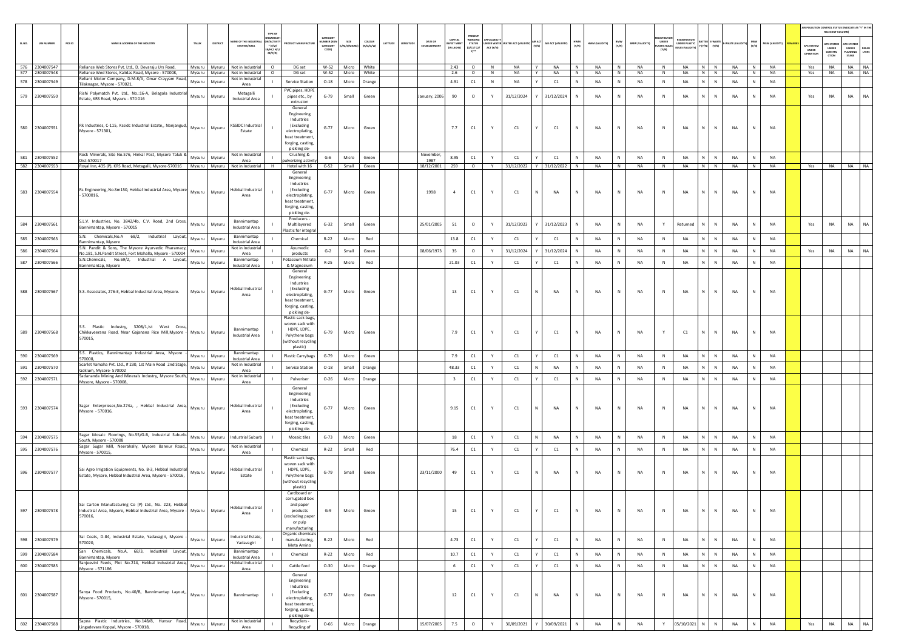|        |                   |        |                                                                                                                                             |                  |                  |                                          |                                                                      |                                                                                                                                              |                                                   |                  |                     |          |          |                    |                                            |                                                       |           |                                        |   |                        |              |                |              |                       |                                            |                              |                                                                                                               |                 |              |                |                                 | RELEVANT COLUMN)                       | AIR POLLUTION CONTROL STATUS (INDICATE AS "Y" IN THE                        |
|--------|-------------------|--------|---------------------------------------------------------------------------------------------------------------------------------------------|------------------|------------------|------------------------------------------|----------------------------------------------------------------------|----------------------------------------------------------------------------------------------------------------------------------------------|---------------------------------------------------|------------------|---------------------|----------|----------|--------------------|--------------------------------------------|-------------------------------------------------------|-----------|----------------------------------------|---|------------------------|--------------|----------------|--------------|-----------------------|--------------------------------------------|------------------------------|---------------------------------------------------------------------------------------------------------------|-----------------|--------------|----------------|---------------------------------|----------------------------------------|-----------------------------------------------------------------------------|
| SL.NO. | <b>UIN NUMBER</b> | PCB ID | NAME & ADDRESS OF THE INDUSTRY                                                                                                              | TALUK            | DISTRICT         | AME OF THE INDUSTR                       | TYPE OF<br>ON/ACTIVIT<br>$^{\bullet}$ (i/M/<br>LB/HC/ H/L<br>CE/C/OI | <b>ODUCT MANUFACTUR</b>                                                                                                                      | CATEGOR<br><b>IMBER (XG)</b><br>CATEGORY<br>CODE) | SIZE<br>/S/MK    | COLOUR<br>(R/O/G/W) | LATITUDE | ONGITUDE | DATE OF            | CAPITAL<br><b>IVEST MENT</b><br>(IN LAKHS) | WORKING<br><b>STATUS</b><br>(0/01/02/<br>$v^{\ldots}$ | ACT (Y/N) | UNDER WATER WATER ACT (VALIDITY) (Y/N) |   | AIR ACT (VALIDITY) HWM |              | HWM (VALIDITY) | BMW<br>(Y/N) | <b>BMW (VALIDITY)</b> | <b>UNDER</b><br><b>MASTIC RUL</b><br>(Y/N) | EGISTRATION<br>UNDER PLASTIC | <b>BATTER E-WASTE</b><br>$\mathbf{Y}\left( \mathbf{Y}/\mathbf{N}\right) =\left( \mathbf{Y}/\mathbf{N}\right)$ | E-WASTE (VALIDI | MSW<br>(Y/N) | MSW (VALIDITY) | APC SYSTEM<br>UNDER<br>PERATION | PC SYSTEM<br>UNDER<br>CONSTRU<br>crion | <b>APC SYSTEM</b><br>UNDER<br>DEFAU<br>LTERS<br>LANNING<br>$\texttt{STAGE}$ |
|        | 576 2304007547    |        | Reliance Web Stores Pvt. Ltd., D. Devaraju Urs Road,                                                                                        |                  |                  | Mysuru Mysuru Not in Industrial O        |                                                                      | DG set                                                                                                                                       |                                                   | W-52 Micro White |                     |          |          |                    | 2.43                                       | $\circ$                                               | N         | NA                                     | Y | NA                     | N            | <b>NA</b>      | N            | NA                    | N                                          | NA                           | $N$ $N$                                                                                                       | <b>NA</b>       | N            | <b>NA</b>      | Yes                             |                                        | NA NA NA                                                                    |
|        | 577 2304007548    |        | Reliance Wed Stores, Kalidas Road, Mysore - 570008,                                                                                         |                  |                  | Mysuru Mysuru Not in Industrial          | $\circ$                                                              | DG set                                                                                                                                       | $W-52$                                            | Micro White      |                     |          |          |                    | 2.6                                        | $\circ$                                               | N         | NA                                     | Y | NA                     | N            | <b>NA</b>      | N            | NA                    | N                                          | NA                           | N N                                                                                                           | <b>NA</b>       | N            | <b>NA</b>      | Yes                             | <b>NA</b>                              | NA NA                                                                       |
| 578    | 2304007549        |        | eliant Motor Company, D.M-8/A, Omar Crayyam Road,<br>ilaknagar, Mysore - 570021,                                                            | Mysuru           | Mysuru           | Not in Industrial<br>Area                |                                                                      | Service Station                                                                                                                              | $O-18$                                            | Micro            | Orange              |          |          |                    | 4.91                                       | C1                                                    | ${\sf N}$ | <b>NA</b>                              |   | C1                     | $\mathbb N$  | NA             | N            | <b>NA</b>             | $\,$ N                                     | NA<br>N                      | $\mathsf{N}$                                                                                                  | NA              | $\mathbb N$  | NA             |                                 |                                        |                                                                             |
| 579    | 2304007550        |        | Rishi Polymatch Pvt. Ltd., No.:16-A, Belagola Industrial<br>Estate, KRS Road, Mysuru - 570 016                                              | Mysuru           | Mysuru           | Metagalli<br>Industrial Area             |                                                                      | PVC pipes, HDPE<br>pipes etc., by                                                                                                            | $G-79$                                            | Small            | Green               |          |          | January, 2006      | 90                                         | $\circ$                                               | Y         | 31/12/2024                             |   | 31/12/2024             | $\mathbb N$  | NA             | N            | <b>NA</b>             | $\,$ N                                     | <b>NA</b><br>N               | ${\sf N}$                                                                                                     | NA              | N            | NA             | Yes                             | NA                                     | NA<br>NA                                                                    |
|        |                   |        |                                                                                                                                             |                  |                  |                                          |                                                                      | extrusion<br>General                                                                                                                         |                                                   |                  |                     |          |          |                    |                                            |                                                       |           |                                        |   |                        |              |                |              |                       |                                            |                              |                                                                                                               |                 |              |                |                                 |                                        |                                                                             |
|        | 580 2304007551    |        | Rk Industries, C-115, Kssidc Industrial Estate,, Nanjangud,<br>Mysore - 571301,                                                             |                  | Mysuru Mysuru    | <b>KSSIDC Industrial</b><br>Estate       |                                                                      | Engineering<br>Industries<br>(Excluding<br>electroplating<br>heat treatment,<br>forging, casting,<br>pickling de-                            | $G-77$                                            | Micro            | Green               |          |          |                    | 7.7                                        | C1                                                    | Y         | C1                                     |   | C1                     | N            | <b>NA</b>      | N            | <b>NA</b>             | ${\sf N}$                                  | NA<br>N                      | N                                                                                                             | NA              | N            | <b>NA</b>      |                                 |                                        |                                                                             |
|        | 581 2304007552    |        | Rock Minerals, Site No.576, Hinkal Post, Mysore Taluk &                                                                                     | Mysuru           | Mysuru           | Not in Industrial                        |                                                                      | Crushing &                                                                                                                                   | $G-6$                                             | Micro            | Green               |          |          | November           | 8.95                                       | C1                                                    | Y         | C1                                     |   | C1                     |              | <b>NA</b>      | N            | <b>NA</b>             | N                                          | NA<br>N                      | N                                                                                                             | <b>NA</b>       | $\mathsf{N}$ | NA             |                                 |                                        |                                                                             |
|        | 582 2304007553    |        | Dist-570017<br>Royal Inn, 435 (P), KRS Road, Metagalli, Mysore-570016   Mysuru   Mysuru   Not in Industrial   H                             |                  |                  | Area                                     |                                                                      | ulverizing activity<br>Hotel with 16                                                                                                         | $G-52$                                            | Small Green      |                     |          |          | 1987<br>18/12/2001 | 259                                        | $\circ$                                               | Y         | 31/12/2022 Y                           |   | 31/12/2022             | N            | NA             | N            | NA                    | N                                          | NA                           | $N$ $N$                                                                                                       | NA              | N            | NA             | Yes                             |                                        | NA NA NA                                                                    |
|        | 583 2304007554    |        | Rs Engineering, No.Sm150, Hebbal Industrial Area, Mysore Mysuru Mysuru<br>5700016.                                                          |                  |                  | Hebbal Industrial<br>Area                |                                                                      | General<br>Engineering<br>Industries<br>(Excluding<br>electroplating,<br>heat treatment<br>forging, casting,<br>pickling de-                 | $G-77$                                            | Micro            | Green               |          |          | 1998               | $\overline{4}$                             | $\mathsf{C1}$                                         | Y         | C1                                     |   | NA                     | N            | <b>NA</b>      | N            | NA                    | $\mathbb{N}$                               | <b>NA</b><br>N               | $\mathbb{N}$                                                                                                  | NA              | N            | <b>NA</b>      |                                 |                                        |                                                                             |
| 584    | 2304007561        |        | S.L.V. Industries, No. 3842/4b, C.V. Road, 2nd Cross,<br>sannimantap, Mysore - 570015                                                       | Mysuru           | Mysuru           | Bannimantap<br>Industrial Area           |                                                                      | Producers -<br>Multilayered                                                                                                                  | $G-32$                                            | Small            | Green               |          |          | 25/01/2005         | 51                                         | $\circ$                                               | Y         | 31/12/2023                             |   | 31/12/2023             |              | <b>NA</b>      | ${\sf N}$    | NA                    | Y                                          | Returned                     | $\mathbb{N}$                                                                                                  | <b>NA</b>       |              | NA             | Yes                             | NA                                     | NA<br>NA                                                                    |
| 585    | 2304007563        |        | S.N. Chemicals, No.A 68/2, Industrial Layout,                                                                                               | Mysuru           | Mysuru           | Bannimantap                              |                                                                      | lastic for integr<br>Chemical                                                                                                                | $R-22$                                            | Micro            | Red                 |          |          |                    | 13.8                                       | C1                                                    | Y         | C1                                     |   | C1                     | $\mathbb N$  | <b>NA</b>      | ${\sf N}$    | NA                    | N                                          | <b>NA</b><br>N               | $\mathbb{N}$                                                                                                  | NA              | N            | NA             |                                 |                                        |                                                                             |
| 586    | 2304007564        |        | Bannimantap, Mysore<br>S.N. Pandit & Sons, The Mysore Ayurvedic Pharamacy,                                                                  | Mysuru           | Mysuru           | Industrial Area<br>Not in Industrial     |                                                                      | Ayurvedic                                                                                                                                    | $G-2$                                             | Small            | Green               |          |          | 08/06/1973         | 35                                         | $\circ$                                               | Y         | 31/12/2024                             |   | 31/12/2024             | N            | <b>NA</b>      | N            | NA                    | N                                          | <b>NA</b><br>N.              | N                                                                                                             | NA              | N            | <b>NA</b>      | Yes                             | NA                                     | NA<br><b>NA</b>                                                             |
|        |                   |        | No.181, S.N.Pandit Street, Fort Mohalla, Mysore - 570004<br>S.N.Chemicals, No.69/2, Industrial A Layout,                                    |                  |                  | Area<br>Bannimantap                      |                                                                      | products<br>otassium Nitrate                                                                                                                 |                                                   |                  |                     |          |          |                    |                                            |                                                       |           |                                        |   |                        |              |                |              |                       |                                            |                              |                                                                                                               |                 |              |                |                                 |                                        |                                                                             |
| 587    | 2304007566        |        | sannimantap, Mysore                                                                                                                         | Mysuru           | Mysuru           | <b>Industrial Area</b>                   |                                                                      | & Magnesium                                                                                                                                  | $R-25$                                            | Micro            | Red                 |          |          |                    | 21.03                                      | C1                                                    | Y         | C1                                     |   | C1                     |              | NA             | N            | NA                    | N                                          | N<br>NA                      | $\mathbb{N}$                                                                                                  | NA              | $\mathsf{N}$ | <b>NA</b>      |                                 |                                        |                                                                             |
|        | 588 2304007567    |        | S.S. Associates, 276-E, Hebbal Industrial Area, Mysore.                                                                                     | Mysuru           | Mysuru           | Hebbal Industrial<br>Area                |                                                                      | General<br>Engineering<br>Industries<br>(Excluding<br>electroplating,<br>heat treatment,<br>forging, casting,<br>pickling de-                | $G-77$                                            | Micro            | Green               |          |          |                    | 13                                         | C1                                                    | Y         | C1                                     |   | NA                     | N            | NA             | N            | <b>NA</b>             | $\mathbb N$                                | NA<br>N                      | N                                                                                                             | NA              | N            | <b>NA</b>      |                                 |                                        |                                                                             |
|        | 589 2304007568    |        | S.S. Plastic Industry, 3208/1,Ist West Cross,<br>Chikkaveerana Road, Near Gajanana Rice Mill, Mysore -<br>570015.                           | Mysuru           | Mysuru           | Bannimantap<br>Industrial Area           |                                                                      | Plastic sack bags,<br>woven sack with<br>HDPE, LDPE,<br>Polythene bags<br>without recycling<br>plastic)                                      | $G-79$                                            | Micro            | Green               |          |          |                    | 7.9                                        | C1                                                    | Y         | C1                                     |   | C1                     | N            | <b>NA</b>      | N            | <b>NA</b>             | Y                                          | C1<br>N                      | N                                                                                                             | NA              | N            | <b>NA</b>      |                                 |                                        |                                                                             |
| 590    | 2304007569        |        | S.S. Plastics, Bannimantap Industrial Area, Mysore<br>570008,                                                                               | Mysuru           | Mysuru           | Bannimantap<br>Industrial Area           |                                                                      | <b>Plastic Carrybags</b>                                                                                                                     | $G-79$                                            | Micro            | Green               |          |          |                    | 7.9                                        | C1                                                    | Y         | C1                                     |   | C1                     | $\mathbb{N}$ | <b>NA</b>      | ${\sf N}$    | NA                    | N                                          | <b>NA</b><br>N               | $\mathbb{N}$                                                                                                  | NA              | $\mathbb N$  | NA             |                                 |                                        |                                                                             |
| 591    | 2304007570        |        | Scarlet Yamaha Pvt. Ltd., # 230, 1st Main Road 2nd Stage                                                                                    | Mysuru           | Mysuru           | Not in Industrial                        |                                                                      | <b>Service Station</b>                                                                                                                       | $O-18$                                            | Small            | Orange              |          |          |                    | 48.33                                      | $\mathsf{C1}$                                         | Y         | C1                                     |   | <b>NA</b>              | N            | <b>NA</b>      | ${\sf N}$    | NA                    | N                                          | <b>NA</b><br>N.              | N                                                                                                             | NA              | N            | NA             |                                 |                                        |                                                                             |
|        | 592 2304007571    |        | Soklum, Mysore- 570002<br>Sadananda Mining And Minerals Industry, Mysore South,                                                             |                  |                  | Area<br>Not in Industrial                |                                                                      | Pulveriser                                                                                                                                   | $O - 26$                                          |                  |                     |          |          |                    | $\overline{\mathbf{3}}$                    | $\mathsf{C1}$                                         | Y         | C1                                     |   | C1                     |              | NA             | N            | NA                    | N                                          | N<br>NA                      | $\mathbb N$                                                                                                   | NA              | $\mathsf{N}$ | NA             |                                 |                                        |                                                                             |
|        | 593 2304007574    |        | Mysore, Mysore - 570008,<br>Sagar Enterprieses, No. 274a, , Hebbal Industrial Area,<br>Mysore - 570016,                                     | Mysuru<br>Mysuru | Mysuru<br>Mysuru | Area<br>Hebbal Industrial<br>Area        |                                                                      | General<br>Engineering<br>Industries<br>(Excluding<br>electroplating<br>heat treatment,<br>forging, casting,                                 | $G-77$                                            | Micro<br>Micro   | Orange<br>Green     |          |          |                    | 9.15                                       | $\mathsf{C}1$                                         |           | C1                                     |   | NA                     | N            | NA             | N            | <b>NA</b>             | $\mathbb N$                                | NA<br>N                      | N                                                                                                             | NA              | N            | NA             |                                 |                                        |                                                                             |
|        |                   |        | Sagar Mosaic Floorings, No.55/G-B, Industrial Suburb-                                                                                       |                  |                  |                                          |                                                                      | pickling de-                                                                                                                                 |                                                   |                  |                     |          |          |                    |                                            |                                                       |           |                                        |   |                        |              |                |              |                       |                                            |                              |                                                                                                               |                 |              |                |                                 |                                        |                                                                             |
| 594    | 2304007575        |        | South, Mysore - 570008                                                                                                                      | Mysuru           | Mysuru           | <b>Industrial Suburb</b>                 |                                                                      | Mosaic tiles                                                                                                                                 | $G-73$                                            | Micro            | Green               |          |          |                    | 18                                         | C1                                                    | Y         | C1                                     |   | NA                     |              | <b>NA</b>      | N            | NA                    | N                                          | N.<br><b>NA</b>              | N                                                                                                             | NA              | $\mathbb N$  | <b>NA</b>      |                                 |                                        |                                                                             |
| 595    | 2304007576        |        | Sagar Sugar Mill, Neerahally, Mysore Bannur Road,,<br>Mysore - 570015,                                                                      | Mysuru           | Mysuru           | Not in Industrial<br>Area                |                                                                      | Chemical                                                                                                                                     | $R - 22$                                          | Small            | Red                 |          |          |                    | 76.4                                       | C1                                                    | Y         | C1                                     |   | C1                     | N            | NA             | $\,N\,$      | NA                    | N                                          | NA<br>N                      | $\,$ N                                                                                                        | NA              | N            | NA             |                                 |                                        |                                                                             |
|        | 596 2304007577    |        | Sai Agro Irrigation Equipments, No. B-3, Hebbal Industrial<br>Estate, Mysore, Hebbal Industrial Area, Mysore - 570016,                      |                  | Mysuru Mysuru    | Hebbal Industrial<br>Estate              |                                                                      | Plastic sack bags,<br>roven sack with<br>HDPE, LDPE,<br>Polythene bags<br>without recycling<br>plastic)<br>Cardboard or                      | $G-79$                                            | Small            | Green               |          |          | 23/11/2000         | 49                                         | C1                                                    | Y         | C1                                     |   | NA                     | N            | NA             | ${\sf N}$    | NA                    | $\mathbb{N}$                               | <b>NA</b><br>N               | N                                                                                                             | NA              | $\mathbb{N}$ | <b>NA</b>      |                                 |                                        |                                                                             |
|        | 597 2304007578    |        | Sai Carton Manufacturing Co (P) Ltd., No. 223, Hebbal<br>Industrial Area, Mysore, Hebbal Industrial Area, Mysore - Mysuru Mysuru<br>570016. |                  |                  | Hebbal Industria<br>Area                 |                                                                      | corrugated box<br>and paper<br>products<br>(excluding paper<br>or pulp<br>manufacturing                                                      | $G-9$                                             | Micro            | Green               |          |          |                    | 15                                         | C1                                                    | Y         | C1                                     | Y | C1                     | N            | <b>NA</b>      | N            | NA                    | N                                          | NA                           | $N$ $N$                                                                                                       | NA              | N            | NA             |                                 |                                        |                                                                             |
| 598    | 2304007579        |        | Sai Coats, D-84, Industrial Estate, Yadavagiri, Mysore<br>570020,                                                                           | Mysuru           | Mysuru           | Industrial Estate,<br>Yadavagiri         |                                                                      | Organic chemicals<br>manufacturing,<br>Meta Amino                                                                                            | $R - 22$                                          | Micro            | Red                 |          |          |                    | 4.73                                       | $\mathsf{C}1$                                         | Y         | C1                                     |   | C1                     | N            | NA             | $\,N\,$      | NA                    | $\,$ N                                     | NA<br>N                      | N                                                                                                             | NA              | N            | <b>NA</b>      |                                 |                                        |                                                                             |
| 599    | 2304007584        |        | San Chemicals, No.A, 68/3, Industrial Layout,<br>Bannimantap, Mysore                                                                        | Mysuru           | Mysuru           | Bannimantap<br>Industrial Area           |                                                                      | Chemical                                                                                                                                     | $R - 22$                                          | Micro            | Red                 |          |          |                    | 10.7                                       | C1                                                    | Y         | C1                                     |   | C1                     | $\mathbb N$  | NA             | ${\sf N}$    | NA                    | N                                          | N<br>NA                      | N                                                                                                             | NA              | N            | NA             |                                 |                                        |                                                                             |
| 600    | 2304007585        |        | Sanjeevini Feeds, Plot No.214, Hebbal Industrial Area,<br>Mysore - 571186                                                                   | Mysuru           | Mysuru           | lebbal Industrial                        |                                                                      | Cattle feed                                                                                                                                  | $O-30$                                            | Micro            | Orange              |          |          |                    | 6                                          | C1                                                    | Y         | C1                                     |   | C1                     | N            | NA             | N            | NA                    | N                                          | NA<br>N                      | N                                                                                                             | NA              | N            | <b>NA</b>      |                                 |                                        |                                                                             |
|        | 601 2304007587    |        | Sanya Food Products, No.40/B, Bannimantap Layout,,<br>Mysore - 570015,<br>Sapna Plastic Industries, No.148/8, Hunsur Road,                  | Mysuru           | Mysuru           | Area<br>Bannimantap<br>Not in Industrial |                                                                      | General<br>Engineering<br>Industries<br>(Excluding<br>electroplating,<br>heat treatment,<br>forging, casting,<br>pickling de-<br>Recyclers - | $G-77$                                            | Micro            | Green               |          |          |                    | 12                                         | C1                                                    | Y         | C1                                     | N | NA                     | N            | NA             | N            | NA                    | $\,$ N                                     | NA<br>N                      | N                                                                                                             | NA              | N            | NA             |                                 |                                        |                                                                             |
|        | 602 2304007588    |        | Lingadevara Koppal, Mysore - 570018,                                                                                                        | Mysuru           | Mysuru           | Area                                     |                                                                      | Recycling of                                                                                                                                 | $O - 66$                                          | Micro            | Orange              |          |          | 15/07/2005         | 7.5                                        | $\circ$                                               | Y         | 30/09/2021                             |   | 30/09/2021             | N            | NA             | ${\sf N}$    | NA                    | Y                                          | 05/10/2021 N                 | ${\sf N}$                                                                                                     | NA              | N            | <b>NA</b>      | Yes                             | $_{\sf NA}$                            | $_{\sf NA}$<br><b>NA</b>                                                    |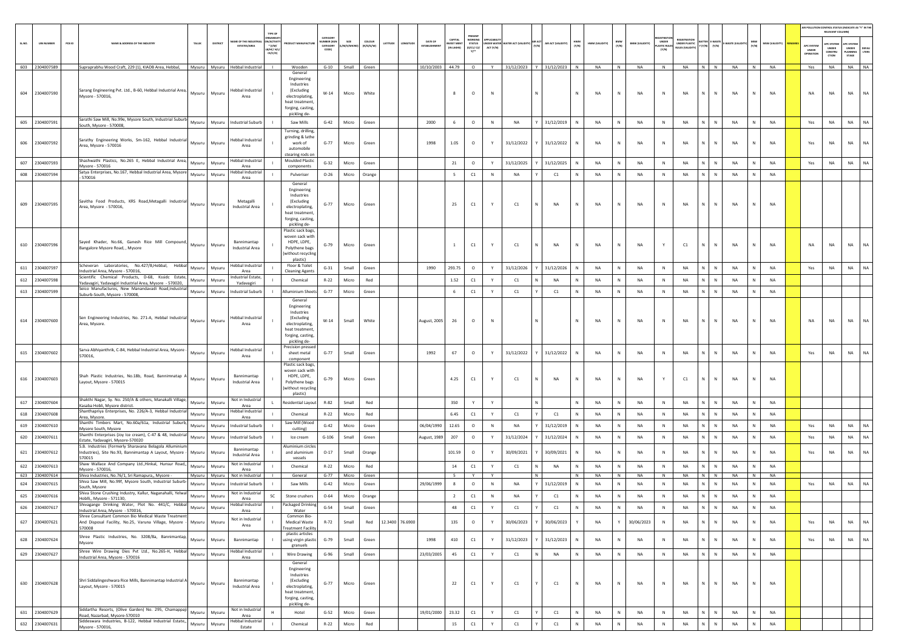|       |                   |        |                                                                                                                               |        |                 |                                       |                                                          |                                               |                                  |                  |                     |          |                 |                                |                      |                                     |           |                                        |   |                           |              |                |              |                       |                              |                                                    |              |                      |              |                |                           | RELEVANT COLUMNI          | AIR POLLUTION CONTROL STATUS (INDICATE AS "Y" IN THE |
|-------|-------------------|--------|-------------------------------------------------------------------------------------------------------------------------------|--------|-----------------|---------------------------------------|----------------------------------------------------------|-----------------------------------------------|----------------------------------|------------------|---------------------|----------|-----------------|--------------------------------|----------------------|-------------------------------------|-----------|----------------------------------------|---|---------------------------|--------------|----------------|--------------|-----------------------|------------------------------|----------------------------------------------------|--------------|----------------------|--------------|----------------|---------------------------|---------------------------|------------------------------------------------------|
| SLNO. | <b>UIN NUMBER</b> | PCB ID | NAME & ADDRESS OF THE INDUSTR'                                                                                                | TALUK  | DISTRICT        | ME OF THE INDU<br><b>ESTATES/AREA</b> | TYPE OI<br><b>IRGANISA</b><br><b>ACTIV</b><br>$*(1/M)^*$ | <b>OUCT MANUFACTUR</b>                        | CATEGORY<br>MBER (XC<br>CATEGORY | M/S/MICRI        | coLour<br>(R/O/G/W) | LATITUDE | NGITUD          | DATE OF<br><b>ESTABLISHMEN</b> | CAPITAL<br>VEST MENT | PRESENT<br>WORKING<br><b>STATUS</b> |           | UNDER WATER WATER ACT (VALIDITY) (Y/N) |   | AIR ACT (VALIDITY)        | HWM<br>(Y/N) | HWM (VALIDITY) | BMW<br>(Y/N) | <b>BMW (VALIDITY)</b> | UNDER<br><b>MASTIC RULE:</b> | EGISTRATIC<br>UNDER PLASTIC<br>BATTER I<br>Y (Y/N) | (Y/N)        | <b>E-WASTE (VALI</b> | MSW<br>(Y/N) | (YTIGLIAV) W2M | APC SYSTEM                | <b>APC SYSTEM</b>         | APC SYSTEM                                           |
|       |                   |        |                                                                                                                               |        |                 |                                       | B/HC/ H/<br>CE/C/O                                       |                                               | CODE)                            |                  |                     |          |                 |                                | (IN LAKHS)           | (0/C1/C2/<br>$Y$ <sup>*</sup>       | ACT (Y/N) |                                        |   |                           |              |                |              |                       | [Y/N]                        | ULES (VALIDIT                                      |              |                      |              |                | UNDER<br><b>OPERATION</b> | UNDER<br>CONSTRU<br>CTION | UNDER<br>DEFAU<br>LTERS<br>LANNING<br>STAGE          |
|       | 603 2304007589    |        | Supraprabhu Wood Craft, 229 (1), KIADB Area, Hebbal,                                                                          |        |                 | Mysuru Mysuru Hebbal Industrial       | <b>Contract</b>                                          | Wooden                                        |                                  | G-10 Small Green |                     |          |                 | 10/10/2003 44.79               |                      | $\circ$                             | Y         |                                        |   | 31/12/2023 Y 31/12/2023 N |              | <b>NA</b>      | N            | <b>NA</b>             | N                            | <b>NA</b>                                          | N N          | <b>NA</b>            | N            | <b>NA</b>      | Yes                       | <b>NA</b>                 | NA NA                                                |
|       |                   |        |                                                                                                                               |        |                 |                                       |                                                          | General<br>Engineering                        |                                  |                  |                     |          |                 |                                |                      |                                     |           |                                        |   |                           |              |                |              |                       |                              |                                                    |              |                      |              |                |                           |                           |                                                      |
|       |                   |        | Sarang Engineering Pvt. Ltd., B-60, Hebbal Industrial Area,                                                                   |        |                 | <b>Hebbal Industrial</b>              |                                                          | Industries<br>(Excluding                      |                                  |                  |                     |          |                 |                                |                      |                                     |           |                                        |   |                           |              |                |              |                       |                              |                                                    |              |                      |              |                |                           |                           |                                                      |
|       | 604 2304007590    |        | Mysore - 570016,                                                                                                              | Mysuru | Mysuru          | Area                                  |                                                          | electroplating,<br>heat treatment,            | $W-14$                           | Micro            | White               |          |                 |                                | 8                    | $\circ$                             | N         |                                        |   |                           | N            | NA             | N            | NA                    | Ν                            | NA<br>N                                            | N            | NA                   | N            | NA             | NA                        | <b>NA</b>                 | <b>NA</b><br>NA                                      |
|       |                   |        |                                                                                                                               |        |                 |                                       |                                                          | forging, casting,                             |                                  |                  |                     |          |                 |                                |                      |                                     |           |                                        |   |                           |              |                |              |                       |                              |                                                    |              |                      |              |                |                           |                           |                                                      |
|       | 605 2304007591    |        | Sarathi Saw Mill, No.99e, Mysore South, Industrial Suburb<br>South, Mysore - 570008,                                          | Mysuru | Mysuru          | <b>Industrial Suburb</b>              |                                                          | pickling de-<br>Saw Mills                     | $G-42$                           | Micro            | Green               |          |                 | 2000                           | 6                    | $\circ$                             | N         | <b>NA</b>                              |   | 31/12/2019                | N            | NA             | $\,N\,$      | NA                    | N                            | NA<br>N                                            | N            | NA                   | N            | <b>NA</b>      | Yes                       | NA                        | NA<br>NA                                             |
|       |                   |        |                                                                                                                               |        |                 |                                       |                                                          | Turning, drilling,<br>grinding & lathe        |                                  |                  |                     |          |                 |                                |                      |                                     |           |                                        |   |                           |              |                |              |                       |                              |                                                    |              |                      |              |                |                           |                           |                                                      |
|       | 606 2304007592    |        | Sarathy Engineering Works, Sm-162, Hebbal Industrial<br>Area, Mysore - 570016                                                 | Mysuru | Mysuru          | Hebbal Industrial<br>Area             |                                                          | work of<br>automobile                         | $G-77$                           | Micro            | Green               |          |                 | 1998                           | 1.05                 | $\circ$                             | Y         | 31/12/2022                             |   | 31/12/2022                |              | <b>NA</b>      | N            | NA                    | N                            | NA<br>N                                            | N            | NA                   | $\mathbb N$  | <b>NA</b>      | Yes                       | <b>NA</b>                 | NA<br>NA                                             |
|       |                   |        | Shashwathi Plastics, No.265 E, Hebbal Industrial Area,                                                                        |        |                 | Hebbal Industrial                     |                                                          | stearing rods on<br><b>Moulded Plastic</b>    |                                  |                  |                     |          |                 |                                |                      |                                     |           |                                        |   |                           |              |                |              |                       |                              |                                                    |              |                      |              |                |                           |                           |                                                      |
| 607   | 2304007593        |        | Mysore - 570016                                                                                                               | Mysuru | Mysuru          | Area<br>Hebbal Industrial             |                                                          | components                                    | $G-32$                           | Micro            | Green               |          |                 |                                | 21                   | $\circ$                             | Y         | 31/12/2025                             |   | 31/12/2025                |              | NA             | $\,N\,$      | <b>NA</b>             | N                            | NA<br>N                                            | $\mathsf{N}$ | NA                   | $\mathbb{N}$ | NA             | Yes                       | NA                        | NA<br><b>NA</b>                                      |
| 608   | 2304007594        |        | Satya Enterprises, No.167, Hebbal Industrial Area, Mysore<br>570016                                                           | Mysuru | Mysuru          | Area                                  |                                                          | Pulveriser<br>General                         | $O - 26$                         | Micro            | Orange              |          |                 |                                | 5                    | C1                                  | N         | <b>NA</b>                              |   | C1                        | N            | <b>NA</b>      | ${\sf N}$    | NA                    | N                            | NA<br>$\mathsf{N}^-$                               | $\,$ N       | NA                   | $\mathbb{N}$ | NA             |                           |                           |                                                      |
|       |                   |        |                                                                                                                               |        |                 |                                       |                                                          | Engineering                                   |                                  |                  |                     |          |                 |                                |                      |                                     |           |                                        |   |                           |              |                |              |                       |                              |                                                    |              |                      |              |                |                           |                           |                                                      |
|       | 609 2304007595    |        | Savitha Food Products, KRS Road, Metagalli Industrial                                                                         | Mysuru | Mysuru          | Metagalli                             |                                                          | Industries<br><i>(Excluding</i>               | $G-77$                           | Micro            | Green               |          |                 |                                | 25                   | C1                                  | Y         | C1                                     |   | <b>NA</b>                 |              | <b>NA</b>      | N            | <b>NA</b>             | N                            | <b>NA</b>                                          |              | <b>NA</b>            |              | <b>NA</b>      |                           |                           |                                                      |
|       |                   |        | Area, Mysore - 570016,                                                                                                        |        |                 | Industrial Area                       |                                                          | electroplating,<br>heat treatment             |                                  |                  |                     |          |                 |                                |                      |                                     |           |                                        |   |                           |              |                |              |                       |                              |                                                    |              |                      |              |                |                           |                           |                                                      |
|       |                   |        |                                                                                                                               |        |                 |                                       |                                                          | forging, casting,<br>pickling de-             |                                  |                  |                     |          |                 |                                |                      |                                     |           |                                        |   |                           |              |                |              |                       |                              |                                                    |              |                      |              |                |                           |                           |                                                      |
|       |                   |        |                                                                                                                               |        |                 |                                       |                                                          | Plastic sack bags<br>woven sack with          |                                  |                  |                     |          |                 |                                |                      |                                     |           |                                        |   |                           |              |                |              |                       |                              |                                                    |              |                      |              |                |                           |                           |                                                      |
|       | 610 2304007596    |        | Sayed Khader, No.66, Ganesh Rice Mill Compound,<br>Bangalore Mysore Road, , Mysore                                            | Mysuru | Mysuru          | Bannimantap<br>Industrial Area        |                                                          | HDPE, LDPE.<br>Polythene bags                 | $G-79$                           | Micro            | Green               |          |                 |                                | $\mathbf{1}$         | C1                                  |           | C1                                     |   | NA                        |              | <b>NA</b>      | ${\sf N}$    | NA                    | Y                            | C1                                                 | N            | NA                   |              | <b>NA</b>      | NA                        | <b>NA</b>                 | NA<br>NA                                             |
|       |                   |        |                                                                                                                               |        |                 |                                       |                                                          | without recycling<br>plastic)                 |                                  |                  |                     |          |                 |                                |                      |                                     |           |                                        |   |                           |              |                |              |                       |                              |                                                    |              |                      |              |                |                           |                           |                                                      |
| 611   | 2304007597        |        | Scheveran Laboratories, No.427/B,Hebbal, Hebbal<br>ndustrial Area, Mysore - 570016.                                           | Mysuru | Mysuru          | <b>Hebbal Industrial</b><br>Area      |                                                          | Floor & Toilet<br><b>Cleaning Agents</b>      | $G-31$                           | Small            | Green               |          |                 | 1990                           | 293.75               | $\circ$                             | Y         | 31/12/2026                             |   | 31/12/2026                | <b>N</b>     | <b>NA</b>      | N            | NA                    | N                            | <b>NA</b><br>N                                     | N            | NA                   | N            | NA             | Yes                       | NA                        | <b>NA</b><br>NA                                      |
| 612   | 2304007598        |        | Scientific Chemical Products, D-68, Kssidc Estate,<br>Yadavagiri, Yadavagiri Industrial Area, Mysore - 570020,                | Mysuru | Mysuru          | ndustrial Estate,<br>Yadavagiri       |                                                          | Chemical                                      | $R-22$                           | Micro            | Red                 |          |                 |                                | 1.52                 | C1                                  |           | C1                                     |   | NA                        |              | NA             | N            | <b>NA</b>             | N                            | NA<br>N                                            | $\mathbb N$  | NA                   | $\mathbb{N}$ | NA             |                           |                           |                                                      |
|       | 613 2304007599    |        | Seico Manufactures, New Manandavadi Road, Industrial<br>Suburb-South, Mysore - 570008,                                        | Mysuru | Mysuru          | Industrial Suburb                     |                                                          | Alluminium Sheet                              | $G-77$                           | Micro            | Green               |          |                 |                                | 6                    | C1                                  | Y         | C1                                     |   | C1                        | N            | NA             | ${\sf N}$    | NA                    | N                            | NA<br>N                                            | N            | NA                   | $\mathbb N$  | NA             |                           |                           |                                                      |
|       |                   |        |                                                                                                                               |        |                 |                                       |                                                          | General<br>Engineering                        |                                  |                  |                     |          |                 |                                |                      |                                     |           |                                        |   |                           |              |                |              |                       |                              |                                                    |              |                      |              |                |                           |                           |                                                      |
|       |                   |        | Sen Engineering Industries, No. 271-A, Hebbal Industrial                                                                      |        |                 | <b>Hebbal Industrial</b>              |                                                          | Industries<br>(Excluding                      |                                  |                  |                     |          |                 |                                |                      |                                     |           |                                        |   |                           |              |                |              |                       |                              |                                                    |              |                      |              |                |                           |                           |                                                      |
|       | 614 2304007600    |        | Area, Mysore.                                                                                                                 | Mysuru | Mysuru          | Area                                  |                                                          | electroplating,<br>heat treatment             | $W-14$                           | Small            | White               |          |                 | August, 2005                   | 26                   | $\circ$                             | N         |                                        |   |                           |              | N <sub>A</sub> | N            | <b>NA</b>             | N                            | <b>NA</b>                                          |              | <b>NA</b>            |              | <b>NA</b>      | <b>NA</b>                 | <b>NA</b>                 | NA<br><b>NA</b>                                      |
|       |                   |        |                                                                                                                               |        |                 |                                       |                                                          | forging, casting,<br>pickling de-             |                                  |                  |                     |          |                 |                                |                      |                                     |           |                                        |   |                           |              |                |              |                       |                              |                                                    |              |                      |              |                |                           |                           |                                                      |
|       | 615 2304007602    |        | Sarva Abhiyanthrik, C-84, Hebbal Industrial Area, Mysore                                                                      | Mysuru | Mysuru          | Hebbal Industrial                     |                                                          | Precision pressed<br>sheet metal              | $G-77$                           | Small            | Green               |          |                 | 1992                           | 67                   | $\circ$                             | Y         | 31/12/2022                             |   | 31/12/2022                | $\mathbb N$  | NA             | N            | NA                    | $\,$ N                       | <b>NA</b><br>N                                     | $\mathbb{N}$ | NA                   | N            | NA             | Yes                       | NA                        | NA<br>NA                                             |
|       |                   |        | 570016.                                                                                                                       |        |                 | Area                                  |                                                          | component<br>Plastic sack bags,               |                                  |                  |                     |          |                 |                                |                      |                                     |           |                                        |   |                           |              |                |              |                       |                              |                                                    |              |                      |              |                |                           |                           |                                                      |
|       |                   |        | Shah Plastic Industries, No.18b, Road, Bannimnatap A                                                                          |        |                 | Bannimantap                           |                                                          | woven sack with<br>HDPE, LDPE.                |                                  |                  |                     |          |                 |                                |                      |                                     |           |                                        |   |                           |              |                |              |                       |                              |                                                    |              |                      |              |                |                           |                           |                                                      |
|       | 616 2304007603    |        | Layout, Mysore - 570015                                                                                                       | Mysuru | Mysuru          | Industrial Area                       |                                                          | Polythene bags<br>(without recycling          | $G-79$                           | Micro            | Green               |          |                 |                                | 4.25                 | C1                                  |           | C1                                     |   | <b>NA</b>                 | $\mathbb N$  | <b>NA</b>      | N            | <b>NA</b>             | Y                            | C1<br>N                                            |              | NA                   |              | <b>NA</b>      |                           |                           |                                                      |
|       |                   |        | Shakthi Nagar, Sy. No. 250/A & others, Manakalli Village,                                                                     |        |                 | Not in Industrial                     |                                                          | plastic)                                      |                                  |                  |                     |          |                 |                                |                      |                                     |           |                                        |   |                           |              |                |              |                       |                              |                                                    |              |                      |              |                |                           |                           |                                                      |
| 617   | 2304007604        |        | Kasaba Hobli, Mysore district.                                                                                                | Mysuru | Mysuru          | Area<br>Hebbal Industrial             |                                                          | <b>Residential Layout</b>                     | $R - 82$                         | Small            | Red                 |          |                 |                                | 350                  | Y                                   | Y         |                                        |   |                           | N            | <b>NA</b>      | N            | <b>NA</b>             | N                            | $\mathsf{N}^-$<br><b>NA</b>                        | $\mathbb N$  | NA                   | N            | NA             |                           |                           |                                                      |
| 618   | 2304007608        |        | Shanthapriya Enterprises, No. 226/A-3, Hebbal Industrial<br>Area, Mysore.                                                     | Mysuru | Mysuru          | Area                                  |                                                          | Chemical                                      | $R - 22$                         | Micro            | Red                 |          |                 |                                | 6.45                 | $\mathsf{C1}$                       | Y         | C1                                     |   | C1                        | N            | <b>NA</b>      | N            | <b>NA</b>             | N                            | NA<br>N.                                           | N            | NA                   | N            | NA             |                           |                           |                                                      |
| 619   | 2304007610        |        | hanthi Timbers Mart, No.60a/61a, Industrial Suburb,<br>Mysore South, Mysore                                                   | Mysuru | Mysuru          | ndustrial Suburb                      |                                                          | Saw Mill (Wood<br>cutting)                    | $G-42$                           | Micro            | Green               |          |                 | 06/04/1990                     | 12.65                | $\circ$                             | $\,$ N    | <b>NA</b>                              |   | 31/12/2019                |              | NA             | ${\sf N}$    | <b>NA</b>             | N                            | <b>NA</b><br>N                                     | $\mathbb N$  | NA                   | N            | NA             | Yes                       | NA                        | <b>NA</b><br><b>NA</b>                               |
| 620   | 2304007611        |        | Shanthi Enterprises (Joy Ice cream), C-47 & 48, Industrial<br>Estate, Yadavagiri, Mysore-570020                               | Mysuru | Mysuru          | <b>Industrial Suburb</b>              |                                                          | Ice cream                                     | $G-106$                          | Small            | Green               |          |                 | August, 1989                   | 207                  | $\circ$                             | Y         | 31/12/2024                             |   | 31/12/2024                |              | NA             | ${\sf N}$    | NA                    | N                            | N<br>NA                                            | $\mathbb{N}$ | NA                   | $\mathbb N$  | NA             | Yes                       | NA                        | <b>NA</b><br>NA                                      |
| 621   | 2304007612        |        | S.B. Industries (Formerly Sharavana Belagola Alluminiu<br>Industries), Site No.93, Bannimantap A Layout, Mysore -             | Mysuru | Mysuru          | Bannimantap<br>Industrial Area        |                                                          | Aluminium circles<br>and aluminium<br>vessels | $O-17$                           | Small            | Orange              |          |                 |                                | 101.59               | $\circ$                             | Y         | 30/09/2021                             |   | 30/09/2021                |              | <b>NA</b>      | ${\sf N}$    | NA                    | $\mathsf{N}$                 | NA                                                 | N            | NA                   |              | NA             | Yes                       | NA                        | NA.<br>NA                                            |
| 622   | 2304007613        |        | 570015<br>Shaw Wallace And Company Ltd., Hinkal, Hunsur Road,,                                                                | Mysuru | Mysuru          | Not in Industrial                     |                                                          | Chemical                                      | $R-22$                           | Micro            | Red                 |          |                 |                                | 14                   | C1                                  | Y         | C1                                     |   | NA                        |              | NA             | ${\sf N}$    | NA                    | N                            | NA<br>$\mathsf{N}^-$                               | $\mathbb{N}$ | NA                   | $\mathbb N$  | NA             |                           |                           |                                                      |
|       | 623 2304007614    |        | Mysore - 570016,<br>Shiva Industries, No.76/1, Sri Ramapura,, Mysore -                                                        |        | Mysuru Mysuru   | Area<br>Not in Industrial             | $\blacksquare$                                           | General                                       | $G-77$                           | Micro            | Green               |          |                 |                                | -5                   | Y                                   | Y         |                                        | N |                           | N            | NA             | N            | <b>NA</b>             | N                            | NA                                                 | N N          | NA                   | N            | <b>NA</b>      |                           |                           |                                                      |
| 624   | 2304007615        |        | Shiva Saw Mill, No.99f, Mysore South, Industrial Suburb-<br>South, Mysore                                                     | Mysuru | Mysuru          | ndustrial Suburb                      |                                                          | Saw Mills                                     | $G-42$                           | Micro            | Green               |          |                 | 29/06/1999                     | 8                    | $\circ$                             | ${\sf N}$ | <b>NA</b>                              |   | 31/12/2019                |              | NA             | ${\sf N}$    | NA                    | N                            | NA<br>N.                                           | $\mathbb N$  | <b>NA</b>            | N            | NA             | Yes                       | NA                        | <b>NA</b><br>NA                                      |
| 625   | 2304007616        |        | Shiva Stone Crushing Industry, Kallur, Naganahalli, Yelwal<br>Hoblli,, Mysore - 571130,                                       | Mysuru | Mysuru          | Not in Industrial<br>Area             | SC                                                       | Stone crushers                                | $O - 64$                         | Micro            | Orange              |          |                 |                                | $\overline{2}$       | C1                                  | $\,$ N    | NA                                     |   | C1                        |              | <b>NA</b>      | N            | NA                    | N                            | <b>NA</b><br>N                                     | $\mathsf{N}$ | NA                   | $\mathbb N$  | NA             |                           |                           |                                                      |
|       | 626 2304007617    |        | Shivagange Drinking Water, Plot No. 441/C, Hebbal<br>Industrial Area, Mysore - 570016,                                        |        | Mysuru   Mysuru | Hebbal Industrial<br>Area             |                                                          | Packaged Drinking<br>Water                    |                                  | G-54 Small Green |                     |          |                 |                                | 48                   | C1                                  | Y         | C1                                     |   | C1                        | 1 N I        | NA             | N            | NA                    | - N                          | NA                                                 | N N          | NA                   | N            | NA             |                           |                           |                                                      |
|       | 627 2304007621    |        | Shree Consultant Common Bio Medical Waste Treatment<br>And Disposal Facility, No.25, Varuna Village, Mysore - Mysuru   Mysuru |        |                 | Not in Industrial<br>Area             |                                                          | Common Bio-<br><b>Medical Waste</b>           | $R - 72$                         | Small            | Red                 |          | 12.3400 76.6900 |                                | 135                  | $\circ$                             | Y         | 30/06/2023                             |   | 30/06/2023                | Y            | <b>NA</b>      | Y            | 30/06/2023            | N                            | NA<br>N                                            | N            | NA                   | $\mathbb N$  | NA             | Yes                       | NA                        | NA<br><b>NA</b>                                      |
|       |                   |        | 570008<br>Shree Plastic Industries, No. 3208/8a, Bannimantap,                                                                 |        |                 |                                       |                                                          | <b>Treatment Facility</b><br>plastic articles |                                  |                  |                     |          |                 |                                |                      |                                     |           |                                        |   |                           |              |                |              |                       |                              |                                                    |              |                      |              |                |                           |                           |                                                      |
|       | 628 2304007624    |        | Mysore                                                                                                                        | Mysuru | Mysuru          | Bannimantap                           |                                                          | using virgin plastic<br>granuels              | $G-79$                           | Small            | Green               |          |                 | 1998                           | 410                  | C1                                  | Y         | 31/12/2023                             |   | 31/12/2023                |              | NA             | ${\sf N}$    | NA                    | N                            | NA<br>N                                            | $\mathbb N$  | NA                   | N            | NA             | Yes                       | NA                        | NA<br>NA                                             |
|       | 629 2304007627    |        | Shree Wire Drawing Dies Pvt Ltd., No.265-H, Hebbal<br>Industrial Area, Mysore - 570016                                        | Mysuru | Mysuru          | <b>Hebbal Industrial</b><br>Area      |                                                          | Wire Drawing                                  | $G-96$                           | Small            | Green               |          |                 | 23/03/2005                     | 45                   | C1                                  | Y         | C1                                     | N | NA                        | $\,$ N       | NA             | $\,$ N       | NA                    | $\,$ N                       | <b>NA</b><br>N                                     | N            | NA                   | N            | NA             |                           |                           |                                                      |
|       |                   |        |                                                                                                                               |        |                 |                                       |                                                          | General<br>Engineering                        |                                  |                  |                     |          |                 |                                |                      |                                     |           |                                        |   |                           |              |                |              |                       |                              |                                                    |              |                      |              |                |                           |                           |                                                      |
|       | 630 2304007628    |        | Shri Siddalingeshwara Rice Mills, Bannimantap Industrial A Mysuru Mysuru                                                      |        |                 | Bannimantap                           |                                                          | Industries<br>(Excluding                      | $G-77$                           | Micro            | Green               |          |                 |                                | 22                   | C1                                  |           |                                        |   | C1                        | N            |                |              | NA                    |                              | NA<br>N                                            | $\mathbb{N}$ |                      | N            | NA             |                           |                           |                                                      |
|       |                   |        | Layout, Mysore - 570015                                                                                                       |        |                 | Industrial Area                       |                                                          | electroplating,<br>heat treatment,            |                                  |                  |                     |          |                 |                                |                      |                                     | Y         | C1                                     |   |                           |              | NA             | N            |                       | $\,$ N                       |                                                    |              | NA                   |              |                |                           |                           |                                                      |
|       |                   |        |                                                                                                                               |        |                 |                                       |                                                          | forging, casting,<br>pickling de-             |                                  |                  |                     |          |                 |                                |                      |                                     |           |                                        |   |                           |              |                |              |                       |                              |                                                    |              |                      |              |                |                           |                           |                                                      |
|       | 631 2304007629    |        | Siddartha Resorts, (Olive Garden) No. 295, Chamappaji<br>Road, Nazarbad, Mysore-570010                                        | Mysuru | Mysuru          | Not in Industrial<br>Area             | H                                                        | Hotel                                         | $G-52$                           | Micro            | Green               |          |                 | 19/01/2000                     | 23.32                | C1                                  | Y         | C1                                     |   | C1                        | N            | NA             | ${\sf N}$    | NA                    | N                            | NA<br>$\,$ N $\,$                                  | N            | NA                   | N            | NA             |                           |                           |                                                      |
|       | 632 2304007631    |        | Siddeswara Industries, B-122, Hebbal Industrial Estate,,<br>Mysore - 570016,                                                  | Mysuru | Mysuru          | <b>Hebbal Industrial</b><br>Estate    |                                                          | Chemical                                      | $R - 22$                         | Micro            | Red                 |          |                 |                                | 15                   | C1                                  | Y         | C1                                     |   | C1                        | $\,$ N       | NA             | ${\sf N}$    | NA                    | $\,$ N                       | NA<br>N                                            | $\mathbb{N}$ | NA                   | $\mathbb{N}$ | <b>NA</b>      |                           |                           |                                                      |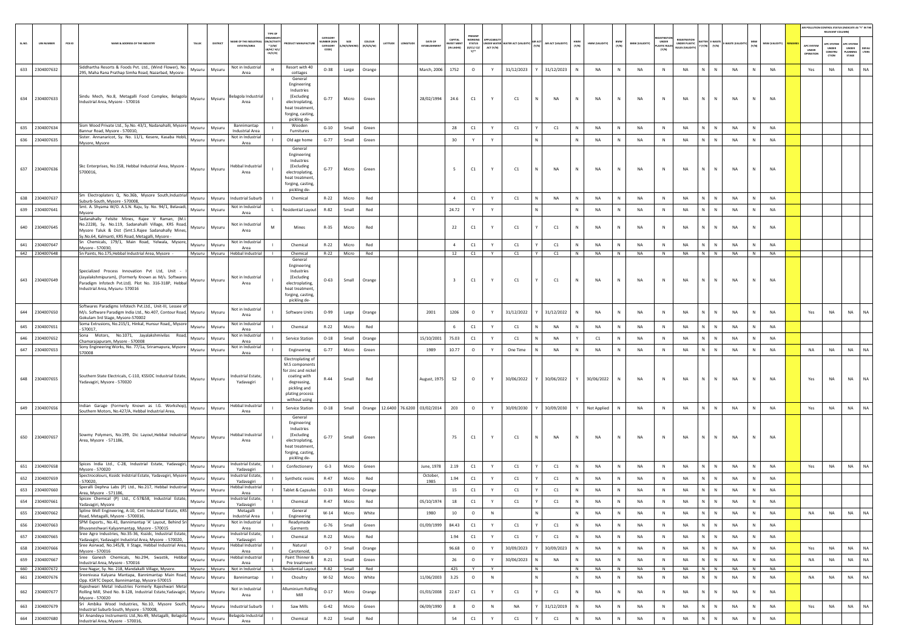|       |                                  |        |                                                                                                                                                                                                                                                         |                  |          |                                                              |                                                 |                                                                                                                                              |                                             |                       |                            |                                               |                                  |                                 |                          |                     |                 |                    |                  |                 |              |                       |                                |                                    |                 |              |                             |           |                        |                                        | AIR POLLUTION CONTROL STATUS (INDICATE AS "Y" IN THI<br>RELEVANT COLUMN) |                                         |                       |
|-------|----------------------------------|--------|---------------------------------------------------------------------------------------------------------------------------------------------------------------------------------------------------------------------------------------------------------|------------------|----------|--------------------------------------------------------------|-------------------------------------------------|----------------------------------------------------------------------------------------------------------------------------------------------|---------------------------------------------|-----------------------|----------------------------|-----------------------------------------------|----------------------------------|---------------------------------|--------------------------|---------------------|-----------------|--------------------|------------------|-----------------|--------------|-----------------------|--------------------------------|------------------------------------|-----------------|--------------|-----------------------------|-----------|------------------------|----------------------------------------|--------------------------------------------------------------------------|-----------------------------------------|-----------------------|
| SLNO. | <b>UIN NUMBER</b>                | PCB ID | NAME & ADDRESS OF THE INDUSTR                                                                                                                                                                                                                           | TALUR            | DISTRICT | <b>AME OF THE INDUSTR</b><br><b>ESTATES/AREA</b>             | N/ACTIVIT<br>$*(1/M)^*$<br>LB/HC/ H/I<br>CE/C/O |                                                                                                                                              | CATEGORY<br>UMBER (XG)<br>CATEGORY<br>CODE) | SIZE<br><b>M/S/MD</b> | <b>COLOUR</b><br>(R/O/G/W) | DATE OF<br>LATITUDE<br>ONGITUD<br>ESTABLISHME | CAPITAL<br>VEST MEN<br>IN LAKHS) | WORKING<br>STATUS<br>(0/C1/ C2/ | DER WATER W<br>ACT (Y/N) | ATER ACT (VALIDITY) | ur act<br>(y/n) | AIR ACT (VALIDITY) | HWM<br>(Y/N)     | HWM (VALIDITY)  | BMW<br>(Y/N) | <b>BMW (VALIDITY)</b> | UNDER<br>LASTIC RULES<br>(Y/N) | NDER PLASTIC<br><b>JLES (VALID</b> | $(Y/N)$ $(Y/N)$ | E-WAST       |                             | (Y/N)     | <b>MSW (VALIDITY</b>   | APC SYSTEM<br><b>UNDER</b><br>IPERATIO | APC SYSTER<br><b>UNDER</b><br>CONSTRU<br>CTION                           | APC SYSTER<br>UNDER<br>LANNING<br>STAGE | <b>DEFAU</b><br>LTERS |
| 633   | 2304007632                       |        | Siddhartha Resorts & Foods Pvt. Ltd., (Wind Flower), No.<br>295, Maha Rana Prathap Simha Road, Nazarbad, Myosre-                                                                                                                                        | Mysuru           | Mysuru   | Not in Industrial<br>Area                                    | H                                               | Resort with 40<br>cottages                                                                                                                   | $O-38$                                      | Large                 | Orange                     | March, 2006                                   | 1752                             | $\circ$                         | Y                        | 31/12/2023          |                 | 31/12/2023         |                  | NA              | N            | NA                    | ${\sf N}$                      | <b>NA</b>                          | $\mathbb{N}$    | N            | <b>NA</b>                   |           | NA                     | Yes                                    | NA                                                                       | NA                                      | NA                    |
|       | 634 2304007633                   |        | Sindu Mech, No.8, Metagalli Food Complex, Belagola<br>Industrial Area, Mysore - 570016                                                                                                                                                                  | Mysuru           | Mysuru   | Belagola Industri<br>Area                                    |                                                 | General<br>Engineering<br>Industries<br>(Excluding<br>electroplating,<br>heat treatment<br>forging, casting                                  | $G-77$                                      | Micro                 | Green                      | 28/02/1994                                    | 24.6                             | C1                              |                          | C1                  |                 | <b>NA</b>          | ${\sf N}$        | NA              |              | NA                    | ${\sf N}$                      | NA                                 | N               | $\mathbb N$  | NA                          |           | <b>NA</b>              |                                        |                                                                          |                                         |                       |
| 635   | 2304007634                       |        | Sism Wood Private Ltd., Sy.No. 43/1, Nadanahalli, Mysore                                                                                                                                                                                                | Mysuru           | Mysuru   | Bannimantap                                                  |                                                 | pickling de-<br>Wooden                                                                                                                       | $G-10$                                      | Small                 | Green                      |                                               | 28                               | C1                              | Y                        | C1                  |                 | C1                 |                  | NA              | N            | NA                    | N                              | NA                                 | N               | $\mathbb N$  | NA                          |           | NA                     |                                        |                                                                          |                                         |                       |
| 636   | 2304007635                       |        | Bannur Road, Mysore - 570010,<br>Sister. Annanaricot, Sy. No. 11/1, Kesere, Kasaba Hobli,                                                                                                                                                               | Mysuru           | Mysuru   | Industrial Area<br>Not in Industrial                         |                                                 | Furnitures<br>Old age home                                                                                                                   | $G-77$                                      | Small                 | Green                      |                                               | 30                               | Y                               | Y                        |                     | N               |                    | N                | <b>NA</b>       | N            | NA                    | ${\sf N}$                      | NA                                 | N               | ${\sf N}$    | <b>NA</b><br>N              |           | NA                     |                                        |                                                                          |                                         |                       |
|       | 637 2304007636                   |        | Mysore, Mysore<br>Skc Enterprises, No.158, Hebbal Industrial Area, Mysore<br>5700016,                                                                                                                                                                   | Mysuru           | Mysuru   | Area<br>Hebbal Industria<br>Area                             |                                                 | General<br>Engineering<br>Industries<br>(Excluding<br>electroplating,<br>heat treatment<br>forging, casting<br>pickling de-                  | $G-77$                                      | Micro                 | Green                      |                                               | 5                                | C1                              |                          | C1                  | N               | <b>NA</b>          | $\mathsf{N}$     | <b>NA</b>       |              | NA                    | $\mathbb{N}$                   | NA                                 | N               | $\mathbb{N}$ | <b>NA</b>                   |           | <b>NA</b>              |                                        |                                                                          |                                         |                       |
| 638   | 2304007637                       |        | Sm Electroplaters Q, No.36b, Mysore South, Industrial<br>Suburb-South, Mysore - 570008,                                                                                                                                                                 | Mysuru           | Mysuru   | <b>Industrial Suburb</b>                                     |                                                 | Chemical                                                                                                                                     | $R-22$                                      | Micro                 | Red                        |                                               | $\overline{4}$                   | C1                              | Y                        | C1                  | N               | NA                 | N                | NA              | N            | NA                    | N                              | NA                                 | N               | $\mathbb N$  | <b>NA</b><br>N              |           | <b>NA</b>              |                                        |                                                                          |                                         |                       |
| 639   | 2304007641                       |        | Smt. A. Shyama W/O. A.S.N. Raju, Sy. No. 94/1, Belavadi<br>Mysore                                                                                                                                                                                       | Mysuru           | Mysuri   | Not in Industrial<br>Area                                    | $\mathbf{L}$                                    | Residential Layout                                                                                                                           | R-82                                        | Small                 | Red                        |                                               | 24.72                            | Y                               | Y                        |                     | N               |                    | N                | <b>NA</b>       | N            | NA                    | N                              | <b>NA</b>                          | N               | N            | <b>NA</b>                   |           | NA                     |                                        |                                                                          |                                         |                       |
| 640   | 2304007645                       |        | Sadanahally Felsite Mines, Rajee V Raman, (M.I<br>No.2228), Sy. No.119, Sadanahalli Village, KRS Road,<br>Mysore Taluk & Dist (Smt.S.Rajee Sadanahally Mines,<br>Sy.No.64, Kalmanti, KRS Road, Metagalli, Mysore -                                      | Mysuru           | Mysuru   | Not in Industria<br>Area                                     | M                                               | Mines                                                                                                                                        | $R-35$                                      | Micro                 | Red                        |                                               | 22                               | C1                              | Y                        | C1                  |                 | C1                 | N                | <b>NA</b>       | N            | NA                    | N                              | NA                                 | N               | N            | <b>NA</b>                   | N         | NA                     |                                        |                                                                          |                                         |                       |
| 641   | 2304007647                       |        | Sn Chemicals, 179/1, Main Road, Yelwala, Mysore,<br>Mysore - 570030,                                                                                                                                                                                    | Mysuru           | Mysuru   | Not in Industria<br>Area                                     |                                                 | Chemical                                                                                                                                     | $R-22$                                      | Micro                 | Red                        |                                               | $\sim$                           | C1                              | Y                        | C1                  |                 | C1                 |                  | <b>NA</b>       | N            | NA                    | N                              | NA                                 | $\mathbf{N}$    | ${\sf N}$    | NA                          |           | NA                     |                                        |                                                                          |                                         |                       |
|       | 642 2304007648<br>643 2304007649 |        | Sn Paints, No. 175 Hebbal Industrial Area, Mysore -<br>Specialized Process Innovation Pvt Ltd, Unit<br>(Jayalakshmipuram), (Formerly Known as M/s. Softwares<br>Paradigm Infotech Pvt.Ltd). Plot No. 316-318P, Hebbal<br>Industrial Area, Mysuru-570016 | Mysuru           | Mysuru   | Mysuru Mysuru Hebbal Industrial<br>Not in Industrial<br>Area |                                                 | Chemical<br>General<br>Engineering<br>Industries<br>(Excluding<br>electroplating,<br>heat treatment                                          | $R - 22$<br>$O - 63$                        | Micro<br>Small        | Red<br>Orange              |                                               | 12<br>$\mathbf{R}$               | C1<br>C1                        | Y<br>Y                   | C1<br>C1            | Y               | C1<br>C1           | N<br>$\mathbb N$ | <b>NA</b><br>NA | N<br>N       | <b>NA</b><br>NA       | N<br>N                         | <b>NA</b><br>NA                    | $N$ $N$<br>N    | N            | <b>NA</b><br>NA             | N         | <b>NA</b><br><b>NA</b> |                                        |                                                                          |                                         |                       |
| 644   | 2304007650                       |        | Softwares Paradigms Infotech Pvt.Ltd., Unit-III, Lessee o<br>M/s. Software Paradigm India Ltd., No.407, Contour Road, Mysuru<br>Gokulam 3rd Stage, Mysore-570002                                                                                        |                  | Mysuri   | Not in Industrial<br>Area                                    |                                                 | forging, casting,<br>pickling de-<br>Software Units                                                                                          | $O-99$                                      | Large                 | Orange                     | 2001                                          | 1206                             | $\circ$                         | Y                        | 31/12/2022          |                 | 31/12/2022         | N                | <b>NA</b>       | N            | NA                    | N                              | NA                                 | N               | N            | <b>NA</b>                   |           | <b>NA</b>              | Yes                                    | NA                                                                       | <b>NA</b>                               | NA                    |
| 645   | 2304007651                       |        | Soma Extrusions, No.215/1, Hinkal, Hunsur Road,, Mysore<br>570017.                                                                                                                                                                                      | Mysuru           | Mysuru   | Not in Industrial<br>Area                                    |                                                 | Chemical                                                                                                                                     | $R - 22$                                    | Micro                 | Red                        |                                               | 6                                | C1                              | Y                        | C1                  | N               | NA                 |                  | NA              | N            | NA                    | N                              | NA                                 | N               | N            | NA                          |           | <b>NA</b>              |                                        |                                                                          |                                         |                       |
| 646   | 2304007652                       |        | Sona Motors, No.1071, Jayalakshmivilas Road<br>Chamarajapuram, Mysore - 570008                                                                                                                                                                          | Mysuru           | Mysuru   | Not in Industrial<br>Area                                    |                                                 | Service Station                                                                                                                              | $O-18$                                      | Small                 | Orange                     | 15/10/2001                                    | 75.03                            | $\mathsf{C1}$                   | Y                        | C1                  |                 | NA                 |                  | C1              | $\mathbb{N}$ | NA                    | N                              | NA                                 | N               | $\mathbb{N}$ | NA                          |           | <b>NA</b>              |                                        |                                                                          |                                         |                       |
| 647   | 2304007653                       |        | Sony Engineering Works, No. 77/1a, Sriramapura, Mysore<br>570008                                                                                                                                                                                        | Mysuru           | Mysuru   | Not in Industrial<br>Area                                    |                                                 | Engineering                                                                                                                                  | $G-77$                                      | Micro                 | Green                      | 1989                                          | 10.77                            | $\circ$                         | Y                        | One Time            | N               | <b>NA</b>          | N                | NA              | N            | NA                    | $\,$ N                         | NA                                 | N               | N            | NA<br>N                     |           | <b>NA</b>              | NA                                     | NA                                                                       | <b>NA</b>                               | <b>NA</b>             |
|       | 648 2304007655                   |        | Southern State Electricals, C-110, KSSIDC Industrial Estate,<br>Yadavagiri, Mysore - 570020                                                                                                                                                             | Mysuru           | Mysuru   | ndustrial Estate,<br>Yadavagiri                              |                                                 | Electroplating of<br>M.S components<br>for zinc and nicke<br>coating with<br>degreasing,<br>pickling and<br>plating process<br>without using | $R-44$                                      | Small                 | Red                        | August, 1975                                  | 52                               | $\circ$                         | Y                        | 30/06/2022          |                 | 30/06/2022         | Y                | 30/06/2022      | N            | NA                    | ${\sf N}$                      | NA                                 | N               | N            | <b>NA</b>                   |           | <b>NA</b>              | Yes                                    | NA                                                                       | NA                                      | NA                    |
|       | 649 2304007656                   |        | Indian Garage (Formerly Known as I.G. Workshop),<br>Southern Motors, No.427/A, Hebbal Industrial Area,                                                                                                                                                  | Mysuru           | Mysuru   | <b>Hebbal Industrial</b><br>Area                             |                                                 | <b>Service Station</b>                                                                                                                       | $O-18$                                      | Small                 |                            | Orange 12.6400 76.6200 03/02/2014             | 203                              | $\circ$                         | Y                        | 30/09/2030          |                 | 30/09/2030         |                  | Not Applied     | N            | NA                    | $\,$ N                         | NA                                 | N               | N            | NA<br>N                     |           | <b>NA</b>              | Yes                                    | NA                                                                       | <b>NA</b>                               | NA                    |
|       | 650 2304007657                   |        | Sowmy Polymers, No.199, Dic Layout, Hebbal Industrial<br>Area. Mysore - 571186.                                                                                                                                                                         | Mysuru           | Mysuru   | Hebbal Industrial<br>Area                                    |                                                 | General<br>Engineering<br>Industries<br>(Excluding<br>electroplating,<br>heat treatment.<br>forging, casting,<br>pickling de-                | $G - 77$                                    | Small                 | Green                      |                                               | 75                               | C1                              |                          | C1                  | Ν               | <b>NA</b>          | Ν                | <b>NA</b>       |              | NA                    | N                              | NA                                 | N               | N            | NA                          |           | <b>NA</b>              |                                        |                                                                          |                                         |                       |
| 651   | 2304007658                       |        | Spices India Ltd., C-28, Industrial Estate, Yadavagiri<br>Mysore - 570020                                                                                                                                                                               | Mysuru           | Mysuru   | ndustrial Estate<br>Yadavagiri                               |                                                 | Confectionery                                                                                                                                | $G-3$                                       | Micro                 | Green                      | June, 1978                                    | 2.19                             | C1                              | Y                        | C1                  |                 | C1                 | $\mathbb N$      | NA              | N            | NA                    | N                              | NA                                 | N               | N            | NA<br>N                     |           | <b>NA</b>              | Yes                                    | NA                                                                       | <b>NA</b>                               | <b>NA</b>             |
| 652   | 2304007659                       |        | Spectrocolours, Kssidc Indstrial Estate, Yadavagiri, Mysor<br>570020,                                                                                                                                                                                   | Mysuru           | Mysuru   | ndustrial Estate<br>Yadavagiri                               |                                                 | Synthetic resins                                                                                                                             | $R-47$                                      | Micro                 | Red                        | October.<br>1985                              | 1.94                             | C1                              | Y                        | C1                  |                 | C1                 |                  | NA              | N            | NA                    | ${\sf N}$                      | NA                                 | N               | $\mathbb N$  | NA                          |           | NA                     |                                        |                                                                          |                                         |                       |
| 653   | 2304007660                       |        | Speralli Dephna Labs (P) Ltd., No.217, Hebbal Industria<br>Area, Mysore - 571186,                                                                                                                                                                       | Mysuru           | Mysuru   | -lebbal Industrial<br>Area                                   |                                                 | Tablet & Capsule                                                                                                                             | $O-33$                                      | Micro                 | Orange                     |                                               | 15                               | C1                              | Y                        | C1                  |                 | C1                 |                  | NA              | N            | NA                    | ${\sf N}$                      | NA                                 | N               | ${\sf N}$    | <b>NA</b><br>N              |           | <b>NA</b>              |                                        |                                                                          |                                         |                       |
| 654   | 2304007661                       |        | Spicex Chemical (P) Ltd., C-57&58, Industrial Estate<br>Yadavagiri, Mysore                                                                                                                                                                              | Mysuru           | Mysuru   | ndustrial Estate<br>Yadavagiri                               |                                                 | Chemical                                                                                                                                     | $R - 47$                                    | Micro                 | Red                        | 05/10/1974                                    | 18                               | C1                              | Y                        | C1                  |                 | C1                 |                  | <b>NA</b>       | N            | <b>NA</b>             | $\mathbb N$                    | <b>NA</b>                          | N               | $\mathbb N$  | NA                          |           | <b>NA</b>              |                                        |                                                                          |                                         |                       |
| 655   | 2304007662                       |        | Spline Well Engineering, A-10, Cmt Industrial Estate, KRS<br>Road, Metagalli, Mysore - 5700016,                                                                                                                                                         | Mysuru           | Mysuru   | Metagalli<br><b>Industrial Area</b>                          |                                                 | General<br>Engineering                                                                                                                       | $W-14$                                      | Micro                 | White                      | 1980                                          | $10\,$                           | $\circ$                         | N                        |                     | N               |                    | N                | NA              | N            | NA                    | ${\sf N}$                      | NA                                 | N               | ${\sf N}$    | NA<br>$\mathbb N$           |           | NA                     | NA                                     | NA                                                                       | <b>NA</b>                               | NA                    |
| 656   | 2304007663                       |        | SPM Exports., No.41, Bannimantap 'A' Layout, Behind Sri<br>Bhuvaneshwari Kalyanmantap, Mysore - 570015<br>Sree Agro Industries, No.35-36, Kssidc, Industrial Estate,                                                                                    | Mysuru           | Mysuru   | Not in Industrial<br>Area                                    |                                                 | Readymade<br>Garments                                                                                                                        | $G-76$                                      | Small                 | Green                      | 01/09/1999                                    | 84.43                            | C1                              | Y                        | C1                  | Y               | C1                 | N                | NA              | $\,$ N       | NA                    | $\,$ N                         | NA                                 | $N$ $N$         |              | NA                          | N         | <b>NA</b>              |                                        |                                                                          |                                         |                       |
| 657   | 2304007665                       |        | Yadavagiri, Yadavagiri Industrial Area, Mysore - 570020,                                                                                                                                                                                                | Mysuru           | Mysuru   | ndustrial Estate,<br>Yadavagiri<br><b>Hebbal Industrial</b>  |                                                 | Chemical<br>Natural                                                                                                                          | $R-22$                                      | Micro                 | Red                        |                                               | 1.94                             | C1                              | Y                        | C1                  |                 | C1                 | $\mathsf{N}$     | NA              | ${\sf N}$    | NA                    | $\,$ N                         | NA                                 | N               | ${\sf N}$    | NA                          |           | <b>NA</b>              |                                        |                                                                          |                                         |                       |
| 658   | 2304007666                       |        | Sree Asirwad, No.145/B, II Stage, Hebbal Industrial Area,<br>Mysore - 570016<br>Sree Ganesh Chemicals, No.294, Swastik, Hebbal                                                                                                                          | Mysuru           | Mysuru   | Area<br><b>Hebbal Industrial</b>                             |                                                 | Carotenoid,<br>Paint Thinner &                                                                                                               | $0-7$                                       | Small                 | Orange                     |                                               | 96.68                            | $\circ$                         | Y                        | 30/09/2023          |                 | 30/09/2023         | $\mathsf{N}$     | NA              | $\,N\,$      | NA                    | N                              | NA                                 | N               | $\,$ N       | NA<br>N                     |           | NA                     | Yes                                    | NA                                                                       | NA                                      | <b>NA</b>             |
| 659   | 2304007667<br>660 2304007672     |        | Industrial Area, Mysore - 570016<br>Sree Nagar, Sy. No. 218, Mandakalli Village, Mysore.                                                                                                                                                                | Mysuru<br>Mysuru | Mysuru   | Area<br>Mysuru Not in Industrial                             |                                                 | Pre treatment<br>Residential Layout                                                                                                          | $R - 21$<br>R-82                            | Small<br>Small        | Green<br>Red               |                                               | 26<br>425                        | $\circ$<br>Y                    | Y<br>Y                   | 30/06/2023          | N<br>N          | NA                 | N<br>N           | NA<br>NA        | N<br>N       | NA<br>NA              | N<br>N                         | <b>NA</b><br>NA                    | N<br>$N$ $N$    | $\,$ N       | <b>NA</b><br>N<br><b>NA</b> | N         | NA<br>NA               | NA                                     | NA                                                                       | <b>NA</b>                               | NA                    |
| 661   | 2304007676                       |        | Sreenivasa Kalyana Mantapa, Bannimantap Main Road,<br>Opp. KSRTC Depot, Bannimantap, Mysore-570015                                                                                                                                                      | Mysuru           | Mysuru   | Bannimantap                                                  |                                                 | Choultry                                                                                                                                     | W-52                                        | Micro                 | White                      | 11/06/2003                                    | 3.25                             | $\circ$                         | $\,$ N                   |                     | N               |                    | $\,$ N           | NA              | N            | NA                    | ${\sf N}$                      | NA                                 | N               | $\mathbb N$  | NA                          | N         | <b>NA</b>              | NA                                     | NA                                                                       | <b>NA</b>                               | NA                    |
| 662   | 2304007677                       |        | Rajeshwari Metal Industries Formerly Rajeshwari Meta<br>Rolling Mill, Shed No. B-128, Industrial Estate, Yadavagiri,<br>Mysore - 570020                                                                                                                 | Mysuru           | Mysuru   | Not in Industrial<br>Area                                    |                                                 | <b>Illuminium Rolling</b><br>Mill                                                                                                            | $O-17$                                      | Micro                 | Orange                     | 01/03/2008                                    | 22.67                            | $\mathsf{C1}$                   | Y                        | C1                  |                 | $\mathsf{C1}$      | $\mathbb N$      | NA              | N            | NA                    | $\,$ N                         | NA                                 | N               | $\mathbb N$  | <b>NA</b>                   | ${\sf N}$ | NA                     |                                        |                                                                          |                                         |                       |
| 663   | 2304007679                       |        | Sri Ambika Wood Industries, No.10, Mysore South,<br>Industrial Suburb-South, Mysore - 570008,                                                                                                                                                           | Mysuru           | Mysuru   | <b>Industrial Suburb</b>                                     |                                                 | Saw Mills                                                                                                                                    | $G-42$                                      | Micro                 | Green                      | 06/09/1990                                    | 8                                | $\circ$                         | $\,$ N                   | NA                  | Y.              | 31/12/2019         | $\mathbb{N}$     | NA              | ${\sf N}$    | NA                    | N                              | NA                                 | N               | $\mathbb N$  | NA                          | ${\sf N}$ | <b>NA</b>              | Yes                                    | NA                                                                       | <b>NA</b>                               | <b>NA</b>             |
| 664   | 2304007680                       |        | Sri Anandeya Instruments Ltd., No.49, Metagalli, Belagola<br>Industrial Area, Mysore - 570016,                                                                                                                                                          | Mysuru           | Mysuru   | Belagola Industria<br>Area                                   |                                                 | Chemical                                                                                                                                     | $R-22$                                      | Small                 | Red                        |                                               | 54                               | $\mathsf{C}1$                   | Y                        | $\mathsf{C}1$       |                 | $\mathsf{C1}$      | N                | NA              | N            | NA                    | ${\sf N}$                      | NA                                 | N               | ${\sf N}$    | NA                          |           | NA                     |                                        |                                                                          |                                         |                       |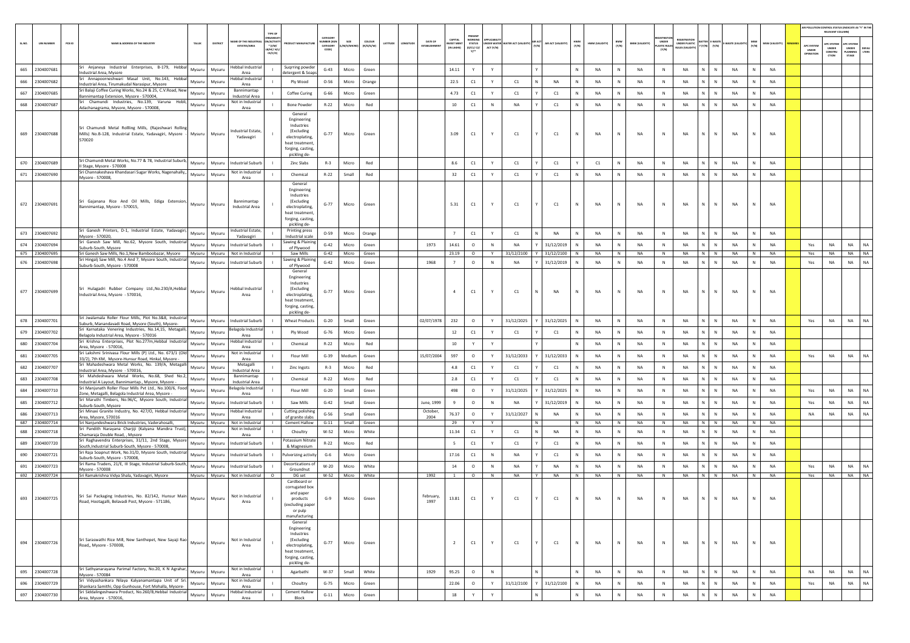|            |                          |        |                                                                                                                                     |                  |                                              |                                                                |                                                                                                                               |                                   |                     |                                 |          |           |                                |                                          |                                       |           |                                         |        |                    |              |                |              |                       |                                      |                                                            |                                        |                        |              |                      |                                 | AIR POLLUTION CONTROL STATUS (INDICATE AS "Y" IN THE      |                                          |                       |
|------------|--------------------------|--------|-------------------------------------------------------------------------------------------------------------------------------------|------------------|----------------------------------------------|----------------------------------------------------------------|-------------------------------------------------------------------------------------------------------------------------------|-----------------------------------|---------------------|---------------------------------|----------|-----------|--------------------------------|------------------------------------------|---------------------------------------|-----------|-----------------------------------------|--------|--------------------|--------------|----------------|--------------|-----------------------|--------------------------------------|------------------------------------------------------------|----------------------------------------|------------------------|--------------|----------------------|---------------------------------|-----------------------------------------------------------|------------------------------------------|-----------------------|
| SL.NO.     | <b>UIN NUMBER</b>        | PCB ID | NAME & ADDRESS OF THE INDUSTRY<br>TALUK                                                                                             | DISTRICT         | VAME OF THE INDUS<br>ESTATES/AREA            | TYPE OF<br>N/ACTIVI<br>$*$ (1/M/<br><b>8/HC/ H/L</b><br>CE/C/O | <b>DUCT MANUFACTUR</b>                                                                                                        | CATEGORY<br>UMBER (XG<br>CATEGORY | SIZE<br>/M/S/MICROT | $c_{\text{OLOUR}}$<br>(R/O/G/W) | LATITUDE | LONGITUDE | DATE OF<br><b>ESTABLISHMEN</b> | CAPITAL<br><b>VEST MEN</b><br>(IN LAKHS) | PRESENT<br><b>STATUS</b><br>(0/CI/CI) | ACT (Y/N) | NDER WATER WATER ACT (VALIDITY) AIR ACT |        | AIR ACT (VALIDITY) | HWM<br>(Y/N) | HWM (VALIDITY) | BMW<br>(Y/N) | <b>BMW (VALIDITY)</b> | UNDER<br><b>ASTIC RULES</b><br>[Y/N] | FOISTRAT<br><b>UNDER PLASTIC</b><br><b>NULES (VALIDITY</b> | <b>TTER E-WASTE</b><br>$(Y/N)$ $(Y/N)$ | E-WASTE (VALIDITY) MSW |              | MSW (VALIDITY) REMAR | APC SYSTEM<br>UNDER<br>PERATION | RELEVANT COLUMN<br>PC SYSTEM<br>UNDER<br>CONSTRU<br>crion | APC SYSTER<br>UNDER<br>PLANNING<br>STAGE | <b>DEFAU</b><br>LTERS |
| 665        | 2304007681               |        | Sri Anjaneya Industrial Enterprises, B-179, Hebbal<br>Mysuru                                                                        | Mysuru           | Hebbal Industria                             |                                                                | Suqrring powder                                                                                                               | $G-43$                            | Micro               | Green                           |          |           |                                | 14.11                                    | Y                                     | Y         |                                         |        |                    | $\mathbb{N}$ | <b>NA</b>      | N            | NA                    | N                                    | <b>NA</b>                                                  | $\mathbb{N}$<br>N                      | NA                     | N            | <b>NA</b>            |                                 |                                                           |                                          |                       |
| 666        | 2304007682               |        | Industrial Area, Mysore<br>Sri Annapoorneshwari Masal Unit, No.143, Hebba<br>Mysuru                                                 | Mysuru           | Area<br>Hebbal Industria                     |                                                                | detergent & Soar<br>Ply Wood                                                                                                  | $O - 56$                          | Micro               |                                 |          |           |                                | 22.5                                     |                                       | Y         | C1                                      | N      |                    | $\,$ N $\,$  | NA             | N            | NA                    | N                                    | NA                                                         | N<br>N                                 | NA                     | N            | <b>NA</b>            |                                 |                                                           |                                          |                       |
|            |                          |        | ndustrial Area, Tirumakudal Narasipur, Mysore<br>Sri Balaji Coffee Curing Works, No.24 & 25, C.V.Road, New                          |                  | Area<br>Bannimantap                          |                                                                |                                                                                                                               |                                   |                     | Orange                          |          |           |                                |                                          | C1                                    |           |                                         |        | NA                 |              |                |              |                       |                                      |                                                            |                                        |                        |              |                      |                                 |                                                           |                                          |                       |
| 667        | 2304007685               |        | Mysuru<br>Bannimantap Extension, Mysore - 570004,<br>Sri Chamundi Industries, No.139, Varuna Hobli,                                 | Mysuru           | Industrial Area<br>Not in Industrial         |                                                                | Coffee Curing                                                                                                                 | $G-66$                            | Micro               | Green                           |          |           |                                | 4.73                                     | $\mathsf{C1}$                         |           | C1                                      |        | C1                 | N            | NA             | N            | NA                    | N                                    | <b>NA</b>                                                  | N<br>N                                 | NA                     | N            | NA                   |                                 |                                                           |                                          |                       |
| 668        | 2304007687               |        | Mysuru<br>Adachanagrama, Mysore, Mysore - 570008,                                                                                   | Mysuru           | Area                                         |                                                                | <b>Bone Powder</b><br>General                                                                                                 | $R-22$                            | Micro               | Red                             |          |           |                                | $10\,$                                   | C1                                    | $\,$ N    | NA                                      |        | C1                 | N            | <b>NA</b>      | N            | NA                    | $\mathbb{N}$                         | <b>NA</b>                                                  | N<br>$\mathbb{N}$                      | NA                     | N            | NA                   |                                 |                                                           |                                          |                       |
|            | 669 2304007688           |        | Sri Chamundi Metal Rollling Mills, (Rajeshwari Rolling<br>Mills) No.B-128, Industrial Estate, Yadavagiri, Mysore - Mysuru<br>570020 | Mysuru           | <b>Industrial Estate</b><br>Yadavagiri       |                                                                | Engineering<br>Industries<br><i>(Excluding</i><br>electroplating,<br>heat treatment,<br>forging, casting<br>pickling de-      | $G - 77$                          | Micro               | Green                           |          |           |                                | 3.09                                     | C1                                    | Y         | C1                                      |        | C1                 | $\mathbb{N}$ | <b>NA</b>      |              | <b>NA</b>             | N                                    | <b>NA</b>                                                  | N<br>$\mathsf{N}$                      | NA                     |              | <b>NA</b>            |                                 |                                                           |                                          |                       |
|            | 670 2304007689           |        | Sri Chamundi Metal Works, No.77 & 78, Industrial Suburb,<br>Mysuru<br>II Stage, Mysore - 570008                                     | Mysuru           | <b>Industrial Suburt</b>                     |                                                                | Zinc Slabs                                                                                                                    | $R-3$                             | Micro               | Red                             |          |           |                                | 8.6                                      | C1                                    | Y         | C1                                      |        | C1                 |              | C1             | N            | NA                    | N                                    | NA                                                         | N<br>$\mathbb N$                       | NA                     | N            | <b>NA</b>            |                                 |                                                           |                                          |                       |
| 671        | 2304007690               |        | Sri Channakeshava Khandasari Sugar Works, Nagenahally,,<br>Mysuru                                                                   | Mysuru           | Not in Industrial<br>Area                    |                                                                | Chemical                                                                                                                      | $R - 22$                          | Small               | Red                             |          |           |                                | 32                                       | C1                                    | Y         | C1                                      |        | C1                 | N            | NA             | N            | NA                    | N                                    | NA                                                         | $\mathbb{N}$<br>N                      | NA                     | N            | NA                   |                                 |                                                           |                                          |                       |
|            | 672 2304007691           |        | Mysore - 570008,<br>Sri Gajanana Rice And Oil Mills, Ediga Extension,<br>Mysuru<br>Bannimantap, Mysore - 570015,                    | Mysuru           | Bannimantap<br>Industrial Area               |                                                                | General<br>Engineering<br>Industries<br>(Excluding<br>electroplating,<br>heat treatment,<br>forging, casting<br>pickling de-  | $G - 77$                          | Micro               | Green                           |          |           |                                | 5.31                                     | C1                                    | Y         | C1                                      |        | C1                 | N            | <b>NA</b>      | N            | <b>NA</b>             | N                                    | <b>NA</b>                                                  | $\mathbb N$<br>N                       | NA                     | N            | <b>NA</b>            |                                 |                                                           |                                          |                       |
| 673        | 2304007692               |        | Sri Ganesh Printers, D-1, Industrial Estate, Yadavagiri,<br>Mysuru<br>Mysore - 570020,                                              | Mysuru           | <b>Industrial Estate</b><br>Yadavagiri       |                                                                | Printing press<br>Industrial scale                                                                                            | $O - 59$                          | Micro               | Orange                          |          |           |                                | 7                                        | C1                                    | Y         | C1                                      | N      | <b>NA</b>          | N            | <b>NA</b>      | N            | <b>NA</b>             | N                                    | <b>NA</b>                                                  | $\mathbb{N}$<br>N                      | NA                     | N            | <b>NA</b>            |                                 |                                                           |                                          |                       |
| 674        | 2304007694               |        | Sri Ganesh Saw Mill, No.62, Mysore South, Industrial<br>Mysuru<br>Suburb-South, Mysore                                              | Mysuru           | <b>Industrial Suburt</b>                     |                                                                | Sawing & Plaining<br>of Plywood                                                                                               | $G-42$                            | Micro               | Green                           |          |           | 1973                           | 14.61                                    | $\circ$                               | N         | <b>NA</b>                               |        | 31/12/2019         | N            | <b>NA</b>      | N            | <b>NA</b>             | N                                    | <b>NA</b>                                                  | N<br>$\mathbb{N}$                      | <b>NA</b>              | N            | <b>NA</b>            | Yes                             | <b>NA</b>                                                 | <b>NA</b>                                | NA                    |
| 675        | 2304007695               |        | Sri Ganesh Saw Mills, No.1, New Bamboobazar, Mysore<br>Mysuru<br>Sri Hingalj Saw Mill, No.4 And 7, Mysore South, Industrial         | Mysuru           | Not in Industrial                            |                                                                | Saw Mills<br>Sawing & Plaining                                                                                                | $G-42$                            | Micro               | Green                           |          |           |                                | 23.19                                    | $\circ$                               | Y         | 31/12/2100                              |        | Y 31/12/2100       | N.           | NA             | N            | NA                    | N                                    | NA                                                         | $N$ $N$                                | NA                     | N            | NA                   | Yes                             | NA                                                        | NA NA                                    |                       |
| 676        | 2304007698               |        | Mysuru<br>Suburb-South, Mysore - 570008                                                                                             | Mysuru           | <b>Industrial Suburt</b>                     |                                                                | of Plywood<br>General                                                                                                         | $G-42$                            | Micro               | Green                           |          |           | 1968                           | $7^{\circ}$                              | $\circ$                               | N         | NA                                      |        | 31/12/2019         | N            | <b>NA</b>      | N            | NA                    | N                                    | <b>NA</b>                                                  | $\mathbb{N}$<br>N                      | <b>NA</b>              | N            | NA                   | Yes                             | NA                                                        | <b>NA</b>                                | NA                    |
|            | 677 2304007699           |        | Sri Hulagadri Rubber Company Ltd., No.230/A, Hebbal<br>Mysuru<br>Industrial Area, Mysore - 570016,                                  | Mysuru           | Hebbal Industria<br>Area                     |                                                                | Engineering<br>Industries<br>(Excluding<br>electroplating,<br>heat treatment<br>forging, casting<br>pickling de-              | $G - 77$                          | Micro               | Green                           |          |           |                                | $\mathfrak{a}$                           | C1                                    | Y         | C1                                      | N      | NA                 | N            | <b>NA</b>      | N            | <b>NA</b>             | N                                    | <b>NA</b>                                                  | N<br>N                                 | NA                     | N            | <b>NA</b>            |                                 |                                                           |                                          |                       |
| 678        | 2304007701               |        | Sri Jwalamala Roller Flour Mills, Plot No.3&8, Industrial<br>Mysuru<br>Suburb, Manandavadi Road, Mysore (South), Mysore-            | Mysuru           | <b>Industrial Suburb</b>                     |                                                                | <b>Wheat Products</b>                                                                                                         | $G-20$                            | Small               | Green                           |          |           | 02/07/1978                     | 232                                      | $\circ$                               | Y         | 31/12/2025                              |        | 31/12/2025         | N            | <b>NA</b>      | N            | <b>NA</b>             | N                                    | <b>NA</b>                                                  | $\mathbb N$<br>N                       | NA                     | N            | <b>NA</b>            | Yes                             | NA                                                        | <b>NA</b>                                | NA                    |
| 679        | 2304007702               |        | Sri Karnataka Venering Industries, No.14,15, Metagalli,<br>Mysuru                                                                   | Mysuru           | Belagola Industria                           |                                                                | Ply Wood                                                                                                                      | $G-76$                            | Micro               | Green                           |          |           |                                | 12                                       | $\mathsf{C}1$                         |           | C1                                      |        | C1                 | N            | NA             | N            | NA                    | N                                    | <b>NA</b>                                                  | N.<br>$\mathbb{N}$                     | NA                     | N            | <b>NA</b>            |                                 |                                                           |                                          |                       |
| 680        | 2304007704               |        | Belagola Industrial Area, Mysore - 570016<br>Sri Krishna Enterprises, Plot No.277m, Hebbal Industrial<br>Mysuru                     | Mysuru           | Area<br>Hebbal Industria                     |                                                                | Chemical                                                                                                                      | $R - 22$                          | Micro               | Red                             |          |           |                                | 10                                       | Y                                     | Y         |                                         |        |                    | N            | NA             | N            | NA                    | N                                    | NA                                                         | N<br>N                                 | NA                     | N            | NA                   |                                 |                                                           |                                          |                       |
| 681        | 2304007705               |        | Area, Mysore - 570016,<br>Sri Lakshmi Srinivasa Flour Mills (P) Ltd., No. 673/1 (Old<br>Mysuru                                      | Mysuru           | Area<br>Not in Industrial                    |                                                                | Flour Mill                                                                                                                    | $G-39$                            | Medium              | Green                           |          |           | 15/07/2004                     | 597                                      | $\circ$                               | Y         | 31/12/2033                              |        | 31/12/2033         | N            | <b>NA</b>      | N            | NA                    | $\mathsf{N}$                         | <b>NA</b>                                                  | N<br>N                                 | NA                     | N            | NA                   | Yes                             | NA                                                        | NA                                       | NA                    |
| 682        | 2304007707               |        | 33/2), 7th KM, Mysore-Hunsur Road, Hinkal, Mysore -<br>Sri Mahadeshwara Metal Works, No. 139/A, Metagalli<br>Mysuru                 | Mysuru           | Area<br>Metagalli                            |                                                                | Zinc Ingots                                                                                                                   | $R-3$                             | Micro               | Red                             |          |           |                                | 4.8                                      | C1                                    | Y         | C1                                      |        | C1                 | N            | <b>NA</b>      | N            | NA                    | N                                    | <b>NA</b>                                                  | N  <br>$\mathbb{N}$                    | NA                     | N            | <b>NA</b>            |                                 |                                                           |                                          |                       |
| 683        | 2304007708               |        | Industrial Area, Mysore - 570016,<br>Sri Mahdeshwara Metal Works, No.68, Shed No.2                                                  |                  | Industrial Area<br>Bannimantap               |                                                                | Chemical                                                                                                                      | $R-22$                            | Micro               | Red                             |          |           |                                | 2.8                                      |                                       | Y         | C1                                      |        |                    |              | <b>NA</b>      | N            | <b>NA</b>             | N                                    | <b>NA</b>                                                  | N                                      |                        | N            | <b>NA</b>            |                                 |                                                           |                                          |                       |
|            |                          |        | Mysuru<br>Industrial A Layout, Bannimantap., Mysore, Mysore -<br>Sri Manjunath Roller Flour Mills Pvt Ltd., No.100/6, Food          | Mysuru           | Industrial Area<br>elagola Industria         |                                                                |                                                                                                                               |                                   |                     |                                 |          |           |                                |                                          | C1                                    |           |                                         |        | C1                 | N            |                |              |                       |                                      |                                                            | N                                      | <b>NA</b>              |              |                      |                                 |                                                           |                                          |                       |
| 684        | 2304007710               |        | Mysuru<br>Zone, Metagalli, Belagola Industrial Area, Mysore -<br>Sri Maruthi Timbers, No.96/C, Mysore South, Industrial             | Mysuru           | Area                                         |                                                                | Flour Mill                                                                                                                    | $G-20$                            | Small               | Green                           |          |           |                                | 498                                      | $\circ$                               |           | 31/12/2025                              |        | 31/12/2025         |              | NA             | N            | NA                    | $\mathbb N$                          | NA                                                         | N.<br>N                                | NA                     | N            | NA                   | Yes                             | <b>NA</b>                                                 | NA                                       | NA                    |
| 685        | 2304007712               |        | Mysuru<br>Suburb-South, Mysore<br>Sri Minaxi Granite Industry, No. 427/O, Hebbal Industrial                                         | Mysuru           | <b>Industrial Suburt</b><br>Hebbal Industria |                                                                | Saw Mills<br><b>Cutting polishing</b>                                                                                         | $G-42$                            | Small               | Green                           |          |           | June, 1999<br>October,         | 9                                        | $\circ$                               | N         | <b>NA</b>                               |        | 31/12/2019         | N            | <b>NA</b>      | N            | NA                    | N                                    | <b>NA</b>                                                  | N<br>N.                                | NA                     | N            | <b>NA</b>            | Yes                             | NA                                                        | NA                                       | <b>NA</b>             |
| 686        | 2304007713               |        | Mysuru<br>Area, Mysore, 570016                                                                                                      | Mysuru           | Area                                         |                                                                | of granite slabs                                                                                                              | $G-56$                            | Small               | Green                           |          |           | 2004                           | 76.37                                    | $\circ$                               | Y         | 31/12/2027                              |        | NA                 |              | <b>NA</b>      | N            | NA                    | N                                    | <b>NA</b>                                                  | N.<br>N                                | NA                     | N            | NA                   | NA                              | NA                                                        | NA                                       | NA                    |
| 687<br>688 | 2304007714<br>2304007718 |        | Sri Nanjundeshwara Brick Industries, Vaderahosalli,<br>Mysuru<br>Sri Pandith Narayana Charjiji (Kalyana Mandira Trust),<br>Mysuru   | Mysuru<br>Mysuru | Not in Industrial<br>Not in Industria        |                                                                | <b>Cement Hallow</b><br>Choultry                                                                                              | $G-11$<br>W-52                    | Small<br>Micro      | Green<br>White                  |          |           |                                | 29<br>11.34                              | Y<br>C1                               | Y<br>Y    | C1                                      | N<br>N | NA                 | N<br>N       | NA<br>NA       | N<br>N       | NA<br>NA              | N<br>N                               | <b>NA</b><br>NA                                            | $N$ $N$<br>N<br>N                      | NA<br>NA               | N<br>N       | NA<br>NA             |                                 |                                                           |                                          |                       |
|            |                          |        | Chamaraja Double Road, , Mysore<br>Sri Raghavendra Enterprises, 31/11, 2nd Stage, Mysore                                            |                  | Area                                         |                                                                | Potassium Nitrate                                                                                                             |                                   |                     |                                 |          |           |                                |                                          |                                       |           |                                         |        |                    |              |                |              |                       |                                      |                                                            |                                        |                        |              |                      |                                 |                                                           |                                          |                       |
| 689        | 2304007720               |        | Mysuru<br>South, Industrial Suburb-South, Mysore - 570008,<br>Sri Raja Soapnut Work, No.31/D, Mysore South, Industrial              | Mysuru           | <b>Industrial Suburb</b>                     |                                                                | & Magnesium                                                                                                                   | $R-22$                            | Micro               | Red                             |          |           |                                | 5                                        | $\mathsf{C1}$                         | Y         | C1                                      |        | C1                 | N            | NA             | N            | NA                    | $\mathsf{N}$                         | <b>NA</b>                                                  | N<br>N                                 | NA                     | N            | NA                   |                                 |                                                           |                                          |                       |
| 690        | 2304007721               |        | Mysuru<br>Suburb-South, Mysore - 570008,                                                                                            | Mysuru           | <b>Industrial Suburb</b>                     | $\mathbf{L}$                                                   | Pulverizing activity                                                                                                          | $G-6$                             | Micro               | Green                           |          |           |                                | 17.16                                    | C1                                    | $\,$ N    | NA                                      |        | C1                 | $\mathbb{N}$ | <b>NA</b>      | N            | NA                    | $\mathbb{N}$                         | <b>NA</b>                                                  | N  <br>$\mathbb{N}$                    | NA                     | N            | <b>NA</b>            |                                 |                                                           |                                          |                       |
| 691        | 2304007723               |        | Sri Rama Traders, 21/E, III Stage, Industrial Suburb-South,<br>Mysuru<br>Mysore - 570008                                            | Mysuru           | Industrial Suburb                            |                                                                | Decortications of<br>Groundnut                                                                                                | $W-20$                            | Micro               | White                           |          |           |                                | 14                                       | $\circ$                               | N         | <b>NA</b>                               |        | <b>NA</b>          | N            | <b>NA</b>      | N            | <b>NA</b>             | N                                    | <b>NA</b>                                                  | N<br>N                                 | NA                     | N            | <b>NA</b>            | Yes                             | <b>NA</b>                                                 | <b>NA</b>                                | NA                    |
|            | 692 2304007724           |        | Sri Ramakrishna Vidya Shala, Yadavagiri, Mysore<br>Mysuru                                                                           |                  | Mysuru Not in Industrial                     | $\circ$                                                        | DG set<br>Cardboard or                                                                                                        | W-52                              | Micro               | White                           |          |           | 1992                           | $\mathbf{1}$                             | $\circ$                               | N         | NA                                      | Y      | NA                 | N            | <b>NA</b>      | N I          | NA                    | N                                    | NA                                                         | $N$ $N$                                | NA                     | N            | <b>NA</b>            | Yes                             | <b>NA</b>                                                 | NA NA                                    |                       |
| 693        | 2304007725               |        | Sri Sai Packaging Industries, No. 82/142, Hunsur Main<br>Mysuru<br>Road, Hootagalli, Belavadi Post, Mysore - 571186,                | Mysuru           | Not in Industrial<br>Area                    |                                                                | corrugated box<br>and paper<br>products<br>(excluding paper<br>or pulp<br>manufacturing                                       | $G-9$                             | Micro               | Green                           |          |           | February<br>1997               | 13.81                                    | C1                                    | Y         | C1                                      |        | C1                 | Ν            | <b>NA</b>      | N            | NA                    | ${\sf N}$                            | NA                                                         | $\mathbb N$                            | NA                     |              | NA                   |                                 |                                                           |                                          |                       |
|            | 694 2304007726           |        | Sri Saraswathi Rice Mill, New Santhepet, New Sayaji Rao Mysuru<br>Road,, Mysore - 570008,                                           | Mysuru           | Not in Industrial<br>Area                    |                                                                | General<br>Engineering<br>Industries<br>(Excluding<br>electroplating,<br>heat treatment,<br>forging, casting,<br>pickling de- | $G-77$                            | Micro               | Green                           |          |           |                                | $\overline{2}$                           | C1                                    | Y         | C1                                      |        | C1                 | N            | <b>NA</b>      | N            | NA                    | $\mathbb{N}$                         | <b>NA</b>                                                  | N<br>N                                 | NA                     | N            | <b>NA</b>            |                                 |                                                           |                                          |                       |
|            | 695 2304007728           |        | Sri Sathyanarayana Parimal Factory, No.20, K N Agrahar,<br>Mysuru<br>Mysore - 570084                                                | Mysuru           | Not in Industrial<br>Area                    |                                                                | Agarbathi                                                                                                                     | W-37                              | Small               | White                           |          |           | 1929                           | 95.25                                    | $\circ$                               | $\,$ N    |                                         | N      |                    | N            | NA             | N            | NA                    | $\mathbb N$                          | NA                                                         | N<br>N                                 | NA                     | N            | NA                   | NA                              | NA                                                        | NA                                       | NA                    |
| 696        | 2304007729               |        | Sri Vidyashankara Nilaya Kalyanamantapa Unit of Sri.<br>Mysuru<br>Shankara Samithi, Opp Gunhouse, Fort Mohalla, Mysore-             | Mysuru           | Not in Industrial<br>Area                    |                                                                | Choultry                                                                                                                      | $G-75$                            | Micro               | Green                           |          |           |                                | 22.06                                    | $\circ$                               | Y         | 31/12/2100                              |        | 31/12/2100         | N            | NA             | N            | NA                    | N                                    | NA                                                         | N<br>N                                 | NA                     | N            | NA                   | Yes                             | NA                                                        | <b>NA</b>                                | NA                    |
| 697        | 2304007730               |        | Sri Siddalingeshwara Product, No.260/B, Hebbal Industrial<br>Mysuru<br>Area. Mysore - 570016.                                       | Mysuru           | Hebbal Industria<br>Area                     |                                                                | <b>Cement Hallow</b><br>Block                                                                                                 | $G-11$                            | Micro               | Green                           |          |           |                                | 18                                       | Y                                     | Y         |                                         |        |                    | N            | <b>NA</b>      | $\mathsf{N}$ | NA                    | $\mathbb N$                          | NA                                                         | $\mathbb{N}$<br>N                      | NA                     | $\mathbb{N}$ | NA                   |                                 |                                                           |                                          |                       |
|            |                          |        |                                                                                                                                     |                  |                                              |                                                                |                                                                                                                               |                                   |                     |                                 |          |           |                                |                                          |                                       |           |                                         |        |                    |              |                |              |                       |                                      |                                                            |                                        |                        |              |                      |                                 |                                                           |                                          |                       |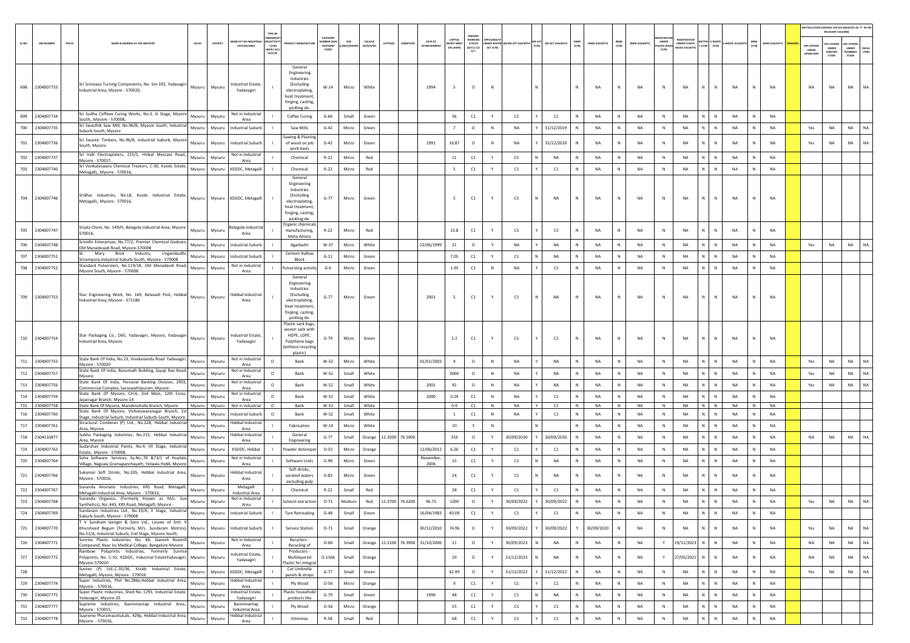|        |                              |        |                                                                                                                                                             |                  |                  |                                                    |                                  |                                                                                                                                     |                              |                   |                     |                        |                                |                                           |                                                                              |              |                                        |                             |              |   |                 |                      |                                                 |              |                                                                 |                                 |                 |           |                |                                 | RELEVANT COLUMN)                               | AIR POLLUTION CONTROL STATUS (INDICATE AS "Y" IN THE      |
|--------|------------------------------|--------|-------------------------------------------------------------------------------------------------------------------------------------------------------------|------------------|------------------|----------------------------------------------------|----------------------------------|-------------------------------------------------------------------------------------------------------------------------------------|------------------------------|-------------------|---------------------|------------------------|--------------------------------|-------------------------------------------|------------------------------------------------------------------------------|--------------|----------------------------------------|-----------------------------|--------------|---|-----------------|----------------------|-------------------------------------------------|--------------|-----------------------------------------------------------------|---------------------------------|-----------------|-----------|----------------|---------------------------------|------------------------------------------------|-----------------------------------------------------------|
| SL.NO. | <b>UIN NUMBER</b>            | PCB ID | NAME & ADDRESS OF THE INDUSTR                                                                                                                               | TALUR            | DISTRICT         | <b><i>RE OF THE IND</i></b><br><b>ESTATES/AREA</b> | $*(1/M)^*$<br>B/HC/ H/<br>CE/C/O | <b>JOUCT MANUFACTU</b>                                                                                                              | CATEGOR<br>CATEGORY<br>CODET | SIZE<br>M/S/MICRO | coLous<br>(R/O/G/W) | LATITUDE<br>LONGITUD   | DATE OF<br><b>ESTABLISHMEN</b> | CAPITAL<br><b>NVEST MEN</b><br>(IN LAKHS) | PRESENT<br><b>NORKING</b><br><b>STATUS</b><br>(0/C1/C2/<br>y <sub>1</sub> ** | ACT (Y/N)    | <b>INDER WATER WATER ACT (VALIDITY</b> | AIR ACT (VALIDITY)<br>(Y/N) | HWM<br>(Y/N) |   | HWM (VALIDITY)  | BMW<br>(Y/N)         | <b>BMW (VALIDITY)</b><br>PLASTIC RULE:<br>[Y/N] | UNDER        | <b>IEGISTRATI</b><br><b><i>JNDER PLASTIC</i></b><br>ULES (VALI) | BATTER E-WASTI<br>Y (Y/N) (Y/N) | E-WASTE (VAL    | (Y/N)     | MSW (VALIDITY) | APC SYSTER<br>UNDER<br>OPERATIO | <b>APC SYSTEM</b><br>UNDER<br>CONSTRU<br>CTION | APC SYSTEM<br>UNDER<br>DEFAL<br>LTERS<br>LANNING<br>STAGE |
|        | 698 2304007733               |        | Sri Srinivasa Turning Components, No. Sm-192, Yadavagiri<br>Industrial Area, Mysore - 570020,                                                               | Mysuru Mysuru    |                  | ndustrial Estate.<br>Yadavagiri                    |                                  | General<br>Engineering<br>Industries<br><i>(Excluding</i><br>electroplating,<br>heat treatment<br>forging, casting,<br>pickling de- | $W-14$                       | Micro             | White               |                        | 1994                           | $\overline{\phantom{0}}$                  | $\circ$                                                                      | N            |                                        |                             | $\mathbb{N}$ |   | <b>NA</b>       | <b>NA</b><br>N       |                                                 |              | <b>NA</b>                                                       | $\mathbb{N}$<br>$\mathbb{N}$    | <b>NA</b>       | N         | <b>NA</b>      | <b>NA</b>                       | NA                                             | <b>NA</b><br>NA                                           |
| 699    | 2304007734                   |        | Sri Sudha Coffeee Curing Works, No.3, Iii Stage, Mysor<br>South,, Mysore - 570008,                                                                          | Mysuru           | Mysuru           | Not in Industrial<br>Area                          |                                  | Coffee Curing                                                                                                                       | $G-66$                       | Small             | Green               |                        |                                | 36                                        | C1                                                                           | Y            | C1                                     | C1                          | N            |   | NA              |                      | NA                                              | $\mathbb{N}$ | NA                                                              | N<br>$\,$ N                     | NA              | N         | NA             |                                 |                                                |                                                           |
| 700    | 2304007735                   |        | Sri Swasthik Saw Mill, No.96/B, Mysore South, Industri<br>suburb-South, Mysore                                                                              | Mysuru           | Mysuru           | ndustrial Suburb                                   |                                  | Saw Mills                                                                                                                           | $G-42$                       | Micro             | Green               |                        |                                | 7                                         | $\circ$                                                                      | N            | <b>NA</b>                              | 31/12/2019                  | N            |   | NA              |                      | NA<br>$\mathbb N$                               |              | NA                                                              | $\mathbb{N}$<br>${\sf N}$       | NA              | N         | NA             | Yes                             | NA                                             | <b>NA</b><br><b>NA</b>                                    |
| 701    | 2304007736                   |        | Sri Swastic Timbers, No.96/B, Industrial Suburb, Mysor<br>South, Mysore                                                                                     | Mysuru           | Mysuru           | Industrial Suburb                                  |                                  | Sawing & Plaining<br>of wood on job<br>work basis                                                                                   | $G-42$                       | Micro             | Green               |                        | 1991                           | 16.87                                     | $\circ$                                                                      | $\mathbb{N}$ | <b>NA</b>                              | 31/12/2020                  | $\mathbb{N}$ |   | <b>NA</b>       | N                    | NA<br>N                                         |              | <b>NA</b>                                                       | N<br>$\mathbb{N}$               | <b>NA</b>       | N         | <b>NA</b>      | Yes                             | NA                                             | NA<br>NA                                                  |
|        | 702 2304007737               |        | Sri Valli Electroplaters, 215/1, Hinkal Mercare Road,<br>Mysore - 570017,                                                                                   | Mysuru           | Mysuru           | Not in Industrial<br>Area                          |                                  | Chemical                                                                                                                            | $R-22$                       | Micro             | Red                 |                        |                                | 11                                        | C1                                                                           | Y            | C1                                     | NA                          | $\mathbb N$  |   | NA              |                      | NA                                              | $\mathbb{N}$ | NA                                                              | N<br>N                          | NA              | N         | NA             |                                 |                                                |                                                           |
|        | 703 2304007740               |        | Sri Venkateswara Chemical Treators, C-30, Kssidc Estate<br>Metagalli,, Mysore - 570016,                                                                     | Mysuru           | Mysuru           | KSSIDC, Metagalli                                  |                                  | Chemical                                                                                                                            | $R-22$                       | Micro             | Red                 |                        |                                | 5                                         | C1                                                                           | Y            | C1                                     | C1                          | N            |   | NA              | <b>NA</b>            |                                                 | N            | <b>NA</b>                                                       | N<br>$\mathbb N$                | NA              | N         | NA             |                                 |                                                |                                                           |
|        | 704 2304007746               |        | Sridhar Industries, No.L8, Kssidc Industrial Estate<br>Metagalli,, Mysore - 570016,                                                                         | Mysuru           |                  | Mysuru KSSIDC, Metagalli                           |                                  | General<br>Engineering<br>Industries<br>(Excluding<br>electroplating.<br>heat treatment<br>forging, casting,<br>pickling de-        | $G-77$                       | Micro             | Green               |                        |                                | 5                                         | C1                                                                           | Y            | C1                                     | <b>NA</b><br>N              | N            |   | <b>NA</b>       | <b>NA</b><br>N       | N                                               |              | <b>NA</b>                                                       | N<br>$\mathbb N$                | <b>NA</b>       | N         | <b>NA</b>      |                                 |                                                |                                                           |
| 705    | 2304007747                   |        | Srijala Chem, No. 149/H, Belagola Industrial Area, Mysor<br>570016.                                                                                         | Mysuru           | Mysuru           | selagola Industrial<br>Area                        |                                  | Organic chemicals<br>manufacturing,<br>Meta Amino                                                                                   | $R - 22$                     | Micro             | Red                 |                        |                                | 13.8                                      | C1                                                                           |              | C1                                     | C1                          | N            |   | <b>NA</b>       | <b>NA</b><br>N       | N                                               |              | <b>NA</b>                                                       | $\mathbb{N}$<br>$\mathbb{N}$    | <b>NA</b>       | N         | <b>NA</b>      |                                 |                                                |                                                           |
| 706    | 2304007748                   |        | Srinidhi Enterprises, No.77/2, Premier Chemical Godow<br>Old Manadavadi Road, Mysore-570008                                                                 | Mysuru           | Mysuru           | ndustrial Suburb                                   |                                  | Agarbathi                                                                                                                           | W-37                         | Micro             | White               |                        | 22/06/1999                     | 21                                        | $\circ$                                                                      | Y            | NA                                     | NA                          | N            |   | NA              |                      | NA<br>$\mathbb N$                               |              | NA                                                              | $\mathbb{N}$<br>N               | <b>NA</b>       | N         | <b>NA</b>      | Yes                             | NA                                             | NA<br>NA                                                  |
| 707    | 230400775                    |        | Mary<br>Brick Industry,<br>Lingambudh<br>Srirampura, Industrial Suburb-South, Mysore - 570008                                                               | Mysuru           | Mysuru           | Industrial Suburb                                  |                                  | <b>Cement Hallow</b><br>Block                                                                                                       | $G-11$                       | Micro             | Green               |                        |                                | 7.05                                      | C1                                                                           | Y            | C1                                     | <b>NA</b><br>N              | N            |   | <b>NA</b>       | <b>NA</b><br>N       |                                                 | N            | <b>NA</b>                                                       | N<br>N                          | <b>NA</b>       | N         | <b>NA</b>      |                                 |                                                |                                                           |
| 708    | 2304007752                   |        | Standard Pulversiers, No.119/18, Old Manadavdi Road<br>Mysore South, Mysore - 570008                                                                        | Mysuru           | Mysuru           | Not in Industrial<br>Area                          |                                  | Pulverizing activity                                                                                                                | $G-6$                        | Micro             | Green               |                        |                                | 1.95                                      | C1                                                                           | N            | <b>NA</b>                              | C1                          | N            |   | NA              | <b>NA</b><br>N       |                                                 | $\mathbb N$  | <b>NA</b>                                                       | N<br>$\mathbb N$                | NA              | N         | <b>NA</b>      |                                 |                                                |                                                           |
|        | 709 2304007753               |        | Star Engineering Work, No. 169, Belavadi Post, Hebbal<br>Industrial Area, Mysore - 571186                                                                   | Mysuru Mysuru    |                  | <b>Hebbal Industrial</b><br>Area                   |                                  | General<br>Engineering<br>Industries<br>(Excluding<br>electroplating.<br>heat treatment,<br>forging, casting,<br>pickling de-       | $G-77$                       | Micro             | Green               |                        | 2001                           | 5                                         | C1                                                                           | Y            | C1                                     | NA<br>N                     | N            |   | <b>NA</b>       | N<br><b>NA</b>       |                                                 | N            | NA                                                              | N<br>$\mathbb N$                | NA              | N         | NA             |                                 |                                                |                                                           |
|        | 710 2304007754               |        | Star Packaging Co., D65, Yadavagiri, Mysore, Yadavagiri<br>Industrial Area, Mysore                                                                          | Mysuru           | Mysuru           | dustrial Estate,<br>Yadavagiri                     |                                  | Plastic sack bags,<br>woven sack with<br>HDPE, LDPE,<br>Polythene bags<br>(without recycline<br>plastic)                            | $G-79$                       | Micro             | Green               |                        |                                | 2.2                                       | C1                                                                           |              | C1                                     | C1                          | N            |   | NA              |                      | NA                                              |              | NA                                                              | N<br>$\mathbb N$                | NA              |           | NA             |                                 |                                                |                                                           |
|        | 711 2304007755               |        | State Bank Of India, No.23, Vivekananda Road Yadavagir<br>Mysore - 570020                                                                                   | Mysuru           | Mysuri           | Not in Industrial<br>Area                          | $\circ$                          | Bank                                                                                                                                | W-52                         | Micro             | White               |                        | 01/01/2003                     | $\overline{4}$                            | $\circ$                                                                      | N            | <b>NA</b>                              | <b>NA</b>                   | N            |   | <b>NA</b>       | <b>NA</b><br>N       | N                                               |              | <b>NA</b>                                                       | N<br>N                          | NA              | N         | NA             | Yes                             | NA                                             | <b>NA</b><br>NA                                           |
| 712    | 2304007757                   |        | State Bank Of India, Banumaih Building, Sayaji Rao Road<br>Mysore                                                                                           | Mysuru           | Mysuri           | Not in Industria<br>Area                           | $\circ$                          | Bank                                                                                                                                | W-52                         | Small             | White               |                        |                                | 5000                                      | $\circ$                                                                      | N            | <b>NA</b>                              | <b>NA</b>                   | N            |   | <b>NA</b>       | <b>NA</b><br>N       |                                                 | N            | <b>NA</b>                                                       | N<br>N                          | <b>NA</b>       | N         | <b>NA</b>      | Yes                             | NA                                             | <b>NA</b><br><b>NA</b>                                    |
|        | 713 2304007756               |        | State Bank Of India, Personal Banking Division, 2903<br>Commercial Complex, Saraswathipuram, Mysore -                                                       | Mysuru           | Mysuru           | Not in Industria<br>Area                           | $\circ$                          | Bank                                                                                                                                | W-52                         | Small             | White               |                        | 2001                           | 92                                        | $\circ$                                                                      | N            | <b>NA</b>                              | <b>NA</b>                   | N            |   | NA              | <b>NA</b><br>N       | N                                               |              | NA                                                              | N<br>$\mathbb N$                | NA              | N         | <b>NA</b>      | Yes                             | NA                                             | <b>NA</b><br>NA                                           |
| 714    | 2304007759                   |        | State Bank Of Mysore, CH-6, 2nd Main, 12th Cross<br>Jayanagar Branch, Mysore-14                                                                             | Mysuru           | Mysur            | Not in Industrial<br>Area                          | $\circ$                          | Bank                                                                                                                                | $W-52$                       | Small             | White               |                        | 2000                           | 0.29                                      | C1                                                                           | $\mathbb N$  | NA                                     | C1                          | $\mathbb N$  |   | NA              | <b>NA</b>            | N                                               |              | NA                                                              | $\mathbb{N}$<br>N               | NA              | N         | NA             |                                 |                                                |                                                           |
| 716    | 715 2304007758<br>2304007760 |        | State Bank Of Mysore, Mandimohalla Branch, Mysore<br>State Bank Of Mysore, Vishveswaranagar Branch, 1s                                                      | Mysuru<br>Mysuru | Mysuru<br>Mysuru | Not in Industrial<br>ndustrial Suburb              | $\circ$<br>$\circ$               | Bank<br>Bank                                                                                                                        | $W-52$<br>W-52               | Small<br>Small    | White<br>White      |                        |                                | 0.9<br><sup>1</sup>                       | C1<br>C1                                                                     | N<br>N       | NA<br><b>NA</b>                        | C1<br>Y<br>C1               | N            | N | <b>NA</b><br>NA | NA<br>N<br><b>NA</b> | N                                               | $\mathsf{N}$ | NA<br><b>NA</b>                                                 | $N$ $N$<br>N<br>N               | <b>NA</b><br>NA | N<br>N    | NA<br>NA       |                                 |                                                |                                                           |
| 717    | 2304007761                   |        | Stage, Industrial Suburb, Industrial Suburb-South, Mysore<br>Structural Combines (P) Ltd., No.228, Hebbal Industria<br>Area, Mysore                         | Mysuru           | Mysuru           | lebbal Industrial<br>Area                          |                                  | Fabrication                                                                                                                         | $W-14$                       | Micro             | White               |                        |                                | 10                                        | Y                                                                            | $\,$ N       |                                        |                             | $\mathbb N$  |   | NA              |                      | NA                                              | N            | NA                                                              | N<br>${\sf N}$                  | NA              | N         | NA             |                                 |                                                |                                                           |
|        | 718 2304110877               |        | Subha Packaging Industries, No.215, Hebbal Industria                                                                                                        | Mysuru           | Mysuru           | Hebbal Industrial<br>Area                          |                                  | General                                                                                                                             | $G-77$                       | Small             | Orange              | 12.3500 76.5900        |                                | 319                                       | $\circ$                                                                      | Y            | 30/09/2030                             | 30/09/2030                  | $\mathbb N$  |   | <b>NA</b>       | <b>NA</b>            |                                                 | N            | <b>NA</b>                                                       | N<br>$\mathbb{N}$               | <b>NA</b>       | N         | <b>NA</b>      | <b>NA</b>                       | NA                                             | NA<br><b>NA</b>                                           |
|        | 719 2304007763               |        | Area, Mysore<br>Sudarshan Industrial Paints, No.4, IIII Stage, Industria<br>Estate, Mysore - 570008,                                                        | Mysuru           | Mysuru           | KSSIDC, Hebbal                                     |                                  | Engineering<br>Powder distemper                                                                                                     | $O-55$                       | Micro             | Orange              |                        | 12/06/2012                     | 6.26                                      | C1                                                                           | Y            | C1                                     | C1                          | N            |   | <b>NA</b>       | <b>NA</b>            |                                                 | N            | <b>NA</b>                                                       | N<br>$\mathbb N$                | <b>NA</b>       | N         | NA             |                                 |                                                |                                                           |
| 720    | 2304007764                   |        | Suha Software Services, Sy.No.,70 &73/1 of Huyilal<br>Village, Nagvala Gramapanchayath, Yelwala Hobli, Mysor                                                | Mysuru           | Mysuru           | Not in Industrial<br>Area                          |                                  | Software Units                                                                                                                      | $G-99$                       | Micro             | Green               |                        | November<br>2006               | ${\bf 15}$                                | C1                                                                           | Y            | C1                                     | <b>NA</b><br>N              | N            |   | NA              | N                    | NA                                              | N            | <b>NA</b>                                                       | N<br>N                          | NA              | N         | NA             |                                 |                                                |                                                           |
|        | 721 2304007766               |        | Sukumar Soft Drinks, No.205, Hebbal Industrial Area<br>Mysore - 570016.                                                                                     | Mysuru           | Mysuru           | lebbal Industrial<br>Area                          |                                  | Soft drinks,<br>aerated waters<br>excluding pulp                                                                                    | $G-83$                       | Micro             | Green               |                        |                                | 24                                        | C1                                                                           |              | C1                                     | <b>NA</b>                   | N            |   | <b>NA</b>       | <b>NA</b>            | N                                               |              | NA                                                              | N<br>N                          | <b>NA</b>       | N         | <b>NA</b>      |                                 |                                                |                                                           |
| 722    | 2304007767                   |        | Sunanda Aromatic Industries, KRS Road, Metagall<br>Metagalli Industrial Area, Mysore - 570016,                                                              | Mysuru           | Mysuri           | Metagalli<br><b>Industrial Area</b>                |                                  | Chemical                                                                                                                            | R-22                         | Small             | Red                 |                        |                                | 28                                        | C1                                                                           | Y            | C1                                     | C1                          | N            |   | <b>NA</b>       | <b>NA</b><br>N       |                                                 | N            | <b>NA</b>                                                       | $\mathbb{N}$<br>N               | <b>NA</b>       | ${\sf N}$ | <b>NA</b>      |                                 |                                                |                                                           |
|        | 723 2304007768               |        | Sunanda Organics, (Formerly Known as M/s. Su<br>Synthetics), No.:445, KRS Road, Metagalli, Mysore -                                                         | Mysuru           | Mysuru           | Not in Industrial<br>Area                          |                                  | Solvent extraction                                                                                                                  | $0 - 71$                     | Medium            | Red                 | 12.3700 76.6200        | 96.75                          | 1200                                      | $\circ$                                                                      | Y            | 30/09/2022                             | 30/09/2022                  | N            |   | NA              | <b>NA</b>            |                                                 | N            | <b>NA</b>                                                       | N<br>$\mathbb N$                | <b>NA</b>       | N         | NA             | Yes                             | NA                                             | NA<br>NA                                                  |
|        | 724 2304007769               |        | Sundaram Industries Ltd., No.33/A, II Stage, Industrial<br>Suburb-South, Mysore - 570008                                                                    | Mysuru           | Mysuru           | Industrial Suburb                                  |                                  | <b>Tyre Retreading</b>                                                                                                              | $G-48$                       | Small             | Green               |                        | 16/04/1983                     | 40.09                                     | C1                                                                           |              | C1                                     | C1                          | $\mathbb N$  |   | NA              | N                    | NA                                              | N            | NA                                                              | N<br>$\,$ N                     | NA              | N         | <b>NA</b>      |                                 |                                                |                                                           |
|        | 725 2304007770               |        | T V Sundram Ivenger & Sons Ltd., Lessee of Smt.<br>Khursheed Begum (Formerly M/s. Sundaram Motros),<br>No.52/A, Industrial Suburb, 2nd Stage, Mysore South, | Mysuru           | Mysuru           | Industrial Suburb                                  |                                  | Service Station                                                                                                                     | $O-71$                       | Small             | Orange              |                        | 30/12/2010                     | 74.96                                     | $\circ$                                                                      |              | 30/09/2022                             | 30/09/2022                  | Y            |   | 30/09/2020      | <b>NA</b><br>N       |                                                 | $\mathbb N$  | NA                                                              | N<br>N                          | NA              | N         | <b>NA</b>      | Yes                             | NA                                             | <b>NA</b><br>NA                                           |
|        | 726 2304007771               |        | Sunrise Plastic Industries, No. 66, Ganesh Ricemill<br>Compound, Near Jss Medical College, Bangalore-Mysore                                                 | Mysuru           | Mysuru           | Not in Industrial<br>Area                          |                                  | Recyclers -<br>Recycling of                                                                                                         | $O - 60$                     | Small             |                     | Orange 12.2100 76.3900 | 31/10/2006                     | 21                                        | $\circ$                                                                      | Y            | 30/09/2023                             | NA                          | $\mathbb N$  |   | NA              | NA<br>N              |                                                 | Y            | 19/11/2023                                                      | N<br>$\,$ N                     | NA              | N         | <b>NA</b>      | NA                              | NA                                             | <b>NA</b><br><b>NA</b>                                    |
|        | 727 2304007772               |        | Rainbow Polyprints Industries. Formerly Sunrise<br>Polyprints, No. C-55, KSSIDC, Industrial EstateYadavagiri,<br>Mysore-570020                              | Mysuru           | Mysuru           | Industrial Estate,<br>Yadavagiri                   |                                  | Producers -<br>Multilayered<br>Plastic for integral                                                                                 | $O-1366$                     | Small             | Orange              |                        |                                | 29                                        | $\circ$                                                                      |              | 31/12/2023                             | NA                          | $\mathbb N$  |   | NA              | N<br>NA              |                                                 | Y            | 27/05/2021                                                      | N<br>N                          | NA              | N         | <b>NA</b>      | NA                              | NA                                             | <b>NA</b><br><b>NA</b>                                    |
| 728    |                              |        | Suntex (P) Ltd., C-35/36, Kssidc Industrial Estate,<br>Metagalli, Mysore, Mysore - 570016                                                                   | Mysuru           | Mysuru           | KSSIDC, Metagalli                                  |                                  | Cut Umbrella<br>panels & straps                                                                                                     | $G-77$                       | Small             | Green               |                        |                                | 62.99                                     | $\circ$                                                                      | Y            | 31/12/2022                             | 31/12/2022                  | N            |   | NA              | N                    | NA                                              | N            | NA                                                              | N<br>$\,$ N                     | NA              | N         | <b>NA</b>      | Yes                             | NA                                             | <b>NA</b><br><b>NA</b>                                    |
|        | 729 2304007774               |        | Super Industries, Plot No.286e, Hebbal Industrial Area,<br>Mysore - 570016,                                                                                 | Mysuru           | Mysuru           | <b>Hebbal Industrial</b><br>Area                   |                                  | Ply Wood                                                                                                                            | $O - 56$                     | Micro             | Orange              |                        |                                | 9                                         | C1                                                                           | Y            | C1                                     | C1                          | $\mathbb N$  |   | NA              | $\mathsf{N}$         | NA                                              | $\,$ N       | NA                                                              | N<br>$\,$ N                     | NA              | N         | NA             |                                 |                                                |                                                           |
| 730    | 2304007775                   |        | Super Plastic Industries, Shed No. C/93, Industrial Estate<br>Yadavagiri, Mysore-20                                                                         | Mysuru           | Mysuru           | ndustrial Estate,<br>Yadavagiri                    |                                  | Plastic household<br>products like                                                                                                  | $G-79$                       | Small             | Green               |                        | 1996                           | 48                                        | C1                                                                           | Y            | C1                                     | <b>NA</b>                   | N            |   | <b>NA</b>       | NA<br>N              | N                                               |              | <b>NA</b>                                                       | N<br>N                          | NA              | N         | NA             |                                 |                                                |                                                           |
| 731    | 2304007777                   |        | Supreme Industries, Bannimantap Industrial Area,<br>Mysore - 570015,                                                                                        | Mysuru           | Mysuru           | Bannimantap<br>Industrial Area                     |                                  | Ply Wood                                                                                                                            | $O - 56$                     | Micro             | Orange              |                        |                                | 25                                        | C1                                                                           | Y            | C1                                     | C1                          | $\mathbb N$  |   | <b>NA</b>       | <b>NA</b><br>N       | N                                               |              | NA                                                              | N<br>N                          | NA              | N         | <b>NA</b>      |                                 |                                                |                                                           |
|        | 732 2304007778               |        | Supreme Pharamacetuicals, 429p, Hebbal Industrial Area<br>Mysore - 570016,                                                                                  | Mysuru           | Mysuru           | <b>Hebbal Industrial</b><br>Area                   |                                  | Vitimines                                                                                                                           | R-58                         | Small             | Red                 |                        |                                | 68                                        | $\mathsf{C}1$                                                                | Y            | C1                                     | C1                          | $\,$ N       |   | NA              | N                    | NA<br>$\mathbb N$                               |              | NA                                                              | N<br>$\mathbb N$                | NA              | N         | NA             |                                 |                                                |                                                           |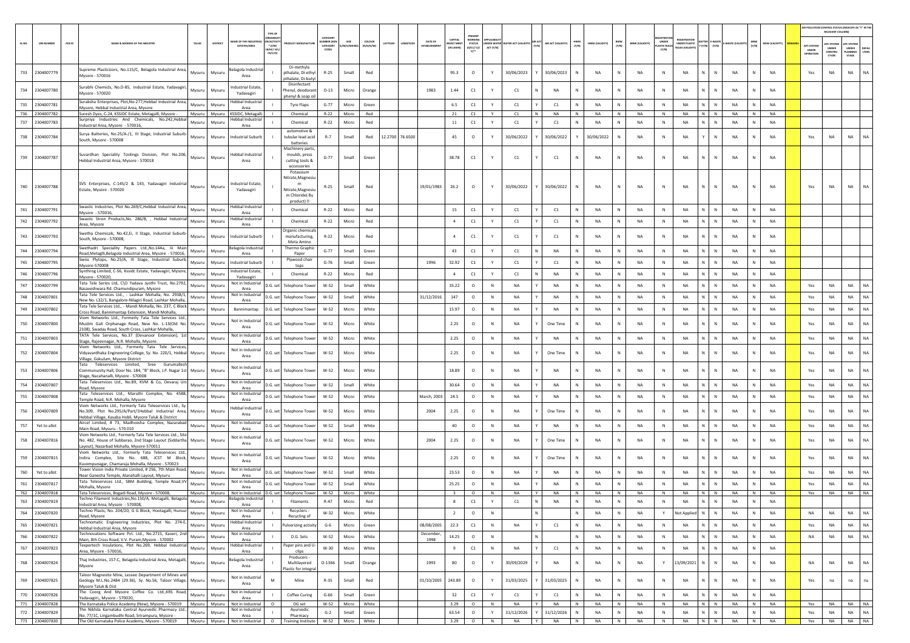|        |                   |                                                                                                                                                                     |        |                  |                                                  |                                            |                                                                                                   |                                                   |                 |                     |                    |                       |                                        |                                             |                              |                      |   |                  |              |               |                     |                       |                                     |                                   |                                        |           |                |                       |                                         | AIR POLLUTION CONTROL STATUS (INDICATE AS "Y" IN THE<br>RELEVANT COLUMN) |                                         |              |
|--------|-------------------|---------------------------------------------------------------------------------------------------------------------------------------------------------------------|--------|------------------|--------------------------------------------------|--------------------------------------------|---------------------------------------------------------------------------------------------------|---------------------------------------------------|-----------------|---------------------|--------------------|-----------------------|----------------------------------------|---------------------------------------------|------------------------------|----------------------|---|------------------|--------------|---------------|---------------------|-----------------------|-------------------------------------|-----------------------------------|----------------------------------------|-----------|----------------|-----------------------|-----------------------------------------|--------------------------------------------------------------------------|-----------------------------------------|--------------|
| SL.NO. | <b>UIN NUMBER</b> | PCB ID<br><b>NAME &amp; ADDRESS OF THE INDUSTR</b>                                                                                                                  | TALUR  | DISTRICT         | AME OF THE INDUST<br><b>ESTATES/AREA</b>         | N/ACTIVI<br>* (I/M/<br>LB/HC/ H/<br>CE/C/O |                                                                                                   | CATEGOR<br><b>UMBER (XG)</b><br>CATEGORY<br>CODE) | SIZE<br>A/S/MIG | coLous<br>(R/O/G/W) | LATITUDE<br>NGITUC | DATE OF<br>ESTABLISHM | CAPITAL<br><b>EST MEN</b><br>IN LAKHS] | <b>WORKIN</b><br>STATUS<br>(0/C1/ C2/<br>Y1 | <b>SER WATE</b><br>ACT (Y/N) | <b>TER ACT (VALI</b> |   | AIR ACT (VALIDIT | HWM<br>(Y/N) | HWM (VALIDITY | <b>BMW</b><br>(Y/N) | <b>BMW (VALIDITY)</b> | UNDER<br><b>ASTIC RULE</b><br>(Y/N) | UNDER PLASTIC<br>IULES (VALIDITY) | <b>ITTER E-WAST</b><br>$(Y/N) = (Y/N)$ |           | (Y/N)          | <b>MSW (VALIDITY)</b> | APC SYSTEI<br><b>UNDER</b><br>IPERATION | <b>PC SYSTEM</b><br><b>UNDER</b><br>CONSTRU<br>CTION                     | APC SYSTER<br>UNDER<br>LANNING<br>STAGE | DEFA<br>LTER |
|        | 733 2304007779    | Supreme Plasticizors, No.115/C, Belagola Industrial Area,<br>Mysore - 570016                                                                                        | Mysuru | Mysuru           | elagola Industria<br>Area                        |                                            | Di-methyla<br>pthalate, Di-ethy<br>pthalate, Di-buty                                              | R-25                                              | Small           | Red                 |                    |                       | 95.3                                   | $\circ$                                     |                              | 30/06/2023           |   | 30/06/2023       | N            | NA            | N                   | NA                    | $\,$ N                              | NA                                | N<br>$\mathbb N$                       | NA        |                | <b>NA</b>             | Yes                                     | NA                                                                       | NA                                      | NA           |
|        | 734 2304007780    | Surabhi Chemicls, No.D-85, Industrial Estate, Yadavagiri,<br>Mysore - 570020                                                                                        | Mysuru | Mysuru           | ndustrial Estate,<br>Yadavagiri                  |                                            | Disinfectant<br>Phenyl, deodorant<br>phenyl & soap oi                                             | $O-13$                                            | Micro           | Orange              |                    | 1983                  | 1.44                                   | C1                                          | Y                            | C1                   |   | NA               | N            | <b>NA</b>     | N                   | NA                    | N                                   | <b>NA</b>                         | $\mathbb N$<br>N                       | <b>NA</b> | N              | <b>NA</b>             |                                         |                                                                          |                                         |              |
| 735    | 2304007781        | Suraksha Enterprises, Plot, No-277, Hebbal Industrial Area,<br>Mysore, Hebbal Industrial Area, Mysore                                                               | Mysuru | Mysuru           | Hebbal Industria<br>Area                         |                                            | Tyre Flaps                                                                                        | $G - 77$                                          | Micro           | Green               |                    |                       | 6.5                                    | C1                                          |                              | C1                   |   | C1               |              | <b>NA</b>     | N                   | NA                    | $\mathbb N$                         | NA                                | N<br>$\mathbb{N}$                      | NA        |                | <b>NA</b>             |                                         |                                                                          |                                         |              |
|        | 736 2304007782    | Suresh Dyes, C-24, KSSIDC Estate, Metagalli, Mysore -                                                                                                               |        | Mysuru Mysuru    | KSSIDC, Metagalli                                |                                            | Chemical                                                                                          | $R - 22$                                          | Micro           | Red                 |                    |                       | 21                                     | C1                                          | Y                            | C1                   | N | <b>NA</b>        | N            | <b>NA</b>     | N                   | <b>NA</b>             | N                                   | <b>NA</b>                         | $N$ $N$                                | <b>NA</b> | N              | <b>NA</b>             |                                         |                                                                          |                                         |              |
| 737    | 2304007783        | Surpriya Industries And Chemicals, No.242, Hebba<br>ndustrial Area, Mysore - 570016,                                                                                | Mysuru | Mysuru           | Hebbal Industrial<br>Area                        |                                            | Chemical                                                                                          | $R-22$                                            | Micro           | Red                 |                    |                       | 11                                     | C1                                          | Y                            | C1                   |   | C1               | N            | <b>NA</b>     | N                   | <b>NA</b>             | N                                   | <b>NA</b>                         | N<br>N                                 | <b>NA</b> |                | NA                    |                                         |                                                                          |                                         |              |
|        | 738 2304007784    | Surya Batteries, No.25/A-/1, III Stage, Industrial Suburb-<br>South, Mysore - 570008                                                                                | Mysuru | Mysuru           | Industrial Suburb                                |                                            | automotive &<br>tubular lead acid<br>batteries                                                    | $R-7$                                             | Small           | Red                 | 12.2700 76.6500    |                       | 45                                     | $\circ$                                     |                              | 30/06/2022           |   | 30/06/2022       |              | 30/06/2022    | N                   | NA                    | $\mathbb{N}$                        | NA                                | ${\sf N}$<br>Y.                        | NA        |                | <b>NA</b>             | Yes                                     | NA                                                                       | NA                                      | <b>NA</b>    |
|        | 739 2304007787    | Suvardhan Speciality Toolings Division, Plot No.206,<br>Hebbal Industrial Area, Mysore - 570018                                                                     | Mysuru | Mysuru           | Hebbal Industrial<br>Area                        |                                            | Machinery parts,<br>moulds, press<br>cutting tools &<br>accessories                               | $G - 77$                                          | Small           | Green               |                    |                       | 38.78                                  | C1                                          |                              | C1                   |   | C1               | Ν            | NA            |                     | NA                    | N                                   | NA                                | N<br>$\mathbb N$                       | NA        |                | NA                    |                                         |                                                                          |                                         |              |
|        | 740 2304007788    | SVS Enterprises, C-145/2 & 143, Yadavagiri Industrial<br>Estate, Mysore - 570020                                                                                    | Mysuru | Mysuru           | ndustrial Estate,<br>Yadavagiri                  |                                            | Potassium<br>Nitrate, Magnesiu<br>m<br>Nitrate, Magnesiu<br>m Chloride(By<br>product) $\boxtimes$ | $R-25$                                            | Small           | Red                 |                    | 19/01/1983            | 26.2                                   | $\circ$                                     | Y                            | 30/06/2022           |   | 30/06/2022       | N            | NA            |                     | NA                    | ${\sf N}$                           | NA                                | N<br>$\mathbb N$                       | NA        |                | NA                    | Yes                                     | NA                                                                       | <b>NA</b>                               | NA           |
| 741    | 2304007791        | Swastic Industries, Plot No.269/C,Hebbal Industrial Area,<br>Mysore - 570016,                                                                                       | Mysuru | Mysuru           | lebbal Industrial<br>Area                        |                                            | Chemical                                                                                          | $R-22$                                            | Micro           | Red                 |                    |                       | 15                                     | C1                                          | Y                            | C1                   |   | C1               | N            | <b>NA</b>     | N                   | <b>NA</b>             | N                                   | <b>NA</b>                         | N.<br>$\mathbb{N}$                     | <b>NA</b> |                | <b>NA</b>             |                                         |                                                                          |                                         |              |
| 742    | 2304007792        | Swastic Stron Products, No. 286/B, , Hebbal Industrial                                                                                                              | Mysuru | Mysuru           | lebbal Industrial                                |                                            | Chemical                                                                                          | $R-22$                                            | Micro           | Red                 |                    |                       | $\overline{4}$                         | C1                                          | Y                            | C1                   |   | C1               | N            | NA            | N                   | NA                    | N                                   | NA                                | N<br>$\mathbb N$                       | NA        | N              | NA                    |                                         |                                                                          |                                         |              |
|        | 743 2304007793    | Area. Mysore<br>Swetha Chemicals, No.42,Ei, II Stage, Industrial Suburb-<br>South, Mysore - 570008.                                                                 | Mysuru | Mysuru           | Area<br><b>Industrial Suburb</b>                 |                                            | Organic chemical<br>manufacturing,                                                                | $R - 22$                                          | Micro           | Red                 |                    |                       | $\mathbf{4}$                           | C1                                          | Y                            | C1                   |   | C1               | N            | <b>NA</b>     | N                   | <b>NA</b>             | N                                   | <b>NA</b>                         | N<br>$\mathbb N$                       | <b>NA</b> | N              | <b>NA</b>             |                                         |                                                                          |                                         |              |
|        | 2304007794        | Swethadri Speciality Papers Ltd., No.144a, Iii Main                                                                                                                 |        |                  | elagola Industria                                |                                            | Meta Amino<br>hermo Graphi                                                                        |                                                   |                 |                     |                    |                       |                                        |                                             |                              |                      |   |                  |              |               | N                   |                       |                                     |                                   | N                                      |           |                |                       |                                         |                                                                          |                                         |              |
| 744    |                   | Road, Metaglli, Belagola Industrial Area, Mysore - 570016,<br>Swiss Plytops, No.25/A, III Stage, Industrial Suburb,                                                 | Mysuru | Mysuru           | Area                                             |                                            | Paper<br>Plywood chair                                                                            | $G - 77$                                          | Small           | Green               |                    |                       | 43                                     | C1                                          | Y                            | C1                   |   | NA               |              | NA            |                     | NA                    | N                                   | NA                                | N                                      | NA        |                | NA                    |                                         |                                                                          |                                         |              |
| 745    | 2304007795        | Mysore-570008                                                                                                                                                       | Mysuru | Mysuru           | ndustrial Suburb                                 |                                            | tops                                                                                              | $G-76$                                            | Small           | Green               |                    | 1996                  | 32.92                                  | C1                                          | Y                            | C1                   |   | C1               | N            | NA            | N                   | NA                    | N                                   | NA                                | N<br>$\mathbb N$                       | NA        | N              | <b>NA</b>             |                                         |                                                                          |                                         |              |
| 746    | 2304007796        | Synthrog Limited, C-56, Kssidc Estate, Yadavagiri, Mysore,<br>Mysore - 570020,                                                                                      | Mysuru | Mysuru           | ndustrial Estate,<br>Yadavagiri                  |                                            | Chemical                                                                                          | $R - 22$                                          | Micro           | Red                 |                    |                       | $\overline{a}$                         | C1                                          |                              | C1                   |   | NA               | Ν            | NA            | N                   | NA                    | N                                   | NA                                | N<br>${\sf N}$                         | NA        |                | NA                    |                                         |                                                                          |                                         |              |
| 747    | 2304007799        | Tata Tele Series Ltd, C\O Yadava Jyothi Trust, No.2792,<br>Basaveshwara Rd. Chamundipuram, Mysore                                                                   | Mysuru | Mysuru           | Not in Industrial<br>Area                        | D.G. set                                   | <b>Telephone Towe</b>                                                                             | W-52                                              | Small           | White               |                    |                       | 35.22                                  | $\circ$                                     | N                            | NA                   |   | <b>NA</b>        | $\mathbb{N}$ | <b>NA</b>     | N                   | NA                    | N                                   | <b>NA</b>                         | N<br>$\mathbb{N}$                      | <b>NA</b> | N              | <b>NA</b>             | Yes                                     | <b>NA</b>                                                                | NA                                      | NA           |
| 748    | 2304007801        | Tata Tele Services Ltd., - Lashkar Mohalla, No. 2938/1,                                                                                                             | Mysuru | Mysuru           | Not in Industrial                                | D.G. set                                   | <b>Telephone Towe</b>                                                                             | $W-52$                                            | Small           | White               |                    | 31/12/2016            | 147                                    | $\circ$                                     | N                            | <b>NA</b>            |   | <b>NA</b>        | N            | <b>NA</b>     | N                   | NA                    | N                                   | <b>NA</b>                         | N.<br>$\mathbb{N}$                     | <b>NA</b> | N              | <b>NA</b>             | Yes                                     | NA                                                                       | <b>NA</b>                               | NA           |
|        |                   | New No. L32/1, Bangalore-Nilagiri Road, Lashkar Mohalla,<br>Tata Tele Services Ltd., - Mandi Mohalla, No. 237, C Block                                              |        |                  | Area                                             |                                            |                                                                                                   |                                                   |                 |                     |                    |                       |                                        |                                             |                              |                      |   |                  |              |               |                     |                       |                                     |                                   |                                        |           |                |                       |                                         |                                                                          |                                         |              |
| 749    | 2304007802        | Cross Road, Bannimantap Extension, Mandi Mohalla.                                                                                                                   | Mysuru | Mysuru           | Bannimantap                                      | D.G. set                                   | <b>Felephone Towe</b>                                                                             | W-52                                              | Micro           | White               |                    |                       | 15.97                                  | $\circ$                                     | N                            | NA                   |   | NA               | N            | <b>NA</b>     | N                   | NA                    | N                                   | <b>NA</b>                         | N.<br>$\mathbb N$                      | NA        | - N            | NA                    | Yes                                     | <b>NA</b>                                                                | <b>NA</b>                               | NA           |
| 750    | 2304007800        | Viom Networks Ltd., Formerly Tata Tele Services Ltd.<br>Muslim Gali Orphanage Road, New No. L-13(Old No.<br>2108), Swaday Road, South Cross, Lashkar Mohalla,       | Mysuru | Mysuru           | Not in Industria<br>Area                         | D.G. set                                   | <b>Telephone Tower</b>                                                                            | W-52                                              | Micro           | White               |                    |                       | 2.25                                   | $\circ$                                     | N                            | <b>NA</b>            |   | One Time         | N            | <b>NA</b>     | N                   | NA                    | N                                   | <b>NA</b>                         | $\mathbb{N}$<br>N                      | <b>NA</b> |                | <b>NA</b>             | Yes                                     | <b>NA</b>                                                                | NA                                      | <b>NA</b>    |
| 751    | 2304007803        | TATA Tele Services, No.37 (Devanoor Extension), 1st<br>Stage, Rajeevnagar, N.R. Mohalla, Mysore.                                                                    | Mysuru | Mysuru           | Not in Industrial<br>Area                        | D.G. set                                   | <b>Telephone Towe</b>                                                                             | W-52                                              | Micro           | White               |                    |                       | 2.25                                   | $\circ$                                     | N                            | NA                   |   | NA               | N            | NA            | N                   | NA                    | N                                   | <b>NA</b>                         | N<br>$\mathbb N$                       | NA        |                | NA                    | Yes                                     | NA                                                                       | <b>NA</b>                               | NA           |
| 752    | 2304007804        | Viom Networks Ltd., Formerly Tata Tele Services<br>Vidyavardhaka Engineering College, Sy. No. 220/1, Hebbal Mysuru<br>Village, Gokulum, Mysore District             |        | Mysuru           | Not in Industria<br>Area                         | D.G. set                                   | <b>Telephone Towe</b>                                                                             | W-52                                              | Micro           | White               |                    |                       | 2.25                                   | $\circ$                                     | N                            | NA                   |   | One Time         | N            | <b>NA</b>     | N                   | <b>NA</b>             | N                                   | <b>NA</b>                         | N.<br>N                                | <b>NA</b> | N              | <b>NA</b>             | Yes                                     | NA                                                                       | <b>NA</b>                               | <b>NA</b>    |
| 753    | 2304007806        | Tata Teleservices Limited,<br>Sree<br>Gurumalles<br>Commununity Hall, Door No. 184, "B" Block, J.P. Nagar 1st Mysuru<br>Stage, Nacahanalli, Mysore - 570008         |        | Mysuru           | Not in Industrial<br>Area                        | D.G. set                                   | <b>Telephone Towe</b>                                                                             | W-52                                              | Micro           | White               |                    |                       | 18.89                                  | $\circ$                                     | N                            | <b>NA</b>            |   | <b>NA</b>        | N            | <b>NA</b>     | N                   | NA                    | N                                   | NA                                | N.<br>N                                | <b>NA</b> |                | <b>NA</b>             | Yes                                     | <b>NA</b>                                                                | <b>NA</b>                               | NA           |
| 754    | 2304007807        | Tata Teleservices Ltd., No.89, KVM & Co, Devaraj Urs                                                                                                                | Mysuru | Mysuru           | Not in Industrial                                | D.G. set                                   | <b>Telephone Tower</b>                                                                            | $W-52$                                            | Small           | White               |                    |                       | 30.64                                  | $\circ$                                     | N                            | <b>NA</b>            |   | <b>NA</b>        | N            | <b>NA</b>     | N                   | <b>NA</b>             | N                                   | <b>NA</b>                         | N<br>$\mathbb N$                       | <b>NA</b> | N              | <b>NA</b>             | Yes                                     | NA                                                                       | <b>NA</b>                               | NA           |
| 755    | 2304007808        | Road, Mysore<br>Tata Teleservices Ltd., Maruthi Complex, No. 4588,                                                                                                  |        |                  | Area<br>Not in Industrial                        |                                            |                                                                                                   |                                                   |                 | White               |                    |                       | 24.5                                   | $\circ$                                     | N                            | NA                   |   | NA               | N            | NA            | N                   | NA                    | N                                   | <b>NA</b>                         | N<br>${\sf N}$                         | NA        |                | <b>NA</b>             |                                         | NA                                                                       | <b>NA</b>                               | <b>NA</b>    |
| 756    | 2304007809        | Temple Road, N.R. Mohalla, Mysore<br>Viom Networks Ltd., Formerly Tata Teleservices Ltd., Sy<br>No.309, Plot No.295/A/Part/1Hebbal Industrial Area, Mysuru          | Mysuru | Mysuru<br>Mysuru | Area<br>lebbal Industria                         | D.G. set<br>D.G. set                       | <b>Telephone Towe</b><br><b>Telephone Towe</b>                                                    | W-52<br>W-52                                      | Micro<br>Micro  | White               |                    | March, 2003<br>2004   | 2.25                                   | $\circ$                                     | N                            | NA                   |   | One Time         | N            | <b>NA</b>     | N                   | NA                    | N                                   | NA                                | N<br>N                                 | NA        |                | <b>NA</b>             | Yes<br>Yes                              | <b>NA</b>                                                                | NA                                      | NA           |
|        |                   | Hebbal Village, Kasaba Hobli, Mysore Taluk & District<br>Aircel Limited, # 73, Madhvesha Complex, Nazarabad                                                         |        |                  | Area<br>Not in Industrial                        |                                            |                                                                                                   |                                                   |                 |                     |                    |                       |                                        |                                             |                              |                      |   |                  |              |               |                     |                       |                                     |                                   |                                        |           |                |                       |                                         |                                                                          |                                         |              |
| 757    | Yet to allot      | Main Road, Mysuru - 570 010<br>Viom Networks Ltd., Formerly Tata Tele Services Ltd., Site                                                                           | Mysuru | Mysuru           | Area<br>Not in Industrial                        | D.G. set                                   | <b>Telephone Towe</b>                                                                             | W-52                                              | Small           | White               |                    |                       | 40                                     | $\circ$                                     | N                            | NA                   |   | NA               | Ν            | <b>NA</b>     | $\mathsf{N}$        | NA                    | N                                   | <b>NA</b>                         | N<br>$\mathbb N$                       | NA        | N              | NA                    | Yes                                     | <b>NA</b>                                                                | <b>NA</b>                               | NA           |
| 758    | 2304007816        | No. 482, House of Subbarao, 2nd Stage Layout (Siddartha Mysuru<br>Layout), Nazarbad Mohalla, Mysore-570011<br>Viom Networks Ltd., Formerly Tata Teleservices Ltd.,  |        | Mysuru           | Area                                             | D.G. set                                   | <b>Telephone Tower</b>                                                                            | W-52                                              | Micro           | White               |                    | 2004                  | 2.25                                   | $\circ$                                     | N                            | <b>NA</b>            |   | One Time         | N            | <b>NA</b>     | N                   | NA                    | N                                   | <b>NA</b>                         | $\mathbb N$<br>N                       | <b>NA</b> |                | <b>NA</b>             | Yes                                     | <b>NA</b>                                                                | <b>NA</b>                               | NA           |
| 759    | 2304007815        | Indira Complex, Site No. 688, JCST M Block, Mysuru<br>Kuvempunagar, Chamaraja Mohalla, Mysore - 570023<br>Tower Vision India Private Limited, # 256, 7th Main Road, |        | Mysuru           | Not in Industrial<br>Area<br>Not in Industrial   | D.G. set                                   | <b>Telephone Tower</b>                                                                            | $W-52$                                            | Micro           | White               |                    |                       | 2.25                                   | $\circ$                                     | N                            | NA                   |   | One Time         | N            | <b>NA</b>     | N                   | <b>NA</b>             | N                                   | <b>NA</b>                         | N<br>N                                 | <b>NA</b> |                | <b>NA</b>             | Yes                                     | <b>NA</b>                                                                | <b>NA</b>                               | NA           |
| 760    | Yet to allot      | Near Ganesha Temple, Alanahalli Layout, Mysuru                                                                                                                      | Mysuru | Mysuru           | Area                                             | D.G. set                                   | <b>Telephone Tower</b>                                                                            | $W-52$                                            | Small           | White               |                    |                       | 23.53                                  | $\circ$                                     | N                            | <b>NA</b>            |   | <b>NA</b>        | N            | <b>NA</b>     | N                   | <b>NA</b>             | N                                   | <b>NA</b>                         | N<br>N                                 | <b>NA</b> | N              | <b>NA</b>             | Yes                                     | NA                                                                       | <b>NA</b>                               | NA           |
| 761    | 2304007817        | Tata Teleservices Ltd., SBM Building, Temple Road, VV<br>Mohalla. Mysore                                                                                            | Mysuru | Mysuru           | Not in Industria<br>Area                         | D.G. set                                   | Telephone Towe                                                                                    | $W-52$                                            | Small           | White               |                    |                       | 25.25                                  | $\circ$                                     | N                            | NA                   |   | NA               |              | <b>NA</b>     | N                   | NA                    | N                                   | <b>NA</b>                         | N<br>N                                 | NA        |                | <b>NA</b>             | Yes                                     | <b>NA</b>                                                                | NA                                      | NA           |
| 762    | 2304007818        | Tata Teleservices, Bogadi Road, Mysore - 570008,<br>Techno Filament Industries, No.150/A, Metagalli, Belagola                                                       | Mysuru | Mysuru           | Not in Industrial D.G. set<br>elagola Industrial |                                            | <b>Telephone Tower</b>                                                                            | $W-52$                                            | Micro           | White               |                    |                       | $\overline{\mathbf{3}}$                | $\circ$                                     | N                            | <b>NA</b>            | Y | NA               | N            | <b>NA</b>     | N                   | <b>NA</b>             | N                                   | <b>NA</b>                         | N<br>N                                 | <b>NA</b> | N              | <b>NA</b>             | Yes                                     | NA                                                                       | <b>NA</b>                               | NA           |
| 763    | 2304007819        | Industrial Area, Mysore - 570008                                                                                                                                    | Mysuru | Mysuru           | Area                                             | - 1 -                                      | Filaments                                                                                         | $R-47$                                            | Micro           | Red                 |                    |                       | 8                                      | C1                                          | Y                            | C1                   | N | <b>NA</b>        | N            | <b>NA</b>     | N                   | <b>NA</b>             | N                                   | <b>NA</b>                         | N<br>${\sf N}$                         | NA        |                | <b>NA</b>             |                                         |                                                                          |                                         |              |
| 764    | 2304007820        | Techno Plasts, No. 204/20, G G Block, Hootagalli, Hunsur<br>Road, Mysore                                                                                            | Mysuru | Mysuru           | Not in Industrial<br>Area                        |                                            | Recyclers<br>Recycling of                                                                         | W-32                                              | Micro           | White               |                    |                       | $\overline{2}$                         | $\circ$                                     | N                            |                      |   |                  | N            | NA            | $\mathsf{N}$        | NA                    | Y                                   | Not Applied                       | $\mathbb{N}$<br>$\mathbb{N}$           | NA        | $\mathbb N$    | <b>NA</b>             | NA                                      | NA                                                                       | <b>NA</b>                               | <b>NA</b>    |
| 765    | 2304007821        | Technomatic Engineering Industries, Plot No. 274-E,<br>Hebbal Industrial Area, Mysore                                                                               | Mysuru | Mysuru           | Hebbal Industrial<br>Area                        |                                            | <b>Pulverizing activity</b>                                                                       | $G-6$                                             | Micro           | Green               |                    | 08/08/2005            | 22.3                                   | C1                                          | $\mathbb N$                  | NA                   | Y | C1               | N            | NA            | $\,N\,$             | NA                    | $\,$ N                              | NA                                | $N$ $N$                                | NA        | N              | <b>NA</b>             | Yes                                     | NA                                                                       | NA                                      | <b>NA</b>    |
| 766    | 2304007822        | Technovations Software Pvt. Ltd., No.2715, Kaveri, 2nd                                                                                                              | Mysuru | Mysuru           | Not in Industrial                                |                                            | D.G. Sets                                                                                         | $W-52$                                            | Micro           | White               |                    | December.             | 14.25                                  | $\circ$                                     | N                            |                      |   |                  | N            | <b>NA</b>     | N                   | NA                    | $\,$ N                              | NA                                | N<br>${\sf N}$                         | <b>NA</b> |                | NA                    | NA                                      | NA                                                                       | <b>NA</b>                               | <b>NA</b>    |
| 767    | 2304007823        | Main, 8th Cross Road, V.V. Puram, Mysore - 570002<br>Texpertech Insulations, Plot No.269, Hebbal Industrial                                                         | Mysuru | Mysuru           | Area<br>Hebbal Industria                         |                                            | Paper pins and U                                                                                  | $W-30$                                            | Micro           | White               |                    | 1998                  | 9                                      | C1                                          | N                            | NA                   |   | C1               | $\mathbb{N}$ | NA            | N                   | NA                    | $\,$ N                              | NA                                | N<br>$\mathbb N$                       | NA        | N              | NA                    |                                         |                                                                          |                                         |              |
| 768    | 2304007824        | Area, Mysore - 570016,<br>Thaj Industries, 157-C, Belagola Industrial Area, Metagalli,                                                                              | Mysuru | Mysuru           | Area<br>elagola Industrial                       |                                            | clips<br>Producers -<br>Multilayered                                                              | $O-1366$                                          | Small           | Orange              |                    | 1993                  | 80                                     | $\circ$                                     | Y                            | 30/09/2029           |   | <b>NA</b>        | N            | <b>NA</b>     | N                   | NA                    | Y                                   | 13/09/2021                        | N<br>${\sf N}$                         | <b>NA</b> | N              | NA                    | <b>NA</b>                               | NA                                                                       | <b>NA</b>                               | NA           |
| 769    | 2304007825        | Mysore<br>Taloor Magnesite Mine, Lessee Department of Mines and<br>Geology M.L.No.2484 (29.36), Sy. No.56, Taloor Village, Mysuru                                   |        | Mysuru           | Area<br>Not in Industrial                        | M                                          | Plastic for integra<br>Mine                                                                       | $R-35$                                            | Small           | Red                 |                    | 01/10/2005            | 243.89                                 | $\circ$                                     | Y                            | 31/03/2025           |   | 31/03/2025       | $\mathbb{N}$ | <b>NA</b>     | N                   | NA                    | $\,$ N                              | NA                                | N<br>$\mathbb N$                       | <b>NA</b> | N              | <b>NA</b>             | Yes                                     | na                                                                       | na                                      | na           |
| 770    | 2304007826        | Mysore Taluk & Dist<br>The Coorg And Mysore Coffee Co. Ltd., KRS Road,                                                                                              | Mysuru | Mysuru           | Area<br>Not in Industrial                        |                                            | Coffee Curing                                                                                     | $G-66$                                            | Small           | Green               |                    |                       | 32                                     | C1                                          | Y                            | C1                   |   | C1               | N            | NA            | N                   | NA                    | $\,$ N                              | NA                                | N<br>${\sf N}$                         | NA        |                | <b>NA</b>             |                                         |                                                                          |                                         |              |
|        | 771 2304007828    | Yadavagiri,, Mysore - 570020,<br>The Karnataka Police Academy (New), Mysore - 570019    Mysuru    Mysuru    Not in Industrial                                       |        |                  | Area                                             | $\circ$                                    | DG set                                                                                            | $W-52$                                            | Micro White     |                     |                    |                       | 3.29                                   | $\circ$                                     | N                            | <b>NA</b>            | Y | <b>NA</b>        | N            | <b>NA</b>     | N                   | <b>NA</b>             | N                                   | <b>NA</b>                         | $N$ $N$                                | <b>NA</b> | $\overline{N}$ | <b>NA</b>             | Yes                                     | <b>NA</b>                                                                | NA NA                                   |              |
| 772    | 2304007829        | The Nikhila Karnataka Central Ayurvedic Pharmacy Ltd.,<br>No. 77/1C, Lingambudhi Road, Srirampura, Mysore -                                                         | Mysuru | Mysuru           | Not in Industrial<br>Area                        |                                            | Ayurvedic<br>Pharmacy                                                                             | $G-2$                                             | Small           | Green               |                    |                       | 63.54                                  | $\circ$                                     | Y                            | 31/12/2026           | Y | 31/12/2026       | N            | NA            | N                   | NA                    | $\,$ N                              | NA                                | N<br>$\mathbb N$                       | NA        | N              | NA                    | Yes                                     | NA                                                                       | <b>NA</b>                               | <b>NA</b>    |
|        | 773 2304007830    | The Old Karnataka Police Academy, Mysore - 570019   Mysuru   Mysuru   Not in Industrial   0   Training Institute   W-52   Micro   White                             |        |                  |                                                  |                                            |                                                                                                   |                                                   |                 |                     |                    |                       | 3.29                                   | $\circ$                                     | N                            | <b>NA</b>            | Y | <b>NA</b>        | N            | <b>NA</b>     | N                   | NA                    | N                                   | <b>NA</b>                         | $N$ $N$                                | <b>NA</b> | N              | <b>NA</b>             | Yes                                     | NA NA NA                                                                 |                                         |              |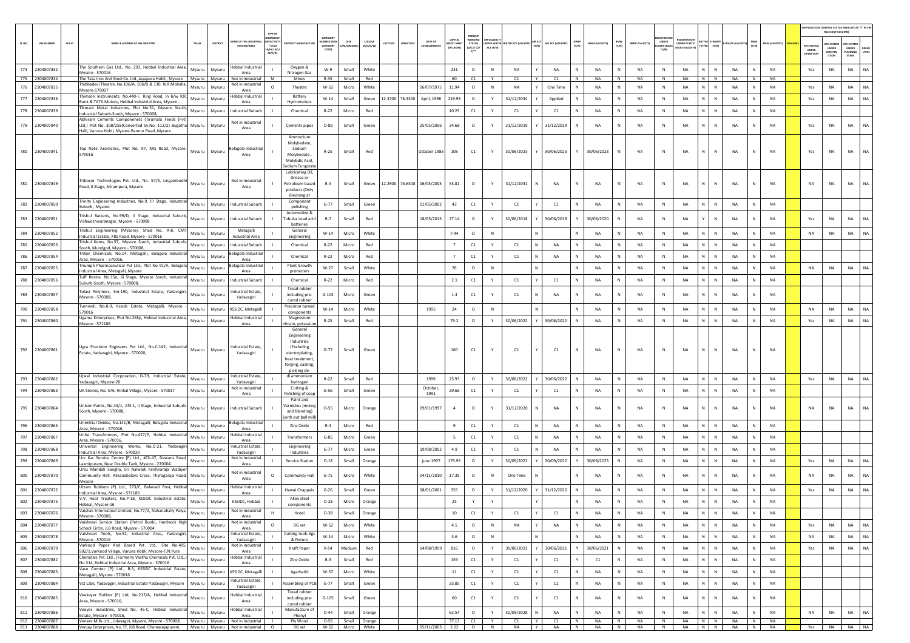|        |                                  |                                                                                                                                                                                             |        |          |                                     | TYPE OF                                       |                                                                                                                            |                                                              |                                  |                   |                            |                   |                                        |                                |             |                                 |                             |              |                 |              |                       |                            |                      |                              |                           |                        |                                      | <b>UR POLLUTION CONTROL STATUS (INDICATE AS "Y" IN T</b><br>RELEVANT COLUMN) |                                        |           |
|--------|----------------------------------|---------------------------------------------------------------------------------------------------------------------------------------------------------------------------------------------|--------|----------|-------------------------------------|-----------------------------------------------|----------------------------------------------------------------------------------------------------------------------------|--------------------------------------------------------------|----------------------------------|-------------------|----------------------------|-------------------|----------------------------------------|--------------------------------|-------------|---------------------------------|-----------------------------|--------------|-----------------|--------------|-----------------------|----------------------------|----------------------|------------------------------|---------------------------|------------------------|--------------------------------------|------------------------------------------------------------------------------|----------------------------------------|-----------|
| SL.NO. | <b>UIN NUMBER</b>                | PCB ID<br>NAME & ADDRESS OF THE INDUSTR'                                                                                                                                                    | TALUK  | DISTRICT | ME OF THE INDUS                     | N/ACTIVI<br>$*(1/M)$<br>LB/HC/ H/L<br>CE/C/OI | <b>OUCT MANUFACTUR</b>                                                                                                     | <b>ATFOOR</b><br><b>IMBER (XGI</b><br><b>ATEGOR</b><br>CODE) | SIZE                             | COLOUR<br>R/0/G/W | LATITUDE<br>LONGITUDE      | <b>DATE OF</b>    | CAPITAL<br><b>WEST MEN</b><br>IN LAKHS | <b>STATUS</b><br>0/01/02<br>n" | ACT (Y/N)   | NDER WATER WATER ACT (VALIDITY) | AIR ACT (VALIDITY)<br>(V/N) | HWM<br>(Y/N) | HWM (VALIDITY)  | BMW<br>(Y/N) | <b>BMW (VALIDITY)</b> | UNDER<br>STIC RUL<br>(Y/N) | <b>UNDER PLASTIC</b> | E-WAST<br>$(Y/N) = (Y/N)$    | WASTE (VALI)<br>(Y/N)     | MSW (VALIDITY          | <b>IPC SYSTE</b><br>UNDER<br>PERATIO | C SYSTER<br>UNDER<br>CONSTRU<br>crion                                        | PC SYSTE<br>UNDER<br>PLANNING<br>STAGE | LTERS     |
|        | 774 2304007832                   | The Southern Gas Ltd., No. 293, Hebbal Industrial Area,                                                                                                                                     | Mysuru | Mysuru   | Hebbal Industria                    |                                               | Oxygen &                                                                                                                   | W-9                                                          | Small                            | White             |                            |                   | 231                                    | $\circ$                        | N           | NA                              | NA                          | N            | <b>NA</b>       | N            | NA                    | $\,$ N                     | NA                   | N<br>N                       | <b>NA</b><br>N            | <b>NA</b>              | Yes                                  | NA                                                                           | <b>NA</b>                              | NA        |
| 775    | 2304007834                       | Mysore - 570016<br>The Tata Iron And Steel Co. Ltd., Jayapura Hobli,, Mysore                                                                                                                | Mysuru | Mysuru   | Area<br>Not in Industrial           | M                                             | Nitrogen Gas<br>Mines                                                                                                      | R-35                                                         | Small                            | Red               |                            |                   | 60                                     | C1                             |             | C1                              | C1                          | N            | NA              | N            | NA                    | N                          | NA                   | N<br>N                       | NA<br>N                   | NA                     |                                      |                                                                              |                                        |           |
| 776    | 2304007835                       | hibbadevi Theatre, No.106/A, 106/B & 130, N.R.Mohalla,<br>Mysore-570007                                                                                                                     | Mysuru | Mysuru   | <b>Not in Industrial</b><br>Area    | $\Omega$                                      | Theatre                                                                                                                    | $W-52$                                                       | Micro                            | White             |                            | 06/07/1975        | 11.94                                  | $\circ$                        | N           | NA                              | One Time                    |              | <b>NA</b>       | N            | NA                    | N                          | <b>NA</b>            | N<br>${\sf N}$               | NA                        | NA                     | Yes                                  | <b>NA</b>                                                                    | <b>NA</b>                              | <b>NA</b> |
| 777    | 2304007836                       | Thimson Instruments, No.440-F. Ring Road, In b/w IOC<br>Bunk & TATA Motors, Hebbal Industrial Area, Mysore -                                                                                | Mysuru | Mysuru   | lebbal Industria<br>Area            |                                               | Battery<br>Hydrometers                                                                                                     | W-14                                                         | Small                            | Green             | 12.3700 76.3300            | April, 1998       | 219.93                                 | $\circ$                        | Y           | 31/12/2034                      | Applied                     | N            | NA              | N            | NA                    | N                          | NA                   | N  <br>$\mathbb N$           | NA<br>N                   | NA                     | Yes                                  | NA                                                                           | <b>NA</b>                              | NA        |
| 778    | 2304007839                       | Tikmani Metal Industries, Plot No.51, Mysore South,<br>ndustrial Suburb-South, Mysore - 570008                                                                                              | Mysuru | Mysuru   | ndustrial Suburb                    |                                               | Chemical                                                                                                                   | $R - 22$                                                     | Micro                            | Red               |                            |                   | 10.25                                  | C1                             |             | C1                              | C1                          | Ν            | NA              | N            | NA                    | N                          | NA                   | N<br>${\sf N}$               | NA                        | NA                     |                                      |                                                                              |                                        |           |
| 779    | 2304007840                       | Abhiram Cements Componenets (Tirumala Feeds (Pvt<br>Ltd,) Plot No. 308/258(Converted Sy.No. 112/2) Bugatha<br>Halli, Varuna Hobli, Mysore-Bannur Road, Mysore                               | Mysuru | Mysuru   | Not in Industrial<br>Area           |                                               | Cements pipes                                                                                                              | $O-89$                                                       | Small                            | Green             |                            | 25/05/2006        | 34.68                                  | $\circ$                        |             | 31/12/2019                      | 31/12/2019                  | N            | <b>NA</b>       |              | NA                    | N                          | NA                   | N<br>N                       | NA                        | <b>NA</b>              | Yes                                  | NA                                                                           | NA                                     | NA        |
| 780    | 2304007841                       | Top Note Aromatics, Plot No. 97, KRS Road, Mysore-<br>570016                                                                                                                                | Mysuru | Mysuru   | elagola Industria<br>Area           |                                               | Ammonium<br>Molybedate,<br>Sodium<br>Molybedate,<br>Molybdic Acid<br>odium Tungstate                                       | $R-25$                                                       | Small                            | Red               |                            | October 1983      | 108                                    | C1                             |             | 30/06/2023                      | 30/06/2023                  |              | 30/06/2023      |              | NA                    | N                          | <b>NA</b>            | N<br>N                       | <b>NA</b>                 | <b>NA</b>              | Yes                                  | N <sub>A</sub>                                                               | <b>NA</b>                              | NA        |
| 781    | 2304007849                       | Tribocor Technologies Pvt. Ltd., No. 57/3, Lingambudhi<br>Road, II Stage, Srirampura, Mysore                                                                                                | Mysuru | Mysuru   | Not in Industrial<br>Area           |                                               | Lubricating Oil,<br>Grease or<br>Petroleum based<br>products (Only<br><b>Bledning at</b>                                   | $R-4$                                                        | Small                            | Green             | 12.2900 76.6300 06/05/2005 |                   | 53.81                                  | $\circ$                        |             | 31/12/2031                      | NA<br>N                     | N            | NA              |              | NA                    | N                          | NA                   | N<br>N                       | NA                        | <b>NA</b>              | NA                                   | NA                                                                           | <b>NA</b>                              | <b>NA</b> |
| 782    | 2304007850                       | Trinity Engineering Industries, No.9, III Stage, Industrial<br>Suburb, Mysore                                                                                                               | Mysuru | Mysuru   | Industrial Suburb                   |                                               | Component<br>polishing                                                                                                     | $G-77$                                                       | Small                            | Green             |                            | 01/05/2002        | 43                                     | C1                             | Y           | C1                              | C1                          |              | <b>NA</b>       | N            | NA                    | N                          | NA                   | N<br>$\mathbb N$             | <b>NA</b>                 | NA                     |                                      |                                                                              |                                        |           |
| 783    | 2304007851                       | Trishul Batteris, No.99/D, II Stage, Industrial Suburb,<br>Vishweshwaranagar, Mysore - 570008                                                                                               | Mysuru | Mysuru   | Industrial Suburb                   |                                               | Automotive &<br>Tubular Lead acid<br>batteries                                                                             | $R-7$                                                        | Small                            | Red               |                            | 18/05/2013        | 27.14                                  | $\circ$                        |             | 30/06/2018                      | 30/06/2018                  |              | 30/06/2020      | N            | NA                    | N                          | NA                   | $\mathbb N$<br>Y             | NA                        | <b>NA</b>              | Yes                                  | NA                                                                           | NA                                     | NA        |
| 784    | 2304007852                       | Trishul Engineering (Mysore), Shed No. A-8, CMT<br>Industrial Estate, KRS Road, Mysore - 570016                                                                                             | Mysuru | Mysuru   | Metagalli<br><b>Industrial Area</b> |                                               | General<br>Engineering                                                                                                     | $W-14$                                                       | Micro                            | White             |                            |                   | 7.44                                   | $\circ$                        | $\mathbb N$ |                                 |                             |              | NA              | N            | NA                    | $\mathbb N$                | NA                   | N<br>$\mathbb{N}$            | NA                        | NA                     | NA                                   | NA                                                                           | <b>NA</b>                              | NA        |
| 785    | 2304007853                       | Trishul Kems, No.57, Mysore South, Industrial Suburl<br>South, Mundgod, Mysore - 570008,                                                                                                    | Mysuru | Mysuru   | Industrial Suburb                   |                                               | Chemical                                                                                                                   | R-22                                                         | Micro                            | Red               |                            |                   | $\overline{7}$                         | C1                             | Y           | C1                              | N<br>NA                     | N            | NA              | N            | NA                    | N                          | NA                   | N<br>N                       | NA<br>N                   | NA                     |                                      |                                                                              |                                        |           |
| 786    | 2304007854                       | Friton Chemicals, No.14, Metagalli, Belagola Industrial<br>Area, Mysore - 570016                                                                                                            | Mysuru | Mysuru   | elagola Industria<br>Area           |                                               | Chemical                                                                                                                   | $R-22$                                                       | Micro                            | Red               |                            |                   | $\overline{7}$                         | C1                             | Y           | C1                              | NA                          | N            | <b>NA</b>       | N            | NA                    | N                          | NA                   | N.<br>N                      | NA                        | NA                     |                                      |                                                                              |                                        |           |
| 787    | 2304007855                       | Triumph Pharmaceutical Pvt Ltd., Plot No 91/A, Belagola<br>Industrial Area, Metagalli, Mysore                                                                                               | Mysuru | Mysuru   | elagola Industrial<br>Area          |                                               | Plant Growth<br>promoters                                                                                                  | W-27                                                         | Small                            | White             |                            |                   | 76                                     | $\circ$                        | N           |                                 | N                           | N            | <b>NA</b>       | N            | NA                    | $\mathbb{N}$               | <b>NA</b>            | N<br>$\mathbb{N}$            | <b>NA</b>                 | <b>NA</b>              | <b>NA</b>                            | <b>NA</b>                                                                    | NA                                     | <b>NA</b> |
| 788    | 2304007856                       | Tuff Resins, No.15e, Iii Stage, Mysore South, Industria<br>Suburb-South, Mysore - 570008                                                                                                    | Mysuru | Mysuru   | Industrial Suburb                   |                                               | Chemical                                                                                                                   | $R-22$                                                       | Micro                            | Red               |                            |                   | 2.1                                    | C1                             | Y           | C1                              | C1                          | N            | <b>NA</b>       | N            | <b>NA</b>             | N                          | <b>NA</b>            | N<br>$\mathbb{N}$            | <b>NA</b>                 | <b>NA</b>              |                                      |                                                                              |                                        |           |
| 789    | 2304007857                       | Tulasi Polymers, Sm-190, Industrial Estate, Yadavagiri<br>Mysore - 570008,                                                                                                                  | Mysuru | Mysuru   | ndustrial Estate<br>Yadavagiri      |                                               | Tread rubber<br>including pre-<br>cured rubber                                                                             | $G-105$                                                      | Micro                            | Green             |                            |                   | $1.4\,$                                | $\mathsf{C1}$                  |             | C1                              | <b>NA</b>                   | N            | <b>NA</b>       | N            | <b>NA</b>             | N                          | <b>NA</b>            | N<br>$\mathbb{N}$            | <b>NA</b>                 | <b>NA</b>              |                                      |                                                                              |                                        |           |
| 790    | 2304007858                       | Turnwell, No.8-9, Kssidc Estate, Metagalli, Mysore<br>570016                                                                                                                                | Mysuru | Mysuru   | KSSIDC, Metagalli                   |                                               | Precision turned<br>components                                                                                             | W-14                                                         | Micro                            | White             |                            | 1995              | 24                                     | $\circ$                        | N           |                                 |                             | N            | <b>NA</b>       | N            | NA                    | N                          | <b>NA</b>            | $\mathbb{N}$<br>N            | NA                        | <b>NA</b>              | <b>NA</b>                            | NA                                                                           | <b>NA</b>                              | NA        |
| 791    | 2304007860                       | Ugama Enterprises, Plot No.265p, Hebbal Industrial Area,<br>Mysore - 571186                                                                                                                 | Mysuru | Mysuru   | lebbal Industria<br>Area            |                                               | Magnesium<br>itrate, potassiu                                                                                              | R-25                                                         | Small                            | Red               |                            |                   | 79.2                                   | $\circ$                        | Y           | 30/06/2022                      | 30/06/202                   |              | <b>NA</b>       | N            | NA                    | N                          | NA                   | N.<br>$\mathbb{N}$           | NA                        | NA                     | Yes                                  | NA                                                                           | <b>NA</b>                              | <b>NA</b> |
|        | 792 2304007861                   | Ugra Precision Engineers Pvt Ltd., No.C-142, Industrial<br>Estate, Yadavagiri, Mysore - 570020,                                                                                             | Mysuru | Mysuru   | ndustrial Estate<br>Yadavagiri      |                                               | General<br>Engineering<br>Industries<br>(Excluding<br>electroplating<br>heat treatment<br>forging, casting<br>pickling de- | $G-77$                                                       | Small                            | Green             |                            |                   | 160                                    | C1                             |             | C1                              | C1                          | N            | NA              | <b>N</b>     | NA                    | N                          | NA                   | N<br>$\mathbb N$             | NA                        | <b>NA</b>              |                                      |                                                                              |                                        |           |
| 793    | 2304007862                       | Ujwal Industrial Corporation, D-79, Industrial Estate,<br>Yadavagiri, Mysore-20                                                                                                             | Mysuru | Mysuru   | ndustrial Estate,<br>Yadavagiri     |                                               | di ammonium<br>hydrogen                                                                                                    | R-22                                                         | Small                            | Red               |                            | 1999              | 25.93                                  | $\circ$                        |             | 30/06/2022                      | 30/06/2022                  |              | NA              | N            | NA                    | N                          | NA                   | N.<br>N                      | NA                        | NA                     | Yes                                  | <b>NA</b>                                                                    | NA                                     | NA        |
| 794    | 2304007863                       | UK Stones, No. 576, Hinkal Village, Mysore - 570017                                                                                                                                         | Mysuru | Mysuru   | Not in Industria<br>Area            |                                               | Cutting &<br>Polishing of soap<br>Paint and                                                                                | $G-56$                                                       | Small                            | Green             |                            | October<br>1991   | 29.66                                  | C1                             | Y           | C1                              | C1                          | N            | NA              | N            | NA                    | N                          | NA                   | N<br>${\sf N}$               | NA<br>N                   | <b>NA</b>              |                                      |                                                                              |                                        |           |
| 795    | 2304007864                       | Jnicon Paints, No.44/1, Af3-1, Ii Stage, Industrial Suburb-<br>South, Mysore - 570008,                                                                                                      | Mysuru | Mysuru   | Industrial Suburt                   |                                               | arnishes (mixing<br>and blending)<br>with out ball mill                                                                    | $O - 55$                                                     | Micro                            | Orange            |                            | 09/01/1997        | $\overline{a}$                         | $\circ$                        |             | 31/12/2020                      | NA                          | N            | <b>NA</b>       | N            | NA                    | N                          | <b>NA</b>            | $\mathbf{N}$<br>$\mathbb{N}$ | NA                        | <b>NA</b>              | <b>NA</b>                            | NA                                                                           | NA                                     | <b>NA</b> |
| 796    | 2304007865                       | Unimittal Oxides, No.141/B, Metagalli, Belagola Industrial<br>Area, Mysore - 570016,                                                                                                        | Mysuru | Mysuru   | elagola Industrial<br>Area          |                                               | Zinc Oxide                                                                                                                 | $R-3$                                                        | Micro                            | Red               |                            |                   | 9                                      | C1                             | Y           | C1                              | <b>NA</b>                   | N            | <b>NA</b>       | N            | NA                    | N                          | <b>NA</b>            | $\mathbb{N}$<br>N            | <b>NA</b>                 | <b>NA</b>              |                                      |                                                                              |                                        |           |
| 797    | 2304007867                       | Unite Transformers, Plot No.427/P, Hebbal Industria<br>Area, Mysore - 570016                                                                                                                | Mysuru | Mysuru   | ebbal Industrial<br>Area            |                                               | Transformers                                                                                                               | $G-85$                                                       | Micro                            | Green             |                            |                   | - 5                                    | C1                             | Y           | C1                              | N<br>NA                     |              | <b>NA</b>       | N            | NA                    | N                          | NA                   | N<br>$\mathbb N$             | NA                        | NA                     |                                      |                                                                              |                                        |           |
| 798    | 2304007868                       | Universal Engineering Works, No.D-21, Yadavagir<br>Industrial Area, Mysore - 570020                                                                                                         | Mysuru | Mysuru   | ndustrial Estate,<br>Yadavagiri     |                                               | Engineering<br>industries                                                                                                  | $G-77$                                                       | Micro                            | Green             |                            | 19/08/2002        | 4.9                                    | C1                             | Y           | C1                              | N<br>NA                     | N            | NA              | N            | NA                    | N                          | <b>NA</b>            | N<br>$\mathbb N$             | NA<br>N                   | NA                     |                                      |                                                                              |                                        |           |
| 799    | 2304007869                       | Urs Kar Service Centre (P) Ltd., #Ch.47, Dewans Road,<br>axmipuram, Near Double Tank, Mysore - 270004.                                                                                      | Mysuru | Mysuru   | Not in Industrial<br>Area           |                                               | Service Station                                                                                                            | $O-18$                                                       | Small                            | Orange            |                            | june 1997         | 175.95                                 | $\circ$                        |             | 30/09/2022                      | 30/09/2022                  |              | 30/09/2023      | N            | NA                    | N                          | NA                   | N<br>${\sf N}$               | NA                        | NA                     | Yes                                  | NA                                                                           | NA                                     | NA        |
| 800    | 2304007870                       | Ursu Mandali Sangha, Sri Nalwadi Krishnaraja Wadiye<br>Community Hall, Akkanabalays Cross, Thyragaraja Road, Mysuru<br>Mysore                                                               |        | Mysuru   | Not in Industria<br>Area            | $\circ$                                       | Community Hall                                                                                                             | $G-75$                                                       | Micro                            | White             |                            | 04/11/2010        | 17.39                                  | $\circ$                        | N           | One Time                        |                             |              | <b>NA</b>       |              | <b>NA</b>             | N                          | <b>NA</b>            | N<br>N                       | <b>NA</b>                 | <b>NA</b>              | <b>NA</b>                            | NΑ                                                                           | <b>NA</b>                              | <b>NA</b> |
| 801    | 2304007872                       | Uttam Rubbers (P) Ltd., 273/C, Belavadi Post, Hebbal<br>Industrial Area, Mysore - 571186                                                                                                    | Mysuru | Mysuru   | lebbal Industria<br>Area            |                                               | Hawai Chappals                                                                                                             | $G-26$                                                       | Small                            | Green             |                            | 08/01/2001        | 355                                    | $\circ$                        |             | 31/12/2020                      | 31/12/2020                  | N            | <b>NA</b>       | N            | NA                    | N                          | NA                   | N<br>${\sf N}$               | NA                        | NA                     | Yes                                  | NA                                                                           | NA                                     | NA        |
| 802    | 2304007875                       | V.V. Heat Treaters, No.P-18, KSSIDC Industrial Estate,<br>ebbal. Mysore-16                                                                                                                  | Mysuru | Mysuru   | KSSIDC, Hebbal                      |                                               | Alloy steel                                                                                                                | $O-28$                                                       | Micro                            | Orange            |                            |                   | 25                                     | Y                              |             |                                 |                             |              | <b>NA</b>       | N            | NA                    | N                          | NA                   | N<br>N                       | <b>NA</b>                 | NA                     |                                      |                                                                              |                                        |           |
| 803    | 2304007876                       | Vaishak Internatinal Limited, No.77/2, Nahanahally Palya,<br>Mysore - 570008,                                                                                                               | Mysuru | Mysuru   | Not in Industrial<br>Area           | н                                             | Hotel                                                                                                                      | $O-38$                                                       | Small                            | Orange            |                            |                   | 10                                     | C1                             | Y           | C1                              | C1                          | N            | NA              | N            | NA                    | N                          | <b>NA</b>            | N<br>N                       | <b>NA</b><br>N            | NA                     |                                      |                                                                              |                                        |           |
| 804    | 2304007877                       | Vaishnavi Service Station (Petrol Bunk), Hardwick High<br>School Circle, JLB Road, Mysore - 570004                                                                                          | Mysuru | Mysuru   | Not in Industrial<br>Area           | $\Omega$                                      | DG set                                                                                                                     | W-52                                                         | Micro                            | White             |                            |                   | 4.5                                    | $\circ$                        | $\,$ N      | NA                              | NA                          | N            | NA              | N            | NA                    | N                          | NA                   | N<br>$\,$ N                  | NA<br>N                   | NA                     | Yes                                  | NA                                                                           | <b>NA</b>                              | NA        |
| 805    | 2304007878                       | Vaishnavi Tools, No.52, Industrial Area, Yadavagiri,<br>Mysore - 570016                                                                                                                     | Mysuru | Mysuru   | Industrial Estate,<br>Yadavagiri    |                                               | <b>Cutting tools Jigs</b><br>& Fixture                                                                                     | $W-14$                                                       | Micro                            | White             |                            |                   | 3.6                                    | $\circ$                        | N           |                                 | N                           | N            | NA              | N            | NA                    | $\,$ N                     | NA                   | $N$ $N$                      | NA<br>N                   | <b>NA</b>              | NA                                   | NA                                                                           | NA                                     | <b>NA</b> |
| 806    | 2304007879                       | Varkood Paper And Board Pvt. Ltd., Site No.495,<br>502/1, Varkood Village, Varuna Hobli, Mysore-T.N. Pura                                                                                   | Mysuru | Mysuru   | Not in Industrial<br>Area           |                                               | Kraft Paper                                                                                                                | $R-54$                                                       | Medium                           | Red               |                            | 14/08/1999        | 816                                    | $\circ$                        | Y           | 30/06/2021                      | 30/06/2021                  |              | 30/06/2021      | N            | NA                    | $\,$ N                     | NA                   | N<br>${\sf N}$               | NA<br>N                   | NA                     | Yes                                  | NA                                                                           | NA                                     | <b>NA</b> |
| 807    | 2304007882                       | Chemitals Pvt. Ltd., (Formerly Vasthu Chemicals Pvt. Ltd.,)<br>No.314, Hebbal Industrial Area, Mysore - 570016                                                                              | Mysuru | Mysuru   | Hebbal Industrial<br>Area           |                                               | Zinc Oxide                                                                                                                 | $R-3$                                                        | Small                            | Red               |                            |                   | 159                                    | C1                             | Y           | C1                              | C1                          |              | C1              | N            | NA                    | $\,$ N                     | NA                   | N<br>$\,$ N                  | ${\sf N}$<br><b>NA</b>    | NA                     |                                      |                                                                              |                                        |           |
| 808    | 2304007883                       | Vasu Comtec (P) Ltd., B-3, KSSIDC Industrial Estate,<br>Metagalli, Mysore - 570016                                                                                                          | Mysuru | Mysuru   | KSSIDC, Metagalli                   |                                               | Agarbathi                                                                                                                  | W-37                                                         | Micro                            | White             |                            |                   | 11                                     | $\mathsf{C1}$                  | Y           | C1                              | C1                          | N            | NA              | N            | NA                    | N                          | <b>NA</b>            | N<br>$\,$ N                  | NA<br>N                   | NA                     |                                      |                                                                              |                                        |           |
| 809    | 2304007884                       | Vct Labs, Yadavagiri, Industrial Estate-Yadavagiri, Mysore                                                                                                                                  | Mysuru | Mysuru   | Industrial Estate,<br>Yadavagiri    |                                               | Assembling of PCB                                                                                                          | $G-77$                                                       | Small                            | Green             |                            |                   | 33.85                                  | $\mathsf{C1}$                  | Y           | C1                              | C1                          | N            | NA              | N            | NA                    | N                          | NA                   | N<br>$\,$ N                  | NA<br>$\mathbb N$         | NA                     |                                      |                                                                              |                                        |           |
| 810    | 2304007885                       | Veekayer Rubber (P) Ltd, No.217/A, Hebbal Industrial<br>Area. Mysore - 570016.                                                                                                              | Mysuru | Mysuru   | Hebbal Industrial<br>Area           |                                               | Tread rubber<br>including pre-<br>cured rubber                                                                             | $G-105$                                                      | Small                            | Green             |                            |                   | 60                                     | C1                             | Y           | C1                              | C1                          | N            | <b>NA</b>       | N            | NA                    | $\,$ N                     | NA                   | N<br>$\mathbb N$             | <b>NA</b><br>N            | <b>NA</b>              |                                      |                                                                              |                                        |           |
| 811    | 2304007886                       | Veeyes Industries, Shed No. 45-C, Hebbal Industrial<br>Estate. Mysore - 570016.                                                                                                             | Mysuru | Mysuru   | Hebbal Industrial<br>Area           |                                               | Manufacture of<br>Phenyl                                                                                                   | $O - 44$                                                     | Small                            | Orange            |                            |                   | 62.54                                  | $\circ$                        | Y           | 30/09/2028                      | NA                          |              | <b>NA</b>       | N            | NA                    | N                          | <b>NA</b>            | N<br>${\sf N}$               | NA                        | <b>NA</b>              | NA                                   | NA                                                                           | NA                                     | NA        |
|        | 812 2304007887<br>813 2304007888 | Veneer Mills Ltd, Udayagiri, Mysore, Mysore - 570008, Mysuru   Mysuru   Not in Industrial<br>Veniav Enterprises, No.37, JLB Road, Chamaraiapuram.   Mysuru   Mysuru   Not in Industrial   0 |        |          |                                     |                                               | Ply Wood<br>DG set                                                                                                         | $O-56$                                                       | Small Orange<br>W-52 Micro White |                   |                            | 05/11/2003 2.02 0 | 37.13                                  | C1                             | Y<br>N      | C1<br><b>NA</b>                 | Y<br>C1<br>Y<br><b>NA</b>   | N<br>N       | NA<br><b>NA</b> | N<br>N       | NA<br>NA              | N<br>N                     | NA<br><b>NA</b>      | $N$ $N$<br>N N               | NA<br>N<br><b>NA</b><br>N | <b>NA</b><br><b>NA</b> | Yes                                  |                                                                              |                                        | NA NA NA  |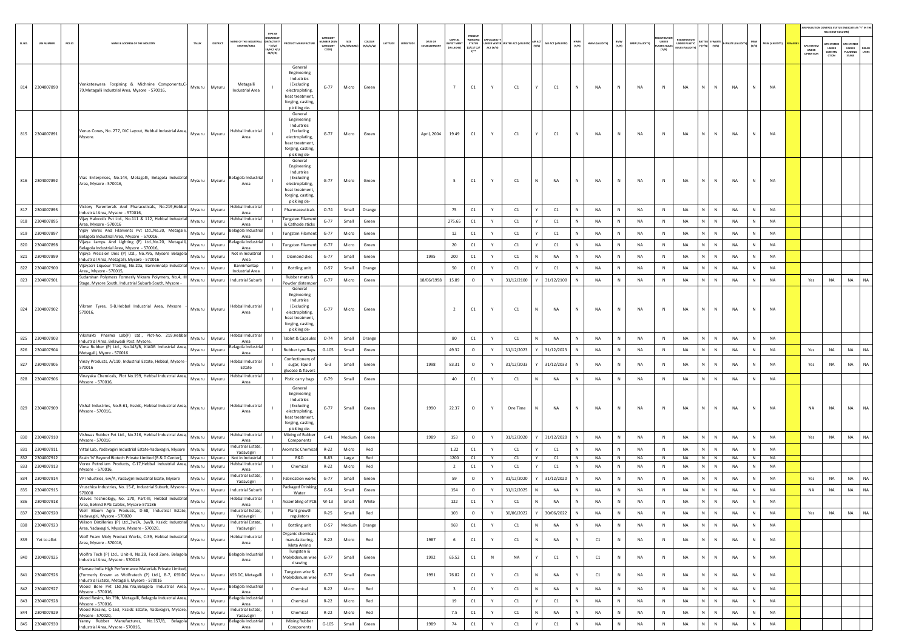|        |                                  |                                                                                                                                                                           |        |                  |                                                   |                                              |                                                                                                                              |                                                    |                          |                            |                    |                        |                                  |                                                      |                      |                |              |                  |              |                        |              |                        |                                      |                                                 |                                     |                 |                   |                       |                                  | RELEVANT COLUMN)                               | AIR POLLUTION CONTROL STATUS (INDICATE AS "Y" IN THI             |
|--------|----------------------------------|---------------------------------------------------------------------------------------------------------------------------------------------------------------------------|--------|------------------|---------------------------------------------------|----------------------------------------------|------------------------------------------------------------------------------------------------------------------------------|----------------------------------------------------|--------------------------|----------------------------|--------------------|------------------------|----------------------------------|------------------------------------------------------|----------------------|----------------|--------------|------------------|--------------|------------------------|--------------|------------------------|--------------------------------------|-------------------------------------------------|-------------------------------------|-----------------|-------------------|-----------------------|----------------------------------|------------------------------------------------|------------------------------------------------------------------|
| SL.NO. | <b>UIN NUMBER</b><br>PCB ID      | NAME & ADDRESS OF THE INDUSTR                                                                                                                                             | TALUK  | DISTRICT         | <b>NAME OF THE INDUSTR</b><br><b>ESTATES/AREA</b> | N/ACTIVIT<br>* (I/M/<br>LB/HC/ H/I<br>CE/C/O |                                                                                                                              | CATEGORY<br><b>UMBER (XG)</b><br>CATEGORY<br>CODE) | SIZE<br><b>M/S/MICRO</b> | <b>COLOUR</b><br>(R/O/G/W) | LATITUDI<br>NGITUC | DATE OF<br>ESTABLISHME | CAPITAL<br>VEST MEN<br>IN LAKHS) | WORKING<br>STATUS<br>(0/C1/ C2/<br>y <sub>1</sub> ** | DER WAT<br>ACT (Y/N) | ER ACT (VALI   |              | AIR ACT (VALIDIT | HWM<br>(Y/N) | HWM (VALIDITY)         | BMW<br>(Y/N) | <b>BMW (VALIDITY)</b>  | UNDER<br><b>LASTIC RULE</b><br>(Y/N) | EGISTRATIC<br>UNDER PLASTIC<br>IULES (VALIDITY) | <b>ITTER E-WASTI</b><br>(Y/N) (Y/N) | E-WASTE (VA     | MSW<br>(Y/N)      | <b>ISW (VALIDITY)</b> | APC SYSTEM<br>UNDER<br>OPERATION | <b>IPC SYSTER</b><br>UNDER<br>CONSTRU<br>CTION | <b>UPC SYSTER</b><br>UNDER<br>DEFAU<br>LTERS<br>LANNING<br>STAGE |
|        | 814 2304007890                   | Venkateswara Forgining & Michnine Components, C-<br>- The Components, C-<br>79, Metagalli Industrial Area, Mysore - 570016,                                               |        | Mysuru           | Metagalli<br>Industrial Area                      |                                              | General<br>Engineering<br>Industries<br>(Excluding<br>electroplating,<br>heat treatment<br>forging, casting,<br>pickling de- | $G-77$                                             | Micro                    | Green                      |                    |                        | $\overline{7}$                   | C1                                                   |                      | C1             |              | C1               | N            | NA                     | N            | NA                     | Ν                                    | NA<br>N                                         | N                                   | <b>NA</b>       | N                 | NA                    |                                  |                                                |                                                                  |
|        | 815 2304007891                   | Venus Cones, No. 277, DIC Layout, Hebbal Industrial Area,<br>Mysore.                                                                                                      | Mysuru | Mysuru           | Hebbal Industrial<br>Area                         |                                              | General<br>Engineering<br>Industries<br>(Excluding<br>electroplating,<br>heat treatment<br>forging, casting,<br>pickling de- | $G-77$                                             | Micro                    | Green                      |                    | April, 2004            | 19.49                            | C1                                                   | Y                    | C1             |              | C1               | N            | <b>NA</b>              | N            | <b>NA</b>              | $\mathbb N$                          | <b>NA</b><br>N                                  | N                                   | NA              | $\mathbb N$       | <b>NA</b>             |                                  |                                                |                                                                  |
|        | 816 2304007892                   | Vias Enterprises, No.144, Metagalli, Belagola Industrial<br>Area, Mysore - 570016,                                                                                        | Mysuru | Mysuru           | Belagola Industria<br>Area                        |                                              | General<br>Engineering<br>Industries<br>(Excluding<br>electroplating,<br>heat treatment<br>forging, casting<br>pickling de-  | $G-77$                                             | Micro                    | Green                      |                    |                        | -5                               | C1                                                   | Y                    | C1             |              | <b>NA</b>        | N            | <b>NA</b>              | N            | <b>NA</b>              | $\mathbb N$                          | <b>NA</b><br>N                                  | N                                   | NA              | N                 | <b>NA</b>             |                                  |                                                |                                                                  |
|        | 817 2304007893                   | Victory Parenterals And Pharacuticals, No.219, Hebbal<br>ndustrial Area, Mysore - 570016,                                                                                 | Mysuru | Mysuru           | Hebbal Industrial<br>Area                         |                                              | Pharmaceuticals                                                                                                              | $O - 74$                                           | Small                    | Orange                     |                    |                        | 75                               | C1                                                   | Y                    | C1             |              | C1               | <b>N</b>     | <b>NA</b>              | N            | <b>NA</b>              | N                                    | <b>NA</b><br>N                                  | N                                   | NA              | N                 | NA                    |                                  |                                                |                                                                  |
| 818    | 2304007895                       | Vijay Halocoils Pvt Ltd., No.111 & 112, Hebbal Industrial<br>Area, Mysore - 570016                                                                                        | Mysuru | Mysuru           | Hebbal Industrial<br>Area                         |                                              | ungsten Filamer<br>& Cathode sticks                                                                                          | $G-77$                                             | Small                    | Green                      |                    |                        | 275.65                           | C1                                                   | Y                    | C1             |              | C1               | N            | NA                     | N            | NA                     | N                                    | N<br>NA                                         | N                                   | <b>NA</b>       | $\mathbf{N}$      | NA.                   |                                  |                                                |                                                                  |
| 819    | 2304007897                       | Vijay Wires And Filaments Pvt Ltd., No.20, Metagalli,<br>Belagola Industrial Area, Mysore - 570016,                                                                       | Mysuru | Mysuru           | elagola Industr<br>Area                           |                                              | ungsten Filamer                                                                                                              | $G-77$                                             | Micro                    | Green                      |                    |                        | 12                               | C1                                                   | Y                    | C1             |              | C1               | N            | <b>NA</b>              | N            | <b>NA</b>              | $\,$ N                               | NA<br>N                                         | $\,$ N                              | NA              | N                 | NA                    |                                  |                                                |                                                                  |
| 820    | 2304007898                       | Vijaya Lamps And Lighting (P) Ltd., No.20, Metagalli,<br>Belagola Industrial Area, Mysore - 570016,                                                                       | Mysuru | Mysuru           | elagola Industr<br>Area                           |                                              | <b>Tungsten Filamer</b>                                                                                                      | $G-77$                                             | Micro                    | Green                      |                    |                        | 20                               | C1                                                   | Y                    | $\mathsf{C1}$  |              | C1               | N            | <b>NA</b>              | N            | <b>NA</b>              | N                                    | NA<br>N                                         | ${\sf N}$                           | NA              | $\mathbb{N}$      | NA                    |                                  |                                                |                                                                  |
| 821    | 2304007899                       | Vijaya Precision Dies (P) Ltd., No.79a, Mysore Belagola<br>Industrial Area, Metagalli, Mysore - 570016                                                                    | Mysuru | Mysuru           | Not in Industria<br>Area                          |                                              | Diamond dies                                                                                                                 | $G-77$                                             | Small                    | Green                      |                    | 1995                   | 200                              | C1                                                   | Y                    | C1             | $\mathbb{N}$ | NA               | N            | <b>NA</b>              | N            | NA                     | N                                    | $\mathsf{N}^-$<br>NA                            | N                                   | NA              | N                 | NA                    |                                  |                                                |                                                                  |
| 822    | 2304007900                       | Vijayasri Liquour Trading, No.20a, Bannimnatp Industrial<br>Area,, Mysore - 570015,                                                                                       | Mysuru | Mysuru           | Bannimantap<br>Industrial Area                    |                                              | <b>Bottling unit</b>                                                                                                         | $O-57$                                             | Small                    | Orange                     |                    |                        | 50                               | C1                                                   | Y                    | C1             |              | C1               | <b>N</b>     | <b>NA</b>              | N            | <b>NA</b>              | N                                    | <b>NA</b><br>N                                  | N                                   | <b>NA</b>       | N                 | <b>NA</b>             |                                  |                                                |                                                                  |
| 823    | 2304007901                       | Sudarshan Polymers Formerly Vikram Polymers, No.4, Ill<br>Stage, Mysore South, Industrial Suburb-South, Mysore -                                                          | Mysuru | Mysuru           | <b>Industrial Suburb</b>                          |                                              | Rubber mats &<br>owder distemp                                                                                               | $G-77$                                             | Micro                    | Green                      |                    | 18/06/1998             | 15.89                            | $\circ$                                              | Y                    | 31/12/2100     |              | 31/12/2100       |              | NA                     | N            | NA                     | N                                    | NA<br>N.                                        | N                                   | <b>NA</b>       | N                 | NA                    | Yes                              | NA                                             | NA<br>NA                                                         |
|        | 824 2304007902                   | Vikram Tyres, 9-B, Hebbal Industrial Area, Mysore<br>570016,                                                                                                              | Mysuru | Mysuru           | Hebbal Industria<br>Area                          |                                              | General<br>Engineering<br>Industries<br>(Excluding<br>electroplating,<br>heat treatment<br>forging, casting,<br>pickling de- | $G-77$                                             | Micro                    | Green                      |                    |                        | $\overline{2}$                   | C1                                                   | Y                    | C1             |              | NA               | N            | <b>NA</b>              | N            | <b>NA</b>              | N                                    | NA<br>N                                         | N                                   | NA              | N                 | NA                    |                                  |                                                |                                                                  |
| 825    | 2304007903                       | /ikshakti Pharma Lab(P) Ltd., Plot-No. 219,Hebbal                                                                                                                         | Mysuru | Mysuru           | Hebbal Industria                                  |                                              | Tablet & Capsules                                                                                                            | $O-74$                                             | Small                    | Orange                     |                    |                        | 80                               | C1                                                   |                      | C1             |              | NA               |              | NA                     | N            | NA                     | N                                    | N<br>NA                                         | N                                   | NA              | $\mathbf{N}$      | NA                    |                                  |                                                |                                                                  |
| 826    | 2304007904                       | Industrial Area, Belawadi Post, Mysore.<br>Vima Rubber (P) Ltd., No.143/B, KIADB Industrial Area,                                                                         | Mysuru | Mysuru           | Area<br>elagola Industria                         |                                              | Rubber tyre flaps                                                                                                            | $G-105$                                            | Small                    | Green                      |                    |                        | 49.32                            | $\circ$                                              | Y                    | 31/12/2023     |              | 31/12/2023       | N            | NA                     | N            | NA                     | $\,$ N                               | NA<br>N                                         | $\,$ N                              | NA              | N                 | NA                    | Yes                              | NA                                             | NA<br>NA                                                         |
|        |                                  | Metagalli, Myore - 570016<br>Vinay Products, A/110, Industrial Estate, Hebbal, Mysore -                                                                                   |        |                  | Area<br>lebbal Industria                          |                                              | Confectionery of                                                                                                             |                                                    |                          |                            |                    |                        |                                  |                                                      |                      |                |              |                  |              |                        | ${\sf N}$    |                        | N                                    | N                                               | $\mathsf{N}$                        |                 | N                 |                       |                                  |                                                | NA<br>NA                                                         |
|        | 827 2304007905                   | 570016                                                                                                                                                                    | Mysuru | Mysuri           | Estate                                            |                                              | sugar, liquid<br>ducose & flavors                                                                                            | $G-3$                                              | Small                    | Green                      |                    | 1998                   | 83.31                            | $\circ$                                              |                      | 31/12/2033     |              | 31/12/2033       |              | <b>NA</b>              |              | NA                     |                                      | NA                                              |                                     | NA              |                   | NA                    | Yes                              | NA                                             |                                                                  |
|        | 828 2304007906<br>829 2304007909 | Vinayaka Chemicals, Plot No.199, Hebbal Industrial Area,<br>Mysore - 570016,<br>Vishal Industries, No.B-61, Kssidc, Hebbal Industrial Area, Mysuru                        | Mysuru | Mysuru<br>Mysuru | Hebbal Industria<br>Area<br>Hebbal Industria      |                                              | Plstic carry bags<br>General<br>Engineering<br>Industries<br>(Excluding                                                      | $G - 79$<br>$G-77$                                 | Small<br>Small           | Green<br>Green             |                    | 1990                   | 40<br>22.37                      | C1<br>$\circ$                                        | Y                    | C1<br>One Time | N<br>N       | NA<br>NA         | N<br>N       | NA<br>NA               | $\,N\,$<br>N | NA<br><b>NA</b>        | N<br>$\mathbb N$                     | NA<br>N<br><b>NA</b><br>N                       | $\,$ N<br>N                         | NA<br>NA        | N<br>N            | NA<br><b>NA</b>       | NA                               | NA                                             | <b>NA</b><br>NA                                                  |
|        |                                  | Mysore - 570016,<br>Vishwas Rubber Pvt Ltd., No.216, Hebbal Industrial Area,                                                                                              |        |                  | Area<br>Hebbal Industria                          |                                              | electroplating,<br>heat treatment<br>forging, casting,<br>pickling de-<br>Mixing of Rubber                                   |                                                    |                          |                            |                    |                        |                                  |                                                      |                      |                |              |                  |              |                        |              |                        |                                      |                                                 |                                     |                 |                   |                       |                                  |                                                |                                                                  |
|        | 830 2304007910                   | Mysore - 570016                                                                                                                                                           | Mysuru | Mysuru           | Area<br><b>Industrial Estate</b>                  |                                              | Components                                                                                                                   | $G-41$                                             | Medium                   | Green                      |                    | 1989                   | 153                              | $\circ$                                              | Y                    | 31/12/2020     |              | 31/12/2020       | N            | <b>NA</b>              | N            | NA                     | N                                    | NA<br>N                                         | $\,$ N                              | NA              | N                 | NA                    | Yes                              | NA                                             | NA<br>NA                                                         |
| 831    | 2304007911<br>832 2304007912     | Vittal Lab, Yadavagiri Industrial Estate-Yadavagiri, Mysore<br>Brain 'N' Bevond Biotech Private Limited (R & D Center). Mysuru                                            | Mysuru | Mysuru<br>Mysuru | Yadavagiri<br>Not in Industrial                   |                                              | <b>Iromatic Chemica</b><br>R&D                                                                                               | $R-22$<br>R-83                                     | Micro<br>Large           | Red<br>Red                 |                    |                        | 1.22<br>1200                     | C1<br>C1                                             | Y                    | C1<br>C1       | Y            | C1<br>C1         | N            | <b>NA</b><br><b>NA</b> | N<br>N       | <b>NA</b><br><b>NA</b> | N<br>N                               | <b>NA</b><br><b>NA</b>                          | N N                                 | NA<br><b>NA</b> | $\mathbb{N}$<br>N | NA<br><b>NA</b>       |                                  |                                                |                                                                  |
| 833    | 2304007913                       | Vorex Petrolium Products, C-17, Hebbal Industrial Area,<br>Mysore - 570016,                                                                                               | Mysuru | Mysuru           | Hebbal Industria<br>Area                          |                                              | Chemical                                                                                                                     | $R-22$                                             | Micro                    | Red                        |                    |                        | $\overline{2}$                   | C1                                                   |                      | C1             |              | C1               | N            | <b>NA</b>              | N            | NA                     | N                                    | NA<br>N                                         | N                                   | NA              | N                 | NA                    |                                  |                                                |                                                                  |
| 834    | 2304007914                       | VP Industries, 6w/A, Yadavgiri Industrial Esate, Mysore                                                                                                                   | Mysuru | Mysuru           | Industrial Estate<br>Yadavagiri                   |                                              | Fabrication works                                                                                                            | $G-77$                                             | Small                    | Green                      |                    |                        | 59                               | $\circ$                                              | Y                    | 31/12/2020     |              | 31/12/2020       |              | <b>NA</b>              | N            | <b>NA</b>              | $\,$ N                               | NA<br>N                                         | $\mathsf{N}$                        | NA              |                   | NA                    | Yes                              | NA                                             | NA<br>NA                                                         |
| 835    | 2304007915                       | Vruschica Industries, No. 15-E, Industrial Suburb, Mysore<br>570008                                                                                                       | Mysuru | Mysuru           | <b>Industrial Suburb</b>                          |                                              | Packaged Drinkiı<br>Water                                                                                                    | $G-54$                                             | Small                    | Green                      |                    |                        | 154                              | $\circ$                                              |                      | 31/12/2025     |              | NA               |              | <b>NA</b>              | N            | NA                     | $\mathbb{N}$                         | NA<br>N                                         | $\mathsf{N}$                        | NA              | $\mathbb N$       | NA                    | NA                               | NA                                             | NA<br>NA                                                         |
| 836    | 2304007918                       | Waves Technology, No. 270, Part-III, Hebbal Industrial<br>Area, Behind RPG Cables, Mysore-571186                                                                          | Mysuru | Mysuru           | <b>Hebbal Industrial</b><br>Area                  |                                              | Assembling of PCB                                                                                                            | $W-13$                                             | Small                    | White                      |                    |                        | 122                              | C1                                                   |                      | C1             |              | <b>NA</b>        | N            | <b>NA</b>              | N            | <b>NA</b>              | $\mathbb N$                          | <b>NA</b><br>N                                  | N                                   | NA              | N                 | <b>NA</b>             |                                  |                                                |                                                                  |
|        | 837 2304007920                   | Well Bloom Agro Products, D-68, Industrial Estate,                                                                                                                        | Mysuru | Mysuru           | Industrial Estate,<br>Yadavagiri                  |                                              | Plant growth                                                                                                                 | $R-25$                                             | Small                    | Red                        |                    |                        | 103                              | $\circ$                                              | Y                    | 30/06/2022     |              | 30/06/2022       |              | <b>NA</b>              | N            | NA                     | $\,$ N                               | NA<br>N                                         | N                                   | NA              | $\mathbb N$       | NA                    | Yes                              | NA                                             | NA<br>NA                                                         |
|        | 838 2304007923                   | Yadavagiri, Mysore - 570020<br>Wilson Distilleries (P) Ltd., 3w/A, 3w/B, Kssidc Industrial                                                                                | Mysuru | Mysuru           | Industrial Estate,                                |                                              | regulators<br><b>Bottling unit</b>                                                                                           | $O-57$                                             | Medium                   | Orange                     |                    |                        | 969                              | C1                                                   | Y                    | C1             | N            | NA               | N            | NA                     | $\,$ N       | NA                     | N                                    | <b>NA</b>                                       | $N$ $N$                             | NA              | N                 | <b>NA</b>             |                                  |                                                |                                                                  |
| 839    | Yet to allot                     | Area, Yadavagiri, Mysore, Mysore - 570020,<br>Wolf Foam Moly Product Works, C-39, Hebbal Industrial<br>Area, Mysore - 570016,                                             | Mysuru | Mysuru           | Yadavagiri<br>Hebbal Industrial<br>Area           |                                              | Organic chemicals<br>manufacturing,<br>Meta Amino                                                                            | R-22                                               | Micro                    | Red                        |                    | 1987                   | 6                                | $\mathsf{C1}$                                        | Y                    | C1             |              | NA               |              | C1                     | $\,N\,$      | NA                     | N                                    | N<br>NA                                         | ${\sf N}$                           | NA              | N                 | NA                    |                                  |                                                |                                                                  |
| 840    | 2304007925                       | Wolfra Tech (P) Ltd., Unit-II, No.28, Food Zone, Belagola<br>Industrial Area, Mysore - 570016                                                                             | Mysuru | Mysuru           | selagola Industria<br>Area                        |                                              | Tungsten &<br>Molybdenum wire<br>drawing                                                                                     | $G-77$                                             | Small                    | Green                      |                    | 1992                   | 65.52                            | $\mathsf{C1}$                                        | $\,$ N               | NA             |              | C1               |              | C1                     | N            | NA                     | $\,$ N                               | NA<br>N                                         | $\mathbb{N}$                        | NA              | N                 | NA                    |                                  |                                                |                                                                  |
|        | 841 2304007926                   | Plansee India High Performance Materials Private Limited,<br>(Formerly Known as Wolfratech (P) Ltd.), B-7, KSSIDC Mysuru<br>Industrial Estate, Metagalli, Mysore - 570016 |        | Mysuru           | KSSIDC, Metagalli                                 |                                              | Tungsten wire &<br>Molybdenum wire                                                                                           | $G-77$                                             | Small                    | Green                      |                    | 1991                   | 76.82                            | $\mathsf{C1}$                                        | Y                    | C1             |              | NA               | Y            | C1                     | N            | NA                     | $\mathbb{N}$                         | NA<br>$\mathbb{N}$                              | $\mathbb{N}$                        | NA              | N                 | NA                    |                                  |                                                |                                                                  |
| 842    | 2304007927                       | Wood Bore Pvt Ltd., No. 79a, Belagola Industrial Area,<br>Mysore - 570016,                                                                                                | Mysuru | Mysuru           | Belagola Industria<br>Area                        |                                              | Chemical                                                                                                                     | $R - 22$                                           | Micro                    | Red                        |                    |                        | $\overline{\mathbf{3}}$          | $\mathsf{C1}$                                        | Y                    | C1             |              | NA               | N            | <b>NA</b>              | ${\sf N}$    | NA                     | N                                    | NA<br>N                                         | N                                   | NA              | N                 | <b>NA</b>             |                                  |                                                |                                                                  |
| 843    | 2304007928                       | Wood Resins, No.79b, Metagalli, Belagola Industrial Area,<br>Mysore - 570016,                                                                                             | Mysuru | Mysuru           | selagola Industrial<br>Area                       |                                              | Chemical                                                                                                                     | $R-22$                                             | Micro                    | Red                        |                    |                        | 19                               | $\mathsf{C1}$                                        | Y                    | C1             |              | C1               | N            | NA                     | ${\sf N}$    | NA                     | N                                    | $\mathsf{N}^-$<br>NA                            | N                                   | NA              | N                 | <b>NA</b>             |                                  |                                                |                                                                  |
| 844    | 2304007929                       | Wood Ressins, C-163, Kssidc Estate, Yadavagiri, Mysore,<br>Mysore - 570020,                                                                                               | Mysuru | Mysuru           | Industrial Estate,<br>Yadavagiri                  |                                              | Chemical                                                                                                                     | R-22                                               | Micro                    | Red                        |                    |                        | 7.5                              | C1                                                   | Y                    | C1             | $\,N\,$      | NA               | N            | <b>NA</b>              | $\,N\,$      | NA                     | N                                    | NA<br>N                                         | $\,$ N                              | NA              | N                 | NA                    |                                  |                                                |                                                                  |
| 845    | 2304007930                       | Yanny Rubber Manufactures, No.157/B, Belagola<br>Industrial Area, Mysore - 570016,                                                                                        | Mysuru | Mysuru           | selagola Industria<br>Area                        |                                              | <b>Mixing Rubber</b><br>Components                                                                                           | $G-105$                                            | Small                    | Green                      |                    | 1989                   | 74                               | $\mathsf{C1}$                                        | Y                    | $\mathsf{C}1$  |              | C1               | N            | NA                     | ${\sf N}$    | NA                     | $\,$ N                               | NA<br>N                                         | ${\sf N}$                           | $_{\sf NA}$     | $\mathbb{N}$      | NA                    |                                  |                                                |                                                                  |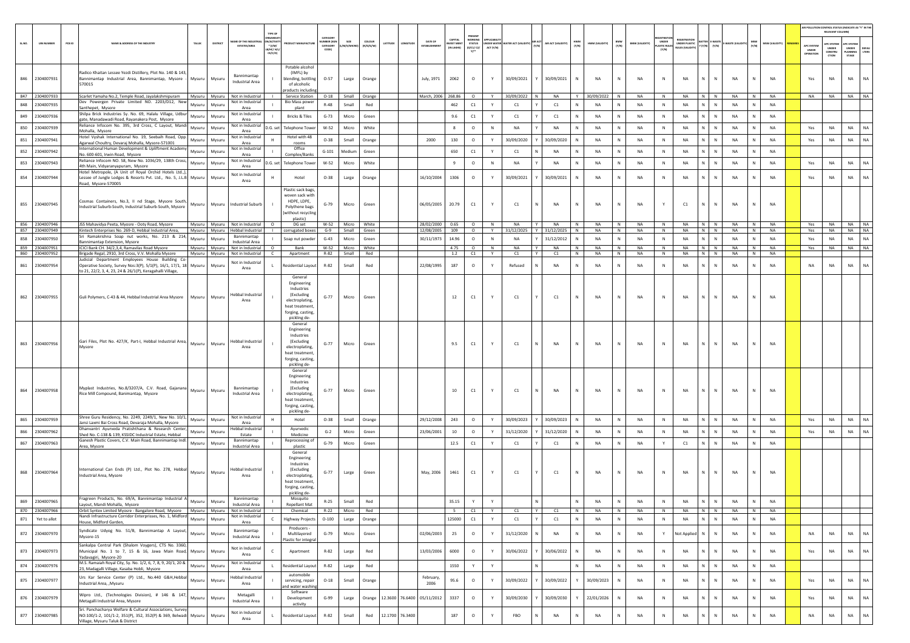|        |                                  |                                                                                                                                                               |               |                                                             |                                          |                                                                                                                             |                              |                            |                     |          |                 |                          |                                           |                                                               |              |                                                                           |                    |              |                                             |                        |                                      |                                                            |                  |                          |              |                        |                                         | RELEVANT COLUMNI                              | AIR POLLUTION CONTROL STATUS (INDICATE AS "Y" IN THE                    |
|--------|----------------------------------|---------------------------------------------------------------------------------------------------------------------------------------------------------------|---------------|-------------------------------------------------------------|------------------------------------------|-----------------------------------------------------------------------------------------------------------------------------|------------------------------|----------------------------|---------------------|----------|-----------------|--------------------------|-------------------------------------------|---------------------------------------------------------------|--------------|---------------------------------------------------------------------------|--------------------|--------------|---------------------------------------------|------------------------|--------------------------------------|------------------------------------------------------------|------------------|--------------------------|--------------|------------------------|-----------------------------------------|-----------------------------------------------|-------------------------------------------------------------------------|
| SL.NO. | PCB ID<br><b>UIN NUMBER</b>      | NAME & ADDRESS OF THE INDUSTRY<br>TALUR                                                                                                                       | DISTRIC       | AME OF THE INDU<br><b>ESTATES/AREA</b>                      | $^*$ (i/M/<br><b>B/HC/ H</b><br>$CE/C/O$ | <b>UCT MANUFACTUR</b>                                                                                                       | CATEGORY<br>CATEGORY<br>CODE | /M/S/MICRO                 | coLous<br>(R/O/G/W) | LATITUDE | LONGITUD        | DATE OF<br>ESTABLISHMEN  | CAPITAL<br><b>WEST MENT</b><br>(IN LAKHS) | PRESENT<br><b>NORKING</b><br><b>STATUS</b><br>(0/C1/C2/<br>m* | ACT (Y/N)    | NDER WATER WATER ACT (VALIDITY)                                           | AIR ACT (VALIDITY) | HWM<br>(Y/N) | BMW<br>(Y/N)<br>HWM (VALIDITY)              | <b>BMW (VALIDITY)</b>  | UNDER<br><b>LASTIC RULE</b><br>[Y/N] | EGISTRATIC<br><b>UNDER PLASTIC</b><br><b>NULES IVALIDE</b> | $Y(Y/N)$ $(Y/N)$ | -WASTE (VALI             | MSW<br>(Y/N) | (YTIGLIAV) W2M         | APC SYSTEM<br>UNDER<br><b>OPERATION</b> | <b>PC SYSTEM</b><br>UNDER<br>CONSTRU<br>CTION | <b>APC SYSTEM</b><br>UNDER<br><b>DEFAU</b><br>LTERS<br>LANNING<br>STAGE |
|        | 846 2304007931                   | Radico Khaitan Lessee Yezdi Distillery, Plot No. 140 & 143,<br>Bannimantap Industrial Area, Bannimantap, Mysore<br>Mysuru<br>570015                           | Mysuru        | Bannimantap<br><b>Industrial Area</b>                       |                                          | Potable alcohol<br>(IMFL) by<br>blending, bottling<br>of alcoholic<br>roducts including                                     | $O-57$                       | Large                      | Orange              |          |                 | July, 1971               | 2062                                      | $\circ$                                                       | Y            | 30/09/2021                                                                | 30/09/2021         |              | N<br>NA                                     | NA                     | N                                    | <b>NA</b>                                                  | N                | $\mathbb{N}$<br>NA       | N            | NA                     | Yes                                     | NA                                            | NA<br>NA                                                                |
|        | 847 2304007933                   | Scarlet Yamaha No.2. Temple Road, Javalakshminuram<br>Dev Powergen Private Limited NO. 2203/D12, New                                                          | Mysuru Mysuru | Not in Industrial<br>Not in Industrial                      |                                          | Service Station<br><b>Bio Mass powe</b>                                                                                     | $O-18$                       |                            | Small Orange        |          |                 | March, 2006              | 268.86                                    | $\circ$                                                       | Y            | 30/09/2022<br>N                                                           | <b>NA</b>          | Y            | 30/09/2022 N                                | <b>NA</b>              | N                                    | <b>NA</b>                                                  | N N              | <b>NA</b>                | N            | <b>NA</b>              | <b>NA</b>                               | <b>NA</b>                                     | NA NA                                                                   |
| 848    | 2304007935                       | Mysuru<br>Santhepet, Mysore<br>Shilpa Brick Industries Sy. No. 69, Halalu Village, Udbur                                                                      | Mysuru        | Area<br>Not in Industrial                                   |                                          | plant                                                                                                                       | $R-48$                       | Small                      | Red                 |          |                 |                          | 462                                       | C1                                                            | Y            | C1                                                                        | C1                 |              | NA<br>N                                     | NA                     | N                                    | NA                                                         | N                | N<br>NA                  | N            | NA                     |                                         |                                               |                                                                         |
|        | 849 2304007936                   | Mysuru<br>gate, Manadawadi Road, Rayanakera Post, Mysore<br>Reliance Infocom No. 395, 3rd Cross, C Layout, Mandi                                              | Mysuru        | Area<br>Not in Industrial                                   |                                          | Bricks & Tiles                                                                                                              | $G-73$                       | Micro                      | Green               |          |                 |                          | 9.6                                       | C1                                                            | Y            | C1                                                                        | C1                 |              | ${\sf N}$<br><b>NA</b>                      | NA                     | N                                    | <b>NA</b>                                                  | N                | N<br>NA                  | N            | NA                     |                                         |                                               |                                                                         |
|        | 850 2304007939                   | Mysuru<br>Mohalla, Mysore                                                                                                                                     | Mysuru        | Area                                                        | D.G. set                                 | <b>Telephone Tower</b>                                                                                                      | $W-52$                       | Micro                      | White               |          |                 |                          | 8                                         | $\circ$                                                       | $\mathsf{N}$ | NA                                                                        | NA                 |              | <b>NA</b><br>N                              | NA                     | N                                    | NA                                                         |                  | NA<br>N                  | N            | <b>NA</b>              | Yes                                     | NA                                            | NA<br><b>NA</b>                                                         |
|        | 851 2304007941                   | Hotel Vyshak International No. 19, Seebaih Road, Opp.<br>Mysuru<br>Agarwal Choultry, Devaraj Mohalla, Mysore-571001                                           | Mysuru        | Not in Industrial<br>Area                                   |                                          | Hotel with 48<br>rooms                                                                                                      | $O-38$                       | Small                      | Orange              |          |                 | 2000                     | 130                                       | $\circ$                                                       | Y            | 30/09/2020                                                                | 30/09/2020         |              | N<br>NA                                     | <b>NA</b>              | N                                    | <b>NA</b>                                                  | N.               | N<br><b>NA</b>           | N            | NA                     | Yes                                     | NA                                            | NA<br><b>NA</b>                                                         |
|        | 852 2304007942                   | International Human Development & Upliftment Academy<br>Mysuru<br>No. 600-601. Irwin Road. Mysore                                                             | Mysuri        | Not in Industrial<br>Area                                   |                                          | Office<br>Complex/Banks                                                                                                     | $G-101$                      | Medium                     | Green               |          |                 |                          | 650                                       | C1                                                            | Y            | C1                                                                        | <b>NA</b>          |              | N<br>NA                                     | <b>NA</b>              | N                                    | <b>NA</b>                                                  | N                | N<br>NA                  | N            | <b>NA</b>              |                                         |                                               |                                                                         |
|        | 853 2304007943                   | Reliance Infocom NO. 58, New No. 1036/29, 138th Cross,<br>Mysuru<br>4th Main, Vidyaranyapuram, Mysore                                                         | Mysuru        | Not in Industrial<br>Area                                   | D.G. set                                 | Telephone Towe                                                                                                              | W-52                         | Micro                      | White               |          |                 |                          | 9                                         | $\circ$                                                       | $\mathsf{N}$ | NA                                                                        | NA                 |              | NA<br>N                                     | NA                     | N                                    | NA                                                         | N.               | ${\sf N}$<br>NA          | N            | NA                     | Yes                                     | NA                                            | NA<br>NA                                                                |
|        | 854 2304007944                   | Hotel Metropole, (A Unit of Royal Orchid Hotels Ltd.,),<br>Lessee of Jungle Lodges & Resorts Pvt. Ltd., No. 5, J.L.B Mysuru<br>Road, Mysore-570005            | Mysuru        | Not in Industrial<br>Area                                   |                                          | Hotel                                                                                                                       | $O-38$                       | Large                      | Orange              |          |                 | 16/10/2004               | 1306                                      | $\circ$                                                       | Y            | 30/09/2021                                                                | 30/09/2021         | $\mathbb N$  | NA<br>N                                     | NA                     | ${\sf N}$                            | NA                                                         | N                | $\mathsf{N}$<br>NA       | N            | <b>NA</b>              | Yes                                     | NA                                            | <b>NA</b><br>NA                                                         |
|        | 855 2304007945                   | Cosmas Containers, No.3, II nd Stage, Mysore South,<br>Mysuru<br>Industrial Suburb-South, Industrial Suburb-South, Mysore                                     |               | Mysuru Industrial Suburb                                    |                                          | Plastic sack bags,<br>woven sack with<br>HDPE, LDPE,<br>Polythene bags<br>without recycling<br>plastic)                     | $G-79$                       | Micro                      | Green               |          |                 | 06/05/2005               | 20.79                                     | C1                                                            | Y            | C1                                                                        | <b>NA</b>          |              | <b>NA</b><br>N                              | <b>NA</b>              | Y                                    | C1                                                         | N                | N<br><b>NA</b>           | $\mathbb N$  | <b>NA</b>              |                                         |                                               |                                                                         |
|        | 856 2304007946<br>857 2304007949 | JSS Mahavidya Peeta, Myosre - Ooty Road, Mysore<br>Kintech Enterprises No. 269-D, Hebbal Industrial Area,                                                     | Mysuru Mysuru | Mysuru Mysuru Not in Industrial<br><b>Hebbal Industrial</b> | $\circ$                                  | DG set<br>corrugated boxes                                                                                                  | $W-52$<br>$G-9$              | Micro White<br>Small Green |                     |          |                 | 28/02/2000<br>12/08/2005 | 0.65<br>109                               | $\circ$<br>$\circ$                                            | N<br>Y       | NA<br>$\mathsf{I}$ $\mathsf{Y}$ $\mathsf{I}$<br>31/12/2025 Y 31/12/2025 N | <b>NA</b>          | N            | <b>NA</b><br>$\mathsf{N}$<br><b>NA</b><br>N | <b>NA</b><br><b>NA</b> | N<br>N                               | NA NINI<br><b>NA</b>                                       | $N$ $N$          | <b>NA</b><br><b>NA</b>   | IN I<br>N    | <b>NA</b><br><b>NA</b> | Yes<br>Yes                              | <b>NA</b>                                     | NA NA NA<br>NA NA                                                       |
|        | 858 2304007950                   | Sri Ramakrishna Soap nut works, No. 213 & 214,<br>Mysuru                                                                                                      | Mysuru        | Bannimantap<br><b>Industrial Area</b>                       |                                          | Soap nut powder                                                                                                             | $G-43$                       | Micro                      | Green               |          |                 | 30/11/1973               | 14.96                                     | $\circ$                                                       | N            | <b>NA</b>                                                                 | 31/12/2012         | <b>N</b>     | <b>NA</b><br>N                              | <b>NA</b>              | N                                    | <b>NA</b>                                                  | N                | N<br><b>NA</b>           | N            | <b>NA</b>              | Yes                                     | <b>NA</b>                                     | NA<br>NA                                                                |
|        | 859 2304007951                   | annimantap Extension, Mysore<br>ICICI Bank CH. 34/2,3,4, Ramavilas Road Mysore                                                                                | Mysuru Mysuru | Not in Industrial                                           | $\circ$                                  | Bank                                                                                                                        | W-52                         | Micro                      | White               |          |                 |                          | 4.75                                      | $\circ$                                                       | N            | NA                                                                        | NA                 | N            | NA<br>N                                     | NA                     | $\,$ N                               | NA                                                         | N N              | NA                       | N            | <b>NA</b>              | Yes                                     | NA                                            | NA<br><b>NA</b>                                                         |
|        | 860 2304007952                   | Brigade Regal, 2910, 3rd Cross, V.V. Mohalla Mysore<br>Mysuru Mysuru<br>Judicial Department Employees House Building Co-                                      |               | Not in Industrial<br>Not in Industrial                      | C                                        | Apartment                                                                                                                   | R-82                         | Small                      | Red                 |          |                 |                          | 1.2                                       | C1                                                            | Y            | C1<br>Y                                                                   | C1                 | N            | NA<br>N                                     | NA                     | N                                    | NA                                                         | N N              | NA                       | N            | NA                     |                                         |                                               |                                                                         |
|        | 861 2304007954                   | Operative Society, Survey Nos:3(P), 5/1(P), 16/1, 17/1, 18 Mysuru<br>to 21, 22/2, 3, 4, 23, 24 & 26/1(P), Keragahalli Village,                                | Mysuru        | Area                                                        |                                          | Residential Layout                                                                                                          | R-82                         | Small                      | Red                 |          |                 | 22/08/1995               | 187                                       | $\circ$                                                       | Y            | Refused                                                                   | NA                 | N            | NA<br>N                                     | NA                     | $\,$ N                               | NA                                                         | N.               | ${\sf N}$<br>NA          | N            | NA                     | NA                                      | NA                                            | NA<br><b>NA</b>                                                         |
|        | 862 2304007955                   | Guli Polymers, C-43 & 44, Hebbal Industrial Area Mysore Mysuru Mysuru                                                                                         |               | <b>Hebbal Industrial</b><br>Area                            |                                          | General<br>Engineering<br>Industries<br>(Excluding<br>electroplating.<br>heat treatment<br>forging, casting<br>pickling de- | $G-77$                       | Micro                      | Green               |          |                 |                          | 12                                        | C1                                                            | Y            | C1                                                                        | C1                 | N            | NA<br>N                                     | NA                     | N                                    | <b>NA</b>                                                  | N.               | N<br>NA                  | N            | NA                     |                                         |                                               |                                                                         |
|        | 863 2304007956                   | Gari Files, Plot No. 427/K, Part-I, Hebbal Industrial Area, Mysuru<br>Mysore                                                                                  | Mysuru        | <b>Hebbal Industrial</b><br>Area                            |                                          | General<br>Engineering<br>Industries<br>(Excluding<br>electroplating,<br>heat treatment<br>forging, casting<br>pickling de- | $G - 77$                     | Micro                      | Green               |          |                 |                          | 9.5                                       | C1                                                            | Y            | C1                                                                        | <b>NA</b>          | N            | NA<br>N                                     | <b>NA</b>              | N                                    | <b>NA</b>                                                  | N.               | $\mathbb{N}$<br>NA       | $\mathbf N$  | <b>NA</b>              |                                         |                                               |                                                                         |
|        | 864 2304007958                   | Myplast Industries, No.8/3207/A, C.V. Road, Gajanana<br>Rice Mill Compound, Banimantap, Mysore                                                                | Mysuru Mysuru | Bannimantap<br>Industrial Area                              |                                          | General<br>Engineering<br>Industries<br>(Excluding<br>electroplating,<br>heat treatment<br>forging, casting<br>pickling de- | $G-77$                       | Micro                      | Green               |          |                 |                          | 10                                        | C1                                                            | Y            | C1                                                                        | <b>NA</b>          |              | <b>NA</b><br>N                              | <b>NA</b>              | N                                    | <b>NA</b>                                                  | N                | NA<br>N                  | N            | <b>NA</b>              |                                         |                                               |                                                                         |
|        | 865 2304007959                   | Shree Guru Residency, No. 2249, 2249/1, New No. 10/1,<br>Mysuru<br>lansi Laxmi Bai Cross Road, Devaraja Mohalla, Mysore                                       | Mysuru        | Not in Industrial<br>Area                                   |                                          | Hotel                                                                                                                       | $O-38$                       | Small                      | Orange              |          |                 | 29/12/2008               | 243                                       | $\circ$                                                       | Y            | 30/09/2023                                                                | 30/09/2023         |              | N<br><b>NA</b>                              | <b>NA</b>              | N                                    | <b>NA</b>                                                  | N.               | NA<br>$\mathbb N$        | N            | NA                     | Yes                                     | <b>NA</b>                                     | NA<br>NA                                                                |
| 866    | 2304007962                       | Dhanvantri Ayurveda Pratishthana & Research Center<br>Mysuru<br>Shed No. C-138 & 139, KSSIDC Industrial Estate, Hebbal                                        | Mysuru        | lebbal Industria<br>Estate                                  |                                          | Ayurvedic<br>Medicine                                                                                                       | $G-2$                        | Micro                      | Green               |          |                 | 23/06/2001               | 10                                        | $\circ$                                                       | Y            | 31/12/2020                                                                | 31/12/2020         |              | N<br>NA                                     | <b>NA</b>              | N                                    | <b>NA</b>                                                  | N.               | $\mathbb N$<br><b>NA</b> | $\mathbb N$  | NA                     | Yes                                     | NA                                            | NA<br>NA                                                                |
|        | 867 2304007963                   | Ganesh Plastic Covers, C.V. Main Road, Bannimantap Indl.<br>Mysuru<br>Area, Mysore                                                                            | Mysuru        | Bannimantap<br><b>Industrial Area</b>                       |                                          | Reprocessing of<br>plastic                                                                                                  | $G-79$                       | Micro                      | Green               |          |                 |                          | 12.5                                      | C1                                                            | Y            | C1                                                                        | C1                 | <b>N</b>     | N<br>NA                                     | NA                     | Y                                    | C1                                                         | $N$ $N$          | NA                       | N            | <b>NA</b>              |                                         |                                               |                                                                         |
|        | 868 2304007964                   | International Can Ends (P) Ltd., Plot No. 278, Hebbal<br>Mysuru<br>Industrial Area, Mysore                                                                    | Mysuru        | <b>Hebbal Industrial</b><br>Area                            |                                          | General<br>Engineering<br>Industries<br>(Excluding<br>electroplating,<br>heat treatment<br>forging, casting<br>pickling de- | $G-77$                       | Large                      | Green               |          |                 | May, 2006                | 1461                                      | C1                                                            | Y            | C1                                                                        | C1                 | N            | NA<br>N                                     | NA                     | N                                    | NA                                                         | N.               | N<br><b>NA</b>           | N            | NA                     |                                         |                                               |                                                                         |
|        | 869 2304007965                   | Fragreen Products, No. 69/A, Bannimantap Industrial A<br>Mysuru<br>Lavout, Mandi Mohalla, Mysore                                                              | Mysuru        | Bannimantap<br>Industrial Area                              |                                          | Mosquito<br><b>Repellant Mat</b>                                                                                            | $R-25$                       | Small                      | Red                 |          |                 |                          | 35.15                                     | Y                                                             | Y            |                                                                           |                    | N            | NA<br>N                                     | NA                     | N                                    | NA                                                         | N                | NA<br>N                  | N            | NA                     |                                         |                                               |                                                                         |
|        | 870 2304007966                   | Orbit Syntex Limited Myosre - Bangalore Road, Mysore Mysuru Mysuru                                                                                            |               | Not in Industrial                                           |                                          | Chemical                                                                                                                    | $R-22$                       | Micro Red                  |                     |          |                 |                          | 5                                         | C1                                                            | Y            | C1<br>IY.                                                                 | C1                 | N            | NA<br>N                                     | NA                     | N                                    | NA                                                         | N N              | NA                       | N            | NA                     |                                         |                                               |                                                                         |
| 871    | Yet to allot                     | Nandi Infrastructure Corridor Enterprisses, No. 1, Midford<br>Mysuru<br>House, Midford Garden,                                                                | Mysuru        | Not in Industrial<br>Area                                   | C.                                       | <b>Highway Projects</b>                                                                                                     | $O-100$                      | Large                      | Orange              |          |                 |                          | 125000                                    | C1                                                            | Y            | C1                                                                        | C1                 | N            | N<br><b>NA</b>                              | <b>NA</b>              | N                                    | <b>NA</b>                                                  | N                | N<br><b>NA</b>           | N            | NA                     |                                         |                                               |                                                                         |
|        | 872 2304007970                   | Syndicate Udyog No. 51/B, Bannimantap A Layout,<br>Mysuru<br>Mysore-15                                                                                        | Mysuru        | Bannimantap<br>Industrial Area                              |                                          | Producers -<br>Multilayered<br>lastic for integral                                                                          | $G-79$                       | Micro                      | Green               |          |                 | 02/06/2003               | 25                                        | $\circ$                                                       | Y            | 31/12/2020                                                                | <b>NA</b>          | N            | NA<br>N                                     | NA                     | Y                                    | Not Applied                                                | N                | NA<br>$\mathbb N$        | N            | <b>NA</b>              | NA                                      | NA                                            | NA<br>NA                                                                |
|        | 873 2304007973                   | Sankalpa Central Park (Shalom Voygers), CTS No. 3360,<br>Municipal No. 1 to 7, 15 & 16, Jawa Main Road, Mysuru<br>Yadavagiri, Mysore-20                       | Mysuru        | Not in Industrial<br>Area                                   | $\epsilon$                               | Apartment                                                                                                                   | R-82                         | Large                      | Red                 |          |                 | 13/03/2006               | 6000                                      | $\circ$                                                       | Y            | 30/06/2022                                                                | 30/06/2022         |              | N<br><b>NA</b>                              | <b>NA</b>              | N                                    | NA                                                         | N.               | $\mathbb{N}$<br>NA       | ${\sf N}$    | NA                     | Yes                                     | NA                                            | $_{\sf NA}$<br>NA                                                       |
|        | 874 2304007976                   | M.S. Ramaiah Royal City, Sy. No. 1/2, 6, 7, 8, 9, 20/1, 20 &<br>Mysuru<br>23, Madagalli Village, Kasaba Hobli, Mysore                                         | Mysuru        | Not in Industrial<br>Area                                   |                                          | <b>Residential Layout</b>                                                                                                   | $R - 82$                     | Large                      | Red                 |          |                 |                          | 1550                                      | Y                                                             | Y            |                                                                           |                    |              | NA<br>N                                     | NA                     | $\,$ N                               | NA                                                         | N                | NA<br>N                  | N            | NA                     |                                         |                                               |                                                                         |
|        | 875 2304007977                   | Urs Kar Service Center (P) Ltd., No.440 G&H, Hebbal<br>Mysuru<br>Industrial Area, , Mysuru                                                                    | Mysuru        | lebbal Industrial<br>Area                                   |                                          | automobile<br>servicing, repair<br>nd water washin                                                                          | $O-18$                       | Small                      | Orange              |          |                 | February<br>2006         | 95.6                                      | $\circ$                                                       | Y            | 30/09/2022                                                                | 30/09/2022         |              | 30/09/2023<br>N                             | NA                     | $\,$ N                               | <b>NA</b>                                                  | N.               | N<br><b>NA</b>           | ${\sf N}$    | NA                     | Yes                                     | NA                                            | NA<br><b>NA</b>                                                         |
| 876    | 2304007979                       | Wipro Ltd., (Technologies Division), # 146 & 147,<br>Mysuru<br>Metagalli Industrial Area, Mysore<br>Sri. Panchacharva Welfare & Cultural Associations, Survey | Mysuru        | Metagalli<br>Industrial Area                                |                                          | Software<br>Development<br>activity                                                                                         | $G-99$                       | Large                      | Orange              | 12.3600  | 76.6400         | 05/11/2012               | 3337                                      | $\circ$                                                       | Y            | 30/09/2030                                                                | 30/09/2030         |              | 22/01/2026<br>N                             | <b>NA</b>              | $\,$ N                               | NA                                                         |                  | N<br>NA                  | N            | NA                     | Yes                                     | NA                                            | NA<br>NA                                                                |
|        | 877 2304007985                   | NO:100/1-2, 101/1-2, 351(P), 352, 352(P) & 369, Belwadi Mysuru<br>Village, Mysuru Taluk & District                                                            | Mysuru        | Not in Industrial<br>Area                                   |                                          | <b>Residential Layout</b>                                                                                                   | R-82                         | Small                      | Red                 |          | 12.1700 76.3400 |                          | 187                                       | $\circ$                                                       | Y            | FBO                                                                       | NA                 | $\,$ N       | <b>NA</b><br>N                              | NA                     | $\,$ N                               | NA                                                         | N                | N<br>NA                  | N            | <b>NA</b>              | NA                                      | NA                                            | NA<br>NA                                                                |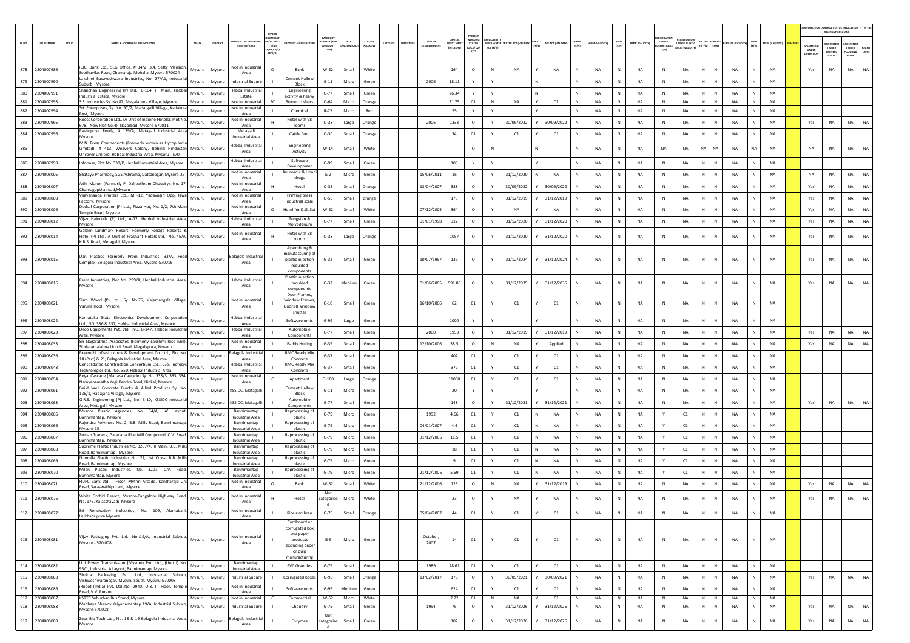|       |                              |        |                                                                                                                       |                  |                  |                                               |                                           |            |                       |                |                |                               |                    |                            |                 |                  |               |                   |              |                 |                      |                       |                             |                    |                                |                                |                |                      |                                         | AIR POLLUTION CONTROL STATUS (INDICATE AS "Y" IN TH |                           |              |
|-------|------------------------------|--------|-----------------------------------------------------------------------------------------------------------------------|------------------|------------------|-----------------------------------------------|-------------------------------------------|------------|-----------------------|----------------|----------------|-------------------------------|--------------------|----------------------------|-----------------|------------------|---------------|-------------------|--------------|-----------------|----------------------|-----------------------|-----------------------------|--------------------|--------------------------------|--------------------------------|----------------|----------------------|-----------------------------------------|-----------------------------------------------------|---------------------------|--------------|
| SLNO. | <b>UIN NUMBER</b>            | PCB ID | NAME & ADDRESS OF THE INDUSTR                                                                                         | TALUR            |                  | <b>AME OF THE INDUSTR</b>                     | <b>N/ACTIVE</b>                           |            | CATEGORY<br>UMBER DOG | SIZE           | <b>COLOUR</b>  | DATE OF<br>LATITUDI<br>NGITUD | CAPITAL<br>/EST ME | PRESEN<br><b>WORKIN</b>    | <b>SER WATE</b> | ATER ACT (VALID  | <b>MR ACT</b> | AIR ACT (VALIDITY | HWM<br>(Y/N) | HWM (VALIDITY   | BMW<br>(Y/N)         | <b>BMW (VALIDITY)</b> | UNDER                       | NDER PLASTIC       | <b>ITTER E-WAST</b>            |                                |                | <b>MSW (VALIDITY</b> |                                         | RELEVANT COLUMN)<br><b>PC SYSTEM</b>                | APC SYSTER                |              |
|       |                              |        |                                                                                                                       |                  |                  | <b>ESTATES/AREA</b><br>LB/HC/ H/I             | $*(1/M)^*$<br>CE/C/O]                     |            | CATEGORY<br>CODE)     | M/S/MICI       | (R/O/G/W)      | ESTABLISHME                   | IN LAKHS)          | STATUS<br>(0/C1/ C2/<br>Y1 | ACT (Y/N)       |                  | (Y/N)         |                   |              |                 |                      |                       | <b>LASTIC RULE</b><br>(Y/N) | <b>JLES (VALID</b> | $(Y/N)$ $(Y/N)$                |                                | (Y/N)          |                      | APC SYSTEM<br><b>UNDER</b><br>IPERATION | <b>UNDER</b><br>CONSTRU<br>CTION                    | UNDER<br>LANNING<br>STAGE | DEFA<br>LTER |
|       |                              |        | ICICI Bank Ltd., SEG Office, # 34/2, 3,4, Setty Mansion,                                                              |                  |                  | Not in Industria                              |                                           |            |                       |                |                |                               |                    |                            |                 |                  |               |                   |              |                 |                      |                       |                             |                    |                                |                                |                |                      |                                         |                                                     |                           |              |
| 878   | 2304007986                   |        | eethavilas Road, Chamaraja Mohalla, Mysore-570024<br>Lakshmi Basaveshwara Industries, No. 27/A1, Industrial           | Mysuru           | Mysuru           | Area                                          | $\circ$<br>Bank<br><b>Cement Hallow</b>   |            | $W-52$                | Small          | White          |                               | 164                | $\circ$                    | N               | NA               |               | <b>NA</b>         |              | NA              | N                    | NA                    | N                           | NA                 | N                              | $\mathbb N$<br>NA              |                | NA                   | Yes                                     | NA                                                  | NA                        | <b>NA</b>    |
| 879   | 2304007990                   |        | Suburb, Mysore<br>Shanchan Engineering (P) Ltd., C-104, III Main, Hebba                                               | Mysuru           | Mysuru           | <b>Industrial Suburb</b><br>Hebbal Industria  | Block<br>Engineering                      |            | $G-11$                | Micro          | Green          | 2006                          | 18.11              | Y                          | Y               |                  | N             |                   |              | <b>NA</b>       | N                    | NA                    | N                           | <b>NA</b>          | N                              | N<br><b>NA</b>                 |                | <b>NA</b>            |                                         |                                                     |                           |              |
| 880   | 2304007991<br>881 2304007993 |        | ndustrial Estate, Mysore                                                                                              | Mysuru           | Mysuru<br>Mysuru | Estate<br>Not in Industrial                   | activity & heavy<br>SC<br>Stone crushers  |            | $G - 77$<br>$O - 64$  | Small<br>Micro | Green          |                               | 26.34<br>21.75     | Y<br>C1                    | N               | NA               | Y             | C1                | N            | <b>NA</b><br>NA | N<br>N               | <b>NA</b><br>NA       | N<br>N                      | <b>NA</b><br>NA    | N<br>$N$ $N$                   | $\mathbb N$<br><b>NA</b><br>NA | N              | NA<br><b>NA</b>      |                                         |                                                     |                           |              |
| 882   | 2304007994                   |        | S.S. Industries Sy. No.82, Megalapura Village, Mysore<br>Sri. Enterprises, Sy. No. 97/2, Madargalli Village, Kadakola | Mysuru<br>Mysuru | Mysur            | Not in Industria                              | Chemical                                  |            | $R-22$                | Micro          | Orange<br>Red  |                               | 25                 | Y                          | Y               |                  |               |                   | $\mathbb{N}$ | <b>NA</b>       | N                    | NA                    | N                           | <b>NA</b>          | N                              | $\mathbb N$<br><b>NA</b>       | N              | <b>NA</b>            |                                         |                                                     |                           |              |
| 883   | 2304007995                   |        | Post, Mysore<br>Roots Corporation Ltd., (A Unit of Indione Hotels), Plot No.                                          | Mysuru           | Mysuru           | Area<br>Not in Industrial<br>н.               | Hotel with 98                             |            | $O-38$                | Large          | Orange         | 2006                          | 1333               | $\circ$                    | Y               | 30/09/2022       |               | 30/09/2022        | N            | <b>NA</b>       | N                    | <b>NA</b>             | N                           | <b>NA</b>          | N                              | $\mathbb N$<br><b>NA</b>       |                | <b>NA</b>            | Yes                                     | NA                                                  | <b>NA</b>                 | <b>NA</b>    |
| 884   | 2304007996                   |        | 678, (New Plot No.4), Nazarbad, Mysore-570011<br>ashupriya Feeds, # 139/A, Metagall Industrial Area                   | Mysuru           | Mysuru           | Area<br>Metagalli                             | rooms<br>Cattle feed                      |            | $O-30$                | Small          | Orange         |                               | 34                 | C1                         | Y               | C1               |               | C1                |              | <b>NA</b>       | N                    | NA                    | N                           | <b>NA</b>          | N                              | N<br>NA                        |                | NA                   |                                         |                                                     |                           |              |
|       |                              |        | Mysore<br>M.N. Press Components (Formerly known as Hycop India                                                        |                  |                  | <b>Industrial Area</b><br>Hebbal Industrial   | Engineering                               |            |                       |                |                |                               |                    |                            |                 |                  |               |                   |              |                 |                      |                       |                             |                    |                                |                                |                |                      |                                         |                                                     |                           |              |
| 885   |                              |        | Limited), # 413, Weavers Colony, Behind Hindustan<br>Jnilever Limited, Hebbal Industrial Area, Mysuru - 570           | Mysuru           | Mysuru           | Area                                          | Activity                                  |            | $W-14$                | Small          | White          |                               |                    | $\circ$                    | N               |                  |               |                   | N            | <b>NA</b>       | N                    | NA                    | NA                          | NA                 | NA                             | NA<br><b>NA</b>                | <b>NA</b>      | <b>NA</b>            | NA                                      | <b>NA</b>                                           | <b>NA</b>                 | <b>NA</b>    |
| 886   | 2304007999                   |        | Infobase, Plot No. 338/P, Hebbal Industrial Area, Mysore                                                              | Mysuru           | Mysuru           | Hebbal Industria<br>Area                      | Software<br>Development                   |            | $G - 99$              | Small          | Green          |                               | 108                | Y                          | Y               |                  |               |                   | N            | NA              | N                    | NA                    | $\mathbb N$                 | <b>NA</b>          | N                              | $\mathbb{N}$<br>NA             |                | <b>NA</b>            |                                         |                                                     |                           |              |
| 887   | 2304008005                   |        | Shatayu Pharmacy, SGS Ashrama, Dattanagar, Mysore-25                                                                  | Mysuru           | Mysuru           | Not in Industrial<br>Area                     | vurvedic & Una<br>drugs                   |            | $G-2$                 | Micro          | Green          | 15/06/2011                    | 16                 | $\circ$                    | Y               | 31/12/2020       | N             | NA                | N            | NA              | N                    | NA                    | $\,$ N                      | NA                 | N                              | $\mathbb N$<br>NA              | N              | NA                   | NA                                      | NA                                                  | NA                        | <b>NA</b>    |
| 888   | 2304008007                   |        | Adhi Manor (Formerly P. Daljeethram Choudry), No. 17<br>Chanraguptha road, Mysuru                                     | Mysuru           | Mysuru           | Not in Industria<br>Area                      | Hotel                                     |            | $O-38$                | Small          | Orange         | 13/04/2007                    | 388                | $\circ$                    | Y               | 30/09/2022       |               | 30/09/2022        |              | NA              | N                    | NA                    | N                           | NA                 | N                              | $\mathbb N$<br>NA              |                | NA                   | Yes                                     | NA                                                  | <b>NA</b>                 | NA           |
| 889   | 2304008008                   |        | Vijayananda Printers Ltd., MF-12, Yadavagiri Opp. Jawa<br>Factory, Mysore                                             | Mysuru           | Mysuru           | Not in Industria<br>Area                      | <b>Printing press</b><br>Industrial scale |            | $O - 59$              | Small          | orange         |                               | 173                | $\circ$                    | Y               | 31/12/2019       |               | 31/12/2019        |              | NA              | N                    | NA                    | N                           | NA                 | N                              | $\mathbb N$<br><b>NA</b>       |                | <b>NA</b>            | Yes                                     | NA                                                  | <b>NA</b>                 | NA           |
| 890   | 2304008009                   |        | Dodsal Corporation (P) Ltd., Pizza Hut, No. 1/2, 7th Mair<br>Temple Road, Mysore                                      | Mysuru           | Mysuri           | Not in Industrial<br>Area                     | Hotel for D.G. Set<br>$\circ$             |            | $W-52$                | Small          | White          | 07/12/2005                    | 364                | $\circ$                    | Y               | <b>NA</b>        |               | <b>NA</b>         |              | <b>NA</b>       | N                    | <b>NA</b>             | N                           | <b>NA</b>          | N.                             | $\mathbb N$<br><b>NA</b>       |                | <b>NA</b>            | Yes                                     | <b>NA</b>                                           | <b>NA</b>                 | NA           |
| 891   | 2304008012                   |        | Vijay Halocoils (P) Ltd., A-72, Hebbal Industrial Area,<br>Mysore                                                     | Mysuru           | Mysuru           | lebbal Industria<br>Area                      | Molybdenum                                | Tungsten & | $G-77$                | Small          | Green          | 01/01/1998                    | 312                | $\circ$                    |                 | 31/12/2020       |               | 31/12/2020        |              | NA              | N                    | NA                    | N                           | <b>NA</b>          | N                              | ${\sf N}$<br>NA                |                | NA                   | Yes                                     | <b>NA</b>                                           | <b>NA</b>                 | NA           |
| 892   | 2304008014                   |        | Golden Landmark Resort, Formerly Foliage Resorts<br>Hotel (P) Ltd., A Unit of Prashant Hotels Ltd., No. 45/A, Mysuru  |                  | Mysuru           | Not in Industrial<br>Area                     | Hotel with 58<br>rooms                    |            | $O-38$                | Large          | Orange         |                               | 1057               | $\circ$                    |                 | 31/12/2020       |               | 31/12/2020        | N            | NA              | N                    | NA                    | N                           | <b>NA</b>          | N                              | N<br>NA                        |                | <b>NA</b>            | Yes                                     | NA                                                  | <b>NA</b>                 | NA           |
|       |                              |        | K.R.S. Road, Metagalli, Mysore                                                                                        |                  |                  |                                               | Assembling &                              |            |                       |                |                |                               |                    |                            |                 |                  |               |                   |              |                 |                      |                       |                             |                    |                                |                                |                |                      |                                         |                                                     |                           |              |
| 893   | 2304008015                   |        | Dan Plastics Formerly Prem Industries, 33/A, Food<br>Complex, Belagola Industrial Area, Mysore-570016                 | Mysuru           | Mysuru           | selagola Industria<br>Area                    | manufacturing o<br>plastic injection      |            | $G-32$                | Small          | Green          | 10/07/1997                    | 139                | $\circ$                    |                 | 31/12/2024       |               | 31/12/2024        |              | <b>NA</b>       |                      | NA                    | $\mathbb{N}$                | NA                 | N                              | $\mathbb{N}$<br><b>NA</b>      |                | <b>NA</b>            | Yes                                     | NA                                                  | <b>NA</b>                 | NA           |
|       |                              |        |                                                                                                                       |                  |                  |                                               | moulded<br>component:                     |            |                       |                |                |                               |                    |                            |                 |                  |               |                   |              |                 |                      |                       |                             |                    |                                |                                |                |                      |                                         |                                                     |                           |              |
| 894   | 2304008016                   |        | Prem Industries, Plot No. 299/A, Hebbal Industrial Area,                                                              | Mysuru           | Mysuru           | Hebbal Industria                              | Plastic injection<br>moulded              |            | $G-32$                | Medium         | Green          | 01/06/2005                    | 991.88             | $\circ$                    | Y               | 31/12/2035       |               | 31/12/2035        | Ν            | <b>NA</b>       | N                    | NA                    | $\mathbb N$                 | <b>NA</b>          | N                              | $\mathbb{N}$<br><b>NA</b>      |                | <b>NA</b>            | Yes                                     | NA                                                  | NA                        | NA           |
|       |                              |        | Mysore                                                                                                                |                  |                  | Area                                          | components<br>Door Frames,                |            |                       |                |                |                               |                    |                            |                 |                  |               |                   |              |                 |                      |                       |                             |                    |                                |                                |                |                      |                                         |                                                     |                           |              |
| 895   | 2304008021                   |        | Sism Wood (P) Ltd., Sy. No.75, Vajamangala Village,<br>/aruna Hobli, Mysore                                           | Mysuru           | Mysuru           | Not in Industrial<br>Area                     | Window Frames<br>Doors & Windov           |            | $G-10$                | Small          | Green          | 16/10/2006                    | 62                 | C1                         |                 | C1               |               | C1                | N            | NA              | N                    | NA                    | ${\sf N}$                   | NA                 | N                              | $\mathbb N$<br>NA              |                | NA                   |                                         |                                                     |                           |              |
|       |                              |        | Karnataka State Electronics Development Corporation                                                                   |                  |                  | Hebbal Industrial                             | shutter                                   |            |                       |                |                |                               |                    |                            | Y               |                  |               |                   | N            |                 | N                    |                       |                             |                    |                                | $\mathbb N$                    | N              | <b>NA</b>            |                                         |                                                     |                           |              |
| 896   | 2304008022                   |        | Ltd., NO. 336 & 337, Hebbal Industrial Area, Mysore.<br>Deco Equipments Pvt. Ltd., NO. B-147, Hebbal Industria        | Mysuru           | Mysuri           | Area<br>lebbal Industrial                     | Software units<br>Automobile              |            | $G-99$                | Large          | Green          |                               | 1000               | Y                          |                 |                  |               |                   |              | NA              |                      | NA                    | N                           | NA                 | N<br>N                         | NA                             |                |                      |                                         |                                                     |                           |              |
| 897   | 2304008023                   |        | Area, Mysore<br>Sri Nagarathna Associates (Formerly Lakshmi Rice Mill)                                                | Mysuru           | Mysuru           | Area<br>Not in Industrial                     | Components                                |            | $G - 77$              | Small          | Green          | 2000                          | 1953               | $\circ$                    |                 | 31/12/2019       |               | 31/12/2019        |              | NA              | N                    | NA                    | N                           | <b>NA</b>          |                                | $\mathbb N$<br>NA              |                | NA                   | Yes                                     | NA                                                  | NA                        | NA           |
| 898   | 2304008033                   |        | Siddaramaiahna Uundi Road, Megalapura, Mysuru<br>Prakruthi Infrastructure & Development Co. Ltd., Plot No.            | Mysuru           | Mysuri           | Area<br>elagola Industria                     | Paddy Hulling<br><b>RMC Ready Mix</b>     |            | $G-39$                | Small          | Green          | 12/10/2006                    | 38.5               | $\circ$                    | N               | NA               |               | Applied           |              | NA              | N                    | NA                    | $\mathbb{N}$                | <b>NA</b>          | N                              | $\mathbb N$<br>NA              |                | <b>NA</b>            | Yes                                     | NA                                                  | <b>NA</b>                 | NA           |
| 899   | 2304008036                   |        | 18 (Part) & 21, Belagola Industrial Area, Mysore                                                                      | Mysuru           | Mysuru           | Area<br>lebbal Industrial                     | Concrete<br><b>RMC Ready Mix</b>          |            | $G-37$                | Small          | Green          |                               | 402                | C1                         | Y               | C1               |               | C1                | N            | <b>NA</b>       | N                    | NA                    | N                           | <b>NA</b>          | N.                             | N<br><b>NA</b>                 |                | NA                   |                                         |                                                     |                           |              |
| 900   | 2304008048                   |        | Consolidated Construction Consortium Ltd., C/o. Inofosys<br>Technologies Ltd., No. 350, Hebbal Industrial Area,       | Mysuru           | Mysuru           | Area                                          | Concrete                                  |            | $G-37$                | Small          | Green          |                               | 372                | C1                         | Y               | C1               |               | C1                |              | <b>NA</b>       | N                    | NA                    | N                           | NA                 | N                              | $\mathbb N$<br>NA              |                | NA                   |                                         |                                                     |                           |              |
| 901   | 2304008054                   |        | Royal Cascade (Manasa Cascade) Sy. No. 333/3, 333, 334<br>Narayanamatha Yogi Kendra Road, Hinkal, Mysore              | Mysuru           | Mysuru           | Not in Industrial<br>Area                     | Apartment                                 |            | $O-100$               | Large          | Orange         |                               | 11000              | C1                         | Y               | C1               |               | C1                | N            | NA              | N                    | NA                    | N                           | NA                 | N                              | $\mathbb N$<br>NA              | N              | NA                   |                                         |                                                     |                           |              |
| 902   | 2304008061                   |        | Build Well Concrete Blocks & Allied Products Sy. No.<br>136/1, Hadajana Village, Mysore                               | Mysuru           | Mysuru           | KSSIDC, Metagalli                             | <b>Cement Hallow</b><br>Block             |            | $G-11$                | Micro          | Green          |                               | 20                 |                            |                 |                  |               |                   |              | <b>NA</b>       | N                    | NA                    | $\mathbb N$                 | <b>NA</b>          | N                              | $\mathbb{N}$<br><b>NA</b>      |                | <b>NA</b>            |                                         |                                                     |                           |              |
| 903   | 2304008063                   |        | G.R.S. Engineering (P) Ltd., No. B-10, KSSIDC Industrial<br>Area, Metagalli Mysore                                    | Mysuru           | Mysuru           | KSSIDC, Metagalli                             | Automobile<br>Components                  |            | $G-77$                | Small          | Green          |                               | 148                | $\circ$                    | Y               | 31/12/2021       |               | 31/12/2021        |              | <b>NA</b>       | N                    | NA                    | N                           | <b>NA</b>          | N                              | $\mathbb{N}$<br><b>NA</b>      | N              | <b>NA</b>            | Yes                                     | NA                                                  | <b>NA</b>                 | NA           |
| 904   | 2304008065                   |        | Mysore Plastic Agencies, No. 34/4, 'A' Layout<br>Bannimantap, Mysore                                                  | Mysuru           | Mysuru           | Bannimantap<br>Industrial Area                | Reprocessing of<br>plastic                |            | $G-79$                | Micro          | Green          | 1992                          | 4.66               | C1                         | Y               | C1               |               | NA                |              | <b>NA</b>       | N                    | NA                    | Y                           | C1                 | N                              | N<br><b>NA</b>                 | N              | <b>NA</b>            |                                         |                                                     |                           |              |
| 905   | 2304008066                   |        | Rajendra Polymers No. 2, B.B. Mills Road, Bannimantap,<br>Mysore-15                                                   | Mysuru           | Mysuru           | Bannimantap<br>Industrial Area                | Reprocessing of<br>plastic                |            | $G-79$                | Micro          | Green          | 04/01/2007                    | 4.4                | C1                         | Y               | C1               |               | NA                |              | <b>NA</b>       | $\mathsf{N}$         | NA                    | Y                           | C1                 | N                              | $\mathbb N$<br>NA              |                | NA                   |                                         |                                                     |                           |              |
| 906   | 2304008067                   |        | Zuman Traders, Gajanana Rice Mill Compound, C.V. Road<br>Bannimantap, Mysore                                          | Mysuru           | Mysuru           | Bannimantap<br><b>Industrial Area</b>         | Reprocessing of<br>plastic                |            | $G-79$                | Micro          | Green          | 31/12/2006                    | 11.5               | C1                         | Y               | C1               | N             | <b>NA</b>         | $\mathbb N$  | NA              | N                    | NA                    | Y                           | C1                 | N                              | N<br>NA                        | N              | NA                   |                                         |                                                     |                           |              |
| 907   | 2304008068                   |        | Supreme Plastic Industries No. 3207/4, II Main, B.B. Mill<br>Road, Bannimantap, Mysore                                | Mysuru           | Mysuri           | Bannimantap<br><b>Industrial Area</b>         | Reprocessing o<br>plastic                 |            | $G-79$                | Micro          | Green          |                               | 18                 | C1                         | Y               | C1               |               | <b>NA</b>         |              | NA              |                      | <b>NA</b>             | Y                           | C1                 | N                              | N<br><b>NA</b>                 |                | <b>NA</b>            |                                         |                                                     |                           |              |
| 908   | 2304008069                   |        | Noorulla Plastic Industries No. 27, 1st Cross, B.B. Mill<br>Road, Bannimantap, Mysore                                 | Mysuru           | Mysuri           | Bannimantap<br><b>Industrial Area</b>         | Reprocessing c<br>plastic                 |            | $G-79$                | Micro          | Green          |                               | 9                  | C1                         | Y               | C1               | N             | <b>NA</b>         |              | NA              | N                    | NA                    | Y                           | C1                 | N                              | N<br>NA                        |                | <b>NA</b>            |                                         |                                                     |                           |              |
| 909   | 2304008070                   |        | Milan Plastic Industries, No. 3207, C.V. Road,<br>sannimantap, Mysore                                                 | Mysuru           | Mysuru           | Bannimantap<br><b>Industrial Area</b>         | Reprocessing of<br>plastic                |            | $G-79$                | Micro          | Green          | 21/12/2006                    | 5.69               | C1                         | Y               | C1               | N.            | <b>NA</b>         | N            | <b>NA</b>       | N                    | <b>NA</b>             | Y                           | C1                 | N.                             | N<br><b>NA</b>                 |                | <b>NA</b>            |                                         |                                                     |                           |              |
| 910   | 2304008071                   |        | HDFC Bank Ltd., I Floor, Mythri Arcade, Kantharaje Urs<br>load, Saraswathipuram, Mysore                               | Mysuru           | Mysuru           | Not in Industria<br>Area                      | $\circ$<br>Bank                           |            | W-52                  | Small          | White          | 21/12/2006                    | 125                | $\circ$                    | N               | NA               |               | 31/12/2019        |              | NA              | N                    | NA                    | N                           | <b>NA</b>          | N                              | N<br>NA                        |                | <b>NA</b>            | Yes                                     | <b>NA</b>                                           | NA                        | <b>NA</b>    |
| 911   | 2304008076                   |        | White Orchid Resort, Mysore-Bangalore Highway Road,<br>No. 176, Kalasthavadi, Mysore                                  | Mysuru           | Mysuru           | Not in Industrial<br>Area                     | Hotel                                     |            | Not<br>categorise     | Micro          | White          |                               | 23                 | $\circ$                    | Y               | <b>NA</b>        |               | <b>NA</b>         |              | <b>NA</b>       |                      | <b>NA</b>             | $\mathbb N$                 | <b>NA</b>          | N                              | N<br><b>NA</b>                 |                | <b>NA</b>            | Yes                                     | <b>NA</b>                                           | <b>NA</b>                 | NA           |
|       | 912 2304008077               |        | Sri Renukadevi Industries, No. 109, Alamaballi,                                                                       | Mysuru           | Mysuri           | Not in Industrial                             | Rice and bran                             |            | $O-79$                | Small          | Orange         | 05/04/2007                    | 44                 | $\mathsf{C}1$              | Y               | C1               |               | $\mathsf{C1}$     |              | NA              | N                    | NA                    | ${\sf N}$                   | NA                 | N                              | $\mathbb N$<br>NA              | $\mathbb N$    | NA                   |                                         |                                                     |                           |              |
|       |                              |        | Lalithadripura Mysore                                                                                                 |                  |                  | Area                                          | Cardboard or                              |            |                       |                |                |                               |                    |                            |                 |                  |               |                   |              |                 |                      |                       |                             |                    |                                |                                |                |                      |                                         |                                                     |                           |              |
|       |                              |        | Vijay Packaging Pvt. Ltd. No.:19/A, Industrial Subrub,                                                                |                  |                  | Not in Industrial                             | corrugated box<br>and paper               |            |                       |                |                | October,                      |                    |                            |                 |                  |               |                   |              |                 |                      |                       |                             |                    |                                |                                |                |                      |                                         |                                                     |                           |              |
|       | 913 2304008081               |        | Mysore - 570.008                                                                                                      | Mysuru           | Mysuru           | Area                                          | products<br>(excluding paper              |            | $G-9$                 | Micro          | Green          | 2007                          | 14                 | C1                         | Y               | C1               |               | C1                | ${\sf N}$    | NA              | N                    | NA                    | ${\sf N}$                   | NA                 | $\mathbb{N}$                   | N<br>NA                        | N              | NA                   |                                         |                                                     |                           |              |
|       |                              |        |                                                                                                                       |                  |                  |                                               | or pulp<br>manufacturing                  |            |                       |                |                |                               |                    |                            |                 |                  |               |                   |              |                 |                      |                       |                             |                    |                                |                                |                |                      |                                         |                                                     |                           |              |
|       | 914 2304008082               |        | Uni Power Transmission (Mysore) Pvt. Ltd., (Unit I) No.<br>95/1, Industrial A Layout, Bannimantap, Mysore             | Mysuru           | Mysuru           | Bannimantap<br><b>Industrial Area</b>         | <b>PVC Granules</b>                       |            | $G-79$                | Small          | Green          | 1989                          | 28.61              | C1                         | Y               | C1               |               | C1                |              | NA              | N                    | NA                    | N                           | NA                 | N                              | $\mathbb N$<br>NA              |                | <b>NA</b>            |                                         |                                                     |                           |              |
| 915   | 2304008083                   |        | Shukra Packaging Pvt. Ltd., Industrial Suburb,<br>Vishweshwaranagar, Mysuru South, Mysuru-570008                      | Mysuru           | Mysuru           | <b>Industrial Suburb</b>                      | Corrugated boxes                          |            | $O-98$                | Small          | Orange         | 13/02/2017                    | 178                | $\circ$                    | Y               | 30/09/2021       |               | 30/09/2021        | $\mathbb{N}$ | NA              | N                    | NA                    | $\,$ N                      | NA                 | N                              | $\,$ N $\,$<br>NA              | ${\sf N}$      | <b>NA</b>            | Yes                                     | NA                                                  | <b>NA</b>                 | NA           |
| 916   | 2304008086                   |        | Robot (India) Pvt. Ltd., No. 2940, D-8, III Floor, Temple<br>Road, V.V. Puram                                         | Mysuru           | Mysuru           | Not in Industrial<br>Area                     | Software units                            |            | $G-99$                | Medium         | Green          |                               | 624                | C1                         | Y               | C1               |               | C1                | N            | <b>NA</b>       | N                    | NA                    | N                           | NA                 | $N$ $N$                        | NA                             | N              | NA                   |                                         |                                                     |                           |              |
| 918   | 917 2304008087<br>2304008088 |        | KSRTC Suburban Bus Stand, Mysore<br>Madhava Shenoy Kalyanamantap 19/A, Industrial Suburb,                             | Mysuru<br>Mysuru | Mysuru<br>Mysuru | Not in Industrial<br><b>Industrial Suburb</b> | Commercial<br>Choultry                    |            | $W-52$<br>$G - 75$    | Micro<br>Small | White<br>Green | 1994                          | 7.72<br>75         | C1<br>$\circ$              | N<br>Y          | NA<br>31/12/2026 | Y             | C1<br>31/12/2026  | N<br>N       | NA<br><b>NA</b> | $\,N\,$<br>${\sf N}$ | NA<br>NA              | N<br>N                      | <b>NA</b><br>NA    | $\,N\,$ $\,$ $\,$ $\,N\,$<br>N | NA<br>$\mathbb N$<br>NA        | N<br>${\sf N}$ | NA<br>NA             | Yes                                     | NA                                                  | <b>NA</b>                 | NA           |
|       |                              |        | Mysore-570008<br>Zeus Bio Tech Ltd., No. 18 & 19 Belagola Industrial Area,                                            |                  |                  | selagola Industrial                           |                                           |            | Not                   |                |                |                               |                    |                            |                 |                  |               |                   |              |                 |                      |                       |                             |                    |                                |                                |                |                      |                                         |                                                     |                           |              |
| 919   | 2304008089                   |        | Mysore                                                                                                                | Mysuru           | Mysuru           | Area                                          | Enzymes                                   |            | categorise            | Small          | Green          |                               | 102                | $\circ$                    | Y               | 31/12/2026       |               | 31/12/2026        | N            | NA              | N                    | NA                    | $\,$ N                      | NA                 | N                              | $\mathbb N$<br>NA              | $\mathsf{N}$   | NA                   | Yes                                     | $_{\sf NA}$                                         | NA                        | NA           |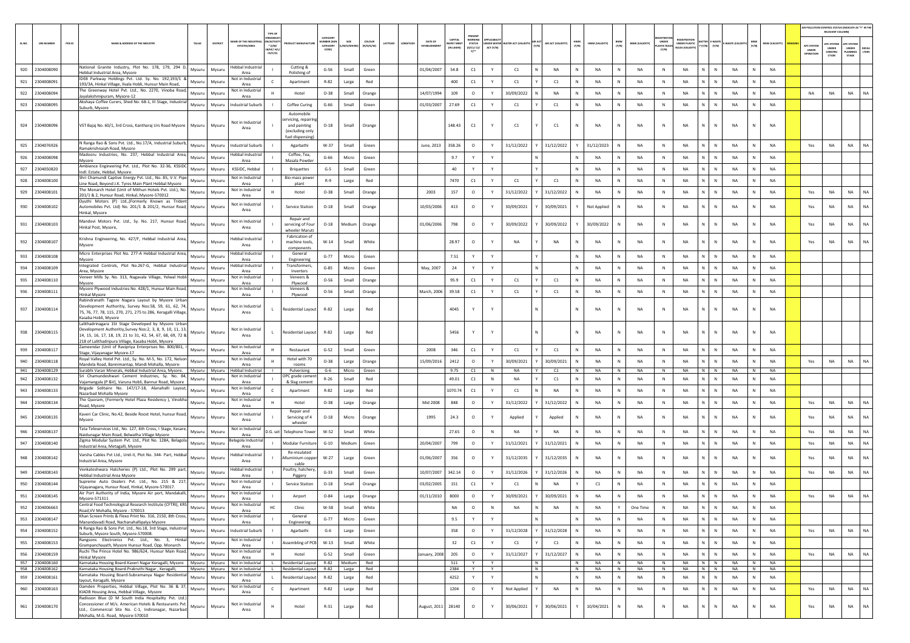|            |                                  |                                                                                                                                                                      |                  |                  |                                               |                                  |                                                 |                              |                      |              |                     |                          |                            |           |                      |                  |              |                 |                                     |                     |                                  |                             |                                  |                      |                                | AIR POLLUTION CONTROL STATUS (INDICATE AS "Y" IN TH |                           |                       |
|------------|----------------------------------|----------------------------------------------------------------------------------------------------------------------------------------------------------------------|------------------|------------------|-----------------------------------------------|----------------------------------|-------------------------------------------------|------------------------------|----------------------|--------------|---------------------|--------------------------|----------------------------|-----------|----------------------|------------------|--------------|-----------------|-------------------------------------|---------------------|----------------------------------|-----------------------------|----------------------------------|----------------------|--------------------------------|-----------------------------------------------------|---------------------------|-----------------------|
| SL.NO.     | <b>UIN NUMBER</b>                | PCB ID<br><b>VAME &amp; ADDRESS OF THE INDUSTR'</b>                                                                                                                  | TALUR            | DISTRICT         | ME OF THE INDUST                              | N/ACTIVI                         |                                                 | CATEGOR<br><b>UMBER (XG)</b> | SIZE                 | coLous       | DATE OF<br>LATITUDE | CAPITAL<br><b>EST ME</b> | <b>WORKIN</b>              |           | <b>TER ACT (VALI</b> | AIR ACT (VALIDIT | HWM<br>(Y/N) | HWM (VALIDITY   | <b>BMW</b><br><b>BMW (VALIDITY)</b> | UNDER               |                                  | <b>ITTER E-WAST</b>         |                                  | <b>MSW (VALIDITY</b> |                                | RELEVANT COLUMN)<br><b>PC SYSTEM</b>                | APC SYSTER                |                       |
|            |                                  |                                                                                                                                                                      |                  |                  | <b>ESTATES/AREA</b>                           | $*$ (1/M/<br>LB/HC/ H/<br>CE/C/O |                                                 | CATEGORY<br>CODE)            | t/S/MIG              | (R/O/G/W)    | ESTABLISHIN         | IN LAKHS]                | STATUS<br>(0/C1/ C2/<br>Y1 | ACT (Y/N) |                      |                  |              |                 | (Y/N)                               | ASTIC RULE<br>(Y/N) | JNDER PLASTIC<br>ULES (VALIDITY) | $(Y/N) = (Y/N)$             | (Y/N)                            |                      | APC SYSTEI<br>UNDER<br>PERATIO | <b>UNDER</b><br>CONSTRU<br>CTION                    | UNDER<br>LANNING<br>STAGE | <b>DEFAU</b><br>LTERS |
|            |                                  | National Granite Industry, Plot No. 178, 179, 294 D,                                                                                                                 |                  |                  | Hebbal Industria                              |                                  | Cutting &                                       |                              |                      |              |                     |                          |                            |           |                      |                  |              |                 |                                     |                     |                                  | N<br>${\sf N}$              |                                  |                      |                                |                                                     |                           |                       |
| 920<br>921 | 2304008090<br>2304008091         | Hebbal Industrial Area, Mysore<br>IDEB Parkway Holdings Pvt. Ltd. Sy. No. 192,193/1 &                                                                                | Mysuru<br>Mysuru | Mysuru<br>Mysuru | Area<br>Not in Industrial                     |                                  | Polishing of<br>Apartment                       | $G-56$<br>$R - 82$           | Small                | Green<br>Red | 01/04/2007          | 54.8<br>400              | C1<br>C1                   | Y<br>Y    | C1<br>C1             | NA<br>C1         | N            | NA<br><b>NA</b> | N<br>NA<br>N<br>NA                  | N<br>N              | NA<br><b>NA</b>                  | N<br>$\mathbb N$            | NA<br><b>NA</b>                  | NA<br><b>NA</b>      |                                |                                                     |                           |                       |
|            | 2304008094                       | 193/3A, Hinkal Village, Ilvala Hobli, Hunsur Main Road,<br>The Greenway Hotel Pvt. Ltd., No. 2270, Vinoba Road,                                                      |                  |                  | Area<br>Not in Industrial                     |                                  | Hotel                                           |                              | Large                |              |                     |                          |                            |           |                      | <b>NA</b>        |              | <b>NA</b>       | N<br><b>NA</b>                      | N                   | <b>NA</b>                        | N<br>$\mathbb{N}$           | <b>NA</b>                        | <b>NA</b>            | <b>NA</b>                      | NA                                                  | NA                        |                       |
| 922        | 2304008095                       | Jayalakshmipuram, Mysore-12<br>Akshaya Coffee Curers, Shed No. 68-1, III Stage, Industrial                                                                           | Mysuru           | Mysuru           | Area                                          |                                  |                                                 | $O-38$                       | Small                | Orange       | 14/07/1994          | 109                      | $\circ$                    | Y         | 30/09/2022           |                  | N            |                 | N                                   | N                   |                                  | N<br>${\sf N}$              |                                  |                      |                                |                                                     |                           |                       |
| 923        |                                  | Suburb, Mysore                                                                                                                                                       | Mysuru           | Mysuru           | Industrial Suburl                             |                                  | Coffee Curing<br>Automobile                     | $G-66$                       | Small                | Green        | 01/03/2007          | 27.69                    | C1                         |           | C1                   | C1               |              | NA              | NA                                  |                     | <b>NA</b>                        |                             | NA                               | NA                   |                                |                                                     |                           |                       |
|            | 924 2304008096                   | VST Bajaj No. 60/1, 3rd Cross, Kantharaj Urs Road Mysore                                                                                                             | Mysuru           | Mysuru           | Not in Industrial                             |                                  | rvicing, repairir<br>and painting               | $O-18$                       | Small                | Orange       |                     | 148.43                   | C1                         |           | C1                   | C1               | N            | NA              | NA                                  | $\mathbb{N}$        | NA                               | $\mathsf{N}$                | NA                               | <b>NA</b>            |                                |                                                     |                           |                       |
|            |                                  |                                                                                                                                                                      |                  |                  | Area                                          |                                  | (excluding only<br>uel dispensing               |                              |                      |              |                     |                          |                            |           |                      |                  |              |                 |                                     |                     |                                  |                             |                                  |                      |                                |                                                     |                           |                       |
| 925        | 2304076926                       | N Ranga Rao & Sons Pvt. Ltd., No.17/A, Industrial Suburb,<br>Ramakrishnaiah Road, Mysore                                                                             | Mysuru           | Mysuru           | Industrial Suburt                             |                                  | Agarbathi                                       | W-37                         | Small                | Green        | June, 2013          | 358.26                   | $\circ$                    | Y         | 31/12/2022           | Y 31/12/2022     |              | 31/12/2023      | NA<br>N                             | N                   | NA                               | N<br>${\sf N}$              | NA<br>N                          | <b>NA</b>            | Yes                            | NA                                                  | NA                        | NA                    |
| 926        | 2304008098                       | Madooru Industries, No. 237, Hebbal Industrial Area,<br>Mysore                                                                                                       | Mysuru           | Mysuru           | lebbal Industria<br>Area                      |                                  | Coffee, Tea,<br>Masala Powde                    | $G-66$                       | Micro                | Green        |                     | 9.7                      |                            |           |                      |                  |              | NA              | NA                                  | N                   | NA                               | N<br>${\sf N}$              | NA                               | NA                   |                                |                                                     |                           |                       |
| 927        | 2304050820                       | Ambience Engineering Pvt. Ltd., Plot No. 32-36, KSSIDC<br>Indl. Estate, Hebbal, Mysore.                                                                              | Mysuru           | Mysuru           | KSSIDC, Hebbal                                |                                  | <b>Briquettes</b>                               | $G-5$                        | Small                | Green        |                     | 40                       | Y                          | Y         |                      |                  | N            | <b>NA</b>       | N<br>NA                             | N                   | <b>NA</b>                        | N<br>$\mathbb{N}$           | <b>NA</b><br>N                   | <b>NA</b>            |                                |                                                     |                           |                       |
| 928        | 2304008100                       | Shri Chamundi Captive Energy Pvt. Ltd., No. 85, V.V. Pipe<br>Line Road, Beyond J.K. Tyres Main Plant Hebbal Mysore                                                   | Mysuru           | Mysuru           | Not in Industrial<br>Area                     |                                  | Bio-mass power<br>plant                         | $R-9$                        | Large                | Red          |                     | 7470                     | C1                         | Y         | C1                   | C1               | N            | <b>NA</b>       | <b>NA</b><br>N                      | N                   | <b>NA</b>                        | N.<br>$\mathbb{N}$          | <b>NA</b><br>N                   | <b>NA</b>            |                                |                                                     |                           |                       |
| 929        | 2304008101                       | The Monarch Hotel (Unit of Mithun Hotels Pvt. Ltd.), No.<br>201/1 & 2. Hunsur Road, Hinkal, Mysore-570012                                                            | Mysuru           | Mysuru           | Not in Industrial<br>Area                     |                                  | Hotel                                           | $O-38$                       | Small                | Orange       | 2003                | 157                      | $\circ$                    | Y         | 31/12/2022           | 31/12/2022       |              | <b>NA</b>       | N<br>NA                             | N                   | NA                               | N.<br>${\sf N}$             | <b>NA</b>                        | NA                   | Yes                            | <b>NA</b>                                           | <b>NA</b>                 | NA                    |
| 930        | 2304008102                       | Dyuthi Motors (P) Ltd.,(Formerly Known as Trident<br>Automobiles Pvt. Ltd) No. 201/1 & 201/2, Hunsur Road, Mysuru                                                    |                  | Mysuru           | Not in Industrial                             |                                  | Service Station                                 | $O-18$                       | Small                | Orange       | 10/03/2006          | 413                      | $\circ$                    |           | 30/09/2021           | 30/09/2021       |              | Not Applied     | <b>NA</b><br>N                      | N                   | <b>NA</b>                        | N<br>N                      | <b>NA</b>                        | <b>NA</b>            | Yes                            | <b>NA</b>                                           | <b>NA</b>                 | <b>NA</b>             |
|            |                                  | Hinkal, Mysore                                                                                                                                                       |                  |                  | Area                                          |                                  | Repair and                                      |                              |                      |              |                     |                          |                            |           |                      |                  |              |                 |                                     |                     |                                  |                             |                                  |                      |                                |                                                     |                           |                       |
|            | 931 2304008103                   | Mandovi Motors Pvt. Ltd., Sy. No. 217, Hunsur Road,<br>Hinkal Post, Mysore,                                                                                          | Mysuru           | Mysuru           | Not in Industrial<br>Area                     |                                  | servicing of Four                               | $O-18$                       | Medium               | Orange       | 01/06/2006          | 798                      | $\circ$                    |           | 30/09/2022           | 30/09/2022       |              | 30/09/2022      | NA<br>N                             | $\mathbb{N}$        | NA                               | N<br>$\mathbb{N}$           | <b>NA</b>                        | <b>NA</b>            | Yes                            | NA                                                  | <b>NA</b>                 | <b>NA</b>             |
|            |                                  | Krishna Engineering, No. 427/F, Hebbal Industrial Area,                                                                                                              |                  |                  | lebbal Industrial                             |                                  | wheeler Maruti<br>Fabrication of                |                              |                      |              |                     |                          |                            |           |                      | <b>NA</b>        |              | <b>NA</b>       |                                     | N                   | <b>NA</b>                        | N<br>$\mathbb{N}$           | <b>NA</b>                        | <b>NA</b>            |                                |                                                     |                           | <b>NA</b>             |
| 932        | 2304008107                       | Mysore                                                                                                                                                               | Mysuru           | Mysuru           | Area                                          |                                  | machine tools,<br>components                    | $W-14$                       | Small                | White        |                     | 28.97                    | $\circ$                    |           | NA                   |                  |              |                 | NA<br>N                             |                     |                                  |                             |                                  |                      | Yes                            | NA                                                  | NA                        |                       |
| 933        | 2304008108                       | Micro Enterprises Plot No. 277-A Hebbal Industrial Area,<br>Mysore                                                                                                   | Mysuru           | Mysuru           | Hebbal Industrial<br>Area                     |                                  | General<br>Engineering                          | $G-77$                       | Micro                | Green        |                     | 7.51                     |                            | Y         |                      |                  | N            | <b>NA</b>       | N<br>NA                             | N                   | NA                               | N<br>$\mathbb{N}$           | <b>NA</b><br>N                   | <b>NA</b>            |                                |                                                     |                           |                       |
| 934        | 2304008109                       | Integrated Controls, Plot No.267-G, Hebbal Industria<br>Area, Mysore                                                                                                 | Mvsuru           | Mysuru           | <b>Hebbal Industrial</b><br>Area              |                                  | Transformers,<br>Inverters                      | $G-85$                       | Micro                | Green        | May, 2007           | 24                       |                            |           |                      |                  | N            | <b>NA</b>       | N<br><b>NA</b>                      | N                   | <b>NA</b>                        | N.<br>$\mathbb{N}$          | <b>NA</b>                        | <b>NA</b>            |                                |                                                     |                           |                       |
| 935        | 2304008110                       | Veneer Mills Sy. No. 313, Nagavala Village, Yelwal Hobli<br>Mysore                                                                                                   | Mysuru           | Mysuru           | Not in Industria<br>Area                      |                                  | Veneers &<br>Plywood                            | $O-56$                       | Small                | Orange       |                     | 95.9                     | C1                         |           | C1                   | C1               |              | NA              | N<br>NA                             | $\mathbb N$         | <b>NA</b>                        | N<br>N                      | NA                               | <b>NA</b>            |                                |                                                     |                           |                       |
| 936        | 2304008111                       | Mysore Plywood Industries No. 428/1, Hunsur Main Road,<br><b>Hinkal Mysore</b>                                                                                       | Mysuru           | Mysuru           | Not in Industrial<br>Area                     |                                  | Veneers &<br>Plywood                            | $O - 56$                     | Small                | Orange       | March, 2006         | 39.58                    | C1                         | Y         | C1                   | C1               | N            | NA              | N<br>NA                             | $\,$ N              | NA                               | N<br>$\mathbb N$            | NA<br>N                          | NA                   |                                |                                                     |                           |                       |
|            | 937 2304008114                   | Rabindranath Tagore Nagara Layout by Mysore Urbar<br>evelopment Authoritiy, Survey Nos:58, 59, 61, 62, 74,                                                           | Mysuru           | Mysuru           | Not in Industrial                             | L.                               | Residential Layou                               | R-82                         | Large                | Red          |                     | 4045                     | Y                          |           |                      |                  | N            | <b>NA</b>       | N<br>NA                             | N                   | NA                               | M.<br>$\mathbb N$           | NA                               | <b>NA</b>            |                                |                                                     |                           |                       |
|            |                                  | 75, 76, 77, 78, 115, 270, 271, 275 to 286, Keragalli Village,<br>Kasaba Hobli, Mysore                                                                                |                  |                  | Area                                          |                                  |                                                 |                              |                      |              |                     |                          |                            |           |                      |                  |              |                 |                                     |                     |                                  |                             |                                  |                      |                                |                                                     |                           |                       |
| 938        | 2304008115                       | Lalithadrinagara 1St Stage Developed by Mysore Urban<br>Development Authoritiy, Survey Nos: 2, 3, 8, 9, 10, 11, 13,                                                  |                  | Mysuru           | Not in Industrial                             |                                  |                                                 | R-82                         |                      | Red          |                     | 5456                     |                            |           |                      |                  | N            | <b>NA</b>       | NA<br>N                             | ${\sf N}$           | NA                               | $\mathbf{N}$<br>$\mathbb N$ | NA                               | <b>NA</b>            |                                |                                                     |                           |                       |
|            |                                  | 14, 15, 16, 17, 18, 19, 21 to 31, 42, 54, 67, 68, 69, 72 &<br>218 of Lalithadripura Village, Kasaba Hobli, Mysore                                                    | Mysuru           |                  | Area                                          |                                  | Residential Layout                              |                              | Large                |              |                     |                          |                            |           |                      |                  |              |                 |                                     |                     |                                  |                             |                                  |                      |                                |                                                     |                           |                       |
| 939        | 2304008117                       | Zameendar (Unit of Ravipriya Enterprises No. 800/801,<br>Stage, Vijayanagar Mysore-17                                                                                | Mysuru           | Mysuru           | Not in Industria<br>Area                      |                                  | Restaurant                                      | $G-52$                       | Small                | Green        | 2008                | 346                      | C1                         | Y         | C1                   | C1               | N            | <b>NA</b>       | N<br>NA                             | $\,$ N              | NA                               | N<br>$\mathbb N$            | NA<br>N                          | <b>NA</b>            |                                |                                                     |                           |                       |
| 940        | 2304008118                       | Royal Valley Hotel Pvt. Ltd., Sy. No. M-5, No. 172, Nelso<br>Mandela Road, Bannimantap, Mandi Mohalla, Mysore-                                                       | Mysuru           | Mysuru           | Not in Industria<br>Area                      |                                  | Hotel with 70<br>rooms                          | $O - 38$                     | Large                | Orange       | 15/09/2016          | 2412                     | $\circ$                    | Y         | 30/09/2021           | 30/09/2021       |              | <b>NA</b>       | NA<br>N                             | N                   | NA                               | N<br>N                      | <b>NA</b>                        | <b>NA</b>            | Yes                            | NA                                                  | NA                        | <b>NA</b>             |
|            | 941 2304008129                   | Surabhi Varan Minerals, Hebbal Industrial Area, Mysore.<br>Sri Chamundeshwari Cement Industries, Sy. No. 84                                                          | Mysuru           | Mysuru           | <b>Hebbal Industrial</b><br>Not in Industrial |                                  | Pulverising<br>OPC grade ceme                   | G-6                          | Micro                | Green        |                     | 9.75                     | C1                         | N         | <b>NA</b>            | Y<br>C1          | N            | <b>NA</b>       | <b>NA</b><br>N                      | N                   | <b>NA</b>                        | $N$ $N$                     | N<br>NA                          | <b>NA</b>            |                                |                                                     |                           |                       |
| 942        | 2304008132                       | Vajamangala (P &V), Varuna Hobli, Bannur Road, Mysore<br>Brigade Solitaire No. 147/17-18, Alanahalli Layout                                                          | Mysuru           | Mysuru           | Area<br>Not in Industria                      |                                  | & Slag cement                                   | $R-26$                       | Small                | Red          |                     | 49.01                    | C1                         | N         | NA                   | C1               | N            | NA              | N<br>NA                             | N                   | NA                               | N<br>${\sf N}$              | NA<br>N                          | NA                   |                                |                                                     |                           |                       |
| 943        | 2304008133                       | Nazarbad Mohalla Mysore<br>The Quoram, (Formerly Hotel Plaza Residency ), Vinobha                                                                                    | Mysuru           | Mysuru           | Area<br>Not in Industrial                     |                                  | Apartment                                       | R-82                         | Large                | Red          |                     | 1070.74                  | C1                         |           | C1                   | NA               |              | <b>NA</b>       | <b>NA</b><br>N                      | N                   | <b>NA</b>                        | N<br>N                      | <b>NA</b>                        | <b>NA</b>            |                                |                                                     |                           |                       |
| 944        | 2304008134                       | Road, Mysore                                                                                                                                                         | Mysuru           | Mysuru           | Area                                          |                                  | Hotel<br>Repair and                             | $O-38$                       | Large                | Orange       | Mid 2008            | 848                      | $\circ$                    | Y         | 31/12/2022           | 31/12/2022       | N            | <b>NA</b>       | N<br>NA                             | $\mathbb{N}$        | <b>NA</b>                        | N<br>$\mathbb N$            | <b>NA</b><br>N                   | <b>NA</b>            | Yes                            | <b>NA</b>                                           | <b>NA</b>                 | NA                    |
| 945        | 2304008135                       | Kaveri Car Clinic, No.42, Beside Roost Hotel, hunsur Road,<br>Mysore                                                                                                 | Mysuru           | Mysuru           | Not in Industrial<br>Area                     |                                  | Servicing of 4<br>wheele                        | $O-18$                       | Micro                | Orange       | 1995                | 24.3                     | $\circ$                    |           | Applied              | Applied          |              | <b>NA</b>       | <b>NA</b>                           | N                   | <b>NA</b>                        | N<br>$\mathsf{N}$           | <b>NA</b>                        | <b>NA</b>            | Yes                            | NA                                                  | <b>NA</b>                 | <b>NA</b>             |
| 946        | 2304008137                       | Tata Teleservices Ltd., No. 127, 6th Cross, I Stage, Kesare,<br>Naidunagar Main Road, Belwatha Village Mysore                                                        | Mysuru           | Mysuru           | Not in Industrial<br>Area                     | D.G. set                         | <b>Telephone Towe</b>                           | W-52                         | Small                | White        |                     | 27.65                    | $\circ$                    | N         | NA                   | <b>NA</b>        | N            | NA              | N<br>NA                             | $\,$ N              | NA                               | N<br>$\mathbb N$            | NA                               | <b>NA</b>            | Yes                            | NA                                                  | <b>NA</b>                 | <b>NA</b>             |
| 947        | 2304008140                       | Zigma Modular System Pvt. Ltd., Plot No. 128A, Belagola<br>Industrial Area, Metagalli, Mysore                                                                        | Mysuru           | Mysuru           | elagola Industrial<br>Area                    |                                  | Modular Furnitur                                | $G-10$                       | Medium               | Green        | 20/04/2007          | 799                      | $\circ$                    | Y         | 31/12/2021           | 31/12/2021       | N            | <b>NA</b>       | <b>NA</b><br>N                      | N                   | <b>NA</b>                        | N<br>N                      | <b>NA</b>                        | <b>NA</b>            | Yes                            | NA                                                  | <b>NA</b>                 | NA                    |
| 948        | 2304008142                       | Varsha Cables Pvt Ltd., Unit-II, Plot No. 344- Part, Hebbal                                                                                                          | Mysuru           | Mysuru           | <b>Hebbal Industrial</b>                      |                                  | Re-insulated<br><b>Illuminium copp</b>          | $W-27$                       | Large                | Green        | 01/06/2007          | 356                      | $\circ$                    |           | 31/12/2035           | 31/12/2035       | N            | <b>NA</b>       | <b>NA</b><br>N                      | N                   | <b>NA</b>                        | N<br>$\mathbb{N}$           | <b>NA</b>                        | <b>NA</b>            | Yes                            | N <sub>A</sub>                                      | <b>NA</b>                 | NA                    |
|            |                                  | Industrial Area, Mysore<br>Venkateshwara Hatcheries (P) Ltd., Plot No. 299 part,                                                                                     |                  |                  | Area<br>Hebbal Industrial                     |                                  | cable<br>Poultry, hatchery                      |                              |                      |              |                     |                          |                            |           |                      |                  |              |                 |                                     |                     |                                  |                             |                                  |                      |                                |                                                     |                           |                       |
| 949        | 2304008143                       | Hebbal Industrial Area Mysore<br>Supreme Auto Dealers Pvt. Ltd., No. 215 & 217,                                                                                      | Mysuru           | Mysuru           | Area<br>Not in Industria                      |                                  | Piggery                                         | $G-33$                       | Small                | Green        | 10/07/2007          | 342.14                   | $\circ$                    | Y         | 31/12/2026           | 31/12/2026       | N            | <b>NA</b>       | N<br><b>NA</b>                      | N                   | <b>NA</b>                        | N<br>N                      | <b>NA</b>                        | <b>NA</b>            | Yes                            | NA                                                  | <b>NA</b>                 | NA                    |
| 950        | 2304008144                       | Vijayanagara, Hunsur Road, Hinkal, Mysore-570017.<br>Air Port Authority of India, Mysore Air port, Mandakalli,                                                       | Mysuru           | Mysuru           | Area<br>Not in Industrial                     |                                  | Service Station                                 | $O-18$                       | Small                | Orange       | 03/02/2005          | 151                      | C1                         |           | C1                   | NA               |              | C1              | N<br>NA                             | N                   | NA                               | N.<br>N                     | NA                               | NA                   |                                |                                                     |                           |                       |
| 951        | 2304008145                       | Mysore-571311<br>Central Food Technological Research Institute (CFTRI), KRS                                                                                          | Mysuru           | Mysuru           | Area<br>Not in Industrial                     |                                  | Airport                                         | $O - 84$                     | Large                | Orange       | 01/11/2010          | 8000                     | $\circ$                    | Y         | 30/09/2021           | 30/09/2021       | N            | NA              | NA<br>N                             | N                   | NA                               | N<br>$\mathbb N$            | NA                               | <b>NA</b>            | Yes                            | NA                                                  | <b>NA</b>                 |                       |
| 952        | 2304006663                       | Road, VV Mohalla, Mysore - 570013<br>Khan Screen Prints & Flexo Print No. 316, 2150, 8th Cross.                                                                      | Mysuru           | Mysuru           | Area<br>Not in Industrial                     | HC                               | Clinic<br>General                               | w-58                         | Small                | White        |                     | NA.                      |                            | N         | NA.                  | <b>NA</b>        |              | <b>NA</b>       | One Time                            | 'N.                 | <b>NA</b>                        | N.                          | <b>NA</b>                        | NA                   |                                |                                                     |                           |                       |
| 953        | 2304008147                       | Manandavadi Road, Nachanahallipalya Mysore                                                                                                                           | Mysuru           | Mysuru           | Area                                          |                                  | Engineering                                     | $G-77$                       | Micro                | Green        |                     | 9.5                      |                            |           |                      | N.               | $\mathbb{N}$ | NA              | N<br>NA                             | $\mathbb{N}$        | NA                               | N<br>$\,$ N                 | NA<br>${\sf N}$                  | <b>NA</b>            |                                |                                                     |                           |                       |
| 954        | 2304008152                       | N Ranga Rao & Sons Pvt. Ltd., No.18, 3rd Stage, Industrial<br>Suburb, Mysore South, Mysore-570008.                                                                   | Mysuru           | Mysuru           | <b>Industrial Suburb</b>                      |                                  | Agarbathi                                       | $G-6$                        | Large                | Green        |                     | 358                      | $\circ$                    | Y         | 31/12/2028           | 31/12/2028       | N            | NA              | NA<br>N                             | $\,$ N              | NA                               | $N$ $N$                     | NA<br>N                          | NA                   | Yes                            | NA                                                  | <b>NA</b>                 | NA                    |
| 955        | 2304008153                       | Rangsons Electronics Pvt. Ltd., No. 3, Hinkal<br>Grampanchayath, Mysore Hunsur Road, Opp. Monarch                                                                    | Mysuru           | Mysuru           | Not in Industrial<br>Area                     |                                  | Assembling of PCB                               | $W-13$                       | Small                | White        |                     | 32                       | $\mathsf{C1}$              | Y         | C1                   | C1               | N            | NA              | N<br>NA                             | N                   | NA                               | $\mathsf{N}=\mathsf{N}$ .   | NA<br>N                          | NA                   |                                |                                                     |                           |                       |
| 956        | 2304008159                       | Ruchi The Prince Hotel No. 986/624, Hunsur Main Road,<br>Hinkal Mysore                                                                                               | Mysuru           | Mysuru           | Not in Industrial<br>Area                     | H                                | Hotel                                           | $G-52$                       | Small                | Green        | anuary, 2008        | 205                      | $\circ$                    | Y         | 31/12/2027           | 31/12/2027<br>ΥI | N            | NA              | N<br>NA                             | N                   | NA                               | $N$ $N$                     | NA<br>N                          | NA                   | Yes                            | NA                                                  | <b>NA</b>                 | NA                    |
|            | 957 2304008160<br>958 2304008162 | Karnataka Housing Board-Kaveri Nagar Keragalli, Mysore Mysuru Mysuru<br>Karnataka Housing Board-Prakruthi Nagar , Keragalli, Mysuru   Mysuru   Not in Industrial   L |                  |                  | Not in Industrial                             |                                  | <b>Residential Layout</b><br>Residential Layout | R-82                         | R-82 Medium<br>Large | Red<br>Red   |                     | 511<br>2384              | Y<br>Y                     | Y<br>Y    |                      | N<br>N           | N<br>N       | <b>NA</b><br>NA | <b>NA</b><br>N<br>N<br>NA           | N<br>N              | <b>NA</b><br><b>NA</b>           | $N$ $N$<br>$N$ $N$          | <b>NA</b><br>N<br><b>NA</b><br>N | NA<br>NA             |                                |                                                     |                           |                       |
| 959        | 2304008161                       | Karnataka Housing Board-Subramanya Nagar Residential<br>layout, Keragalli, Mysore                                                                                    | Mysuru           | Mysuru           | Not in Industrial<br>Area                     |                                  | Residential Layou                               | $R-82$                       | Large                | Red          |                     | 4252                     | Y                          | Y         |                      | N                | N            | NA              | N<br>NA                             | $\,$ N              | NA                               | N<br>$\,$ N                 | ${\sf N}$<br><b>NA</b>           | <b>NA</b>            |                                |                                                     |                           |                       |
| 960        | 2304008163                       | Damden Properties, Hebbal Village, Plot No. 36 & 37,<br>KIADB Housing Area, Hebbal Village, Mysore                                                                   | Mysuru           | Mysuru           | Not in Industrial<br>Area                     | $\mathsf{C}$                     | Apartment                                       | $R-82$                       | Large                | Red          |                     | 1204                     | $\circ$                    | Y         | Not Applied          | NA               | N            | NA              | NA<br>N                             | $\,$ N              | NA                               | $N$ $N$                     | NA<br>N                          | <b>NA</b>            | Yes                            | NA                                                  | <b>NA</b>                 | NA                    |
| 961        | 2304008170                       | Radisson Blue (D M South India Hospitality Pvt. Ltd.)<br>Concessioner of M/s. American Hotels & Restaurants Pvt.                                                     | Mysuru           | Mysuru           | Not in Industrial                             | H                                | Hotel                                           | $R-31$                       | Large                | Red          | August, 2011        | 28140                    | $\circ$                    | Y         | 30/06/2021           | 30/06/2021       | Y            | 10/04/2021      | N<br>NA                             | $\,$ N              | NA                               | N<br>${\sf N}$              | ${\sf N}$<br>NA                  | NA                   | Yes                            | NA                                                  | NA                        | NA                    |
|            |                                  | Ltd., Commercial Site No. C-1, Indiranagar, Nazarbad<br>Mohalla, M.G. Road, Mysore-570010                                                                            |                  |                  | Area                                          |                                  |                                                 |                              |                      |              |                     |                          |                            |           |                      |                  |              |                 |                                     |                     |                                  |                             |                                  |                      |                                |                                                     |                           |                       |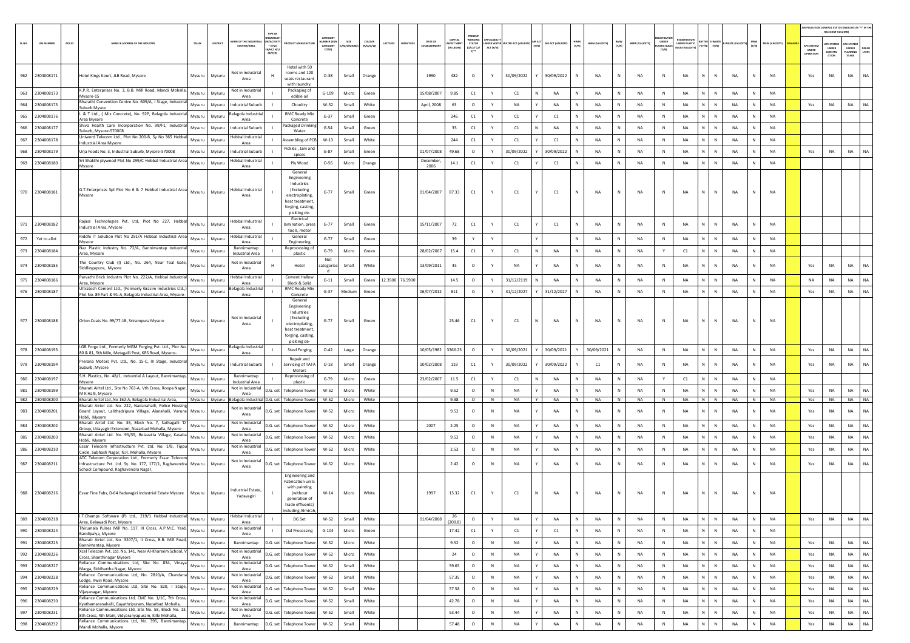|            |                          |        |                                                                                                                           |                  |                  |                                      |                                |                                                  |                      |                |                |          |                 |                     |                  |                                |              |                                        |   |                    |               |                 |              |                       |                       |                             |                  |                 |                  |                 |                                  | RELEVANT COLUM   | AIR POLLUTION CONTROL STATUS IINDICATE AS "Y" IN THE |
|------------|--------------------------|--------|---------------------------------------------------------------------------------------------------------------------------|------------------|------------------|--------------------------------------|--------------------------------|--------------------------------------------------|----------------------|----------------|----------------|----------|-----------------|---------------------|------------------|--------------------------------|--------------|----------------------------------------|---|--------------------|---------------|-----------------|--------------|-----------------------|-----------------------|-----------------------------|------------------|-----------------|------------------|-----------------|----------------------------------|------------------|------------------------------------------------------|
| SL.NO.     | <b>UIN NUMBER</b>        | PCB ID | NAME & ADDRESS OF THE INDUSTR'                                                                                            | TALUK            | DISTRICT         | ME OF THE INDI                       | TYPE OF<br>PEANS<br>VACTIV     | <b>OUCT MANUFACTUR</b>                           | CATEGORY<br>MBER (XG |                | coLous         | LATITUDE | MGITUDE         | DATE OF             | <b>VEST MENT</b> | PRESENT<br><b>STATUS</b>       |              |                                        |   | AIR ACT (VALIDITY) |               | HWM (VALIDITY)  | BMW<br>(Y/N) | <b>BMW (VALIDITY)</b> | <b>UNDER</b>          | UNDER PLASTIC               |                  | -WASTE (VALI    |                  | MSW (VALIDITY)  |                                  | <b>PC SYSTEM</b> | <b>PC SYSTER</b>                                     |
|            |                          |        |                                                                                                                           |                  |                  | <b>ESTATES/AREA</b>                  | $*$ (1/M/<br>B/HC/ H<br>CE/C/O |                                                  | CATEGORY             | I/S/MICE       | (R/O/G/W)      |          |                 | <b>FSTARI ISHME</b> | (IN LAKHS)       | (0/C1/C2)<br>$Y$ <sup>++</sup> | ACT (Y/N)    | INDER WATER WATER ACT (VALIDITY) (Y/N) |   |                    | HWM<br>(Y/N)  |                 |              |                       | PLASTIC RULE<br>[Y/N] | ULES (VALIDIT               | $Y(Y/N)$ $(Y/N)$ |                 | (Y/N)            |                 | APC SYSTEM<br>UNDER<br>OPERATION | UNDER<br>CONSTRU | UNDER<br><b>DEFAU<br/>LTERS</b><br>LANNING           |
|            |                          |        |                                                                                                                           |                  |                  |                                      |                                |                                                  |                      |                |                |          |                 |                     |                  |                                |              |                                        |   |                    |               |                 |              |                       |                       |                             |                  |                 |                  |                 |                                  | crion            | $\texttt{STAGE}$                                     |
| 962        | 2304008171               |        | Hotel Kings Kourt, JLB Road, Mysore                                                                                       | Mysuru           | Mysuru           | Not in Industrial                    |                                | Hotel with 50<br>rooms and 120                   | $O - 38$             | Small          | Orange         |          |                 | 1990                | 482              | $\circ$                        | Y            | 30/09/2022                             |   | 30/09/2022         |               | <b>NA</b>       | ${\sf N}$    | <b>NA</b>             | $\mathbb{N}$          | <b>NA</b>                   | N                | NA              |                  | <b>NA</b>       | Yes                              | NA               | NA<br>NA                                             |
|            |                          |        |                                                                                                                           |                  |                  | Area                                 |                                | seats restauran<br>with laundry                  |                      |                |                |          |                 |                     |                  |                                |              |                                        |   |                    |               |                 |              |                       |                       |                             |                  |                 |                  |                 |                                  |                  |                                                      |
| 963        | 2304008173               |        | K.P.R. Enterprises No. 3, B.B. Mill Road, Mandi Mohalla,<br>Mysore-15                                                     | Mysuru           | Mysuru           | Not in Industrial<br>Area            |                                | Packaging of<br>edible oil                       | $G-109$              | Micro          | Green          |          |                 | 15/08/2007          | 9.85             | C1                             | Y            | C1                                     |   | NA                 | $\mathbb N$   | NA              | N            | NA                    | N                     | <b>NA</b><br>$\mathsf{N}^-$ | N                | NA              | N                | NA              |                                  |                  |                                                      |
| 964        | 2304008175               |        | Bharathi Convention Centre No. 609/A, I Stage, Industrial<br>uburb Mysoe                                                  | Mysuru           | Mysuru           | ndustrial Suburb                     |                                | Choultry                                         | W-52                 | Small          | White          |          |                 | April, 2008         | 63               | $\circ$                        | Y            | <b>NA</b>                              |   | NA                 |               | NA              | N            | <b>NA</b>             | N                     | <b>NA</b><br>N              | $\mathsf{N}$     | NA              | $\mathbb{N}$     | <b>NA</b>       | Yes                              | NA               | NA.<br>NA                                            |
| 965        | 2304008176               |        | L & T Ltd., ( Mix Concrete), No. 92P, Belagola Industria<br>Area Mysore                                                   | Mysuru           | Mysuru           | elagola Industria<br>Area            |                                | <b>RMC Ready Mix</b><br>Concrete                 | $G-37$               | Small          | Green          |          |                 |                     | 246              | $\mathsf{C1}$                  | $\mathsf{Y}$ | C1                                     |   | C1                 | N             | <b>NA</b>       | N            | NA                    | N                     | $\mathsf{N}^-$<br><b>NA</b> | $\mathbb{N}$     | <b>NA</b>       | $\mathbb N$      | <b>NA</b>       |                                  |                  |                                                      |
| 966        | 2304008177               |        | Shiva Health Care Incorporation No. 99/F1, Industrial<br>uburb. Mysore-570008                                             | Mysuru           | Mysuru           | Industrial Suburb                    |                                | Packaged Drinking<br>Water                       | $G-54$               | Small          | Green          |          |                 |                     | 35               | C1                             | Y            | C1                                     |   | <b>NA</b>          | N             | <b>NA</b>       | N            | <b>NA</b>             | N                     | <b>NA</b><br>N.             | N                | NA              | N                | <b>NA</b>       |                                  |                  |                                                      |
| 967        | 2304008178               |        | niword Telecom Ltd., Plot No 200-B, Sy No 365 Hebbal                                                                      | Mysuru           | Mysuru           | ebbal Industria                      |                                | Assembling of PCB                                | $W-13$               | Small          | White          |          |                 |                     | 244              | C1                             | Y            | C1                                     |   | C1                 |               | NA              | N            | NA                    | N                     | N.<br>NA                    | N                | <b>NA</b>       | N                | NA              |                                  |                  |                                                      |
| 968        | 2304008179               |        | ndustrial Area Mysore<br>Urja Foods No. 3, Industrial Suburb, Mysore-570008                                               | Mysuru           | Mysuru           | Area<br>ndustrial Suburb             |                                | Pickles, Jam an                                  | $G-87$               | Small          | Green          |          |                 | 01/07/2008          | 49.68            | $\circ$                        | Y            | 30/09/2022                             |   | 30/09/2022         |               | NA              | N            | <b>NA</b>             | $\,$ N                | <b>NA</b><br>N              | $\mathbb{N}$     | NA              | N                | NA              | Yes                              | NA               | NA<br>NA                                             |
| 969        | 2304008180               |        | Sri Shakthi plywood Plot No 299/C Hebbal Industrial Area                                                                  | Mysuru           | Mysuru           | Hebbal Industria                     |                                | spices<br>Ply Wood                               | $O - 56$             | Micro          | Orange         |          |                 | December            | 14.1             | C1                             | Y            | C1                                     |   | C1                 |               | <b>NA</b>       | ${\sf N}$    | <b>NA</b>             | $\mathbb{N}$          | <b>NA</b>                   | N                | NA              |                  | <b>NA</b>       |                                  |                  |                                                      |
|            |                          |        | Mysore                                                                                                                    |                  |                  | Area                                 |                                | General                                          |                      |                |                |          |                 | 2006                |                  |                                |              |                                        |   |                    |               |                 |              |                       |                       |                             |                  |                 |                  |                 |                                  |                  |                                                      |
|            |                          |        |                                                                                                                           |                  |                  |                                      |                                | Engineering<br>Industries                        |                      |                |                |          |                 |                     |                  |                                |              |                                        |   |                    |               |                 |              |                       |                       |                             |                  |                 |                  |                 |                                  |                  |                                                      |
|            | 970 2304008181           |        | G.T.Enterprises Spl Plot No 6 & 7 Hebbal Industrial Area<br>Mysore                                                        | Mysuru           | Mysuru           | Hebbal Industrial<br>Area            |                                | <i>(Excluding</i>                                | $G-77$               | Small          | Green          |          |                 | 01/04/2007          | 87.33            | C1                             | Y            | C1                                     |   | C1                 |               | <b>NA</b>       | N            | NA                    | $\mathsf{N}$          | NA                          | N                | NA              |                  | <b>NA</b>       |                                  |                  |                                                      |
|            |                          |        |                                                                                                                           |                  |                  |                                      |                                | electroplating,<br>heat treatment                |                      |                |                |          |                 |                     |                  |                                |              |                                        |   |                    |               |                 |              |                       |                       |                             |                  |                 |                  |                 |                                  |                  |                                                      |
|            |                          |        |                                                                                                                           |                  |                  |                                      |                                | forging, casting<br>pickling de-                 |                      |                |                |          |                 |                     |                  |                                |              |                                        |   |                    |               |                 |              |                       |                       |                             |                  |                 |                  |                 |                                  |                  |                                                      |
| 971        | 2304008182               |        | cajass Technologies Pvt. Ltd, Plot No 227, Hebbal<br>Industrial Area, Mysore                                              | Mysuru           | Mysuru           | Hebbal Industrial<br>Area            |                                | Electrical<br>amination, press                   | $G-77$               | Small          | Green          |          |                 | 15/11/2007          | 72               | C1                             |              | C1                                     |   | C1                 | $\mathbb N$   | NA              | ${\sf N}$    | <b>NA</b>             | $\mathbb{N}$          | NA                          | N                | NA              | N                | <b>NA</b>       |                                  |                  |                                                      |
|            |                          |        | Riddhi IT Solution Plot No 291/A Hebbal Industrial Area                                                                   |                  |                  | Hebbal Industrial                    |                                | tools, motor<br>General                          |                      |                |                |          |                 |                     |                  |                                |              |                                        |   |                    |               |                 |              |                       |                       |                             | $\mathbb{N}$     |                 | $\mathbb N$      |                 |                                  |                  |                                                      |
| 972        | Yet to allot             |        | Mysore<br>Naz Plastic Industry No. 72/A, Bannimantap Industria                                                            | Mysuru           | Mysuru           | Area<br>Bannimantap                  |                                | Engineering<br>Reprocessing of                   | $G-77$               | Small          | Green          |          |                 |                     | 39               | Y                              | Y            |                                        |   |                    | N             | NA              | N            | <b>NA</b>             | N                     | NA<br>$\mathsf{N}^-$        |                  | NA              |                  | NA              |                                  |                  |                                                      |
| 973        | 2304008184               |        | Area, Mysore                                                                                                              | Mysuru           | Mysuru           | <b>Industrial Area</b>               |                                | plastic                                          | $G-79$<br>Not        | Micro          | Green          |          |                 | 28/02/2007          | 15.4             | C1                             | Y            | C1                                     |   | NA                 |               | NA              | ${\sf N}$    | NA                    | Y                     | C1                          | N                | NA              | N                | NA              |                                  |                  |                                                      |
| 974        | 2304008185               |        | The Country Club (I) Ltd., No. 264, Near Toal Gate,<br>Siddlingapura, Mysore                                              | Mysuru           | Mysuru           | Not in Industrial<br>Area            |                                | Hotel                                            | categorise<br>d      | Small          | White          |          |                 | 13/09/2011          | 45               | $\circ$                        |              | NA                                     |   | NA                 | $\mathbb N$   | N <sub>A</sub>  | ${\sf N}$    | NA                    | $\mathbb{N}$          | NA<br>N                     |                  | <b>NA</b>       | N                | NA              | Yes                              | <b>NA</b>        | NA.<br>NA                                            |
| 975        | 2304008186               |        | Parvathi Brick Industry Plot No. 222/A, Hebbal Industria                                                                  | Mysuru           | Mysuru           | -lebbal Industrial                   |                                | <b>Cement Hallow</b>                             | $G-11$               | Small          | Green          |          | 12.3500 76.5900 |                     | 14.5             | $\circ$                        | Y            | 31/12/2119                             |   | NA                 |               | NA              | N            | <b>NA</b>             | N                     | <b>NA</b><br>N              | N                | NA              | $\mathbb{N}$     | NA              | NA                               | NA               | NA<br>NA                                             |
|            | 976 2304008187           |        | Irea, Mysore<br>Ultratech Cement Ltd., (Formerly Grasim Industries Ltd.,)                                                 | Mysuru           | Mysuru           | Area<br>elagola Industria            |                                | Block & Solid<br>RMC Ready Mix                   | $G-37$               | Medium         | Green          |          |                 | 06/07/2012          | 811              | $\circ$                        | Y            | 31/12/2027                             |   | 31/12/2027         | N             | <b>NA</b>       | N            | NA                    | N                     | <b>NA</b><br>N.             | $\mathsf{N}$     | NA              | $\mathbb N$      | <b>NA</b>       | Yes                              | <b>NA</b>        | NA<br><b>NA</b>                                      |
|            |                          |        | Plot No. 89 Part & 91-A, Belagola Industrial Area, Mysore-                                                                |                  |                  | Area                                 |                                | Concrete<br>General                              |                      |                |                |          |                 |                     |                  |                                |              |                                        |   |                    |               |                 |              |                       |                       |                             |                  |                 |                  |                 |                                  |                  |                                                      |
|            |                          |        |                                                                                                                           |                  |                  |                                      |                                | Engineering<br>Industries                        |                      |                |                |          |                 |                     |                  |                                |              |                                        |   |                    |               |                 |              |                       |                       |                             |                  |                 |                  |                 |                                  |                  |                                                      |
|            | 977 2304008188           |        | Orion Coats No. 99/77-1B, Srirampura Mysore                                                                               | Mysuru           | Mysuru           | Not in Industrial<br>Area            |                                | (Excluding<br>electroplating,                    | $G-77$               | Small          | Green          |          |                 |                     | 25.46            | C1                             | Y            | C1                                     |   | <b>NA</b>          | N             | <b>NA</b>       | N            | <b>NA</b>             | $\mathsf{N}$          | <b>NA</b><br>N              | N                | <b>NA</b>       | N                | <b>NA</b>       |                                  |                  |                                                      |
|            |                          |        |                                                                                                                           |                  |                  |                                      |                                | heat treatment<br>forging, casting               |                      |                |                |          |                 |                     |                  |                                |              |                                        |   |                    |               |                 |              |                       |                       |                             |                  |                 |                  |                 |                                  |                  |                                                      |
|            |                          |        |                                                                                                                           |                  |                  |                                      |                                | pickling de-                                     |                      |                |                |          |                 |                     |                  |                                |              |                                        |   |                    |               |                 |              |                       |                       |                             |                  |                 |                  |                 |                                  |                  |                                                      |
| 978        | 2304008193               |        | LGB Forge Ltd., Formerly MGM Forging Pvt. Ltd., Plot No.<br>80 & 81, 5th Mile, Metagalli Post, KRS Road, Mysore-          | Mysuru           | Mysuru           | selagola Industrial<br>Area          |                                | <b>Steel Forging</b>                             | $O-42$               | Large          | Orange         |          |                 | 10/05/1982 3366.23  |                  | $\circ$                        | Y            | 30/09/2021                             |   | 30/09/2021         |               | 30/09/2021      | N            | NA                    | N                     | <b>NA</b><br>$\mathsf{N}^-$ | $\mathsf{N}$     | NA              | $\mathbb N$      | NA              | Yes                              | <b>NA</b>        | NA<br>NA                                             |
| 979        | 2304008194               |        | rerana Motors Pvt. Ltd., No. 15-C, III Stage, Industrial<br>Suburb, Mysore                                                | Mysuru           | Mysuru           | <b>Industrial Suburb</b>             |                                | Repair and<br>Servicing of TATA                  | $O-18$               | Small          | Orange         |          |                 | 10/02/2008          | 119              | C1                             | Y            | 30/09/2022                             |   | 30/09/2022         |               | C1              | N            | <b>NA</b>             | N                     | <b>NA</b><br>N              | N                | <b>NA</b>       | N                | <b>NA</b>       | Yes                              | <b>NA</b>        | NA<br>NA                                             |
| 980        | 2304008197               |        | S.H. Plastics, No. 48/1, Industrial A Layout, Bannimantap,                                                                | Mysuru           | Mysuru           | Bannimantap                          |                                | Motors<br>Reprocessing of                        | $G-79$               | Micro          | Green          |          |                 | 23/02/2007          | 11.5             | $\mathsf{C1}$                  | $\mathsf{Y}$ | C1                                     |   | <b>NA</b>          | N             | <b>NA</b>       | N            | NA                    | Y                     | C1<br>$\mathsf{N}^-$        | $\mathsf{N}$     | <b>NA</b>       | $\mathbb N$      | <b>NA</b>       |                                  |                  |                                                      |
|            |                          |        | Mysore<br>Bharati Airtel Ltd., Site No 763-A, Vth Cross, Roopa Nagar                                                      |                  |                  | Industrial Area<br>Not in Industrial |                                | plastic                                          |                      |                |                |          |                 |                     |                  |                                |              |                                        |   |                    |               |                 |              |                       |                       |                             |                  |                 |                  |                 |                                  |                  |                                                      |
| 981<br>982 | 2304008199<br>2304008200 |        | A K Halli, Mysore<br>Bharati Airtel Ltd., No 162-A, Belagola Industrial Area,                                             | Mysuru<br>Mysuru | Mysuru<br>Mysuru | Area<br>Belagola Industrial D.G. set | D.G. set                       | <b>Telephone Tower</b><br><b>Telephone Tower</b> | W-52<br>W-52         | Micro<br>Micro | White<br>White |          |                 |                     | 9.52<br>9.38     | $\circ$<br>$\circ$             | N<br>N       | <b>NA</b><br><b>NA</b>                 | Y | <b>NA</b><br>NA    | <b>N</b><br>N | <b>NA</b><br>NA | N<br>N       | <b>NA</b><br>NA       | N<br>N                | <b>NA</b><br>N<br>NA<br>N   | N<br>N           | <b>NA</b><br>NA | $\mathbb N$<br>N | <b>NA</b><br>NA | Yes<br>Yes                       | NA<br>NA         | NA<br><b>NA</b><br><b>NA</b><br>NA                   |
| 983        | 2304008201               |        | Bharati Airtel Ltd. No. 222, Nadanahalli, Police Housi<br>Board Layout, Lalithadripura Village, Alanahalli, Varuna Mysuru |                  | Mysuru           | Not in Industrial                    | D.G. set                       | <b>Telephone Tower</b>                           | W-52                 | Micro          | White          |          |                 |                     | 9.52             | $\circ$                        | N            | NA                                     |   | <b>NA</b>          | $\mathbb N$   | N <sub>A</sub>  | N            | <b>NA</b>             | $\mathsf{N}$          | <b>NA</b><br>N              |                  | <b>NA</b>       | N                | NA              | Yes                              | <b>NA</b>        | NA<br>NA                                             |
|            |                          |        | Hobli, Mysore                                                                                                             |                  |                  | Area                                 |                                |                                                  |                      |                |                |          |                 |                     |                  |                                |              |                                        |   |                    |               |                 |              |                       |                       |                             |                  |                 |                  |                 |                                  |                  |                                                      |
| 984        | 2304008202               |        | Bharati Airtel Ltd. No. 35, Block No. 7, Sathagalli 'D<br>Group, Udayagiri Extension, Nazarbad Mohalla, Mysore            | Mysuru           | Mysuru           | Not in Industrial<br>Area            | D.G. set                       | <b>Telephone Tower</b>                           | $W-52$               | Micro          | White          |          |                 | 2007                | 2.25             | $\circ$                        | ${\sf N}$    | <b>NA</b>                              |   | NA                 |               | <b>NA</b>       | ${\sf N}$    | <b>NA</b>             | $\,$ N                | NA                          | N                | NA              |                  | NA              | Yes                              | NA               | NA<br><b>NA</b>                                      |
| 985        | 2304008203               |        | Bharati Airtel Ltd. No. 93/35, Belavatta Village, Kasaba<br>Hobli, Mysore                                                 | Mysuru           | Mysuru           | Not in Industrial<br>Area            | D.G. set                       | <b>Telephone Towe</b>                            | $W-52$               | Micro          | White          |          |                 |                     | 9.52             | $\circ$                        | N            | <b>NA</b>                              |   | <b>NA</b>          |               | <b>NA</b>       | N            | <b>NA</b>             | N                     | N.<br><b>NA</b>             | N                | <b>NA</b>       | $\mathbb N$      | <b>NA</b>       | Yes                              | <b>NA</b>        | NA<br><b>NA</b>                                      |
| 986        | 2304008210               |        | Essar Telecom Infrastructure Pvt. Ltd. No. 1/B, Tippu<br>Circle, Subhash Nagar, N.R. Mohalla, Mysore                      | Mysuru           | Mysuru           | Not in Industrial<br>Area            | D.G. set                       | <b>Telephone Towe</b>                            | W-52                 | Micro          | White          |          |                 |                     | 2.53             | $\circ$                        | N            | <b>NA</b>                              |   | <b>NA</b>          | N             | <b>NA</b>       | N            | <b>NA</b>             | N                     | <b>NA</b><br>N.             | N                | NA              | $\mathbb N$      | <b>NA</b>       | Yes                              | NA               | NA<br>NA                                             |
| 987        | 2304008211               |        | ATC Telecom Corporation Ltd., Formerly Essar Telecor<br>Infrastructure Pvt. Ltd. Sy. No. 177, 177/1, Raghavendra          | Mysuru           | Mysuru           | Not in Industrial                    | D.G. set                       | <b>Telephone Tower</b>                           | W-52                 | Micro          | White          |          |                 |                     | 2.42             | $\circ$                        | N            | NA                                     |   | <b>NA</b>          | N             | <b>NA</b>       | N            | <b>NA</b>             | $\mathbb N$           | <b>NA</b>                   | N                | <b>NA</b>       |                  | <b>NA</b>       | Yes                              | <b>NA</b>        | NA<br>NA                                             |
|            |                          |        | School Compound, Raghavendra Nagar,                                                                                       |                  |                  | Area                                 |                                | Engineering and                                  |                      |                |                |          |                 |                     |                  |                                |              |                                        |   |                    |               |                 |              |                       |                       |                             |                  |                 |                  |                 |                                  |                  |                                                      |
|            |                          |        |                                                                                                                           |                  |                  |                                      |                                | Fabrication units                                |                      |                |                |          |                 |                     |                  |                                |              |                                        |   |                    |               |                 |              |                       |                       |                             |                  |                 |                  |                 |                                  |                  |                                                      |
|            | 988 2304008216           |        | Essar Fine Fabs, D-64 Yadavagiri Industrial Estate Mysore   Mysuru   Mysuru                                               |                  |                  | ndustrial Estate,<br>Yadavagiri      |                                | with painting<br><i>(without)</i>                | $W-14$               | Micro          | White          |          |                 | 1997                | 15.32            | C1                             |              | C1                                     |   | NA                 | $\mathbb N$   | NA              | N            | <b>NA</b>             | N                     | <b>NA</b><br>N              | N                | NA              |                  | <b>NA</b>       |                                  |                  |                                                      |
|            |                          |        |                                                                                                                           |                  |                  |                                      |                                | generation of<br>trade effluents)                |                      |                |                |          |                 |                     |                  |                                |              |                                        |   |                    |               |                 |              |                       |                       |                             |                  |                 |                  |                 |                                  |                  |                                                      |
|            |                          |        | .T.Champs Software (P) Ltd., 219/1 Hebbal Industrial                                                                      |                  |                  | <b>Hebbal Industrial</b>             |                                | including Almirah,                               |                      |                |                |          |                 |                     | 26               |                                |              |                                        |   |                    |               |                 |              |                       |                       |                             |                  |                 | N                |                 |                                  |                  |                                                      |
| 989        | 2304008218               |        | Area, Belawadi Post, Mysore<br>Thirumala Pulses Mill No. 117, III Cross, A.P.M.C. Yard,                                   | Mysuru           | Mysuru           | Area<br>Not in Industrial            |                                | DG Set                                           | W-52                 | Small          | White          |          |                 | 01/04/2008          | (200.8)          | $\circ$                        | Y            | <b>NA</b>                              |   | NA                 | N             | NA              | N            | <b>NA</b>             | N                     | $\mathsf{N}^-$<br>NA        | $\mathbb{N}$     | NA              |                  | NA              | Yes                              | NA               | NA<br>NA                                             |
| 990        | 2304008224               |        | Bandipalya, Mysore<br>Bharati Airtel Ltd. No. 3207/1, Il Cross, B.B. Mill Road,                                           | Mysuru           | Mysuru           | Area                                 | $\mathbf{L}$                   | Dal Processing                                   | $G-104$              | Micro          | Green          |          |                 |                     | 17.42            | C1                             | Y            | C1                                     |   | C1                 | N             | NA              | ${\sf N}$    | NA                    | N                     | NA                          | $N$ $N$          | NA              | N                | <b>NA</b>       |                                  |                  |                                                      |
| 991        | 2304008225               |        | Bannimantap, Mysore                                                                                                       | Mysuru           | Mysuru           | Bannimantap                          | D.G. set                       | <b>Telephone Tower</b>                           | $W-52$               | Micro          | White          |          |                 |                     | 9.52             | $\circ$                        | $\,$ N       | <b>NA</b>                              |   | NA                 | $\mathbb{N}$  | NA              | ${\sf N}$    | <b>NA</b>             | N                     | NA<br>N                     | $\mathbb{N}$     | NA              | $\mathbb N$      | NA              | Yes                              | NA               | NA<br>NA                                             |
| 992        | 2304008226               |        | Xcel Telecom Pvt. Ltd. No. 141, Near Al-Khareem School, V<br>Cross, Shanthinagar Mysore                                   | Mysuru           | Mysuru           | Not in Industrial<br>Area            | D.G. set                       | <b>Telephone Tower</b>                           | W-52                 | Micro          | White          |          |                 |                     | 24               | $\circ$                        | N            | <b>NA</b>                              |   | <b>NA</b>          | N             | NA              | ${\sf N}$    | NA                    | N                     | $\mathsf{N}^-$<br><b>NA</b> | $\mathbb{N}$     | NA              | N                | NA              | Yes                              | <b>NA</b>        | NA<br>NA                                             |
| 993        | 2304008227               |        | Reliance Communications Ltd, Site No. 834, Vinaya<br>Marga, Siddhartha Nagar, Mysore                                      | Mysuru           | Mysuru           | Not in Industrial<br>Area            | D.G. set                       | <b>Telephone Tower</b>                           | W-52                 | Small          | White          |          |                 |                     | 59.65            | $\circ$                        | N            | <b>NA</b>                              |   | NA                 | N             | NA              | $\,N\,$      | NA                    | N                     | <b>NA</b><br>N              | N                | NA              | N                | NA              | Yes                              | NA               | NA<br>NA                                             |
| 994        | 2304008228               |        | Reliance Communications Ltd, No. 2810/A, Chandana<br>Lodge, Irwin Road, Mysore                                            | Mysuru           | Mysuru           | Not in Industrial<br>Area            | D.G. set                       | <b>Telephone Tower</b>                           | W-52                 | Small          | White          |          |                 |                     | 57.35            | $\circ$                        | $\,$ N       | <b>NA</b>                              |   | NA                 | N             | NA              | $\,N\,$      | NA                    | N                     | $\mathsf{N}^-$<br>NA        | N                | NA              | N                | NA              | Yes                              | NA               | NA<br>NA                                             |
| 995        | 2304008229               |        | Reliance Communications Ltd, Site No. 820, I Stage,<br>Vijayanagar, Mysore                                                | Mysuru           | Mysuru           | Not in Industrial<br>Area            |                                | D.G. set Telephone Tower                         | W-52                 | Small          | White          |          |                 |                     | 57.58            | $\circ$                        | N            | <b>NA</b>                              |   | NA                 | $\,$ N        | NA              | N            | <b>NA</b>             | N                     | <b>NA</b><br>N              | N                | NA              | N                | NA              | Yes                              | NA               | NA<br>NA                                             |
| 996        | 2304008230               |        | Reliance Communications Ltd, CMC No. 1/1C, 7th Cross,<br>Kyathamaranahalli, Gayathripuram, Nazarbad Mohalla,              | Mysuru           | Mysuru           | Not in Industrial<br>Area            | D.G. set                       | <b>Telephone Tower</b>                           | $W-52$               | Small          | White          |          |                 |                     | 42.78            | $\circ$                        | $\,$ N       | <b>NA</b>                              |   | NA                 | N             | NA              | N            | <b>NA</b>             | N                     | NA<br>N                     | $\mathsf{N}$     | NA              | $\mathbb N$      | NA              | Yes                              | NA               | NA<br>NA                                             |
| 997        | 2304008231               |        | Reliance Communications Ltd, Site No. 58, Block No. 13,<br>8th Cross, 4th Main, Vidyaranyapuram, Kille Mohalla,           | Mysuru           | Mysuru           | Not in Industrial<br>Area            | D.G. set                       | <b>Telephone Tower</b>                           | W-52                 | Small          | White          |          |                 |                     | 53.44            | $\circ$                        | N            | <b>NA</b>                              |   | NA                 | N             | <b>NA</b>       | N            | NA                    | N                     | NA<br>N                     | $\mathbb{N}$     | NA              | N                | NA              | Yes                              | NA               | NA<br>NA                                             |
| 998        | 2304008232               |        | Reliance Communications Ltd, No. 395, Bannimantap,<br>Mandi Mohalla, Mysore                                               | Mysuru           | Mysuru           | Bannimantap                          |                                | D.G. set Telephone Tower                         | W-52                 | Small          | White          |          |                 |                     | 57.48            | $\circ$                        | $\,$ N       | <b>NA</b>                              |   | NA                 | $\,$ N        | NA              | ${\sf N}$    | NA                    | $\,$ N                | NA<br>N                     | N                | NA              | $\mathbb N$      | NA              | Yes                              | $\sf NA$         | NA<br>NA                                             |
|            |                          |        |                                                                                                                           |                  |                  |                                      |                                |                                                  |                      |                |                |          |                 |                     |                  |                                |              |                                        |   |                    |               |                 |              |                       |                       |                             |                  |                 |                  |                 |                                  |                  |                                                      |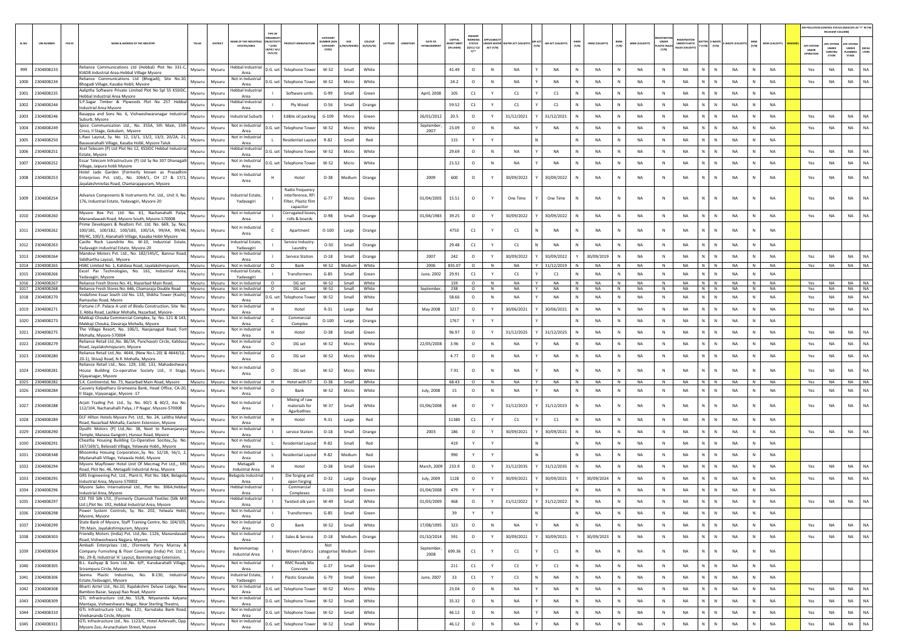|        |                                    |                                                                                                                                                                                             |                                         |                                                       |                             |                  |                   |        |                                 |                            |                          |                   |                                 |                            |        |                         |              |                        |                             |                        |                            |                        |                |                        | AIR POLLUTION CONTROL STATUS (INDICATE AS "Y" IN TH | RELEVANT COLUM            |                           |           |
|--------|------------------------------------|---------------------------------------------------------------------------------------------------------------------------------------------------------------------------------------------|-----------------------------------------|-------------------------------------------------------|-----------------------------|------------------|-------------------|--------|---------------------------------|----------------------------|--------------------------|-------------------|---------------------------------|----------------------------|--------|-------------------------|--------------|------------------------|-----------------------------|------------------------|----------------------------|------------------------|----------------|------------------------|-----------------------------------------------------|---------------------------|---------------------------|-----------|
| SL.NO. | PCB ID<br><b>UIN NUMBER</b>        | NAME & ADDRESS OF THE INDUSTRY<br>TALUK<br>DISTRICT                                                                                                                                         | AME OF THE INDUS                        | <b>TYPE OF</b><br>V/ACTIVI                            | CATEGORY<br>MBER (XG        |                  | coLour<br>ATITUDE | NGITUD | DATE OF                         | CAPITAL<br><b>VEST MEN</b> | PRESENT<br><b>STATUS</b> |                   | NDER WATER WATER ACT (VALIDITY) | AIR ACT (VALIDITY<br>(Y/N) | (N/N)  | HWM (VALIDITY)          | BMW<br>(Y/N) | <b>BMW (VALIDITY)</b>  | UNDER                       | <b>UNDER PLASTIC</b>   |                            | WASTE (VALID           |                | <b>MSW (VALIDITY)</b>  |                                                     | <b>PC SYSTEM</b>          | APC SYSTER                |           |
|        |                                    |                                                                                                                                                                                             | ESTATES/AREA                            | $*$ (1/M/<br>CE/C/O                                   | CATEGORY                    | M/S/MICRO        | R/0/6/W           |        |                                 | (IN LAKHS)                 | (0/C1/C2)<br>Y           | ACT (Y/N)         |                                 |                            |        |                         |              |                        | <b>LASTIC RULE</b><br>(Y/N) | <b>NJLES (VALIDIT</b>  | $(Y/N)$ $(Y/N)$            |                        | (Y/N)          |                        | <b>APC SYSTE</b><br>UNDER<br>OPERATIO               | UNDER<br>CONSTRU<br>crios | UNDER<br>LANNING<br>STAGE | LTERS     |
|        |                                    | Reliance Communications Ltd (Hebbal) Plot No 331-C,                                                                                                                                         | Hebbal Industria                        |                                                       |                             |                  |                   |        |                                 |                            |                          |                   |                                 |                            |        |                         |              |                        |                             |                        |                            |                        |                |                        |                                                     |                           |                           |           |
|        | 999 2304008233                     | Mysuru<br>Mysuru<br>KIADB Industrial Area-Hebbal Village Mysore<br>eliance Communications Ltd (Bhogadi), Site No.10,                                                                        | Area<br>Not in Industria                | D.G. set Telephone Tower                              | $W-52$                      | Small            | White             |        |                                 | 41.49                      | $\circ$                  | N                 | <b>NA</b>                       | <b>NA</b>                  | N      | <b>NA</b>               | N            | NA                     | N                           | NA                     | N<br>$\mathbb N$           | <b>NA</b>              | N              | <b>NA</b>              | Yes                                                 | NA                        | <b>NA</b>                 | NA        |
|        | 1000 2304008234                    | Mysuru<br>Mysuru<br>Shogadi Village, Kasaba Hobli, Mysore                                                                                                                                   | Area<br>lebbal Industria                | D.G. set<br><b>Telephone Towe</b>                     | $W-52$                      | Micro            | White             |        |                                 | 24.2                       | $\circ$                  | $\mathbb N$       | <b>NA</b>                       | NA                         | N      | <b>NA</b>               | N            | NA                     | N                           | NA                     | N.<br>$\mathbb{N}$         | NA                     | N              | <b>NA</b>              | Yes                                                 | <b>NA</b>                 | NA                        | NA        |
|        | 1001 2304008235                    | Aaliptha Software Private Limited Plot No Spl 55 KSSIDC,<br>Mysuru<br>Mysuru<br>Hebbal Industrial Area Mysore                                                                               | Area                                    | Software units                                        | $G-99$                      | Small            | Green             |        | April, 2008                     | 105                        | C1                       | Y                 | C1                              | C1                         | N      | <b>NA</b>               | N            | NA                     | N                           | NA                     | N<br>$\,$ N                | NA                     | N              | NA                     |                                                     |                           |                           |           |
|        | 1002 2304008244                    | S.P.Sagar Timber & Plywoods Plot No 257 Hebba<br>Mysuru<br>Mysuru<br>Industrial Area Mysore                                                                                                 | lebbal Industrial<br>Area               | Ply Wood                                              | $O-56$                      | Small            | Orange            |        |                                 | 59.52                      | C1                       | Y                 | C1                              | C1                         |        | <b>NA</b>               | N            | NA                     | N                           | <b>NA</b>              | N<br>N                     | <b>NA</b>              |                | <b>NA</b>              |                                                     |                           |                           |           |
|        | 1003 2304008246                    | Basappa and Sons No. 6, Vishweshwaranagar Industria<br>Mysuru<br>Mysuru<br>Suburb, Mysore                                                                                                   | Industrial Suburt                       | Edible oil packing                                    | $G-109$                     | Micro            | Green             |        | 26/01/2012                      | 20.5                       | $\circ$                  | Y                 | 31/12/2021                      | 31/12/2021                 | N      | <b>NA</b>               | N            | <b>NA</b>              | N                           | <b>NA</b>              | N<br>$\mathbb{N}$          | NA                     | $\mathsf{N}$   | <b>NA</b>              | Yes                                                 | <b>NA</b>                 | NA                        | <b>NA</b> |
|        | 1004 2304008249                    | Spice Communication Ltd., No. 355A, 5th Main, 15th<br>Mysuru<br>Mysuru<br>Cross, II Stage, Gokulam, Mysore                                                                                  | Not in Industrial<br>Area               | D.G. set Telephone Tower                              | W-52                        | Micro            | White             |        | September<br>2007               | 23.09                      | $\circ$                  | $\mathbb{N}$      | <b>NA</b>                       | <b>NA</b>                  | N      | <b>NA</b>               | N            | <b>NA</b>              | N                           | <b>NA</b>              | $\mathbb{N}$<br>N          | <b>NA</b>              | N              | <b>NA</b>              | Yes                                                 | NA                        | <b>NA</b>                 | NA        |
|        | 1005 2304008250                    | L.Ravi Layout, Sy. No. 12, 13/1, 13/2, 13/3, 20/2A, 21,<br>Mysuru<br>Mysuru<br>Basavanahalli Village, Kasaba Hobli, Mysore Taluk                                                            | Not in Industria<br>Area                | Residential Layout                                    | R-82                        | Small            | Red               |        |                                 | 115                        | Y                        | Y                 |                                 |                            |        | <b>NA</b>               | N            | NA                     | N                           | NA                     | N.<br>N                    | NA                     |                | NA                     |                                                     |                           |                           |           |
|        | 1006 2304008251                    | Xcel Telecom (P) Ltd Plot No 12, KSSIDC Hebbal Industrial<br>Mysuru<br>Mysuri<br>Estate, Mysore                                                                                             | lebbal Industria<br>Area                | D.G. set<br><b>Telephone Towe</b>                     | $W-52$                      | Micro            | White             |        |                                 | 29.69                      | $\circ$                  | N                 | NA                              | NA                         | N      | <b>NA</b>               | N            | NA                     | N                           | NA                     | N<br>N                     | NA                     | N              | <b>NA</b>              | Yes                                                 | NA                        | NA                        | NA        |
|        | 1007 2304008252                    | Essar Telecom Infrastructure (P) Ltd Sy No 307 Dhanagalli<br>Mysuru<br>Mysuru<br>Village, Jaipura hobli Mysore                                                                              | Not in Industrial<br>Area               | D.G. set<br><b>Telephone Tower</b>                    | $W-52$                      | Micro            | White             |        |                                 | 21.52                      | $\circ$                  | N                 | NA                              | NA                         | N      | <b>NA</b>               | N            | NA                     | N                           | <b>NA</b>              | N                          | NA                     |                | <b>NA</b>              | Yes                                                 | NA                        | NA                        | <b>NA</b> |
|        | 1008 2304008253                    | Hotel Jade Garden (Formerly known as Prasadhin<br>Enterprises Pvt. Ltd)., No. 1064/1, CH 17 & 17/1, Mysuru<br>Mysuru                                                                        | Not in Industria                        | Hotel                                                 | $O-38$                      | Medium           | Orange            |        | 2009                            | 600                        | $\circ$                  |                   | 30/09/2022                      | 30/09/2022                 | N      | <b>NA</b>               | N            | <b>NA</b>              | N                           | <b>NA</b>              | ${\sf N}$                  | <b>NA</b>              |                | <b>NA</b>              | Yes                                                 | NA                        | <b>NA</b>                 | <b>NA</b> |
|        |                                    | layalakshmivilas Road, Chamarajapuram, Mysore                                                                                                                                               | Area                                    | Radio frequency                                       |                             |                  |                   |        |                                 |                            |                          |                   |                                 |                            |        |                         |              |                        |                             |                        |                            |                        |                |                        |                                                     |                           |                           |           |
|        | 1009 2304008254                    | dvance Components & Instruments Pvt. Ltd., Unit II, No.<br>Mysuru<br>Mysuru<br>176, Industrial Estate, Yadavagiri, Mysore-20                                                                | <b>ndustrial Estate</b><br>Yadavagiri   | interference, RF<br>Filter, Plastic film<br>capacitor | $G-77$                      | Micro            | Green             |        | 01/04/2005                      | 15.51                      | $\circ$                  | Y                 | One Time                        | One Time                   | N      | <b>NA</b>               | N            | NA                     | $\mathbb{N}$                | NA                     | N.<br>$\mathbb{N}$         | NA                     |                | <b>NA</b>              | Yes                                                 | <b>NA</b>                 | <b>NA</b>                 | NA        |
|        | 1010 2304008260                    | Mysore Box Pvt. Ltd. No. 61, Nachanahalli Palya,<br>Mysuru<br>Mysuru<br>Manandawadi Road, Mysore South, Mysore-570008                                                                       | Not in Industrial<br>Area               | Corrugated boxes,<br>rolls & boards                   | $O-98$                      | Small            | Orange            |        | 01/04/1983                      | 39.25                      | $\circ$                  | Y                 | 30/09/2022                      | 30/09/2022                 | N      | <b>NA</b>               | N            | <b>NA</b>              | N                           | <b>NA</b>              | $\mathbb{N}$<br>N          | <b>NA</b>              | N              | <b>NA</b>              | Yes                                                 | NA                        | NA                        | NA        |
|        | 1011 2304008262                    | rime Developers & Realtors Pvt. Ltd. No. 669, Sy. Nos<br>100/1B1, 100/1B2, 100/1B3, 100/1A, 99/A4, 99/4B,<br>Mysuru<br>Mysuru                                                               | Not in Industrial                       | Apartment                                             | $O-100$                     | Large            | Orange            |        |                                 | 4750                       | C1                       |                   | C1                              | NA                         |        | <b>NA</b>               | $\mathbb N$  | <b>NA</b>              | $\mathbb{N}$                | <b>NA</b>              | N.<br>$\mathbb{N}$         | <b>NA</b>              | N              | <b>NA</b>              |                                                     |                           |                           |           |
|        |                                    | 99/4C, 100/3, Alanahalli Village, Kasaba Hobli Mysore<br>Castle Rock Laundrite No. W-10, Industrial Estate,                                                                                 | Area<br>Industrial Estate.              | Service Industry                                      |                             |                  |                   |        |                                 |                            |                          |                   |                                 |                            |        |                         |              |                        |                             |                        |                            |                        |                |                        |                                                     |                           |                           |           |
|        | 1012 2304008263                    | Mysuru<br>Mysuru<br>Yadavagiri Industrial Estate, Mysore-20                                                                                                                                 | Yadavagiri<br>Not in Industrial         | Laundry                                               | $O-50$                      | Small            | Orange            |        |                                 | 29.48                      | C1                       | Y                 | C1                              | <b>NA</b>                  | N      | <b>NA</b>               | N            | <b>NA</b>              | N                           | <b>NA</b>              | $\mathbb{N}$<br>N          | <b>NA</b>              | N              | <b>NA</b>              |                                                     |                           |                           |           |
|        | 1013 2304008264                    | Mandovi Motors Pvt. Ltd., No. 182/145/C, Bannur Road,<br>Mysuru<br>Mysuru<br>Siddhartha Layout, Mysore                                                                                      | Area                                    | <b>Service Station</b>                                | $O-18$                      | Small            | Orange            |        | 2007                            | 242                        | $\circ$                  | Y                 | 30/09/2022                      | 30/09/2022                 |        | 30/09/2019              | N            | NA                     | N                           | NA                     | N<br>N                     | NA                     |                | <b>NA</b>              | Yes                                                 | <b>NA</b>                 | NA                        | NA        |
|        | 1014 2304008265<br>1015 2304008266 | HSBC Limited No. 1, Kalidasa Road, Jayalakshmipuram,<br>Mysuru<br>Mysuru<br>Excel Par Technologies, No. 161, Industrial Area,<br>Mysuru<br>Mysuru                                           | Not in Industrial<br>Industrial Estate. | Bank<br>$\circ$<br>Transformers                       | $W-52$<br>$G-85$            | Medium<br>Small  | White<br>Green    |        | 2006<br>June. 2002              | 835.07<br>29.91            | $\circ$<br>C1            | N<br>Y            | <b>NA</b><br>C1                 | 31/12/2019<br>C1           | N<br>N | <b>NA</b><br><b>NA</b>  | N<br>N       | <b>NA</b><br><b>NA</b> | N<br>N                      | <b>NA</b><br><b>NA</b> | N N<br>N<br>$\mathbb N$    | <b>NA</b><br><b>NA</b> | N<br>N         | <b>NA</b><br><b>NA</b> | Yes                                                 | <b>NA</b>                 | <b>NA</b>                 | <b>NA</b> |
|        | 1016 2304008267                    | Yadavagiri, Mysore<br>Reliance Fresh Stores No. 41, Nazarbad Main Road,<br>Mysuru<br>Mysuru                                                                                                 | Yadavagiri<br>Not in Industrial         | $\circ$<br>DG set                                     | W-52                        | Small            | White             |        |                                 | 159                        | $\circ$                  | N                 | NA                              | NA<br>Y                    | N      | NA                      | N            | NA                     | N                           | NA                     | N N                        | NA                     | N              | NA                     | Yes                                                 | NA                        | NA                        | <b>NA</b> |
|        | 1017 2304008268                    | Reliance Fresh Stores No. 646, Chamaraja Double Road Mysuru<br>Mysuru<br>/odafone Essar South Ltd No. 133, Shikha Tower (Kushi),                                                            | Not in Industrial<br>Not in Industria   | $\circ$<br>DG set                                     | W-52                        | Small            | White             |        | September,                      | 238                        | $\circ$                  | N                 | <b>NA</b>                       | Y<br><b>NA</b>             | N      | NA                      | N            | <b>NA</b>              | N                           | <b>NA</b>              | $N$ $N$<br>N               | NA                     | N              | <b>NA</b><br><b>NA</b> | Yes                                                 | <b>NA</b>                 | NA .                      | <b>NA</b> |
|        | 1018 2304008270                    | Mysuru<br>Mysuri<br>Ramavilas Road, Myore<br>Fortune LP, Palace A unit of Bindu Construction, Site, No.                                                                                     | Area<br>Not in Industria                | D.G. set<br>Telephone Towe                            | $W-52$                      | Small            | White             |        |                                 | 58.66                      | $\circ$                  | N                 | NA                              | NA                         | N      | <b>NA</b>               | N            | NA                     | N                           | NA                     | ${\sf N}$                  | NA                     | N              |                        | Yes                                                 | NA                        | <b>NA</b>                 | NA.       |
|        | 1019 2304008271                    | Mysuru<br>Mysuru<br>Abba Road, Lashkar Mohalla, Nazarbad, Mysore<br>Makkaji Chouka Commercial Complex, Sy. No. 121 & 143,                                                                   | Area<br>Not in Industrial               | Hotel<br>Commercial                                   | $R-31$                      | Large            | Red               |        | May 2008                        | 3217                       | $\circ$                  | Y                 | 30/06/2021                      | 30/06/2021                 |        | <b>NA</b>               | N            | NA                     | N                           | <b>NA</b>              | N<br>N                     | <b>NA</b>              |                | <b>NA</b>              | Yes                                                 | NA                        | <b>NA</b>                 | <b>NA</b> |
|        | 1020 2304008273                    | Mysuru<br>Mysuru<br>Makkaji Chouka, Devaraja Mohalla, Mysore                                                                                                                                | Area                                    | Complex                                               | $O-100$                     | Large            | Orange            |        |                                 | 1767                       | Y                        |                   |                                 |                            | N      | <b>NA</b>               | N            | NA                     | N                           | <b>NA</b>              | N.<br>$\mathbb{N}$         | NA                     |                | <b>NA</b>              |                                                     |                           |                           |           |
|        | 1021 2304008275                    | The Village Resort, No. 106/1, Nanjanagud Road, Fort<br>Mysuru<br>Mysuru<br>Mohalla, Mysore-570004                                                                                          | Not in Industrial<br>Area               | Hotel                                                 | $O - 38$                    | Small            | Green             |        |                                 | 96.97                      | $\circ$                  | Y                 | 31/12/2025                      | 31/12/2025                 | N      | <b>NA</b>               | N            | <b>NA</b>              | N                           | <b>NA</b>              | $\mathbb{N}$<br>N          | <b>NA</b>              | N              | <b>NA</b>              | Yes                                                 | <b>NA</b>                 | <b>NA</b>                 | <b>NA</b> |
|        | 1022 2304008279                    | keliance Retail Ltd., No. 86/3A, Panchavati Circle, Kalidasa<br>Mysuru<br>Mysuru<br>Road, Jayalakshmipuram, Mysore                                                                          | Vot in Industri<br>Area                 | DG set<br>$\circ$                                     | W-52                        | Micro            | White             |        | 22/05/2008                      | 3.96                       | $\circ$                  | N                 | NA                              | NA                         | N      | NA                      | N            | NA                     | N                           | <b>NA</b>              | N.<br>N                    | <b>NA</b>              |                | NA                     | Yes                                                 | NA                        | NA                        | NA        |
|        | 1023 2304008280                    | Reliance Retail Ltd., No. 4644, (New No.L-20) & 4644/1(L-<br>Mysuru<br>Mysuru<br>20-1), Shivaji Road, N.R. Mohalla, Mysore                                                                  | Not in Industria<br>Area                | $\circ$<br>DG set                                     | W-52                        | Micro            | White             |        |                                 | 4.77                       | $\circ$                  | ${\sf N}$         | NA                              | NA                         | N      | NA                      | N            | NA                     | $\,$ N                      | NA                     | N<br>$\,$ N                | NA                     | N              | <b>NA</b>              | Yes                                                 | NA                        | NA                        | NA        |
|        | 1024 2304008281                    | Reliance Retail Ltd., Nos. 129, 130, 131, Mahadeshwara<br>ouse Building Co-operative Society Ltd., II Stage,<br>Mysuru<br>Mysuru                                                            | Not in Industria<br>Area                | DG set                                                | W-52                        | Micro            | White             |        |                                 | 7.91                       | $\circ$                  | N                 | NA                              | NA                         |        | <b>NA</b>               | N            | NA                     | N                           | NA                     | N.<br>N                    | NA                     |                | <b>NA</b>              | Yes                                                 | NA                        | <b>NA</b>                 | <b>NA</b> |
|        | 1025 2304008282                    | Vijayanagar, Mysore<br>S.K. Continental, No. 73, Nazarbad Main Road, Mysore<br>Mysuru<br>Mysuru                                                                                             | Not in Industrial                       | Hotel with 57<br>н.                                   | $O-38$                      | Small            | White             |        |                                 | 68.43                      | $\circ$                  | N                 | <b>NA</b>                       | <b>NA</b><br>Y             | N      | <b>NA</b>               | N            | NA                     | N                           | <b>NA</b>              | N N                        | <b>NA</b>              | N              | <b>NA</b>              | Yes                                                 | <b>NA</b>                 | <b>NA</b>                 | <b>NA</b> |
|        | 1026 2304008284                    | Cauvery Kalpatharu Grameena Bank, Head Office, CA-20,<br>Mysuru<br>Mysuru<br>II Stage, Vijayanagar, Mysore -17                                                                              | Not in Industrial<br>Area               | $\Omega$<br>Bank                                      | W-52                        | Micro            | White             |        | July, 2008                      | 15                         | $\circ$                  | N                 | NA                              | NA                         | N      | <b>NA</b>               | N            | NA                     | N                           | NA                     | N<br>N                     | NA                     | N              | <b>NA</b>              | Yes                                                 | NA                        | <b>NA</b>                 | <b>NA</b> |
|        | 1027 2304008288                    | Arjati Trading Pvt. Ltd., Sy. No. 60/1 & 60/2, Ass No.<br>Mysuru<br>Mysuru<br>112/104, Nachanahalli Palya, J P Nagar, Mysore-570008                                                         | Not in Industrial<br>Area               | Mixing of raw<br>materials for<br>Agarbathies         | W-37                        | Small            | White             |        | 01/06/2008                      | 64                         | $\circ$                  | Y                 | 31/12/2023                      | 31/12/2023                 | N      | <b>NA</b>               | N            | NA                     | N                           | <b>NA</b>              | N<br>$\mathbb{N}$          | NA                     | N              | <b>NA</b>              | Yes                                                 | <b>NA</b>                 | <b>NA</b>                 | <b>NA</b> |
|        | 1028 2304008289                    | DLF Hilton Hotels Mysore Pvt. Ltd., No. 24, Lalitha Mahal<br>Mysuru<br>Mysuru<br>Road. Nazarbad Mohalla, Eastern Extension, Mysore                                                          | Not in Industrial<br>Area               | Hotel                                                 | $R-31$                      | Large            | Red               |        |                                 | 11380                      | C1                       | Y                 | C1                              | C1                         | N      | <b>NA</b>               | N            | <b>NA</b>              | N                           | <b>NA</b>              | N<br>$\mathbb N$           | <b>NA</b>              | N              | <b>NA</b>              |                                                     |                           |                           |           |
|        | 1029 2304008290                    | Dyuthi Motors (P) Ltd., No. 38, Next to Ramanjaneya<br>Mysuru<br>Mysuru<br>Temple, Manasa Gangotri, Hunsur Road, Mysore                                                                     | <b>Vot in Industria</b><br>Area         | service Station                                       | $O-18$                      | Small            | Orange            |        | 2003                            | 186                        | $\circ$                  | Y                 | 30/09/2021                      | 30/09/2021                 | N      | NA                      | N            | NA                     | N                           | NA                     | N.<br>${\sf N}$            | NA                     | N              | NA                     | Yes                                                 | NA                        | <b>NA</b>                 | <b>NA</b> |
|        | 1030 2304008291                    | Cheatha Housing Building Co-Operative Socitey,, Sy. No.<br>Mysuru<br>Mysuru<br>167/169/1, Belavadi Village, Yelawala Hobli,, Mysore                                                         | Not in Industria<br>Area                | Residential Layout                                    | R-82                        | Small            | Red               |        |                                 | 419                        | Y                        | Y                 |                                 |                            | N      | NA                      | N            | NA                     | $\,$ N                      | NA                     | $N$ $N$                    | NA                     | N              | <b>NA</b>              |                                                     |                           |                           |           |
|        | 1031 2304008348                    | Bhoomika Hosuing Corporation, Sy. No. 52/1B, 56/1, 2<br>Mysuru<br>Mysuru<br>Mydanahalli Village, Yelawala Hobli, Mysore                                                                     | Not in Industria<br>Area                | Residential Layout                                    | R-82                        | Medium           | Red               |        |                                 | 990                        |                          |                   |                                 |                            |        | <b>NA</b>               | N            | NA                     | N                           | <b>NA</b>              | N<br>N                     | <b>NA</b>              |                | <b>NA</b>              |                                                     |                           |                           |           |
|        | 1032 2304008294                    | Mysore Mayflower Hotel Unit Of Mecmag Pvt Ltd.,, KRS<br>Mysuru<br>Mysuru<br>Road, Plot No. 46, Metagalli Industrial Area, Mysore                                                            | Metagalli<br><b>Industrial Area</b>     | Hotel                                                 | $O-38$                      | Small            | Green             |        | March, 2009                     | 233.9                      | $\circ$                  | $\mathbf{Y}$      | 31/12/2035                      | 31/12/2035                 | N.     | <b>NA</b>               | N            | <b>NA</b>              | N                           | <b>NA</b>              | N.<br>$\mathbb{N}$         | NA                     | N              | NA                     | Yes                                                 | <b>NA</b>                 | <b>NA</b>                 | NA        |
|        | 1033 2304008295                    | GRS Engineering Pvt. Ltd., Plant-II, Plot No. 3&4, Belagola<br>Mysuru<br>Mysuru                                                                                                             | elagola Industria                       | Die forging and                                       | $O-32$                      | Large            | Orange            |        | July, 2009                      | 1128                       | $\circ$                  | Y                 | 30/09/2021                      | 30/09/2021                 |        | 30/09/2024              | N            | NA                     | N                           | NA                     | N<br>N                     | NA                     | N              | <b>NA</b>              | Yes                                                 | NA                        | <b>NA</b>                 | <b>NA</b> |
|        | 1034 2304008296                    | Industrial Area, Mysore-570002<br>Mysore Sales International Ltd., Plot No. 306A,Hebba<br>Mysuru<br>Mysuru                                                                                  | Area<br>ebbal Industria                 | open forging<br>Commercial                            | $G-101$                     | Small            | Green             |        | 01/04/2008                      | 479                        |                          |                   |                                 |                            |        | <b>NA</b>               | N            | NA                     | N                           | NA                     | N<br>N                     | NA                     |                | NA                     |                                                     |                           |                           |           |
|        | 1035 2304008297                    | Industrial Area, Mysore<br>CEE TEE Silk LTd., (Formerly Chamundi Textiles (Silk Mil<br>Mysuru<br>Mysuru                                                                                     | Area<br>lebbal Industria                | Complexes<br>Twisted silk yarr                        | W-49                        | Small            | White             |        | 01/03/2009                      | 468                        | $\circ$                  |                   | 31/12/2022                      | 31/12/2022                 | N      | <b>NA</b>               | N            | NA                     | N                           | NA                     | N<br>N                     | NA                     |                | NA                     | Yes                                                 | NA                        | <b>NA</b>                 | NA        |
|        | 1036 2304008298                    | Ltd.).Plot No. 192. Hebbal Industrial Area. Mysore<br>Power System Controls, Sy. No. 202, Yelwala Hobli,<br>Mysuru<br>Mysuru                                                                | Area<br>Not in Industrial               | Transformers                                          | $G-85$                      | Small            | Green             |        |                                 | 39                         |                          | Y                 |                                 |                            |        | <b>NA</b>               | N            | NA                     | ${\sf N}$                   | <b>NA</b>              | N<br>N                     | NA                     |                | <b>NA</b>              |                                                     |                           |                           |           |
|        | 1037 2304008299                    | Mysore, Mysore<br>State Bank of Mysore, Staff Training Centre, No. 104/105,<br>Mysuru<br>Mysuru                                                                                             | Area<br>Not in Industrial               | $\circ$<br>Bank                                       | W-52                        | Small            | White             |        | 17/08/1995                      | 323                        | $\circ$                  | $\,$ N            | NA                              | NA                         | N      | <b>NA</b>               | N            | NA                     | N                           | NA                     | N<br>$\,$ N                | NA                     | $\mathbb{N}$   | NA                     | Yes                                                 | NA                        | <b>NA</b>                 | NA        |
|        |                                    | 7th Main, Jayalakshmipuram, Mysore<br>Friendly Motors (India) Pvt. Ltd., No. 1126, Manandavadi                                                                                              | Area<br>Not in Industrial               |                                                       |                             |                  |                   |        |                                 |                            |                          |                   |                                 |                            |        |                         |              |                        |                             |                        |                            |                        |                |                        |                                                     |                           |                           |           |
|        | 1038 2304008303<br>1039 2304008304 | Mysuru<br>Mysuru<br>Road, Vishweshwara Nagara, Mysore<br>Ambadi Enterprises Ltd., (Formerly Parry Murray &<br>Company Furnishing & Floor Coverings (India) Pvt. Ltd. ),<br>Mysuru<br>Mysuru | Area<br>Bannimantap<br>Industrial Area  | Sales & Service<br>Woven Fabrics                      | $O-18$<br>Not<br>categorise | Medium<br>Medium | Orange<br>Green   |        | 01/10/2014<br>September<br>2008 | 591<br>699.36              | $\circ$<br>$\mathtt{C1}$ | Y<br>$\mathbf{Y}$ | 30/09/2021<br>C1                | 30/09/2021<br>C1           | Y<br>N | 30/09/2023<br><b>NA</b> | N<br>N       | NA<br>NA               | N<br>N                      | NA<br>NA               | N<br>$\,$ N<br>N<br>$\,$ N | NA<br>NA               | N<br>${\sf N}$ | <b>NA</b><br>NA        | Yes                                                 | NA                        | <b>NA</b>                 | NA        |
|        | 1040 2304008305                    | No. 29-B, Industrial 'A' Layout, Bannimantap Extension,<br>B.L. Kashyap & Sons Ltd., No. 4/P, Kurubarahalli Village,<br>Mysuru                                                              | Not in Industrial                       | <b>RMC Ready Mix</b>                                  | d<br>$G-37$                 |                  | Green             |        |                                 |                            |                          |                   |                                 |                            |        | <b>NA</b>               |              |                        |                             |                        |                            |                        | N              | NA                     |                                                     |                           |                           |           |
|        | 1041 2304008306                    | Mysuru<br>Srirampura Circle, Mysore<br>Seema Plastic Industries, No. B-130, Industrial                                                                                                      | Area<br>Industrial Estate,              | Concrete                                              |                             | Small            |                   |        |                                 | 211                        | C1                       | Y                 | $\mathsf{C}1$                   | C1                         | N      |                         | N            | NA                     | N                           | NA                     | N<br>$\,$ N<br>N           | NA                     | N              |                        |                                                     |                           |                           |           |
|        |                                    | Mysuru<br>Mysuru<br>Estate, Yadavagiri, Mysore<br>Bharti Airtel Ltd., No.10, Rajalakshmi Deluxe Lodge, New                                                                                  | Yadavagiri<br>Not in Industrial         | <b>Plastic Granules</b>                               | $G-79$                      | Small            | Green             |        | June, 2007                      | 33                         | C1                       | Y                 | C1                              | NA                         | N      | NA                      | N            | NA                     | N                           | NA                     | $\,$ N                     | NA                     |                | NA                     |                                                     |                           |                           |           |
|        | 1042 2304008308                    | Mysuru<br>Mysuru<br>Bamboo Bazar, Sayyaji Rao Road, Mysore<br>GTL Infrastructure Ltd., No. 55/B, Nityananda Kalyana                                                                         | Area<br>Not in Industrial               | D.G. set Telephone Tower                              | W-52                        | Micro            | White             |        |                                 | 23.04                      | $\circ$                  | N                 | NA                              | NA                         | N      | NA                      | N            | NA                     | N                           | NA                     | $N$ $N$                    | NA                     | ${\sf N}$      | <b>NA</b>              | Yes                                                 | NA                        | <b>NA</b>                 | NA        |
|        | 1043 2304008309                    | Mysuru<br>Mysuru<br>Mantapa, Vishweshwara Nagar, Near Sterling Theatre,<br>GTL Infrastructure Ltd., No. 121, Karnataka Bank Road,                                                           | Area<br>Not in Industrial               | D.G. set Telephone Tower                              | $W-52$                      | Small            | White             |        |                                 | 35.32                      | $\circ$                  | $\,$ N            | NA                              | NA                         | N      | <b>NA</b>               | N            | NA                     | $\,$ N                      | NA                     | N<br>${\sf N}$             | NA                     | N              | NA                     | Yes                                                 | NA                        | <b>NA</b>                 | <b>NA</b> |
|        | 1044 2304008310                    | Mysuru<br>Mysuru<br>Vivekananda Circle, Mysore                                                                                                                                              | Area                                    | D.G. set Telephone Tower                              | W-52                        | Small            | White             |        |                                 | 46.12                      | $\circ$                  | N                 | <b>NA</b>                       | <b>NA</b>                  | N      | <b>NA</b>               | N            | NA                     | N                           | NA                     | N<br>$\,$ N                | <b>NA</b>              | ${\sf N}$      | NA                     | Yes                                                 | NA                        | <b>NA</b>                 | NA        |
|        | 1045 2304008311                    | GTL Infrastructure Ltd., No. 1123/C, Hotel Ashirvath, Opp.<br>Mysuru<br>Mysuru<br>Mysore Zoo, Arunachalam Street, Mysore                                                                    | Not in Industrial<br>Area               | D.G. set Telephone Tower                              | W-52                        | Small            | White             |        |                                 | 46.12                      | $\circ$                  | ${\sf N}$         | NA                              | NA                         | N      | NA                      | N            | NA                     | ${\sf N}$                   | NA                     | N<br>N                     | NA                     | N              | NA                     | Yes                                                 | $_{\sf NA}$               | NA                        | NA        |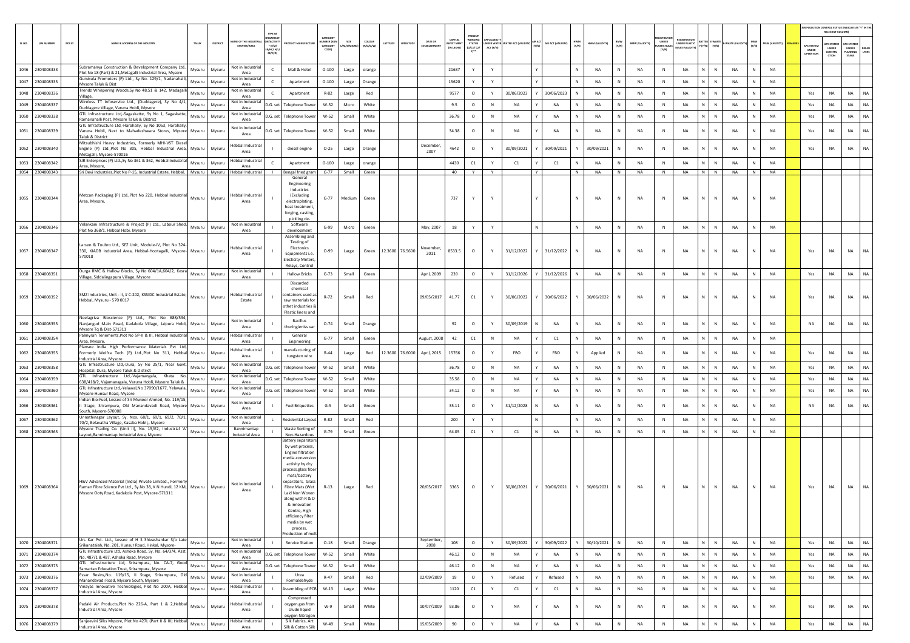|        |                   |                                                                                                                                                                                |        |          |                                  |                                                                 |                                                                                                                                                                                                                                                                                                                            |                                   |          |                     |                       |                                       |                               |                                       |           |                                        |                             |              |                |              |                       |                             |                                         |                   |              |              |                |                                        | AIR POLLUTION CONTROL STATUS (INDICATE AS "Y" IN THE<br>RELEVANT COLUM |                                          |           |
|--------|-------------------|--------------------------------------------------------------------------------------------------------------------------------------------------------------------------------|--------|----------|----------------------------------|-----------------------------------------------------------------|----------------------------------------------------------------------------------------------------------------------------------------------------------------------------------------------------------------------------------------------------------------------------------------------------------------------------|-----------------------------------|----------|---------------------|-----------------------|---------------------------------------|-------------------------------|---------------------------------------|-----------|----------------------------------------|-----------------------------|--------------|----------------|--------------|-----------------------|-----------------------------|-----------------------------------------|-------------------|--------------|--------------|----------------|----------------------------------------|------------------------------------------------------------------------|------------------------------------------|-----------|
| SL.NO. | <b>UIN NUMBER</b> | PCB ID<br>NAME & ADDRESS OF THE INDUSTRY                                                                                                                                       | TALUK  | DISTRICT | AME OF THE INDU:<br>ESTATES/AREA | TYPE OF<br>PEANS<br>N/ACTIVI<br>$*$ (1/M/<br>8/нс/ н/<br>CE/C/O | <b>OUCT MANUFACTUR</b>                                                                                                                                                                                                                                                                                                     | CATEGORY<br>MBER (XG)<br>CATEGORY | I/S/MICI | coLous<br>(R/O/G/W) | LATITUDE<br>LONGITUDE | <b>DATE OF</b><br><b>FSTARI ISHME</b> | <b>NVEST MEN</b><br>IN LAKHST | PRESENT<br><b>STATUS</b><br>(0/01/02) | ACT (Y/N) | <b>NDER WATER WATER ACT (VALIDITY)</b> | AIR ACT (VALIDITY)<br>(Y/N) | HWM<br>(Y/N) | HWM (VALIDITY) | BMW<br>(Y/N) | <b>BMW (VALIDITY)</b> | UNDER<br><b>LASTIC RULE</b> | UNDER PLASTIC<br><b>NJLES (VALIDIT)</b> | $(Y/N)$ $(Y/N)$   | WASTE (VALID | (Y/N)        | MSW (VALIDITY) | <b>APC SYSTEM</b><br>UNDER<br>OPERATIO | <b>APC SYSTEM</b><br>UNDER<br>CONSTRU<br>crios                         | APC SYSTEM<br>UNDER<br>PLANNING<br>STAGE | LTERS     |
|        | 1046 2304008333   | Subramanya Construction & Development Company Ltd.,<br>Plot No 18 (Part) & 21, Metagalli Industrial Area, Mysore                                                               | Mysuru | Mysuru   | Not in Industrial<br>Area        | $\mathsf{C}$                                                    | Mall & Hotel                                                                                                                                                                                                                                                                                                               | $O-100$                           | Large    | orange              |                       |                                       | 21637                         | Y                                     | Y         |                                        |                             | N            | <b>NA</b>      | N            | NA                    | N                           | NA                                      | N<br>N            | <b>NA</b>    | N            | <b>NA</b>      |                                        |                                                                        |                                          |           |
| 1047   | 2304008335        | iurukula Promoters (P) Ltd., Sy No. 129/1, Nadanahalli,<br>Mysore Taluk & Dist                                                                                                 | Mysuru | Mysuru   | Not in Industrial<br>Area        | $\mathsf{C}$                                                    | Apartment                                                                                                                                                                                                                                                                                                                  | $O-100$                           | Large    | Orange              |                       |                                       | 15620                         | Y                                     | Y         |                                        |                             | N            | <b>NA</b>      | N            | NA                    | N                           | NA                                      | N<br>$\mathbb N$  | NA           | $\mathbb N$  | <b>NA</b>      |                                        |                                                                        |                                          |           |
|        | 1048 2304008336   | Trendz Whispering Woods, Sy No 48,51 & 142, Madagalli<br>Village,                                                                                                              | Mysuru | Mysuru   | Not in Industrial<br>Area        | $\mathsf{C}$                                                    | Apartment                                                                                                                                                                                                                                                                                                                  | $R - 82$                          | Large    | Red                 |                       |                                       | 9577                          | $\circ$                               | Y         | 30/06/2023                             | 30/06/2023                  | N            | NA             | N            | NA                    | N                           | NA                                      | N<br>$\,$ N       | NA           | N            | NA             | Yes                                    | NA                                                                     | NA                                       | NA        |
| 1049   | 2304008337        | Wireless TT Infoservice Ltd., (Duddagere), Sy No 4/1,<br>Duddagere Village, Varuna Hobli, Mysore                                                                               | Mysuru | Mysuru   | Not in Industrial<br>Area        | D.G. set                                                        | <b>Telephone Tower</b>                                                                                                                                                                                                                                                                                                     | W-52                              | Micro    | White               |                       |                                       | 9.5                           | $\circ$                               | N         | NA                                     | NA                          | N            | NA             | N            | NA                    | N                           | <b>NA</b>                               | N<br>$\mathbb{N}$ | <b>NA</b>    |              | <b>NA</b>      | Yes                                    | NA                                                                     | <b>NA</b>                                | NA        |
|        | 1050 2304008338   | GTL Infrastructure Ltd,-Sagaskatte, Sy No 1, Sagaskatte,<br>Ramanahalli Post, Mysore Taluk & District                                                                          | Mysuru | Mysuru   | Not in Industrial<br>Area        | D.G. set                                                        | <b>Telephone Tower</b>                                                                                                                                                                                                                                                                                                     | W-52                              | Small    | White               |                       |                                       | 36.78                         | $\circ$                               | N         | <b>NA</b>                              | <b>NA</b>                   | $\mathbb{N}$ | NA             | N            | NA                    | N                           | <b>NA</b>                               | N<br>$\,$ N       | <b>NA</b>    | N            | NA             | Yes                                    | NA                                                                     | <b>NA</b>                                | NA        |
|        | 1051 2304008339   | GTL Infrastructure Ltd,-Harohally, Sy No 1053, Harohally,<br>Varuna Hobli, Next to Mahadeshwara Stores, Mysore Mysuru<br>Taluk & District                                      |        | Mysuru   | Not in Industrial<br>Area        | D.G. set                                                        | <b>Telephone Tower</b>                                                                                                                                                                                                                                                                                                     | W-52                              | Small    | White               |                       |                                       | 34.38                         | $\circ$                               | N         | <b>NA</b>                              | <b>NA</b>                   | N            | <b>NA</b>      | N            | <b>NA</b>             | N                           | <b>NA</b>                               | N<br>N            | <b>NA</b>    |              | <b>NA</b>      | Yes                                    | NA                                                                     | <b>NA</b>                                | NA        |
|        | 1052 2304008340   | Mitsubhishi Heavy Industries, Formerly MHI-VST Diesel<br>Engine (P) Ltd., Plot No 305, Hebbal Industrial Area, Mysuru<br>Metagalli, Mysore-570016                              |        | Mysuru   | Hebbal Industrial<br>Area        |                                                                 | diesel engine                                                                                                                                                                                                                                                                                                              | $O - 25$                          | Large    | Orange              |                       | December.<br>2007                     | 4642                          | $\circ$                               | Y         | 30/09/2021                             | 30/09/2021                  | Y            | 30/09/2021     | N            | NA                    | $\,$ N                      | <b>NA</b>                               | N<br>${\sf N}$    | <b>NA</b>    | $\mathbb{N}$ | <b>NA</b>      | Yes                                    | NA                                                                     | NA.                                      | NA        |
|        | 1053 2304008342   | SJR Enterprises (P) Ltd., Sy No 361 & 362, Hebbal Industrial<br>Area, Mysore,                                                                                                  | Mysuru | Mysuru   | Hebbal Industrial<br>Area        | $\epsilon$                                                      | Apartment                                                                                                                                                                                                                                                                                                                  | $O-100$                           | Large    | orange              |                       |                                       | 4430                          | C1                                    | Y         | C1                                     | C1                          |              | <b>NA</b>      | N            | NA                    | N                           | <b>NA</b>                               | N<br>N            | <b>NA</b>    |              | <b>NA</b>      |                                        |                                                                        |                                          |           |
|        | 1054 2304008343   | Sri Devi Industries, Plot No P-15, Industrial Estate, Hebbal,   Mysuru   Mysuru   Hebbal Industrial                                                                            |        |          |                                  | <b>Contract Contract</b>                                        | Bengal fried gram<br>General                                                                                                                                                                                                                                                                                               | $G-77$                            |          | Small Green         |                       |                                       | 40                            | Y.                                    | Y         |                                        | Y                           | N            | <b>NA</b>      | N            | NA                    | N                           | <b>NA</b>                               | $N$ $N$           | <b>NA</b>    | N            | <b>NA</b>      |                                        |                                                                        |                                          |           |
|        | 1055 2304008344   | Metcan Packaging (P) Ltd., Plot No 220, Hebbal Industrial<br>Area, Mysore,                                                                                                     | Mysuru | Mysuru   | Hebbal Industrial<br>Area        |                                                                 | Engineering<br>Industries<br>(Excluding<br>electroplating<br>heat treatment,<br>forging, casting,<br>pickling de-                                                                                                                                                                                                          | $G - 77$                          | Medium   | Green               |                       |                                       | 737                           | Y                                     | Y         |                                        |                             | N            | <b>NA</b>      | N            | NA                    | $\,$ N                      | NA                                      | N<br>N            | NA           | N            | <b>NA</b>      |                                        |                                                                        |                                          |           |
|        | 1056 2304008346   | /elankani Infrastructure & Project (P) Ltd., Labour Shed,<br>Plot No 368/1, Hebbal Hobi, Mysore                                                                                | Mysuru | Mysuru   | Not in Industrial<br>Area        |                                                                 | Software<br>development                                                                                                                                                                                                                                                                                                    | G-99                              | Micro    | Green               |                       | May, 2007                             | 18                            |                                       | Y         |                                        | N.                          | N            | NA             | N            | NA                    | N                           | NA                                      | N<br>N            | NA           |              | <b>NA</b>      |                                        |                                                                        |                                          |           |
|        | 1057 2304008347   | Larsen & Toubro Ltd., SEZ Unit, Module-IV, Plot No 324<br>330, KIADB Industrial Area, Hebbal-Hootagalli, Mysore-<br>570018                                                     | Mysuru | Mysuru   | <b>Hebbal Industrial</b><br>Area |                                                                 | Assembling and<br>Testing of<br>Electonics<br>Equipments i.e.<br><b>Electicity Meters</b><br>Relays, Control                                                                                                                                                                                                               | $O-99$                            | Large    | Green               | 12.3600 76.5600       | November,<br>2011                     | 8533.5                        | $\circ$                               | Y         | 31/12/2022                             | 31/12/2022                  | N            | <b>NA</b>      |              | NA                    | ${\sf N}$                   | NA                                      | N<br>$\mathbb N$  | NA           |              | <b>NA</b>      | Yes                                    | NA                                                                     | <b>NA</b>                                | NA.       |
|        | 1058 2304008351   | Durga RMC & Hallow Blocks, Sy No 604/1A,604/2, Kesra<br>Village, Siddalingapura Village, Mysore                                                                                | Mysuru | Mysuru   | Not in Industrial<br>Area        |                                                                 | <b>Hallow Bricks</b>                                                                                                                                                                                                                                                                                                       | $G-73$                            | Small    | Green               |                       | April, 2009                           | 239                           | $\circ$                               | Y         | 31/12/2026                             | 31/12/2026                  | N            | NA             | N            | NA                    | N                           | <b>NA</b>                               | N<br>N            | NA           | N            | <b>NA</b>      | Yes                                    | $_{\sf NA}$                                                            | <b>NA</b>                                | NA        |
|        | 1059 2304008352   | SMZ Industries, Unit - II, # C-202, KSSIDC Industrial Estate,<br>Hebbal, Mysuru - 570 0017                                                                                     | Mysuru | Mysuru   | Hebbal Industrial<br>Estate      |                                                                 | Discarded<br>chemical<br>ontainers used as<br>raw materials for<br>othet industries &<br>Plastic liners and                                                                                                                                                                                                                | $R-72$                            | Small    | Red                 |                       | 09/05/2017                            | 41.77                         | C1                                    |           | 30/06/2022                             | 30/06/2022                  | Y            | 30/06/2022     | N            | NA                    | N                           | NA                                      | N<br>$\mathbb N$  | NA           | N            | NA             | Yes                                    | NA                                                                     | <b>NA</b>                                | NA        |
|        | 1060 2304008353   | Neelagriva Bioscience (P) Ltd., Plot No 688/534,<br>Nanjangud Main Road, Kadakola Village, Jaipura Hobli, Mysuru<br>Mysore To & Dist-571311                                    |        | Mysuru   | Not in Industrial<br>Area        |                                                                 | Bacillus<br>thuringieniss var                                                                                                                                                                                                                                                                                              | $O-74$                            | Small    | Orange              |                       |                                       | 92                            | $\circ$                               |           | 30/09/2019                             | <b>NA</b>                   | N            | <b>NA</b>      | N            | NA                    | $\,$ N                      | NA                                      | N<br>$\mathbb N$  | <b>NA</b>    |              | <b>NA</b>      | <b>NA</b>                              | NA                                                                     | <b>NA</b>                                | NA.       |
|        | 1061 2304008354   | Palmyrah Tenements.Plot No 5P-II & III. Hebbal Industrial<br>Area, Mysore,                                                                                                     | Mysuru | Mysuru   | Hebbal Industrial<br>Area        |                                                                 | General<br>Engineering                                                                                                                                                                                                                                                                                                     | $G-77$                            | Small    | Green               |                       | August, 2008                          | 42                            | C1                                    | N         | NA                                     | C1                          | N            | NA             | N            | NA                    | N                           | <b>NA</b>                               | N<br>${\sf N}$    | NA           | $\mathbb{N}$ | <b>NA</b>      |                                        |                                                                        |                                          |           |
|        | 1062 2304008355   | Plansee India High Performance Materials Pvt Ltd,<br>Formerly Wolfra Tech (P) Ltd., Plot No 311, Hebbal Mysuru<br>Industrial Area, Mysore                                      |        | Mysuru   | Hebbal Industrial<br>Area        |                                                                 | manufacturing of<br>tungsten wire                                                                                                                                                                                                                                                                                          | $R - 44$                          | Large    | Red                 | 12.3600 76.6000       | April, 2015                           | 15766                         | $\circ$                               |           | FBO                                    | FBO                         |              | Applied        |              | <b>NA</b>             | $\mathbb{N}$                | <b>NA</b>                               | N<br>N            | <b>NA</b>    |              | <b>NA</b>      | Yes                                    | <b>NA</b>                                                              | <b>NA</b>                                | NA        |
| 1063   | 2304008358        | GTL Infrastructure Ltd,-Dura, Sy No 25/1, Near Govt.<br>lospital, Dura, Mysore Taluk & District                                                                                | Mysuru | Mysuru   | Not in Industrial<br>Area        | D.G. set                                                        | <b>Telephone Tower</b>                                                                                                                                                                                                                                                                                                     | W-52                              | Small    | White               |                       |                                       | 36.78                         | $\circ$                               | N         | NA                                     | NA                          | N            | NA             | N            | NA                    | $\,$ N                      | NA                                      | N<br>${\sf N}$    | NA           |              | <b>NA</b>      | Yes                                    | NA                                                                     | <b>NA</b>                                | <b>NA</b> |
| 1064   | 2304008359        | GTL Infrastructure Ltd,-Vajamangala, Khata No.<br>638/418/2, Vajamanagala, Varuna Hobli, Mysore Taluk &                                                                        | Mysuru | Mysuru   | Not in Industrial<br>Area        | D.G. set                                                        | <b>Telephone Towe</b>                                                                                                                                                                                                                                                                                                      | $W-52$                            | Small    | White               |                       |                                       | 35.58                         | $\circ$                               | N         | <b>NA</b>                              | <b>NA</b>                   | $\mathbb{N}$ | NA             | N            | <b>NA</b>             | N                           | <b>NA</b>                               | $N$ $N$           | <b>NA</b>    | N            | NA             | Yes                                    | NA                                                                     | <b>NA</b>                                | NA        |
|        | 1065 2304008360   | GTL Infrastructure Ltd,-Yelawal, No 37090/1677, Yelawala,<br>Mysore-Hunsur Road, Mysore<br>Indian Bio-Fuel, Lessee of Sri Muneer Ahmed, No. 119/15,                            | Mysuru | Mysuru   | Not in Industrial<br>Area        | D.G. set                                                        | <b>Telephone Tower</b>                                                                                                                                                                                                                                                                                                     | W-52                              | Small    | White               |                       |                                       | 34.12                         | $\circ$                               | N         | NA                                     | NA                          | N            | NA             | N            | NA                    | N                           | NA                                      | N<br>N            | NA           | N            | <b>NA</b>      | Yes                                    | NA                                                                     | <b>NA</b>                                | <b>NA</b> |
|        | 1066 2304008361   | I Stage, Srirampura, Old Manandavadi Road, Mysore Mysuru<br>South, Mysore-570008                                                                                               |        | Mysuru   | Not in Industrial<br>Area        |                                                                 | <b>Fuel Briquettes</b>                                                                                                                                                                                                                                                                                                     | $G-5$                             | Small    | Green               |                       |                                       | 35.11                         | $\circ$                               | Y         | 31/12/2028                             | N<br>NA                     | N            | <b>NA</b>      | $\mathsf{N}$ | <b>NA</b>             | $\,$ N                      | NA                                      | N<br>$\mathbb{N}$ | <b>NA</b>    | $\mathbf{N}$ | <b>NA</b>      | <b>NA</b>                              | NA                                                                     | <b>NA</b>                                | <b>NA</b> |
| 1067   | 2304008362        | Unnathinagar Layout, Sy. Nos. 68/1, 69/1, 69/2, 70/1,<br>70/2, Belavatha Village, Kasaba Hobli,, Mysore                                                                        | Mysuru | Mysuru   | Not in Industrial<br>Area        |                                                                 | Residential Layou                                                                                                                                                                                                                                                                                                          | $R-82$                            | Small    | Red                 |                       |                                       | 200                           | Y                                     | Y         |                                        | N                           | N            | <b>NA</b>      | N            | <b>NA</b>             | N                           | <b>NA</b>                               | N<br>$\mathbb N$  | <b>NA</b>    | N            | NA             |                                        |                                                                        |                                          |           |
|        | 1068 2304008363   | Mysore Trading Co. (Unit II), No. 15/E2, Industrial 'A'<br>Layout, Bannimantap Industrial Area, Mysore                                                                         | Mysuru | Mysuru   | Bannimantap<br>Industrial Area   |                                                                 | Waste Sorting of<br>Non-Hazardous                                                                                                                                                                                                                                                                                          | $G-79$                            | Small    | Green               |                       |                                       | 64.05                         | C1                                    | Y         | C1                                     | N<br>NA                     | N            | NA             | N            | NA                    | $\,$ N                      | NA                                      | N<br>$\,$ N       | NA           | $\mathbb N$  | NA             |                                        |                                                                        |                                          |           |
|        | 1069 2304008364   | H&V Advanced Material (India) Private Limited., Formerly<br>Raman Fibre Science Pvt Ltd., Sy.No.38, K N Hundi, 12 KM, Mysuru<br>Mysore Ooty Road, Kadakola Post, Mysore-571311 |        | Mysuru   | Not in Industrial<br>Area        |                                                                 | Battery separator<br>by wet process,<br>Engine filtration<br>nedia-conversio<br>activity by dry<br>process, glass fiber<br>mats/battery<br>separators. Glass<br>Fibre Mats (Wet<br>Laid Non Woven<br>along with R & D<br>& innovation<br>Centre, High<br>efficiency filter<br>media by wet<br>process,<br>roduction of mel | $R-13$                            | Large    | Red                 |                       | 20/05/2017                            | 3365                          | $\circ$                               |           | 30/06/2021                             | 30/06/2021                  |              | 30/06/2021     | N            | NA                    | N                           | NA                                      | N<br>$\mathbb N$  | NA           |              | <b>NA</b>      | Yes                                    | NA                                                                     | NA                                       | <b>NA</b> |
| 1070   | 2304008371        | Urs Kar Pvt. Ltd., Lessee of H S Shivashankar S/o Late<br>Srikanataiah, No. 201, Hunsur Road, Hinkal, Mysore-                                                                  | Mysuru | Mysuru   | Not in Industrial<br>Area        |                                                                 | Service Station                                                                                                                                                                                                                                                                                                            | $O-18$                            | Small    | Orange              |                       | September,<br>2008                    | 108                           | $\circ$                               | Y         | 30/09/2022                             | 30/09/2022                  |              | 30/10/2021     | N            | NA                    | N                           | NA                                      | N<br>${\sf N}$    | <b>NA</b>    | N            | NA             | Yes                                    | NA                                                                     | <b>NA</b>                                | NA        |
| 1071   | 2304008374        | GTL Infrastructure Ltd, Ashoka Road, Sy. No. 64/3/4, Asst.<br>No. 487/1 & 487, Ashoka Road, Mysore                                                                             | Mysuru | Mysuru   | Not in Industrial<br>Area        | D.G. set                                                        | <b>Telephone Tower</b>                                                                                                                                                                                                                                                                                                     | W-52                              | Small    | White               |                       |                                       | 46.12                         | $\circ$                               | N         | <b>NA</b>                              | <b>NA</b>                   | N            | <b>NA</b>      | N            | NA                    | N                           | NA                                      | N<br>N            | <b>NA</b>    | N            | NA             | Yes                                    | <b>NA</b>                                                              | <b>NA</b>                                | NA        |
|        | 1072 2304008375   | GTL Infrastructure Ltd, Srirampura, No. CA-7, Good<br>Samartan Education Trust, Srirampura, Mysore                                                                             | Mysuru | Mysuru   | Not in Industrial<br>Area        | D.G. set                                                        | <b>Telephone Towe</b>                                                                                                                                                                                                                                                                                                      | W-52                              | Small    | White               |                       |                                       | 46.12                         | $\circ$                               | N         | NA                                     | <b>NA</b>                   | N            | <b>NA</b>      | N            | NA                    | N                           | NA                                      | $N$ $N$           | <b>NA</b>    | N            | <b>NA</b>      | Yes                                    | NA                                                                     | <b>NA</b>                                | <b>NA</b> |
| 1073   | 2304008376        | Essar Resins, No. 119/15, II Stage, Srirampura, Old<br>Manandavadi Road, Mysore South, Mysore<br>Vinayas Innovative Technologies, Plot No 200A, Hebbal                         | Mysuru | Mysuru   | Not in Industrial<br>Area        |                                                                 | Urea<br>Formaldehyde                                                                                                                                                                                                                                                                                                       | $R-47$                            | Small    | Red                 |                       | 02/09/2009                            | 19                            | $\circ$                               | Y         | Refused                                | Refused                     | N            | NA             | N            | NA                    | N                           | NA                                      | N<br>$\,$ N       | NA           | N            | NA             | Yes                                    | NA                                                                     | NA                                       | <b>NA</b> |
|        | 1074 2304008377   | Industrial Area, Mysore                                                                                                                                                        | Mysuru | Mysuru   | Hebbal Industrial<br>Area        | - 11                                                            | Assembling of PCB                                                                                                                                                                                                                                                                                                          | $W-13$                            | Large    | White               |                       |                                       | 1120                          | C1                                    | Y         | C1                                     | Y<br>C1                     | N            | NA             | $\,N\,$      | NA                    | N                           | NA                                      | $N$ $N$           | NA           | N            | <b>NA</b>      |                                        |                                                                        |                                          |           |
|        | 1075 2304008378   | Padaki Air Products, Plot No 226-A, Part 1 & 2, Hebbal<br>Industrial Area, Mysore                                                                                              | Mysuru | Mysuru   | Hebbal Industrial<br>Area        |                                                                 | Compressed<br>oxygen gas from<br>crude liquid<br>oxygen Nitrogen                                                                                                                                                                                                                                                           | W-9                               | Small    | White               |                       | 10/07/2009                            | 93.86                         | $\circ$                               | Y         | NA                                     | NA                          | N            | <b>NA</b>      | N            | NA                    | $\,$ N                      | NA                                      | N<br>$\mathbb{N}$ | NA           | N            | <b>NA</b>      | Yes                                    | NA                                                                     | <b>NA</b>                                | <b>NA</b> |
|        | 1076 2304008379   | Sanjeevini Silks Mysore, Plot No 427L (Part II & III) Hebbal<br>ndustrial Area, Mysore                                                                                         | Mysuru | Mysuru   | Hebbal Industrial<br>Area        |                                                                 | Silk Fabrics, Art<br>Silk & Cotton Silk                                                                                                                                                                                                                                                                                    | W-49                              | Small    | White               |                       | 15/05/2009                            | 90                            | $\circ$                               | Y         | NA                                     | NA                          | N            | NA             | N            | NA                    | $\mathsf{N}$                | NA                                      | N<br>N            | NA           |              | NA             | Yes                                    | $_{\sf NA}$                                                            | NA                                       | NA        |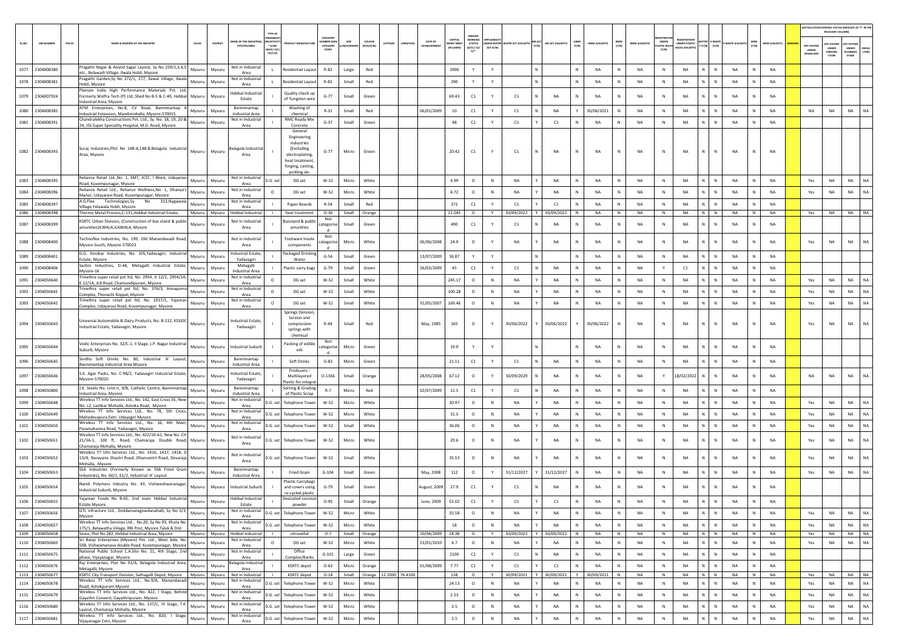|       |                                    |                                                                                                                                                  |        |               |                                                     |                                                                  |                                                                                                                             |                                           |              |                     |                                                 |                                          |                                                 |           |                                        |              |                    |              |                      |              |                       |                            |                                                   |                             |                                  |                 |                                        | AIR POLLUTION CONTROL STATUS (INDICATE AS "Y" IN THI<br>RELEVANT COLUMNI |                                                       |               |
|-------|------------------------------------|--------------------------------------------------------------------------------------------------------------------------------------------------|--------|---------------|-----------------------------------------------------|------------------------------------------------------------------|-----------------------------------------------------------------------------------------------------------------------------|-------------------------------------------|--------------|---------------------|-------------------------------------------------|------------------------------------------|-------------------------------------------------|-----------|----------------------------------------|--------------|--------------------|--------------|----------------------|--------------|-----------------------|----------------------------|---------------------------------------------------|-----------------------------|----------------------------------|-----------------|----------------------------------------|--------------------------------------------------------------------------|-------------------------------------------------------|---------------|
| SLNO. | <b>UIN NUMBER</b>                  | $PCB$ ID<br>NAME & ADDRESS OF THE INDUSTR'                                                                                                       | TALUK  | DISTRICT      | <b><i>RE OF THE INDI</i></b><br><b>ESTATES/AREA</b> | <b>RGANIS</b><br><b>ACTIV</b><br>$*(1/M)^*$<br>B/HC/ H<br>CE/C/O | <b>OUCT MANUFACTU</b>                                                                                                       | CATEGORY<br>MBER (X)<br>CATEGORY<br>CODE) | A/S/MIC      | coLour<br>(R/O/G/W) | DATE OF<br>LATITUDE<br>ONGITUE<br>ESTABLISHMB   | CAPITAL<br><b>VEST MEN</b><br>(IN LAKHS) | PRESENT<br>WORKIN<br><b>STATUS</b><br>(0/C1/C2) | ACT (Y/N) | <b>NDER WATER WATER ACT (VALIDITY)</b> | (Y/N)        | AIR ACT (VALIDITY) | HWM<br>(Y/N) | HWM (VALIDITY)       | BMW<br>(Y/N) | <b>BMW (VALIDITY)</b> | <b>ASTIC RULE</b><br>[Y/N] | <b>FGISTRATI</b><br>UNDER PLASTIC<br>ULES (VALIDI | $(Y/N)$ $(Y/N)$             | MSW<br>(Y/N)<br>WASTE (VAL       | MSW (VALIDITY)  | <b>APC SYSTER</b><br>UNDER<br>OPERATIO | <b>APC SYSTEM</b><br>UNDER<br>CONSTRU<br>CTION                           | <b>APC SYSTEM</b><br><b>UNDER</b><br>LANNING<br>STAGE | DEFA<br>LTERS |
| 1077  | 2304008380                         | Pragathi Nagar & Anand Sagar Layout, Sy No 259/1,3,4,5<br>etc., Belawadi Village, Ilwala Hobli, Mysore                                           | Mysuru | Mysuru        | Not in Industrial<br>Area                           |                                                                  | <b>Residential Layout</b>                                                                                                   | $R - 82$                                  | Large        | Red                 |                                                 | 1900                                     | Y                                               | Y         |                                        |              |                    | N            | <b>NA</b>            | N            | NA                    | $\,$ N                     | NA                                                | N<br>$\mathbb N$            | <b>NA</b>                        | <b>NA</b>       |                                        |                                                                          |                                                       |               |
| 1078  | 2304008381                         | Pragathi Garden, Sy No 272/1, 277, Ilawal Village, Ilwala<br>Hobli, Mysore                                                                       | Mysuru | Mysuru        | Not in Industrial<br>Area                           |                                                                  | Residential Layou                                                                                                           | R-82                                      | Small        | Red                 |                                                 | 290                                      | Y                                               | Y         |                                        | $\mathbb{N}$ |                    | N            | <b>NA</b>            | N            | NA                    | N                          | NA                                                | N<br>$\mathbb{N}$           | <b>NA</b><br>$\mathbb N$         | <b>NA</b>       |                                        |                                                                          |                                                       |               |
| 1079  | 2304007924                         | Plansee India High Performance Materials Pvt. Ltd,<br>Formerly Wolfra Tech (P) Ltd. Shed No B-5 & C-40. Hebball Mysuru<br>ndustrial Area, Mysore |        | Mysuru        | Hebbal Industrial<br>Estate                         |                                                                  | Quality check up<br>of Tungsten wire                                                                                        | $G - 77$                                  | Small        | Green               |                                                 | 69.43                                    | C1                                              | Y         | C1                                     | N            | <b>NA</b>          | N            | <b>NA</b>            | N            | <b>NA</b>             | N                          | <b>NA</b>                                         | N<br>$\mathbb N$            | <b>NA</b>                        | <b>NA</b>       |                                        |                                                                          |                                                       |               |
| 1080  | 2304008385                         | ATM Enterprises, No.8, CV Road, Bannimantap A<br>Industrial Extension, Mandimohalla, Mysore-570015                                               | Mysuru | Mysuru        | Bannimantap<br><b>Industrial Area</b>               |                                                                  | Washing of<br>chemical                                                                                                      | $R-31$                                    | Small        | Red                 | 06/01/2009                                      | 10                                       | C1                                              | Y         | C1                                     | N            | <b>NA</b>          |              | 30/06/2021           | N            | NA                    | N                          | <b>NA</b>                                         | N<br>$\,$ N                 | NA<br>$\mathbb N$                | <b>NA</b>       | <b>NA</b>                              | NA                                                                       | <b>NA</b>                                             | <b>NA</b>     |
|       | 1081 2304008391                    | Chandralekha Constructions Pvt. Ltd., Sy. No. 18, 19, 20 &<br>24, JSS Super Speciality Hospital, M.G. Road, Mysore                               | Mysuru | Mysuru        | Not in Industrial<br>Area                           |                                                                  | <b>RMC Ready Mix</b><br>Concrete                                                                                            | $G-37$                                    | Small        | Green               |                                                 | 48                                       | C1                                              | Y         | C1                                     |              | C1                 | N            | NA                   | N            | NA                    | N                          | NA                                                | N<br>N                      | NA<br>N                          | <b>NA</b>       |                                        |                                                                          |                                                       |               |
|       | 1082 2304008393                    | Suraj Industries, Plot No 148-A, 148-B, Belagola Industrial<br>Area, Mysore                                                                      | Mysuru | Mysuru        | elagola Industria<br>Area                           |                                                                  | General<br>Engineering<br>Industries<br>(Excluding<br>electroplating,<br>heat treatment<br>forging, casting<br>pickling de- | $G - 77$                                  | Micro        | Green               |                                                 | 20.42                                    | C1                                              |           | C1                                     | N            | NA                 | N            | <b>NA</b>            | N            | NA                    | N                          | <b>NA</b>                                         | N<br>N                      | NA                               | <b>NA</b>       |                                        |                                                                          |                                                       |               |
| 1083  | 2304008395                         | Reliance Retail Ltd., No. 1, SMT, JCST, I Block, Udayaravi<br>Road, Kuvempunagar, Mysore                                                         | Mysuru | Mysuru        | Not in Industrial<br>Area                           | D.G. set                                                         | DG set                                                                                                                      | W-52                                      | Micro        | White               |                                                 | 4.99                                     | $\circ$                                         | N         | NA                                     |              | NA                 | N            | <b>NA</b>            | N            | <b>NA</b>             | N                          | <b>NA</b>                                         | N<br>$\mathbb N$            | <b>NA</b><br>N                   | <b>NA</b>       | Yes                                    | <b>NA</b>                                                                | <b>NA</b>                                             | NA            |
| 1084  | 2304008396                         | Reliance Retail Ltd., Reliance Wellness, No. 1, Dhanya's<br>Manor, Udayaravi Road, Kuvempunagar, Mysore                                          | Mysuru | Mysuru        | Not in Industrial<br>Area                           | $\circ$                                                          | DG set                                                                                                                      | W-52                                      | Micro        | White               |                                                 | 4.72                                     | $\circ$                                         | N         | NA                                     |              | NA                 | Ν            | NA                   | N            | NA                    | N                          | NA                                                | N.<br>$\mathbb N$           | NA                               | NA              | Yes                                    | NA                                                                       | NA                                                    | NA            |
| 1085  | 2304008397                         | A.G.Flex<br>Technologies, Sy<br>No<br>313, Nagawala<br>Village, Yelawala Hobli, Mysore                                                           | Mysuru | Mysuru        | Not in Industrial<br>Area                           |                                                                  | Paper Boards                                                                                                                | $R-54$                                    | Small        | Red                 |                                                 | 372                                      | C1                                              | Y         | C1                                     |              | C1                 |              | <b>NA</b>            | N            | <b>NA</b>             | $\mathbb{N}$               | <b>NA</b>                                         | N<br>$\mathbb{N}$           | <b>NA</b>                        | <b>NA</b>       |                                        |                                                                          |                                                       |               |
|       | 1086 2304008398                    | Thermo Metal Process.C-131. Hebbal Industrial Estate.<br>KSRTC Urban Division, (Construction of bus stand & public                               |        | Mysuru Mysuru | <b>Hebbal Industrial</b><br>Not in Industrial       |                                                                  | heat treatment<br>ısstand & publi                                                                                           | 0-36<br>Not                               | Small Orange |                     |                                                 | 21.045                                   | $\circ$                                         | Y         | 30/09/2022                             | Y            | 30/09/2022         | N.           | <b>NA</b>            | N            | NA                    | N                          | NA                                                | N N                         | NA<br>N                          | <b>NA</b>       | Yes                                    | NA NA NA                                                                 |                                                       |               |
| 1087  | 2304008399                         | amunities)ILWALA,ILAWALA, Mysore<br>Technoflex Industries, No. 199, Old Manandavadi Road,                                                        | Mysuru | Mysuru        | Area<br>Not in Industrial                           |                                                                  | amunities<br>Footware Insole                                                                                                | tegoris<br>Not                            | Small        | Green               |                                                 | 490                                      | C1                                              | Y         | C1                                     |              | NA                 |              | <b>NA</b>            | N            | NA                    | N                          | NA                                                | N<br>$\mathsf{N}$           | NA                               | <b>NA</b>       |                                        |                                                                          |                                                       |               |
| 1088  | 2304008400                         | Mysore South, Mysore-570023                                                                                                                      | Mysuru | Mysuru        | Area                                                |                                                                  | components                                                                                                                  | ategorise                                 | Micro        | White               | 06/06/2008                                      | 24.9                                     | $\circ$                                         |           | <b>NA</b>                              |              | <b>NA</b>          | N            | <b>NA</b>            | N            | <b>NA</b>             | N                          | <b>NA</b>                                         | N<br>N                      | <b>NA</b>                        | <b>NA</b>       | Yes                                    | NA                                                                       | <b>NA</b>                                             | NA            |
| 1089  | 2304008401                         | G.G. Konikar Industries, No. 105, Yadavagiri, Industria<br>Estate, Mysore                                                                        | Mysuru | Mysuru        | ndustrial Estate,<br>Yadavagiri                     |                                                                  | Packaged Drinkin<br>Water                                                                                                   | $G-54$                                    | Small        | Green               | 13/07/2009                                      | 36.87                                    | Y                                               | Y         |                                        | N.           |                    | N            | <b>NA</b>            | N            | <b>NA</b>             | N                          | <b>NA</b>                                         | N<br>N                      | <b>NA</b><br>$\mathbb N$         | <b>NA</b>       |                                        |                                                                          |                                                       |               |
| 1090  | 2304008406                         | Sachin Industries, D-44, Metagalli Industrial Estate,<br>Mysore-16<br>Trinethra super retail pyt ltd. No. 2954, K 12/1, 2954/1A                  | Mysuru | Mysuru        | Metagalli<br><b>Industrial Area</b>                 |                                                                  | Plastic carry bags                                                                                                          | $G-79$                                    | Small        | Green               | 26/03/2009                                      | 45                                       | C1                                              | Y         | C1                                     | N            | NA                 | N            | <b>NA</b>            | N            | NA                    | Y                          | C1                                                | N<br>N                      | NA<br>N                          | <b>NA</b>       |                                        |                                                                          |                                                       |               |
| 1091  | 2304050640                         | K 12/1A, JLB Road, Chamundipuram, Mysore                                                                                                         | Mysuru | Mysuru        | Not in Industrial<br>Area<br>Not in Industria       | $\circ$                                                          | DG set                                                                                                                      | W-52                                      | Small        | White               |                                                 | 245.17                                   | $\circ$                                         | N         | NA                                     |              | NA                 | N            | NA                   | N            | NA                    | N                          | NA                                                | N<br>N                      | NA                               | NA              | Yes                                    | NA                                                                       | NA                                                    | NA            |
| 1092  | 2304050641                         | Trinethra super retail pvt ltd, No. 376/3, Annapurna<br>Complex, Thonachi Koppal, Mysore                                                         | Mysuru | Mysuru        | Area<br>Not in Industrial                           | $\circ$                                                          | DG set                                                                                                                      | W-52                                      | Small        | White               |                                                 | 100.28                                   | $\circ$                                         | N         | NA                                     |              | <b>NA</b>          | N            | <b>NA</b>            | N            | NA                    | N                          | <b>NA</b>                                         | N<br>$\mathbb{N}$           | <b>NA</b><br>N                   | <b>NA</b>       | Yes                                    | NA                                                                       | <b>NA</b>                                             | NA            |
|       | 1093 2304050642                    | Trinethra super retail pvt ltd, No. 1017/1, Yajaman<br>Complex, Udayaravi Road, Kuvempunagar, Mysore                                             | Mysuru | Mysuru        | Area                                                | $\circ$                                                          | DG set                                                                                                                      | W-52                                      | Small        | White               | 31/05/2007                                      | 169.46                                   | $\circ$                                         | N         | NA                                     |              | NA                 | N            | NA                   | N            | NA                    | $\,$ N                     | NA                                                | N<br>${\sf N}$              | NA                               | NA              | Yes                                    | NA                                                                       | <b>NA</b>                                             | <b>NA</b>     |
|       | 1094 2304050643                    | Universal Automobile & Dairy Products, No. B-132, KSSIDC<br>Industrial Estate, Yadavagiri, Mysore                                                | Mysuru | Mysuru        | ndustrial Estate,<br>Yadavagiri                     |                                                                  | Springs (tension<br>torsion and<br>compression<br>springs with<br>chemical                                                  | $R-44$                                    | Small        | Red                 | May, 1985                                       | 165                                      | $\circ$                                         |           | 30/06/2022                             |              | 30/06/2022         |              | 30/06/2022           |              | NA                    | N                          | NA                                                | N<br>$\mathbb N$            | NA                               | NA              | Yes                                    | NA                                                                       | NA                                                    | NA            |
| 1095  | 2304050644                         | Vedic Enterprises No. 32/C-1, II Stage, J.P. Nagar Industrial<br>Suburb, Mysore                                                                  | Mysuru | Mysuru        | Industrial Suburb                                   |                                                                  | Packing of edible<br>oils                                                                                                   | Not<br>categorise                         | Micro        | Green               |                                                 | 19.9                                     |                                                 |           |                                        |              |                    | N            | <b>NA</b>            | N            | <b>NA</b>             | N                          | <b>NA</b>                                         | N<br>$\mathsf{N}$           | <b>NA</b>                        | <b>NA</b>       |                                        |                                                                          |                                                       |               |
| 1096  | 2304050645                         | Sindhu Soft Drinks No. 80, Industrial 'A' Layout,<br>Bannimantap Industrial Area Mysore                                                          | Mysuru | Mysuru        | Bannimantap<br><b>Industrial Area</b>               |                                                                  | Soft Drinks                                                                                                                 | $G-83$                                    | Micro        | Green               |                                                 | 21.11                                    | C1                                              | Y         | C1                                     | N            | <b>NA</b>          | N            | <b>NA</b>            | N            | <b>NA</b>             | N                          | NA                                                | N.<br>$\mathbb{N}$          | <b>NA</b>                        | NA              |                                        |                                                                          |                                                       |               |
|       | 1097 2304050646                    | S.K. Agar Packs, No. C-98/2, Yadavagiri Industrial Estate,<br>Mysore-570020                                                                      | Mysuru | Mysuru        | ndustrial Estate.<br>Yadavagiri                     |                                                                  | Producers<br>Multilavered<br>Plastic for integral                                                                           | 0-1366                                    | Small        | Orange              | 28/05/2008                                      | 67.12                                    | $\circ$                                         |           | 30/09/2029                             |              | <b>NA</b>          | $\mathbb{N}$ | <b>NA</b>            | N            | NA                    | Y                          | 18/02/2022                                        | N.<br>$\mathbb{N}$          | <b>NA</b>                        | <b>NA</b>       | <b>NA</b>                              | NA                                                                       | <b>NA</b>                                             | NA            |
| 1098  | 2304050800                         | J.K. Steels No. Unit-II, 9/B, Catholic Centre, Bannimantap<br>Industrial Area, Mysore                                                            | Mysuru | Mysuru        | Bannimantap<br>Industrial Area                      |                                                                  | Sorting & Grading<br>of Plastic Scrap                                                                                       | $R-7$                                     | Micro        | Red                 | 02/07/2009                                      | 11.5                                     | C1                                              | Y         | C1                                     | N            | <b>NA</b>          | N            | <b>NA</b>            | N            | <b>NA</b>             | N                          | <b>NA</b>                                         | N.<br>$\mathbb{N}$          | <b>NA</b>                        | <b>NA</b>       |                                        |                                                                          |                                                       |               |
| 1099  | 2304050648                         | Wireless TT Info Services Ltd., No. 142, East Cross 35, New<br>No. L2. Lashkar Mohalla, Ashoka Road. Mysore                                      | Mysuru | Mysuru        | Not in Industrial<br>Area                           | D.G. set                                                         | <b>Telephone Towe</b>                                                                                                       | W-52                                      | Micro        | White               |                                                 | 30.97                                    | $\circ$                                         | N         | <b>NA</b>                              |              | <b>NA</b>          | N            | <b>NA</b>            | N            | NA                    | N                          | <b>NA</b>                                         | N<br>$\mathbb{N}$           | NA                               | <b>NA</b>       | Yes                                    | <b>NA</b>                                                                | <b>NA</b>                                             | NA            |
| 1100  | 2304050649                         | Wireless TT Info Services Ltd., No. 78, 5th Cross,<br>Mahadevapura Extn. Udayagiri Mysore                                                        | Mysuru | Mysuru        | Not in Industria<br>Area                            | D.G. set                                                         | <b>Telephone Towe</b>                                                                                                       | W-52                                      | Micro        | White               |                                                 | 31.5                                     | $\circ$                                         | N         | NA                                     |              | NA                 | N            | <b>NA</b>            | N            | NA                    | N                          | <b>NA</b>                                         | N<br>$\mathbb N$            | <b>NA</b><br>$\mathbb N$         | <b>NA</b>       | Yes                                    | NA                                                                       | <b>NA</b>                                             | NA            |
| 1101  | 2304050650                         | Wireless TT Info Services Ltd., No. 16, 4th Main,<br>Paramahamsa Road, Yadavagiri, Mysore                                                        | Mysuru | Mysuru        | Not in Industrial<br>Area                           | D.G. set                                                         | <b>Telephone Towe</b>                                                                                                       | W-52                                      | Small        | White               |                                                 | 36.06                                    | $\circ$                                         | N         | NA                                     |              | NA                 | N            | <b>NA</b>            | N            | NA                    | N                          | NA                                                | N<br>${\sf N}$              | NA                               | NA              | Yes                                    | <b>NA</b>                                                                | NA                                                    | NA            |
|       | 1102 2304050651                    | Wireless TT Info Services Ltd., No. 422/10-A1, New No. CH<br>21/3A-1, 100 ft. Road, Chamaraja Double Road,<br>Chamaraja Mohalla, Mysore          | Mysuru | Mysuru        | Not in Industria<br>Area                            | D.G. set                                                         | <b>Telephone Towe</b>                                                                                                       | W-52                                      | Micro        | White               |                                                 | 29.6                                     | $\circ$                                         | N         | NA                                     |              | NA                 | Ν            | <b>NA</b>            | N            | NA                    | N                          | NA                                                | N<br>$\mathbb N$            | NA<br>N                          | <b>NA</b>       | Yes                                    | NA                                                                       | NA                                                    | NA.           |
|       | 1103 2304050652                    | Wireless TT Info Services Ltd., No. 1416, 1417, 1418, D<br>13/4, Narayana Shastri Road, Dhanvantri Road, Devaraja Mysuru<br>Mohalla, Mysore      |        | Mysuru        | Not in Industrial<br>Area                           | D.G. set                                                         | <b>Telephone Towe</b>                                                                                                       | W-52                                      | Small        | White               |                                                 | 35.53                                    | $\circ$                                         | N         | NA                                     |              | <b>NA</b>          | N            | <b>NA</b>            | N            | <b>NA</b>             | $\mathbb{N}$               | <b>NA</b>                                         | $\mathbf{N}$<br>$\mathbb N$ | <b>NA</b>                        | <b>NA</b>       | Yes                                    | <b>NA</b>                                                                | <b>NA</b>                                             | <b>NA</b>     |
|       | 1104 2304050653                    | SSA Industries (Formerly Known as SSA Fried Gram<br>Industries), No. 60/1, 61/2, Industrial 'A' Layout                                           | Mysuru | Mysuru        | Bannimantap<br>Industrial Area                      |                                                                  | Fried Gram                                                                                                                  | $G-104$                                   | Small        | Green               | May, 2008                                       | 112                                      | $\circ$                                         | Y         | 31/12/2027                             |              | 31/12/2027         | N            | NA                   | N            | NA                    | N                          | <b>NA</b>                                         | N<br>N                      | NA<br>N                          | NA              | Yes                                    | NA                                                                       | NA                                                    | <b>NA</b>     |
|       | 1105 2304050654                    | Nandi Polymers Industry No. 43, Vishweshwaranagar,<br>Industrial Suburb, Mysore                                                                  | Mysuru | Mysuru        | ndustrial Suburt                                    |                                                                  | <b>Plastic Carrybags</b><br>and covers using                                                                                | $G-79$                                    | Small        | Green               | August, 2009                                    | 27.9                                     | C1                                              |           | C1                                     |              | NA                 |              | NA                   | N            | NA                    | N                          | <b>NA</b>                                         | N<br>${\sf N}$              | NA                               | <b>NA</b>       |                                        |                                                                          |                                                       |               |
|       | 1106 2304050655                    | Yajaman Foods No B-65, 2nd main Hebbal Industrial<br><b>Fstate Mysore</b>                                                                        | Mysuru | Mysuru        | Hebbal Industria                                    |                                                                  | re-cycled plastic<br>Desicated coconu                                                                                       | $O - 95$                                  | Small        | Orange              | June, 2009                                      | 52.02                                    | C1                                              | Y         | C1                                     |              | C1                 | N            | <b>NA</b>            | N            | NA                    | N                          | NA                                                | N<br>N                      | NA                               | <b>NA</b>       |                                        |                                                                          |                                                       |               |
|       | 1107 2304050656                    | GTL Infracture Ltd., Doddamaragowdanahalli, Sy No 3/3,<br>Mysore                                                                                 | Mysuru | Mysuru        | Estate<br>Not in Industrial<br>Area                 | D.G. set                                                         | powder<br><b>Telephone Tower</b>                                                                                            | W-52                                      | Micro        | White               |                                                 | 35.58                                    | $\circ$                                         | N         | NA                                     |              | NA                 |              | NA                   | N            | NA                    | N                          | NA                                                | N<br>${\sf N}$              | NA                               | NA              | Yes                                    | NA                                                                       | NA                                                    | NA            |
|       | 1108 2304050657                    | Wireless TT Info Services Ltd., No.20, Sy No 93, Khata No.<br>175/1, Belawatha Viilage, RBI Post, Mysore Taluk & Dist                            | Mysuru | Mysuru        | Not in Industrial<br>Area                           | D.G. set                                                         | <b>Telephone Towe</b>                                                                                                       | W-52                                      | Micro        | White               |                                                 | 18                                       | $\circ$                                         | $\,$ N    | <b>NA</b>                              |              | NA                 | $\mathbb{N}$ | NA                   | N            | NA                    | $\,$ N $\,$                | <b>NA</b>                                         | N<br>$\,$ N                 | <b>NA</b><br>${\sf N}$           | NA              | Yes                                    | NA                                                                       | <b>NA</b>                                             | NA            |
|       | 1109 2304050658                    | Sineo, Plot No 282, Hebbal Industrial Area, Mysore<br>Sri Balaji Enterprises (Mysore) Pvt. Ltd., West Side, No.                                  |        | Mysuru Mysuru | Hebbal Industrial<br>Not in Industrial              | $\sim$ 1.1                                                       | citronellal                                                                                                                 | $O-7$                                     |              | Small Orange        | 10/04/2009                                      | 28.38                                    | $\circ$                                         | Y         | 30/09/2022 Y 30/09/2022                |              |                    | N            | <b>NA</b>            | N            | <b>NA</b>             | N                          | <b>NA</b>                                         | N N                         | <b>NA</b><br>N                   | <b>NA</b>       | Yes                                    | <b>NA</b>                                                                | NA I                                                  | <b>NA</b>     |
|       | 1110 2304050660                    | 508, Vishwamanava double Road, Kuvempunagar, Mysore<br>National Public School C.A.Site No. 21, 4th Stage, 2nd                                    | Mysuru | Mysuru        | Area<br>Not in Industrial                           | $\circ$                                                          | DG set<br>Office                                                                                                            | W-52                                      | Micro        | White               | 23/01/2010                                      | 4.7                                      | $\circ$                                         | N         | NA                                     |              | NA                 | Ν            | NA                   | N            | NA                    | $\,$ N                     | NA                                                | N<br>$\mathbb N$            | NA<br>N                          | <b>NA</b>       | Yes                                    | NA                                                                       | <b>NA</b>                                             | <b>NA</b>     |
|       | 1111 2304050675<br>1112 2304050676 | phase, Vijayanagar, Mysore<br>Raj Enterprises, Plot No 91/A, Belagola Industrial Area,                                                           | Mysuru | Mysuru        | Area<br>elagola Industrial                          | $\mathbf{L}$<br>$\mathbf{L}$                                     | Complex/Banks                                                                                                               | $G-101$                                   | Large        | Green               |                                                 | 2100                                     | C1                                              | Y         | C1                                     | N            | NA                 | N            | <b>NA</b>            | ${\sf N}$    | NA                    | $\,$ N                     | NA                                                | $N$ $N$                     | N<br><b>NA</b>                   | NA              |                                        |                                                                          |                                                       |               |
|       | 1113 2304050677                    | Metagalli, Mysore<br>KSRTC City Transport Division, Sathagalli Depot, Mysore   Mysuru   Mysuru   Not in Industrial                               | Mysuru | Mysuru        | Area                                                |                                                                  | <b>KSRTC</b> depot<br>KSRTC depot                                                                                           | $O - 62$                                  | Micro        | Orange              | 01/08/2009<br>0-18 Small Orange 12.2000 76.4100 | 7.77<br>158                              | $\mathsf{C1}$<br>$\circ$                        | Y<br>Y    | C1<br>30/09/2021 Y 30/09/2021          |              | C1                 | N            | NA<br>Y 30/09/2021 N | N            | <b>NA</b><br>NA       | N<br>N                     | <b>NA</b><br><b>NA</b>                            | N<br>$\,$ N<br>$N$ $N$      | <b>NA</b><br>N<br>N<br><b>NA</b> | NA<br><b>NA</b> | Yes                                    | NA NA NA                                                                 |                                                       |               |
|       | 1114 2304050678                    | Wireless TT Info Services Ltd., No.9/A, Manandavadi<br>Road, Ashokpuram Mysore                                                                   | Mysuru | Mysuru        | Not in Industrial<br>Area                           | D.G. set                                                         | <b>Telephone Tower</b>                                                                                                      | W-52                                      | Micro        | White               |                                                 | 24.13                                    | $\circ$                                         | N         | <b>NA</b>                              |              | <b>NA</b>          | $\mathbb{N}$ | <b>NA</b>            | N            | NA                    | $\mathbb{N}$               | <b>NA</b>                                         | N<br>$\,$ N                 | <b>NA</b><br>N                   | NA              | Yes                                    | <b>NA</b>                                                                | <b>NA</b>                                             | NA            |
|       | 1115 2304050679                    | Wireless TT Info Services Ltd., No. 422, I Stage, Behind<br>Gayathri Convent, Gayathripuram, Mysore                                              | Mysuru | Mysuru        | Not in Industrial<br>Area                           | D.G. set                                                         | <b>Telephone Tower</b>                                                                                                      | W-52                                      | Micro        | White               |                                                 | 2.53                                     | $\circ$                                         | N         | <b>NA</b>                              |              | NA                 | N            | NA                   | N            | NA                    | N                          | <b>NA</b>                                         | N<br>N                      | <b>NA</b><br>N                   | <b>NA</b>       | Yes                                    | NA                                                                       | <b>NA</b>                                             | NA            |
|       | 1116 2304050680                    | Wireless TT Info Services Ltd., No. 137/C, IV Stage, T.K.<br>Layout, Chamaraja Mohalla, Mysore                                                   | Mysuru | Mysuru        | Not in Industrial<br>Area                           | D.G. set                                                         | <b>Telephone Towe</b>                                                                                                       | W-52                                      | Micro        | White               |                                                 | 2.5                                      | $\circ$                                         | N         | <b>NA</b>                              |              | <b>NA</b>          | N            | NA                   | N            | NA                    | N                          | NA                                                | N<br>$\,$ N                 | NA<br>N                          | NA              | Yes                                    | NA                                                                       | <b>NA</b>                                             | NA            |
|       | 1117 2304050681                    | Wireless TT Info Services Ltd., No. 820, I Stage,<br>Vijayanagar Extn, Mysore                                                                    | Mysuru | Mysuru        | Not in Industrial<br>Area                           | D.G. set                                                         | <b>Telephone Tower</b>                                                                                                      | $W-52$                                    | Micro        | White               |                                                 | $2.5\,$                                  | $\circ$                                         | N         | NA                                     |              | NA                 | N            | NA                   | N            | NA                    | $\,$ N                     | NA                                                | N<br>${\sf N}$              | NA<br>$\mathbb N$                | NA              | Yes                                    | $_{\sf NA}$                                                              | NA                                                    | NA            |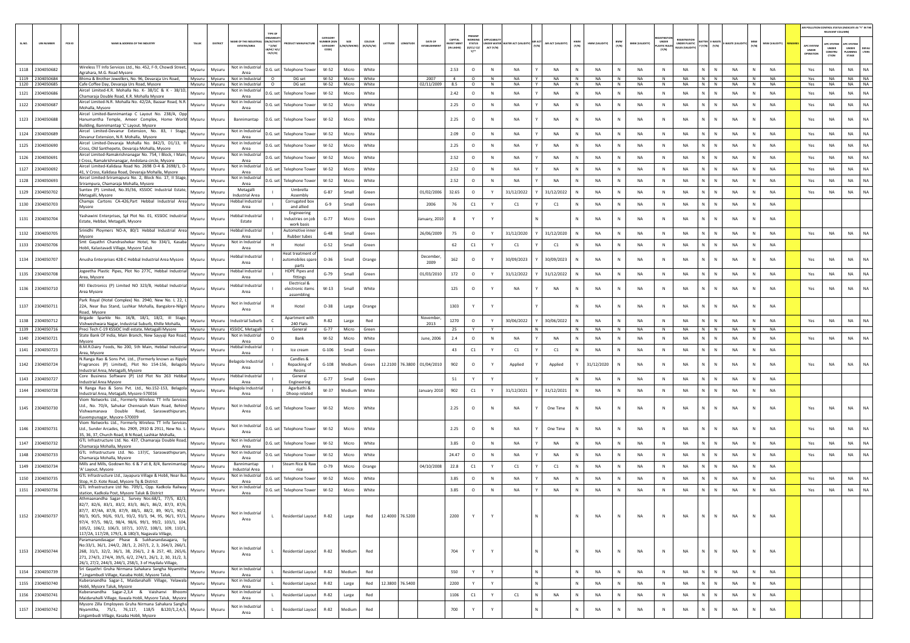| RELEVANT COLUMN)<br>CATEGOR<br>CAPITAL<br><b>WORKIN</b><br>AME OF THE INDUSTR<br>N/ACTIVIT<br><b>IMBER DOG</b><br>coLour<br>DATE OF<br>SIZE<br>HWM<br>(Y/N)<br>BMW<br>UNDER<br><b>TTER E-WAST</b><br>PCB ID<br>STATUS<br>(0/C1/ C2/<br>UNDER PLASTIC<br>RULES (VALIDITY)<br>SL.NO.<br><b>UIN NUMBER</b><br><b>IAME &amp; ADDRESS OF THE INDUSTR</b><br>TALUR<br>DISTRICT<br>ATITUDE<br><b>EST MEN</b><br>AIR ACT (VALIDIT<br>HWM (VALIDITY<br><b>BMW (VALIDITY)</b><br><b>NASTE</b> (VA<br><b>MSW (VALIDITY</b><br><b>PC SYSTER</b><br>APC SYSTER<br>(Y/N)<br>(Y/N)<br>$(Y/N)$ $(Y/N)$<br>$*$ (i/M/<br>CATEGORY<br>LASTIC RULES<br><b>ESTATES/AREA</b><br>(R/O/G/W)<br>/M/S/MICRO<br>ESTABLISHMI<br><b>APC SYSTEI</b><br>ACT (Y/N)<br>(IN LAKHS)<br><b>UNDER</b><br>CONSTRU<br>UNDER<br>DEFAL<br>8/HC/ H/L<br>CODE)<br><b>UNDER</b><br>IPERATION<br>(Y/N)<br>LANNING<br>LTERS<br>Y1<br>CE/C/O)<br>CTION<br>STAGE<br>Vireless TT Info Services Ltd., No. 452, F-9, Chowdi Street,<br>Not in Industrial<br>1118 2304050682<br>Mysuru<br>Mysuru<br>D.G. set<br>White<br>2.53<br>NA<br>N.<br>NA<br>NA<br>NA<br><b>Telephone Towe</b><br>W-52<br>Micro<br>$\circ$<br>N<br>NA<br><b>NA</b><br>NA<br>NA<br>N<br>NA<br>NA<br>Yes<br>Agrahara, M.G. Road Mysore<br>Area<br>NA<br>1119 2304050684<br>2007<br><b>NA</b><br>$N$ $N$<br>N<br><b>NA</b><br>Not in Industrial<br>W-52<br>White<br>$\circ$<br>N<br><b>NA</b><br>Y<br><b>NA</b><br>N<br>N<br><b>NA</b><br>N<br><b>NA</b><br><b>NA</b><br>NA<br><b>NA</b><br>Bhima & Brother Jewellers, No. 96, Devaraia Urs Road.<br>Mysuru<br>Mvsuru<br>$\circ$<br>DG set<br>Micro<br>4<br>Yes<br>1120 2304050685<br>Not in Industrial<br>W-52<br>Micro<br>White<br>02/11/2009<br>8.5<br>$\circ$<br>N<br><b>NA</b><br>Y<br>NA<br>N<br>NA<br>N<br>NA<br>N<br><b>NA</b><br>N N<br>NA<br>N<br><b>NA</b><br>NA<br><b>NA</b><br>NA<br>Cafe Coffee Day, Devaraja Urs Road, Mysore<br>Mysuru<br>Mysuru<br>$\circ$<br>DG set<br>Yes<br>Aircel Limited-K.R. Mohalla No. K- 38/1C & K - 38/1D,<br>Not in Industrial<br>NA<br>1121 2304050686<br>W-52<br>White<br>2.42<br>$\circ$<br><b>NA</b><br>N<br><b>NA</b><br>NA<br><b>NA</b><br>Mysuru<br>Mysuru<br>D.G. set Telephone Tower<br>$\mathbb{N}$<br><b>NA</b><br><b>NA</b><br>N<br><b>NA</b><br>N<br><b>NA</b><br>N<br>NA<br>N<br>Yes<br>Micro<br>N<br>Chamaraja Double Road, K.R. Mohalla Mysore<br>Area<br>Aircel Limited-N.R. Mohalla No. 42/2A, Bazaar Road, N.R.<br>Not in Industria<br>N.<br>NA<br>1122 2304050687<br>$\mathbb{N}$<br><b>NA</b><br>Mysuru<br>Mysuru<br>D.G. set<br><b>Telephone Towe</b><br>W-52<br>Micro<br>White<br>2.25<br>$\circ$<br>N<br>NA<br>NA<br>N<br>NA<br>N<br>NA<br>N<br>NA<br>NA<br>N<br><b>NA</b><br>Yes<br><b>NA</b><br>Mohalla, Mysore<br>Area<br>Aircel Limited-Bannimantap C Layout No. 238/A, Opp<br>NA.<br>1123 2304050688<br><b>NA</b><br>Hanumantha Temple, Ameer Complex, Home World Mysuru<br>Mysuru<br>Bannimantap<br>D.G. set Telephone Tower<br>W-52<br>Micro<br>White<br>2.25<br>$\circ$<br>N<br><b>NA</b><br>NA<br>N<br><b>NA</b><br>N<br><b>NA</b><br>N<br><b>NA</b><br>N<br>$\mathbb N$<br>NA<br>N<br><b>NA</b><br>Yes<br><b>NA</b><br>Building, Bannimantap 'C' Layout. Mysore<br>Aircel Limited-Devanur Extension, No. 83, I Stage,<br>Not in Industrial<br>NA<br>1124 2304050689<br>N.<br>Mysuru<br>Mysuru<br>D.G. set<br>Telephone Tower<br>W-52<br>Micro<br>White<br>2.09<br>$\circ$<br>N<br>NA<br>NA<br><b>NA</b><br>N<br>NA<br>N<br><b>NA</b><br>N<br>NA<br>NA<br>Yes<br><b>NA</b><br>NA<br>Devanur Extension, N.R. Mohalla, Mysore<br>Area<br>Aircel Limited-Devaraja Mohalla No. 842/3, D1/13, I<br>Not in Industria<br>1125 2304050690<br>W-52<br>White<br>2.25<br>$\circ$<br>NA<br>NA<br>NA<br>N<br>NA<br>NA<br>N<br>NA<br><b>NA</b><br>NA<br>NA<br>NA<br>Mysuru<br>Mysuru<br>D.G. set<br>Telephone Tower<br>Micro<br>N<br>N<br>N<br>N<br>N<br>Yes<br>Cross, Old Santhepete, Devaraja Mohalla, Mysore<br>Area<br>Aircel Limited-Ramakrishnanagar No. 754, I Block, I Main,<br>Not in Industrial<br>1126 2304050691<br>White<br>2.52<br><b>NA</b><br>N<br>N<br>NA<br>NA<br>Mysuru<br>Mysuri<br>D.G. set<br>Telephone Tower<br>W-52<br>Micro<br>$\circ$<br>N<br>NA<br>NA<br>N<br>N<br>NA<br>N<br><b>NA</b><br>NA<br>NA<br>Yes<br><b>NA</b><br>Cross, Ramakrishnanagar, Andolana circle, Mysore<br>Area<br>Aircel Limited-Kalidasa Road No. 2698 D-4 & 2698/1, D-<br>Not in Industria<br>NA<br>N  <br>NA<br>1127 2304050692<br>$W-52$<br>White<br>2.52<br>$\circ$<br>$\mathbb{N}$<br><b>NA</b><br><b>NA</b><br>N<br><b>NA</b><br>N<br>NA<br>$\mathbb{N}$<br><b>NA</b><br>$\mathbb{N}$<br><b>NA</b><br>N<br><b>NA</b><br>Yes<br>NA<br>Mysuru<br>Mysuri<br>D.G. set<br><b>Telephone Towe</b><br>Micro<br>41, V Cross, Kalidasa Road, Devaraja Mohalla, Mysore<br>Area<br>Aircel Limited-Sriramapura No. 2, Block No. 17, II Stage,<br>Not in Industrial<br>2.52<br>NA<br>1128 2304050693<br>Mysuru<br>White<br>$\circ$<br>$\mathbb N$<br><b>NA</b><br><b>NA</b><br><b>NA</b><br><b>NA</b><br><b>NA</b><br>$\mathbb{N}$<br>NA<br><b>NA</b><br>NA<br><b>NA</b><br>D.G. set l<br><b>Telephone Tower</b><br>W-52<br>N<br>N<br>N<br>Yes<br>Mysuru<br>Micro<br>N<br>N<br>Srirampura, Chamaraja Mohalla, Mysore<br>Area<br>iuntex (P) Limited, No.35/36, KSSIDC Industrial Estate,<br>Metagalli<br>Umbrella<br><b>NA</b><br>N.<br>$\mathbb{N}$<br><b>NA</b><br>1129 2304050702<br>Mysuru<br>Mysuru<br>$G-87$<br>Small<br>Green<br>01/02/2006<br>32.65<br>$\circ$<br>Y<br>31/12/2022<br>31/12/2022<br><b>NA</b><br>N<br>NA<br>N<br><b>NA</b><br>NA<br>N<br><b>NA</b><br>Yes<br><b>NA</b><br>Metagalli, Mysore<br><b>Industrial Area</b><br>Assembly<br>Champs Cartons CA-426, Part Hebbal Industrial Area<br>lebbal Industrial<br>Corrugated box<br>1130 2304050703<br>$G-9$<br>Small<br>2006<br>76<br>C1<br>C1<br><b>NA</b><br>N<br>NA<br>N<br>NA<br>N<br>$\mathbb N$<br>NA<br>N<br>NA<br>Mysuru<br>Mysuru<br>Green<br>Y<br>C1<br>N<br>Area<br>and allied<br>Mysore<br>Engineering<br>ashawini Enterprises, Spl Plot No. 01, KSSIDC Industria<br>lebbal Industria<br>1131 2304050704<br>Micro<br><b>NA</b><br>NA<br><b>NA</b><br>N.<br>N<br>NA<br>Mysuru<br>Mysuru<br>ndustries on job<br>$G - 77$<br>Green<br>muary, 2010<br>8<br>Y<br>N<br>N<br>NA<br>Estate, Hebbal, Metagalli, Mysore<br>Estate<br>work basis<br>Srinidhi Ploymers NO-A, 80/1 Hebbal Industrial Area<br>lebbal Industria<br>Automotive inne<br><b>NA</b><br>1132 2304050705<br>Mysuru<br>Green<br>26/06/2009<br>75<br>$\circ$<br>31/12/2020<br>31/12/2020<br><b>NA</b><br>N<br>NA<br>NA<br>N<br>NA<br><b>NA</b><br>NA<br>NA<br>Mysuru<br>$G-48$<br>Small<br>Y<br>N<br>N<br>N<br>N<br>Yes<br>Area<br>Rubber tubes<br>Mysore<br>Not in Industrial<br>Smt Gayathri Chandrashekar Hotel, No 334/1, Kasaba<br>1133 2304050706<br>Mysuru<br>62<br>C1<br><b>NA</b><br>NA<br>NA<br>N<br>N<br>NA<br>NA<br>Mysuru<br>Hotel<br>$G-52$<br>Small<br>Green<br>C1<br>C1<br>N<br>N<br>Iobli, Kalastavadi Village, Mysore Taluk<br>Area<br>Heat treatment o<br>lebbal Industrial<br>December<br><b>NA</b><br>1134 2304050707<br>Anusha Enterprises 428-C Hebbal Industrial Area Mysore<br>automobiles spare<br>$O-36$<br>Orange<br>162<br>$\circ$<br>30/09/2023<br>30/09/2023<br><b>NA</b><br>NA<br>N<br><b>NA</b><br>N<br>$\mathbb{N}$<br><b>NA</b><br><b>NA</b><br><b>NA</b><br><b>NA</b><br>Mysuru<br>Mysuru<br>Small<br>N<br>Yes<br>2009<br>Area<br>parts<br>Jogeetha Plastic Pipes, Plot No 277C, Hebbal Industrial<br>lebbal Industrial<br><b>HDPE Pipes and</b><br>1135 2304050708<br>Mysuru<br>$G-79$<br>01/03/2010<br>172<br>$\circ$<br>31/12/2022<br>31/12/2022<br><b>NA</b><br>NA<br>NA<br>N<br>N<br>NA<br>NA<br>NA<br>NA<br>NA<br>Mysuru<br>Small<br>Green<br>N<br>N<br>N<br>Yes<br>fittings<br>Area, Mysore<br>Area<br>Electrical &<br>REI Electronics (P) Limited NO 323/B, Hebbal Industrial<br>lebbal Industrial<br><b>NA</b><br>1136 2304050710<br>$W-13$<br>Small<br>White<br>125<br>$\circ$<br><b>NA</b><br><b>NA</b><br>NA<br>N<br><b>NA</b><br>N<br>$\mathbb N$<br>NA<br><b>NA</b><br>NA<br><b>NA</b><br>Mysuru<br>Mysuru<br>electronic items<br>NA<br>N<br>N<br>Yes<br>Area Mysore<br>Area<br>assembling<br>Park Royal (Hotel Complex) No. 2940, New No. L 22, L<br>Not in Industria<br>1137 2304050711<br>22A, Near Bus Stand, Lushkar Mohalla, Bangalore-Nilgiri<br>1303<br><b>NA</b><br>NA<br>NA<br>N<br>${\sf N}$<br>NA<br>NA<br>Mysuru<br>Mysuru<br>Hotel<br>$O-38$<br>Large<br>Orange<br>Y<br>N<br>N<br>Area<br>Road, Mysore<br>Brigade Sparkle No. 16/B, 18/1, 18/2, III Stage,<br>Apartment with<br>November<br>1138 2304050712<br>Mysuru<br>R-82<br>Red<br>1270<br>$\circ$<br>30/06/2022<br>30/06/2022<br>NA<br>NA<br>NA<br>N<br>NA<br>NA<br>NA<br>NA<br>NA<br>Mysuru<br>Industrial Suburt<br>Large<br>Y<br>N<br>N<br>N<br>N<br>N<br>Yes<br>Vishweshwara Nagar, Industrial Suburb, Khille Mohalla,<br>240 Flats<br>2013<br>1139 2304050716<br>Preci Tech C-19 KSSIDC Indl estate, Metagalli Mysore<br>KSSIDC, Metagall<br>NA<br>NA<br>NA<br>N  <br>N<br>NA<br>NA<br>Mysuru<br>Micro<br>Green<br>N.<br>N<br>N<br>N<br>Mysuru<br>General<br>$G-77$<br>25<br>State Bank Of India, Main Branch, New Sayyaji Rao Road,<br>Not in Industria<br><b>NA</b><br>2.4<br>N<br>NA<br>1140 2304050721<br>Mysuru<br>Mysuru<br>Bank<br>$W-52$<br>Micro<br>White<br>June, 2006<br>$\circ$<br>N<br>NA<br>NA<br>N<br>NA<br>N<br>NA<br><b>NA</b><br>N<br>NA<br>NA<br>Yes<br>NA<br>N<br>Mysore<br>Area<br>B.M.R.Dairy Foods, No 200, 5th Main, Hebbal Industrial<br>lebbal Industria<br>1141 2304050723<br>$G-106$<br>43<br>C1<br>C1<br>NA<br>N<br>NA<br>$\,$ N<br>NA<br>N<br>${\sf N}$<br>NA<br><b>NA</b><br>Mysuru<br>Mysuru<br>Ice cream<br>Small<br>Green<br>Y<br>C1<br>N<br>N<br>Area, Mysore<br>Area<br>N.Ranga Rao & Sons Pvt. Ltd., (Formerly known as Ripple<br>Candles &<br>elagola Industria<br>1142 2304050724<br>$G-108$<br>Medium<br>12.2100<br>76.3800 01/04/2010<br>902<br>$\circ$<br>Applied<br>31/12/2020<br>NA<br>NA<br>N.<br>${\sf N}$<br>NA<br>NA<br>NA<br>NA<br>NA<br>ragrances (P) Limited), Plot No 154-156, Belagola<br>Mysuru<br>Mysuru<br>Repacking of<br>Green<br>Applied<br>N<br>N<br>Yes<br>Area<br>Industrial Area, Metagalli, Mysore<br>Resins<br>Core Business Software (P) Ltd Plot No 263 Hebbal<br>Hebbal Industria<br>General<br>1143 2304050727<br>Mysuru<br>Small<br>51<br>NA<br>N<br>NA<br>NA<br>N<br>${\sf N}$<br>NA<br>N<br>NA<br>Mysuru<br>$G-77$<br>Green<br>Y<br>Y<br>N<br>N<br>Industrial Area Mysore<br>Area<br>Engineering<br>N Ranga Rao & Sons Pvt. Ltd., No.152-153, Belagola<br>elagola Industria<br>Agarbathi &<br>1144 2304050728<br>Mysuru<br>W-37<br>Medium<br>White<br>January 2010<br>902<br>C1<br>31/12/2021<br>31/12/2021<br>NA<br>NA<br>$\mathbb{N}$<br><b>NA</b><br>N<br>NA<br><b>NA</b><br>Mysuru<br>N<br>Y<br>ndustrial Area, Metagalli, Mysore-570016<br>Area<br>Dhoop related<br>Viom Networks Ltd., Formerly Wireless TT Info Services<br>Ltd., No. 70/A, Sahukar Chennaiah Main Road, Behind<br>Not in Industrial<br>1145 2304050730<br>Mysuru<br>W-52<br>Micro<br>White<br>2.25<br>$\circ$<br>NA<br>NA<br>$\mathbb N$<br>NA<br>NA<br><b>NA</b><br>NA<br>Mysuru<br>D.G. set<br><b>Telephone Tower</b><br>N<br>NA<br>One Time<br>Ν<br>NA<br>N<br>N<br>N<br>NA<br>Yes<br>Vishwamanava Double Road, Saraswathipuram,<br>Area<br>Kuvempunagar, Mysore-570009<br>Viom Networks Ltd., Formerly Wireless TT Info Services<br>Not in Industria<br>1146 2304050731<br>N.<br>$\mathbb{N}$<br>NA<br>$W-52$<br>White<br>2.25<br>$\circ$<br><b>NA</b><br><b>NA</b><br><b>NA</b><br><b>NA</b><br><b>NA</b><br>Micro<br>N<br><b>NA</b><br>One Time<br>N<br>N<br>N<br><b>NA</b><br>N<br><b>NA</b><br>Ltd., Sunder Arcades, No. 2909, 2910 & 2911, New No. L- Mysuru<br>Mysuru<br>D.G. set Telephone Tower<br>Yes<br>Area<br>35, 36, 37, Church Road, B N Road, Lashkar Mohalla,<br>GTL Infrastructure Ltd. No. 437, Chamaraja Double Road,<br>Not in Industrial<br>1147 2304050732<br>Mysuru<br>W-52<br>White<br>3.85<br><b>NA</b><br><b>NA</b><br><b>NA</b><br><b>NA</b><br><b>NA</b><br>N<br>NA<br><b>NA</b><br>NA<br><b>NA</b><br>NA<br>Mysuru<br>D.G. set Telephone Tower<br>Micro<br>$\circ$<br>N<br>N<br>N<br>N I<br>Yes<br>N<br>N<br>Chamaraja Mohalla, Mysore<br>Area<br>GTL Infrastructure Ltd. No. 137/C, Saraswathipuram,<br>Not in Industria<br>N.<br><b>NA</b><br>N<br><b>NA</b><br>1148 2304050733<br>Mysuru<br>Mysuru<br>D.G. set<br><b>Telephone Towe</b><br>W-52<br>Micro<br>White<br>24.47<br>$\circ$<br>N<br>NA<br>NA<br>N<br>NA<br>N<br>NA<br>$\mathbb N$<br><b>NA</b><br>NA<br>NA<br>Yes<br>NA<br>Chamaraja Mohalla, Mysore<br>Area<br>Mills and Mills, Godown No. 6 & 7 at 8, 8/4, Bannimantap<br>Bannimantap<br>Steam Rice & Ray<br>1149 2304050734<br>04/10/2008<br>22.8<br>C1<br>C1<br>C1<br>NA<br>N<br>NA<br>NA<br>N<br>NA<br><b>NA</b><br>Mysuru<br>Mysuri<br>$O-79$<br>Micro<br>Orange<br>Y<br>N<br>N<br>N<br>N<br>'A' Layout, Mysore<br><b>Industrial Area</b><br>rice<br>GTL Infrastructure Ltd., Jayapura Village & Hobli, Near Bus<br>Not in Industrial<br><b>NA</b><br>1150 2304050735<br>Mysuru<br>Mysuru<br>$W-52$<br>White<br>3.85<br>$\circ$<br>${\sf N}$<br>NA<br>NA<br><b>NA</b><br>NA<br>NA<br>N<br>NA<br><b>NA</b><br>NA<br><b>NA</b><br>D.G. set<br><b>Telephone Tower</b><br>Micro<br>N<br>N<br>Yes<br>itop, H.D. Kote Road, Mysore Tq & District<br>Area<br>GTL Infrastructure Ltd No. 709/1, Opp. Kadkola Railway<br>Not in Industria<br><b>NA</b><br>1151 2304050736<br>Mysuru<br>Mysuru<br>W-52<br>Micro<br>White<br>3.85<br>$\circ$<br>$\mathbb{N}$<br><b>NA</b><br><b>NA</b><br>N<br><b>NA</b><br>N<br>NA<br>N<br><b>NA</b><br>N<br>$\mathbb{N}$<br><b>NA</b><br><b>NA</b><br>Yes<br>NA<br>NA<br>D.G. set Telephone Tower<br>station, Kadkola Post, Mysore Taluk & District<br>Area<br>Athmaanandha Sagar-1, Survey Nos:68/1, 77/5, 82/3,<br>82/7, 82/6, 83/1, 83/2, 83/3, 86/1, 86/2, 87/3, 87/6,<br>87/7, 87/4A, 87/8, 87/9, 88/1, 88/2, 89, 90/1, 90/2,<br>Not in Industrial<br>1152 2304050737<br>12.4000 76.5200<br>2200<br>N<br>N<br>Residential Layout R-82<br>Y<br>N<br>N<br><b>NA</b><br><b>NA</b><br>$\mathbb{N}$<br><b>NA</b><br>N<br><b>NA</b><br>90/3, 90/5, 90/6, 93/1, 93/2, 93/3, 94, 95, 96/1, 97/1, Mysuru<br>Mysuru<br>Large<br>Red<br>N<br><b>NA</b><br>L.<br>Y<br>Area<br>97/4, 97/5, 98/2, 98/4, 98/6, 99/1, 99/2, 103/1, 104,<br>105/2, 106/2, 106/3, 107/1, 107/2, 108/1, 109, 110/1,<br>117/2A, 117/2B, 179/1, & 180/3, Nagavala Village,<br>Paramanandasagar Phase & Sukhanandasagara, Sy<br>No:33/1, 36/1, 244/2, 28/1, 2, 267/1, 2, 3, 264/3, 266/1,<br>Not in Industrial<br>1153 2304050744<br>NA<br>N<br>$\mathbb N$<br>268, 31/1, 32/2, 36/1, 38, 256/1, 2 & 257, 40, 265/6, Mysuru<br>Mysuru<br>Residential Layout R-82<br>Medium<br>Red<br>704<br>Y<br>$\mathsf{N}$<br>N<br><b>NA</b><br>N<br>NA<br>N<br><b>NA</b><br>N<br><b>NA</b><br>L.<br>Area<br>271, 274/3, 274/4, 39/5, 6/2, 274/1, 26/1, 2, 30, 31/2, 3,<br>26/1, 27/2, 244/3, 244/1, 258/1, 3 of Huyilalu Village,<br>Sri Gayathri Gruha Nirmana Sahakara Sangha Niyamitha<br>Not in Industrial<br>N<br>1154 2304050739<br>$\mathbf{N}$<br>Residential Layout<br>R-82<br>Red<br>550<br>Y<br>N<br>N<br>$\,$ N<br><b>NA</b><br>Mysuru<br>Mysuru<br>Medium<br>Y<br>NA<br>NA<br>$\,$ N<br>NA<br>NA<br>N<br>L.<br>®, Lingambudi Village, Kasaba Hobli, Mysore Taluk,<br>Area<br>Kuberanandha Sagar-1, Maidanahalli Village, Yelawala<br>Not in Industrial<br>12.3800 76.5400<br>1155 2304050740<br>Mysuru<br>Mysuru<br><b>Residential Layout</b><br>R-82<br>Red<br>2200<br>Y<br>Y<br>N<br>N<br>NA<br>N<br>NA<br>$\,$ N<br>NA<br>$N$ $N$<br>NA<br>N<br><b>NA</b><br>Large<br>Hobli, Mysore Taluk, Mysore<br>Area<br>Kuberanandha Sagar-2,3,4 & Vaishanvi Bhoomi<br>Not in Industrial<br>1156 2304050741<br>Mysuru<br>Mysuru<br>Residential Layout<br>R-82<br>Red<br>1106<br>C1<br>Y<br>C1<br>NA<br>$\mathbb{N}$<br>NA<br>N<br>NA<br>$\,$ N<br>NA<br>N<br>$\mathbb N$<br>NA<br>N<br><b>NA</b><br>Large<br>L.<br>Maidanahalli Village, Ilawala Hobli, Mysore Taluk, Mysore<br>Area<br>Mysore Zilla Employees Gruha Nirmana Sahakara Sangha<br>Not in Industrial<br>1157 2304050742<br>Red<br>700<br>NA<br>${\sf N}$<br>NA<br>Niyamitha, 75/1, 76,117, 118/5 &120/1,2,4,5, Mysuru<br>Mysuru<br>Residential Layout<br>R-82<br>Medium<br>Y<br><b>NA</b><br>N<br>NA<br>N<br>N<br>NA<br>N<br>$\mathbf{L}$<br>Area<br>Lingambudi Village, Kasaba Hobli, Mysore |  |  |  |  |  |  |  |  |  |  |  |  |  |  |  | AIR POLLUTION CONTROL STATUS (INDICATE AS "Y" IN THE |  |
|------------------------------------------------------------------------------------------------------------------------------------------------------------------------------------------------------------------------------------------------------------------------------------------------------------------------------------------------------------------------------------------------------------------------------------------------------------------------------------------------------------------------------------------------------------------------------------------------------------------------------------------------------------------------------------------------------------------------------------------------------------------------------------------------------------------------------------------------------------------------------------------------------------------------------------------------------------------------------------------------------------------------------------------------------------------------------------------------------------------------------------------------------------------------------------------------------------------------------------------------------------------------------------------------------------------------------------------------------------------------------------------------------------------------------------------------------------------------------------------------------------------------------------------------------------------------------------------------------------------------------------------------------------------------------------------------------------------------------------------------------------------------------------------------------------------------------------------------------------------------------------------------------------------------------------------------------------------------------------------------------------------------------------------------------------------------------------------------------------------------------------------------------------------------------------------------------------------------------------------------------------------------------------------------------------------------------------------------------------------------------------------------------------------------------------------------------------------------------------------------------------------------------------------------------------------------------------------------------------------------------------------------------------------------------------------------------------------------------------------------------------------------------------------------------------------------------------------------------------------------------------------------------------------------------------------------------------------------------------------------------------------------------------------------------------------------------------------------------------------------------------------------------------------------------------------------------------------------------------------------------------------------------------------------------------------------------------------------------------------------------------------------------------------------------------------------------------------------------------------------------------------------------------------------------------------------------------------------------------------------------------------------------------------------------------------------------------------------------------------------------------------------------------------------------------------------------------------------------------------------------------------------------------------------------------------------------------------------------------------------------------------------------------------------------------------------------------------------------------------------------------------------------------------------------------------------------------------------------------------------------------------------------------------------------------------------------------------------------------------------------------------------------------------------------------------------------------------------------------------------------------------------------------------------------------------------------------------------------------------------------------------------------------------------------------------------------------------------------------------------------------------------------------------------------------------------------------------------------------------------------------------------------------------------------------------------------------------------------------------------------------------------------------------------------------------------------------------------------------------------------------------------------------------------------------------------------------------------------------------------------------------------------------------------------------------------------------------------------------------------------------------------------------------------------------------------------------------------------------------------------------------------------------------------------------------------------------------------------------------------------------------------------------------------------------------------------------------------------------------------------------------------------------------------------------------------------------------------------------------------------------------------------------------------------------------------------------------------------------------------------------------------------------------------------------------------------------------------------------------------------------------------------------------------------------------------------------------------------------------------------------------------------------------------------------------------------------------------------------------------------------------------------------------------------------------------------------------------------------------------------------------------------------------------------------------------------------------------------------------------------------------------------------------------------------------------------------------------------------------------------------------------------------------------------------------------------------------------------------------------------------------------------------------------------------------------------------------------------------------------------------------------------------------------------------------------------------------------------------------------------------------------------------------------------------------------------------------------------------------------------------------------------------------------------------------------------------------------------------------------------------------------------------------------------------------------------------------------------------------------------------------------------------------------------------------------------------------------------------------------------------------------------------------------------------------------------------------------------------------------------------------------------------------------------------------------------------------------------------------------------------------------------------------------------------------------------------------------------------------------------------------------------------------------------------------------------------------------------------------------------------------------------------------------------------------------------------------------------------------------------------------------------------------------------------------------------------------------------------------------------------------------------------------------------------------------------------------------------------------------------------------------------------------------------------------------------------------------------------------------------------------------------------------------------------------------------------------------------------------------------------------------------------------------------------------------------------------------------------------------------------------------------------------------------------------------------------------------------------------------------------------------------------------------------------------------------------------------------------------------------------------------------------------------------------------------------------------------------------------------------------------------------------------------------------------------------------------------------------------------------------------------------------------------------------------------------------------------------------------------------------------------------------------------------------------------------------------------------------------------------------------------------------------------------------------------------------------------------------------------------------------------------------------------------------------------------------------------------------------------------------------------------------------------------------------------------------------------------------------------------------------------------------------------------------------------------------------------------------------------------------------------------------------------------------------------------------------------------------------------------------------------------------------------------------------------------------------------------------------------------------------------------------------------------------------------------------------------------------------------------------------------------------------------------------------------------------------------------------------------------------------------------------------------------------------------------------------------------------------------------------------------------------------------------------------------------------------------------------------------------------------------------------------------------------------------------------------------------------------------------------------------------------------------------------------------------------------------------------------------------------------------------------------------------------------------------------------------------------------------------------------------------------------------------------------------------------------------------------------------------------------------------------------------------------------------------------------------------------------------------------------------------------------------------------------------------------------------------------------------------------------------------------------------------------------------------------------------------------------------------------------------------------------------------------------------------------------------------------------------------------------------------------------------------------------------------------------------------------------------------------------------------------------------------------------------------------------------------------------------------------------------------------------------------------------------------------------------------------------------------------------------------------------------------------------------------------------------------------------------------------------------------------------------------------------------------------------------------------------------------------------------------------------------------------------------------------------------------------------------------------------------------------------------------------------------------------------------------------------------------------------------------------------------------------------------------------------------------------------------------------------------------------------------------------------------------------------------------------------------------------------------------------------------------------------------------------------------------------------------------------------------------------------------------------------------------------------------------------------------------------------------------------------------------------------------------------------------------------------------------------------------------------------------------------------------------------------------------------------------------------------------------------------------------------------------------------------------------------------------------------------------------------------------------------------------------------------------------------------------------------------------------------------------------------------------------------------------------------------------------------------------------------------------------------------------------------------------------------------------------------------------------------------------------------------------------------------------------------------------------------------------------------------------------------------------------------------------------------------------------------------------------------------------------------------------------------------------------------------------------------------------------------------------------------------------------------------------------------------------------------------------------------------------------------------------------------------------------------------------------------------------------------------------------------------------------------------------------------------------------------------------------------------------------------------------------------------------------------------------------------------------------------------------------------------------------------------------------------------------------------------------------------------------------------------------------------------------------------------------------------------------------------------------------------------------------------------------------------------------------------------------------------------------------------------------------------------------------------------------------------------------------------------------------------------------------------------------------------------------------------------------------------------------------------------------------------------------------------------------------------------------------------------------------------------------------------------------------------------------------------------------------------------------------------------------------------------------------------------------------------------------------------------------------------------------------------------------------------------------------------------------------------------------------------------------------------------------------------------------------------------------------------------------------------------------------------------------------------------------------------------------------------------------------------------------------------------------------------------------------------------------------------------------------------------------------------------------------------------------------------------------------------------|--|--|--|--|--|--|--|--|--|--|--|--|--|--|--|------------------------------------------------------|--|
|                                                                                                                                                                                                                                                                                                                                                                                                                                                                                                                                                                                                                                                                                                                                                                                                                                                                                                                                                                                                                                                                                                                                                                                                                                                                                                                                                                                                                                                                                                                                                                                                                                                                                                                                                                                                                                                                                                                                                                                                                                                                                                                                                                                                                                                                                                                                                                                                                                                                                                                                                                                                                                                                                                                                                                                                                                                                                                                                                                                                                                                                                                                                                                                                                                                                                                                                                                                                                                                                                                                                                                                                                                                                                                                                                                                                                                                                                                                                                                                                                                                                                                                                                                                                                                                                                                                                                                                                                                                                                                                                                                                                                                                                                                                                                                                                                                                                                                                                                                                                                                                                                                                                                                                                                                                                                                                                                                                                                                                                                                                                                                                                                                                                                                                                                                                                                                                                                                                                                                                                                                                                                                                                                                                                                                                                                                                                                                                                                                                                                                                                                                                                                                                                                                                                                                                                                                                                                                                                                                                                                                                                                                                                                                                                                                                                                                                                                                                                                                                                                                                                                                                                                                                                                                                                                                                                                                                                                                                                                                                                                                                                                                                                                                                                                                                                                                                                                                                                                                                                                                                                                                                                                                                                                                                                                                                                                                                                                                                                                                                                                                                                                                                                                                                                                                                                                                                                                                                                                                                                                                                                                                                                                                                                                                                                                                                                                                                                                                                                                                                                                                                                                                                                                                                                                                                                                                                                                                                                                                                                                                                                                                                                                                                                                                                                                                                                                                                                                                                                                                                                                                                                                                                                                                                                                                                                                                                                                                                                                                                                                                                                                                                                                                                                                                                                                                                                                                                                                                                                                                                                                                                                                                                                                                                                                                                                                                                                                                                                                                                                                                                                                                                                                                                                                                                                                                                                                                                                                                                                                                                                                                                                                                                                                                                                                                                                                                                                                                                                                                                                                                                                                                                                                                                                                                                                                                                                                                                                                                                                                                                                                                                                                                                                                                                                                                                                                                                                                                                                                                                                                                                                                                                                                                                                                                                                                                                                                                                                                                                                                                                                                                                                                                                                                                                                                                                                                                                                                                                                                                                                                                                                                                                                                                                                                                                                                                                                                                                                                                                                                                                                                                                                                                                                                                                                                                                                                                                                                                                                                                                                                                                                          |  |  |  |  |  |  |  |  |  |  |  |  |  |  |  |                                                      |  |
|                                                                                                                                                                                                                                                                                                                                                                                                                                                                                                                                                                                                                                                                                                                                                                                                                                                                                                                                                                                                                                                                                                                                                                                                                                                                                                                                                                                                                                                                                                                                                                                                                                                                                                                                                                                                                                                                                                                                                                                                                                                                                                                                                                                                                                                                                                                                                                                                                                                                                                                                                                                                                                                                                                                                                                                                                                                                                                                                                                                                                                                                                                                                                                                                                                                                                                                                                                                                                                                                                                                                                                                                                                                                                                                                                                                                                                                                                                                                                                                                                                                                                                                                                                                                                                                                                                                                                                                                                                                                                                                                                                                                                                                                                                                                                                                                                                                                                                                                                                                                                                                                                                                                                                                                                                                                                                                                                                                                                                                                                                                                                                                                                                                                                                                                                                                                                                                                                                                                                                                                                                                                                                                                                                                                                                                                                                                                                                                                                                                                                                                                                                                                                                                                                                                                                                                                                                                                                                                                                                                                                                                                                                                                                                                                                                                                                                                                                                                                                                                                                                                                                                                                                                                                                                                                                                                                                                                                                                                                                                                                                                                                                                                                                                                                                                                                                                                                                                                                                                                                                                                                                                                                                                                                                                                                                                                                                                                                                                                                                                                                                                                                                                                                                                                                                                                                                                                                                                                                                                                                                                                                                                                                                                                                                                                                                                                                                                                                                                                                                                                                                                                                                                                                                                                                                                                                                                                                                                                                                                                                                                                                                                                                                                                                                                                                                                                                                                                                                                                                                                                                                                                                                                                                                                                                                                                                                                                                                                                                                                                                                                                                                                                                                                                                                                                                                                                                                                                                                                                                                                                                                                                                                                                                                                                                                                                                                                                                                                                                                                                                                                                                                                                                                                                                                                                                                                                                                                                                                                                                                                                                                                                                                                                                                                                                                                                                                                                                                                                                                                                                                                                                                                                                                                                                                                                                                                                                                                                                                                                                                                                                                                                                                                                                                                                                                                                                                                                                                                                                                                                                                                                                                                                                                                                                                                                                                                                                                                                                                                                                                                                                                                                                                                                                                                                                                                                                                                                                                                                                                                                                                                                                                                                                                                                                                                                                                                                                                                                                                                                                                                                                                                                                                                                                                                                                                                                                                                                                                                                                                                                                                                                                          |  |  |  |  |  |  |  |  |  |  |  |  |  |  |  |                                                      |  |
|                                                                                                                                                                                                                                                                                                                                                                                                                                                                                                                                                                                                                                                                                                                                                                                                                                                                                                                                                                                                                                                                                                                                                                                                                                                                                                                                                                                                                                                                                                                                                                                                                                                                                                                                                                                                                                                                                                                                                                                                                                                                                                                                                                                                                                                                                                                                                                                                                                                                                                                                                                                                                                                                                                                                                                                                                                                                                                                                                                                                                                                                                                                                                                                                                                                                                                                                                                                                                                                                                                                                                                                                                                                                                                                                                                                                                                                                                                                                                                                                                                                                                                                                                                                                                                                                                                                                                                                                                                                                                                                                                                                                                                                                                                                                                                                                                                                                                                                                                                                                                                                                                                                                                                                                                                                                                                                                                                                                                                                                                                                                                                                                                                                                                                                                                                                                                                                                                                                                                                                                                                                                                                                                                                                                                                                                                                                                                                                                                                                                                                                                                                                                                                                                                                                                                                                                                                                                                                                                                                                                                                                                                                                                                                                                                                                                                                                                                                                                                                                                                                                                                                                                                                                                                                                                                                                                                                                                                                                                                                                                                                                                                                                                                                                                                                                                                                                                                                                                                                                                                                                                                                                                                                                                                                                                                                                                                                                                                                                                                                                                                                                                                                                                                                                                                                                                                                                                                                                                                                                                                                                                                                                                                                                                                                                                                                                                                                                                                                                                                                                                                                                                                                                                                                                                                                                                                                                                                                                                                                                                                                                                                                                                                                                                                                                                                                                                                                                                                                                                                                                                                                                                                                                                                                                                                                                                                                                                                                                                                                                                                                                                                                                                                                                                                                                                                                                                                                                                                                                                                                                                                                                                                                                                                                                                                                                                                                                                                                                                                                                                                                                                                                                                                                                                                                                                                                                                                                                                                                                                                                                                                                                                                                                                                                                                                                                                                                                                                                                                                                                                                                                                                                                                                                                                                                                                                                                                                                                                                                                                                                                                                                                                                                                                                                                                                                                                                                                                                                                                                                                                                                                                                                                                                                                                                                                                                                                                                                                                                                                                                                                                                                                                                                                                                                                                                                                                                                                                                                                                                                                                                                                                                                                                                                                                                                                                                                                                                                                                                                                                                                                                                                                                                                                                                                                                                                                                                                                                                                                                                                                                                                                                          |  |  |  |  |  |  |  |  |  |  |  |  |  |  |  |                                                      |  |
|                                                                                                                                                                                                                                                                                                                                                                                                                                                                                                                                                                                                                                                                                                                                                                                                                                                                                                                                                                                                                                                                                                                                                                                                                                                                                                                                                                                                                                                                                                                                                                                                                                                                                                                                                                                                                                                                                                                                                                                                                                                                                                                                                                                                                                                                                                                                                                                                                                                                                                                                                                                                                                                                                                                                                                                                                                                                                                                                                                                                                                                                                                                                                                                                                                                                                                                                                                                                                                                                                                                                                                                                                                                                                                                                                                                                                                                                                                                                                                                                                                                                                                                                                                                                                                                                                                                                                                                                                                                                                                                                                                                                                                                                                                                                                                                                                                                                                                                                                                                                                                                                                                                                                                                                                                                                                                                                                                                                                                                                                                                                                                                                                                                                                                                                                                                                                                                                                                                                                                                                                                                                                                                                                                                                                                                                                                                                                                                                                                                                                                                                                                                                                                                                                                                                                                                                                                                                                                                                                                                                                                                                                                                                                                                                                                                                                                                                                                                                                                                                                                                                                                                                                                                                                                                                                                                                                                                                                                                                                                                                                                                                                                                                                                                                                                                                                                                                                                                                                                                                                                                                                                                                                                                                                                                                                                                                                                                                                                                                                                                                                                                                                                                                                                                                                                                                                                                                                                                                                                                                                                                                                                                                                                                                                                                                                                                                                                                                                                                                                                                                                                                                                                                                                                                                                                                                                                                                                                                                                                                                                                                                                                                                                                                                                                                                                                                                                                                                                                                                                                                                                                                                                                                                                                                                                                                                                                                                                                                                                                                                                                                                                                                                                                                                                                                                                                                                                                                                                                                                                                                                                                                                                                                                                                                                                                                                                                                                                                                                                                                                                                                                                                                                                                                                                                                                                                                                                                                                                                                                                                                                                                                                                                                                                                                                                                                                                                                                                                                                                                                                                                                                                                                                                                                                                                                                                                                                                                                                                                                                                                                                                                                                                                                                                                                                                                                                                                                                                                                                                                                                                                                                                                                                                                                                                                                                                                                                                                                                                                                                                                                                                                                                                                                                                                                                                                                                                                                                                                                                                                                                                                                                                                                                                                                                                                                                                                                                                                                                                                                                                                                                                                                                                                                                                                                                                                                                                                                                                                                                                                                                                                                                          |  |  |  |  |  |  |  |  |  |  |  |  |  |  |  |                                                      |  |
|                                                                                                                                                                                                                                                                                                                                                                                                                                                                                                                                                                                                                                                                                                                                                                                                                                                                                                                                                                                                                                                                                                                                                                                                                                                                                                                                                                                                                                                                                                                                                                                                                                                                                                                                                                                                                                                                                                                                                                                                                                                                                                                                                                                                                                                                                                                                                                                                                                                                                                                                                                                                                                                                                                                                                                                                                                                                                                                                                                                                                                                                                                                                                                                                                                                                                                                                                                                                                                                                                                                                                                                                                                                                                                                                                                                                                                                                                                                                                                                                                                                                                                                                                                                                                                                                                                                                                                                                                                                                                                                                                                                                                                                                                                                                                                                                                                                                                                                                                                                                                                                                                                                                                                                                                                                                                                                                                                                                                                                                                                                                                                                                                                                                                                                                                                                                                                                                                                                                                                                                                                                                                                                                                                                                                                                                                                                                                                                                                                                                                                                                                                                                                                                                                                                                                                                                                                                                                                                                                                                                                                                                                                                                                                                                                                                                                                                                                                                                                                                                                                                                                                                                                                                                                                                                                                                                                                                                                                                                                                                                                                                                                                                                                                                                                                                                                                                                                                                                                                                                                                                                                                                                                                                                                                                                                                                                                                                                                                                                                                                                                                                                                                                                                                                                                                                                                                                                                                                                                                                                                                                                                                                                                                                                                                                                                                                                                                                                                                                                                                                                                                                                                                                                                                                                                                                                                                                                                                                                                                                                                                                                                                                                                                                                                                                                                                                                                                                                                                                                                                                                                                                                                                                                                                                                                                                                                                                                                                                                                                                                                                                                                                                                                                                                                                                                                                                                                                                                                                                                                                                                                                                                                                                                                                                                                                                                                                                                                                                                                                                                                                                                                                                                                                                                                                                                                                                                                                                                                                                                                                                                                                                                                                                                                                                                                                                                                                                                                                                                                                                                                                                                                                                                                                                                                                                                                                                                                                                                                                                                                                                                                                                                                                                                                                                                                                                                                                                                                                                                                                                                                                                                                                                                                                                                                                                                                                                                                                                                                                                                                                                                                                                                                                                                                                                                                                                                                                                                                                                                                                                                                                                                                                                                                                                                                                                                                                                                                                                                                                                                                                                                                                                                                                                                                                                                                                                                                                                                                                                                                                                                                                                                          |  |  |  |  |  |  |  |  |  |  |  |  |  |  |  |                                                      |  |
|                                                                                                                                                                                                                                                                                                                                                                                                                                                                                                                                                                                                                                                                                                                                                                                                                                                                                                                                                                                                                                                                                                                                                                                                                                                                                                                                                                                                                                                                                                                                                                                                                                                                                                                                                                                                                                                                                                                                                                                                                                                                                                                                                                                                                                                                                                                                                                                                                                                                                                                                                                                                                                                                                                                                                                                                                                                                                                                                                                                                                                                                                                                                                                                                                                                                                                                                                                                                                                                                                                                                                                                                                                                                                                                                                                                                                                                                                                                                                                                                                                                                                                                                                                                                                                                                                                                                                                                                                                                                                                                                                                                                                                                                                                                                                                                                                                                                                                                                                                                                                                                                                                                                                                                                                                                                                                                                                                                                                                                                                                                                                                                                                                                                                                                                                                                                                                                                                                                                                                                                                                                                                                                                                                                                                                                                                                                                                                                                                                                                                                                                                                                                                                                                                                                                                                                                                                                                                                                                                                                                                                                                                                                                                                                                                                                                                                                                                                                                                                                                                                                                                                                                                                                                                                                                                                                                                                                                                                                                                                                                                                                                                                                                                                                                                                                                                                                                                                                                                                                                                                                                                                                                                                                                                                                                                                                                                                                                                                                                                                                                                                                                                                                                                                                                                                                                                                                                                                                                                                                                                                                                                                                                                                                                                                                                                                                                                                                                                                                                                                                                                                                                                                                                                                                                                                                                                                                                                                                                                                                                                                                                                                                                                                                                                                                                                                                                                                                                                                                                                                                                                                                                                                                                                                                                                                                                                                                                                                                                                                                                                                                                                                                                                                                                                                                                                                                                                                                                                                                                                                                                                                                                                                                                                                                                                                                                                                                                                                                                                                                                                                                                                                                                                                                                                                                                                                                                                                                                                                                                                                                                                                                                                                                                                                                                                                                                                                                                                                                                                                                                                                                                                                                                                                                                                                                                                                                                                                                                                                                                                                                                                                                                                                                                                                                                                                                                                                                                                                                                                                                                                                                                                                                                                                                                                                                                                                                                                                                                                                                                                                                                                                                                                                                                                                                                                                                                                                                                                                                                                                                                                                                                                                                                                                                                                                                                                                                                                                                                                                                                                                                                                                                                                                                                                                                                                                                                                                                                                                                                                                                                                                                                          |  |  |  |  |  |  |  |  |  |  |  |  |  |  |  |                                                      |  |
|                                                                                                                                                                                                                                                                                                                                                                                                                                                                                                                                                                                                                                                                                                                                                                                                                                                                                                                                                                                                                                                                                                                                                                                                                                                                                                                                                                                                                                                                                                                                                                                                                                                                                                                                                                                                                                                                                                                                                                                                                                                                                                                                                                                                                                                                                                                                                                                                                                                                                                                                                                                                                                                                                                                                                                                                                                                                                                                                                                                                                                                                                                                                                                                                                                                                                                                                                                                                                                                                                                                                                                                                                                                                                                                                                                                                                                                                                                                                                                                                                                                                                                                                                                                                                                                                                                                                                                                                                                                                                                                                                                                                                                                                                                                                                                                                                                                                                                                                                                                                                                                                                                                                                                                                                                                                                                                                                                                                                                                                                                                                                                                                                                                                                                                                                                                                                                                                                                                                                                                                                                                                                                                                                                                                                                                                                                                                                                                                                                                                                                                                                                                                                                                                                                                                                                                                                                                                                                                                                                                                                                                                                                                                                                                                                                                                                                                                                                                                                                                                                                                                                                                                                                                                                                                                                                                                                                                                                                                                                                                                                                                                                                                                                                                                                                                                                                                                                                                                                                                                                                                                                                                                                                                                                                                                                                                                                                                                                                                                                                                                                                                                                                                                                                                                                                                                                                                                                                                                                                                                                                                                                                                                                                                                                                                                                                                                                                                                                                                                                                                                                                                                                                                                                                                                                                                                                                                                                                                                                                                                                                                                                                                                                                                                                                                                                                                                                                                                                                                                                                                                                                                                                                                                                                                                                                                                                                                                                                                                                                                                                                                                                                                                                                                                                                                                                                                                                                                                                                                                                                                                                                                                                                                                                                                                                                                                                                                                                                                                                                                                                                                                                                                                                                                                                                                                                                                                                                                                                                                                                                                                                                                                                                                                                                                                                                                                                                                                                                                                                                                                                                                                                                                                                                                                                                                                                                                                                                                                                                                                                                                                                                                                                                                                                                                                                                                                                                                                                                                                                                                                                                                                                                                                                                                                                                                                                                                                                                                                                                                                                                                                                                                                                                                                                                                                                                                                                                                                                                                                                                                                                                                                                                                                                                                                                                                                                                                                                                                                                                                                                                                                                                                                                                                                                                                                                                                                                                                                                                                                                                                                                                                                          |  |  |  |  |  |  |  |  |  |  |  |  |  |  |  |                                                      |  |
|                                                                                                                                                                                                                                                                                                                                                                                                                                                                                                                                                                                                                                                                                                                                                                                                                                                                                                                                                                                                                                                                                                                                                                                                                                                                                                                                                                                                                                                                                                                                                                                                                                                                                                                                                                                                                                                                                                                                                                                                                                                                                                                                                                                                                                                                                                                                                                                                                                                                                                                                                                                                                                                                                                                                                                                                                                                                                                                                                                                                                                                                                                                                                                                                                                                                                                                                                                                                                                                                                                                                                                                                                                                                                                                                                                                                                                                                                                                                                                                                                                                                                                                                                                                                                                                                                                                                                                                                                                                                                                                                                                                                                                                                                                                                                                                                                                                                                                                                                                                                                                                                                                                                                                                                                                                                                                                                                                                                                                                                                                                                                                                                                                                                                                                                                                                                                                                                                                                                                                                                                                                                                                                                                                                                                                                                                                                                                                                                                                                                                                                                                                                                                                                                                                                                                                                                                                                                                                                                                                                                                                                                                                                                                                                                                                                                                                                                                                                                                                                                                                                                                                                                                                                                                                                                                                                                                                                                                                                                                                                                                                                                                                                                                                                                                                                                                                                                                                                                                                                                                                                                                                                                                                                                                                                                                                                                                                                                                                                                                                                                                                                                                                                                                                                                                                                                                                                                                                                                                                                                                                                                                                                                                                                                                                                                                                                                                                                                                                                                                                                                                                                                                                                                                                                                                                                                                                                                                                                                                                                                                                                                                                                                                                                                                                                                                                                                                                                                                                                                                                                                                                                                                                                                                                                                                                                                                                                                                                                                                                                                                                                                                                                                                                                                                                                                                                                                                                                                                                                                                                                                                                                                                                                                                                                                                                                                                                                                                                                                                                                                                                                                                                                                                                                                                                                                                                                                                                                                                                                                                                                                                                                                                                                                                                                                                                                                                                                                                                                                                                                                                                                                                                                                                                                                                                                                                                                                                                                                                                                                                                                                                                                                                                                                                                                                                                                                                                                                                                                                                                                                                                                                                                                                                                                                                                                                                                                                                                                                                                                                                                                                                                                                                                                                                                                                                                                                                                                                                                                                                                                                                                                                                                                                                                                                                                                                                                                                                                                                                                                                                                                                                                                                                                                                                                                                                                                                                                                                                                                                                                                                                                                                          |  |  |  |  |  |  |  |  |  |  |  |  |  |  |  |                                                      |  |
|                                                                                                                                                                                                                                                                                                                                                                                                                                                                                                                                                                                                                                                                                                                                                                                                                                                                                                                                                                                                                                                                                                                                                                                                                                                                                                                                                                                                                                                                                                                                                                                                                                                                                                                                                                                                                                                                                                                                                                                                                                                                                                                                                                                                                                                                                                                                                                                                                                                                                                                                                                                                                                                                                                                                                                                                                                                                                                                                                                                                                                                                                                                                                                                                                                                                                                                                                                                                                                                                                                                                                                                                                                                                                                                                                                                                                                                                                                                                                                                                                                                                                                                                                                                                                                                                                                                                                                                                                                                                                                                                                                                                                                                                                                                                                                                                                                                                                                                                                                                                                                                                                                                                                                                                                                                                                                                                                                                                                                                                                                                                                                                                                                                                                                                                                                                                                                                                                                                                                                                                                                                                                                                                                                                                                                                                                                                                                                                                                                                                                                                                                                                                                                                                                                                                                                                                                                                                                                                                                                                                                                                                                                                                                                                                                                                                                                                                                                                                                                                                                                                                                                                                                                                                                                                                                                                                                                                                                                                                                                                                                                                                                                                                                                                                                                                                                                                                                                                                                                                                                                                                                                                                                                                                                                                                                                                                                                                                                                                                                                                                                                                                                                                                                                                                                                                                                                                                                                                                                                                                                                                                                                                                                                                                                                                                                                                                                                                                                                                                                                                                                                                                                                                                                                                                                                                                                                                                                                                                                                                                                                                                                                                                                                                                                                                                                                                                                                                                                                                                                                                                                                                                                                                                                                                                                                                                                                                                                                                                                                                                                                                                                                                                                                                                                                                                                                                                                                                                                                                                                                                                                                                                                                                                                                                                                                                                                                                                                                                                                                                                                                                                                                                                                                                                                                                                                                                                                                                                                                                                                                                                                                                                                                                                                                                                                                                                                                                                                                                                                                                                                                                                                                                                                                                                                                                                                                                                                                                                                                                                                                                                                                                                                                                                                                                                                                                                                                                                                                                                                                                                                                                                                                                                                                                                                                                                                                                                                                                                                                                                                                                                                                                                                                                                                                                                                                                                                                                                                                                                                                                                                                                                                                                                                                                                                                                                                                                                                                                                                                                                                                                                                                                                                                                                                                                                                                                                                                                                                                                                                                                                                                                                          |  |  |  |  |  |  |  |  |  |  |  |  |  |  |  |                                                      |  |
|                                                                                                                                                                                                                                                                                                                                                                                                                                                                                                                                                                                                                                                                                                                                                                                                                                                                                                                                                                                                                                                                                                                                                                                                                                                                                                                                                                                                                                                                                                                                                                                                                                                                                                                                                                                                                                                                                                                                                                                                                                                                                                                                                                                                                                                                                                                                                                                                                                                                                                                                                                                                                                                                                                                                                                                                                                                                                                                                                                                                                                                                                                                                                                                                                                                                                                                                                                                                                                                                                                                                                                                                                                                                                                                                                                                                                                                                                                                                                                                                                                                                                                                                                                                                                                                                                                                                                                                                                                                                                                                                                                                                                                                                                                                                                                                                                                                                                                                                                                                                                                                                                                                                                                                                                                                                                                                                                                                                                                                                                                                                                                                                                                                                                                                                                                                                                                                                                                                                                                                                                                                                                                                                                                                                                                                                                                                                                                                                                                                                                                                                                                                                                                                                                                                                                                                                                                                                                                                                                                                                                                                                                                                                                                                                                                                                                                                                                                                                                                                                                                                                                                                                                                                                                                                                                                                                                                                                                                                                                                                                                                                                                                                                                                                                                                                                                                                                                                                                                                                                                                                                                                                                                                                                                                                                                                                                                                                                                                                                                                                                                                                                                                                                                                                                                                                                                                                                                                                                                                                                                                                                                                                                                                                                                                                                                                                                                                                                                                                                                                                                                                                                                                                                                                                                                                                                                                                                                                                                                                                                                                                                                                                                                                                                                                                                                                                                                                                                                                                                                                                                                                                                                                                                                                                                                                                                                                                                                                                                                                                                                                                                                                                                                                                                                                                                                                                                                                                                                                                                                                                                                                                                                                                                                                                                                                                                                                                                                                                                                                                                                                                                                                                                                                                                                                                                                                                                                                                                                                                                                                                                                                                                                                                                                                                                                                                                                                                                                                                                                                                                                                                                                                                                                                                                                                                                                                                                                                                                                                                                                                                                                                                                                                                                                                                                                                                                                                                                                                                                                                                                                                                                                                                                                                                                                                                                                                                                                                                                                                                                                                                                                                                                                                                                                                                                                                                                                                                                                                                                                                                                                                                                                                                                                                                                                                                                                                                                                                                                                                                                                                                                                                                                                                                                                                                                                                                                                                                                                                                                                                                                                                                                          |  |  |  |  |  |  |  |  |  |  |  |  |  |  |  |                                                      |  |
|                                                                                                                                                                                                                                                                                                                                                                                                                                                                                                                                                                                                                                                                                                                                                                                                                                                                                                                                                                                                                                                                                                                                                                                                                                                                                                                                                                                                                                                                                                                                                                                                                                                                                                                                                                                                                                                                                                                                                                                                                                                                                                                                                                                                                                                                                                                                                                                                                                                                                                                                                                                                                                                                                                                                                                                                                                                                                                                                                                                                                                                                                                                                                                                                                                                                                                                                                                                                                                                                                                                                                                                                                                                                                                                                                                                                                                                                                                                                                                                                                                                                                                                                                                                                                                                                                                                                                                                                                                                                                                                                                                                                                                                                                                                                                                                                                                                                                                                                                                                                                                                                                                                                                                                                                                                                                                                                                                                                                                                                                                                                                                                                                                                                                                                                                                                                                                                                                                                                                                                                                                                                                                                                                                                                                                                                                                                                                                                                                                                                                                                                                                                                                                                                                                                                                                                                                                                                                                                                                                                                                                                                                                                                                                                                                                                                                                                                                                                                                                                                                                                                                                                                                                                                                                                                                                                                                                                                                                                                                                                                                                                                                                                                                                                                                                                                                                                                                                                                                                                                                                                                                                                                                                                                                                                                                                                                                                                                                                                                                                                                                                                                                                                                                                                                                                                                                                                                                                                                                                                                                                                                                                                                                                                                                                                                                                                                                                                                                                                                                                                                                                                                                                                                                                                                                                                                                                                                                                                                                                                                                                                                                                                                                                                                                                                                                                                                                                                                                                                                                                                                                                                                                                                                                                                                                                                                                                                                                                                                                                                                                                                                                                                                                                                                                                                                                                                                                                                                                                                                                                                                                                                                                                                                                                                                                                                                                                                                                                                                                                                                                                                                                                                                                                                                                                                                                                                                                                                                                                                                                                                                                                                                                                                                                                                                                                                                                                                                                                                                                                                                                                                                                                                                                                                                                                                                                                                                                                                                                                                                                                                                                                                                                                                                                                                                                                                                                                                                                                                                                                                                                                                                                                                                                                                                                                                                                                                                                                                                                                                                                                                                                                                                                                                                                                                                                                                                                                                                                                                                                                                                                                                                                                                                                                                                                                                                                                                                                                                                                                                                                                                                                                                                                                                                                                                                                                                                                                                                                                                                                                                                                                                                          |  |  |  |  |  |  |  |  |  |  |  |  |  |  |  |                                                      |  |
|                                                                                                                                                                                                                                                                                                                                                                                                                                                                                                                                                                                                                                                                                                                                                                                                                                                                                                                                                                                                                                                                                                                                                                                                                                                                                                                                                                                                                                                                                                                                                                                                                                                                                                                                                                                                                                                                                                                                                                                                                                                                                                                                                                                                                                                                                                                                                                                                                                                                                                                                                                                                                                                                                                                                                                                                                                                                                                                                                                                                                                                                                                                                                                                                                                                                                                                                                                                                                                                                                                                                                                                                                                                                                                                                                                                                                                                                                                                                                                                                                                                                                                                                                                                                                                                                                                                                                                                                                                                                                                                                                                                                                                                                                                                                                                                                                                                                                                                                                                                                                                                                                                                                                                                                                                                                                                                                                                                                                                                                                                                                                                                                                                                                                                                                                                                                                                                                                                                                                                                                                                                                                                                                                                                                                                                                                                                                                                                                                                                                                                                                                                                                                                                                                                                                                                                                                                                                                                                                                                                                                                                                                                                                                                                                                                                                                                                                                                                                                                                                                                                                                                                                                                                                                                                                                                                                                                                                                                                                                                                                                                                                                                                                                                                                                                                                                                                                                                                                                                                                                                                                                                                                                                                                                                                                                                                                                                                                                                                                                                                                                                                                                                                                                                                                                                                                                                                                                                                                                                                                                                                                                                                                                                                                                                                                                                                                                                                                                                                                                                                                                                                                                                                                                                                                                                                                                                                                                                                                                                                                                                                                                                                                                                                                                                                                                                                                                                                                                                                                                                                                                                                                                                                                                                                                                                                                                                                                                                                                                                                                                                                                                                                                                                                                                                                                                                                                                                                                                                                                                                                                                                                                                                                                                                                                                                                                                                                                                                                                                                                                                                                                                                                                                                                                                                                                                                                                                                                                                                                                                                                                                                                                                                                                                                                                                                                                                                                                                                                                                                                                                                                                                                                                                                                                                                                                                                                                                                                                                                                                                                                                                                                                                                                                                                                                                                                                                                                                                                                                                                                                                                                                                                                                                                                                                                                                                                                                                                                                                                                                                                                                                                                                                                                                                                                                                                                                                                                                                                                                                                                                                                                                                                                                                                                                                                                                                                                                                                                                                                                                                                                                                                                                                                                                                                                                                                                                                                                                                                                                                                                                                                                                          |  |  |  |  |  |  |  |  |  |  |  |  |  |  |  |                                                      |  |
|                                                                                                                                                                                                                                                                                                                                                                                                                                                                                                                                                                                                                                                                                                                                                                                                                                                                                                                                                                                                                                                                                                                                                                                                                                                                                                                                                                                                                                                                                                                                                                                                                                                                                                                                                                                                                                                                                                                                                                                                                                                                                                                                                                                                                                                                                                                                                                                                                                                                                                                                                                                                                                                                                                                                                                                                                                                                                                                                                                                                                                                                                                                                                                                                                                                                                                                                                                                                                                                                                                                                                                                                                                                                                                                                                                                                                                                                                                                                                                                                                                                                                                                                                                                                                                                                                                                                                                                                                                                                                                                                                                                                                                                                                                                                                                                                                                                                                                                                                                                                                                                                                                                                                                                                                                                                                                                                                                                                                                                                                                                                                                                                                                                                                                                                                                                                                                                                                                                                                                                                                                                                                                                                                                                                                                                                                                                                                                                                                                                                                                                                                                                                                                                                                                                                                                                                                                                                                                                                                                                                                                                                                                                                                                                                                                                                                                                                                                                                                                                                                                                                                                                                                                                                                                                                                                                                                                                                                                                                                                                                                                                                                                                                                                                                                                                                                                                                                                                                                                                                                                                                                                                                                                                                                                                                                                                                                                                                                                                                                                                                                                                                                                                                                                                                                                                                                                                                                                                                                                                                                                                                                                                                                                                                                                                                                                                                                                                                                                                                                                                                                                                                                                                                                                                                                                                                                                                                                                                                                                                                                                                                                                                                                                                                                                                                                                                                                                                                                                                                                                                                                                                                                                                                                                                                                                                                                                                                                                                                                                                                                                                                                                                                                                                                                                                                                                                                                                                                                                                                                                                                                                                                                                                                                                                                                                                                                                                                                                                                                                                                                                                                                                                                                                                                                                                                                                                                                                                                                                                                                                                                                                                                                                                                                                                                                                                                                                                                                                                                                                                                                                                                                                                                                                                                                                                                                                                                                                                                                                                                                                                                                                                                                                                                                                                                                                                                                                                                                                                                                                                                                                                                                                                                                                                                                                                                                                                                                                                                                                                                                                                                                                                                                                                                                                                                                                                                                                                                                                                                                                                                                                                                                                                                                                                                                                                                                                                                                                                                                                                                                                                                                                                                                                                                                                                                                                                                                                                                                                                                                                                                                                                                          |  |  |  |  |  |  |  |  |  |  |  |  |  |  |  |                                                      |  |
|                                                                                                                                                                                                                                                                                                                                                                                                                                                                                                                                                                                                                                                                                                                                                                                                                                                                                                                                                                                                                                                                                                                                                                                                                                                                                                                                                                                                                                                                                                                                                                                                                                                                                                                                                                                                                                                                                                                                                                                                                                                                                                                                                                                                                                                                                                                                                                                                                                                                                                                                                                                                                                                                                                                                                                                                                                                                                                                                                                                                                                                                                                                                                                                                                                                                                                                                                                                                                                                                                                                                                                                                                                                                                                                                                                                                                                                                                                                                                                                                                                                                                                                                                                                                                                                                                                                                                                                                                                                                                                                                                                                                                                                                                                                                                                                                                                                                                                                                                                                                                                                                                                                                                                                                                                                                                                                                                                                                                                                                                                                                                                                                                                                                                                                                                                                                                                                                                                                                                                                                                                                                                                                                                                                                                                                                                                                                                                                                                                                                                                                                                                                                                                                                                                                                                                                                                                                                                                                                                                                                                                                                                                                                                                                                                                                                                                                                                                                                                                                                                                                                                                                                                                                                                                                                                                                                                                                                                                                                                                                                                                                                                                                                                                                                                                                                                                                                                                                                                                                                                                                                                                                                                                                                                                                                                                                                                                                                                                                                                                                                                                                                                                                                                                                                                                                                                                                                                                                                                                                                                                                                                                                                                                                                                                                                                                                                                                                                                                                                                                                                                                                                                                                                                                                                                                                                                                                                                                                                                                                                                                                                                                                                                                                                                                                                                                                                                                                                                                                                                                                                                                                                                                                                                                                                                                                                                                                                                                                                                                                                                                                                                                                                                                                                                                                                                                                                                                                                                                                                                                                                                                                                                                                                                                                                                                                                                                                                                                                                                                                                                                                                                                                                                                                                                                                                                                                                                                                                                                                                                                                                                                                                                                                                                                                                                                                                                                                                                                                                                                                                                                                                                                                                                                                                                                                                                                                                                                                                                                                                                                                                                                                                                                                                                                                                                                                                                                                                                                                                                                                                                                                                                                                                                                                                                                                                                                                                                                                                                                                                                                                                                                                                                                                                                                                                                                                                                                                                                                                                                                                                                                                                                                                                                                                                                                                                                                                                                                                                                                                                                                                                                                                                                                                                                                                                                                                                                                                                                                                                                                                                                                                                          |  |  |  |  |  |  |  |  |  |  |  |  |  |  |  |                                                      |  |
|                                                                                                                                                                                                                                                                                                                                                                                                                                                                                                                                                                                                                                                                                                                                                                                                                                                                                                                                                                                                                                                                                                                                                                                                                                                                                                                                                                                                                                                                                                                                                                                                                                                                                                                                                                                                                                                                                                                                                                                                                                                                                                                                                                                                                                                                                                                                                                                                                                                                                                                                                                                                                                                                                                                                                                                                                                                                                                                                                                                                                                                                                                                                                                                                                                                                                                                                                                                                                                                                                                                                                                                                                                                                                                                                                                                                                                                                                                                                                                                                                                                                                                                                                                                                                                                                                                                                                                                                                                                                                                                                                                                                                                                                                                                                                                                                                                                                                                                                                                                                                                                                                                                                                                                                                                                                                                                                                                                                                                                                                                                                                                                                                                                                                                                                                                                                                                                                                                                                                                                                                                                                                                                                                                                                                                                                                                                                                                                                                                                                                                                                                                                                                                                                                                                                                                                                                                                                                                                                                                                                                                                                                                                                                                                                                                                                                                                                                                                                                                                                                                                                                                                                                                                                                                                                                                                                                                                                                                                                                                                                                                                                                                                                                                                                                                                                                                                                                                                                                                                                                                                                                                                                                                                                                                                                                                                                                                                                                                                                                                                                                                                                                                                                                                                                                                                                                                                                                                                                                                                                                                                                                                                                                                                                                                                                                                                                                                                                                                                                                                                                                                                                                                                                                                                                                                                                                                                                                                                                                                                                                                                                                                                                                                                                                                                                                                                                                                                                                                                                                                                                                                                                                                                                                                                                                                                                                                                                                                                                                                                                                                                                                                                                                                                                                                                                                                                                                                                                                                                                                                                                                                                                                                                                                                                                                                                                                                                                                                                                                                                                                                                                                                                                                                                                                                                                                                                                                                                                                                                                                                                                                                                                                                                                                                                                                                                                                                                                                                                                                                                                                                                                                                                                                                                                                                                                                                                                                                                                                                                                                                                                                                                                                                                                                                                                                                                                                                                                                                                                                                                                                                                                                                                                                                                                                                                                                                                                                                                                                                                                                                                                                                                                                                                                                                                                                                                                                                                                                                                                                                                                                                                                                                                                                                                                                                                                                                                                                                                                                                                                                                                                                                                                                                                                                                                                                                                                                                                                                                                                                                                                                                                                          |  |  |  |  |  |  |  |  |  |  |  |  |  |  |  |                                                      |  |
|                                                                                                                                                                                                                                                                                                                                                                                                                                                                                                                                                                                                                                                                                                                                                                                                                                                                                                                                                                                                                                                                                                                                                                                                                                                                                                                                                                                                                                                                                                                                                                                                                                                                                                                                                                                                                                                                                                                                                                                                                                                                                                                                                                                                                                                                                                                                                                                                                                                                                                                                                                                                                                                                                                                                                                                                                                                                                                                                                                                                                                                                                                                                                                                                                                                                                                                                                                                                                                                                                                                                                                                                                                                                                                                                                                                                                                                                                                                                                                                                                                                                                                                                                                                                                                                                                                                                                                                                                                                                                                                                                                                                                                                                                                                                                                                                                                                                                                                                                                                                                                                                                                                                                                                                                                                                                                                                                                                                                                                                                                                                                                                                                                                                                                                                                                                                                                                                                                                                                                                                                                                                                                                                                                                                                                                                                                                                                                                                                                                                                                                                                                                                                                                                                                                                                                                                                                                                                                                                                                                                                                                                                                                                                                                                                                                                                                                                                                                                                                                                                                                                                                                                                                                                                                                                                                                                                                                                                                                                                                                                                                                                                                                                                                                                                                                                                                                                                                                                                                                                                                                                                                                                                                                                                                                                                                                                                                                                                                                                                                                                                                                                                                                                                                                                                                                                                                                                                                                                                                                                                                                                                                                                                                                                                                                                                                                                                                                                                                                                                                                                                                                                                                                                                                                                                                                                                                                                                                                                                                                                                                                                                                                                                                                                                                                                                                                                                                                                                                                                                                                                                                                                                                                                                                                                                                                                                                                                                                                                                                                                                                                                                                                                                                                                                                                                                                                                                                                                                                                                                                                                                                                                                                                                                                                                                                                                                                                                                                                                                                                                                                                                                                                                                                                                                                                                                                                                                                                                                                                                                                                                                                                                                                                                                                                                                                                                                                                                                                                                                                                                                                                                                                                                                                                                                                                                                                                                                                                                                                                                                                                                                                                                                                                                                                                                                                                                                                                                                                                                                                                                                                                                                                                                                                                                                                                                                                                                                                                                                                                                                                                                                                                                                                                                                                                                                                                                                                                                                                                                                                                                                                                                                                                                                                                                                                                                                                                                                                                                                                                                                                                                                                                                                                                                                                                                                                                                                                                                                                                                                                                                                                                                          |  |  |  |  |  |  |  |  |  |  |  |  |  |  |  |                                                      |  |
|                                                                                                                                                                                                                                                                                                                                                                                                                                                                                                                                                                                                                                                                                                                                                                                                                                                                                                                                                                                                                                                                                                                                                                                                                                                                                                                                                                                                                                                                                                                                                                                                                                                                                                                                                                                                                                                                                                                                                                                                                                                                                                                                                                                                                                                                                                                                                                                                                                                                                                                                                                                                                                                                                                                                                                                                                                                                                                                                                                                                                                                                                                                                                                                                                                                                                                                                                                                                                                                                                                                                                                                                                                                                                                                                                                                                                                                                                                                                                                                                                                                                                                                                                                                                                                                                                                                                                                                                                                                                                                                                                                                                                                                                                                                                                                                                                                                                                                                                                                                                                                                                                                                                                                                                                                                                                                                                                                                                                                                                                                                                                                                                                                                                                                                                                                                                                                                                                                                                                                                                                                                                                                                                                                                                                                                                                                                                                                                                                                                                                                                                                                                                                                                                                                                                                                                                                                                                                                                                                                                                                                                                                                                                                                                                                                                                                                                                                                                                                                                                                                                                                                                                                                                                                                                                                                                                                                                                                                                                                                                                                                                                                                                                                                                                                                                                                                                                                                                                                                                                                                                                                                                                                                                                                                                                                                                                                                                                                                                                                                                                                                                                                                                                                                                                                                                                                                                                                                                                                                                                                                                                                                                                                                                                                                                                                                                                                                                                                                                                                                                                                                                                                                                                                                                                                                                                                                                                                                                                                                                                                                                                                                                                                                                                                                                                                                                                                                                                                                                                                                                                                                                                                                                                                                                                                                                                                                                                                                                                                                                                                                                                                                                                                                                                                                                                                                                                                                                                                                                                                                                                                                                                                                                                                                                                                                                                                                                                                                                                                                                                                                                                                                                                                                                                                                                                                                                                                                                                                                                                                                                                                                                                                                                                                                                                                                                                                                                                                                                                                                                                                                                                                                                                                                                                                                                                                                                                                                                                                                                                                                                                                                                                                                                                                                                                                                                                                                                                                                                                                                                                                                                                                                                                                                                                                                                                                                                                                                                                                                                                                                                                                                                                                                                                                                                                                                                                                                                                                                                                                                                                                                                                                                                                                                                                                                                                                                                                                                                                                                                                                                                                                                                                                                                                                                                                                                                                                                                                                                                                                                                                                                                                          |  |  |  |  |  |  |  |  |  |  |  |  |  |  |  |                                                      |  |
|                                                                                                                                                                                                                                                                                                                                                                                                                                                                                                                                                                                                                                                                                                                                                                                                                                                                                                                                                                                                                                                                                                                                                                                                                                                                                                                                                                                                                                                                                                                                                                                                                                                                                                                                                                                                                                                                                                                                                                                                                                                                                                                                                                                                                                                                                                                                                                                                                                                                                                                                                                                                                                                                                                                                                                                                                                                                                                                                                                                                                                                                                                                                                                                                                                                                                                                                                                                                                                                                                                                                                                                                                                                                                                                                                                                                                                                                                                                                                                                                                                                                                                                                                                                                                                                                                                                                                                                                                                                                                                                                                                                                                                                                                                                                                                                                                                                                                                                                                                                                                                                                                                                                                                                                                                                                                                                                                                                                                                                                                                                                                                                                                                                                                                                                                                                                                                                                                                                                                                                                                                                                                                                                                                                                                                                                                                                                                                                                                                                                                                                                                                                                                                                                                                                                                                                                                                                                                                                                                                                                                                                                                                                                                                                                                                                                                                                                                                                                                                                                                                                                                                                                                                                                                                                                                                                                                                                                                                                                                                                                                                                                                                                                                                                                                                                                                                                                                                                                                                                                                                                                                                                                                                                                                                                                                                                                                                                                                                                                                                                                                                                                                                                                                                                                                                                                                                                                                                                                                                                                                                                                                                                                                                                                                                                                                                                                                                                                                                                                                                                                                                                                                                                                                                                                                                                                                                                                                                                                                                                                                                                                                                                                                                                                                                                                                                                                                                                                                                                                                                                                                                                                                                                                                                                                                                                                                                                                                                                                                                                                                                                                                                                                                                                                                                                                                                                                                                                                                                                                                                                                                                                                                                                                                                                                                                                                                                                                                                                                                                                                                                                                                                                                                                                                                                                                                                                                                                                                                                                                                                                                                                                                                                                                                                                                                                                                                                                                                                                                                                                                                                                                                                                                                                                                                                                                                                                                                                                                                                                                                                                                                                                                                                                                                                                                                                                                                                                                                                                                                                                                                                                                                                                                                                                                                                                                                                                                                                                                                                                                                                                                                                                                                                                                                                                                                                                                                                                                                                                                                                                                                                                                                                                                                                                                                                                                                                                                                                                                                                                                                                                                                                                                                                                                                                                                                                                                                                                                                                                                                                                                                                                                          |  |  |  |  |  |  |  |  |  |  |  |  |  |  |  |                                                      |  |
|                                                                                                                                                                                                                                                                                                                                                                                                                                                                                                                                                                                                                                                                                                                                                                                                                                                                                                                                                                                                                                                                                                                                                                                                                                                                                                                                                                                                                                                                                                                                                                                                                                                                                                                                                                                                                                                                                                                                                                                                                                                                                                                                                                                                                                                                                                                                                                                                                                                                                                                                                                                                                                                                                                                                                                                                                                                                                                                                                                                                                                                                                                                                                                                                                                                                                                                                                                                                                                                                                                                                                                                                                                                                                                                                                                                                                                                                                                                                                                                                                                                                                                                                                                                                                                                                                                                                                                                                                                                                                                                                                                                                                                                                                                                                                                                                                                                                                                                                                                                                                                                                                                                                                                                                                                                                                                                                                                                                                                                                                                                                                                                                                                                                                                                                                                                                                                                                                                                                                                                                                                                                                                                                                                                                                                                                                                                                                                                                                                                                                                                                                                                                                                                                                                                                                                                                                                                                                                                                                                                                                                                                                                                                                                                                                                                                                                                                                                                                                                                                                                                                                                                                                                                                                                                                                                                                                                                                                                                                                                                                                                                                                                                                                                                                                                                                                                                                                                                                                                                                                                                                                                                                                                                                                                                                                                                                                                                                                                                                                                                                                                                                                                                                                                                                                                                                                                                                                                                                                                                                                                                                                                                                                                                                                                                                                                                                                                                                                                                                                                                                                                                                                                                                                                                                                                                                                                                                                                                                                                                                                                                                                                                                                                                                                                                                                                                                                                                                                                                                                                                                                                                                                                                                                                                                                                                                                                                                                                                                                                                                                                                                                                                                                                                                                                                                                                                                                                                                                                                                                                                                                                                                                                                                                                                                                                                                                                                                                                                                                                                                                                                                                                                                                                                                                                                                                                                                                                                                                                                                                                                                                                                                                                                                                                                                                                                                                                                                                                                                                                                                                                                                                                                                                                                                                                                                                                                                                                                                                                                                                                                                                                                                                                                                                                                                                                                                                                                                                                                                                                                                                                                                                                                                                                                                                                                                                                                                                                                                                                                                                                                                                                                                                                                                                                                                                                                                                                                                                                                                                                                                                                                                                                                                                                                                                                                                                                                                                                                                                                                                                                                                                                                                                                                                                                                                                                                                                                                                                                                                                                                                                                                                          |  |  |  |  |  |  |  |  |  |  |  |  |  |  |  |                                                      |  |
|                                                                                                                                                                                                                                                                                                                                                                                                                                                                                                                                                                                                                                                                                                                                                                                                                                                                                                                                                                                                                                                                                                                                                                                                                                                                                                                                                                                                                                                                                                                                                                                                                                                                                                                                                                                                                                                                                                                                                                                                                                                                                                                                                                                                                                                                                                                                                                                                                                                                                                                                                                                                                                                                                                                                                                                                                                                                                                                                                                                                                                                                                                                                                                                                                                                                                                                                                                                                                                                                                                                                                                                                                                                                                                                                                                                                                                                                                                                                                                                                                                                                                                                                                                                                                                                                                                                                                                                                                                                                                                                                                                                                                                                                                                                                                                                                                                                                                                                                                                                                                                                                                                                                                                                                                                                                                                                                                                                                                                                                                                                                                                                                                                                                                                                                                                                                                                                                                                                                                                                                                                                                                                                                                                                                                                                                                                                                                                                                                                                                                                                                                                                                                                                                                                                                                                                                                                                                                                                                                                                                                                                                                                                                                                                                                                                                                                                                                                                                                                                                                                                                                                                                                                                                                                                                                                                                                                                                                                                                                                                                                                                                                                                                                                                                                                                                                                                                                                                                                                                                                                                                                                                                                                                                                                                                                                                                                                                                                                                                                                                                                                                                                                                                                                                                                                                                                                                                                                                                                                                                                                                                                                                                                                                                                                                                                                                                                                                                                                                                                                                                                                                                                                                                                                                                                                                                                                                                                                                                                                                                                                                                                                                                                                                                                                                                                                                                                                                                                                                                                                                                                                                                                                                                                                                                                                                                                                                                                                                                                                                                                                                                                                                                                                                                                                                                                                                                                                                                                                                                                                                                                                                                                                                                                                                                                                                                                                                                                                                                                                                                                                                                                                                                                                                                                                                                                                                                                                                                                                                                                                                                                                                                                                                                                                                                                                                                                                                                                                                                                                                                                                                                                                                                                                                                                                                                                                                                                                                                                                                                                                                                                                                                                                                                                                                                                                                                                                                                                                                                                                                                                                                                                                                                                                                                                                                                                                                                                                                                                                                                                                                                                                                                                                                                                                                                                                                                                                                                                                                                                                                                                                                                                                                                                                                                                                                                                                                                                                                                                                                                                                                                                                                                                                                                                                                                                                                                                                                                                                                                                                                                                                                                          |  |  |  |  |  |  |  |  |  |  |  |  |  |  |  |                                                      |  |
|                                                                                                                                                                                                                                                                                                                                                                                                                                                                                                                                                                                                                                                                                                                                                                                                                                                                                                                                                                                                                                                                                                                                                                                                                                                                                                                                                                                                                                                                                                                                                                                                                                                                                                                                                                                                                                                                                                                                                                                                                                                                                                                                                                                                                                                                                                                                                                                                                                                                                                                                                                                                                                                                                                                                                                                                                                                                                                                                                                                                                                                                                                                                                                                                                                                                                                                                                                                                                                                                                                                                                                                                                                                                                                                                                                                                                                                                                                                                                                                                                                                                                                                                                                                                                                                                                                                                                                                                                                                                                                                                                                                                                                                                                                                                                                                                                                                                                                                                                                                                                                                                                                                                                                                                                                                                                                                                                                                                                                                                                                                                                                                                                                                                                                                                                                                                                                                                                                                                                                                                                                                                                                                                                                                                                                                                                                                                                                                                                                                                                                                                                                                                                                                                                                                                                                                                                                                                                                                                                                                                                                                                                                                                                                                                                                                                                                                                                                                                                                                                                                                                                                                                                                                                                                                                                                                                                                                                                                                                                                                                                                                                                                                                                                                                                                                                                                                                                                                                                                                                                                                                                                                                                                                                                                                                                                                                                                                                                                                                                                                                                                                                                                                                                                                                                                                                                                                                                                                                                                                                                                                                                                                                                                                                                                                                                                                                                                                                                                                                                                                                                                                                                                                                                                                                                                                                                                                                                                                                                                                                                                                                                                                                                                                                                                                                                                                                                                                                                                                                                                                                                                                                                                                                                                                                                                                                                                                                                                                                                                                                                                                                                                                                                                                                                                                                                                                                                                                                                                                                                                                                                                                                                                                                                                                                                                                                                                                                                                                                                                                                                                                                                                                                                                                                                                                                                                                                                                                                                                                                                                                                                                                                                                                                                                                                                                                                                                                                                                                                                                                                                                                                                                                                                                                                                                                                                                                                                                                                                                                                                                                                                                                                                                                                                                                                                                                                                                                                                                                                                                                                                                                                                                                                                                                                                                                                                                                                                                                                                                                                                                                                                                                                                                                                                                                                                                                                                                                                                                                                                                                                                                                                                                                                                                                                                                                                                                                                                                                                                                                                                                                                                                                                                                                                                                                                                                                                                                                                                                                                                                                                                                                                          |  |  |  |  |  |  |  |  |  |  |  |  |  |  |  |                                                      |  |
|                                                                                                                                                                                                                                                                                                                                                                                                                                                                                                                                                                                                                                                                                                                                                                                                                                                                                                                                                                                                                                                                                                                                                                                                                                                                                                                                                                                                                                                                                                                                                                                                                                                                                                                                                                                                                                                                                                                                                                                                                                                                                                                                                                                                                                                                                                                                                                                                                                                                                                                                                                                                                                                                                                                                                                                                                                                                                                                                                                                                                                                                                                                                                                                                                                                                                                                                                                                                                                                                                                                                                                                                                                                                                                                                                                                                                                                                                                                                                                                                                                                                                                                                                                                                                                                                                                                                                                                                                                                                                                                                                                                                                                                                                                                                                                                                                                                                                                                                                                                                                                                                                                                                                                                                                                                                                                                                                                                                                                                                                                                                                                                                                                                                                                                                                                                                                                                                                                                                                                                                                                                                                                                                                                                                                                                                                                                                                                                                                                                                                                                                                                                                                                                                                                                                                                                                                                                                                                                                                                                                                                                                                                                                                                                                                                                                                                                                                                                                                                                                                                                                                                                                                                                                                                                                                                                                                                                                                                                                                                                                                                                                                                                                                                                                                                                                                                                                                                                                                                                                                                                                                                                                                                                                                                                                                                                                                                                                                                                                                                                                                                                                                                                                                                                                                                                                                                                                                                                                                                                                                                                                                                                                                                                                                                                                                                                                                                                                                                                                                                                                                                                                                                                                                                                                                                                                                                                                                                                                                                                                                                                                                                                                                                                                                                                                                                                                                                                                                                                                                                                                                                                                                                                                                                                                                                                                                                                                                                                                                                                                                                                                                                                                                                                                                                                                                                                                                                                                                                                                                                                                                                                                                                                                                                                                                                                                                                                                                                                                                                                                                                                                                                                                                                                                                                                                                                                                                                                                                                                                                                                                                                                                                                                                                                                                                                                                                                                                                                                                                                                                                                                                                                                                                                                                                                                                                                                                                                                                                                                                                                                                                                                                                                                                                                                                                                                                                                                                                                                                                                                                                                                                                                                                                                                                                                                                                                                                                                                                                                                                                                                                                                                                                                                                                                                                                                                                                                                                                                                                                                                                                                                                                                                                                                                                                                                                                                                                                                                                                                                                                                                                                                                                                                                                                                                                                                                                                                                                                                                                                                                                                                                                          |  |  |  |  |  |  |  |  |  |  |  |  |  |  |  |                                                      |  |
|                                                                                                                                                                                                                                                                                                                                                                                                                                                                                                                                                                                                                                                                                                                                                                                                                                                                                                                                                                                                                                                                                                                                                                                                                                                                                                                                                                                                                                                                                                                                                                                                                                                                                                                                                                                                                                                                                                                                                                                                                                                                                                                                                                                                                                                                                                                                                                                                                                                                                                                                                                                                                                                                                                                                                                                                                                                                                                                                                                                                                                                                                                                                                                                                                                                                                                                                                                                                                                                                                                                                                                                                                                                                                                                                                                                                                                                                                                                                                                                                                                                                                                                                                                                                                                                                                                                                                                                                                                                                                                                                                                                                                                                                                                                                                                                                                                                                                                                                                                                                                                                                                                                                                                                                                                                                                                                                                                                                                                                                                                                                                                                                                                                                                                                                                                                                                                                                                                                                                                                                                                                                                                                                                                                                                                                                                                                                                                                                                                                                                                                                                                                                                                                                                                                                                                                                                                                                                                                                                                                                                                                                                                                                                                                                                                                                                                                                                                                                                                                                                                                                                                                                                                                                                                                                                                                                                                                                                                                                                                                                                                                                                                                                                                                                                                                                                                                                                                                                                                                                                                                                                                                                                                                                                                                                                                                                                                                                                                                                                                                                                                                                                                                                                                                                                                                                                                                                                                                                                                                                                                                                                                                                                                                                                                                                                                                                                                                                                                                                                                                                                                                                                                                                                                                                                                                                                                                                                                                                                                                                                                                                                                                                                                                                                                                                                                                                                                                                                                                                                                                                                                                                                                                                                                                                                                                                                                                                                                                                                                                                                                                                                                                                                                                                                                                                                                                                                                                                                                                                                                                                                                                                                                                                                                                                                                                                                                                                                                                                                                                                                                                                                                                                                                                                                                                                                                                                                                                                                                                                                                                                                                                                                                                                                                                                                                                                                                                                                                                                                                                                                                                                                                                                                                                                                                                                                                                                                                                                                                                                                                                                                                                                                                                                                                                                                                                                                                                                                                                                                                                                                                                                                                                                                                                                                                                                                                                                                                                                                                                                                                                                                                                                                                                                                                                                                                                                                                                                                                                                                                                                                                                                                                                                                                                                                                                                                                                                                                                                                                                                                                                                                                                                                                                                                                                                                                                                                                                                                                                                                                                                                                                                          |  |  |  |  |  |  |  |  |  |  |  |  |  |  |  |                                                      |  |
|                                                                                                                                                                                                                                                                                                                                                                                                                                                                                                                                                                                                                                                                                                                                                                                                                                                                                                                                                                                                                                                                                                                                                                                                                                                                                                                                                                                                                                                                                                                                                                                                                                                                                                                                                                                                                                                                                                                                                                                                                                                                                                                                                                                                                                                                                                                                                                                                                                                                                                                                                                                                                                                                                                                                                                                                                                                                                                                                                                                                                                                                                                                                                                                                                                                                                                                                                                                                                                                                                                                                                                                                                                                                                                                                                                                                                                                                                                                                                                                                                                                                                                                                                                                                                                                                                                                                                                                                                                                                                                                                                                                                                                                                                                                                                                                                                                                                                                                                                                                                                                                                                                                                                                                                                                                                                                                                                                                                                                                                                                                                                                                                                                                                                                                                                                                                                                                                                                                                                                                                                                                                                                                                                                                                                                                                                                                                                                                                                                                                                                                                                                                                                                                                                                                                                                                                                                                                                                                                                                                                                                                                                                                                                                                                                                                                                                                                                                                                                                                                                                                                                                                                                                                                                                                                                                                                                                                                                                                                                                                                                                                                                                                                                                                                                                                                                                                                                                                                                                                                                                                                                                                                                                                                                                                                                                                                                                                                                                                                                                                                                                                                                                                                                                                                                                                                                                                                                                                                                                                                                                                                                                                                                                                                                                                                                                                                                                                                                                                                                                                                                                                                                                                                                                                                                                                                                                                                                                                                                                                                                                                                                                                                                                                                                                                                                                                                                                                                                                                                                                                                                                                                                                                                                                                                                                                                                                                                                                                                                                                                                                                                                                                                                                                                                                                                                                                                                                                                                                                                                                                                                                                                                                                                                                                                                                                                                                                                                                                                                                                                                                                                                                                                                                                                                                                                                                                                                                                                                                                                                                                                                                                                                                                                                                                                                                                                                                                                                                                                                                                                                                                                                                                                                                                                                                                                                                                                                                                                                                                                                                                                                                                                                                                                                                                                                                                                                                                                                                                                                                                                                                                                                                                                                                                                                                                                                                                                                                                                                                                                                                                                                                                                                                                                                                                                                                                                                                                                                                                                                                                                                                                                                                                                                                                                                                                                                                                                                                                                                                                                                                                                                                                                                                                                                                                                                                                                                                                                                                                                                                                                                                                                          |  |  |  |  |  |  |  |  |  |  |  |  |  |  |  |                                                      |  |
|                                                                                                                                                                                                                                                                                                                                                                                                                                                                                                                                                                                                                                                                                                                                                                                                                                                                                                                                                                                                                                                                                                                                                                                                                                                                                                                                                                                                                                                                                                                                                                                                                                                                                                                                                                                                                                                                                                                                                                                                                                                                                                                                                                                                                                                                                                                                                                                                                                                                                                                                                                                                                                                                                                                                                                                                                                                                                                                                                                                                                                                                                                                                                                                                                                                                                                                                                                                                                                                                                                                                                                                                                                                                                                                                                                                                                                                                                                                                                                                                                                                                                                                                                                                                                                                                                                                                                                                                                                                                                                                                                                                                                                                                                                                                                                                                                                                                                                                                                                                                                                                                                                                                                                                                                                                                                                                                                                                                                                                                                                                                                                                                                                                                                                                                                                                                                                                                                                                                                                                                                                                                                                                                                                                                                                                                                                                                                                                                                                                                                                                                                                                                                                                                                                                                                                                                                                                                                                                                                                                                                                                                                                                                                                                                                                                                                                                                                                                                                                                                                                                                                                                                                                                                                                                                                                                                                                                                                                                                                                                                                                                                                                                                                                                                                                                                                                                                                                                                                                                                                                                                                                                                                                                                                                                                                                                                                                                                                                                                                                                                                                                                                                                                                                                                                                                                                                                                                                                                                                                                                                                                                                                                                                                                                                                                                                                                                                                                                                                                                                                                                                                                                                                                                                                                                                                                                                                                                                                                                                                                                                                                                                                                                                                                                                                                                                                                                                                                                                                                                                                                                                                                                                                                                                                                                                                                                                                                                                                                                                                                                                                                                                                                                                                                                                                                                                                                                                                                                                                                                                                                                                                                                                                                                                                                                                                                                                                                                                                                                                                                                                                                                                                                                                                                                                                                                                                                                                                                                                                                                                                                                                                                                                                                                                                                                                                                                                                                                                                                                                                                                                                                                                                                                                                                                                                                                                                                                                                                                                                                                                                                                                                                                                                                                                                                                                                                                                                                                                                                                                                                                                                                                                                                                                                                                                                                                                                                                                                                                                                                                                                                                                                                                                                                                                                                                                                                                                                                                                                                                                                                                                                                                                                                                                                                                                                                                                                                                                                                                                                                                                                                                                                                                                                                                                                                                                                                                                                                                                                                                                                                                                                                          |  |  |  |  |  |  |  |  |  |  |  |  |  |  |  |                                                      |  |
|                                                                                                                                                                                                                                                                                                                                                                                                                                                                                                                                                                                                                                                                                                                                                                                                                                                                                                                                                                                                                                                                                                                                                                                                                                                                                                                                                                                                                                                                                                                                                                                                                                                                                                                                                                                                                                                                                                                                                                                                                                                                                                                                                                                                                                                                                                                                                                                                                                                                                                                                                                                                                                                                                                                                                                                                                                                                                                                                                                                                                                                                                                                                                                                                                                                                                                                                                                                                                                                                                                                                                                                                                                                                                                                                                                                                                                                                                                                                                                                                                                                                                                                                                                                                                                                                                                                                                                                                                                                                                                                                                                                                                                                                                                                                                                                                                                                                                                                                                                                                                                                                                                                                                                                                                                                                                                                                                                                                                                                                                                                                                                                                                                                                                                                                                                                                                                                                                                                                                                                                                                                                                                                                                                                                                                                                                                                                                                                                                                                                                                                                                                                                                                                                                                                                                                                                                                                                                                                                                                                                                                                                                                                                                                                                                                                                                                                                                                                                                                                                                                                                                                                                                                                                                                                                                                                                                                                                                                                                                                                                                                                                                                                                                                                                                                                                                                                                                                                                                                                                                                                                                                                                                                                                                                                                                                                                                                                                                                                                                                                                                                                                                                                                                                                                                                                                                                                                                                                                                                                                                                                                                                                                                                                                                                                                                                                                                                                                                                                                                                                                                                                                                                                                                                                                                                                                                                                                                                                                                                                                                                                                                                                                                                                                                                                                                                                                                                                                                                                                                                                                                                                                                                                                                                                                                                                                                                                                                                                                                                                                                                                                                                                                                                                                                                                                                                                                                                                                                                                                                                                                                                                                                                                                                                                                                                                                                                                                                                                                                                                                                                                                                                                                                                                                                                                                                                                                                                                                                                                                                                                                                                                                                                                                                                                                                                                                                                                                                                                                                                                                                                                                                                                                                                                                                                                                                                                                                                                                                                                                                                                                                                                                                                                                                                                                                                                                                                                                                                                                                                                                                                                                                                                                                                                                                                                                                                                                                                                                                                                                                                                                                                                                                                                                                                                                                                                                                                                                                                                                                                                                                                                                                                                                                                                                                                                                                                                                                                                                                                                                                                                                                                                                                                                                                                                                                                                                                                                                                                                                                                                                                                                                          |  |  |  |  |  |  |  |  |  |  |  |  |  |  |  |                                                      |  |
|                                                                                                                                                                                                                                                                                                                                                                                                                                                                                                                                                                                                                                                                                                                                                                                                                                                                                                                                                                                                                                                                                                                                                                                                                                                                                                                                                                                                                                                                                                                                                                                                                                                                                                                                                                                                                                                                                                                                                                                                                                                                                                                                                                                                                                                                                                                                                                                                                                                                                                                                                                                                                                                                                                                                                                                                                                                                                                                                                                                                                                                                                                                                                                                                                                                                                                                                                                                                                                                                                                                                                                                                                                                                                                                                                                                                                                                                                                                                                                                                                                                                                                                                                                                                                                                                                                                                                                                                                                                                                                                                                                                                                                                                                                                                                                                                                                                                                                                                                                                                                                                                                                                                                                                                                                                                                                                                                                                                                                                                                                                                                                                                                                                                                                                                                                                                                                                                                                                                                                                                                                                                                                                                                                                                                                                                                                                                                                                                                                                                                                                                                                                                                                                                                                                                                                                                                                                                                                                                                                                                                                                                                                                                                                                                                                                                                                                                                                                                                                                                                                                                                                                                                                                                                                                                                                                                                                                                                                                                                                                                                                                                                                                                                                                                                                                                                                                                                                                                                                                                                                                                                                                                                                                                                                                                                                                                                                                                                                                                                                                                                                                                                                                                                                                                                                                                                                                                                                                                                                                                                                                                                                                                                                                                                                                                                                                                                                                                                                                                                                                                                                                                                                                                                                                                                                                                                                                                                                                                                                                                                                                                                                                                                                                                                                                                                                                                                                                                                                                                                                                                                                                                                                                                                                                                                                                                                                                                                                                                                                                                                                                                                                                                                                                                                                                                                                                                                                                                                                                                                                                                                                                                                                                                                                                                                                                                                                                                                                                                                                                                                                                                                                                                                                                                                                                                                                                                                                                                                                                                                                                                                                                                                                                                                                                                                                                                                                                                                                                                                                                                                                                                                                                                                                                                                                                                                                                                                                                                                                                                                                                                                                                                                                                                                                                                                                                                                                                                                                                                                                                                                                                                                                                                                                                                                                                                                                                                                                                                                                                                                                                                                                                                                                                                                                                                                                                                                                                                                                                                                                                                                                                                                                                                                                                                                                                                                                                                                                                                                                                                                                                                                                                                                                                                                                                                                                                                                                                                                                                                                                                                                                                                          |  |  |  |  |  |  |  |  |  |  |  |  |  |  |  |                                                      |  |
|                                                                                                                                                                                                                                                                                                                                                                                                                                                                                                                                                                                                                                                                                                                                                                                                                                                                                                                                                                                                                                                                                                                                                                                                                                                                                                                                                                                                                                                                                                                                                                                                                                                                                                                                                                                                                                                                                                                                                                                                                                                                                                                                                                                                                                                                                                                                                                                                                                                                                                                                                                                                                                                                                                                                                                                                                                                                                                                                                                                                                                                                                                                                                                                                                                                                                                                                                                                                                                                                                                                                                                                                                                                                                                                                                                                                                                                                                                                                                                                                                                                                                                                                                                                                                                                                                                                                                                                                                                                                                                                                                                                                                                                                                                                                                                                                                                                                                                                                                                                                                                                                                                                                                                                                                                                                                                                                                                                                                                                                                                                                                                                                                                                                                                                                                                                                                                                                                                                                                                                                                                                                                                                                                                                                                                                                                                                                                                                                                                                                                                                                                                                                                                                                                                                                                                                                                                                                                                                                                                                                                                                                                                                                                                                                                                                                                                                                                                                                                                                                                                                                                                                                                                                                                                                                                                                                                                                                                                                                                                                                                                                                                                                                                                                                                                                                                                                                                                                                                                                                                                                                                                                                                                                                                                                                                                                                                                                                                                                                                                                                                                                                                                                                                                                                                                                                                                                                                                                                                                                                                                                                                                                                                                                                                                                                                                                                                                                                                                                                                                                                                                                                                                                                                                                                                                                                                                                                                                                                                                                                                                                                                                                                                                                                                                                                                                                                                                                                                                                                                                                                                                                                                                                                                                                                                                                                                                                                                                                                                                                                                                                                                                                                                                                                                                                                                                                                                                                                                                                                                                                                                                                                                                                                                                                                                                                                                                                                                                                                                                                                                                                                                                                                                                                                                                                                                                                                                                                                                                                                                                                                                                                                                                                                                                                                                                                                                                                                                                                                                                                                                                                                                                                                                                                                                                                                                                                                                                                                                                                                                                                                                                                                                                                                                                                                                                                                                                                                                                                                                                                                                                                                                                                                                                                                                                                                                                                                                                                                                                                                                                                                                                                                                                                                                                                                                                                                                                                                                                                                                                                                                                                                                                                                                                                                                                                                                                                                                                                                                                                                                                                                                                                                                                                                                                                                                                                                                                                                                                                                                                                                                                                                          |  |  |  |  |  |  |  |  |  |  |  |  |  |  |  |                                                      |  |
|                                                                                                                                                                                                                                                                                                                                                                                                                                                                                                                                                                                                                                                                                                                                                                                                                                                                                                                                                                                                                                                                                                                                                                                                                                                                                                                                                                                                                                                                                                                                                                                                                                                                                                                                                                                                                                                                                                                                                                                                                                                                                                                                                                                                                                                                                                                                                                                                                                                                                                                                                                                                                                                                                                                                                                                                                                                                                                                                                                                                                                                                                                                                                                                                                                                                                                                                                                                                                                                                                                                                                                                                                                                                                                                                                                                                                                                                                                                                                                                                                                                                                                                                                                                                                                                                                                                                                                                                                                                                                                                                                                                                                                                                                                                                                                                                                                                                                                                                                                                                                                                                                                                                                                                                                                                                                                                                                                                                                                                                                                                                                                                                                                                                                                                                                                                                                                                                                                                                                                                                                                                                                                                                                                                                                                                                                                                                                                                                                                                                                                                                                                                                                                                                                                                                                                                                                                                                                                                                                                                                                                                                                                                                                                                                                                                                                                                                                                                                                                                                                                                                                                                                                                                                                                                                                                                                                                                                                                                                                                                                                                                                                                                                                                                                                                                                                                                                                                                                                                                                                                                                                                                                                                                                                                                                                                                                                                                                                                                                                                                                                                                                                                                                                                                                                                                                                                                                                                                                                                                                                                                                                                                                                                                                                                                                                                                                                                                                                                                                                                                                                                                                                                                                                                                                                                                                                                                                                                                                                                                                                                                                                                                                                                                                                                                                                                                                                                                                                                                                                                                                                                                                                                                                                                                                                                                                                                                                                                                                                                                                                                                                                                                                                                                                                                                                                                                                                                                                                                                                                                                                                                                                                                                                                                                                                                                                                                                                                                                                                                                                                                                                                                                                                                                                                                                                                                                                                                                                                                                                                                                                                                                                                                                                                                                                                                                                                                                                                                                                                                                                                                                                                                                                                                                                                                                                                                                                                                                                                                                                                                                                                                                                                                                                                                                                                                                                                                                                                                                                                                                                                                                                                                                                                                                                                                                                                                                                                                                                                                                                                                                                                                                                                                                                                                                                                                                                                                                                                                                                                                                                                                                                                                                                                                                                                                                                                                                                                                                                                                                                                                                                                                                                                                                                                                                                                                                                                                                                                                                                                                                                                                                                          |  |  |  |  |  |  |  |  |  |  |  |  |  |  |  |                                                      |  |
|                                                                                                                                                                                                                                                                                                                                                                                                                                                                                                                                                                                                                                                                                                                                                                                                                                                                                                                                                                                                                                                                                                                                                                                                                                                                                                                                                                                                                                                                                                                                                                                                                                                                                                                                                                                                                                                                                                                                                                                                                                                                                                                                                                                                                                                                                                                                                                                                                                                                                                                                                                                                                                                                                                                                                                                                                                                                                                                                                                                                                                                                                                                                                                                                                                                                                                                                                                                                                                                                                                                                                                                                                                                                                                                                                                                                                                                                                                                                                                                                                                                                                                                                                                                                                                                                                                                                                                                                                                                                                                                                                                                                                                                                                                                                                                                                                                                                                                                                                                                                                                                                                                                                                                                                                                                                                                                                                                                                                                                                                                                                                                                                                                                                                                                                                                                                                                                                                                                                                                                                                                                                                                                                                                                                                                                                                                                                                                                                                                                                                                                                                                                                                                                                                                                                                                                                                                                                                                                                                                                                                                                                                                                                                                                                                                                                                                                                                                                                                                                                                                                                                                                                                                                                                                                                                                                                                                                                                                                                                                                                                                                                                                                                                                                                                                                                                                                                                                                                                                                                                                                                                                                                                                                                                                                                                                                                                                                                                                                                                                                                                                                                                                                                                                                                                                                                                                                                                                                                                                                                                                                                                                                                                                                                                                                                                                                                                                                                                                                                                                                                                                                                                                                                                                                                                                                                                                                                                                                                                                                                                                                                                                                                                                                                                                                                                                                                                                                                                                                                                                                                                                                                                                                                                                                                                                                                                                                                                                                                                                                                                                                                                                                                                                                                                                                                                                                                                                                                                                                                                                                                                                                                                                                                                                                                                                                                                                                                                                                                                                                                                                                                                                                                                                                                                                                                                                                                                                                                                                                                                                                                                                                                                                                                                                                                                                                                                                                                                                                                                                                                                                                                                                                                                                                                                                                                                                                                                                                                                                                                                                                                                                                                                                                                                                                                                                                                                                                                                                                                                                                                                                                                                                                                                                                                                                                                                                                                                                                                                                                                                                                                                                                                                                                                                                                                                                                                                                                                                                                                                                                                                                                                                                                                                                                                                                                                                                                                                                                                                                                                                                                                                                                                                                                                                                                                                                                                                                                                                                                                                                                                                                                                          |  |  |  |  |  |  |  |  |  |  |  |  |  |  |  |                                                      |  |
|                                                                                                                                                                                                                                                                                                                                                                                                                                                                                                                                                                                                                                                                                                                                                                                                                                                                                                                                                                                                                                                                                                                                                                                                                                                                                                                                                                                                                                                                                                                                                                                                                                                                                                                                                                                                                                                                                                                                                                                                                                                                                                                                                                                                                                                                                                                                                                                                                                                                                                                                                                                                                                                                                                                                                                                                                                                                                                                                                                                                                                                                                                                                                                                                                                                                                                                                                                                                                                                                                                                                                                                                                                                                                                                                                                                                                                                                                                                                                                                                                                                                                                                                                                                                                                                                                                                                                                                                                                                                                                                                                                                                                                                                                                                                                                                                                                                                                                                                                                                                                                                                                                                                                                                                                                                                                                                                                                                                                                                                                                                                                                                                                                                                                                                                                                                                                                                                                                                                                                                                                                                                                                                                                                                                                                                                                                                                                                                                                                                                                                                                                                                                                                                                                                                                                                                                                                                                                                                                                                                                                                                                                                                                                                                                                                                                                                                                                                                                                                                                                                                                                                                                                                                                                                                                                                                                                                                                                                                                                                                                                                                                                                                                                                                                                                                                                                                                                                                                                                                                                                                                                                                                                                                                                                                                                                                                                                                                                                                                                                                                                                                                                                                                                                                                                                                                                                                                                                                                                                                                                                                                                                                                                                                                                                                                                                                                                                                                                                                                                                                                                                                                                                                                                                                                                                                                                                                                                                                                                                                                                                                                                                                                                                                                                                                                                                                                                                                                                                                                                                                                                                                                                                                                                                                                                                                                                                                                                                                                                                                                                                                                                                                                                                                                                                                                                                                                                                                                                                                                                                                                                                                                                                                                                                                                                                                                                                                                                                                                                                                                                                                                                                                                                                                                                                                                                                                                                                                                                                                                                                                                                                                                                                                                                                                                                                                                                                                                                                                                                                                                                                                                                                                                                                                                                                                                                                                                                                                                                                                                                                                                                                                                                                                                                                                                                                                                                                                                                                                                                                                                                                                                                                                                                                                                                                                                                                                                                                                                                                                                                                                                                                                                                                                                                                                                                                                                                                                                                                                                                                                                                                                                                                                                                                                                                                                                                                                                                                                                                                                                                                                                                                                                                                                                                                                                                                                                                                                                                                                                                                                                                                                                          |  |  |  |  |  |  |  |  |  |  |  |  |  |  |  |                                                      |  |
|                                                                                                                                                                                                                                                                                                                                                                                                                                                                                                                                                                                                                                                                                                                                                                                                                                                                                                                                                                                                                                                                                                                                                                                                                                                                                                                                                                                                                                                                                                                                                                                                                                                                                                                                                                                                                                                                                                                                                                                                                                                                                                                                                                                                                                                                                                                                                                                                                                                                                                                                                                                                                                                                                                                                                                                                                                                                                                                                                                                                                                                                                                                                                                                                                                                                                                                                                                                                                                                                                                                                                                                                                                                                                                                                                                                                                                                                                                                                                                                                                                                                                                                                                                                                                                                                                                                                                                                                                                                                                                                                                                                                                                                                                                                                                                                                                                                                                                                                                                                                                                                                                                                                                                                                                                                                                                                                                                                                                                                                                                                                                                                                                                                                                                                                                                                                                                                                                                                                                                                                                                                                                                                                                                                                                                                                                                                                                                                                                                                                                                                                                                                                                                                                                                                                                                                                                                                                                                                                                                                                                                                                                                                                                                                                                                                                                                                                                                                                                                                                                                                                                                                                                                                                                                                                                                                                                                                                                                                                                                                                                                                                                                                                                                                                                                                                                                                                                                                                                                                                                                                                                                                                                                                                                                                                                                                                                                                                                                                                                                                                                                                                                                                                                                                                                                                                                                                                                                                                                                                                                                                                                                                                                                                                                                                                                                                                                                                                                                                                                                                                                                                                                                                                                                                                                                                                                                                                                                                                                                                                                                                                                                                                                                                                                                                                                                                                                                                                                                                                                                                                                                                                                                                                                                                                                                                                                                                                                                                                                                                                                                                                                                                                                                                                                                                                                                                                                                                                                                                                                                                                                                                                                                                                                                                                                                                                                                                                                                                                                                                                                                                                                                                                                                                                                                                                                                                                                                                                                                                                                                                                                                                                                                                                                                                                                                                                                                                                                                                                                                                                                                                                                                                                                                                                                                                                                                                                                                                                                                                                                                                                                                                                                                                                                                                                                                                                                                                                                                                                                                                                                                                                                                                                                                                                                                                                                                                                                                                                                                                                                                                                                                                                                                                                                                                                                                                                                                                                                                                                                                                                                                                                                                                                                                                                                                                                                                                                                                                                                                                                                                                                                                                                                                                                                                                                                                                                                                                                                                                                                                                                                                                                          |  |  |  |  |  |  |  |  |  |  |  |  |  |  |  |                                                      |  |
|                                                                                                                                                                                                                                                                                                                                                                                                                                                                                                                                                                                                                                                                                                                                                                                                                                                                                                                                                                                                                                                                                                                                                                                                                                                                                                                                                                                                                                                                                                                                                                                                                                                                                                                                                                                                                                                                                                                                                                                                                                                                                                                                                                                                                                                                                                                                                                                                                                                                                                                                                                                                                                                                                                                                                                                                                                                                                                                                                                                                                                                                                                                                                                                                                                                                                                                                                                                                                                                                                                                                                                                                                                                                                                                                                                                                                                                                                                                                                                                                                                                                                                                                                                                                                                                                                                                                                                                                                                                                                                                                                                                                                                                                                                                                                                                                                                                                                                                                                                                                                                                                                                                                                                                                                                                                                                                                                                                                                                                                                                                                                                                                                                                                                                                                                                                                                                                                                                                                                                                                                                                                                                                                                                                                                                                                                                                                                                                                                                                                                                                                                                                                                                                                                                                                                                                                                                                                                                                                                                                                                                                                                                                                                                                                                                                                                                                                                                                                                                                                                                                                                                                                                                                                                                                                                                                                                                                                                                                                                                                                                                                                                                                                                                                                                                                                                                                                                                                                                                                                                                                                                                                                                                                                                                                                                                                                                                                                                                                                                                                                                                                                                                                                                                                                                                                                                                                                                                                                                                                                                                                                                                                                                                                                                                                                                                                                                                                                                                                                                                                                                                                                                                                                                                                                                                                                                                                                                                                                                                                                                                                                                                                                                                                                                                                                                                                                                                                                                                                                                                                                                                                                                                                                                                                                                                                                                                                                                                                                                                                                                                                                                                                                                                                                                                                                                                                                                                                                                                                                                                                                                                                                                                                                                                                                                                                                                                                                                                                                                                                                                                                                                                                                                                                                                                                                                                                                                                                                                                                                                                                                                                                                                                                                                                                                                                                                                                                                                                                                                                                                                                                                                                                                                                                                                                                                                                                                                                                                                                                                                                                                                                                                                                                                                                                                                                                                                                                                                                                                                                                                                                                                                                                                                                                                                                                                                                                                                                                                                                                                                                                                                                                                                                                                                                                                                                                                                                                                                                                                                                                                                                                                                                                                                                                                                                                                                                                                                                                                                                                                                                                                                                                                                                                                                                                                                                                                                                                                                                                                                                                                                                                                          |  |  |  |  |  |  |  |  |  |  |  |  |  |  |  |                                                      |  |
|                                                                                                                                                                                                                                                                                                                                                                                                                                                                                                                                                                                                                                                                                                                                                                                                                                                                                                                                                                                                                                                                                                                                                                                                                                                                                                                                                                                                                                                                                                                                                                                                                                                                                                                                                                                                                                                                                                                                                                                                                                                                                                                                                                                                                                                                                                                                                                                                                                                                                                                                                                                                                                                                                                                                                                                                                                                                                                                                                                                                                                                                                                                                                                                                                                                                                                                                                                                                                                                                                                                                                                                                                                                                                                                                                                                                                                                                                                                                                                                                                                                                                                                                                                                                                                                                                                                                                                                                                                                                                                                                                                                                                                                                                                                                                                                                                                                                                                                                                                                                                                                                                                                                                                                                                                                                                                                                                                                                                                                                                                                                                                                                                                                                                                                                                                                                                                                                                                                                                                                                                                                                                                                                                                                                                                                                                                                                                                                                                                                                                                                                                                                                                                                                                                                                                                                                                                                                                                                                                                                                                                                                                                                                                                                                                                                                                                                                                                                                                                                                                                                                                                                                                                                                                                                                                                                                                                                                                                                                                                                                                                                                                                                                                                                                                                                                                                                                                                                                                                                                                                                                                                                                                                                                                                                                                                                                                                                                                                                                                                                                                                                                                                                                                                                                                                                                                                                                                                                                                                                                                                                                                                                                                                                                                                                                                                                                                                                                                                                                                                                                                                                                                                                                                                                                                                                                                                                                                                                                                                                                                                                                                                                                                                                                                                                                                                                                                                                                                                                                                                                                                                                                                                                                                                                                                                                                                                                                                                                                                                                                                                                                                                                                                                                                                                                                                                                                                                                                                                                                                                                                                                                                                                                                                                                                                                                                                                                                                                                                                                                                                                                                                                                                                                                                                                                                                                                                                                                                                                                                                                                                                                                                                                                                                                                                                                                                                                                                                                                                                                                                                                                                                                                                                                                                                                                                                                                                                                                                                                                                                                                                                                                                                                                                                                                                                                                                                                                                                                                                                                                                                                                                                                                                                                                                                                                                                                                                                                                                                                                                                                                                                                                                                                                                                                                                                                                                                                                                                                                                                                                                                                                                                                                                                                                                                                                                                                                                                                                                                                                                                                                                                                                                                                                                                                                                                                                                                                                                                                                                                                                                                                                                          |  |  |  |  |  |  |  |  |  |  |  |  |  |  |  |                                                      |  |
|                                                                                                                                                                                                                                                                                                                                                                                                                                                                                                                                                                                                                                                                                                                                                                                                                                                                                                                                                                                                                                                                                                                                                                                                                                                                                                                                                                                                                                                                                                                                                                                                                                                                                                                                                                                                                                                                                                                                                                                                                                                                                                                                                                                                                                                                                                                                                                                                                                                                                                                                                                                                                                                                                                                                                                                                                                                                                                                                                                                                                                                                                                                                                                                                                                                                                                                                                                                                                                                                                                                                                                                                                                                                                                                                                                                                                                                                                                                                                                                                                                                                                                                                                                                                                                                                                                                                                                                                                                                                                                                                                                                                                                                                                                                                                                                                                                                                                                                                                                                                                                                                                                                                                                                                                                                                                                                                                                                                                                                                                                                                                                                                                                                                                                                                                                                                                                                                                                                                                                                                                                                                                                                                                                                                                                                                                                                                                                                                                                                                                                                                                                                                                                                                                                                                                                                                                                                                                                                                                                                                                                                                                                                                                                                                                                                                                                                                                                                                                                                                                                                                                                                                                                                                                                                                                                                                                                                                                                                                                                                                                                                                                                                                                                                                                                                                                                                                                                                                                                                                                                                                                                                                                                                                                                                                                                                                                                                                                                                                                                                                                                                                                                                                                                                                                                                                                                                                                                                                                                                                                                                                                                                                                                                                                                                                                                                                                                                                                                                                                                                                                                                                                                                                                                                                                                                                                                                                                                                                                                                                                                                                                                                                                                                                                                                                                                                                                                                                                                                                                                                                                                                                                                                                                                                                                                                                                                                                                                                                                                                                                                                                                                                                                                                                                                                                                                                                                                                                                                                                                                                                                                                                                                                                                                                                                                                                                                                                                                                                                                                                                                                                                                                                                                                                                                                                                                                                                                                                                                                                                                                                                                                                                                                                                                                                                                                                                                                                                                                                                                                                                                                                                                                                                                                                                                                                                                                                                                                                                                                                                                                                                                                                                                                                                                                                                                                                                                                                                                                                                                                                                                                                                                                                                                                                                                                                                                                                                                                                                                                                                                                                                                                                                                                                                                                                                                                                                                                                                                                                                                                                                                                                                                                                                                                                                                                                                                                                                                                                                                                                                                                                                                                                                                                                                                                                                                                                                                                                                                                                                                                                                                                                          |  |  |  |  |  |  |  |  |  |  |  |  |  |  |  |                                                      |  |
|                                                                                                                                                                                                                                                                                                                                                                                                                                                                                                                                                                                                                                                                                                                                                                                                                                                                                                                                                                                                                                                                                                                                                                                                                                                                                                                                                                                                                                                                                                                                                                                                                                                                                                                                                                                                                                                                                                                                                                                                                                                                                                                                                                                                                                                                                                                                                                                                                                                                                                                                                                                                                                                                                                                                                                                                                                                                                                                                                                                                                                                                                                                                                                                                                                                                                                                                                                                                                                                                                                                                                                                                                                                                                                                                                                                                                                                                                                                                                                                                                                                                                                                                                                                                                                                                                                                                                                                                                                                                                                                                                                                                                                                                                                                                                                                                                                                                                                                                                                                                                                                                                                                                                                                                                                                                                                                                                                                                                                                                                                                                                                                                                                                                                                                                                                                                                                                                                                                                                                                                                                                                                                                                                                                                                                                                                                                                                                                                                                                                                                                                                                                                                                                                                                                                                                                                                                                                                                                                                                                                                                                                                                                                                                                                                                                                                                                                                                                                                                                                                                                                                                                                                                                                                                                                                                                                                                                                                                                                                                                                                                                                                                                                                                                                                                                                                                                                                                                                                                                                                                                                                                                                                                                                                                                                                                                                                                                                                                                                                                                                                                                                                                                                                                                                                                                                                                                                                                                                                                                                                                                                                                                                                                                                                                                                                                                                                                                                                                                                                                                                                                                                                                                                                                                                                                                                                                                                                                                                                                                                                                                                                                                                                                                                                                                                                                                                                                                                                                                                                                                                                                                                                                                                                                                                                                                                                                                                                                                                                                                                                                                                                                                                                                                                                                                                                                                                                                                                                                                                                                                                                                                                                                                                                                                                                                                                                                                                                                                                                                                                                                                                                                                                                                                                                                                                                                                                                                                                                                                                                                                                                                                                                                                                                                                                                                                                                                                                                                                                                                                                                                                                                                                                                                                                                                                                                                                                                                                                                                                                                                                                                                                                                                                                                                                                                                                                                                                                                                                                                                                                                                                                                                                                                                                                                                                                                                                                                                                                                                                                                                                                                                                                                                                                                                                                                                                                                                                                                                                                                                                                                                                                                                                                                                                                                                                                                                                                                                                                                                                                                                                                                                                                                                                                                                                                                                                                                                                                                                                                                                                                                                                                          |  |  |  |  |  |  |  |  |  |  |  |  |  |  |  |                                                      |  |
|                                                                                                                                                                                                                                                                                                                                                                                                                                                                                                                                                                                                                                                                                                                                                                                                                                                                                                                                                                                                                                                                                                                                                                                                                                                                                                                                                                                                                                                                                                                                                                                                                                                                                                                                                                                                                                                                                                                                                                                                                                                                                                                                                                                                                                                                                                                                                                                                                                                                                                                                                                                                                                                                                                                                                                                                                                                                                                                                                                                                                                                                                                                                                                                                                                                                                                                                                                                                                                                                                                                                                                                                                                                                                                                                                                                                                                                                                                                                                                                                                                                                                                                                                                                                                                                                                                                                                                                                                                                                                                                                                                                                                                                                                                                                                                                                                                                                                                                                                                                                                                                                                                                                                                                                                                                                                                                                                                                                                                                                                                                                                                                                                                                                                                                                                                                                                                                                                                                                                                                                                                                                                                                                                                                                                                                                                                                                                                                                                                                                                                                                                                                                                                                                                                                                                                                                                                                                                                                                                                                                                                                                                                                                                                                                                                                                                                                                                                                                                                                                                                                                                                                                                                                                                                                                                                                                                                                                                                                                                                                                                                                                                                                                                                                                                                                                                                                                                                                                                                                                                                                                                                                                                                                                                                                                                                                                                                                                                                                                                                                                                                                                                                                                                                                                                                                                                                                                                                                                                                                                                                                                                                                                                                                                                                                                                                                                                                                                                                                                                                                                                                                                                                                                                                                                                                                                                                                                                                                                                                                                                                                                                                                                                                                                                                                                                                                                                                                                                                                                                                                                                                                                                                                                                                                                                                                                                                                                                                                                                                                                                                                                                                                                                                                                                                                                                                                                                                                                                                                                                                                                                                                                                                                                                                                                                                                                                                                                                                                                                                                                                                                                                                                                                                                                                                                                                                                                                                                                                                                                                                                                                                                                                                                                                                                                                                                                                                                                                                                                                                                                                                                                                                                                                                                                                                                                                                                                                                                                                                                                                                                                                                                                                                                                                                                                                                                                                                                                                                                                                                                                                                                                                                                                                                                                                                                                                                                                                                                                                                                                                                                                                                                                                                                                                                                                                                                                                                                                                                                                                                                                                                                                                                                                                                                                                                                                                                                                                                                                                                                                                                                                                                                                                                                                                                                                                                                                                                                                                                                                                                                                                                                                          |  |  |  |  |  |  |  |  |  |  |  |  |  |  |  |                                                      |  |
|                                                                                                                                                                                                                                                                                                                                                                                                                                                                                                                                                                                                                                                                                                                                                                                                                                                                                                                                                                                                                                                                                                                                                                                                                                                                                                                                                                                                                                                                                                                                                                                                                                                                                                                                                                                                                                                                                                                                                                                                                                                                                                                                                                                                                                                                                                                                                                                                                                                                                                                                                                                                                                                                                                                                                                                                                                                                                                                                                                                                                                                                                                                                                                                                                                                                                                                                                                                                                                                                                                                                                                                                                                                                                                                                                                                                                                                                                                                                                                                                                                                                                                                                                                                                                                                                                                                                                                                                                                                                                                                                                                                                                                                                                                                                                                                                                                                                                                                                                                                                                                                                                                                                                                                                                                                                                                                                                                                                                                                                                                                                                                                                                                                                                                                                                                                                                                                                                                                                                                                                                                                                                                                                                                                                                                                                                                                                                                                                                                                                                                                                                                                                                                                                                                                                                                                                                                                                                                                                                                                                                                                                                                                                                                                                                                                                                                                                                                                                                                                                                                                                                                                                                                                                                                                                                                                                                                                                                                                                                                                                                                                                                                                                                                                                                                                                                                                                                                                                                                                                                                                                                                                                                                                                                                                                                                                                                                                                                                                                                                                                                                                                                                                                                                                                                                                                                                                                                                                                                                                                                                                                                                                                                                                                                                                                                                                                                                                                                                                                                                                                                                                                                                                                                                                                                                                                                                                                                                                                                                                                                                                                                                                                                                                                                                                                                                                                                                                                                                                                                                                                                                                                                                                                                                                                                                                                                                                                                                                                                                                                                                                                                                                                                                                                                                                                                                                                                                                                                                                                                                                                                                                                                                                                                                                                                                                                                                                                                                                                                                                                                                                                                                                                                                                                                                                                                                                                                                                                                                                                                                                                                                                                                                                                                                                                                                                                                                                                                                                                                                                                                                                                                                                                                                                                                                                                                                                                                                                                                                                                                                                                                                                                                                                                                                                                                                                                                                                                                                                                                                                                                                                                                                                                                                                                                                                                                                                                                                                                                                                                                                                                                                                                                                                                                                                                                                                                                                                                                                                                                                                                                                                                                                                                                                                                                                                                                                                                                                                                                                                                                                                                                                                                                                                                                                                                                                                                                                                                                                                                                                                                                                                                          |  |  |  |  |  |  |  |  |  |  |  |  |  |  |  |                                                      |  |
|                                                                                                                                                                                                                                                                                                                                                                                                                                                                                                                                                                                                                                                                                                                                                                                                                                                                                                                                                                                                                                                                                                                                                                                                                                                                                                                                                                                                                                                                                                                                                                                                                                                                                                                                                                                                                                                                                                                                                                                                                                                                                                                                                                                                                                                                                                                                                                                                                                                                                                                                                                                                                                                                                                                                                                                                                                                                                                                                                                                                                                                                                                                                                                                                                                                                                                                                                                                                                                                                                                                                                                                                                                                                                                                                                                                                                                                                                                                                                                                                                                                                                                                                                                                                                                                                                                                                                                                                                                                                                                                                                                                                                                                                                                                                                                                                                                                                                                                                                                                                                                                                                                                                                                                                                                                                                                                                                                                                                                                                                                                                                                                                                                                                                                                                                                                                                                                                                                                                                                                                                                                                                                                                                                                                                                                                                                                                                                                                                                                                                                                                                                                                                                                                                                                                                                                                                                                                                                                                                                                                                                                                                                                                                                                                                                                                                                                                                                                                                                                                                                                                                                                                                                                                                                                                                                                                                                                                                                                                                                                                                                                                                                                                                                                                                                                                                                                                                                                                                                                                                                                                                                                                                                                                                                                                                                                                                                                                                                                                                                                                                                                                                                                                                                                                                                                                                                                                                                                                                                                                                                                                                                                                                                                                                                                                                                                                                                                                                                                                                                                                                                                                                                                                                                                                                                                                                                                                                                                                                                                                                                                                                                                                                                                                                                                                                                                                                                                                                                                                                                                                                                                                                                                                                                                                                                                                                                                                                                                                                                                                                                                                                                                                                                                                                                                                                                                                                                                                                                                                                                                                                                                                                                                                                                                                                                                                                                                                                                                                                                                                                                                                                                                                                                                                                                                                                                                                                                                                                                                                                                                                                                                                                                                                                                                                                                                                                                                                                                                                                                                                                                                                                                                                                                                                                                                                                                                                                                                                                                                                                                                                                                                                                                                                                                                                                                                                                                                                                                                                                                                                                                                                                                                                                                                                                                                                                                                                                                                                                                                                                                                                                                                                                                                                                                                                                                                                                                                                                                                                                                                                                                                                                                                                                                                                                                                                                                                                                                                                                                                                                                                                                                                                                                                                                                                                                                                                                                                                                                                                                                                                                                                                          |  |  |  |  |  |  |  |  |  |  |  |  |  |  |  |                                                      |  |
|                                                                                                                                                                                                                                                                                                                                                                                                                                                                                                                                                                                                                                                                                                                                                                                                                                                                                                                                                                                                                                                                                                                                                                                                                                                                                                                                                                                                                                                                                                                                                                                                                                                                                                                                                                                                                                                                                                                                                                                                                                                                                                                                                                                                                                                                                                                                                                                                                                                                                                                                                                                                                                                                                                                                                                                                                                                                                                                                                                                                                                                                                                                                                                                                                                                                                                                                                                                                                                                                                                                                                                                                                                                                                                                                                                                                                                                                                                                                                                                                                                                                                                                                                                                                                                                                                                                                                                                                                                                                                                                                                                                                                                                                                                                                                                                                                                                                                                                                                                                                                                                                                                                                                                                                                                                                                                                                                                                                                                                                                                                                                                                                                                                                                                                                                                                                                                                                                                                                                                                                                                                                                                                                                                                                                                                                                                                                                                                                                                                                                                                                                                                                                                                                                                                                                                                                                                                                                                                                                                                                                                                                                                                                                                                                                                                                                                                                                                                                                                                                                                                                                                                                                                                                                                                                                                                                                                                                                                                                                                                                                                                                                                                                                                                                                                                                                                                                                                                                                                                                                                                                                                                                                                                                                                                                                                                                                                                                                                                                                                                                                                                                                                                                                                                                                                                                                                                                                                                                                                                                                                                                                                                                                                                                                                                                                                                                                                                                                                                                                                                                                                                                                                                                                                                                                                                                                                                                                                                                                                                                                                                                                                                                                                                                                                                                                                                                                                                                                                                                                                                                                                                                                                                                                                                                                                                                                                                                                                                                                                                                                                                                                                                                                                                                                                                                                                                                                                                                                                                                                                                                                                                                                                                                                                                                                                                                                                                                                                                                                                                                                                                                                                                                                                                                                                                                                                                                                                                                                                                                                                                                                                                                                                                                                                                                                                                                                                                                                                                                                                                                                                                                                                                                                                                                                                                                                                                                                                                                                                                                                                                                                                                                                                                                                                                                                                                                                                                                                                                                                                                                                                                                                                                                                                                                                                                                                                                                                                                                                                                                                                                                                                                                                                                                                                                                                                                                                                                                                                                                                                                                                                                                                                                                                                                                                                                                                                                                                                                                                                                                                                                                                                                                                                                                                                                                                                                                                                                                                                                                                                                                                                                                          |  |  |  |  |  |  |  |  |  |  |  |  |  |  |  |                                                      |  |
|                                                                                                                                                                                                                                                                                                                                                                                                                                                                                                                                                                                                                                                                                                                                                                                                                                                                                                                                                                                                                                                                                                                                                                                                                                                                                                                                                                                                                                                                                                                                                                                                                                                                                                                                                                                                                                                                                                                                                                                                                                                                                                                                                                                                                                                                                                                                                                                                                                                                                                                                                                                                                                                                                                                                                                                                                                                                                                                                                                                                                                                                                                                                                                                                                                                                                                                                                                                                                                                                                                                                                                                                                                                                                                                                                                                                                                                                                                                                                                                                                                                                                                                                                                                                                                                                                                                                                                                                                                                                                                                                                                                                                                                                                                                                                                                                                                                                                                                                                                                                                                                                                                                                                                                                                                                                                                                                                                                                                                                                                                                                                                                                                                                                                                                                                                                                                                                                                                                                                                                                                                                                                                                                                                                                                                                                                                                                                                                                                                                                                                                                                                                                                                                                                                                                                                                                                                                                                                                                                                                                                                                                                                                                                                                                                                                                                                                                                                                                                                                                                                                                                                                                                                                                                                                                                                                                                                                                                                                                                                                                                                                                                                                                                                                                                                                                                                                                                                                                                                                                                                                                                                                                                                                                                                                                                                                                                                                                                                                                                                                                                                                                                                                                                                                                                                                                                                                                                                                                                                                                                                                                                                                                                                                                                                                                                                                                                                                                                                                                                                                                                                                                                                                                                                                                                                                                                                                                                                                                                                                                                                                                                                                                                                                                                                                                                                                                                                                                                                                                                                                                                                                                                                                                                                                                                                                                                                                                                                                                                                                                                                                                                                                                                                                                                                                                                                                                                                                                                                                                                                                                                                                                                                                                                                                                                                                                                                                                                                                                                                                                                                                                                                                                                                                                                                                                                                                                                                                                                                                                                                                                                                                                                                                                                                                                                                                                                                                                                                                                                                                                                                                                                                                                                                                                                                                                                                                                                                                                                                                                                                                                                                                                                                                                                                                                                                                                                                                                                                                                                                                                                                                                                                                                                                                                                                                                                                                                                                                                                                                                                                                                                                                                                                                                                                                                                                                                                                                                                                                                                                                                                                                                                                                                                                                                                                                                                                                                                                                                                                                                                                                                                                                                                                                                                                                                                                                                                                                                                                                                                                                                                                                                          |  |  |  |  |  |  |  |  |  |  |  |  |  |  |  |                                                      |  |
|                                                                                                                                                                                                                                                                                                                                                                                                                                                                                                                                                                                                                                                                                                                                                                                                                                                                                                                                                                                                                                                                                                                                                                                                                                                                                                                                                                                                                                                                                                                                                                                                                                                                                                                                                                                                                                                                                                                                                                                                                                                                                                                                                                                                                                                                                                                                                                                                                                                                                                                                                                                                                                                                                                                                                                                                                                                                                                                                                                                                                                                                                                                                                                                                                                                                                                                                                                                                                                                                                                                                                                                                                                                                                                                                                                                                                                                                                                                                                                                                                                                                                                                                                                                                                                                                                                                                                                                                                                                                                                                                                                                                                                                                                                                                                                                                                                                                                                                                                                                                                                                                                                                                                                                                                                                                                                                                                                                                                                                                                                                                                                                                                                                                                                                                                                                                                                                                                                                                                                                                                                                                                                                                                                                                                                                                                                                                                                                                                                                                                                                                                                                                                                                                                                                                                                                                                                                                                                                                                                                                                                                                                                                                                                                                                                                                                                                                                                                                                                                                                                                                                                                                                                                                                                                                                                                                                                                                                                                                                                                                                                                                                                                                                                                                                                                                                                                                                                                                                                                                                                                                                                                                                                                                                                                                                                                                                                                                                                                                                                                                                                                                                                                                                                                                                                                                                                                                                                                                                                                                                                                                                                                                                                                                                                                                                                                                                                                                                                                                                                                                                                                                                                                                                                                                                                                                                                                                                                                                                                                                                                                                                                                                                                                                                                                                                                                                                                                                                                                                                                                                                                                                                                                                                                                                                                                                                                                                                                                                                                                                                                                                                                                                                                                                                                                                                                                                                                                                                                                                                                                                                                                                                                                                                                                                                                                                                                                                                                                                                                                                                                                                                                                                                                                                                                                                                                                                                                                                                                                                                                                                                                                                                                                                                                                                                                                                                                                                                                                                                                                                                                                                                                                                                                                                                                                                                                                                                                                                                                                                                                                                                                                                                                                                                                                                                                                                                                                                                                                                                                                                                                                                                                                                                                                                                                                                                                                                                                                                                                                                                                                                                                                                                                                                                                                                                                                                                                                                                                                                                                                                                                                                                                                                                                                                                                                                                                                                                                                                                                                                                                                                                                                                                                                                                                                                                                                                                                                                                                                                                                                                                                                                          |  |  |  |  |  |  |  |  |  |  |  |  |  |  |  |                                                      |  |
|                                                                                                                                                                                                                                                                                                                                                                                                                                                                                                                                                                                                                                                                                                                                                                                                                                                                                                                                                                                                                                                                                                                                                                                                                                                                                                                                                                                                                                                                                                                                                                                                                                                                                                                                                                                                                                                                                                                                                                                                                                                                                                                                                                                                                                                                                                                                                                                                                                                                                                                                                                                                                                                                                                                                                                                                                                                                                                                                                                                                                                                                                                                                                                                                                                                                                                                                                                                                                                                                                                                                                                                                                                                                                                                                                                                                                                                                                                                                                                                                                                                                                                                                                                                                                                                                                                                                                                                                                                                                                                                                                                                                                                                                                                                                                                                                                                                                                                                                                                                                                                                                                                                                                                                                                                                                                                                                                                                                                                                                                                                                                                                                                                                                                                                                                                                                                                                                                                                                                                                                                                                                                                                                                                                                                                                                                                                                                                                                                                                                                                                                                                                                                                                                                                                                                                                                                                                                                                                                                                                                                                                                                                                                                                                                                                                                                                                                                                                                                                                                                                                                                                                                                                                                                                                                                                                                                                                                                                                                                                                                                                                                                                                                                                                                                                                                                                                                                                                                                                                                                                                                                                                                                                                                                                                                                                                                                                                                                                                                                                                                                                                                                                                                                                                                                                                                                                                                                                                                                                                                                                                                                                                                                                                                                                                                                                                                                                                                                                                                                                                                                                                                                                                                                                                                                                                                                                                                                                                                                                                                                                                                                                                                                                                                                                                                                                                                                                                                                                                                                                                                                                                                                                                                                                                                                                                                                                                                                                                                                                                                                                                                                                                                                                                                                                                                                                                                                                                                                                                                                                                                                                                                                                                                                                                                                                                                                                                                                                                                                                                                                                                                                                                                                                                                                                                                                                                                                                                                                                                                                                                                                                                                                                                                                                                                                                                                                                                                                                                                                                                                                                                                                                                                                                                                                                                                                                                                                                                                                                                                                                                                                                                                                                                                                                                                                                                                                                                                                                                                                                                                                                                                                                                                                                                                                                                                                                                                                                                                                                                                                                                                                                                                                                                                                                                                                                                                                                                                                                                                                                                                                                                                                                                                                                                                                                                                                                                                                                                                                                                                                                                                                                                                                                                                                                                                                                                                                                                                                                                                                                                                                                                                          |  |  |  |  |  |  |  |  |  |  |  |  |  |  |  |                                                      |  |
|                                                                                                                                                                                                                                                                                                                                                                                                                                                                                                                                                                                                                                                                                                                                                                                                                                                                                                                                                                                                                                                                                                                                                                                                                                                                                                                                                                                                                                                                                                                                                                                                                                                                                                                                                                                                                                                                                                                                                                                                                                                                                                                                                                                                                                                                                                                                                                                                                                                                                                                                                                                                                                                                                                                                                                                                                                                                                                                                                                                                                                                                                                                                                                                                                                                                                                                                                                                                                                                                                                                                                                                                                                                                                                                                                                                                                                                                                                                                                                                                                                                                                                                                                                                                                                                                                                                                                                                                                                                                                                                                                                                                                                                                                                                                                                                                                                                                                                                                                                                                                                                                                                                                                                                                                                                                                                                                                                                                                                                                                                                                                                                                                                                                                                                                                                                                                                                                                                                                                                                                                                                                                                                                                                                                                                                                                                                                                                                                                                                                                                                                                                                                                                                                                                                                                                                                                                                                                                                                                                                                                                                                                                                                                                                                                                                                                                                                                                                                                                                                                                                                                                                                                                                                                                                                                                                                                                                                                                                                                                                                                                                                                                                                                                                                                                                                                                                                                                                                                                                                                                                                                                                                                                                                                                                                                                                                                                                                                                                                                                                                                                                                                                                                                                                                                                                                                                                                                                                                                                                                                                                                                                                                                                                                                                                                                                                                                                                                                                                                                                                                                                                                                                                                                                                                                                                                                                                                                                                                                                                                                                                                                                                                                                                                                                                                                                                                                                                                                                                                                                                                                                                                                                                                                                                                                                                                                                                                                                                                                                                                                                                                                                                                                                                                                                                                                                                                                                                                                                                                                                                                                                                                                                                                                                                                                                                                                                                                                                                                                                                                                                                                                                                                                                                                                                                                                                                                                                                                                                                                                                                                                                                                                                                                                                                                                                                                                                                                                                                                                                                                                                                                                                                                                                                                                                                                                                                                                                                                                                                                                                                                                                                                                                                                                                                                                                                                                                                                                                                                                                                                                                                                                                                                                                                                                                                                                                                                                                                                                                                                                                                                                                                                                                                                                                                                                                                                                                                                                                                                                                                                                                                                                                                                                                                                                                                                                                                                                                                                                                                                                                                                                                                                                                                                                                                                                                                                                                                                                                                                                                                                                                                                          |  |  |  |  |  |  |  |  |  |  |  |  |  |  |  |                                                      |  |
|                                                                                                                                                                                                                                                                                                                                                                                                                                                                                                                                                                                                                                                                                                                                                                                                                                                                                                                                                                                                                                                                                                                                                                                                                                                                                                                                                                                                                                                                                                                                                                                                                                                                                                                                                                                                                                                                                                                                                                                                                                                                                                                                                                                                                                                                                                                                                                                                                                                                                                                                                                                                                                                                                                                                                                                                                                                                                                                                                                                                                                                                                                                                                                                                                                                                                                                                                                                                                                                                                                                                                                                                                                                                                                                                                                                                                                                                                                                                                                                                                                                                                                                                                                                                                                                                                                                                                                                                                                                                                                                                                                                                                                                                                                                                                                                                                                                                                                                                                                                                                                                                                                                                                                                                                                                                                                                                                                                                                                                                                                                                                                                                                                                                                                                                                                                                                                                                                                                                                                                                                                                                                                                                                                                                                                                                                                                                                                                                                                                                                                                                                                                                                                                                                                                                                                                                                                                                                                                                                                                                                                                                                                                                                                                                                                                                                                                                                                                                                                                                                                                                                                                                                                                                                                                                                                                                                                                                                                                                                                                                                                                                                                                                                                                                                                                                                                                                                                                                                                                                                                                                                                                                                                                                                                                                                                                                                                                                                                                                                                                                                                                                                                                                                                                                                                                                                                                                                                                                                                                                                                                                                                                                                                                                                                                                                                                                                                                                                                                                                                                                                                                                                                                                                                                                                                                                                                                                                                                                                                                                                                                                                                                                                                                                                                                                                                                                                                                                                                                                                                                                                                                                                                                                                                                                                                                                                                                                                                                                                                                                                                                                                                                                                                                                                                                                                                                                                                                                                                                                                                                                                                                                                                                                                                                                                                                                                                                                                                                                                                                                                                                                                                                                                                                                                                                                                                                                                                                                                                                                                                                                                                                                                                                                                                                                                                                                                                                                                                                                                                                                                                                                                                                                                                                                                                                                                                                                                                                                                                                                                                                                                                                                                                                                                                                                                                                                                                                                                                                                                                                                                                                                                                                                                                                                                                                                                                                                                                                                                                                                                                                                                                                                                                                                                                                                                                                                                                                                                                                                                                                                                                                                                                                                                                                                                                                                                                                                                                                                                                                                                                                                                                                                                                                                                                                                                                                                                                                                                                                                                                                                                                                                          |  |  |  |  |  |  |  |  |  |  |  |  |  |  |  |                                                      |  |
|                                                                                                                                                                                                                                                                                                                                                                                                                                                                                                                                                                                                                                                                                                                                                                                                                                                                                                                                                                                                                                                                                                                                                                                                                                                                                                                                                                                                                                                                                                                                                                                                                                                                                                                                                                                                                                                                                                                                                                                                                                                                                                                                                                                                                                                                                                                                                                                                                                                                                                                                                                                                                                                                                                                                                                                                                                                                                                                                                                                                                                                                                                                                                                                                                                                                                                                                                                                                                                                                                                                                                                                                                                                                                                                                                                                                                                                                                                                                                                                                                                                                                                                                                                                                                                                                                                                                                                                                                                                                                                                                                                                                                                                                                                                                                                                                                                                                                                                                                                                                                                                                                                                                                                                                                                                                                                                                                                                                                                                                                                                                                                                                                                                                                                                                                                                                                                                                                                                                                                                                                                                                                                                                                                                                                                                                                                                                                                                                                                                                                                                                                                                                                                                                                                                                                                                                                                                                                                                                                                                                                                                                                                                                                                                                                                                                                                                                                                                                                                                                                                                                                                                                                                                                                                                                                                                                                                                                                                                                                                                                                                                                                                                                                                                                                                                                                                                                                                                                                                                                                                                                                                                                                                                                                                                                                                                                                                                                                                                                                                                                                                                                                                                                                                                                                                                                                                                                                                                                                                                                                                                                                                                                                                                                                                                                                                                                                                                                                                                                                                                                                                                                                                                                                                                                                                                                                                                                                                                                                                                                                                                                                                                                                                                                                                                                                                                                                                                                                                                                                                                                                                                                                                                                                                                                                                                                                                                                                                                                                                                                                                                                                                                                                                                                                                                                                                                                                                                                                                                                                                                                                                                                                                                                                                                                                                                                                                                                                                                                                                                                                                                                                                                                                                                                                                                                                                                                                                                                                                                                                                                                                                                                                                                                                                                                                                                                                                                                                                                                                                                                                                                                                                                                                                                                                                                                                                                                                                                                                                                                                                                                                                                                                                                                                                                                                                                                                                                                                                                                                                                                                                                                                                                                                                                                                                                                                                                                                                                                                                                                                                                                                                                                                                                                                                                                                                                                                                                                                                                                                                                                                                                                                                                                                                                                                                                                                                                                                                                                                                                                                                                                                                                                                                                                                                                                                                                                                                                                                                                                                                                                                                                                          |  |  |  |  |  |  |  |  |  |  |  |  |  |  |  |                                                      |  |
|                                                                                                                                                                                                                                                                                                                                                                                                                                                                                                                                                                                                                                                                                                                                                                                                                                                                                                                                                                                                                                                                                                                                                                                                                                                                                                                                                                                                                                                                                                                                                                                                                                                                                                                                                                                                                                                                                                                                                                                                                                                                                                                                                                                                                                                                                                                                                                                                                                                                                                                                                                                                                                                                                                                                                                                                                                                                                                                                                                                                                                                                                                                                                                                                                                                                                                                                                                                                                                                                                                                                                                                                                                                                                                                                                                                                                                                                                                                                                                                                                                                                                                                                                                                                                                                                                                                                                                                                                                                                                                                                                                                                                                                                                                                                                                                                                                                                                                                                                                                                                                                                                                                                                                                                                                                                                                                                                                                                                                                                                                                                                                                                                                                                                                                                                                                                                                                                                                                                                                                                                                                                                                                                                                                                                                                                                                                                                                                                                                                                                                                                                                                                                                                                                                                                                                                                                                                                                                                                                                                                                                                                                                                                                                                                                                                                                                                                                                                                                                                                                                                                                                                                                                                                                                                                                                                                                                                                                                                                                                                                                                                                                                                                                                                                                                                                                                                                                                                                                                                                                                                                                                                                                                                                                                                                                                                                                                                                                                                                                                                                                                                                                                                                                                                                                                                                                                                                                                                                                                                                                                                                                                                                                                                                                                                                                                                                                                                                                                                                                                                                                                                                                                                                                                                                                                                                                                                                                                                                                                                                                                                                                                                                                                                                                                                                                                                                                                                                                                                                                                                                                                                                                                                                                                                                                                                                                                                                                                                                                                                                                                                                                                                                                                                                                                                                                                                                                                                                                                                                                                                                                                                                                                                                                                                                                                                                                                                                                                                                                                                                                                                                                                                                                                                                                                                                                                                                                                                                                                                                                                                                                                                                                                                                                                                                                                                                                                                                                                                                                                                                                                                                                                                                                                                                                                                                                                                                                                                                                                                                                                                                                                                                                                                                                                                                                                                                                                                                                                                                                                                                                                                                                                                                                                                                                                                                                                                                                                                                                                                                                                                                                                                                                                                                                                                                                                                                                                                                                                                                                                                                                                                                                                                                                                                                                                                                                                                                                                                                                                                                                                                                                                                                                                                                                                                                                                                                                                                                                                                                                                                                                                                                          |  |  |  |  |  |  |  |  |  |  |  |  |  |  |  |                                                      |  |
|                                                                                                                                                                                                                                                                                                                                                                                                                                                                                                                                                                                                                                                                                                                                                                                                                                                                                                                                                                                                                                                                                                                                                                                                                                                                                                                                                                                                                                                                                                                                                                                                                                                                                                                                                                                                                                                                                                                                                                                                                                                                                                                                                                                                                                                                                                                                                                                                                                                                                                                                                                                                                                                                                                                                                                                                                                                                                                                                                                                                                                                                                                                                                                                                                                                                                                                                                                                                                                                                                                                                                                                                                                                                                                                                                                                                                                                                                                                                                                                                                                                                                                                                                                                                                                                                                                                                                                                                                                                                                                                                                                                                                                                                                                                                                                                                                                                                                                                                                                                                                                                                                                                                                                                                                                                                                                                                                                                                                                                                                                                                                                                                                                                                                                                                                                                                                                                                                                                                                                                                                                                                                                                                                                                                                                                                                                                                                                                                                                                                                                                                                                                                                                                                                                                                                                                                                                                                                                                                                                                                                                                                                                                                                                                                                                                                                                                                                                                                                                                                                                                                                                                                                                                                                                                                                                                                                                                                                                                                                                                                                                                                                                                                                                                                                                                                                                                                                                                                                                                                                                                                                                                                                                                                                                                                                                                                                                                                                                                                                                                                                                                                                                                                                                                                                                                                                                                                                                                                                                                                                                                                                                                                                                                                                                                                                                                                                                                                                                                                                                                                                                                                                                                                                                                                                                                                                                                                                                                                                                                                                                                                                                                                                                                                                                                                                                                                                                                                                                                                                                                                                                                                                                                                                                                                                                                                                                                                                                                                                                                                                                                                                                                                                                                                                                                                                                                                                                                                                                                                                                                                                                                                                                                                                                                                                                                                                                                                                                                                                                                                                                                                                                                                                                                                                                                                                                                                                                                                                                                                                                                                                                                                                                                                                                                                                                                                                                                                                                                                                                                                                                                                                                                                                                                                                                                                                                                                                                                                                                                                                                                                                                                                                                                                                                                                                                                                                                                                                                                                                                                                                                                                                                                                                                                                                                                                                                                                                                                                                                                                                                                                                                                                                                                                                                                                                                                                                                                                                                                                                                                                                                                                                                                                                                                                                                                                                                                                                                                                                                                                                                                                                                                                                                                                                                                                                                                                                                                                                                                                                                                                                                                                          |  |  |  |  |  |  |  |  |  |  |  |  |  |  |  |                                                      |  |
|                                                                                                                                                                                                                                                                                                                                                                                                                                                                                                                                                                                                                                                                                                                                                                                                                                                                                                                                                                                                                                                                                                                                                                                                                                                                                                                                                                                                                                                                                                                                                                                                                                                                                                                                                                                                                                                                                                                                                                                                                                                                                                                                                                                                                                                                                                                                                                                                                                                                                                                                                                                                                                                                                                                                                                                                                                                                                                                                                                                                                                                                                                                                                                                                                                                                                                                                                                                                                                                                                                                                                                                                                                                                                                                                                                                                                                                                                                                                                                                                                                                                                                                                                                                                                                                                                                                                                                                                                                                                                                                                                                                                                                                                                                                                                                                                                                                                                                                                                                                                                                                                                                                                                                                                                                                                                                                                                                                                                                                                                                                                                                                                                                                                                                                                                                                                                                                                                                                                                                                                                                                                                                                                                                                                                                                                                                                                                                                                                                                                                                                                                                                                                                                                                                                                                                                                                                                                                                                                                                                                                                                                                                                                                                                                                                                                                                                                                                                                                                                                                                                                                                                                                                                                                                                                                                                                                                                                                                                                                                                                                                                                                                                                                                                                                                                                                                                                                                                                                                                                                                                                                                                                                                                                                                                                                                                                                                                                                                                                                                                                                                                                                                                                                                                                                                                                                                                                                                                                                                                                                                                                                                                                                                                                                                                                                                                                                                                                                                                                                                                                                                                                                                                                                                                                                                                                                                                                                                                                                                                                                                                                                                                                                                                                                                                                                                                                                                                                                                                                                                                                                                                                                                                                                                                                                                                                                                                                                                                                                                                                                                                                                                                                                                                                                                                                                                                                                                                                                                                                                                                                                                                                                                                                                                                                                                                                                                                                                                                                                                                                                                                                                                                                                                                                                                                                                                                                                                                                                                                                                                                                                                                                                                                                                                                                                                                                                                                                                                                                                                                                                                                                                                                                                                                                                                                                                                                                                                                                                                                                                                                                                                                                                                                                                                                                                                                                                                                                                                                                                                                                                                                                                                                                                                                                                                                                                                                                                                                                                                                                                                                                                                                                                                                                                                                                                                                                                                                                                                                                                                                                                                                                                                                                                                                                                                                                                                                                                                                                                                                                                                                                                                                                                                                                                                                                                                                                                                                                                                                                                                                                                                                                          |  |  |  |  |  |  |  |  |  |  |  |  |  |  |  |                                                      |  |
|                                                                                                                                                                                                                                                                                                                                                                                                                                                                                                                                                                                                                                                                                                                                                                                                                                                                                                                                                                                                                                                                                                                                                                                                                                                                                                                                                                                                                                                                                                                                                                                                                                                                                                                                                                                                                                                                                                                                                                                                                                                                                                                                                                                                                                                                                                                                                                                                                                                                                                                                                                                                                                                                                                                                                                                                                                                                                                                                                                                                                                                                                                                                                                                                                                                                                                                                                                                                                                                                                                                                                                                                                                                                                                                                                                                                                                                                                                                                                                                                                                                                                                                                                                                                                                                                                                                                                                                                                                                                                                                                                                                                                                                                                                                                                                                                                                                                                                                                                                                                                                                                                                                                                                                                                                                                                                                                                                                                                                                                                                                                                                                                                                                                                                                                                                                                                                                                                                                                                                                                                                                                                                                                                                                                                                                                                                                                                                                                                                                                                                                                                                                                                                                                                                                                                                                                                                                                                                                                                                                                                                                                                                                                                                                                                                                                                                                                                                                                                                                                                                                                                                                                                                                                                                                                                                                                                                                                                                                                                                                                                                                                                                                                                                                                                                                                                                                                                                                                                                                                                                                                                                                                                                                                                                                                                                                                                                                                                                                                                                                                                                                                                                                                                                                                                                                                                                                                                                                                                                                                                                                                                                                                                                                                                                                                                                                                                                                                                                                                                                                                                                                                                                                                                                                                                                                                                                                                                                                                                                                                                                                                                                                                                                                                                                                                                                                                                                                                                                                                                                                                                                                                                                                                                                                                                                                                                                                                                                                                                                                                                                                                                                                                                                                                                                                                                                                                                                                                                                                                                                                                                                                                                                                                                                                                                                                                                                                                                                                                                                                                                                                                                                                                                                                                                                                                                                                                                                                                                                                                                                                                                                                                                                                                                                                                                                                                                                                                                                                                                                                                                                                                                                                                                                                                                                                                                                                                                                                                                                                                                                                                                                                                                                                                                                                                                                                                                                                                                                                                                                                                                                                                                                                                                                                                                                                                                                                                                                                                                                                                                                                                                                                                                                                                                                                                                                                                                                                                                                                                                                                                                                                                                                                                                                                                                                                                                                                                                                                                                                                                                                                                                                                                                                                                                                                                                                                                                                                                                                                                                                                                                                                                          |  |  |  |  |  |  |  |  |  |  |  |  |  |  |  |                                                      |  |
|                                                                                                                                                                                                                                                                                                                                                                                                                                                                                                                                                                                                                                                                                                                                                                                                                                                                                                                                                                                                                                                                                                                                                                                                                                                                                                                                                                                                                                                                                                                                                                                                                                                                                                                                                                                                                                                                                                                                                                                                                                                                                                                                                                                                                                                                                                                                                                                                                                                                                                                                                                                                                                                                                                                                                                                                                                                                                                                                                                                                                                                                                                                                                                                                                                                                                                                                                                                                                                                                                                                                                                                                                                                                                                                                                                                                                                                                                                                                                                                                                                                                                                                                                                                                                                                                                                                                                                                                                                                                                                                                                                                                                                                                                                                                                                                                                                                                                                                                                                                                                                                                                                                                                                                                                                                                                                                                                                                                                                                                                                                                                                                                                                                                                                                                                                                                                                                                                                                                                                                                                                                                                                                                                                                                                                                                                                                                                                                                                                                                                                                                                                                                                                                                                                                                                                                                                                                                                                                                                                                                                                                                                                                                                                                                                                                                                                                                                                                                                                                                                                                                                                                                                                                                                                                                                                                                                                                                                                                                                                                                                                                                                                                                                                                                                                                                                                                                                                                                                                                                                                                                                                                                                                                                                                                                                                                                                                                                                                                                                                                                                                                                                                                                                                                                                                                                                                                                                                                                                                                                                                                                                                                                                                                                                                                                                                                                                                                                                                                                                                                                                                                                                                                                                                                                                                                                                                                                                                                                                                                                                                                                                                                                                                                                                                                                                                                                                                                                                                                                                                                                                                                                                                                                                                                                                                                                                                                                                                                                                                                                                                                                                                                                                                                                                                                                                                                                                                                                                                                                                                                                                                                                                                                                                                                                                                                                                                                                                                                                                                                                                                                                                                                                                                                                                                                                                                                                                                                                                                                                                                                                                                                                                                                                                                                                                                                                                                                                                                                                                                                                                                                                                                                                                                                                                                                                                                                                                                                                                                                                                                                                                                                                                                                                                                                                                                                                                                                                                                                                                                                                                                                                                                                                                                                                                                                                                                                                                                                                                                                                                                                                                                                                                                                                                                                                                                                                                                                                                                                                                                                                                                                                                                                                                                                                                                                                                                                                                                                                                                                                                                                                                                                                                                                                                                                                                                                                                                                                                                                                                                                                                                                                          |  |  |  |  |  |  |  |  |  |  |  |  |  |  |  |                                                      |  |
|                                                                                                                                                                                                                                                                                                                                                                                                                                                                                                                                                                                                                                                                                                                                                                                                                                                                                                                                                                                                                                                                                                                                                                                                                                                                                                                                                                                                                                                                                                                                                                                                                                                                                                                                                                                                                                                                                                                                                                                                                                                                                                                                                                                                                                                                                                                                                                                                                                                                                                                                                                                                                                                                                                                                                                                                                                                                                                                                                                                                                                                                                                                                                                                                                                                                                                                                                                                                                                                                                                                                                                                                                                                                                                                                                                                                                                                                                                                                                                                                                                                                                                                                                                                                                                                                                                                                                                                                                                                                                                                                                                                                                                                                                                                                                                                                                                                                                                                                                                                                                                                                                                                                                                                                                                                                                                                                                                                                                                                                                                                                                                                                                                                                                                                                                                                                                                                                                                                                                                                                                                                                                                                                                                                                                                                                                                                                                                                                                                                                                                                                                                                                                                                                                                                                                                                                                                                                                                                                                                                                                                                                                                                                                                                                                                                                                                                                                                                                                                                                                                                                                                                                                                                                                                                                                                                                                                                                                                                                                                                                                                                                                                                                                                                                                                                                                                                                                                                                                                                                                                                                                                                                                                                                                                                                                                                                                                                                                                                                                                                                                                                                                                                                                                                                                                                                                                                                                                                                                                                                                                                                                                                                                                                                                                                                                                                                                                                                                                                                                                                                                                                                                                                                                                                                                                                                                                                                                                                                                                                                                                                                                                                                                                                                                                                                                                                                                                                                                                                                                                                                                                                                                                                                                                                                                                                                                                                                                                                                                                                                                                                                                                                                                                                                                                                                                                                                                                                                                                                                                                                                                                                                                                                                                                                                                                                                                                                                                                                                                                                                                                                                                                                                                                                                                                                                                                                                                                                                                                                                                                                                                                                                                                                                                                                                                                                                                                                                                                                                                                                                                                                                                                                                                                                                                                                                                                                                                                                                                                                                                                                                                                                                                                                                                                                                                                                                                                                                                                                                                                                                                                                                                                                                                                                                                                                                                                                                                                                                                                                                                                                                                                                                                                                                                                                                                                                                                                                                                                                                                                                                                                                                                                                                                                                                                                                                                                                                                                                                                                                                                                                                                                                                                                                                                                                                                                                                                                                                                                                                                                                                                                                                          |  |  |  |  |  |  |  |  |  |  |  |  |  |  |  |                                                      |  |
|                                                                                                                                                                                                                                                                                                                                                                                                                                                                                                                                                                                                                                                                                                                                                                                                                                                                                                                                                                                                                                                                                                                                                                                                                                                                                                                                                                                                                                                                                                                                                                                                                                                                                                                                                                                                                                                                                                                                                                                                                                                                                                                                                                                                                                                                                                                                                                                                                                                                                                                                                                                                                                                                                                                                                                                                                                                                                                                                                                                                                                                                                                                                                                                                                                                                                                                                                                                                                                                                                                                                                                                                                                                                                                                                                                                                                                                                                                                                                                                                                                                                                                                                                                                                                                                                                                                                                                                                                                                                                                                                                                                                                                                                                                                                                                                                                                                                                                                                                                                                                                                                                                                                                                                                                                                                                                                                                                                                                                                                                                                                                                                                                                                                                                                                                                                                                                                                                                                                                                                                                                                                                                                                                                                                                                                                                                                                                                                                                                                                                                                                                                                                                                                                                                                                                                                                                                                                                                                                                                                                                                                                                                                                                                                                                                                                                                                                                                                                                                                                                                                                                                                                                                                                                                                                                                                                                                                                                                                                                                                                                                                                                                                                                                                                                                                                                                                                                                                                                                                                                                                                                                                                                                                                                                                                                                                                                                                                                                                                                                                                                                                                                                                                                                                                                                                                                                                                                                                                                                                                                                                                                                                                                                                                                                                                                                                                                                                                                                                                                                                                                                                                                                                                                                                                                                                                                                                                                                                                                                                                                                                                                                                                                                                                                                                                                                                                                                                                                                                                                                                                                                                                                                                                                                                                                                                                                                                                                                                                                                                                                                                                                                                                                                                                                                                                                                                                                                                                                                                                                                                                                                                                                                                                                                                                                                                                                                                                                                                                                                                                                                                                                                                                                                                                                                                                                                                                                                                                                                                                                                                                                                                                                                                                                                                                                                                                                                                                                                                                                                                                                                                                                                                                                                                                                                                                                                                                                                                                                                                                                                                                                                                                                                                                                                                                                                                                                                                                                                                                                                                                                                                                                                                                                                                                                                                                                                                                                                                                                                                                                                                                                                                                                                                                                                                                                                                                                                                                                                                                                                                                                                                                                                                                                                                                                                                                                                                                                                                                                                                                                                                                                                                                                                                                                                                                                                                                                                                                                                                                                                                                                                                                          |  |  |  |  |  |  |  |  |  |  |  |  |  |  |  |                                                      |  |
|                                                                                                                                                                                                                                                                                                                                                                                                                                                                                                                                                                                                                                                                                                                                                                                                                                                                                                                                                                                                                                                                                                                                                                                                                                                                                                                                                                                                                                                                                                                                                                                                                                                                                                                                                                                                                                                                                                                                                                                                                                                                                                                                                                                                                                                                                                                                                                                                                                                                                                                                                                                                                                                                                                                                                                                                                                                                                                                                                                                                                                                                                                                                                                                                                                                                                                                                                                                                                                                                                                                                                                                                                                                                                                                                                                                                                                                                                                                                                                                                                                                                                                                                                                                                                                                                                                                                                                                                                                                                                                                                                                                                                                                                                                                                                                                                                                                                                                                                                                                                                                                                                                                                                                                                                                                                                                                                                                                                                                                                                                                                                                                                                                                                                                                                                                                                                                                                                                                                                                                                                                                                                                                                                                                                                                                                                                                                                                                                                                                                                                                                                                                                                                                                                                                                                                                                                                                                                                                                                                                                                                                                                                                                                                                                                                                                                                                                                                                                                                                                                                                                                                                                                                                                                                                                                                                                                                                                                                                                                                                                                                                                                                                                                                                                                                                                                                                                                                                                                                                                                                                                                                                                                                                                                                                                                                                                                                                                                                                                                                                                                                                                                                                                                                                                                                                                                                                                                                                                                                                                                                                                                                                                                                                                                                                                                                                                                                                                                                                                                                                                                                                                                                                                                                                                                                                                                                                                                                                                                                                                                                                                                                                                                                                                                                                                                                                                                                                                                                                                                                                                                                                                                                                                                                                                                                                                                                                                                                                                                                                                                                                                                                                                                                                                                                                                                                                                                                                                                                                                                                                                                                                                                                                                                                                                                                                                                                                                                                                                                                                                                                                                                                                                                                                                                                                                                                                                                                                                                                                                                                                                                                                                                                                                                                                                                                                                                                                                                                                                                                                                                                                                                                                                                                                                                                                                                                                                                                                                                                                                                                                                                                                                                                                                                                                                                                                                                                                                                                                                                                                                                                                                                                                                                                                                                                                                                                                                                                                                                                                                                                                                                                                                                                                                                                                                                                                                                                                                                                                                                                                                                                                                                                                                                                                                                                                                                                                                                                                                                                                                                                                                                                                                                                                                                                                                                                                                                                                                                                                                                                                                                                                                          |  |  |  |  |  |  |  |  |  |  |  |  |  |  |  |                                                      |  |
|                                                                                                                                                                                                                                                                                                                                                                                                                                                                                                                                                                                                                                                                                                                                                                                                                                                                                                                                                                                                                                                                                                                                                                                                                                                                                                                                                                                                                                                                                                                                                                                                                                                                                                                                                                                                                                                                                                                                                                                                                                                                                                                                                                                                                                                                                                                                                                                                                                                                                                                                                                                                                                                                                                                                                                                                                                                                                                                                                                                                                                                                                                                                                                                                                                                                                                                                                                                                                                                                                                                                                                                                                                                                                                                                                                                                                                                                                                                                                                                                                                                                                                                                                                                                                                                                                                                                                                                                                                                                                                                                                                                                                                                                                                                                                                                                                                                                                                                                                                                                                                                                                                                                                                                                                                                                                                                                                                                                                                                                                                                                                                                                                                                                                                                                                                                                                                                                                                                                                                                                                                                                                                                                                                                                                                                                                                                                                                                                                                                                                                                                                                                                                                                                                                                                                                                                                                                                                                                                                                                                                                                                                                                                                                                                                                                                                                                                                                                                                                                                                                                                                                                                                                                                                                                                                                                                                                                                                                                                                                                                                                                                                                                                                                                                                                                                                                                                                                                                                                                                                                                                                                                                                                                                                                                                                                                                                                                                                                                                                                                                                                                                                                                                                                                                                                                                                                                                                                                                                                                                                                                                                                                                                                                                                                                                                                                                                                                                                                                                                                                                                                                                                                                                                                                                                                                                                                                                                                                                                                                                                                                                                                                                                                                                                                                                                                                                                                                                                                                                                                                                                                                                                                                                                                                                                                                                                                                                                                                                                                                                                                                                                                                                                                                                                                                                                                                                                                                                                                                                                                                                                                                                                                                                                                                                                                                                                                                                                                                                                                                                                                                                                                                                                                                                                                                                                                                                                                                                                                                                                                                                                                                                                                                                                                                                                                                                                                                                                                                                                                                                                                                                                                                                                                                                                                                                                                                                                                                                                                                                                                                                                                                                                                                                                                                                                                                                                                                                                                                                                                                                                                                                                                                                                                                                                                                                                                                                                                                                                                                                                                                                                                                                                                                                                                                                                                                                                                                                                                                                                                                                                                                                                                                                                                                                                                                                                                                                                                                                                                                                                                                                                                                                                                                                                                                                                                                                                                                                                                                                                                                                                                                                          |  |  |  |  |  |  |  |  |  |  |  |  |  |  |  |                                                      |  |
|                                                                                                                                                                                                                                                                                                                                                                                                                                                                                                                                                                                                                                                                                                                                                                                                                                                                                                                                                                                                                                                                                                                                                                                                                                                                                                                                                                                                                                                                                                                                                                                                                                                                                                                                                                                                                                                                                                                                                                                                                                                                                                                                                                                                                                                                                                                                                                                                                                                                                                                                                                                                                                                                                                                                                                                                                                                                                                                                                                                                                                                                                                                                                                                                                                                                                                                                                                                                                                                                                                                                                                                                                                                                                                                                                                                                                                                                                                                                                                                                                                                                                                                                                                                                                                                                                                                                                                                                                                                                                                                                                                                                                                                                                                                                                                                                                                                                                                                                                                                                                                                                                                                                                                                                                                                                                                                                                                                                                                                                                                                                                                                                                                                                                                                                                                                                                                                                                                                                                                                                                                                                                                                                                                                                                                                                                                                                                                                                                                                                                                                                                                                                                                                                                                                                                                                                                                                                                                                                                                                                                                                                                                                                                                                                                                                                                                                                                                                                                                                                                                                                                                                                                                                                                                                                                                                                                                                                                                                                                                                                                                                                                                                                                                                                                                                                                                                                                                                                                                                                                                                                                                                                                                                                                                                                                                                                                                                                                                                                                                                                                                                                                                                                                                                                                                                                                                                                                                                                                                                                                                                                                                                                                                                                                                                                                                                                                                                                                                                                                                                                                                                                                                                                                                                                                                                                                                                                                                                                                                                                                                                                                                                                                                                                                                                                                                                                                                                                                                                                                                                                                                                                                                                                                                                                                                                                                                                                                                                                                                                                                                                                                                                                                                                                                                                                                                                                                                                                                                                                                                                                                                                                                                                                                                                                                                                                                                                                                                                                                                                                                                                                                                                                                                                                                                                                                                                                                                                                                                                                                                                                                                                                                                                                                                                                                                                                                                                                                                                                                                                                                                                                                                                                                                                                                                                                                                                                                                                                                                                                                                                                                                                                                                                                                                                                                                                                                                                                                                                                                                                                                                                                                                                                                                                                                                                                                                                                                                                                                                                                                                                                                                                                                                                                                                                                                                                                                                                                                                                                                                                                                                                                                                                                                                                                                                                                                                                                                                                                                                                                                                                                                                                                                                                                                                                                                                                                                                                                                                                                                                                                                                                                          |  |  |  |  |  |  |  |  |  |  |  |  |  |  |  |                                                      |  |
|                                                                                                                                                                                                                                                                                                                                                                                                                                                                                                                                                                                                                                                                                                                                                                                                                                                                                                                                                                                                                                                                                                                                                                                                                                                                                                                                                                                                                                                                                                                                                                                                                                                                                                                                                                                                                                                                                                                                                                                                                                                                                                                                                                                                                                                                                                                                                                                                                                                                                                                                                                                                                                                                                                                                                                                                                                                                                                                                                                                                                                                                                                                                                                                                                                                                                                                                                                                                                                                                                                                                                                                                                                                                                                                                                                                                                                                                                                                                                                                                                                                                                                                                                                                                                                                                                                                                                                                                                                                                                                                                                                                                                                                                                                                                                                                                                                                                                                                                                                                                                                                                                                                                                                                                                                                                                                                                                                                                                                                                                                                                                                                                                                                                                                                                                                                                                                                                                                                                                                                                                                                                                                                                                                                                                                                                                                                                                                                                                                                                                                                                                                                                                                                                                                                                                                                                                                                                                                                                                                                                                                                                                                                                                                                                                                                                                                                                                                                                                                                                                                                                                                                                                                                                                                                                                                                                                                                                                                                                                                                                                                                                                                                                                                                                                                                                                                                                                                                                                                                                                                                                                                                                                                                                                                                                                                                                                                                                                                                                                                                                                                                                                                                                                                                                                                                                                                                                                                                                                                                                                                                                                                                                                                                                                                                                                                                                                                                                                                                                                                                                                                                                                                                                                                                                                                                                                                                                                                                                                                                                                                                                                                                                                                                                                                                                                                                                                                                                                                                                                                                                                                                                                                                                                                                                                                                                                                                                                                                                                                                                                                                                                                                                                                                                                                                                                                                                                                                                                                                                                                                                                                                                                                                                                                                                                                                                                                                                                                                                                                                                                                                                                                                                                                                                                                                                                                                                                                                                                                                                                                                                                                                                                                                                                                                                                                                                                                                                                                                                                                                                                                                                                                                                                                                                                                                                                                                                                                                                                                                                                                                                                                                                                                                                                                                                                                                                                                                                                                                                                                                                                                                                                                                                                                                                                                                                                                                                                                                                                                                                                                                                                                                                                                                                                                                                                                                                                                                                                                                                                                                                                                                                                                                                                                                                                                                                                                                                                                                                                                                                                                                                                                                                                                                                                                                                                                                                                                                                                                                                                                                                                                                                          |  |  |  |  |  |  |  |  |  |  |  |  |  |  |  |                                                      |  |
|                                                                                                                                                                                                                                                                                                                                                                                                                                                                                                                                                                                                                                                                                                                                                                                                                                                                                                                                                                                                                                                                                                                                                                                                                                                                                                                                                                                                                                                                                                                                                                                                                                                                                                                                                                                                                                                                                                                                                                                                                                                                                                                                                                                                                                                                                                                                                                                                                                                                                                                                                                                                                                                                                                                                                                                                                                                                                                                                                                                                                                                                                                                                                                                                                                                                                                                                                                                                                                                                                                                                                                                                                                                                                                                                                                                                                                                                                                                                                                                                                                                                                                                                                                                                                                                                                                                                                                                                                                                                                                                                                                                                                                                                                                                                                                                                                                                                                                                                                                                                                                                                                                                                                                                                                                                                                                                                                                                                                                                                                                                                                                                                                                                                                                                                                                                                                                                                                                                                                                                                                                                                                                                                                                                                                                                                                                                                                                                                                                                                                                                                                                                                                                                                                                                                                                                                                                                                                                                                                                                                                                                                                                                                                                                                                                                                                                                                                                                                                                                                                                                                                                                                                                                                                                                                                                                                                                                                                                                                                                                                                                                                                                                                                                                                                                                                                                                                                                                                                                                                                                                                                                                                                                                                                                                                                                                                                                                                                                                                                                                                                                                                                                                                                                                                                                                                                                                                                                                                                                                                                                                                                                                                                                                                                                                                                                                                                                                                                                                                                                                                                                                                                                                                                                                                                                                                                                                                                                                                                                                                                                                                                                                                                                                                                                                                                                                                                                                                                                                                                                                                                                                                                                                                                                                                                                                                                                                                                                                                                                                                                                                                                                                                                                                                                                                                                                                                                                                                                                                                                                                                                                                                                                                                                                                                                                                                                                                                                                                                                                                                                                                                                                                                                                                                                                                                                                                                                                                                                                                                                                                                                                                                                                                                                                                                                                                                                                                                                                                                                                                                                                                                                                                                                                                                                                                                                                                                                                                                                                                                                                                                                                                                                                                                                                                                                                                                                                                                                                                                                                                                                                                                                                                                                                                                                                                                                                                                                                                                                                                                                                                                                                                                                                                                                                                                                                                                                                                                                                                                                                                                                                                                                                                                                                                                                                                                                                                                                                                                                                                                                                                                                                                                                                                                                                                                                                                                                                                                                                                                                                                                                                                                          |  |  |  |  |  |  |  |  |  |  |  |  |  |  |  |                                                      |  |
|                                                                                                                                                                                                                                                                                                                                                                                                                                                                                                                                                                                                                                                                                                                                                                                                                                                                                                                                                                                                                                                                                                                                                                                                                                                                                                                                                                                                                                                                                                                                                                                                                                                                                                                                                                                                                                                                                                                                                                                                                                                                                                                                                                                                                                                                                                                                                                                                                                                                                                                                                                                                                                                                                                                                                                                                                                                                                                                                                                                                                                                                                                                                                                                                                                                                                                                                                                                                                                                                                                                                                                                                                                                                                                                                                                                                                                                                                                                                                                                                                                                                                                                                                                                                                                                                                                                                                                                                                                                                                                                                                                                                                                                                                                                                                                                                                                                                                                                                                                                                                                                                                                                                                                                                                                                                                                                                                                                                                                                                                                                                                                                                                                                                                                                                                                                                                                                                                                                                                                                                                                                                                                                                                                                                                                                                                                                                                                                                                                                                                                                                                                                                                                                                                                                                                                                                                                                                                                                                                                                                                                                                                                                                                                                                                                                                                                                                                                                                                                                                                                                                                                                                                                                                                                                                                                                                                                                                                                                                                                                                                                                                                                                                                                                                                                                                                                                                                                                                                                                                                                                                                                                                                                                                                                                                                                                                                                                                                                                                                                                                                                                                                                                                                                                                                                                                                                                                                                                                                                                                                                                                                                                                                                                                                                                                                                                                                                                                                                                                                                                                                                                                                                                                                                                                                                                                                                                                                                                                                                                                                                                                                                                                                                                                                                                                                                                                                                                                                                                                                                                                                                                                                                                                                                                                                                                                                                                                                                                                                                                                                                                                                                                                                                                                                                                                                                                                                                                                                                                                                                                                                                                                                                                                                                                                                                                                                                                                                                                                                                                                                                                                                                                                                                                                                                                                                                                                                                                                                                                                                                                                                                                                                                                                                                                                                                                                                                                                                                                                                                                                                                                                                                                                                                                                                                                                                                                                                                                                                                                                                                                                                                                                                                                                                                                                                                                                                                                                                                                                                                                                                                                                                                                                                                                                                                                                                                                                                                                                                                                                                                                                                                                                                                                                                                                                                                                                                                                                                                                                                                                                                                                                                                                                                                                                                                                                                                                                                                                                                                                                                                                                                                                                                                                                                                                                                                                                                                                                                                                                                                                                                                                                          |  |  |  |  |  |  |  |  |  |  |  |  |  |  |  |                                                      |  |
|                                                                                                                                                                                                                                                                                                                                                                                                                                                                                                                                                                                                                                                                                                                                                                                                                                                                                                                                                                                                                                                                                                                                                                                                                                                                                                                                                                                                                                                                                                                                                                                                                                                                                                                                                                                                                                                                                                                                                                                                                                                                                                                                                                                                                                                                                                                                                                                                                                                                                                                                                                                                                                                                                                                                                                                                                                                                                                                                                                                                                                                                                                                                                                                                                                                                                                                                                                                                                                                                                                                                                                                                                                                                                                                                                                                                                                                                                                                                                                                                                                                                                                                                                                                                                                                                                                                                                                                                                                                                                                                                                                                                                                                                                                                                                                                                                                                                                                                                                                                                                                                                                                                                                                                                                                                                                                                                                                                                                                                                                                                                                                                                                                                                                                                                                                                                                                                                                                                                                                                                                                                                                                                                                                                                                                                                                                                                                                                                                                                                                                                                                                                                                                                                                                                                                                                                                                                                                                                                                                                                                                                                                                                                                                                                                                                                                                                                                                                                                                                                                                                                                                                                                                                                                                                                                                                                                                                                                                                                                                                                                                                                                                                                                                                                                                                                                                                                                                                                                                                                                                                                                                                                                                                                                                                                                                                                                                                                                                                                                                                                                                                                                                                                                                                                                                                                                                                                                                                                                                                                                                                                                                                                                                                                                                                                                                                                                                                                                                                                                                                                                                                                                                                                                                                                                                                                                                                                                                                                                                                                                                                                                                                                                                                                                                                                                                                                                                                                                                                                                                                                                                                                                                                                                                                                                                                                                                                                                                                                                                                                                                                                                                                                                                                                                                                                                                                                                                                                                                                                                                                                                                                                                                                                                                                                                                                                                                                                                                                                                                                                                                                                                                                                                                                                                                                                                                                                                                                                                                                                                                                                                                                                                                                                                                                                                                                                                                                                                                                                                                                                                                                                                                                                                                                                                                                                                                                                                                                                                                                                                                                                                                                                                                                                                                                                                                                                                                                                                                                                                                                                                                                                                                                                                                                                                                                                                                                                                                                                                                                                                                                                                                                                                                                                                                                                                                                                                                                                                                                                                                                                                                                                                                                                                                                                                                                                                                                                                                                                                                                                                                                                                                                                                                                                                                                                                                                                                                                                                                                                                                                                                                                                          |  |  |  |  |  |  |  |  |  |  |  |  |  |  |  |                                                      |  |
|                                                                                                                                                                                                                                                                                                                                                                                                                                                                                                                                                                                                                                                                                                                                                                                                                                                                                                                                                                                                                                                                                                                                                                                                                                                                                                                                                                                                                                                                                                                                                                                                                                                                                                                                                                                                                                                                                                                                                                                                                                                                                                                                                                                                                                                                                                                                                                                                                                                                                                                                                                                                                                                                                                                                                                                                                                                                                                                                                                                                                                                                                                                                                                                                                                                                                                                                                                                                                                                                                                                                                                                                                                                                                                                                                                                                                                                                                                                                                                                                                                                                                                                                                                                                                                                                                                                                                                                                                                                                                                                                                                                                                                                                                                                                                                                                                                                                                                                                                                                                                                                                                                                                                                                                                                                                                                                                                                                                                                                                                                                                                                                                                                                                                                                                                                                                                                                                                                                                                                                                                                                                                                                                                                                                                                                                                                                                                                                                                                                                                                                                                                                                                                                                                                                                                                                                                                                                                                                                                                                                                                                                                                                                                                                                                                                                                                                                                                                                                                                                                                                                                                                                                                                                                                                                                                                                                                                                                                                                                                                                                                                                                                                                                                                                                                                                                                                                                                                                                                                                                                                                                                                                                                                                                                                                                                                                                                                                                                                                                                                                                                                                                                                                                                                                                                                                                                                                                                                                                                                                                                                                                                                                                                                                                                                                                                                                                                                                                                                                                                                                                                                                                                                                                                                                                                                                                                                                                                                                                                                                                                                                                                                                                                                                                                                                                                                                                                                                                                                                                                                                                                                                                                                                                                                                                                                                                                                                                                                                                                                                                                                                                                                                                                                                                                                                                                                                                                                                                                                                                                                                                                                                                                                                                                                                                                                                                                                                                                                                                                                                                                                                                                                                                                                                                                                                                                                                                                                                                                                                                                                                                                                                                                                                                                                                                                                                                                                                                                                                                                                                                                                                                                                                                                                                                                                                                                                                                                                                                                                                                                                                                                                                                                                                                                                                                                                                                                                                                                                                                                                                                                                                                                                                                                                                                                                                                                                                                                                                                                                                                                                                                                                                                                                                                                                                                                                                                                                                                                                                                                                                                                                                                                                                                                                                                                                                                                                                                                                                                                                                                                                                                                                                                                                                                                                                                                                                                                                                                                                                                                                                                                                                          |  |  |  |  |  |  |  |  |  |  |  |  |  |  |  |                                                      |  |
|                                                                                                                                                                                                                                                                                                                                                                                                                                                                                                                                                                                                                                                                                                                                                                                                                                                                                                                                                                                                                                                                                                                                                                                                                                                                                                                                                                                                                                                                                                                                                                                                                                                                                                                                                                                                                                                                                                                                                                                                                                                                                                                                                                                                                                                                                                                                                                                                                                                                                                                                                                                                                                                                                                                                                                                                                                                                                                                                                                                                                                                                                                                                                                                                                                                                                                                                                                                                                                                                                                                                                                                                                                                                                                                                                                                                                                                                                                                                                                                                                                                                                                                                                                                                                                                                                                                                                                                                                                                                                                                                                                                                                                                                                                                                                                                                                                                                                                                                                                                                                                                                                                                                                                                                                                                                                                                                                                                                                                                                                                                                                                                                                                                                                                                                                                                                                                                                                                                                                                                                                                                                                                                                                                                                                                                                                                                                                                                                                                                                                                                                                                                                                                                                                                                                                                                                                                                                                                                                                                                                                                                                                                                                                                                                                                                                                                                                                                                                                                                                                                                                                                                                                                                                                                                                                                                                                                                                                                                                                                                                                                                                                                                                                                                                                                                                                                                                                                                                                                                                                                                                                                                                                                                                                                                                                                                                                                                                                                                                                                                                                                                                                                                                                                                                                                                                                                                                                                                                                                                                                                                                                                                                                                                                                                                                                                                                                                                                                                                                                                                                                                                                                                                                                                                                                                                                                                                                                                                                                                                                                                                                                                                                                                                                                                                                                                                                                                                                                                                                                                                                                                                                                                                                                                                                                                                                                                                                                                                                                                                                                                                                                                                                                                                                                                                                                                                                                                                                                                                                                                                                                                                                                                                                                                                                                                                                                                                                                                                                                                                                                                                                                                                                                                                                                                                                                                                                                                                                                                                                                                                                                                                                                                                                                                                                                                                                                                                                                                                                                                                                                                                                                                                                                                                                                                                                                                                                                                                                                                                                                                                                                                                                                                                                                                                                                                                                                                                                                                                                                                                                                                                                                                                                                                                                                                                                                                                                                                                                                                                                                                                                                                                                                                                                                                                                                                                                                                                                                                                                                                                                                                                                                                                                                                                                                                                                                                                                                                                                                                                                                                                                                                                                                                                                                                                                                                                                                                                                                                                                                                                                                                                                          |  |  |  |  |  |  |  |  |  |  |  |  |  |  |  |                                                      |  |
|                                                                                                                                                                                                                                                                                                                                                                                                                                                                                                                                                                                                                                                                                                                                                                                                                                                                                                                                                                                                                                                                                                                                                                                                                                                                                                                                                                                                                                                                                                                                                                                                                                                                                                                                                                                                                                                                                                                                                                                                                                                                                                                                                                                                                                                                                                                                                                                                                                                                                                                                                                                                                                                                                                                                                                                                                                                                                                                                                                                                                                                                                                                                                                                                                                                                                                                                                                                                                                                                                                                                                                                                                                                                                                                                                                                                                                                                                                                                                                                                                                                                                                                                                                                                                                                                                                                                                                                                                                                                                                                                                                                                                                                                                                                                                                                                                                                                                                                                                                                                                                                                                                                                                                                                                                                                                                                                                                                                                                                                                                                                                                                                                                                                                                                                                                                                                                                                                                                                                                                                                                                                                                                                                                                                                                                                                                                                                                                                                                                                                                                                                                                                                                                                                                                                                                                                                                                                                                                                                                                                                                                                                                                                                                                                                                                                                                                                                                                                                                                                                                                                                                                                                                                                                                                                                                                                                                                                                                                                                                                                                                                                                                                                                                                                                                                                                                                                                                                                                                                                                                                                                                                                                                                                                                                                                                                                                                                                                                                                                                                                                                                                                                                                                                                                                                                                                                                                                                                                                                                                                                                                                                                                                                                                                                                                                                                                                                                                                                                                                                                                                                                                                                                                                                                                                                                                                                                                                                                                                                                                                                                                                                                                                                                                                                                                                                                                                                                                                                                                                                                                                                                                                                                                                                                                                                                                                                                                                                                                                                                                                                                                                                                                                                                                                                                                                                                                                                                                                                                                                                                                                                                                                                                                                                                                                                                                                                                                                                                                                                                                                                                                                                                                                                                                                                                                                                                                                                                                                                                                                                                                                                                                                                                                                                                                                                                                                                                                                                                                                                                                                                                                                                                                                                                                                                                                                                                                                                                                                                                                                                                                                                                                                                                                                                                                                                                                                                                                                                                                                                                                                                                                                                                                                                                                                                                                                                                                                                                                                                                                                                                                                                                                                                                                                                                                                                                                                                                                                                                                                                                                                                                                                                                                                                                                                                                                                                                                                                                                                                                                                                                                                                                                                                                                                                                                                                                                                                                                                                                                                                                                                                                                          |  |  |  |  |  |  |  |  |  |  |  |  |  |  |  |                                                      |  |
|                                                                                                                                                                                                                                                                                                                                                                                                                                                                                                                                                                                                                                                                                                                                                                                                                                                                                                                                                                                                                                                                                                                                                                                                                                                                                                                                                                                                                                                                                                                                                                                                                                                                                                                                                                                                                                                                                                                                                                                                                                                                                                                                                                                                                                                                                                                                                                                                                                                                                                                                                                                                                                                                                                                                                                                                                                                                                                                                                                                                                                                                                                                                                                                                                                                                                                                                                                                                                                                                                                                                                                                                                                                                                                                                                                                                                                                                                                                                                                                                                                                                                                                                                                                                                                                                                                                                                                                                                                                                                                                                                                                                                                                                                                                                                                                                                                                                                                                                                                                                                                                                                                                                                                                                                                                                                                                                                                                                                                                                                                                                                                                                                                                                                                                                                                                                                                                                                                                                                                                                                                                                                                                                                                                                                                                                                                                                                                                                                                                                                                                                                                                                                                                                                                                                                                                                                                                                                                                                                                                                                                                                                                                                                                                                                                                                                                                                                                                                                                                                                                                                                                                                                                                                                                                                                                                                                                                                                                                                                                                                                                                                                                                                                                                                                                                                                                                                                                                                                                                                                                                                                                                                                                                                                                                                                                                                                                                                                                                                                                                                                                                                                                                                                                                                                                                                                                                                                                                                                                                                                                                                                                                                                                                                                                                                                                                                                                                                                                                                                                                                                                                                                                                                                                                                                                                                                                                                                                                                                                                                                                                                                                                                                                                                                                                                                                                                                                                                                                                                                                                                                                                                                                                                                                                                                                                                                                                                                                                                                                                                                                                                                                                                                                                                                                                                                                                                                                                                                                                                                                                                                                                                                                                                                                                                                                                                                                                                                                                                                                                                                                                                                                                                                                                                                                                                                                                                                                                                                                                                                                                                                                                                                                                                                                                                                                                                                                                                                                                                                                                                                                                                                                                                                                                                                                                                                                                                                                                                                                                                                                                                                                                                                                                                                                                                                                                                                                                                                                                                                                                                                                                                                                                                                                                                                                                                                                                                                                                                                                                                                                                                                                                                                                                                                                                                                                                                                                                                                                                                                                                                                                                                                                                                                                                                                                                                                                                                                                                                                                                                                                                                                                                                                                                                                                                                                                                                                                                                                                                                                                                                                                                                          |  |  |  |  |  |  |  |  |  |  |  |  |  |  |  |                                                      |  |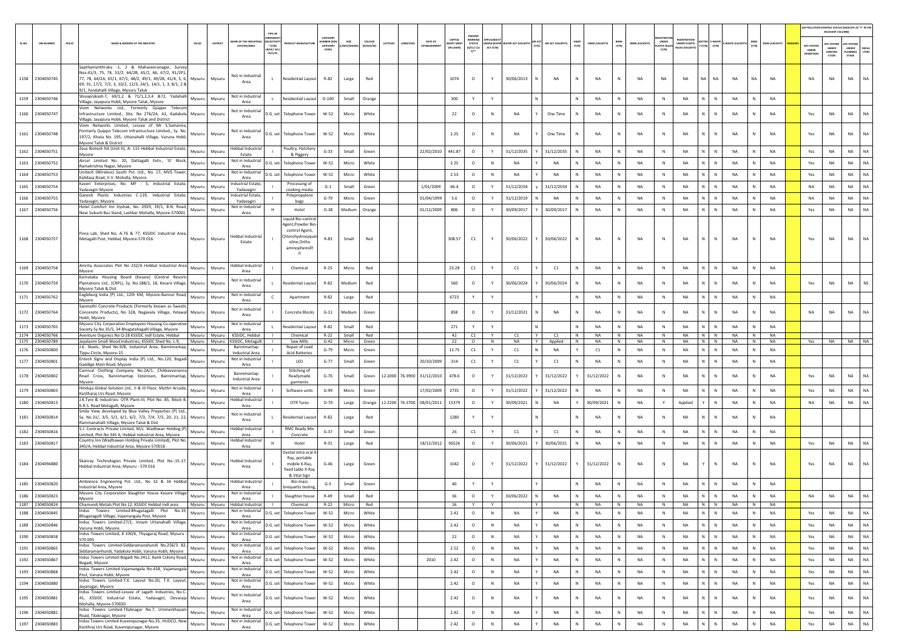|        |                                    |        |                                                                                                                                                                                                                                                                                          |                         |                                           |                                                |                                                                                                                             |                                                  |                          |                     |         |                            |                                         |                                                            |                |            |   |                  |              |                 |              |                       |                                     |                                   |                                       |                        |           |                        |                                                | AIR POLLUTION CONTROL STATUS (INDICATE AS "Y" IN TH                      |                                         |                       |
|--------|------------------------------------|--------|------------------------------------------------------------------------------------------------------------------------------------------------------------------------------------------------------------------------------------------------------------------------------------------|-------------------------|-------------------------------------------|------------------------------------------------|-----------------------------------------------------------------------------------------------------------------------------|--------------------------------------------------|--------------------------|---------------------|---------|----------------------------|-----------------------------------------|------------------------------------------------------------|----------------|------------|---|------------------|--------------|-----------------|--------------|-----------------------|-------------------------------------|-----------------------------------|---------------------------------------|------------------------|-----------|------------------------|------------------------------------------------|--------------------------------------------------------------------------|-----------------------------------------|-----------------------|
| SL.NO. | <b>UIN NUMBER</b>                  | PCB ID | <b>IAME &amp; ADDRESS OF THE INDUSTR</b><br>TALUR                                                                                                                                                                                                                                        | DISTRICT                | AME OF THE INDUSTR<br><b>ESTATES/AREA</b> | N/ACTIVIT<br>$*$ (i/M/<br>8/HC/ H/L<br>CE/C/O) |                                                                                                                             | CATEGOR<br><b>IMBER DOG</b><br>CATEGORY<br>CODE) | SIZE<br><b>M/S/MICRC</b> | coLour<br>(R/O/G/W) | ATITUDE | DATE OF<br>ESTABLISHM      | CAPITAL<br><b>EST MEN</b><br>(IN LAKHS) | PRESENT<br>WORKING<br>STATUS<br>(0/C1/ C2/<br>$v^{\ldots}$ | ACT (Y/N)      |            |   | AIR ACT (VALIDIT | HWM<br>(Y/N) | HWM (VALIDITY)  | BMW<br>(Y/N) | <b>BMW (VALIDITY)</b> | UNDER<br><b>ASTIC RULE</b><br>(Y/N) | UNDER PLASTIC<br>RULES (VALIDITY) | <b>TTER E-WAST</b><br>$(Y/N)$ $(Y/N)$ |                        | (Y/N)     | <b>MSW (VALIDITY</b>   | <b>APC SYSTEI</b><br><b>UNDER</b><br>IPERATION | RELEVANT COLUMN)<br><b>PC SYSTER</b><br><b>UNDER</b><br>CONSTRU<br>crion | APC SYSTER<br>UNDER<br>LANNING<br>STAGE | <b>DEFAU</b><br>LTERS |
|        | 1158 2304050745                    |        | Sapthamanthruka -1, 2 & Mahaveeranagar, Survey<br>Nos:41/3, 75, 74, 53/2, 64/2B, 65/2, 66, 67/2, 91/2P1,<br>77, 78, 64/2A, 65/1, 67/1, 48/2, 49/1, 49/2B, 41/4, 5, 6,<br>Mysuru<br>69, 91, 17/2, 7/2, 3, 10/2, 12/3, 24/1, 14/1, 1, 3, 8/1, 2 &<br>9/1, Yandahalli Village, Mysuru Taluk | Mysuru                  | Not in Industrial<br>Area                 | L.                                             | Residential Layout                                                                                                          | R-82                                             | Large                    | Red                 |         |                            | 1074                                    | $\circ$                                                    |                | 30/06/2013 |   | <b>NA</b>        | N            | <b>NA</b>       | N            | NA                    | <b>NA</b>                           | <b>NA</b>                         | NA<br>NA                              | NA                     | <b>NA</b> | <b>NA</b>              | <b>NA</b>                                      | NA                                                                       | <b>NA</b>                               | <b>NA</b>             |
|        | 1159 2304050746                    |        | Shivaprakash.T, 69/1,2 & 71/1,2,3,4 &72, Yadahalli<br>Mysuru<br>/illage, Jayapura Hobli, Mysore Taluk, Mysore                                                                                                                                                                            | Mysuru                  | Not in Industrial<br>Area                 |                                                | <b>Residential Layout</b>                                                                                                   | $O-100$                                          | Small                    | Orange              |         |                            | 300                                     | Y                                                          | Y              |            |   |                  | N            | NA              | N            | NA                    | $\,$ N                              | NA                                | N<br>${\sf N}$                        | NA                     | N         | NA                     |                                                |                                                                          |                                         |                       |
|        | 1160 2304050747                    |        | Viom Networks Ltd., Formerly Quippo Telecom<br>Infrastructure Limited., Site. No 276/2A, A1, Kadakola Mysuru<br>Village, Jayapura Hobli, Mysore Taluk and District                                                                                                                       | Mysuru                  | Not in Industria<br>Area                  |                                                | D.G. set Telephone Tower                                                                                                    | W-52                                             | Micro                    | White               |         |                            | 22                                      | $\circ$                                                    | N              | NA         |   | One Time         | N            | <b>NA</b>       | N            | <b>NA</b>             | N                                   | <b>NA</b>                         | N.<br>$\mathsf{N}$                    | <b>NA</b>              |           | <b>NA</b>              | Yes                                            | <b>NA</b>                                                                | <b>NA</b>                               | NA                    |
|        | 1161 2304050748                    |        | Viom Networks Limited, Lessee of Mr S.Somanna,<br>Formerly Quippo Telecom Infrastructure Limited., Sy. No.<br>Mysuru<br>197/2, Khata No. 195, Uttanahalli Village, Varuna Hobli,<br>Mysore Taluk & District                                                                              | Mysuru                  | Not in Industrial<br>Area                 |                                                | D.G. set Telephone Tower                                                                                                    | W-52                                             | Micro                    | White               |         |                            | 2.25                                    | $\circ$                                                    | N              | NA         |   | One Time         |              | NA              | N            | NA                    | N                                   | NA                                | N.<br>$\mathbb N$                     | NA                     |           | <b>NA</b>              | Yes                                            | <b>NA</b>                                                                | <b>NA</b>                               |                       |
|        | 1162 2304050751                    |        | Zeus Biotech ltd (Unit-II), A- 115 Hebbal Industrial Estate,<br>Mysuru<br>Mysore                                                                                                                                                                                                         | Mysuru                  | Hebbal Industria<br>Estate                |                                                | Poultry, Hatcher<br>& Piggery                                                                                               | $G-33$                                           | Small                    | Green               |         | 22/02/2010                 | 441.87                                  | $\circ$                                                    | Y              | 31/12/2035 |   | 31/12/2035       | N            | <b>NA</b>       | N            | <b>NA</b>             | N                                   | <b>NA</b>                         | $\mathbb{N}$<br>N                     | <b>NA</b>              | N         | <b>NA</b>              | Yes                                            | NA                                                                       | <b>NA</b>                               | <b>NA</b>             |
|        | 1163 2304050752                    |        | Aircel Limited No. 20, Dattagalli Extn., 'G' Block,<br>Mysuru                                                                                                                                                                                                                            | Mysuru                  | Not in Industrial<br>Area                 | D.G. set                                       | <b>Telephone Towe</b>                                                                                                       | W-52                                             | Micro                    | White               |         |                            | 2.25                                    | $\circ$                                                    | N              | NA         |   | NA               |              | NA              | N            | NA                    | $\mathbb N$                         | NA                                | N.<br>N                               | NA                     | N         | <b>NA</b>              | Yes                                            | NA                                                                       | <b>NA</b>                               | <b>NA</b>             |
|        | 1164 2304050753                    |        | Ramakrishna Nagar, Mysore<br>Unitech (Wireless) South Pvt. Ltd., No. 17, MVS Tower,<br>Mysuru                                                                                                                                                                                            | Mysuru                  | Not in Industria                          | D.G. set                                       | <b>Telephone Towe</b>                                                                                                       | $W-52$                                           | Micro                    | White               |         |                            | 2.53                                    | $\circ$                                                    | ${\sf N}$      | NA         |   | NA               | N            | NA              | N            | NA                    | $\,$ N                              | NA                                | N  <br>$\,$ N                         | NA                     | N         | NA                     | Yes                                            | NA                                                                       | <b>NA</b>                               | <b>NA</b>             |
|        | 1165 2304050754                    |        | Kalidasa Road, V.V. Mohalla, Mysore<br>Kaveri Enterprises, No. MF - 5, Industrial Estate,<br>Mysuru                                                                                                                                                                                      | Mysuru                  | Area<br>ndustrial Estate,                 |                                                | Processing o                                                                                                                | $G-1$                                            | Small                    | Green               |         | 1/01/2009                  | 66.4                                    | $\circ$                                                    | Y              | 31/12/2034 |   | 31/12/2034       |              | <b>NA</b>       | ${\sf N}$    | NA                    | N                                   | NA                                | N<br>N                                | NA                     |           | NA                     | NA                                             | NA                                                                       | NA                                      | NA                    |
|        |                                    |        | Yadavagiri Mysore<br>Ganesh Plastic Industries C-119, Industrial Estate,                                                                                                                                                                                                                 |                         | Yadavagir<br>ndustrial Estate.            |                                                | cooking media<br>Polypropylene                                                                                              |                                                  |                          |                     |         |                            |                                         |                                                            |                |            |   | <b>NA</b>        | N            | <b>NA</b>       | N            |                       | N                                   |                                   | N  <br>$\mathbb{N}$                   | <b>NA</b>              | N         | <b>NA</b>              | <b>NA</b>                                      | <b>NA</b>                                                                | <b>NA</b>                               | <b>NA</b>             |
|        | 1166 2304050755                    |        | Mysuru<br>Yadavagiri, Mysore<br>Hotel Comfort Inn Vyshak, No. 2929, 19/1, B.N. Road,                                                                                                                                                                                                     | Mysuru                  | Yadavagiri<br>Not in Industrial           |                                                | bags                                                                                                                        | $G-79$                                           | Micro                    | Green               |         | 01/04/1999                 | 5.6                                     | $\circ$                                                    | Y              | 31/12/2019 |   |                  |              |                 |              | NA                    |                                     | NA                                |                                       |                        |           |                        |                                                |                                                                          |                                         |                       |
|        | 1167 2304050756                    |        | Mysuru<br>Near Suburb Bus Stand, Lashkar Mohalla, Mysore-570001                                                                                                                                                                                                                          | Mysuru                  | Area                                      |                                                | Hotel                                                                                                                       | $O-38$                                           | Medium                   | Orange              |         | 01/12/2009                 | 806                                     | $\circ$                                                    | Y              | 30/09/2017 |   | 30/09/2017       | N            | <b>NA</b>       | N            | <b>NA</b>             | N                                   | <b>NA</b>                         | N<br>${\sf N}$                        | NA                     |           | <b>NA</b>              | Yes                                            | NA                                                                       | <b>NA</b>                               | <b>NA</b>             |
|        | 1168 2304050757                    |        | Pona Lab, Shed No. A-76 & 77, KSSIDC Industrial Area,<br>Metagalli Post, Hebbal, Mysore-570 016<br>Mysuru                                                                                                                                                                                | Mysuru                  | <b>Hebbal Industrial</b><br>Estate        |                                                | Liquid Bio-contro<br>Agent.Powder Bic<br>control Agent,<br>Chlorohydroxyqu<br>oline, Ortho<br>aminophenol <sub>2</sub><br>固 | R-83                                             | Small                    | Red                 |         |                            | 308.57                                  | C1                                                         | Y              | 30/06/2022 |   | 30/06/2022       | N            | <b>NA</b>       | N            | <b>NA</b>             | N                                   | <b>NA</b>                         | N<br>N                                | <b>NA</b>              |           | <b>NA</b>              | Yes                                            | NA                                                                       | <b>NA</b>                               | NA                    |
|        | 1169 2304050758                    |        | Amrita Associates Plot No 232/A Hebbal Industrial Area<br>Mysuru<br>Myosre                                                                                                                                                                                                               | Mysuru                  | Hebbal Industria<br>Area                  |                                                | Chemical                                                                                                                    | $R-25$                                           | Micro                    | Red                 |         |                            | 23.28                                   | C1                                                         | Y              | C1         |   | C1               | N            | <b>NA</b>       | N            | <b>NA</b>             | N                                   | <b>NA</b>                         | N<br>$\mathbb N$                      | NA                     | N         | <b>NA</b>              |                                                |                                                                          |                                         |                       |
|        | 1170 2304050759                    |        | Karnataka Housing Board (Kesare) (Central Resort<br>Plantations Ltd., (CRPL), Sy. No.188/1, 18, Kesare Village,<br>Mysuru<br>Mysore Taluk & Dist                                                                                                                                         | Mysuru                  | Not in Industrial<br>Area                 |                                                | <b>Residential Layout</b>                                                                                                   | $R-82$                                           | Medium                   | Red                 |         |                            | 560                                     | $\circ$                                                    | Y              | 30/06/2024 |   | 30/06/2024       | N            | <b>NA</b>       | N            | <b>NA</b>             | N                                   | <b>NA</b>                         | $\mathbb{N}$<br>N                     | <b>NA</b>              |           | <b>NA</b>              | Yes                                            | <b>NA</b>                                                                | <b>NA</b>                               | <b>NS</b>             |
|        | 1171 2304050762                    |        | Eagleburg India (P) Ltd., 12th KM, Mysore-Bannur Road,<br>Mysuru                                                                                                                                                                                                                         | Mysuru                  | Not in Industrial<br>Area                 |                                                | Apartment                                                                                                                   | $R-82$                                           | Large                    | Red                 |         |                            | 6723                                    | Y                                                          | Y              |            |   |                  | N            | <b>NA</b>       | N            | NA                    | N                                   | NA                                | N<br>N                                | NA                     | N         | <b>NA</b>              |                                                |                                                                          |                                         |                       |
|        | 1172 2304050764                    |        | Mysore<br>Sanmathi Concrete Products (Formerly known as Swastic<br>Concerete Products), No 328, Nagavala Village, Yelawal Mysuru                                                                                                                                                         | Mysuru                  | Not in Industria                          |                                                | <b>Concrete Blocks</b>                                                                                                      | $G-11$                                           | Medium                   | Green               |         |                            | 858                                     | $\circ$                                                    |                | 31/12/2021 |   | <b>NA</b>        | N            | <b>NA</b>       | N            | <b>NA</b>             | N                                   | <b>NA</b>                         | N.<br>N                               | <b>NA</b>              |           | <b>NA</b>              | <b>NA</b>                                      | NA                                                                       | <b>NA</b>                               | <b>NA</b>             |
|        |                                    |        | Hobli, Mysore<br>Mysore City Corporation Employees Housing Co-operative                                                                                                                                                                                                                  |                         | Area<br>Not in Industrial                 |                                                |                                                                                                                             |                                                  |                          |                     |         |                            |                                         |                                                            |                |            |   |                  |              |                 |              |                       |                                     |                                   |                                       |                        |           |                        |                                                |                                                                          |                                         |                       |
|        | 1173 2304050765<br>1174 2304050766 |        | Mysuru<br>Society Sy No 35/5, 34 Bhugatahagalli Village, Mysore                                                                                                                                                                                                                          | Mysuru<br>Mysuru Mysuru | Area<br>KSSIDC, Hebbal                    |                                                | Residential Layout<br>Chemical                                                                                              | R-82<br>$R - 22$                                 | Small<br>Small           | Red<br>Red          |         |                            | 271<br>42                               | Y<br>C1                                                    | Y<br>Y         | C1         | Y | C1               | N<br>N       | <b>NA</b><br>NA | N<br>N       | <b>NA</b><br>NA       | N<br>N                              | <b>NA</b><br>NA                   | N<br>N<br>N N                         | <b>NA</b><br><b>NA</b> | N         | <b>NA</b><br><b>NA</b> |                                                |                                                                          |                                         |                       |
|        | 1175 2304050789                    |        | Aventure Organics No Q-28 KSSIDC Indl Estate, Hebbal<br>Jayalaxmi Small Wood Industries, KSSIDC Shed No. L-9, Mysuru Mysuru                                                                                                                                                              |                         | KSSIDC, Metagall                          |                                                | Saw Mills                                                                                                                   | $G-42$                                           | Micro                    | Green               |         |                            | 22                                      | $\circ$                                                    | $\overline{N}$ | <b>NA</b>  | Y | Applied          | N            | <b>NA</b>       | N            | <b>NA</b>             | N                                   | <b>NA</b>                         | $N$ $N$                               | <b>NA</b>              | N         | <b>NA</b>              | Yes                                            | <b>NA</b>                                                                | NA NA                                   |                       |
|        | 1176 2304050800                    |        | J.K. Steels, Shed No.9/B, Industrial Area, Bannimantap,<br>Mysuru<br>Tippu Circle, Mysore-15                                                                                                                                                                                             | Mysuri                  | Bannimantap<br><b>Industrial Area</b>     |                                                | Repair of Lead<br><b>Acid Batteries</b>                                                                                     | $G-79$                                           | Micro                    | Green               |         |                            | 11.75                                   | C1                                                         | Y              | C1         | N | NA               |              | C1              | N            | NA                    | N                                   | NA                                | N<br>N                                | NA                     | N         | <b>NA</b>              |                                                |                                                                          |                                         |                       |
|        | 1177 2304050801                    |        | intech Signs and Display India (P) Ltd., No.120, Bogadi<br>Mysuru<br>Gaddige Main Road, Mysore                                                                                                                                                                                           | Mysuru                  | Not in Industrial<br>Area                 |                                                | LED                                                                                                                         | $G-77$                                           | Small                    | Green               |         | 20/10/2009                 | 314                                     | C1                                                         | Y              | C1         |   | C1               |              | <b>NA</b>       | N            | NA                    | ${\sf N}$                           | NA                                | N                                     | NA                     |           | NA                     |                                                |                                                                          |                                         |                       |
|        | 1178 2304050802                    |        | Carnival Clothing Company No.2A/1, Chikkaveeranna<br>Road Cross, Bannimantap Extenison, Bannimantap, Mysuru<br>Mysore                                                                                                                                                                    | Mysuru                  | Bannimantap<br><b>Industrial Area</b>     |                                                | Stitching of<br>Readymade<br>garments                                                                                       | $G-76$                                           | Small                    | Green               |         | 12.2000 76.3900 31/12/2010 | 478.6                                   | $\circ$                                                    | Y              | 31/12/2022 |   | 31/12/2022       |              | 31/12/2022      | N            | NA                    | N                                   | <b>NA</b>                         | N<br>$\mathbb{N}$                     | <b>NA</b>              |           | <b>NA</b>              | Yes                                            | <b>NA</b>                                                                | <b>NA</b>                               | <b>NA</b>             |
|        | 1179 2304050803                    |        | linduja Global Solution Ltd., II & III Floor, Mythri Arcade,<br>Mysuru                                                                                                                                                                                                                   | Mysuru                  | Not in Industrial                         |                                                | Software units                                                                                                              | $G-99$                                           | Micro                    | Green               |         | 17/02/2009                 | 2735                                    | $\circ$                                                    |                | 31/12/2022 |   | 31/12/2022       |              | NA              |              | NA                    | N                                   | <b>NA</b>                         | N                                     | NA                     |           | <b>NA</b>              | Yes                                            | NA                                                                       | NA                                      | <b>NA</b>             |
|        | 1180 2304050813                    |        | Kantharaj Urs Road, Mysore<br>J.K.Tyre & Industries- OTR Plant-III, Plot No. 85, Block B,<br>Mysuru                                                                                                                                                                                      | Mysuru                  | Area<br><b>Hebbal Industrial</b>          |                                                | OTR Tyres                                                                                                                   | $O-70$                                           | Large                    | Orange              |         | 12.2200 76.3700 08/01/2011 | 15379                                   | $\circ$                                                    |                | 30/09/2021 |   | NA               |              | 30/09/2021      | N            | NA                    | Y                                   | Applied                           | ${\sf N}$<br>Y                        | NA                     | N         | NA                     | <b>NA</b>                                      | NA                                                                       | <b>NA</b>                               | <b>NA</b>             |
|        | 1181 2304050814                    |        | K.R.S. Road Metagalli, Mysore<br>Smile View developed by Blue Valley Properties (P) Ltd.,<br>Sy. No.31/, 3/5, 5/1, 6/1, 6/2, 7/3, 7/4, 7/5, 20, 21, 22, Mysuru                                                                                                                           | Mysuru                  | Area<br>Not in Industrial                 |                                                | Residential Layout                                                                                                          | R-82                                             | Large                    | Red                 |         |                            | 1280                                    |                                                            |                |            |   |                  |              | <b>NA</b>       |              | NA                    | N                                   | <b>NA</b>                         | N                                     | NA                     |           | <b>NA</b>              |                                                |                                                                          |                                         |                       |
|        |                                    |        | ammanahalli Village, Mysore Taluk & Dist<br>S.J. Contracts Private Limited, M/s. Wadhwan Holding (P)                                                                                                                                                                                     |                         | Area<br>Hebbal Industrial                 |                                                | <b>RMC Ready Mix</b>                                                                                                        |                                                  |                          |                     |         |                            |                                         |                                                            |                |            |   |                  |              |                 |              |                       |                                     |                                   |                                       |                        |           |                        |                                                |                                                                          |                                         |                       |
|        | 1182 2304050816                    |        | Mysuru<br>Limited, Plot No 345 A, Hebbal Industrial Area, Mysore                                                                                                                                                                                                                         | Mysuru                  | Area                                      |                                                | Concrete                                                                                                                    | $G-37$                                           | Small                    | Green               |         |                            | 26                                      | C1                                                         | Y              | C1         |   | C1               | $\mathbb{N}$ | <b>NA</b>       | N            | NA                    | $\mathbb{N}$                        | NA                                | N<br>$\mathbb N$                      | NA                     | N         | <b>NA</b>              |                                                |                                                                          |                                         |                       |
|        | 1183 2304050817                    |        | Country Inn (Wadhawan Holding Private Limited), Plot No.<br>Mysuru<br>345/A, Hebbal Industrial Area, Mysore-570016                                                                                                                                                                       | Mysuru                  | Hebbal Industrial<br>Area                 |                                                | Hotel                                                                                                                       | $R-31$                                           | Large                    | Red                 |         | 18/12/2012                 | 96526                                   | $\circ$                                                    | Y              | 30/06/2021 |   | 30/06/2021       | N            | <b>NA</b>       | N            | NA                    | N                                   | <b>NA</b>                         | $\mathbb N$<br>N                      | <b>NA</b>              | N         | <b>NA</b>              | Yes                                            | $_{\sf NA}$                                                              | <b>NA</b>                               |                       |
|        | 1184 2304094880                    |        | Skanray Technologies Private Limited, Plot No.:15-17,<br>Mysuru<br>Hebbal Industrial Area, Mysuru - 570 016                                                                                                                                                                              | Mysuru                  | Hebbal Industrial<br>Area                 |                                                | Dental intra oral X<br>Ray, portable<br>mobile X-Ray,<br>fixed table X-Ray<br>& Vital Sign                                  | $G-46$                                           | Large                    | Green               |         |                            | 1042                                    | $\circ$                                                    | Y              | 31/12/2022 |   | 31/12/2022       | Y            | 31/12/2022      |              | NA                    | N                                   | <b>NA</b>                         | N                                     | <b>NA</b>              |           | <b>NA</b>              | Yes                                            | NA                                                                       | <b>NA</b>                               | NA                    |
|        | 1185 2304050820                    |        | Ambience Engineering Pvt. Ltd., No 32 & 36 Hebbal<br>Mysuru<br>Industrial Area, Myosre                                                                                                                                                                                                   | Mysuru                  | Hebbal Industrial<br>Area                 |                                                | Bio-mass<br>prequetts testin                                                                                                | $G-5$                                            | Small                    | Green               |         |                            | 40                                      |                                                            |                |            |   |                  |              | <b>NA</b>       | N            | NA                    | N                                   | NA                                | N.<br>N                               | NA                     |           | NA                     |                                                |                                                                          |                                         |                       |
|        | 1186 2304050823                    |        | Mysore City Corporation Slaughter House Kesare Village<br>Mysuru                                                                                                                                                                                                                         | Mysuru                  | Not in Industrial                         |                                                | Slaughter house                                                                                                             | $R-49$                                           | Small                    | Red                 |         |                            | 36                                      | $\circ$                                                    | Y              | 30/06/2022 | N | NA               | N            | NA              | N            | NA                    | N                                   | NA                                | N<br>${\sf N}$                        | NA                     |           | NA                     | NA                                             | NA                                                                       | NA                                      |                       |
|        | 1187 2304050824                    |        | Mysore<br>Chamundi Metals Plot No 12, KSSIDC Hebbal Indi area<br>Mysuru                                                                                                                                                                                                                  | Mysuru                  | Area<br><b>Hebbal Industrial</b>          |                                                | Chemical                                                                                                                    | $R - 22$                                         | Micro                    | Red                 |         |                            | 16                                      |                                                            |                |            |   |                  | N            | <b>NA</b>       | N            | <b>NA</b>             |                                     | <b>NA</b>                         | N<br>N                                | <b>NA</b>              |           | <b>NA</b>              |                                                |                                                                          |                                         |                       |
|        | 1188 2304050845                    |        | Indus Towers Limited-Bhugatagalli Plot No.19,<br>Mysuru<br>Bhugatagalli Village, Vajamangala Post, Mysore                                                                                                                                                                                | Mysuru                  | Not in Industrial<br>Area                 |                                                | D.G. set Telephone Tower                                                                                                    | W-52                                             | Micro                    | White               |         |                            | 2.42                                    | $\circ$                                                    | ${\sf N}$      | NA         |   | NA               | N            | NA              | N            | NA                    | $\,$ N                              | NA                                | $\mathbb{N}$<br>$\mathbb{N}$          | NA                     | N         | NA                     | Yes                                            | NA                                                                       | <b>NA</b>                               | <b>NA</b>             |
|        | 1189 2304050846                    |        | Indus Towers Limited-27/1, Innam Uttanahalli Village,<br>Mysuru<br>Varuna Hobli, Mysore.                                                                                                                                                                                                 | Mysuru                  | Not in Industrial<br>Area                 |                                                | D.G. set Telephone Tower                                                                                                    | W-52                                             | Micro                    | White               |         |                            | 2.42                                    | $\circ$                                                    | N              | NA         | Y | NA               | N            | NA              | N            | NA                    | N                                   | NA                                | $N$ $N$                               | NA                     | N         | <b>NA</b>              | Yes                                            | NA                                                                       | <b>NA</b>                               | NA                    |
|        | 1190 2304050858                    |        | Indus Towers Limited, # 100/6, Thyagaraj Road, Mysuru -<br>Mysuru<br>570 005                                                                                                                                                                                                             | Mysuru                  | Not in Industrial<br>Area                 |                                                | D.G. set Telephone Tower                                                                                                    | $W-52$                                           | Micro                    | White               |         |                            | 22                                      | $\circ$                                                    | $\,$ N         | NA         |   | NA               | N            | <b>NA</b>       | N            | NA                    | $\,$ N                              | NA                                | N<br>${\sf N}$                        | NA                     | N         | <b>NA</b>              | Yes                                            | NA                                                                       | <b>NA</b>                               | <b>NA</b>             |
|        | 1191 2304050865                    |        | Indus Towers Limited-Siddaramanahundi No.256/3 B2.<br>Mysuru<br>Siddaramanhundi, Yadakola Hobli, Varuna Hobli, Mysore                                                                                                                                                                    | Mysuru                  | Not in Industrial<br>Area                 |                                                | D.G. set Telephone Tower                                                                                                    | W-52                                             | Micro                    | White               |         |                            | 2.52                                    | $\circ$                                                    | N              | NA         |   | NA               | N            | NA              | N            | NA                    | N                                   | NA                                | N<br>$\,$ N                           | NA                     | ${\sf N}$ | <b>NA</b>              | Yes                                            | NA                                                                       | NA                                      | <b>NA</b>             |
|        | 1192 2304050867                    |        | Indus Towers Limited-Bogadi No.2412, Bank Colony Road,<br>Mysuru                                                                                                                                                                                                                         | Mysuru                  | Not in Industrial                         |                                                | D.G. set Telephone Tower                                                                                                    | W-52                                             | Micro                    | White               |         | 2010                       | 2.42                                    | $\circ$                                                    | N              | NA         |   | <b>NA</b>        | N            | <b>NA</b>       | N            | NA                    | N                                   | NA                                | $N$ $N$                               | NA                     | N         | NA                     | Yes                                            | NA                                                                       | <b>NA</b>                               | NA                    |
|        | 1193 2304050868                    |        | Bogadi, Mysore<br>Indus Towers Limited-Vajamangala No.418, Vajamangala<br>Mysuru                                                                                                                                                                                                         | Mysuru                  | Area<br>Not in Industrial                 |                                                | D.G. set Telephone Tower                                                                                                    | W-52                                             | Micro                    | White               |         |                            | 2.42                                    | $\circ$                                                    | $\,$ N         | NA         |   | NA               | N            | NA              | N            | NA                    | $\,$ N                              | NA                                | N<br>${\sf N}$                        | NA                     | N         | NA                     | Yes                                            | NA                                                                       | NA                                      | <b>NA</b>             |
|        |                                    |        | Post, Varuna Hobli, Mysore<br>Indus Towers Limited-T.K. Layout No.20, T.K. Layout,                                                                                                                                                                                                       |                         | Area<br>Not in Industrial                 |                                                |                                                                                                                             |                                                  |                          |                     |         |                            |                                         |                                                            |                |            |   |                  |              |                 |              |                       |                                     |                                   |                                       |                        |           | <b>NA</b>              |                                                |                                                                          |                                         | <b>NA</b>             |
|        | 1194 2304050880                    |        | Mysuru<br>Jayanagar, Mysore<br>Indus Towers Limited-Lessee of Jagath Industries, No.C-                                                                                                                                                                                                   | Mysuru                  | Area<br>Not in Industrial                 |                                                | D.G. set Telephone Tower                                                                                                    | W-52                                             | Micro                    | White               |         |                            | 2.42                                    | $\circ$                                                    | $\,$ N         | NA         |   | NA               | N            | NA              | N            | NA                    | $\,$ N                              | NA                                | $N$ $N$<br>N.<br>${\sf N}$            | NA                     | N<br>N    |                        | Yes                                            | NA                                                                       | <b>NA</b>                               |                       |
|        | 1195 2304050881                    |        | 41, KSSIDC Industrial Estate, Yadavagiri, Devaraja<br>Mysuru<br>Mohalla, Mysore-570020<br>Indus Towers Limited-Tilaknagar No.7, Ummerkhayam                                                                                                                                              | Mysuru                  | Area                                      |                                                | D.G. set Telephone Tower                                                                                                    | W-52                                             | Micro                    | White               |         |                            | 2.42                                    | $\circ$                                                    | $\,$ N         | NA         |   | NA               | ${\sf N}$    | NA              | N            | NA                    | N                                   | NA                                |                                       | NA                     |           | NA                     | Yes                                            | NA                                                                       | NA                                      | <b>NA</b>             |
|        | 1196 2304050882                    |        | Mysuru<br>Road, Tilaknagar, Mysore                                                                                                                                                                                                                                                       | Mysuru                  | Not in Industrial<br>Area                 |                                                | D.G. set Telephone Tower                                                                                                    | W-52                                             | Micro                    | White               |         |                            | 2.42                                    | $\circ$                                                    | $\,$ N         | NA         | Y | NA               | N            | NA              | N            | NA                    | N                                   | NA                                | N<br>$\,$ N                           | NA                     | N         | NA                     | Yes                                            | NA                                                                       | NA                                      | <b>NA</b>             |
|        | 1197 2304050883                    |        | Indus Towers Limited-Kuvempunagar No.35, HUDCO, New<br>Mysuru<br>Kanthraj Urs Road, Kuvempunagar, Mysore                                                                                                                                                                                 | Mysuru                  | Not in Industrial<br>Area                 |                                                | D.G. set Telephone Tower                                                                                                    | $W-52$                                           | Micro                    | White               |         |                            | 2.42                                    | $\circ$                                                    | ${\sf N}$      | NA         |   | NA               |              | NA              | $\mathsf{N}$ | NA                    | N                                   | NA                                | N<br>$\overline{\mathsf{N}}$          | NA                     |           | NA                     | Yes                                            | NA                                                                       | <b>NA</b>                               | NA                    |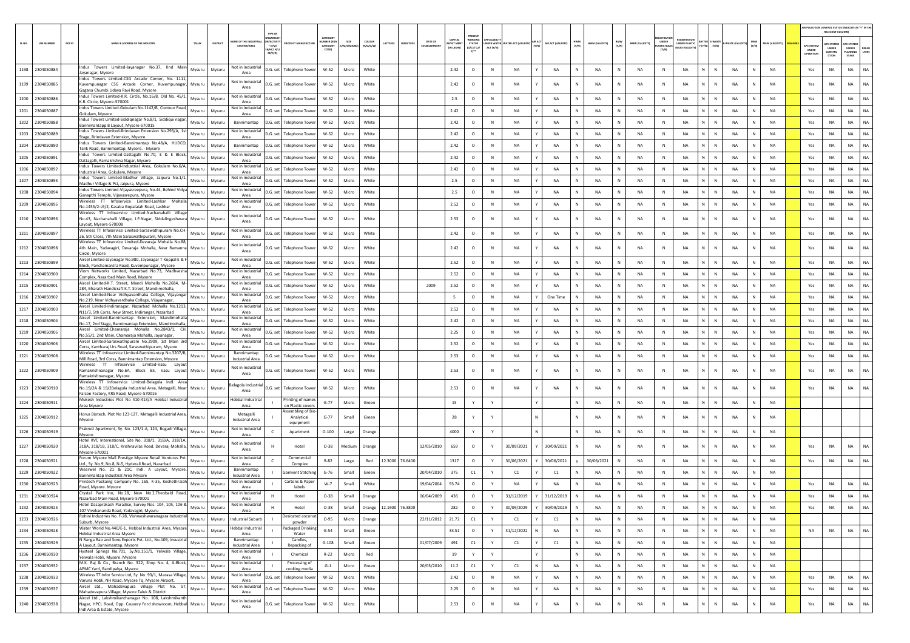|        |                   |        |                                                                                                                                                                       |          |          |                                         |                                            |                                            |                                  |                    |                     |                                                        |                                         |                                                |             |                                                 |                    |              |                |              |                       |                                      |                                              |              |                    |              |                |                                 | <b>R POLLUTION CONTROL STATUS (INDICATE AS "Y" IN THE</b><br>RELEVANT COLUMN) |                                                 |                       |
|--------|-------------------|--------|-----------------------------------------------------------------------------------------------------------------------------------------------------------------------|----------|----------|-----------------------------------------|--------------------------------------------|--------------------------------------------|----------------------------------|--------------------|---------------------|--------------------------------------------------------|-----------------------------------------|------------------------------------------------|-------------|-------------------------------------------------|--------------------|--------------|----------------|--------------|-----------------------|--------------------------------------|----------------------------------------------|--------------|--------------------|--------------|----------------|---------------------------------|-------------------------------------------------------------------------------|-------------------------------------------------|-----------------------|
| SL.NO. | <b>UIN NUMBER</b> | PCB ID | NAME & ADDRESS OF THE INDUSTRY                                                                                                                                        | TALUK    | DISTRICT | AME OF THE INDU:<br><b>ESTATES/AREA</b> | TYPE OF<br>N/ACTIVI<br>$*$ (1/M/<br>CE/C/O | <b>OUCT MANUFACTUR</b>                     | CATEGORY<br>MBER (XG<br>CATEGORY | SIZE<br>M/S/MICROT | coLous<br>(R/O/G/W) | DATE OF<br>LATITUDE<br>LONGITUD<br><b>ESTABLISHMEN</b> | CAPITAL<br><b>VEST MEN</b><br>IN LAKHSI | PRESENT<br><b>STATUS</b><br>(0/01/02)<br>$n -$ | ACT (Y/N)   | DER WATER WATER ACT (VALIDITY) AIR ACT<br>(Y/N) | AIR ACT (VALIDITY) | HWM<br>(Y/N) | HWM (VALIDITY) | BMW<br>(Y/N) | <b>BMW (VALIDITY)</b> | UNDER<br><b>LASTIC RULE</b><br>(Y/N) | FOISTRAT<br>UNDER PLASTIC<br>ULES (VALIDITY) | (Y(N))       | E-WASTE (VALIDITY) | MSW<br>(Y/N) | MSW (VALIDITY) | APC SYSTEM<br>UNDER<br>OPERATIO | <b>PC SYSTEM</b><br>UNDER<br>CONSTRU<br>$c$ now                               | <b>APC SYSTER</b><br>UNDER<br>PLANNING<br>STAGE | <b>DEFAU</b><br>LTERS |
|        | 1198 2304050884   |        | Indus Towers Limited-Jayanagar No.37, IInd Main                                                                                                                       | Mysuru   | Mysuru   | Not in Industrial                       | D.G. set                                   | <b>Telephone Towe</b>                      | W-52                             | Micro              | White               |                                                        | 2.42                                    | $\circ$                                        | $\mathbb N$ | NA                                              | NA                 | N            | <b>NA</b>      | N            | <b>NA</b>             | N                                    | $\mathbb N$<br>NA                            | $\mathbb N$  | <b>NA</b>          | N            | NA             | Yes                             | <b>NA</b>                                                                     | NA                                              | <b>NA</b>             |
|        | 1199 2304050885   |        | Jayanagar, Mysore<br>Indus Towers Limited-CSG Arcade Corner, No. 1111<br>Kuvempunagar CSG Arcade Corner, Kuvempunagar,                                                | Mysuru   | Mysuru   | Area<br>Not in Industrial               | D.G. set                                   | <b>Telephone Towe</b>                      | $W-52$                           | Micro              | White               |                                                        | 2.42                                    | $\circ$                                        | N           | NA                                              | <b>NA</b>          | N            | NA             | N            | NA                    | N                                    | NA<br>N                                      | $\mathbb N$  | <b>NA</b>          | N            | <b>NA</b>      | Yes                             | NA                                                                            | NA                                              | NA                    |
|        |                   |        | Gagana Chumbi Udaya Ravi Road, Mysore<br>Indus Towers Limited-K.R. Circle, No.16/8, Old No. 45/1,                                                                     |          |          | Area<br>Not in Industrial               |                                            |                                            |                                  |                    |                     |                                                        |                                         |                                                |             |                                                 |                    |              |                |              |                       |                                      |                                              |              |                    |              |                |                                 |                                                                               |                                                 |                       |
|        | 1200 2304050886   |        | K.R. Circle, Mysore-570001<br>Indus Towers Limited-Gokulam No.1142/B, Contour Road                                                                                    | Mysuru   | Mysuru   | Area<br>Not in Industri                 | D.G. set                                   | <b>Telephone Towe</b>                      | $W-52$                           | Micro              | White               |                                                        | 2.5                                     | $\circ$                                        | $\mathbb N$ | NA                                              | NA                 | N            | <b>NA</b>      | N            | <b>NA</b>             | N                                    | $\mathsf{N}$<br>NA                           | $\mathbb N$  | <b>NA</b>          | ${\sf N}$    | NA             | Yes                             | <b>NA</b>                                                                     | <b>NA</b>                                       | <b>NA</b>             |
|        | 1201 2304050887   |        | Gokulam, Mysore                                                                                                                                                       | Mysuru   | Mysuru   | Area                                    | D.G. set                                   | <b>Telephone Towe</b>                      | W-52                             | Micro              | White               |                                                        | 2.42                                    | $\circ$                                        | $\mathbb N$ | NA                                              | NA                 | $\mathbb N$  | NA             | N            | NA                    | N                                    | NA<br>N                                      | $\mathbb N$  | NA                 | N            | NA             | Yes                             | NA                                                                            | NA                                              | <b>NA</b>             |
|        | 1202 2304050888   |        | Indus Towers Limited-Siddignagar No.8/1, Siddigui nagar,<br>Bannimantapp B Layout, Mysore-570015                                                                      | Mysuru   | Mysuru   | Bannimantap                             | D.G. set                                   | Telephone Towe                             | W-52                             | Micro              | White               |                                                        | 2.42                                    | $\circ$                                        | N           | NA                                              | NA                 |              | <b>NA</b>      |              | NA                    | N                                    | <b>NA</b>                                    | $\mathbb N$  | <b>NA</b>          | N            | NA             | Yes                             | NA                                                                            | NA                                              | <b>NA</b>             |
|        | 1203 2304050889   |        | Indus Towers Limited-Brindavan Extension No.293/A, 1st<br>Stage, Brindavan Extension, Mysore                                                                          | Mysuru   | Mysuru   | Not in Industria<br>Area                | D.G. set                                   | <b>Telephone Towe</b>                      | W-52                             | Micro              | White               |                                                        | 2.42                                    | $\circ$                                        | $\mathbb N$ | <b>NA</b>                                       | NA                 |              | <b>NA</b>      | N            | <b>NA</b>             | N                                    | <b>NA</b><br>N                               | $\mathbb N$  | <b>NA</b>          | N            | <b>NA</b>      | Yes                             | <b>NA</b>                                                                     | NA                                              | NA                    |
|        | 1204 2304050890   |        | Indus Towers Limited-Bannimantap No.48/A, HUDCO,<br>Tank Road, Bannimantap, Mysore. - Mysore                                                                          | Mysuru   | Mysuru   | Bannimantap                             | D.G. set                                   | <b>Telephone Towe</b>                      | W-52                             | Micro              | White               |                                                        | 2.42                                    | $\circ$                                        | N           | <b>NA</b>                                       | <b>NA</b>          | N            | <b>NA</b>      | <b>N</b>     | <b>NA</b>             | N                                    | <b>NA</b><br>N                               | N            | <b>NA</b>          | N            | <b>NA</b>      | Yes                             | <b>NA</b>                                                                     | <b>NA</b>                                       | <b>NA</b>             |
|        | 1205 2304050891   |        | Indus Towers Limited-Dattagalli No.70, E & E Block,<br>Dattagalli, Ramakrishna Nagar, Mysore                                                                          | Mysuru   | Mysuru   | Not in Industrial<br>Area               | D.G. set                                   | <b>Telephone Towe</b>                      | $W-52$                           | Micro              | White               |                                                        | 2.42                                    | $\circ$                                        | $\mathbb N$ | NA                                              | NA                 | N            | NA             | N            | <b>NA</b>             | N                                    | $\mathsf{N}$<br><b>NA</b>                    | $\mathbb N$  | <b>NA</b>          | N            | NA             | Yes                             | <b>NA</b>                                                                     | NA.                                             | <b>NA</b>             |
|        | 1206 2304050892   |        | Indus Towers Limited-Industrial Area, Gokulam No.6/A,<br>Industrial Area, Gokulam, Mysore                                                                             | Mysuru   | Mysuru   | Not in Industri<br>Area                 | D.G. set                                   | <b>Telephone Towe</b>                      | W-52                             | Micro              | White               |                                                        | 2.42                                    | $\circ$                                        | $\mathbb N$ | NA                                              | NA                 | N            | <b>NA</b>      | N            | <b>NA</b>             | N                                    | NA<br>N                                      | $\mathbb N$  | NA                 | N            | NA             | Yes                             | NA                                                                            | NA                                              | <b>NA</b>             |
| 1207   | 2304050893        |        | Indus Towers Limited-Madhur Village, Jaipura No.1/1,<br>Madhur Village & Pst, Jaipura, Mysore                                                                         | Mysuru   | Mysuru   | Not in Industrial<br>Area               | D.G. set                                   | Telephone Towe                             | $W-52$                           | Micro              | White               |                                                        | 2.5                                     | $\circ$                                        | $\mathbb N$ | NA                                              | NA                 |              | NA             | N            | NA                    | N                                    | <b>NA</b>                                    | N            | <b>NA</b>          | N            | NA             | Yes                             | NA                                                                            | NA                                              | <b>NA</b>             |
|        | 1208 2304050894   |        | Indus Towers Limited-Vijayasreepura, No.44, Behind Vidya                                                                                                              | Mysuru   | Mysuru   | Not in Industria                        | D.G. set                                   | <b>Telephone Towe</b>                      | W-52                             | Micro              | White               |                                                        | 2.5                                     | $\circ$                                        | N           | <b>NA</b>                                       | NA                 |              | <b>NA</b>      | $\mathsf{N}$ | <b>NA</b>             | N                                    | NA<br>N                                      | $\mathbb{N}$ | <b>NA</b>          | N            | <b>NA</b>      | Yes                             | <b>NA</b>                                                                     | <b>NA</b>                                       | NA                    |
|        | 1209 2304050895   |        | Ganapthi Temple, Vijayasrepura, Mysore<br>Wireless TT Infoservice Limited-Lashkar Mohalla                                                                             | Mysuru   | Mysuru   | Area<br>Not in Industrial               | D.G. set                                   | <b>Telephone Towe</b>                      | W-52                             | Micro              | White               |                                                        | 2.52                                    | $\circ$                                        | N           | NA                                              | NA                 | N            | <b>NA</b>      | <b>N</b>     | <b>NA</b>             | N                                    | NA<br>N                                      | $\mathbb N$  | <b>NA</b>          | N            | <b>NA</b>      | Yes                             | <b>NA</b>                                                                     | <b>NA</b>                                       | NA                    |
|        |                   |        | No.1455/2-L9/2, Kasaba Gopalaiah Road, Lashkar<br>Wireless TT Infoservice Limited-Nachanahalli Village                                                                |          |          | Area<br>Not in Industrial               |                                            |                                            |                                  |                    |                     |                                                        |                                         |                                                |             |                                                 |                    |              |                |              |                       |                                      |                                              |              |                    |              |                |                                 |                                                                               |                                                 |                       |
|        | 1210 2304050896   |        | No.43, Nachanahalli Village, J.P.Nagar, Siddalingeshwara Mysuru<br>Layout, Mysore-570008                                                                              |          | Mysuru   | Area                                    | D.G. set                                   | <b>Telephone Towe</b>                      | W-52                             | Micro              | White               |                                                        | 2.53                                    | $\circ$                                        | $\mathbb N$ | NA                                              | <b>NA</b>          | N            | <b>NA</b>      | N            | <b>NA</b>             | N                                    | <b>NA</b><br>N                               | $\mathbb{N}$ | <b>NA</b>          | N            | <b>NA</b>      | Yes                             | <b>NA</b>                                                                     | <b>NA</b>                                       | <b>NA</b>             |
|        | 1211 2304050897   |        | Wireless TT Infoservice Limited-Saraswathipuram No.CH-<br>26. 5th Cross, 7th Main Saraswathipuram, Mysore-                                                            | Mysuru   | Mysuru   | Not in Industrial<br>Area               | D.G. set                                   | <b>Telephone Tower</b>                     | W-52                             | Micro              | White               |                                                        | 2.42                                    | $\circ$                                        | N           | NA                                              | NA                 | N            | <b>NA</b>      | N            | <b>NA</b>             | N                                    | <b>NA</b><br>N                               | N            | <b>NA</b>          | N            | NA             | Yes                             | <b>NA</b>                                                                     | <b>NA</b>                                       | <b>NA</b>             |
|        | 1212 2304050898   |        | Wireless TT Infoservice Limited-Devaraja Mohalla No.88,<br>4th Main, Yadavagiri, Devaraja Mohalla, Near Ramanna Mysuru                                                |          | Mysuru   | Not in Industria<br>Area                | D.G. set                                   | <b>Telephone Towe</b>                      | W-52                             | Micro              | White               |                                                        | 2.42                                    | $\circ$                                        | $\mathbb N$ | NA                                              | NA                 | N            | NA             | N            | <b>NA</b>             | N                                    | $\mathsf{N}$<br>NA                           | $\mathbb N$  | <b>NA</b>          | N            | <b>NA</b>      | Yes                             | <b>NA</b>                                                                     | <b>NA</b>                                       | <b>NA</b>             |
|        | 1213 2304050899   |        | Circle, Mysore<br>Aircel Limited-Jayanagar No.980, Jayanagar T Koppal E & F<br>Block, Panchamantra Road, Kuvempunagar, Mysore                                         | Mysuru   | Mysuru   | Not in Industrial                       | D.G. set                                   | <b>Telephone Tower</b>                     | W-52                             | Micro              | White               |                                                        | 2.52                                    | $\circ$                                        | N           | <b>NA</b>                                       | NA                 | N            | <b>NA</b>      | N            | <b>NA</b>             | N                                    | <b>NA</b><br>$\mathsf{N}$                    | N            | <b>NA</b>          | N            | <b>NA</b>      | Yes                             | <b>NA</b>                                                                     | <b>NA</b>                                       | <b>NA</b>             |
|        | 1214 2304050900   |        | Viom Networks Limited, Nazarbad No.73, Madhvesha                                                                                                                      | Mysuru   | Mysuru   | Area<br>Not in Industrial               | D.G. set                                   | <b>Telephone Towe</b>                      | $W-52$                           | Micro              | White               |                                                        | 2.52                                    | $\circ$                                        | N           | <b>NA</b>                                       | <b>NA</b>          | N            | <b>NA</b>      | N            | <b>NA</b>             | N                                    | $\mathsf{N}$<br><b>NA</b>                    | $\mathbb N$  | <b>NA</b>          | ${\sf N}$    | <b>NA</b>      | Yes                             | <b>NA</b>                                                                     | <b>NA</b>                                       | <b>NA</b>             |
|        | 1215 2304050901   |        | Complex, Nazarbad Main Road, Mysore<br>Aircel Limited-K.T. Street, Mandi Mohalla No.2684, M-                                                                          | Mysuru   | Mysuru   | Area<br>Not in Industri                 | D.G. set                                   | <b>Telephone Towe</b>                      | W-52                             | Micro              | White               | 2009                                                   | 2.52                                    | $\circ$                                        | $\mathbb N$ | NA                                              | NA                 | N            | NA             | N            | NA                    | N                                    | NA<br>N                                      | $\mathbb N$  | NA                 | N            | NA             | Yes                             | NA                                                                            | NA                                              | <b>NA</b>             |
|        | 1216 2304050902   |        | 284, Bharath Handicraft K.T. Street, Mandi mohalla,<br>Aircel Limited-Near Vidhyavardhaka College, Vijayangar                                                         | Mysuru   | Mysuru   | Area<br>Not in Industrial               | D.G. set                                   | Telephone Towe                             | W-52                             | Micro              | White               |                                                        | 5                                       | $\circ$                                        | N           | NA                                              | One Time           |              | NA             |              | NA                    | N                                    | <b>NA</b>                                    | ${\sf N}$    | <b>NA</b>          | N            | NA             | Yes                             | NA                                                                            | NA                                              | <b>NA</b>             |
|        | 1217 2304050903   |        | No.219, Near Vidhyavardhaka College, Vijayanagar,<br>Aircel Limited-Indiranagar, Nazarbad Mohalla No.1213,                                                            | Mysuru   | Mysuru   | Area<br>Not in Industria                | D.G. set                                   | <b>Telephone Towe</b>                      | W-52                             | Micro              | White               |                                                        | 2.52                                    | $\circ$                                        | N           | <b>NA</b>                                       | NA                 |              | <b>NA</b>      |              | <b>NA</b>             | N                                    | <b>NA</b><br>N                               | $\mathbb N$  | <b>NA</b>          | N            | <b>NA</b>      | Yes                             | <b>NA</b>                                                                     | NA                                              | NA                    |
|        | 1218 2304050904   |        | N11/3, 5th Corss, New Street, Indirangar, Nazarbad<br>Aircel Limited-Bannimantap Extension, Mandimohalla                                                              |          |          | Area<br>Not in Industrial               |                                            |                                            | $W-52$                           |                    | White               |                                                        | 2.42                                    | $\circ$                                        |             |                                                 | <b>NA</b>          |              | <b>NA</b>      |              |                       |                                      | N                                            |              | <b>NA</b>          | N            | <b>NA</b>      |                                 | <b>NA</b>                                                                     | <b>NA</b>                                       | <b>NA</b>             |
|        |                   |        | No.17, 2nd Stage, Bannimantap Extension, Mandimohalla,<br>Aircel Limited-Chamaraja Mohalla No.2843/1, CH.                                                             | Mysuru   | Mysuru   | Area<br>Not in Industria                | D.G. set                                   | <b>Telephone Tower</b>                     |                                  | Micro              |                     |                                                        |                                         |                                                | N           | <b>NA</b>                                       |                    | N            |                | <b>N</b>     | <b>NA</b>             | N                                    | <b>NA</b><br>$\mathsf{N}$                    | $\mathbb N$  |                    |              |                | Yes                             |                                                                               |                                                 |                       |
|        | 1219 2304050905   |        | No.55/1, 2nd Main, Chamaraja Mohalla, Jayanagar<br>Aircel Limited-Saraswathipuram No.2909, 1st Main 3rd                                                               | Mysuru   | Mysuru   | Area<br>Not in Industri                 | D.G. set                                   | <b>Telephone Towe</b>                      | $W-52$                           | Micro              | White               |                                                        | 2.25                                    | $\circ$                                        | $\mathbb N$ | NA                                              | NA                 | N            | NA             | N            | <b>NA</b>             | N                                    | NA                                           | $\mathbb N$  | <b>NA</b>          | N            | NA             | Yes                             | <b>NA</b>                                                                     | NA                                              | NA                    |
|        | 1220 2304050906   |        | Corss, Kantharaj Urs Road, Saraswathipuram, Mysore<br>Vireless TT Infoservice Limited-Bannimantap No.3207/B,                                                          | Mysuru   | Mysuru   | Area<br>Bannimantap                     | D.G. set                                   | Telephone Towe                             | W-52                             | Micro              | White               |                                                        | 2.52                                    | $\circ$                                        | $\mathbb N$ | NA                                              | NA                 | N            | <b>NA</b>      | N            | NA                    | N                                    | <b>NA</b><br>N                               | $\mathbb N$  | NA                 | N            | NA             | Yes                             | NA                                                                            | NA                                              | <b>NA</b>             |
|        | 1221 2304050908   |        | Mill Road, 3rd Corss, Bannimantap Extension, Mysore<br>Wireless TT Infoservice Limited-Vasu<br>Layout                                                                 | Mysuru   | Mysuru   | <b>Industrial Area</b>                  | D.G. set                                   | <b>Telephone Towe</b>                      | W-52                             | Micro              | White               |                                                        | 2.53                                    | $\circ$                                        | $\mathbb N$ | NA                                              | NA                 | N            | NA             | N            | NA                    | N                                    | <b>NA</b>                                    | N            | NA                 | N            | NA             | Yes                             | NA                                                                            | NA                                              | <b>NA</b>             |
|        | 1222 2304050909   |        | Ramakrishnanagar No.6A, Block B5, Vasu Layout Mysuru<br>Ramakrishnanagar, Mysore<br>Wireless TT Infoservice Limited-Belagola Indl. Area                               |          | Mysuru   | Not in Industria<br>Area                | D.G. set                                   | <b>Telephone Towe</b>                      | W-52                             | Micro              | White               |                                                        | 2.53                                    | $\circ$                                        | N           | NA                                              | NA                 | N            | <b>NA</b>      | N            | NA                    | N                                    | <b>NA</b><br>N                               | ${\sf N}$    | <b>NA</b>          | N            | NA             | Yes                             | NA                                                                            | NA                                              | <b>NA</b>             |
|        | 1223 2304050910   |        | No.19/2A & 19/2Belagola Industrial Area, Metagalli, Near<br>Falcon Factory, KRS Road, Mysore-570016                                                                   | Mysuru   | Mysuru   | lagola Industri<br>Area                 | D.G. set                                   | <b>Telephone Tower</b>                     | W-52                             | Micro              | White               |                                                        | 2.53                                    | $\circ$                                        | N           | NA                                              | NA                 | N            | <b>NA</b>      | N            | <b>NA</b>             | N                                    | NA                                           | $\mathbb N$  | <b>NA</b>          | N            | NA             | Yes                             | <b>NA</b>                                                                     | NA                                              | <b>NA</b>             |
|        | 1224 2304050911   |        | Mukesh Industries Plot No 410-413/A Hebbal Industri<br>Area Mysore                                                                                                    | Mysuru   | Mysuru   | lebbal Industria<br>Area                |                                            | Printing of names<br>on Plastic cover      | $G - 77$                         | Micro              | Green               |                                                        | 15                                      | Y                                              | Y           |                                                 |                    | N            | NA             | N            | NA                    | N                                    | NA<br>N                                      | $\mathbb N$  | NA                 | N            | NA             |                                 |                                                                               |                                                 |                       |
|        | 1225 2304050912   |        | lorus Biotech, Plot No 123-127, Metagalli Industrial Area,<br>Aysore                                                                                                  | Mysuru   | Mysuru   | Metagalli<br><b>Industrial Area</b>     |                                            | sembling of Bio<br>Analytical<br>equipment | $G - 77$                         | Small              | Green               |                                                        | 28                                      | Y                                              |             |                                                 |                    |              | NA             | N            | <b>NA</b>             | N                                    | NA<br>N                                      | N            | <b>NA</b>          | ${\sf N}$    | <b>NA</b>      |                                 |                                                                               |                                                 |                       |
|        | 1226 2304050919   |        | Prakruti Apartment, Sy. No. 123/1-A, 124, Bogadi Village,<br>Mysore                                                                                                   | Mysuru   | Mysuru   | Not in Industria<br>Area                | c                                          | Apartment                                  | $O-100$                          | Large              | Orange              |                                                        | 4000                                    | Y                                              | Y           |                                                 |                    | N            | NA             | N            | NA                    | N                                    | NA<br>N                                      | $\mathbb N$  | NA                 | N            | NA             |                                 |                                                                               |                                                 |                       |
|        | 1227 2304050920   |        | Hotel KVC International, Site No. 318/1, 318/A, 318/1A,<br>318A, 318/1B, 318/C, Krishnavilas Road, Devaraj Mohalla, Mysuru<br>Mysore-570001                           |          | Mysuru   | Not in Industria<br>Area                |                                            | Hotel                                      | $O - 38$                         | Mediun             | Orange              | 12/05/2010                                             | 659                                     | $\circ$                                        |             | 30/09/2021                                      | 30/09/2021         | N            | NA             | N            | NA                    | N                                    | <b>NA</b>                                    | ${\sf N}$    | NA                 | N            | <b>NA</b>      | Yes                             | NA                                                                            | NA                                              | NA                    |
|        | 1228 2304050921   |        | Forum Mysore Mall Prestige Mysore Retail Ventures Pvt.<br>Ltd., Sy. No.9, No.8, N-5, Hyderali Road, Nazarbad                                                          | Mysuru   | Mysuru   | Not in Industria<br>Area                | c                                          | Commercia<br>Complex                       | R-82                             | Large              | Red                 | 12.3000 76.6400                                        | 1317                                    | $\circ$                                        | Y           | 30/06/2021                                      | 30/06/2021         |              | 30/06/2021     | N            | <b>NA</b>             | N                                    | NA<br>N                                      | $\mathbb N$  | <b>NA</b>          | N            | NA             | Yes                             | NA                                                                            | NA                                              | NA                    |
|        | 1229 2304050922   |        | Wearwel No. 21 & 21C, Indl. A Layout, Mysore.<br><b>Bannimantap Industrial Area Mysore</b>                                                                            | Mysuru   | Mysuru   | Bannimantap<br><b>Industrial Area</b>   |                                            | <b>Sarment Stitchi</b>                     | $G-76$                           | Small              | Green               | 20/04/2010                                             | 375                                     | C1                                             | Y           | C1                                              | C1                 |              | NA             |              | NA                    | N                                    | NA                                           | N            | <b>NA</b>          | N            | NA             |                                 |                                                                               |                                                 |                       |
|        | 1230 2304050923   |        | Printech Packaing Company No. 165, K-35, Keshethraiah<br>load, Mysore. Mysore                                                                                         | Mysuru   | Mysuru   | Not in Industrial<br>Area               |                                            | Cartons & Pape<br>labels                   | $W-7$                            | Small              | White               | 19/04/2004                                             | 93.74                                   | $\circ$                                        | Y           | <b>NA</b>                                       | NA                 |              | <b>NA</b>      |              | <b>NA</b>             | N                                    | NA<br>N                                      | N            | <b>NA</b>          | N            | <b>NA</b>      | Yes                             | <b>NA</b>                                                                     | NA                                              | NA                    |
|        | 1231 2304050924   |        | Crystal Park Inn, No.28, New No.2, Theobald Road,<br>Nazarbad Main Road, Mysore-570001                                                                                | Mysuru   | Mysuru   | Not in Industrial<br>Area               | H                                          | Hotel                                      | $O-38$                           | Small              | Orange              | 06/04/2009                                             | 438                                     | $\circ$                                        | Y           | 31/12/2019                                      | 31/12/2019         | N            | NA             |              | <b>NA</b>             | N                                    | NA<br>N                                      | $\mathbb N$  | <b>NA</b>          | N            | NA             | Yes                             | NA                                                                            | <b>NA</b>                                       | NA                    |
|        | 1232 2304050925   |        | Hotel Dasaprakash Paradise, Survey Nos. 104, 105, 106 &<br>107 Vivekananda Road, Yadavagiri, Mysuru                                                                   | iviysuru | Mysuru   | Not in Industrial<br>Area               |                                            | Hotel                                      | $O-38$                           | Small              | Orange              | 2.1900 76.3800                                         | 282                                     | $\circ$                                        |             | 30/09/2029                                      | 0/09/2029          |              |                |              |                       |                                      |                                              |              |                    |              |                |                                 |                                                                               |                                                 |                       |
|        | 1233 2304050926   |        | Rohini Industries No. F-28, Vishweshwaranagara Industria<br>Suburb, Mysore                                                                                            | Mysuru   | Mysuru   | <b>Industrial Suburb</b>                | - 11                                       | Desicated coconu                           | $O - 95$                         | Micro              | Orange              | 22/11/2012                                             | 21.72                                   | C1                                             | Y           | C1                                              | C1                 | N            | <b>NA</b>      | N            | NA                    | N                                    | NA<br>$\mathbb{N}$                           | $\,$ N       | NA                 | N            | <b>NA</b>      |                                 |                                                                               |                                                 |                       |
|        | 1234 2304050928   |        | Water World No.440/E-1, Hebbal Industrial Area, Mysore                                                                                                                | Mysuru   | Mysuru   | lebbal Industrial                       |                                            | powder<br>Packaged Drinking                | $G-54$                           | Small              | Green               |                                                        | 33.51                                   | $\circ$                                        | Y           | 31/12/2022                                      | NA                 | ${\sf N}$    | <b>NA</b>      | N            | NA                    | N                                    | <b>NA</b><br>$\mathsf{N}$                    | $\mathbb N$  | NA                 | ${\sf N}$    | NA             | NA                              | NA                                                                            | <b>NA</b>                                       | NA                    |
|        | 1235 2304050929   |        | Hebbal Industrial Area Mysore<br>N Ranga Rao and Sons Exports Pvt. Ltd., No.109, Insustrial                                                                           | Mysuru   | Mysuru   | Area<br>Bannimantap                     |                                            | Water<br>Candles.                          | $G-108$                          | Small              | Green               | 01/07/2009                                             | 491                                     | C1                                             | Y           | C1                                              | C1                 | N            | NA             | N            | NA                    | $\mathbb N$                          | NA<br>N                                      | $\,$ N       | NA                 | ${\sf N}$    | NA             |                                 |                                                                               |                                                 |                       |
|        | 1236 2304050930   |        | A Layout, Bannimantap, Mysore<br>Hysteel Springs No.701, Sy.No.151/1, Yelwala Village,                                                                                | Mysuru   | Mysuru   | Industrial Area<br>Not in Industrial    | - 11                                       | Repacking of<br>Chemical                   | $R - 22$                         | Micro              | Red                 |                                                        | 19                                      | Y                                              | Y           |                                                 |                    | N            | NA             | N            | NA                    | N                                    | N<br>NA                                      | N            | NA                 | N            | NA             |                                 |                                                                               |                                                 |                       |
|        | 1237 2304050932   |        | Yelwala Hobli, Mysore. Mysore<br>M.K. Raj & Co., Branch No. 322, Shop No. 4, A-Block,                                                                                 | Mysuru   | Mysuru   | Area<br>Not in Industrial               | $\mathbf{L}$                               | Processing of                              | $G-1$                            | Micro              | Green               | 20/05/2010                                             | 11.2                                    | C1                                             | Y           | C1                                              | NA                 | $\mathbb{N}$ | <b>NA</b>      | $\mathbf N$  | NA                    | N                                    | $\mathbb{N}$<br><b>NA</b>                    | $\,$ N       | NA                 | ${\sf N}$    | NA             |                                 |                                                                               |                                                 |                       |
|        | 1238 2304050933   |        | APMC Yard, Bandipalya, Mysore<br>Wireless TT Infor Service Ltd, Sy. No. 93/1, Marasa Village,                                                                         | Mysuru   | Mysuru   | Area<br>Not in Industrial               | D.G. set                                   | cooking media<br><b>Telephone Tower</b>    | W-52                             | Micro              | White               |                                                        | 2.42                                    | $\circ$                                        | $\,$ N      | NA                                              | NA                 | N            | <b>NA</b>      | N            | NA                    | N                                    | <b>NA</b><br>N                               | $\,$ N       | <b>NA</b>          | $\,$ N       | NA             | Yes                             | NA                                                                            | <b>NA</b>                                       | <b>NA</b>             |
|        | 1239 2304050937   |        | Varuna Hobli, NH Road, Mysore Tq, Mysore Airport,<br>Aircel Ltd., Mahadevapura Village Plot No. 57,                                                                   | Mysuru   | Mysuru   | Area<br>Not in Industrial               | D.G. set                                   | <b>Telephone Towe</b>                      | W-52                             | Micro              | White               |                                                        | 2.25                                    | $\circ$                                        | $\,$ N      | NA                                              | NA                 | ${\sf N}$    | <b>NA</b>      | N            | NA                    | N                                    | <b>NA</b><br>$\mathbb N$                     | $\mathbb N$  | NA                 | ${\sf N}$    | NA             | Yes                             | NA                                                                            | <b>NA</b>                                       | NA                    |
|        | 1240 2304050938   |        | Mahadevapura Village, Mysore Taluk & District<br>Aircel Ltd., Lakshmikanthanagar No. 108. Lakshmikanth<br>Nagar, HPCL Road, Opp. Cauvery Ford showroom, Hebbal Mysuru |          | Mysuru   | Area<br>Not in Industrial               | D.G. set                                   | <b>Telephone Towe</b>                      | W-52                             | Micro              | White               |                                                        | 2.53                                    | $\circ$                                        | ${\sf N}$   | NA                                              | NA                 | ${\sf N}$    | NA             | N            | NA                    | $\,$ N                               | <b>NA</b><br>$\mathsf{N}$                    | ${\sf N}$    | <b>NA</b>          | ${\sf N}$    | NA             | Yes                             | NA                                                                            | <b>NA</b>                                       | <b>NA</b>             |
|        |                   |        | Indi Area & Estate, Mysore                                                                                                                                            |          |          | Area                                    |                                            |                                            |                                  |                    |                     |                                                        |                                         |                                                |             |                                                 |                    |              |                |              |                       |                                      |                                              |              |                    |              |                |                                 |                                                                               |                                                 |                       |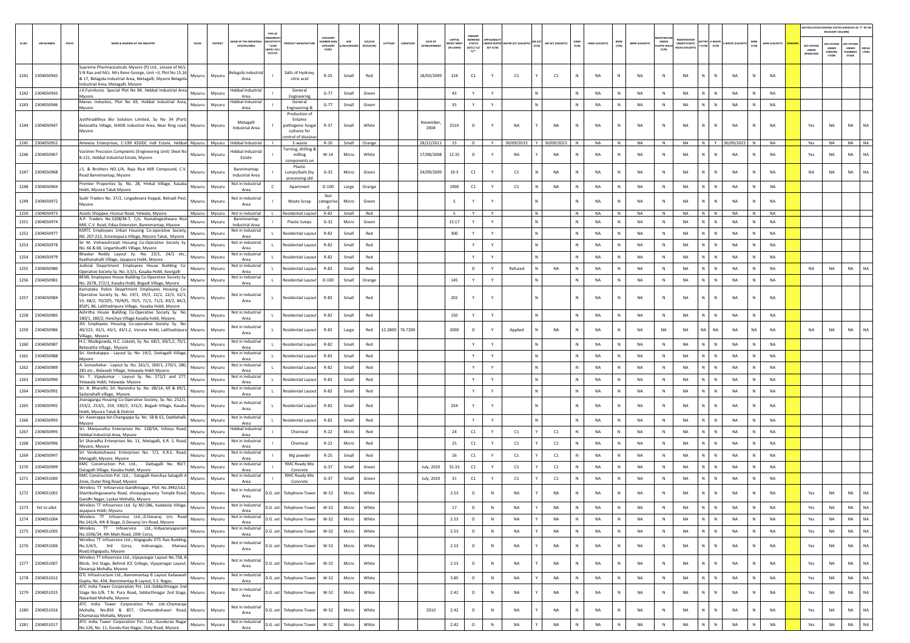|        |                   |          |                                                                                                                                                                                                                          |               |                |                                             |                                                  |                                                                                  |                                                |                     |                            |                 |                                |                                                |                                                  |                        |                |       |                   |                                  |                |              |                       |                                |                                                     |                                      |            |              |                       |                                         | AIR POLLUTION CONTROL STATUS (INDICATE AS "Y" IN THI<br>RELEVANT COLUMN) |                                         |                       |
|--------|-------------------|----------|--------------------------------------------------------------------------------------------------------------------------------------------------------------------------------------------------------------------------|---------------|----------------|---------------------------------------------|--------------------------------------------------|----------------------------------------------------------------------------------|------------------------------------------------|---------------------|----------------------------|-----------------|--------------------------------|------------------------------------------------|--------------------------------------------------|------------------------|----------------|-------|-------------------|----------------------------------|----------------|--------------|-----------------------|--------------------------------|-----------------------------------------------------|--------------------------------------|------------|--------------|-----------------------|-----------------------------------------|--------------------------------------------------------------------------|-----------------------------------------|-----------------------|
| SL.NO. | <b>UIN NUMBER</b> | $PCB$ ID | <b>VAME &amp; ADDRESS OF THE INDUSTR'</b>                                                                                                                                                                                | TALUK         | <b>DISTRIC</b> | AME OF THE INDUSTR<br><b>ESTATES/AREA</b>   | <b>N/ACTIV</b><br>$*(1/M)$<br>8/HC/ H/<br>CE/C/O |                                                                                  | CATEGOR<br><b>MBER DO</b><br>CATEGORY<br>CODE) | SIZE<br>/M/S/MICRO) | <b>COLOUR</b><br>(R/O/G/W) | LATITUDI        | DATE OF<br><b>ESTABLISHMEN</b> | <b>CAPITAL</b><br><b>EST MEP</b><br>(IN LAKHS) | PRESENT<br>WORKING<br>STATUS<br>(0/C1/ C2/<br>Y1 | NDER WATE<br>ACT (Y/N) | TER ACT (VALID | (Y/N) | AIR ACT (VALIDITY | HWM<br>$(\mathbb{Y}/\mathbb{N})$ | HWM (VALIDITY) | BMW<br>(Y/N) | <b>BMW (VALIDITY)</b> | UNDER<br>LASTIC RULES<br>(Y/N) | <b>IEGISTRATI</b><br>INDER PLASTIC<br>ULES (VALIDIT | <b>TTER E-WAST</b><br>(Y/N)<br>[Y/N] | WASTE (VA  | MSW<br>(Y/N) | <b>MSW (VALIDITY)</b> | APC SYSTEM<br><b>UNDER</b><br>IPERATION | <b>APC SYSTEM</b><br><b>UNDER</b><br>CONSTRU<br>crion                    | APC SYSTER<br>UNDER<br>LANNING<br>STAGE | <b>DEFAU</b><br>LTERS |
|        | 1241 2304050942   |          | Supreme Pharmaceuticals Mysore (P) Ltd., Lessee of M/s.<br>S N Rao and M/s. Mrs Rene George, Unit -II, Plot No 15,16<br>& 17, Belagola Industrial Area, Metagalli, Mysore Belagola<br>Industrial Area, Metagalli, Mysore | Mysuru        | Mysuru         | elagola Industrial<br>Area                  |                                                  | Salts of Hydroxy<br>citric acid                                                  | $R-25$                                         | Small               | Red                        |                 | 18/03/2009                     | 124                                            | C1                                               | Y                      | C1             |       | C1                | N                                | <b>NA</b>      | N            | NA                    | N                              | <b>NA</b>                                           | N.<br>$\mathbb{N}$                   | <b>NA</b>  | N            | <b>NA</b>             |                                         |                                                                          |                                         |                       |
|        | 1242 2304050943   |          | J.K.Furnitures Special Plot No 84, Hebbal Industrial Area<br>Mysore                                                                                                                                                      | Mysuru        | Mysuru         | <b>Hebbal Industrial</b><br>Area            |                                                  | General<br>Engineering                                                           | $G-77$                                         | Small               | Green                      |                 |                                | 43                                             | Y                                                | Y                      |                |       |                   | N                                | <b>NA</b>      | N            | <b>NA</b>             | N                              | <b>NA</b>                                           | $\mathbb{N}$<br>N                    | <b>NA</b>  | N            | NA                    |                                         |                                                                          |                                         |                       |
| 1243   | 2304050946        |          | Manas Industies, Plot No 83, Hebbal Industrial Area,<br>Mysore                                                                                                                                                           | Mysuru        | Mysuru         | Hebbal Industrial<br>Area                   |                                                  | General<br>Engineering &                                                         | $G-77$                                         | Small               | Green                      |                 |                                | 35                                             | Y                                                | Y                      |                |       |                   | N                                | <b>NA</b>      | N            | NA                    | $\mathbb N$                    | NA                                                  | N.<br>$\mathbb{N}$                   | NA         | N            | <b>NA</b>             |                                         |                                                                          |                                         |                       |
|        | 1244 2304050947   |          | Jyothiradithya Bio Solution Limited, Sy No 34 (Part)<br>Belavatha Village, KIADB Industrial Area, Near Ring road, Mysuru                                                                                                 |               | Mysuru         | Metagalli<br>Industrial Area                |                                                  | Production of<br>Entamo<br>pathogenic fungal<br>cultures for<br>ntrol of disease | $R-37$                                         | Small               | White                      |                 | November<br>2004               | 2510                                           | $\circ$                                          | Y                      | <b>NA</b>      |       | NA                | $\mathbb{N}$                     | <b>NA</b>      | N            | NA                    | N                              | NA                                                  | N                                    | NA         |              | <b>NA</b>             | Yes                                     | NA                                                                       | <b>NA</b>                               | NA                    |
|        | 1245 2304050952   |          | Ameena Enterprises, C-199 KSSIDC Indl Estate, Hebbal Mysuru   Mysuru                                                                                                                                                     |               |                | <b>Hebbal Industrial</b>                    |                                                  | E-waste                                                                          | $R - 10$                                       |                     | Small Orange               |                 | 28/12/2011                     | 25                                             | $\circ$                                          | Y                      | 30/09/2023     |       | 30/09/2023        |                                  | <b>NA</b>      | N            | NA                    | N                              | <b>NA</b>                                           | N<br>Y                               | 30/09/2023 | N            | <b>NA</b>             | Yes                                     | <b>NA</b>                                                                | <b>NA</b>                               | NA.                   |
|        | 1246 2304050967   |          | Varshini Precision Compnents (Engineering Unit) Shed No<br>B-121, Hebbal Industrial Estate, Mysore                                                                                                                       | Mysuru        | Mysuru         | <b>Hebbal Industrial</b><br>Estate          |                                                  | Turning, drilling &<br>milling<br>components on                                  | $W-14$                                         | Micro               | White                      |                 | 17/08/2008                     | 12.35                                          | $\circ$                                          | Y                      | NA             |       | <b>NA</b>         | N                                | <b>NA</b>      | N            | NA                    | N                              | NA                                                  | N                                    | <b>NA</b>  |              | <b>NA</b>             | Yes                                     | NA                                                                       | <b>NA</b>                               | NA                    |
|        | 1247 2304050968   |          | J.S. & Brothers NO.1/A, Raja Rice Mill Compound, C.V.<br>Road Bannimantap, Mysore                                                                                                                                        | Mysuru        | Mysuru         | Bannimantap<br><b>Industrial Area</b>       |                                                  | Plastic<br>Lumps/bails (by<br>processing old                                     | $G-32$                                         | Micro               | Green                      |                 | 24/09/2009                     | 19.3                                           | C1                                               | Y                      | C1             |       | <b>NA</b>         | $\mathbb N$                      | <b>NA</b>      | N            | NA                    | N                              | <b>NA</b>                                           | $\mathbb N$                          | <b>NA</b>  | N            | <b>NA</b>             | <b>NA</b>                               | NA                                                                       | <b>NA</b>                               | <b>NA</b>             |
|        | 1248 2304050969   |          | Premier Properties Sy. No. 28, Hinkal Village, Kasaba<br>Hobli, Mysore Taluk Mysore                                                                                                                                      | Mysuru        | Mysuru         | Not in Industrial<br>Area                   |                                                  | Apartment                                                                        | $O-100$                                        | Large               | Orange                     |                 |                                | 1900                                           | C1                                               | Y                      | C1             |       | <b>NA</b>         |                                  | <b>NA</b>      | ${\sf N}$    | NA                    | $\,$ N                         | NA                                                  | N                                    | NA         | N            | <b>NA</b>             |                                         |                                                                          |                                         |                       |
|        | 1249 2304050972   |          | Sudir Traders No. 37/2, Lingadevara Koppal, Belvadi Post,<br>Mysore                                                                                                                                                      | Mysuru        | Mysuru         | Not in Industrial<br>Area                   |                                                  | Waste Scrap                                                                      | Not<br>categoris                               | Micro               | Green                      |                 |                                | 5                                              | Y                                                |                        |                |       |                   |                                  | N <sub>A</sub> | N            | <b>NA</b>             | N                              | <b>NA</b>                                           | N                                    | <b>NA</b>  |              | <b>NA</b>             |                                         |                                                                          |                                         |                       |
|        | 1250 2304050973   |          | Assets Shoppee, Hunsur Road, Yelwala, Mysore<br>A.P. Traders No.3208/M-7, C/o. Ramalingeshwara Rice                                                                                                                      | Mysuru Mysuru |                | Not in Industrial<br>Bannimantap            |                                                  | <b>Residential Lavout</b>                                                        | R-82                                           | Small               | Red                        |                 |                                | -5                                             | Y                                                | Y                      |                | N     |                   | N                                | <b>NA</b>      | N            | <b>NA</b>             | N.                             | <b>NA</b>                                           | N N                                  | <b>NA</b>  | N            | <b>NA</b>             |                                         |                                                                          |                                         |                       |
| 1251   | 2304050974        |          | Mill, C.V. Road, Ediya Extension, Bannimantap, Mysore<br>KSRTC Employees Urban Housing Co-operative Society,                                                                                                             | Mysuru        | Mysuru         | <b>Industrial Area</b><br>Not in Industrial |                                                  | Plastic lumps                                                                    | $G-32$                                         | Micro               | Green                      |                 |                                | 15.17                                          | Y                                                | Y                      |                |       |                   | N                                | NA             | N            | NA                    | N                              | NA                                                  | N<br>$\mathbb N$                     | NA         | N            | NA                    |                                         |                                                                          |                                         |                       |
| 1252   | 2304050977        |          | NO. 207-212, Sriramapura Village, Mysore Taluk, Mysore<br>Sir M. Vishweshraiah Hosuing Co-Operative Society Sy.                                                                                                          | Mysuru        | Mysuru         | Area<br>Not in Industrial                   |                                                  | Residential Layou                                                                | R-82                                           | Small               | Red                        |                 |                                | 300                                            | Y                                                | Y                      |                |       |                   | N                                | <b>NA</b>      | N            | NA                    | $\,$ N                         | NA                                                  | N<br>N                               | NA         | N            | <b>NA</b>             |                                         |                                                                          |                                         |                       |
| 1253   | 2304050978        |          | No. 66 & 68, Lingambudhi Village, Mysore<br>Bhaskar Reddy Layout Sy. No. 23/1, 24/1 etc.,                                                                                                                                | Mysuru        | Mysuru         | Area<br>Not in Industrial                   |                                                  | Residential Layout                                                               | R-82                                           | Small               | Red                        |                 |                                |                                                | Y                                                | Y                      |                |       |                   | $\mathbb N$                      | <b>NA</b>      | N            | NA                    | $\,$ N                         | NA                                                  | N                                    | <b>NA</b>  | N            | <b>NA</b>             |                                         |                                                                          |                                         |                       |
| 1254   | 2304050979        |          | Kyathanahalli Village, Jayapura Hobli, Mysore<br>Judicial Department Employees House Building Co-                                                                                                                        | Mysuru        | Mysuru         | Area<br>Not in Industrial                   |                                                  | Residential Layout                                                               | $R - 82$                                       | Small               | Red                        |                 |                                |                                                | Y                                                | $\mathsf{Y}$           |                |       |                   | N                                | <b>NA</b>      | N            | NA                    | N                              | <b>NA</b>                                           | N.<br>$\mathbb{N}$                   | <b>NA</b>  | $\mathbb N$  | NA                    |                                         |                                                                          |                                         |                       |
| 1255   | 2304050980        |          | Operative Society Sy. No. 3,5/1, Kasaba Hobli, Keergalli<br>BEML Employees House Building Co-Operative Society Sy.                                                                                                       | Mysuru        | Mysuru         | Area<br>Not in Industrial                   |                                                  | Residential Layout                                                               | R-82                                           | Small               | Red                        |                 |                                |                                                | $\circ$                                          | Y                      | Refused        |       | NA                | $\mathbb{N}$                     | <b>NA</b>      | N            | <b>NA</b>             | $\mathbb{N}$                   | NA                                                  | N<br>$\mathbb N$                     | NA         | N            | <b>NA</b>             | NA                                      | NA                                                                       | NA                                      |                       |
| 1256   | 2304050981        |          | No. 267B, 272/1, Kasaba Hobli, Bogadi Village, Mysore<br>Karnataka Police Deaprtment Employees Housing Co-                                                                                                               | Mysuru        | Mysuru         | Area                                        |                                                  | Residential Layout                                                               | $O-100$                                        | Small               | Orange                     |                 |                                | 145                                            | Y                                                |                        |                |       |                   |                                  | <b>NA</b>      | ${\sf N}$    | NA                    | N                              | NA                                                  | N.<br>N                              | <b>NA</b>  | N            | NA                    |                                         |                                                                          |                                         |                       |
|        | 1257 2304050984   |          | Operative Society Sy. No. 19/1, 19/3, 22/2, 22/3, 52/1,<br>53, 68/2, 70/2(P), 70/4(P), 70/5, 71/1, 71/2, 83/2, 84/2,<br>85(P), 86, Lalithadripura Village, Kasaba Hobli, Mysore                                          | Mysuru        | Mysuru         | Not in Industrial<br>Area                   | $\mathbf{L}$                                     | <b>Residential Layout</b>                                                        | R-82                                           | Small               | Red                        |                 |                                | 202                                            | Y                                                | Y                      |                |       |                   | N                                | <b>NA</b>      | N            | <b>NA</b>             | N                              | <b>NA</b>                                           | N<br>N                               | <b>NA</b>  | N            | <b>NA</b>             |                                         |                                                                          |                                         |                       |
| 1258   | 2304050985        |          | Ashritha House Building Co-Operative Society Sy. No.<br>180/1, 180/2, Hanchya Village Kasaba hobli, Mysore.                                                                                                              | Mysuru        | Mysuru         | Not in Industrial<br>Area                   |                                                  | Residential Layout                                                               | $R - 82$                                       | Small               | Red                        |                 |                                | 150                                            | Y                                                | Y                      |                |       |                   | $\mathbb{N}$                     | <b>NA</b>      | N            | NA                    | N                              | NA                                                  | N.<br>$\mathbb{N}$                   | NA         | $\mathsf{N}$ | NA                    |                                         |                                                                          |                                         |                       |
| 1259   | 2304050986        |          | JSS Employees Hosuing Co-operative Society Sy. No.<br>40/123, 41/1, 43/1, 43/1.2, Varuna Hobli, Lalithadripura Mysuru<br>Village, Mysore                                                                                 |               | Mysuru         | Not in Industrial<br>Area                   |                                                  | Residential Layout                                                               | $R-82$                                         | Large               | Red                        | 12.2800 76.7200 |                                | 2000                                           | $\circ$                                          | Y                      | Applied        |       | <b>NA</b>         | N                                | <b>NA</b>      | N            | <b>NA</b>             | <b>NA</b>                      | <b>NA</b>                                           | NA<br>NA                             | <b>NA</b>  | <b>NA</b>    | NA                    | <b>NA</b>                               | NA                                                                       | NA                                      |                       |
| 1260   | 2304050987        |          | H.C. Madegowda, H.C. Lokesh, Sy. No. 68/1, 69/1,2, 70/1, Mysuru<br>Belavatha Village, Mysore                                                                                                                             |               | Mysuru         | Not in Industria<br>Area                    |                                                  | Residential Layout                                                               | $R - 82$                                       | Small               | Red                        |                 |                                |                                                | Y                                                | Y                      |                |       |                   | $\mathbb{N}$                     | <b>NA</b>      | N            | NA                    | N                              | <b>NA</b>                                           | N.<br>$\mathbb{N}$                   | <b>NA</b>  | N            | NA                    |                                         |                                                                          |                                         |                       |
| 1261   | 2304050988        |          | Sri. Venkatappa - Layout Sy. No. 19/2, Dattagalli Village,<br>Mysore                                                                                                                                                     | Mysuru        | Mysuru         | Not in Industrial<br>Area                   |                                                  | Residential Layout                                                               | R-82                                           | Small               | Red                        |                 |                                |                                                | Y                                                | Y                      |                |       |                   | $\mathbb{N}$                     | <b>NA</b>      | N            | NA                    | $\mathbb{N}$                   | NA                                                  | N<br>$\mathbb N$                     | NA         | N            | NA                    |                                         |                                                                          |                                         |                       |
| 1262   | 2304050989        |          | A. Somashekar - Layout Sy. No. 261/1, 269/1, 270/1, 280,<br>281 etc., Belavadi Village, Yelawala Hobli Mysore                                                                                                            | Mysuru        | Mysuru         | Not in Industrial<br>Area                   |                                                  | tesidential Layou                                                                | R-82                                           | Small               | Red                        |                 |                                |                                                | Y                                                |                        |                |       |                   | $\mathbb N$                      | <b>NA</b>      | N            | NA                    | N                              | NA                                                  | N<br>$\mathbb N$                     | NA         | N            | NA                    |                                         |                                                                          |                                         |                       |
| 1263   | 2304050990        |          | Sri. T. Vijaykumar - Layout Sy. No. 272/1 and 277,<br>Yelawala Hobli, Yelawala Mysore                                                                                                                                    | Mysuru        | Mysuru         | Not in Industrial<br>Area                   |                                                  | Residential Layout                                                               | R-82                                           | Small               | Red                        |                 |                                |                                                | Y                                                | Y                      |                |       |                   | $\,$ N                           | <b>NA</b>      | N            | NA                    | N                              | NA                                                  | N<br>$\,$ N                          | <b>NA</b>  | N            | <b>NA</b>             |                                         |                                                                          |                                         |                       |
| 1264   | 2304050991        |          | Sri. B. Bharathi, Sri. Narendra Sy. No. 68/1A, 69 & 69/1,<br>Sadanahalli village, Mysore                                                                                                                                 | Mysuru        | Mysuru         | Not in Industrial<br>Area                   |                                                  | Residential Layout                                                               | R-82                                           | Small               | Red                        |                 |                                |                                                | Y                                                | Y                      |                |       |                   |                                  | <b>NA</b>      | ${\sf N}$    | NA                    | $\,$ N                         | NA                                                  | N                                    | NA         | N            | NA                    |                                         |                                                                          |                                         |                       |
|        | 1265 2304050992   |          | Jnanaganga Housing Co-Operative Society, Sy. No. 252/1,<br>253/2, 253/1, 254, 330/2, 331/2, Bogadi Village, Kasaba Mysuru<br>Hobli, Mysore Taluk & District                                                              |               | Mysuru         | Not in Industrial<br>Area                   |                                                  | <b>Residential Layout</b>                                                        | R-82                                           | Small               | Red                        |                 |                                | 254                                            | Y                                                |                        |                |       |                   |                                  | N <sub>A</sub> | N            | <b>NA</b>             | N                              | <b>NA</b>                                           | $\mathbb{N}$                         | <b>NA</b>  |              | <b>NA</b>             |                                         |                                                                          |                                         |                       |
|        | 1266 2304050993   |          | Sri. Kaverappa bin Changappa Sy. No. 58 & 61, Daddahalli,<br>Mysore                                                                                                                                                      | Mysuru        | Mysuru         | Not in Industrial<br>Area                   |                                                  | Residential Layout                                                               | R-82                                           | Small               | Red                        |                 |                                |                                                | Y                                                | Y                      |                |       |                   |                                  | <b>NA</b>      | N            | NA                    | $\,$ N                         | NA                                                  | N                                    | NA         | N            | <b>NA</b>             |                                         |                                                                          |                                         |                       |
| 1267   | 2304050995        |          | Sri. Manjunatha Enterprises No. 118/5A, Infosys Road,<br>Hebbal Industrial Area, Mysore                                                                                                                                  | Mysuru        | Mysuru         | Hebbal Industria<br>Area                    |                                                  | Chemical                                                                         | $R-22$                                         | Micro               | Red                        |                 |                                | 24                                             | $\mathsf{C1}$                                    | Y                      | C1             |       | C1                | $\mathbb{N}$                     | <b>NA</b>      | N            | <b>NA</b>             | N                              | <b>NA</b>                                           | N.<br>$\mathbb{N}$                   | NA         | $\mathsf{N}$ | NA                    |                                         |                                                                          |                                         |                       |
| 1268   | 2304050996        |          | Sri Sharadha Enterprises No. 11, Metagalli, K.R. S. Road,<br>Mysore, Mysore                                                                                                                                              | Mysuru        | Mysuru         | Not in Industrial<br>Area                   |                                                  | Chemical                                                                         | $R-22$                                         | Micro               | Red                        |                 |                                | 25                                             | C1                                               | Y                      | C1             |       | C1                | N                                | <b>NA</b>      | N            | <b>NA</b>             | N                              | NA                                                  | N<br>$\mathbb N$                     | NA         | N            | <b>NA</b>             |                                         |                                                                          |                                         |                       |
| 1269   | 2304050997        |          | Sri Venkateshwara Enterprises No. 7/1, K.R.S. Road,<br>Metagalli, Mysore. Mysore                                                                                                                                         | Mysuru        | Mysuru         | Not in Industrial<br>Area                   |                                                  | Mg powder                                                                        | $R-25$                                         | Small               | Red                        |                 |                                | 26                                             | C1                                               | Y                      | C1             |       | C1                | N                                | <b>NA</b>      | ${\sf N}$    | NA                    | $\mathbb N$                    | NA                                                  | N<br>N                               | <b>NA</b>  | N            | NA                    |                                         |                                                                          |                                         |                       |
| 1270   | 2304050999        |          | KMC Construction Pvt. Ltd., - Dattagalli No. 90/7,<br>Datagalli Village, Kasaba Hobli, Mysore                                                                                                                            | Mysuru        | Mysuru         | Not in Industrial<br>Area                   |                                                  | <b>RMC Ready Mix</b><br>Concrete                                                 | $G-37$                                         | Small               | Green                      |                 | July, 2010                     | 31.33                                          | C1                                               | Y                      | C1             |       | C1                | N                                | <b>NA</b>      | N            | NA                    | N                              | NA                                                  | N<br>N                               | NA         | N            | <b>NA</b>             |                                         |                                                                          |                                         |                       |
| 1271   | 2304051000        |          | KMC Construction Pvt. Ltd., - Satagalli Hanchya Satagalli A<br>Zone, Outer Ring Road, Mysore                                                                                                                             | Mysuru        | Mysuru         | Not in Industrial<br>Area                   |                                                  | <b>RMC Ready Mix</b><br>Concrete                                                 | $G-37$                                         | Small               | Green                      |                 | July, 2010                     | 31                                             | C1                                               | Y                      | C1             |       | C1                |                                  | <b>NA</b>      | N            | NA                    | ${\sf N}$                      | NA                                                  | N                                    | <b>NA</b>  |              | NA                    |                                         |                                                                          |                                         |                       |
|        | 1272 2304051002   |          | Wireless TT Infoservice-Gandhinagar, Plot No.3942/L62,<br>Shambulingaswamy Road, shivayogiswamy Temple Road, Mysuru<br>Gandhi Nagar, Laskar Mohalla, Mysore                                                              |               | Mysuru         | Not in Industrial<br>Area                   | D.G. set                                         | <b>Telephone Tower</b>                                                           | W-52                                           | Micro               | White                      |                 |                                | 2.53                                           | $\circ$                                          | $\mathbb N$            | NA             |       | <b>NA</b>         |                                  | <b>NA</b>      | N            | NA                    | $\mathbb{N}$                   | <b>NA</b>                                           | ${\sf N}$<br>N                       | <b>NA</b>  |              | <b>NA</b>             | Yes                                     | NA                                                                       | <b>NA</b>                               | NA                    |
| 1273   | Yet to allot      |          | Wireless TT Infoservice Ltd. Sy NO:286, Kadakola Village,<br>Jayapura Hobli, Mysuru                                                                                                                                      |               | Mysuru Mysuru  | Not in Industrial<br>Area                   | D.G. set                                         | <b>Telephone Tower</b>                                                           | W-52                                           | Micro               | White                      |                 |                                | 17                                             | 0                                                | <b>N</b>               | <b>NA</b>      |       | <b>NA</b>         |                                  | <b>NA</b>      | N.           | <b>NA</b>             | N                              | <b>NA</b>                                           |                                      | NA         |              | <b>NA</b>             | Yes                                     | <b>NA</b>                                                                | NA                                      | NA.                   |
|        | 1274 2304051004   |          | Wireless TT Infoservice Ltd.,-D.Devaraj Urs Road<br>No.141/A, 4th B Stage, D.Devaraj Urs Road, Mysore                                                                                                                    | Mysuru        | Mysuru         | Not in Industrial<br>Area                   | D.G. set                                         | <b>Telephone Tower</b>                                                           | W-52                                           | Micro               | White                      |                 |                                | 2.53                                           | $\circ$                                          | N                      | NA             |       | NA                | N                                | <b>NA</b>      | $\mathsf{N}$ | NA                    | N                              | NA                                                  | N<br>$\,$ N                          | NA         | $\mathbb N$  | NA                    | Yes                                     | NA                                                                       | <b>NA</b>                               | NA                    |
|        | 1275 2304051005   |          | Wireless TT Infoservice Ltd.,-Vidyaranyapuram<br>No.1036/34, 4th Main Road, 10th Corss,                                                                                                                                  | Mysuru        | Mysuru         | Not in Industrial<br>Area                   | D.G. set                                         | <b>Telephone Tower</b>                                                           | W-52                                           | Micro               | White                      |                 |                                | 2.53                                           | $\circ$                                          | $\,$ N                 | NA             |       | NA                | N                                | <b>NA</b>      | N            | NA                    | N                              | NA                                                  | N<br>N                               | <b>NA</b>  | N            | <b>NA</b>             | Yes                                     | NA                                                                       | <b>NA</b>                               | NA                    |
|        | 1276 2304051006   |          | Wireless TT Infoservice Ltd.,-Ittigegudu DTS Rao Building,<br>No.3/4/5, 3rd Corss, Indiranagar, Manasa Mysuru<br>Road, Ittigegudu, Mysore                                                                                |               | Mysuru         | Not in Industrial<br>Area                   |                                                  | D.G. set Telephone Tower                                                         | W-52                                           | Micro               | White                      |                 |                                | 2.53                                           | $\circ$                                          | $\,$ N                 | NA             |       | NA                | N                                | NA             | ${\sf N}$    | $_{\sf NA}$           | N                              | NA                                                  | N<br>$\,$ N                          | NA         | N            | <b>NA</b>             | Yes                                     | NA                                                                       | NA                                      | $_{\sf NA}$           |
|        | 1277 2304051007   |          | Wireless TT Infoservice Ltd.,-Vijayanagar Layout No.758, B<br>Block, 3rd Stage, Behind JCE College, Vijayanagar Layout, Mysuru<br>Devaraja Mohalla, Mysore                                                               |               | Mysuru         | Not in Industrial<br>Area                   |                                                  | D.G. set Telephone Tower                                                         | W-52                                           | Micro               | White                      |                 |                                | 2.53                                           | $\circ$                                          | N                      | <b>NA</b>      |       | NA                | N                                | <b>NA</b>      | N            | NA                    | N                              | NA                                                  | N<br>N                               | NA         | N            | <b>NA</b>             | Yes                                     | NA                                                                       | <b>NA</b>                               | NA                    |
|        | 1278 2304051012   |          | Oevalup multimere Ltd.,-Bannimantap B Layout Kailaswati Mysuru Mysuru<br>Gupta, No. 434, Bannimantap B Layout, S.S. Nagar,                                                                                               |               |                | Not in Industrial<br>Area                   | D.G. set                                         | <b>Telephone Tower</b>                                                           | W-52                                           | Micro               | White                      |                 |                                | 3.85                                           | $\circ$                                          | N                      | NA             |       | NA                | N                                | <b>NA</b>      | $\,$ N       | NA                    | N                              | NA                                                  | N<br>N                               | NA         | N            | NA                    | Yes                                     | NA                                                                       | <b>NA</b>                               | NA                    |
| 1279   | 2304051015        |          | ATC India Tower Corporation Pvt. Ltd.-Siddarthnagar 2nd<br>Stage No.1/B, T.N. Pura Road, Siddarthnagar 2nd Stage, Mysuru<br>Nazarbad Mohalla, Mysore                                                                     |               | Mysuru         | Not in Industrial<br>Area                   |                                                  | D.G. set Telephone Tower                                                         | W-52                                           | Micro               | White                      |                 |                                | 2.42                                           | $\circ$                                          | ${\sf N}$              | NA             |       | NA                | N                                | <b>NA</b>      | N            | NA                    | N                              | NA                                                  | N<br>N                               | NA         | ${\sf N}$    | <b>NA</b>             | Yes                                     | NA                                                                       | <b>NA</b>                               | NA                    |
|        | 1280 2304051016   |          | ATC India Tower Corporation Pvt. Ltd.-Chamaraja<br>Mohalla, No.856 & 857, Chamundeshwari Road, Mysuru<br>Chamaraja Mohalla, Mysore                                                                                       |               | Mysuru         | Not in Industrial<br>Area                   | D.G. set                                         | <b>Telephone Tower</b>                                                           | W-52                                           | Micro               | White                      |                 | 2010                           | 2.42                                           | $\circ$                                          | N                      | NA             |       | NA                | $\mathbb N$                      | <b>NA</b>      | N            | NA                    | N                              | NA                                                  | ${\sf N}$<br>N                       | NA         | N            | <b>NA</b>             | Yes                                     | NA                                                                       | <b>NA</b>                               | <b>NA</b>             |
|        | 1281 2304051017   |          | ATC India Tower Corporation Pvt. Ltd.,-Gundurao Nagar<br>No.126, No. 11, Gundu Rao Nagar, Ooty Road, Mysore                                                                                                              | Mysuru Mysuru |                | Not in Industrial<br>Area                   | D.G. set                                         | <b>Telephone Tower</b>                                                           | $W-52$                                         | Micro               | White                      |                 |                                | 2.42                                           | $\circ$                                          | $\,$ N                 | <b>NA</b>      |       | NA                | $\mathbb{N}$                     | NA             | N            | NA                    | $\mathbb{N}$                   | NA                                                  | N                                    | NA         |              | NA                    | Yes                                     | $_{\sf NA}$                                                              | <b>NA</b>                               | NA                    |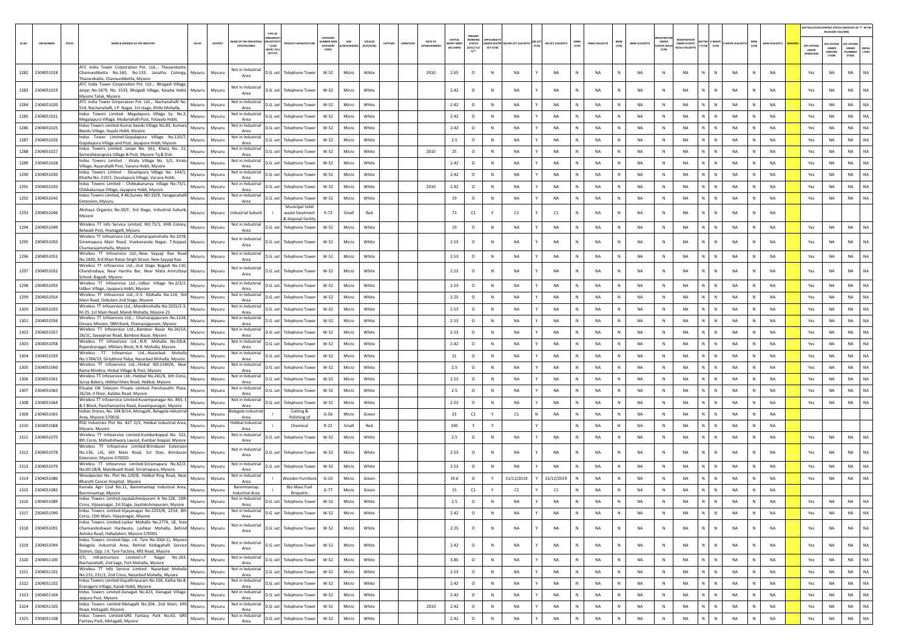|        |                   |          |                                                                                                                                                                                |          |                                           |                                                 |                                                                 |                                                  |                   |                     |          |        |                        |                                  |                                       |           |                                |                        |                   |              |                               |                       |                                      |                                    |                              |              |              |               |                       |                                  | <b>REPOLLUTION CONTROL STATUS (INDICATE AS "Y" IN THE</b><br>RELEVANT COLUMN) |                                          |                |
|--------|-------------------|----------|--------------------------------------------------------------------------------------------------------------------------------------------------------------------------------|----------|-------------------------------------------|-------------------------------------------------|-----------------------------------------------------------------|--------------------------------------------------|-------------------|---------------------|----------|--------|------------------------|----------------------------------|---------------------------------------|-----------|--------------------------------|------------------------|-------------------|--------------|-------------------------------|-----------------------|--------------------------------------|------------------------------------|------------------------------|--------------|--------------|---------------|-----------------------|----------------------------------|-------------------------------------------------------------------------------|------------------------------------------|----------------|
| SL.NO. | <b>UIN NUMBER</b> | $PCB$ ID | <b>VAME &amp; ADDRESS OF THE INDUSTR'</b><br>TALUR                                                                                                                             | DISTRICT | AME OF THE INDUSTR<br><b>ESTATES/AREA</b> | N/ACTIVIT<br>$*(1/M)^*$<br>8/HC/ H/L<br>CE/C/O) |                                                                 | CATEGOR<br><b>IMBER DOG</b><br>CATEGORY<br>CODE) | SIZE<br>M/S/MICRO | coLour<br>(R/O/G/W) | LATITUDE | NGITUC | DATE OF<br>ESTABLISHME | CAPITAL<br>VEST MEN<br>IN LAKHS] | WORKING<br>STATUS<br>(0/C1/ C2/<br>Y1 | ACT (Y/N) | DER WATER WATER ACT (VALIDITY) | <b>MR ACT</b><br>(Y/N) | AIR ACT (VALIDITY | HWM<br>(Y/N) | BMW<br>(Y/N)<br>HWM (VALIDITY | <b>BMW (VALIDITY)</b> | UNDER<br><b>LASTIC RULE</b><br>(Y/N) | <b>EGISTRATIO</b><br>UNDER PLASTIC | <b>TTER E-WASTE</b><br>(Y/N) | (Y/N)        | E-WASTE (VAL | MSW<br>(Y/N)  | <b>MSW (VALIDITY)</b> | APC SYSTEM<br>UNDER<br>OPERATION | <b>PC SYSTEM</b><br>UNDER<br>CONSTRU<br>CTION                                 | APC SYSTER<br>UNDER<br>PLANNING<br>STAGE | DEFAU<br>LTERS |
|        | 1282 2304051018   |          | ATC India Tower Corporation Pvt. Ltd.,- Thavarekatte,<br>Chamundibetta No.160, No.133, Janatha Colongy,<br>Mysuru<br>Thavarekatte, Chamundibetta, Mysore                       | Mysuru   | Not in Industria<br>Area                  | .G. set                                         | <b>Telephone Tower</b>                                          | $W-52$                                           | Micro             | White               |          |        | 2010                   | 2.65                             | $\circ$                               | $\,$ N    | NA                             |                        | NA                | $\mathsf{N}$ | NA<br>N                       | NA                    | N                                    | NA                                 | $\mathbf{N}$                 | $\mathbb N$  | <b>NA</b>    | ${\sf N}$     | <b>NA</b>             | Yes                              | NA                                                                            | NA                                       | <b>NA</b>      |
| 1283   | 2304051019        |          | ATC India Tower Corporation Pvt. Ltd.,- Bhogadi Village,<br>Janjar No.1679, No. 1533, Bhogadi Village, Kasaba Hobli, Mysuru<br>Mysore Taluk, Mysore                            | Mysuru   | Not in Industria<br>Area                  |                                                 | D.G. set Telephone Tower                                        | W-52                                             | Micro             | White               |          |        |                        | 2.42                             | $\circ$                               | N         | NA                             |                        | NA                | N            | <b>NA</b><br>N                | <b>NA</b>             | N                                    | NA                                 | N                            | N            | <b>NA</b>    | N             | <b>NA</b>             | Yes                              | NA                                                                            | NA.                                      | NA             |
| 1284   | 2304051020        |          | ATC India Tower Corporation Pvt. Ltd.,- Nachanahalli No.<br>Mysuru<br>514, Nachanahalli, J.P. Nagar, 1st stage, Khille Mohalla,                                                | Mysuru   | Not in Industria<br>Area                  |                                                 | D.G. set Telephone Towe                                         | W-52                                             | Micro             | White               |          |        |                        | 2.42                             | $\circ$                               | N         | NA                             |                        | NA                | N            | NA<br>N                       | <b>NA</b>             | $\mathbb N$                          | NA                                 | $\mathsf{N}$                 | N            | <b>NA</b>    | ${\sf N}$     | NA                    | Yes                              | <b>NA</b>                                                                     | NA                                       | <b>NA</b>      |
| 1285   | 2304051021        |          | Indus Towers Limited- Megalapura Village Sy. No.2,<br>Mysuru<br>Megalapura Village, Mydanahalli Post, Yelavala Hobli,                                                          | Mysuri   | Not in Industria<br>Area                  |                                                 | D.G. set Telephone Towe                                         | $W-52$                                           | Micro             | White               |          |        |                        | 2.42                             | $\circ$                               | $\,$ N    | NA                             |                        | NA                | N            | NA<br>N                       | NA                    | $\,$ N                               | NA                                 | N                            | $\mathbb N$  | NA           | N             | NA                    | Yes                              | NA                                                                            | NA                                       | <b>NA</b>      |
| 1286   | 2304051025        |          | Indus Towers Limited-Kumar beedu Village No.83, Kumara<br>Mysuru<br>Beedu Village, Ilavala Hobli, Mysore                                                                       | Mysuru   | Not in Industrial<br>Area                 | D.G. set                                        | Telephone Tower                                                 | $W-52$                                           | Micro             | White               |          |        |                        | 2.42                             | $\circ$                               | $\,$ N    | NA                             |                        | NA                | N            | NA<br>N                       | NA                    | $\,$ N                               | NA                                 |                              | $\mathbb N$  | <b>NA</b>    | N             | NA                    | Yes                              | NA                                                                            | NA                                       | <b>NA</b>      |
| 1287   | 2304051026        |          | Indus Tower Limited-Gopalapura Village No.110/7<br>Mysuru<br>Gopalapura Village and Post, Jayapura Hobli, Mysore                                                               | Mysuru   | Not in Industria<br>Area                  |                                                 | D.G. set Telephone Tower                                        | W-52                                             | Micro             | White               |          |        |                        | 2.5                              | $\circ$                               | $\,$ N    | NA                             |                        | <b>NA</b>         | $\mathbb N$  | <b>NA</b><br>N                | <b>NA</b>             | N                                    | <b>NA</b>                          | $\mathsf{N}$                 | $\mathbb N$  | <b>NA</b>    | ${\sf N}$     | <b>NA</b>             | Yes                              | <b>NA</b>                                                                     | <b>NA</b>                                | NA             |
| 1288   | 2304051027        |          | Indus Towers Limited, Janjar No. 561, Khata No. 21<br>Mysuru<br>Someshwarapura Village & Post, Mysore Tq & Dist-                                                               | Mysuru   | Not in Industria<br>Area                  |                                                 | 0.G. set Telephone Tower                                        | $W-52$                                           | Micro             | White               |          |        | 2010                   | 25                               | $\circ$                               | N         | <b>NA</b>                      |                        | <b>NA</b>         | N            | <b>NA</b><br>N                | <b>NA</b>             | $\mathbb N$                          | <b>NA</b>                          |                              | $\mathbb N$  | <b>NA</b>    | ${\sf N}$     | <b>NA</b>             | Yes                              | <b>NA</b>                                                                     | <b>NA</b>                                | NA             |
| 1289   | 2304051028        |          | Indus Towers Limited - Kiralu Village No. 5/3, Kiralu<br>Mysuru<br>Village, Ayyarahalli Post, Varuna Hobli, Mysore                                                             | Mysuru   | Not in Industria<br>Area                  | D.G. set                                        | <b>Telephone Towe</b>                                           | W-52                                             | Micro             | White               |          |        |                        | 2.42                             | $\circ$                               | N         | NA                             |                        | NA                | N            | N<br>NA                       | <b>NA</b>             | $\mathbb N$                          | <b>NA</b>                          | $\mathbf{N}$                 | $\mathbb N$  | NA           | N             | NA                    | Yes                              | NA                                                                            | NA                                       | <b>NA</b>      |
| 1290   | 2304051030        |          | Indus Towers Limited - Devalapura Village No. 144/1.<br>Mysuru<br>Khatha No. 210/1, Devalapura Village, Varuna Hobli,                                                          | Mysuri   | Not in Industria<br>Area                  | D.G. set                                        | <b>Telephone Towe</b>                                           | W-52                                             | Micro             | White               |          |        |                        | 2.42                             | $\circ$                               | N         | NA                             |                        | NA                | $\mathbb N$  | NA<br>N                       | <b>NA</b>             | N                                    | NA                                 | N                            | $\mathbb N$  | <b>NA</b>    | N             | <b>NA</b>             | Yes                              | <b>NA</b>                                                                     | NA                                       | NA             |
| 1291   | 2304051033        |          | Indus Towers Limited - Chikkakananya Village No.73/1,<br>Mysuru<br>Chikkakanaya Village, Jayapura Hobli, Mysore                                                                | Mysuru   | Not in Industrial<br>Area                 | D.G. set                                        | <b>Telephone Towe</b>                                           | W-52                                             | Micro             | White               |          |        | 2010                   | 2.42                             | $\circ$                               | N         | NA                             |                        | NA                | N            | NA<br>N                       | NA                    | N                                    | NA                                 |                              | ${\sf N}$    | <b>NA</b>    | ${\sf N}$     | NA                    | Yes                              | NA                                                                            | NA                                       | <b>NA</b>      |
| 1292   | 2304051043        |          | Indus Towers Limited, #46, Survey NO:33/9, Yaraganahall<br>Mysuru<br>Extension, Mysuru                                                                                         | Mysuru   | Not in Industria<br>Area                  | D.G. set                                        | <b>Telephone Tower</b>                                          | $W-52$                                           | Micro             | White               |          |        |                        | 19                               | $\circ$                               | N         | NA                             |                        | <b>NA</b>         | N            | <b>NA</b><br>N                | <b>NA</b>             | $\,$ N                               | NA                                 | N                            | $\mathbb{N}$ | <b>NA</b>    | N             | NA                    | Yes                              | <b>NA</b>                                                                     | <b>NA</b>                                | NA             |
| 1293   | 2304051046        |          | Akshaya Organics No.30/F, 3rd Stage, Industrial Suburb,<br>Mysuru<br>Mysore                                                                                                    | Mysuru   | ndustrial Suburb                          |                                                 | <b>Municipal Solid</b><br>waste treatment<br>& disposal facilit | $R-72$                                           | Small             | Red                 |          |        |                        | 73                               | C1                                    | Y         | C1                             |                        | C1                |              | <b>NA</b><br>N                | <b>NA</b>             | $\,$ N                               | NA                                 |                              | $\mathbb{N}$ | <b>NA</b>    |               | NA                    |                                  |                                                                               |                                          |                |
| 1294   | 2304051049        |          | Wireless TT Info Service Limited, NO:71/1, KHB Colony,<br>Mysuru<br>Belwadi Post, Hootagalli, Mysuru                                                                           | Mysuru   | Not in Industrial<br>Area                 | 0.G. set l                                      | <b>Telephone Tower</b>                                          | $W-52$                                           | Micro             | White               |          |        |                        | 19                               | $\circ$                               | N         | NA                             |                        | <b>NA</b>         | $\,$ N       | <b>NA</b><br>N                | <b>NA</b>             | $\mathbb{N}$                         | <b>NA</b>                          | N                            | $\mathbb N$  | NA           | ${\sf N}$     | NA                    | Yes                              | <b>NA</b>                                                                     | NA                                       | NA             |
| 1295   | 2304051050        |          | Wireless TT Infoservice Ltd.,-Chamarajamohalla No.1078,<br>Sriramapura Main Road, Vivekananda Nagar, T.Koppal, Mysuru<br>Chamarajamohalla, Mysore                              | Mysuru   | Not in Industrial<br>Area                 | D.G. set                                        | <b>Telephone Tower</b>                                          | W-52                                             | Micro             | White               |          |        |                        | 2.53                             | $\circ$                               | N         | NA                             |                        | <b>NA</b>         | N            | <b>NA</b>                     | <b>NA</b>             | $\mathbb N$                          | NA                                 |                              | N            | <b>NA</b>    | N             | NA                    | Yes                              | NA                                                                            | NA                                       | NA             |
| 1296   | 2304051051        |          | Wireless TT Infoservice Ltd.,-New Sayyaji Rao Road<br>Mysuru<br>No.1830, 3rd Main Ratan Singh Street, New Sayyaji Rao                                                          | Mysuru   | Not in Industrial<br>Area                 |                                                 | D.G. set Telephone Tower                                        | W-52                                             | Micro             | White               |          |        |                        | 2.53                             | $\circ$                               | $\,$ N    | NA                             |                        | <b>NA</b>         | N            | <b>NA</b><br>N                | <b>NA</b>             | $\,$ N                               | NA                                 | N                            | $\mathbb N$  | <b>NA</b>    | N             | <b>NA</b>             | Yes                              | <b>NA</b>                                                                     | <b>NA</b>                                | NA             |
| 1297   | 2304051052        |          | Wireless TT Infoservice Ltd.,-2nd Stage Bogadi No.110,<br>Chandrodaya, Near Harsha Bar, Near Mata Amruthayi<br>Mysuru<br>School, Bogadi, Mysore                                | Mysuru   | Not in Industrial<br>Area                 | D.G. set                                        | <b>Telephone Tower</b>                                          | W-52                                             | Micro             | White               |          |        |                        | 2.53                             | $\circ$                               | $\,$ N    | <b>NA</b>                      |                        | <b>NA</b>         |              | <b>NA</b><br>N                | <b>NA</b>             | $\mathbb{N}$                         | <b>NA</b>                          |                              | $\mathbb{N}$ | <b>NA</b>    |               | <b>NA</b>             | Yes                              | <b>NA</b>                                                                     | <b>NA</b>                                | <b>NA</b>      |
| 1298   | 2304051053        |          | Wireless TT Infoservice Ltd.,-Udbur Village No.2/3/2,<br>Mysuru<br>Udbur Village, Jayapura Hobli, Mysore                                                                       | Mysuru   | Not in Industria<br>Area                  |                                                 | D.G. set Telephone Tower                                        | $W-52$                                           | Micro             | White               |          |        |                        | 2.53                             | $\circ$                               | N         | NA                             |                        | <b>NA</b>         | $\mathbb N$  | <b>NA</b><br>N                | <b>NA</b>             | N                                    | NA                                 | N                            | $\mathbb N$  | <b>NA</b>    | ${\sf N}$     | <b>NA</b>             | Yes                              | <b>NA</b>                                                                     | <b>NA</b>                                | NA             |
| 1299   | 2304051054        |          | Wireless TT Infoservice Ltd.,-V.V. Mohalla No.114, 3rd<br>Mysuru<br>Main Road, Gokulam 2nd Stage, Mysore                                                                       | Mysuru   | Not in Industria<br>Area                  |                                                 | D.G. set Telephone Tower                                        | W-52                                             | Micro             | White               |          |        |                        | 2.25                             | $\circ$                               | N         | <b>NA</b>                      |                        | <b>NA</b>         | N            | <b>NA</b><br>N                | <b>NA</b>             | N                                    | <b>NA</b>                          |                              | $\mathbb N$  | NA           | N             | <b>NA</b>             | Yes                              | <b>NA</b>                                                                     | <b>NA</b>                                | <b>NA</b>      |
| 1300   | 2304051055        |          | Wireless TT Infoservice Ltd.,-Mandimohalla No.3255/2-3,<br>Mysuru<br>M-25, 1st Main Road, Mandi Mohalla, Mysore-21                                                             | Mysuru   | Not in Industria<br>Area                  | D.G. set                                        | Telephone Tower                                                 | W-52                                             | Micro             | White               |          |        |                        | 2.53                             | $\circ$                               | N         | NA                             |                        | NA                |              | <b>NA</b><br>N                | NA                    | N                                    | <b>NA</b>                          |                              | N            | NA           | N             | NA                    | Yes                              | <b>NA</b>                                                                     | NA.                                      | <b>NA</b>      |
| 1301   | 2304051056        |          | Wireless TT Infoservice Ltd.,- Chamarajapuram No.1134,<br>Mysuru<br>Devaru Mission, SBM Bank, Chamarajpuram, Mysore                                                            | Mysuri   | Not in Industria<br>Area                  | D.G. set                                        | <b>Telephone Tower</b>                                          | W-52                                             | Micro             | White               |          |        |                        | 2.53                             | $\circ$                               | N         | NA                             |                        | NA                | $\mathbb N$  | NA<br>N                       | <b>NA</b>             | N                                    | NA                                 | N                            | $\mathbb N$  | NA           | N             | NA                    | Yes                              | NA                                                                            | NA                                       | <b>NA</b>      |
| 1302   | 2304051057        |          | Wireless TT Infoservice Ltd.,-Bamboo Bazar No.26/1A,<br>Mysuru<br>26/1C, Sayyajirao Road, Bamboo Bazar, Mysore                                                                 | Mysuri   | Not in Industrial<br>Area                 | D.G. set                                        | <b>Telephone Towe</b>                                           | W-52                                             | Micro             | White               |          |        |                        | 2.53                             | $\circ$                               | N         | NA                             |                        | NA                | N            | NA<br>N                       | NA                    | N                                    | <b>NA</b>                          |                              | ${\sf N}$    | NA           | ${\sf N}$     | NA                    | Yes                              | NA                                                                            | NA                                       | <b>NA</b>      |
| 1303   | 2304051058        |          | Wireless TT Infoservice Ltd.,-N.R. Mohalla No.03L8,<br>Mysuru<br>Rajendranagar, Military Block, N.R. Mohalla, Mysore                                                           | Mysuri   | Not in Industria<br>Area                  | D.G. set                                        | <b>Telephone Towe</b>                                           | $W-52$                                           | Micro             | White               |          |        |                        | 2.42                             | $\circ$                               | N         | <b>NA</b>                      |                        | <b>NA</b>         | $\mathbb{N}$ | <b>NA</b><br>N                | <b>NA</b>             | $\mathbb{N}$                         | <b>NA</b>                          | $\mathsf{N}$                 | $\mathbb{N}$ | NA           | N             | NA                    | Yes                              | <b>NA</b>                                                                     | <b>NA</b>                                | NA             |
| 1304   | 2304051059        |          | Wireless TT Infoservice Ltd.,-Nazarbad Mohalla<br>Mysuru<br>No.1784/23, Giriybhovi Palya, Nazarbad Mohalla, Mysore.                                                            | Mysuru   | Not in Industrial<br>Area                 |                                                 | D.G. set Telephone Tower                                        | $W-52$                                           | Micro             | White               |          |        |                        | 21                               | $\circ$                               | N         | <b>NA</b>                      |                        | <b>NA</b>         | N            | <b>NA</b><br>N                | <b>NA</b>             | N                                    | <b>NA</b>                          | N                            | $\mathbb N$  | <b>NA</b>    | N             | <b>NA</b>             | Yes                              | <b>NA</b>                                                                     | <b>NA</b>                                | <b>NA</b>      |
| 1305   | 2304051060        |          | Wireless TT Infoservice Ltd.,-Hinkal NO.1340/A, Near<br>Mysuru<br>Rama Mindira, Hinkal Village & Post, Mysore                                                                  | Mysuru   | Not in Industrial<br>Area                 | D.G. set                                        | <b>Telephone Towe</b>                                           | W-52                                             | Micro             | White               |          |        |                        | 2.5                              | $\circ$                               | N         | <b>NA</b>                      |                        | NA                |              | N<br><b>NA</b>                | <b>NA</b>             | N                                    | NA                                 | N                            | N            | <b>NA</b>    | $\mathbf N$   | NA                    | Yes                              | <b>NA</b>                                                                     | NA                                       | <b>NA</b>      |
| 1306   | 2304051061        |          | Wireless TT Infoservice Ltd.,-Hebbal No.241/6, 6th Corss,<br>Mysuru<br>Surya Bakery, Hebbal Main Road, Hebbal, Mysore                                                          | Mysuri   | Not in Industria<br>Area                  | D.G. set                                        | <b>Telephone Towe</b>                                           | W-52                                             | Micro             | White               |          |        |                        | 2.53                             | $\circ$                               | N         | NA                             |                        | NA                | $\mathbb N$  | NA<br>N                       | NA                    | N                                    | NA                                 | N                            | $\mathbb N$  | NA           | N             | NA                    | Yes                              | NA                                                                            | NA                                       | NA             |
| 1307   | 2304051063        |          | Etisalat DB Telecom Private Limited Panchavathi Plaza,<br>Mysuru<br>26/3A, II Floor, Kalidas Road, Mysore                                                                      | Mysuru   | Not in Industria<br>Area                  | D.G. set                                        | <b>Telephone Tower</b>                                          | $W-52$                                           | Micro             | White               |          |        |                        | 2.5                              | $\circ$                               | N         | <b>NA</b>                      |                        | <b>NA</b>         |              | <b>NA</b>                     | <b>NA</b>             | $\mathbb N$                          | <b>NA</b>                          |                              | $\mathbb{N}$ | <b>NA</b>    | $\mathsf{N}$  | <b>NA</b>             | Yes                              | <b>NA</b>                                                                     | <b>NA</b>                                | NA             |
| 1308   | 2304051064        |          | Wireless TT Infoservice Limited-Kuvempunagar No. 863, E<br>Mysuru<br>& F Block, Panchamantra Road, Kuvempunagar, Mysore                                                        | Mysuru   | Not in Industria<br>Area                  | D.G. set                                        | <b>Telephone Towe</b>                                           | $W-52$                                           | Micro             | White               |          |        |                        | 2.53                             | $\circ$                               | N         | <b>NA</b>                      |                        | <b>NA</b>         | $\mathbb{N}$ | <b>NA</b><br>N                | <b>NA</b>             | $\mathbb{N}$                         | NA                                 | N                            | N            | <b>NA</b>    | ${\sf N}$     | <b>NA</b>             | Yes                              | <b>NA</b>                                                                     | <b>NA</b>                                | <b>NA</b>      |
| 1309   | 2304051065        |          | Indian Stones, No. 104 B/1A, Metagalli, Belagola Industrial<br>Mysuru<br>Area, Mysore-570016                                                                                   | Mysuru   | elagola Industria<br>Area                 |                                                 | Cutting &<br>Polishing of                                       | $G-56$                                           | Micro             | Green               |          |        |                        | 23                               | C1                                    | Y         | C1                             |                        | NA                | N            | <b>NA</b><br>N                | <b>NA</b>             | N                                    | NA                                 |                              | N            | NA           | N             | <b>NA</b>             |                                  |                                                                               |                                          |                |
| 1310   | 2304051068        |          | RSD Industries Plot No. 427 O/2, Hebbal Industrial Area,<br>Mysuru<br>Mysore, Mysore                                                                                           | Mysuru   | lebbal Industrial<br>Area                 |                                                 | Chemical                                                        | $R - 22$                                         | Small             | Red                 |          |        |                        | 190                              |                                       | Y         |                                |                        |                   |              | <b>NA</b><br>N                | <b>NA</b>             | N                                    | NA                                 | N                            | $\mathbb N$  | <b>NA</b>    | $\mathsf{N}$  | NA                    |                                  |                                                                               |                                          |                |
|        | 1311 2304051070   |          | Wireless TT Infoservice Limited-Kumbarkoppal No. 522<br>Mysuru<br>8th Corss, Mahadishwara Layout, Kumbar Koppal, Mysore<br>Wireless TT Infoservice Limited-Brindavan Extension | Mysuri   | Not in Industrial<br>Area                 | D.G. set                                        | <b>Telephone Towe</b>                                           | W-52                                             | Micro             | White               |          |        |                        | 2.5                              | $\circ$                               | N         | NA                             |                        | NA                | N            | NA<br>N                       | <b>NA</b>             | $\,$ N                               | NA                                 | N                            | $\mathbb N$  | NA           | N             | NA                    | Yes                              | NA                                                                            | NA                                       | <b>NA</b>      |
| 1312   | 2304051078        |          | No.136, LIG, 6th Main Road, 1st Stae, Brindavan<br>Mysuru<br>Extension. Mysore-570020                                                                                          | Mysuru   | Not in Industrial<br>Area                 | D.G. set                                        | <b>Telephone Tower</b>                                          | $W-52$                                           | Micro             | White               |          |        |                        | 2.53                             | $\circ$                               | N         | NA                             |                        | NA                | N            | N<br><b>NA</b>                | <b>NA</b>             | N                                    | NA                                 |                              | ${\sf N}$    | <b>NA</b>    | N             | <b>NA</b>             | Yes                              | NA                                                                            | NA                                       | <b>NA</b>      |
| 1313   | 2304051079        |          | Wireless TT Infoservice Limited-Sriramapura No.62/2,<br>Mysuru<br>No.60-28/B, Mandavadi Road, Sriramapura, Mysore.                                                             | Mysuri   | Not in Industria<br>Area                  | D.G. set                                        | <b>Telephone Towe</b>                                           | W-52                                             | Micro             | White               |          |        |                        | 2.53                             | $\circ$                               | $\,$ N    | NA                             |                        | NA                | N            | NA<br>N                       | <b>NA</b>             | N                                    | NA                                 | N                            | $\mathbb N$  | <b>NA</b>    | N             | <b>NA</b>             | Yes                              | NA                                                                            | NA                                       | NA             |
| 1314   | 2304051080        |          | Woodpecker No. Plot No.120/B, Hebbal Ring Road, Near<br>Mysuru<br>Bharath Cancer Hospital, Mysore                                                                              | Mysuru   | Not in Industrial<br>Area                 |                                                 | Wooden Furniture                                                | $G-10$                                           | Micro             | Green               |          |        |                        | 19.6                             | $\circ$                               | Y         | 31/12/2019                     |                        | 31/12/2019        |              | <b>NA</b>                     | <b>NA</b>             | $\mathbb N$                          | NA                                 |                              | ${\sf N}$    | <b>NA</b>    | N             | NA                    | Yes                              | <b>NA</b>                                                                     | NA                                       | NA             |
| 1315   | 2304051082        |          | Kamala Agri Coal No.11. Bannimantap Industrial Area.<br>Mysuru<br>Bannimantap, Mysore                                                                                          | Mysuru   | Bannimantap<br><b>Industrial Area</b>     |                                                 | <b>Bio Mass Fuel</b><br><b>Briquetts</b>                        | $G - 77$                                         | Micro             | Green               |          |        |                        | 15                               | C1                                    |           | C1                             |                        | C1                |              | <b>NA</b><br>$\mathsf{N}$     | <b>NA</b>             | $\mathbb{N}$                         | NA                                 | N                            | $\mathbb N$  | <b>NA</b>    | N             | NA                    |                                  |                                                                               |                                          |                |
| 1316   | 2304051089        |          | Indus Towers Limited-Jayalakshmipuram A No.226, 10th<br>Mysuru<br>Cross, Vijayanagar, 2st Stage, Jayalakshmipuram, Mysore                                                      | Mysuru   | Not in Industrial<br>Area                 |                                                 | D.G. set Telephone Tower                                        | W-52                                             | Micro             | White               |          |        |                        | 2.5                              | $\circ$                               | N         | <b>NA</b>                      |                        | <b>NA</b>         |              | <b>NA</b>                     | <b>NA</b>             | N                                    | <b>NA</b>                          |                              | N            | <b>NA</b>    |               | <b>NA</b>             | Yes                              | <b>NA</b>                                                                     | <b>NA</b>                                | <b>NA</b>      |
|        | 1317 2304051090   |          | Indus Towers Limited-Vijayanagar No.2253/B, 2254, 8th<br>Mysuru<br>Corss, 15th Main, Vijayanagar, Mysore                                                                       | Mysuru   | Not in Industrial<br>Area                 |                                                 | D.G. set Telephone Tower                                        | W-52                                             | Micro             | White               |          |        |                        | 2.42                             | $\circ$                               | $\,$ N    | <b>NA</b>                      |                        | NA                | $\mathbb N$  | <b>NA</b><br>$\mathbf N$      | NA                    | $\,$ N                               | NA                                 | $\mathsf{N}$                 | N            | NA           | ${\mathbb N}$ | NA                    | Yes                              | <b>NA</b>                                                                     | NA                                       | <b>NA</b>      |
|        | 1318 2304051091   |          | Indus Towers Limited-Laskar Mohalla No.2774, L8, Sree<br>Chamundeshwari Hardware, Lashkar Mohalla, Behind Mysuru<br>Ashoka Road, Halladakeri, Mysore-570001                    | Mysuru   | Not in Industrial<br>Area                 |                                                 | D.G. set Telephone Tower                                        | W-52                                             | Micro             | White               |          |        |                        | 2.25                             | $\circ$                               | $\,$ N    | <b>NA</b>                      |                        | NA                | N            | $\mathbf N$<br><b>NA</b>      | <b>NA</b>             | $\,$ N                               | <b>NA</b>                          | $\mathsf{N}$                 | $\mathbb{N}$ | <b>NA</b>    | ${\sf N}$     | NA                    | Yes                              | NA                                                                            | <b>NA</b>                                | <b>NA</b>      |
|        | 1319 2304051094   |          | Indus Towers Limited-Opp. J.K. Tyre No.20(A-1), Mysore<br>Belagola Industrial Area, Behind Kodagahalli Service Mysuru<br>Station, Opp. J.K. Tyre Factory, KRS Road, Mysore     | Mysuru   | Not in Industrial<br>Area                 |                                                 | D.G. set Telephone Tower                                        | W-52                                             | Micro             | White               |          |        |                        | 2.42                             | $\circ$                               | $\,$ N    | <b>NA</b>                      |                        | NA                | $\mathbb N$  | N<br><b>NA</b>                | NA                    | N                                    | <b>NA</b>                          | $\mathsf{N}$                 | $\,$ N $\,$  | NA           | N             | NA                    | Yes                              | <b>NA</b>                                                                     | <b>NA</b>                                | <b>NA</b>      |
|        | 1320 2304051100   |          | GTL Infrastructure Limited-J.P. Nagar No.263,<br>Mysuru<br>Nachanahalli, 2nd Sage, Fort Mohalla, Mysore                                                                        | Mysuru   | Not in Industrial<br>Area                 |                                                 | D.G. set Telephone Tower                                        | W-52                                             | Micro             | White               |          |        |                        | 3.85                             | $\circ$                               | N         | <b>NA</b>                      |                        | <b>NA</b>         | N            | NA<br>N                       | NA                    | N                                    | <b>NA</b>                          | $\mathbb{N}$                 | N            | NA           | N             | NA                    | Yes                              | NA                                                                            | <b>NA</b>                                | <b>NA</b>      |
| 1321   | 2304051101        |          | Wireless TT Info Service Limited- Nazarbad Mohalla<br>Mysuru<br>No.231, 231/1, 2nd Cross, Nazarbad Mohalla, Mysore                                                             | Mysuru   | Not in Industrial<br>Area                 |                                                 | D.G. set Telephone Tower                                        | W-52                                             | Micro             | White               |          |        |                        | 2.53                             | $\circ$                               | $\,$ N    | NA                             |                        | NA                | $\mathbb N$  | $\mathbf N$<br>NA             | NA                    | $\,$ N                               | <b>NA</b>                          | $\mathsf{N}$                 | $\,$ N       | NA           | ${\sf N}$     | NA                    | Yes                              | NA                                                                            | NA                                       | <b>NA</b>      |
|        | 1322 2304051102   |          | Indus Towers Limited-Gayathripuram No.106, Katha No.8,<br>Mysuru<br>Eranagere Village, Kasab Hobli, Mysore                                                                     | Mysuru   | Not in Industrial<br>Area                 |                                                 | D.G. set Telephone Tower                                        | W-52                                             | Micro             | White               |          |        |                        | 2.42                             | $\circ$                               | $\,$ N    | <b>NA</b>                      |                        | NA                | N            | NA<br>N                       | NA                    | N                                    | <b>NA</b>                          | $\mathbb{N}$                 | $\,$ N       | NA           | N             | NA                    | Yes                              | NA                                                                            | <b>NA</b>                                | <b>NA</b>      |
| 1323   | 2304051104        |          | Indus Towers Limited-Danagali No.423, Danagali Village,<br>Mysuru<br>Jaipura Post, Mysore                                                                                      | Mysuru   | Not in Industrial<br>Area                 |                                                 | D.G. set Telephone Tower                                        | W-52                                             | Micro             | White               |          |        |                        | 2.42                             | $\circ$                               | $\,$ N    | <b>NA</b>                      |                        | NA                | N            | NA<br>N                       | NA                    | N                                    | <b>NA</b>                          |                              | $\mathbb N$  | NA           | ${\sf N}$     | NA                    | Yes                              | NA                                                                            | NA                                       | <b>NA</b>      |
| 1324   | 2304051105        |          | Indus Towers Limited-Metagalli No.204, 2nd Main, KRS<br>Mysuru<br>Road, Metagalli, Mysore                                                                                      | Mysuru   | Not in Industria<br>Area                  |                                                 | D.G. set Telephone Tower                                        | W-52                                             | Micro             | White               |          |        | 2010                   | 2.42                             | $\circ$                               | $\,$ N    | NA                             |                        | NA                | N            | NA<br>N                       | NA                    | N                                    | <b>NA</b>                          | N                            | $\,$ N       | NA           | N             | NA                    | Yes                              | NA                                                                            | NA                                       | <b>NA</b>      |
|        | 1325 2304051108   |          | Indus Towers Limited-GRS Fantasy Park No.63, GRS<br>Mysuru<br>Fantasy Park, Metagalli, Mysore                                                                                  | Mysuru   | Not in Industrial<br>Area                 |                                                 | D.G. set Telephone Tower                                        | W-52                                             | Micro             | White               |          |        |                        | 2.42                             | $\circ$                               | $\,$ N    | <b>NA</b>                      |                        | NA                | $\mathbb N$  | NA<br>N                       | NA                    | N                                    | <b>NA</b>                          | $\mathsf{N}$                 | $\mathbb{N}$ | NA           | N             | NA                    | Yes                              | NA                                                                            | <b>NA</b>                                | <b>NA</b>      |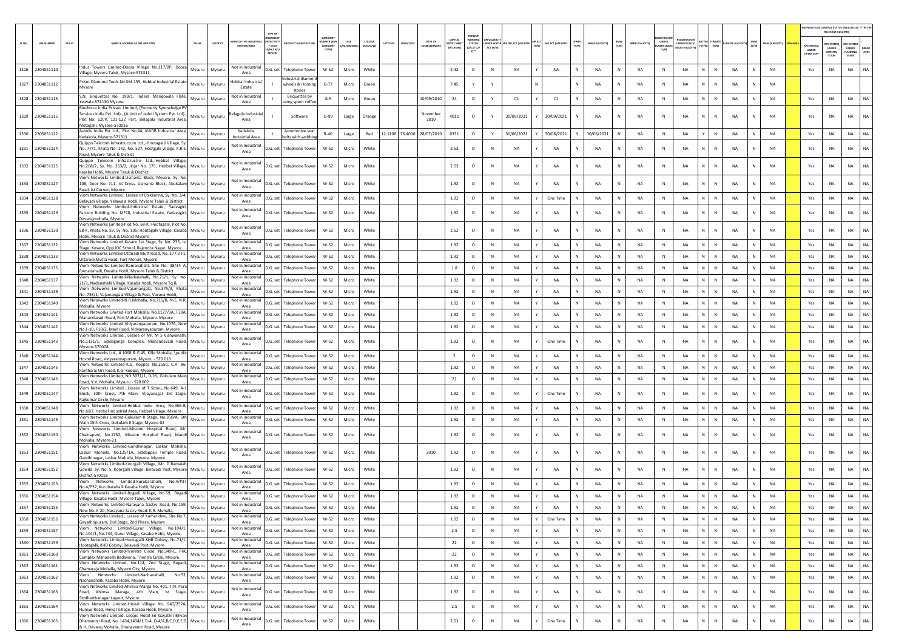|        |                             |                                                                                                                                                                                      |                                               |                                                                   |                                          |           |                              |                            |                                          |                                                  |              |                                 |       |                   |              |                |              |                       |                            |                                                            |                           |             |              |                      | AIR POLLUTION CONTROL STATUS (INDICATE AS "Y" IN THI | RELEVANT COLUMN                                      |                                         |               |
|--------|-----------------------------|--------------------------------------------------------------------------------------------------------------------------------------------------------------------------------------|-----------------------------------------------|-------------------------------------------------------------------|------------------------------------------|-----------|------------------------------|----------------------------|------------------------------------------|--------------------------------------------------|--------------|---------------------------------|-------|-------------------|--------------|----------------|--------------|-----------------------|----------------------------|------------------------------------------------------------|---------------------------|-------------|--------------|----------------------|------------------------------------------------------|------------------------------------------------------|-----------------------------------------|---------------|
| SL.NO. | PCB ID<br><b>UIN NUMBER</b> | NAME & ADDRESS OF THE INDUSTRY<br>TALUR<br>DISTRICT                                                                                                                                  | <b>WE OF THE INDL</b><br><b>ESTATES/AREA</b>  | <b>GANISA</b><br><b>ACTIV</b><br>$*(1/M)$<br>B/HC/ H/<br>$CE/C/O$ | CATEGORY<br>ABER (X<br>CATEGORY<br>CODE) | M/S/MICRO | coLour<br>ATITUDI<br>R/0/6/W | DATE OF<br>ESTABLISHME     | CAPITAL<br><b>VEST MEN</b><br>(IN LAKHS) | PRESENT<br>WORKING<br><b>STATUS</b><br>(0/C1/C2/ | ACT (Y/N)    | NDER WATER WATER ACT (VALIDITY) | (Y/N) | AIR ACT (VALIDITY | HWM<br>(Y/N) | HWM (VALIDITY) | BMW<br>(Y/N) | <b>BMW (VALIDITY)</b> | <b>ASTIC RULE</b><br>[Y/N] | <b>FGISTRATI</b><br>UNDER PLASTIC<br><b>NJLES (VALIDI)</b> | (Y/N)<br>(Y/N)            | WASTE (VALI | MSW<br>(Y/N) | <b>MSW (VALIDITY</b> | <b>APC SYSTER</b><br>UNDER<br>OPERATIO               | <b>PC SYSTEM</b><br><b>UNDER</b><br>CONSTRU<br>CTION | APC SYSTER<br>UNDER<br>LANNING<br>STAGE | DEFA<br>LTERS |
|        | 1326 2304051110             | Indus Towers Limited-Doora Village No.117/2P, Doora<br>Mysuru<br>Mysuru<br>Village, Mysore Taluk, Mysore-571311                                                                      | Not in Industrial<br>Area                     | D.G. set Telephone Tower                                          | W-52                                     | Micro     | White                        |                            | 2.42                                     | $\circ$                                          | $\,$ N       | NA                              |       | NA                | N            | <b>NA</b>      | N            | NA                    | $\,$ N                     | NA                                                         | N<br>${\sf N}$            | NA          | N            | <b>NA</b>            | Yes                                                  | NA                                                   | <b>NA</b>                               | <b>NA</b>     |
|        | 1327 2304051112             | Prism Diamond Tools No.SM-155, Hebbal Industrial Estate<br>Mysuru<br>Mysuru                                                                                                          | lebbal Industria                              | ndustrial diamon<br>wheels & Horning                              | $G-77$                                   | Micro     | Green                        |                            | 7.45                                     | Y                                                |              |                                 |       |                   | N            | <b>NA</b>      | N            | NA                    | N                          | <b>NA</b>                                                  | N.<br>$\mathbb{N}$        | NA          |              | <b>NA</b>            |                                                      |                                                      |                                         |               |
|        | 1328 2304051113             | Mysore<br>S.N. Briquettes No. 199/1, Indera Marigowda Flate,<br>Mysuru<br>Mysuru                                                                                                     | Estate<br>Not in Industrial                   | stones<br><b>Briquettes by</b>                                    | $G-5$                                    | Micro     | Green                        | 10/09/2010                 | 24                                       | $\circ$                                          | Y            | C1                              |       | C1                | N            | NA             | N            | NA                    | N                          | NA                                                         | N<br>${\sf N}$            | NA          | N            | NA                   | Yes                                                  | NA                                                   | NA                                      |               |
|        |                             | elwala-571130 Mysore<br>Bioclinica India Private Limited, (Formerly Synowledge PV                                                                                                    | Area                                          | using spent coffee                                                |                                          |           |                              |                            |                                          |                                                  |              |                                 |       |                   |              |                |              |                       |                            |                                                            |                           |             |              |                      |                                                      |                                                      |                                         |               |
|        | 1329 2304051115             | Services India Pvt. Ltd)., (A Unit of Jadoli System Pvt. Ltd).<br>Mysuru<br>Mysuru<br>Plot No. 120P, 121-122 Part, Belagola Industrial Area,<br>Metagalli, Mysore-570016             | elagola Industria<br>Area                     | Software                                                          | $O-99$                                   | Large     | Orange                       | Novembe<br>2010            | 4012                                     | $\circ$                                          |              | 30/09/2021                      |       | 30/09/2021        |              | <b>NA</b>      | N            | NA                    | N                          | <b>NA</b>                                                  | N<br>$\mathbb N$          | <b>NA</b>   |              | <b>NA</b>            | Yes                                                  | NA                                                   | NA                                      | NA            |
|        | 1330 2305051122             | Autoliv India Pvt Ltd., Plot No.44, KIADB Industrial Area,<br>Mysuru<br>Mysuru<br>Kadakola, Mysore-571311                                                                            | Kadakola<br>Industrial Area                   | Automotive seat<br>helts with webbi                               | $R-40$                                   | Large     | Red                          | 12.1100 76.4000 28/07/2010 | 6331                                     | $\circ$                                          |              | 30/06/2021                      |       | 30/06/2021        |              | 30/06/2021     | N            | NA                    | N                          | NA                                                         | N                         | NA          |              | NA                   | Yes                                                  | NA                                                   | NA                                      | NA            |
|        | 1331 2304051124             | Quippo Telecom Infrastructure Ltd.,-Hootagalli Village, Sy<br>Mysuru<br>No. 77/1, Khata No. 142, No. 527, Hootgalli village, K.R.S.<br>Mysuru<br>Road, Mysore Taluk & District       | Not in Industria<br>Area                      | .G. set<br>Telephone Tower                                        | W-52                                     | Micro     | White                        |                            | 2.53                                     | $\circ$                                          | N            | NA                              |       | <b>NA</b>         |              | NA             | N            | NA                    | N                          | NA                                                         | N<br>${\sf N}$            | NA          | N            | <b>NA</b>            | Yes                                                  | NA                                                   | NA                                      | <b>NA</b>     |
|        | 1332 2304051125             | Quippo Telecom Infrastructre Ltd.,-Hebbal Village,<br>No.268/2, Sy. No. 263/2, Jinjar No. 175, Hebbal Village,<br>Mysuru<br>Mysuru<br>Kasaba Hobli, Mysore Taluk & District          | Not in Industria<br>Area                      | D.G. set<br><b>Telephone Tower</b>                                | W-52                                     | Micro     | White                        |                            | 2.53                                     | $\circ$                                          | N            | NA                              |       | NA                | N            | <b>NA</b>      | N            | NA                    | N                          | <b>NA</b>                                                  | ${\sf N}$<br>N            | NA          | N            | <b>NA</b>            | Yes                                                  | <b>NA</b>                                            | <b>NA</b>                               | <b>NA</b>     |
|        | 1333 2304051127             | Viom Networks Limited-Usmania Block, Mysore. Sy. No<br>108, Door No. 711, Ist Cross, Usmania Block, Abukalam<br>Mysuru<br>Mysuru<br>Road, Ist Corner, Mysore                         | Not in Industrial<br>Area                     | D.G. set l<br><b>Telephone Tower</b>                              | W-52                                     | Micro     | White                        |                            | 1.92                                     | $\circ$                                          | $\mathbb N$  | <b>NA</b>                       |       | <b>NA</b>         | N            | <b>NA</b>      | N            | <b>NA</b>             | N                          | <b>NA</b>                                                  | $\mathbb N$<br>N          | <b>NA</b>   |              | <b>NA</b>            | Yes                                                  | NA                                                   | <b>NA</b>                               | NA            |
|        | 1334 2304051128             | Viom Networks Limited., Lessee of Chikkanna, Sy. No. 3/4,<br>Mysuru<br>Mysuru<br>Belavadi Village, Yelawala Hobli, Mysore Taluk & District                                           | Not in Industria<br>Area                      | D.G. set<br>Telephone Tower                                       | W-52                                     | Micro     | White                        |                            | 1.92                                     | $\circ$                                          | $\mathbb{N}$ | <b>NA</b>                       |       | One Time          | N.           | <b>NA</b>      | N            | NA                    | N                          | NA                                                         | N.<br>$\mathbb{N}$        | NA          | N            | <b>NA</b>            | Yes                                                  | NA                                                   | <b>NA</b>                               | <b>NA</b>     |
|        | 1335 2304051129             | Viom Networks Limited-Industrial Estate, Yadvagir<br>Factory Building No. MF18, Industrial Estate, Yadavagiri,<br>Mysuru<br>Mysuru<br>Devarajmohalla, Mysore                         | Not in Industrial<br>Area                     | D.G. set l<br><b>Telephone Tower</b>                              | W-52                                     | Micro     | White                        |                            | 1.92                                     | $\circ$                                          | N            | <b>NA</b>                       |       | <b>NA</b>         | N            | <b>NA</b>      | N            | NA                    | N                          | <b>NA</b>                                                  | N<br>N                    | <b>NA</b>   |              | <b>NA</b>            | Yes                                                  | NA                                                   | <b>NA</b>                               | <b>NA</b>     |
|        | 1336 2304051130             | Viom Networks Limited-Plot No. 68-K, Hootagalli, Plot No.<br>68-K, Khata No. 59, Sy. No. 105, Hootagalli Village, Kasaba Mysuru<br>Mysuru                                            | Not in Industria<br>Area                      | D.G. set Telephone Tower                                          | $W-52$                                   | Micro     | White                        |                            | 2.52                                     | $\circ$                                          | N            | NA                              |       | <b>NA</b>         | N            | <b>NA</b>      | N            | <b>NA</b>             | N                          | <b>NA</b>                                                  | N.<br>N                   | NA          | N            | <b>NA</b>            | Yes                                                  | NA                                                   | <b>NA</b>                               | <b>NA</b>     |
|        | 1337 2304051132             | Hobli, Mysore Taluk & District Mysore<br>Viom Networks Limited-Kesare 1st Stage, Sy. No. 235, Ist<br>Mysuru<br>Mysuru                                                                | Not in Industria                              | D.G. set<br><b>Telephone Tower</b>                                | W-52                                     | Micro     | White                        |                            | 1.92                                     | $\circ$                                          | ${\sf N}$    | NA                              |       | NA                |              | <b>NA</b>      | N            | NA                    | ${\sf N}$                  | NA                                                         | N<br>N                    | NA          |              | NA                   | Yes                                                  | NA                                                   | NA                                      | NA            |
|        | 1338 2304051133             | Stage, Kesare, Opp IOC School, Rajendra Nagar, Mysore<br>Viom Networks Limited-Uttaradi Mutt Road, No. 177:2 F1,<br>Mysuru<br>Mysuru<br>Uttaradi Mutta Road, Fort Mohall. Mvsore     | Area<br>Not in Industria<br>Area              | D.G. set Telephone Tower                                          | W-52                                     | Micro     | White                        |                            | 1.92                                     | $\circ$                                          | $\mathbb{N}$ | <b>NA</b>                       |       | <b>NA</b>         | N            | <b>NA</b>      | N            | <b>NA</b>             | N                          | <b>NA</b>                                                  | N  <br>$\mathbb{N}$       | <b>NA</b>   | N            | <b>NA</b>            | Yes                                                  | <b>NA</b>                                            | <b>NA</b>                               | NA            |
|        | 1339 2304051135             | Viom Networks Limited-Ramanahalli, Site No. 38/34 A<br>Mysuru<br>Mysuru<br>Ramanahalli, Dasaba Hobli, Mysore Taluk & District                                                        | Not in Industria<br>Area                      | D.G. set<br><b>Telephone Tower</b>                                | W-52                                     | Micro     | White                        |                            | 1.8                                      | $\circ$                                          | N            | NA                              |       | NA                | N            | <b>NA</b>      | N            | NA                    | N                          | NA                                                         | N I<br>N                  | NA          | N            | <b>NA</b>            | Yes                                                  | NA                                                   | NA                                      | <b>NA</b>     |
|        | 1340 2304051137             | Viom Networks Limited-Nadanahalli, No.21/1, Sv. No.<br>Mysuru<br>Mysuri<br>21/1, Nadanahalli Village, Kasaba Hobli, Mysore Tq &                                                      | Not in Industrial<br>Area                     | D.G. set<br><b>Telephone Towe</b>                                 | $W-52$                                   | Micro     | White                        |                            | 1.92                                     | $\circ$                                          | N            | NA                              |       | <b>NA</b>         |              | <b>NA</b>      | N            | NA                    | N                          | NA                                                         | N.<br>N                   | NA          |              | NA                   | Yes                                                  | NA                                                   | NA                                      | NA            |
|        | 1341 2304051139             | Viom Networks Limited-Vajamangala, No.375/3, Khata<br>Mysuru<br>Mysuru<br>No. 738/1, Vajamangala Village & Post, Varuna Hobli,                                                       | Not in Industria<br>Area                      | D.G. set<br><b>Telephone Towe</b>                                 | W-52                                     | Micro     | White                        |                            | 1.92                                     | $\circ$                                          | $\mathbb{N}$ | <b>NA</b>                       |       | <b>NA</b>         | N            | <b>NA</b>      | N            | NA                    | $\mathbb{N}$               | <b>NA</b>                                                  | N  <br>$\mathbb{N}$       | <b>NA</b>   | N            | <b>NA</b>            | Yes                                                  | <b>NA</b>                                            | <b>NA</b>                               | NA            |
|        | 1342 2304051140             | Viom Netowrks Limited-N.R.Mohalla, No.215/B, N-E, N.R.<br>Mysuru<br>Mysuru<br>Mohalla, Mysore                                                                                        | Not in Industrial                             | D.G. set<br><b>Telephone Tower</b>                                | W-52                                     | Micro     | White                        |                            | 1.92                                     | $\circ$                                          | ${\sf N}$    | NA                              |       | NA                | N            | <b>NA</b>      | N            | NA                    | $\,$ N                     | NA                                                         | N                         | NA          |              | <b>NA</b>            | Yes                                                  | NA                                                   | NA                                      | NA.           |
|        | 1343 2304051141             | Viom Networks Limited-Fort Mohalla, No.1127/3A, F30A,<br>Mysuru<br>Mysuru<br>Manandavadi Road, Fort Mohalla, Mysore. Mysore                                                          | Area<br>Not in Industria                      | D.G. set  <br><b>Telephone Towe</b>                               | $W-52$                                   | Micro     | White                        |                            | 1.92                                     | $\circ$                                          | $\mathbb N$  | <b>NA</b>                       |       | <b>NA</b>         | N            | <b>NA</b>      | N            | NA                    | N                          | NA                                                         | N.<br>$\mathbb{N}$        | NA          |              | <b>NA</b>            | Yes                                                  | <b>NA</b>                                            | <b>NA</b>                               | NA            |
|        | 1344 2304051142             | /iom Networks Limited-Vidyaranyapuram, No.1076, New<br>Mysuru<br>Mysuru<br>No.F-10, F10/2, Main Road, Vidyaranyapuram, Mysore                                                        | Area<br>Not in Industri<br>Area               | D.G. set Telephone Tower                                          | W-52                                     | Micro     | White                        |                            | 1.92                                     | $\circ$                                          | N            | NA                              |       | <b>NA</b>         | N            | NA             | N            | NA                    | N                          | <b>NA</b>                                                  | N<br>N                    | NA          | N            | <b>NA</b>            | Yes                                                  | NA                                                   | NA                                      | <b>NA</b>     |
|        | 1345 2304051143             | /iom Networks Limited., Lessee of Mr. M S Vishwanath<br>No.1131/1, Siddaganga Complex, Manandavadi Road,<br>Mysuru<br>Mysuru<br>Mysore-570008.                                       | Not in Industria<br>Area                      | D.G. set<br><b>Telephone Towe</b>                                 | W-52                                     | Micro     | White                        |                            | 1.92                                     | $\circ$                                          | N            | NA                              |       | One Time          | N            | <b>NA</b>      | N            | <b>NA</b>             | $\mathbb{N}$               | <b>NA</b>                                                  | N.<br>$\mathbb{N}$        | NA          | N            | <b>NA</b>            | Yes                                                  | <b>NA</b>                                            | <b>NA</b>                               | NA            |
|        | 1346 2304051144             | /iom Networks Ltd., # 1068 & F-45, Kille Mohalla, \public<br>Mysuru<br>Mysuru<br>lostel Road, Vidyaranyapuram, Mysuru - 570 018                                                      | Not in Industri<br>Area                       | D.G. set<br><b>Telephone Tower</b>                                | W-52                                     | Micro     | White                        |                            | $\overline{2}$                           | $\circ$                                          | N            | NA                              |       | NA                | N            | NA             | N            | NA                    | N                          | <b>NA</b>                                                  | N<br>N                    | NA          | N            | <b>NA</b>            | Yes                                                  | NA                                                   | NA                                      | <b>NA</b>     |
|        | 1347 2304051145             | /iom Networks Limited-K.G. Koppal, No.2550, C.H. 86,<br>Mysuru<br>Mysuri                                                                                                             | Not in Industrial<br>Area                     | D.G. set<br><b>Telephone Towe</b>                                 | W-52                                     | Micro     | White                        |                            | 1.92                                     | $\circ$                                          | N            | NA                              |       | NA                |              | <b>NA</b>      | N            | NA                    | N                          | NA                                                         | N<br>N                    | NA          |              | NA                   | Yes                                                  | NA                                                   | NA                                      | NA            |
|        | 1348 2304051146             | Kantharaj Urs Road, K.G. Koppal, Mysore<br>Viom Networks Limited, NO:3021/1, D-26, Gokulam Mair<br>Mysuru<br>Mysuru<br>Road, V.V. Mohalla, Mysuru - 570 002                          | Not in Industria<br>Area                      | D.G. set<br><b>Telephone Tower</b>                                | W-52                                     | Micro     | White                        |                            | 22                                       | $\circ$                                          | $\mathbb N$  | <b>NA</b>                       |       | <b>NA</b>         | $\mathbb{N}$ | <b>NA</b>      | N            | NA                    | N                          | <b>NA</b>                                                  | N  <br>${\sf N}$          | <b>NA</b>   | N            | <b>NA</b>            | Yes                                                  | <b>NA</b>                                            | <b>NA</b>                               | <b>NA</b>     |
|        | 1349 2304051147             | Viom Networks Limited., Lessee of T Somu, No.649, A-:<br>Block, 10th Cross, 7th Main, Vijayanagar 3rd Stage,<br>Mysuru<br>Mysuru                                                     | Not in Industrial<br>Area                     | D.G. set<br><b>Telephone Towe</b>                                 | W-52                                     | Micro     | White                        |                            | 1.92                                     | $\circ$                                          | N            | <b>NA</b>                       |       | One Time          | N            | <b>NA</b>      | N            | NA                    | N                          | <b>NA</b>                                                  | N                         | NA          |              | <b>NA</b>            | Yes                                                  | NA                                                   | NA                                      | NA.           |
|        | 1350 2304051148             | Rajkumar Circle, Mysore<br>Viom Networks Limited-Hebbal Indu. Area, No.306-B,<br>Mysuru<br>Mysuru                                                                                    | Not in Industri                               | D.G. set<br><b>Telephone Towe</b>                                 | $W-52$                                   | Micro     | White                        |                            | 1.92                                     | $\circ$                                          | $\mathbb{N}$ | <b>NA</b>                       |       | <b>NA</b>         | N            | <b>NA</b>      | N            | NA                    | $\mathbb{N}$               | <b>NA</b>                                                  | N<br>$\mathbb{N}$         | <b>NA</b>   | N            | <b>NA</b>            | Yes                                                  | NA                                                   | <b>NA</b>                               | <b>NA</b>     |
|        | 1351 2304051149             | No.6&7, Hebbal Industrial Area, Hebbal Village, Mysore<br>Viom Networks Limited-Gokulam II Stage, No.350/A, 5th<br>Mysuru<br>Mysuru                                                  | Area<br>Not in Industrial                     | D.G. set Telephone Tower                                          | W-52                                     | Micro     | White                        |                            | 1.92                                     | $\circ$                                          | N            | <b>NA</b>                       |       | <b>NA</b>         | N            | <b>NA</b>      | N            | NA                    | N                          | NA                                                         | $\mathbb{N}$<br>N         | NA          | N            | <b>NA</b>            | Yes                                                  | NA                                                   | <b>NA</b>                               | NA            |
|        |                             | Main 15th Cross, Gokulam II Stage, Mysore-02<br>Viom Networks Limited-Mission Hospital Road, Mr.                                                                                     | Area<br>Not in Industria                      |                                                                   |                                          |           |                              |                            |                                          |                                                  |              |                                 |       |                   |              |                |              |                       |                            |                                                            | N<br>$\mathbb N$          |             | N            | <b>NA</b>            |                                                      |                                                      | <b>NA</b>                               | NA            |
|        | 1352 2304051150             | Chakrapani, No.1762, Mission Hospital Road, Mandi Mysuru<br>Mysuru<br>Mohalla, Mysore-21<br>Viom Networks Limited-Gandhinagar, Laskar Mohalla,                                       | Area<br>Not in Industrial                     | D.G. set l<br><b>Telephone Towe</b>                               | W-52                                     | Micro     | White                        |                            | 1.92                                     | $\circ$                                          | N            | <b>NA</b>                       |       | <b>NA</b>         | N            | <b>NA</b>      | N            | NA                    | N                          | NA                                                         |                           | NA          |              |                      | Yes                                                  | NA                                                   |                                         |               |
|        | 1353 2304051151             | Laskar Mohalla, No.L25/1A, Siddappaii Temple Road,<br>Mysuru<br>Mysuru<br>Gandhinagar, Laskar Mohalla, Mysore. Mysore<br>Viom Networks Limited-Koorgalli Village, Mr. D.Ramaiał      | Area                                          | <b>Telephone Tower</b><br>D.G. set                                | $W-52$                                   | Micro     | White                        | 2010                       | 1.92                                     | $\circ$                                          | ${\sf N}$    | <b>NA</b>                       |       | NA                |              | <b>NA</b>      | N            | NA                    | N                          | <b>NA</b>                                                  | $\mathsf{N}$              | <b>NA</b>   |              | <b>NA</b>            | Yes                                                  | NA                                                   | NA                                      | <b>NA</b>     |
|        | 1354 2304051152             | Gowda, Sy. No. 5, Koorgalli Village, Belavadi Post, Mysore<br>Mysuru<br>Mysuru<br>District-570018<br>/iom Networks Limited-Kurubarahalli,<br>No.4/P37                                | Not in Industria<br>Area<br>Not in Industrial | D.G. set<br>Telephone Tower                                       | $W-52$                                   | Micro     | White                        |                            | 1.92                                     | $\circ$                                          | N            | NA                              |       | <b>NA</b>         | N            | NA             | N            | NA                    | N                          | <b>NA</b>                                                  | N<br>N                    | NA          | N            | <b>NA</b>            | Yes                                                  | NA                                                   | NA                                      | NA            |
|        | 1355 2304051153             | Mysuru<br>Mysuru<br>No.4/P37, Kurubarahalli Kasaba Hobli, Mysore<br>Viom Networks Limited-Bogadi Village, No.59, Bogadi                                                              | Area<br>Not in Industrial                     | D.G. set<br><b>Telephone Towe</b>                                 | W-52                                     | Micro     | White                        |                            | 1.92                                     | $\circ$                                          | N            | NA                              |       | NA                |              | <b>NA</b>      | N            | NA                    | N                          | NA                                                         | N.<br>N                   | NA          |              | NA                   | Yes                                                  | NA                                                   | NA                                      | NA            |
|        | 1356 2304051154             | Mysuru<br>Mysuru<br>Village, Kasaba Hobli, Mysore Taluk, Mysore<br>Viom Networks Limited-Narayana Sastry Road, No.159,                                                               | Area<br>Not in Industrial                     | D.G. set Telephone Tower                                          | W-52                                     | Micro     | White                        |                            | 1.92                                     | $\circ$                                          | $\mathbb{N}$ | NA                              |       | <b>NA</b>         |              | <b>NA</b>      | N            | NA                    | $\mathbb{N}$               | <b>NA</b>                                                  | N<br>$\mathbb{N}$         | <b>NA</b>   |              | <b>NA</b>            | Yes                                                  | NA                                                   | <b>NA</b>                               | <b>NA</b>     |
|        | 1357 2304051155             | Mysuru Mysuru<br>New No. K-20, Narayana Sastry Road, K.R. Mohalla,<br>Viom Networks Limited., Lessee of Kumaridevi, Site No.7,                                                       | Area<br>Not in Industrial                     | D.G. set Telephone Tower                                          | W-52                                     | Micro     | White                        |                            | 1.92                                     | $\circ$                                          | N            | - NA                            |       | NA.               | N I          | - NA           | -N           | - NA                  | N                          | - NA                                                       | NI<br>-N                  | NA          | N.           | NA.                  | Yes                                                  | NA.                                                  | - NA                                    | NA.           |
|        | 1358 2304051156             | Mysuru<br>Mysuru<br>Gayathripuram, 2nd Stage, 2nd Phase, Mysore<br>Viom Networks Limited-Gurur Village, No.104/1,                                                                    | Area<br>Not in Industrial                     | D.G. set Telephone Tower                                          | $W-52$                                   | Micro     | White                        |                            | 1.92                                     | $\circ$                                          | N            | NA                              |       | One Time          | N            | <b>NA</b>      | N            | NA                    | N                          | NA                                                         | N<br>$\,$ N               | NA          | N            | <b>NA</b>            | Yes                                                  | NA                                                   | <b>NA</b>                               | NA            |
|        | 1359 2304051157             | Mysuru<br>Mysuru<br>No.104/1, No.744, Gurur Village, Kasaba Hobli, Mysore.<br>Viom Networks Limited-Hootagalli KHB Colony, No.71/1,                                                  | Area<br>Not in Industrial                     | D.G. set Telephone Tower                                          | W-52                                     | Micro     | White                        |                            | 2.5                                      | $\circ$                                          | N            | NA                              |       | NA                | N            | <b>NA</b>      | N            | NA                    | N                          | NA                                                         | $N$ $N$                   | NA          | N            | <b>NA</b>            | Yes                                                  | NA                                                   | <b>NA</b>                               | NA            |
|        | 1360 2304051159             | Mysuru<br>Mysuru<br>Hootagalli, KHB Colony, Belavadi Post, Mysore<br>Viom Networks Limited-Trinetra Circle, No.349-C, PHC                                                            | Area<br>Not in Industrial                     | D.G. set Telephone Tower                                          | W-52                                     | Micro     | White                        |                            | 22                                       | $\circ$                                          | $\,$ N       | NA                              |       | NA                | $\mathbb N$  | <b>NA</b>      | N            | NA                    | $\,$ N                     | NA                                                         | N<br>$\mathbb N$          | NA          | ${\sf N}$    | <b>NA</b>            | Yes                                                  | NA                                                   | <b>NA</b>                               | <b>NA</b>     |
|        | 1361 2304051160             | Mysuru<br>Mysuru<br>Complex Mahadesh Badavena, Trientra Circle, Mysore.<br>Viom Networks Limited, No.114, 2nd Stage, Bogadi,                                                         | Area<br>Not in Industrial                     | D.G. set Telephone Tower                                          | W-52                                     | Micro     | White                        |                            | 22                                       | $\circ$                                          | N            | NA                              |       | NA                | N            | NA             | ${\sf N}$    | NA                    | $\,$ N                     | NA                                                         | $N$ $N$                   | <b>NA</b>   | N            | NA                   | Yes                                                  | NA                                                   | <b>NA</b>                               | NA            |
|        | 1362 2304051161             | Mysuru<br>Mysuru<br>Chamaraja Mohalla, Mysore City, Mysore<br>Viom Networks Limited-Nachanahalli, No.52, Mysuru                                                                      | Area<br>Not in Industrial                     | D.G. set Telephone Tower                                          | W-52                                     | Micro     | White                        |                            | 1.92                                     | $\circ$                                          | N            | NA                              |       | <b>NA</b>         | N            | NA             | N            | NA                    | N                          | NA                                                         | $N$ $N$                   | NA          | N            | <b>NA</b>            | Yes                                                  | NA                                                   | <b>NA</b>                               | NA            |
|        | 1363 2304051162             | Mysuru<br>Nachanahalli, Kasaba Hobli, Mysore<br>Viom Networks Limited-Ahimsa Marga No. 401, T.N. Pura                                                                                | Area                                          | D.G. set Telephone Tower                                          | W-52                                     | Micro     | White                        |                            | 1.92                                     | $\circ$                                          | $\,$ N       | NA                              |       | NA                | N            | NA             | N            | NA                    | N                          | NA                                                         | $\mathsf{N}=\mathsf{N}$ . | NA          | N            | NA                   | Yes                                                  | NA                                                   | <b>NA</b>                               | NA            |
|        | 1364 2304051163             | Road, Ahimsa Maraga, 4th Main, Ist Stage, Mysuru<br>Mysuru<br>Siddharthanagar Layout, Mysore                                                                                         | Not in Industrial<br>Area                     | D.G. set Telephone Tower                                          | W-52                                     | Micro     | White                        |                            | 1.92                                     | $\circ$                                          | $\,$ N       | NA                              |       | NA                | N            | NA             | N            | NA                    | N                          | NA                                                         | N<br>N                    | NA          | N            | <b>NA</b>            | Yes                                                  | NA                                                   | <b>NA</b>                               | NA            |
|        | 1365 2304051164             | Viom Networks Limited-Hinkal Village No. 947/257A,<br>Mysuru<br>Mysuru<br>Hunsur Road, Hinkal Village, Kasaba Hobli, Mysore                                                          | Not in Industrial<br>Area                     | D.G. set Telephone Tower                                          | $W-52$                                   | Micro     | White                        |                            | 2.5                                      | $\circ$                                          | N            | NA                              |       | NA                | N            | NA             | N            | NA                    | N                          | NA                                                         | N<br>$\,$ N               | NA          | N            | NA                   | Yes                                                  | NA                                                   | NA                                      | NA            |
|        | 1366 2304051165             | Viom Networks Limited, Lessee Hotel Sri Gayathri Bhvan<br>Dhanvantri Road, No. 1434,1434/1 D-4, D-4/A,B,C,D,E,F,G Mysuru<br>Mysuru<br>& H, Devaraj Mohalla, Dhanavantri Road, Mysore | Not in Industrial<br>Area                     | D.G. set Telephone Tower                                          | W-52                                     | Micro     | White                        |                            | 2.53                                     | $\circ$                                          | ${\sf N}$    | NA                              |       | One Time          | N            | NA             | N            | NA                    | $\,$ N                     | NA                                                         | N<br>${\sf N}$            | NA          | N            | NA                   | Yes                                                  | $_{\sf NA}$                                          | NA                                      | $_{\sf NA}$   |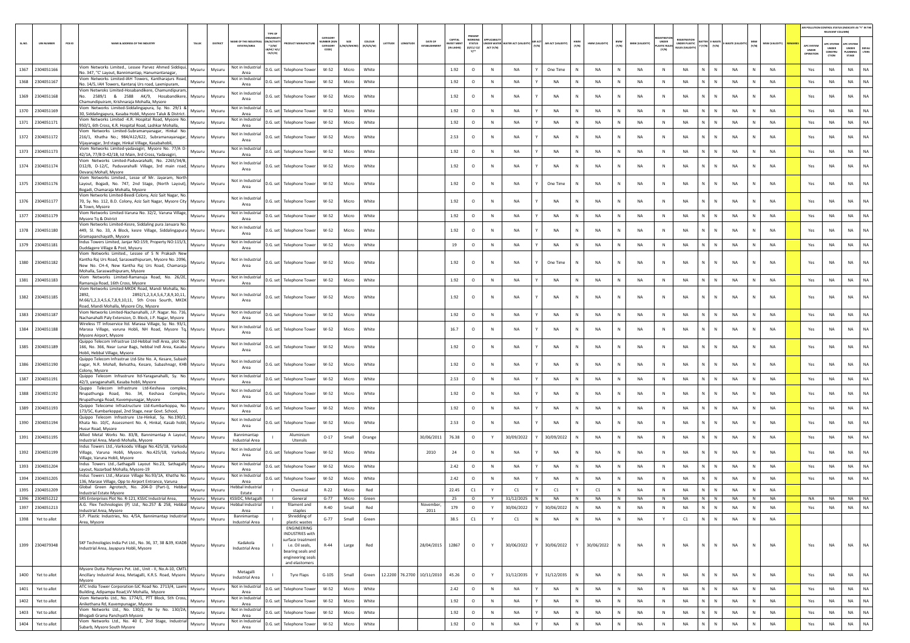|        |                                    |        |                                                                                                                                                                                 |          |                                              |                                                |                                                                                                |                                                  |                          |                     |         |                            |                                         |                                                                  |              |                    |                  |                     |                 |              |                       |                                     |                                                  |                                       |                        |              |                        |                                         | AIR POLLUTION CONTROL STATUS (INDICATE AS "Y" IN THE                      |                                        |               |
|--------|------------------------------------|--------|---------------------------------------------------------------------------------------------------------------------------------------------------------------------------------|----------|----------------------------------------------|------------------------------------------------|------------------------------------------------------------------------------------------------|--------------------------------------------------|--------------------------|---------------------|---------|----------------------------|-----------------------------------------|------------------------------------------------------------------|--------------|--------------------|------------------|---------------------|-----------------|--------------|-----------------------|-------------------------------------|--------------------------------------------------|---------------------------------------|------------------------|--------------|------------------------|-----------------------------------------|---------------------------------------------------------------------------|----------------------------------------|---------------|
| SL.NO. | <b>UIN NUMBER</b>                  | PCB ID | <b>IAME &amp; ADDRESS OF THE INDUSTR</b><br>TALUR                                                                                                                               | DISTRICT | AME OF THE INDUSTR<br><b>ESTATES/AREA</b>    | N/ACTIVIT<br>$*$ (i/M/<br>8/HC/ H/L<br>CE/C/O) |                                                                                                | CATEGOR<br><b>IMBER DOG</b><br>CATEGORY<br>CODE) | SIZE<br><b>M/S/MICRO</b> | coLour<br>(R/O/G/W) | ATITUDE | DATE OF<br>ESTABLISHMI     | CAPITAL<br><b>EST MEN</b><br>(IN LAKHS) | PRESENT<br><b>WORKIN</b><br>STATUS<br>(0/C1/ C2/<br>$v^{\ldots}$ | ACT (Y/N)    |                    | AIR ACT (VALIDIT | <b>HWM</b><br>(Y/N) | HWM (VALIDITY   | BMW<br>(Y/N) | <b>BMW (VALIDITY)</b> | UNDER<br><b>ASTIC RULE</b><br>(Y/N) | <b>IEGISTRATI</b><br>NDER PLASTIC<br>ULES (VALID | <b>TTER E-WAST</b><br>$(Y/N)$ $(Y/N)$ | <b>NASTE (VA</b>       | (Y/N)        | <b>MSW (VALIDITY</b>   | APC SYSTEI<br><b>UNDER</b><br>IPERATION | RELEVANT COLUMN)<br><b>IPC SYSTER</b><br><b>UNDER</b><br>CONSTRU<br>CTION | APC SYSTE<br>UNDER<br>LANNING<br>STAGE | DEFAL<br>LTER |
|        | 1367 2304051166                    |        | /iom Networks Limited., Lessee Parvez Ahmed Siddiqui,<br>Mysuru<br>No. 347, "C' Layout, Bannimantap, Hanumantanagar                                                             | Mysuru   | Not in Industrial<br>Area                    | D.G. set                                       | Telephone Tower                                                                                | W-52                                             | Micro                    | White               |         |                            | 1.92                                    | $\circ$                                                          | N            | NA                 | One Time         |                     | <b>NA</b>       | N            | NA                    | N                                   | NA                                               | N.<br>${\sf N}$                       | NA                     |              | NA                     | Yes                                     | NA                                                                        | NA                                     | NA            |
|        | 1368 2304051167                    |        | Viom Networks Limited-IAH Towers, Kantharajurs Road,<br>Mysuru<br>No. 14/5, IAH Towers, Kantaraj Urs road, Laxmipuram,                                                          | Mysuru   | Not in Industrial<br>Area                    |                                                | D.G. set Telephone Tower                                                                       | W-52                                             | Micro                    | White               |         |                            | 1.92                                    | $\circ$                                                          | N            | NA                 | <b>NA</b>        | $\mathbb{N}$        | <b>NA</b>       | N            | NA                    | N                                   | NA                                               | N<br>$\mathbb N$                      | <b>NA</b>              | N            | <b>NA</b>              | Yes                                     | NA                                                                        | <b>NA</b>                              | <b>NA</b>     |
|        | 1369 2304051168                    |        | Viom Netwroks Limited-Hosabandikere, Chamundipuram<br>lo. 2589/1 & 2588 AK/9, Hosabandikere,<br>Mysuru<br>Chamundipuiram, Krishnaraja Mohalla, Mysore                           | Mysuru   | Not in Industrial<br>Area                    | D.G. set                                       | <b>Telephone Tower</b>                                                                         | $W-52$                                           | Micro                    | White               |         |                            | 1.92                                    | $\circ$                                                          | ${\sf N}$    | <b>NA</b>          | NA               | N                   | <b>NA</b>       | N            | NA                    | N                                   | <b>NA</b>                                        | ${\sf N}$<br>N.                       | NA                     |              | <b>NA</b>              | Yes                                     | NA                                                                        | NA                                     | <b>NA</b>     |
|        | 1370 2304051169                    |        | Viom Networks Limited-Siddalingapura, Sy. No. 29/1 &<br>Mysuru<br>30, Siddalingapura, Kasaba Hobli, Mysore Taluk & District.                                                    | Mysuru   | Not in Industria<br>Area                     | D.G. set                                       | <b>Telephone Tower</b>                                                                         | W-52                                             | Micro                    | White               |         |                            | 1.92                                    | $\circ$                                                          | N            | NA                 | <b>NA</b>        | $\mathbb{N}$        | <b>NA</b>       | N            | NA                    | N                                   | <b>NA</b>                                        | N<br>$\mathbb{N}$                     | NA                     | N            | <b>NA</b>              | Yes                                     | NA                                                                        | NA                                     | NA            |
|        | 1371 2304051171                    |        | Viom Networks Limited -K.R. Hospital Road, Mysore No.<br>Mysuru<br>950/1, 6th Cross, K.R. Hospital Road, Lashkar Mohalla,                                                       | Mysuru   | Not in Industrial<br>Area                    |                                                | D.G. set Telephone Tower                                                                       | W-52                                             | Micro                    | White               |         |                            | 1.92                                    | $\circ$                                                          | $\mathbb{N}$ | <b>NA</b>          | <b>NA</b>        | N                   | <b>NA</b>       | N            | <b>NA</b>             | N                                   | <b>NA</b>                                        | N<br>$\mathbb{N}$                     | <b>NA</b>              | N            | <b>NA</b>              | Yes                                     | NA                                                                        | <b>NA</b>                              | NA            |
|        | 1372 2304051172                    |        | Viom Networks Limited-Subramanyanagar, Hinkal No<br>216/1, Khatha No.; 984/A12/622, Subramanayanagar,<br>Mysuru<br>Vijayanagar, 3rd stage, Hinkal Village, Kasabahobli          | Mysuru   | Not in Industria<br>Area                     | D.G. set                                       | <b>Telephone Tower</b>                                                                         | W-52                                             | Micro                    | White               |         |                            | 2.53                                    | $\circ$                                                          | N            | NA                 | <b>NA</b>        | N                   | <b>NA</b>       | N            | NA                    | N                                   | NA                                               | N.<br>$\mathbb{N}$                    | NA                     |              | <b>NA</b>              | Yes                                     | NA                                                                        | NA                                     | <b>NA</b>     |
|        | 1373 2304051173                    |        | Viom Networks Limited-yadavagiri, Mysore No. 77/A D-<br>Mysuru<br>42/1A, 77/B D-42/1B, Ist Main, 3rd Cross, Yadavagiri,                                                         | Mysuru   | Not in Industria<br>Area                     |                                                | D.G. set Telephone Tower                                                                       | W-52                                             | Micro                    | White               |         |                            | 1.92                                    | $\circ$                                                          | $\mathbb{N}$ | <b>NA</b>          | <b>NA</b>        | N                   | <b>NA</b>       | N            | <b>NA</b>             | N                                   | <b>NA</b>                                        | $\mathbb{N}$<br>N                     | NA                     | N            | <b>NA</b>              | Yes                                     | NA                                                                        | <b>NA</b>                              | NA            |
|        | 1374 2304051174                    |        | Viom Networks Limited-Paduvarahalli, No. 2265/34/B,<br>D12/B, D-12/C, Paduvarahalli Village, 3rd main road,<br>Mysuru<br>Devaraj Mohall, Mysore                                 | Mysuru   | Not in Industrial<br>Area                    | D.G. set                                       | <b>Telephone Tower</b>                                                                         | W-52                                             | Micro                    | White               |         |                            | 1.92                                    | $\circ$                                                          | $\mathbb N$  | NA                 | <b>NA</b>        | N                   | <b>NA</b>       | N            | <b>NA</b>             | N                                   | <b>NA</b>                                        | $\mathbb{N}$<br>N.                    | <b>NA</b>              |              | <b>NA</b>              | Yes                                     | NA                                                                        | <b>NA</b>                              | <b>NA</b>     |
|        | 1375 2304051176                    |        | Viom Networks Limited., Lesse of Mr. Jayaram, North<br>Layout, Bogadi, No. 747, 2nd Stage, (North Layout), Mysuru<br>Bogadi, Chamaraja Mohalla, Mysore                          | Mysuru   | Not in Industrial<br>Area                    | D.G. set                                       | <b>Telephone Tower</b>                                                                         | W-52                                             | Micro                    | White               |         |                            | 1.92                                    | $\circ$                                                          | N            | NA                 | One Time         | N                   | <b>NA</b>       | N            | NA                    | N                                   | NA                                               | $\mathbb N$                           | NA                     |              | <b>NA</b>              | Yes                                     | NA                                                                        | NA                                     | NA            |
|        | 1376 2304051177                    |        | Viom Networks Limited-Beedi Colony, Aziz Sait Nagar, No<br>70, Sy. No. 112, B.D. Colony, Aziz Sait Nagar, Mysore City Mysuru<br>& Town, Mysore                                  | Mysuru   | Not in Industria<br>Area                     | D.G. set                                       | <b>Telephone Tower</b>                                                                         | W-52                                             | Micro                    | White               |         |                            | 1.92                                    | $\circ$                                                          | N            | NA                 | <b>NA</b>        | N                   | <b>NA</b>       | N            | NA                    | N                                   | <b>NA</b>                                        | N<br>${\sf N}$                        | NA                     |              | <b>NA</b>              | Yes                                     | NA                                                                        | NA                                     | NA            |
|        | 1377 2304051179                    |        | Viom Networks Limited-Varuna No. 32/2, Varuna Village,<br>Mysuru<br>Mysore Tg & District                                                                                        | Mysuru   | Not in Industria<br>Area                     | D.G. set                                       | <b>Telephone Tower</b>                                                                         | W-52                                             | Micro                    | White               |         |                            | 1.92                                    | $\circ$                                                          | ${\sf N}$    | NA                 | NA               | $\mathbb N$         | NA              | N            | NA                    | N                                   | NA                                               | N<br>${\sf N}$                        | NA                     | N            | NA                     | Yes                                     | NA                                                                        | NA                                     | NA            |
|        | 1378 2304051180                    |        | Viom Networks Limited-Kesre, Siddaling pura Januara No.<br>449, Sl. No. 33, A Block, kesre Village, Siddalingapura<br>Mysuru                                                    | Mysuru   | Not in Industria<br>Area                     | D.G. set                                       | <b>Telephone Tower</b>                                                                         | W-52                                             | Micro                    | White               |         |                            | 1.92                                    | $\circ$                                                          | N            | NA                 | <b>NA</b>        | N                   | <b>NA</b>       | N            | <b>NA</b>             | N                                   | <b>NA</b>                                        | N.<br>$\mathsf{N}$                    | <b>NA</b>              |              | <b>NA</b>              | Yes                                     | NA                                                                        | <b>NA</b>                              | <b>NA</b>     |
|        | 1379 2304051181                    |        | Gramapanchayath, Mysore<br>ndus Towers Limited, Janiar NO:159, Property NO:115/3,<br>Mysuru<br>Duddagere Village & Post, Mysuru                                                 | Mysuru   | Not in Industrial<br>Area                    |                                                | D.G. set Telephone Tower                                                                       | W-52                                             | Micro                    | White               |         |                            | 19                                      | $\circ$                                                          | N            | NA                 | NA               | N                   | <b>NA</b>       | N            | NA                    | N                                   | NA                                               | N<br>${\sf N}$                        | NA                     | N            | NA                     | Yes                                     | NA                                                                        | NA                                     | NA            |
|        | 1380 2304051182                    |        | Viom Networks Limited., Lessee of S N Prakash New<br>Kantha Raj Urs Road, Saraswathipuram, Mysore No. 2096,<br>Mysuru<br>New No. CH-4, New Kantha Raj Urs Road, Chamaraja       | Mysuru   | Not in Industria<br>Area                     | D.G. set                                       | <b>Telephone Tower</b>                                                                         | W-52                                             | Micro                    | White               |         |                            | 1.92                                    | $\circ$                                                          | N            | NA                 | One Time         | N                   | NA              | N            | NA                    | N                                   | NA                                               | N<br>N                                | NA                     |              | <b>NA</b>              | Yes                                     | NA                                                                        | NA                                     | NA            |
|        | 1381 2304051183                    |        | Mohalla, Saraswathipuram, Mysore<br>/iom Networks Limited-Ramanuja Road, No. 26/2E,<br>Mysuru<br>Ramanuja Road, 16th Cross, Mysore                                              | Mysuru   | Not in Industria<br>Area                     | D.G. set                                       | Telephone Towe                                                                                 | W-52                                             | Micro                    | White               |         |                            | 1.92                                    | $\circ$                                                          | $\mathbb N$  | NA                 | NA               | N                   | NA              | N            | NA                    | $\mathbb N$                         | <b>NA</b>                                        | N<br>N                                | NA                     | N            | NA                     | Yes                                     | NA                                                                        | NA                                     | <b>NA</b>     |
|        | 1382 2304051185                    |        | Viom Networks Limited-MKDK Road, Mandi Mohalla, No.<br>2892.<br>2892/1,2,3,4,5,6,7,8,9,10,11,<br>Mysuru<br>M.66/1,2,3,4,5,6,7,8,9,10,11, 5th Cross Sourth, MKDK                 | Mysuru   | Not in Industrial<br>Area                    |                                                | D.G. set Telephone Tower                                                                       | W-52                                             | Micro                    | White               |         |                            | 1.92                                    | $\circ$                                                          | N            | <b>NA</b>          | <b>NA</b>        | N                   | <b>NA</b>       | N            | <b>NA</b>             | N                                   | <b>NA</b>                                        | N<br>N                                | <b>NA</b>              |              | <b>NA</b>              | Yes                                     | NA                                                                        | <b>NA</b>                              | <b>NA</b>     |
|        | 1383 2304051187                    |        | Road, Mandi Mohalla, Mysore City, Mysore<br>Viom Networks Limited-Nachanahalli, J.P. Nagar. No. 716,<br>Mysuru<br>Nachanahalli Paly Extension, D. Block, J.P. Nagar, Mysore     | Mysuru   | Not in Industria<br>Area                     | D.G. set                                       | <b>Telephone Tower</b>                                                                         | W-52                                             | Micro                    | White               |         |                            | 1.92                                    | $\circ$                                                          | ${\sf N}$    | NA                 | NA               | $\mathbb{N}$        | NA              | N            | NA                    | $\,$ N                              | NA                                               | N<br>$\mathbb N$                      | NA                     | N            | <b>NA</b>              | Yes                                     | NA                                                                        | NA                                     | <b>NA</b>     |
|        | 1384 2304051188                    |        | Wireless TT Infoservice ltd. Marasa Village, Sy. No. 93/1,<br>Marasa Village, varuna Hobli, NH Road, Mysore Tq,<br>Mysuru                                                       | Mysuru   | Not in Industrial                            | D.G. set                                       | <b>Telephone Tower</b>                                                                         | $W-52$                                           | Micro                    | White               |         |                            | 16.7                                    | $\circ$                                                          | N            | NA                 | NA               |                     | <b>NA</b>       | N            | NA                    | N                                   | <b>NA</b>                                        | $\mathsf{N}$                          | NA                     |              | <b>NA</b>              | Yes                                     | NA                                                                        | <b>NA</b>                              | <b>NA</b>     |
|        | 1385 2304051189                    |        | Mysore Airport, Mysore<br>Quippo Telecom Infrastrue Ltd-Hebbal Indl Area, plot No<br>166, No. 366, Near Lunar Bags, hebbal Indl Area, Kasaba Mysuru                             | Mysuru   | Area<br>Not in Industria                     | D.G. set                                       | <b>Telephone Tower</b>                                                                         | W-52                                             | Micro                    | White               |         |                            | 1.92                                    | $\circ$                                                          | N            | NA                 | <b>NA</b>        | N                   | <b>NA</b>       | N            | <b>NA</b>             | N                                   | <b>NA</b>                                        | $\mathsf{N}$                          | <b>NA</b>              |              | <b>NA</b>              | Yes                                     | NA                                                                        | <b>NA</b>                              | <b>NA</b>     |
|        | 1386 2304051190                    |        | Hobli, Hebbal Village, Mysore<br>Quippo Telecom Infrastrue Ltd-Site No. A, Kesare, Subash<br>agar, N.R. Mohall, Belvatha, Kesare, Subashnagr, KHB Mysuru                        | Mysuru   | Area<br>Not in Industrial                    | .G. set                                        | Telephone Tower                                                                                | $W-52$                                           | Micro                    | White               |         |                            | 1.92                                    | $\circ$                                                          | N            | NA                 | NA               | N                   | <b>NA</b>       | N            | NA                    | N                                   | NA                                               | N.<br>${\sf N}$                       | NA                     |              | <b>NA</b>              | Yes                                     | <b>NA</b>                                                                 | NA                                     | <b>NA</b>     |
|        | 1387 2304051191                    |        | Colony, Mysore<br>Quippo Telecom Infrastrure Itd-Yaraganahalli, Sy. No.<br>Mysuru                                                                                               | Mysuru   | Area<br>Not in Industria                     | D.G. set                                       | <b>Telephone Tower</b>                                                                         | $W-52$                                           | Micro                    | White               |         |                            | 2.53                                    | $\circ$                                                          | N            | NA                 | NA               | N                   | NA              | N            | NA                    | N                                   | NA                                               | N<br>${\sf N}$                        | NA                     | N            | NA                     | Yes                                     | NA                                                                        | NA                                     | NA            |
|        | 1388 2304051192                    |        | 42/3, yaraganahalli, Kasaba hobli, Mysore<br>Quppo Telecom Infrastrure Ltd-Keshava complex<br>Irupathunga Road, No. 34, Keshava Complex,<br>Mysuru                              | Mysuru   | Area<br>Not in Industrial<br>Area            | .G. set                                        | <b>Telephone Towe</b>                                                                          | $W-52$                                           | Micro                    | White               |         |                            | 1.92                                    | $\circ$                                                          | N            | NA                 | NA               | N                   | <b>NA</b>       | N            | NA                    | ${\sf N}$                           | NA                                               | N.<br>$\mathbb{N}$                    | NA                     |              | NA                     | Yes                                     | NA                                                                        | NA                                     | NA            |
|        | 1389 2304051193                    |        | Nrupathunga Road, Kuvempunagar, Mysore<br>Quippo Telecome Infrastructure Ltd-Kumbarkoppa, No.<br>Mysuru                                                                         | Mysuru   | Not in Industria                             | D.G. set                                       | Telephone Tower                                                                                | $W-52$                                           | Micro                    | White               |         |                            | 1.92                                    | $\circ$                                                          | ${\sf N}$    | NA                 | NA               | N                   | <b>NA</b>       | N            | NA                    | $\,$ N                              | NA                                               | N<br>$\,$ N                           | NA                     | N            | NA                     | Yes                                     | NA                                                                        | NA                                     | <b>NA</b>     |
|        | 1390 2304051194                    |        | 173/5C, Kumbarkoppal, 2nd Stage, near Govt. School,<br>Quippo Telecom Infrastrure Lte-Hinkal, Sy. No.190/2,<br>Khata No. 10/C, Assessment No. 4, Hinkal, Kasab hobli,<br>Mysuru | Mysuru   | Area<br>Not in Industria                     | .G. set                                        | <b>Telephone Towe</b>                                                                          | W-52                                             | Micro                    | White               |         |                            | 2.53                                    | $\circ$                                                          | N            | NA                 | NA               | N                   | <b>NA</b>       | N            | NA                    | N                                   | NA                                               | N.<br>${\sf N}$                       | NA                     |              | NA                     | Yes                                     | NA                                                                        | NA                                     | <b>NA</b>     |
|        | 1391 2304051195                    |        | Husur Road, Mysore<br>Allied Metal Works No. 83/B, Bannimantap A Layout,<br>Mysuru                                                                                              | Mysuru   | Area<br>Bannimantan                          |                                                | Aluminium                                                                                      | $O-17$                                           | Small                    | Orange              |         | 30/06/2011                 | 76.38                                   | $\circ$                                                          | Y            | 30/09/2022         | 30/09/2022       | N                   | NA              | N            | NA                    | N                                   | NA                                               | N<br>$\mathbb N$                      | NA                     | N            | NA                     | Yes                                     | NA                                                                        | NA                                     | <b>NA</b>     |
|        |                                    |        | Industrial Area, Mandi Mohalla, Mysore<br>Indus Towers Ltd.,-Varkoodu Village No.425/18, Varkodu                                                                                |          | <b>Industrial Area</b><br>Not in Industrial  |                                                | Utensils                                                                                       |                                                  |                          |                     |         |                            |                                         |                                                                  |              |                    |                  |                     |                 |              |                       |                                     |                                                  |                                       |                        |              |                        |                                         |                                                                           |                                        |               |
|        | 1392 2304051199                    |        | Village, Varuna Hobli, Mysore. No.425/18, Varkodu<br>Mysuru<br>Village, Varuna Hobli, Mysore                                                                                    | Mysuru   | Area                                         | D.G. set                                       | Telephone Tower                                                                                | $W-52$                                           | Micro                    | White               |         | 2010                       | 24                                      | $\circ$                                                          | N            | NA                 | NA               |                     | <b>NA</b>       | N            | NA                    | N                                   | NA                                               | N.<br>${\sf N}$                       | NA                     |              | NA                     | Yes                                     | NA                                                                        | NA                                     | <b>NA</b>     |
|        | 1393 2304051204                    |        | Indus Towers Ltd.,-Sathagalli Layout No.23, Sathagally<br>Mysuru<br>Layout, Nazarbad Mohalla, Mysore-19                                                                         | Mysuru   | Not in Industri<br>Area<br>Not in Industrial | D.G. set                                       | <b>Telephone Towe</b>                                                                          | W-52                                             | Micro                    | White               |         |                            | 2.42                                    | $\circ$                                                          | N            | NA                 | NA               | N                   | <b>NA</b>       | N            | NA                    | N                                   | NA                                               | N<br>${\sf N}$                        | <b>NA</b>              | N            | <b>NA</b>              | Yes                                     | NA                                                                        | NA                                     | <b>NA</b>     |
|        | 1394 2304051205                    |        | Indus Towers Ltd.,-Marase Village No.93/1A, Khatha No.<br>Mysuru<br>136, Marase Village, Opp to Airport Entrance, Varuna<br>Global Green Agrotech, No. 204-D (Part-I), Hebba    | Mysuru   | Area<br>Hebbal Industria                     | D.G. set                                       | <b>Telephone Tower</b>                                                                         | $W-52$                                           | Micro                    | White               |         |                            | 2.42                                    | $\circ$                                                          | ${\sf N}$    | NA                 | NA               |                     | <b>NA</b>       | N            | NA                    | $\mathbb{N}$                        | NA                                               | N                                     | NA                     |              | <b>NA</b>              | Yes                                     | NA                                                                        | NA                                     | <b>NA</b>     |
|        | 1395 2304051209<br>1396 2304051212 |        | Mysuru<br>Industrial Estate Mysore<br>SRS Enterprises Plot No. R-121, KSSIC Industrial Area,                                                                                    | Mysuru   | Estate<br>Mysuru Mysuru KSSIDC, Metagalli    |                                                | Chemical<br>General                                                                            | $R-22$<br>$G-77$                                 | Micro<br>Micro           | Red<br>Green        |         |                            | 22.45<br>25                             | C1<br>$\circ$                                                    | Y            | C1<br>31/12/2025 N | C1<br><b>NA</b>  | N                   | C1<br><b>NA</b> | N<br>N       | <b>NA</b><br>NA       | N<br>N                              | <b>NA</b><br><b>NA</b>                           | N<br>N<br>N N                         | <b>NA</b><br><b>NA</b> | N            | <b>NA</b><br><b>NA</b> | NA                                      | NA                                                                        | <b>NA</b>                              | <b>NA</b>     |
|        | 1397 2304051213                    |        | A.G. Flex Technologies (P) Ltd., No.257 & 258. Hebbal<br>Mysuru<br>Industrial Area, Mysore                                                                                      | Mysuru   | <b>Hebbal Industrial</b>                     |                                                | filament and                                                                                   | $R-40$                                           | Small                    | Red                 |         | November.<br>2011          | 179                                     | $\circ$                                                          |              | 30/06/2022         | 30/06/2022       |                     | <b>NA</b>       |              | NA                    | N                                   | <b>NA</b>                                        |                                       | <b>NA</b>              |              | <b>NA</b>              | Yes                                     | NA                                                                        | <b>NA</b>                              |               |
|        | 1398 Yet to allot                  |        | S.P. Plastic Industries, No. 4/5A, Bannimantap Industrial<br>Mysuru<br>Area, Mysore                                                                                             | Mysuru   | Area<br>Bannimantap<br>Industrial Area       |                                                | staples<br>Shredding of<br>plastic wastes                                                      | $G-77$                                           | Small                    | Green               |         |                            | 38.5                                    | C1                                                               | Y            | C1                 | NA               | N                   | NA              | N            | <b>NA</b>             | Y                                   | C1                                               | N<br>$\,$ N                           | NA                     | ${\sf N}$    | NA                     |                                         |                                                                           |                                        |               |
|        |                                    |        |                                                                                                                                                                                 |          |                                              |                                                | ENGINEERING<br><b>INDUSTRIES</b> with                                                          |                                                  |                          |                     |         |                            |                                         |                                                                  |              |                    |                  |                     |                 |              |                       |                                     |                                                  |                                       |                        |              |                        |                                         |                                                                           |                                        |               |
|        | 1399 2304079348                    |        | SKF Technologies India Pvt Ltd., No. 36, 37, 38 &39, KIADB<br>Mysuru<br>Industrial Area, Jayapura Hobli, Mysore                                                                 | Mysuru   | Kadakola<br>Industrial Area                  |                                                | urface treatmen<br>i.e. Oil seals,<br>bearing seals and<br>engineering seals<br>and elastomers | $R-44$                                           | Large                    | Red                 |         | 28/04/2015 12867           |                                         | $\circ$                                                          | Y            | 30/06/2022         | 30/06/2022       | Y.                  | 30/06/2022      | N            | NA                    | N                                   | NA                                               | N<br>N                                | <b>NA</b>              | N            | <b>NA</b>              | Yes                                     | NA                                                                        | <b>NA</b>                              | NA            |
| 1400   | Yet to allot                       |        | Mysore Dutta Polymers Pvt. Ltd., Unit - II, No.A-10, CMTL<br>Ancillary Industrial Area, Metagalli, K.R.S. Road, Mysore. Mysuru<br>Mysore                                        | Mysuru   | Metagalli<br>Industrial Area                 |                                                | Tyre Flaps                                                                                     | $G-105$                                          | Small                    | Green               |         | 12.2200 76.2700 10/11/2010 | 45.26                                   | $\circ$                                                          | Y            | 31/12/2035         | 31/12/2035       | N                   | <b>NA</b>       | N            | NA                    | $\mathsf{N}$                        | NA                                               | N<br>N                                | <b>NA</b>              | N            | NA                     | Yes                                     | NA                                                                        | <b>NA</b>                              | NA            |
| 1401   | Yet to allot                       |        | ATC India Tower Corporation-SJC Road No. 2713/4, Laxmi<br>Mysuru<br>Building, Adipampa Road, VV Mohalla, Mysore                                                                 | Mysuru   | Not in Industrial<br>Area                    |                                                | D.G. set Telephone Tower                                                                       | W-52                                             | Micro                    | White               |         |                            | 2.42                                    | $\circ$                                                          | N            | NA                 | <b>NA</b>        | N                   | <b>NA</b>       | N            | NA                    | N                                   | NA                                               | $N$ $N$                               | <b>NA</b>              | N            | NA                     | Yes                                     | NA                                                                        | <b>NA</b>                              | NA            |
| 1402   | Yet to allot                       |        | Viom Networks Ltd., No. 1774/1, PTT Block, 5th Cross,<br>Mysuru<br>Anikethana Rd, Kuvempunagar, Mysore                                                                          | Mysuru   | Not in Industrial<br>Area                    |                                                | D.G. set Telephone Tower                                                                       | W-52                                             | Micro                    | White               |         |                            | 1.92                                    | $\circ$                                                          | N            | NA                 | NA               | N                   | NA              | N            | NA                    | N                                   | NA                                               | N<br>${\sf N}$                        | NA                     | $\mathsf{N}$ | NA                     | Yes                                     | NA                                                                        | NA                                     | NA            |
| 1403   | Yet to allot                       |        | Viom Networks Ltd., No. 130/2, Re Sy No. 130/2A,<br>Mysuru<br>Bhogadi Grama Panchyath Mysore                                                                                    | Mysuru   | Not in Industria<br>Area                     | D.G. set                                       | <b>Telephone Tower</b>                                                                         | W-52                                             | Micro                    | White               |         |                            | 1.92                                    | $\circ$                                                          | ${\sf N}$    | NA                 | NA               | N                   | NA              | ${\sf N}$    | NA                    | $\,$ N                              | NA                                               | N<br>$\,$ N                           | <b>NA</b>              | N            | NA                     | Yes                                     | NA                                                                        | NA                                     | NA            |
| 1404   | Yet to allot                       |        | Viom Networks Ltd., No. 40 E, 2nd Stage, Industrial<br>Mysuru<br>Subarb, Mysore South Mysore                                                                                    | Mysuru   | Not in Industrial<br>Area                    |                                                | D.G. set Telephone Tower                                                                       | W-52                                             | Micro                    | White               |         |                            | 1.92                                    | $\circ$                                                          | ${\sf N}$    | NA                 | NA               |                     | NA              |              | NA                    | N                                   | NA                                               | N                                     | NA                     |              | NA                     | Yes                                     | $_{\sf NA}$                                                               | <b>NA</b>                              | NA            |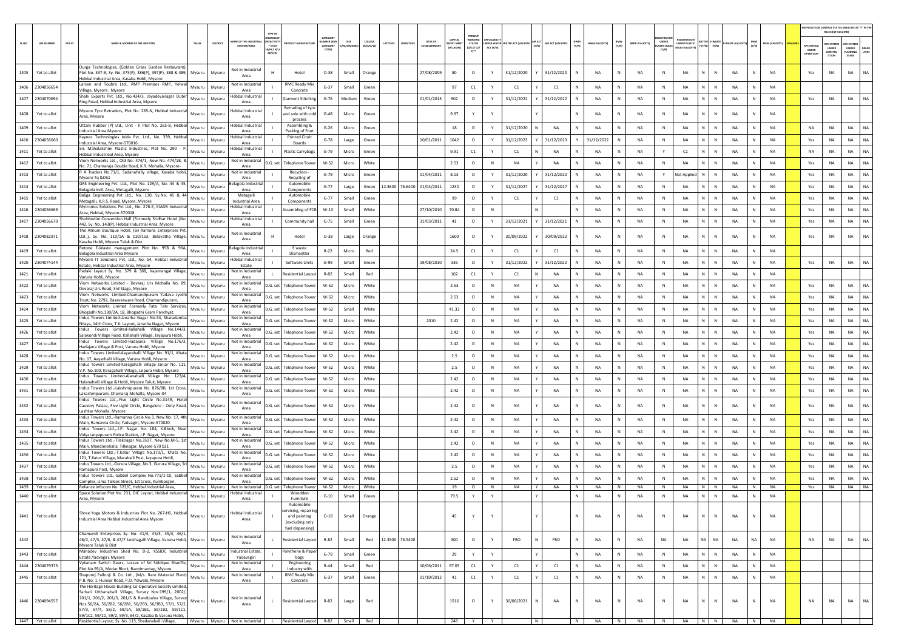|      |                   |        |                                                                                                                                                                                                                                                                                              |               |                |                                      |                               |                                                                                           |                               |           |                     |                 |                                |                                          | PRESENT                    |              |                                        |   |                          |              |                |              |                       |                            |                                                                   |                             |            |       |                       |                                        | AIR POLLUTION CONTROL STATUS (INDICATE AS "Y" IN THI<br>RELEVANT COLUMN |                                         |               |
|------|-------------------|--------|----------------------------------------------------------------------------------------------------------------------------------------------------------------------------------------------------------------------------------------------------------------------------------------------|---------------|----------------|--------------------------------------|-------------------------------|-------------------------------------------------------------------------------------------|-------------------------------|-----------|---------------------|-----------------|--------------------------------|------------------------------------------|----------------------------|--------------|----------------------------------------|---|--------------------------|--------------|----------------|--------------|-----------------------|----------------------------|-------------------------------------------------------------------|-----------------------------|------------|-------|-----------------------|----------------------------------------|-------------------------------------------------------------------------|-----------------------------------------|---------------|
|      | <b>UIN NUMBER</b> | PCB ID | NAME & ADDRESS OF THE INDUSTR'                                                                                                                                                                                                                                                               | TALUK         | <b>DISTRIC</b> | ME OF THE IND<br><b>ESTATES/AREA</b> | $*$ (I/M/<br>B/HC/H<br>CE/C/O |                                                                                           | CATEGORY<br>CATEGORY<br>CODET | 'M/S/MICR | coLous<br>(R/O/G/W) | ATITUDI         | DATE OF<br><b>ESTABLISHMEN</b> | <b>CAPITAL</b><br>VEST MEN<br>(IN LAKHS) | <b>STATUS</b><br>(0/C1/C2) | ACT (Y/N)    | INDER WATER WATER ACT (VALIDITY) (Y/N) |   | <b>UR ACT (VALIDITY)</b> | HWM<br>(Y/N) | HWM (VALIDITY) | BMW<br>(Y/N) | <b>BMW (VALIDITY)</b> | <b>ASTIC RULE</b><br>(Y/N) | <b>FGISTRATI</b><br><b>UNDER PLASTIC</b><br><b>NULES IVALIDIT</b> | ATTER<br>(Y/N)<br>(Y/N)     | WASTE (VAL | (Y/N) | <b>MSW (VALIDITY)</b> | <b>APC SYSTER</b><br>UNDER<br>OPERATIO | <b>PC SYSTEM</b><br><b>UNDER</b><br>CONSTRU<br>CTION                    | APC SYSTER<br>UNDER<br>LANNING<br>STAGE | DEFA<br>LTERS |
| 1405 | Yet to allot      |        | Durga Technologies, (Golden Grass Garden Restaurant),<br>Plot No. 337-B, Sy. No. 375(P), 386(P), 397(P), 388 & 389, Mysuru<br>Hebbal Industrial Area, Kasaba Hobli, Mysore                                                                                                                   |               | Mysuru         | <b>Not in Industrial</b><br>Area     |                               | Hotel                                                                                     | $O-38$                        | Small     | Orange              |                 | 27/08/2009                     | 80                                       | $\circ$                    |              | 31/12/2020                             |   | 31/12/2020               |              | <b>NA</b>      | N            | <b>NA</b>             | N                          | <b>NA</b>                                                         | $\mathsf{N}$                | <b>NA</b>  |       | <b>NA</b>             | Yes                                    | NA                                                                      | NA                                      |               |
| 1406 | 2304056654        |        | Larsen and Toubro Ltd., RMP Premises RMP, Yelwal<br>Village, Mysore. Mysore                                                                                                                                                                                                                  | Mysuru        | Mysuru         | Not in Industria<br>Area             |                               | <b>RMC Ready Mix</b><br>Concrete                                                          | $G-37$                        | Small     | Green               |                 |                                | 97                                       | C1                         | Y            | C1                                     |   | C1                       |              | <b>NA</b>      | N            | NA                    | $\mathbb{N}$               | <b>NA</b>                                                         | N<br>$\mathbb{N}$           | <b>NA</b>  | N     | <b>NA</b>             |                                        |                                                                         |                                         |               |
| 1407 | 2304070694        |        | Shahi Exports Pvt. Ltd., No.434/3, Jayadevanagar Oute<br>Ring Road, Hebbal Industrial Area, Mysore                                                                                                                                                                                           | Mysuru        | Mysuru         | lebbal Industria<br>Area             |                               | <b>Sarment Stitching</b>                                                                  | $G-76$                        | Medium    | Green               |                 | 01/01/2013                     | 902                                      | $\circ$                    | Y            | 31/12/2022                             |   | 31/12/2022               |              | <b>NA</b>      | N            | NA                    | N                          | NA                                                                | N                           | <b>NA</b>  |       | NA                    | Yes                                    | NA                                                                      | NA                                      |               |
| 1408 | Yet to allot      |        | Mysore Tyre Retraders, Plot No. 265-N, Hebbal Industrial<br>Area, Mysore                                                                                                                                                                                                                     | Mysuru        | Mysuru         | lebbal Industria<br>Area             |                               | Retrading of tyr<br>and sole with cold<br>process                                         | $G-48$                        | Micro     | Green               |                 |                                | 9.97                                     | Y                          |              |                                        |   |                          |              | <b>NA</b>      | N            | <b>NA</b>             | N                          | <b>NA</b>                                                         | $\mathbb{N}$<br>N           | NA         | N     | <b>NA</b>             |                                        |                                                                         |                                         |               |
| 1409 | Yet to allot      |        | Uttam Rubber (P) Ltd., Unit - II Plot No. 265-B, Hebbal<br>ndustrial Area Mysore                                                                                                                                                                                                             | Mysuru        | Mysuru         | Hebbal Industria<br>Area             |                               | Assembling &<br>Packing of Foot                                                           | $G-26$                        | Micro     | Green               |                 |                                | 18                                       | $\circ$                    | Y            | 31/12/2020                             |   | <b>NA</b>                |              | <b>NA</b>      | N            | NA                    | N                          | NA                                                                | N                           | <b>NA</b>  |       | NA                    | <b>NA</b>                              | NA                                                                      | <b>NA</b>                               | <b>NA</b>     |
| 1410 | 2304056660        |        | Kaynes Technologies Inida Pvt. Ltd., No. 339, Hebbal<br>Industrial Area, Mysore-570016                                                                                                                                                                                                       | Mysuru        | Mysuru         | lebbal Industria<br>Area             |                               | <b>Printed Ciruit</b><br>Boards                                                           | $G-78$                        | Large     | Green               |                 | 10/01/2011                     | 1042                                     | $\circ$                    |              | 31/12/2023                             |   | 31/12/2023               |              | 31/12/2022     | N            | <b>NA</b>             | N                          | <b>NA</b>                                                         | N<br>$\mathbb{N}$           | <b>NA</b>  | N     | <b>NA</b>             | Yes                                    | <b>NA</b>                                                               | <b>NA</b>                               | <b>NA</b>     |
| 1411 | Yet to allot      |        | Sri. Mahalakshmi Plastic Industries, Plot No. 290 ·<br>Hebbal Industrieal Area, Mysore                                                                                                                                                                                                       | Mysuru        | Mysuru         | lebbal Industria<br>Area             |                               | <b>Plastic Carrybags</b>                                                                  | $G-79$                        | Micro     | Green               |                 |                                | 9.91                                     | C1                         | Y            | C1                                     |   | NA                       |              | <b>NA</b>      | N            | NA                    | Y                          | C1                                                                | N<br>$\mathbb N$            | NA         | N     | <b>NA</b>             | NA                                     | NA                                                                      | NA                                      | NA            |
| 1412 | Yet to allot      |        | Viom Networks Ltd., Old No. 474/1, New No. 474/1B, &<br>No. 71, Chamaraja Double Road, K.R. Mohalla, Mysore-                                                                                                                                                                                 | Mysuru        | Mysuru         | Not in Industrial<br>Area            | D.G. set                      | elephone Towe                                                                             | $W-52$                        | Micro     | White               |                 |                                | 2.53                                     | $\circ$                    | N            | NA                                     |   | <b>NA</b>                |              | <b>NA</b>      | N            | NA                    |                            | <b>NA</b>                                                         | N.<br>N                     | NA         |       | NA                    | Yes                                    | <b>NA</b>                                                               | NA                                      | NA            |
| 1413 | Yet to allot      |        | R A Traders No.73/1, Sadanahally village, Kasaba hobli,<br>Mysore Tq &DIst                                                                                                                                                                                                                   | Mysuru        | Mysuru         | Not in Industria<br>Area             |                               | Recyclers<br>Recycling of                                                                 | $G-79$                        | Micro     | Green               |                 | 01/04/2011                     | 8.13                                     | $\circ$                    | Y            | 31/12/2020                             |   | 31/12/2020               |              | <b>NA</b>      | N            | NA                    | Y                          | Not Applie                                                        | N<br>N                      | <b>NA</b>  | N     | <b>NA</b>             | Yes                                    | <b>NA</b>                                                               | <b>NA</b>                               | NA            |
| 1414 | Yet to allot      |        | GRS Engineering Pvt. Ltd., Plot No. 129/A, No. 44 & 45,<br>Belagola Indl. Area, Metagalli, Mysore                                                                                                                                                                                            | Mysuru        | Mysuru         | elagola Industria<br>Area            |                               | Automobile<br>Components                                                                  | $G-77$                        | Large     | Green               |                 | 12.3600 76.6400 01/04/2011     | 1230                                     | $\circ$                    | Y            | 31/12/2027                             |   | 31/12/2027               |              | <b>NA</b>      | N            | NA                    | N                          | NA                                                                | N                           | <b>NA</b>  |       | <b>NA</b>             | Yes                                    | NA                                                                      | <b>NA</b>                               | NA            |
| 1415 | Yet to allot      |        | Baliga Engineering Pvt Ltd., No. 130, Sy.No. 45 & 44<br>Metagalli, K.R.S. Road, Mysore. Mysore                                                                                                                                                                                               | Mysuru        | Mysuru         | Metagalli<br>Industrial Area         |                               | Automobile<br>Components                                                                  | $G-77$                        | Small     | Green               |                 |                                | 99                                       | $\circ$                    |              | C1                                     |   | C1                       |              | <b>NA</b>      | N            | NA                    | N                          | <b>NA</b>                                                         | N.<br>$\mathbb{N}$          | NA         | N     | <b>NA</b>             | Yes                                    | <b>NA</b>                                                               | <b>NA</b>                               | NA            |
| 1416 | 2304056669        |        | Mytronics Solutions Pvt Ltd., No. 276-E, KIADB Industrial<br>Area, Hebbal, Mysore-570018                                                                                                                                                                                                     | Mysuru        | Mysuru         | lebbal Industria<br>Area             |                               | ssembling of PCB                                                                          | $W-13$                        | Small     | White               |                 | 27/10/2010                     | 70.84                                    | $\circ$                    | N            |                                        |   |                          |              | <b>NA</b>      | N            | NA                    | N                          | NA                                                                | N<br>$\mathbb N$            | NA         | N     | <b>NA</b>             | Yes                                    | NA                                                                      | <b>NA</b>                               | <b>NA</b>     |
| 1417 | 2304056670        |        | Shobhodini Convention Hall (Formerly Sridhar Hotel )No.<br>442, Sy. No. 143(P), Hebbal Industrial Area, Mysore                                                                                                                                                                               | Mysuru        | Mysuru         | lebbal Industrial<br>Area            |                               | Community hal                                                                             | $G-75$                        | Small     | Green               |                 | 31/03/2011                     | 41                                       | $\circ$                    |              | 31/12/2021                             |   | 31/12/2021               |              | NA             | N            | NA                    | N                          | NA                                                                | N.<br>$\mathbb N$           | NA         |       | NA                    | Yes                                    | NA                                                                      | NA                                      | NA            |
|      | 1418 2304082971   |        | The Atrium Boutique Hotel, (Sri Ramana Enterprises Pvt.<br>Ltd.,), Sy. No. 110/1A & 110/1a3, Belavatha Village, Mysuru<br>Kasaba Hobli, Mysore Taluk & Dist                                                                                                                                  |               | Mysuru         | Not in Industrial<br>Area            |                               | Hotel                                                                                     | $O-38$                        | Large     | Orange              |                 |                                | 1600                                     | $\circ$                    |              | 30/09/2022                             |   | 30/09/2022               |              | NA             | N            | NA                    | N                          | <b>NA</b>                                                         | N<br>N                      | NA         |       | <b>NA</b>             | Yes                                    | NA                                                                      | NA                                      | NA            |
| 1419 | Yet to allot      |        | Retone E-Waste management Plot No. 95B & 96A,<br>Belagola Industrial Area Mysore                                                                                                                                                                                                             | Mysuru        | Mysuru         | elagola Industria<br>Area            |                               | E waste<br>Dismantler                                                                     | $R - 22$                      | Micro     | Red                 |                 |                                | 24.5                                     | C1                         |              | C1                                     |   | C1                       |              | NA             | N            | NA                    | N                          | NA                                                                | N.<br>N                     | NA         |       | NA                    |                                        |                                                                         |                                         |               |
| 1420 | 2304074144        |        | Mysore IT Solutions Pvt. Ltd., No. 54, Hebbal Industrial<br>Estate, Hebbal Industrial Area, Mysore                                                                                                                                                                                           | Mysuru        | Mysuru         | Hebbal Industria<br>Estate           |                               | Software Units                                                                            | $G-99$                        | Small     | Green               |                 | 19/08/2010                     | 336                                      | $\circ$                    | Y            | 31/12/2022                             |   | 31/12/2022               |              | <b>NA</b>      | N            | NA                    | N                          | <b>NA</b>                                                         | N<br>$\mathbb{N}$           | <b>NA</b>  | N     | <b>NA</b>             | Yes                                    | <b>NA</b>                                                               | <b>NA</b>                               | NA            |
| 1421 | Yet to allot      |        | Padaki Layout Sy. No. 379 & 388, Vajamangal Village,<br>Varuna Hobli, Mysore                                                                                                                                                                                                                 | Mysuru        | Mysuru         | <b>Not in Industrial</b><br>Area     |                               | Residential Layout                                                                        | R-82                          | Small     | Red                 |                 |                                | 102                                      | C1                         |              | C1                                     |   | NA                       |              | <b>NA</b>      | N            | <b>NA</b>             | N                          | <b>NA</b>                                                         | N                           | <b>NA</b>  |       | <b>NA</b>             |                                        |                                                                         |                                         |               |
| 1422 | Yet to allot      |        | Viom Networks Limited - Devaraj Urs Mohalla No. 89,<br>Devaraj Urs Road, 3rd Stage, Mysore                                                                                                                                                                                                   | Mysuru        | Mysuru         | Not in Industrial<br>Area            | D.G. set                      | Telephone Towe                                                                            | W-52                          | Micro     | White               |                 |                                | 2.53                                     | $\circ$                    | $\mathbb{N}$ | <b>NA</b>                              |   | <b>NA</b>                | N            | <b>NA</b>      | N            | <b>NA</b>             | N <sub>N</sub>             | <b>NA</b>                                                         | N.<br>N                     | NA         | N     | <b>NA</b>             | Yes                                    | <b>NA</b>                                                               | <b>NA</b>                               | <b>NA</b>     |
| 1423 | Yet to allot      |        | Viom Networks Limited-Chamundipuram Yadava Jyothi<br>Trust, No. 2792, Basaveswara Road, Chamundipuram,                                                                                                                                                                                       | Mysuru        | Mysuru         | Not in Industrial<br>Area            | D.G. set                      | <b>Telephone Towe</b>                                                                     | W-52                          | Micro     | White               |                 |                                | 2.53                                     | $\circ$                    | $\mathbb N$  | NA                                     |   | <b>NA</b>                | N            | <b>NA</b>      | N            | <b>NA</b>             | N                          | <b>NA</b>                                                         | N<br>$\mathbb N$            | NA         | N     | <b>NA</b>             | Yes                                    | NA                                                                      | <b>NA</b>                               | NA            |
| 1424 | Yet to allot      |        | Viom Networks Limited Formerly Tata Tele Services,<br>Bhogadhi No.130/2A, 18, Bhogadhi Gram Panchyat                                                                                                                                                                                         | Mysuru        | Mysuru         | Not in Industrial<br>Area            | D.G. se                       | elephone Towe                                                                             | $W-52$                        | Small     | White               |                 |                                | 41.32                                    | $\circ$                    | $\mathbb N$  | NA                                     |   | NA                       |              | NA             | N            | NA                    | N                          | NA                                                                | N                           | NA         |       | NA                    | Yes                                    | <b>NA</b>                                                               | NA                                      | NA            |
| 1425 | Yet to allot      |        | Indus Towers Limited-Janatha Nagar No.34, Sharadamba                                                                                                                                                                                                                                         | Mysuru        | Mysuru         | Not in Industrial<br>Area            | D.G. set                      | elephone Towe                                                                             | $W-52$                        | Micro     | White               |                 | 2010                           | 2.42                                     | $\circ$                    | N            | <b>NA</b>                              |   | <b>NA</b>                | $\mathbb N$  | <b>NA</b>      | N            | NA                    | $\mathbb{N}$               | <b>NA</b>                                                         | N<br>$\mathbb{N}$           | <b>NA</b>  | N     | <b>NA</b>             | Yes                                    | <b>NA</b>                                                               | <b>NA</b>                               | <b>NA</b>     |
| 1426 | Yet to allot      |        | Nilaya, 14th Cross, T.K. Layout, Janatha Nagar, Mysore<br>Indus Towers Limited-Kallahalli Village No.144/3,                                                                                                                                                                                  | Mysuru        | Mysuru         | Not in Industrial                    | D.G. se                       | <b>Telephone Towe</b>                                                                     | W-52                          | Micro     | White               |                 |                                | 2.42                                     | $\circ$                    | N            | <b>NA</b>                              |   | <b>NA</b>                |              | <b>NA</b>      | N            | NA                    | N                          | <b>NA</b>                                                         | N                           | <b>NA</b>  |       | <b>NA</b>             | Yes                                    | NA                                                                      | NA                                      | NA            |
| 1427 | Yet to allot      |        | Salakundi Village Road, Kallahalli Village, Jayapura Hobli,<br>Indus Towers Limited-Hadajana Village No.176/3,                                                                                                                                                                               | Mysuru        | Mysuru         | Area<br>Not in Industrial            | D.G. set                      | <b>Telephone Towe</b>                                                                     | W-52                          | Micro     | White               |                 |                                | 2.42                                     | $\circ$                    | N            | <b>NA</b>                              |   | <b>NA</b>                | N            | <b>NA</b>      | N            | <b>NA</b>             | N                          | <b>NA</b>                                                         | N.<br>N                     | NA         | N     | <b>NA</b>             | Yes                                    | <b>NA</b>                                                               | <b>NA</b>                               | NA            |
| 1428 | Yet to allot      |        | Hadajana Village & Post, Varuna Hobli, Mysore<br>Indus Towers Limited-Aayarahalli Village No. 91/1, Khata                                                                                                                                                                                    | Mysuru        | Mysuru         | Area<br><b>Not in Industria</b>      | D.G. set                      | <b>Telephone Tower</b>                                                                    | W-52                          | Micro     | White               |                 |                                | 2.5                                      | $\circ$                    | N            | NA                                     |   | NA                       | N            | NA             | N            | NA                    | N                          | <b>NA</b>                                                         | N<br>$\mathbb N$            | NA         | N     | <b>NA</b>             | Yes                                    | NA                                                                      | <b>NA</b>                               | <b>NA</b>     |
| 1429 | Yet to allot      |        | No. 17, Aayarhalli Village, Varuna Hobli, Mysore<br>ndus Towers Limited-Keragahalli Village Janjar No. 111,                                                                                                                                                                                  | Mysuru        | Mysuru         | Area<br>Not in Industrial            | D.G. se                       | elephone Towe                                                                             | $W-52$                        | Micro     | White               |                 |                                | 2.5                                      | $\circ$                    | N            | NA                                     |   | NA                       |              | NA             | N            | NA                    | N                          | NA                                                                | N<br>N                      | NA         |       | NA                    | Yes                                    | <b>NA</b>                                                               | NA                                      | NA            |
| 1430 | Yet to allot      |        | V.P. No.100, Keragahalli Village, Jaipura Hobli, Mysore<br>Indus Towers Limited-Alanahalli Village No. 123/4,                                                                                                                                                                                | Mysuru        | Mysuru         | Area<br>Not in Industrial            | D.G. set                      | <b>Telephone Towe</b>                                                                     | $W-52$                        | Micro     | White               |                 |                                | 2.42                                     | $\circ$                    | N            | <b>NA</b>                              |   | <b>NA</b>                |              | <b>NA</b>      | N            | NA                    | N                          | <b>NA</b>                                                         | N<br>N                      | <b>NA</b>  |       | <b>NA</b>             | Yes                                    | <b>NA</b>                                                               | <b>NA</b>                               | <b>NA</b>     |
| 1431 | Yet to allot      |        | Halanahalli Village & Hobli, Mysore Taluk, Mysore<br>Indus Towers Ltd.,-Lakshmipuram No. 876/8B, 1st Cross,                                                                                                                                                                                  | Mysuru        | Mysuru         | Area<br>Not in Industrial            | D.G. set                      | <b>Telephone Tower</b>                                                                    | W-52                          | Micro     | White               |                 |                                | 2.42                                     | $\circ$                    | $\mathbb{N}$ | <b>NA</b>                              |   | <b>NA</b>                | N            | <b>NA</b>      | N            | <b>NA</b>             | $\mathbb{N}$               | <b>NA</b>                                                         | $\mathbb N$<br>N            | NA         | N     | <b>NA</b>             | Yes                                    | NA                                                                      | <b>NA</b>                               | NA            |
| 1432 | Yet to allot      |        | Lakashmipuram, Chamaraj Mohalla, Mysore-04<br>Indus Towers Ltd.,-Five Light Circle No.3149, Hotel<br>Cauvery Palace, Five Light Circle, Bangalore - Ooty Road, Mysuru                                                                                                                        |               | Mysuru         | Area<br>Not in Industrial<br>Area    | D.G. set                      | <b>Telephone Towe</b>                                                                     | W-52                          | Micro     | White               |                 |                                | 2.42                                     | $\circ$                    | N            | NA                                     |   | <b>NA</b>                |              | <b>NA</b>      | N            | <b>NA</b>             | N                          | <b>NA</b>                                                         | N.<br>$\mathbb{N}$          | NA         |       | <b>NA</b>             | Yes                                    | <b>NA</b>                                                               | <b>NA</b>                               | <b>NA</b>     |
| 1433 | Yet to allot      |        | Lashkar Mohalla, Mysore<br>Indus Towers Ltd.,-Ramanna Circle No.3, New No. 17, 4th                                                                                                                                                                                                           | Mysuru        | Mysuru         | Not in Industrial                    | D.G. set                      | <b>Telephone Tower</b>                                                                    | W-52                          | Micro     | White               |                 |                                | 2.42                                     | $\circ$                    | N            | <b>NA</b>                              |   | <b>NA</b>                | N            | <b>NA</b>      | N            | <b>NA</b>             | N                          | <b>NA</b>                                                         | $\mathbb N$<br>N            | NA         | N     | <b>NA</b>             | Yes                                    | NA                                                                      | <b>NA</b>                               | NA            |
| 1434 | Yet to allot      |        | Main, Ramanna Circle, Yadvagiri, Mysore-570020<br>Indus Towers Ltd.,-J.P. Nagar No. 184, K.Block, Near                                                                                                                                                                                       | Mysuru        | Mysuru         | Area<br>Not in Industrial            | D.G. set                      | <b>Telephone Towe</b>                                                                     | W-52                          | Micro     | White               |                 |                                | 2.42                                     | $\circ$                    | N            | <b>NA</b>                              |   | <b>NA</b>                | N            | <b>NA</b>      | N            | <b>NA</b>             | N                          | <b>NA</b>                                                         | N<br>$\mathbb{N}$           | NA         | N     | <b>NA</b>             | Yes                                    | <b>NA</b>                                                               | <b>NA</b>                               | NA            |
| 1435 | Yet to allot      |        | Vidyaranyapuram Police Station, J.P. Nagar, Mysore<br>Indus Towers Ltd.,-Tilaknagar No.3517, New No.M-5, 1st                                                                                                                                                                                 | Mysuru        | Mysuru         | Area<br>Not in Industria             | D.G. set                      | Telephone Tower                                                                           | W-52                          | Micro     | White               |                 |                                | 2.42                                     | $\circ$                    | N            | NA                                     |   | NA                       | N            | NA             | N            | NA                    | N                          | <b>NA</b>                                                         | N<br>N                      | NA         | N     | <b>NA</b>             | Yes                                    | NA                                                                      | NA                                      | $\sf NA$      |
| 1436 | Yet to allot      |        | Main, Mandimohalla, Tilknagar, Mysore-570 021<br>Indus Towers Ltd.,-T.Katur Village No.173/1. Khata No.                                                                                                                                                                                      | Mysuru        | Mysuru         | Area<br><b>Not in Industrial</b>     | D.G. se                       | <b>Telephone Towe</b>                                                                     | $W-52$                        | Micro     | White               |                 |                                | 2.42                                     | $\circ$                    | N            | NA                                     |   | <b>NA</b>                |              | <b>NA</b>      | N            | NA                    |                            | <b>NA</b>                                                         | N.<br>N                     | NA         |       | NA                    | Yes                                    | <b>NA</b>                                                               | NA                                      | NA            |
| 1437 | Yet to allot      |        | 121, T.Katur Village, Maraballi Post, Jayapura Hobli,<br>Indus Towers Ltd.,-Gurura Village, No.3, Gurura Village, Sri                                                                                                                                                                        | Mysuru        | Mysuru         | Area<br>Not in Industrial            | D.G. set                      | <b>Telephone Towe</b>                                                                     | $W-52$                        | Micro     | White               |                 |                                | 2.5                                      | $\circ$                    | N            | <b>NA</b>                              |   | <b>NA</b>                | $\mathbb{N}$ | <b>NA</b>      | N            | NA                    | $\mathbb{N}$               | <b>NA</b>                                                         | N<br>N                      | <b>NA</b>  | N     | <b>NA</b>             | Yes                                    | <b>NA</b>                                                               | <b>NA</b>                               | NA            |
| 1438 | Yet to allot      |        | Ramapura Post, Mysore<br>Indus Towers Ltd.,-Sabbel Complex No.771/1-10, Sabbe                                                                                                                                                                                                                | Mysuru        | Mysuru         | Area<br><b>Not in Industrial</b>     | D.G. set                      | <b>Telephone Towe</b>                                                                     | W-52                          | Micro     | White               |                 |                                | 2.52                                     | $\circ$                    | $\mathbb N$  | <b>NA</b>                              |   | <b>NA</b>                |              | <b>NA</b>      | N            | <b>NA</b>             | N                          | <b>NA</b>                                                         | N<br>$\mathbb N$            | <b>NA</b>  | N     | <b>NA</b>             | Yes                                    | <b>NA</b>                                                               | <b>NA</b>                               | NA            |
| 1439 | Yet to allot      |        | Complex, Uma Talkies Street, 1st Cross, Kumbargeri<br>Reliance Infocom No. 323/C. Hebbal Industrial Area.                                                                                                                                                                                    | Mysuru Mysuru |                | Area<br>Not in Industrial            | D.G. set                      | elephone Tower                                                                            | W-52                          | Micro     | White               |                 |                                | 19                                       | $\circ$                    | N            | <b>NA</b>                              | Y | <b>NA</b>                | N            | <b>NA</b>      | N            | <b>NA</b>             | N                          | <b>NA</b>                                                         | $N$ $N$                     | <b>NA</b>  | N     | <b>NA</b>             | Yes                                    | <b>NA</b>                                                               | NA NA                                   |               |
| 1440 | Yet to allot      |        | Space Solution Plot No. 231, DIC Layout, Hebbal Industrial<br>Area, Mysore                                                                                                                                                                                                                   | Mysuru        | Mysuru         | lebbal Industria<br>Area             |                               | Woodder<br>Furniture                                                                      | $G-10$                        | Small     | Green               |                 |                                | 79.5                                     |                            |              |                                        |   |                          |              | <b>NA</b>      | N            | NA                    | N                          | <b>NA</b>                                                         | N<br>$\mathbb{N}$           | <b>NA</b>  |       | <b>NA</b>             |                                        |                                                                         |                                         |               |
| 1441 | Yet to allot      |        | Shree Yoga Motors & Industries Plot No. 267-H6, Hebbal<br>Industrial Area Hebbal Industrial Area Mysore                                                                                                                                                                                      | Mysuru        | Mysuru         | Hebbal Industrial<br>Area            |                               | Automobile<br>servicing, repairing<br>and painting<br>(excluding only<br>fuel dispensing) | $O-18$                        | Small     | Orange              |                 |                                | 45                                       | Y                          | Y            |                                        |   |                          | N            | <b>NA</b>      | N            | NA                    | N                          | NA                                                                | $\mathbb N$<br>$\mathbb{N}$ | NA         | N     | <b>NA</b>             |                                        |                                                                         |                                         |               |
| 1442 |                   |        | Chamundi Enterprises Sy. No. 41/4, 45/3, 45/4, 46/1,<br>46/2, 47/3, 47/6, & 47/7 Janthagalli Village, Varuna Hobli, Mysuru<br>Mysore Taluk & Dist                                                                                                                                            |               | Mysuru         | Not in Industrial<br>Area            |                               | Residential Layout                                                                        | R-82                          | Small     | Red                 | 12.3500 76.5400 |                                | 300                                      | $\circ$                    |              | FBO                                    |   | FBO                      | $\mathbb{N}$ | <b>NA</b>      | ${\sf N}$    | <b>NA</b>             | NA                         | NA                                                                | NA<br>NA                    | NA         | NA    | <b>NA</b>             | <b>NA</b>                              | NA                                                                      | <b>NA</b>                               | <b>NA</b>     |
| 1443 | Yet to allot      |        | Mahadev Industries Shed No. D-2, KSSIDC Industrial<br>Estate, Yadvagiri, Mysore                                                                                                                                                                                                              | Mysuru        | Mysuru         | Industrial Estate,<br>Yadavagiri     |                               | Polythene & Paper<br>bags                                                                 | $G-79$                        | Small     | Green               |                 |                                | 29                                       | Y                          | Y            |                                        |   |                          | N            | <b>NA</b>      | ${\sf N}$    | NA                    | $\,$ N                     | NA                                                                | $N$ $N$                     | NA         | N     | NA                    |                                        |                                                                         |                                         |               |
| 1444 | 2304079373        |        | Vykanam Switch Gears, Lessee of Sri Siddique Shariffe,<br>Plot.No.95/A, Medar Block, Bannimantap, Mysore                                                                                                                                                                                     | Mysuru        | Mysuru         | Not in Industrial<br>Area            |                               | Engineering<br>Industry with                                                              | $R-44$                        | Small     | Red                 |                 | 10/06/2011                     | 97.05                                    | C1                         | Y            | C1                                     |   | C1                       | N            | <b>NA</b>      | N            | <b>NA</b>             | N                          | <b>NA</b>                                                         | N<br>N                      | NA         | N     | NA                    |                                        |                                                                         |                                         |               |
| 1445 | Yet to allot      |        | Shapoorj Pallonji & Co. Ltd., (M/s. Rare Material Plant)<br>P.B. No. 1, Hunsur Road, P.O. Yelwala, Mysore                                                                                                                                                                                    | Mysuru        | Mysuru         | Not in Industrial<br>Area            |                               | RMC Ready Mix<br>Concrete                                                                 | $G-37$                        | Small     | Green               |                 | 01/10/2012                     | 41                                       | $\mathsf{C1}$              | Y            | C1                                     |   | C1                       | N            | <b>NA</b>      | $\mathsf{N}$ | <b>NA</b>             | N                          | NA                                                                | N<br>$\,$ N                 | NA         | N     | NA                    |                                        |                                                                         |                                         |               |
|      | 1446 2304094557   |        | The Heritage House Building Co-Operative Society Limited,<br>Sarkari Utthanahalli Village, Survey Nos:199/1, 2002/,<br>201/1, 201/2, 201/3, 201/5 & Bandipalya Village, Survey<br>Nos:56/2A, 56/2B2, 56/2B1, 56/2B3, 56/3B3, 57/1, 57/2,<br>57/3, 57/4, 58/2, 59/1A, 59/1B1, 59/1B2, 59/1C1, | Mysuru        | Mysuru         | Not in Industrial<br>Area            | $\mathbf{L}$                  | <b>Residential Layout</b>                                                                 | R-82                          | Large     | Red                 |                 |                                | 1516                                     | $\circ$                    | Υ            | 30/06/2021                             |   | NA                       | $\mathbb N$  | <b>NA</b>      | ${\sf N}$    | NA                    | $\mathbb N$                | NA                                                                | $\mathbb N$<br>N            | NA         | N     | NA                    | <b>NA</b>                              | NA                                                                      | <b>NA</b>                               | <b>NA</b>     |
|      | 1447 Yet to allot |        | 59/1C2, 59/1D, 59/2, 59/3, 64/2, Kasaba & Varuna Hobli,<br>Residential Layout, Sy. No. 115, Shadanahalli Village, Mysuru Mysuru Not in Industrial L Residential Layout R-82 Small Red                                                                                                        |               |                |                                      |                               |                                                                                           |                               |           |                     |                 |                                |                                          | 248 Y Y                    |              |                                        | N |                          | N            |                |              | NA N NA               |                            |                                                                   |                             |            |       | N NA N N NA N NA      |                                        |                                                                         |                                         |               |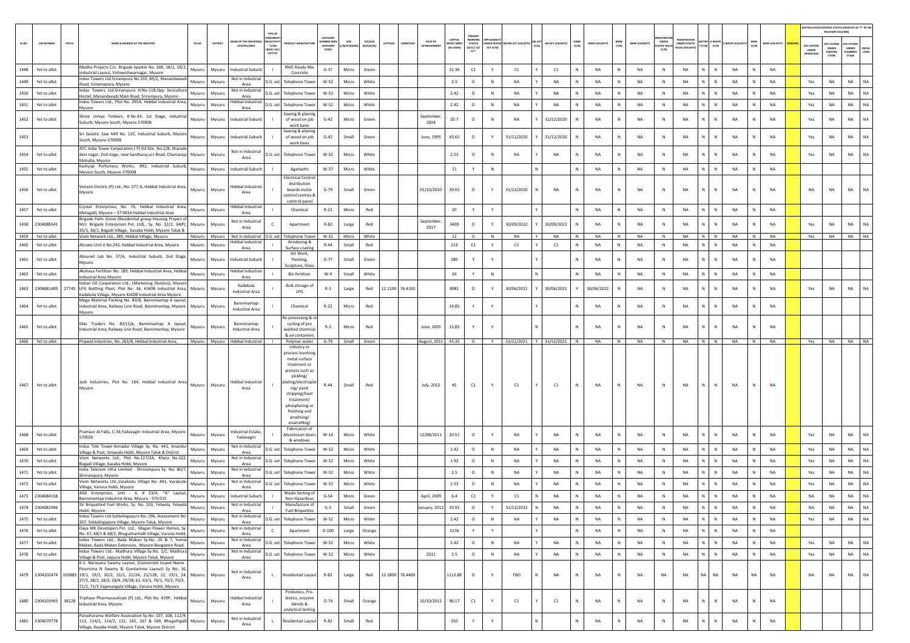|              |                              |                                                                                                                                                                                                                                                                                                                  |                  |                  |                                                 | TYPE OF                                           |                                                                                                                                                                                                                        |                                   |                |                     |                                                         |                              |                                                           |           |                                 |                             |              |                |              |                       |                                             |                                         |                                       |                                     |                        |                                        | AIR POLLUTION CONTROL STATUS (INDICATE AS "Y" IN THI<br>RELEVANT COLUM |                                          |           |
|--------------|------------------------------|------------------------------------------------------------------------------------------------------------------------------------------------------------------------------------------------------------------------------------------------------------------------------------------------------------------|------------------|------------------|-------------------------------------------------|---------------------------------------------------|------------------------------------------------------------------------------------------------------------------------------------------------------------------------------------------------------------------------|-----------------------------------|----------------|---------------------|---------------------------------------------------------|------------------------------|-----------------------------------------------------------|-----------|---------------------------------|-----------------------------|--------------|----------------|--------------|-----------------------|---------------------------------------------|-----------------------------------------|---------------------------------------|-------------------------------------|------------------------|----------------------------------------|------------------------------------------------------------------------|------------------------------------------|-----------|
| SL.NO.       | <b>UIN NUMBER</b>            | PCB ID<br>NAME & ADDRESS OF THE INDUSTRY                                                                                                                                                                                                                                                                         | TALUK            | DISTRICT         | ME OF THE INDU<br>ESTATES/AREA                  | PEANS<br>VACTIV<br>$*$ (1/M/<br>B/HC/ H<br>CE/C/O | <b>OUCT MANUFACTUR</b>                                                                                                                                                                                                 | CATEGORY<br>MBER (XG)<br>CATEGORY | I/S/MICI       | coLous<br>(R/O/G/W) | <b>DATE OF</b><br>LATITUDE<br>LONGITUDE<br>ESTABLISHMEI | <b>WEST MEN</b><br>IN LAKHST | PRESENT<br><b>STATUS</b><br>(0/01/02)<br>$Y$ <sup>*</sup> | ACT (Y/N) | NDER WATER WATER ACT (VALIDITY) | AIR ACT (VALIDITY)<br>(Y/N) | HWM<br>(Y/N) | HWM (VALIDITY) | BMW<br>(Y/N) | <b>BMW (VALIDITY)</b> | <b>UNDER</b><br><b>LASTIC RULE</b><br>[Y/N] | UNDER PLASTIC<br><b>NJLES (VALIDIT)</b> | Y (Y/N) (Y/N)                         | WASTE (VALID<br>(Y/N)               | MSW (VALIDITY)         | <b>APC SYSTEM</b><br>UNDER<br>OPERATIO | <b>APC SYSTEM</b><br>UNDER<br>CONSTRU<br>crios                         | APC SYSTEM<br>UNDER<br>PLANNING<br>STAGE | LTERS     |
| 1448         | Yet to allot                 | Medha Projects C/o. Brigade Sparkle No. 16B, 18/1, 18/2,<br>ndustrial Layout, Vishweshwarnagar, Mysore                                                                                                                                                                                                           | Mysuru           | Mysuru           | <b>Industrial Suburb</b>                        |                                                   | <b>RMC Ready Mix</b><br>Concrete                                                                                                                                                                                       | $G - 37$                          | Micro          | Green               |                                                         | 22.36                        | C1                                                        | Y         | C1                              | C1                          | N            | <b>NA</b>      | N            | NA                    | N                                           | NA                                      | N<br>N                                | <b>NA</b><br>N                      | <b>NA</b>              |                                        |                                                                        |                                          |           |
| 1449         | Yet to allot                 | Indus Towers Ltd.Srirampura No.333, 69/2, Manandawadi<br>Road, Sriramapura, Mysore                                                                                                                                                                                                                               | Mysuru           | Mysuru           | Not in Industrial<br>Area                       | D.G. set                                          | <b>Telephone Towe</b>                                                                                                                                                                                                  | W-52                              | Micro          | White               |                                                         | 2.5                          | $\circ$                                                   | N         | NA                              | NA                          | N            | <b>NA</b>      | $\mathsf{N}$ | NA                    | N                                           | NA                                      | N<br>$\mathbb N$                      | NA<br>$\mathbb N$                   | NA                     | Yes                                    | NA                                                                     | <b>NA</b>                                | <b>NA</b> |
| 1450         | Yet to allot                 | Indus Towers Ltd.Srirampura H.No-118,Opp Sericulture<br>Hostel, Manandavadi Main Road, Srirampura, Mysore -                                                                                                                                                                                                      | Mysuru           | Mysuru           | Not in Industrial<br>Area                       | D.G. set                                          | <b>Telephone Towe</b>                                                                                                                                                                                                  | W-52                              | Micro          | White               |                                                         | 2.42                         | $\circ$                                                   | N         | NA                              | NA<br>Y                     | N            | NA             | N            | NA                    | N                                           | NA                                      | N<br>$\,$ N                           | NA<br>N                             | NA                     | Yes                                    | NA                                                                     | NA                                       | <b>NA</b> |
| 1451         | Yet to allot                 | Indus Towers Ltd., Plot No. 295A, Hebbal Industrial Area,<br>Mysore                                                                                                                                                                                                                                              | Mysuru           | Mysuru           | Hebbal Industrial<br>Area                       | D.G. set                                          | <b>Telephone Tower</b>                                                                                                                                                                                                 | W-52                              | Micro          | White               |                                                         | 2.42                         | $\circ$                                                   | N         | NA                              | NA                          | N            | NA             | N            | NA                    | $\,$ N                                      | NA                                      | N<br>$\mathbb{N}$                     | <b>NA</b>                           | <b>NA</b>              | Yes                                    | NA                                                                     | <b>NA</b>                                | NA        |
| 1452         | Yet to allot                 | Shree Umiya Timbers, #.No.43, 1st Stage, Industrial<br>Suburb, Mysore South, Mysore-570008                                                                                                                                                                                                                       | Mysuru           | Mysuru           | <b>Industrial Suburb</b>                        |                                                   | Sawing & planing<br>of wood on job<br>work basis                                                                                                                                                                       | $G-42$                            | Micro          | Green               | September,<br>2004                                      | 20.7                         | $\circ$                                                   | N         | <b>NA</b>                       | 31/12/2020                  | N            | <b>NA</b>      |              | <b>NA</b>             | N                                           | <b>NA</b>                               | N<br>$\mathbb{N}$                     | <b>NA</b>                           | <b>NA</b>              | Yes                                    | NA                                                                     | <b>NA</b>                                | NA        |
| 1453         |                              | Sri Swastic Saw Mill No. 12C, Industrial Suburb, Mysore<br>South, Mysore-570008                                                                                                                                                                                                                                  | Mysuru           | Mysuru           | Industrial Suburb                               |                                                   | Sawing & planing<br>of wood on job<br>work basis                                                                                                                                                                       | $G-42$                            | Small          | Green               | June, 1995                                              | 43.65                        | $\circ$                                                   |           | 31/12/2020                      | 31/12/2020                  |              | NA             | N            | NA                    | $\,$ N                                      | NA                                      | N.<br>${\sf N}$                       | NA                                  | NA                     | Yes                                    | NA                                                                     | NA                                       | NA.       |
| 1454         | Yet to allot                 | ATC India Tower Corporation ( P) Itd Site. No.1/B, Sharada<br>devi nagar, 2nd stage, near kantharaj urs Road, Chamaraja Mysuru<br>Mohalla, Mysore                                                                                                                                                                |                  | Mysuru           | Not in Industrial<br>Area                       | D.G. set                                          | <b>Telephone Tower</b>                                                                                                                                                                                                 | W-52                              | Micro          | White               |                                                         | 2.53                         | $\circ$                                                   | N         | NA                              | NA                          | N            | <b>NA</b>      | N            | NA                    | N                                           | <b>NA</b>                               | N<br>$\mathbb N$                      | <b>NA</b><br>$\mathbb N$            | <b>NA</b>              | Yes                                    | <b>NA</b>                                                              | <b>NA</b>                                | NA.       |
| 1455         | Yet to allot                 | Kashyap Perfumery Works, #92, Industrial Suburb,<br>Mysore South, Mysore-570008                                                                                                                                                                                                                                  | Mysuru           | Mysuru           | Industrial Suburb                               |                                                   | Agarbathi                                                                                                                                                                                                              | W-37                              | Micro          | White               |                                                         | 21                           | Y                                                         | N         |                                 | N                           | N            | NA             | N            | NA                    | N                                           | NA                                      | N<br>$\mathbb N$                      | NA<br>$\mathbb N$                   | NA                     |                                        |                                                                        |                                          |           |
| 1456         | Yet to allot                 | Venson Electric (P) Ltd., No: 277-A, Hebbal Industrial Area,<br>Mysore                                                                                                                                                                                                                                           | Mysuru           | Mysuru           | Hebbal Industrial<br>Area                       |                                                   | Electrical Contro<br>distribution<br>boards motor<br>control centres &<br>comtrol panel                                                                                                                                | $G-79$                            | Small          | Green               | 01/10/2010                                              | 39.92                        | $\circ$                                                   | Y         | 31/12/2020                      | <b>NA</b><br>N              | N            | <b>NA</b>      | N            | <b>NA</b>             | N                                           | <b>NA</b>                               | N<br>N                                | <b>NA</b>                           | <b>NA</b>              | <b>NA</b>                              | NA                                                                     | <b>NA</b>                                | <b>NA</b> |
| 1457         | Yet to allot                 | Crystal Enterprises, No. 76, Hebbal Industrial Area,<br>Metagalli, Mysore - 57 0016 Hebbal Industrial Area                                                                                                                                                                                                       | Mysuru           | Mysuru           | Hebbal Industrial<br>Area                       |                                                   | Chemical                                                                                                                                                                                                               | $R - 22$                          | Micro          | Red                 |                                                         | 20                           | Y                                                         | Y         |                                 |                             | N            | NA             | N            | NA                    | N                                           | NA                                      | N<br>$\mathbb N$                      | NA<br>N                             | <b>NA</b>              |                                        |                                                                        |                                          |           |
| 1458         | 2304088341                   | Brigade Palm Grove (Residential group Housing Project o<br>M/s Brigade Enterprises Pvt. Ltd)., Sy. No. 32/2, 34(P),                                                                                                                                                                                              | Mysuru           | Mysuru           | Not in Industrial<br>Area                       | $\epsilon$                                        | Apartment                                                                                                                                                                                                              | $R - 82$                          | Large          | Red                 | September,<br>2017                                      | 3409                         | $\circ$                                                   |           | 30/09/2022                      | 30/09/2022                  | N            | <b>NA</b>      | N            | NA                    | ${\sf N}$                                   | NA                                      | N.<br>${\sf N}$                       | NA                                  | NA                     | Yes                                    | NA                                                                     | NA                                       | NA        |
| 1459         | Yet to allot                 | 35/1, 36/1, Bogadi Village, Kasaba Hobli, Mysore Taluk &<br>Viom Network Ltd., 389, Hebbal Village, Mysuru                                                                                                                                                                                                       |                  | Mysuru Mysuru    | Not in Industrial D.G. set<br>lebbal Industrial |                                                   | <b>Telephone Towe</b><br>Anodozing &                                                                                                                                                                                   | W-52                              | Micro          | White               |                                                         | 12                           | $\circ$                                                   | N         | <b>NA</b>                       | <b>NA</b>                   | N            | <b>NA</b>      | N            | NA                    | N                                           | NA                                      | N<br>N                                | <b>NA</b><br>N                      | <b>NA</b>              | Yes                                    | NA                                                                     | NA                                       | NA        |
| 1460<br>1461 | Yet to allot<br>Yet to allot | Alcoats Unit-II No.242. Hebbal Industrial Area. Mysore<br>Absured Lab No. 37/A, Industrial Suburb, 2nd Stage,                                                                                                                                                                                                    | Mysuru<br>Mysuru | Mysuru<br>Mysuru | Area<br>ndustrial Suburt                        |                                                   | Surface coatine<br>Art Work,<br>Painting,                                                                                                                                                                              | $R - 44$<br>$G-77$                | Small<br>Small | Red<br>Green        |                                                         | 213<br>280                   | C1<br>Y                                                   | Y<br>Y    | C1                              | C1                          | N<br>N       | NA<br>NA       | N<br>N       | <b>NA</b><br>NA       | N<br>N                                      | NA<br>NA                                | $\mathbb{N}$<br>N<br>N<br>$\mathbb N$ | <b>NA</b><br>N<br>NA<br>$\mathbb N$ | <b>NA</b><br><b>NA</b> |                                        |                                                                        |                                          |           |
|              |                              | Mysore<br>Akshaya Fertilizer No: 189, Hebbal Industrial Area, Hebbal                                                                                                                                                                                                                                             |                  |                  | Hebbal Industria                                |                                                   | Sculpture, Glass                                                                                                                                                                                                       |                                   |                |                     |                                                         |                              |                                                           |           |                                 |                             |              |                |              |                       |                                             |                                         |                                       |                                     |                        |                                        |                                                                        |                                          |           |
| 1462         | Yet to allot                 | Industrial Area Mysore<br>Indian Oil Corporation Ltd., (Marketing Division), Mysore                                                                                                                                                                                                                              | Mysuru           | Mysuru           | Area<br>Kadakola                                |                                                   | <b>Bio fertilizer</b>                                                                                                                                                                                                  | $W-4$                             | Small          | White               |                                                         | 26                           | Y                                                         | N         |                                 | N                           | N            | <b>NA</b>      | N            | <b>NA</b>             | N                                           | NA                                      | N<br>N                                | <b>NA</b><br>N                      | <b>NA</b>              |                                        |                                                                        |                                          |           |
|              |                              | 1463 2304081400 27745 LPG Bottling Plant, Plot No: 34, KIADB Industrial Area, Mysuru<br>Kadakola Village, Mysore KIADB Industrial Area Mysore<br>Mega Material Packing No. 83/B, Bannimantap A layout,                                                                                                           |                  | Mysuru           | <b>Industrial Area</b>                          |                                                   | Bulk storage of<br>LPG                                                                                                                                                                                                 | $R-1$                             | Large          | Red                 | 12.1100 76.4100                                         | 8981                         | $\circ$                                                   | Y         | 30/06/2021                      | 30/06/2021                  |              | 30/06/2022     | N            | NA                    | $\,$ N                                      | <b>NA</b>                               | N<br>$\mathbb{N}$                     | <b>NA</b><br>N                      | <b>NA</b>              | Yes                                    | <b>NA</b>                                                              | <b>NA</b>                                | <b>NA</b> |
| 1464         | Yet to allot                 | Industrial Area, Railway Line Road, Bannimantap, Mysore. Mysuru<br>Mysore                                                                                                                                                                                                                                        |                  | Mysuru           | Bannimantap<br>Industrial Area                  |                                                   | Chemical<br>Re-processing & n                                                                                                                                                                                          | $R-22$                            | Micro          | Red                 |                                                         | 14.85                        | Y                                                         | Y         |                                 |                             | N            | <b>NA</b>      | N            | <b>NA</b>             | N                                           | <b>NA</b>                               | $\mathbb{N}$<br>N                     | <b>NA</b><br>N                      | <b>NA</b>              |                                        |                                                                        |                                          |           |
| 1465         | Yet to allot                 | Mas Traders No. 83/(1)A, Bannimantap A layout,<br>Industrial Area, Railway Line Road, Bannimantap, Mysore                                                                                                                                                                                                        | Mysuru           | Mysuru           | Bannimantap<br>Industrial Area                  |                                                   | cycling of pre<br>washed chemical<br>& oil containers                                                                                                                                                                  | $R-3$                             | Micro          | Red                 | June, 2005                                              | 15.85                        | Y                                                         |           |                                 | N                           | N            | <b>NA</b>      | N            | NA                    | $\,$ N                                      | NA                                      | N<br>$\mathbb N$                      | <b>NA</b><br>N                      | <b>NA</b>              |                                        |                                                                        |                                          |           |
|              | 1466 Yet to allot            | Prajwal Industries, No. 263/B, Hebbal Industrial Area,                                                                                                                                                                                                                                                           |                  |                  | Mysuru Mysuru Hebbal Industrial                 |                                                   | Polymer water<br>Industry or                                                                                                                                                                                           | $G-79$                            |                | Small Green         | August, 2011 45.33                                      |                              | $\circ$                                                   |           | Y 31/12/2021 Y 31/12/2021 N     |                             |              | <b>NA</b>      | N            | NA                    | N                                           | <b>NA</b>                               | $N$ $N$                               | <b>NA</b><br>N                      | <b>NA</b>              |                                        | Yes NA NA NA                                                           |                                          |           |
| 1467         | Yet to allot                 | Jash Industries, Plot No. 164, Hebbal Industrial Area Mysuru Mysuru<br>Mysore                                                                                                                                                                                                                                    |                  |                  | Hebbal Industria<br>Area                        |                                                   | process involving<br>metal surface<br>treatment or<br>process such as<br>pickling/<br>dating/electroplat<br>ing/ paint<br>stripping/heat<br>treatment/<br>phosphating or<br>finishing and<br>anodising/<br>enamelling/ | $R-44$                            | Small          | Red                 | July, 2012                                              | 45                           | C1                                                        |           | C1                              | C1                          | N            | <b>NA</b>      | N            | NA                    | N                                           | NA                                      | N<br>N                                | <b>NA</b>                           | <b>NA</b>              |                                        |                                                                        |                                          |           |
| 1468         | Yet to allot                 | Pramaur Al Fabs, C-34, Yadavagiri Industrial Area, Mysore<br>570020                                                                                                                                                                                                                                              | Mysuru           | Mysuru           | ndustrial Estate,<br>Yadavagiri                 |                                                   | Fabrication of<br>Alluminium doors                                                                                                                                                                                     | $W-14$                            | Micro          | White               | 12/08/2011                                              | 20.51                        | $\circ$                                                   | Y         | NA                              | NA                          | N            | <b>NA</b>      | N            | NA                    | $\,$ N                                      | <b>NA</b>                               | N<br>${\sf N}$                        | NA<br>$\mathbf{N}$                  | <b>NA</b>              | Yes                                    | <b>NA</b>                                                              | <b>NA</b>                                | NA.       |
| 1469         | Yet to allot                 | Indus Tele Tower-Annadur Village Sy. No. 441, Anandur<br>Village & Post, Yelawala Hobli, Mysore Taluk & District                                                                                                                                                                                                 | Mysuru           | Mysuru           | Not in Industrial<br>Area                       | D.G. set                                          | & windows<br><b>Telephone Tower</b>                                                                                                                                                                                    | W-52                              | Micro          | White               |                                                         | 2.42                         | $\circ$                                                   | N         | NA                              | NA                          | N            | <b>NA</b>      | N            | NA                    | N                                           | NA                                      | N<br>$\,$ N                           | <b>NA</b><br>N                      | <b>NA</b>              | Yes                                    | NA                                                                     | <b>NA</b>                                | NA        |
| 1470         | Yet to allot                 | Viom Networks Ltd., Plot No.127/2A, Khata No.322,<br>Bogadi Village, Kasaba Hobli, Mysore                                                                                                                                                                                                                        | Mysuru           | Mysuru           | Not in Industria<br>Area                        | D.G. set                                          | <b>Telephone Towe</b>                                                                                                                                                                                                  | W-52                              | Micro          | White               |                                                         | 1.92                         | $\circ$                                                   | N         | NA                              | NA                          | N            | NA             | N            | NA                    | N                                           | NA                                      | N<br>$\mathbb N$                      | NA                                  | NA                     | Yes                                    | NA                                                                     | NA                                       | <b>NA</b> |
| 1471         | Yet to allot                 | India Telecom Infra Limited - Shrirampura Sy. No. 80/7<br>Shrirampura, Mysore                                                                                                                                                                                                                                    | Mysuru           | Mysuru           | Not in Industrial<br>Area                       | D.G. set                                          | <b>Telephone Towe</b>                                                                                                                                                                                                  | W-52                              | Micro          | White               |                                                         | 2.5                          | $\circ$                                                   | N         | NA                              | NA                          | N            | NA             | N            | NA                    | N                                           | NA                                      | $N$ $N$                               | NA<br>N                             | <b>NA</b>              | Yes                                    | NA                                                                     | NA                                       | NA        |
| 1472         | Yet to allot                 | Viom Networks Ltd., Varakodu Village No. 441, Varakodu<br>fillage, Varuna Hobli, Mysore                                                                                                                                                                                                                          | Mysuru           | Mysuru           | Not in Industrial<br>Area                       | D.G. set                                          | <b>Telephone Tower</b>                                                                                                                                                                                                 | W-52                              | Micro          | White               |                                                         | 2.53                         | $\circ$                                                   | N         | NA                              | NA                          |              | <b>NA</b>      | N            | NA                    | ${\sf N}$                                   | NA                                      | N<br>N                                | NA                                  | <b>NA</b>              | Yes                                    | NA                                                                     | NA                                       | NA.       |
| 1473         | 2304084158                   | AGK Enterprises, Unit - II, # 33/A, "A" Layout,<br>Bannimantap Industrial Area, Mysuru - 570 015                                                                                                                                                                                                                 | Mysuru           | Mysuru           | Industrial Suburb                               | $\blacksquare$                                    | Waste Sorting of<br>Non-Hazardous                                                                                                                                                                                      | $G-54$                            | Micro          | Green               | April, 2009                                             | 6.4                          | C1                                                        | Y         | C1                              | N.<br><b>NA</b>             | N            | <b>NA</b>      | N            | <b>NA</b>             | $\mathbb{N}$                                | <b>NA</b>                               | N<br>$\mathbb{N}$                     | <b>NA</b>                           | NA                     | <b>NA</b>                              | NA                                                                     | <b>NA</b>                                | <b>NA</b> |
|              | 1474 2304081996              | SV Briquetted Fuel Works, Sy. No. 103, Yelwala, Yelwala<br>Hobli, Mysore.                                                                                                                                                                                                                                        | Mysuru           | Mysuru           | Not in Industrial<br>Area                       |                                                   | Manufacture of<br><b>Fuel Briquettes</b>                                                                                                                                                                               | $G-5$                             | Small          | Green               | anuary, 2012                                            | 33.92                        | $\Omega$                                                  |           | 31/12/2022                      | <b>NA</b>                   |              | <b>NA</b>      | N            | NA                    | N                                           | <b>NA</b>                               | N<br>N                                | <b>NA</b>                           | NA                     | <b>NA</b>                              | <b>NA</b>                                                              | <b>NA</b>                                | <b>NA</b> |
| 1475         | Yet to allot                 | Indus Towers Ltd-Siddalingapura No: 296, Assessment No:<br>207, Siddalingapura Village, Mysore Taluk, Mysore                                                                                                                                                                                                     | Mysuru           | Mysuru           | Not in Industrial<br>Area                       | D.G. set                                          | <b>Telephone Tower</b>                                                                                                                                                                                                 | W-52                              | Micro          | White               |                                                         | 2.42                         | $\circ$                                                   | N         | NA                              | NA                          | $\mathbb{N}$ | <b>NA</b>      | N            | NA                    | ${\sf N}$                                   | NA                                      | N<br>$\,$ N                           | NA<br>N                             | NA                     | Yes                                    | NA                                                                     | <b>NA</b>                                | <b>NA</b> |
| 1476         | Yet to allot                 | Daya MK Developers Pvt. Ltd., Magan Flower Homes, Sy.<br>No. 67, 68/1 & 68/2, Bhuguthanhalli Village, Varuna Hobli,                                                                                                                                                                                              | Mysuru           | Mysuru           | Not in Industrial<br>Area                       | $\mathsf{C}$                                      | Apartment                                                                                                                                                                                                              | $O-100$                           | Large          | Orange              |                                                         | 3176                         | Y                                                         | Y         |                                 | Y.                          | N            | NA             | $\,$ N       | NA                    | $\,$ N                                      | NA                                      | $N$ $N$                               | NA<br>N                             | <b>NA</b>              |                                        |                                                                        |                                          |           |
| 1477         | Yet to allot                 | Indus Towers Ltd,- Bada Makan Sy.No. 25 & 7, Yomia<br>Makan, Bada Makan Extension, Mysore-Bangalore Road,                                                                                                                                                                                                        | Mysuru           | Mysuru           | Not in Industrial<br>Area                       | D.G. set                                          | <b>Telephone Tower</b>                                                                                                                                                                                                 | $W-52$                            | Micro          | White               |                                                         | 2.42                         | $\circ$                                                   | N         | NA                              | NA                          | N            | NA             | N            | NA                    | $\,$ N                                      | NA                                      | N<br>${\sf N}$                        | NA<br>$\mathbb{N}$                  | <b>NA</b>              | Yes                                    | NA                                                                     | <b>NA</b>                                | <b>NA</b> |
| 1478         | Yet to allot                 | Indus Towers Ltd,- Madhura Village Sy.No. 1/1, Madhura<br>Village & Post, Jaipura Hobli, Mysore Taluk, Mysore                                                                                                                                                                                                    | Mysuru           | Mysuru           | Not in Industrial<br>Area                       | D.G. set                                          | <b>Telephone Tower</b>                                                                                                                                                                                                 | W-52                              | Micro          | White               | 2011                                                    | 2.5                          | $\circ$                                                   | N         | NA                              | NA                          | $\mathbb{N}$ | <b>NA</b>      | $\,N\,$      | NA                    | $\,$ N                                      | NA                                      | N<br>$\,$ N                           | $\mathbb{N}$<br>NA                  | NA                     | Yes                                    | NA                                                                     | <b>NA</b>                                | <b>NA</b> |
|              |                              | K.V. Narayana Swamy Layout, (Consented Issued Name<br>Poornima N Swamy & Gundamma Layout) Sy No: 16.<br>1479 2304102474 101883 19/1, 19/2, 20/2, 21/1, 21/2A, 21/12B, 22, 23/1, 24, Mysuru<br>27/2, 28/2, 28/3, 28/4, 29/2B, 61, 63/1, 70/1, 70/2, 70/3,<br>71/2, 71/3 Vajamangala Village, Varuna Hobli, Mysore |                  | Mysuru           | Not in Industrial<br>Area                       | $\mathbf{L}$                                      | Residential Layout                                                                                                                                                                                                     | R-82                              | Large          | Red                 | 12.1800 76.4400                                         | 1112.88                      | $\circ$                                                   | Y         | FBO                             | NA                          | ${\sf N}$    | NA             | N            | NA                    | NA                                          | NA                                      | NA<br>NA                              | NA<br><b>NA</b>                     | NA                     | NA                                     | NA                                                                     | <b>NA</b>                                | <b>NA</b> |
| 1480         | 2304103993                   | Triphase Pharmaceuticals (P) Ltd., Plot No. 429P, Hebbal<br>38228<br>ndustrial Area, Mysore                                                                                                                                                                                                                      | Mysuru           | Mysuru           | Hebbal Industrial<br>Area                       |                                                   | Probiotics, Pre-<br>biotics, enzyme<br>blends &<br>analytical testing                                                                                                                                                  | $O - 74$                          | Small          | Orange              | 10/10/2012                                              | 96.17                        | C1                                                        | Y         | C1                              | C1                          | N            | NA             | N            | NA                    | ${\sf N}$                                   | NA                                      | ${\sf N}$<br>N                        | NA                                  | NA                     |                                        |                                                                        |                                          |           |
|              | 1481 2304079778              | Parashurama Welfare Association Sy.No: 107, 108, 112/4,<br>113, 114/1, 114/2, 115, 165, 167 & 169, Bhugathgalli Mysuru<br>Village, Kasaba Hobli, Mysore Taluk, Mysore District.                                                                                                                                  |                  | Mysuru           | Not in Industrial<br>Area                       |                                                   | <b>Residential Layout</b>                                                                                                                                                                                              | $R-82$                            | Small          | Red                 |                                                         | 350                          | $\mathsf{Y}$                                              | Y         |                                 | N                           | N            | NA             | N            | $_{\sf NA}$           | ${\sf N}$                                   | NA                                      | N<br>${\sf N}$                        | NA<br>N                             | NA                     |                                        |                                                                        |                                          |           |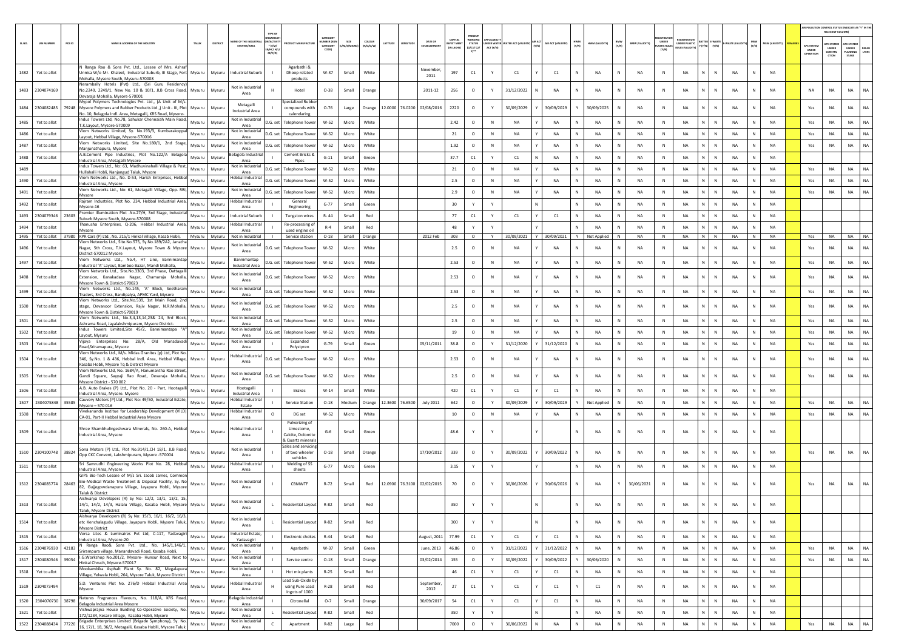| PRESENT<br>CATEGOR<br><b>GANISA</b><br>CAPITAL<br>WORKIN<br><b>FGISTRATI</b><br><b>WE OF THE INDL</b><br><b>ACTIV</b><br><b>BERD</b><br>coLour<br>DATE OF<br>HWM<br>(Y/N)<br>BMW<br>(Y/N)<br>PCB ID<br>AIR ACT (VALIDITY<br><b>UIN NUMBER</b><br>NAME & ADDRESS OF THE INDUSTRY<br>TALUS<br><b>STATUS</b><br><b>BMW (VALIDITY)</b><br><b>UNDER PLASTIC</b><br><b>MSW (VALIDITY</b><br>SL.NO.<br>DISTRIC<br><b>VEST MEN</b><br>NDER WATER WATER ACT (VALIDITY)<br>HWM (VALIDITY)<br>ATITUDI<br>WASTE (VAL<br>$(Y/N)$ $(Y/N)$<br>(Y/N)<br><b>ESTATES/AREA</b><br>$*(1/M)^*$<br>CATEGORY<br>M/S/MICR<br>(R/O/G/W)<br><b>ASTIC RULE</b><br>(IN LAKHS)<br>(0/C1/C2)<br>ACT (Y/N)<br><b>NJLES (VALIDI)</b><br>B/HC/ H/<br>CODET<br>(Y/N)<br>CE/C/O<br>N Ranga Rao & Sons Pvt. Ltd., Lessee of Mrs. Ashrat<br>Agarbathi &<br>November,<br>1482<br>Yet to allot<br>Innisa W/o Mr. Khaleel, Industrial Suburb, III Stage, Fort Mysuru<br><b>Industrial Suburb</b><br>W-37<br>Small<br>White<br>197<br>C1<br>C1<br><b>NA</b><br>NA<br><b>NA</b><br>N<br>NA<br><b>NA</b><br>Mysuru<br>Dhoop related<br>C1<br>N<br>N<br>N<br>2011<br>Mohalla, Mysore South, Mysuru-570008<br>products<br>Nerambally Hotels (Pvt) Ltd., (Sri Guru Residency)<br>Not in Industrial<br>1483 2304074169<br>Orange<br>2011-12<br>256<br>$\circ$<br>31/12/2022<br>NA<br><b>NA</b><br>NA<br>NA<br>N<br>$\mathbb N$<br>NA<br><b>NA</b><br>No.2249, 2249/1, New No. 10 & 10/1, JLB Cross Road, Mysuru<br>Mysuru<br>Hotel<br>$O-38$<br>Small<br>N<br>N<br>N<br>N<br>Area<br>Devaraia Mohalla, Mysore-570001<br>Mypol Polymers Technologies Pvt. Ltd., (A Unit of M/s.<br>Specialized Rubbe<br>Metagalli<br>1484   2304082485   79248   Mysore Polymers and Rubber Products Ltd.,) Unit - III, Plot<br>12.0000 76.0200 02/08/2016<br>2220<br>$\circ$<br>N.<br>N<br><b>NA</b><br>Mysuru<br>compounds with<br>$O - 76$<br>Large<br>Orange<br>30/09/2029<br>30/09/2029<br>30/09/2025<br>N<br>NA<br>N<br><b>NA</b><br>NA<br>N<br>Mysuru<br><b>Industrial Area</b><br>No. 10, Belagola Indl. Area, Metagalli, KRS Road, Mysore-<br>calendaring<br>Indus Towers Ltd, No.78, Sahukar Chennaiah Main Road,<br>Not in Industrial<br>1485<br>Yet to allot<br>Mysuru<br>Mysuru<br>0.G. set l<br><b>Telephone Tower</b><br>W-52<br>Micro<br>White<br>2.42<br>$\circ$<br>N<br>NA<br>NA<br>NA<br>N<br>NA<br>N<br>NA<br>N<br>N<br>NA<br>N<br><b>NA</b><br>T.K.Layout, Mysore-570009<br>Area<br>/iom Networks Limited, Sy. No.193/3, Kumbarakoppal<br>Not in Industrial<br>1486<br>Yet to allot<br>21<br>NA<br><b>NA</b><br>NA<br>NA<br>N.<br>NA<br>Mysuru<br>Mysuru<br>D.G. set<br><b>Telephone Towe</b><br>W-52<br>Micro<br>White<br>$\circ$<br>N<br>NA<br>N<br>N<br>N<br>NA<br>Layout, Hebbal Village, Mysore-570016<br>Area<br>Viom Networks Limited, Site No.180/1, 2nd Stage,<br>Not in Industria<br>N  <br>1487<br>Yet to allot<br>W-52<br>Micro<br>White<br>1.92<br>$\circ$<br>$\mathbb N$<br><b>NA</b><br><b>NA</b><br>$\mathbb{N}$<br><b>NA</b><br>N<br>NA<br>$\mathbb{N}$<br><b>NA</b><br>$\mathbb{N}$<br>NA<br><b>NA</b><br>Mysuru<br>Mysuru<br>D.G. set<br><b>Telephone Tower</b><br>Manjunathapura, Mysore<br>Area<br>A.B.Cement Pipe Industries, Plot No.122/A Belagola<br>elagola Industri:<br>Cement Bricks &<br>1488<br>Yet to allot<br>Mysuru<br>Mysuru<br>$G-11$<br>Green<br>37.7<br>C1<br>C1<br>NA<br>NA<br>NA<br><b>NA</b><br>N<br>NA<br><b>NA</b><br>Small<br>N<br>N<br>N<br>Y<br>Industrial Area, Metagalli Mysore<br>Area<br>Pipes<br>Indus Towers Ltd., No: 63, Madhuvinahalli Village & Post,<br>Not in Industrial<br>N.<br>1489<br>21<br>$\mathbb{N}$<br>W-52<br>White<br>$\circ$<br>$\mathbb N$<br><b>NA</b><br><b>NA</b><br>N<br><b>NA</b><br>N<br><b>NA</b><br>N<br><b>NA</b><br>NA<br><b>NA</b><br>Mysuru<br>Mysuru<br>D.G. set Telephone Tower<br>Micro<br>Hullahalli Hobli, Nanjangud Taluk, Mysore<br>Area<br>Viom Networks Ltd., No. D-53, Harish Entrprises, Hebba<br>lebbal Industria<br>1490<br>NA<br>NA<br><b>NA</b><br>Yet to allot<br>Mysuru<br>Mysuru<br>D.G. set<br>Telephone Tower<br>W-52<br>Micro<br>White<br>2.5<br>$\circ$<br>N<br>NA<br>NA<br>N<br><b>NA</b><br>N<br>N<br>N<br>$\mathbb N$<br>NA<br>N<br>ndustrial Area, Mysore<br>Area<br>Viom Networks Ltd., No: 61, Metagalli Village, Opp. RBI,<br>Not in Industrial<br>1491<br>Yet to allot<br>Mysuru<br><b>Telephone Tower</b><br>White<br>2.9<br>$\circ$<br>NA<br>NA<br><b>NA</b><br>NA<br>NA<br>N<br>${\sf N}$<br>NA<br>Mysuru<br>D.G. set<br>W-52<br>Micro<br>N<br>N<br>N<br>NA<br>Area<br>Mysore<br>Rajram Industries, Plot No. 234, Hebbal Industrial Area,<br>lebbal Industria<br>General<br>N  <br>1492<br>Yet to allot<br>$G - 77$<br>Small<br>30<br>Y<br>$\mathbb{N}$<br><b>NA</b><br>N<br>NA<br>$\mathbb{N}$<br><b>NA</b><br>N<br><b>NA</b><br>N<br><b>NA</b><br>Mysuru<br>Mysuru<br>Green<br>Y<br>Mysore-16<br>Area<br>Engineering<br>Premier Illumination Plot .No.27/H, 3rd Stage, Industria<br>1493 2304079346 23603<br>Mysuru<br>Industrial Suburb<br>R-44<br>Red<br>77<br>C1<br>C1<br>C1<br><b>NA</b><br>NA<br>NA<br>N<br>${\sf N}$<br>NA<br>NA<br>Mysuru<br><b>Tungston wires</b><br>Small<br>N<br>N<br>Y<br>N<br>uburb Mysore South, Mysore-570008<br>Thanusha Enterprises, Q-206, Hebbal Industrial Area,<br>Hebbal Industria<br>Re-processing of<br>N.<br>$\mathbb{N}$<br>1494<br>$R-4$<br>48<br><b>NA</b><br><b>NA</b><br>N<br><b>NA</b><br>NA<br><b>NA</b><br>Yet to allot<br>Red<br>Y<br>N<br>N<br>N<br>Mvsuru<br>Mysuru<br>Small<br>Y<br>Mysore<br>Area<br>used engine oil<br>1495 Yet to allot 37980 KPR Cars (P) Ltd., No. 215/1 Hinkal Village, Kasab Hobli,<br>$O-18$<br>Small<br>2012 Feb<br>303<br>$\circ$<br>30/09/2021 Y 30/09/2021<br>Y Not Applied<br>NA<br>N<br><b>NA</b><br>$N$ $N$<br><b>NA</b><br>N<br><b>NA</b><br>Mysuru Mysuru<br>Not in Industrial<br>Service station<br>Orange<br>Y<br>N<br>Viom Networks Ltd., Site.No.575, Sy.No.189/2A2, Janatha<br>Not in Industrial<br>1496<br>Yet to allot<br>$W-52$<br>Micro<br>White<br>2.5<br>$\circ$<br>NA<br><b>NA</b><br><b>NA</b><br>NA<br>N<br><b>NA</b><br>N<br>NA<br><b>NA</b><br>Nagar, 5th Cross, T.K.Layout, Mysore Town & Mysore<br>Mysuru<br><b>Telephone Towe</b><br>Mysuru<br>D.G. set<br>N<br>Area<br>District-570012 Mysore<br>Viom Networks Ltd., No.4, HT Line, Bannimantap<br>Bannimantap<br>1497 Yet to allot<br>N  <br>W-52<br>Micro<br>White<br>2.53<br>$\circ$<br>$\mathbb{N}$<br>NA<br><b>NA</b><br>$\mathbb{N}$<br><b>NA</b><br>N<br>NA<br>$\,$ N<br>NA<br>${\sf N}$<br>NA<br>N<br><b>NA</b><br>Mysuru<br>Mysuru<br>D.G. set Telephone Tower<br>Industrial 'A' Layout, Bamboo Bazar, Mandi Mohalla,<br>Industrial Area<br>Viom Networks Ltd., Site.No.3303, 3rd Phase, Dattagal<br>Not in Industrial<br>1498<br>Yet to allot<br>$W-52$<br>Micro<br>White<br>2.53<br>$\circ$<br><b>NA</b><br><b>NA</b><br><b>NA</b><br>NA<br>N<br><b>NA</b><br>N<br>NA<br><b>NA</b><br>Extension, Kanakadasa Nagar, Chamaraja Mohalla,<br>Mysuru<br><b>Telephone Tower</b><br>N<br>N<br>N<br>D.G. set<br>Mysuru<br>Area<br>Mysore Town & District-570023<br>Viom Networks Ltd., No.145, 'A' Block, Seetharan<br>Not in Industri<br>N<br>1499<br>Yet to allot<br>$W-52$<br>Micro<br>White<br>2.53<br>$\circ$<br>N<br>NA<br><b>NA</b><br>$\mathbb{N}$<br><b>NA</b><br>N<br>NA<br>N<br>NA<br>$\mathbb N$<br><b>NA</b><br>N<br><b>NA</b><br>Mysuru<br>Mysuru<br>D.G. set<br><b>Telephone Tower</b><br>Traders, 3rd Cross, Bandipalya, APMC Yard, Mysore<br>Area<br>Viom Networks Ltd., Site.No.539, 1st Main Road, 2no<br>Not in Industria<br>1500<br>Yet to allot<br>W-52<br>Micro<br>White<br>2.5<br>$\circ$<br><b>NA</b><br><b>NA</b><br><b>NA</b><br>NA<br>N<br><b>NA</b><br>${\sf N}$<br>NA<br><b>NA</b><br>stage. Devanoor Extension. Raiiv Nagar. N.R.Mohalla. Mysuru<br>Mysuru<br><b>Telephone Tower</b><br>N<br>N<br>N<br>D.G. set<br>Area<br>Mysore Town & District-570019<br>Viom Networks Ltd., No.3,4,13,14,23& 24, 3rd Block,<br>Not in Industria<br>2.5<br>N<br>$\,$ N<br>1501<br>Yet to allot<br>Mysuru<br>W-52<br>Micro<br>White<br>$\circ$<br>N<br><b>NA</b><br><b>NA</b><br>N<br><b>NA</b><br>N<br>NA<br>N<br>NA<br><b>NA</b><br>N<br><b>NA</b><br>Mysuru<br>D.G. set<br><b>Telephone Tower</b><br>Ashrama Road, Jayalakshmipuram, Mysore District-<br>Area<br>Indus Towers Limited, Site 45/2, Bannimantapa "A<br>Not in Industrial<br>1502<br>Yet to allot<br>W-52<br>White<br>19<br>$\circ$<br>NA<br>NA<br><b>NA</b><br>NA<br>NA<br>N<br>N<br>NA<br><b>NA</b><br>Mysuru<br>Mysuru<br>D.G. set<br><b>Telephone Tower</b><br>Micro<br>$\mathbb N$<br>N<br>N<br>N<br>Layout, Mysuru<br>Area<br>Vijaya Enterprises No: 28/A, Old Manadavadi<br>Not in Industria<br>Expanded<br>N.<br>$\,$ N<br>1503 Yet to allot<br>05/11/2011<br>38.8<br>31/12/2020<br>31/12/2020<br><b>NA</b><br>N<br>NA<br><b>NA</b><br>NA<br><b>NA</b><br>$G-79$<br>$\circ$<br>N<br>N<br>N<br>Mysuru<br>Mysuru<br>Small<br>Green<br>Y<br>Road, Sriramapura, Mysore<br>Area<br>Polystyren<br>Viom Networks Ltd., M/s. Midas Granites (p) Ltd, Plot No.<br>lebbal Industria<br>1504<br>W-52<br>White<br>2.53<br><b>NA</b><br><b>NA</b><br>$\mathbb{N}$<br>Yet to allot<br>Mysuru<br>Micro<br>$\circ$<br><b>NA</b><br><b>NA</b><br><b>NA</b><br>N<br>N<br><b>NA</b><br><b>NA</b><br>346, Sy.No. 1 & 436, Hebbal Indl. Area, Hebbal Village, Mysuru<br>D.G. set Telephone Tower<br>N<br>N<br>N<br>Area<br>Kasaba Hobli, Mysore Tq & District Mysore<br>Viom Networks Ltd, No. 1684/A, Hanumantha Rao Street,<br>Not in Industrial<br>N.<br>$\mathbb{N}$<br>1505<br>White<br>2.5<br>$\circ$<br><b>NA</b><br>NA<br>NA<br><b>NA</b><br>Yet to allot<br>W-52<br>Micro<br>$\mathbb N$<br><b>NA</b><br><b>NA</b><br>N<br>N<br>N<br>NA<br>Gandi Square, Sayyaji Rao Road, Devaraja Mohalla,<br>Mysuru<br>Mysuru<br>D.G. set l<br><b>Telephone Tower</b><br>Area<br>Mysore District - 570 002<br>A.B. Auto Brakes (P) Ltd., Plot No. 20 - Part, Hootagall<br>Hootagalli<br>420<br>1506<br>Yet to allot<br>White<br>C1<br>C1<br>C1<br><b>NA</b><br><b>NA</b><br><b>NA</b><br>N<br>$\mathbb{N}$<br>NA<br><b>NA</b><br>Mysuru<br>$W-14$<br>Small<br>N<br>N<br>Mysuru<br>Brakes<br>Y<br>N<br>N<br>Industrial Area, Mysore. Mysore<br><b>Industrial Area</b><br>Cauvery Motors (P) Ltd., Plot No: 49/50, Industrial Estate,<br>lebbal Industria<br>N.<br>1507<br>2304075848 35585<br>12.3600 76.6500<br><b>July 2011</b><br>642<br>30/09/2029<br>30/09/2029<br><b>NA</b><br>$\mathbb{N}$<br><b>NA</b><br>$O-18$<br>$\circ$<br>Not Applied<br><b>NA</b><br>N<br>NA<br>Mysuru<br>Mysuru<br><b>Service Station</b><br>Medium<br>Orange<br>N<br>N<br>Mysore - 570 016<br>Estate<br>Vivekananda Institue for Leadership Development (VILD)<br>lebbal Industria<br>1508<br>10<br>NA<br>NA<br>NA<br><b>NA</b><br>Yet to allot<br>Mysuru<br>Mysuru<br>$\circ$<br>DG set<br>W-52<br>Micro<br>White<br>$\circ$<br>N<br>NA<br>NA<br>NA<br>N<br>N<br>N<br>N<br>N<br>CA-01. Part-II Hebbal Industrial Area Mysore<br>Area<br>Pulverizing of<br>Shree Shambhulingeshwara Minerals, No. 260-A, Hebbal<br>lebbal Industria<br>Limestome,<br>1509 Yet to allot<br>48.6<br><b>NA</b><br><b>NA</b><br>N.<br>$\mathbb{N}$<br><b>NA</b><br>Mysuru<br>Mysuru<br>$G-6$<br>Small<br>Green<br>Y<br><b>NA</b><br>N<br>N<br>NA<br>N<br>Calcite, Dolomite<br>Industrial Area, Mysore<br>Area<br>& Quartz mineral:<br>Sales and servicing<br>Sona Motors (P) Ltd., Plot No.914/1,CH 18/1, JLB Road,<br>Not in Industrial<br>38824<br>1510 2304100748<br>Mysuru<br>Small<br>Orange<br>17/10/2012<br>339<br>$\circ$<br>30/09/2022<br>30/09/2022<br><b>NA</b><br>NA<br>N<br><b>NA</b><br>N<br><b>NA</b><br><b>NA</b><br>Mysuru<br>of two wheeler<br>$O-18$<br>N<br>N<br>Y<br>Opp CKC Convent, Lakshmipuram, Mysore -570004<br>Area<br>vehicles<br>Hebbal Industria<br>Sri Samrudhi Engineering Works Plot No. 28, Hebbal<br>Welding of SS<br>N<br>1511 Yet to allot<br>Mysuru<br>$G-77$<br>Micro<br>Green<br>3.15<br><b>NA</b><br>N<br>NA<br>N<br>NA<br>$\,$ N<br>NA<br>N<br><b>NA</b><br>Mysuru<br>Y<br>N<br>ndustrial Area, Mysore<br>Area<br>sheets<br>GIPS Bio-Tech Lessee of M/s Sri. Jacob James, Commo<br>Bio-Medical Waste Treatment & Disposal Facility, Sy. No<br>Not in Industrial<br>1512 2304085774 28463<br>Mysuru<br>CBMWTF<br>R-72<br>Red<br>12.0900 76.3100 02/02/2015<br>70<br>30/06/2026<br>30/06/2026<br>30/06/2021<br>NA<br>Mysuru<br>Small<br>$\circ$<br><b>NA</b><br>N<br>N<br>NA<br><b>NA</b><br>82, Gujjegowdanapura Village, Jayapura Hobli, Mysore<br>Area<br>Taluk & District<br>Aishvarya Developers (R) Sy No: 12/2, 13/1, 13/2, 15,<br>Not in Industrial<br>1513<br>350<br>Yet to allot<br>14/1, 14/2, 14/3, Halalu Village, Kasaba Hobli, Mysore<br>Mysuru<br>Residential Layout<br>R-82<br>Small<br>Red<br><b>NA</b><br><b>NA</b><br><b>NA</b><br>Mysuru<br>N<br>Area<br>Taluk, Mysore District<br>Aishvarya Developers (R) Sy No: 15/3, 16/1, 16/2, 16/3,<br>Not in Industrial<br>1514<br>$R - 82$<br>300<br>$\mathsf{N}$<br>NA<br>N.<br>$\mathbb{N}$<br>NA<br>Yet to allot<br>etc Kenchalagudu Village, Jayapura Hobli, Mysore Taluk, Mysuru<br>Residential Layout<br>Small<br>Red<br>Y<br>$\mathbb{N}$<br><b>NA</b><br>N<br><b>NA</b><br><b>NA</b><br>N<br>Mysuru<br>Area<br><b>Mysore District</b><br>Versa Lites & Luminaires Pvt Ltd, C-117, Yadavagiri<br>Industrial Estate.<br>1515<br>$R - 44$<br>Small<br>Red<br>August, 2011<br>77.99<br>C1<br>Y<br>C1<br>NA<br>Yet to allot<br>Mysuru<br>Electronic chokes<br>C1<br>N<br><b>NA</b><br>N<br>NA<br>$\,$ N<br>NA<br>N<br>N<br>NA<br>N<br>Mysuru<br>dustrial Area, Mysore-20<br>Yadavagiri<br>N Ranga Rao& Sons Pvt. Ltd., No. 145/1,146/1,<br>Not in Industrial<br>1516 2304076930 42183<br>W-37<br>31/12/2022<br>31/12/2022<br>NA<br>N<br>$\,$ N<br>${\sf N}$<br>NA<br>Small<br>Green<br>June, 2013<br>46.86<br>$\circ$<br>Y<br>N<br><b>NA</b><br>N<br>NA<br>N<br>NA<br>Mysuru<br>Mysuru<br>Agarbathi<br>Srirampura village, Manandavadi Road, Kasaba Hobli,<br>Area<br>I.G.Workshop No.201/2, Mysore- Hunsur Road, Next to<br>Not in Industrial<br>1517 2304080546<br>155<br>39054<br>$O-18$<br>03/02/2014<br>$\circ$<br>30/09/2022<br>30/06/2020<br>$N$ $N$<br>Mysuru<br>Mysuru<br>Service centre<br>Small<br>Orange<br>Y<br>30/09/2022<br>Y<br>N<br>NA<br>N<br><b>NA</b><br>NA<br>N<br>NA<br>Hinkal Chruch, Mysore-570017<br>Area<br>Mookambika Asphalt Plant Sy. No. 82, Megalapura<br>Not in Industrial<br>1518<br>Yet to allot<br>$R-25$<br>Small<br>Red<br>46<br>C1<br>C1<br>NA<br>NA<br>$\,$ N<br>NA<br>N<br>${\sf N}$<br>NA<br>N<br>NA<br>Mysuru<br>Mysuru<br>Hot mix plants<br>C1<br>N<br>Village, Yelwala Hobli, 264, Mysore Taluk, Mysore District<br>Area<br>Lead Sub-Oxide by<br>S.D. Ventures Plot No. 276/D Hebbal Industrial Area<br>Hebbal Industrial<br>September<br>27<br>1519 2304073494<br>Mysuru<br>using Pure Lead<br>$R-28$<br>Small<br>Red<br>C1<br>C1<br>C1<br>C1<br>${\sf N}$<br>NA<br>N<br>NA<br>N<br>$\mathbb N$<br>NA<br>N<br><b>NA</b><br>Mysuru<br>Y<br>Mysore<br>Area<br>2012<br>Ingots of 1000<br>Natures Fragrances Flavours, No. 118/A, KRS Road,<br>elagola Industrial<br>1520 2304070730 38798<br>Citronellal<br>$0 - 7$<br>Small<br>Orange<br>30/09/2017<br>54<br>C1<br>C1<br>C1<br><b>NA</b><br>N<br>NA<br>$\,$ N<br>NA<br>N<br>${\sf N}$<br>NA<br>N<br><b>NA</b><br>Mysuru<br>Mysuru<br>Y<br>N<br>Belagola Industrial Area Mysore<br>Area<br>Vishwaprajna House Buidling Co-Operative Society, No.<br>Not in Industrial<br>1521<br>350<br>N<br>N<br>NA<br>Yet to allot<br>Mysuru<br>Residential Layout<br>R-82<br>Small<br>Red<br>Y<br>Y<br>N<br><b>NA</b><br>N<br>NA<br>$\,$ N<br>NA<br>${\sf N}$<br>NA<br>N<br>Mysuru<br>172/1234, Kesare Village, Kasaba Hobli, Mysore<br>Area | AIR POLLUTION CONTROL STATUS (INDICATE AS "Y" IN THI<br>RELEVANT COLUMN                                                                             |
|------------------------------------------------------------------------------------------------------------------------------------------------------------------------------------------------------------------------------------------------------------------------------------------------------------------------------------------------------------------------------------------------------------------------------------------------------------------------------------------------------------------------------------------------------------------------------------------------------------------------------------------------------------------------------------------------------------------------------------------------------------------------------------------------------------------------------------------------------------------------------------------------------------------------------------------------------------------------------------------------------------------------------------------------------------------------------------------------------------------------------------------------------------------------------------------------------------------------------------------------------------------------------------------------------------------------------------------------------------------------------------------------------------------------------------------------------------------------------------------------------------------------------------------------------------------------------------------------------------------------------------------------------------------------------------------------------------------------------------------------------------------------------------------------------------------------------------------------------------------------------------------------------------------------------------------------------------------------------------------------------------------------------------------------------------------------------------------------------------------------------------------------------------------------------------------------------------------------------------------------------------------------------------------------------------------------------------------------------------------------------------------------------------------------------------------------------------------------------------------------------------------------------------------------------------------------------------------------------------------------------------------------------------------------------------------------------------------------------------------------------------------------------------------------------------------------------------------------------------------------------------------------------------------------------------------------------------------------------------------------------------------------------------------------------------------------------------------------------------------------------------------------------------------------------------------------------------------------------------------------------------------------------------------------------------------------------------------------------------------------------------------------------------------------------------------------------------------------------------------------------------------------------------------------------------------------------------------------------------------------------------------------------------------------------------------------------------------------------------------------------------------------------------------------------------------------------------------------------------------------------------------------------------------------------------------------------------------------------------------------------------------------------------------------------------------------------------------------------------------------------------------------------------------------------------------------------------------------------------------------------------------------------------------------------------------------------------------------------------------------------------------------------------------------------------------------------------------------------------------------------------------------------------------------------------------------------------------------------------------------------------------------------------------------------------------------------------------------------------------------------------------------------------------------------------------------------------------------------------------------------------------------------------------------------------------------------------------------------------------------------------------------------------------------------------------------------------------------------------------------------------------------------------------------------------------------------------------------------------------------------------------------------------------------------------------------------------------------------------------------------------------------------------------------------------------------------------------------------------------------------------------------------------------------------------------------------------------------------------------------------------------------------------------------------------------------------------------------------------------------------------------------------------------------------------------------------------------------------------------------------------------------------------------------------------------------------------------------------------------------------------------------------------------------------------------------------------------------------------------------------------------------------------------------------------------------------------------------------------------------------------------------------------------------------------------------------------------------------------------------------------------------------------------------------------------------------------------------------------------------------------------------------------------------------------------------------------------------------------------------------------------------------------------------------------------------------------------------------------------------------------------------------------------------------------------------------------------------------------------------------------------------------------------------------------------------------------------------------------------------------------------------------------------------------------------------------------------------------------------------------------------------------------------------------------------------------------------------------------------------------------------------------------------------------------------------------------------------------------------------------------------------------------------------------------------------------------------------------------------------------------------------------------------------------------------------------------------------------------------------------------------------------------------------------------------------------------------------------------------------------------------------------------------------------------------------------------------------------------------------------------------------------------------------------------------------------------------------------------------------------------------------------------------------------------------------------------------------------------------------------------------------------------------------------------------------------------------------------------------------------------------------------------------------------------------------------------------------------------------------------------------------------------------------------------------------------------------------------------------------------------------------------------------------------------------------------------------------------------------------------------------------------------------------------------------------------------------------------------------------------------------------------------------------------------------------------------------------------------------------------------------------------------------------------------------------------------------------------------------------------------------------------------------------------------------------------------------------------------------------------------------------------------------------------------------------------------------------------------------------------------------------------------------------------------------------------------------------------------------------------------------------------------------------------------------------------------------------------------------------------------------------------------------------------------------------------------------------------------------------------------------------------------------------------------------------------------------------------------------------------------------------------------------------------------------------------------------------------------------------------------------------------------------------------------------------------------------------------------------------------------------------------------------------------------------------------------------------------------------------------------------------------------------------------------------------------------------------------------------------------------------------------------------------------------------------------------------------------------------------------------------------------------------------------------------------------------------------------------------------------------------------------------------------------------------------------------------------------------------------------------------------------------------------------------------------------------------------------------------------------------------------------------------------------------------------------------------------------------------------------------------------------------------------------------------------------------------------------------------------------------------------------------------------------------------------------------------------------------------------------------------------------------------------------------------------------------------------------------------------------------------------------------------------------------------------------------------------------------------------------------------------------------------------------------------------------------------------------------------------------------------------------------------------------------------------------------------------------------------------------------------------------------------------------------------------------------------------------------------------------------------------------------------------------------------------------------------------------------------------------------------------------------------------------------------------------------------------------------------------------------------------------------------------------------------------------------------------------------------------------------------------------------------------------------------------------------------------------------------------------------------------------------------------------------------------------------------------------------------------------------------------------------------------------------------------------------------------------------------------------------------------------------------------------------------------------------------------------------------------------------------------------------------------------------------------------------------------------------------------------------------------------------------------------------------------------------------------------------------------------------------------------------------------------------------------------------------------------------------------------------------------------------------------------------------------------------------------------------------------------------------------------------------------------------------------------------------------------------------------------------------------------------------------------------------------------------------------------------------------------------------------------------------------------------------------------------------------------------------------------------------------------------------------------------------------------------------------------------------------------------------------------------------------------------------------------------------------------------------------------------------------------------------------------------------------------------------------------------------------------------------------------------------------------------------------------------------------------------------------------------------------------------------------------------------------------------------------------------------------------------------------------------------------------------------------------------------------------------------------------------------------------------------------------------------------------------------------------------------------------------------------------------------------------------------------------------------------------------------------------------------------------------------------------------------------------------------------------------------------------------------------------------------------------------------------------------------------------------------------------------------------------------------------------------------------------------------------------------------------------------------------------------------------------------------------------------------------------------------------------------------------------------------------------------------------------------------------------------------------------------------------------------------------------------------------------------------------------------------------------------------------------------------------------------------------------------------------------------------------------------------------------------------------------------------------------------------------------------------------------------------------------------------------------------------------------------------------------------------------------------------------------------------------------------------------------------------------------------------------------------------------------------------------------|-----------------------------------------------------------------------------------------------------------------------------------------------------|
|                                                                                                                                                                                                                                                                                                                                                                                                                                                                                                                                                                                                                                                                                                                                                                                                                                                                                                                                                                                                                                                                                                                                                                                                                                                                                                                                                                                                                                                                                                                                                                                                                                                                                                                                                                                                                                                                                                                                                                                                                                                                                                                                                                                                                                                                                                                                                                                                                                                                                                                                                                                                                                                                                                                                                                                                                                                                                                                                                                                                                                                                                                                                                                                                                                                                                                                                                                                                                                                                                                                                                                                                                                                                                                                                                                                                                                                                                                                                                                                                                                                                                                                                                                                                                                                                                                                                                                                                                                                                                                                                                                                                                                                                                                                                                                                                                                                                                                                                                                                                                                                                                                                                                                                                                                                                                                                                                                                                                                                                                                                                                                                                                                                                                                                                                                                                                                                                                                                                                                                                                                                                                                                                                                                                                                                                                                                                                                                                                                                                                                                                                                                                                                                                                                                                                                                                                                                                                                                                                                                                                                                                                                                                                                                                                                                                                                                                                                                                                                                                                                                                                                                                                                                                                                                                                                                                                                                                                                                                                                                                                                                                                                                                                                                                                                                                                                                                                                                                                                                                                                                                                                                                                                                                                                                                                                                                                                                                                                                                                                                                                                                                                                                                                                                                                                                                                                                                                                                                                                                                                                                                                                                                                                                                                                                                                                                                                                                                                                                                                                                                                                                                                                                                                                                                                                                                                                                                                                                                                                                                                                                                                                                                                                                                                                                                                                                                                                                                                                                                                                                                                                                                                                                                                                                                                                                                                                                                                                                                                                                                                                                                                                                                                                                                                                                                                                                                                                                                                                                                                                                                                                                                                                                                                                                                                                                                                                                                                                                                                                                                                                                                                                                                                                                                                                                                                                                                                                                                                                                                                                                                                                                                                                                                                                                                                                                                                                                                                                                                                                                                                                                                                                                                                                                                                                                                                                                                                                                                                                                                                                                                                                                                                                                                                                                                                                                                                                                                                                                                                                                                                                                                                                                                                                                                                                                                                                                                                                                                                                                                                                                                                                                                                                                                                                                                                                                                                                                                                                                                                                                                                                                                                                                                                                                                                                                                                                                                      | <b>APC SYSTEM</b><br>APC SYSTER<br>APC SYSTE<br><b>UNDER</b><br>CONSTRU<br>UNDER<br>DEFA<br>UNDER<br>LTERS<br>LANNING<br>OPERATIO<br>CTION<br>STAGE |
|                                                                                                                                                                                                                                                                                                                                                                                                                                                                                                                                                                                                                                                                                                                                                                                                                                                                                                                                                                                                                                                                                                                                                                                                                                                                                                                                                                                                                                                                                                                                                                                                                                                                                                                                                                                                                                                                                                                                                                                                                                                                                                                                                                                                                                                                                                                                                                                                                                                                                                                                                                                                                                                                                                                                                                                                                                                                                                                                                                                                                                                                                                                                                                                                                                                                                                                                                                                                                                                                                                                                                                                                                                                                                                                                                                                                                                                                                                                                                                                                                                                                                                                                                                                                                                                                                                                                                                                                                                                                                                                                                                                                                                                                                                                                                                                                                                                                                                                                                                                                                                                                                                                                                                                                                                                                                                                                                                                                                                                                                                                                                                                                                                                                                                                                                                                                                                                                                                                                                                                                                                                                                                                                                                                                                                                                                                                                                                                                                                                                                                                                                                                                                                                                                                                                                                                                                                                                                                                                                                                                                                                                                                                                                                                                                                                                                                                                                                                                                                                                                                                                                                                                                                                                                                                                                                                                                                                                                                                                                                                                                                                                                                                                                                                                                                                                                                                                                                                                                                                                                                                                                                                                                                                                                                                                                                                                                                                                                                                                                                                                                                                                                                                                                                                                                                                                                                                                                                                                                                                                                                                                                                                                                                                                                                                                                                                                                                                                                                                                                                                                                                                                                                                                                                                                                                                                                                                                                                                                                                                                                                                                                                                                                                                                                                                                                                                                                                                                                                                                                                                                                                                                                                                                                                                                                                                                                                                                                                                                                                                                                                                                                                                                                                                                                                                                                                                                                                                                                                                                                                                                                                                                                                                                                                                                                                                                                                                                                                                                                                                                                                                                                                                                                                                                                                                                                                                                                                                                                                                                                                                                                                                                                                                                                                                                                                                                                                                                                                                                                                                                                                                                                                                                                                                                                                                                                                                                                                                                                                                                                                                                                                                                                                                                                                                                                                                                                                                                                                                                                                                                                                                                                                                                                                                                                                                                                                                                                                                                                                                                                                                                                                                                                                                                                                                                                                                                                                                                                                                                                                                                                                                                                                                                                                                                                                                                                                                                      |                                                                                                                                                     |
|                                                                                                                                                                                                                                                                                                                                                                                                                                                                                                                                                                                                                                                                                                                                                                                                                                                                                                                                                                                                                                                                                                                                                                                                                                                                                                                                                                                                                                                                                                                                                                                                                                                                                                                                                                                                                                                                                                                                                                                                                                                                                                                                                                                                                                                                                                                                                                                                                                                                                                                                                                                                                                                                                                                                                                                                                                                                                                                                                                                                                                                                                                                                                                                                                                                                                                                                                                                                                                                                                                                                                                                                                                                                                                                                                                                                                                                                                                                                                                                                                                                                                                                                                                                                                                                                                                                                                                                                                                                                                                                                                                                                                                                                                                                                                                                                                                                                                                                                                                                                                                                                                                                                                                                                                                                                                                                                                                                                                                                                                                                                                                                                                                                                                                                                                                                                                                                                                                                                                                                                                                                                                                                                                                                                                                                                                                                                                                                                                                                                                                                                                                                                                                                                                                                                                                                                                                                                                                                                                                                                                                                                                                                                                                                                                                                                                                                                                                                                                                                                                                                                                                                                                                                                                                                                                                                                                                                                                                                                                                                                                                                                                                                                                                                                                                                                                                                                                                                                                                                                                                                                                                                                                                                                                                                                                                                                                                                                                                                                                                                                                                                                                                                                                                                                                                                                                                                                                                                                                                                                                                                                                                                                                                                                                                                                                                                                                                                                                                                                                                                                                                                                                                                                                                                                                                                                                                                                                                                                                                                                                                                                                                                                                                                                                                                                                                                                                                                                                                                                                                                                                                                                                                                                                                                                                                                                                                                                                                                                                                                                                                                                                                                                                                                                                                                                                                                                                                                                                                                                                                                                                                                                                                                                                                                                                                                                                                                                                                                                                                                                                                                                                                                                                                                                                                                                                                                                                                                                                                                                                                                                                                                                                                                                                                                                                                                                                                                                                                                                                                                                                                                                                                                                                                                                                                                                                                                                                                                                                                                                                                                                                                                                                                                                                                                                                                                                                                                                                                                                                                                                                                                                                                                                                                                                                                                                                                                                                                                                                                                                                                                                                                                                                                                                                                                                                                                                                                                                                                                                                                                                                                                                                                                                                                                                                                                                                                                                      | NA<br>NA<br>NA<br>NA                                                                                                                                |
|                                                                                                                                                                                                                                                                                                                                                                                                                                                                                                                                                                                                                                                                                                                                                                                                                                                                                                                                                                                                                                                                                                                                                                                                                                                                                                                                                                                                                                                                                                                                                                                                                                                                                                                                                                                                                                                                                                                                                                                                                                                                                                                                                                                                                                                                                                                                                                                                                                                                                                                                                                                                                                                                                                                                                                                                                                                                                                                                                                                                                                                                                                                                                                                                                                                                                                                                                                                                                                                                                                                                                                                                                                                                                                                                                                                                                                                                                                                                                                                                                                                                                                                                                                                                                                                                                                                                                                                                                                                                                                                                                                                                                                                                                                                                                                                                                                                                                                                                                                                                                                                                                                                                                                                                                                                                                                                                                                                                                                                                                                                                                                                                                                                                                                                                                                                                                                                                                                                                                                                                                                                                                                                                                                                                                                                                                                                                                                                                                                                                                                                                                                                                                                                                                                                                                                                                                                                                                                                                                                                                                                                                                                                                                                                                                                                                                                                                                                                                                                                                                                                                                                                                                                                                                                                                                                                                                                                                                                                                                                                                                                                                                                                                                                                                                                                                                                                                                                                                                                                                                                                                                                                                                                                                                                                                                                                                                                                                                                                                                                                                                                                                                                                                                                                                                                                                                                                                                                                                                                                                                                                                                                                                                                                                                                                                                                                                                                                                                                                                                                                                                                                                                                                                                                                                                                                                                                                                                                                                                                                                                                                                                                                                                                                                                                                                                                                                                                                                                                                                                                                                                                                                                                                                                                                                                                                                                                                                                                                                                                                                                                                                                                                                                                                                                                                                                                                                                                                                                                                                                                                                                                                                                                                                                                                                                                                                                                                                                                                                                                                                                                                                                                                                                                                                                                                                                                                                                                                                                                                                                                                                                                                                                                                                                                                                                                                                                                                                                                                                                                                                                                                                                                                                                                                                                                                                                                                                                                                                                                                                                                                                                                                                                                                                                                                                                                                                                                                                                                                                                                                                                                                                                                                                                                                                                                                                                                                                                                                                                                                                                                                                                                                                                                                                                                                                                                                                                                                                                                                                                                                                                                                                                                                                                                                                                                                                                                                                      | <b>NA</b><br><b>NA</b><br>Yes<br><b>NA</b>                                                                                                          |
|                                                                                                                                                                                                                                                                                                                                                                                                                                                                                                                                                                                                                                                                                                                                                                                                                                                                                                                                                                                                                                                                                                                                                                                                                                                                                                                                                                                                                                                                                                                                                                                                                                                                                                                                                                                                                                                                                                                                                                                                                                                                                                                                                                                                                                                                                                                                                                                                                                                                                                                                                                                                                                                                                                                                                                                                                                                                                                                                                                                                                                                                                                                                                                                                                                                                                                                                                                                                                                                                                                                                                                                                                                                                                                                                                                                                                                                                                                                                                                                                                                                                                                                                                                                                                                                                                                                                                                                                                                                                                                                                                                                                                                                                                                                                                                                                                                                                                                                                                                                                                                                                                                                                                                                                                                                                                                                                                                                                                                                                                                                                                                                                                                                                                                                                                                                                                                                                                                                                                                                                                                                                                                                                                                                                                                                                                                                                                                                                                                                                                                                                                                                                                                                                                                                                                                                                                                                                                                                                                                                                                                                                                                                                                                                                                                                                                                                                                                                                                                                                                                                                                                                                                                                                                                                                                                                                                                                                                                                                                                                                                                                                                                                                                                                                                                                                                                                                                                                                                                                                                                                                                                                                                                                                                                                                                                                                                                                                                                                                                                                                                                                                                                                                                                                                                                                                                                                                                                                                                                                                                                                                                                                                                                                                                                                                                                                                                                                                                                                                                                                                                                                                                                                                                                                                                                                                                                                                                                                                                                                                                                                                                                                                                                                                                                                                                                                                                                                                                                                                                                                                                                                                                                                                                                                                                                                                                                                                                                                                                                                                                                                                                                                                                                                                                                                                                                                                                                                                                                                                                                                                                                                                                                                                                                                                                                                                                                                                                                                                                                                                                                                                                                                                                                                                                                                                                                                                                                                                                                                                                                                                                                                                                                                                                                                                                                                                                                                                                                                                                                                                                                                                                                                                                                                                                                                                                                                                                                                                                                                                                                                                                                                                                                                                                                                                                                                                                                                                                                                                                                                                                                                                                                                                                                                                                                                                                                                                                                                                                                                                                                                                                                                                                                                                                                                                                                                                                                                                                                                                                                                                                                                                                                                                                                                                                                                                                                                                      | NA.<br>Yes<br>NA<br>NA                                                                                                                              |
|                                                                                                                                                                                                                                                                                                                                                                                                                                                                                                                                                                                                                                                                                                                                                                                                                                                                                                                                                                                                                                                                                                                                                                                                                                                                                                                                                                                                                                                                                                                                                                                                                                                                                                                                                                                                                                                                                                                                                                                                                                                                                                                                                                                                                                                                                                                                                                                                                                                                                                                                                                                                                                                                                                                                                                                                                                                                                                                                                                                                                                                                                                                                                                                                                                                                                                                                                                                                                                                                                                                                                                                                                                                                                                                                                                                                                                                                                                                                                                                                                                                                                                                                                                                                                                                                                                                                                                                                                                                                                                                                                                                                                                                                                                                                                                                                                                                                                                                                                                                                                                                                                                                                                                                                                                                                                                                                                                                                                                                                                                                                                                                                                                                                                                                                                                                                                                                                                                                                                                                                                                                                                                                                                                                                                                                                                                                                                                                                                                                                                                                                                                                                                                                                                                                                                                                                                                                                                                                                                                                                                                                                                                                                                                                                                                                                                                                                                                                                                                                                                                                                                                                                                                                                                                                                                                                                                                                                                                                                                                                                                                                                                                                                                                                                                                                                                                                                                                                                                                                                                                                                                                                                                                                                                                                                                                                                                                                                                                                                                                                                                                                                                                                                                                                                                                                                                                                                                                                                                                                                                                                                                                                                                                                                                                                                                                                                                                                                                                                                                                                                                                                                                                                                                                                                                                                                                                                                                                                                                                                                                                                                                                                                                                                                                                                                                                                                                                                                                                                                                                                                                                                                                                                                                                                                                                                                                                                                                                                                                                                                                                                                                                                                                                                                                                                                                                                                                                                                                                                                                                                                                                                                                                                                                                                                                                                                                                                                                                                                                                                                                                                                                                                                                                                                                                                                                                                                                                                                                                                                                                                                                                                                                                                                                                                                                                                                                                                                                                                                                                                                                                                                                                                                                                                                                                                                                                                                                                                                                                                                                                                                                                                                                                                                                                                                                                                                                                                                                                                                                                                                                                                                                                                                                                                                                                                                                                                                                                                                                                                                                                                                                                                                                                                                                                                                                                                                                                                                                                                                                                                                                                                                                                                                                                                                                                                                                                                                      | NA<br>NA<br>Yes<br><b>NA</b>                                                                                                                        |
|                                                                                                                                                                                                                                                                                                                                                                                                                                                                                                                                                                                                                                                                                                                                                                                                                                                                                                                                                                                                                                                                                                                                                                                                                                                                                                                                                                                                                                                                                                                                                                                                                                                                                                                                                                                                                                                                                                                                                                                                                                                                                                                                                                                                                                                                                                                                                                                                                                                                                                                                                                                                                                                                                                                                                                                                                                                                                                                                                                                                                                                                                                                                                                                                                                                                                                                                                                                                                                                                                                                                                                                                                                                                                                                                                                                                                                                                                                                                                                                                                                                                                                                                                                                                                                                                                                                                                                                                                                                                                                                                                                                                                                                                                                                                                                                                                                                                                                                                                                                                                                                                                                                                                                                                                                                                                                                                                                                                                                                                                                                                                                                                                                                                                                                                                                                                                                                                                                                                                                                                                                                                                                                                                                                                                                                                                                                                                                                                                                                                                                                                                                                                                                                                                                                                                                                                                                                                                                                                                                                                                                                                                                                                                                                                                                                                                                                                                                                                                                                                                                                                                                                                                                                                                                                                                                                                                                                                                                                                                                                                                                                                                                                                                                                                                                                                                                                                                                                                                                                                                                                                                                                                                                                                                                                                                                                                                                                                                                                                                                                                                                                                                                                                                                                                                                                                                                                                                                                                                                                                                                                                                                                                                                                                                                                                                                                                                                                                                                                                                                                                                                                                                                                                                                                                                                                                                                                                                                                                                                                                                                                                                                                                                                                                                                                                                                                                                                                                                                                                                                                                                                                                                                                                                                                                                                                                                                                                                                                                                                                                                                                                                                                                                                                                                                                                                                                                                                                                                                                                                                                                                                                                                                                                                                                                                                                                                                                                                                                                                                                                                                                                                                                                                                                                                                                                                                                                                                                                                                                                                                                                                                                                                                                                                                                                                                                                                                                                                                                                                                                                                                                                                                                                                                                                                                                                                                                                                                                                                                                                                                                                                                                                                                                                                                                                                                                                                                                                                                                                                                                                                                                                                                                                                                                                                                                                                                                                                                                                                                                                                                                                                                                                                                                                                                                                                                                                                                                                                                                                                                                                                                                                                                                                                                                                                                                                                                                                      | <b>NA</b><br><b>NA</b><br><b>NA</b><br>Yes                                                                                                          |
|                                                                                                                                                                                                                                                                                                                                                                                                                                                                                                                                                                                                                                                                                                                                                                                                                                                                                                                                                                                                                                                                                                                                                                                                                                                                                                                                                                                                                                                                                                                                                                                                                                                                                                                                                                                                                                                                                                                                                                                                                                                                                                                                                                                                                                                                                                                                                                                                                                                                                                                                                                                                                                                                                                                                                                                                                                                                                                                                                                                                                                                                                                                                                                                                                                                                                                                                                                                                                                                                                                                                                                                                                                                                                                                                                                                                                                                                                                                                                                                                                                                                                                                                                                                                                                                                                                                                                                                                                                                                                                                                                                                                                                                                                                                                                                                                                                                                                                                                                                                                                                                                                                                                                                                                                                                                                                                                                                                                                                                                                                                                                                                                                                                                                                                                                                                                                                                                                                                                                                                                                                                                                                                                                                                                                                                                                                                                                                                                                                                                                                                                                                                                                                                                                                                                                                                                                                                                                                                                                                                                                                                                                                                                                                                                                                                                                                                                                                                                                                                                                                                                                                                                                                                                                                                                                                                                                                                                                                                                                                                                                                                                                                                                                                                                                                                                                                                                                                                                                                                                                                                                                                                                                                                                                                                                                                                                                                                                                                                                                                                                                                                                                                                                                                                                                                                                                                                                                                                                                                                                                                                                                                                                                                                                                                                                                                                                                                                                                                                                                                                                                                                                                                                                                                                                                                                                                                                                                                                                                                                                                                                                                                                                                                                                                                                                                                                                                                                                                                                                                                                                                                                                                                                                                                                                                                                                                                                                                                                                                                                                                                                                                                                                                                                                                                                                                                                                                                                                                                                                                                                                                                                                                                                                                                                                                                                                                                                                                                                                                                                                                                                                                                                                                                                                                                                                                                                                                                                                                                                                                                                                                                                                                                                                                                                                                                                                                                                                                                                                                                                                                                                                                                                                                                                                                                                                                                                                                                                                                                                                                                                                                                                                                                                                                                                                                                                                                                                                                                                                                                                                                                                                                                                                                                                                                                                                                                                                                                                                                                                                                                                                                                                                                                                                                                                                                                                                                                                                                                                                                                                                                                                                                                                                                                                                                                                                                                                                      |                                                                                                                                                     |
|                                                                                                                                                                                                                                                                                                                                                                                                                                                                                                                                                                                                                                                                                                                                                                                                                                                                                                                                                                                                                                                                                                                                                                                                                                                                                                                                                                                                                                                                                                                                                                                                                                                                                                                                                                                                                                                                                                                                                                                                                                                                                                                                                                                                                                                                                                                                                                                                                                                                                                                                                                                                                                                                                                                                                                                                                                                                                                                                                                                                                                                                                                                                                                                                                                                                                                                                                                                                                                                                                                                                                                                                                                                                                                                                                                                                                                                                                                                                                                                                                                                                                                                                                                                                                                                                                                                                                                                                                                                                                                                                                                                                                                                                                                                                                                                                                                                                                                                                                                                                                                                                                                                                                                                                                                                                                                                                                                                                                                                                                                                                                                                                                                                                                                                                                                                                                                                                                                                                                                                                                                                                                                                                                                                                                                                                                                                                                                                                                                                                                                                                                                                                                                                                                                                                                                                                                                                                                                                                                                                                                                                                                                                                                                                                                                                                                                                                                                                                                                                                                                                                                                                                                                                                                                                                                                                                                                                                                                                                                                                                                                                                                                                                                                                                                                                                                                                                                                                                                                                                                                                                                                                                                                                                                                                                                                                                                                                                                                                                                                                                                                                                                                                                                                                                                                                                                                                                                                                                                                                                                                                                                                                                                                                                                                                                                                                                                                                                                                                                                                                                                                                                                                                                                                                                                                                                                                                                                                                                                                                                                                                                                                                                                                                                                                                                                                                                                                                                                                                                                                                                                                                                                                                                                                                                                                                                                                                                                                                                                                                                                                                                                                                                                                                                                                                                                                                                                                                                                                                                                                                                                                                                                                                                                                                                                                                                                                                                                                                                                                                                                                                                                                                                                                                                                                                                                                                                                                                                                                                                                                                                                                                                                                                                                                                                                                                                                                                                                                                                                                                                                                                                                                                                                                                                                                                                                                                                                                                                                                                                                                                                                                                                                                                                                                                                                                                                                                                                                                                                                                                                                                                                                                                                                                                                                                                                                                                                                                                                                                                                                                                                                                                                                                                                                                                                                                                                                                                                                                                                                                                                                                                                                                                                                                                                                                                                                                                                      | <b>NA</b><br><b>NA</b><br>Yes<br><b>NA</b>                                                                                                          |
|                                                                                                                                                                                                                                                                                                                                                                                                                                                                                                                                                                                                                                                                                                                                                                                                                                                                                                                                                                                                                                                                                                                                                                                                                                                                                                                                                                                                                                                                                                                                                                                                                                                                                                                                                                                                                                                                                                                                                                                                                                                                                                                                                                                                                                                                                                                                                                                                                                                                                                                                                                                                                                                                                                                                                                                                                                                                                                                                                                                                                                                                                                                                                                                                                                                                                                                                                                                                                                                                                                                                                                                                                                                                                                                                                                                                                                                                                                                                                                                                                                                                                                                                                                                                                                                                                                                                                                                                                                                                                                                                                                                                                                                                                                                                                                                                                                                                                                                                                                                                                                                                                                                                                                                                                                                                                                                                                                                                                                                                                                                                                                                                                                                                                                                                                                                                                                                                                                                                                                                                                                                                                                                                                                                                                                                                                                                                                                                                                                                                                                                                                                                                                                                                                                                                                                                                                                                                                                                                                                                                                                                                                                                                                                                                                                                                                                                                                                                                                                                                                                                                                                                                                                                                                                                                                                                                                                                                                                                                                                                                                                                                                                                                                                                                                                                                                                                                                                                                                                                                                                                                                                                                                                                                                                                                                                                                                                                                                                                                                                                                                                                                                                                                                                                                                                                                                                                                                                                                                                                                                                                                                                                                                                                                                                                                                                                                                                                                                                                                                                                                                                                                                                                                                                                                                                                                                                                                                                                                                                                                                                                                                                                                                                                                                                                                                                                                                                                                                                                                                                                                                                                                                                                                                                                                                                                                                                                                                                                                                                                                                                                                                                                                                                                                                                                                                                                                                                                                                                                                                                                                                                                                                                                                                                                                                                                                                                                                                                                                                                                                                                                                                                                                                                                                                                                                                                                                                                                                                                                                                                                                                                                                                                                                                                                                                                                                                                                                                                                                                                                                                                                                                                                                                                                                                                                                                                                                                                                                                                                                                                                                                                                                                                                                                                                                                                                                                                                                                                                                                                                                                                                                                                                                                                                                                                                                                                                                                                                                                                                                                                                                                                                                                                                                                                                                                                                                                                                                                                                                                                                                                                                                                                                                                                                                                                                                                                                                      | NA<br>NA<br>NA<br>Yes                                                                                                                               |
|                                                                                                                                                                                                                                                                                                                                                                                                                                                                                                                                                                                                                                                                                                                                                                                                                                                                                                                                                                                                                                                                                                                                                                                                                                                                                                                                                                                                                                                                                                                                                                                                                                                                                                                                                                                                                                                                                                                                                                                                                                                                                                                                                                                                                                                                                                                                                                                                                                                                                                                                                                                                                                                                                                                                                                                                                                                                                                                                                                                                                                                                                                                                                                                                                                                                                                                                                                                                                                                                                                                                                                                                                                                                                                                                                                                                                                                                                                                                                                                                                                                                                                                                                                                                                                                                                                                                                                                                                                                                                                                                                                                                                                                                                                                                                                                                                                                                                                                                                                                                                                                                                                                                                                                                                                                                                                                                                                                                                                                                                                                                                                                                                                                                                                                                                                                                                                                                                                                                                                                                                                                                                                                                                                                                                                                                                                                                                                                                                                                                                                                                                                                                                                                                                                                                                                                                                                                                                                                                                                                                                                                                                                                                                                                                                                                                                                                                                                                                                                                                                                                                                                                                                                                                                                                                                                                                                                                                                                                                                                                                                                                                                                                                                                                                                                                                                                                                                                                                                                                                                                                                                                                                                                                                                                                                                                                                                                                                                                                                                                                                                                                                                                                                                                                                                                                                                                                                                                                                                                                                                                                                                                                                                                                                                                                                                                                                                                                                                                                                                                                                                                                                                                                                                                                                                                                                                                                                                                                                                                                                                                                                                                                                                                                                                                                                                                                                                                                                                                                                                                                                                                                                                                                                                                                                                                                                                                                                                                                                                                                                                                                                                                                                                                                                                                                                                                                                                                                                                                                                                                                                                                                                                                                                                                                                                                                                                                                                                                                                                                                                                                                                                                                                                                                                                                                                                                                                                                                                                                                                                                                                                                                                                                                                                                                                                                                                                                                                                                                                                                                                                                                                                                                                                                                                                                                                                                                                                                                                                                                                                                                                                                                                                                                                                                                                                                                                                                                                                                                                                                                                                                                                                                                                                                                                                                                                                                                                                                                                                                                                                                                                                                                                                                                                                                                                                                                                                                                                                                                                                                                                                                                                                                                                                                                                                                                                                                                                      | NA<br>NA<br>NA<br>Yes                                                                                                                               |
|                                                                                                                                                                                                                                                                                                                                                                                                                                                                                                                                                                                                                                                                                                                                                                                                                                                                                                                                                                                                                                                                                                                                                                                                                                                                                                                                                                                                                                                                                                                                                                                                                                                                                                                                                                                                                                                                                                                                                                                                                                                                                                                                                                                                                                                                                                                                                                                                                                                                                                                                                                                                                                                                                                                                                                                                                                                                                                                                                                                                                                                                                                                                                                                                                                                                                                                                                                                                                                                                                                                                                                                                                                                                                                                                                                                                                                                                                                                                                                                                                                                                                                                                                                                                                                                                                                                                                                                                                                                                                                                                                                                                                                                                                                                                                                                                                                                                                                                                                                                                                                                                                                                                                                                                                                                                                                                                                                                                                                                                                                                                                                                                                                                                                                                                                                                                                                                                                                                                                                                                                                                                                                                                                                                                                                                                                                                                                                                                                                                                                                                                                                                                                                                                                                                                                                                                                                                                                                                                                                                                                                                                                                                                                                                                                                                                                                                                                                                                                                                                                                                                                                                                                                                                                                                                                                                                                                                                                                                                                                                                                                                                                                                                                                                                                                                                                                                                                                                                                                                                                                                                                                                                                                                                                                                                                                                                                                                                                                                                                                                                                                                                                                                                                                                                                                                                                                                                                                                                                                                                                                                                                                                                                                                                                                                                                                                                                                                                                                                                                                                                                                                                                                                                                                                                                                                                                                                                                                                                                                                                                                                                                                                                                                                                                                                                                                                                                                                                                                                                                                                                                                                                                                                                                                                                                                                                                                                                                                                                                                                                                                                                                                                                                                                                                                                                                                                                                                                                                                                                                                                                                                                                                                                                                                                                                                                                                                                                                                                                                                                                                                                                                                                                                                                                                                                                                                                                                                                                                                                                                                                                                                                                                                                                                                                                                                                                                                                                                                                                                                                                                                                                                                                                                                                                                                                                                                                                                                                                                                                                                                                                                                                                                                                                                                                                                                                                                                                                                                                                                                                                                                                                                                                                                                                                                                                                                                                                                                                                                                                                                                                                                                                                                                                                                                                                                                                                                                                                                                                                                                                                                                                                                                                                                                                                                                                                                                                                      |                                                                                                                                                     |
|                                                                                                                                                                                                                                                                                                                                                                                                                                                                                                                                                                                                                                                                                                                                                                                                                                                                                                                                                                                                                                                                                                                                                                                                                                                                                                                                                                                                                                                                                                                                                                                                                                                                                                                                                                                                                                                                                                                                                                                                                                                                                                                                                                                                                                                                                                                                                                                                                                                                                                                                                                                                                                                                                                                                                                                                                                                                                                                                                                                                                                                                                                                                                                                                                                                                                                                                                                                                                                                                                                                                                                                                                                                                                                                                                                                                                                                                                                                                                                                                                                                                                                                                                                                                                                                                                                                                                                                                                                                                                                                                                                                                                                                                                                                                                                                                                                                                                                                                                                                                                                                                                                                                                                                                                                                                                                                                                                                                                                                                                                                                                                                                                                                                                                                                                                                                                                                                                                                                                                                                                                                                                                                                                                                                                                                                                                                                                                                                                                                                                                                                                                                                                                                                                                                                                                                                                                                                                                                                                                                                                                                                                                                                                                                                                                                                                                                                                                                                                                                                                                                                                                                                                                                                                                                                                                                                                                                                                                                                                                                                                                                                                                                                                                                                                                                                                                                                                                                                                                                                                                                                                                                                                                                                                                                                                                                                                                                                                                                                                                                                                                                                                                                                                                                                                                                                                                                                                                                                                                                                                                                                                                                                                                                                                                                                                                                                                                                                                                                                                                                                                                                                                                                                                                                                                                                                                                                                                                                                                                                                                                                                                                                                                                                                                                                                                                                                                                                                                                                                                                                                                                                                                                                                                                                                                                                                                                                                                                                                                                                                                                                                                                                                                                                                                                                                                                                                                                                                                                                                                                                                                                                                                                                                                                                                                                                                                                                                                                                                                                                                                                                                                                                                                                                                                                                                                                                                                                                                                                                                                                                                                                                                                                                                                                                                                                                                                                                                                                                                                                                                                                                                                                                                                                                                                                                                                                                                                                                                                                                                                                                                                                                                                                                                                                                                                                                                                                                                                                                                                                                                                                                                                                                                                                                                                                                                                                                                                                                                                                                                                                                                                                                                                                                                                                                                                                                                                                                                                                                                                                                                                                                                                                                                                                                                                                                                                                                                      |                                                                                                                                                     |
|                                                                                                                                                                                                                                                                                                                                                                                                                                                                                                                                                                                                                                                                                                                                                                                                                                                                                                                                                                                                                                                                                                                                                                                                                                                                                                                                                                                                                                                                                                                                                                                                                                                                                                                                                                                                                                                                                                                                                                                                                                                                                                                                                                                                                                                                                                                                                                                                                                                                                                                                                                                                                                                                                                                                                                                                                                                                                                                                                                                                                                                                                                                                                                                                                                                                                                                                                                                                                                                                                                                                                                                                                                                                                                                                                                                                                                                                                                                                                                                                                                                                                                                                                                                                                                                                                                                                                                                                                                                                                                                                                                                                                                                                                                                                                                                                                                                                                                                                                                                                                                                                                                                                                                                                                                                                                                                                                                                                                                                                                                                                                                                                                                                                                                                                                                                                                                                                                                                                                                                                                                                                                                                                                                                                                                                                                                                                                                                                                                                                                                                                                                                                                                                                                                                                                                                                                                                                                                                                                                                                                                                                                                                                                                                                                                                                                                                                                                                                                                                                                                                                                                                                                                                                                                                                                                                                                                                                                                                                                                                                                                                                                                                                                                                                                                                                                                                                                                                                                                                                                                                                                                                                                                                                                                                                                                                                                                                                                                                                                                                                                                                                                                                                                                                                                                                                                                                                                                                                                                                                                                                                                                                                                                                                                                                                                                                                                                                                                                                                                                                                                                                                                                                                                                                                                                                                                                                                                                                                                                                                                                                                                                                                                                                                                                                                                                                                                                                                                                                                                                                                                                                                                                                                                                                                                                                                                                                                                                                                                                                                                                                                                                                                                                                                                                                                                                                                                                                                                                                                                                                                                                                                                                                                                                                                                                                                                                                                                                                                                                                                                                                                                                                                                                                                                                                                                                                                                                                                                                                                                                                                                                                                                                                                                                                                                                                                                                                                                                                                                                                                                                                                                                                                                                                                                                                                                                                                                                                                                                                                                                                                                                                                                                                                                                                                                                                                                                                                                                                                                                                                                                                                                                                                                                                                                                                                                                                                                                                                                                                                                                                                                                                                                                                                                                                                                                                                                                                                                                                                                                                                                                                                                                                                                                                                                                                                                                                                      |                                                                                                                                                     |
|                                                                                                                                                                                                                                                                                                                                                                                                                                                                                                                                                                                                                                                                                                                                                                                                                                                                                                                                                                                                                                                                                                                                                                                                                                                                                                                                                                                                                                                                                                                                                                                                                                                                                                                                                                                                                                                                                                                                                                                                                                                                                                                                                                                                                                                                                                                                                                                                                                                                                                                                                                                                                                                                                                                                                                                                                                                                                                                                                                                                                                                                                                                                                                                                                                                                                                                                                                                                                                                                                                                                                                                                                                                                                                                                                                                                                                                                                                                                                                                                                                                                                                                                                                                                                                                                                                                                                                                                                                                                                                                                                                                                                                                                                                                                                                                                                                                                                                                                                                                                                                                                                                                                                                                                                                                                                                                                                                                                                                                                                                                                                                                                                                                                                                                                                                                                                                                                                                                                                                                                                                                                                                                                                                                                                                                                                                                                                                                                                                                                                                                                                                                                                                                                                                                                                                                                                                                                                                                                                                                                                                                                                                                                                                                                                                                                                                                                                                                                                                                                                                                                                                                                                                                                                                                                                                                                                                                                                                                                                                                                                                                                                                                                                                                                                                                                                                                                                                                                                                                                                                                                                                                                                                                                                                                                                                                                                                                                                                                                                                                                                                                                                                                                                                                                                                                                                                                                                                                                                                                                                                                                                                                                                                                                                                                                                                                                                                                                                                                                                                                                                                                                                                                                                                                                                                                                                                                                                                                                                                                                                                                                                                                                                                                                                                                                                                                                                                                                                                                                                                                                                                                                                                                                                                                                                                                                                                                                                                                                                                                                                                                                                                                                                                                                                                                                                                                                                                                                                                                                                                                                                                                                                                                                                                                                                                                                                                                                                                                                                                                                                                                                                                                                                                                                                                                                                                                                                                                                                                                                                                                                                                                                                                                                                                                                                                                                                                                                                                                                                                                                                                                                                                                                                                                                                                                                                                                                                                                                                                                                                                                                                                                                                                                                                                                                                                                                                                                                                                                                                                                                                                                                                                                                                                                                                                                                                                                                                                                                                                                                                                                                                                                                                                                                                                                                                                                                                                                                                                                                                                                                                                                                                                                                                                                                                                                                                                                                      | NA<br>NA NA<br>Yes                                                                                                                                  |
|                                                                                                                                                                                                                                                                                                                                                                                                                                                                                                                                                                                                                                                                                                                                                                                                                                                                                                                                                                                                                                                                                                                                                                                                                                                                                                                                                                                                                                                                                                                                                                                                                                                                                                                                                                                                                                                                                                                                                                                                                                                                                                                                                                                                                                                                                                                                                                                                                                                                                                                                                                                                                                                                                                                                                                                                                                                                                                                                                                                                                                                                                                                                                                                                                                                                                                                                                                                                                                                                                                                                                                                                                                                                                                                                                                                                                                                                                                                                                                                                                                                                                                                                                                                                                                                                                                                                                                                                                                                                                                                                                                                                                                                                                                                                                                                                                                                                                                                                                                                                                                                                                                                                                                                                                                                                                                                                                                                                                                                                                                                                                                                                                                                                                                                                                                                                                                                                                                                                                                                                                                                                                                                                                                                                                                                                                                                                                                                                                                                                                                                                                                                                                                                                                                                                                                                                                                                                                                                                                                                                                                                                                                                                                                                                                                                                                                                                                                                                                                                                                                                                                                                                                                                                                                                                                                                                                                                                                                                                                                                                                                                                                                                                                                                                                                                                                                                                                                                                                                                                                                                                                                                                                                                                                                                                                                                                                                                                                                                                                                                                                                                                                                                                                                                                                                                                                                                                                                                                                                                                                                                                                                                                                                                                                                                                                                                                                                                                                                                                                                                                                                                                                                                                                                                                                                                                                                                                                                                                                                                                                                                                                                                                                                                                                                                                                                                                                                                                                                                                                                                                                                                                                                                                                                                                                                                                                                                                                                                                                                                                                                                                                                                                                                                                                                                                                                                                                                                                                                                                                                                                                                                                                                                                                                                                                                                                                                                                                                                                                                                                                                                                                                                                                                                                                                                                                                                                                                                                                                                                                                                                                                                                                                                                                                                                                                                                                                                                                                                                                                                                                                                                                                                                                                                                                                                                                                                                                                                                                                                                                                                                                                                                                                                                                                                                                                                                                                                                                                                                                                                                                                                                                                                                                                                                                                                                                                                                                                                                                                                                                                                                                                                                                                                                                                                                                                                                                                                                                                                                                                                                                                                                                                                                                                                                                                                                                                                                      | NA<br>NA<br>NA<br>Yes                                                                                                                               |
|                                                                                                                                                                                                                                                                                                                                                                                                                                                                                                                                                                                                                                                                                                                                                                                                                                                                                                                                                                                                                                                                                                                                                                                                                                                                                                                                                                                                                                                                                                                                                                                                                                                                                                                                                                                                                                                                                                                                                                                                                                                                                                                                                                                                                                                                                                                                                                                                                                                                                                                                                                                                                                                                                                                                                                                                                                                                                                                                                                                                                                                                                                                                                                                                                                                                                                                                                                                                                                                                                                                                                                                                                                                                                                                                                                                                                                                                                                                                                                                                                                                                                                                                                                                                                                                                                                                                                                                                                                                                                                                                                                                                                                                                                                                                                                                                                                                                                                                                                                                                                                                                                                                                                                                                                                                                                                                                                                                                                                                                                                                                                                                                                                                                                                                                                                                                                                                                                                                                                                                                                                                                                                                                                                                                                                                                                                                                                                                                                                                                                                                                                                                                                                                                                                                                                                                                                                                                                                                                                                                                                                                                                                                                                                                                                                                                                                                                                                                                                                                                                                                                                                                                                                                                                                                                                                                                                                                                                                                                                                                                                                                                                                                                                                                                                                                                                                                                                                                                                                                                                                                                                                                                                                                                                                                                                                                                                                                                                                                                                                                                                                                                                                                                                                                                                                                                                                                                                                                                                                                                                                                                                                                                                                                                                                                                                                                                                                                                                                                                                                                                                                                                                                                                                                                                                                                                                                                                                                                                                                                                                                                                                                                                                                                                                                                                                                                                                                                                                                                                                                                                                                                                                                                                                                                                                                                                                                                                                                                                                                                                                                                                                                                                                                                                                                                                                                                                                                                                                                                                                                                                                                                                                                                                                                                                                                                                                                                                                                                                                                                                                                                                                                                                                                                                                                                                                                                                                                                                                                                                                                                                                                                                                                                                                                                                                                                                                                                                                                                                                                                                                                                                                                                                                                                                                                                                                                                                                                                                                                                                                                                                                                                                                                                                                                                                                                                                                                                                                                                                                                                                                                                                                                                                                                                                                                                                                                                                                                                                                                                                                                                                                                                                                                                                                                                                                                                                                                                                                                                                                                                                                                                                                                                                                                                                                                                                                                                                      | <b>NA</b><br><b>NA</b><br>NA<br>Yes                                                                                                                 |
|                                                                                                                                                                                                                                                                                                                                                                                                                                                                                                                                                                                                                                                                                                                                                                                                                                                                                                                                                                                                                                                                                                                                                                                                                                                                                                                                                                                                                                                                                                                                                                                                                                                                                                                                                                                                                                                                                                                                                                                                                                                                                                                                                                                                                                                                                                                                                                                                                                                                                                                                                                                                                                                                                                                                                                                                                                                                                                                                                                                                                                                                                                                                                                                                                                                                                                                                                                                                                                                                                                                                                                                                                                                                                                                                                                                                                                                                                                                                                                                                                                                                                                                                                                                                                                                                                                                                                                                                                                                                                                                                                                                                                                                                                                                                                                                                                                                                                                                                                                                                                                                                                                                                                                                                                                                                                                                                                                                                                                                                                                                                                                                                                                                                                                                                                                                                                                                                                                                                                                                                                                                                                                                                                                                                                                                                                                                                                                                                                                                                                                                                                                                                                                                                                                                                                                                                                                                                                                                                                                                                                                                                                                                                                                                                                                                                                                                                                                                                                                                                                                                                                                                                                                                                                                                                                                                                                                                                                                                                                                                                                                                                                                                                                                                                                                                                                                                                                                                                                                                                                                                                                                                                                                                                                                                                                                                                                                                                                                                                                                                                                                                                                                                                                                                                                                                                                                                                                                                                                                                                                                                                                                                                                                                                                                                                                                                                                                                                                                                                                                                                                                                                                                                                                                                                                                                                                                                                                                                                                                                                                                                                                                                                                                                                                                                                                                                                                                                                                                                                                                                                                                                                                                                                                                                                                                                                                                                                                                                                                                                                                                                                                                                                                                                                                                                                                                                                                                                                                                                                                                                                                                                                                                                                                                                                                                                                                                                                                                                                                                                                                                                                                                                                                                                                                                                                                                                                                                                                                                                                                                                                                                                                                                                                                                                                                                                                                                                                                                                                                                                                                                                                                                                                                                                                                                                                                                                                                                                                                                                                                                                                                                                                                                                                                                                                                                                                                                                                                                                                                                                                                                                                                                                                                                                                                                                                                                                                                                                                                                                                                                                                                                                                                                                                                                                                                                                                                                                                                                                                                                                                                                                                                                                                                                                                                                                                                                                                      | <b>NA</b><br>NA<br>NA<br>Yes                                                                                                                        |
|                                                                                                                                                                                                                                                                                                                                                                                                                                                                                                                                                                                                                                                                                                                                                                                                                                                                                                                                                                                                                                                                                                                                                                                                                                                                                                                                                                                                                                                                                                                                                                                                                                                                                                                                                                                                                                                                                                                                                                                                                                                                                                                                                                                                                                                                                                                                                                                                                                                                                                                                                                                                                                                                                                                                                                                                                                                                                                                                                                                                                                                                                                                                                                                                                                                                                                                                                                                                                                                                                                                                                                                                                                                                                                                                                                                                                                                                                                                                                                                                                                                                                                                                                                                                                                                                                                                                                                                                                                                                                                                                                                                                                                                                                                                                                                                                                                                                                                                                                                                                                                                                                                                                                                                                                                                                                                                                                                                                                                                                                                                                                                                                                                                                                                                                                                                                                                                                                                                                                                                                                                                                                                                                                                                                                                                                                                                                                                                                                                                                                                                                                                                                                                                                                                                                                                                                                                                                                                                                                                                                                                                                                                                                                                                                                                                                                                                                                                                                                                                                                                                                                                                                                                                                                                                                                                                                                                                                                                                                                                                                                                                                                                                                                                                                                                                                                                                                                                                                                                                                                                                                                                                                                                                                                                                                                                                                                                                                                                                                                                                                                                                                                                                                                                                                                                                                                                                                                                                                                                                                                                                                                                                                                                                                                                                                                                                                                                                                                                                                                                                                                                                                                                                                                                                                                                                                                                                                                                                                                                                                                                                                                                                                                                                                                                                                                                                                                                                                                                                                                                                                                                                                                                                                                                                                                                                                                                                                                                                                                                                                                                                                                                                                                                                                                                                                                                                                                                                                                                                                                                                                                                                                                                                                                                                                                                                                                                                                                                                                                                                                                                                                                                                                                                                                                                                                                                                                                                                                                                                                                                                                                                                                                                                                                                                                                                                                                                                                                                                                                                                                                                                                                                                                                                                                                                                                                                                                                                                                                                                                                                                                                                                                                                                                                                                                                                                                                                                                                                                                                                                                                                                                                                                                                                                                                                                                                                                                                                                                                                                                                                                                                                                                                                                                                                                                                                                                                                                                                                                                                                                                                                                                                                                                                                                                                                                                                                                                      | NA<br>NA<br>NA<br>Yes                                                                                                                               |
|                                                                                                                                                                                                                                                                                                                                                                                                                                                                                                                                                                                                                                                                                                                                                                                                                                                                                                                                                                                                                                                                                                                                                                                                                                                                                                                                                                                                                                                                                                                                                                                                                                                                                                                                                                                                                                                                                                                                                                                                                                                                                                                                                                                                                                                                                                                                                                                                                                                                                                                                                                                                                                                                                                                                                                                                                                                                                                                                                                                                                                                                                                                                                                                                                                                                                                                                                                                                                                                                                                                                                                                                                                                                                                                                                                                                                                                                                                                                                                                                                                                                                                                                                                                                                                                                                                                                                                                                                                                                                                                                                                                                                                                                                                                                                                                                                                                                                                                                                                                                                                                                                                                                                                                                                                                                                                                                                                                                                                                                                                                                                                                                                                                                                                                                                                                                                                                                                                                                                                                                                                                                                                                                                                                                                                                                                                                                                                                                                                                                                                                                                                                                                                                                                                                                                                                                                                                                                                                                                                                                                                                                                                                                                                                                                                                                                                                                                                                                                                                                                                                                                                                                                                                                                                                                                                                                                                                                                                                                                                                                                                                                                                                                                                                                                                                                                                                                                                                                                                                                                                                                                                                                                                                                                                                                                                                                                                                                                                                                                                                                                                                                                                                                                                                                                                                                                                                                                                                                                                                                                                                                                                                                                                                                                                                                                                                                                                                                                                                                                                                                                                                                                                                                                                                                                                                                                                                                                                                                                                                                                                                                                                                                                                                                                                                                                                                                                                                                                                                                                                                                                                                                                                                                                                                                                                                                                                                                                                                                                                                                                                                                                                                                                                                                                                                                                                                                                                                                                                                                                                                                                                                                                                                                                                                                                                                                                                                                                                                                                                                                                                                                                                                                                                                                                                                                                                                                                                                                                                                                                                                                                                                                                                                                                                                                                                                                                                                                                                                                                                                                                                                                                                                                                                                                                                                                                                                                                                                                                                                                                                                                                                                                                                                                                                                                                                                                                                                                                                                                                                                                                                                                                                                                                                                                                                                                                                                                                                                                                                                                                                                                                                                                                                                                                                                                                                                                                                                                                                                                                                                                                                                                                                                                                                                                                                                                                                                                      | NA<br>NA<br>NA<br>Yes                                                                                                                               |
|                                                                                                                                                                                                                                                                                                                                                                                                                                                                                                                                                                                                                                                                                                                                                                                                                                                                                                                                                                                                                                                                                                                                                                                                                                                                                                                                                                                                                                                                                                                                                                                                                                                                                                                                                                                                                                                                                                                                                                                                                                                                                                                                                                                                                                                                                                                                                                                                                                                                                                                                                                                                                                                                                                                                                                                                                                                                                                                                                                                                                                                                                                                                                                                                                                                                                                                                                                                                                                                                                                                                                                                                                                                                                                                                                                                                                                                                                                                                                                                                                                                                                                                                                                                                                                                                                                                                                                                                                                                                                                                                                                                                                                                                                                                                                                                                                                                                                                                                                                                                                                                                                                                                                                                                                                                                                                                                                                                                                                                                                                                                                                                                                                                                                                                                                                                                                                                                                                                                                                                                                                                                                                                                                                                                                                                                                                                                                                                                                                                                                                                                                                                                                                                                                                                                                                                                                                                                                                                                                                                                                                                                                                                                                                                                                                                                                                                                                                                                                                                                                                                                                                                                                                                                                                                                                                                                                                                                                                                                                                                                                                                                                                                                                                                                                                                                                                                                                                                                                                                                                                                                                                                                                                                                                                                                                                                                                                                                                                                                                                                                                                                                                                                                                                                                                                                                                                                                                                                                                                                                                                                                                                                                                                                                                                                                                                                                                                                                                                                                                                                                                                                                                                                                                                                                                                                                                                                                                                                                                                                                                                                                                                                                                                                                                                                                                                                                                                                                                                                                                                                                                                                                                                                                                                                                                                                                                                                                                                                                                                                                                                                                                                                                                                                                                                                                                                                                                                                                                                                                                                                                                                                                                                                                                                                                                                                                                                                                                                                                                                                                                                                                                                                                                                                                                                                                                                                                                                                                                                                                                                                                                                                                                                                                                                                                                                                                                                                                                                                                                                                                                                                                                                                                                                                                                                                                                                                                                                                                                                                                                                                                                                                                                                                                                                                                                                                                                                                                                                                                                                                                                                                                                                                                                                                                                                                                                                                                                                                                                                                                                                                                                                                                                                                                                                                                                                                                                                                                                                                                                                                                                                                                                                                                                                                                                                                                                                                                      | <b>NA</b><br>Yes<br><b>NA</b><br><b>NA</b>                                                                                                          |
|                                                                                                                                                                                                                                                                                                                                                                                                                                                                                                                                                                                                                                                                                                                                                                                                                                                                                                                                                                                                                                                                                                                                                                                                                                                                                                                                                                                                                                                                                                                                                                                                                                                                                                                                                                                                                                                                                                                                                                                                                                                                                                                                                                                                                                                                                                                                                                                                                                                                                                                                                                                                                                                                                                                                                                                                                                                                                                                                                                                                                                                                                                                                                                                                                                                                                                                                                                                                                                                                                                                                                                                                                                                                                                                                                                                                                                                                                                                                                                                                                                                                                                                                                                                                                                                                                                                                                                                                                                                                                                                                                                                                                                                                                                                                                                                                                                                                                                                                                                                                                                                                                                                                                                                                                                                                                                                                                                                                                                                                                                                                                                                                                                                                                                                                                                                                                                                                                                                                                                                                                                                                                                                                                                                                                                                                                                                                                                                                                                                                                                                                                                                                                                                                                                                                                                                                                                                                                                                                                                                                                                                                                                                                                                                                                                                                                                                                                                                                                                                                                                                                                                                                                                                                                                                                                                                                                                                                                                                                                                                                                                                                                                                                                                                                                                                                                                                                                                                                                                                                                                                                                                                                                                                                                                                                                                                                                                                                                                                                                                                                                                                                                                                                                                                                                                                                                                                                                                                                                                                                                                                                                                                                                                                                                                                                                                                                                                                                                                                                                                                                                                                                                                                                                                                                                                                                                                                                                                                                                                                                                                                                                                                                                                                                                                                                                                                                                                                                                                                                                                                                                                                                                                                                                                                                                                                                                                                                                                                                                                                                                                                                                                                                                                                                                                                                                                                                                                                                                                                                                                                                                                                                                                                                                                                                                                                                                                                                                                                                                                                                                                                                                                                                                                                                                                                                                                                                                                                                                                                                                                                                                                                                                                                                                                                                                                                                                                                                                                                                                                                                                                                                                                                                                                                                                                                                                                                                                                                                                                                                                                                                                                                                                                                                                                                                                                                                                                                                                                                                                                                                                                                                                                                                                                                                                                                                                                                                                                                                                                                                                                                                                                                                                                                                                                                                                                                                                                                                                                                                                                                                                                                                                                                                                                                                                                                                                                                                      | NA<br>NA<br>NA<br>Yes                                                                                                                               |
|                                                                                                                                                                                                                                                                                                                                                                                                                                                                                                                                                                                                                                                                                                                                                                                                                                                                                                                                                                                                                                                                                                                                                                                                                                                                                                                                                                                                                                                                                                                                                                                                                                                                                                                                                                                                                                                                                                                                                                                                                                                                                                                                                                                                                                                                                                                                                                                                                                                                                                                                                                                                                                                                                                                                                                                                                                                                                                                                                                                                                                                                                                                                                                                                                                                                                                                                                                                                                                                                                                                                                                                                                                                                                                                                                                                                                                                                                                                                                                                                                                                                                                                                                                                                                                                                                                                                                                                                                                                                                                                                                                                                                                                                                                                                                                                                                                                                                                                                                                                                                                                                                                                                                                                                                                                                                                                                                                                                                                                                                                                                                                                                                                                                                                                                                                                                                                                                                                                                                                                                                                                                                                                                                                                                                                                                                                                                                                                                                                                                                                                                                                                                                                                                                                                                                                                                                                                                                                                                                                                                                                                                                                                                                                                                                                                                                                                                                                                                                                                                                                                                                                                                                                                                                                                                                                                                                                                                                                                                                                                                                                                                                                                                                                                                                                                                                                                                                                                                                                                                                                                                                                                                                                                                                                                                                                                                                                                                                                                                                                                                                                                                                                                                                                                                                                                                                                                                                                                                                                                                                                                                                                                                                                                                                                                                                                                                                                                                                                                                                                                                                                                                                                                                                                                                                                                                                                                                                                                                                                                                                                                                                                                                                                                                                                                                                                                                                                                                                                                                                                                                                                                                                                                                                                                                                                                                                                                                                                                                                                                                                                                                                                                                                                                                                                                                                                                                                                                                                                                                                                                                                                                                                                                                                                                                                                                                                                                                                                                                                                                                                                                                                                                                                                                                                                                                                                                                                                                                                                                                                                                                                                                                                                                                                                                                                                                                                                                                                                                                                                                                                                                                                                                                                                                                                                                                                                                                                                                                                                                                                                                                                                                                                                                                                                                                                                                                                                                                                                                                                                                                                                                                                                                                                                                                                                                                                                                                                                                                                                                                                                                                                                                                                                                                                                                                                                                                                                                                                                                                                                                                                                                                                                                                                                                                                                                                                                                                      | <b>NA</b><br><b>NA</b><br>NA<br>Yes                                                                                                                 |
|                                                                                                                                                                                                                                                                                                                                                                                                                                                                                                                                                                                                                                                                                                                                                                                                                                                                                                                                                                                                                                                                                                                                                                                                                                                                                                                                                                                                                                                                                                                                                                                                                                                                                                                                                                                                                                                                                                                                                                                                                                                                                                                                                                                                                                                                                                                                                                                                                                                                                                                                                                                                                                                                                                                                                                                                                                                                                                                                                                                                                                                                                                                                                                                                                                                                                                                                                                                                                                                                                                                                                                                                                                                                                                                                                                                                                                                                                                                                                                                                                                                                                                                                                                                                                                                                                                                                                                                                                                                                                                                                                                                                                                                                                                                                                                                                                                                                                                                                                                                                                                                                                                                                                                                                                                                                                                                                                                                                                                                                                                                                                                                                                                                                                                                                                                                                                                                                                                                                                                                                                                                                                                                                                                                                                                                                                                                                                                                                                                                                                                                                                                                                                                                                                                                                                                                                                                                                                                                                                                                                                                                                                                                                                                                                                                                                                                                                                                                                                                                                                                                                                                                                                                                                                                                                                                                                                                                                                                                                                                                                                                                                                                                                                                                                                                                                                                                                                                                                                                                                                                                                                                                                                                                                                                                                                                                                                                                                                                                                                                                                                                                                                                                                                                                                                                                                                                                                                                                                                                                                                                                                                                                                                                                                                                                                                                                                                                                                                                                                                                                                                                                                                                                                                                                                                                                                                                                                                                                                                                                                                                                                                                                                                                                                                                                                                                                                                                                                                                                                                                                                                                                                                                                                                                                                                                                                                                                                                                                                                                                                                                                                                                                                                                                                                                                                                                                                                                                                                                                                                                                                                                                                                                                                                                                                                                                                                                                                                                                                                                                                                                                                                                                                                                                                                                                                                                                                                                                                                                                                                                                                                                                                                                                                                                                                                                                                                                                                                                                                                                                                                                                                                                                                                                                                                                                                                                                                                                                                                                                                                                                                                                                                                                                                                                                                                                                                                                                                                                                                                                                                                                                                                                                                                                                                                                                                                                                                                                                                                                                                                                                                                                                                                                                                                                                                                                                                                                                                                                                                                                                                                                                                                                                                                                                                                                                                                                                                      | NA<br><b>NA</b><br>NA<br>Yes                                                                                                                        |
|                                                                                                                                                                                                                                                                                                                                                                                                                                                                                                                                                                                                                                                                                                                                                                                                                                                                                                                                                                                                                                                                                                                                                                                                                                                                                                                                                                                                                                                                                                                                                                                                                                                                                                                                                                                                                                                                                                                                                                                                                                                                                                                                                                                                                                                                                                                                                                                                                                                                                                                                                                                                                                                                                                                                                                                                                                                                                                                                                                                                                                                                                                                                                                                                                                                                                                                                                                                                                                                                                                                                                                                                                                                                                                                                                                                                                                                                                                                                                                                                                                                                                                                                                                                                                                                                                                                                                                                                                                                                                                                                                                                                                                                                                                                                                                                                                                                                                                                                                                                                                                                                                                                                                                                                                                                                                                                                                                                                                                                                                                                                                                                                                                                                                                                                                                                                                                                                                                                                                                                                                                                                                                                                                                                                                                                                                                                                                                                                                                                                                                                                                                                                                                                                                                                                                                                                                                                                                                                                                                                                                                                                                                                                                                                                                                                                                                                                                                                                                                                                                                                                                                                                                                                                                                                                                                                                                                                                                                                                                                                                                                                                                                                                                                                                                                                                                                                                                                                                                                                                                                                                                                                                                                                                                                                                                                                                                                                                                                                                                                                                                                                                                                                                                                                                                                                                                                                                                                                                                                                                                                                                                                                                                                                                                                                                                                                                                                                                                                                                                                                                                                                                                                                                                                                                                                                                                                                                                                                                                                                                                                                                                                                                                                                                                                                                                                                                                                                                                                                                                                                                                                                                                                                                                                                                                                                                                                                                                                                                                                                                                                                                                                                                                                                                                                                                                                                                                                                                                                                                                                                                                                                                                                                                                                                                                                                                                                                                                                                                                                                                                                                                                                                                                                                                                                                                                                                                                                                                                                                                                                                                                                                                                                                                                                                                                                                                                                                                                                                                                                                                                                                                                                                                                                                                                                                                                                                                                                                                                                                                                                                                                                                                                                                                                                                                                                                                                                                                                                                                                                                                                                                                                                                                                                                                                                                                                                                                                                                                                                                                                                                                                                                                                                                                                                                                                                                                                                                                                                                                                                                                                                                                                                                                                                                                                                                                                                                                      | <b>NA</b><br><b>NA</b><br>NA<br>Yes                                                                                                                 |
|                                                                                                                                                                                                                                                                                                                                                                                                                                                                                                                                                                                                                                                                                                                                                                                                                                                                                                                                                                                                                                                                                                                                                                                                                                                                                                                                                                                                                                                                                                                                                                                                                                                                                                                                                                                                                                                                                                                                                                                                                                                                                                                                                                                                                                                                                                                                                                                                                                                                                                                                                                                                                                                                                                                                                                                                                                                                                                                                                                                                                                                                                                                                                                                                                                                                                                                                                                                                                                                                                                                                                                                                                                                                                                                                                                                                                                                                                                                                                                                                                                                                                                                                                                                                                                                                                                                                                                                                                                                                                                                                                                                                                                                                                                                                                                                                                                                                                                                                                                                                                                                                                                                                                                                                                                                                                                                                                                                                                                                                                                                                                                                                                                                                                                                                                                                                                                                                                                                                                                                                                                                                                                                                                                                                                                                                                                                                                                                                                                                                                                                                                                                                                                                                                                                                                                                                                                                                                                                                                                                                                                                                                                                                                                                                                                                                                                                                                                                                                                                                                                                                                                                                                                                                                                                                                                                                                                                                                                                                                                                                                                                                                                                                                                                                                                                                                                                                                                                                                                                                                                                                                                                                                                                                                                                                                                                                                                                                                                                                                                                                                                                                                                                                                                                                                                                                                                                                                                                                                                                                                                                                                                                                                                                                                                                                                                                                                                                                                                                                                                                                                                                                                                                                                                                                                                                                                                                                                                                                                                                                                                                                                                                                                                                                                                                                                                                                                                                                                                                                                                                                                                                                                                                                                                                                                                                                                                                                                                                                                                                                                                                                                                                                                                                                                                                                                                                                                                                                                                                                                                                                                                                                                                                                                                                                                                                                                                                                                                                                                                                                                                                                                                                                                                                                                                                                                                                                                                                                                                                                                                                                                                                                                                                                                                                                                                                                                                                                                                                                                                                                                                                                                                                                                                                                                                                                                                                                                                                                                                                                                                                                                                                                                                                                                                                                                                                                                                                                                                                                                                                                                                                                                                                                                                                                                                                                                                                                                                                                                                                                                                                                                                                                                                                                                                                                                                                                                                                                                                                                                                                                                                                                                                                                                                                                                                                                                                                                      |                                                                                                                                                     |
|                                                                                                                                                                                                                                                                                                                                                                                                                                                                                                                                                                                                                                                                                                                                                                                                                                                                                                                                                                                                                                                                                                                                                                                                                                                                                                                                                                                                                                                                                                                                                                                                                                                                                                                                                                                                                                                                                                                                                                                                                                                                                                                                                                                                                                                                                                                                                                                                                                                                                                                                                                                                                                                                                                                                                                                                                                                                                                                                                                                                                                                                                                                                                                                                                                                                                                                                                                                                                                                                                                                                                                                                                                                                                                                                                                                                                                                                                                                                                                                                                                                                                                                                                                                                                                                                                                                                                                                                                                                                                                                                                                                                                                                                                                                                                                                                                                                                                                                                                                                                                                                                                                                                                                                                                                                                                                                                                                                                                                                                                                                                                                                                                                                                                                                                                                                                                                                                                                                                                                                                                                                                                                                                                                                                                                                                                                                                                                                                                                                                                                                                                                                                                                                                                                                                                                                                                                                                                                                                                                                                                                                                                                                                                                                                                                                                                                                                                                                                                                                                                                                                                                                                                                                                                                                                                                                                                                                                                                                                                                                                                                                                                                                                                                                                                                                                                                                                                                                                                                                                                                                                                                                                                                                                                                                                                                                                                                                                                                                                                                                                                                                                                                                                                                                                                                                                                                                                                                                                                                                                                                                                                                                                                                                                                                                                                                                                                                                                                                                                                                                                                                                                                                                                                                                                                                                                                                                                                                                                                                                                                                                                                                                                                                                                                                                                                                                                                                                                                                                                                                                                                                                                                                                                                                                                                                                                                                                                                                                                                                                                                                                                                                                                                                                                                                                                                                                                                                                                                                                                                                                                                                                                                                                                                                                                                                                                                                                                                                                                                                                                                                                                                                                                                                                                                                                                                                                                                                                                                                                                                                                                                                                                                                                                                                                                                                                                                                                                                                                                                                                                                                                                                                                                                                                                                                                                                                                                                                                                                                                                                                                                                                                                                                                                                                                                                                                                                                                                                                                                                                                                                                                                                                                                                                                                                                                                                                                                                                                                                                                                                                                                                                                                                                                                                                                                                                                                                                                                                                                                                                                                                                                                                                                                                                                                                                                                                                                                      | <b>NA</b><br><b>NA</b><br>Yes<br><b>NA</b>                                                                                                          |
|                                                                                                                                                                                                                                                                                                                                                                                                                                                                                                                                                                                                                                                                                                                                                                                                                                                                                                                                                                                                                                                                                                                                                                                                                                                                                                                                                                                                                                                                                                                                                                                                                                                                                                                                                                                                                                                                                                                                                                                                                                                                                                                                                                                                                                                                                                                                                                                                                                                                                                                                                                                                                                                                                                                                                                                                                                                                                                                                                                                                                                                                                                                                                                                                                                                                                                                                                                                                                                                                                                                                                                                                                                                                                                                                                                                                                                                                                                                                                                                                                                                                                                                                                                                                                                                                                                                                                                                                                                                                                                                                                                                                                                                                                                                                                                                                                                                                                                                                                                                                                                                                                                                                                                                                                                                                                                                                                                                                                                                                                                                                                                                                                                                                                                                                                                                                                                                                                                                                                                                                                                                                                                                                                                                                                                                                                                                                                                                                                                                                                                                                                                                                                                                                                                                                                                                                                                                                                                                                                                                                                                                                                                                                                                                                                                                                                                                                                                                                                                                                                                                                                                                                                                                                                                                                                                                                                                                                                                                                                                                                                                                                                                                                                                                                                                                                                                                                                                                                                                                                                                                                                                                                                                                                                                                                                                                                                                                                                                                                                                                                                                                                                                                                                                                                                                                                                                                                                                                                                                                                                                                                                                                                                                                                                                                                                                                                                                                                                                                                                                                                                                                                                                                                                                                                                                                                                                                                                                                                                                                                                                                                                                                                                                                                                                                                                                                                                                                                                                                                                                                                                                                                                                                                                                                                                                                                                                                                                                                                                                                                                                                                                                                                                                                                                                                                                                                                                                                                                                                                                                                                                                                                                                                                                                                                                                                                                                                                                                                                                                                                                                                                                                                                                                                                                                                                                                                                                                                                                                                                                                                                                                                                                                                                                                                                                                                                                                                                                                                                                                                                                                                                                                                                                                                                                                                                                                                                                                                                                                                                                                                                                                                                                                                                                                                                                                                                                                                                                                                                                                                                                                                                                                                                                                                                                                                                                                                                                                                                                                                                                                                                                                                                                                                                                                                                                                                                                                                                                                                                                                                                                                                                                                                                                                                                                                                                                                                                      | <b>NA</b><br>NA<br>NA<br>Yes                                                                                                                        |
|                                                                                                                                                                                                                                                                                                                                                                                                                                                                                                                                                                                                                                                                                                                                                                                                                                                                                                                                                                                                                                                                                                                                                                                                                                                                                                                                                                                                                                                                                                                                                                                                                                                                                                                                                                                                                                                                                                                                                                                                                                                                                                                                                                                                                                                                                                                                                                                                                                                                                                                                                                                                                                                                                                                                                                                                                                                                                                                                                                                                                                                                                                                                                                                                                                                                                                                                                                                                                                                                                                                                                                                                                                                                                                                                                                                                                                                                                                                                                                                                                                                                                                                                                                                                                                                                                                                                                                                                                                                                                                                                                                                                                                                                                                                                                                                                                                                                                                                                                                                                                                                                                                                                                                                                                                                                                                                                                                                                                                                                                                                                                                                                                                                                                                                                                                                                                                                                                                                                                                                                                                                                                                                                                                                                                                                                                                                                                                                                                                                                                                                                                                                                                                                                                                                                                                                                                                                                                                                                                                                                                                                                                                                                                                                                                                                                                                                                                                                                                                                                                                                                                                                                                                                                                                                                                                                                                                                                                                                                                                                                                                                                                                                                                                                                                                                                                                                                                                                                                                                                                                                                                                                                                                                                                                                                                                                                                                                                                                                                                                                                                                                                                                                                                                                                                                                                                                                                                                                                                                                                                                                                                                                                                                                                                                                                                                                                                                                                                                                                                                                                                                                                                                                                                                                                                                                                                                                                                                                                                                                                                                                                                                                                                                                                                                                                                                                                                                                                                                                                                                                                                                                                                                                                                                                                                                                                                                                                                                                                                                                                                                                                                                                                                                                                                                                                                                                                                                                                                                                                                                                                                                                                                                                                                                                                                                                                                                                                                                                                                                                                                                                                                                                                                                                                                                                                                                                                                                                                                                                                                                                                                                                                                                                                                                                                                                                                                                                                                                                                                                                                                                                                                                                                                                                                                                                                                                                                                                                                                                                                                                                                                                                                                                                                                                                                                                                                                                                                                                                                                                                                                                                                                                                                                                                                                                                                                                                                                                                                                                                                                                                                                                                                                                                                                                                                                                                                                                                                                                                                                                                                                                                                                                                                                                                                                                                                                                                                      |                                                                                                                                                     |
|                                                                                                                                                                                                                                                                                                                                                                                                                                                                                                                                                                                                                                                                                                                                                                                                                                                                                                                                                                                                                                                                                                                                                                                                                                                                                                                                                                                                                                                                                                                                                                                                                                                                                                                                                                                                                                                                                                                                                                                                                                                                                                                                                                                                                                                                                                                                                                                                                                                                                                                                                                                                                                                                                                                                                                                                                                                                                                                                                                                                                                                                                                                                                                                                                                                                                                                                                                                                                                                                                                                                                                                                                                                                                                                                                                                                                                                                                                                                                                                                                                                                                                                                                                                                                                                                                                                                                                                                                                                                                                                                                                                                                                                                                                                                                                                                                                                                                                                                                                                                                                                                                                                                                                                                                                                                                                                                                                                                                                                                                                                                                                                                                                                                                                                                                                                                                                                                                                                                                                                                                                                                                                                                                                                                                                                                                                                                                                                                                                                                                                                                                                                                                                                                                                                                                                                                                                                                                                                                                                                                                                                                                                                                                                                                                                                                                                                                                                                                                                                                                                                                                                                                                                                                                                                                                                                                                                                                                                                                                                                                                                                                                                                                                                                                                                                                                                                                                                                                                                                                                                                                                                                                                                                                                                                                                                                                                                                                                                                                                                                                                                                                                                                                                                                                                                                                                                                                                                                                                                                                                                                                                                                                                                                                                                                                                                                                                                                                                                                                                                                                                                                                                                                                                                                                                                                                                                                                                                                                                                                                                                                                                                                                                                                                                                                                                                                                                                                                                                                                                                                                                                                                                                                                                                                                                                                                                                                                                                                                                                                                                                                                                                                                                                                                                                                                                                                                                                                                                                                                                                                                                                                                                                                                                                                                                                                                                                                                                                                                                                                                                                                                                                                                                                                                                                                                                                                                                                                                                                                                                                                                                                                                                                                                                                                                                                                                                                                                                                                                                                                                                                                                                                                                                                                                                                                                                                                                                                                                                                                                                                                                                                                                                                                                                                                                                                                                                                                                                                                                                                                                                                                                                                                                                                                                                                                                                                                                                                                                                                                                                                                                                                                                                                                                                                                                                                                                                                                                                                                                                                                                                                                                                                                                                                                                                                                                                                                                      | NA<br><b>NA</b><br>NA<br>Yes                                                                                                                        |
|                                                                                                                                                                                                                                                                                                                                                                                                                                                                                                                                                                                                                                                                                                                                                                                                                                                                                                                                                                                                                                                                                                                                                                                                                                                                                                                                                                                                                                                                                                                                                                                                                                                                                                                                                                                                                                                                                                                                                                                                                                                                                                                                                                                                                                                                                                                                                                                                                                                                                                                                                                                                                                                                                                                                                                                                                                                                                                                                                                                                                                                                                                                                                                                                                                                                                                                                                                                                                                                                                                                                                                                                                                                                                                                                                                                                                                                                                                                                                                                                                                                                                                                                                                                                                                                                                                                                                                                                                                                                                                                                                                                                                                                                                                                                                                                                                                                                                                                                                                                                                                                                                                                                                                                                                                                                                                                                                                                                                                                                                                                                                                                                                                                                                                                                                                                                                                                                                                                                                                                                                                                                                                                                                                                                                                                                                                                                                                                                                                                                                                                                                                                                                                                                                                                                                                                                                                                                                                                                                                                                                                                                                                                                                                                                                                                                                                                                                                                                                                                                                                                                                                                                                                                                                                                                                                                                                                                                                                                                                                                                                                                                                                                                                                                                                                                                                                                                                                                                                                                                                                                                                                                                                                                                                                                                                                                                                                                                                                                                                                                                                                                                                                                                                                                                                                                                                                                                                                                                                                                                                                                                                                                                                                                                                                                                                                                                                                                                                                                                                                                                                                                                                                                                                                                                                                                                                                                                                                                                                                                                                                                                                                                                                                                                                                                                                                                                                                                                                                                                                                                                                                                                                                                                                                                                                                                                                                                                                                                                                                                                                                                                                                                                                                                                                                                                                                                                                                                                                                                                                                                                                                                                                                                                                                                                                                                                                                                                                                                                                                                                                                                                                                                                                                                                                                                                                                                                                                                                                                                                                                                                                                                                                                                                                                                                                                                                                                                                                                                                                                                                                                                                                                                                                                                                                                                                                                                                                                                                                                                                                                                                                                                                                                                                                                                                                                                                                                                                                                                                                                                                                                                                                                                                                                                                                                                                                                                                                                                                                                                                                                                                                                                                                                                                                                                                                                                                                                                                                                                                                                                                                                                                                                                                                                                                                                                                                                                                      |                                                                                                                                                     |
|                                                                                                                                                                                                                                                                                                                                                                                                                                                                                                                                                                                                                                                                                                                                                                                                                                                                                                                                                                                                                                                                                                                                                                                                                                                                                                                                                                                                                                                                                                                                                                                                                                                                                                                                                                                                                                                                                                                                                                                                                                                                                                                                                                                                                                                                                                                                                                                                                                                                                                                                                                                                                                                                                                                                                                                                                                                                                                                                                                                                                                                                                                                                                                                                                                                                                                                                                                                                                                                                                                                                                                                                                                                                                                                                                                                                                                                                                                                                                                                                                                                                                                                                                                                                                                                                                                                                                                                                                                                                                                                                                                                                                                                                                                                                                                                                                                                                                                                                                                                                                                                                                                                                                                                                                                                                                                                                                                                                                                                                                                                                                                                                                                                                                                                                                                                                                                                                                                                                                                                                                                                                                                                                                                                                                                                                                                                                                                                                                                                                                                                                                                                                                                                                                                                                                                                                                                                                                                                                                                                                                                                                                                                                                                                                                                                                                                                                                                                                                                                                                                                                                                                                                                                                                                                                                                                                                                                                                                                                                                                                                                                                                                                                                                                                                                                                                                                                                                                                                                                                                                                                                                                                                                                                                                                                                                                                                                                                                                                                                                                                                                                                                                                                                                                                                                                                                                                                                                                                                                                                                                                                                                                                                                                                                                                                                                                                                                                                                                                                                                                                                                                                                                                                                                                                                                                                                                                                                                                                                                                                                                                                                                                                                                                                                                                                                                                                                                                                                                                                                                                                                                                                                                                                                                                                                                                                                                                                                                                                                                                                                                                                                                                                                                                                                                                                                                                                                                                                                                                                                                                                                                                                                                                                                                                                                                                                                                                                                                                                                                                                                                                                                                                                                                                                                                                                                                                                                                                                                                                                                                                                                                                                                                                                                                                                                                                                                                                                                                                                                                                                                                                                                                                                                                                                                                                                                                                                                                                                                                                                                                                                                                                                                                                                                                                                                                                                                                                                                                                                                                                                                                                                                                                                                                                                                                                                                                                                                                                                                                                                                                                                                                                                                                                                                                                                                                                                                                                                                                                                                                                                                                                                                                                                                                                                                                                                                                                                      | NA<br><b>NA</b><br>Yes                                                                                                                              |
|                                                                                                                                                                                                                                                                                                                                                                                                                                                                                                                                                                                                                                                                                                                                                                                                                                                                                                                                                                                                                                                                                                                                                                                                                                                                                                                                                                                                                                                                                                                                                                                                                                                                                                                                                                                                                                                                                                                                                                                                                                                                                                                                                                                                                                                                                                                                                                                                                                                                                                                                                                                                                                                                                                                                                                                                                                                                                                                                                                                                                                                                                                                                                                                                                                                                                                                                                                                                                                                                                                                                                                                                                                                                                                                                                                                                                                                                                                                                                                                                                                                                                                                                                                                                                                                                                                                                                                                                                                                                                                                                                                                                                                                                                                                                                                                                                                                                                                                                                                                                                                                                                                                                                                                                                                                                                                                                                                                                                                                                                                                                                                                                                                                                                                                                                                                                                                                                                                                                                                                                                                                                                                                                                                                                                                                                                                                                                                                                                                                                                                                                                                                                                                                                                                                                                                                                                                                                                                                                                                                                                                                                                                                                                                                                                                                                                                                                                                                                                                                                                                                                                                                                                                                                                                                                                                                                                                                                                                                                                                                                                                                                                                                                                                                                                                                                                                                                                                                                                                                                                                                                                                                                                                                                                                                                                                                                                                                                                                                                                                                                                                                                                                                                                                                                                                                                                                                                                                                                                                                                                                                                                                                                                                                                                                                                                                                                                                                                                                                                                                                                                                                                                                                                                                                                                                                                                                                                                                                                                                                                                                                                                                                                                                                                                                                                                                                                                                                                                                                                                                                                                                                                                                                                                                                                                                                                                                                                                                                                                                                                                                                                                                                                                                                                                                                                                                                                                                                                                                                                                                                                                                                                                                                                                                                                                                                                                                                                                                                                                                                                                                                                                                                                                                                                                                                                                                                                                                                                                                                                                                                                                                                                                                                                                                                                                                                                                                                                                                                                                                                                                                                                                                                                                                                                                                                                                                                                                                                                                                                                                                                                                                                                                                                                                                                                                                                                                                                                                                                                                                                                                                                                                                                                                                                                                                                                                                                                                                                                                                                                                                                                                                                                                                                                                                                                                                                                                                                                                                                                                                                                                                                                                                                                                                                                                                                                                                                                      |                                                                                                                                                     |
|                                                                                                                                                                                                                                                                                                                                                                                                                                                                                                                                                                                                                                                                                                                                                                                                                                                                                                                                                                                                                                                                                                                                                                                                                                                                                                                                                                                                                                                                                                                                                                                                                                                                                                                                                                                                                                                                                                                                                                                                                                                                                                                                                                                                                                                                                                                                                                                                                                                                                                                                                                                                                                                                                                                                                                                                                                                                                                                                                                                                                                                                                                                                                                                                                                                                                                                                                                                                                                                                                                                                                                                                                                                                                                                                                                                                                                                                                                                                                                                                                                                                                                                                                                                                                                                                                                                                                                                                                                                                                                                                                                                                                                                                                                                                                                                                                                                                                                                                                                                                                                                                                                                                                                                                                                                                                                                                                                                                                                                                                                                                                                                                                                                                                                                                                                                                                                                                                                                                                                                                                                                                                                                                                                                                                                                                                                                                                                                                                                                                                                                                                                                                                                                                                                                                                                                                                                                                                                                                                                                                                                                                                                                                                                                                                                                                                                                                                                                                                                                                                                                                                                                                                                                                                                                                                                                                                                                                                                                                                                                                                                                                                                                                                                                                                                                                                                                                                                                                                                                                                                                                                                                                                                                                                                                                                                                                                                                                                                                                                                                                                                                                                                                                                                                                                                                                                                                                                                                                                                                                                                                                                                                                                                                                                                                                                                                                                                                                                                                                                                                                                                                                                                                                                                                                                                                                                                                                                                                                                                                                                                                                                                                                                                                                                                                                                                                                                                                                                                                                                                                                                                                                                                                                                                                                                                                                                                                                                                                                                                                                                                                                                                                                                                                                                                                                                                                                                                                                                                                                                                                                                                                                                                                                                                                                                                                                                                                                                                                                                                                                                                                                                                                                                                                                                                                                                                                                                                                                                                                                                                                                                                                                                                                                                                                                                                                                                                                                                                                                                                                                                                                                                                                                                                                                                                                                                                                                                                                                                                                                                                                                                                                                                                                                                                                                                                                                                                                                                                                                                                                                                                                                                                                                                                                                                                                                                                                                                                                                                                                                                                                                                                                                                                                                                                                                                                                                                                                                                                                                                                                                                                                                                                                                                                                                                                                                                                                                      |                                                                                                                                                     |
|                                                                                                                                                                                                                                                                                                                                                                                                                                                                                                                                                                                                                                                                                                                                                                                                                                                                                                                                                                                                                                                                                                                                                                                                                                                                                                                                                                                                                                                                                                                                                                                                                                                                                                                                                                                                                                                                                                                                                                                                                                                                                                                                                                                                                                                                                                                                                                                                                                                                                                                                                                                                                                                                                                                                                                                                                                                                                                                                                                                                                                                                                                                                                                                                                                                                                                                                                                                                                                                                                                                                                                                                                                                                                                                                                                                                                                                                                                                                                                                                                                                                                                                                                                                                                                                                                                                                                                                                                                                                                                                                                                                                                                                                                                                                                                                                                                                                                                                                                                                                                                                                                                                                                                                                                                                                                                                                                                                                                                                                                                                                                                                                                                                                                                                                                                                                                                                                                                                                                                                                                                                                                                                                                                                                                                                                                                                                                                                                                                                                                                                                                                                                                                                                                                                                                                                                                                                                                                                                                                                                                                                                                                                                                                                                                                                                                                                                                                                                                                                                                                                                                                                                                                                                                                                                                                                                                                                                                                                                                                                                                                                                                                                                                                                                                                                                                                                                                                                                                                                                                                                                                                                                                                                                                                                                                                                                                                                                                                                                                                                                                                                                                                                                                                                                                                                                                                                                                                                                                                                                                                                                                                                                                                                                                                                                                                                                                                                                                                                                                                                                                                                                                                                                                                                                                                                                                                                                                                                                                                                                                                                                                                                                                                                                                                                                                                                                                                                                                                                                                                                                                                                                                                                                                                                                                                                                                                                                                                                                                                                                                                                                                                                                                                                                                                                                                                                                                                                                                                                                                                                                                                                                                                                                                                                                                                                                                                                                                                                                                                                                                                                                                                                                                                                                                                                                                                                                                                                                                                                                                                                                                                                                                                                                                                                                                                                                                                                                                                                                                                                                                                                                                                                                                                                                                                                                                                                                                                                                                                                                                                                                                                                                                                                                                                                                                                                                                                                                                                                                                                                                                                                                                                                                                                                                                                                                                                                                                                                                                                                                                                                                                                                                                                                                                                                                                                                                                                                                                                                                                                                                                                                                                                                                                                                                                                                                                                                                      |                                                                                                                                                     |
|                                                                                                                                                                                                                                                                                                                                                                                                                                                                                                                                                                                                                                                                                                                                                                                                                                                                                                                                                                                                                                                                                                                                                                                                                                                                                                                                                                                                                                                                                                                                                                                                                                                                                                                                                                                                                                                                                                                                                                                                                                                                                                                                                                                                                                                                                                                                                                                                                                                                                                                                                                                                                                                                                                                                                                                                                                                                                                                                                                                                                                                                                                                                                                                                                                                                                                                                                                                                                                                                                                                                                                                                                                                                                                                                                                                                                                                                                                                                                                                                                                                                                                                                                                                                                                                                                                                                                                                                                                                                                                                                                                                                                                                                                                                                                                                                                                                                                                                                                                                                                                                                                                                                                                                                                                                                                                                                                                                                                                                                                                                                                                                                                                                                                                                                                                                                                                                                                                                                                                                                                                                                                                                                                                                                                                                                                                                                                                                                                                                                                                                                                                                                                                                                                                                                                                                                                                                                                                                                                                                                                                                                                                                                                                                                                                                                                                                                                                                                                                                                                                                                                                                                                                                                                                                                                                                                                                                                                                                                                                                                                                                                                                                                                                                                                                                                                                                                                                                                                                                                                                                                                                                                                                                                                                                                                                                                                                                                                                                                                                                                                                                                                                                                                                                                                                                                                                                                                                                                                                                                                                                                                                                                                                                                                                                                                                                                                                                                                                                                                                                                                                                                                                                                                                                                                                                                                                                                                                                                                                                                                                                                                                                                                                                                                                                                                                                                                                                                                                                                                                                                                                                                                                                                                                                                                                                                                                                                                                                                                                                                                                                                                                                                                                                                                                                                                                                                                                                                                                                                                                                                                                                                                                                                                                                                                                                                                                                                                                                                                                                                                                                                                                                                                                                                                                                                                                                                                                                                                                                                                                                                                                                                                                                                                                                                                                                                                                                                                                                                                                                                                                                                                                                                                                                                                                                                                                                                                                                                                                                                                                                                                                                                                                                                                                                                                                                                                                                                                                                                                                                                                                                                                                                                                                                                                                                                                                                                                                                                                                                                                                                                                                                                                                                                                                                                                                                                                                                                                                                                                                                                                                                                                                                                                                                                                                                                                                                                      | NA<br>NA<br><b>NA</b><br>Yes                                                                                                                        |
|                                                                                                                                                                                                                                                                                                                                                                                                                                                                                                                                                                                                                                                                                                                                                                                                                                                                                                                                                                                                                                                                                                                                                                                                                                                                                                                                                                                                                                                                                                                                                                                                                                                                                                                                                                                                                                                                                                                                                                                                                                                                                                                                                                                                                                                                                                                                                                                                                                                                                                                                                                                                                                                                                                                                                                                                                                                                                                                                                                                                                                                                                                                                                                                                                                                                                                                                                                                                                                                                                                                                                                                                                                                                                                                                                                                                                                                                                                                                                                                                                                                                                                                                                                                                                                                                                                                                                                                                                                                                                                                                                                                                                                                                                                                                                                                                                                                                                                                                                                                                                                                                                                                                                                                                                                                                                                                                                                                                                                                                                                                                                                                                                                                                                                                                                                                                                                                                                                                                                                                                                                                                                                                                                                                                                                                                                                                                                                                                                                                                                                                                                                                                                                                                                                                                                                                                                                                                                                                                                                                                                                                                                                                                                                                                                                                                                                                                                                                                                                                                                                                                                                                                                                                                                                                                                                                                                                                                                                                                                                                                                                                                                                                                                                                                                                                                                                                                                                                                                                                                                                                                                                                                                                                                                                                                                                                                                                                                                                                                                                                                                                                                                                                                                                                                                                                                                                                                                                                                                                                                                                                                                                                                                                                                                                                                                                                                                                                                                                                                                                                                                                                                                                                                                                                                                                                                                                                                                                                                                                                                                                                                                                                                                                                                                                                                                                                                                                                                                                                                                                                                                                                                                                                                                                                                                                                                                                                                                                                                                                                                                                                                                                                                                                                                                                                                                                                                                                                                                                                                                                                                                                                                                                                                                                                                                                                                                                                                                                                                                                                                                                                                                                                                                                                                                                                                                                                                                                                                                                                                                                                                                                                                                                                                                                                                                                                                                                                                                                                                                                                                                                                                                                                                                                                                                                                                                                                                                                                                                                                                                                                                                                                                                                                                                                                                                                                                                                                                                                                                                                                                                                                                                                                                                                                                                                                                                                                                                                                                                                                                                                                                                                                                                                                                                                                                                                                                                                                                                                                                                                                                                                                                                                                                                                                                                                                                                                                                      | <b>NA</b><br>NA<br>NA<br>Yes                                                                                                                        |
|                                                                                                                                                                                                                                                                                                                                                                                                                                                                                                                                                                                                                                                                                                                                                                                                                                                                                                                                                                                                                                                                                                                                                                                                                                                                                                                                                                                                                                                                                                                                                                                                                                                                                                                                                                                                                                                                                                                                                                                                                                                                                                                                                                                                                                                                                                                                                                                                                                                                                                                                                                                                                                                                                                                                                                                                                                                                                                                                                                                                                                                                                                                                                                                                                                                                                                                                                                                                                                                                                                                                                                                                                                                                                                                                                                                                                                                                                                                                                                                                                                                                                                                                                                                                                                                                                                                                                                                                                                                                                                                                                                                                                                                                                                                                                                                                                                                                                                                                                                                                                                                                                                                                                                                                                                                                                                                                                                                                                                                                                                                                                                                                                                                                                                                                                                                                                                                                                                                                                                                                                                                                                                                                                                                                                                                                                                                                                                                                                                                                                                                                                                                                                                                                                                                                                                                                                                                                                                                                                                                                                                                                                                                                                                                                                                                                                                                                                                                                                                                                                                                                                                                                                                                                                                                                                                                                                                                                                                                                                                                                                                                                                                                                                                                                                                                                                                                                                                                                                                                                                                                                                                                                                                                                                                                                                                                                                                                                                                                                                                                                                                                                                                                                                                                                                                                                                                                                                                                                                                                                                                                                                                                                                                                                                                                                                                                                                                                                                                                                                                                                                                                                                                                                                                                                                                                                                                                                                                                                                                                                                                                                                                                                                                                                                                                                                                                                                                                                                                                                                                                                                                                                                                                                                                                                                                                                                                                                                                                                                                                                                                                                                                                                                                                                                                                                                                                                                                                                                                                                                                                                                                                                                                                                                                                                                                                                                                                                                                                                                                                                                                                                                                                                                                                                                                                                                                                                                                                                                                                                                                                                                                                                                                                                                                                                                                                                                                                                                                                                                                                                                                                                                                                                                                                                                                                                                                                                                                                                                                                                                                                                                                                                                                                                                                                                                                                                                                                                                                                                                                                                                                                                                                                                                                                                                                                                                                                                                                                                                                                                                                                                                                                                                                                                                                                                                                                                                                                                                                                                                                                                                                                                                                                                                                                                                                                                                                                                      |                                                                                                                                                     |
|                                                                                                                                                                                                                                                                                                                                                                                                                                                                                                                                                                                                                                                                                                                                                                                                                                                                                                                                                                                                                                                                                                                                                                                                                                                                                                                                                                                                                                                                                                                                                                                                                                                                                                                                                                                                                                                                                                                                                                                                                                                                                                                                                                                                                                                                                                                                                                                                                                                                                                                                                                                                                                                                                                                                                                                                                                                                                                                                                                                                                                                                                                                                                                                                                                                                                                                                                                                                                                                                                                                                                                                                                                                                                                                                                                                                                                                                                                                                                                                                                                                                                                                                                                                                                                                                                                                                                                                                                                                                                                                                                                                                                                                                                                                                                                                                                                                                                                                                                                                                                                                                                                                                                                                                                                                                                                                                                                                                                                                                                                                                                                                                                                                                                                                                                                                                                                                                                                                                                                                                                                                                                                                                                                                                                                                                                                                                                                                                                                                                                                                                                                                                                                                                                                                                                                                                                                                                                                                                                                                                                                                                                                                                                                                                                                                                                                                                                                                                                                                                                                                                                                                                                                                                                                                                                                                                                                                                                                                                                                                                                                                                                                                                                                                                                                                                                                                                                                                                                                                                                                                                                                                                                                                                                                                                                                                                                                                                                                                                                                                                                                                                                                                                                                                                                                                                                                                                                                                                                                                                                                                                                                                                                                                                                                                                                                                                                                                                                                                                                                                                                                                                                                                                                                                                                                                                                                                                                                                                                                                                                                                                                                                                                                                                                                                                                                                                                                                                                                                                                                                                                                                                                                                                                                                                                                                                                                                                                                                                                                                                                                                                                                                                                                                                                                                                                                                                                                                                                                                                                                                                                                                                                                                                                                                                                                                                                                                                                                                                                                                                                                                                                                                                                                                                                                                                                                                                                                                                                                                                                                                                                                                                                                                                                                                                                                                                                                                                                                                                                                                                                                                                                                                                                                                                                                                                                                                                                                                                                                                                                                                                                                                                                                                                                                                                                                                                                                                                                                                                                                                                                                                                                                                                                                                                                                                                                                                                                                                                                                                                                                                                                                                                                                                                                                                                                                                                                                                                                                                                                                                                                                                                                                                                                                                                                                                                                                                                      |                                                                                                                                                     |
|                                                                                                                                                                                                                                                                                                                                                                                                                                                                                                                                                                                                                                                                                                                                                                                                                                                                                                                                                                                                                                                                                                                                                                                                                                                                                                                                                                                                                                                                                                                                                                                                                                                                                                                                                                                                                                                                                                                                                                                                                                                                                                                                                                                                                                                                                                                                                                                                                                                                                                                                                                                                                                                                                                                                                                                                                                                                                                                                                                                                                                                                                                                                                                                                                                                                                                                                                                                                                                                                                                                                                                                                                                                                                                                                                                                                                                                                                                                                                                                                                                                                                                                                                                                                                                                                                                                                                                                                                                                                                                                                                                                                                                                                                                                                                                                                                                                                                                                                                                                                                                                                                                                                                                                                                                                                                                                                                                                                                                                                                                                                                                                                                                                                                                                                                                                                                                                                                                                                                                                                                                                                                                                                                                                                                                                                                                                                                                                                                                                                                                                                                                                                                                                                                                                                                                                                                                                                                                                                                                                                                                                                                                                                                                                                                                                                                                                                                                                                                                                                                                                                                                                                                                                                                                                                                                                                                                                                                                                                                                                                                                                                                                                                                                                                                                                                                                                                                                                                                                                                                                                                                                                                                                                                                                                                                                                                                                                                                                                                                                                                                                                                                                                                                                                                                                                                                                                                                                                                                                                                                                                                                                                                                                                                                                                                                                                                                                                                                                                                                                                                                                                                                                                                                                                                                                                                                                                                                                                                                                                                                                                                                                                                                                                                                                                                                                                                                                                                                                                                                                                                                                                                                                                                                                                                                                                                                                                                                                                                                                                                                                                                                                                                                                                                                                                                                                                                                                                                                                                                                                                                                                                                                                                                                                                                                                                                                                                                                                                                                                                                                                                                                                                                                                                                                                                                                                                                                                                                                                                                                                                                                                                                                                                                                                                                                                                                                                                                                                                                                                                                                                                                                                                                                                                                                                                                                                                                                                                                                                                                                                                                                                                                                                                                                                                                                                                                                                                                                                                                                                                                                                                                                                                                                                                                                                                                                                                                                                                                                                                                                                                                                                                                                                                                                                                                                                                                                                                                                                                                                                                                                                                                                                                                                                                                                                                                                                                                      |                                                                                                                                                     |
|                                                                                                                                                                                                                                                                                                                                                                                                                                                                                                                                                                                                                                                                                                                                                                                                                                                                                                                                                                                                                                                                                                                                                                                                                                                                                                                                                                                                                                                                                                                                                                                                                                                                                                                                                                                                                                                                                                                                                                                                                                                                                                                                                                                                                                                                                                                                                                                                                                                                                                                                                                                                                                                                                                                                                                                                                                                                                                                                                                                                                                                                                                                                                                                                                                                                                                                                                                                                                                                                                                                                                                                                                                                                                                                                                                                                                                                                                                                                                                                                                                                                                                                                                                                                                                                                                                                                                                                                                                                                                                                                                                                                                                                                                                                                                                                                                                                                                                                                                                                                                                                                                                                                                                                                                                                                                                                                                                                                                                                                                                                                                                                                                                                                                                                                                                                                                                                                                                                                                                                                                                                                                                                                                                                                                                                                                                                                                                                                                                                                                                                                                                                                                                                                                                                                                                                                                                                                                                                                                                                                                                                                                                                                                                                                                                                                                                                                                                                                                                                                                                                                                                                                                                                                                                                                                                                                                                                                                                                                                                                                                                                                                                                                                                                                                                                                                                                                                                                                                                                                                                                                                                                                                                                                                                                                                                                                                                                                                                                                                                                                                                                                                                                                                                                                                                                                                                                                                                                                                                                                                                                                                                                                                                                                                                                                                                                                                                                                                                                                                                                                                                                                                                                                                                                                                                                                                                                                                                                                                                                                                                                                                                                                                                                                                                                                                                                                                                                                                                                                                                                                                                                                                                                                                                                                                                                                                                                                                                                                                                                                                                                                                                                                                                                                                                                                                                                                                                                                                                                                                                                                                                                                                                                                                                                                                                                                                                                                                                                                                                                                                                                                                                                                                                                                                                                                                                                                                                                                                                                                                                                                                                                                                                                                                                                                                                                                                                                                                                                                                                                                                                                                                                                                                                                                                                                                                                                                                                                                                                                                                                                                                                                                                                                                                                                                                                                                                                                                                                                                                                                                                                                                                                                                                                                                                                                                                                                                                                                                                                                                                                                                                                                                                                                                                                                                                                                                                                                                                                                                                                                                                                                                                                                                                                                                                                                                                                                                      |                                                                                                                                                     |
| Brigade Enterprises Limited (Brigade Symphony), Sy. No.<br>Not in Industrial<br>1522 2304088434 77220<br>R-82<br>Red<br>7000<br>30/06/2022<br>NA<br>NA<br>Mysuru<br>$\circ$<br><b>NA</b><br>NA<br>N<br>NA<br>NA<br>Mysuru<br>$\mathsf{C}$<br>Apartment<br>Large<br>N<br>N<br>N<br>Y<br>16, 17/1, 18, 36/2, Metagalli, Kasaba Hoblli, Mysore Taluk<br>Area                                                                                                                                                                                                                                                                                                                                                                                                                                                                                                                                                                                                                                                                                                                                                                                                                                                                                                                                                                                                                                                                                                                                                                                                                                                                                                                                                                                                                                                                                                                                                                                                                                                                                                                                                                                                                                                                                                                                                                                                                                                                                                                                                                                                                                                                                                                                                                                                                                                                                                                                                                                                                                                                                                                                                                                                                                                                                                                                                                                                                                                                                                                                                                                                                                                                                                                                                                                                                                                                                                                                                                                                                                                                                                                                                                                                                                                                                                                                                                                                                                                                                                                                                                                                                                                                                                                                                                                                                                                                                                                                                                                                                                                                                                                                                                                                                                                                                                                                                                                                                                                                                                                                                                                                                                                                                                                                                                                                                                                                                                                                                                                                                                                                                                                                                                                                                                                                                                                                                                                                                                                                                                                                                                                                                                                                                                                                                                                                                                                                                                                                                                                                                                                                                                                                                                                                                                                                                                                                                                                                                                                                                                                                                                                                                                                                                                                                                                                                                                                                                                                                                                                                                                                                                                                                                                                                                                                                                                                                                                                                                                                                                                                                                                                                                                                                                                                                                                                                                                                                                                                                                                                                                                                                                                                                                                                                                                                                                                                                                                                                                                                                                                                                                                                                                                                                                                                                                                                                                                                                                                                                                                                                                                                                                                                                                                                                                                                                                                                                                                                                                                                                                                                                                                                                                                                                                                                                                                                                                                                                                                                                                                                                                                                                                                                                                                                                                                                                                                                                                                                                                                                                                                                                                                                                                                                                                                                                                                                                                                                                                                                                                                                                                                                                                                                                                                                                                                                                                                                                                                                                                                                                                                                                                                                                                                                                                                                                                                                                                                                                                                                                                                                                                                                                                                                                                                                                                                                                                                                                                                                                                                                                                                                                                                                                                                                                                                                                                                                                                                                                                                                                                                                                                                                                                                                                                                                                                                                                                                                                                                                                                                                                                                                                                                                                                                                                                                                                                                                                                                                                                                                                                                                                                                                                                                                                                                                                                                                                                                                                                                                                                                                                                                                                                                                                                                                                                                                                                                                                                                            | <b>NA</b><br>Yes<br>$_{\sf NA}$<br><b>NA</b>                                                                                                        |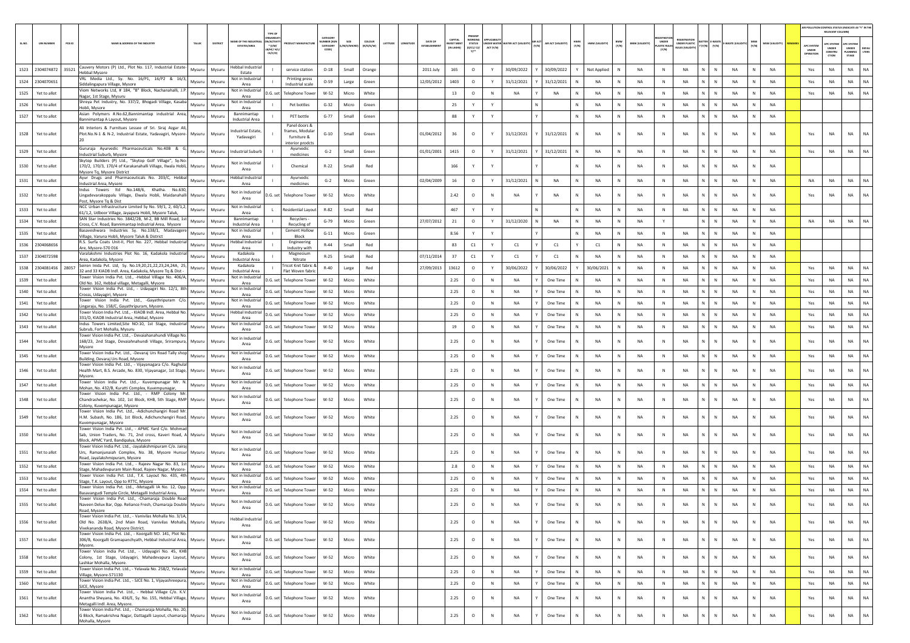|      |                   |                   |        |                                                                                                                                                             |                  |                  |                                                |                                                    |                                                    |                                                  |                          |                            |                     |                        |                                  |                                                        |                                |                  |                                             |                  |                 |              |                        |                                      |                                                            |                                        |                 |                  |                       |                                 |                                                      | AIR POLLUTION CONTROL STATUS (INDICATE AS "Y" IN THE<br>RELEVANT COLUMN) |                 |
|------|-------------------|-------------------|--------|-------------------------------------------------------------------------------------------------------------------------------------------------------------|------------------|------------------|------------------------------------------------|----------------------------------------------------|----------------------------------------------------|--------------------------------------------------|--------------------------|----------------------------|---------------------|------------------------|----------------------------------|--------------------------------------------------------|--------------------------------|------------------|---------------------------------------------|------------------|-----------------|--------------|------------------------|--------------------------------------|------------------------------------------------------------|----------------------------------------|-----------------|------------------|-----------------------|---------------------------------|------------------------------------------------------|--------------------------------------------------------------------------|-----------------|
|      |                   | <b>UIN NUMBER</b> | PCB ID | AME & ADDRESS OF THE INDUSTR                                                                                                                                | TALUR            | DISTRICT         | ME OF THE INDUST<br><b>ESTATES/AREA</b>        | <b>VACTIV</b><br>$*(1/M)^*$<br>8/HC/ H/L<br>CE/C/O |                                                    | CATEGOR<br><b>UMBER DOG</b><br>CATEGORY<br>CODE) | SIZE<br><b>M/S/MICRO</b> | <b>COLOUR</b><br>(R/O/G/W) | ATITUDE<br>LONGITUD | DATE OF<br>ESTABLISHME | CAPITAL<br>VEST MI<br>(IN LAKHS) | PRESENT<br><b>NORKING</b><br>STATUS<br>(0/01/02/<br>Y1 | <b>FR WATER</b><br>ACT $(Y/N)$ | TER ACT (VALIDIT | AIR ACT<br><b>NR ACT (VALIDITY</b><br>(Y/N) | HWM<br>(Y/N)     | HWM (VALIDITY)  | BMW<br>(Y/N) | <b>BMW (VALIDITY</b>   | UNDER<br><b>LASTIC RULE</b><br>(Y/N) | <b>REGISTRATI</b><br><b>INDER PLASTIC</b><br>ULES (VALIDIT | <b>ITTER E-WAST</b><br>$(Y/N)$ $(Y/N)$ | E-WASTE (VALII  | MSW<br>(Y/N)     | <b>MSW (VALIDITY)</b> | APC SYSTER<br>UNDER<br>OPERATIO | <b>PC SYSTEM</b><br><b>UNDER</b><br>CONSTRU<br>CTION | <b>UPC SYSTE</b><br>UNDER<br>LANNIN<br>STAGE                             | DEFAL<br>LTERS  |
|      | 1523 2304074872   |                   | 35521  | Cauvery Motors (P) Ltd., Plot No. 117, Industrial Estate-<br>Hebbal Mysore                                                                                  | Mysuru           | Mysuru           | lebbal Industrial<br>Estate                    |                                                    | service station                                    | $O-18$                                           | Small                    | Orange                     |                     | 2011 July              | 165                              | $\circ$                                                | Y                              | 30/09/2022       | 30/09/2022                                  |                  | Not Applied     |              | NA                     | N                                    | NA                                                         | $\mathbb{N}$<br>N                      | NA              | N                | NA                    | Yes                             | NA                                                   | <b>NA</b>                                                                | NA              |
|      | 1524 2304070651   |                   |        | VRL Media Ltd., Sy. No. 16/P1, 16/P2 & 16/3<br>Siddalingapura Village, Mysore                                                                               | Mysuru           | Mysuru           | Not in Industria<br>Area                       |                                                    | Printing press<br>Industrial scale                 | $O - 59$                                         | Large                    | Green                      |                     | 12/05/2012             | 1403                             | $\circ$                                                | Y                              | 31/12/2021       | 31/12/2021                                  | $\mathbb{N}$     | <b>NA</b>       |              | <b>NA</b>              | $\mathbb{N}$                         | <b>NA</b>                                                  | N<br>$\mathbb{N}$                      | <b>NA</b>       | N                | <b>NA</b>             | Yes                             | NA                                                   | <b>NA</b>                                                                | <b>NA</b>       |
| 1525 |                   | Yet to allot      |        | Viom Networks Ltd, # 184, "B" Block, Nachanahalli, J.I<br>Nagar, 1st Stage, Mysuru                                                                          | Mysuru           | Mysuri           | Not in Industrial<br>Area                      | D.G. set                                           | <b>Telephone Tower</b>                             | $W-52$                                           | Micro                    | White                      |                     |                        | 13                               | $\circ$                                                | <b>N</b>                       | <b>NA</b>        | <b>NA</b>                                   | N                | <b>NA</b>       |              | <b>NA</b>              | N                                    | <b>NA</b>                                                  | N<br>$\mathbb N$                       | <b>NA</b>       | N                | NA                    | Yes                             | NA                                                   | <b>NA</b>                                                                | <b>NA</b>       |
| 1526 |                   | Yet to allot      |        | Shreya Pet Industry, No. 337/2, Bhogadi Village, Kasab<br>Hobli, Mysore                                                                                     | Mysuru           | Mysuri           | Not in Industrial<br>Area                      |                                                    | Pet bottles                                        | $G-32$                                           | Micro                    | Green                      |                     |                        | 25                               | Y                                                      | Y                              |                  |                                             | N                | NA              |              | <b>NA</b>              | N                                    | <b>NA</b>                                                  | N<br>N                                 | <b>NA</b>       | $\mathbb N$      | NA                    |                                 |                                                      |                                                                          |                 |
| 1527 |                   | Yet to allot      |        | Asian Polymers #.No.62,Bannimantap industrial Area,<br>Bannimantap A Layout, Mysore                                                                         | Mysuru           | Mysuru           | Bannimantap<br><b>Industrial Area</b>          |                                                    | PET bottle                                         | $G-77$                                           | Small                    | Green                      |                     |                        | 88                               | Y                                                      | Y                              |                  |                                             | N                | NA              | N            | NA                     | N                                    | NA                                                         | N<br>$\mathbb N$                       | NA              | N                | NA                    |                                 |                                                      |                                                                          |                 |
| 1528 |                   | Yet to allot      |        | Ali Interiors & Furnitues Lessee of Sri. Siraj Azgar A<br>Plot.No.N-1 & N-2, Industrial Estate, Yadavagiri, Mysore                                          | Mysuru           | Mysuru           | dustrial Estate,<br>Yadavagiri                 |                                                    | Panel doors &<br>frames, Modulai<br>furniture &    | $G-10$                                           | Small                    | Green                      |                     | 01/04/2012             | 36                               | $\circ$                                                | Y                              | 31/12/2021       | 31/12/2021                                  | N                | NA              |              | <b>NA</b>              | N                                    | <b>NA</b>                                                  | N<br>N                                 | <b>NA</b>       |                  | NA                    | Yes                             | <b>NA</b>                                            | <b>NA</b>                                                                |                 |
| 1529 |                   | Yet to allot      |        | Gururaja Ayurvedic Pharmaceuticals No.40B & G<br>ndustrial Suburb, Mysore                                                                                   | Mysuru           | Mysuru           | Industrial Suburb                              |                                                    | interior prodcts<br>Ayurvedic<br>medicines         | $G-2$                                            | Small                    | Green                      |                     | 01/01/2001             | 1415                             | $\circ$                                                | Y                              | 31/12/2021       | 31/12/2021                                  | N                | <b>NA</b>       | N            | <b>NA</b>              | $\mathbb N$                          | <b>NA</b>                                                  | N<br>$\mathbb N$                       | <b>NA</b>       | N                | NA                    | Yes                             | NA                                                   | <b>NA</b>                                                                | NA              |
| 1530 |                   | Yet to allot      |        | Skytop Builders (P) Ltd., "Skytop Golf Village", Sy.No<br>170/2, 170/3, 170/4 of Karakanahalli Village, Ilwala Hobli,                                       | Mysuru           | Mysuru           | Not in Industrial                              |                                                    | Chemical                                           | $R - 22$                                         | Small                    | Red                        |                     |                        | 166                              | Y                                                      |                                |                  |                                             | N                | <b>NA</b>       | N            | <b>NA</b>              | N                                    | <b>NA</b>                                                  | N<br>$\mathbb{N}$                      | <b>NA</b>       | N                | <b>NA</b>             |                                 |                                                      |                                                                          |                 |
|      |                   |                   |        | Mysore Tq, Mysore District<br>Ayur Drugs and Pharmaceuticals No. 203/C, Hebba                                                                               |                  |                  | Area<br>lebbal Industrial                      |                                                    | Ayurvedic                                          |                                                  |                          |                            |                     |                        |                                  |                                                        |                                |                  |                                             |                  |                 |              |                        |                                      |                                                            |                                        |                 |                  |                       |                                 |                                                      |                                                                          |                 |
| 1531 |                   | Yet to allot      |        | Industrial Area, Mysore<br>Indus Towers Itd No.148/6, Khatha. No.630                                                                                        | Mysuru           | Mysuru           | Area                                           |                                                    | medicines                                          | $G-2$                                            | Micro                    | Green                      |                     | 02/04/2009             | 16                               | $\circ$                                                | Y                              | 31/12/2021       | <b>NA</b>                                   | N                | <b>NA</b>       | N            | NA                     | $\mathbb N$                          | <b>NA</b>                                                  | N<br>N                                 | <b>NA</b>       | N                | NA                    | <b>NA</b>                       | NA                                                   | <b>NA</b>                                                                | <b>NA</b>       |
| 1532 |                   | Yet to allot      |        | Lingadevarakoppalu Village, Elwala Hobli, Maidanahalli<br>Post, Mysore Tq & Dist<br>NCC Urban Infrastructure Limited Sy No. 59/1, 2, 60/1,2                 | Mysuru           | Mysuri           | Not in Industrial<br>Area<br>Not in Industrial |                                                    | D.G. set Telephone Tower                           | W-52                                             | Micro                    | White                      |                     |                        | 2.42                             | $\circ$                                                | N                              | NA               | <b>NA</b>                                   | N                | <b>NA</b>       |              | <b>NA</b>              | N                                    | <b>NA</b>                                                  | $\mathbb{N}$<br>$\mathbb{N}$           | <b>NA</b>       | N                | <b>NA</b>             | Yes                             | NA                                                   | NA                                                                       | <b>NA</b>       |
|      | 1533 Yet to allot |                   |        | 61/1,2, Udboor Village, Jayapura Hobli, Mysore Taluk,<br>SAN Star Industries No. 3842/2B, M-2, BB Mill Road, 1s                                             | Mysuru           | Mysuri           | Area<br>Bannimantap                            |                                                    | <b>Residential Lavout</b><br>Recyclers             | R-82                                             | Small                    | Red                        |                     |                        | 467                              | Y                                                      | Y                              |                  |                                             | N                | <b>NA</b>       |              | <b>NA</b>              | $\mathbb N$                          | <b>NA</b>                                                  | N<br>$\mathbb N$                       | <b>NA</b>       | N                | NA                    |                                 |                                                      |                                                                          |                 |
| 1534 |                   | Yet to allot      |        | Cross, C.V. Road, Bannimantap Indsutrial Area, Mysore<br>Basaveshwara Industries Sy. No.138/1, Madavagen                                                    | Mysuru           | Mysuri           | <b>Industrial Area</b><br>Not in Industrial    |                                                    | Recycling of<br><b>Cement Hollow</b>               | $G-79$                                           | Micro                    | Green                      |                     | 27/07/2012             | 21                               | $\circ$                                                | Y                              | 31/12/2020       | <b>NA</b>                                   | $\mathbb{N}$     | NA              |              | <b>NA</b>              |                                      |                                                            | N<br>N                                 | <b>NA</b>       | $\mathbb N$      | NA                    | <b>NA</b>                       | NA                                                   | NA                                                                       | <b>NA</b>       |
| 1535 |                   | Yet to allot      |        | Village, Varuna Hobli, Mysore Taluk & District<br>R.S. Surfa Coats Unit-II, Plot No. 227, Hebbal Industria                                                  | Mysuru           | Mysuri           | Area<br>ebbal Industrial                       |                                                    | Block<br>Engineering                               | $G-11$                                           | Micro                    | Green                      |                     |                        | 8.56                             | Y                                                      | Y                              |                  |                                             | $\mathbb N$      | NA              | N            | NA                     | N                                    | NA                                                         | N<br>$\mathbb N$                       | NA              | N                | NA                    |                                 |                                                      |                                                                          |                 |
| 1536 |                   | 2304068656        |        | Are, Mysore-570 016<br>Varalakshmi Industries Plot No. 16, Kadakola Industria                                                                               | Mysuru           | Mysuru           | Area<br>Kadakola                               |                                                    | Industry with<br>Magnesium                         | $R-44$                                           | Small                    | Red                        |                     |                        | 83                               | C1                                                     | Y                              | C1               | C1                                          | Y                | C1              |              | NA                     | N                                    | NA                                                         | $\mathbb{N}$<br>N                      | NA              | ${\sf N}$        | <b>NA</b>             |                                 |                                                      |                                                                          |                 |
|      | 1537 2304072598   |                   |        | Area, Kadakola, Mysore<br>Seiren Inida Pvt. Ltd, Sy. No.19,20,21,22,23,24,24A, 25                                                                           | Mysuru           | Mysuri           | Industrial Area<br>Kadakola                    |                                                    | Nitrate<br>Tricot Knit fabric &                    | $R-25$                                           | Small                    | Red                        |                     | 07/11/2014             | 37                               | C1                                                     | Y                              | C1               | C1                                          | $\mathbb N$      | <b>NA</b>       |              | <b>NA</b>              | N                                    | <b>NA</b>                                                  | N<br>$\mathbb{N}$                      | <b>NA</b>       | N                | <b>NA</b>             |                                 |                                                      |                                                                          |                 |
|      | 1538 2304081456   |                   | 28057  | 32 and 33 KIADB Indl. Area, Kadakola, Mysore Tq & Dist -<br>Tower Vision India Pvt. Ltd., -Hebbal Village No. 406//                                         | Mysuru           | Mysuru           | Industrial Area<br>Not in Industrial           | - 11                                               | Flat Woven fabric                                  | $R - 40$                                         | Large                    | Red                        |                     | 27/09/2013             | 13612                            | $\circ$                                                | Y                              | 30/06/2022       | 30/06/2022                                  | Y                | 30/06/2021      |              | <b>NA</b>              | N                                    | <b>NA</b>                                                  | N<br>$\mathbb N$<br>N                  | <b>NA</b>       | N<br>$\mathbb N$ | <b>NA</b>             | Yes                             | NA                                                   | <b>NA</b>                                                                | NA              |
| 1539 |                   | Yet to allot      |        | Old No. 162, Hebbal village, Metagalli, Mysore<br>Tower Vision India Pvt. Ltd., - Udayagiri No. 12/1, 8tl                                                   | Mysuru           | Mysuri           | Area<br>Not in Industrial                      |                                                    | D.G. set Telephone Tower                           | W-52                                             | Micro                    | White                      |                     |                        | 2.25                             | $\circ$                                                | $\mathbb{N}$                   | <b>NA</b>        | One Time                                    | N                | NA              |              | <b>NA</b>              | N                                    | <b>NA</b>                                                  | N                                      | <b>NA</b>       |                  | NA                    | Yes                             | NA                                                   | <b>NA</b>                                                                | NA              |
| 1540 |                   | Yet to allot      |        | Crosss, Udayagiri, Mysore<br>Tower Vision India Pvt. Ltd., -Gayathripuram C/                                                                                | Mysuru           | Mysuru           | Area<br>Not in Industrial                      | D.G. set                                           | <b>Telephone Tower</b>                             | W-52                                             | Micro                    | White                      |                     |                        | 2.25                             | $\circ$                                                | N                              | NA               | One Time                                    | N                | NA              | N            | NA                     | N                                    | NA                                                         | N<br>$\mathbb N$<br>$\mathbb{N}$       | NA              | N                | NA                    | Yes                             | NA                                                   | NA                                                                       | <b>NA</b><br>NA |
| 1541 |                   | Yet to allot      |        | Lingaraju, No. 158/C, Gayathripuram, Mysore.<br>Tower Vision India Pvt. Ltd., - KIADB Indl. Area. Hebbal No                                                 | Mysuru           | Mysuru           | Area<br>Hebbal Industria                       | D.G. set                                           | <b>Telephone Tower</b>                             | W-52                                             | Micro                    | White<br>White             |                     |                        | 2.25                             | $\circ$                                                | N<br>N                         | NA<br><b>NA</b>  | One Time                                    | N<br>$\mathbb N$ | NA<br><b>NA</b> |              | <b>NA</b><br><b>NA</b> | N<br>$\mathbb N$                     | NA<br><b>NA</b>                                            | ${\sf N}$<br>N<br>$\mathbb{N}$         | NA<br><b>NA</b> | ${\sf N}$<br>N   | NA<br><b>NA</b>       | Yes                             | NA                                                   | NA                                                                       | NA              |
| 1542 | 1543 Yet to allot | Yet to allot      |        | 331/D, KIADB Industrial Area, Hebbal, Mysore<br>Indus Towers Limited, Site NO:10, 1st Stage, Industria                                                      | Mysuru<br>Mysuru | Mysuru<br>Mysuru | Area<br>Not in Industrial                      | D.G. set                                           | <b>Telephone Tower</b><br>D.G. set Telephone Tower | $W-52$<br>W-52                                   | Micro<br>Micro           | White                      |                     |                        | 2.25<br>19                       | $\circ$<br>$\circ$                                     | N                              | <b>NA</b>        | One Time<br>One Time                        | N                | <b>NA</b>       | -N           | <b>NA</b>              | N                                    | <b>NA</b>                                                  | N<br>$\mathbb N$                       | <b>NA</b>       | N                | <b>NA</b>             | Yes<br>Yes                      | NA<br>NA                                             | NA<br><b>NA</b>                                                          | NA              |
|      |                   |                   |        | subrub, Fort Mohalla, Mysuru<br>Tower Vision India Pvt. Ltd., - Devaiahanahundi Village N                                                                   |                  |                  | Area<br>Not in Industrial                      |                                                    |                                                    |                                                  |                          |                            |                     |                        |                                  |                                                        |                                |                  |                                             |                  |                 |              |                        |                                      |                                                            |                                        |                 |                  |                       |                                 |                                                      |                                                                          |                 |
| 1544 |                   | Yet to allot      |        | 168/23, 2nd Stage, Devaiahnahundi Village, Srirampura,<br>Mysore                                                                                            | Mysuru           | Mysuru           | Area                                           |                                                    | D.G. set Telephone Tower                           | $W-52$                                           | Micro                    | White                      |                     |                        | 2.25                             | $\circ$                                                | <b>N</b>                       | <b>NA</b>        | One Time                                    | $\mathbb{N}$     | <b>NA</b>       | N            | <b>NA</b>              | N                                    | <b>NA</b>                                                  | N<br>$\mathbb N$                       | <b>NA</b>       | N                | <b>NA</b>             | Yes                             | <b>NA</b>                                            | <b>NA</b>                                                                | NA              |
| 1545 |                   | Yet to allot      |        | Tower Vision India Pvt. Ltd., -Devaraj Urs Road Tally sho<br>Building, Devaraj Urs Road, Mysore                                                             | Mysuru           | Mysuru           | Not in Industrial<br>Area                      |                                                    | D.G. set Telephone Tower                           | W-52                                             | Micro                    | White                      |                     |                        | 2.25                             | $\circ$                                                | N                              | <b>NA</b>        | One Time                                    | N                | <b>NA</b>       | <b>N</b>     | <b>NA</b>              | $\mathbb N$                          | <b>NA</b>                                                  | N<br>N                                 | NA              | N                | NA                    | Yes                             | NA                                                   | <b>NA</b>                                                                | NA              |
| 1546 |                   | Yet to allot      |        | Tower Vision India Pvt. Ltd., - Vijayanagara C/o. Raghula<br>Health Mart, B.S. Arcade, No. 830, Vijayanagar, 1st Stage,<br>Mysore.                          | Mysuru           | Mysuri           | Not in Industrial<br>Area                      |                                                    | D.G. set Telephone Tower                           | $W-52$                                           | Micro                    | White                      |                     |                        | 2.25                             | $\circ$                                                | $\mathbb{N}$                   | <b>NA</b>        | One Time                                    | N                | <b>NA</b>       |              | <b>NA</b>              | N                                    | <b>NA</b>                                                  | $\mathbb{N}$<br>N                      | <b>NA</b>       | N                | <b>NA</b>             | Yes                             | NA                                                   | NA                                                                       | <b>NA</b>       |
| 1547 |                   | Yet to allot      |        | Tower Vision India Pvt. Ltd.,- Kuvempunagar Mr. M<br>Mohan, No. 432/B, Kuratti Complex, Kuvempunagar,                                                       | Mysuru           | Mysuri           | Not in Industrial<br>Area                      |                                                    | D.G. set Telephone Tower                           | $W-52$                                           | Micro                    | White                      |                     |                        | 2.25                             | $\circ$                                                | N                              | <b>NA</b>        | One Time                                    | N                | <b>NA</b>       | N            | <b>NA</b>              | N                                    | <b>NA</b>                                                  | N<br>$\mathbb N$                       | <b>NA</b>       | N                | <b>NA</b>             | Yes                             | NA                                                   | <b>NA</b>                                                                | NA              |
| 1548 |                   | Yet to allot      |        | Tower Vision India Pvt. Ltd., - RMP Colony M<br>Chandrashekar, No. 102, 1st Block, KHB, 5th Stage, RMP Mysuru<br>Colony, Kuvempunagar, Mysore               |                  | Mysuru           | Not in Industrial<br>Area                      |                                                    | D.G. set Telephone Tower                           | $W-52$                                           | Micro                    | White                      |                     |                        | 2.25                             | $\circ$                                                | <b>N</b>                       | <b>NA</b>        | One Time                                    | $\mathbb{N}$     | <b>NA</b>       | N            | <b>NA</b>              | N                                    | <b>NA</b>                                                  | $\mathbb{N}$<br>$\mathbb N$            | <b>NA</b>       | N                | <b>NA</b>             | Yes                             | <b>NA</b>                                            | <b>NA</b>                                                                | <b>NA</b>       |
| 1549 |                   | Yet to allot      |        | Tower Vision India Pvt. Ltd., -Adichunchangiri Road Mr<br>H.M. Subash, No. 186, 1st Block, Adichunchangiri Road,<br>Kuvempunagar, Mysore                    | Mysuru           | Mysuru           | Not in Industrial<br>Area                      |                                                    | D.G. set Telephone Tower                           | $W-52$                                           | Micro                    | White                      |                     |                        | 2.25                             | $\circ$                                                | N                              | <b>NA</b>        | One Time                                    | N                | <b>NA</b>       |              | <b>NA</b>              | $\mathbb N$                          | <b>NA</b>                                                  | $\mathbb{N}$                           | <b>NA</b>       |                  | <b>NA</b>             | Yes                             | NA                                                   | <b>NA</b>                                                                | <b>NA</b>       |
| 1550 |                   | Yet to allot      |        | Tower Vision India Pvt. Ltd., - APMC Yard C/o. Mohma<br>Sab, Union Traders, No. 71, 2nd cross, Kaveri Road,<br>Block, APMC Yard, Bandipalya, Mysore         | Mysuru           | Mysuru           | Not in Industrial<br>Area                      |                                                    | D.G. set Telephone Tower                           | $W-52$                                           | Micro                    | White                      |                     |                        | 2.25                             | $\circ$                                                |                                | <b>NA</b>        | One Time                                    | $\mathbb{N}$     | <b>NA</b>       |              | <b>NA</b>              | $\mathbb N$                          | <b>NA</b>                                                  | $\mathbb{N}$<br>$\mathbb{N}$           | <b>NA</b>       | N                | <b>NA</b>             | Yes                             | NA                                                   | NA                                                                       | NA              |
| 1551 |                   | Yet to allot      |        | Tower Vision India Pvt. Ltd., -Javalakshmipuram C/o. Jaira<br>Urs, Ramanjunaiah Complex, No. 38, Mysore Hunsur<br>Road, Javalakshmipuram, Mysore            | Mysuru           | Mysuru           | Not in Industrial<br>Area                      |                                                    | D.G. set Telephone Tower                           | $W-52$                                           | Micro                    | White                      |                     |                        | 2.25                             | $\circ$                                                | $\mathbb N$                    | <b>NA</b>        | One Time                                    | $\mathbb N$      | NA              | N            | <b>NA</b>              | $\mathbb N$                          | NA                                                         | $\mathbf{N}$<br>$\mathbb{N}$           | <b>NA</b>       | N                | NA                    | Yes                             | NA                                                   | NA                                                                       | NA              |
| 1552 |                   | Yet to allot      |        | Tower Vision India Pvt. Ltd., - Rajeev Nagar No. 83, 1:<br>Stage, Mahadevpuram Main Road, Rajeev Nagar, Mysore                                              | Mysuru           | Mysuru           | Not in Industrial<br>Area                      |                                                    | D.G. set Telephone Tower                           | $W-52$                                           | Micro                    | White                      |                     |                        | 2.8                              | $\circ$                                                | N                              | NA               | One Time                                    | $\mathbb N$      | NA              | N            | NA                     | N                                    | NA                                                         | N<br>$\,$ N                            | NA              | N                | NA                    | Yes                             | NA                                                   | NA                                                                       | <b>NA</b>       |
| 1553 |                   | Yet to allot      |        | Tower Vision India Pvt. Ltd., T.K. Layout No. 435, 4t<br>Stage, T.K. Layout, Opp to RTTC, Mysore                                                            | Mysuru           | Mysuru           | Not in Industrial<br>Area                      |                                                    | D.G. set Telephone Tower                           | $W-52$                                           | Micro                    | White                      |                     |                        | 2.25                             | $\circ$                                                | $\mathbb N$                    | <b>NA</b>        | One Time                                    | N                | <b>NA</b>       |              | NA                     | $\mathsf{N}$                         | NA                                                         | N                                      | <b>NA</b>       | N                | NA                    | Yes                             | NA                                                   | NA                                                                       | NA              |
| 1554 |                   | Yet to allot      |        | Tower Vision India Pvt. Ltd., -Metagalli IA No. 12, Opp<br>Basavangudi Temple Circle, Metagalli Industrial Area,                                            | Mysuru           | Mysuru           | Not in Industria<br>Area                       |                                                    | D.G. set Telephone Tower                           | W-52                                             | Micro                    | White                      |                     |                        | 2.25                             | $\circ$                                                | N                              | <b>NA</b>        | One Time                                    | $\mathbb N$      | <b>NA</b>       |              | <b>NA</b>              | $\mathbb N$                          | <b>NA</b>                                                  | $\mathbb{N}$<br>$\mathbb{N}$           | <b>NA</b>       | N                | <b>NA</b>             | Yes                             | NA                                                   | <b>NA</b>                                                                | <b>NA</b>       |
| 1555 |                   | Yet to allot      |        | Tower Vision India Pvt. Ltd., -Chamaraja Double Roa<br>Naveen Delux Bar, Opp. Reliance Fresh, Chamaraja Double<br>Road, Mysore                              | Mysuru           | Mysuru           | Not in Industrial<br>Area                      |                                                    | D.G. set Telephone Tower                           | W-52                                             | Micro                    | White                      |                     |                        | 2.25                             | $\circ$                                                |                                | NA               | One Time                                    | N                |                 |              | <b>NA</b>              |                                      | NA                                                         |                                        |                 |                  | NA                    | Yes                             | NA                                                   | <b>NA</b>                                                                |                 |
| 1556 |                   | Yet to allot      |        | Tower Vision India Pyt. 1td. - Vanivilas Mohalla No. 3/1/<br>Old No. 2638/A, 2nd Main Road, Vanivilas Mohalla, Mysuru<br>Vivekananda Road, Mysore District. |                  | Mysuru           | Hebbal Industrial<br>Area                      |                                                    | D.G. set Telephone Tower                           | $W-52$                                           | Micro                    | White                      |                     |                        | 2.25                             | $\circ$                                                | N                              | <b>NA</b>        | One Time                                    | $\mathbb N$      | <b>NA</b>       | N            | <b>NA</b>              | $\mathbb{N}$                         | <b>NA</b>                                                  | $\mathbb{N}$<br>$\mathbb{N}$           | <b>NA</b>       | $\mathsf{N}$     | <b>NA</b>             | Yes                             | NA                                                   | <b>NA</b>                                                                | NA              |
| 1557 |                   | Yet to allot      |        | Tower Vision India Pyt. Ltd. - Koorgalli NO. 141. Plot No.<br>306/B, Koorgalli Gramapanchyath, Hebbal Industrial Area, Mysuru<br>Mysore.                    |                  | Mysuru           | Not in Industrial<br>Area                      |                                                    | D.G. set Telephone Tower                           | W-52                                             | Micro                    | White                      |                     |                        | 2.25                             | $\circ$                                                | N                              | NA               | One Time                                    | $\mathbb N$      | NA              | N            | NA                     | N                                    | NA                                                         | $\mathbb{N}$<br>$\mathbb N$            | NA              | ${\sf N}$        | NA                    | Yes                             | NA                                                   | <b>NA</b>                                                                | <b>NA</b>       |
| 1558 |                   | Yet to allot      |        | Tower Vision India Pvt. Ltd., - Udayagiri No. 45, KHE<br>Colony, 1st Stage, Udayagiri, Mahadevapura Layout, Mysuru<br>Lashkar Mohalla, Mysore.              |                  | Mysuru           | Not in Industrial<br>Area                      |                                                    | D.G. set Telephone Tower                           | W-52                                             | Micro                    | White                      |                     |                        | 2.25                             | $\circ$                                                | $\mathbb N$                    | <b>NA</b>        | One Time                                    | N                | NA              | N            | <b>NA</b>              | $\mathbb N$                          | NA                                                         | $\mathbb{N}$<br>$\mathbb N$            | <b>NA</b>       | N                | <b>NA</b>             | Yes                             | NA                                                   | NA                                                                       | <b>NA</b>       |
| 1559 |                   | Yet to allot      |        | Tower Vision India Pvt. Ltd., - Yelavala No. 258/2, Yelavala<br>Village, Mysore-571130                                                                      | Mysuru           | Mysuru           | Not in Industrial<br>Area                      |                                                    | D.G. set Telephone Tower                           | W-52                                             | Micro                    | White                      |                     |                        | 2.25                             | $\circ$                                                | N                              | <b>NA</b>        | One Time                                    | N                | NA              | N            | NA                     | N                                    | NA                                                         | N<br>N                                 | NA              | N                | <b>NA</b>             | Yes                             | NA                                                   | <b>NA</b>                                                                | NA              |
| 1560 |                   | Yet to allot      |        | Tower Vision India Pvt. Ltd., - SJCE No. 1, Vijayashreepura,<br>SJCE, Mysore                                                                                | Mysuru           | Mysuru           | Not in Industrial<br>Area                      |                                                    | D.G. set Telephone Tower                           | $W-52$                                           | Micro                    | White                      |                     |                        | 2.25                             | $\circ$                                                | N                              | NA               | One Time                                    | N                | NA              | N            | NA                     | $\,$ N                               | NA                                                         | N<br>$\,$ N                            | <b>NA</b>       | N                | <b>NA</b>             | Yes                             | NA                                                   | NA                                                                       | <b>NA</b>       |
| 1561 |                   | Yet to allot      |        | Tower Vision India Pvt. Ltd., - Hebbal Village C/o. K.V<br>Anantha Sheyana, No. 436/E, Sy. No. 155, Hebbal Village,<br>Metagalli Indl. Area, Mysore.        | Mysuru           | Mysuru           | Not in Industrial<br>Area                      |                                                    | D.G. set Telephone Tower                           | $W-52$                                           | Micro                    | White                      |                     |                        | 2.25                             | $\circ$                                                | $\,$ N                         | NA               | One Time                                    | $\mathbb N$      | NA              |              | NA                     | N                                    | <b>NA</b>                                                  | N<br>$\mathbb{N}$                      | NA              | ${\sf N}$        | NA                    | Yes                             | NA                                                   | NA                                                                       | <b>NA</b>       |
| 1562 |                   | Yet to allot      |        | Tower Vision India Pvt. Ltd., - Chamaraja Mohalla, No. 20<br>G Block, Ramakrishna Nagar, Dattagalli Layout, chamaraja Mysuru<br>Mohalla, Mysore             |                  | Mysuru           | Not in Industrial<br>Area                      |                                                    | D.G. set Telephone Tower                           | $W-52$                                           | Micro                    | White                      |                     |                        | 2.25                             | $\circ$                                                | $\,$ N                         | <b>NA</b>        | One Time                                    | $\mathsf N$      | NA              | N            | NA                     | $\mathbb N$                          | NA                                                         | $\mathbb N$<br>N                       | NA              | N                | NA                    | Yes                             | NA                                                   | <b>NA</b>                                                                | $_{\sf NA}$     |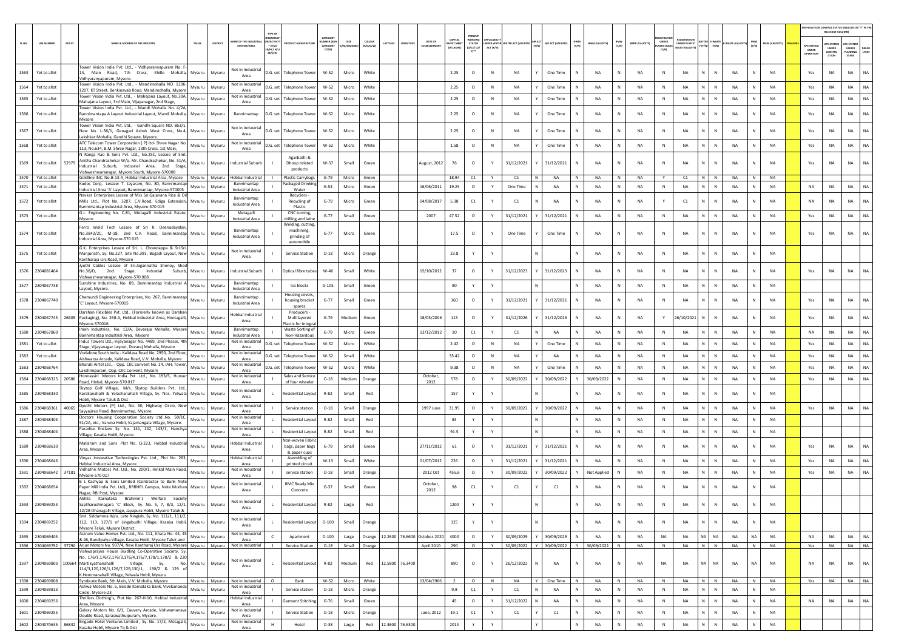|        |                       |        |                                                                                                                                                                                                                             |               |                                        |                                                                           |                               |              |                     |                 |                 |                                     |                                   |                                                         |              |                                 |                    |              |                                |                       |                             |                                                    |                    |               |                |                |                                  | RELEVANT COLUMNI                              | AIR POLLUTION CONTROL STATUS (INDICATE AS "Y" IN THI                    |
|--------|-----------------------|--------|-----------------------------------------------------------------------------------------------------------------------------------------------------------------------------------------------------------------------------|---------------|----------------------------------------|---------------------------------------------------------------------------|-------------------------------|--------------|---------------------|-----------------|-----------------|-------------------------------------|-----------------------------------|---------------------------------------------------------|--------------|---------------------------------|--------------------|--------------|--------------------------------|-----------------------|-----------------------------|----------------------------------------------------|--------------------|---------------|----------------|----------------|----------------------------------|-----------------------------------------------|-------------------------------------------------------------------------|
| SL.NO. | <b>UIN NUMBER</b>     | PCB ID | NAME & ADDRESS OF THE INDUSTRY<br>TALUR                                                                                                                                                                                     | DISTRIC       | AME OF THE INDU<br><b>ESTATES/AREA</b> | <b>ACTIV</b><br><b>WUFACTUI</b><br>$^*$ (i/M/<br><b>B/HC/ H</b><br>CE/C/O | CATEGORY<br>CATEGORY<br>CODET | /M/S/MICI    | coLous<br>(R/O/G/W) | LATITUDE        |                 | DATE OF<br>ESTABLISHMEN             | CAPITAL<br>VEST MENT<br>(IN LAKHS | PRESENT<br><b>NORKING</b><br><b>STATUS</b><br>(0/C1/C2/ | ACT (Y/N)    | NDER WATER WATER ACT (VALIDITY) | AIR ACT (VALIDITY) | HWM<br>(Y/N) | BMW<br>(Y/N)<br>HWM (VALIDITY) | <b>BMW (VALIDITY)</b> | UNDER<br><b>LASTIC RULE</b> | <b>FOISTRATIO</b><br>UNDER PLASTIC<br>ULES (VALIDI | $Y(Y/N)$ $(Y/N)$   | E-WASTE (VALI | MSW<br>(Y/N)   | (YTIGLIAV) W2M | APC SYSTEM<br>UNDER<br>OPERATION | <b>PC SYSTEM</b><br>UNDER<br>CONSTRU<br>CTION | <b>UPC SYSTEM</b><br>UNDER<br><b>DEFAU</b><br>LTERS<br>LANNING<br>STAGE |
| 1563   | Yet to allot          |        | Tower Vision India Pvt. Ltd., - Vidhyaranyapuram No. F<br>14, Main Road, 7th Cross, Khille Mohalla,<br>Mysuru<br>Vidhyaranyapuram, Mysore.                                                                                  | Mysuru        | <b>Not in Industrial</b><br>Area       | <b>Telephone Tower</b><br>D.G. set                                        | W-52                          | Micro        | White               |                 |                 |                                     | 2.25                              | $\circ$                                                 | N            | <b>NA</b>                       | One Time           |              | $\mathsf N$<br>NA              | <b>NA</b>             | $\,$ N                      | <b>NA</b>                                          | N                  | NA            |                | <b>NA</b>      | Yes                              | NA                                            | <b>NA</b><br><b>NA</b>                                                  |
| 1564   | Yet to allot          |        | Tower Vision India Pvt. Ltd - Mandimohalla NO. 1206-<br>Mysuru<br>1207, KT Street, Benkinavab Road, Mandimohalla, Mysore                                                                                                    | Mysuru        | Not in Industrial<br>Area              | D.G. set<br><b>Telephone Tower</b>                                        | W-52                          | Micro        | White               |                 |                 |                                     | 2.25                              | $\circ$                                                 | N            | <b>NA</b>                       | One Time           |              | $\,$ N<br><b>NA</b>            | <b>NA</b>             | N                           | <b>NA</b>                                          | N<br>N             | <b>NA</b>     | N              | <b>NA</b>      | Yes                              | <b>NA</b>                                     | NA<br><b>NA</b>                                                         |
| 1565   | Yet to allot          |        | Tower Vision India Pyt. 1td. - Mahajana Lavout, No.30A<br>Mysuru<br>Mahajana Layout, 3rd Main, Vijayanagar, 2nd Stage,                                                                                                      | Mysuru        | Not in Industrial<br>Area              | D.G. set<br><b>Telephone Tower</b>                                        | W-52                          | Micro        | White               |                 |                 |                                     | 2.25                              | $\circ$                                                 | $\mathsf{N}$ | NA                              | One Time           |              | NA<br>N                        | NA                    | N                           | NA                                                 | N                  | NA            | $\mathbb N$    | NA             | Yes                              | NA                                            | NA<br>NA                                                                |
| 1566   | Yet to allot          |        | Tower Vision India Pvt. Ltd., - Mandi Mohalla No. 4/2A<br>Bannimantapa A Layout Industrial Layout, Mandi Mohalla,<br>Mysuru<br>Mysore                                                                                       | Mysuru        | Bannimantap                            | D.G. set<br><b>Telephone Tower</b>                                        | $W-52$                        | Micro        | White               |                 |                 |                                     | 2.25                              | $\circ$                                                 | N            | <b>NA</b>                       | One Time           |              | N<br>NA                        | <b>NA</b>             | $\mathbb{N}$                | <b>NA</b>                                          | $\mathsf{N}$       | <b>NA</b>     | $\mathbb N$    | <b>NA</b>      | Yes                              | <b>NA</b>                                     | NA<br><b>NA</b>                                                         |
| 1567   | Yet to allot          |        | Tower Vision India Pvt. Ltd., - Gandhi Square NO. 863/1,<br>New No. L-36/1, Genagari Ashok West Cross, No.4, Mysuru<br>Lakshkar Mohalla, Gandhi Square, Mysore.                                                             | Mysuru        | <b>Not in Industrial</b><br>Area       | <b>Telephone Tower</b><br>D.G. set                                        | W-52                          | Micro        | White               |                 |                 |                                     | 2.25                              | $\circ$                                                 | N            | <b>NA</b>                       | One Time           |              | <b>NA</b><br>N                 | <b>NA</b>             | N                           | <b>NA</b>                                          | N                  | <b>NA</b>     | N              | <b>NA</b>      | Yes                              | NA                                            | NA<br>NA                                                                |
|        | 1568 Yet to allot     |        | ATC Telecom Tower Corporation ( P) ltd- Shree Nagar No.<br>Mysuru<br>113, No.634, B.M. Shree Nagar, 13th Cross, 1st Main,                                                                                                   | Mysuru        | Not in Industrial<br>Area              | D.G. set<br><b>Telephone Tower</b>                                        | W-52                          | Micro        | White               |                 |                 |                                     | 1.58                              | $\circ$                                                 | $\mathbb{N}$ | <b>NA</b>                       | One Time           |              | $\,$ N<br><b>NA</b>            | <b>NA</b>             | $\,$ N                      | NA                                                 | N.<br>N            | <b>NA</b>     | N              | <b>NA</b>      | Yes                              | NA                                            | NA<br><b>NA</b>                                                         |
| 1569   | Yet to allot          | 52979  | N Ranga Rao & Sons Pvt. Ltd., No.25C, Lessee of Smt.<br>Anitha Chandrashekar W/o. Mr. Chandrashekar, No. 31/A,<br>Mysuru<br>Industrial Suburb, Indusrial Area, 2nd Stage,<br>Vishweshwaranagar, Mysore South, Mysore-570008 | Mysuru        | <b>Industrial Suburb</b>               | Agarbathi &<br>Dhoop related<br>products                                  | W-37                          | Small        | Green               |                 |                 | ugust, 2012                         | 76                                | $\circ$                                                 | Y            | 31/12/2021                      | 31/12/2021         |              | NA<br>N                        | NA                    | $\,$ N                      | NA                                                 | $\mathsf{N}$       | NA            |                | NA             | Yes                              | NA                                            | NA<br>NA                                                                |
|        | 1570 Yet to allot     |        | Goldline INC, No.B-13-A, Hebbal Industrial Area, Mysore Mysuru Mysuru<br>Kudos Corp, Lessee: T. Jayaram, No. 80, Bannimantap                                                                                                |               | Hebbal Industrial<br>Bannimantap       | Plastic Carrybags<br>ackaged Drinking                                     | $G-79$                        | Micro Green  |                     |                 |                 |                                     | 18.94                             | C1                                                      | Y            | C1<br>N I                       | <b>NA</b>          | N            | <b>NA</b><br>N                 | NA                    | Y                           | C1                                                 | N N                | <b>NA</b>     | N              | <b>NA</b>      |                                  |                                               |                                                                         |
| 1571   | Yet to allot          |        | Mysuru<br>dustrial Area 'A' Layout, Bannimantap, Mysore-570005                                                                                                                                                              | Mysuru        | <b>Industrial Area</b>                 | Water                                                                     | $G-54$                        | Micro        | Green               |                 |                 | 16/06/2011                          | 19.25                             | $\circ$                                                 | Y            | One Time                        | NA                 |              | NA<br>N                        | <b>NA</b>             | $\,$ N                      | NA                                                 | $\mathsf{N}$       | NA            | $\mathbb N$    | NA             | NA                               | NA                                            | NA<br><b>NA</b>                                                         |
|        | 1572 Yet to allot     |        | Navkar Enterprises Lessee of M/s Sri.Gajanana Rice & Oil<br>Mills Ltd Plot No. 3207, C.V.Road, Ediga Extension,<br>Mysuru<br>Bannimantap Industrial Area, Mysore-570 015                                                    | Mysuru        | Bannimantap<br>Industrial Area         | Recyclers<br>Recycling of<br>Plastic                                      | $G-79$                        | Micro        | Green               |                 |                 | 04/08/2017                          | 5.38                              | C1                                                      | Y            | C1                              | <b>NA</b>          |              | N<br>NA                        | <b>NA</b>             | Y                           | C1                                                 | N.<br>$\mathsf{N}$ | NA            | $\mathbb N$    | NA             | <b>NA</b>                        | <b>NA</b>                                     | NA<br><b>NA</b>                                                         |
|        | 1573 Yet to allot     |        | G.J. Engineering No. C-81, Metagalli Industrial Estate,<br>Mysuru<br>Mysore                                                                                                                                                 | Mysuru        | Metagalli<br><b>Industrial Area</b>    | CNC turning,<br>drilling and lathe                                        | $G-77$                        | Small        | Green               |                 |                 | 2007                                | 47.52                             | $\circ$                                                 | Y            | 31/12/2021                      | 31/12/2021         |              | NA<br>N                        | <b>NA</b>             | $\,$ N                      | NA                                                 | N                  | NA            | $\mathbb N$    | NA             | Yes                              | NA                                            | NA<br>NA                                                                |
|        | 1574 Yet to allot     |        | Ferro Weld Tech Lessee of Sri R. Deenadavalan<br>No.3842/2C, M-18, 2nd C.V. Road, Bannimantap Mysuru<br>Industrial Area, Mysore-570 015                                                                                     | Mysuru        | Bannimantap<br><b>Industrial Area</b>  | Welding, cutting,<br>machining,<br>grinding of<br>automobile              | $G - 77$                      | Micro        | Green               |                 |                 |                                     | 17.5                              | $\circ$                                                 |              | One Time                        | One Time           |              | <b>NA</b><br>N                 | <b>NA</b>             | N                           | NA                                                 | N<br>$\mathsf{N}$  | <b>NA</b>     | $\mathbb N$    | <b>NA</b>      | Yes                              | <b>NA</b>                                     | NA<br>NA                                                                |
|        | 1575 Yet to allot     |        | G.K. Enterprises Lessee of Sri. L. Chowdappa & Sri.Sri.<br>Manjunath, Sy. No.227, Site No.391, Bogadi Layout, New<br>Mysuru<br>Kantharaja Urs Road, Mysore                                                                  | Mysuru        | <b>Not in Industrial</b><br>Area       | <b>Service Station</b>                                                    | $O-18$                        | Micro        | Orange              |                 |                 |                                     | 23.8                              | Y                                                       | $\mathsf{Y}$ |                                 |                    |              | N<br>NA                        | NA                    | N                           | NA                                                 | N.<br>$\mathsf{N}$ | NA            | N              | NA             |                                  |                                               |                                                                         |
|        | 1576 2304081464       |        | Jyothi Cables Lessee of Sri.Jagannatha Shenoy, Shed<br>No.38/D, 2nd Stage,<br>Industial<br>Suburb, Mysuru<br>Vishweshwaranagar, Mysore-570 008                                                                              | Mysuru        | <b>Industrial Suburb</b>               | Optical fibre tubes                                                       | W-46                          | Small        | White               |                 |                 | 15/10/2012                          | 37                                | $\circ$                                                 | Y            | 31/12/2023                      | 31/12/2023         |              | <b>NA</b><br>N                 | <b>NA</b>             | N                           | <b>NA</b>                                          | $\mathsf{N}$<br>N  | <b>NA</b>     | N              | <b>NA</b>      | Yes                              | <b>NA</b>                                     | <b>NA</b><br><b>NA</b>                                                  |
|        | 1577 2304067738       |        | Sunshine Industries, No. 89, Bannimantap Industrial A<br>Mysuru<br>ayout, Mysore.                                                                                                                                           | Mysuru        | Bannimantap<br><b>Industrial Area</b>  | Ice blocks                                                                | $G-105$                       | Small        | Green               |                 |                 |                                     | 90                                | Y                                                       | $\mathsf{Y}$ |                                 |                    |              | N<br><b>NA</b>                 | NA                    | N                           | NA                                                 | N<br>N             | NA            | $\mathbb N$    | NA             |                                  |                                               |                                                                         |
|        | 1578 2304067740       |        | Chamundi Engineering Enterprises, No. 267, Bannimantap<br>Mysuru<br>C' Layout, Mysore-570015                                                                                                                                | Mysuru        | Bannimantap<br>Industrial Area         | <b>Housing covers</b><br>housing bracket<br>spares                        | $G - 77$                      | Small        | Green               |                 |                 |                                     | 160                               | $\circ$                                                 | Y            | 31/12/2021                      | 31/12/2021         |              | <b>NA</b><br>N                 | <b>NA</b>             | N                           | <b>NA</b>                                          | $\mathsf{N}$<br>N  | <b>NA</b>     | N              | <b>NA</b>      | Yes                              | <b>NA</b>                                     | <b>NA</b><br><b>NA</b>                                                  |
|        |                       |        | Darshan Flexibles Pvt. Ltd., (Formerly known as Darshan<br>1579 2304067743 26609 Packaging), No. 268-A, Hebbal Industrial Area, Hootagalli, Mysuru<br>Mysore-570016                                                         | Mysuru        | <b>Hebbal Industrial</b><br>Area       | Producers -<br>Multilavered<br>Plastic for integral                       | $G-79$                        | Medium       | Green               |                 |                 | 18/05/2006                          | 113                               | $\circ$                                                 | Y            | 31/12/2026                      | 31/12/2026         |              | N<br>NA                        | <b>NA</b>             | Y                           | 26/10/2021                                         | N.<br>$\mathsf{N}$ | <b>NA</b>     | $\mathbb N$    | <b>NA</b>      | Yes                              | NA                                            | <b>NA</b><br>NA                                                         |
|        | 1580 2304067860       |        | Iman Industries, No. 12/A, Devaraja Mohalla, Mysore<br>Mysuru<br>Bannimantap Industrial Area, Mysore                                                                                                                        | Mysuru        | Bannimantap<br>Industrial Area         | Waste Sorting of<br>Non-Hazardous                                         | $G-79$                        | Micro        | Green               |                 |                 | 13/12/2012                          | 10                                | C1                                                      | Y            | C1                              | NA                 |              | NA<br>N                        | NA                    | N                           | <b>NA</b>                                          | N                  | NA            | $\mathbb N$    | NA             | NA                               | NA                                            | NA<br><b>NA</b>                                                         |
| 1581   | Yet to allot          |        | Indus Towers Ltd.,-Vijayanagar No. 4489, 2nd Phasse, 4th<br>Mysuru<br>Stage, Vijayanagar Layout, Devaraj Mohalla, Mysore                                                                                                    | Mysuru        | Not in Industrial<br>Area              | <b>Telephone Towe</b><br>D.G. set                                         | $W-52$                        | Micro        | White               |                 |                 |                                     | 2.42                              | $\circ$                                                 | $\mathbb{N}$ | <b>NA</b>                       | One Time           |              | N<br>NA                        | <b>NA</b>             | N                           | <b>NA</b>                                          | N.<br>$\mathsf{N}$ | <b>NA</b>     | $\mathsf{N}$   | NA             | Yes                              | <b>NA</b>                                     | NA<br>NA                                                                |
|        | 1582 Yet to allot     |        | /odafone South India - Kalidasa Road No. 2950, 2nd Floor<br>Mysuru<br>Aishwarya Arcade, Kalidasa Road, V.V. Mohalla, Mysore                                                                                                 | Mysuru        | Not in Industria<br>Area               | D.G. set<br><b>Telephone Towe</b>                                         | W-52                          | Small        | White               |                 |                 |                                     | 35.42                             | $\circ$                                                 | N            | <b>NA</b>                       | <b>NA</b>          | N            | N<br>NA                        | <b>NA</b>             | N                           | <b>NA</b>                                          | N<br>N             | NA            | N              | NA             | Yes                              | NA                                            | NA<br>NA                                                                |
|        | 1583 2304068764       |        | Bharati Airtel Ltd., - Opp. CKC convent No. 14, IAH, Tower,<br>Mysuru<br>Lakshmipuram, Opp. CKC Convent, Mysore                                                                                                             | Mysuru        | Not in Industrial<br>Area              | D.G. se<br><b>Telephone Towe</b>                                          | $W-52$                        | Micro        | White               |                 |                 |                                     | 9.38                              | $\circ$                                                 | N            | <b>NA</b>                       | One Time           |              | N<br>NA                        | NA                    | N                           | NA                                                 | N                  | NA            | N              | NA             | Yes                              | NA                                            | NA<br>NA                                                                |
|        | 1584 2304068325 20586 |        | Honnassiri Motors India Pvt. Ltd., No. 193/5, Hunsur<br>Mysuru<br>Road, Hinkal, Mysore-570 017                                                                                                                              | Mysuru        | Not in Industrial<br>Area              | Sales and Servic<br>of four wheele                                        | $O-18$                        | Medium       | Orange              |                 |                 | October.<br>2012                    | 578                               | $\circ$                                                 | Y            | 30/09/2022                      | 30/09/2022         |              | 30/09/2022<br>N                | <b>NA</b>             | N                           | <b>NA</b>                                          | N.<br>N            | <b>NA</b>     | N              | NA             | Yes                              | <b>NA</b>                                     | NA<br><b>NA</b>                                                         |
|        | 1585 2304068330       |        | Skytop Golf Village, M/s. Skytop Builders Pvt. Ltd.,<br>Karakanahalli & Yelachanahalli Village, Sy. Nos. Yelwala<br>Mysuru<br>Hobli, Mysore Taluk & Dist                                                                    | Mysuru        | Not in Industrial<br>Area              | Residential Layout                                                        | R-82                          | Small        | Red                 |                 |                 |                                     | 157                               | Y                                                       |              |                                 |                    |              | <b>NA</b><br>N                 | NA                    | N                           | NA                                                 | N                  | <b>NA</b>     |                | <b>NA</b>      |                                  |                                               |                                                                         |
|        | 1586 2304068361       | 40065  | Dyuthi Motors (P) Ltd., No. 50, Highway Circle, New<br>Mysuru<br>Sayyajirao Road, Bannimantap, Mysore                                                                                                                       | Mysuru        | Not in Industrial<br>Area              | Service station                                                           | $O-18$                        | Small        | Orange              |                 |                 | 1997 June                           | 31.95                             | $\circ$                                                 | Y            | 30/09/2022                      | 30/09/2022         |              | <b>NA</b><br>N                 | <b>NA</b>             | N                           | <b>NA</b>                                          | N<br>N             | <b>NA</b>     | $\mathbb N$    | <b>NA</b>      | Yes                              | <b>NA</b>                                     | <b>NA</b><br>NA                                                         |
|        | 1587 2304068403       |        | Doctors Housing Cooperative Society Ltd., No. 50/1C,<br>Mysuru<br>51/2A, etc., Varuna Hobli, Vajamangala Village, Mysore.                                                                                                   | Mysuru        | Not in Industrial<br>Area              | <b>Residential Lavout</b>                                                 | $R - 82$                      | Small        | Red                 |                 |                 |                                     | 83                                | Y                                                       | Y            |                                 |                    |              | <b>NA</b><br>N                 | NA                    | N                           | NA                                                 | N<br>$\mathbb N$   | <b>NA</b>     | N              | <b>NA</b>      |                                  |                                               |                                                                         |
|        | 1588 2304068404       |        | Paradise Enclave Sy. No. 141, 142, 143/1, Hanchya<br>Mysuru<br>Village, Kasaba Hobli, Mvsore.                                                                                                                               | Mysuru        | Not in Industria<br>Area               | Residential Layout                                                        | $R-82$                        | Small        | Red                 |                 |                 |                                     | 91.5                              | Y                                                       | Y            |                                 |                    |              | N<br><b>NA</b>                 | <b>NA</b>             | N                           | <b>NA</b>                                          | N.<br>N            | <b>NA</b>     | $\mathbb N$    | NA             |                                  |                                               |                                                                         |
|        | 1589 2304068610       |        | Mallaram and Sons Plot No. Q-223, Hebbal Industria<br>Mysuru<br>Area, Mysore                                                                                                                                                | Mysuru        | <b>Hebbal Industrial</b><br>Area       | lon-woven Fabr<br>bags, paper bags<br>& paper cups                        | $G-79$                        | Small        | Green               |                 |                 | 27/11/2012                          | 61                                | $\circ$                                                 | Y            | 31/12/2021                      | 31/12/2021         | N            | <b>NA</b><br>N                 | NA                    | N                           | <b>NA</b>                                          | $\mathsf{N}$<br>N  | NA            | N              | <b>NA</b>      | Yes                              | <b>NA</b>                                     | <b>NA</b><br>NA                                                         |
|        | 1590 2304068646       |        | Vinyas Innovative Technologies Pvt. Ltd., Plot No. 263,<br>Mysuru<br>Hebbal Industrial Area, Mysore,                                                                                                                        | Mysuru        | <b>Hebbal Industrial</b><br>Area       | Asembling of<br>printed circuit                                           | $W-13$                        | Small        | White               |                 |                 | 01/07/2012                          | 226                               | $\circ$                                                 | Y            | 31/12/2021                      | 31/12/2021         |              | N<br><b>NA</b>                 | NA                    | N                           | NA                                                 | N<br>$\mathbb{N}$  | NA            | $\mathbb N$    | NA             | Yes                              | NA                                            | NA<br><b>NA</b>                                                         |
|        | 1591 2304068642 37181 |        | Vidhathri Motors Pvt. Ltd., No. 200/1, Hinkal Main Road,<br>Mysuru<br>Mysore-570 017                                                                                                                                        | Mysuru        | Not in Industria<br>Area               | service station                                                           | $O-18$                        | Small        | Orange              |                 |                 | 2012 Oct                            | 455.6                             | $\circ$                                                 | Y            | 30/09/2022                      | 30/09/2022         |              | Not Applied<br>N               | NA                    | N                           | NA                                                 | N<br>N             | NA            | N              | <b>NA</b>      | Yes                              | NA                                            | NA<br>NA                                                                |
|        | 1592 2304068654       |        | B L Kashyap & Sons Limited (Contractor to Bank Note<br>Paper Mill India Pvt. Ltd)., BRBNPL Campus, Note Mudran Mysuru<br>Nagar, RBI Post, Mysore.                                                                           | Mysuru        | Not in Industrial<br>Area              | <b>RMC Ready Mix</b><br>Concrete                                          | $G-37$                        | Small        | Green               |                 |                 | October,<br>2012                    | 98                                | C1                                                      | Y            | C1                              | C1                 |              | NA<br>N                        | <b>NA</b>             | N                           | <b>NA</b>                                          | $\mathsf{N}$       | <b>NA</b>     | N              | <b>NA</b>      |                                  |                                               |                                                                         |
|        | 1593 2304069253       |        | Akhila Karnataka Brahmin's Welfare Society<br>Saptharushinagara 'C' Block, Sy. No. 5, 7, 8/3, 12/1,<br>Mysuru<br>12/2B Dhanagalli Village, Jayapura Hobli, Mysore Taluk &                                                   | Mysuru        | Not in Industrial<br>Area              | Residential Layout                                                        | $R - 82$                      | Large        | Red                 |                 |                 |                                     | 1200                              |                                                         |              |                                 |                    |              |                                |                       |                             | NΔ                                                 |                    |               |                |                |                                  |                                               |                                                                         |
|        | 1594 2304069252       |        | Smt. Siddamma W/o. Late Ningiah, Sy. No. 111/1, 111/2,<br>112, 113, 127/1 of Lingabudhi Village, Kasaba Hobli, Mysuru<br>Mysore Taluk, Mysore District.                                                                     | Mysuru        | Not in Industrial<br>Area              | <b>Residential Layout</b>                                                 | $O-100$                       | Small        | Orange              |                 |                 |                                     | 125                               | Y                                                       | Y            |                                 |                    |              | N<br><b>NA</b>                 | NA                    | $\mathbb{N}$                | NA                                                 | N.<br>$\mathbb{N}$ | <b>NA</b>     | $\mathbb{N}$   | NA             |                                  |                                               |                                                                         |
|        | 1595 2304069405       |        | Astrum Value Homes Pvt. Ltd., No. 111, Khata No. 44, 45<br>Mysuru<br>& 46, Bandipalya Village, Kasaba Hobli, Mysore Taluk and                                                                                               | Mysuru        | Not in Industrial<br>Area              | Apartment<br>$\mathsf{C}$                                                 | $O-100$                       | Large        |                     |                 |                 | Orange 12.2600 76.6600 October-2020 | 4000                              | $\circ$                                                 | Y            | 30/09/2029                      | 30/09/2029         |              | N<br><b>NA</b>                 | NA                    | NA                          | <b>NA</b>                                          | NA NA              | NA            | <b>NA</b>      | NA             | NA                               | NA                                            | NA<br>NA.                                                               |
|        |                       |        | 1596 2304069792 37790 Arjun Motors No. 937/4, New Kantharaj Urs Road, Mysore Mysuru Mysuru<br>Vishwaprajna House Buidling Co-Operative Society, Sy.                                                                         |               | Not in Industrial                      | Service Station                                                           | $O-18$                        | Small Orange |                     |                 |                 | April 2010                          | 290                               | $\circ$                                                 | Y            | 30/09/2022                      | Y 30/09/2022 Y     |              | 30/09/2022 N                   | NA                    | N                           | <b>NA</b>                                          | $N$ $N$            | <b>NA</b>     | N              | <b>NA</b>      | Yes                              | <b>NA</b>                                     | NA NA                                                                   |
|        |                       |        | No. 176/1,176/2,176/3,176/4,176/7,178/1,178/2 & 220<br>1597 2304069803 100664 Martikyathanahalli Village, Sy. No. Mysuru<br>114/3,120,126/1,126/7,129,130/1, 130/2 & 129 of                                                 | Mysuru        | Not in Industrial<br>Area              | $\mathbf{L}$<br>Residential Layout                                        | R-82                          | Medium       | Red                 | 12,5800 76,3400 |                 |                                     | 890                               | $\circ$                                                 | Y            | 26/12/2022                      | <b>NA</b>          | N            | <b>NA</b><br>N                 | NA                    | NA                          | NA                                                 | <b>NA</b><br>NA I  | NA            | NA             | <b>NA</b>      | NA                               | NA                                            | NA<br>NA                                                                |
|        | 1598 2304069808       |        | K.Hemmanahalli Village, Yelwala Hobli, Mysuru<br>Syndicate Bank, 5th Main, V.V. Mohalla, Mysore                                                                                                                             | Mysuru Mysuru | Not in Industrial                      | $\circ$<br>Bank                                                           | $W-52$                        | Micro White  |                     |                 |                 | 13/04/1966                          | $\overline{2}$                    | $\circ$                                                 | N            | <b>NA</b><br>Y                  | One Time           | N            | <b>NA</b><br>$\overline{N}$    | NA                    | N                           | <b>NA</b>                                          | $N$ $N$            | <b>NA</b>     | $\overline{N}$ | <b>NA</b>      | Yes                              |                                               | NA NA NA                                                                |
|        | 1599 2304069813       |        | Ashwa Motors No. 5, Beside Karnataka Bank, Vivekananda<br>Mysuru<br>Circle. Mysore-23                                                                                                                                       | Mysuru        | Not in Industrial<br>Area              | Service station                                                           | $O-18$                        | Micro        | Orange              |                 |                 |                                     | 9.8                               | C1                                                      | Y            | C1<br>N                         | NA                 | N            | NA<br>N                        | NA                    | $\,$ N                      | NA                                                 | N<br>N             | NA            | N              | <b>NA</b>      |                                  |                                               |                                                                         |
|        | 1600 2304069256       |        | Thrillers Clothing's, Plot No. 267-H-10, Hebbal Industrial<br>Mysuru<br>Area, Mysore                                                                                                                                        | Mysuru        | lebbal Industrial<br>Area              | <b>Sarment Stitching</b>                                                  | $G-76$                        | Small        | Green               |                 |                 |                                     | 45                                | $\circ$                                                 | Y            | 31/12/2022                      | NA                 |              | NA<br>N                        | NA                    | N                           | NA                                                 | N<br>N             | NA            | $\mathbb N$    | NA             | NA                               | NA                                            | <b>NA</b><br><b>NA</b>                                                  |
|        | 1601 2304069255       |        | Galaxy Motors No. 6/1, Cauvery Arcade, Vishwamanava<br>Mysuru<br>Double Road, Saraswathuipuram, Mysore.                                                                                                                     | Mysuru        | Not in Industrial<br>Area              | Service Station                                                           | $O-18$                        | Micro        | Orange              |                 |                 | June, 2012                          | 19.1                              | C1                                                      | Y            | C1                              | C1                 | N            | ${\sf N}$<br>NA                | NA                    | N                           | NA                                                 | N<br>N             | NA            | N              | NA             |                                  |                                               |                                                                         |
|        | 1602 2304070635       | 86832  | Brigade Hotel Ventures Limited, Sy. No. 17/2, Metagalli,<br>Mysuru<br>Kasaba Hobli, Mysore Tg & Dist                                                                                                                        | Mysuru        | Not in Industrial<br>Area              | Hotel                                                                     | $O - 38$                      | Large        | Red                 |                 | 12.3600 76.6300 |                                     | 2014                              | Y                                                       | Y            |                                 |                    |              | NA<br>N                        | NA                    | N                           | NA                                                 | N<br>N             | NA            | N              | NA             |                                  |                                               |                                                                         |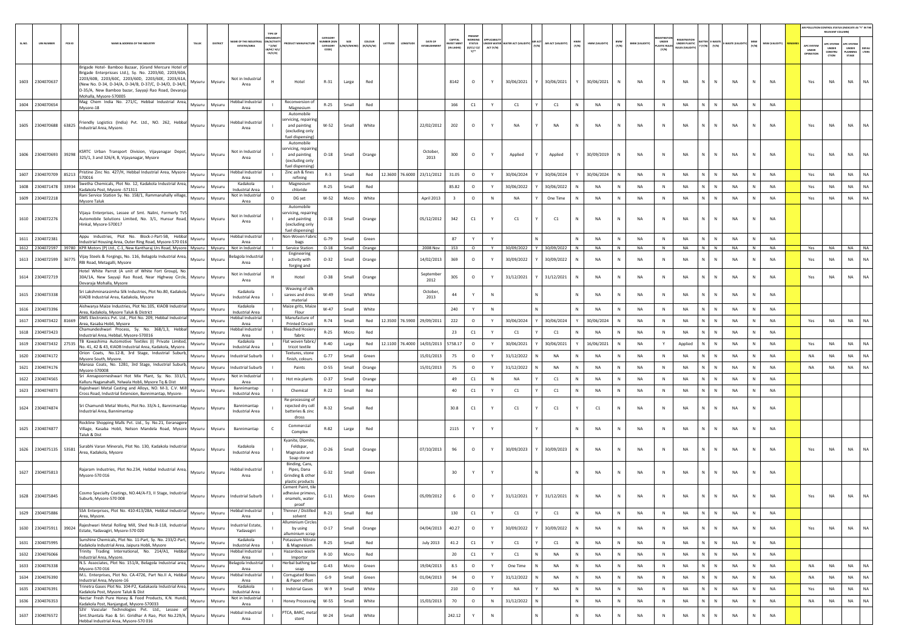|        |                       |        |                                                                                                                                                                                                                                                                                                                  |        |                  |                                                                 |                                                |                                                                                        |                                           |                 |                            |                                    |                                              |                                               |                       |                          |                              |              |                |                                  |                                                            |                                     |              |                                         |                    |              |                        |                                  | AIR POLLUTION CONTROL STATUS (INDICATE AS "Y" IN THE<br>RELEVANT COLUMN) |                                                                        |
|--------|-----------------------|--------|------------------------------------------------------------------------------------------------------------------------------------------------------------------------------------------------------------------------------------------------------------------------------------------------------------------|--------|------------------|-----------------------------------------------------------------|------------------------------------------------|----------------------------------------------------------------------------------------|-------------------------------------------|-----------------|----------------------------|------------------------------------|----------------------------------------------|-----------------------------------------------|-----------------------|--------------------------|------------------------------|--------------|----------------|----------------------------------|------------------------------------------------------------|-------------------------------------|--------------|-----------------------------------------|--------------------|--------------|------------------------|----------------------------------|--------------------------------------------------------------------------|------------------------------------------------------------------------|
| SL.NO. | <b>UIN NUMBER</b>     | PCB ID | NAME & ADDRESS OF THE INDUSTR                                                                                                                                                                                                                                                                                    | TALUK  | DISTRIC          | AME OF THE INDUSTR<br><b>ESTATES/AREA</b>                       | N/ACTIVI<br>$*(1/M)^*$<br>8/HC/ H/L<br>CE/C/O] |                                                                                        | CATEGOR<br>UMBER DOG<br>CATEGORY<br>CODE) | SIZE<br>t/S/MIC | <b>COLOUR</b><br>(R/O/G/W) | DATE OF<br>ATITUDE<br>ESTABLISHMEI | <b>CAPITAL</b><br><b>EST ME</b><br>IN LAKHS] | PRESEN<br>WORKIN<br><b>STATUS</b><br>0/C1/C2/ | DER WATE<br>ACT (Y/N) | TER ACT (VALID           | AIR ACT<br>AIR ACT (VALIDITY | HWM<br>(Y/N) | HWM (VALIDITY) | BMW<br>$(\mathsf{Y}/\mathsf{N})$ | UNDER<br><b>BMW (VALIDITY</b><br><b>ASTIC RUL</b><br>(Y/N) | NDER PLASTIC<br><b>WLES (VALIDI</b> |              | <b>ATTER E-WASTE</b><br>$(Y/N)$ $(Y/N)$ | <b>NASTE (VALI</b> | MSW<br>(Y/N) | <b>MSW (VALIDITY)</b>  | APC SYSTEM<br>UNDER<br>OPERATION | <b>PC SYSTE</b><br><b>UNDER</b><br>CONSTRU<br>CTION                      | <b>PC SYSTE</b><br>UNDER<br>PLANNING<br><b>DEFAU</b><br>LTERS<br>STAGE |
|        | 1603 2304070637       |        | Brigade Hotel- Bamboo Bazaar, (Grand Mercure Hotel of<br>Brigade Enterprisses Ltd.), Sy. No. 2203/60, 2203/60A,<br>2203/60B, 2203/60C, 2203/60D, 2203/60E, 2203/61A,<br>(New No. D-34, D-34/A, D-34/B, D-37/C, D-34/D, D-34/E,<br>D-35/A, New Bamboo bazar, Sayyaji Rao Road, Devaraja<br>Mohalla, Mysore-570005 | Mysuru | Mysuru           | Not in Industrial<br>Area                                       | H                                              | Hotel                                                                                  | $R-31$                                    | Large           | Red                        |                                    | 8142                                         | $\circ$                                       | Y                     | 30/06/2021               | 30/06/2021                   |              | 30/06/2021     |                                  | <b>NA</b><br>N                                             | <b>NA</b>                           |              |                                         | <b>NA</b>          | N            | <b>NA</b>              | Yes                              | <b>NA</b>                                                                | <b>NA</b>                                                              |
| 1604   | 2304070654            |        | Mag Chem India No. 271/C, Hebbal Industrial Area,<br>Mysore-18                                                                                                                                                                                                                                                   | Mysuru | Mysuru           | Hebbal Industria<br>Area                                        |                                                | Reconversion of<br>Magnesium                                                           | $R-25$                                    | Small           | Red                        |                                    | 166                                          | C1                                            | Y                     | C1                       | C1                           | N            | NA             | N                                | NA<br>N                                                    | <b>NA</b>                           |              | N                                       | NA                 | $\mathbf N$  | NA                     |                                  |                                                                          |                                                                        |
|        | 1605 2304070688       | 63825  | Friendly Logistics (India) Pvt. Ltd., NO. 262, Hebbal<br>Industrial Area, Mysore.                                                                                                                                                                                                                                | Mysuru | Mysuru           | lebbal Industrial<br>Area                                       |                                                | Automobile<br>rvicing, repairin<br>and painting<br>(excluding only<br>fuel dispensing) | $W-52$                                    | Small           | White                      | 22/02/2012                         | 202                                          | $\circ$                                       | Y                     | <b>NA</b>                | NA                           | $\mathbb N$  | NA             |                                  | NA<br>N                                                    | NA                                  |              |                                         | NA                 | N            | <b>NA</b>              | Yes                              | NA                                                                       | NA                                                                     |
| 1606   | 2304070693 39298      |        | KSRTC Urban Transport Division, Vijayanagar Depot,<br>325/1, 3 and 326/4, B, Vijayanagar, Mysore                                                                                                                                                                                                                 | Mysuru | Mysuru           | Not in Industrial<br>Area                                       |                                                | Automobile<br>rvicing, repairin<br>and painting<br>(excluding only<br>fuel dispensing  | $O-18$                                    | Small           | Orange                     | October.<br>2013                   | 300                                          | $\circ$                                       | Y                     | Applied                  | Applied                      |              | 30/09/2019     | N                                | NA<br>N                                                    | <b>NA</b>                           |              | N                                       | NA                 | N            | <b>NA</b>              | Yes                              | <b>NA</b>                                                                | <b>NA</b><br><b>NA</b>                                                 |
|        | 1607 2304070709       | 85213  | Pristine Zinc No. 427/H, Hebbal Industrial Area, Mysore-<br>570016                                                                                                                                                                                                                                               | Mysuru | Mysuru           | Hebbal Industri<br>Area                                         |                                                | Zinc ash & fines<br>refining                                                           | $R-3$                                     | Small           | Red                        | 12.3600 76.6000 23/11/2012         | 31.05                                        | $\circ$                                       | Y                     | 30/06/2024               | 30/06/2024                   |              | 30/06/2024     | N                                | NA<br>$\,$ N                                               | NA                                  |              | N                                       | NA                 | $\mathsf{N}$ | NA                     | Yes                              | NA                                                                       | NA<br>NA                                                               |
| 1608   | 2304071478            | 33934  | wetha Chemicals, Plot No. 12, Kadakola Industrial Area,<br>Kadakola Post, Mysore -571311                                                                                                                                                                                                                         | Mysuru | Mysuru           | Kadakola<br><b>Industrial Area</b>                              |                                                | Magnesium<br>chloride                                                                  | $R-25$                                    | Small           | Red                        |                                    | 85.82                                        | $\circ$                                       | Y                     | 30/06/2022               | 30/06/2022                   |              | NA             | ${\sf N}$                        | NA<br>N                                                    | NA                                  |              |                                         | NA                 | N            | NA                     | Yes                              | NA                                                                       | NA<br>NA                                                               |
| 1609   | 2304072218            |        | Rani Service Station Sy. No. 158/1, Rammanahally village,<br>Mysore Taluk                                                                                                                                                                                                                                        | Mysuru | Mysuru           | Not in Industria<br>Area                                        |                                                | DG set                                                                                 | $W-52$                                    | Micro           | White                      | April 2013                         | $\overline{\mathbf{3}}$                      | $\circ$                                       | N                     | NA                       | One Time                     |              | NA             | N                                | NA<br>N                                                    | <b>NA</b>                           |              | N                                       | <b>NA</b>          | N            | <b>NA</b>              | Yes                              | NA                                                                       | NA<br>NA                                                               |
| 1610   | 2304072276            |        | Vijaya Enterprises, Lessee of Smt. Nalini, Formerly TVS<br>Automobile Solutions Limited, No. 3/1, Hunsur Road,<br>Hinkal, Mysore-570017                                                                                                                                                                          | Mysuru | Mysuru           | Not in Industrial<br>Area                                       |                                                | Automobile<br>rvicing, repairir<br>and painting<br>(excluding only<br>fuel dispensing) | $O-18$                                    | Small           | Orange                     | 05/12/2012                         | 342                                          | C1                                            | Υ                     | C1                       | C1                           | N            | NA             | N                                | NA<br>$\,$ N                                               | NA                                  |              | N                                       | NA                 | N            | NA                     |                                  |                                                                          |                                                                        |
|        | 1611 2304072381       |        | Appu Industries, Plot No. Block-J-Part-5B, Hebbal<br>dustrial Housing Area, Outer Ring Road, Mysore-570 016                                                                                                                                                                                                      | Mysuru | Mysuru           | Hebbal Industria<br>Area                                        |                                                | Non-Woven Fabri<br>bags                                                                | $G-79$                                    | Small           | Green                      |                                    | 87                                           | Y                                             | Y                     |                          |                              | $\mathbb N$  | <b>NA</b>      | N                                | <b>NA</b><br>N                                             | <b>NA</b>                           |              | <b>N</b>                                | <b>NA</b>          | N            | <b>NA</b>              |                                  |                                                                          |                                                                        |
|        | 1613 2304072599       | 36775  | 1612 2304072597 39780 KPR Motors (P) Ltd., C-1, New Kantharaj Urs Road, Mysore Mysuru<br>Vijay Steels & Forgings, No. 116, Belagola Industrial Area,<br>RBI Road, Metagalli, Mysore                                                                                                                              | Mysuru | Mysuru<br>Mysuru | Not in Industrial<br>lagola Industria<br>Area                   |                                                | Service Station<br>Engineering<br>activity with                                        | $O-18$<br>$O-32$                          | Small<br>Small  | Orange<br>Orange           | 2008 Nov<br>14/02/2013             | 153<br>369                                   | $\circ$<br>$\circ$                            | Y<br>Y                | 30/09/2022<br>30/09/2022 | Y 30/09/2022<br>30/09/2022   | N            | NA<br>NA       | N<br>N                           | NA<br>N<br>NA<br>N                                         | NA<br><b>NA</b>                     |              | $N$ $N$<br>N                            | NA<br><b>NA</b>    | N<br>N       | <b>NA</b><br><b>NA</b> | Yes<br>Yes                       | <b>NA</b><br>NA                                                          | NA NA<br>NA<br>NA                                                      |
|        | 1614 2304072719       |        | Hotel White Parrot (A unit of White Fort Group), No.<br>30A/1A, New Sayyaji Rao Road, Near Highway Circle, Mysuru<br>Devaraia Mohalla, Mysore                                                                                                                                                                    |        | Mysuru           | Not in Industrial<br>Area                                       |                                                | forging and<br>Hotel                                                                   | $O-38$                                    | Small           | Orange                     | Septembe<br>2012                   | 305                                          | $\circ$                                       | Υ                     | 31/12/2021               | 31/12/2021                   |              | NA             | N                                | NA<br>$\,$ N                                               | NA                                  |              | $\mathsf{N}$                            | NA                 | N            | NA                     | Yes                              | NA                                                                       | <b>NA</b><br>NA                                                        |
|        | 1615 2304073338       |        | Sri Lakshminarasimha Silk Industries, Plot No.80, Kadakola<br>KIADB Industrial Area, Kadakola, Mysore                                                                                                                                                                                                            | Mysuru | Mysuru           | Kadakola<br><b>Industrial Area</b>                              |                                                | Weaving of silk<br>sarees and dress<br>material                                        | $W-49$                                    | Small           | White                      | October<br>2013                    | 44                                           | Y                                             | $\mathbb N$           |                          |                              | N            | NA             | N                                | <b>NA</b><br>N                                             | <b>NA</b>                           |              | N                                       | <b>NA</b>          | N            | <b>NA</b>              |                                  |                                                                          |                                                                        |
| 1616   | 2304073396            |        | Aishwarya Maize Industries, Plot No.105, KIADB Industrial<br>Area, Kadakola, Mysore Taluk & District                                                                                                                                                                                                             | Mysuru | Mysuru           | Kadakola<br><b>Industrial Area</b>                              |                                                | Maize grits, Maize<br>Flour                                                            | $W-47$                                    | Small           | White                      |                                    | 240                                          |                                               | N                     |                          |                              | N            | NA             | N                                | NA<br>N                                                    | NA                                  |              |                                         | NA                 | $\mathsf{N}$ | NA                     |                                  |                                                                          |                                                                        |
| 1617   | 2304073422 81669      |        | DMS Electronics Pvt. Ltd., Plot No. 209, Hebbal Industrial<br>Area, Kasaba Hobli, Mysore                                                                                                                                                                                                                         | Mysuru | Mysuru           | lebbal Industria<br>Area                                        |                                                | Manufacture of<br><b>Printed Circuit</b>                                               | R-74                                      | Small           | Red                        | 12.3500 76.5900 29/09/2011         | 222                                          | $\circ$                                       | Y                     | 30/06/2024               | 30/06/2024                   |              | 30/06/2024     | N                                | NA<br>N                                                    | NA                                  |              | N                                       | NA                 | ${\sf N}$    | NA                     | Yes                              | NA                                                                       | NA<br>NA                                                               |
| 1618   | 2304073423            |        | Chamundeshwari Process, Sv. No. 368/1.3. Hebba<br>Industrial Area, Hebbal, Mysore-570016                                                                                                                                                                                                                         | Mysuru | Mysuru           | lebbal Industria<br>Area                                        |                                                | Bleached Hosiery<br>fabric                                                             | $R-25$                                    | Micro           | Red                        |                                    | 23                                           | C1                                            |                       | C1                       | C1                           |              | NA             |                                  | NA<br>N                                                    | NA                                  |              |                                         | NA                 | N            | NA                     |                                  |                                                                          |                                                                        |
| 1619   | 2304073432 27535      |        | TB Kawashima Automotive Textiles (I) Private Limited,<br>No. 41, 42 & 43, KIADB Industrial Area, Kadakola, Mysore.                                                                                                                                                                                               | Mysuru | Mysuru           | Kadakola<br><b>Industrial Area</b>                              |                                                | Flat woven fabric<br>tricot textile                                                    | $R-40$                                    | Large           | Red                        | 12.1100 76.4000 14/03/2013         | 5758.17                                      | $\circ$                                       | Y                     | 30/06/2021               | 30/06/2021                   |              | 16/06/2021     | N                                | <b>NA</b><br>Y                                             | Applied                             |              |                                         | NA                 | $\mathsf{N}$ | <b>NA</b>              | Yes                              | <b>NA</b>                                                                | NA<br>NA                                                               |
| 1620   | 2304074172            |        | Orion Coats, No.12-B, 3rd Stage, Industrial Suburb,<br>Mysore South, Mysore.                                                                                                                                                                                                                                     | Mysuru | Mysuru           | <b>Industrial Suburb</b>                                        |                                                | Textures, stone<br>finish, colours                                                     | $G - 77$                                  | Small           | Green                      | 15/01/2013                         | 75                                           | $\circ$                                       | Y                     | 31/12/2022               | <b>NA</b>                    | <b>N</b>     | NA             | N                                | NA<br>N                                                    | <b>NA</b>                           |              | <b>N</b>                                | <b>NA</b>          | N            | <b>NA</b>              | NA                               | <b>NA</b>                                                                | NA<br>NA                                                               |
| 1621   | 2304074176            |        | Manasa Coats, No. 12B1, 3rd Stage, Industrial Suburb,<br>Mysore-570008                                                                                                                                                                                                                                           | Mysuru | Mysuru           | <b>Industrial Suburt</b>                                        |                                                | Paints                                                                                 | $O-55$                                    | Small           | Orange                     | 15/01/2013                         | 75                                           | $\circ$                                       | Y                     | 31/12/2022               | NA                           | <b>N</b>     | NA             | N                                | <b>NA</b><br>N                                             | <b>NA</b>                           |              |                                         | <b>NA</b>          | $\mathsf{N}$ | <b>NA</b>              | NA                               | NA                                                                       | NA<br>NA                                                               |
| 1622   | 2304074565            |        | Sri Annapoorneshwari Hot Mix Plant, Sy. No. 331/1,<br>Kalluru Naganahalli, Yelwala Hobli, Mysore Tq & Dist                                                                                                                                                                                                       | Mysuru | Mysuru           | Not in Industria<br>Area                                        |                                                | Hot mix plants                                                                         | $O-37$                                    | Small           | Orange                     |                                    | 49                                           | C1                                            | N                     | NA                       | C1                           | $\mathbb N$  | NA             | N                                | NA<br>N                                                    | NA                                  |              | N                                       | NA                 | N            | <b>NA</b>              |                                  |                                                                          |                                                                        |
|        | 1623 2304074873       |        | Rajeshwari Metal Casting and Alloys, NO. M-3, C.V. Mill                                                                                                                                                                                                                                                          | Mysuru | Mysuru           | Bannimantap                                                     |                                                | Chemical                                                                               | $R-22$                                    | Small           | Red                        |                                    | 40                                           | C1                                            |                       | C1                       | C1                           |              | NA             | N                                | NA<br>$\,$ N                                               | <b>NA</b>                           |              |                                         | NA                 | N            | <b>NA</b>              |                                  |                                                                          |                                                                        |
|        | 1624 2304074874       |        | Cross Road, Industrial Extension, Bannimantap, Mysore-<br>Sri Chamundi Metal Works, Plot No. 33/A-1, Bannimantap Mysuru<br>Industrial Area, Bannimantap                                                                                                                                                          |        | Mysuru           | <b>Industrial Area</b><br>Bannimantap<br><b>Industrial Area</b> |                                                | Re-processing o<br>rejected dry cell<br>batteries & zinc                               | $R-32$                                    | Small           | Red                        |                                    | 30.8                                         | C1                                            | Υ                     | C1                       | C1                           |              | C1             | N                                | NA<br>$\,$ N                                               | NA                                  |              | N                                       | NA                 | ${\sf N}$    | <b>NA</b>              |                                  |                                                                          |                                                                        |
|        | 1625 2304074877       |        | Rockline Shopping Malls Pvt. Ltd., Sy. No.21, Eeranagere<br>Village, Kasaba Hobli, Nelson Mandela Road, Mysore Mysuru<br>Taluk & Dist                                                                                                                                                                            |        | Mysuru           | Bannimantap                                                     |                                                | dross<br>Commercial<br>Complex                                                         | R-82                                      | Large           | Red                        |                                    | 2115                                         | Y                                             | Y                     |                          |                              | $\mathbb{N}$ | NA             | N                                | <b>NA</b><br>N                                             | NA                                  |              | $\,$ N                                  | NA                 | $\mathsf{N}$ | NA                     |                                  |                                                                          |                                                                        |
|        | 1626 2304075135 53581 |        | Surabhi Varan Minerals, Plot No. 130, Kadakola Industrial<br>Area, Kadakola, Mysore                                                                                                                                                                                                                              | Mysuru | Mysuru           | Kadakola<br><b>Industrial Area</b>                              |                                                | Kyanite, Dlomite<br>Feldspar.<br>Magnasite and<br>Soap stone                           | $O - 26$                                  | Small           | Orange                     | 07/10/2013                         | 96                                           | $\circ$                                       | Y                     | 30/09/2023               | 30/09/2023                   | -N           | NA             |                                  | <b>NA</b><br>N                                             | <b>NA</b>                           |              |                                         | NA                 | N            | <b>NA</b>              | Yes                              | NA                                                                       | NA<br>NA                                                               |
|        | 1627 2304075813       |        | Rajaram Industries, Plot No.234, Hebbal Industrial Area,<br>Mysore-570 016                                                                                                                                                                                                                                       | Mysuru | Mysuru           | <b>Hebbal Industrial</b><br>Area                                |                                                | Binding, Cans<br>Pipes, Dana<br>Grinding & other<br>plastic products                   | $G - 32$                                  | Small           | Green                      |                                    | 30                                           | Y                                             | Y                     |                          |                              | $\mathbb N$  | <b>NA</b>      | N                                | <b>NA</b><br>N                                             | <b>NA</b>                           |              | $\mathbb N$                             | NA                 | N            | <b>NA</b>              |                                  |                                                                          |                                                                        |
|        | 1628 2304075845       |        | Cosmo Specialty Coatings, NO.44/A-F3, II Stage, Industrial Mysuru<br>Suburb, Mysore-570 008                                                                                                                                                                                                                      |        | Mysuru           | <b>Industrial Suburb</b>                                        |                                                | Cement Paint, tile<br>adhesive primevs<br>enamels, water<br>proof                      | $G-11$                                    | Micro           | Green                      | 05/09/2012                         | 6                                            | $\circ$                                       | Y                     | 31/12/2021               | 31/12/2021                   |              | NA             | N                                | NA<br>N                                                    | <b>NA</b>                           |              | $\mathbb N$                             | <b>NA</b>          |              | <b>NA</b>              | Yes                              | NA                                                                       | <b>NA</b><br><b>NA</b>                                                 |
|        | 1629 2304075886       |        | SSA Enterprises, Plot No. 410-413/28A, Hebbal Industrial<br>Area. Mysore.                                                                                                                                                                                                                                        | Mysuru | Mysuru           | <b>Hebbal Industrial</b><br>Area                                |                                                | Thinner / Distilled<br>solvent                                                         | $R-21$                                    | Small           | Red                        |                                    | 130                                          | $\mathsf{C1}$                                 | Y                     | C1                       | $\mathsf{C1}$                | N            | NA             | $\,$ N                           | NA<br>N                                                    | NA                                  |              | N                                       | NA                 | N            | <b>NA</b>              |                                  |                                                                          |                                                                        |
| 1630   | 2304075911            | 39024  | Rajeshwari Metal Rolling Mill, Shed No.B-118, Industrial Mysuru<br>Estate, Yadavagiri, Mysore-570 020                                                                                                                                                                                                            |        | Mysuru           | Industrial Estate,<br>Yadavagiri                                |                                                | <b>Illuminium Circles</b><br>by using<br>alluminium scrap                              | $0 - 17$                                  | Small           | Orange                     | 04/04/2013                         | 40.27                                        | $\circ$                                       | Y                     | 30/09/2022               | 30/09/2022                   | N            | NA             | $\mathbb N$                      | <b>NA</b><br>$\,$ N                                        | <b>NA</b>                           | $\mathbf{N}$ | N                                       | NA                 | ${\sf N}$    | <b>NA</b>              | Yes                              | NA                                                                       | NA<br>NA                                                               |
| 1631   | 2304075995            |        | Sunshine Chemicals, Plot No. 11-Part, Sy. No. 233/2-Part,<br>Kadakola Industrial Area, Jaipura Hobli, Mysore                                                                                                                                                                                                     | Mysuru | Mysuru           | Kadakola<br>Industrial Area                                     |                                                | Potassium Nitrate<br>& Magnesium                                                       | $R-25$                                    | Small           | Red                        | <b>July 2013</b>                   | 41.2                                         | $\mathsf{C}1$                                 | Y                     | C1                       | C1                           | N            | NA             | $\,$ N                           | NA<br>N                                                    | NA                                  |              | N                                       | NA                 | ${\sf N}$    | NA                     |                                  |                                                                          |                                                                        |
|        | 1632 2304076066       |        | Trinity Trading International, No. 214/A1, Hebbal<br>Industrial Area, Mysore,                                                                                                                                                                                                                                    | Mysuru | Mysuru           | Hebbal Industria<br>Area                                        |                                                | Hazardous waste<br>Importor                                                            | $R - 10$                                  | Micro           | Red                        |                                    | $20\,$                                       | C1                                            | Y                     | C1                       | NA<br>N                      | $\,$ N       | NA             | N                                | NA<br>$\,$ N                                               | <b>NA</b>                           | N I          | N                                       | NA                 | N            | <b>NA</b>              |                                  |                                                                          |                                                                        |
| 1633   | 2304076338            |        | N.S. Associates, Plot No. 151/A, Belagola Industrial area,<br>Mysore-570 016                                                                                                                                                                                                                                     | Mysuru | Mysuru           | selagola Industria<br>Area                                      |                                                | lerbal bathing bar<br>soap                                                             | $G-43$                                    | Micro           | Green                      | 19/04/2013                         | 8.5                                          | $\circ$                                       | Y                     | One Time                 | NA                           | $\mathbb{N}$ | NA             | $\,$ N                           | NA<br>$\,$ N                                               | <b>NA</b>                           |              | N                                       | NA                 | ${\sf N}$    | <b>NA</b>              | NA                               | NA                                                                       | NA<br>NA                                                               |
| 1634   | 2304076390            |        | M.L. Enterprises, Plot No. CA-4726, Part No.II A, Hebbal<br>Industrial Area, Mysore-16                                                                                                                                                                                                                           | Mysuru | Mysuru           | <b>Hebbal Industria</b><br>Area                                 |                                                | <b>Corrugated Boxes</b><br>& Paper offset                                              | $G-9$                                     | Small           | Green                      | 01/04/2013                         | 94                                           | $\circ$                                       | Y                     | 31/12/2022               | NA                           | N            | NA             | N                                | NA<br>$\mathbb N$                                          | <b>NA</b>                           |              | N                                       | NA                 | N            | <b>NA</b>              | NA                               | NA                                                                       | NA<br>NA                                                               |
| 1635   | 2304076391            |        | Trinetra Gases Plot No. 104-P2, Kadakaola Industrial Area,<br>Kadakola Post, Mysore Taluk & Dist                                                                                                                                                                                                                 | Mysuru | Mysuru           | Kadakola<br><b>Industrial Area</b>                              |                                                | <b>Indstrial Gases</b>                                                                 | $W-9$                                     | Small           | White                      |                                    | 210                                          | $\circ$                                       | Y                     | NA                       | NA                           | N            | NA             | N                                | NA<br>$\,$ N                                               | <b>NA</b>                           | N            | N                                       | NA                 | ${\sf N}$    | NA                     | Yes                              | NA                                                                       | NA<br><b>NA</b>                                                        |
| 1636   | 2304076353            |        | Nectar Fresh Pure Honey & Food Products, K.N. Hundi,<br>Kadakola Post, Nanjangud, Mysore-570033                                                                                                                                                                                                                  | Mysuru | Mysuru           | Not in Industrial<br>Area                                       |                                                | <b>Honey Processing</b>                                                                | W-55                                      | Small           | White                      | 15/03/2013                         | $70\,$                                       | $\circ$                                       | $\,$ N                | 31/12/2022               |                              | $\mathbb N$  | NA             | $\,N\,$                          | NA<br>$\,$ N                                               | <b>NA</b>                           |              | N                                       | <b>NA</b>          | $\mathbb{N}$ | NA                     | NA                               | NA                                                                       | <b>NA</b><br>NA                                                        |
| 1637   | 2304076572            |        | S3V Vascular Technologies Pvt. Ltd., Lessee of<br>Smt.Shantala Rao & Sri. Giridhar A Rao, Plot No.229/A, Mysuru<br>Hebbal Industrial Area, Mysore-570 016                                                                                                                                                        |        | Mysuru           | Hebbal Industrial<br>Area                                       |                                                | PTCA, BARC, meta<br>stent                                                              | $W-24$                                    | Small           | White                      |                                    | 242.12                                       | Y                                             | $\,$ N                |                          |                              | ${\sf N}$    | NA             | N                                | NA<br>$\,$ N                                               | <b>NA</b>                           |              | $\,$ N                                  | NA                 | ${\sf N}$    | $_{\sf NA}$            |                                  |                                                                          |                                                                        |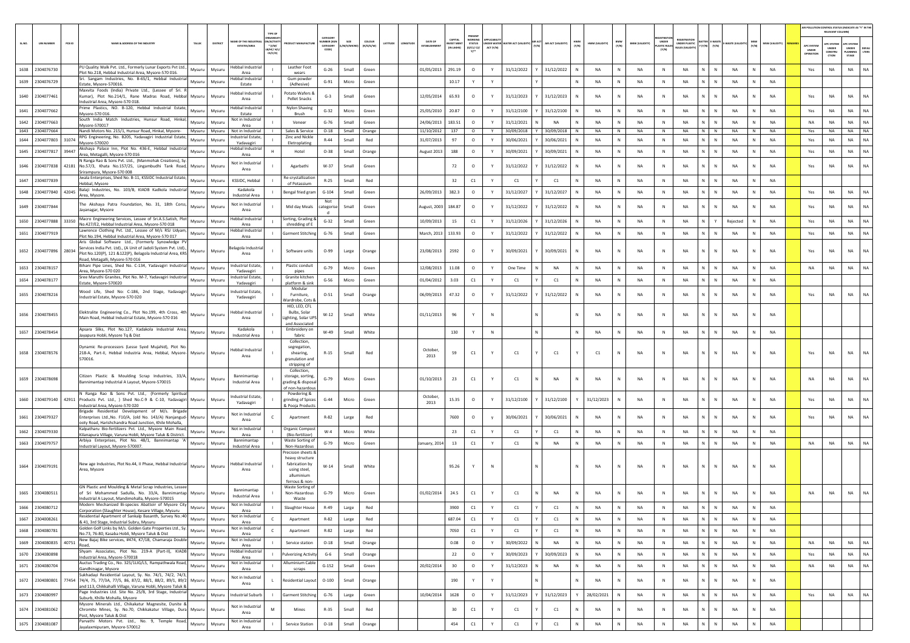|        |                       |        |                                                                                                                                                                                                                                  |          |                                       |                                                   |                                                                                                         |                                           |          |                   |                   |                  |                                          |                                            |              |                                 |                            |              |                |              |                       |                                      |                                               |                             |              |              |                |                                       | AIR POLLUTION CONTROL STATUS (INDICATE AS "Y" IN TH<br>RELEVANT COLUM |                                         |           |
|--------|-----------------------|--------|----------------------------------------------------------------------------------------------------------------------------------------------------------------------------------------------------------------------------------|----------|---------------------------------------|---------------------------------------------------|---------------------------------------------------------------------------------------------------------|-------------------------------------------|----------|-------------------|-------------------|------------------|------------------------------------------|--------------------------------------------|--------------|---------------------------------|----------------------------|--------------|----------------|--------------|-----------------------|--------------------------------------|-----------------------------------------------|-----------------------------|--------------|--------------|----------------|---------------------------------------|-----------------------------------------------------------------------|-----------------------------------------|-----------|
| SL.NO. | <b>UIN NUMBER</b>     | PCB ID | NAME & ADDRESS OF THE INDUSTRY<br>TALUK                                                                                                                                                                                          | DISTRICT | AME OF THE INDUS<br>ESTATES/AREA      | <b>TYPE OF</b><br>V/ACTIVI<br>$*$ (1/M/<br>CE/C/O |                                                                                                         | CATEGORY<br>MBER (XG<br>CATEGORY<br>CODE) | M/S/MICF | coLour<br>R/0/6/W | ATITUDE<br>NGITUD | DATE OF          | CAPITAL<br><b>VEST MEN</b><br>(IN LAKHS) | PRESENT<br><b>STATUS</b><br>(0/C1/C2)<br>Y | ACT (Y/N)    | NDER WATER WATER ACT (VALIDITY) | AIR ACT (VALIDITY<br>(Y/N) | HWM<br>(Y/N) | HWM (VALIDITY) | BMW<br>(Y/N) | <b>BMW (VALIDITY)</b> | UNDER<br><b>LASTIC RULE</b><br>(Y/N) | <b>UNDER PLASTIC</b><br><b>NJLES (VALIDI)</b> | -WAST<br>(Y/N)<br>(Y/N)     | WASTE (VALID | (Y/N)        | MSW (VALIDITY) | <b>APC SYSTE</b><br>UNDER<br>OPERATIO | <b>PC SYSTEM</b><br>UNDER<br>CONSTRU<br>crios                         | APC SYSTER<br>UNDER<br>LANNING<br>STAGE | LTERS     |
|        | 1638 2304076730       |        | PU Quality Walk Pvt. Ltd., Formerly Lunar Exports Pvt Ltd.,<br>Mysuru<br>Plot No.218. Hebbal Industrial Area. Mysore-570 016.                                                                                                    | Mysuru   | Hebbal Industrial<br>Area             |                                                   | Leather Foot<br>wears                                                                                   | $G-26$                                    | Small    | Green             |                   | 01/05/2013       | 291.19                                   | $\circ$                                    | Y            | 31/12/2022                      | 31/12/2022                 | N            | <b>NA</b>      | N            | <b>NA</b>             | N                                    | <b>NA</b>                                     | N<br>$\mathbb N$            | <b>NA</b>    | N            | <b>NA</b>      | Yes                                   | NA                                                                    | <b>NA</b>                               | <b>NA</b> |
|        | 1639 2304076729       |        | Sri. Sangam Industries, No. B-65/1, Hebbal Industria<br>Mysuru                                                                                                                                                                   | Mysuru   | lebbal Industrial<br>Estate           |                                                   | Gum powde<br>(Adhesive)                                                                                 | $G-91$                                    | Micro    | Green             |                   |                  | 10.17                                    |                                            | Y            |                                 |                            | N            | <b>NA</b>      | N            | NA                    | $\mathbb N$                          | NA                                            | N.<br>${\sf N}$             | NA           | N            | <b>NA</b>      |                                       |                                                                       |                                         |           |
|        | 1640 2304077461       |        | Estate, Mysore-570016<br>Maxvita Foods (India) Private Ltd., (Lessee of Sri.<br>Kumar), Plot No.214/1, Rane Madras Road, Hebbal<br>Mysuru<br>ndustrial Area, Mysore-570 018.                                                     | Mysuru   | lebbal Industrial<br>Area             |                                                   | Potato Wafers &<br>Pellet Snacks                                                                        | $G-3$                                     | Small    | Green             |                   | 12/05/2014       | 65.93                                    | $\circ$                                    | Y            | 31/12/2023                      | 31/12/2023                 | N            | <b>NA</b>      | N            | NA                    | N                                    | <b>NA</b>                                     | ${\sf N}$<br>N              | NA           |              | <b>NA</b>      | Yes                                   | NA                                                                    | NA                                      | NA        |
|        | 1641 2304077662       |        | Prime Plastics, NO. B-120, Hebbal Industrial Estate<br>Mysuru<br>Mysore-570 016.                                                                                                                                                 | Mysuru   | lebbal Industria<br>Estate            |                                                   | Nylon Shaving<br><b>Brush</b>                                                                           | $G-32$                                    | Micro    | Green             |                   | 25/05/2010       | 20.87                                    | $\circ$                                    |              | 31/12/2100                      | 31/12/2100                 | N            | NA             | N            | NA                    | $\,$ N                               | <b>NA</b>                                     | N.<br>${\sf N}$             | NA           | N            | NA             | Yes                                   | <b>NA</b>                                                             | <b>NA</b>                               | NA        |
|        | 1642 2304077663       |        | South India Match Industries, Hunsur Road, Hinkal,<br>Mysuru<br>Mysore-570017                                                                                                                                                    | Mysuru   | Not in Industria<br>Area              |                                                   | Veneer                                                                                                  | $G-76$                                    | Small    | Green             |                   | 24/06/2013       | 183.51                                   | $\circ$                                    | Y            | 31/12/2021                      | NA                         | N            | <b>NA</b>      | N            | NA                    | $\,$ N                               | NA                                            | N<br>$\,$ N                 | NA           | N            | <b>NA</b>      | NA                                    | NA                                                                    | <b>NA</b>                               | NA        |
|        | 1643 2304077664       |        | Nandi Motors No. 215/1. Hunsur Road, Hinkal, Mysore-<br>Mysuru<br>RPG Engineering, No. B205, Yadavagiri Industrial Estate,                                                                                                       | Mysuru   | Not in Industrial<br>dustrial Estate  |                                                   | Sales & Service<br>Zinc and Nickle                                                                      | $O-18$                                    | Small    | Orange            |                   | 11/10/2012       | 137                                      | $\circ$                                    | Y            | 30/09/2018                      | 30/09/2018                 | N            | <b>NA</b>      | N            | <b>NA</b>             | N                                    | <b>NA</b>                                     | N N                         | NA           | N            | <b>NA</b>      | Yes                                   | <b>NA</b>                                                             | <b>NA</b>                               | NA        |
|        | 1644 2304077803       | 31074  | Mysuru<br>Mysore-570020                                                                                                                                                                                                          | Mysuru   | Yadavagiri                            |                                                   | Fletroplating                                                                                           | $R - 44$                                  | Small    | Red               |                   | 31/07/2013       | 97                                       | $\circ$                                    |              | 30/06/2021                      | 30/06/202:                 |              | NA             | N            | NA                    | N                                    | NA                                            | N.<br>${\sf N}$             | NA           | N            | NA             | Yes                                   | <b>NA</b>                                                             | <b>NA</b>                               | NA        |
|        | 1645 2304077817       | 39447  | Akshaya Palace Inn, Plot No. 436-E, Hebbal Industria<br>Mysuru<br>Area, Metagalli, Mysore-570 016                                                                                                                                | Mysuri   | lebbal Industrial<br>Area             |                                                   | Hotel                                                                                                   | $O-38$                                    | Small    | Orange            |                   | August 2013      | 188                                      | $\circ$                                    | Y            | 30/09/2021                      | 30/09/2021                 | Ν            | <b>NA</b>      | N            | NA                    | $\,$ N                               | NA                                            | N<br>N                      | NA           | N            | NA             | Yes                                   | NA                                                                    | <b>NA</b>                               | <b>NA</b> |
|        | 1646 2304077838       | 42181  | N Ranga Rao & Sons Pyt. Ltd., (Manmohak Creations). Sy<br>No.57/3, Khata No.157/25, Lingambudhi Tank Road,<br>Mysuru<br>Srirampura, Mysore-570 008                                                                               | Mysuri   | Not in Industrial<br>Area             |                                                   | Agarbathi                                                                                               | W-37                                      | Small    | Green             |                   |                  | 72                                       | $\circ$                                    |              | 31/12/2022                      | 31/12/2022                 | N            | <b>NA</b>      | N            | NA                    | N                                    | NA                                            | N.<br>${\sf N}$             | NA           |              | NA             | Yes                                   | NA                                                                    | <b>NA</b>                               | <b>NA</b> |
|        | 1647 2304077839       |        | Jwala Enterprises, Shed No. B-11, KSSIDC Industrial Estate,<br>Mysuru<br>Hebbal, Mysore                                                                                                                                          | Mysuru   | KSSIDC, Hebbal                        |                                                   | Re-crystallization<br>of Potassium                                                                      | $R-25$                                    | Small    | Red               |                   |                  | 32                                       | C1                                         | Y            | C1                              | C1                         | N            | <b>NA</b>      | N            | NA                    | $\,$ N                               | NA                                            | N<br>${\sf N}$              | NA           | N            | NA             |                                       |                                                                       |                                         |           |
|        | 1648 2304077840       | 42045  | Balaji Industries, No. 103/B, KIADB Kadkola Industria<br>Mysuru<br>Area, Mysore                                                                                                                                                  | Mysuru   | Kadakola<br><b>Industrial Area</b>    |                                                   | Bengal fried gram                                                                                       | $G-104$                                   | Small    | Green             |                   | 26/09/2013       | 382.3                                    | $\circ$                                    | Y            | 31/12/2027                      | 31/12/2027                 |              | <b>NA</b>      | N            | NA                    | N                                    | NA                                            | N                           | <b>NA</b>    |              | <b>NA</b>      | Yes                                   | NA                                                                    | NA                                      | <b>NA</b> |
|        | 1649 2304077844       |        | The Akshaya Patra Foundation, No. 31, 18th Corss,<br>Mysuru<br>Jayanagar, Mysore                                                                                                                                                 | Mysuru   | Not in Industrial<br>Area             |                                                   | Mid day Meals                                                                                           | Not<br>categorise<br>d.                   | Small    | Green             |                   | August, 2003     | 184.87                                   | $\circ$                                    |              | 31/12/2022                      | 31/12/2022                 |              | <b>NA</b>      | N            | NA                    | N                                    | <b>NA</b>                                     | N.<br>$\mathbb{N}$          | NA           |              | <b>NA</b>      | Yes                                   | NA                                                                    | NA                                      | NA.       |
|        | 1650 2304077888       | 33350  | Macro Engineering Services, Lessee of Sri.A.S.Satish, Plot<br>Mysuru<br>No.427/E2, Hebbal Industrial Area, Mysore-570 018                                                                                                        | Mysuru   | lebbal Industrial<br>Area             |                                                   | Sorting, Grading 8<br>shredding of E                                                                    | $G-32$                                    | Small    | Green             |                   | 10/09/2013       | 15                                       | C1                                         |              | 31/12/2026                      | 31/12/2026                 |              | <b>NA</b>      | N            | NA                    | $\mathbb{N}$                         | <b>NA</b>                                     | N                           | Rejected     |              | <b>NA</b>      | Yes                                   | NA                                                                    | <b>NA</b>                               | <b>NA</b> |
|        | 1651 2304077919       |        | awrence Clothing Pvt. Ltd., Lessee of M/s RSJ Udyam<br>Mysuru<br>Plot No.194, Hebbal Industrial Area, Mysore-570 017                                                                                                             | Mysuru   | lebbal Industria<br>Area              |                                                   | <b>Garment Stitching</b>                                                                                | $G-76$                                    | Small    | Green             |                   | March, 2013      | 133.93                                   | $\circ$                                    |              | 31/12/2022                      | 31/12/2022                 | N            | <b>NA</b>      | N            | NA                    | N                                    | NA                                            | N.<br>$\mathbb{N}$          | NA           |              | NA             | Yes                                   | NA                                                                    | <b>NA</b>                               | NA        |
|        | 1652 2304077896 28034 |        | Aris Global Software Ltd., (Formerly Synowledge PV<br>Services India Pvt. Ltd)., (A Unit of Jadoli System Pvt. Ltd).,<br>Mysuru<br>Plot No.120(P), 121 &122(P), Belagola Industrial Area, KRS<br>Road, Metagalli, Mysore-570 016 | Mysuru   | Belagola Industria<br>Area            |                                                   | Software units                                                                                          | $O-99$                                    | Large    | Orange            |                   | 23/08/2013       | 2592                                     | $\circ$                                    |              | 30/09/2021                      | 30/09/2021                 |              | <b>NA</b>      | N            | NA                    | N                                    | NA                                            | N                           | NA           |              | <b>NA</b>      | Yes                                   | NA                                                                    | NA                                      | <b>NA</b> |
|        | 1653 2304078157       |        | Bihani Pipe Lines, Shed No. C-134, Yadavagiri Industrial<br>Mysuru<br>Area, Mysore-570 020                                                                                                                                       | Mysuru   | ndustrial Estate,<br>Yadavagiri       |                                                   | Plastic conduit<br>pipes                                                                                | $G-79$                                    | Micro    | Green             |                   | 12/08/2013       | 11.08                                    | $\circ$                                    | Y            | One Time                        | NA                         | N            | <b>NA</b>      | N            | NA                    | $\,$ N                               | NA                                            | N<br>N                      | NA           | N            | <b>NA</b>      | NA                                    | NA                                                                    | NA                                      | NA        |
|        | 1654 2304078177       |        | Sree Maruthi Granites, Plot No. M-7, Yadavagiri Industria<br>Mysuru<br>Estate, Mysore-570020                                                                                                                                     | Mysuru   | ndustrial Estate.<br>Yadavagiri       |                                                   | Granite kitchen<br>platform & sink                                                                      | $G-56$                                    | Micro    | Green             |                   | 01/04/2012       | 3.03                                     | C1                                         |              | C1                              | C1                         |              | <b>NA</b>      | N            | NA                    | N                                    | <b>NA</b>                                     | N                           | NA           |              | <b>NA</b>      |                                       |                                                                       |                                         |           |
|        | 1655 2304078216       |        | Wood Life, Shed No: C-186, 2nd Stage, Yadavagiri<br>Mysuru<br>Industrial Estate, Mysore-570 020                                                                                                                                  | Mysuru   | ndustrial Estate<br>Yadavagiri        |                                                   | Modular<br>Furniture,<br>Wardrobe, Cots &                                                               | $O-51$                                    | Small    | Orange            |                   | 06/09/2013       | 47.32                                    | $\circ$                                    |              | 31/12/2022                      | 31/12/2022                 | N            | <b>NA</b>      | N            | <b>NA</b>             | N                                    | <b>NA</b>                                     | ${\sf N}$                   | <b>NA</b>    |              | <b>NA</b>      | Yes                                   | <b>NA</b>                                                             | <b>NA</b>                               | <b>NA</b> |
|        | 1656 2304078455       |        | Elektralite Engineering Co., Plot No.199, 4th Cross, 4th<br>Mysuru<br>Main Road, Hebbal Industrial Estate, Mysore-570 016                                                                                                        | Mysuru   | lebbal Industria<br>Area              |                                                   | HID. LED. CFL<br>Bulbs, Solar<br>ighting, Solar UPS<br>and Associated                                   | $W-12$                                    | Small    | White             |                   | 01/11/2013       | 96                                       | Y                                          | N            |                                 |                            | N            | <b>NA</b>      | N            | NA                    | $\mathbb{N}$                         | NA                                            | $\mathbb{N}$<br>N.          | <b>NA</b>    | N            | <b>NA</b>      |                                       |                                                                       |                                         |           |
|        | 1657 2304078454       |        | Apsara Sliks, Plot No.127, Kadakola Industrial Area,<br>Mysuru<br>avapura Hobli, Mysore To & Dist                                                                                                                                | Mysuru   | Kadakola<br><b>Industrial Area</b>    |                                                   | Embroidery on<br>fabric                                                                                 | W-49                                      | Small    | White             |                   |                  | 130                                      | Y                                          | $\mathbb N$  |                                 |                            | N            | NA             | N            | <b>NA</b>             | N                                    | <b>NA</b>                                     | N<br>N                      | <b>NA</b>    | N            | NA             |                                       |                                                                       |                                         |           |
|        | 1658 2304078576       |        | Dynamic Re-processors (Lesse Syed Mujahid), Plot No.<br>218-A, Part-II, Hebbal Industria Area, Hebbal, Mysore-<br>Mysuru<br>570016                                                                                               | Mysuru   | Hebbal Industrial<br>Area             |                                                   | Collection,<br>segregation,<br>shearing,<br>granulation and<br>stripping of                             | $R-15$                                    | Small    | Red               |                   | October.<br>2013 | 59                                       | C1                                         |              | C1                              | C1                         |              | C1             | N            | NA                    | N                                    | <b>NA</b>                                     | N.<br>$\mathsf{N}$          | <b>NA</b>    |              | <b>NA</b>      | Yes                                   | NA                                                                    | <b>NA</b>                               | NA        |
|        | 1659 2304078698       |        | Citizen Plastic & Moulding Scrap Industries, 33/A,<br>Mysuru<br>sannimantap Industrial A Layout, Mysore-570015                                                                                                                   | Mysuru   | Rannimantap<br>Industrial Area        |                                                   | Collection,<br>storage, sorting,<br>grading & disposal<br>of non-hazardous                              | $G-79$                                    | Micro    | Green             |                   | 01/10/2013       | 23                                       | C1                                         | Y            | C1                              | <b>NA</b>                  | N            | <b>NA</b>      | N            | <b>NA</b>             | $\mathbb{N}$                         | <b>NA</b>                                     | N<br>$\mathbb{N}$           | <b>NA</b>    |              | <b>NA</b>      | <b>NA</b>                             | <b>NA</b>                                                             | <b>NA</b>                               | <b>NA</b> |
|        | 1660 2304079140 42911 |        | N Ranga Rao & Sons Pyt. Ltd., (Formerly Spiritua<br>Products Pvt. Ltd., ) Shed No.C-9 & C-10, Yadavagiri<br>Mysuru<br>Industrial Area, Mysore-570 020                                                                            | Mysuru   | ndustrial Estate,<br>Yadavagiri       |                                                   | Powdering &<br>grinding of Spices<br>& Pooja Product                                                    | $G-44$                                    | Micro    | Green             |                   | October,<br>2013 | 15.35                                    | $\circ$                                    |              | 31/12/2100                      | 31/12/2100                 |              | 31/12/2023     | N            | NA                    | N                                    | NA                                            | N.<br>${\sf N}$             | NA           |              | <b>NA</b>      | Yes                                   | NA                                                                    | <b>NA</b>                               | <b>NA</b> |
|        | 1661 2304079327       |        | Brigade Residential Development of M/s. Brigad<br>Enterprises Ltd., No. F10/A, (old No. 143/A) Nanjangud-<br>Mysuru<br>poty Road. Harishchandra Road Junction. Khile Mohalla                                                     | Mysuru   | Not in Industria<br>Area              |                                                   | Apartment                                                                                               | $R-82$                                    | Large    | Red               |                   |                  | 7600                                     | $\circ$                                    |              | 30/06/2021                      | 30/06/2021                 | N            | <b>NA</b>      | N            | NA                    | N                                    | <b>NA</b>                                     | N<br>N                      | <b>NA</b>    | N            | <b>NA</b>      | Yes                                   | NA                                                                    | <b>NA</b>                               | NA        |
|        | 1662 2304079330       |        | alpatharu Bio-fertilizers Pvt. Ltd., Mysore Main Road,<br>Mysuru<br>Kilanapura Village, Varuna Hobli, Mysore Taluk & District.                                                                                                   | Mysuru   | Not in Industria<br>Area              |                                                   | Organic Compost<br>(Bio-fertilizer)                                                                     | $W-4$                                     | Micro    | White             |                   |                  | 23                                       | C1                                         | Y            | C1                              | C1                         | N            | NA             | N            | NA                    | N                                    | NA                                            | N<br>${\sf N}$              | NA           | N            | NA             |                                       |                                                                       |                                         |           |
|        | 1663 2304079757       |        | Arbiya Enterprises, Plot No. 48/1, Bannimantap 'A'<br>Mysuru<br>ndustrial Layout, Mysore-570007.                                                                                                                                 | Mysuru   | Bannimantap<br><b>Industrial Area</b> |                                                   | Waste Sorting of<br>Non-Hazardous                                                                       | $G-79$                                    | Micro    | Green             |                   | January, 2014    | 13                                       | $\mathsf{C1}$                              | Y            | C1                              | N<br>NA                    | N            | NA             | N            | NA                    | $\,$ N                               | NA                                            | N<br>$\,$ N                 | NA           | N            | NA             | NA                                    | NA                                                                    | <b>NA</b>                               |           |
|        | 1664 2304079191       |        | New age Industries, Plot No.44, II Phase, Hebbal Industrial<br>Mysuru<br>Area, Mysore                                                                                                                                            | Mysuru   | Hebbal Industrial<br>Area             |                                                   | Precision sheets &<br>heavy structure<br>fabrication by<br>using steel,<br>alluminium<br>ferrous & non- | $W-14$                                    | Small    | White             |                   |                  | 95.26                                    | Y                                          | $\mathbb{N}$ |                                 |                            | N            | <b>NA</b>      | N            | NA                    | $\mathbb{N}$                         | NA                                            | $\mathbb{N}$<br>N.          | <b>NA</b>    |              | NA             |                                       |                                                                       |                                         |           |
|        | 1665 2304080511       |        | GN Plastic and Moulding & Metal Scrap Industries, Lesse<br>of Sri Mohammed Sadulla, No. 33/A, Bannimantap Mysuru<br>Industrial A Layout, Mandimohalla, Mysore-570015                                                             | Mysuru   | Bannimantap<br><b>Industrial Area</b> |                                                   | Waste Sorting o<br>Non-Hazardous<br>Waste                                                               | $G-79$                                    | Micro    | Green             |                   | 01/02/2014       | 24.5                                     | C1                                         | Y            | C1                              | NA                         | N            | NA             | N            | NA                    | N                                    | NA                                            | N.<br>N                     | NA           | N            | <b>NA</b>      | NA                                    | NA                                                                    | <b>NA</b>                               | <b>NA</b> |
|        | 1666 2304080712       |        | Modern Mechanized Bi-species Abattoir of Mysore City<br>Mysuru<br>Corporation (Slaughter House), Kesare Village, Mysuru                                                                                                          | Mysuru   | Not in Industrial<br>Area             |                                                   | Slaughter House                                                                                         | R-49                                      | Large    | Red               |                   |                  | 3900                                     | C <sub>1</sub>                             |              | C <sub>1</sub>                  | C1                         | N            | NA             | N            | NA                    | N                                    | <b>NA</b>                                     | N I<br>N                    | NA           | N            | NA             |                                       |                                                                       |                                         |           |
|        | 1667 2304008261       |        | Residential Apartment of Sankalp Basanth, Survey No.:40<br>Mysuru<br>& 41, 3rd Stage, Industrial Subru, Mysuru                                                                                                                   | Mysuru   | Not in Industria<br>Area              | c                                                 | Apartment                                                                                               | R-82                                      | Large    | Red               |                   |                  | 687.04                                   | C1                                         | Y            | $\mathsf{C1}$                   | C1                         | N            | NA             | N            | NA                    | N                                    | NA                                            | N<br>$\,$ N                 | NA           | N            | NA             |                                       |                                                                       |                                         |           |
|        | 1668 2304080781       |        | Golden Golf Links by M/s. Golden Gate Properties Ltd., Sy.<br>Mysuru<br>No.73, 76-80, Kasaba Hobli, Mysore Taluk & Dist                                                                                                          | Mysuru   | Not in Industrial<br>Area             | $\mathsf{C}$                                      | Apartment                                                                                               | R-82                                      | Large    | Red               |                   |                  | 7050                                     | C1                                         | Y            | C1                              | C1                         | N            | NA             | N            | NA                    | N                                    | NA                                            | $N$ $N$                     | NA           | N            | <b>NA</b>      |                                       |                                                                       |                                         |           |
|        | 1669 2304080835       | 40751  | New Bajaj Bike services, #474, K7/1B, Chamaraja Double<br>Mysuru<br>Road,                                                                                                                                                        | Mysuru   | Not in Industrial<br>Area             |                                                   | Service station                                                                                         | $O-18$                                    | Small    | Orange            |                   |                  | 0.08                                     | $\circ$                                    | Y            | 30/09/2022                      | <b>NA</b>                  | N            | <b>NA</b>      | N            | NA                    | $\,$ N                               | NA                                            | N<br>${\sf N}$              | NA           | N            | <b>NA</b>      | <b>NA</b>                             | NA                                                                    | <b>NA</b>                               | NA        |
|        | 1670 2304080898       |        | Shyam Associates, Plot No. 219-A (Part-II), KIADB<br>Mysuru<br>Industrial Area, Mysore-570018                                                                                                                                    | Mysuru   | Hebbal Industrial<br>Area             |                                                   | <b>Pulverizing Activity</b>                                                                             | $G-6$                                     | Small    | Orange            |                   |                  | 22                                       | $\circ$                                    | Y            | 30/09/2023                      | 30/09/2023                 | N            | NA             | N            | NA                    | N                                    | NA                                            | N<br>$\,$ N                 | NA           | $\mathbb{N}$ | <b>NA</b>      | Yes                                   | NA                                                                    | <b>NA</b>                               | NA        |
|        | 1671 2304080704       |        | Auctus Trading Co., No. 325/1LIG/L5, Rampathwala Road,<br>Mysuru<br>Gandhinagar, Mysore                                                                                                                                          | Mysuru   | Not in Industrial<br>Area             |                                                   | Alluminium Cable<br>scraps                                                                              | $G-152$                                   | Small    | Green             |                   | 20/02/2014       | 30                                       | $\circ$                                    | Y            | 31/12/2023                      | NA                         | N            | NA             | N            | NA                    | N                                    | NA                                            | N<br>$\,$ N                 | <b>NA</b>    | N            | <b>NA</b>      | NA                                    | NA                                                                    | <b>NA</b>                               | NA        |
|        |                       |        | Sukhadayi Residential Layout, Sy. No. 74/1, 74/2, 74/3,<br>1672 2304080801 77454 74/4, 75, 77/3A, 77/5, 86, 87/2, 88/1, 88/2, 89/1, 89/2 Mysuru<br>and 113, Chikkahalli Village, Varuna Hobli, Mysore Taluk &                    | Mysuru   | Not in Industrial<br>Area             | $\mathbf{L}$                                      | Residential Layout                                                                                      | $O-100$                                   | Small    | Orange            |                   |                  | 190                                      | Y                                          | Y            |                                 |                            | N            | <b>NA</b>      | N            | NA                    | $\,$ N                               | NA                                            | N<br>${\sf N}$              | NA           | N            | NA             |                                       |                                                                       |                                         |           |
|        | 1673 2304080997       |        | Page Industries Ltd. Site No. 25/B, 3rd Stage, Industrial<br>Mysuru<br>Suburb, Khille Mohalla, Mysore                                                                                                                            | Mysuru   | <b>Industrial Suburb</b>              |                                                   | <b>Garment Stitching</b>                                                                                | $G-76$                                    | Large    | Green             |                   | 10/04/2014       | 1628                                     | $\circ$                                    | Y            | 31/12/2023                      | 31/12/2023                 | Y            | 28/02/2021     | N            | NA                    | N                                    | NA                                            | $\mathsf{N}$   $\mathsf{N}$ | NA           | N            | <b>NA</b>      | Yes                                   | $_{\sf NA}$                                                           | <b>NA</b>                               | <b>NA</b> |
|        | 1674 2304081062       |        | Mysore Minerals Ltd., Chikakatur Magnesite, Dunite &<br>Chromite Mines, Sy. No.70, Chikkakatur Village, Dura Mysuru<br>Post, Mysore Taluk & Dist                                                                                 | Mysuru   | Not in Industrial<br>Area             | M                                                 | Mines                                                                                                   | R-35                                      | Small    | Red               |                   |                  | 30                                       | C1                                         |              | C1                              | C1                         |              | NA             | N            | NA                    | N                                    | NA                                            | N.<br>$\mathbb N$           | NA           | N            | NA             |                                       |                                                                       |                                         |           |
|        | 1675 2304081087       |        | Parvathi Motors Pvt. Ltd., No. 9, Temple Road,<br>Mysuru<br>Jayalaxmipuram, Mysore-570012                                                                                                                                        | Mysuru   | Not in Industrial<br>Area             |                                                   | Service Station                                                                                         | $O-18$                                    | Small    | Orange            |                   |                  | 454                                      | $\mathsf{C1}$                              | Y            | C1                              | $\mathsf{C1}$              | $\mathbb N$  | NA             | N            | NA                    | $\,$ N                               | NA                                            | N<br>N                      | NA           | N            | <b>NA</b>      |                                       |                                                                       |                                         |           |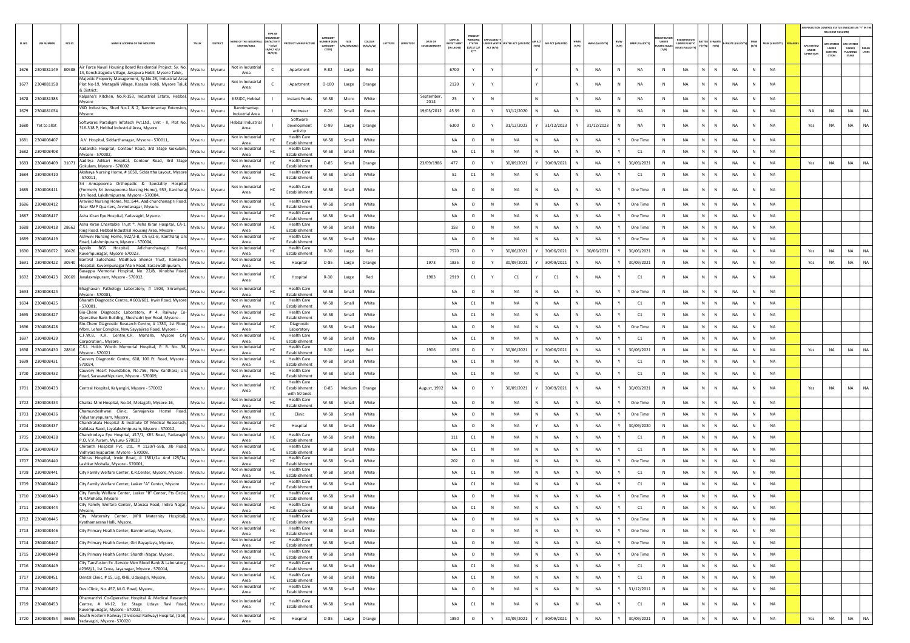|        |                   |                                                                                                                                                                    |        |               |                                             |                                                       |                                                      |                                                |        |                     |                     |                                              |                                           |           |                                 |                                        |              |                |                                       |                         |                      |                                                     |                             |                | AIR POLLUTION CONTROL STATUS (INDICATE AS "Y" IN TH<br>RELEVANT COLUMN) |                           |                                         |           |
|--------|-------------------|--------------------------------------------------------------------------------------------------------------------------------------------------------------------|--------|---------------|---------------------------------------------|-------------------------------------------------------|------------------------------------------------------|------------------------------------------------|--------|---------------------|---------------------|----------------------------------------------|-------------------------------------------|-----------|---------------------------------|----------------------------------------|--------------|----------------|---------------------------------------|-------------------------|----------------------|-----------------------------------------------------|-----------------------------|----------------|-------------------------------------------------------------------------|---------------------------|-----------------------------------------|-----------|
| SL.NO. | <b>UIN NUMBER</b> | PCB ID<br>NAME & ADDRESS OF THE INDUSTR'                                                                                                                           | TALUK  | DISTRICT      | AME OF THE INDUS'<br><b>ESTATES/AREA</b>    | TYPE OF<br>N/ACTIV<br>$*$ (I/M<br>18/НС/ Н/<br>CE/C/O | <b>UCT MANUFACTU</b>                                 | ATFOOL<br><b>IMBER (XG</b><br>CATFOOR<br>CODE) | SIZE   | coLous<br>(R/O/G/W) | LATITUDE<br>ONGITUD | CAPITAL<br><b>DATE OF</b><br><b>VEST MEN</b> | WORKING<br><b>STATUS</b><br>0/01/02<br>n" | ACT (Y/N) | NDER WATER WATER ACT (VALIDITY) | AIR ACT<br>(Y/N)<br>AIR ACT (VALIDITY) | HWM<br>(Y/N) | HWM (VALIDITY) | BMW<br>(Y/N)<br><b>BMW (VALIDITY)</b> | UNDER<br>nc Ru<br>(Y/N) | <b>UNDER PLASTIC</b> | <b>ITTER E-WAST</b><br>(Y/N)<br>$\left( Y/N\right)$ | MSW<br>(Y/N)<br>WASTE (VAL) | MSW (VALIDITY) | APC SYSTE<br>UNDER                                                      | UNDER<br>CONSTRU<br>crion | PC SYSTEM<br>UNDER<br>PLANNING<br>STAGE | LTERS     |
|        | 1676 2304081149   | Air Force Naval Housing Board Residential Project, Sy. No.<br>80508<br>14, Kenchalagodu Village, Jayapura Hobli, Mysore Taluk,                                     | Mysuru | Mysuru        | Not in Industria<br>Area                    | c                                                     | Apartment                                            | R-82                                           | Large  | Red                 |                     | 6700                                         |                                           | Y         |                                 |                                        | N            | NA             | N<br>NA                               | N                       | NA                   | N<br>N                                              | NA                          | NA             |                                                                         |                           |                                         |           |
|        | 1677 2304081158   | Majestic Property Management, Sy.No.26, Industrial Area<br>Plot No-19, Metagalli Village, Kasaba Hobli, Mysore Taluk<br>& District.                                | Mysuru | Mysuru        | Not in Industrial<br>Area                   |                                                       | Apartment                                            | $O-100$                                        | Large  | Orange              |                     | 2120                                         |                                           |           |                                 |                                        | N            | <b>NA</b>      | NA                                    | N                       | NA                   | N.<br>$\mathbb N$                                   | NA                          | <b>NA</b>      |                                                                         |                           |                                         |           |
|        | 1678 2304081383   | Kalpana's Kitchen, No.R-153, Industrial Estate, Hebbal,                                                                                                            | Mysuru | Mysuru        | KSSIDC, Hebbal                              |                                                       | Instant Foods                                        | W-38                                           | Micro  | White               |                     | September,<br>25                             |                                           | N         |                                 |                                        | N            | NA             | N<br>NA                               | N                       | NA                   | N<br>N                                              | NA                          | NA             |                                                                         |                           |                                         |           |
|        | 1679 2304081034   | Mysore<br>VKD Industries, Shed No-1 & 2, Bannimantap Extension,                                                                                                    | Mysuru | Mysuru        | Bannimantap                                 |                                                       | Footwear                                             | $G-26$                                         | Small  | Green               |                     | 2014<br>19/03/2012<br>45.59                  | $\circ$                                   | Y         | 31/12/2020                      | <b>NA</b><br>N                         | N            | NA             | N<br>NA                               | $\,$ N                  | NA                   | $N$ $N$                                             | NA<br>N                     | NA             | NA                                                                      | NA                        | NA                                      | <b>NA</b> |
|        |                   | Mysore<br>Softwares Paradigm Infotech Pvt.Ltd., Unit - II, Plot No.                                                                                                |        |               | <b>Industrial Area</b><br>lebbal Industrial |                                                       | Software                                             |                                                |        |                     |                     |                                              |                                           |           |                                 |                                        |              |                |                                       |                         |                      | N.                                                  |                             |                |                                                                         |                           |                                         |           |
| 1680   | Yet to allot      | 316-318 P, Hebbal Industrial Area, Mysore                                                                                                                          | Mysuru | Mysuru        | Area<br>Not in Industrial                   |                                                       | development<br>activity<br><b>Health Care</b>        | $O-99$                                         | Large  | Orange              |                     | 6300                                         | $\circ$                                   |           | 31/12/2023                      | 31/12/2023                             |              | 31/12/2023     | NA                                    | N                       | NA                   | N                                                   | NA                          | NA             | Yes                                                                     | NA                        | <b>NA</b>                               | NA        |
|        | 1681 2304008407   | A.V. Hospital, Siddarthanagar, Mysore - 570011,<br>Aadarsha Hospital, Contour Road, 3rd Stage Gokulam                                                              | Mysuru | Mysuru        | Area<br>Not in Industrial                   | HC                                                    | Establishment<br><b>Health Care</b>                  | W-58                                           | Small  | White               |                     | NA                                           | $\circ$                                   | N         | NA                              | NA<br>N                                | N            | NA             | One Time<br>Y                         | N                       | NA                   | N<br>${\sf N}$                                      | NA<br>N                     | NA             |                                                                         |                           |                                         |           |
| 1682   | 2304008408        | Mysore - 570002.<br>Aaditya Adikari Hospital, Contour Road, 3rd Stage                                                                                              | Mysuru | Mysuru        | Area<br>Not in Industria                    |                                                       | Establishment<br><b>Health Care</b>                  | W-58                                           | Small  | White               |                     | <b>NA</b>                                    | C1                                        | N         | NA                              | <b>NA</b>                              |              | <b>NA</b>      | C1                                    | N                       | <b>NA</b>            | N                                                   | <b>NA</b>                   | <b>NA</b>      |                                                                         |                           |                                         |           |
| 1683   | 2304008409        | 31071<br>Gokulam, Mysore - 570002<br>Akshaya Nursing Home, # 1058, Siddartha Layout, Mysore                                                                        | Mvsuru | Mysuru        | Area<br>Not in Industria                    | HC                                                    | Establishment<br><b>Health Care</b>                  | $O - 85$                                       | Small  | Orange              |                     | 477<br>23/09/1986                            | $\circ$                                   |           | 30/09/2021                      | 30/09/2021                             |              | <b>NA</b>      | 30/09/2021                            | N                       | <b>NA</b>            | N.<br>$\mathbb{N}$                                  | <b>NA</b>                   | <b>NA</b>      | Yes                                                                     | <b>NA</b>                 | <b>NA</b>                               | <b>NA</b> |
|        | 1684 2304008410   | 570011<br>Sri Annapoorna Orthopadic & Speciality Hospita                                                                                                           | Mysuru | Mysuru        | Area<br>Not in Industria                    | HC                                                    | Establishment<br><b>Health Care</b>                  | W-58                                           | Small  | White               |                     | 52                                           | C1                                        | N         | NA                              | NA                                     |              | <b>NA</b>      | C1                                    | N                       | <b>NA</b>            | N<br>$\mathbb N$                                    | <b>NA</b><br>N              | <b>NA</b>      |                                                                         |                           |                                         |           |
|        | 1685 2304008411   | (Formerly Sri Annapoorna Nursing Home), 953, Kantharaj Mysuru<br>Urs Road, Lakshmipuram, Mysore - 570004<br>Aravind Nursing Home, No.:644, Aadichunchanagiri Road, |        | Mysuru        | Area<br>Not in Industria                    |                                                       | Establishment<br><b>Health Care</b>                  | W-58                                           | Small  | White               |                     | <b>NA</b>                                    | $\circ$                                   | N         | NA                              | NA                                     |              | <b>NA</b>      | One Time                              | N                       | <b>NA</b>            | N<br>$\mathbb{N}$                                   | NA                          | <b>NA</b>      |                                                                         |                           |                                         |           |
| 1686   | 2304008412        | Near RMP Quarters, Arvindanagar, Mysuru                                                                                                                            | Mysuru | Mysuru        | Area<br>lot in Industria                    | HC                                                    | Establishment<br><b>Health Care</b>                  | W-58                                           | Small  | White               |                     | <b>NA</b>                                    | $\circ$                                   | N         | NA                              | N<br>NA                                | N            | <b>NA</b>      | One Time<br>Y                         | N                       | <b>NA</b>            | N I<br>$\mathbb N$                                  | <b>NA</b><br>N              | <b>NA</b>      |                                                                         |                           |                                         |           |
| 1687   | 2304008417        | Asha Kiran Eye Hospital, Yadavagiri, Mysore.<br>Asha Kiran Charitable Trust ®, Asha Kiran Hospital, CA-1,                                                          | Mysuru | Mysuru        | Area<br>Not in Industria                    | HC                                                    | Establishment<br><b>Health Care</b>                  | W-58                                           | Small  | White               |                     | NA                                           | $\circ$                                   | N         | NA                              | NA                                     |              | NA             | One Time                              | N <sub>N</sub>          | <b>NA</b>            | N.<br>N                                             | NA                          | NA             |                                                                         |                           |                                         |           |
| 1688   | 2304008418        | 28662<br>Ring Road, Hebbal Industrial Housing Area, Mysore -                                                                                                       | Mysuru | Mysur         | Area<br>Not in Industrial                   | HC                                                    | Establishmen<br><b>Health Care</b>                   | W-58                                           | Small  | White               |                     | 158                                          | $\circ$                                   | N         | NA                              | NA<br>N                                | N            | NA             | One Time<br>Y                         | N                       | NA                   | N<br>$\,$ N                                         | NA<br>N                     | <b>NA</b>      |                                                                         |                           |                                         |           |
| 1689   | 2304008419        | Ashwini Nursing Home, 922/2-B, Ch 6/2-B, Kantharaj Urs<br>Road, Lakshmipuram, Mysore - 570004,                                                                     | Mysuru | Mysuru        | Area<br>Not in Industrial                   | HC                                                    | <b>Establishment</b>                                 | W-58                                           | Small  | White               |                     | <b>NA</b>                                    | $\circ$                                   | N         | NA                              | NA                                     |              | <b>NA</b>      | One Time                              | $\mathbb N$             | NA                   | N                                                   | NA                          | <b>NA</b>      |                                                                         |                           |                                         |           |
| 1690   | 2304008072 10426  | Apollo BGS Hospital,<br>Adichunchanagiri<br>Road,<br>Kuvempunagar, Mysore-570023.                                                                                  | Mysuru | Mysuru        | Area                                        | HC                                                    | <b>Health Care</b><br>Establishment                  | $R-30$                                         | Large  | Red                 |                     | 7570                                         | $\circ$                                   | Y         | 30/06/2021                      | 30/06/202                              |              | 30/06/2021     | 30/06/2021                            | N                       | <b>NA</b>            | N<br>$\mathbb{N}$                                   | <b>NA</b>                   | <b>NA</b>      | Yes                                                                     | <b>NA</b>                 | <b>NA</b>                               | <b>NA</b> |
|        | 1691 2304008422   | Bantval Sulochana Madhava Shenoi Trust, Kamaksh<br>30540<br>Hospital, Kuvempunagar Main Road, Saraswathipuram,                                                     | Mysuru | Mysuru        | Not in Industria<br>Area                    | HC                                                    | Hospital                                             | $O - 85$                                       | Large  | Orange              |                     | 1973<br>1835                                 | $\circ$                                   | Y         | 30/09/2021                      | 30/09/2021                             |              | <b>NA</b>      | 30/09/2021                            | N                       | <b>NA</b>            | N.<br>$\mathbb N$                                   | NA<br>N                     | <b>NA</b>      | Yes                                                                     | NA                        | <b>NA</b>                               | NA        |
|        |                   | Basappa Memorial Hospital, No. 22/B, Vinobha Road,<br>1692 2304008423 20669 Jayalaxmipuram, Mysore - 570012.                                                       | Mysuru | Mysuru        | Not in Industrial<br>Area                   | HC                                                    | Hospital                                             | $R-30$                                         | Large  | Red                 |                     | 1983<br>2919                                 | C1                                        |           | C1                              | C1                                     |              | <b>NA</b>      | C1                                    | N                       | <b>NA</b>            | $\mathbb{N}$<br>N                                   | <b>NA</b>                   | <b>NA</b>      |                                                                         |                           |                                         |           |
|        | 1693 2304008424   | Bhaghavan Pathology Laboratory, # 1503, Srirampet,<br>Mysore - 570001.                                                                                             | Mysuru | Mysuru        | Not in Industria<br>Area                    | HC                                                    | <b>Health Care</b><br>Establishment                  | W-58                                           | Small  | White               |                     | <b>NA</b>                                    | $\circ$                                   | N         | NA                              | <b>NA</b>                              | N            | <b>NA</b>      | One Time<br>Y                         | N                       | <b>NA</b>            | N<br>$\mathbb N$                                    | <b>NA</b><br>N              | <b>NA</b>      |                                                                         |                           |                                         |           |
| 1694   | 2304008425        | 3harath Diagnostic Centre, # 600/601, Irwin Road, Mysore<br>570001                                                                                                 | Mysuru | Mysuru        | lot in Industria<br>Area                    | HC                                                    | <b>Health Care</b><br>Establishment                  | W-58                                           | Small  | White               |                     | NA                                           | C1                                        | N         | ΝA                              | N<br>NA                                |              | NA             | C1                                    | N                       | NA                   | N.<br>N                                             | NA                          | NA             |                                                                         |                           |                                         |           |
| 1695   | 2304008427        | Bio-Chem Diagnostic Laboratory, # 4, Railway Co<br>Operative Bank Building, Sheshadri Iyer Road, Mysore                                                            | Mysuru | Mysuru        | Not in Industria<br>Area                    |                                                       | <b>Health Care</b><br>Establishment                  | W-58                                           | Small  | White               |                     | NA                                           | C1                                        | N         | <b>NA</b>                       | N<br>NA                                | $\,$ N       | NA             | C1<br>Y                               | N                       | NA                   | N  <br>$\,$ N                                       | NA<br>N                     | <b>NA</b>      |                                                                         |                           |                                         |           |
| 1696   | 2304008428        | Bio-Chem Diagnostic Research Centre, # 1780, 1st Floor<br>Mbm, Lehar Complex, New Sayyajirao Road, Mysore -                                                        | Mysuru | Mysuru        | Not in Industria<br>Area                    | HC                                                    | Diagnostic<br>Laboratory                             | W-58                                           | Small  | White               |                     | <b>NA</b>                                    | $\circ$                                   | N         | NA                              | NA                                     |              | <b>NA</b>      | One Time                              | N                       | <b>NA</b>            | N<br>$\mathbb{N}$                                   | NA                          | <b>NA</b>      |                                                                         |                           |                                         |           |
| 1697   | 2304008429        | C.F.W.B, K.R. Centre,K.R. Mohalla, Mysore City<br>Corporation,, Mysore                                                                                             | Mysuru | Mysuru        | Not in Industria<br>Area                    | HC                                                    | <b>Health Care</b><br>Establishment                  | W-58                                           | Small  | White               |                     | <b>NA</b>                                    | C1                                        | N         | <b>NA</b>                       | <b>NA</b>                              | N            | <b>NA</b>      | C1<br>Y                               | $\mathbb N$             | <b>NA</b>            | N<br>$\mathbb{N}$                                   | <b>NA</b>                   | <b>NA</b>      |                                                                         |                           |                                         |           |
|        | 1698 2304008430   | C.S.I. Holds Worth Memorial Hospital, P. B. No. 38,<br>28816<br>Mysore - 570021                                                                                    | Mysuru | Mysuru        | Not in Industria<br>Area                    | HC                                                    | <b>Health Care</b><br>Establishment                  | $R-30$                                         | Large  | Red                 |                     | 1056<br>1906                                 | $\circ$                                   | Y         | 30/06/2021                      | 30/06/2021                             | N            | NA             | 30/06/2021<br>Y                       | N                       | <b>NA</b>            | N<br>N                                              | NA<br>N                     | NA             | Yes                                                                     | NA                        | NA                                      | <b>NA</b> |
| 1699   | 2304008431        | Cauvery Diagnostic Centre, 618, 100 Ft. Road, Mysore<br>570024.                                                                                                    | Mysuru | Mysur         | Not in Industria<br>Area                    | HC                                                    | <b>Health Care</b><br>Establishment                  | W-58                                           | Small  | White               |                     | NA                                           | C1                                        | N         | NA                              | NA                                     |              | <b>NA</b>      | C1                                    | N                       | NA                   | N.<br>N                                             | NA                          | NA             |                                                                         |                           |                                         |           |
|        | 1700 2304008432   | Cauvery Heart Foundation, No.756, New Kantharaj Urs<br>Road, Saraswathipuram, Mysore - 570009,                                                                     | Mysuru | Mysuru        | Not in Industria<br>Area                    | HC                                                    | <b>Health Care</b><br>Establishment                  | W-58                                           | Small  | White               |                     | NA                                           | C1                                        | N         | NA                              | N<br>NA                                | N            | NA             | Y<br>C1                               | N                       | NA                   | N<br>$\mathbb N$                                    | NA<br>N                     | NA             |                                                                         |                           |                                         |           |
|        | 1701 2304008433   | Central Hospital, Kalyangiri, Mysore - 570002                                                                                                                      | Mysuru | Mysuru        | Not in Industrial<br>Area                   | HC.                                                   | <b>Health Care</b><br>Establishment<br>with 50 beds  | $O-85$                                         | Mediun | Orange              |                     | ugust, 1992<br>NA                            | $\circ$                                   |           | 30/09/2021                      | 30/09/2021                             | N            | <b>NA</b>      | 30/09/2021                            | N                       | <b>NA</b>            | $\mathbf{N}$<br>N                                   | <b>NA</b>                   | <b>NA</b>      | Yes                                                                     | NA                        | <b>NA</b>                               | NA        |
|        | 1702 2304008434   | Chaitra Mini Hospital, No.14, Metagalli, Mysore-16,                                                                                                                | Mysuru | Mysuru        | Not in Industria<br>Area                    | HC                                                    | <b>Health Care</b><br>Establishment                  | W-58                                           | Small  | White               |                     | NA                                           | $\circ$                                   | N         | NA                              | NA                                     | N            | NA             | One Time                              | N                       | NA                   | N<br>${\sf N}$                                      | NA<br>N                     | NA             |                                                                         |                           |                                         |           |
| 1703   | 2304008436        | Chamundeshwari Clinic, Sarvajanika Hostel Road,<br>Vidyaranyapuram, Mysore.                                                                                        | Mysuru | Mysuru        | Not in Industrial<br>Area                   | HC                                                    | Clinic                                               | W-58                                           | Small  | White               |                     | <b>NA</b>                                    | $\circ$                                   | N         | NA                              | NA                                     |              | <b>NA</b>      | One Time                              | N                       | NA                   | N<br>$\mathbb{N}$                                   | NA                          | <b>NA</b>      |                                                                         |                           |                                         |           |
| 1704   | 2304008437        | Chandrakala Hospital & Institute Of Medical Reaserach,<br>Kalidasa Raod, Jayalakshmipuram, Mysore - 570012,                                                        | Mysuru | Mysuru        | Not in Industria<br>Area                    | HC                                                    | Hospital                                             | W-58                                           | Small  | White               |                     | <b>NA</b>                                    | $\circ$                                   | N         | <b>NA</b>                       | <b>NA</b>                              | N            | <b>NA</b>      | 30/09/2020<br>Y                       | $\mathbb N$             | <b>NA</b>            | N.<br>$\mathbb{N}$                                  | <b>NA</b>                   | <b>NA</b>      |                                                                         |                           |                                         |           |
| 1705   | 2304008438        | Chandrodaya Eye Hospital, #17/1, KRS Road, Yadavagiri                                                                                                              | Mysuru | Mysuru        | Not in Industria<br>Area                    | HC                                                    | <b>Health Care</b><br>Establishment                  | W-58                                           | Small  | White               |                     | 111                                          | C1                                        | N         | NA                              | NA<br>N                                | N            | <b>NA</b>      | C1<br>Y                               | N                       | <b>NA</b>            | N I<br>$\mathbb N$                                  | NA<br>N                     | <b>NA</b>      |                                                                         |                           |                                         |           |
| 1706   | 2304008439        | P.O, V.V.Puram, Mysuru- 570020<br>Chiranth Hospital Pvt. Ltd., # 1120/F-58b, Jlb Road                                                                              | Mysuru | Mysuru        | Not in Industrial                           | HC                                                    | <b>Health Care</b><br>Establishment                  | W-58                                           | Small  | White               |                     | NA                                           | C1                                        | N         | NA                              | NA                                     |              | <b>NA</b>      | C1                                    |                         | <b>NA</b>            | N.<br>N                                             | <b>NA</b>                   | NA             |                                                                         |                           |                                         |           |
|        | 1707 2304008440   | Vidhyaranyapuram, Mysore - 570008,<br>Chitras Hospital, Irwin Road, # 1381/1a And L25/1a,                                                                          | Mysuru | Mysuru        | Area<br>Not in Industria                    | HC                                                    | <b>Health Care</b>                                   | W-58                                           | Small  | White               |                     | 202                                          | $\circ$                                   | N         | NA                              | N<br>NA                                | N            | NA             | One Time<br>Y                         | N                       | NA                   | $N$ $N$                                             | NA<br>N                     | <b>NA</b>      |                                                                         |                           |                                         |           |
| 1708   | 2304008441        | Lashkar Mohalla, Mysore - 570001<br>City Family Welfare Center, K.R.Center, Mysore, Mysore.                                                                        | Mysuru | Mysuru        | Area<br>Not in Industria                    | HC                                                    | Establishment<br><b>Health Care</b><br>Establishment | W-58                                           | Small  | White               |                     | <b>NA</b>                                    | C1                                        | N         | NA                              | NA                                     |              | NA             | C1                                    | $\mathbb{N}$            | NA                   | N                                                   | <b>NA</b>                   | <b>NA</b>      |                                                                         |                           |                                         |           |
| 1709   | 2304008442        | City Family Welfare Center, Lasker "A" Center, Mysore                                                                                                              | Mysuru | Mysuru        | Area<br>Not in Industrial<br>Area           | HC                                                    | <b>Health Care</b><br>Establishment                  | W-58                                           | Small  | White               |                     | <b>NA</b>                                    | C1                                        | N         | <b>NA</b>                       | N<br><b>NA</b>                         | N            | <b>NA</b>      | C1<br>Y                               | N                       | <b>NA</b>            | N<br>$\mathbb{N}$                                   | <b>NA</b>                   | <b>NA</b>      |                                                                         |                           |                                         |           |
|        | 1710 2304008443   | City Family Welfare Center, Lasker "B" Center, Fts Circle,<br>N.R.Mohalla, Mysore                                                                                  | Mysuru | Mysuru        | Not in Industria<br>Area                    | HC                                                    | <b>Health Care</b><br>Establishment                  | W-58                                           | Small  | White               |                     | <b>NA</b>                                    | $\circ$                                   | N         | NA                              | NA<br>N                                | N            | <b>NA</b>      | One Time<br>Y                         | N                       | <b>NA</b>            | N<br>$\mathbb N$                                    | NA                          | <b>NA</b>      |                                                                         |                           |                                         |           |
|        | 1711 2304008444   | City Family Welfare Center, Manasa Road, Indira Nagar,                                                                                                             |        | Mysuru Mysuru | Not in Industrial                           | HC                                                    | <b>Health Care</b>                                   | W-58                                           | Small  | I white             |                     |                                              | C1                                        | <b>N</b>  | NA                              | ΝA                                     |              | NA             | C1                                    | 'N.                     | NA                   |                                                     | NA                          | <b>NA</b>      |                                                                         |                           |                                         |           |
|        | 1712 2304008445   | Mysore,<br>City Maternity Center, (IIP8 Maternity Hospital),                                                                                                       | Mysuru | Mysuru        | Area<br>Not in Industrial                   | HC                                                    | Establishment<br><b>Health Care</b>                  | W-58                                           | Small  | White               |                     | <b>NA</b>                                    | $\circ$                                   | N         | NA                              | N  <br><b>NA</b>                       | N            | <b>NA</b>      | Y<br>One Time                         | $\,$ N                  | NA                   | $N$ $N$                                             | <b>NA</b><br>N              | NA             |                                                                         |                           |                                         |           |
|        | 1713 2304008446   | Kyathamarana Halli, Mysore,<br>City Primary Health Center, Bannimantap, Mysore,                                                                                    | Mysuru | Mysuru        | Area<br>Not in Industrial                   | HC                                                    | Establishment<br><b>Health Care</b>                  | W-58                                           | Small  | White               |                     | NA                                           | $\circ$                                   | N         | NA                              | NA<br>N                                | N            | NA             | One Time<br>Y                         | N                       | <b>NA</b>            | N<br>$\,$ N                                         | <b>NA</b><br>N              | NA             |                                                                         |                           |                                         |           |
|        | 1714 2304008447   | City Primary Health Center, Giri Bayaplaya, Mysore,                                                                                                                | Mysuru | Mysuru        | Area<br>Not in Industrial<br>Area           | HC                                                    | Establishment<br><b>Health Care</b><br>Establishment | W-58                                           | Small  | White               |                     | <b>NA</b>                                    | $\circ$                                   | N         | <b>NA</b>                       | N<br><b>NA</b>                         | $\mathbb{N}$ | <b>NA</b>      | Y<br>One Time                         | N                       | NA                   | $N$ $N$                                             | <b>NA</b><br>N              | NA             |                                                                         |                           |                                         |           |
|        | 1715 2304008448   | City Primary Health Center, Shanthi Nagar, Mysore,                                                                                                                 | Mysuru | Mysuru        | Not in Industrial<br>Area                   | HC                                                    | <b>Health Care</b><br>Establishment                  | W-58                                           | Small  | White               |                     | NA                                           | $\circ$                                   | N         | NA                              | N<br>NA                                | N            | NA             | Y<br>One Time                         | N                       | NA                   | $N$ $N$                                             | NA<br>N                     | NA             |                                                                         |                           |                                         |           |
| 1716   | 2304008449        | City Tansfusion Ex -Service Men Blood Bank & Laboratory,                                                                                                           | Mysuru | Mysuru        | Not in Industrial                           | HC                                                    | <b>Health Care</b><br>Establishment                  | W-58                                           | Small  | White               |                     | NA                                           | C1                                        | N         | NA                              | N<br>NA                                | N            | NA             | C1<br>Y                               | N                       | NA                   | N<br>${\sf N}$                                      | <b>NA</b><br>N              | NA             |                                                                         |                           |                                         |           |
|        | 1717 2304008451   | #2368/1, 1st Cross, Jayanagar, Mysore - 570014,<br>Dental Clinic, #15, Lig, KHB, Udayagiri, Mysore,                                                                | Mysuru | Mysuru        | Area<br>Not in Industrial                   | HC                                                    | <b>Health Care</b>                                   | W-58                                           | Small  | White               |                     | NA                                           | C1                                        | N         | NA                              | N  <br>NA                              | N            | NA             | Y<br>C1                               | N                       | NA                   | $N$ $N$                                             | <b>NA</b><br>N              | <b>NA</b>      |                                                                         |                           |                                         |           |
|        | 1718 2304008452   | Devi Clinic, No. 457, M.G. Road, Mysore,                                                                                                                           | Mysuru | Mysuru        | Area<br>Not in Industrial<br>Area           | HC                                                    | Establishment<br><b>Health Care</b><br>Establishment | W-58                                           | Small  | White               |                     | NA                                           | $\circ$                                   | N         | NA                              | N<br>NA                                | N            | NA             | 31/12/2011<br>Y                       | $\,$ N                  | NA                   | N<br>${\sf N}$                                      | <b>NA</b><br>$\mathbb{N}$   | NA             |                                                                         |                           |                                         |           |
|        | 1719 2304008453   | Dhanvanthri Co-Operative Hospital & Medical Research<br>Centre, # M-12, 1st Stage Udaya Ravi Road, Mysuru<br>Kuvempunagar, Mysore - 570023,                        |        | Mysuru        | Not in Industrial<br>Area                   | HC                                                    | <b>Health Care</b><br>Establishment                  | W-58                                           | Small  | White               |                     | NA                                           | C1                                        | N         | NA                              | N<br>NA                                | N            | NA             | C1<br>Y                               | N                       | NA                   | N<br>${\sf N}$                                      | NA<br>N                     | <b>NA</b>      |                                                                         |                           |                                         |           |
|        | 1720 2304008454   | South western Railway (Divisional Railway) Hospital, (Goi),<br>36655<br>Yadavagiri, Mysore- 570020                                                                 | Mysuru | Mysuru        | Not in Industrial<br>Area                   | HC                                                    | Hospital                                             | $O-85$                                         | Large  | Orange              |                     | 1850                                         | $\circ$                                   | Y         | 30/09/2021                      | 30/09/2021                             | N            | NA             | 30/09/2021                            | $\mathsf{N}$            | NA                   | N<br>N                                              | NA<br>N                     | NA             | Yes                                                                     | $_{\sf NA}$               | NA                                      | NA        |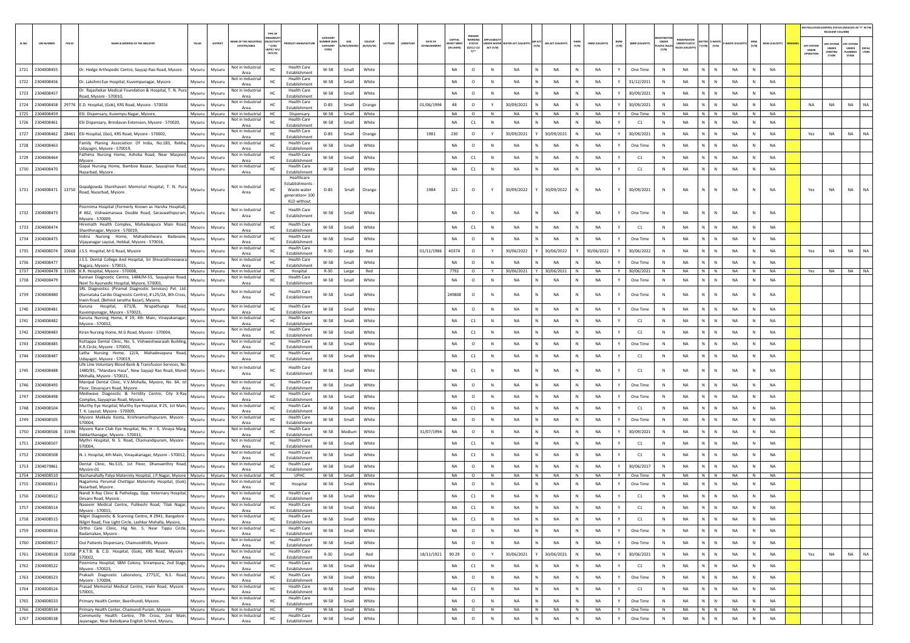|        |                             |                                                                                                                                                                          |          |                                              |                                                              |                                                                                      |                                               |         |                     |          |         |                               |                                   |                                                        |                                                     |                          |              |                                 |                       |                             |                                                          |                                 |                                   |              |                 |                                | RELEVANT COLUMNI                               | AIR POLLUTION CONTROL STATUS (INDICATE AS "Y" IN THI            |
|--------|-----------------------------|--------------------------------------------------------------------------------------------------------------------------------------------------------------------------|----------|----------------------------------------------|--------------------------------------------------------------|--------------------------------------------------------------------------------------|-----------------------------------------------|---------|---------------------|----------|---------|-------------------------------|-----------------------------------|--------------------------------------------------------|-----------------------------------------------------|--------------------------|--------------|---------------------------------|-----------------------|-----------------------------|----------------------------------------------------------|---------------------------------|-----------------------------------|--------------|-----------------|--------------------------------|------------------------------------------------|-----------------------------------------------------------------|
| SL.NO. | <b>UIN NUMBER</b><br>PCB ID | NAME & ADDRESS OF THE INDUSTR<br>TALUK                                                                                                                                   | DISTRICT | WE OF THE IND<br><b>ESTATES/AREA</b>         | RGANISA<br><b>ACTIV</b><br>$*(1/M)^*$<br>LB/HC/ H/<br>CE/C/O | AANUFACTU                                                                            | CATEGORY<br><b>IBER D</b><br>CATEGORY<br>CODE | M/S/MIC | coLour<br>(R/O/G/W) | LATITUDE | MGITUDE | DATE OF<br><b>ESTABLISHME</b> | CAPITAL<br>VEST MEN<br>(IN LAKHS) | PRESENT<br><b>WORKIN</b><br><b>STATUS</b><br>(0/C1/C2/ | UNDER WATER WATER ACT (VALIDITY) (Y/N)<br>ACT (Y/N) | <b>UR ACT (VALIDITY)</b> | HWM<br>(Y/N) | BMW<br>(Y/N)<br>HWM (VALIDITY)  | <b>BMW (VALIDITY)</b> | <b>LASTIC RULE</b><br>(Y/N) | <b>FGISTRATI</b><br><b>JNDER PLASTIC</b><br>ULES (VALIDI | BATTER E-WASTE<br>Y (Y/N) (Y/N) | E-WASTE (VALI                     | MSW<br>(Y/N) | MSW (VALIDITY)  | APC SYSTE<br>UNDER<br>OPERATIO | <b>APC SYSTEM</b><br>UNDER<br>CONSTRU<br>CTION | APC SYSTEM<br><b>UNDER</b><br>DEFA<br>LTERS<br>LANNING<br>STAGE |
|        | 1721 2304008455             | Dr. Hedge Arthopedic Centre, Sayyaji Rao Road, Mysore.<br>Mysuru                                                                                                         | Mysuru   | Not in Industrial<br>Area                    | HC                                                           | <b>Health Care</b><br>Establishment                                                  | W-58                                          | Small   | White               |          |         |                               | <b>NA</b>                         | $\circ$                                                | $\,$ N<br><b>NA</b>                                 | NA                       |              | <b>NA</b>                       | One Time              | $\,$ N                      | NA                                                       | N                               | N<br><b>NA</b>                    |              | <b>NA</b>       |                                |                                                |                                                                 |
|        | 1722 2304008456             | Dr. Lakshmi Eye Hospital, Kuvempunagar, Mysore<br>Mysuru                                                                                                                 | Mysuru   | Not in Industria<br>Area                     | HC.                                                          | <b>Health Care</b><br>Establishment                                                  | $W-58$                                        | Small   | White               |          |         |                               | NA                                | $\circ$                                                | N<br>N<br><b>NA</b>                                 | <b>NA</b>                | N            | <b>NA</b><br>Y                  | 31/12/2011            | $\mathbb{N}$                | <b>NA</b>                                                | N                               | $\,$ N<br><b>NA</b>               |              | <b>NA</b>       |                                |                                                |                                                                 |
|        | 1723 2304008457             | Dr. Rajashekar Medical Foundation & Hospital, T. N. Pura<br>Mysuru<br>Road, Mysore - 570010.                                                                             | Mysuru   | Not in Industria<br>Area                     | HC                                                           | <b>Health Care</b><br>Establishment                                                  | W-58                                          | Small   | White               |          |         |                               | <b>NA</b>                         | $\circ$                                                | N<br><b>NA</b>                                      | NA                       | N            | <b>NA</b><br>Y                  | 30/09/2021            | N                           | <b>NA</b>                                                | N                               | N<br><b>NA</b>                    | N            | <b>NA</b>       |                                |                                                |                                                                 |
| 1724   | 2304008458                  | 29776 E.D. Hospital, (Gok), KRS Road, Mysore - 570016<br>Mysuru                                                                                                          | Mysuru   | Not in Industrial<br>Area                    | HC                                                           | <b>Health Care</b><br>Establishment                                                  | $O - 85$                                      | Small   | Orange              |          |         | 01/06/1994                    | 48                                | $\circ$                                                | 30/09/2021                                          | NA                       |              | NA                              | 30/09/2021            |                             | <b>NA</b>                                                | N                               | NA<br>N                           |              | NA              | NA                             | <b>NA</b>                                      | NA<br>NA                                                        |
|        | 1725 2304008459             | ESI. Dispensary, Kuvempu Nagar, Mysore,<br>Mysuru                                                                                                                        | Mysuru   | Not in Industria<br>Not in Industria         | HC                                                           | Dispensary<br><b>Health Care</b>                                                     | W-58                                          | Small   | White               |          |         |                               | <b>NA</b>                         | $\circ$                                                | <b>NA</b><br>N<br>N                                 | <b>NA</b>                | N            | <b>NA</b><br>Y                  | One Time              | N                           | <b>NA</b>                                                | N                               | N<br>NA                           | N            | <b>NA</b>       |                                |                                                |                                                                 |
| 1726   | 2304008461                  | ESI Dispensary, Brindavan Extension, Mysore - 570020,<br>Mysuru                                                                                                          | Mysuru   | Area                                         | HC                                                           | Establishment                                                                        | W-58                                          | Small   | White               |          |         |                               | <b>NA</b>                         | $\mathsf{C1}$                                          | N<br>NA                                             | NA                       | N            | <b>NA</b>                       | C1                    | N                           | <b>NA</b>                                                | N                               | N<br>NA                           | N            | <b>NA</b>       |                                |                                                |                                                                 |
| 1727   | 2304008462                  | 28461 ESI Hospital, (Goi), KRS Road, Mysore - 570002,<br>Mysuru                                                                                                          | Mysuru   | Not in Industrial<br>Area                    | HC                                                           | <b>Health Care</b><br>Establishment                                                  | $O-85$                                        | Small   | Orange              |          |         | 1981                          | 230                               | $\circ$                                                | 30/09/2021<br>Y                                     | 30/09/2021               |              | NA                              | 30/09/2021            | $\mathbb N$                 | NA                                                       | N                               | ${\sf N}$<br>NA                   |              | NA              | Yes                            | NA                                             | NA<br>NA                                                        |
|        | 1728 2304008463             | Family Planing Association Of India, No.183, Rekha,<br>Mysuru<br>Udayagiri, Mysore - 570019,                                                                             | Mysuru   | Not in Industria<br>Area                     | HC                                                           | <b>Health Care</b><br>Establishment                                                  | W-58                                          | Small   | White               |          |         |                               | <b>NA</b>                         | $\circ$                                                | <b>NA</b><br>$\mathbb N$                            | <b>NA</b>                |              | <b>NA</b><br>Y                  | One Time              | $\mathbb{N}$                | <b>NA</b>                                                | N                               | N<br><b>NA</b>                    |              | <b>NA</b>       |                                |                                                |                                                                 |
|        | 1729 2304008464             | Fathima Nursing Home, Ashoka Road, Near Masjeed,<br>Mysuru<br>Mysore.                                                                                                    | Mysuru   | Not in Industria<br>Area                     | HC                                                           | <b>Health Care</b><br>Establishment                                                  | $W-58$                                        | Small   | White               |          |         |                               | <b>NA</b>                         | C1                                                     | NA<br>$\mathbb N$                                   | NA                       |              | NA                              | C1                    | $\mathbb{N}$                | <b>NA</b>                                                |                                 | $\mathbb{N}$<br><b>NA</b>         |              | <b>NA</b>       |                                |                                                |                                                                 |
|        | 1730 2304008470             | Gopal Nursing Home, Bamboo Bazaar, Sayyajirao Road,<br>Mysuru<br>Nazarbad, Mysore.                                                                                       | Mysuru   | Not in Industria<br>Area                     | HC                                                           | <b>Health Care</b><br>Establishment                                                  | W-58                                          | Small   | White               |          |         |                               | NA                                | C1                                                     | NA<br>N                                             | NA                       | N            | <b>NA</b><br>$\mathbf{v}$       | C1                    | $\mathbb{N}$                | <b>NA</b>                                                | N.                              | N<br><b>NA</b>                    |              | <b>NA</b>       |                                |                                                |                                                                 |
|        | 1731 2304008471 13750       | Gopalgowda Shanthaveri Memorial Hospital, T. N. Pura<br>Mysuru<br>Road, Nazarbad, Mysore                                                                                 | Mysuru   | Not in Industria<br>Area                     | HC                                                           | Healthcare<br>Establishments<br>Waste water<br>zeneration< 100<br><b>KLD</b> without | $O - 85$                                      | Small   | Orange              |          |         | 1984                          | 121                               | $\circ$                                                | 30/09/2022                                          | 30/09/2022               |              | <b>NA</b>                       | 30/09/2021            | $\mathbb{N}$                | <b>NA</b>                                                |                                 | $\mathsf{N}$<br><b>NA</b>         |              | <b>NA</b>       | Yes                            | NA                                             | NA                                                              |
|        | 1732 2304008473             | Poornima Hospital (Formerly Known as Harsha Hospital)<br># 662, Vishwamanava Double Road, Saraswathipuram, Mysuru<br>Mysore - 570009,                                    | Mysuru   | Not in Industrial<br>Area                    | HC                                                           | <b>Health Care</b><br>Establishment                                                  | W-58                                          | Small   | White               |          |         |                               | NA                                | $\circ$                                                | <b>NA</b><br>$\mathbb N$                            | <b>NA</b>                | N            | <b>NA</b>                       | One Time              | N                           | <b>NA</b>                                                | N                               | $\mathbb{N}$<br><b>NA</b>         |              | NA              |                                |                                                |                                                                 |
|        | 1733 2304008474             | Hiremath Health Complex, Mahadeapura Main Road,<br>Mysuru<br>Shanthinagar, Mysore - 570019,                                                                              | Mysuru   | Not in Industria<br>Area                     | HC.                                                          | <b>Health Care</b><br>Establishment                                                  | W-58                                          | Small   | White               |          |         |                               | <b>NA</b>                         | C1                                                     | $\mathbb N$<br><b>NA</b>                            | <b>NA</b>                | N            | <b>NA</b><br>Y                  | C1                    | - N                         | <b>NA</b>                                                | N                               | N<br><b>NA</b>                    |              | <b>NA</b>       |                                |                                                |                                                                 |
| 1734   | 2304008475                  | Indira Nursing Home, Mahadeshwara Badavane,<br>Mysuru<br>Vijayanagar Layout, Hebbal, Mysore - 570016,                                                                    | Mysuru   | Not in Industria<br>Area                     | HC                                                           | <b>Health Care</b><br>Establishment                                                  | W-58                                          | Small   | White               |          |         |                               | <b>NA</b>                         | $\circ$                                                | $\mathbb N$<br><b>NA</b>                            | NA                       | N            | <b>NA</b>                       | One Time              | N                           | <b>NA</b>                                                | N.                              | <b>NA</b><br>N                    | N            | <b>NA</b>       |                                |                                                |                                                                 |
| 1735   | 2304008074                  | 20668 J.S.S. Hospital, M G Road, Mysore<br>Mysuru                                                                                                                        | Mysuru   | Not in Industrial<br>Area                    | HC                                                           | <b>Health Care</b><br>Establishment                                                  | R-30                                          | Large   | Red                 |          |         | 01/11/1986                    | 40374                             | $\circ$                                                | 30/06/2022<br>Y                                     | 30/06/2022               |              | 30/06/2022                      | 30/06/2022            | $\mathbb N$                 | <b>NA</b>                                                | N                               | ${\sf N}$<br><b>NA</b>            |              | NA              | Yes                            | NA                                             | <b>NA</b><br>NA                                                 |
|        | 1736 2304008477             | J.S.S. Dental College And Hospital, Sri Shivarathreeswara<br>Mysuru<br>Nagara, Mysore - 570015                                                                           | Mysuru   | Not in Industria<br>Area                     | HC                                                           | <b>Health Care</b><br>Establishment                                                  | W-58                                          | Small   | White               |          |         |                               | <b>NA</b>                         | $\circ$                                                | $\mathbb{N}$<br><b>NA</b>                           | <b>NA</b>                |              | <b>NA</b>                       | One Time              | $\mathbb{N}$                | <b>NA</b>                                                | $\mathbb{N}$                    | $\mathbb{N}$<br><b>NA</b>         |              | <b>NA</b>       |                                |                                                |                                                                 |
|        |                             | 1737 2304008478 11506 K.R. Hospital, Mysore - 570008,<br>Mysuru                                                                                                          | Mysuru   | Not in Industrial                            | HC.                                                          | Hospital                                                                             | R-30                                          | Large   | Red                 |          |         |                               | 7792                              | $\circ$                                                | 30/06/2021<br>Υ<br>Y                                | 30/06/2021               | N            | <b>NA</b><br>Y                  | 30/06/2021            | N                           | <b>NA</b>                                                | N                               | N<br>NA                           | N            | <b>NA</b>       | Yes                            | <b>NA</b>                                      | NA NA                                                           |
| 1738   | 2304008479                  | Kannan Diagnostic Centre, 1484/M-55, Sayyajirao Road,<br>Mysuru<br>Next To Ayurvedic Hospital, Mysore, 570001<br>SRL Diagnostics (Piramal Diagnostic Services) Pvt. Ltd. | Mysuru   | Not in Industria<br>Area<br>Not in Industria | HC                                                           | <b>Health Care</b><br>Establishment<br><b>Health Care</b>                            | W-58                                          | Small   | White               |          |         |                               | NA                                | $\circ$                                                | N<br>NA                                             | NA                       | N            | NA                              | One Time              | N                           | <b>NA</b>                                                | N                               | ${\sf N}$<br><b>NA</b>            |              | NA              |                                |                                                |                                                                 |
|        | 1739 2304008480             | (Karnataka Cardio Diagnostic Centre), # L25/2A, 8th Cross,<br>Mysuru<br>Irwin Road, (Behind Janatha Bazar), Mysore,<br>Karuna Hospital, 671/B,<br>Nrupathunga<br>Road,   | Mysuru   | Area<br>Not in Industria                     | HC                                                           | Establishment<br><b>Health Care</b>                                                  | W-58                                          | Small   | White               |          |         |                               | 249808                            | $\circ$                                                | N<br>NA                                             | <b>NA</b>                | N            | NA                              | One Time              | N                           | NA                                                       | N                               | N<br>NA                           |              | <b>NA</b>       |                                |                                                |                                                                 |
| 1740   | 2304008481                  | Mysuru<br>Cuvempunagar, Mysore - 570023,<br>Karuna Nursing Home, # 19, 4th Main, Vinayakanagar,                                                                          | Mysuru   | Area<br>Not in Industria                     | HC<br>HC                                                     | Establishment<br><b>Health Care</b>                                                  | W-58                                          | Small   | White               |          |         |                               | NA<br><b>NA</b>                   | $\circ$                                                | $\mathbb N$<br>NA<br>$\mathbb N$<br><b>NA</b><br>N  | NA<br><b>NA</b>          |              | NA<br><b>NA</b><br>$\mathbf{v}$ | One Time              | $\mathbb N$<br>N            | NA                                                       | N<br>N                          | ${\sf N}$<br>NA<br>N<br><b>NA</b> |              | NA<br><b>NA</b> |                                |                                                |                                                                 |
|        | 1741 2304008482             | Mysuru<br>Mysore - 570012.                                                                                                                                               | Mysuru   | Area<br>Not in Industria                     |                                                              | Establishment<br><b>Health Care</b>                                                  | W-58                                          | Small   | White               |          |         |                               |                                   | C1                                                     |                                                     |                          |              |                                 | C1                    |                             | <b>NA</b>                                                |                                 |                                   |              |                 |                                |                                                |                                                                 |
|        | 1742 2304008483             | Kiran Nursing Home, M.G Road, Mysore - 570004,<br>Mysuru<br>Kuttappa Dental Clinic, No. 5, Vishweshwaraiah Building,                                                     | Mysuru   | Area<br>Not in Industria                     | HC                                                           | Establishment<br><b>Health Care</b>                                                  | W-58                                          | Small   | White               |          |         |                               | <b>NA</b>                         | C1                                                     | NA<br>N                                             | NA                       |              | <b>NA</b>                       | C1                    | N                           | <b>NA</b>                                                |                                 | $\mathsf{N}$<br>NA                |              | <b>NA</b>       |                                |                                                |                                                                 |
|        | 1743 2304008485             | Mysuru<br>K.R.Circle, Mysore - 570001,                                                                                                                                   | Mysuru   | Area<br>Not in Industria                     | нc                                                           | Establishment<br><b>Health Care</b>                                                  | W-58                                          | Small   | White               |          |         |                               | <b>NA</b>                         | $\circ$                                                | $\mathbb N$<br><b>NA</b>                            | <b>NA</b>                | N            | <b>NA</b><br>$\mathbf{v}$       | One Time              | $\mathbb{N}$                | <b>NA</b>                                                | N.                              | N<br><b>NA</b>                    |              | <b>NA</b>       |                                |                                                |                                                                 |
|        | 1744 2304008487             | Latha Nursing Home, 12/A, Mahadevapura Road,<br>Mysuru<br>Udayagiri, Mysore - 570019,<br>Life Line Voluntary Blood Bank & Transfusion Services, No                       | Mysuru   | Area                                         | HC                                                           | Establishment                                                                        | W-58                                          | Small   | White               |          |         |                               | <b>NA</b>                         | C1                                                     | N<br><b>NA</b><br>Ν                                 | NA                       | N            | NA<br>Y                         | C1                    | $\mathbb N$                 | NA                                                       | N                               | N<br>NA                           | N            | <b>NA</b>       |                                |                                                |                                                                 |
|        | 1745 2304008488             | 1480/81, "Mandara Hasa", New Sayyaji Rao Road, Mandi Mysuru<br>Mohalla, Mysore - 570021.                                                                                 | Mysur    | Not in Industria<br>Area                     | HC                                                           | <b>Health Care</b><br>Establishment                                                  | W-58                                          | Small   | White               |          |         |                               | <b>NA</b>                         | C1                                                     | $\mathbb N$<br>NA                                   | NA                       | N            | <b>NA</b><br>$\mathbf{v}$       | C1                    | N                           | <b>NA</b>                                                | N                               | $\mathsf{N}$<br>NA                |              | <b>NA</b>       |                                |                                                |                                                                 |
|        | 1746 2304008495             | Manipal Dental Clinic, V.V.Mohalla, Mysore, No. 64, Ist<br>Mysuru<br>Floor, Devarajurs Road, Mysore.                                                                     | Mysuru   | Not in Industria<br>Area                     | HC                                                           | <b>Health Care</b><br>Establishment                                                  | W-58                                          | Small   | White               |          |         |                               | NA                                | $\circ$                                                | $\mathbb N$<br><b>NA</b><br>N                       | NA                       | N            | NA<br>Y                         | One Time              | N                           | <b>NA</b>                                                | N                               | N<br>NA                           | N            | <b>NA</b>       |                                |                                                |                                                                 |
| 1747   | 2304008498                  | Mediwave Diagnostic & Fertility Centre, City X-Ray<br>Mysuru<br>Complex, Sayyajirao Road, Mysore,                                                                        | Mysur    | Not in Industrial<br>Area                    | HC                                                           | <b>Health Care</b><br>Establishment                                                  | W-58                                          | Small   | White               |          |         |                               | NA                                | $\circ$                                                | N<br>NA                                             | NA                       |              | NA                              | One Time              | N                           | <b>NA</b>                                                | N                               | ${\sf N}$<br>NA                   |              | NA              |                                |                                                |                                                                 |
|        | 1748 2304008504             | Murthy Eye Hospital, Murthy Eye Hospital, #25, 1st Main,<br>Mysuru<br>T. K. Layout, Mysore - 570009,                                                                     | Mysuru   | Not in Industria<br>Area                     | HC                                                           | <b>Health Care</b><br>Establishment                                                  | W-58                                          | Small   | White               |          |         |                               | <b>NA</b>                         | C1                                                     | $\mathbb N$<br><b>NA</b>                            | NA                       |              | <b>NA</b><br>Y                  | C1                    | N                           | NA                                                       | N                               | N<br><b>NA</b>                    |              | <b>NA</b>       |                                |                                                |                                                                 |
| 1749   | 2304008505                  | Mysore Makkala Koota, Krishnamurihypuram, Mysore<br>Mysuru<br>570004.                                                                                                    | Mysuru   | Not in Industria<br>Area                     | HC.                                                          | <b>Health Care</b><br>Establishment                                                  | W-58                                          | Small   | White               |          |         |                               | NA                                | $\circ$                                                | N<br><b>NA</b>                                      | <b>NA</b>                |              | <b>NA</b><br>Y                  | One Time              | N                           | <b>NA</b>                                                | N                               | N<br><b>NA</b>                    |              | <b>NA</b>       |                                |                                                |                                                                 |
| 1750   | 2304008506<br>31596         | Mysore Race Club Eye Hospital, No, H - 3, Vinaya Marg,<br>Mysuru<br>Siddarthanagar, Mysore - 570011,                                                                     | Mysuru   | Not in Industria<br>Area                     | нc                                                           | <b>Health Care</b><br>Establishment                                                  | W-58                                          | Medium  | White               |          |         | 31/07/1994                    | <b>NA</b>                         | $\circ$                                                | $\mathbb N$<br><b>NA</b>                            | <b>NA</b>                |              | $\mathbf{v}$<br><b>NA</b>       | 30/09/2021            | $\mathbb{N}$                | <b>NA</b>                                                | $\mathbb{N}$                    | N<br><b>NA</b>                    |              | <b>NA</b>       |                                |                                                |                                                                 |
|        | 1751 2304008507             | Mythri Hospital, N. S. Road, Chamundipuram, Mysore<br>Mysuru<br>570004.                                                                                                  | Mysuru   | Not in Industria<br>Area                     | HC                                                           | <b>Health Care</b><br>Establishment                                                  | W-58                                          | Small   | White               |          |         |                               | <b>NA</b>                         | C1                                                     | N<br>NA<br>N                                        | NA                       | N            | <b>NA</b><br>Y                  | C1                    | $\mathbb N$                 | <b>NA</b>                                                | N                               | N<br>NA                           | N            | <b>NA</b>       |                                |                                                |                                                                 |
| 1752   | 2304008508                  | N. J. Hospital, 4th Main, Vinayakanagar, Mysore - 570012,<br>Mysuru                                                                                                      | Mysuru   | Not in Industria<br>Area                     | HC                                                           | <b>Health Care</b><br>Establishment                                                  | W-58                                          | Small   | White               |          |         |                               | NA                                | C1                                                     | $\mathbb N$<br>NA                                   | NA                       | N            | NA                              | C1                    |                             | <b>NA</b>                                                | N                               | ${\sf N}$<br>NA                   |              | NA              |                                |                                                |                                                                 |
|        | 1753 2304079861             | Dental Clinic, No.515, 1st Floor, Dhanvanthry Road,<br>Mysuru                                                                                                            | Mysuru   | Not in Industria                             | HC                                                           | <b>Health Care</b>                                                                   | W-58                                          | Small   | White               |          |         |                               | NA                                | $\circ$                                                | N<br><b>NA</b>                                      | <b>NA</b>                | $\mathbb{N}$ | <b>NA</b><br>Y                  | 30/06/2017            | $\mathbb{N}$                | <b>NA</b>                                                | N                               | N<br><b>NA</b>                    |              | <b>NA</b>       |                                |                                                |                                                                 |
|        | 1754 2304008510             | Mysore-01<br>Nachanahally Palya Maternity Hospital, J.P.Nagar, Mysore Mysuru                                                                                             | Mysuru   | Area<br>Not in Industrial                    | HC.                                                          | Establishment<br><b>UPHC</b>                                                         | W-58                                          | Small   | White               |          |         |                               | <b>NA</b>                         | $\circ$                                                | N<br>NA<br>N                                        | NA                       | N            | NA<br>Y                         | One Time              | N                           | <b>NA</b>                                                | N                               | N<br><b>NA</b>                    | N            | NA              |                                |                                                |                                                                 |
| 1755   | 2304008511                  | Nagamma Perumal Chettigar Maternity Hospital, (Gok),<br>Mysuri<br>Nazarbad, Mysore                                                                                       | Mysur    | Not in Industria<br>Area                     | HC                                                           | Hospital                                                                             | W-58                                          | Small   | White               |          |         |                               | NA                                | $\circ$                                                | N<br>NA                                             | <b>NA</b>                |              | NA                              | One Time              | N                           | <b>NA</b>                                                | N                               | ${\sf N}$<br><b>NA</b>            |              | NA              |                                |                                                |                                                                 |
|        | 1756 2304008512             | Nandi X-Ray Clinic & Pathology, Opp. Veternary Hospital,<br>Mysuru<br>Devans Road, Mysore.                                                                               | Mysuru   | Not in Industria<br>Area                     | HC                                                           | <b>Health Care</b><br>Establishment                                                  | W-58                                          | Small   | White               |          |         |                               | <b>NA</b>                         | C1                                                     | N<br><b>NA</b>                                      | NA                       |              | <b>NA</b>                       | C1                    | N                           | <b>NA</b>                                                | N                               | N<br><b>NA</b>                    |              | <b>NA</b>       |                                |                                                |                                                                 |
|        | 1757 2304008514             | Naseem Medical Centre, Pulikeshi Road, Tilak Nagar,<br>Mysuru<br>Mysore - 570015,                                                                                        | Mysuru   | Not in Industrial<br>Area                    | нc                                                           | <b>Health Care</b><br>Establishment                                                  | W-58                                          | Small   | White               |          |         |                               | NA.                               | C1                                                     | - N<br>NA.<br>N.                                    | NA.                      |              | NA.                             | C1                    | -N                          | NA.                                                      | N I                             | N<br>- NA                         |              | <b>NA</b>       |                                |                                                |                                                                 |
|        | 1758 2304008515             | Nilgiri Diagnostic & Scanning Centre, # 2941, Bangalore<br>Mysuru<br>Nilgiri Road, Five Light Circle, Lashkar Mohalla, Mysore,                                           | Mysuru   | Not in Industria<br>Area                     | HC                                                           | <b>Health Care</b><br>Establishment                                                  | W-58                                          | Small   | White               |          |         |                               | NA                                | C1                                                     | N<br><b>NA</b>                                      | <b>NA</b>                | N            | $\mathbf{v}$<br><b>NA</b>       | C1                    | N                           | <b>NA</b>                                                | N                               | $\,$ N<br><b>NA</b>               | $\mathbb N$  | NA              |                                |                                                |                                                                 |
|        | 1759 2304008516             | Ortho Care Clinic, Hig No. 5, Near Tippu Circle,<br>Mysuru<br>Badamakan, Mysore.                                                                                         | Mysuru   | Not in Industrial<br>Area                    | HC                                                           | <b>Health Care</b><br>Establishment                                                  | W-58                                          | Small   | White               |          |         |                               | NA                                | $\circ$                                                | N<br><b>NA</b><br>N                                 | NA                       | N            | <b>NA</b><br>Y                  | One Time              | N                           | <b>NA</b>                                                | N                               | N<br><b>NA</b>                    | N            | <b>NA</b>       |                                |                                                |                                                                 |
| 1760   | 2304008517                  | Out Patients Dispensary, Chamundihills, Mysore.<br>Mysuru                                                                                                                | Mysuru   | Not in Industrial<br>Area                    | HC                                                           | <b>Health Care</b><br>Establishment                                                  | W-58                                          | Small   | White               |          |         |                               | NA                                | $\circ$                                                | $\,$ N<br>NA                                        | NA                       | N            | NA<br>Y                         | One Time              | $\mathbb N$                 | <b>NA</b>                                                | N                               | N<br><b>NA</b>                    |              | NA              |                                |                                                |                                                                 |
|        | 1761 2304008518<br>31058    | P.K.T.B. & C.D. Hospital, (Gok), KRS Road, Mysore<br>Mysuru                                                                                                              | Mysuru   | Not in Industria                             | HC                                                           | <b>Health Care</b>                                                                   | $R-30$                                        | Small   | Red                 |          |         | 18/11/1921                    | 90.29                             | $\circ$                                                | 30/06/2021<br>Y                                     | 30/06/2021               | N            | <b>NA</b><br>Y                  | 30/06/2021            | N                           | <b>NA</b>                                                | $\mathsf{N}^-$                  | $\mathbb N$<br><b>NA</b>          | N            | NA              | Yes                            | NA                                             | <b>NA</b><br>NA                                                 |
| 1762   | 2304008522                  | 570002,<br>Poornima Hospital, SBM Colony, Srirampura, 2nd Stage,<br>Mysuru                                                                                               | Mysuru   | Area<br>Not in Industrial                    | HC                                                           | Establishment<br><b>Health Care</b>                                                  | W-58                                          | Small   | White               |          |         |                               | NA                                | $\mathsf{C1}$                                          | <b>NA</b><br>N                                      | <b>NA</b>                | N            | NA<br>Y                         | C1                    | N                           | <b>NA</b>                                                | N                               | $\,$ N<br><b>NA</b>               | N            | NA              |                                |                                                |                                                                 |
| 1763   | 2304008523                  | Mysore - 570023,<br>Prakash Diagnostic Laboratory, 2775/C, N.S. Road,<br>Mysuru                                                                                          | Mysuru   | Area<br>Not in Industria                     | HC                                                           | Establishment<br><b>Health Care</b>                                                  | W-58                                          | Small   | White               |          |         |                               | NA                                | $\circ$                                                | N<br>NA<br>N                                        | NA                       | $\mathbb N$  | NA<br>Y                         | One Time              | N                           | <b>NA</b>                                                | N                               | $\mathbb N$<br><b>NA</b>          | N            | NA              |                                |                                                |                                                                 |
| 1764   | 2304008524                  | Mysore - 570004.<br>Prasad Memorial Medical Centre, Irwin Road, Mysore<br>Mysuru                                                                                         | Mysuru   | Area<br>Not in Industria                     | HC                                                           | Establishment<br><b>Health Care</b>                                                  | W-58                                          | Small   | White               |          |         |                               | NA                                | $\mathsf{C1}$                                          | $\,$ N<br>NA<br>N                                   | NA                       | $\mathbb N$  | <b>NA</b><br>Y                  | C1                    | $\,$ N                      | <b>NA</b>                                                | N                               | N<br><b>NA</b>                    | N            | <b>NA</b>       |                                |                                                |                                                                 |
| 1765   | 2304008533                  | 570001,<br>Primary Health Center, Beerihundi, Mysore.<br>Mysuru                                                                                                          | Mysuru   | Area<br>Not in Industrial                    | HC                                                           | Establishment<br><b>Health Care</b>                                                  | W-58                                          | Small   | White               |          |         |                               | NA                                | $\circ$                                                | $\,$ N<br>NA                                        | NA                       | N            | NA<br>Y                         | One Time              | $\mathbb N$                 | <b>NA</b>                                                | N                               | $\,$ N<br><b>NA</b>               |              | NA              |                                |                                                |                                                                 |
| 1766   | 2304008534                  | Primary Health Center, Chamundi Puram, Mysore.<br>Mysuru                                                                                                                 | Mysuru   | Area<br>Not in Industrial                    | HC                                                           | Establishment<br>PHC                                                                 | W-58                                          | Small   | White               |          |         |                               | NA                                | $\circ$                                                | <b>NA</b><br>N<br>N                                 | <b>NA</b>                | N            | NA<br>Y                         | One Time              | N                           | <b>NA</b>                                                | N                               | $\,$ N<br><b>NA</b>               | N            | <b>NA</b>       |                                |                                                |                                                                 |
| 1767   | 2304008538                  | Community Health Centre, 7th Cross, 2nd Main,<br>Mysuru<br>Jayanagar, Near Balodyana English School, Mysuru,                                                             | Mysuru   | Not in Industrial<br>Area                    | HC                                                           | <b>Health Care</b><br>Establishment                                                  | W-58                                          | Small   | White               |          |         |                               | NA                                | $\circ$                                                | $\,$ N<br>NA                                        | NA                       | N            | NA<br>Y                         | One Time              | N                           | <b>NA</b>                                                | N                               | ${\sf N}$<br><b>NA</b>            | N            | NA              |                                |                                                |                                                                 |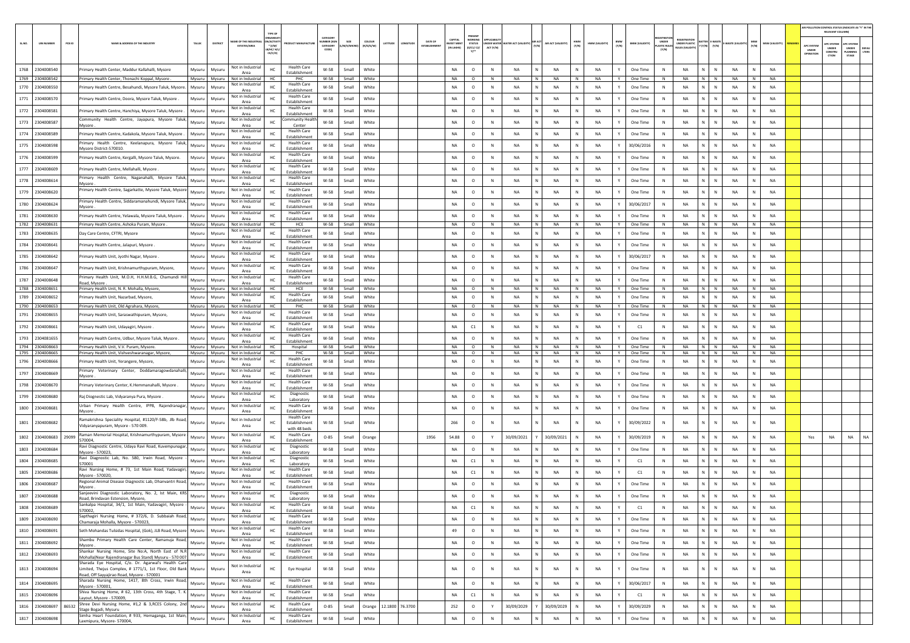|       |                                    |        |                                                                                                                                                              |                  |                  | <b>YPE OF</b>                                                                                     |                                                      |                                          |                |                     |                                                                |                                         |                                                  |             |                                 |                    |                        |              |                        |              |                       |                             |                                                    |                    |                        |              |                        |                                | AIR POLLUTION CONTROL STATUS (INDICATE AS "Y" IN THI<br>RELEVANT COLUMN |                                         |               |
|-------|------------------------------------|--------|--------------------------------------------------------------------------------------------------------------------------------------------------------------|------------------|------------------|---------------------------------------------------------------------------------------------------|------------------------------------------------------|------------------------------------------|----------------|---------------------|----------------------------------------------------------------|-----------------------------------------|--------------------------------------------------|-------------|---------------------------------|--------------------|------------------------|--------------|------------------------|--------------|-----------------------|-----------------------------|----------------------------------------------------|--------------------|------------------------|--------------|------------------------|--------------------------------|-------------------------------------------------------------------------|-----------------------------------------|---------------|
| SLNO. | <b>UIN NUMBER</b>                  | PCB ID | NAME & ADDRESS OF THE INDUSTR                                                                                                                                | TALUS            | DISTRICT         | GANISA<br>ME OF THE INDL<br><b>ACTIV</b><br>$*(1/M)^*$<br><b>ESTATES/AREA</b><br>MC/H/<br>CE/C/O) | DUCT MANUFACTU                                       | CATEGORY<br>MBER (X<br>CATEGORY<br>CODE) | M/S/MICRO      | coLous<br>(R/O/G/W) | <b>DATE OF</b><br>LATITUDE<br>LONGITUDE<br><b>ESTABLISHMEN</b> | CAPITAL<br><b>VEST MEN</b><br>IN LAKHS) | PRESENT<br>WORKING<br><b>STATUS</b><br>(0/C1/C2) | ACT (Y/N)   | NDER WATER WATER ACT (VALIDITY) | (Y/N)              | AIR ACT (VALIDITY)     | HWM<br>(Y/N) | HWM (VALIDITY)         | BMW<br>(Y/N) | <b>BMW (VALIDITY)</b> | <b>LASTIC RULE</b><br>(Y/N) | <b>FGISTRATI</b><br>UNDER PLASTIC<br>ULES (VALIDI) | Y (Y/N) (Y/N)      | -WASTE (VALI           | MSW<br>(Y/N) | MSW (VALIDITY)         | APC SYSTE<br>UNDER<br>OPERATIO | <b>APC SYSTEM</b><br><b>UNDER</b><br>CONSTRU<br>CTION                   | APC SYSTER<br>UNDER<br>LANNING<br>STAGE | DEFA<br>LTERS |
|       | 1768 2304008540                    |        | rimary Health Center, Maddur Kallahalli, Mysore                                                                                                              | Mysuru           | Mysuru           | Not in Industrial<br>HC<br>Area                                                                   | <b>Health Care</b><br>Establishment                  | $W-58$                                   | Small          | White               |                                                                | <b>NA</b>                               | $\circ$                                          | $\,$ N      | <b>NA</b>                       |                    | <b>NA</b>              |              | <b>NA</b>              | Y            | One Time              | ${\sf N}$                   | <b>NA</b>                                          | N<br>$\mathbb N$   | <b>NA</b>              |              | <b>NA</b>              |                                |                                                                         |                                         |               |
|       | 1769 2304008542                    |        | Primary Health Center, Thonachi Koppal, Mysore                                                                                                               | Mysuru           | Mysuru           | Not in Industrial<br>HC<br>Not in Industria                                                       | PHC<br><b>Health Care</b>                            | W-58                                     | Small          | White               |                                                                | <b>NA</b>                               | $\circ$                                          | N           | <b>NA</b>                       | N                  | <b>NA</b>              | N            | <b>NA</b>              | Y            | One Time              | N                           | <b>NA</b>                                          | N<br>N             | <b>NA</b>              | N            | <b>NA</b>              |                                |                                                                         |                                         |               |
| 1770  | 2304008550                         |        | rimary Health Centre, Besahundi, Mysore Taluk, Mysore.                                                                                                       | Mysuru           | Mysuri           | HC<br>Area<br>Not in Industria                                                                    | Establishment<br><b>Health Care</b>                  | W-58                                     | Small          | White               |                                                                | <b>NA</b>                               | $\circ$                                          | N           | <b>NA</b>                       | N                  | <b>NA</b>              |              | <b>NA</b>              | Y            | One Time              | N                           | <b>NA</b>                                          | N<br>$\mathbb N$   | <b>NA</b>              | N            | <b>NA</b>              |                                |                                                                         |                                         |               |
|       | 1771 2304008570                    |        | rimary Health Centre, Doora, Mysore Taluk, Mysore.                                                                                                           | Mysuru           | Mysuri           | HC<br>Area<br>Not in Industria                                                                    | Establishment<br><b>Health Care</b>                  | W-58                                     | Small          | White               |                                                                | NA                                      | $\circ$                                          | N           | NA                              |                    | <b>NA</b>              |              | <b>NA</b>              | Y            | One Time              | N                           | NA                                                 | N<br>${\sf N}$     | NA                     |              | NA                     |                                |                                                                         |                                         |               |
|       | 1772 2304008581                    |        | rimary Health Centre, Hanchiya, Mysore Taluk, Mysore .<br>ommunity Health Centre, Jayapura, Mysore Taluk                                                     | Mysuru           | Mysuri           | HC.<br>Area<br>Not in Industria                                                                   | Establishment<br>mmunity Healt                       | W-58                                     | Small          | White               |                                                                | <b>NA</b>                               | $\circ$                                          | N           | NA                              | N                  | <b>NA</b>              | N            | <b>NA</b>              | Y            | One Time              | $\mathbb{N}$                | <b>NA</b>                                          | N<br>$\mathbb N$   | <b>NA</b>              |              | <b>NA</b>              |                                |                                                                         |                                         |               |
|       | 1773 2304008587                    |        | Mvsore                                                                                                                                                       | Mysuru           | Mysuri           | HC<br>Area<br>Not in Industrial                                                                   | Center<br><b>Health Care</b>                         | W-58                                     | Small          | White               |                                                                | <b>NA</b>                               | $\circ$                                          | N           | NA                              | N                  | NA                     | N            | <b>NA</b>              | Y            | One Time              | N                           | <b>NA</b>                                          | N<br>N             | NA                     | N            | <b>NA</b>              |                                |                                                                         |                                         |               |
| 1774  | 2304008589                         |        | rimary Health Centre, Kadakola, Mysore Taluk, Mysore.<br>Primary Health Centre, Keelanapura, Mysore Talul                                                    | Mysuru           | Mysuru           | HC<br>Area<br>Not in Industria                                                                    | Establishment<br><b>Health Care</b>                  | W-58                                     | Small          | White               |                                                                | NA                                      | $\circ$                                          | N           | NA                              |                    | <b>NA</b>              |              | NA                     |              | One Time              | N                           | NA                                                 | N<br>${\sf N}$     | NA                     |              | NA                     |                                |                                                                         |                                         |               |
|       | 1775 2304008598                    |        | Mysore District-570010                                                                                                                                       | Mysuru           | Mysuri           | Area<br>Not in Industrial                                                                         | Establishment<br><b>Health Care</b>                  | W-58                                     | Small          | White               |                                                                | <b>NA</b>                               | $\circ$                                          | N           | <b>NA</b>                       | N                  | <b>NA</b>              |              | <b>NA</b>              | Y            | 30/06/2016            | $\mathbb{N}$                | NA                                                 | N<br>$\mathbb{N}$  | <b>NA</b>              |              | <b>NA</b>              |                                |                                                                         |                                         |               |
|       | 1776 2304008599                    |        | rimary Health Centre, Kergalli, Mysore Taluk, Mysore.                                                                                                        | Mysuru           | Mysuri           | HC<br>Area<br>Not in Industria                                                                    | Establishment<br><b>Health Care</b>                  | $W-58$                                   | Small          | White               |                                                                | <b>NA</b>                               | $\circ$                                          | N           | <b>NA</b>                       |                    | <b>NA</b>              |              | <b>NA</b>              | Y            | One Time              | $\mathbb N$                 | NA                                                 | $\mathbb{N}$       | <b>NA</b>              |              | <b>NA</b>              |                                |                                                                         |                                         |               |
|       | 1777 2304008609                    |        | rimary Health Centre, Mellahalli, Mysore<br>rimary Health Centre, Naganahalli, Mysore Taluk                                                                  | Mysuru           | Mysur            | HC<br>Area<br>Not in Industria                                                                    | Establishment<br><b>Health Care</b>                  | W-58                                     | Small          | White               |                                                                | <b>NA</b>                               | $\circ$                                          | N           | NA                              | N                  | <b>NA</b>              | N            | <b>NA</b>              | $\mathsf{Y}$ | One Time              | $\mathbb N$                 | <b>NA</b>                                          | N<br>$\mathbb{N}$  | <b>NA</b>              |              | <b>NA</b>              |                                |                                                                         |                                         |               |
|       | 1778 2304008614                    |        | Mysore<br>rimary Health Centre, Sagarkatte, Mysore Taluk, Mysor                                                                                              | Mysuru           | Mysuri           | HC<br>Area<br>Not in Industrial                                                                   | Establishment<br><b>Health Care</b>                  | W-58                                     | Small          | White               |                                                                | <b>NA</b>                               | $\circ$                                          | N           | NA                              | N                  | NA                     | N            | <b>NA</b>              | Y            | One Time              | N                           | <b>NA</b>                                          | N<br>N             | <b>NA</b>              | N            | <b>NA</b>              |                                |                                                                         |                                         |               |
| 1779  | 2304008620                         |        | Primary Health Centre, Siddaramanahundi, Mysore Taluk                                                                                                        | Mysuru           | Mysuri           | HC<br>Area<br>Not in Industria                                                                    | Establishment<br><b>Health Care</b>                  | W-58                                     | Small          | White               |                                                                | NA                                      | $\circ$                                          | N           | NA                              |                    | <b>NA</b>              |              | NA                     |              | One Time              | N                           | <b>NA</b>                                          | N<br>${\sf N}$     | NA                     |              | NA                     |                                |                                                                         |                                         |               |
|       | 1780 2304008624                    |        | Mysore.                                                                                                                                                      | Mysuru           | Mysuru           | HC<br>Area<br>Not in Industria                                                                    | Establishment<br><b>Health Care</b>                  | W-58                                     | Small          | White               |                                                                | <b>NA</b>                               | $\circ$                                          | N           | NA                              | N                  | <b>NA</b>              |              | <b>NA</b>              | Y            | 30/06/2017            | N                           | NA                                                 | N<br>$\mathbb N$   | <b>NA</b>              | N            | <b>NA</b>              |                                |                                                                         |                                         |               |
|       | 1781 2304008630<br>1782 2304008631 |        | rimary Health Centre, Yelawala, Mysore Taluk, Mysore<br>Primary Health Centre, Ashoka Puram, Mysore                                                          | Mysuru<br>Mysuru | Mysuri<br>Mysuru | HC<br>Area<br>Not in Industrial<br>HC                                                             | Establishment<br>HCE                                 | W-58<br>W-58                             | Small<br>Small | White<br>White      |                                                                | <b>NA</b><br><b>NA</b>                  | $\circ$<br>$\circ$                               | N<br>N      | <b>NA</b><br><b>NA</b>          | N.                 | <b>NA</b><br><b>NA</b> | N            | <b>NA</b><br><b>NA</b> | Y            | One Time<br>One Time  | N                           | <b>NA</b><br><b>NA</b>                             | N<br>N N           | <b>NA</b><br>NA        | N            | <b>NA</b><br><b>NA</b> |                                |                                                                         |                                         |               |
| 1783  | 2304008635                         |        | Day Care Centre, CFTRI, Mysore                                                                                                                               | Mysuru           | Mysur            | Not in Industria<br>HC<br>Area                                                                    | <b>Health Care</b><br>Establishment                  | W-58                                     | Small          | White               |                                                                | <b>NA</b>                               | $\circ$                                          | $\mathbb N$ | <b>NA</b>                       |                    | <b>NA</b>              |              | <b>NA</b>              |              | One Time              | N                           | <b>NA</b>                                          | N<br>$\mathsf{N}$  | <b>NA</b>              |              | <b>NA</b>              |                                |                                                                         |                                         |               |
| 1784  | 2304008641                         |        | rimary Health Centre, Jalapuri, Mysore                                                                                                                       | Mysuru           | Mysuru           | Not in Industria<br>HC                                                                            | <b>Health Care</b><br>Establishment                  | W-58                                     | Small          | White               |                                                                | <b>NA</b>                               | $\circ$                                          | $\,$ N      | <b>NA</b>                       |                    | <b>NA</b>              |              | <b>NA</b>              |              | One Time              | ${\sf N}$                   | NA                                                 | N<br>${\sf N}$     | NA                     |              | <b>NA</b>              |                                |                                                                         |                                         |               |
| 1785  | 2304008642                         |        | rimary Health Unit, Jyothi Nagar, Mysore                                                                                                                     | Mysuru           | Mysuri           | Area<br>Not in Industria<br>HC                                                                    | <b>Health Care</b><br>Establishment                  | W-58                                     | Small          | White               |                                                                | <b>NA</b>                               | $\circ$                                          | N           | NA                              | N                  | <b>NA</b>              |              | <b>NA</b>              | $\mathsf{Y}$ | 30/06/2017            | $\mathbb N$                 | <b>NA</b>                                          | N.<br>$\mathbb{N}$ | <b>NA</b>              |              | <b>NA</b>              |                                |                                                                         |                                         |               |
|       | 1786 2304008647                    |        | rimary Health Unit, Krishnamurthypuram, Mysore,                                                                                                              | Mysuru           | Mysuru           | Area<br>Not in Industrial<br>HC<br>Area                                                           | <b>Health Care</b><br>Establishment                  | W-58                                     | Small          | White               |                                                                | <b>NA</b>                               | $\circ$                                          | N           | NA                              | N                  | NA                     |              | <b>NA</b>              | Y            | One Time              | N                           | <b>NA</b>                                          | N<br>$\mathbb N$   | <b>NA</b>              | N            | <b>NA</b>              |                                |                                                                         |                                         |               |
| 1787  | 2304008648                         |        | rimary Health Unit, M.O.H, H.H.M.B.G, Chamundi Hi<br>Road, Mysore                                                                                            | Mysuru           | Mysur            | Not in Industria<br>HC<br>Area                                                                    | <b>Health Care</b><br>Establishment                  | W-58                                     | Small          | White               |                                                                | <b>NA</b>                               | $\circ$                                          | N           | NA                              |                    | <b>NA</b>              |              | NA                     |              | One Time              |                             | <b>NA</b>                                          | N.<br>N            | NA                     |              | NA                     |                                |                                                                         |                                         |               |
|       | 1788 2304008651                    |        | Primary Health Unit, N. R. Mohalla, Mysore                                                                                                                   | Mysuru           | Mysuru           | HC.<br>Not in Industria                                                                           | HCE                                                  | W-58                                     | Small          | White               |                                                                | <b>NA</b>                               | $\circ$                                          | N           | <b>NA</b>                       | N                  | <b>NA</b>              | N            | <b>NA</b>              | Y            | One Time              | N                           | <b>NA</b>                                          | N N                | <b>NA</b>              | N            | <b>NA</b>              |                                |                                                                         |                                         |               |
|       | 1789 2304008652                    |        | rimary Health Unit, Nazarbad, Mysore,                                                                                                                        | Mysuru           | Mysuru           | Not in Industria<br>HC<br>Area                                                                    | Health Care<br>Establishment                         | W-58                                     | Small          | White               |                                                                | <b>NA</b>                               | $\circ$                                          | N           | NA                              | N<br>N             | NA                     | N            | <b>NA</b><br><b>NA</b> | Y            | One Time              | N                           | <b>NA</b>                                          | N<br>N<br>N<br>N   | <b>NA</b>              | N            | <b>NA</b><br><b>NA</b> |                                |                                                                         |                                         |               |
| 1791  | 1790 2304008653<br>2304008655      |        | rimary Health Unit, Old Agrahara, Mysore,<br>Primary Health Unit, Saraswathipuram, Mysore                                                                    | Mysuru<br>Mysuru | Mysuru<br>Mysuri | Not in Industrial<br>HC<br>Not in Industria<br>HC                                                 | PHC<br><b>Health Care</b>                            | W-58<br>W-58                             | Small<br>Small | White<br>White      |                                                                | NA<br><b>NA</b>                         | $\circ$<br>$\circ$                               | N<br>N      | NA<br>NA                        | N                  | NA<br><b>NA</b>        | N            | <b>NA</b>              | Y<br>Y       | One Time<br>One Time  | N<br>N                      | NA<br><b>NA</b>                                    | N<br>N             | <b>NA</b><br><b>NA</b> | N            | <b>NA</b>              |                                |                                                                         |                                         |               |
|       | 1792 2304008661                    |        | rimary Health Unit, Udayagiri, Mysore                                                                                                                        | Mysuru           | Mysuru           | Area<br>Not in Industria<br>HC                                                                    | Establishment<br><b>Health Care</b>                  | W-58                                     | Small          | White               |                                                                | <b>NA</b>                               | C1                                               | N           | <b>NA</b>                       | N                  | NA                     | N            | <b>NA</b>              | Y            | C1                    | N                           | <b>NA</b>                                          | N<br>$\mathbb N$   | <b>NA</b>              | N            | <b>NA</b>              |                                |                                                                         |                                         |               |
| 1793  | 2304081655                         |        | rimary Health Centre, Udbur, Mysore Taluk, Mysore.                                                                                                           | Mysuru           | Mysur            | Area<br>Not in Industrial<br>HC                                                                   | Establishment<br><b>Health Care</b>                  | W-58                                     | Small          | White               |                                                                | NA                                      | $\circ$                                          | N           | NA                              |                    | <b>NA</b>              |              | NA                     |              | One Time              | $\mathbb N$                 | <b>NA</b>                                          | N<br>N             | <b>NA</b>              |              | NA                     |                                |                                                                         |                                         |               |
|       | 1794 2304008663                    |        | Primary Health Unit, V.V. Puram, Mysore                                                                                                                      | Mysuru           | Mysuru           | Area<br>Not in Industrial<br>HC                                                                   | Establishment<br>Hospital                            | W-58                                     | Small          | White               |                                                                | NA                                      | $\circ$                                          | N           | NA                              | N                  | NA                     | N            | NA                     | Y            | One Time              | N                           | <b>NA</b>                                          | N<br>N             | <b>NA</b>              | N            | <b>NA</b>              |                                |                                                                         |                                         |               |
| 1796  | 1795 2304008665<br>2304008666      |        | rimary Health Unit, Vishveshwaranagar, Mysore,<br>rimary Health Unit, Yerangere, Mysore,                                                                     | Mysuru<br>Mysuru | Mysuru<br>Mvsuru | Not in Industrial<br>HC<br>Not in Industria<br>HC                                                 | PHC<br><b>Health Care</b>                            | W-58<br>W-58                             | Small<br>Small | White<br>White      |                                                                | NA<br><b>NA</b>                         | $\circ$<br>$\circ$                               | N<br>N      | NA<br>NA                        | N                  | NA<br><b>NA</b>        | N            | NA<br><b>NA</b>        | Y<br>Y       | One Time<br>One Time  | N<br>$\mathbb N$            | NA<br><b>NA</b>                                    | $N$ $N$<br>N<br>N  | NA<br><b>NA</b>        | N            | NA<br><b>NA</b>        |                                |                                                                         |                                         |               |
| 1797  | 2304008669                         |        | rimary Veterinary Center, Doddamaragowdanahalli                                                                                                              | Mysuru           | Mysuri           | Area<br>Not in Industria<br>HC                                                                    | Establishment<br><b>Health Care</b>                  | W-58                                     | Small          | White               |                                                                | <b>NA</b>                               | $\circ$                                          | N           | <b>NA</b>                       | N                  | <b>NA</b>              | N            | <b>NA</b>              | $\mathsf{Y}$ | One Time              | $\mathbb N$                 | <b>NA</b>                                          | N<br>N             | <b>NA</b>              |              | <b>NA</b>              |                                |                                                                         |                                         |               |
|       | 1798 2304008670                    |        | Mysore<br>Primary Veterinary Center, K.Hemmanahalli, Mysore.                                                                                                 | Mysuru           | Mysuru           | Area<br>Not in Industria<br>HC                                                                    | Establishment<br><b>Health Care</b><br>Establishment | W-58                                     | Small          | White               |                                                                | <b>NA</b>                               | $\circ$                                          | N           | NA                              | Ν                  | NA                     | N            | <b>NA</b>              | Y            | One Time              | N                           | <b>NA</b>                                          | N<br>N             | NA                     | N            | <b>NA</b>              |                                |                                                                         |                                         |               |
| 1799  | 2304008680                         |        | laj Diognestic Lab, Vidyaranya Pura, Mysore                                                                                                                  | Mysuru           | Mysur            | Area<br>Not in Industrial<br>HC                                                                   | Diagnostic                                           | W-58                                     | Small          | White               |                                                                | NA                                      | $\circ$                                          | N           | NA                              |                    | <b>NA</b>              |              | <b>NA</b>              |              | One Time              | N                           | <b>NA</b>                                          | N.<br>${\sf N}$    | <b>NA</b>              |              | NA                     |                                |                                                                         |                                         |               |
|       | 1800 2304008681                    |        | Urban Primary Health Centre, IPP8, Rajendranagar                                                                                                             | Mysuru           | Mysuru           | Area<br>Not in Industria<br>HC                                                                    | Laboratory<br><b>Health Care</b>                     | W-58                                     | Small          | White               |                                                                | <b>NA</b>                               | $\circ$                                          | N           | NA                              | N                  | <b>NA</b>              |              | <b>NA</b>              | Y            | One Time              | N                           | NA                                                 | N<br>$\mathbb N$   | <b>NA</b>              | N            | <b>NA</b>              |                                |                                                                         |                                         |               |
|       |                                    |        | Mysore<br>Ramakrishna Speciality Hospital, #1120/F-58b, Jlb Road                                                                                             |                  |                  | Area<br>Not in Industrial                                                                         | <b>Establishment</b><br><b>Health Care</b>           |                                          |                |                     |                                                                |                                         |                                                  |             |                                 |                    |                        |              |                        |              |                       |                             |                                                    |                    |                        |              |                        |                                |                                                                         |                                         |               |
|       | 1801 2304008682                    |        | Vidyaranyapuram, Mysore - 570 009.                                                                                                                           | Mysuru           | Mysuri           | HC<br>Area                                                                                        | Establishment<br>with 48 beds                        | W-58                                     | Small          | White               |                                                                | 266                                     | $\circ$                                          | N           | NA                              |                    | <b>NA</b>              |              | <b>NA</b>              |              | 30/09/2022            | $\mathbb{N}$                | NA                                                 | ${\sf N}$          | <b>NA</b>              |              | <b>NA</b>              |                                |                                                                         |                                         |               |
|       | 1802 2304008683                    | 29099  | Raman Memorial Hospital, Krishnamurthypuram, Mysore<br>570004,                                                                                               | Mysuru           | Mysuru           | Not in Industria<br>HC<br>Area                                                                    | <b>Health Care</b><br>Establishment                  | $O - 85$                                 | Small          | Orange              | 1956                                                           | 54.88                                   | $\circ$                                          | Y           | 30/09/2021                      |                    | 30/09/2021             |              | <b>NA</b>              | Y            | 30/09/2019            | N                           | <b>NA</b>                                          | N<br>$\mathbb{N}$  | <b>NA</b>              | N            | <b>NA</b>              | Yes                            | NA                                                                      | NA                                      | <b>NA</b>     |
| 1803  | 2304008684                         |        | Ravi Diagnostic Centre, Udaya Ravi Road, Kuvempunaga<br>Mysore - 570023,                                                                                     | Mysuru           | Mysuri           | Not in Industrial<br>HC<br>Area                                                                   | Diagnostic<br>Laboratory                             | W-58                                     | Small          | White               |                                                                | <b>NA</b>                               | $\circ$                                          | N           | <b>NA</b>                       |                    | <b>NA</b>              |              | <b>NA</b>              | Y            | One Time              | N                           | <b>NA</b>                                          | $\mathbb{N}$<br>N  | <b>NA</b>              |              | <b>NA</b>              |                                |                                                                         |                                         |               |
| 1804  | 2304008685                         |        | Ravi Diagnostic Lab, No. 580, Irwin Road, Mysore<br>570001                                                                                                   | Mysuru           | Mysuri           | Not in Industria<br>HC<br>Area                                                                    | Diagnostic<br>Laboratory                             | W-58                                     | Small          | White               |                                                                | <b>NA</b>                               | $\mathsf{C1}$                                    | N           | <b>NA</b>                       | N                  | <b>NA</b>              | N            | <b>NA</b>              | Y            | C1                    | $\mathbb N$                 | <b>NA</b>                                          | N<br>$\mathbb{N}$  | <b>NA</b>              |              | <b>NA</b>              |                                |                                                                         |                                         |               |
| 1805  | 2304008686                         |        | Ravi Nursing Home, # 73, 1st Main Road, Yadavagir<br>Mysore - 570020.                                                                                        | Mysuru           | Mysuru           | Not in Industri<br>HC<br>Area                                                                     | <b>Health Care</b><br>Establishment                  | W-58                                     | Small          | White               |                                                                | <b>NA</b>                               | C1                                               | N           | NA                              | N                  | NA                     | N            | NA                     | Y            | C1                    | N                           | <b>NA</b>                                          | N<br>N             | NA                     | N            | <b>NA</b>              |                                |                                                                         |                                         |               |
| 1806  | 2304008687                         |        | Regional Animal Disease Diagnostic Lab, Dhanvantri Road<br>Mysore                                                                                            | Mysuru           | Mysur            | Not in Industrial<br>Area                                                                         | <b>Health Care</b><br>Establishment                  | W-58                                     | Small          | White               |                                                                | <b>NA</b>                               | $\circ$                                          | N           | NA                              |                    | <b>NA</b>              |              | NA                     |              | One Time              | N                           | <b>NA</b>                                          | N<br>N             | NA                     |              | NA                     |                                |                                                                         |                                         |               |
|       | 1807 2304008688                    |        | Sanjeevini Diagnostic Laboratory, No. 2, Ist Main, KRS<br>Road, Brindavan Estension, Mysore,                                                                 | Mysuru           | Mysuru           | Not in Industrial<br>HC<br>Area                                                                   | Diagnostic<br>Laboratory                             | W-58                                     | Small          | White               |                                                                | <b>NA</b>                               | $\circ$                                          | N           | NA                              | N                  | <b>NA</b>              |              | <b>NA</b>              | Y            | One Time              | N                           | NA                                                 | N<br>$\mathbb N$   | <b>NA</b>              |              | <b>NA</b>              |                                |                                                                         |                                         |               |
|       | 1808 2304008689                    |        | Sankalpa Hospital, 34/1, 1st Main, Yadavagiri, Mysore -<br>570002,                                                                                           | Mysuru           | Mysuru           | Not in Industrial<br>нc<br>Area                                                                   | <b>Health Care</b><br>Establishment                  | W-58                                     | Small          | White               |                                                                | NA.                                     | C1                                               | N           | NA.                             | $N$ $\blacksquare$ | - NA                   | N.           | - NA                   | Y            | C1                    | -N                          | NA.                                                | $N$  <br>N         | NA                     |              | - NA                   |                                |                                                                         |                                         |               |
|       | 1809 2304008690                    |        | Sapthagiri Nursing Home, # 372/6, D. Subbaiah Road,<br>Chamaraja Mohalla, Mysore - 570023,                                                                   | Mysuru           | Mysuru           | Not in Industria<br>HC<br>Area                                                                    | <b>Health Care</b><br>Establishment                  | W-58                                     | Small          | White               |                                                                | NA                                      | $\circ$                                          | N           | <b>NA</b>                       | N                  | NA                     | $\mathbb{N}$ | NA                     | Y            | One Time              | N                           | NA                                                 | N<br>$\mathbb N$   | NA                     | N            | NA                     |                                |                                                                         |                                         |               |
|       | 1810 2304008691                    |        | Seth Mohandas Tulsidas Hospital, (Gok), JLB Road, Mysore Mysuru                                                                                              |                  | Mysuru           | Not in Industrial<br>HC<br>Area                                                                   | <b>Health Care</b><br>Establishment                  | W-58                                     | Small          | White               |                                                                | 49                                      | $\circ$                                          | $\,$ N      | NA                              | N                  | NA                     | N            | <b>NA</b>              | Y            | One Time              | $\,$ N                      | <b>NA</b>                                          | $N$ $N$            | NA                     | N            | <b>NA</b>              |                                |                                                                         |                                         |               |
|       | 1811 2304008692                    |        | Shambu Primary Health Care Center, Ramanuja Road,<br>Mysore.                                                                                                 | Mysuru           | Mysuru           | Not in Industrial<br>HC<br>Area                                                                   | <b>Health Care</b><br>Establishment                  | W-58                                     | Small          | White               |                                                                | NA                                      | $\circ$                                          | $\,$ N      | NA                              | N                  | NA                     | Ν            | NA                     | Y            | One Time              | N                           | NA                                                 | N<br>$\mathbb N$   | NA                     |              | NA                     |                                |                                                                         |                                         |               |
|       | 1812 2304008693                    |        | Shankar Nursing Home, Site No:A, North East of N.R.<br>Mohalla(Near Rajendranagar Bus Stand) Mysuru - 570 007                                                | Mysuru           | Mysuru           | Not in Industrial<br>HC<br>Area                                                                   | <b>Health Care</b><br>Establishment                  | W-58                                     | Small          | White               |                                                                | NA                                      | $\circ$                                          | $\,$ N      | <b>NA</b>                       | N                  | NA                     | N            | NA                     | Y            | One Time              | $\,$ N                      | NA                                                 | N<br>$\,$ N        | NA                     | ${\sf N}$    | NA                     |                                |                                                                         |                                         |               |
|       | 1813 2304008694                    |        | Sharada Eye Hospital, C/o. Dr. Agarwal's Health Care<br>Limited, Thejus Complex, # 1771/1, 1st Floor, Old Bank<br>Road, Off Sayyajirao Road, Mysore - 570001 | Mysuru           | Mysuru           | Not in Industrial<br>HC<br>Area                                                                   | Eye Hospital                                         | W-58                                     | Small          | White               |                                                                | NA                                      | $\circ$                                          | $\,$ N      | <b>NA</b>                       |                    | NA                     | N            | <b>NA</b>              | Y            | One Time              | $\,$ N                      | NA                                                 | N<br>${\sf N}$     | NA                     | $\mathbb N$  | NA                     |                                |                                                                         |                                         |               |
|       | 1814 2304008695                    |        | Sharada Nursing Home, 1417, 8th Cross, Irwin Road,<br>Mysore - 570001,                                                                                       | Mysuru           | Mysuru           | Not in Industrial<br>HC<br>Area                                                                   | <b>Health Care</b><br>Establishment                  | W-58                                     | Small          | White               |                                                                | NA                                      | $\circ$                                          | $\,$ N      | <b>NA</b>                       | N                  | NA                     | $\mathbb{N}$ | NA                     | Y            | 30/06/2017            | N                           | NA                                                 | N<br>$\mathbb N$   | NA                     | N            | NA                     |                                |                                                                         |                                         |               |
|       | 1815 2304008696                    |        | Shiva Nursing Home, # 62, 13th Cross, 4th Stage, T. K.<br>Layout, Mysore - 570009,                                                                           | Mysuru           | Mysuru           | Not in Industrial<br>HC<br>Area                                                                   | <b>Health Care</b><br>Establishment                  | W-58                                     | Small          | White               |                                                                | NA                                      | C1                                               | $\,$ N      | <b>NA</b>                       | N                  | <b>NA</b>              | $\mathbb N$  | NA                     | Y            | C1                    | N                           | NA                                                 | N<br>$\mathbb N$   | <b>NA</b>              | N            | <b>NA</b>              |                                |                                                                         |                                         |               |
|       | 1816 2304008697                    | 86532  | Shree Devi Nursing Home, #1,2 & 3,RCES Colony, 2nd<br>Stage Bogadi, Mysuru                                                                                   | Mysuru           | Mysuru           | Not in Industria<br>HC<br>Area                                                                    | <b>Health Care</b><br>Establishment                  | $O - 85$                                 | Small          |                     | Orange 12.1800 76.3700                                         | 252                                     | $\circ$                                          | Y           | 30/09/2029                      |                    | 30/09/2029             | N            | NA                     | Y            | 30/09/2029            | N                           | NA                                                 | N<br>$\mathbb N$   | <b>NA</b>              | N            | NA                     |                                |                                                                         |                                         |               |
|       | 1817 2304008698                    |        | Simha Heart Foundation, # 933, Hemaganga, 1st Main<br>Laxmipura, Mysore- 570004,                                                                             | Mysuru           | Mysuru           | Not in Industrial<br>$\sf HC$<br>Area                                                             | <b>Health Care</b><br>Establishment                  | W-58                                     | Small          | White               |                                                                | NA                                      | $\circ$                                          | $\,$ N      | NA                              | N                  | NA                     | $\mathbb N$  | NA                     | Y            | One Time              | $\,$ N                      | NA                                                 | N<br>${\sf N}$     | <b>NA</b>              | N            | NA                     |                                |                                                                         |                                         |               |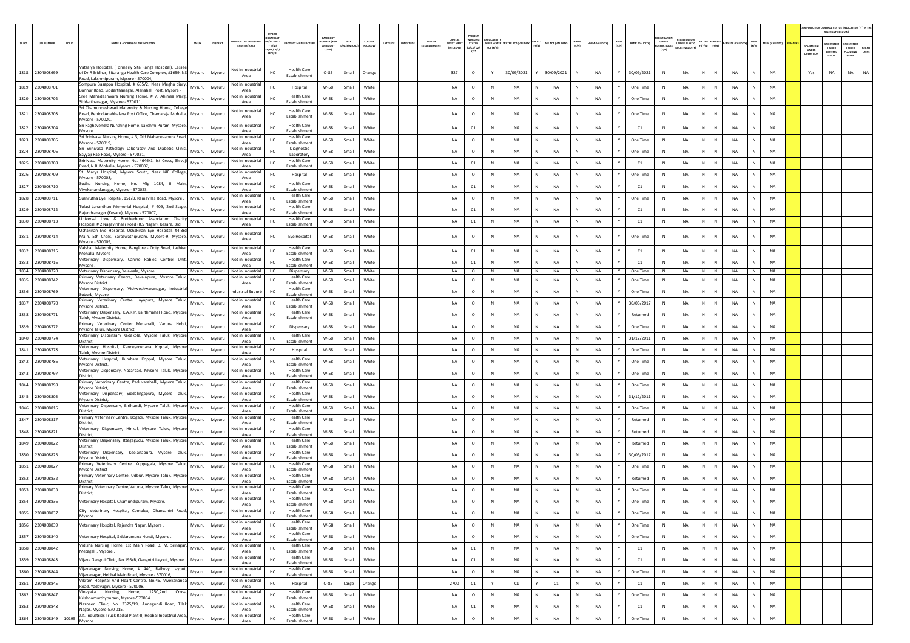|        |                             |                                                                                                                                                                                 |                                              |                                                                   |                                     |                                         |                   |                     |         |                                                                    | PRESENT                               |              |                                 |       |                   |              |                |              |                |                                     |                                                            |                     |            |             |                      |                                        | AIR POLLUTION CONTROL STATUS (INDICATE AS "Y" IN THI<br>RELEVANT COLUMN |                                         |               |
|--------|-----------------------------|---------------------------------------------------------------------------------------------------------------------------------------------------------------------------------|----------------------------------------------|-------------------------------------------------------------------|-------------------------------------|-----------------------------------------|-------------------|---------------------|---------|--------------------------------------------------------------------|---------------------------------------|--------------|---------------------------------|-------|-------------------|--------------|----------------|--------------|----------------|-------------------------------------|------------------------------------------------------------|---------------------|------------|-------------|----------------------|----------------------------------------|-------------------------------------------------------------------------|-----------------------------------------|---------------|
| SL.NO. | PCB ID<br><b>UIN NUMBER</b> | NAME & ADDRESS OF THE INDUSTRY<br>TALUR<br>DISTRICT                                                                                                                             | <b>WE OF THE INDL</b><br><b>ESTATES/AREA</b> | <b>GANISA</b><br><b>ACTIV</b><br>$*(1/M)$<br>B/HC/ H/<br>$CE/C/O$ |                                     | CATEGOR<br>ABER (X<br>CATEGORY<br>CODET | SIZE<br>M/S/MICRO | coLour<br>(R/O/G/W) | ATITUDI | CAPITAL<br>DATE OF<br><b>VEST MEN</b><br>ESTABLISHMB<br>(IN LAKHS) | WORKING<br><b>STATUS</b><br>(0/C1/C2) | ACT (Y/N)    | NDER WATER WATER ACT (VALIDITY) | (Y/N) | AIR ACT (VALIDITY | HWM<br>(Y/N) | HWM (VALIDITY) | BMW<br>(Y/N) | BMW (VALIDITY) | UNDER<br><b>ASTIC RULE</b><br>[Y/N] | <b>FOISTRATIO</b><br>UNDER PLASTIC<br><b>NULES IVALIDE</b> | $(Y/N)$ $(Y/N)$     | WASTE (VAL | (Y/N)       | <b>MSW (VALIDITY</b> | <b>APC SYSTER</b><br>UNDER<br>OPERATIO | <b>PC SYSTEM</b><br><b>UNDER</b><br>CONSTRU<br>CTION                    | APC SYSTER<br>UNDER<br>LANNING<br>STAGE | DEFA<br>LTERS |
|        | 1818 2304008699             | Vatsalya Hospital, (Formerly Sita Ranga Hospital), Lessee<br>of Dr R Sridhar, Sitaranga Health Care Complex, #1659, NS Mysuru<br>Mysuru<br>Road, Lakshmipuram, Mysore - 570004, | Not in Industrial<br>Area                    | нс                                                                | <b>Health Care</b><br>Establishment | $O-85$                                  | Small             | Orange              |         | 327                                                                | $\circ$                               |              | 30/09/2021                      |       | 30/09/2021        |              | <b>NA</b>      | Y            | 30/09/2021     | N                                   | <b>NA</b>                                                  | N                   | NA         |             | <b>NA</b>            | Yes                                    | NA                                                                      | NA                                      | <b>NA</b>     |
|        | 1819 2304008701             | Sompura Basappa Hospital, # 655/2, Near Megha diary,<br>Mysuru<br>Mysuru<br>Bannur Road, Siddarthanagar, Alanahalli Post, Mysore -                                              | Not in Industria<br>Area                     |                                                                   | Hospital                            | W-58                                    | Small             | White               |         | <b>NA</b>                                                          | $\circ$                               | $\mathbb{N}$ | <b>NA</b>                       |       | <b>NA</b>         | $\mathbb{N}$ | <b>NA</b>      | Y            | One Time       | N                                   | <b>NA</b>                                                  | N<br>$\mathbb{N}$   | <b>NA</b>  | N           | <b>NA</b>            |                                        |                                                                         |                                         |               |
|        | 1820 2304008702             | Sree Mahadeshwara Nursing Home, # 7, Ahimsa Marg,<br>Mysuru<br>Mysuru<br>iddarthanagar, Mysore - 570011,                                                                        | Not in Industrial<br>Area                    | HC                                                                | <b>Health Care</b><br>Establishment | W-58                                    | Small             | White               |         | NA                                                                 | $\circ$                               | N            | NA                              |       | NA                | N            | <b>NA</b>      | Y            | One Time       | N                                   | NA                                                         | N<br>${\sf N}$      | NA         | N           | NA                   |                                        |                                                                         |                                         |               |
|        | 1821 2304008703             | Sri Chamundeshwari Maternity & Nursing Home, College<br>Road, Behind Anabhalaya Post Office, Chamaraja Mohalla,<br>Mysuru<br>Mysuru<br>Mysore - 570020                          | Not in Industria<br>Area                     | HC                                                                | <b>Health Care</b><br>Establishment | W-58                                    | Small             | White               |         | <b>NA</b>                                                          | $\circ$                               | N            | <b>NA</b>                       |       | <b>NA</b>         | N            | <b>NA</b>      |              | One Time       | N                                   | <b>NA</b>                                                  | N<br>$\mathbb{N}$   | NA         |             | <b>NA</b>            |                                        |                                                                         |                                         |               |
|        | 1822 2304008704             | Sri Raghavendra Nurshing Home, Lakshmi Puram, Mysore,<br>Mysuru<br>Mysuru<br>Mysore.                                                                                            | Not in Industria<br>Area                     | HC                                                                | <b>Health Care</b><br>Establishment | W-58                                    | Small             | White               |         | NA                                                                 | C1                                    | ${\sf N}$    | NA                              |       | NA                |              | <b>NA</b>      |              | C1             | ${\sf N}$                           | NA                                                         | N                   | NA         |             | <b>NA</b>            |                                        |                                                                         |                                         |               |
|        | 1823 2304008705             | Sri Srinivasa Nursing Home, # 3, Old Mahadevapura Road,<br>Mysuru<br>Mysuru<br>Mysore - 570019,                                                                                 | Not in Industrial<br>Area                    | HC                                                                | <b>Health Care</b><br>Establishment | W-58                                    | Small             | White               |         | <b>NA</b>                                                          | $\circ$                               | N            | <b>NA</b>                       | N     | <b>NA</b>         | N            | <b>NA</b>      | Y            | One Time       | N <sub>N</sub>                      | <b>NA</b>                                                  | N  <br>$\mathbb{N}$ | <b>NA</b>  | N           | <b>NA</b>            |                                        |                                                                         |                                         |               |
|        | 1824 2304008706             | Sri Srinivasa Pathology Laboratoy And Diabetic Clinic<br>Mysuru<br>Mysuru<br>Sayyaji Rao Road, Mysore - 570021,                                                                 | Not in Industria<br>Area                     | HC                                                                | Diagnostic<br>Laboratory            | W-58                                    | Small             | White               |         | NA                                                                 | $\circ$                               | N            | NA                              |       | NA                | N            | <b>NA</b>      | Y            | One Time       | N                                   | <b>NA</b>                                                  | N<br>N              | NA         | N           | <b>NA</b>            |                                        |                                                                         |                                         |               |
|        | 1825 2304008708             | Srinivasa Maternity Home, No. 4646/1, Ist Cross, Shivaj<br>Mysuru<br>Mysuri<br>Road, N.R. Mohalla, Mysore - 570007,                                                             | Not in Industrial<br>Area                    |                                                                   | <b>Health Care</b><br>Establishment | W-58                                    | Small             | White               |         | NA                                                                 | C1                                    | N            | NA                              |       | NA                |              | <b>NA</b>      |              | C1             | N                                   | <b>NA</b>                                                  | N<br>N              | NA         |             | NA                   |                                        |                                                                         |                                         |               |
|        | 1826 2304008709             | St. Marys Hospital, Mysore South, Near NIE College,<br>Mysuru<br>Mysuru<br>Mysore - 570008                                                                                      | Not in Industria<br>Area                     |                                                                   | Hospital                            | W-58                                    | Small             | White               |         | <b>NA</b>                                                          | $\circ$                               | $\mathbb{N}$ | <b>NA</b>                       |       | <b>NA</b>         | N            | <b>NA</b>      | Y            | One Time       | N                                   | <b>NA</b>                                                  | N  <br>N            | <b>NA</b>  | N           | <b>NA</b>            |                                        |                                                                         |                                         |               |
|        | 1827 2304008710             | Sudha Nursing Home, No. Mig 1084, II Main<br>Mysuru<br>Mysuru<br>Vivekanandanagar, Mysore - 570023,                                                                             | Not in Industrial<br>Area                    | HC                                                                | <b>Health Care</b><br>Establishment | W-58                                    | Small             | White               |         | NA                                                                 | C1                                    | ${\sf N}$    | NA                              |       | NA                | N            | <b>NA</b>      |              | C1             | $\mathbb{N}$                        | NA                                                         | N                   | NA         | $\mathbb N$ | <b>NA</b>            |                                        |                                                                         |                                         |               |
|        | 1828 2304008711             | Sushrutha Eye Hospital, 151/B, Ramavilas Road, Mysore.<br>Mysuru<br>Mysuru                                                                                                      | Not in Industria<br>Area                     |                                                                   | <b>Health Care</b><br>Establishment | W-58                                    | Small             | White               |         | <b>NA</b>                                                          | $\circ$                               | $\mathbb{N}$ | <b>NA</b>                       |       | <b>NA</b>         | N            | <b>NA</b>      | Y            | One Time       | N                                   | <b>NA</b>                                                  | N.<br>$\mathbb{N}$  | NA         | N           | <b>NA</b>            |                                        |                                                                         |                                         |               |
|        | 1829 2304008712             | Tulasi Janardhan Memorial Hospital, # 409, 2nd Stage,<br>Mysuru<br>Mysuru<br>Rajendranager (Kesare), Mysore - 570007                                                            | Not in Industrial<br>Area                    | HC                                                                | <b>Health Care</b><br>Establishment | W-58                                    | Small             | White               |         | <b>NA</b>                                                          | C1                                    | N            | NA                              |       | <b>NA</b>         | N            | <b>NA</b>      | Y            | C1             | N                                   | <b>NA</b>                                                  | N<br>$\mathbb N$    | NA         | N           | <b>NA</b>            |                                        |                                                                         |                                         |               |
|        | 1830 2304008713             | Jniversal Love & Brotherhood Association Charity<br>Mysuru<br>Mysuru<br>Hospital, # 2 Nagavinhalli Road (R.S Nagar), Kesare, 3rd                                                | Not in Industrial<br>Area                    | нc                                                                | <b>Health Care</b><br>Establishment | W-58                                    | Small             | White               |         | NA                                                                 | C1                                    | N            | NA                              |       | NA                | Ν            | <b>NA</b>      |              | C1             | N                                   | NA                                                         | N<br>N              | NA         |             | NA                   |                                        |                                                                         |                                         |               |
|        | 1831 2304008714             | Ushakiran Eye Hospital, Ushakiran Eye Hospital, #4,3rd<br>Mysuru<br>Main, 5th Cross, Saraswathipuram, Mysore-9, Mysore, Mysuru<br>Mysore - 570009.                              | Not in Industria<br>Area                     | нc                                                                | Eye Hospital                        | W-58                                    | Small             | White               |         | NA                                                                 | $\circ$                               | N            | NA                              |       | NA                | N            | NA             |              | One Time       | N                                   | <b>NA</b>                                                  | ${\sf N}$<br>N      | <b>NA</b>  | N           | <b>NA</b>            |                                        |                                                                         |                                         |               |
|        | 1832 2304008715             | Vaishali Maternity Home, Banglore - Ooty Road, Lashkar<br>Mysuru<br>Mysuru<br>Mohalla, Mysore                                                                                   | Not in Industrial<br>Area                    | HC                                                                | <b>Health Care</b><br>Establishment | W-58                                    | Small             | White               |         | NA                                                                 | C1                                    | N            | NA                              |       | NA                |              | <b>NA</b>      |              | C1             | N                                   | NA                                                         | N<br>N              | NA         |             | NA                   |                                        |                                                                         |                                         |               |
|        | 1833 2304008716             | Veterinary Dispensary, Canine Rabies Control Unit,<br>Mysuru<br>Mysuru<br>Mysore.                                                                                               | Not in Industria<br>Area                     |                                                                   | <b>Health Care</b><br>Establishment | W-58                                    | Small             | White               |         | <b>NA</b>                                                          | C1                                    | N            | <b>NA</b>                       |       | <b>NA</b>         | $\mathbb{N}$ | <b>NA</b>      |              | C1             | N                                   | <b>NA</b>                                                  | N<br>N              | <b>NA</b>  |             | <b>NA</b>            |                                        |                                                                         |                                         |               |
|        | 1834 2304008720             | Veterinary Dispensary, Yelawala, Mysore.<br>Mysuru<br>Mysuru<br>rimary Veterinary Centre, Devalapura, Mysore Taluk                                                              | Not in Industrial<br>Not in Industria        | HC                                                                | Dispensary<br><b>Health Care</b>    | W-58                                    | Small             | White               |         | <b>NA</b>                                                          | $\circ$                               | N            | NA                              | N     | <b>NA</b>         | N            | NA             | Y            | One Time       | N                                   | <b>NA</b>                                                  | N N                 | NA         | N           | <b>NA</b>            |                                        |                                                                         |                                         |               |
|        | 1835 2304008742             | Mysuru<br>Mysuri<br><b>Mysore District</b>                                                                                                                                      | Area                                         | нс                                                                | Establishment<br><b>Health Care</b> | W-58                                    | Small             | White               |         | NA                                                                 | $\circ$                               | N            | NA                              |       | NA                | N            | <b>NA</b>      |              | One Time       | N                                   | NA                                                         | N<br>N              | NA         |             | NA                   |                                        |                                                                         |                                         |               |
|        | 1836 2304008769             | Veterinary Dispensary, Vishweshwaranagar, Industrial<br>Mysuru<br>Mysuru<br>uburb, Mysore<br>Primary Veterinary Centre, Jayapura, Mysore Taluk,                                 | Industrial Suburt<br>Not in Industrial       |                                                                   | Establishment<br><b>Health Care</b> | W-58                                    | Small             | White               |         | <b>NA</b>                                                          | $\circ$                               | N            | <b>NA</b>                       |       | <b>NA</b>         | N            | <b>NA</b>      |              | One Time       | $\mathbb{N}$                        | <b>NA</b>                                                  | N  <br>N            | <b>NA</b>  | N           | <b>NA</b>            |                                        |                                                                         |                                         |               |
|        | 1837 2304008770             | Mysuru<br>Mysuru<br>Mysore District                                                                                                                                             | Area<br>Not in Industria                     | HC                                                                | Establishment                       | W-58                                    | Small             | White               |         | NA                                                                 | $\circ$                               | ${\sf N}$    | NA                              |       | NA                | N            | <b>NA</b>      |              | 30/06/2017     | N                                   | NA                                                         | N                   | <b>NA</b>  | $\mathbb N$ | <b>NA</b>            |                                        |                                                                         |                                         |               |
|        | 1838 2304008771             | Veterinary Dispensary, K.A.R.P, Lalithmahal Road, Mysore<br>Mysuru<br>Mysuru<br>Taluk, Mysore District                                                                          | Area                                         | HC                                                                | <b>Health Care</b><br>Establishment | W-58                                    | Small             | White               |         | <b>NA</b>                                                          | $\circ$                               | $\mathbb N$  | <b>NA</b>                       |       | <b>NA</b>         | N            | <b>NA</b>      | Y            | Returned       | $\mathbb N$                         | <b>NA</b>                                                  | N.<br>$\mathbb{N}$  | <b>NA</b>  | N           | <b>NA</b>            |                                        |                                                                         |                                         |               |
|        | 1839 2304008772             | Primary Veterinary Center Mellahalli, Varuna Hobli<br>Mysuru<br>Mysuru<br>Mysore Taluk, Mysore District,                                                                        | Not in Industri<br>Area                      | HC                                                                | Dispensary                          | W-58                                    | Small             | White               |         | NA                                                                 | $\circ$                               | N            | NA                              | N     | NA                | N            | <b>NA</b>      | Y            | One Time       | N                                   | <b>NA</b>                                                  | N.<br>$\mathbb N$   | NA         | N           | <b>NA</b>            |                                        |                                                                         |                                         |               |
|        | 1840 2304008774             | /eterinary Dispensary Kadakola, Mysore Taluk, Mysore<br>Mysuru<br>Mysuru<br>District                                                                                            | Not in Industria<br>Area                     |                                                                   | <b>Health Care</b><br>Establishment | $W-58$                                  | Small             | White               |         | NA                                                                 | $\circ$                               | N            | NA                              |       | NA                | N            | <b>NA</b>      |              | 31/12/2011     |                                     | NA                                                         | N<br>N              | NA         |             | NA                   |                                        |                                                                         |                                         |               |
|        | 1841 2304008778             | Veterinary Hospital, Kannegowdana Koppal, Mysore<br>Mysuru<br>Mysuru<br>Taluk, Mysore District,                                                                                 | Not in Industria<br>Area                     |                                                                   | Hospital                            | W-58                                    | Small             | White               |         | <b>NA</b>                                                          | $\circ$                               | $\mathbb{N}$ | <b>NA</b>                       |       | <b>NA</b>         | N            | <b>NA</b>      |              | One Time       | N                                   | <b>NA</b>                                                  | N  <br>$\mathbb{N}$ | <b>NA</b>  | N           | <b>NA</b>            |                                        |                                                                         |                                         |               |
|        | 1842 2304008786             | Veterinary Hospital, Kumbara Koppal, Mysore Taluk<br>Mysuru<br>Mysuru<br>Mysore District                                                                                        | Not in Industria<br>Area                     | HC                                                                | <b>Health Care</b><br>Establishment | W-58                                    | Small             | White               |         | NA                                                                 | $\circ$                               | N            | <b>NA</b>                       |       | <b>NA</b>         | N            | <b>NA</b>      | Y            | One Time       | N                                   | <b>NA</b>                                                  | $\mathbb{N}$<br>N   | <b>NA</b>  | N           | NA                   |                                        |                                                                         |                                         |               |
|        | 1843 2304008797             | Veterinary Dispensary, Nazarbad, Mysore Taluk, Mysor<br>Mysuru<br>Mysuru<br>District.                                                                                           | Not in Industria<br>Area                     | HC                                                                | <b>Health Care</b><br>Establishment | W-58                                    | Small             | White               |         | <b>NA</b>                                                          | $\circ$                               | $\mathbb N$  | <b>NA</b>                       |       | <b>NA</b>         | N            | <b>NA</b>      | Y            | One Time       | N                                   | <b>NA</b>                                                  | N.<br>$\mathbb{N}$  | <b>NA</b>  | N           | <b>NA</b>            |                                        |                                                                         |                                         |               |
|        | 1844 2304008798             | Primary Veterinary Centre, Paduvarahalli, Mysore Taluk<br>Mysuru<br>Mysuru<br>Mysore District.                                                                                  | Not in Industri<br>Area                      |                                                                   | <b>Health Care</b><br>Establishment | W-58                                    | Small             | White               |         | NA                                                                 | $\circ$                               | N            | NA                              |       | NA                | N            | <b>NA</b>      | Y            | One Time       | N                                   | <b>NA</b>                                                  | N<br>N              | NA         | N           | <b>NA</b>            |                                        |                                                                         |                                         |               |
|        | 1845 2304008805             | /eterinary Dispensary, Siddalingapura, Mysore Taluk,<br>Mysuru<br>Mysuru<br><b>Mysore District</b>                                                                              | Not in Industrial<br>Area                    |                                                                   | <b>Health Care</b><br>Establishment | W-58                                    | Small             | White               |         | NA                                                                 | $\circ$                               | N            | NA                              |       | NA                |              | <b>NA</b>      |              | 31/12/2011     | N                                   | <b>NA</b>                                                  | N<br>N              | NA         |             | NA                   |                                        |                                                                         |                                         |               |
|        | 1846 2304008816             | Veterinary Dispensary, Birihundi, Mysore Taluk, Mysore<br>Mysuru<br>Mysuru<br>District                                                                                          | Not in Industria<br>Area                     |                                                                   | <b>Health Care</b><br>Establishment | W-58                                    | Small             | White               |         | <b>NA</b>                                                          | $\circ$                               | $\mathbb{N}$ | <b>NA</b>                       |       | <b>NA</b>         | N            | <b>NA</b>      |              | One Time       | $\mathbb{N}$                        | <b>NA</b>                                                  | N  <br>$\mathbb{N}$ | <b>NA</b>  | N           | <b>NA</b>            |                                        |                                                                         |                                         |               |
|        | 1847 2304008817             | Primary Veterinary Centre, Bogadi, Mysore Taluk, Myson<br>Mysuru<br>Mysuru<br><b>District</b>                                                                                   | Not in Industrial<br>Area                    | HC                                                                | <b>Health Care</b><br>Establishment | W-58                                    | Small             | White               |         | <b>NA</b>                                                          | $\circ$                               | N            | <b>NA</b>                       |       | <b>NA</b>         | N            | <b>NA</b>      | Y            | Returned       | N                                   | <b>NA</b>                                                  | $\mathbb{N}$<br>N   | <b>NA</b>  | N           | <b>NA</b>            |                                        |                                                                         |                                         |               |
|        | 1848 2304008821             | Veterinary Dispensary, Hinkal, Mysore Taluk, Mysor<br>Mysuru<br>Mysuru<br>District.                                                                                             | Not in Industria<br>Area                     | HC                                                                | <b>Health Care</b><br>Establishment | W-58                                    | Small             | White               |         | <b>NA</b>                                                          | $\circ$                               | $\mathbb N$  | <b>NA</b>                       |       | <b>NA</b>         | N            | <b>NA</b>      | Y            | Returned       | $\mathbb N$                         | <b>NA</b>                                                  | N.<br>$\mathbb{N}$  | <b>NA</b>  | N           | <b>NA</b>            |                                        |                                                                         |                                         |               |
|        | 1849 2304008822             | Veterinary Dispensary, Ittegegudu, Mysore Taluk, Mysor<br>Mysuru<br>Mysuru<br>District                                                                                          | Not in Industri<br>Area                      | HC                                                                | <b>Health Care</b><br>Establishment | W-58                                    | Small             | White               |         | NA                                                                 | $\circ$                               | N            | NA                              | N     | NA                | N            | <b>NA</b>      | Y            | Returned       | N                                   | <b>NA</b>                                                  | N.<br>$\mathbb N$   | NA         | N           | <b>NA</b>            |                                        |                                                                         |                                         |               |
|        | 1850 2304008825             | /eterinary Dispensary, Keelanapura, Mysore Taluk,<br>Mysuru<br>Mysuru<br>Mysore District,                                                                                       | Not in Industria<br>Area                     |                                                                   | <b>Health Care</b><br>Establishment | $W-58$                                  | Small             | White               |         | NA                                                                 | $\circ$                               | N            | NA                              |       | NA                | Ν            | <b>NA</b>      |              | 30/06/2017     |                                     | NA                                                         | N<br>N              | NA         |             | NA                   |                                        |                                                                         |                                         |               |
|        | 1851 2304008827             | Primary Veterinary Centre, Kuppegala, Mysore Taluk,<br>Mysuru<br>Mysuru<br><b>Mysore District</b>                                                                               | Not in Industria<br>Area                     |                                                                   | <b>Health Care</b><br>Establishment | W-58                                    | Small             | White               |         | <b>NA</b>                                                          | $\circ$                               | $\mathbb{N}$ | NA                              |       | <b>NA</b>         | N            | <b>NA</b>      | Y            | One Time       | N                                   | <b>NA</b>                                                  | N  <br>$\mathbb{N}$ | <b>NA</b>  | N           | <b>NA</b>            |                                        |                                                                         |                                         |               |
|        | 1852 2304008832             | Primary Veterinary Centre, Udbur, Mysore Taluk, Mysor<br>Mysuru<br>Mysuru<br>District                                                                                           | Not in Industria<br>Area                     | HC                                                                | <b>Health Care</b><br>Establishment | W-58                                    | Small             | White               |         | NA                                                                 | $\circ$                               | N            | <b>NA</b>                       |       | <b>NA</b>         | N            | <b>NA</b>      | Y            | Returned       | N                                   | <b>NA</b>                                                  | N<br>N              | <b>NA</b>  | N           | NA                   |                                        |                                                                         |                                         |               |
|        | 1853 2304008833             | Primary Veterinary Centre, Varuna, Mysore Taluk, Myson<br>Mysuru<br>Mysuru<br>District.                                                                                         | Not in Industria<br>Area                     | HC                                                                | <b>Health Care</b><br>Establishment | W-58                                    | Small             | White               |         | <b>NA</b>                                                          | $\circ$                               | N            | <b>NA</b>                       |       | <b>NA</b>         | N            | <b>NA</b>      |              | One Time       | N                                   | <b>NA</b>                                                  | N<br>$\mathbb{N}$   | <b>NA</b>  |             | <b>NA</b>            |                                        |                                                                         |                                         |               |
|        | 1854 2304008836             | Veterinary Hospital, Chamundipuram, Mysore,<br>Mysuru<br>Mysuru                                                                                                                 | Not in Industria<br>Area                     | нc                                                                | <b>Health Care</b><br>Establishment | W-58                                    | Small             | White               |         | NA                                                                 | $\circ$                               | N            | NA                              |       | <b>NA</b>         | N            | <b>NA</b>      |              | One Time       | N                                   | <b>NA</b>                                                  | N<br>N              | <b>NA</b>  |             | <b>NA</b>            |                                        |                                                                         |                                         |               |
|        | 1855 2304008837             | City Veterinary Hospital, Complex, Dhanvantri Road,<br>Mysuru<br>Mysuru<br>Mysore.                                                                                              | Not in Industrial<br>Area                    | HC                                                                | <b>Health Care</b><br>Establishment | W-58                                    | Small             | White               |         | NA                                                                 | $\circ$                               | N            | NA                              |       | NA                | N            | <b>NA</b>      |              | One Time       | N                                   | NA                                                         | N<br>${\sf N}$      | <b>NA</b>  |             | NA                   |                                        |                                                                         |                                         |               |
|        | 1856 2304008839             | Veterinary Hospital, Rajendra Nagar, Mysore.<br>Mysuru<br>Mysuru                                                                                                                | Not in Industrial<br>Area                    | HC                                                                | <b>Health Care</b><br>Establishment | W-58                                    | Small             | White               |         | NA                                                                 | $\circ$                               | $\,$ N       | <b>NA</b>                       | N     | NA                | N            | <b>NA</b>      | Y            | One Time       | N                                   | <b>NA</b>                                                  | $N$ $N$             | <b>NA</b>  | N           | <b>NA</b>            |                                        |                                                                         |                                         |               |
|        | 1857 2304008840             | Veterinary Hosnital, Siddaramana Hundi, Mysore<br>Mysuru<br>Mysuru                                                                                                              | Not in Industrial<br>Area                    | HC                                                                | <b>Health Care</b><br>Establishment | W-58                                    | Small             | White               |         | NA                                                                 | $\circ$                               | $\,$ N $\,$  | NA                              | N     | <b>NA</b>         | N            | <b>NA</b>      | Y            | One Time       | N                                   | NA                                                         | $N$ $N$             | <b>NA</b>  | $\,$ N $\,$ | <b>NA</b>            |                                        |                                                                         |                                         |               |
|        | 1858 2304008842             | Vidisha Nursing Home, 1st Main Road, B. M. Srinagar,<br>Mysuru<br>Mysuru<br>Metagalli, Mysore.                                                                                  | Not in Industrial<br>Area                    | HC                                                                | <b>Health Care</b><br>Establishment | W-58                                    | Small             | White               |         | NA                                                                 | $\mathsf{C1}$                         | N            | <b>NA</b>                       | N     | <b>NA</b>         | N            | <b>NA</b>      | Y            | C1             | N                                   | NA                                                         | N<br>$\,$ N         | <b>NA</b>  | $\,$ N $\,$ | NA                   |                                        |                                                                         |                                         |               |
|        | 1859 2304008843             | Vijaya Gangoli Clinic, No.195/B, Gangotri Layout, Mysore . Mysuru<br>Mysuru                                                                                                     | Not in Industria<br>Area                     | HC                                                                | <b>Health Care</b><br>Establishment | W-58                                    | Small             | White               |         | NA                                                                 | $\mathsf{C1}$                         | N            | NA                              | N     | NA                | N            | NA             | Y            | C1             | N                                   | NA                                                         | $N$ $N$             | NA         | N           | <b>NA</b>            |                                        |                                                                         |                                         |               |
|        | 1860 2304008844             | Vijayanagar Nursing Home, # 440, Railway Layout,<br>Mysuru<br>Mysuru<br>Vijayanagar, Hebbal Main Road, Mysore - 570016,                                                         | Not in Industrial<br>Area                    | нc                                                                | <b>Health Care</b><br>Establishment | W-58                                    | Small             | White               |         | NA                                                                 | $\circ$                               | $\,$ N       | NA                              |       | NA                | N            | <b>NA</b>      | Y            | One Time       | N                                   | NA                                                         | N  <br>${\sf N}$    | <b>NA</b>  | N           | NA                   |                                        |                                                                         |                                         |               |
|        | 1861 2304008845             | Vikram Hospital And Heart Centre, No.46, Vivekananda<br>Mysuru<br>Mysuru<br>Road, Yadavagiri, Mysore - 570008,                                                                  | Not in Industrial<br>Area                    | HC                                                                | Hospital                            | $O-85$                                  | Large             | Orange              |         | 2700                                                               | C1                                    | Y            | C1                              |       | C1                | N            | <b>NA</b>      | Y            | C1             | N                                   | NA                                                         | $N$ $N$             | <b>NA</b>  | N           | NA                   |                                        |                                                                         |                                         |               |
|        | 1862 2304008847             | Vinayaka Nursing Home, 1250,2nd Cross,<br>Mysuru<br>Mysuru<br>Krishnamurthypuram, Mysore-570004                                                                                 | Not in Industrial<br>Area                    | HC                                                                | <b>Health Care</b><br>Establishment | W-58                                    | Small             | White               |         | NA                                                                 | $\circ$                               | N            | <b>NA</b>                       |       | <b>NA</b>         | N            | <b>NA</b>      | Y            | One Time       | N                                   | NA                                                         | N<br>N              | <b>NA</b>  | N           | <b>NA</b>            |                                        |                                                                         |                                         |               |
|        | 1863 2304008848             | Nazneen Clinic, No. 3325/19, Annegundi Road, Tilak<br>Mysuru<br>Mysuru<br>Nagar, Mysore-570 015.                                                                                | Not in Industrial<br>Area                    | HC.                                                               | <b>Health Care</b><br>Establishment | W-58                                    | Small             | White               |         | NA                                                                 | C1                                    | N            | NA                              | N     | NA                | N            | <b>NA</b>      | Y            | C1             | N                                   | NA                                                         | N<br>$\mathbb N$    | NA         | N           | <b>NA</b>            |                                        |                                                                         |                                         |               |
|        | 1864 2304008849 10195       | J.K. Industries Truck Radial Plant-II, Hebbal Industrial Area,<br>Mysuru<br>Mysuru<br>Mysore.                                                                                   | Not in Industria<br>Area                     | HC                                                                | <b>Health Care</b><br>Establishment | W-58                                    | Small             | White               |         | NA                                                                 | $\circ$                               | $\,$ N       | NA                              |       | NA                | N            | <b>NA</b>      | Y            | One Time       | $\,$ N                              | NA                                                         | N<br>N              | NA         | N           | <b>NA</b>            |                                        |                                                                         |                                         |               |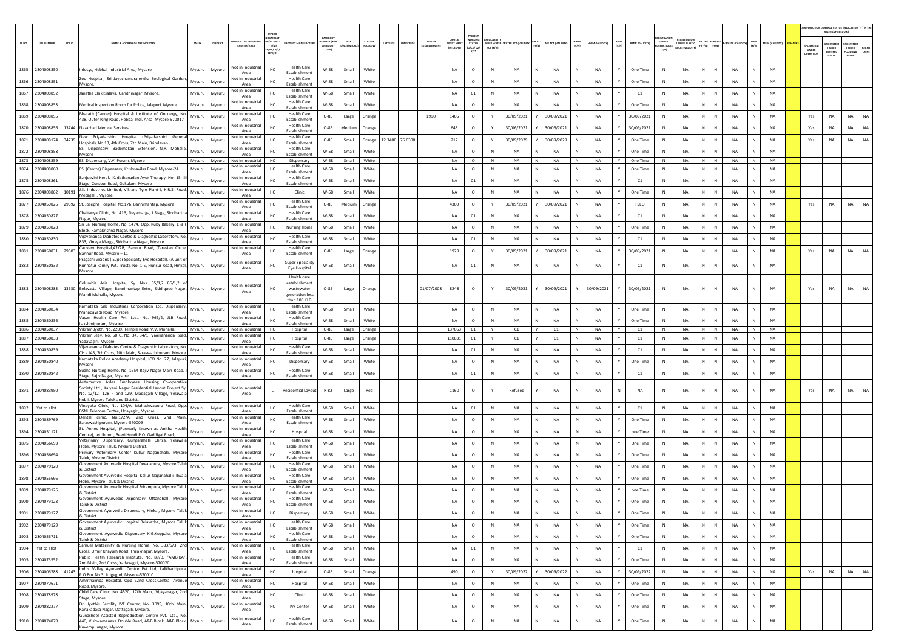|       |                             |                                                                                                                                                                                        |          |                                       | TYPE OF                        |                                                                |                                         |                   |                     |          |                 |                                |                                           |                                                           |                                                     |                    |              |                                |                       |                             |                                        |                |                           |              |                |                                        | AIR POLLUTION CONTROL STATUS (INDICATE AS "Y" IN TH<br>RELEVANT COLUM |                                          |                       |
|-------|-----------------------------|----------------------------------------------------------------------------------------------------------------------------------------------------------------------------------------|----------|---------------------------------------|--------------------------------|----------------------------------------------------------------|-----------------------------------------|-------------------|---------------------|----------|-----------------|--------------------------------|-------------------------------------------|-----------------------------------------------------------|-----------------------------------------------------|--------------------|--------------|--------------------------------|-----------------------|-----------------------------|----------------------------------------|----------------|---------------------------|--------------|----------------|----------------------------------------|-----------------------------------------------------------------------|------------------------------------------|-----------------------|
| SLNO. | <b>UIN NUMBER</b><br>PCB ID | NAME & ADDRESS OF THE INDUSTR'<br>TALUK                                                                                                                                                | DISTRICT | ME OF THE INDU<br>ESTATES/AREA        | N/ACTIV<br>$*$ (1/M/<br>CE/C/O | <b>ODUCT MANUFACTUR</b>                                        | CATEGORY<br><b>MBER (XC</b><br>CATEGORY | size<br>/M/S/MICE | coLour<br>(R/O/G/W) | LATITUDE | ONGITUDE        | DATE OF<br><b>FSTARI ISHME</b> | CAPITAL<br><b>IVEST MENT</b><br>IN LAKHSI | PRESENT<br><b>STATUS</b><br>10/01/02/<br>$Y$ <sup>*</sup> | UNDER WATER WATER ACT (VALIDITY) (Y/N)<br>ACT (Y/N) | AIR ACT (VALIDITY) | (N/N)        | BMW<br>(Y/N)<br>HWM (VALIDITY) | <b>BMW (VALIDITY)</b> | UNDER<br><b>MASTIC RULE</b> | UNDER PLASTIC<br><b>HILFS IVALIDIT</b> | Y (Y/N)        | -WASTE (VALID<br>(Y/N)    | (Y/N)        | MSW (VALIDITY) | <b>APC SYSTEM</b><br>UNDER<br>OPERATIO | <b>APC SYSTEM</b><br>UNDER<br>CONSTRU<br>crios                        | APC SYSTER<br>UNDER<br>PLANNING<br>STAGE | <b>DEFAU</b><br>LTERS |
| 1865  | 2304008850                  | Mysuru<br>Infosys, Hebbal Industrial Area, Mysore                                                                                                                                      | Mysuru   | Not in Industria<br>Area              | HC                             | <b>Health Care</b><br>Establishment                            | W-58                                    | Small             | White               |          |                 |                                | NA                                        | $\circ$                                                   | N<br><b>NA</b>                                      | <b>NA</b>          | N            | <b>NA</b>                      | One Time              | N                           | <b>NA</b>                              | N              | N<br><b>NA</b>            |              | <b>NA</b>      |                                        |                                                                       |                                          |                       |
| 1866  | 2304008851                  | Zoo Hospital, Sri Jayachamarajendra Zoological Garden<br>Mysuru<br>Mysore.                                                                                                             | Mysuru   | Not in Industria<br>Area              | HC.                            | <b>Health Care</b><br>Establishment                            | W-58                                    | Small             | White               |          |                 |                                | <b>NA</b>                                 | $\circ$                                                   | N<br><b>NA</b>                                      | NA                 | N            | <b>NA</b><br>$\mathbf{v}$      | One Time              | $\mathbb N$                 | NA                                     | N              | N<br><b>NA</b>            |              | <b>NA</b>      |                                        |                                                                       |                                          |                       |
| 1867  | 2304008852                  | Janatha Chikitsalaya, Gandhinagar, Mysore.<br>Mysuru                                                                                                                                   | Mysuru   | Not in Industria<br>Area              | HC                             | <b>Health Care</b><br>Establishment                            | W-58                                    | Small             | White               |          |                 |                                | NA                                        | C1                                                        | $\mathbb N$<br>NA                                   | NA<br>N            | N            | NA<br>Y                        | C1                    | N                           | NA                                     | N              | N<br>NA                   | N            | NA             |                                        |                                                                       |                                          |                       |
| 1868  | 2304008853                  | Medical Inspection Room for Police, Jalapuri, Mysore.<br>Mysuru                                                                                                                        | Mysuru   | Not in Industria<br>Area              | HC                             | <b>Health Care</b><br>Establishment                            | W-58                                    | Small             | White               |          |                 |                                | <b>NA</b>                                 | $\circ$                                                   | N<br><b>NA</b>                                      | NA                 |              | <b>NA</b>                      | One Time              | $\mathbb{N}$                | <b>NA</b>                              | N              | $\,$ N<br><b>NA</b>       |              | <b>NA</b>      |                                        |                                                                       |                                          |                       |
| 1869  | 2304008855                  | Bharath (Cancer) Hospital & Institute of Oncology, No.<br>Mysuru<br>438, Outer Ring Road, Hebbal Indl. Area, Mysore-570017                                                             | Mysuru   | Not in Industria<br>Area              | HC                             | <b>Health Care</b><br>Establishment                            | $O - 85$                                | Large             | Orange              |          |                 | 1990                           | 1405                                      | $\circ$                                                   | 30/09/2021<br>Y                                     | 30/09/2021         | N            | <b>NA</b><br>Y                 | 30/09/2021            | $\mathbb{N}$                | <b>NA</b>                              | N              | $\mathbb{N}$<br><b>NA</b> |              | NA             | Yes                                    | <b>NA</b>                                                             | NA                                       | NA                    |
| 1870  | 2304008856                  | 13744 Nazarbad Medical Services<br>Mysuru                                                                                                                                              | Mysuru   | Not in Industria<br>Area              | HC.                            | <b>Health Care</b><br>Establishment                            | $O-85$                                  | Medium            | Orange              |          |                 |                                | 643                                       | $\circ$                                                   | 30/06/2021<br>Y                                     | 30/06/2021         |              | <b>NA</b><br>Y                 | 30/09/2021            | N                           | <b>NA</b>                              | N              | N<br><b>NA</b>            | N            | <b>NA</b>      | Yes                                    | NA                                                                    | <b>NA</b>                                | NA                    |
| 1871  | 2304008174<br>34739         | New Priyadarshini Hospital (Priyadarshini General<br>Mysuru<br>Hospital), No.13, 4th Cross, 7th Main, Brindavan                                                                        | Mysuru   | Not in Industria<br>Area              | HC                             | <b>Health Care</b><br>Establishment                            | $O - 85$                                | Small             | Orange              |          | 12.3400 76.6300 |                                | 217                                       | $\circ$                                                   | Y<br>30/09/2029                                     | 30/09/2029         |              | <b>NA</b><br>$\mathbf{v}$      | One Time              | $\mathbb N$                 | NA                                     | N              | $\,$ N<br><b>NA</b>       |              | NA             | Yes                                    | NA                                                                    | NA                                       | NA                    |
| 1872  | 2304008858                  | ESI Dispensary, Bademakan Extension, N.R. Mohalla,<br>Mysuru<br>Mysore                                                                                                                 | Mysuru   | Not in Industrial<br>Area             | HC                             | <b>Health Care</b><br>Establishment                            | W-58                                    | Small             | White               |          |                 |                                | NA                                        | $\circ$                                                   | $\mathbb N$<br>NA                                   | NA                 | N            | <b>NA</b><br>Y                 | One Time              | N                           | <b>NA</b>                              | $\mathbb{N}$   | $\,$ N<br>NA              | $\mathbb N$  | <b>NA</b>      |                                        |                                                                       |                                          |                       |
| 1873  | 2304008859                  | ESI Dispensary, V.V. Puram, Mysore<br>Mysuru                                                                                                                                           | Mysuru   | Not in Industrial<br>Not in Industria | HC.                            | Dispensary<br><b>Health Care</b>                               | W-58                                    | Small             | White               |          |                 |                                | <b>NA</b>                                 | $\circ$                                                   | <b>NA</b><br>N                                      | <b>NA</b><br>N     | N            | <b>NA</b><br>Y                 | One Time              | N                           | <b>NA</b>                              | N              | N<br><b>NA</b>            | N            | <b>NA</b>      |                                        |                                                                       |                                          |                       |
| 1874  | 2304008860                  | ESI (Centre) Dispensary, Krishnavilas Road, Mysore-24<br>Mysuru                                                                                                                        | Mysur    | Area                                  | HC                             | Establishment                                                  | W-58                                    | Small             | White               |          |                 |                                | <b>NA</b>                                 | $\circ$                                                   | N<br>NA                                             | <b>NA</b>          | N            | <b>NA</b><br>$\mathbf{v}$      | One Time              | $\mathbb{N}$                | <b>NA</b>                              | N              | $\mathbb{N}$<br><b>NA</b> |              | <b>NA</b>      |                                        |                                                                       |                                          |                       |
| 1875  | 2304008861                  | Sanjeevini Kerala Kadathanadan Ayur Therapy, No. 15, III<br>Mysuru<br>Stage, Contour Road, Gokulam, Mysore                                                                             | Mysur    | Not in Industria<br>Area              | HC                             | <b>Health Care</b><br>Establishment                            | W-58                                    | Small             | White               |          |                 |                                | NA                                        | C1                                                        | $\,$ N<br>NA                                        | NA<br>N            | N            | NA<br>Y                        | C1                    | $\,$ N                      | <b>NA</b>                              | N              | $\,$ N<br>NA              | N            | NA             |                                        |                                                                       |                                          |                       |
| 1876  | 2304008862<br>10191         | J.K. Industries Limited, Vikrant Tyre Plant-I, K.R.S. Road,<br>Mysuru<br>Metagalli, Mysore.                                                                                            | Mysuru   | Not in Industria<br>Area              | HC                             | Clinic                                                         | W-58                                    | Small             | White               |          |                 |                                | <b>NA</b>                                 | $\circ$                                                   | N<br><b>NA</b>                                      | NA                 |              | <b>NA</b>                      | One Time              | N                           | <b>NA</b>                              |                | $\mathbb{N}$<br><b>NA</b> |              | <b>NA</b>      |                                        |                                                                       |                                          |                       |
|       | 1877 2304050826             | 29692 St. Josephs Hospital, No.176, Bannimantap, Mysore<br>Mysuru                                                                                                                      | Mysuru   | Not in Industria<br>Area              | HC.                            | <b>Health Care</b><br>Establishment                            | $O-85$                                  | Medium            | Orange              |          |                 |                                | 4300                                      | $\circ$                                                   | 30/09/2021<br>Y                                     | 30/09/2021         |              | <b>NA</b><br>$\mathbf{v}$      | FSEO                  | N                           | <b>NA</b>                              | N              | $\,$ N<br><b>NA</b>       |              | <b>NA</b>      | Yes                                    | NA                                                                    | NA                                       | <b>NA</b>             |
|       | 1878 2304050827             | Chaitanya Clinic, No. 416, Dayamarga, I Stage, Siddhartha<br>Mysuru<br>Nagar, Mysore                                                                                                   | Mysuru   | Not in Industria<br>Area              | HC                             | <b>Health Care</b><br>Establishment                            | W-58                                    | Small             | White               |          |                 |                                | NA                                        | C1                                                        | <b>NA</b><br>N                                      | <b>NA</b>          | N            | <b>NA</b><br>Y                 | C1                    | N                           | <b>NA</b>                              | N              | N<br><b>NA</b>            | N            | <b>NA</b>      |                                        |                                                                       |                                          |                       |
| 1879  | 2304050828                  | Sri Sai Nursing Home, No. 1474, Opp. Ruby Bakery, E & F<br>Mysuru<br>Block, Ramakrishna Nagar, Mysore                                                                                  | Mysuru   | Not in Industria<br>Area              | HC                             | <b>Nursing Home</b>                                            | W-58                                    | Small             | White               |          |                 |                                | <b>NA</b>                                 | $\circ$                                                   | N<br>NA                                             | <b>NA</b>          | N            | NA<br>Y                        | One Time              | N                           | <b>NA</b>                              | N              | $\,$ N<br>NA              |              | NA             |                                        |                                                                       |                                          |                       |
| 1880  | 2304050830                  | Vijayananda Diabetes Centre & Diagnostic Laboratory, No.<br>Mysuru<br>833, Vinaya Marga, Siddhartha Nagar, Mysore.                                                                     | Mysur    | Not in Industria<br>Area              | HC                             | <b>Health Care</b><br>Establishment                            | W-58                                    | Small             | White               |          |                 |                                | NA                                        | C1                                                        | $\,$ N<br>NA                                        | NA<br>N            | N            | NA<br>Y                        | C1                    | $\,$ N                      | <b>NA</b>                              | N              | $\,$ N<br><b>NA</b>       | N            | <b>NA</b>      |                                        |                                                                       |                                          |                       |
| 1881  | 2304050831<br>29603         | Cauvery Hospital, 42/2B, Bannur Road, Teresian Circle,<br>Mysuru<br>Bannur Road, Mysore - 11                                                                                           | Mysuru   | Not in Industria<br>Area              | HC                             | <b>Health Care</b><br>Establishment                            | $O - 85$                                | Large             | Orange              |          |                 |                                | 1929                                      | $\circ$                                                   | 30/09/2021<br>Y                                     | 30/09/2021         |              | <b>NA</b>                      | 30/09/2021            | N                           | <b>NA</b>                              |                | $\mathsf{N}$<br><b>NA</b> |              | <b>NA</b>      | Yes                                    | NA                                                                    | NA                                       |                       |
|       | 1882 2304050832             | Pragathi Visions (Super Speciality Eye Hospital), (A unit of<br>Kunnatur Family Pvt. Trust), No. 1-E, Hunsur Road, Hinkal, Mysuru                                                      | Mysuru   | Not in Industria                      | HC.                            | <b>Super Speciality</b>                                        | W-58                                    | Small             | White               |          |                 |                                | <b>NA</b>                                 | C1                                                        | <b>NA</b><br>N                                      | <b>NA</b>          |              | N <sub>A</sub>                 | C1                    | N                           | <b>NA</b>                              | N              | ${\sf N}$<br><b>NA</b>    |              | <b>NA</b>      |                                        |                                                                       |                                          |                       |
|       |                             | Mysore                                                                                                                                                                                 |          | Area                                  |                                | Eye Hospital<br>Health care                                    |                                         |                   |                     |          |                 |                                |                                           |                                                           |                                                     |                    |              |                                |                       |                             |                                        |                |                           |              |                |                                        |                                                                       |                                          |                       |
|       |                             | Columbia Asia Hospital, Sy. Nos. 85/1,2 86/1,2 o<br>1883 2304008283 13630 Belavatta Village, Bannimantap Extn., Siddiquee Nagar, Mysuru<br>Mandi Mohalla, Mysore                       | Mysuru   | Not in Industrial<br>Area             | HC                             | establishment<br>wastewater<br>generation less<br>than 100 KLD | $O - 85$                                | Large             | Orange              |          |                 | 01/07/2008                     | 8248                                      | $\circ$                                                   | 30/09/2021                                          | 30/09/2021         | Y            | 30/09/2021<br>Y                | 30/06/2021            | $\,$ N                      | <b>NA</b>                              | N              | $\mathbb{N}$<br><b>NA</b> |              | <b>NA</b>      | Yes                                    | <b>NA</b>                                                             | NA                                       | <b>NA</b>             |
| 1884  | 2304050834                  | Karnataka Silk Industries Corporation Ltd. Dispensary.<br>Mysuru<br>Manadavadi Road, Mysore                                                                                            | Mysuru   | Not in Industrial<br>Area             | HC                             | <b>Health Care</b><br>Establishment                            | W-58                                    | Small             | White               |          |                 |                                | <b>NA</b>                                 | $\circ$                                                   | $\,$ N<br><b>NA</b>                                 | NA                 |              | <b>NA</b>                      | One Time              | N                           | <b>NA</b>                              |                | $\mathbb{N}$<br><b>NA</b> |              | <b>NA</b>      |                                        |                                                                       |                                          |                       |
| 1885  | 2304050836                  | Vasan Health Care Pvt. Ltd., No. 966/2, JLB Road,<br>Mysuru<br>Lakshmipuram, Mysore                                                                                                    | Mysuru   | Not in Industria<br>Area              | HC.                            | <b>Health Care</b><br>Establishment                            | W-58                                    | Small             | White               |          |                 |                                | NA                                        | $\circ$                                                   | N<br><b>NA</b>                                      | <b>NA</b>          | N            | <b>NA</b><br>Y                 | One Time              | N                           | <b>NA</b>                              | $\mathbb{N}$   | $\mathbb{N}$<br><b>NA</b> |              | <b>NA</b>      |                                        |                                                                       |                                          |                       |
|       | 1886 2304050837             | Vikram Jyoth, No. 2209, Temple Road, V.V. Mohalla,<br>Mysuru<br>Vikram Jeev, No. 50 C, No. 34, 34/1, Vivekananda Road,                                                                 | Mysuru   | Not in Industrial<br>Not in Industria | HC.                            | Hospital                                                       | $O-85$                                  | Large             | Orange              |          |                 |                                | 137063                                    | C1                                                        | C1<br>Y                                             | Y<br>C1            | N            | NA<br>Y                        | C1                    | N                           | <b>NA</b>                              | N              | N<br><b>NA</b>            | N            | <b>NA</b>      |                                        |                                                                       |                                          |                       |
| 1887  | 2304050838                  | Mysuru<br>Yadavagiri, Mysore<br>Vijayananda Diabetes Centre & Diagnostic Laboratory, No.                                                                                               | Mysuru   | Area<br>Not in Industria              | HC                             | Hospital<br><b>Health Care</b>                                 | $O - 85$                                | Large             | Orange              |          |                 |                                | 110831                                    | C1                                                        | C1<br>Y                                             | C1                 |              | <b>NA</b>                      | C1                    | $\mathbb{N}$                | NA                                     | N              | $\mathsf{N}$<br><b>NA</b> |              | <b>NA</b>      |                                        |                                                                       |                                          |                       |
| 1888  | 2304050839                  | Mysuru<br>CH - 145, 7th Cross, 10th Main, Saraswathipuram, Mysore<br>Karnataka Police Academy Hospital, JCO No. 27, Jalapuri,                                                          | Mysuru   | Area<br>Not in Industria              | HC.                            | Establishment                                                  | W-58                                    | Small             | White               |          |                 |                                | <b>NA</b>                                 | C1                                                        | N<br><b>NA</b>                                      | <b>NA</b>          | N            | <b>NA</b><br>$\mathbf{v}$      | C1                    | $\mathbb{N}$                | <b>NA</b>                              | $\mathbb{N}$   | $\mathbb{N}$<br><b>NA</b> |              | <b>NA</b>      |                                        |                                                                       |                                          |                       |
| 1889  | 2304050840                  | Mysuru<br>Mysore<br>Sudha Nursing Home, No. 1654 Rajiv Nagar Main Road, I                                                                                                              | Mysuru   | Area<br>Not in Industria              | HC.                            | Dispensary<br><b>Health Care</b>                               | W-58                                    | Small             | White               |          |                 |                                | <b>NA</b>                                 | $\circ$                                                   | N<br><b>NA</b>                                      | NA<br>Ν            | N            | <b>NA</b><br>Y                 | One Time              | N                           | <b>NA</b>                              | N              | N<br><b>NA</b>            | N            | <b>NA</b>      |                                        |                                                                       |                                          |                       |
| 1890  | 2304050842                  | Mysuru<br>Stage, Rajiv Nagar, Mysore<br>Automotive Axles Employees Housing Co-operative                                                                                                | Mysuru   | Area                                  | HC                             | Establishment                                                  | W-58                                    | Small             | White               |          |                 |                                | NA                                        | C1                                                        | N<br><b>NA</b>                                      | NA                 | N            | NA<br>$\mathbf{v}$             | C1                    | N                           | NA                                     | N              | N<br>NA                   |              | NA             |                                        |                                                                       |                                          |                       |
|       | 1891 2304083950             | Society Ltd., Kalyani Nagar Residential Layout Project Sy.<br>Mysuru<br>No. 12/12, 128 P and 129, Madagalli Village, Yelawala<br>hobli, Mysore Taluk and District                      | Mysuru   | Not in Industria<br>Area              | $\mathbf{L}$                   | Residential Layout                                             | R-82                                    | Large             | Red                 |          |                 |                                | 1160                                      | $\circ$                                                   | Refused                                             | <b>NA</b>          | N            | <b>NA</b>                      | <b>NA</b>             | N                           | <b>NA</b>                              | N              | N<br><b>NA</b>            |              | <b>NA</b>      | Yes                                    | <b>NA</b>                                                             | NA                                       | <b>NA</b>             |
| 1892  | Yet to allot                | Vinayaka Clinic, No. 104/A, Mahadevapura Road, Opp.<br>Mysuru<br>BSNL Telecom Centre, Udayagiri, Mysore                                                                                | Mysuru   | Not in Industria<br>Area              | HC                             | <b>Health Care</b><br>Establishment                            | W-58                                    | Small             | White               |          |                 |                                | NA                                        | C1                                                        | N<br><b>NA</b>                                      | <b>NA</b>          | $\mathbb{N}$ | $\mathbf{v}$<br><b>NA</b>      | C1                    | N                           | <b>NA</b>                              | N              | $\mathbb{N}$<br><b>NA</b> |              | NA             |                                        |                                                                       |                                          |                       |
| 1893  | 2304089769                  | Dental clinic, No.172/A, 2nd Cross, 2nd Main<br>Mysuru<br>Saraswathipuram, Mysore-570009                                                                                               | Mysuru   | Not in Industria<br>Area              | HC                             | <b>Health Care</b><br>Establishment                            | W-58                                    | Small             | White               |          |                 |                                | NA                                        | $\circ$                                                   | N<br><b>NA</b>                                      | NA<br>N            | N            | <b>NA</b><br>Y                 | One Time              | N                           | <b>NA</b>                              | N              | <b>NA</b><br>N            | N            | <b>NA</b>      |                                        |                                                                       |                                          |                       |
| 1894  | 2304051121                  | St. Annes Hospital, (Formerly Known as Anitha Health<br>Mysuru<br>Centre), Jettihundi, Beeri Hundi P.O. Gaddigai Road,                                                                 | Mysuru   | Not in Industria<br>Area              | HC                             | Hospital                                                       | W-58                                    | Small             | White               |          |                 |                                | NA                                        | $\circ$                                                   | $\mathbb N$<br>NA                                   | N<br>NA            | N            | NA<br>$\mathbf{v}$             | one Time              | N                           | NA                                     | N              | $\,$ N<br>NA              |              | NA             |                                        |                                                                       |                                          |                       |
| 1895  | 2304056693                  | Veterinary Dispensary, Gungarahalli Chitra, Yelawala<br>Mysuru<br>Hobli, Mysore Taluk, Mysore District.                                                                                | Mysuru   | Not in Industria<br>Area              | HC                             | <b>Health Care</b><br>Establishment                            | W-58                                    | Small             | White               |          |                 |                                | NA                                        | $\circ$                                                   | $\,$ N<br>NA                                        | N<br>NA            | N            | NA<br>Y                        | One Time              | N                           | <b>NA</b>                              | $\mathsf{N}^-$ | N<br><b>NA</b>            | N            | <b>NA</b>      |                                        |                                                                       |                                          |                       |
| 1896  | 2304056694                  | Primary Veterinary Center Kullur Naganahalli, Mysore<br>Mysuru<br>Taluk, Mysore District.                                                                                              | Mysuru   | Not in Industria<br>Area              | HC                             | <b>Health Care</b><br>Establishment                            | W-58                                    | Small             | White               |          |                 |                                | <b>NA</b>                                 | $\circ$                                                   | N<br><b>NA</b>                                      | <b>NA</b>          |              | <b>NA</b>                      | One Time              | $\mathbb{N}$                | <b>NA</b>                              | N              | $\mathsf{N}$<br><b>NA</b> |              | <b>NA</b>      |                                        |                                                                       |                                          |                       |
| 1897  | 2304079120                  | Government Ayurvedic Hospital Devalapura, Mysore Taluk<br>Mysuru<br>& District                                                                                                         | Mysuru   | Not in Industria<br>Area              | нc                             | <b>Health Care</b><br>Establishment                            | W-58                                    | Small             | White               |          |                 |                                | NA                                        | $\circ$                                                   | $\mathbb N$<br><b>NA</b>                            | <b>NA</b>          | $\mathbb{N}$ | <b>NA</b><br>Y                 | One Time              | N                           | <b>NA</b>                              | N              | $\mathbb{N}$<br><b>NA</b> |              | NA             |                                        |                                                                       |                                          |                       |
| 1898  | 2304056696                  | Government Ayurvedic Hospital Kallur Naganahalli, Ilwala<br>Mysuru<br>Hobli. Mysore Taluk & District                                                                                   | Mysuru   | Not in Industria<br>Area              | HC.                            | <b>Health Care</b><br>Establishment                            | W-58                                    | Small             | White               |          |                 |                                | <b>NA</b>                                 | $\circ$                                                   | N<br><b>NA</b>                                      | NA<br>N            | N            | <b>NA</b><br>Y                 | One Time              | N                           | NA                                     | N              | N<br><b>NA</b>            | N            | <b>NA</b>      |                                        |                                                                       |                                          |                       |
| 1899  | 2304079126                  | overnment Ayurvedic Hospital Srirampura, Mysore Taluk<br>Mysuru<br>& District                                                                                                          | Mysuru   | Not in Industria<br>Area              | HC                             | <b>Health Care</b><br>Establishment                            | W-58                                    | Small             | White               |          |                 |                                | NA                                        | $\circ$                                                   | $\mathbb N$<br>NA                                   | <b>NA</b>          |              | NA                             | one Time              | N                           | NA                                     | N              | ${\sf N}$<br>NA           |              | NA             |                                        |                                                                       |                                          |                       |
| 1900  | 2304079123                  | Government Ayurvedic Dispensary, Uttanahalli, Mysore<br>Mysuru<br>Taluk & District                                                                                                     | Mysuru   | Not in Industria<br>Area              | HC                             | <b>Health Care</b><br>Establishment                            | W-58                                    | Small             | White               |          |                 |                                | NA                                        | $\circ$                                                   | NA<br>$\mathbb N$<br>N                              | NA                 | $\mathbb N$  | NA<br>Y                        | One Time              | N                           | <b>NA</b>                              | $\mathbb N$    | N<br>NA                   |              | <b>NA</b>      |                                        |                                                                       |                                          |                       |
|       | 1901 2304079127             | Government Ayurvedic Dispensary, Hinkal, Mysore Taluk<br>Mysuru<br>& District                                                                                                          | Mysuru   | Not in Industrial<br>Area             | HC                             | Dispensary                                                     | W-58                                    | Small             | White               |          |                 |                                | NA                                        | $\circ$                                                   | $\,$ N<br>NA                                        | NA                 |              | NA                             | One Time              | N                           | <b>NA</b>                              | N              | N<br>NA                   |              | <b>NA</b>      |                                        |                                                                       |                                          |                       |
|       | 1902 2304079129             | Government Ayurvedic Hospital Belavatha, Mysore Taluk<br>Mysuru<br>& District                                                                                                          | Mysuru   | Not in Industria<br>Area              | HC                             | <b>Health Care</b><br>Establishment                            | W-58                                    | Small             | White               |          |                 |                                | NA                                        | $\circ$                                                   | N<br>NA                                             | N<br>NA            | N            | Y<br><b>NA</b>                 | One Time              | N                           | <b>NA</b>                              | N              | $\mathbb N$<br>NA         | $\mathbb N$  | NA             |                                        |                                                                       |                                          |                       |
| 1903  | 2304056711                  | Government Ayurvedic Dispensary K.G.Koppalu, Mysore<br>Mysuru<br>Taluk & District                                                                                                      | Mysuru   | Not in Industrial<br>Area             | HC                             | <b>Health Care</b><br>Establishment                            | W-58                                    | Small             | White               |          |                 |                                | NA                                        | $\circ$                                                   | N<br><b>NA</b>                                      | NA<br>N            | $\mathbb N$  | <b>NA</b><br>Y                 | One Time              | N                           | <b>NA</b>                              | N              | N<br><b>NA</b>            | N            | <b>NA</b>      |                                        |                                                                       |                                          |                       |
| 1904  | Yet to allot                | Samuel Materinity & Nursing Home, No. 383/5/3, 2nd<br>Mysuru<br>Cross, Umer Khayum Road, Thilaknagar, Mysore.                                                                          | Mysuru   | Not in Industrial<br>Area             | HC                             | <b>Health Care</b><br>Establishment                            | W-58                                    | Small             | White               |          |                 |                                | NA                                        | C1                                                        | N<br>NA                                             | N<br>NA            | N            | Y<br>NA                        | C1                    | N                           | NA                                     | N              | $\,$ N<br>NA              | N            | <b>NA</b>      |                                        |                                                                       |                                          |                       |
|       | 1905 2304073552             | Public Heatlh Research Institute, No. 89/B, "AMBIKA",<br>Mysuru<br>2nd Main, 2nd Cross, Yadavagiri, Mysore-570020                                                                      | Mysuru   | Not in Industrial<br>Area             | HC                             | <b>Health Care</b><br>Establishment                            | W-58                                    | Small             | White               |          |                 |                                | NA                                        | $\circ$                                                   | N<br>NA                                             | N<br>NA            | N            | NA<br>Y                        | One Time              | N                           | <b>NA</b>                              | $\mathsf{N}^-$ | $\mathbb N$<br>NA         | N            | NA             |                                        |                                                                       |                                          |                       |
|       | 1906 2304006788<br>41243    | Indus Valley Ayurvedic Centre Pvt Ltd, Lalithadripura,<br>Mysuru<br>P.O.Box No.3, Ittigegud, Mysore-570010.                                                                            | Mysuru   | Not in Industria<br>Area              | HC                             | hospital                                                       | $O - 85$                                | Small             | Orange              |          |                 |                                | 490                                       | $\circ$                                                   | 30/09/2022<br>Y                                     | 30/09/2022         | $\mathsf{N}$ | NA<br>Y                        | 30/09/2022            | N                           | <b>NA</b>                              | N              | $\mathbb N$<br>NA         | $\mathbb{N}$ | NA             | Yes                                    | NA                                                                    | NA                                       | NA.                   |
|       | 1907 2304070671             | Amrithakripa Hospital, Opp 22nd Cross, Central Avenue<br>Mysuru<br>Road, Mysore.                                                                                                       | Mysuru   | Not in Industria<br>Area              | $\rm HC$                       | Hospital                                                       | W-58                                    | Small             | White               |          |                 |                                | NA                                        | $\circ$                                                   | N<br><b>NA</b>                                      | <b>NA</b>          | N            | NA<br>Y                        | One Time              | N                           | <b>NA</b>                              | $\mathsf{N}^-$ | $\,$ N<br>NA              | $\mathbb N$  | NA             |                                        |                                                                       |                                          |                       |
| 1908  | 2304078978                  | Child Care Clinic, No. 4520, 17th Main,, Vijayanagar, 2nd<br>Mysuru<br>Stage, Mysore.                                                                                                  | Mysuru   | Not in Industrial<br>Area             | HC                             | Clinic                                                         | W-58                                    | Small             | White               |          |                 |                                | NA                                        | $\circ$                                                   | N<br>NA                                             | NA<br>N            | $\mathbb N$  | <b>NA</b><br>Y                 | One Time              | N                           | <b>NA</b>                              | N              | <b>NA</b><br>N            | N            | <b>NA</b>      |                                        |                                                                       |                                          |                       |
| 1909  | 2304082277                  | Dr. Jyothis Fertility IVF Center, No. 3095, 10th Main,<br>Mysuru                                                                                                                       | Mysuru   | Not in Industria                      | HC                             | <b>IVF Center</b>                                              | W-58                                    | Small             | White               |          |                 |                                | NA                                        | $\circ$                                                   | $\mathbb N$<br>NA                                   | N<br>NA            | Ν            | NA<br>Y                        | One Time              | N                           | <b>NA</b>                              | N              | ${\sf N}$<br><b>NA</b>    | N            | NA             |                                        |                                                                       |                                          |                       |
|       | 1910 2304074879             | Kanakadasa Nagar, Dattagalli, Mysore.<br>Gunasheel Assisted Reproduction Centre Pvt. Ltd., No.<br>440, Vishwamanava Double Road, A&B Block, A&B Block, Mysuru<br>Kuvempunagar, Mysore. | Mysuru   | Area<br>Not in Industrial<br>Area     | HC                             | <b>Health Care</b><br>Establishment                            | W-58                                    | Small             | White               |          |                 |                                | NA                                        | $\circ$                                                   | $\mathbb N$<br>NA                                   | NA<br>N            | N            | NA<br>Y                        | One Time              | N                           | NA                                     | $\mathbb{N}$   | $\mathbb N$<br><b>NA</b>  | N            | NA             |                                        |                                                                       |                                          |                       |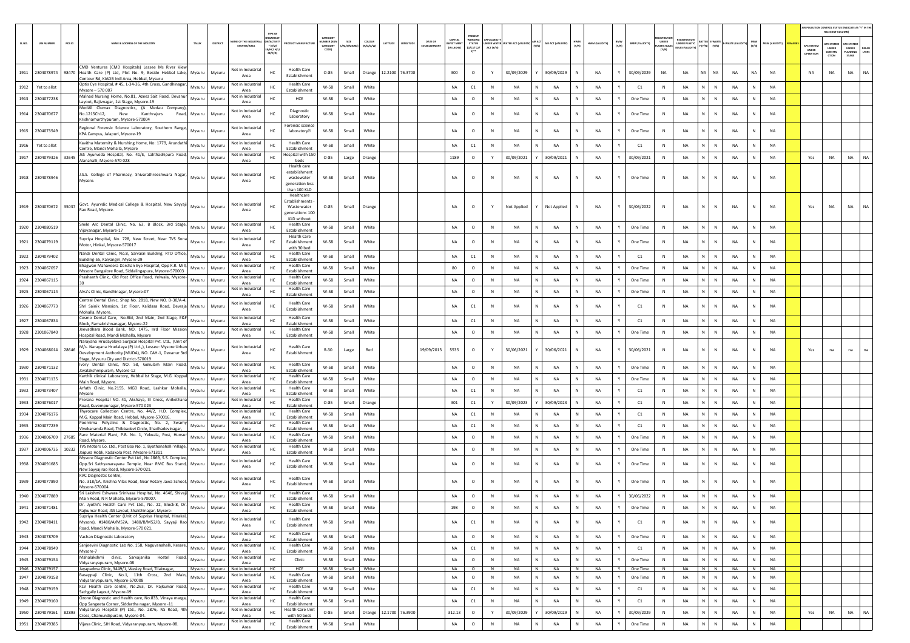|        |                             |                                                                                                                                                                                                                                    |               |                                        | TYPE OF                              |                                                                                      |                                 |           |                                |                 |                                |                               |                                                            |              |                                 |       |                    |             |                |       |                       |                                       |                                              |                                |               |              |                |                                 | AIR POLLUTION CONTROL STATUS (INDICATE AS "Y" IN THE<br>RELEVANT COLUMN                 |                |
|--------|-----------------------------|------------------------------------------------------------------------------------------------------------------------------------------------------------------------------------------------------------------------------------|---------------|----------------------------------------|--------------------------------------|--------------------------------------------------------------------------------------|---------------------------------|-----------|--------------------------------|-----------------|--------------------------------|-------------------------------|------------------------------------------------------------|--------------|---------------------------------|-------|--------------------|-------------|----------------|-------|-----------------------|---------------------------------------|----------------------------------------------|--------------------------------|---------------|--------------|----------------|---------------------------------|-----------------------------------------------------------------------------------------|----------------|
| SL.NO. | PCB ID<br><b>UIN NUMBER</b> | NAME & ADDRESS OF THE INDUSTRY<br>TALUK                                                                                                                                                                                            | DISTRICT      | AME OF THE INDI<br>ESTATES/AREA        | <b>VACTIV</b><br>$*$ (1/M/<br>CE/C/O |                                                                                      | CATEGOR<br>MBER (XC<br>CATEGORY | M/S/MICRO | coLour<br>ATITUDE<br>(R/O/G/W) | ONGITUD         | DATE OF<br><b>FSTARI KHMFM</b> | <b>VEST MEN</b><br>(IN LAKHS) | PRESENT<br><b>STATUS</b><br>(0/C1/C2)<br>$Y$ <sup>++</sup> | ACT (Y/N)    | NDER WATER WATER ACT (VALIDITY) | (V/N) | AIR ACT (VALIDITY) | N/N         | HWM (VALIDITY) | (Y/N) | <b>BMW (VALIDITY)</b> | UNDER<br><b>PLASTIC RULE</b><br>[Y/N] | <b>UNDER PLASTIC</b><br><b>WLES IVALIDIT</b> | TER E-WASTI<br>CY/N)<br>(Y/N)  | -WASTE (VALID | (Y/N)        | MSW (VALIDITY) | APC SYSTE<br>UNDER<br>OPERATION | PC SYSTEM<br><b>PC SYSTER</b><br>UNDER<br>UNDER<br>CONSTRU<br>LANNING<br>crion<br>STAGE | DEFAU<br>LTERS |
|        |                             | CMD Ventures (CMD Hospitals) Lessee Ms River View<br>1911 2304078974 98470 Health Care (P) Ltd, Plot No. 9, Beside Hebbal Lake, Mysuru<br>Contour Rd, KIADB Indl Area, Hebbal, Mysuru                                              | Mysuru        | Not in Industrial<br>Area              | HC                                   | <b>Health Care</b><br>Establishment                                                  | $O-85$                          | Small     | Orange                         | 12.2100 76.3700 |                                | 300                           | $\circ$                                                    | Y            | 30/09/2029                      |       | 30/09/2029         | $\mathbb N$ | <b>NA</b>      | Y     | 30/09/2029            | NA                                    | <b>NA</b>                                    | <b>NA</b><br><b>NA</b>         | <b>NA</b>     | <b>NA</b>    | <b>NA</b>      | <b>NA</b>                       | NA<br>NA                                                                                | <b>NA</b>      |
|        | 1912 Yet to allot           | Optis Eye Hospital, #45, L-34-36, 4th Cross, Gandhinagar,<br>Mysuru<br>Mysore - 570 007                                                                                                                                            | Mysuru        | Not in Industrial<br>Area              | HC                                   | <b>Health Care</b><br>Establishment                                                  | W-58                            | Small     | White                          |                 |                                | <b>NA</b>                     | C1                                                         | N            | <b>NA</b>                       |       | <b>NA</b>          |             | <b>NA</b>      | Y     | C1                    | $\mathbb N$                           | <b>NA</b>                                    | N.<br>$\mathbb{N}$             | <b>NA</b>     | $\mathsf{N}$ | <b>NA</b>      |                                 |                                                                                         |                |
|        | 1913 2304077238             | Malnad Nursing Home, No.81, Azeez Sait Road, Devanur<br>Mysuru                                                                                                                                                                     | Mysuru        | Not in Industrial                      | HC                                   | HCE                                                                                  | W-58                            | Small     | White                          |                 |                                | NA                            | $\circ$                                                    | $\mathbb N$  | <b>NA</b>                       |       | <b>NA</b>          | N           | <b>NA</b>      | Y     | One Time              | N                                     | <b>NA</b>                                    | N<br>N                         | NA            | N            | <b>NA</b>      |                                 |                                                                                         |                |
|        | 1914 2304070677             | Layout, Rajivnagar, 1st Stage, Mysore-19<br>MedAll Clumax Diagnostics, (A Medau Company),<br>No.1215Ch12,<br>New<br>Kanthrajurs<br>Road,<br>Mysuru<br>Krishnamurthypuram, Mysore-570004                                            | Mysuru        | Area<br>Not in Industrial<br>Area      | HC                                   | Diagnostic<br>Laboratory                                                             | W-58                            | Small     | White                          |                 |                                | NA                            | $\circ$                                                    | N            | NA                              |       | <b>NA</b>          | N           | <b>NA</b>      | Y     | One Time              | N                                     | <b>NA</b>                                    | N<br>N                         | <b>NA</b>     |              | <b>NA</b>      |                                 |                                                                                         |                |
|        | 1915 2304073549             | Regional Forensic Science Laboratory, Southern Range<br>Mysuru<br>KPA Campus, Jalapuri, Mysore-19                                                                                                                                  | Mysuru        | Not in Industrial<br>Area              | HC                                   | Forensic science<br>laboratory®                                                      | W-58                            | Small     | White                          |                 |                                | NA                            | $\circ$                                                    | $\mathbb N$  | <b>NA</b>                       |       | <b>NA</b>          | N           | <b>NA</b>      | Y     | One Time              | $\mathbb N$                           | <b>NA</b>                                    | N<br>N                         | <b>NA</b>     | N            | <b>NA</b>      |                                 |                                                                                         |                |
|        | 1916 Yet to allot           | Kavitha Maternity & Nurshing Home, No: 1779, Arundathi<br>Mysuru<br>Centre, Mandi Mohalla, Mysore                                                                                                                                  | Mysuru        | Not in Industrial<br>Area              | HC                                   | <b>Health Care</b><br>Establishment                                                  | W-58                            | Small     | White                          |                 |                                | <b>NA</b>                     | C1                                                         | N            | <b>NA</b>                       |       | <b>NA</b>          | N           | <b>NA</b>      | Y     | C1                    | N                                     | <b>NA</b>                                    | $\mathsf{N}^-$<br>$\mathbb{N}$ | <b>NA</b>     | $\mathbb{N}$ | <b>NA</b>      |                                 |                                                                                         |                |
|        | 1917 2304079326<br>32645    | JSS Ayurveda Hospital, No. 41/E, Lalithadripura Road,<br>Mysuru<br>Alanahalli, Msyore-570 028                                                                                                                                      | Mysuru        | Not in Industrial<br>Area              | HC                                   | Hospital with 150<br>beds                                                            | $O-85$                          | Large     | Orange                         |                 |                                | 1189                          | $\circ$                                                    | Y            | 30/09/2021                      |       | 30/09/2021         | N           | <b>NA</b>      | Y     | 30/09/2021            | N                                     | <b>NA</b>                                    | N<br>N                         | NA            | N            | <b>NA</b>      | Yes                             | <b>NA</b><br>NA                                                                         | <b>NA</b>      |
|        | 1918 2304078946             | J.S.S. College of Pharmacy, Shivarathreeshwara Nagar,<br>Mysuru<br>Mysore.                                                                                                                                                         | Mysuru        | Not in Industrial<br>Area              | HC                                   | <b>Health care</b><br>establishment<br>wastewater<br>generation less<br>than 100 KLD | W-58                            | Small     | White                          |                 |                                | NA                            | $\circ$                                                    | N            | <b>NA</b>                       |       | NA                 | $\mathbb N$ | <b>NA</b>      | Y     | One Time              | N                                     | NA                                           | N                              | <b>NA</b>     |              | <b>NA</b>      |                                 |                                                                                         |                |
|        | 1919 2304070672 35037       | Govt. Ayurvdic Medical College & Hospital, New Sayyaji<br>Mysuru<br>Rao Road, Mysore                                                                                                                                               | Mysuru        | Not in Industrial<br>Area              |                                      | Healthcare<br>Establishments<br>Waste water<br>generation< 100<br><b>KLD</b> without | $O-85$                          | Small     | Orange                         |                 |                                | <b>NA</b>                     | $\circ$                                                    |              | Not Applied                     |       | Not Applied        |             | <b>NA</b>      | Y     | 30/06/2022            | N                                     | NA                                           | N                              | NA            |              | <b>NA</b>      | Yes                             | <b>NA</b><br><b>NA</b>                                                                  | NA             |
|        | 1920 2304080519             | Smile Arc Dental Clinic, No. 63, B Block, 3rd Stage,<br>Mysuru<br>ijayanagar, Mysore-17                                                                                                                                            | Mysuru        | Not in Industria<br>Area               | HC                                   | <b>Health Care</b><br>Establishment                                                  | W-58                            | Small     | White                          |                 |                                | NA                            | $\circ$                                                    | $\mathbb N$  | NA                              |       | NA                 | N           | NA             | Y     | One Time              | N                                     | <b>NA</b>                                    | N.<br>N                        | NA            | N            | NA             |                                 |                                                                                         |                |
|        | 1921 2304079119             | Supriya Hospital, No. 728, New Street, Near TVS Sona<br>Mysuru<br>Motor, Hinkal, Mysore-570017                                                                                                                                     | Mysuru        | Not in Industria<br>Area               | HC                                   | <b>Health Care</b><br>Establishment<br>with 30 bed                                   | W-58                            | Small     | White                          |                 |                                | NA                            | $\circ$                                                    | $\mathbb N$  | <b>NA</b>                       |       | NA                 | N           | <b>NA</b>      | Y     | One Time              | $\mathbb N$                           | <b>NA</b>                                    | N<br>N                         | <b>NA</b>     | $\mathbf N$  | <b>NA</b>      |                                 |                                                                                         |                |
|        | 1922 2304079402             | Nandi Dental Clinic, No.8, Sarvasri Building, RTO Office,<br>Mysuru<br>Building-55, Kalyangiri, Mysore-29                                                                                                                          | Mysuru        | Not in Industrial<br>Area              | HC                                   | <b>Health Care</b><br>Establishment                                                  | W-58                            | Small     | White                          |                 |                                | NA                            | C1                                                         | N            | NA                              |       | NA                 |             | NA             | Y     | C1                    | $\mathbb N$                           | NA                                           | N<br>N                         | <b>NA</b>     | N            | NA             |                                 |                                                                                         |                |
|        | 1923 2304067057             | Bhagwan Mahaveera Darshan Eye Hospital, Opp K.R. Mill<br>Mysuru<br>Mysore Bangalore Road, Siddalingapura, Mysore-570003                                                                                                            | Mysuru        | Not in Industrial<br>Area              |                                      | <b>Health Care</b><br>Establishment                                                  | W-58                            | Small     | White                          |                 |                                | 80                            | $\circ$                                                    | $\mathbb N$  | NA                              |       | NA                 | N           | NA             | Y     | One Time              | N                                     | NA                                           | N<br>${\sf N}$                 | NA            | N            | NA             |                                 |                                                                                         |                |
|        | 1924 2304067115             | Prashanth Clinic, Old Post Office Road, Yelwala, Mysore<br>Mysuru                                                                                                                                                                  | Mysuru        | Not in Industrial<br>Area              |                                      | <b>Health Care</b><br>Establishment                                                  | W-58                            | Small     | White                          |                 |                                | NA                            | $\circ$                                                    | $\mathbb N$  | <b>NA</b>                       |       | <b>NA</b>          |             | <b>NA</b>      | Y     | One Time              | $\mathbb N$                           | <b>NA</b>                                    | N                              | <b>NA</b>     |              | <b>NA</b>      |                                 |                                                                                         |                |
|        | 1925 2304067114             | Alva's Clinic, Gandhinagar, Mysore-07<br>Mysuru                                                                                                                                                                                    | Mysuru        | Not in Industrial<br>Area              | HC.                                  | <b>Health Care</b><br>Establishment                                                  | W-58                            | Small     | White                          |                 |                                | <b>NA</b>                     | $\circ$                                                    | $\mathbb{N}$ | <b>NA</b>                       |       | <b>NA</b>          | $\mathbb N$ | <b>NA</b>      | Y     | One Time              | N                                     | <b>NA</b>                                    | N.<br>$\mathbb{N}$             | <b>NA</b>     | $\mathsf{N}$ | <b>NA</b>      |                                 |                                                                                         |                |
|        | 1926 2304067773             | Central Dental Clinic, Shop No. 2818, New NO. D-30/A-4,<br>Shri Sainik Mansion, 1st Floor, Kalidasa Road, Devraja Mysuru<br>Mohalla, Mysore.                                                                                       | Mysuri        | Not in Industrial<br>Area              |                                      | <b>Health Care</b><br>Establishment                                                  | W-58                            | Small     | White                          |                 |                                | <b>NA</b>                     | $\mathsf{C1}$                                              | $\mathbb{N}$ | <b>NA</b>                       |       | <b>NA</b>          | $\mathbb N$ | <b>NA</b>      | Y     | C1                    | $\mathbb N$                           | <b>NA</b>                                    | N<br>N                         | <b>NA</b>     | N            | <b>NA</b>      |                                 |                                                                                         |                |
|        | 1927 2304067834             | Cosmo Dental Care, No.8M, 2nd Main, 2nd Stage, E&F<br>Mysuru<br>Block, Ramakrishnanagar, Mysore-22                                                                                                                                 | Mysuru        | Not in Industrial<br>Area              | HC                                   | <b>Health Care</b><br>Establishment                                                  | W-58                            | Small     | White                          |                 |                                | <b>NA</b>                     | $\mathsf{C1}$                                              | N            | <b>NA</b>                       |       | <b>NA</b>          |             | <b>NA</b>      | Y     | C1                    | N                                     | <b>NA</b>                                    | N.<br>$\mathbb{N}$             | <b>NA</b>     | $\mathsf{N}$ | <b>NA</b>      |                                 |                                                                                         |                |
|        | 1928 2301067840             | Jeevadhara Blood Bank, NO. 1475, IIrd Floor Missior<br>Mysuru<br>lospital Road, Mandi Mohalla, Mysore                                                                                                                              | Mysuru        | Not in Industrial<br>Area              | HC                                   | <b>Health Care</b><br>Establishment                                                  | W-58                            | Small     | White                          |                 |                                | NA                            | $\circ$                                                    | $\mathbb N$  | <b>NA</b>                       |       | <b>NA</b>          | N           | <b>NA</b>      | Y     | One Time              | N                                     | <b>NA</b>                                    | N<br>N                         | NA            | N            | <b>NA</b>      |                                 |                                                                                         |                |
|        | 1929 2304068014 28646       | Varayana Hrudayalaya Surgical Hospital Pvt. Ltd., (Unit of<br>M/s. Narayana Hrudalaya (P) Ltd.,), Lessee: Mysore Urban<br>Mysuru<br>Development Authority (MUDA), NO. CAH-1, Devanur 3rd<br>Stage, Mysuru City and District-570019 | Mysuru        | Not in Industrial<br>Area              |                                      | <b>Health Care</b><br>Establishment                                                  | $R-30$                          | Large     | Red                            |                 | 19/09/2013                     | 5535                          | $\circ$                                                    |              | 30/06/2021                      |       | 30/06/2021         |             | <b>NA</b>      | Y     | 30/06/2021            | $\mathbb N$                           | <b>NA</b>                                    | N<br>$\mathbb{N}$              | <b>NA</b>     |              | <b>NA</b>      | Yes                             | na<br>na                                                                                | na             |
|        | 1930 2304071132             | Ivory Dental Clinic, NO. 58, Gokulam Main Road,<br>Mysuru<br>Jayalakshmipuram, Mysore-12                                                                                                                                           | Mysuru        | Not in Industrial<br>Area              | HC                                   | <b>Health Care</b><br><b>Establishment</b>                                           | W-58                            | Small     | White                          |                 |                                | NA                            | $\circ$                                                    | N            | <b>NA</b>                       |       | NA                 |             | <b>NA</b>      | Y     | One Time              | ${\sf N}$                             | NA                                           | N                              | NA            |              | <b>NA</b>      |                                 |                                                                                         |                |
|        | 1931 2304071135             | Karthik clinical Laboratory, Hebbal Ist Stage, M.G. Koppal<br>Mysuru<br>Main Road, Mysore.                                                                                                                                         | Mysuru        | Not in Industria<br>Area               | HC.                                  | <b>Health Care</b><br>Establishment                                                  | W-58                            | Small     | White                          |                 |                                | <b>NA</b>                     | $\circ$                                                    | N            | <b>NA</b>                       |       | <b>NA</b>          | N           | <b>NA</b>      | Y     | One Time              | N                                     | <b>NA</b>                                    | N<br>$\mathbb{N}$              | <b>NA</b>     | $\mathbb N$  | <b>NA</b>      |                                 |                                                                                         |                |
|        | 1932 2304073407             | Arfath Clinic, No.2155, MG0 Road, Lashkar Mohalla,<br>Mysuru<br>Mysore                                                                                                                                                             | Mysuru        | Not in Industrial<br>Area              | HC.                                  | <b>Health Care</b><br>Establishment                                                  | W-58                            | Small     | White                          |                 |                                | NA                            | C1                                                         | N            | NA                              |       | NA                 | <b>N</b>    | <b>NA</b>      | Y     | C1                    | N                                     | <b>NA</b>                                    | N<br>N                         | <b>NA</b>     | N            | <b>NA</b>      |                                 |                                                                                         |                |
|        | 1933 2304076017             | Prerana Hospital NO. 41, Akshaya, III Cross, Anikethana<br>Mysuru<br>Road, Kuvempunagar, Mysore-570 023                                                                                                                            | Mysuru        | Not in Industria<br>Area               |                                      | <b>Health Care</b><br>Establishment                                                  | $O - 85$                        | Small     | Orange                         |                 |                                | 301                           | C1                                                         | Y            | 30/09/2023                      |       | 30/09/2023         |             | NA             | Y     | C1                    | $\mathbb N$                           | <b>NA</b>                                    | N.<br>N                        | NA            | $\mathbb N$  | NA             |                                 |                                                                                         |                |
|        | 1934 2304076176             | Thyrocare Collection Centre, No. 44/2, H.D. Complex,<br>Mysuru<br>M.G. Koppal Main Road, Hebbal, Mysore-570016.                                                                                                                    | Mysuru        | Not in Industria<br>Area               |                                      | <b>Health Care</b><br>Establishment                                                  | W-58                            | Small     | White                          |                 |                                | NA                            | C1                                                         | $\mathbb N$  | NA                              |       | NA                 | $\mathbb N$ | NA             | Y     | C1                    | $\,$ N                                | NA                                           | $\mathsf{N}^-$<br>$\mathsf{N}$ | NA            | N            | NA             |                                 |                                                                                         |                |
|        | 1935 2304077239             | Poornima Polyclinc & Diagnostic, No. 2, Swamy<br>Mysuru<br>Vivekananda Road, Thibbadevi Circle, Shadhadevinagar,                                                                                                                   | Mysuru        | Not in Industria<br>Area               | HC                                   | <b>Health Care</b><br>Establishment                                                  | W-58                            | Small     | White                          |                 |                                | NA                            | C1                                                         | $\mathbb{N}$ | <b>NA</b>                       |       | <b>NA</b>          |             | <b>NA</b>      | Y     | C1                    | $\mathbb{N}$                          | NA                                           | N                              | NA            |              | <b>NA</b>      |                                 |                                                                                         |                |
|        | 1936 2304006709 27685       | Rare Material Plant, P.B. No. 1, Yelwala, Post, Hunsur<br>Mysuru<br>Road, Mysore.                                                                                                                                                  | Mysuru        | Not in Industrial<br>Area              |                                      | <b>Health Care</b><br>Establishment                                                  | W-58                            | Small     | White                          |                 |                                | <b>NA</b>                     | $\circ$                                                    | $\mathbb N$  | <b>NA</b>                       |       | <b>NA</b>          |             | <b>NA</b>      | Y     | One Time              | $\mathbb N$                           | <b>NA</b>                                    | N.<br>$\mathbb{N}$             | <b>NA</b>     | $\mathsf{N}$ | <b>NA</b>      |                                 |                                                                                         |                |
|        | 1937 2304006735 10232       | TVS Motors Co. Ltd., Post Box No. 1, Byathanahalli Village,<br>Mysuru<br>lainura Hobli, Kadakola Post, Mysore-571311                                                                                                               | Mysuru        | Not in Industrial<br>Area              | HC.                                  | <b>Health Care</b><br>Establishment                                                  | W-58                            | Small     | White                          |                 |                                | NA                            | $\circ$                                                    | $\mathbb N$  | NA                              |       | <b>NA</b>          | N           | <b>NA</b>      | Y     | One Time              | N                                     | <b>NA</b>                                    | N<br>N                         | <b>NA</b>     | N            | <b>NA</b>      |                                 |                                                                                         |                |
|        | 1938 2304091685             | Mysore Diagnostic Center Pvt Ltd., No.1869, S.S. Complex,<br>Opp.Sri Sathyanarayana Temple, Near RMC Bus Stand,<br>Mysuru                                                                                                          | Mysuru        | Not in Industrial<br>Area              | HC                                   | <b>Health Care</b><br>Establishment                                                  | $W-58$                          | Small     | White                          |                 |                                | NA                            | $\circ$                                                    | N            | NA                              |       | NA                 | N           | <b>NA</b>      |       | One Time              | $\mathbb N$                           | <b>NA</b>                                    | N.<br>N                        | <b>NA</b>     | $\mathbf{N}$ | <b>NA</b>      |                                 |                                                                                         |                |
|        | 1939 2304077890             | New Sayyajirao Road, Mysore-570 021.<br><b>KVC Diagnostic Centre</b><br>No. 318/1A, Krishna Vilas Road, Near Rotary Jawa School, Mysuru<br>Mysore-570004                                                                           | Mysuru        | Not in Industria<br>Area               |                                      | <b>Health Care</b><br>Establishment                                                  | W-58                            | Small     | White                          |                 |                                | <b>NA</b>                     | $\circ$                                                    | $\mathbb N$  | NA                              |       | <b>NA</b>          | N           | <b>NA</b>      | Y     | One Time              | N                                     | <b>NA</b>                                    | N<br>N                         | <b>NA</b>     |              | <b>NA</b>      |                                 |                                                                                         |                |
|        | 1940 2304077889             | Sri Lakshmi Eshwara Srinivasa Hospital, No. 4646, Shivaji<br>Mysuru<br>Main Road, N R Mohalla, Mysore-570007.                                                                                                                      | Mysuru        | Not in Industrial                      | HC                                   | <b>Health Care</b><br>Establishment                                                  | W-58                            | Small     | White                          |                 |                                | <b>NA</b>                     | $\circ$                                                    | N            | <b>NA</b>                       |       | <b>NA</b>          | N           | <b>NA</b>      | Y     | 30/06/2022            | N                                     | <b>NA</b>                                    | N.<br>$\mathbb{N}$             | <b>NA</b>     | $\mathsf{N}$ | <b>NA</b>      |                                 |                                                                                         |                |
|        | 1941 2304071481             | Dr. Jyothi's Health Care Pvt Ltd., No. 22, Block-8, Dr.<br>Mysuru                                                                                                                                                                  | Mysuri        | Area<br>Not in Industrial              |                                      | <b>Health Care</b>                                                                   | W-58                            | Small     | White                          |                 |                                | 198                           | $\circ$                                                    | N            | NA                              |       | <b>NA</b>          | N           | NA             |       | One Time              | N                                     | NA.                                          | N.<br>N                        | <b>NA</b>     | N            | NA             |                                 |                                                                                         |                |
|        | 1942 2304078411             | Rajkumar Road, JSS Layout, Shakthinagar, Mysore-<br>Supriya Health Center (Unit of Supriya Hospital, Hinakal,<br>Mysore), #1480/A/M52A, 1480/B/M52/B, Sayyaji Rao Mysuru                                                           | Mysuru        | Area<br>Not in Industrial<br>Area      | нc                                   | Establishment<br><b>Health Care</b><br>Establishment                                 | W-58                            | Small     | White                          |                 |                                | NA                            | C1                                                         | N            | NA                              |       | NA                 | N           | <b>NA</b>      | Y     | C1                    | $\,$ N                                | NA                                           | N<br>N                         | <b>NA</b>     | N            | <b>NA</b>      |                                 |                                                                                         |                |
|        | 1943 2304078709             | Road, Mandi Mohalla, Mysore-570 021.<br>Vachan Diagnostic Laboratory<br>Mysuru                                                                                                                                                     | Mysuru        | Not in Industrial                      | HC                                   | <b>Health Care</b>                                                                   | W-58                            | Small     | White                          |                 |                                | NA                            | $\circ$                                                    | N            | NA                              |       | NA                 | N           | <b>NA</b>      | Y     | One Time              | N                                     | NA                                           | N<br>N                         | <b>NA</b>     | N            | <b>NA</b>      |                                 |                                                                                         |                |
|        | 1944 2304078949             | Sanjeevini Diagnostic Lab No. 158, Naguvanahalli, Kesare,<br>Mysuru<br>Mysore-7                                                                                                                                                    | Mysuru        | Area<br>Not in Industrial<br>Area      | HC                                   | Establishment<br><b>Health Care</b><br>Establishment                                 | W-58                            | Small     | White                          |                 |                                | NA                            | C1                                                         | N            | NA                              |       | NA                 | $\mathbb N$ | NA             | Y     | C1                    | N                                     | NA                                           | $\mathsf{N}^-$<br>N            | <b>NA</b>     | N            | NA             |                                 |                                                                                         |                |
|        | 1945 2304079154             | Mahalakshmi clinic, Sarvajanika Hostel Road,<br>Mysuru<br>Vidyaranyapuram, Mysore-08                                                                                                                                               | Mysuru        | Not in Industrial<br>Area              | HC                                   | Clinic                                                                               | W-58                            | Small     | White                          |                 |                                | NA                            | $\circ$                                                    | N            | NA                              | N     | NA                 | $\,$ N      | <b>NA</b>      | Y     | One Time              | N                                     | NA                                           | N<br>N                         | NA            | N            | <b>NA</b>      |                                 |                                                                                         |                |
|        | 1946 2304079157             | Jayapadma Clinic, 3449/1, Wesley Road, Tilaknagar,<br>Basappaji Clinic, No.1, 11th Cross, 2nd Main,                                                                                                                                | Mysuru Mysuru | Not in Industrial<br>Not in Industrial | HC                                   | HCE<br><b>Health Care</b>                                                            | W-58                            | Small     | White                          |                 |                                | <b>NA</b>                     | $\circ$                                                    | N            | <b>NA</b>                       | N     | <b>NA</b>          | N           | <b>NA</b>      | Y     | One Time              | N                                     | <b>NA</b>                                    | N N                            | <b>NA</b>     | N            | <b>NA</b>      |                                 |                                                                                         |                |
|        | 1947 2304079158             | Mysuru<br>Vidyaranyapuram, Mysore-570008                                                                                                                                                                                           | Mysuru        | Area                                   | HC                                   | Establishment                                                                        | $W-58$                          | Small     | White                          |                 |                                | NA                            | $\circ$                                                    | N            | NA                              |       | NA                 | $\mathbb N$ | NA             | Y     | One Time              | N                                     | NA                                           | N<br>N                         | NA            | N            | NA             |                                 |                                                                                         |                |
|        | 1948 2304079159             | KLV Health care centre, No.263, Dr. Rajkumar Road,<br>Mysuru<br>Sathgally Layout, Mysore-19                                                                                                                                        | Mysuru        | Not in Industrial<br>Area              | HC                                   | <b>Health Care</b><br>Establishment                                                  | W-58                            | Small     | White                          |                 |                                | NA                            | C1                                                         | N            | NA                              | N     | NA                 | N           | <b>NA</b>      | Y     | C1                    | N                                     | NA                                           | N<br>N                         | <b>NA</b>     | N            | <b>NA</b>      |                                 |                                                                                         |                |
|        | 1949 2304079160             | Ozone Diagnostic and Health care, No.833, Vinaya marga,<br>Mysuru<br>Opp Sangeeta Corner, Siddartha nagar, Mysore -11                                                                                                              | Mysuru        | Not in Industrial<br>Area              | HC                                   | <b>Health Care</b><br>Establishment                                                  | W-58                            | Small     | White                          |                 |                                | NA                            | C1                                                         | ${\sf N}$    | NA                              |       | NA                 | N           | <b>NA</b>      | Y     | C1                    | ${\sf N}$                             | NA                                           | N.<br>$\mathbb{N}$             | <b>NA</b>     | N            | <b>NA</b>      |                                 |                                                                                         |                |
|        | 1950 2304079161 82893       | Vidyaranya Hospital (P) Ltd., No. 2876, NS Road, 4th<br>Mysuru<br>Cross, Chamundipuram, Mysore-04.                                                                                                                                 | Mysuru        | Not in Industrial<br>Area              | HC.                                  | <b>Health Care Unit</b><br>with 50 beds                                              | $O-85$                          | Small     | Orange                         | 12.1700 76.3900 |                                | 312.13                        | $\circ$                                                    | Y            | 30/09/2029                      |       | 30/09/2029         | N           | <b>NA</b>      | Y     | 30/09/2029            | N                                     | NA                                           | $\mathsf{N}^-$<br>N            | <b>NA</b>     | N            | <b>NA</b>      | Yes                             | NA<br><b>NA</b>                                                                         | NA             |
|        | 1951 2304079385             | Vijaya Clinic, SJH Road, Vidyaranyapuram, Mysore-08.<br>Mysuru                                                                                                                                                                     | Mysuru        | Not in Industrial<br>Area              | HC                                   | <b>Health Care</b><br>Establishment                                                  | W-58                            | Small     | White                          |                 |                                | NA                            | $\circ$                                                    | ${\sf N}$    | NA                              |       | NA                 | N           | <b>NA</b>      | Y     | One Time              | N                                     | NA                                           | N                              | <b>NA</b>     | N            | <b>NA</b>      |                                 |                                                                                         |                |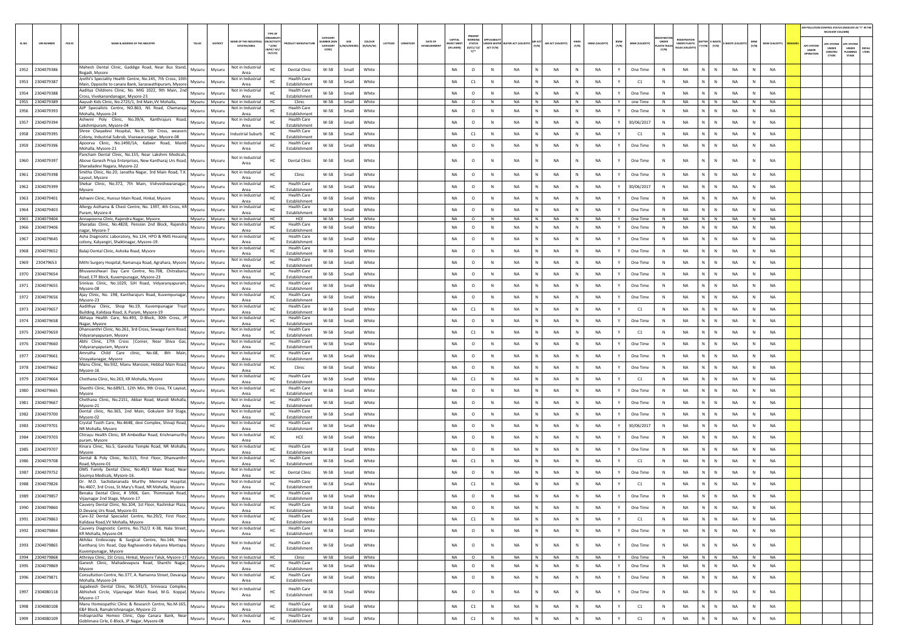|        |                  |                                                                                                                                                    |        |        |                                          |                                                    |                                            |                                           |                 |                            |         |        |                       |                                        |                                                             |                       |                      |                   |              |               |                     |                |                                      |                           |                                   |               |               |                |                                | R POLLUTION CONTROL STATUS (INDICATE AS "Y" IN TH<br>RELEVANT COLUMN) |                                                 |                |
|--------|------------------|----------------------------------------------------------------------------------------------------------------------------------------------------|--------|--------|------------------------------------------|----------------------------------------------------|--------------------------------------------|-------------------------------------------|-----------------|----------------------------|---------|--------|-----------------------|----------------------------------------|-------------------------------------------------------------|-----------------------|----------------------|-------------------|--------------|---------------|---------------------|----------------|--------------------------------------|---------------------------|-----------------------------------|---------------|---------------|----------------|--------------------------------|-----------------------------------------------------------------------|-------------------------------------------------|----------------|
| SL.NO. | <b>UIN NUMBE</b> | PCB ID<br><b>NAME &amp; ADDRESS OF THE INDUSTR</b>                                                                                                 | TALUK  |        | AME OF THE INDUST<br><b>ESTATES/AREA</b> | <b>N/ACTIVE</b><br>* (I/M/<br>LB/HC/ H/I<br>CE/C/O |                                            | CATEGOR<br>UMBER DOG<br>CATEGORY<br>CODE) | SIZE<br>M/S/MIC | <b>COLOUR</b><br>(R/O/G/W) | ATITUDE | NGITUD | DATE OF<br>ESTABLISHM | CAPITAL<br><b>EST ME</b><br>(IN LAKHS) | RESENT<br><b>WORKIN</b><br><b>STATUS</b><br>(0/C1/C2)<br>Y1 | DER WATE<br>ACT (Y/N) | ATER ACT (VAL<br>(1) | AIR ACT (VALIDITY | HWM<br>(Y/N) | HWM (VALIDITY | <b>BMW</b><br>(Y/N) | BMW (VALIDITY) | <b>UNDER</b><br>LASTIC RULE<br>(Y/N) | NDER PLASTIC              | <b>TTER E-WAST</b><br>(Y/N) (Y/N) | E-WASTE (VALI | MSW<br>(Y/N)  | MSW (VALIDITY) | APC SYSTEM<br>UNDER<br>PERATIO | <b>PC SYSTEM</b><br>UNDER<br>CONSTRU<br>CTION                         | APC SYSTER<br>UNDER<br>PLANNING<br><b>STAGE</b> | DEFAU<br>LTERS |
| 1952   | 2304079386       | Mahesh Dental Clinic, Gaddige Road, Near Bus Stand,                                                                                                | Mysuru | Mysuri | Not in Industria                         | HC                                                 | <b>Dental Clinic</b>                       | W-58                                      | Small           | White                      |         |        |                       | NA                                     | $\circ$                                                     | N                     | NA                   | <b>NA</b>         |              | NA            |                     | One Time       | N                                    | NA<br>N                   | N                                 | NA            | N             | <b>NA</b>      |                                |                                                                       |                                                 |                |
| 1953   | 2304079387       | Bogadi, Mysore<br>Jyothi's Speciality Health Centre, No.145, 7th Cross, 10th                                                                       | Mysuru | Mysuru | Area<br>Not in Industrial                | HC                                                 | <b>Health Care</b>                         | W-58                                      | Small           | White                      |         |        |                       | <b>NA</b>                              | C1                                                          | N                     | <b>NA</b><br>N       | NA                | $\mathbb{N}$ | <b>NA</b>     |                     | C1             | N                                    | <b>NA</b><br>N            | N                                 | <b>NA</b>     | N             | <b>NA</b>      |                                |                                                                       |                                                 |                |
| 1954   | 2304079388       | Main, Opposite to canara Bank, Saraswathipuram, Mysore<br>Aaditya Childrens Clinic, No. MIG 1022, 9th Main, 2no                                    | Mysuru | Mysuri | Area<br>Not in Industrial                | HC                                                 | Establishment<br><b>Health Care</b>        | W-58                                      | Small           | White                      |         |        |                       | NA                                     | $\circ$                                                     | N                     | <b>NA</b>            | <b>NA</b>         | N            | <b>NA</b>     |                     | One Time       | N                                    | <b>NA</b><br>N            | $\mathbb N$                       | <b>NA</b>     | N             | <b>NA</b>      |                                |                                                                       |                                                 |                |
|        | 1955 2304079389  | Cross, Vivekanandanagar, Mysore-23<br>Aayush Kids Clinic, No.2725/1, 3rd Main, VV Mohalla,                                                         | Mysuru | Mysuru | Area<br>Not in Industrial                | HC                                                 | Establishment<br>Clinic                    | W-58                                      | Small           | White                      |         |        |                       | NA                                     | $\circ$                                                     | N                     | NA<br>N              | <b>NA</b>         | N            | <b>NA</b>     | Y                   | one Time       | N                                    | NA<br>N                   | N                                 | NA            | N             | NA             |                                |                                                                       |                                                 |                |
| 1956   | 2304079393       | AJP Specialists Centre, NO.863, NS Road, Chamaraja<br>Mohalla, Mysore-24                                                                           | Mysuru | Mysur  | Not in Industria<br>Area                 | HC                                                 | <b>Health Care</b><br>Establishment        | $W-58$                                    | Small           | White                      |         |        |                       | <b>NA</b>                              | $\circ$                                                     | $\mathbb N$           | <b>NA</b><br>N       | NA                | $\mathbb{N}$ | <b>NA</b>     |                     | One Time       | N                                    | <b>NA</b><br>$\mathbb{N}$ | N                                 | <b>NA</b>     | N             | <b>NA</b>      |                                |                                                                       |                                                 |                |
| 1957   | 2304079394       | Ashwini Poly Clinic, No.39/A, Kanthrajurs Road,<br>Lakshmipuram, Mysore-04                                                                         | Mysuru | Mysuri | Not in Industria<br>Area                 | HC                                                 | <b>Health Care</b><br>Establishment        | W-58                                      | Small           | White                      |         |        |                       | NA                                     | $\circ$                                                     | N                     | <b>NA</b>            | <b>NA</b>         | N            | <b>NA</b>     |                     | 30/06/2017     | N                                    | <b>NA</b><br>N            | $\mathbb N$                       | NA            | N             | <b>NA</b>      |                                |                                                                       |                                                 |                |
| 1958   | 2304079395       | Shree Chayadevi Hospital, No.9, 5th Cross, weavers                                                                                                 | Mysuru | Mysuru | ndustrial Subur                          |                                                    | <b>Health Care</b><br>Establishment        | W-58                                      | Small           | White                      |         |        |                       | <b>NA</b>                              | C1                                                          | N                     | <b>NA</b>            | <b>NA</b>         |              | NA            |                     | C1             | N                                    | <b>NA</b><br>N            | $\mathbb N$                       | <b>NA</b>     | N             | NA             |                                |                                                                       |                                                 |                |
| 1959   | 2304079396       | Colony, Industrial Subrub, Viseswaranagar, Mysore-08<br>Apoorva Clinic, No.1490/1A, Kabeer Road, Mandi                                             | Mysuru | Mysur  | Not in Industria                         | HC                                                 | <b>Health Care</b>                         | W-58                                      | Small           | White                      |         |        |                       | NA                                     | $\circ$                                                     | N                     | NA<br>N              | NA                | N            | <b>NA</b>     |                     | One Time       | N                                    | <b>NA</b><br>N            | $\,$ N                            | NA            | ${\sf N}$     | NA             |                                |                                                                       |                                                 |                |
|        |                  | Mohalla, Mysore-21<br>Pancham Dental Clinic, No.155, Near Lakshmi Medicals                                                                         |        |        | Area<br>Not in Industria                 |                                                    | Establishment                              |                                           |                 |                            |         |        |                       |                                        |                                                             |                       |                      |                   |              |               |                     |                |                                      |                           |                                   |               |               |                |                                |                                                                       |                                                 |                |
|        | 1960 2304079397  | bove Ganesh Priya Enterprises, New Kantharaj Urs Road,<br>Sharadadevi Nagara, Mysore-22                                                            | Mysuru | Mysuri | Area                                     | HC                                                 | <b>Dental Clinic</b>                       | $W-58$                                    | Small           | White                      |         |        |                       | <b>NA</b>                              | $\circ$                                                     |                       | NA                   | NA                | N            | NA            |                     | One Time       | N                                    | NA                        | $\mathbb N$                       | <b>NA</b>     | $\mathsf{N}$  | NA             |                                |                                                                       |                                                 |                |
|        | 1961 2304079398  | Smitha Clinic, No.20, Janatha Nagar, 3rd Main Road, T.K.<br>Layout, Mysore                                                                         | Mysuru | Mysur  | Not in Industria<br>Area                 | HC                                                 | Clinic                                     | W-58                                      | Small           | White                      |         |        |                       | NA                                     | $\circ$                                                     | N                     | NA<br>N              | NA                | N            | NA            |                     | One Time       | N                                    | <b>NA</b><br>N            | $\,$ N                            | NA            | N             | NA             |                                |                                                                       |                                                 |                |
| 1962   | 2304079399       | Shekar Clinic, No.372, 7th Main, Vishveshwaranagar,<br>Mysore                                                                                      | Mysuru | Mysuri | Not in Industria<br>Area                 |                                                    | <b>Health Care</b><br>Establishment        | W-58                                      | Small           | White                      |         |        |                       | NA                                     | $\circ$                                                     | N                     | <b>NA</b>            | NA                | N            | NA            |                     | 30/06/2017     | N                                    | NA<br>N                   | N                                 | <b>NA</b>     | $\mathbb N$   | NA             |                                |                                                                       |                                                 |                |
| 1963   | 2304079401       | Ashwini Clinic, Hunsur Main Road, Hinkal, Mysore                                                                                                   | Mysuru | Mysuru | Not in Industria<br>Area                 | HC                                                 | <b>Health Care</b><br>Establishment        | W-58                                      | Small           | White                      |         |        |                       | <b>NA</b>                              | $\circ$                                                     | $\mathbb N$           | <b>NA</b><br>N       | NA                | $\mathbb{N}$ | <b>NA</b>     |                     | One Time       | N                                    | <b>NA</b><br>N            | N                                 | <b>NA</b>     | N             | <b>NA</b>      |                                |                                                                       |                                                 |                |
| 1964   | 2304079403       | Allergy Asthama & Chest Centre, No. 1397, 4th Cross, KF<br>Puram, Mysore-4                                                                         | Mysuru | Mysuri | Not in Industria<br>Area                 | HC                                                 | <b>Health Care</b><br>Establishment        | W-58                                      | Small           | White                      |         |        |                       | NA                                     | $\circ$                                                     | N                     | <b>NA</b>            | <b>NA</b>         | N            | <b>NA</b>     |                     | One Time       | N                                    | <b>NA</b>                 | N                                 | <b>NA</b>     | N             | <b>NA</b>      |                                |                                                                       |                                                 |                |
|        | 1965 2304079404  | Annapoorna Clinic, Rajendra Nagar, Mysore.                                                                                                         | Mysuru | Mysuru | Not in Industrial                        | HC                                                 | HCE                                        | W-58                                      | Small           | White                      |         |        |                       | NA                                     | $\circ$                                                     | N                     | NA<br>N              | <b>NA</b>         | N            | <b>NA</b>     | Y                   | One Time       | N                                    | <b>NA</b><br>N            | N                                 | <b>NA</b>     | N             | NA             |                                |                                                                       |                                                 |                |
| 1966   | 2304079406       | Sharadas Clinic, No.4828, Pension 2nd Block, Rajendra<br>nagar, Mysore-7                                                                           | Mysuru | Mysur  | Not in Industria<br>Area                 | HC                                                 | <b>Health Care</b><br>Establishment        | W-58                                      | Small           | White                      |         |        |                       | <b>NA</b>                              | $\circ$                                                     | $\mathbb{N}$          | <b>NA</b><br>N       | NA                | $\mathbb{N}$ | <b>NA</b>     |                     | One Time       | N                                    | <b>NA</b><br>$\mathbb{N}$ | N                                 | <b>NA</b>     | N             | <b>NA</b>      |                                |                                                                       |                                                 |                |
| 1967   | 2304079645       | Asha Diagnostic Laboratory, No.124, HPO & RMS Housing<br>colony, Kalyangiri, Shaktinagar, Mysore-19.                                               | Mysuru | Mysuri | Not in Industria<br>Area                 | HC                                                 | <b>Health Care</b><br>Establishment        | W-58                                      | Small           | White                      |         |        |                       | NA                                     | $\circ$                                                     | N                     | <b>NA</b>            | <b>NA</b>         | N            | <b>NA</b>     |                     | One Time       | N                                    | <b>NA</b><br>N            | N                                 | <b>NA</b>     | N             | <b>NA</b>      |                                |                                                                       |                                                 |                |
| 1968   | 2304079652       | Balaji Dental Clinic, Ashoka Road, Mysore                                                                                                          | Mysuru | Mysuri | Not in Industria<br>Area                 | HC                                                 | <b>Health Care</b><br>Establishment        | W-58                                      | Small           | White                      |         |        |                       | <b>NA</b>                              | $\circ$                                                     | N                     | <b>NA</b>            | <b>NA</b>         |              | NA            |                     | One Time       | N                                    | <b>NA</b><br>N            | $\mathbb N$                       | <b>NA</b>     | N             | NA             |                                |                                                                       |                                                 |                |
| 1969   | 230479653        | Mithi Surgery Hospital, Ramanuja Road, Agrahara, Mysore                                                                                            | Mysuru | Mysuri | Not in Industrial<br>Area                |                                                    | <b>Health Care</b><br>Establishment        | W-58                                      | Small           | White                      |         |        |                       | NA                                     | $\circ$                                                     | N                     | <b>NA</b><br>N       | NA                | N            | <b>NA</b>     |                     | One Time       | N                                    | <b>NA</b><br>N            | $\,$ N                            | <b>NA</b>     | ${\sf N}$     | NA             |                                |                                                                       |                                                 |                |
| 1970   | 2304079654       | Bhuvaneshwari Day Care Centre, No.708, Chitrabani<br>Road, E7F Block, Kuvempunagar, Mysore-23                                                      | Mysuru | Mysur  | Not in Industrial<br>Area                | HC                                                 | <b>Health Care</b><br><b>Establishment</b> | W-58                                      | Small           | White                      |         |        |                       | NA                                     | $\circ$                                                     |                       | <b>NA</b>            | <b>NA</b>         |              | NA            |                     | One Time       | N                                    | <b>NA</b><br>N            | N                                 | <b>NA</b>     | ${\sf N}$     | NA             |                                |                                                                       |                                                 |                |
| 1971   | 2304079655       | Srinivas Clinic, No.1029, SJH Road, Vidyaranyapuram,                                                                                               | Mysuru | Mysur  | Not in Industrial                        | HC                                                 | <b>Health Care</b>                         | W-58                                      | Small           | White                      |         |        |                       | <b>NA</b>                              | $\circ$                                                     | $\mathbb{N}$          | <b>NA</b>            | NA                | $\mathbb{N}$ | <b>NA</b>     |                     | One Time       | N                                    | N<br><b>NA</b>            | $\mathbb{N}$                      | <b>NA</b>     | N             | <b>NA</b>      |                                |                                                                       |                                                 |                |
|        | 1972 2304079656  | Mysore-08<br>Ajay Clinic, No. 198, Kantharajurs Road, Kuvempunagar                                                                                 | Mysuru | Mysuri | Area<br>Not in Industrial                | HC                                                 | Establishment<br><b>Health Care</b>        | W-58                                      | Small           | White                      |         |        |                       | NA                                     | $\circ$                                                     | N                     | <b>NA</b>            | <b>NA</b>         | N            | <b>NA</b>     |                     | One Time       | N                                    | <b>NA</b><br>N            | N                                 | <b>NA</b>     | N             | <b>NA</b>      |                                |                                                                       |                                                 |                |
| 1973   | 2304079657       | Mysore-23<br>Aadithya Clinic, Shop No.19, Kuvempunagar Trust                                                                                       | Mysuru | Mysuri | Area<br>Not in Industrial                | HC                                                 | Establishment<br><b>Health Care</b>        | W-58                                      | Small           | White                      |         |        |                       | <b>NA</b>                              | C1                                                          | N                     | <b>NA</b>            | <b>NA</b>         | N            | <b>NA</b>     |                     | C1             | N                                    | NA<br>N                   | N                                 | <b>NA</b>     | $\mathsf{N}$  | NA             |                                |                                                                       |                                                 |                |
|        | 1974 2304079658  | Building, Kalidasa Road, JL Puram, Mysore-19<br>Abhaya Health Care, No.493, D-Block, 30th Cross, JP                                                | Mysuru | Mysuri | Area<br>Not in Industrial                |                                                    | Establishment<br><b>Health Care</b>        | W-58                                      | Small           | White                      |         |        |                       | NA                                     | $\circ$                                                     | N                     | NA<br>N              | NA                | N            | <b>NA</b>     | Y                   | One Time       | N                                    | <b>NA</b><br>N            | $\,$ N                            | <b>NA</b>     | N             | NA             |                                |                                                                       |                                                 |                |
| 1975   | 2304079659       | Nagar, Mysore<br>Dhanvanthri Clinic, No.261, 3rd Cross, Sewage Farm Road                                                                           | Mysuru | Mysur  | Area<br>Not in Industria                 | HC                                                 | Establishment<br><b>Health Care</b>        | W-58                                      | Small           | White                      |         |        |                       | NA                                     | C1                                                          | $\mathbb N$           | NA                   | NA                | N            | NA            |                     | C1             | N                                    | NA<br>$\mathbb{N}$        | ${\sf N}$                         | <b>NA</b>     | N             | NA             |                                |                                                                       |                                                 |                |
| 1976   | 2304079660       | /idyaranyapuram, Mysore<br>Abhi Clinic, 17th Cross   Corner, Near Shiva Gas                                                                        | Mysuru | Mysur  | Area<br>Not in Industria                 | HC                                                 | <b>Establishment</b><br><b>Health Care</b> | W-58                                      | Small           | White                      |         |        |                       | <b>NA</b>                              | $\circ$                                                     | $\mathbb{N}$          | <b>NA</b>            | NA                | N            | NA            |                     | One Time       | N                                    | <b>NA</b><br>N            | $\mathbb{N}$                      | <b>NA</b>     | N             | <b>NA</b>      |                                |                                                                       |                                                 |                |
| 1977   | 2304079661       | Vidyaranyapuram, Mysore<br>Amrutha Child Care clinic, No.68, 8th Main                                                                              |        |        | Area<br>Not in Industria                 |                                                    | Establishment<br><b>Health Care</b>        |                                           |                 |                            |         |        |                       | NA                                     |                                                             |                       |                      | <b>NA</b>         |              | <b>NA</b>     |                     |                |                                      | <b>NA</b>                 |                                   | <b>NA</b>     |               | <b>NA</b>      |                                |                                                                       |                                                 |                |
|        |                  | Vinayakanagar, Mysore<br>Manu Clinic, No.932, Manu Mansion, Hebbal Main Road,                                                                      | Mysuru | Mysuri | Area<br>Not in Industria                 | HC                                                 | Establishment                              | W-58                                      | Small           | White                      |         |        |                       |                                        | $\circ$                                                     | N                     | <b>NA</b>            |                   | N            |               |                     | One Time       | N                                    | N                         | N                                 |               | N             |                |                                |                                                                       |                                                 |                |
| 1978   | 2304079662       | Mysore-16                                                                                                                                          | Mysuru | Mysuri | Area<br>Not in Industrial                | HC                                                 | Clinic<br><b>Health Care</b>               | W-58                                      | Small           | White                      |         |        |                       | <b>NA</b>                              | $\circ$                                                     | N                     | <b>NA</b>            | <b>NA</b>         |              | NA            |                     | One Time       | N                                    | NA<br>N                   | $\mathbb N$                       | <b>NA</b>     | N             | NA             |                                |                                                                       |                                                 |                |
| 1979   | 2304079664       | Chethana Clinic, No.263, KR Mohalla, Mysore<br>Shanthi Clinic, No.689/1, 12th Min, 9th Cross, TK Layout                                            | Mysuru | Mysuri | Area<br>Not in Industrial                |                                                    | Establishment<br><b>Health Care</b>        | W-58                                      | Small           | White                      |         |        |                       | NA                                     | C1                                                          | N                     | <b>NA</b><br>N       | NA                | N            | <b>NA</b>     |                     | C1             | N                                    | <b>NA</b><br>N            | $\,$ N                            | <b>NA</b>     | ${\sf N}$     | NA             |                                |                                                                       |                                                 |                |
| 1980   | 2304079665       | Mysore                                                                                                                                             | Mysuru | Mysur  | Area<br>Not in Industria                 |                                                    | <b>Establishment</b>                       | W-58                                      | Small           | White                      |         |        |                       | <b>NA</b>                              | $\circ$                                                     | N                     | <b>NA</b>            | NA                |              | <b>NA</b>     |                     | One Time       |                                      | <b>NA</b>                 | N                                 | <b>NA</b>     |               | <b>NA</b>      |                                |                                                                       |                                                 |                |
| 1981   | 2304079667       | Chethana Clinic, No.2151, Akbar Road, Mandi Mohalla,<br>Mysore-21                                                                                  | Mysuru | Mysuri | Area                                     | HC                                                 | <b>Health Care</b><br>Establishment        | W-58                                      | Small           | White                      |         |        |                       | <b>NA</b>                              | $\circ$                                                     | $\mathbb{N}$          | N<br><b>NA</b>       | NA                | $\mathbb{N}$ | <b>NA</b>     |                     | One Time       | N                                    | $\mathsf{N}$<br><b>NA</b> | $\mathbb{N}$                      | <b>NA</b>     | N             | <b>NA</b>      |                                |                                                                       |                                                 |                |
| 1982   | 2304079700       | Dental clinic, No.365, 2nd Main, Gokulam 3rd Stage,<br>Mysore-02                                                                                   | Mysuru | Mysuri | Not in Industria<br>Area                 | HC                                                 | <b>Health Care</b><br>Establishment        | W-58                                      | Small           | White                      |         |        |                       | NA                                     | $\circ$                                                     | N                     | <b>NA</b>            | <b>NA</b>         | N            | <b>NA</b>     |                     | One Time       | N                                    | <b>NA</b><br>N            | $\mathbb N$                       | <b>NA</b>     | N             | <b>NA</b>      |                                |                                                                       |                                                 |                |
| 1983   | 2304079701       | Crystal Tooth Care, No.4648, devi Complex, Shivaji Road,<br>NR Mohalla, Mysore                                                                     | Mysuru | Mysuri | Not in Industrial<br>Area                | HC                                                 | <b>Health Care</b><br>Establishment        | $W-58$                                    | Small           | White                      |         |        |                       | <b>NA</b>                              | $\circ$                                                     | N                     | <b>NA</b>            | <b>NA</b>         | N            | <b>NA</b>     |                     | 30/06/2017     | N                                    | NA<br>N                   | $\mathbb N$                       | <b>NA</b>     | $\mathsf{N}$  | NA             |                                |                                                                       |                                                 |                |
| 1984   | 2304079703       | Chirayu Health Clinic, BR Ambedkar Road, Krishnamurthy<br>ouram, Mysore                                                                            | Mysuru | Mysuri | Not in Industria<br>Area                 |                                                    | HCE                                        | W-58                                      | Small           | White                      |         |        |                       | NA                                     | $\circ$                                                     | N                     | NA<br>N              | NA                | N            | NA            |                     | One Time       | N                                    | <b>NA</b><br>N            | $\,$ N                            | <b>NA</b>     | ${\sf N}$     | NA             |                                |                                                                       |                                                 |                |
| 1985   | 2304079707       | Kinara Clinic, No.5, Ganesha Temple Road, NR Mohalla<br>Mysore                                                                                     | Mysuru | Mysur  | Not in Industria<br>Area                 | HC                                                 | <b>Health Care</b><br><b>Establishment</b> | W-58                                      | Small           | White                      |         |        |                       | <b>NA</b>                              | $\circ$                                                     | $\mathbb N$           | <b>NA</b>            | NA                |              | <b>NA</b>     |                     | One Time       | N                                    | <b>NA</b>                 | N                                 | <b>NA</b>     |               | <b>NA</b>      |                                |                                                                       |                                                 |                |
| 1986   | 2304079708       | Dental & Poly Clinic, No.515, First Floor, Dhanvanth<br>Road, Mysore-01                                                                            | Mysuru | Mysur  | Not in Industria<br>Area                 | HC                                                 | <b>Health Care</b><br>Establishment        | W-58                                      | Small           | White                      |         |        |                       | <b>NA</b>                              | C1                                                          | $\mathbb{N}$          | <b>NA</b>            | NA                | N            | NA            |                     | C1             | N                                    | <b>NA</b><br>N            | $\mathbb{N}$                      | <b>NA</b>     | N             | <b>NA</b>      |                                |                                                                       |                                                 |                |
| 1987   | 2304079752       | DMS Family Dental Clinic, No.49/1 Main Road, Near<br>Soumya Medicals, Mysore-16                                                                    | Mysuru | Mysuri | Not in Industria<br>Area                 | HC                                                 | <b>Dental Clinic</b>                       | $W-58$                                    | Small           | White                      |         |        |                       | NA                                     | $\circ$                                                     | N                     | <b>NA</b><br>N       | <b>NA</b>         | N            | <b>NA</b>     |                     | One Time       | N                                    | <b>NA</b><br>N            | N                                 | <b>NA</b>     | N             | <b>NA</b>      |                                |                                                                       |                                                 |                |
| 1988   | 2304079826       | Dr. M.D. Sachidananada Murthy Memorial Hospital,                                                                                                   | Mysuru | Mysuru | Not in Industrial<br>Area                |                                                    | <b>Health Care</b><br>Establishment        | W-58                                      | Small           | White                      |         |        |                       | <b>NA</b>                              | C1                                                          | N                     | NA                   | <b>NA</b>         |              | <b>NA</b>     |                     | C1             | N                                    | <b>NA</b>                 | $\mathbb N$                       | <b>NA</b>     | N             | NA             |                                |                                                                       |                                                 |                |
|        | 1989 2304079857  | No.4607, 3rd Cross, St.Mary's Road, NR Mohalla, Mysore-<br>Benaka Dental Clinic, # 5906, Gen. Thimmaiah Road,                                      | Mysuru | Mysuru | Not in Industrial                        | HC                                                 | <b>Health Care</b>                         | W-58                                      | Small           | White                      |         |        |                       | NA                                     | $\circ$                                                     | N                     | <b>NA</b><br>N       | NA                | N            | NA            | Y                   | One Time       | N                                    | NA<br>N                   | $\,$ N                            | <b>NA</b>     | N             | <b>NA</b>      |                                |                                                                       |                                                 |                |
|        | 1990 2304079860  | Vijaynagar 2nd Stage, Mysore-17<br>Cauvery Dental Clinic, No.104, 1st Floor, Rashinkar Plaza,                                                      | Mysuru | Mysuru | Area<br>Not in Industrial                | HC                                                 | Establishment<br><b>Health Care</b>        | w-58                                      | Small           | White                      |         |        |                       | NA.                                    | $\circ$                                                     | -N                    | - NA                 | NA                |              | <b>NA</b>     |                     | One Time       | N                                    | <b>NA</b>                 | N                                 | <b>NA</b>     |               | <b>NA</b>      |                                |                                                                       |                                                 |                |
|        | 1991 2304079863  | D.Devaraj Urs Road, Mysore-01<br>Care-32 Dental Specialist Centre, No.29/2, First Floor                                                            | Mysuru | Mysuru | Area<br>Not in Industrial                | HC                                                 | Establishment<br><b>Health Care</b>        | W-58                                      | Small           | White                      |         |        |                       | NA                                     | C1                                                          | N                     | N<br>NA              | NA                | N            | <b>NA</b>     | Y                   | C1             | N                                    | N<br><b>NA</b>            | $\,$ N                            | <b>NA</b>     | ${\mathbb N}$ | NA             |                                |                                                                       |                                                 |                |
|        | 1992 2304079864  | Kalidasa Road, VV Mohalla, Mysore<br>Cauvery Diagnostic Centre, No.752/2 K-38, Nala Street                                                         | Mysuru | Mysuru | Area<br>Not in Industrial                | HC                                                 | Establishment<br><b>Health Care</b>        | W-58                                      | Small           | White                      |         |        |                       | NA                                     | $\circ$                                                     | N                     | <b>NA</b><br>N       | NA                | N            | <b>NA</b>     | Y                   | One Time       | N                                    | <b>NA</b><br>N            | N                                 | <b>NA</b>     | N             | NA             |                                |                                                                       |                                                 |                |
|        |                  | KR Mohalla, Mysore-04<br>Akhilas Endoscopy & Surgical Centre, No.144, New                                                                          |        |        | Area                                     |                                                    | Establishment                              |                                           |                 |                            |         |        |                       |                                        |                                                             |                       |                      |                   |              |               |                     |                |                                      |                           |                                   |               |               |                |                                |                                                                       |                                                 |                |
|        | 1993 2304079865  | Kantharaj Urs Road, Opp Raghavendra Kalyana Mantapa, Mysuru<br>Kuvempunagar, Mysore                                                                |        | Mysuru | Not in Industrial<br>Area                | HC                                                 | <b>Health Care</b><br>Establishment        | W-58                                      | Small           | White                      |         |        |                       | NA                                     | $\circ$                                                     | N                     | <b>NA</b>            | <b>NA</b>         | N            | <b>NA</b>     | $\mathbf{v}$        | One Time       | N                                    | $\mathbb{N}$<br><b>NA</b> | $\,$ N                            | <b>NA</b>     | $\,$ N $\,$   | NA             |                                |                                                                       |                                                 |                |
|        | 1994 2304079868  | Athreya Clinic, 1St Cross, Hinkal, Mysore Taluk, Mysore-17 Mysuru   Mysuru   Not in Industrial<br>Ganesh Clinic, Mahadevapura Road, Shanthi Nagar, |        |        | Not in Industrial                        | HC                                                 | Clinic<br><b>Health Care</b>               | W-58                                      | Small           | White                      |         |        |                       | <b>NA</b>                              | $\circ$                                                     | N                     | NA<br>N              | NA                | N            | <b>NA</b>     | Y                   | One Time       | N                                    | NA                        | N N                               | <b>NA</b>     | N             | NA             |                                |                                                                       |                                                 |                |
| 1995   | 2304079869       | Mysore<br>Consultation Centre, No.377, A. Ramanna Street, Devaraja                                                                                 | Mysuru | Mysuru | Area<br>Not in Industrial                | HC                                                 | Establishment<br><b>Health Care</b>        | $W-58$                                    | Small           | White                      |         |        |                       | NA                                     | $\circ$                                                     | N                     | <b>NA</b>            | NA                | $\mathsf{N}$ | NA            |                     | One Time       | $\,$ N                               | N<br>NA                   | $\,$ N                            | <b>NA</b>     | $\,$ N        | NA             |                                |                                                                       |                                                 |                |
|        | 1996 2304079871  | Mohalla, Mysore-24                                                                                                                                 | Mysuru | Mysuru | Area                                     | HC                                                 | Establishment                              | W-58                                      | Small           | White                      |         |        |                       | NA                                     | $\circ$                                                     | N                     | N<br><b>NA</b>       | NA                | N            | <b>NA</b>     | Y                   | One Time       | $\,$ N                               | NA<br>N                   | $\,$ N                            | <b>NA</b>     | N             | NA             |                                |                                                                       |                                                 |                |
| 1997   | 2304080118       | Jagadeesh Dental Clinic, No.591/3, Srinivasa Complex<br>Abhishek Circle, Vijaynagar Main Road, M.G. Koppal, Mysuru<br>Mysore-17                    |        | Mysuru | Not in Industrial<br>Area                | HC                                                 | <b>Health Care</b><br>Establishment        | W-58                                      | Small           | White                      |         |        |                       | NA                                     | $\circ$                                                     | N                     | <b>NA</b>            | NA                | N            | <b>NA</b>     | Y                   | One Time       | N                                    | <b>NA</b><br>$\mathbb{N}$ | N                                 | NA            | ${\sf N}$     | NA             |                                |                                                                       |                                                 |                |
| 1998   | 2304080108       | Manu Homeopathic Clinic & Research Centre, No.M-165.<br>E&F Block, Ramakrishnanagar, Mysore-22                                                     | Mysuru | Mysuru | Not in Industrial<br>Area                | HC                                                 | <b>Health Care</b><br>Establishment        | W-58                                      | Small           | White                      |         |        |                       | NA                                     | C1                                                          | N                     | N<br>NA              | NA                | $\mathbb{N}$ | NA            | Y                   | C1             | $\,$ N                               | NA<br>$\mathsf{N}$        | $\,$ N                            | <b>NA</b>     | N             | NA             |                                |                                                                       |                                                 |                |
| 1999   | 2304080109       | Indraprastha Homeo Clinic, Opp Canara Bank, Nea<br>Goblimara Cirle, E-Block, JP Nagar, Mysore-08                                                   | Mysuru | Mysuru | Not in Industrial<br>Area                | HC                                                 | <b>Health Care</b><br>Establishment        | W-58                                      | Small           | White                      |         |        |                       | NA                                     | C1                                                          | N                     | <b>NA</b>            | NA                | $\mathbb{N}$ | NA            |                     | C1             | $\,$ N                               | NA<br>N                   | N                                 | <b>NA</b>     | N             | NA             |                                |                                                                       |                                                 |                |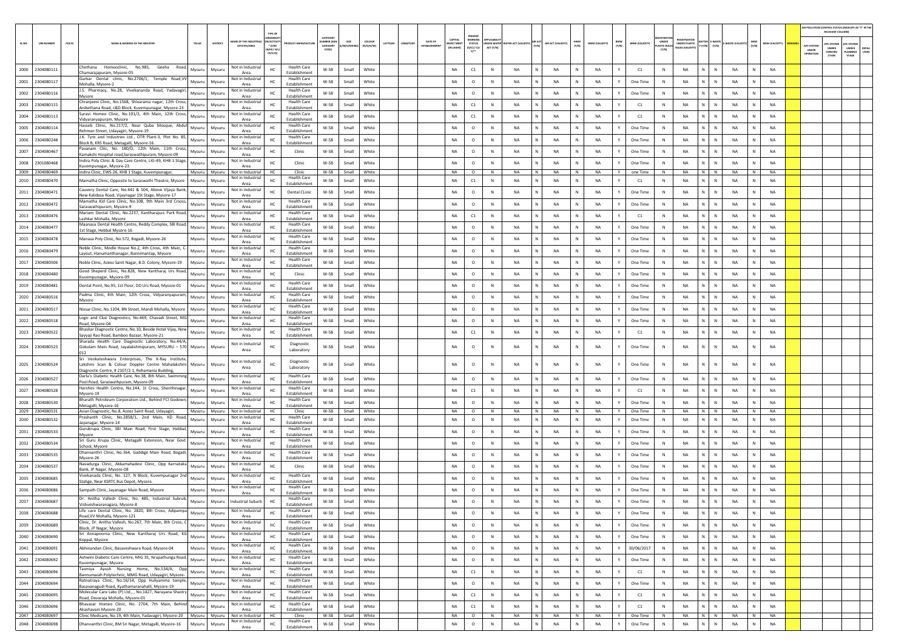|        |                               |        |                                                                                                                 |                  |                  |                                                        |                                     |                      |                |                |          |          |                    |                             |                           |             |                                        |                    |              |                                |                       |                             |                        |                    |                  |                    |              |                        |                                  | AIR POLLUTION CONTROL STATUS (INDICATE AS "Y" IN THE<br>RELEVANT COLUM |
|--------|-------------------------------|--------|-----------------------------------------------------------------------------------------------------------------|------------------|------------------|--------------------------------------------------------|-------------------------------------|----------------------|----------------|----------------|----------|----------|--------------------|-----------------------------|---------------------------|-------------|----------------------------------------|--------------------|--------------|--------------------------------|-----------------------|-----------------------------|------------------------|--------------------|------------------|--------------------|--------------|------------------------|----------------------------------|------------------------------------------------------------------------|
| SL.NO. | <b>UIN NUMBER</b>             | PCB ID | NAME & ADDRESS OF THE INDUSTR                                                                                   | TALUK            | DISTRICT         | TYPE OF<br>AME OF THE INDU<br>VACTIV                   | <b>DUCT MANUFACTUI</b>              | CATEGORY<br>MBER (XG |                | coLour         | LATITUDE | ONGITUDE | DATE OF            | CAPITA<br><b>IVEST MENT</b> | PRESENT<br><b>STATUS</b>  |             | UNDER WATER WATER ACT (VALIDITY) (Y/N) | AIR ACT (VALIDITY) |              | BMW<br>(Y/N)<br>HWM (VALIDITY) | <b>BMW (VALIDITY)</b> | UNDER                       | UNDER PLASTIC          | <b>TTER E-WAST</b> |                  | E-WASTE (VALIDITY) | MSW          | MSW (VALIDITY)         |                                  | C SYSTEM<br><b>PC SYSTE</b>                                            |
|        |                               |        |                                                                                                                 |                  |                  | $*$ (1/M/<br><b>ESTATES/AREA</b><br>B/HC/ H/<br>CE/C/O |                                     | CATEGORY<br>CODE)    | <b>M/S/MIC</b> | 8/0/6/W        |          |          | <b>ESTABLISHME</b> | IN LAKHSI                   | 10/01/02/<br>$v^{\ldots}$ | ACT (Y/N)   |                                        |                    | (N/N)        |                                |                       | <b>LASTIC RULE</b><br>(Y/N) | <b>RULES (VALIDIT)</b> | Y (Y/N)            | (Y/N)            |                    | (Y/N)        |                        | APC SYSTER<br>UNDER<br>OPERATION | UNDER<br>UNDER<br>DEFAL<br>LTERS<br>CONSTRU<br>PLANNING                |
|        |                               |        |                                                                                                                 |                  |                  |                                                        |                                     |                      |                |                |          |          |                    |                             |                           |             |                                        |                    |              |                                |                       |                             |                        |                    |                  |                    |              |                        |                                  | crion<br>STAGE                                                         |
|        | 2000 2304080111               |        | hethana Homeoclinic, No.985, Geeha Road,<br>Chamarajapuram, Mysore-05                                           | Mysuru           | Mysuru           | Not in Industria<br>HC.<br>Area                        | <b>Health Care</b><br>Establishment | W-58                 | Small          | White          |          |          |                    | NA                          | C1                        | N           | <b>NA</b>                              | NA                 | N            | <b>NA</b>                      | C1                    | N                           | NA                     | N                  | N                | <b>NA</b>          | N            | <b>NA</b>              |                                  |                                                                        |
| 2001   | 2304080117                    |        | Surkar Dental clinic, No.2706/1, Temple Road,VV<br>Mohalla, Mysore-2                                            | Mysuru           | Mysuru           | Not in Industria<br>HC.<br>Area                        | <b>Health Care</b><br>Establishment | W-58                 | Small          | White          |          |          |                    | <b>NA</b>                   | $\circ$                   | N           | <b>NA</b>                              | <b>NA</b>          | N            | <b>NA</b>                      | One Time              | N                           | NA                     | N                  | $\mathbb N$      | <b>NA</b>          | N            | NA                     |                                  |                                                                        |
| 2002   | 2304080116                    |        | J.S. Pharmacy, No.28, Vivekananda Road, Yadavagiri<br>Mysore                                                    | Mysuru           | Mysuru           | Not in Industria<br>нc<br>Area                         | <b>Health Care</b><br>Establishment | W-58                 | Small          | White          |          |          |                    | NA                          | $\circ$                   | $\mathbb N$ | <b>NA</b><br>N                         | NA                 | N            | <b>NA</b><br>Y                 | One Time              | N                           | <b>NA</b>              | N                  | $\,$ N           | NA                 | N            | NA                     |                                  |                                                                        |
| 2003   | 2304080115                    |        | Chranjeevi Clinic, No.1568, Shivarama nagar, 12th Cross,<br>Anikethana Road, c&D Block, Kuvempunagar, Mysore-23 | Mysuru           | Mysuru           | Not in Industria<br>HC<br>Area                         | <b>Health Care</b><br>Establishmen  | $W-58$               | Small          | White          |          |          |                    | <b>NA</b>                   | C1                        | N           | <b>NA</b>                              | NA                 |              | <b>NA</b>                      | C1                    | $\mathbb N$                 | NA                     |                    | $\mathbb{N}$     | <b>NA</b>          | $\mathbb{N}$ | <b>NA</b>              |                                  |                                                                        |
| 2004   | 2304080113                    |        | Suravi Homeo Clinic, No.101/2, 4th Main, 12th Cross,<br>Vidyaranyapuram, Mysore                                 | Mysuri           | Mysuri           | Not in Industria<br>HC<br>Area                         | <b>Health Care</b><br>Establishment | W-58                 | Small          | White          |          |          |                    | <b>NA</b>                   | C1                        | $\mathbb N$ | <b>NA</b>                              | NA                 | N            | <b>NA</b>                      | C1                    | $\mathbb N$                 | <b>NA</b>              | $\mathbb{N}$       | $\mathbb{N}$     | <b>NA</b>          | N            | <b>NA</b>              |                                  |                                                                        |
| 2005   | 2304080114                    |        | Hasseb Clinic, No.217/2, Near Quba Mosque, Abdul<br>kehman Street, Udayagiri, Mysore-19                         | Mysuru           | Mysuru           | Not in Industria<br>HC<br>Area                         | <b>Health Care</b><br>Establishment | W-58                 | Small          | White          |          |          |                    | NA                          | $\circ$                   | N           | <b>NA</b><br>Ν                         | NA                 | N            | <b>NA</b>                      | One Time              | N                           | NA                     |                    | $\mathbb{N}$     | <b>NA</b>          | N            | <b>NA</b>              |                                  |                                                                        |
| 2006   | 2304080248                    |        | .K. Tyre and Industries Ltd., OTR Plant-3, Plot No. 85,<br>Block B, KRS Road, Metagalli, Mysore-16.             | Mysuru           | Mysuri           | Not in Industria<br>HC<br>Area                         | <b>Health Care</b><br>Establishmen  | W-58                 | Small          | White          |          |          |                    | NA                          | $\circ$                   | N           | <b>NA</b>                              | <b>NA</b>          |              | NA                             | One Time              | N                           | NA                     |                    | N                | NA                 | N            | NA                     |                                  |                                                                        |
| 2007   | 2304080467                    |        | Pavanam Cliic, No. 180/D, 12th Main, 11th Cross,<br>Kamakshi Hospital road,Saraswathipuram, Mysore-09           | Mysuru           | Mysuru           | Not in Industria<br>HC<br>Area                         | Clinic                              | W-58                 | Small          | White          |          |          |                    | NA                          | $\circ$                   | $\mathbb N$ | NA<br>N                                | NA                 | N            | <b>NA</b>                      | One Time              | N                           | NA                     | N                  | $\mathbb N$      | NA                 | N            | NA                     |                                  |                                                                        |
|        | 2008 2301080468               |        | Indira Poly Clinic & Day Care Centre, LIG-49, KHB 1 Stage<br>uvempunagar, Mysore-23                             | Mysuru           | Mysuru           | Not in Industria<br>HC<br>Area                         | Clinic                              | $W-58$               | Small          | White          |          |          |                    | <b>NA</b>                   | $\circ$                   | $\mathbb N$ | <b>NA</b>                              | NA                 |              | <b>NA</b>                      | One Time              |                             | <b>NA</b>              |                    | N                | <b>NA</b>          |              | <b>NA</b>              |                                  |                                                                        |
|        | 2009 2304080469               |        | Indira Clinic, EWS-26, KHB 1 Stage, Kuvempunagar,                                                               | Mysuru           | Mysuru           | Not in Industrial<br>HC<br>Not in Industria            | Clinic<br><b>Health Care</b>        | W-58                 | Small          | White          |          |          |                    | <b>NA</b>                   | $\circ$                   | N           | NA<br>N                                | NA                 | N            | <b>NA</b><br>Y                 | one Time              | N                           | NA                     | N                  | N                | NA                 | N            | <b>NA</b>              |                                  |                                                                        |
| 2010   | 2304080470                    |        | Mamatha Clinic, Opposite to Saraswathi Theatre, Mysore<br>Cauvery Dental Care, No.441 & 504, Above Vijaya Bank, | Mysuri           | Mysur            | нc<br>Area<br>Not in Industria                         | Establishment                       | W-58                 | Small          | White          |          |          |                    | NA                          | C1                        | N           | NA<br>N                                | NA                 | N            | NA                             | C1                    | N                           | <b>NA</b>              | N                  | $\mathbb N$      | <b>NA</b>          | N            | NA                     |                                  |                                                                        |
| 2011   | 2304080471                    |        | New Kalidasa Road, Vijaynagar 1St Stage, Mysore-17                                                              | Mysuru           | Mysuru           | HC<br>Area                                             | <b>Dental CLinic</b>                | $W-58$               | Small          | White          |          |          |                    | <b>NA</b>                   | $\circ$                   | N           | <b>NA</b>                              | NA                 |              | <b>NA</b>                      | One Time              | $\mathbb{N}$                | <b>NA</b>              |                    | $\mathbb N$      | <b>NA</b>          | N            | NA                     |                                  |                                                                        |
| 2012   | 2304080472                    |        | Mamatha Kid Care Clinic, No.108, 9th Main 3rd Crsoss,<br>Saraswathipuram, Mysore-9                              | Mysuru           | Mysuru           | Not in Industria<br>HC<br>Area                         | <b>Health Care</b><br>Establishment | W-58                 | Small          | White          |          |          |                    | <b>NA</b>                   | $\circ$                   | N           | <b>NA</b>                              | <b>NA</b>          |              | <b>NA</b>                      | One Time              | N                           | NA                     | $\mathbb N$        | $\mathbb{N}$     | <b>NA</b>          | N            | <b>NA</b>              |                                  |                                                                        |
| 2013   | 2304080476                    |        | Mariam Dental Clinic, No.2237, Kantharajurs Park Road,<br>Lashkar Mohalla, Mysore                               | Mysuru           | Mysuru           | Not in Industrial<br>HC<br>Area                        | <b>Health Care</b><br>Establishment | W-58                 | Small          | White          |          |          |                    | <b>NA</b>                   | C1                        | N           | <b>NA</b>                              | <b>NA</b>          |              | <b>NA</b>                      | C1                    | N                           | NA                     |                    | N                | <b>NA</b>          | N            | NA                     |                                  |                                                                        |
| 2014   | 2304080477                    |        | Aaanasa Dental Health Centre, Reddy Complex, SBI Road,<br>st Stage, Hebbal Mysore-16                            | Mysuru           | Mysuru           | Not in Industria<br>HC<br>Area                         | <b>Health Care</b><br>Establishment | W-58                 | Small          | White          |          |          |                    | <b>NA</b>                   | $\circ$                   | N           | <b>NA</b>                              | <b>NA</b>          | N            | NA                             | One Time              | N                           | <b>NA</b>              |                    | N                | NA                 | N            | NA                     |                                  |                                                                        |
| 2015   | 2304080478                    |        | Manasa Poly Clinic, No.572, Bogadi, Mysore-26                                                                   | Mysuru           | Mysuru           | Not in Industria<br>нc<br>Area                         | <b>Health Care</b><br>Establishment | W-58                 | Small          | White          |          |          |                    | NA                          | $\circ$                   | $\mathbb N$ | <b>NA</b><br>N                         | NA                 | N            | <b>NA</b>                      | One Time              | N                           | NA                     | N                  | $\mathbb N$      | <b>NA</b>          | N            | NA                     |                                  |                                                                        |
|        | 2016 2304080479               |        | Noble Clinic. Modle House No.2. 4th Cross. 4th Main. C-<br>Layout, Hanumanthanagar, Bannimantap, Mysore         | Mysuru           | Mysuru           | Not in Industrial<br>HC<br>Area                        | <b>Health Care</b><br>Establishmen  | W-58                 | Small          | White          |          |          |                    | NA                          | $\circ$                   | N           | NA                                     | NA                 |              | <b>NA</b>                      | One Time              | $\mathbb N$                 | <b>NA</b>              |                    | $\mathbb N$      | <b>NA</b>          | N            | NA                     |                                  |                                                                        |
| 2017   | 2304080506                    |        | Noble Clinic, Azeez Saint Nagar, B.D. Colony, Mysore-19                                                         | Mysuru           | Mysuru           | Not in Industria<br>HC<br>Area                         | <b>Health Care</b><br>Establishment | W-58                 | Small          | White          |          |          |                    | NA                          | $\circ$                   | N           | N<br><b>NA</b>                         | <b>NA</b>          | N            | <b>NA</b>                      | One Time              | $\mathbb{N}$                | <b>NA</b>              | N                  | $\,$ N $\,$      | <b>NA</b>          | N            | <b>NA</b>              |                                  |                                                                        |
|        | 2018 2304080480               |        | Good Sheperd Clinic, No.828, New Kantharaj Urs Road,<br>Cuvempunagar, Mysore-09                                 | Mysuru           | Mysuru           | Not in Industria<br>HC.<br>Area                        | Clinic                              | W-58                 | Small          | White          |          |          |                    | <b>NA</b>                   | $\circ$                   | N           | <b>NA</b><br>N.                        | <b>NA</b>          | N            | <b>NA</b>                      | One Time              | <b>N</b>                    | NA                     |                    | N                | <b>NA</b>          | N            | <b>NA</b>              |                                  |                                                                        |
| 2019   | 2304080481                    |        | 0ental Point, No.95, 1st Floor, DD Urs Road, Mysore-01                                                          | Mysuru           | Mysuri           | Not in Industria<br>HC<br>Area                         | <b>Health Care</b><br>Establishment | W-58                 | Small          | White          |          |          |                    | <b>NA</b>                   | $\circ$                   | N           | <b>NA</b>                              | <b>NA</b>          | N            | NA                             | One Time              | N                           | <b>NA</b>              | N                  | $\mathbb N$      | NA                 | N            | NA                     |                                  |                                                                        |
| 2020   | 2304080516                    |        | Padma Clinic, 4th Main, 12th Cross, Vidyaranyapuram<br>Mysore                                                   | Mysuri           | Mysuri           | Not in Industrial<br>нc<br>Area                        | <b>Health Care</b><br>Establishment | W-58                 | Small          | White          |          |          |                    | NA                          | $\circ$                   | $\mathbb N$ | NA<br>N                                | NA                 | N            | <b>NA</b>                      | One Time              | N                           | NA                     | N                  | $\mathbb N$      | <b>NA</b>          | N            | NA                     |                                  |                                                                        |
| 2021   | 2304080517                    |        | Nissar Clinic, No.1204, BN Street, Mandi Mohalla, Mysore                                                        | Mysuru           | Mysuru           | Not in Industrial<br>HC<br>Area                        | <b>Health Care</b><br>Establishment | $W-58$               | Small          | White          |          |          |                    | <b>NA</b>                   | $\circ$                   | N           | <b>NA</b>                              | NA                 |              | <b>NA</b>                      | One Time              | $\mathbb N$                 | <b>NA</b>              |                    | $\mathbb{N}$     | <b>NA</b>          | N            | <b>NA</b>              |                                  |                                                                        |
| 2022   | 2304080518                    |        | Logic and Clue Diagnostics, No.469, Chavadi Street, MG<br>Road, Mysore-04                                       | Mysuru           | Mysuri           | Not in Industria<br>HC.<br>Area                        | <b>Health Care</b><br>Establishment | W-58                 | Small          | White          |          |          |                    | <b>NA</b>                   | $\circ$                   | N           | NA                                     | <b>NA</b>          |              | <b>NA</b>                      | One Time              | N                           | NA                     | $\mathbb N$        | $\mathbb{N}$     | <b>NA</b>          | $\mathsf{N}$ | <b>NA</b>              |                                  |                                                                        |
| 2023   | 2304080522                    |        | Bhaskar Diagnostic Centre, No.10, Beside Hotel Vijay, Nev<br>Sayyaji Rao Road, Bamboo Bazaar, Mysore-21         | Mysuru           | Mysuru           | Not in Industria<br>HC<br>Area                         | <b>Health Care</b><br>Establishment | W-58                 | Small          | White          |          |          |                    | NA                          | C1                        | N           | <b>NA</b>                              | <b>NA</b>          |              | <b>NA</b>                      | C1                    | $\mathbb N$                 | NA                     |                    | N                | <b>NA</b>          | N            | NA                     |                                  |                                                                        |
|        | 2024 2304080523               |        | Sharada Health Care Diagnostic Laboratory, No.44/A<br>Gokulam Main Road, Jayalakshmipuram, MYSURU - 570 Mysuru  |                  | Mysuru           | Not in Industria<br>HC                                 | Diagnostic                          | W-58                 | Small          | White          |          |          |                    | <b>NA</b>                   | $\circ$                   | N           | <b>NA</b>                              | <b>NA</b>          | N            | <b>NA</b>                      | One Time              | N                           | NA                     |                    | $\mathbb{N}$     | <b>NA</b>          |              | <b>NA</b>              |                                  |                                                                        |
|        |                               |        | Sri Venkateshwara Enterprises, The X-Ray Institute                                                              |                  |                  | Area<br>Not in Industria                               | Laboratory                          |                      |                |                |          |          |                    |                             |                           |             |                                        |                    |              |                                |                       |                             |                        |                    |                  |                    |              |                        |                                  |                                                                        |
|        | 2025 2304080524               |        | Lakshmi Scan & Colour Doppler Centre Mahalakshmi Mysuru<br>Diagnostic Centre, # 2107/2-1, Rehamania Building,   |                  | Mysuru           | HC.<br>Area                                            | Diagnostic<br>Laboratory            | W-58                 | Small          | White          |          |          |                    | <b>NA</b>                   | $\circ$                   | N           | <b>NA</b>                              | <b>NA</b>          | N            | <b>NA</b>                      | One Time              | N                           | <b>NA</b>              |                    | N                | <b>NA</b>          | N            | <b>NA</b>              |                                  |                                                                        |
|        | 2026 2304080527               |        | Darla's Diabetic Health Care, No.38, 8th Main, Swimmir<br>Pool Road, Saraswathpuram, Mysore-09                  | Mysuru           | Mysuru           | Not in Industria<br>HC.<br>Area                        | <b>Health Care</b><br>Establishment | W-58                 | Small          | White          |          |          |                    | NA                          | $\circ$                   | N           | N<br><b>NA</b>                         | <b>NA</b>          | N            | <b>NA</b>                      | One Time              | N                           | <b>NA</b>              | $\mathbb{N}$       | $\,$ N $\,$      | <b>NA</b>          | ${\sf N}$    | <b>NA</b>              |                                  |                                                                        |
|        | 2027 2304080528               |        | Harshini Health Centre, No.144, 1t Cross, Shanthinagar<br>Mysore-19                                             | Mysuru           | Mysuru           | Not in Industria<br>Area                               | <b>Health Care</b><br>Establishment | W-58                 | Small          | White          |          |          |                    | <b>NA</b>                   | C1                        | N           | <b>NA</b><br>N                         | NA                 | N            | <b>NA</b>                      | C1                    | N                           | NA                     |                    | N                | <b>NA</b>          | N            | <b>NA</b>              |                                  |                                                                        |
| 2028   | 2304080530                    |        | Bharath Petroleum Corporation Ltd., Behind FCI Godown<br>Metagalli, Mysore-16                                   | Mysuru           | Mysuru           | Not in Industria<br>HC<br>Area                         | <b>Health Care</b><br>Establishment | W-58                 | Small          | White          |          |          |                    | <b>NA</b>                   | $\circ$                   | $\mathbb N$ | <b>NA</b>                              | <b>NA</b>          | N            | NA                             | One Time              | N                           | <b>NA</b>              | N                  | N                | NA                 | N            | NA                     |                                  |                                                                        |
| 2030   | 2029 2304080531<br>2304080532 |        | Asian Diagnostic, No.8, Azeez Saint Road, Udayagiri,<br>Prashanth Clinic, No.2858/1, 2nd Main, KD Road,         | Mysuru<br>Mysuru | Mysuru<br>Mysuru | Not in Industria<br>HC.<br>Not in Industria<br>нc      | Clinic<br><b>Health Care</b>        | W-58<br>W-58         | Small<br>Small | White<br>White |          |          |                    | <b>NA</b><br><b>NA</b>      | $\circ$<br>$\circ$        | N<br>N      | <b>NA</b><br>N<br><b>NA</b>            | NA<br><b>NA</b>    | N            | NA<br>Y<br><b>NA</b>           | One Time<br>One Time  | N<br>$\mathbb N$            | <b>NA</b><br><b>NA</b> | $\mathbb{N}$       | N<br>N           | NA<br><b>NA</b>    | N<br>N       | <b>NA</b><br><b>NA</b> |                                  |                                                                        |
|        | 2304080533                    |        | Jayanagar, Mysore-14<br>Gurukrupa Clinic, SBI Main Road, First Stage, Hebbal                                    |                  |                  | Area<br>Not in Industria<br>HC                         | Establishment<br><b>Health Care</b> |                      | Small          | White          |          |          |                    | NA                          |                           | $\mathbb N$ |                                        |                    | N            |                                |                       | N                           |                        |                    | N                |                    | N            |                        |                                  |                                                                        |
| 2031   |                               |        | Mysore<br>Sri Guru Krupa Clinic, Metagalli Extension, Near Govt                                                 | Mysuru           | Mysuru           | Area<br>Not in Industria                               | Establishment<br><b>Health Care</b> | W-58                 |                |                |          |          |                    |                             | $\circ$                   |             | NA<br>N                                | NA                 | $\mathsf{N}$ | NA<br>Y                        | One Time              |                             | NA                     | $\mathbb{N}$       |                  | NA                 |              | NA                     |                                  |                                                                        |
| 2032   | 2304080534                    |        | School, Mysore<br>Dhanvanthri Clinic, No.364, Gaddige Main Road, Bogadi                                         | Mysuri           | Mysuru           | Area<br>Not in Industria                               | Establishmen<br><b>Health Care</b>  | W-58                 | Small          | White          |          |          |                    | NA                          | $\circ$                   | $\mathbb N$ | NA                                     | NA                 |              | <b>NA</b>                      | One Time              | N                           | NA                     |                    | N                | NA                 | N            | NA                     |                                  |                                                                        |
|        | 2033 2304080535               |        | Mysore-26<br>Navadurga Clinic, Akkamahadevi Clinic, Opp Karnataka                                               | Mysuri           | Mysuru           | HC<br>Area<br>Not in Industri                          | Establishment                       | W-58                 | Small          | White          |          |          |                    | <b>NA</b>                   | $\circ$                   | $\mathbb N$ | <b>NA</b>                              | NA                 |              | <b>NA</b>                      | One Time              | N                           | NA                     |                    | $\mathbb{N}$     | <b>NA</b>          | N            | <b>NA</b>              |                                  |                                                                        |
| 2034   | 2304080537                    |        | Bank, JP Nagar, Mysore-08<br>Vivekanada Clinic, No. 127, N Block, Kuvempunagar 2nd                              | Mysuri           | Mysuri           | HC<br>Area<br>Not in Industria                         | Clinic<br><b>Health Care</b>        | W-58                 | Small          | White          |          |          |                    | <b>NA</b>                   | $\circ$                   | N           | <b>NA</b>                              | <b>NA</b>          | N            | <b>NA</b>                      | One Time              | $\mathbb{N}$                | <b>NA</b>              | $\mathbb{N}$       | $\mathbb{N}$     | <b>NA</b>          | N            | <b>NA</b>              |                                  |                                                                        |
| 2035   | 2304080685                    |        | Stahge, Near KSRTC Bus Depot, Mysore.                                                                           | Mysuru           | Mysuru           | HC<br>Area<br>Not in Industria                         | Establishment<br><b>Health Care</b> | W-58                 | Small          | White          |          |          |                    | <b>NA</b>                   | $\circ$                   | N           | <b>NA</b><br>N                         | NA                 | N            | NA                             | One Time              | N                           | NA                     |                    | N                | NA                 | N            | NA                     |                                  |                                                                        |
| 2036   | 2304080686                    |        | Sampath Clinic, Jayanagar Main Road, Mysore<br>Dr. Anitha Vallesh Clinic, No. 485, Industrial Subrub.           | Mysuru           | Mysuri           | HC<br>Area                                             | Establishment<br><b>Health Care</b> | W-58                 | Small          | White          |          |          |                    | NA                          | $\circ$                   | $\mathbb N$ | NA                                     | <b>NA</b>          |              | NA                             | One Time              | N                           | NA                     |                    | N                | <b>NA</b>          | $\mathbf N$  | NA                     |                                  |                                                                        |
|        | 2037 2304080687               |        | Vishveshwaranagara, Mysore-8<br>Life care Dental Clinic, No. 2820, 8th Cross, Adipamp                           | Mysuru           | Mysuru           | <b>Industrial Suburb</b><br>HC<br>Not in Industrial    | Establishment<br><b>Health Care</b> | W-58                 | Small          | White          |          |          |                    | NA                          | $\circ$                   | N           | NA                                     | NA                 | N            | NA                             | One Time              | N                           | <b>NA</b>              | N                  | $\mathbb N$      | <b>NA</b>          | N            | NA                     |                                  |                                                                        |
| 2038   | 2304080688                    |        | Road, VV Mohalla, Mysore-121<br>Clinic, Dr. Anitha Vallesh, No.267, 7th Main, 8th Cross, C                      | Mysuru           | Mysuru           | HC<br>Area<br>Not in Industrial                        | Establishment<br><b>Health Care</b> | W-58                 | Small          | White          |          |          |                    | NA                          | $\circ$                   | $\mathbb N$ | <b>NA</b>                              | NA                 |              | NA                             | One Time              | N                           | NA                     |                    | $\mathbb N$      | <b>NA</b>          | ${\sf N}$    | NA                     |                                  |                                                                        |
| 2039   | 2304080689                    |        | Block, JP Nagar, Mysore<br>Sri Annapoorna Clinic, New Kantharaj Urs Road, KG                                    | Mysuru           | Mysuru           | HC<br>Area<br>Not in Industrial                        | Establishment<br><b>Health Care</b> | W-58                 | Small          | White          |          |          |                    | NA                          | $\circ$                   | N           | $\mathbf{N}$<br><b>NA</b>              | NA                 | $\mathbb{N}$ | <b>NA</b><br>$\mathbf{Y}$      | One Time              | N                           | <b>NA</b>              | $\mathbf{N}$       | $\,$ N $\,$      | <b>NA</b>          | N            | <b>NA</b>              |                                  |                                                                        |
| 2040   | 2304080690                    |        | Koppal, Mysore                                                                                                  | Mysuru           | Mysuru           | HC<br>Area<br>Not in Industrial                        | Establishment<br><b>Health Care</b> | W-58                 | Small          | White          |          |          |                    | NA                          | $\circ$                   | N           | <b>NA</b><br>N                         | NA                 | N            | <b>NA</b><br>Y                 | One Time              | N                           | <b>NA</b>              | N                  | $\mathbb N$      | <b>NA</b>          | N            | <b>NA</b>              |                                  |                                                                        |
| 2041   | 2304080691                    |        | Abhinandan Clinic, Basaveshwara Road, Mysore-04<br>Ashwini Diabetic Care Centre, MIG 35, Nrupathunga Road,      | Mysuru           | Mysuru           | HC<br>Area<br>Not in Industrial                        | Establishment<br><b>Health Care</b> | W-58                 | Small          | White          |          |          |                    | NA                          | $\circ$                   | $\mathbb N$ | N<br><b>NA</b>                         | NA                 | N            | NA<br>Y                        | 30/06/2017            | N                           | NA                     | N                  | $\mathsf N$      | NA                 | N            | NA                     |                                  |                                                                        |
| 2042   | 2304080692                    |        | Kuvempunagar, Mysore<br>Tasmiya Ayush Nursing Home, No.534/A, Opp                                               | Mysuru           | Mysuru           | HC<br>Area<br>Not in Industrial                        | Establishment<br><b>Health Care</b> | W-58                 | Small          | White          |          |          |                    | NA                          | $\circ$                   | $\,$ N      | NA<br>N                                | NA                 | N            | <b>NA</b><br>Y                 | One Time              | N                           | <b>NA</b>              | $\mathbb{N}$       | $\mathbb N$      | <b>NA</b>          | N            | NA                     |                                  |                                                                        |
|        | 2043 2304080696               |        | Bannumaiah Polytechnic, MMG Road, Udayagiri, Mysore-<br>Ratnatraya Clinic, No.16/14, Opp Huliyamma temple       | Mysuru           | Mysuru           | HC<br>Area<br>Not in Industria                         | Establishment<br><b>Health Care</b> | W-58                 | Small          | White          |          |          |                    | NA                          | C1                        | $\,$ N      | <b>NA</b>                              | NA                 | $\mathsf{N}$ | <b>NA</b>                      | C1                    | N                           | NA                     |                    | $\mathbb N$      | <b>NA</b>          | ${\sf N}$    | NA                     |                                  |                                                                        |
| 2044   | 2304080694                    |        | Basavanagudi Road, Kyathamaranahalli, Mysore-19<br>Molecular Care Labs (P) Ltd., , No.1427, Narayana Shastry    | Mysuru           | Mysuru           | HC<br>Area<br>Not in Industrial                        | Establishment<br><b>Health Care</b> | W-58                 | Small          | White          |          |          |                    | NA                          | $\circ$                   | N           | $\mathsf{N}$<br><b>NA</b>              | NA                 | N            | NA<br>$\mathbf{v}$             | One Time              | N                           | <b>NA</b>              | $\mathsf{N}$       | $\,$ N $\,$      | <b>NA</b>          | N            | <b>NA</b>              |                                  |                                                                        |
| 2045   | 2304080695                    |        | Road, Devaraia Mohalla, Mysore-01<br>Bhavasar Homeo Clinic, No. 2704, 7th Main, Behind                          | Mysuru           | Mysuru           | HC<br>Area<br>Not in Industrial                        | Establishment<br><b>Health Care</b> | W-58                 | Small          | White          |          |          |                    | NA                          | $\mathsf{C1}$             | N           | <b>NA</b><br>N                         | NA                 | $\mathbb N$  | <b>NA</b><br>Y                 | C1                    | N                           | <b>NA</b>              | N                  | $\,$ N           | <b>NA</b>          | N            | <b>NA</b>              |                                  |                                                                        |
| 2046   | 2303080696<br>2047 2304080697 |        | Akashavani Mysore-20<br>Clinic Medicare, No.19, 4th Main, Yadavagiri, Mysore-20   Mysuru                        | Mysuru           | Mysuru           | HC<br>Area<br>Mysuru Not in Industrial<br>HC           | Establishment<br>Clinic             | W-58<br>W-58         | Small<br>Small | White<br>White |          |          |                    | NA<br><b>NA</b>             | C1<br>$\circ$             | N<br>N      | <b>NA</b><br>N<br><b>NA</b><br>N       | NA<br>NA           | N<br>N       | NA<br>$\mathbf{v}$<br>NA<br>Y  | C1<br>One Time        | N<br>N                      | NA<br><b>NA</b>        | N<br>N             | $\mathbb N$<br>N | NA<br><b>NA</b>    | N<br>N       | NA<br>NA               |                                  |                                                                        |
|        | 2048 2304080698               |        | Dhanvanthri Clinic, BM Sri Nagar, Metagalli, Mysore-16                                                          | Mysuru           | Mysuru           | Not in Industrial<br>HC<br>Area                        | <b>Health Care</b><br>Establishment | W-58                 | Small          | White          |          |          |                    | NA                          | $\circ$                   | N           | <b>NA</b>                              | NA                 | $\mathbb N$  | NA                             | One Time              | N                           | <b>NA</b>              |                    | $\mathbb{N}$     | <b>NA</b>          | N            | <b>NA</b>              |                                  |                                                                        |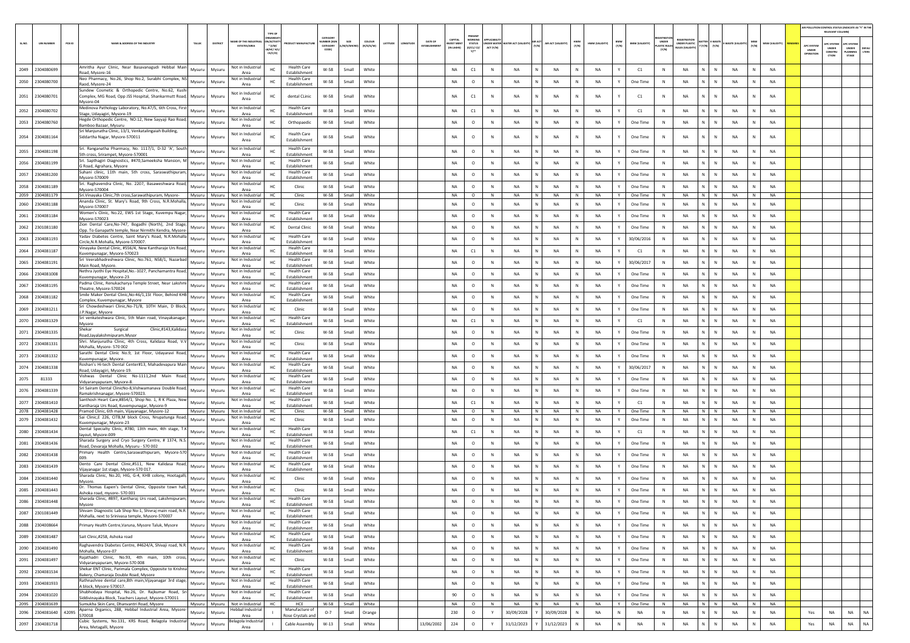|        |                   |                                                                                                                 |                  |                  |                                                    |                                                             |                                       |                                         |                |                     |          |               |                               |                                            |                                                        |                          |                                      |                          |              |                |              |                       |                                      |                                                        |                                 |                |              |                |                                | IR POLLUTION CONTROL STATUS (INDICATE AS "Y" IN THE<br>RELEVANT COLUMN) |                                          |                |
|--------|-------------------|-----------------------------------------------------------------------------------------------------------------|------------------|------------------|----------------------------------------------------|-------------------------------------------------------------|---------------------------------------|-----------------------------------------|----------------|---------------------|----------|---------------|-------------------------------|--------------------------------------------|--------------------------------------------------------|--------------------------|--------------------------------------|--------------------------|--------------|----------------|--------------|-----------------------|--------------------------------------|--------------------------------------------------------|---------------------------------|----------------|--------------|----------------|--------------------------------|-------------------------------------------------------------------------|------------------------------------------|----------------|
| SL.NO. | <b>UIN NUMBER</b> | PCB ID<br>NAME & ADDRESS OF THE INDUSTR'                                                                        | TALUK            | DISTRICT         | <b><i>RE OF THE INC</i></b><br><b>ESTATES/AREA</b> | GANISA<br><b>ACTIV</b><br>$*(1/M)^*$<br>B/HC/ H/<br>CE/C/O) |                                       | CATEGOR<br>MBER (X<br>CATEGORY<br>CODE) | 1/S/MI         | coLour<br>(R/O/G/W) | LATITUDE | <b>WGITUD</b> | DATE OF<br><b>ESTABLISHMI</b> | CAPITAL<br><b>IVEST MENT</b><br>(IN LAKHS) | PRESENT<br><b>WORKIN</b><br><b>STATUS</b><br>(0/C1/C2/ | UNDER WATER<br>ACT (Y/N) | <b>IATER ACT (VALIDITY)</b><br>(Y/N) | <b>NR ACT (VALIDITY)</b> | HWM<br>(Y/N) | HWM (VALIDITY) | BMW<br>(Y/N) | <b>BMW (VALIDITY)</b> | UNDER<br><b>MASTIC RULE</b><br>(Y/N) | <b>FGISTRAT</b><br>UNDER PLASTIC<br><b>ULES IVALID</b> | BATTER E-WASTE<br>Y (Y/N) (Y/N) | E-WASTE (VALII | MSW<br>(Y/N) | MSW (VALIDITY) | APC SYSTE<br>UNDER<br>OPERATIO | <b>APC SYSTEM</b><br>UNDER<br>CONSTRU<br>CTION                          | APC SYSTEM<br>UNDER<br>PLANNING<br>STAGE | DEFAU<br>LTERS |
| 2049   | 2304080699        | Amritha Ayur Clinic, Near Basavanagudi Hebbal Main                                                              | Mysuru           | Mysuru           | Not in Industrial                                  | HC                                                          | <b>Health Care</b>                    | $W-58$                                  | Small          | White               |          |               |                               | <b>NA</b>                                  | C1                                                     | $\mathbb N$              | <b>NA</b>                            | <b>NA</b>                |              | <b>NA</b>      |              | C1                    | $\,$ N                               | <b>NA</b>                                              | $\mathbb{N}$                    | <b>NA</b>      | N            | NA             |                                |                                                                         |                                          |                |
|        |                   | load, Mysore-16<br>Neo Pharmacy, No.26, Shop No.2, Surabhi Complex, NS                                          |                  |                  | Area<br>Not in Industrial                          |                                                             | Establishment<br><b>Health Care</b>   |                                         |                |                     |          |               |                               |                                            |                                                        |                          | N                                    |                          |              |                |              |                       |                                      | $\mathbb{N}$                                           |                                 |                | N            |                |                                |                                                                         |                                          |                |
| 2050   | 2304080700        | Raod, Mysore-24<br>Sundew Cosmetic & Orthopedic Centre, No.62, Kush                                             | Mysuru           | Mysuri           | Area                                               | HC                                                          | Establishment                         | $W-58$                                  | Small          | White               |          |               |                               | NA                                         | $\circ$                                                | N                        | <b>NA</b>                            | <b>NA</b>                | $\mathbb{N}$ | <b>NA</b>      |              | One Time              | N                                    | NA                                                     | N                               | <b>NA</b>      |              | <b>NA</b>      |                                |                                                                         |                                          |                |
|        | 2051 2304080701   | Complex, MG Road, Opp JSS Hospital, Shankarmutt Road,<br>Mysore-04                                              | Mysuru           | Mysuri           | Not in Industrial<br>Area                          | HC                                                          | dental CLinic                         | W-58                                    | Small          | White               |          |               |                               | <b>NA</b>                                  | C1                                                     | N                        | <b>NA</b>                            | NA                       | N            | <b>NA</b>      |              | C1                    | N                                    | <b>NA</b><br>N                                         | $\mathbb N$                     | <b>NA</b>      | N            | <b>NA</b>      |                                |                                                                         |                                          |                |
| 2052   | 2304080702        | Medinova Pathology Laboratory, No.47/5, 6th Cross, First<br>Stage, Udayagiri, Mysore-19                         | Mysuru           | Mysur            | Not in Industria<br>Area                           | HC                                                          | <b>Health Care</b><br>Establishment   | W-58                                    | Small          | White               |          |               |                               | <b>NA</b>                                  | C1                                                     | N                        | N<br><b>NA</b>                       | NA                       | N            | <b>NA</b>      |              | C1                    | N                                    | $\mathbb{N}$<br>NA                                     | N                               | <b>NA</b>      | N            | <b>NA</b>      |                                |                                                                         |                                          |                |
|        | 2053 2304080760   | Hegde Orthopedic Centre, NO:12, New Sayyaji Rao Road,<br>3amboo Bazaar, Mysuru                                  | Mysuru           | Mysuru           | Not in Industria<br>Area                           | HC                                                          | Orthopaedic                           | W-58                                    | Small          | White               |          |               |                               | NA                                         | $\circ$                                                | N                        | NA<br>N                              | NA                       | N            | NA             |              | One Time              | N                                    | <b>NA</b><br>N                                         | N                               | NA             | N            | NA             |                                |                                                                         |                                          |                |
|        | 2054 2304081164   | Sri Manjunatha Clinic, 13/1, Venkatalingaiah Building,<br>Siddartha Nagar, Mysore-570011                        | Mysuru           | Mysuri           | Not in Industria<br>Area                           |                                                             | <b>Health Care</b><br>Establishment   | W-58                                    | Small          | White               |          |               |                               | <b>NA</b>                                  | $\circ$                                                | N                        | NA                                   | NA                       | N            | NA             |              | One Time              | N                                    | $\mathbb{N}$<br>NA                                     | N                               | <b>NA</b>      | N            | <b>NA</b>      |                                |                                                                         |                                          |                |
|        | 2055 2304081198   | Sri. Ranganatha Pharmacy, No. 1117/1, D-32 'A', South                                                           | Mysuru           | Mysuru           | Not in Industria<br>Area                           | HC                                                          | <b>Health Care</b><br>Establishment   | W-58                                    | Small          | White               |          |               |                               | NA                                         | $\circ$                                                | N                        | <b>NA</b><br>N                       | NA                       | N            | NA             |              | One Time              | N                                    | NA<br>N                                                | N                               | NA             | N            | NA             |                                |                                                                         |                                          |                |
| 2056   | 2304081199        | 5th cross, Srirampet, Mysore-570001<br>Sri. Sapthagiri Diagnostics, #470,Sameeksha Mansion, M                   | Mysuru           | Mysur            | Not in Industrial                                  | HC                                                          | <b>Health Care</b>                    | W-58                                    | Small          | White               |          |               |                               | NA                                         | $\circ$                                                | N                        | <b>NA</b>                            | NA                       |              | <b>NA</b>      |              | One Time              | N                                    | $\mathbb{N}$<br><b>NA</b>                              | ${\sf N}$                       | NA             | $\mathbb N$  | NA             |                                |                                                                         |                                          |                |
|        | 2057 2304081200   | S Road, Agrahara, Mysore<br>Suhani clinic, 11th main, 5th cross, Saraswathipuram,                               | Mysuru           | Mysuri           | Area<br>Not in Industria                           | HC                                                          | Establishment<br><b>Health Care</b>   | W-58                                    | Small          | White               |          |               |                               | <b>NA</b>                                  | $\circ$                                                | $\mathbb{N}$             | <b>NA</b>                            | NA                       | N            | <b>NA</b>      |              | One Time              | N                                    | <b>NA</b><br>N                                         | $\mathbb{N}$                    | <b>NA</b>      | N            | <b>NA</b>      |                                |                                                                         |                                          |                |
| 2058   | 2304081189        | Mysore-570009<br>Sri. Raghavendra Clinic, No. 2207, Basaweshwara Road,                                          | Mysuru           | Mysuru           | Area<br>Not in Industria                           | HC                                                          | Establishment<br>Clinic               | $W-58$                                  | Small          | White               |          |               |                               | <b>NA</b>                                  | $\circ$                                                | N                        | <b>NA</b>                            | NA                       |              | <b>NA</b>      |              | One Time              | $\,$ N                               | <b>NA</b>                                              | $\mathbb{N}$                    | NA             | N            | <b>NA</b>      |                                |                                                                         |                                          |                |
|        | 2059 2304081179   | Mysore-570004<br>Sri. Vinayaka Clinic, 7th cross, Sarawathipuram, Mysore-                                       | Mysuru           | Mysuru           | Area<br>Not in Industria                           | HC.                                                         | Clinic                                | W-58                                    | Small          | White               |          |               |                               | <b>NA</b>                                  | $\circ$                                                | N                        | NA<br>N                              | NA                       | N            | <b>NA</b>      | Y            | One Time              | N                                    | <b>NA</b><br>N                                         | $\mathbb N$                     | <b>NA</b>      | N            | <b>NA</b>      |                                |                                                                         |                                          |                |
| 2060   | 2304081188        | Ananda Clinic, St. Mary's Road, 9th Cross, N.R.Mohalla,<br>Mysore-570007                                        | Mysuru           | Mysur            | Not in Industria<br>Area                           |                                                             | Clinic                                | W-58                                    | Small          | White               |          |               |                               | NA                                         | $\circ$                                                | $\mathbb N$              | <b>NA</b><br>N                       | NA                       | $\mathbb{N}$ | <b>NA</b>      |              | One Time              | N                                    | <b>NA</b><br>$\mathbb{N}$                              | N                               | <b>NA</b>      | N            | <b>NA</b>      |                                |                                                                         |                                          |                |
| 2061   | 2304081184        | Women's Clinic, No.22, EWS 1st Stage, Kuvempu Nagar                                                             | Mysuru           | Mysuri           | Not in Industria                                   | HC                                                          | Health Care                           | W-58                                    | Small          | White               |          |               |                               | NA                                         | $\circ$                                                | N                        | NA                                   | <b>NA</b>                |              | <b>NA</b>      |              | One Time              | N                                    | <b>NA</b>                                              | N                               | <b>NA</b>      | N            | NA             |                                |                                                                         |                                          |                |
|        |                   | Mysore-570023<br>Zion Dental Care, No-747, Bogadhi (North), 2nd Stage,                                          |                  |                  | Area<br>Not in Industrial                          |                                                             | Establishment<br><b>Dental Clinic</b> |                                         |                | White               |          |               |                               | <b>NA</b>                                  |                                                        | N                        | <b>NA</b>                            |                          | N            | <b>NA</b>      |              |                       |                                      | $\mathbb{N}$<br><b>NA</b>                              | N                               | <b>NA</b>      | N            | <b>NA</b>      |                                |                                                                         |                                          |                |
| 2062   | 2301081180        | Opp. To Ganapathi temple, Near Nirmithi Kendra, Mysore<br>Yadav Diabetes Centre, Saint Mary's Road, N.R.Mohalla | Mysuru           | Mysuri           | Area<br>Not in Industria                           | HC                                                          | Health Care                           | W-58                                    | Small          |                     |          |               |                               |                                            | $\circ$                                                |                          |                                      | NA                       |              |                |              | One Time              | N                                    |                                                        |                                 |                |              |                |                                |                                                                         |                                          |                |
|        | 2063 2304081193   | Circle, N.R.Mohalla, Mysore-570007.                                                                             | Mysuru           | Mysuri           | Area                                               | HC                                                          | Establishment                         | W-58                                    | Small          | White               |          |               |                               | NA                                         | $\circ$                                                | N                        | <b>NA</b><br>N                       | NA                       | N            | NA             |              | 30/06/2016            | N                                    | NA<br>N                                                | N                               | <b>NA</b>      | N            | NA             |                                |                                                                         |                                          |                |
| 2064   | 2304081187        | Vinayaka Dental Clinic, #556/4, New Kantharaje Urs Road,<br>Cuvempunagar, Mysore-570023                         | Mysuru           | Mysuri           | Not in Industrial<br>Area                          |                                                             | <b>Health Care</b><br>Establishment   | W-58                                    | Small          | White               |          |               |                               | NA                                         | C1                                                     | N                        | <b>NA</b>                            | NA                       |              | <b>NA</b>      |              | C1                    | N                                    | NA                                                     | N                               | <b>NA</b>      | N            | NA             |                                |                                                                         |                                          |                |
| 2065   | 2304081191        | Sri Veerabhadreshwara Clinic, No.761, N58/1, Nazarbad<br>Main Road, Mysore.                                     | Mysuru           | Mysur            | Not in Industrial<br>Area                          |                                                             | <b>Health Care</b><br>Establishment   | W-58                                    | Small          | White               |          |               |                               | <b>NA</b>                                  | $\circ$                                                | $\mathbb N$              | <b>NA</b><br>N                       | NA                       |              | <b>NA</b>      |              | 30/06/2017            | N                                    | <b>NA</b><br>N                                         | $\mathbb{N}$                    | <b>NA</b>      | N            | <b>NA</b>      |                                |                                                                         |                                          |                |
| 2066   | 2304081008        | Nethra Jyothi Eye Hospital, No.-1027, Panchamantra Road,<br>Kuvempunagar, Mysore-23                             | Mysuru           | Mysur            | Not in Industria<br>Area                           |                                                             | Health Care<br>Establishment          | W-58                                    | Small          | White               |          |               |                               | <b>NA</b>                                  | $\circ$                                                |                          | <b>NA</b>                            | NA                       |              | <b>NA</b>      |              | One Time              |                                      | <b>NA</b>                                              | N                               | <b>NA</b>      |              | <b>NA</b>      |                                |                                                                         |                                          |                |
| 2067   | 2304081195        | Padma Clinic, Renukacharya Temple Street, Near Lakshm                                                           | Mysuru           | Mysuri           | Not in Industria                                   | HC.                                                         | <b>Health Care</b>                    | W-58                                    | Small          | White               |          |               |                               | <b>NA</b>                                  | $\circ$                                                | N                        | <b>NA</b>                            | NA                       | N            | <b>NA</b>      |              | One Time              | N                                    | $\mathbb{N}$<br><b>NA</b>                              | N                               | <b>NA</b>      | N            | <b>NA</b>      |                                |                                                                         |                                          |                |
| 2068   | 2304081182        | Theatre, Mysore-570024<br>Smile Maker Dental Clinic, No-46/1, 1St Floor, Behind KHB                             | Mysuru           | Mysuru           | Area<br>Not in Industria                           | HC                                                          | Establishment<br><b>Health Care</b>   | W-58                                    | Small          | White               |          |               |                               | <b>NA</b>                                  | $\circ$                                                | $\mathbb N$              | <b>NA</b>                            | NA                       | N            | <b>NA</b>      |              | One Time              | N                                    | <b>NA</b><br>$\mathbf{N}$                              | $\mathbb N$                     | <b>NA</b>      | N            | <b>NA</b>      |                                |                                                                         |                                          |                |
| 2069   | 2304081211        | Complex, Kuvempunagar, Mysore<br>Sri Chowdeshwari Clinic, No-71/B, 10TH Main, D Block,                          | Mysuru           |                  | Area<br>Not in Industrial                          |                                                             | Establishment<br>Clinic               | W-58                                    | Small          | White               |          |               |                               | NA                                         | $\circ$                                                | N                        | <b>NA</b>                            | NA                       |              | NA             |              |                       | N                                    | <b>NA</b>                                              | N                               | <b>NA</b>      | N            | NA             |                                |                                                                         |                                          |                |
|        |                   | .P.Nagar, Mysore<br>Sri venkateshwara Clinic, 5th Main road, Vinayakanagar                                      |                  | Mysuri           | Area<br>Not in Industria                           |                                                             | <b>Health Care</b>                    |                                         |                |                     |          |               |                               |                                            |                                                        |                          |                                      |                          |              |                |              | One Time              |                                      |                                                        |                                 |                |              |                |                                |                                                                         |                                          |                |
| 2070   | 2304081329        | Mysore<br>Shekar<br>Clinic,#143,Kalidasa                                                                        | Mysuru           | Mysur            | Area<br>Not in Industria                           |                                                             | Establishment                         | W-58                                    | Small          | White               |          |               |                               | <b>NA</b>                                  | C1                                                     | $\mathbb N$              | <b>NA</b>                            | NA                       | $\mathbb{N}$ | <b>NA</b>      |              | C1                    | $\mathbb{N}$                         | <b>NA</b><br>N                                         | N                               | <b>NA</b>      | N            | <b>NA</b>      |                                |                                                                         |                                          |                |
| 2071   | 2304081335        | Surgical<br>Road, Jayalakshmipuram, Mysor                                                                       | Mysuru           | Mysuri           | Area                                               |                                                             | Clinic                                | W-58                                    | Small          | White               |          |               |                               | NA                                         | $\circ$                                                | N                        | NA                                   | <b>NA</b>                |              | <b>NA</b>      |              | One Time              |                                      | NA                                                     | $\mathbb N$                     | <b>NA</b>      |              | NA             |                                |                                                                         |                                          |                |
| 2072   | 2304081331        | Shri. Manjunatha Clinic, 4th Cross, Kalidasa Road, V.\<br>Mohalla, Mysore- 570 002                              | Mysuru           | Mysur            | Not in Industria<br>Area                           |                                                             | Clinic                                | W-58                                    | Small          | White               |          |               |                               | <b>NA</b>                                  | $\circ$                                                | N                        | <b>NA</b>                            | NA                       | N            | <b>NA</b>      |              | One Time              | N                                    | $\mathbb{N}$<br><b>NA</b>                              | N                               | <b>NA</b>      | N            | <b>NA</b>      |                                |                                                                         |                                          |                |
|        | 2073 2304081332   | Sarathi Dental Clinic No.9, 1st Floor, Udayaravi Road,<br>Kuvempunagar, Mysore.                                 | Mysuru           | Mysuru           | Not in Industri<br>Area                            | HC                                                          | Health Care<br>Establishment          | W-58                                    | Small          | White               |          |               |                               | NA                                         | $\circ$                                                | N                        | <b>NA</b><br>N                       | NA                       | N            | NA             |              | One Time              | N                                    | NA<br>N                                                | N                               | <b>NA</b>      | N            | NA             |                                |                                                                         |                                          |                |
| 2074   | 2304081338        | Roshan's Hi-tech Dental Center#13, Mahadevapura Main<br>Road, Udayagiri, Mysore-19.                             | Mysuru           | Mysuri           | Not in Industrial<br>Area                          |                                                             | <b>Health Care</b><br>Establishment   | W-58                                    | Small          | White               |          |               |                               | NA                                         | $\circ$                                                | N                        | <b>NA</b>                            | NA                       |              | <b>NA</b>      |              | 30/06/2017            | N                                    | <b>NA</b>                                              | ${\sf N}$                       | <b>NA</b>      | N            | NA             |                                |                                                                         |                                          |                |
| 2075   | 81333             | Vishwas Dental Clinic No-1111,2nd Main Road,                                                                    | Mysuru           | Mysuri           | Not in Industria                                   |                                                             | <b>Health Care</b>                    | W-58                                    | Small          | White               |          |               |                               | <b>NA</b>                                  | $\circ$                                                | $\mathbb N$              | <b>NA</b><br>N                       | NA                       |              | <b>NA</b>      |              | One Time              | N                                    | <b>NA</b><br>N                                         | $\mathbb{N}$                    | <b>NA</b>      | N            | <b>NA</b>      |                                |                                                                         |                                          |                |
| 2076   | 2304081339        | Vidyaranyapuram, Mysore-8.<br>Sri Sairam Dental ClinicNo-8, Vishwamanava Double Road                            | Mysuru           | Mysuri           | Area<br>Not in Industria                           | HC                                                          | Establishment<br>Health Care          | W-58                                    | Small          | White               |          |               |                               | NA                                         | $\circ$                                                | N                        | <b>NA</b>                            | <b>NA</b>                | N            | <b>NA</b>      |              | One Time              | N                                    | <b>NA</b><br>N                                         | N                               | <b>NA</b>      | N            | <b>NA</b>      |                                |                                                                         |                                          |                |
|        | 2304081410        | Ramakrishnanagar, Mysore-570023.<br>Santhosh Heart Care,#854/1, Shop No. 1, R K Plaza, Nev                      |                  |                  | Area<br>Not in Industria                           |                                                             | Establishment<br><b>Health Care</b>   | W-58                                    |                | White               |          |               |                               | <b>NA</b>                                  |                                                        | N                        | <b>NA</b>                            | <b>NA</b>                | N            | <b>NA</b>      |              | C1                    | N                                    | $\mathbb{N}$<br><b>NA</b>                              | $\mathbb N$                     | <b>NA</b>      | $\mathsf{N}$ | <b>NA</b>      |                                |                                                                         |                                          |                |
| 2077   | 2078 2304081428   | Kantharaja Urs Road, Kuvempunagar, Mysore-9<br>Pramod Clinic, 6th main, Vijayanagar, Mysore-12                  | Mysuru<br>Mysuru | Mysuri<br>Mysuru | Area<br>Not in Industrial                          | HC.<br>HC                                                   | Establishment<br>Clinic               | W-58                                    | Small<br>Small | White               |          |               |                               | NA                                         | C1<br>$\circ$                                          | N                        | <b>NA</b><br>N                       | NA                       | N            | NA             | Y            | One Time              | N                                    | <b>NA</b>                                              | N N                             | <b>NA</b>      | N            | NA             |                                |                                                                         |                                          |                |
| 2079   | 2304081432        | Sai Clinic,E 226, CITB,M block Cross, Nrupatunga Road,                                                          | Mysuru           | Mysuri           | Not in Industria                                   | HC                                                          | Clinic                                | W-58                                    | Small          | White               |          |               |                               | NA                                         | $\circ$                                                | N                        | <b>NA</b>                            | <b>NA</b>                |              | <b>NA</b>      |              | One Time              | N                                    | <b>NA</b>                                              | N                               | <b>NA</b>      | N            | <b>NA</b>      |                                |                                                                         |                                          |                |
| 2080   | 2304081434        | Cuvempunagar, Mysore-23<br>Dental Specialty Clinic, #780, 13th main, 4th stage, T.K                             | Mysuru           | Mysuri           | Area<br>Not in Industria                           |                                                             | <b>Health Care</b>                    | $W-58$                                  | Small          | White               |          |               |                               | NA                                         | $\mathsf{C1}$                                          | N                        | <b>NA</b>                            | <b>NA</b>                | N            | <b>NA</b>      |              | C1                    | N                                    | $\mathbb N$<br>NA                                      | N                               | <b>NA</b>      | $\mathbb N$  | NA             |                                |                                                                         |                                          |                |
|        |                   | ayout, Mysore-009<br>Sharada Surgery and Cryo Surgery Centre, # 1374, N.S                                       |                  |                  | Area<br>Not in Industria                           |                                                             | Establishment<br><b>Health Care</b>   |                                         |                |                     |          |               |                               |                                            |                                                        | N                        |                                      |                          | N            |                |              |                       |                                      | N                                                      | N                               |                |              |                |                                |                                                                         |                                          |                |
| 2081   | 2304081436        | Road, Devaraja Mohalla, Mysuru - 570 002<br>Primary Health Centre, Saraswathipuram, Mysore-570                  | Mysuru           | Mysuru           | Area<br>Not in Industrial                          | HC.                                                         | Establishment<br><b>Health Care</b>   | W-58                                    | Small          | White               |          |               |                               | NA                                         | $\circ$                                                |                          | <b>NA</b><br>N                       | NA                       |              | NA             |              | One Time              | N                                    | NA                                                     |                                 | NA             | N            | NA             |                                |                                                                         |                                          |                |
| 2082   | 2304081438        |                                                                                                                 | Mysuru           | Mysur            | Area<br>Not in Industria                           |                                                             | Establishment                         | W-58                                    | Small          | White               |          |               |                               | NA                                         | $\circ$                                                | $\mathbb N$              | <b>NA</b>                            | NA                       |              | NA             |              | One Time              | N                                    | $\mathbb{N}$<br><b>NA</b>                              | N                               | <b>NA</b>      | $\mathbb N$  | NA             |                                |                                                                         |                                          |                |
| 2083   | 2304081439        | Dento Care Dental Clinic,#511, New Kalidasa Road,<br>Vijayanagar 1st stage, Mysore-570 017.                     | Mysuru           | Mysuri           | Area                                               | HC                                                          | <b>Health Care</b><br>Establishment   | W-58                                    | Small          | White               |          |               |                               | <b>NA</b>                                  | $\circ$                                                | $\mathbb{N}$             | <b>NA</b>                            | NA                       | N            | NA             |              | One Time              | N                                    | <b>NA</b><br>N                                         | $\mathbb{N}$                    | <b>NA</b>      | N            | <b>NA</b>      |                                |                                                                         |                                          |                |
| 2084   | 2304081440        | Sharada Clinic, No.20, HIG, G-4, KHB colony, Hootagalli<br>Mysore.                                              | Mysuru           | Mysuri           | Not in Industria<br>Area                           | HC                                                          | Clinic                                | W-58                                    | Small          | White               |          |               |                               | NA                                         | $\circ$                                                | $\mathbb N$              | <b>NA</b>                            | <b>NA</b>                | N            | <b>NA</b>      |              | One Time              | N                                    | <b>NA</b><br>N                                         | N                               | <b>NA</b>      | N            | <b>NA</b>      |                                |                                                                         |                                          |                |
| 2085   | 2304081443        | Dr. Thomas Eapen's Dental Clinic, Opposite town hall,<br>Ashoka road, mysore-570 001                            | Mysuru           | Mysuri           | Not in Industria<br>Area                           | HC                                                          | Clinic                                | W-58                                    | Small          | White               |          |               |                               | <b>NA</b>                                  | $\circ$                                                | N                        | NA                                   | <b>NA</b>                | N            | <b>NA</b>      |              | One Time              | N                                    | <b>NA</b><br>N                                         | $\mathbb N$                     | <b>NA</b>      | N            | NA             |                                |                                                                         |                                          |                |
| 2086   | 2304081448        | Sharada Clinic, #897, Kantharaj Urs road, Lakshmipuram,<br>Mysore                                               | Mysuru           | Mysuru           | Not in Industria<br>Area                           | HC                                                          | Health Care<br><b>Establishment</b>   | W-58                                    | Small          | White               |          |               |                               | NA                                         | $\circ$                                                | $\mathbb N$              | <b>NA</b>                            | <b>NA</b>                |              | <b>NA</b>      |              | One Time              | N                                    | <b>NA</b>                                              | N                               | <b>NA</b>      |              | NA             |                                |                                                                         |                                          |                |
| 2087   | 2301081449        | Shivam Diagnostic Lab Shop No-1, Shivraj main road, N.R.                                                        | Mysuru           | Mysuru           | Not in Industrial                                  | HC                                                          | <b>Health Care</b>                    | W-58                                    | Small          | White               |          |               |                               | NA                                         | $\circ$                                                | N                        | <b>NA</b><br>N                       | NA                       | N            | NA             |              | One Time              | N                                    | <b>NA</b><br>$\mathbb{N}$                              | ${\sf N}$                       | <b>NA</b>      | $\,$ N       | <b>NA</b>      |                                |                                                                         |                                          |                |
| 2088   | 2304008664        | Mohalla, next to Srinivasa temple, Mysore-570007<br>Primary Health Centre, Varuna, Mysore Taluk, Mysore         | Mysuru           | Mysuru           | Area<br>Not in Industrial                          | HC                                                          | Establishment<br><b>Health Care</b>   | W-58                                    | Small          | White               |          |               |                               | NA                                         | $\circ$                                                | $\,$ N                   | $\mathbf{N}$<br><b>NA</b>            | NA                       | N            | <b>NA</b>      |              | One Time              | N                                    | <b>NA</b><br>N                                         | $\,$ N                          | <b>NA</b>      | N            | NA             |                                |                                                                         |                                          |                |
| 2089   | 2304081487        | Sait Clinic,#258, Ashoka road                                                                                   | Mysuru           | Mysuru           | Area<br>Not in Industrial                          | HC                                                          | Establishment<br><b>Health Care</b>   | W-58                                    | Small          | White               |          |               |                               | NA                                         | $\circ$                                                | N                        | <b>NA</b><br>N                       | NA                       | N            | <b>NA</b>      | Y            | One Time              | N                                    | <b>NA</b><br>N                                         | N                               | <b>NA</b>      | $\,$ N $\,$  | NA             |                                |                                                                         |                                          |                |
|        |                   | Raghavendra Diabetes Centre, #4624/A, Shivaji road, N.R.                                                        |                  |                  | Area<br>Not in Industrial                          |                                                             | Establishment<br><b>Health Care</b>   |                                         |                |                     |          |               |                               |                                            |                                                        |                          | $\mathbf N$                          |                          |              |                |              |                       |                                      |                                                        |                                 |                |              |                |                                |                                                                         |                                          |                |
| 2090   | 2304081490        | Mohalla, Mysore-07<br>Rajathadri Clinic, No.93, 4th main, 10th cross,                                           | Mysuru           | Mysuru           | Area<br>Not in Industria                           | HC                                                          | Establishment                         | W-58                                    | Small          | White               |          |               |                               | NA                                         | $\circ$                                                | N                        | <b>NA</b>                            | <b>NA</b>                | $\mathsf{N}$ | <b>NA</b>      | $\mathbf{v}$ | One Time              | N                                    | $\mathsf{N}$<br><b>NA</b>                              | $\,$ N                          | <b>NA</b>      | N            | <b>NA</b>      |                                |                                                                         |                                          |                |
| 2091   | 2304081497        | Vidyaranyapuram, Mysore-570 008                                                                                 | Mysuru           | Mysuru           | Area                                               | HC                                                          | Clinic                                | W-58                                    | Small          | White               |          |               |                               | NA                                         | $\circ$                                                | N                        | <b>NA</b><br>N                       | NA                       | N            | <b>NA</b>      | Y            | One Time              | N                                    | NA<br>N                                                | N                               | <b>NA</b>      | N            | NA             |                                |                                                                         |                                          |                |
| 2092   | 2304081534        | Shekar ENT Clinic, Parimala Complex, Opposite to Krishna<br>Bakery, Chamaraja Double Road, Mysore               | Mysuru           | Mysuru           | Not in Industrial<br>Area                          | HC                                                          | <b>Health Care</b><br>Establishment   | W-58                                    | Small          | White               |          |               |                               | NA                                         | $\circ$                                                | N                        | <b>NA</b><br>N                       | <b>NA</b>                | ${\sf N}$    | NA             |              | One Time              | N                                    | NA<br>$\mathbb{N}$                                     | ${\sf N}$                       | <b>NA</b>      | $\,$ N       | NA             |                                |                                                                         |                                          |                |
|        | 2093 2304081933   | Rathnashree dental care,8th main, Vijayanagar 3rd stage,<br>A block, Mysore-570017.                             | Mysuru           | Mysuru           | Not in Industrial<br>Area                          | HC                                                          | <b>Health Care</b><br>Establishment   | W-58                                    | Small          | White               |          |               |                               | NA                                         | $\circ$                                                | N                        | N<br><b>NA</b>                       | NA                       | N            | <b>NA</b>      | Y            | One Time              | N                                    | NA<br>N                                                | $\,$ N                          | <b>NA</b>      | N            | <b>NA</b>      |                                |                                                                         |                                          |                |
| 2094   | 2304081020        | Shubhodaya Hospital, No.26, Dr. Rajkumar Road, Sri<br>Siddivinayaka Block, Teachers Layout, Mysore-570011       | Mysuru           | Mysuru           | Not in Industrial<br>Area                          | HC                                                          | <b>Health Care</b><br>Establishment   | W-58                                    | Small          | White               |          |               |                               | 90                                         | $\circ$                                                | N                        | <b>NA</b><br>N                       | NA                       | N            | <b>NA</b>      |              | One Time              | N                                    | NA<br>$\mathbb{N}$                                     | N                               | <b>NA</b>      | $\,$ N $\,$  | NA             |                                |                                                                         |                                          |                |
|        | 2095 2304081639   | Sumukha Skin Care, Dhanyantri Road, Mysore<br>Aparna Organics, 288, Hebbal Industrial Area, Mysore-             |                  | Mysuru Mysuru    | Not in Industrial<br>lebbal Industrial             | HC                                                          | HCE<br>Manufacture o                  | W-58                                    | Small          | White               |          |               |                               | NA                                         | $\circ$                                                | N                        | $\overline{N}$<br>NA                 | <b>NA</b>                | N            | <b>NA</b>      | Y            | One Time              | N                                    | NA                                                     | N N                             | <b>NA</b>      | N            | <b>NA</b>      |                                |                                                                         |                                          |                |
| 2096   | 2304081640        | 42095<br>570018                                                                                                 | Mysuru           | Mysuru           | Area                                               |                                                             | Rose Crystals and                     | $0 - 7$                                 | Small          | Orange              |          |               |                               | 230                                        | $\circ$                                                | Y                        | 30/09/2028                           | 30/09/2028               | N            | <b>NA</b>      | N            | <b>NA</b>             | $\,$ N                               | <b>NA</b><br>$\mathbb{N}$                              | $\mathbb{N}$                    | <b>NA</b>      | N            | NA             | Yes                            | NA                                                                      | <b>NA</b>                                | NA             |
| 2097   | 2304081718        | Cubic Systems, No.131, KRS Road, Belagola Industrial<br>Area, Metagalli, Mysore                                 | Mysuru           | Mysuru           | selagola Industria<br>Area                         |                                                             | Cable Assembly                        | $W-13$                                  | Small          | White               |          |               | 13/06/2002                    | 224                                        | $\circ$                                                | Y                        | 31/12/2023                           | 31/12/2023               | N            | NA             | N            | NA                    | $\,$ N                               | NA<br>N                                                | N                               | <b>NA</b>      | N            | NA             | Yes                            | NA                                                                      | <b>NA</b>                                | <b>NA</b>      |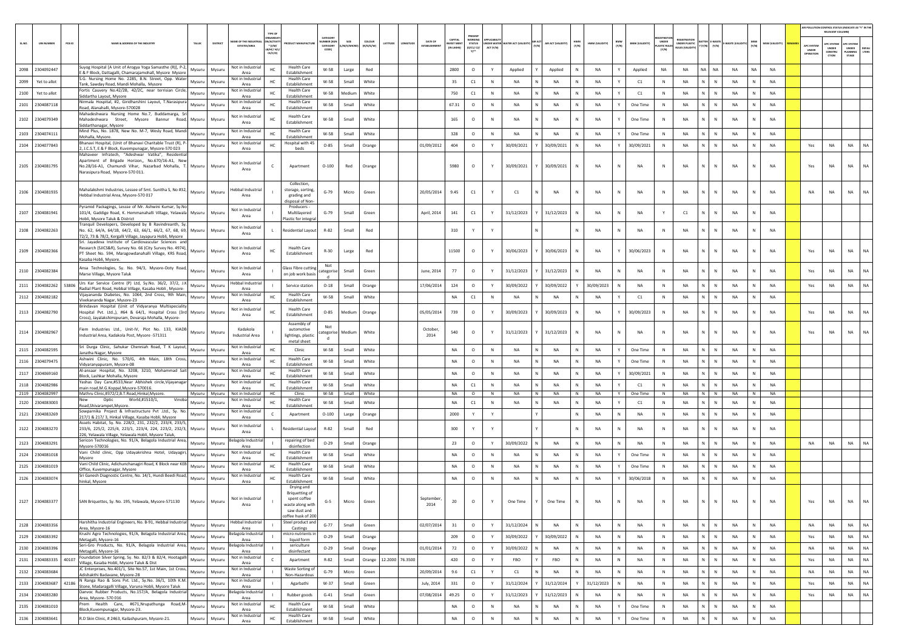|       |                               |                                                                                                                                                                                                      |                  |                  |                                               |                                                                  |                                                                                                |                                                 |                |                     |                 |                   |                                          |                                       |             |                                       |   |                    |              |                 |              |                       |                     |                                                            |                                |                             |              |                 |                                  | AIR POLLUTION CONTROL STATUS (INDICATE AS "Y" IN THE<br>RELEVANT COLUMN) |                                                |               |
|-------|-------------------------------|------------------------------------------------------------------------------------------------------------------------------------------------------------------------------------------------------|------------------|------------------|-----------------------------------------------|------------------------------------------------------------------|------------------------------------------------------------------------------------------------|-------------------------------------------------|----------------|---------------------|-----------------|-------------------|------------------------------------------|---------------------------------------|-------------|---------------------------------------|---|--------------------|--------------|-----------------|--------------|-----------------------|---------------------|------------------------------------------------------------|--------------------------------|-----------------------------|--------------|-----------------|----------------------------------|--------------------------------------------------------------------------|------------------------------------------------|---------------|
| SLNO. | <b>UIN NUMBER</b>             | PCB ID<br>NAME & ADDRESS OF THE INDUSTR'                                                                                                                                                             | TALUK            | DISTRICT         | E OF THE IND<br><b>ESTATES/AREA</b>           | <b>RGANIS</b><br><b>ACTIV</b><br>$"$ (l/M/<br>B/HC/ H/<br>CE/C/O | <b>DUCT MANUFACTU</b>                                                                          | CATEGORY<br><b>IBER (X</b><br>CATEGORY<br>CODET | A/S/MIC        | coLour<br>(R/O/G/W) | ATITUD          | DATE OF           | CAPITAL<br><b>VEST MEN</b><br>(IN LAKHS) | PRESENT<br><b>STATUS</b><br>(0/C1/C2) | ACT (Y/N)   | NDER WATER WATER ACT (VALIDITY) (Y/N) |   | AIR ACT (VALIDITY) | HWM<br>(Y/N) | HWM (VALIDITY)  | BMW<br>(Y/N) | <b>BMW (VALIDITY)</b> | UNDER<br>LASTIC RUL | <b>FOISTRATI</b><br>UNDER PLASTIC<br><b>NJLES (VALIDIT</b> | SATTER E-WASTE<br>'(Y/N) (Y/N) | -WASTE (VALI                | MSW<br>(Y/N) | MSW (VALIDITY)  | APC SYSTER<br>UNDER<br>OPERATION | <b>APC SYSTEM</b><br>UNDER<br>CONSTRU<br>CTION                           | <b>APC SYSTER</b><br>UNDER<br>LANNING<br>STAGE | DEFA<br>LTERS |
| 2098  | 2304092447                    | Suyog Hospital [A Unit of Arogya Yoga Samasthe (R)], P-2,                                                                                                                                            | Mysuru           | Mysuru           | Not in Industrial                             | HC                                                               | <b>Health Care</b>                                                                             | W-58                                            | Large          | Red                 |                 |                   | 2800                                     | $\circ$                               | Y           | Applied                               |   | Applied            |              | <b>NA</b>       | Y            | Applied               | NA                  | NA                                                         | NA                             | NA<br>NA                    | <b>NA</b>    | <b>NA</b>       |                                  |                                                                          |                                                |               |
| 2099  | Yet to allot                  | & F Block, Dattagalli, Chamarajamohall, Mysore Mysore<br>S.G. Nursing Home No. 2285, B.N. Street, Opp. Water                                                                                         | Mysuru           | Mysuru           | Area<br>Not in Industrial                     | HC                                                               | Establishment<br><b>Health Care</b><br>Establishment                                           | W-58                                            | Small          | White               |                 |                   | 35                                       | $\mathsf{C1}$                         | N           | <b>NA</b>                             |   | <b>NA</b>          |              | <b>NA</b>       | Y            | C1                    | $\mathbb N$         | <b>NA</b>                                                  | N                              | $\mathbb{N}$<br><b>NA</b>   | N            | <b>NA</b>       |                                  |                                                                          |                                                |               |
| 2100  | Yet to allot                  | Tank, Sawday Road, Mandi Mohalla, Mysore<br>Fortis Cauvery No.42/2B, 42/2C, near terrisian Circle,                                                                                                   | Mysuru           | Mysuru           | Area<br>Not in Industria<br>Area              | HC                                                               | <b>Health Care</b><br>Establishment                                                            | W-58                                            | Medium         | White               |                 |                   | 750                                      | C1                                    | N           | NA                                    |   | NA                 | <b>N</b>     | NA              | Y            | C1                    | $\mathbb{N}$        | NA                                                         | N<br>N                         | NA                          | N            | NA              |                                  |                                                                          |                                                |               |
| 2101  | 2304087118                    | Siddartha Layout, Mysore<br>Nirmala Hospital, #2, Giridharshini Layout, T.Narasipura<br>Road, Alanahalli, Mysore-570028                                                                              | Mysuru           | Mysuru           | Not in Industria<br>Area                      | HC                                                               | <b>Health Care</b><br>Establishment                                                            | W-58                                            | Small          | White               |                 |                   | 67.31                                    | $\circ$                               | N           | <b>NA</b>                             |   | NA                 |              | <b>NA</b>       |              | One Time              | N                   | NA                                                         | N.<br>N                        | NA                          | N            | NA              |                                  |                                                                          |                                                |               |
|       | 2102 2304079349               | Mahadeshwara Nursing Home No.7, Buddamarga, Sr                                                                                                                                                       | Mysuru           | Mysuru           | Not in Industria                              |                                                                  | <b>Health Care</b>                                                                             | W-58                                            | Small          | White               |                 |                   | 165                                      | $\circ$                               | N           | NA                                    |   | NA                 | N            | NA              |              | One Time              | N                   | NA                                                         | N                              | N<br><b>NA</b>              |              | NA              |                                  |                                                                          |                                                |               |
|       |                               | Mahadeshwara Street, Mysore Bannur Road,<br>Siddarthanagar, Mysore<br>Mind Plus, No. 1878, New No. M-7, Wesly Road, Mandi                                                                            |                  |                  | Area<br>Not in Industrial                     |                                                                  | Establishment<br><b>Health Care</b>                                                            |                                                 |                |                     |                 |                   |                                          |                                       |             |                                       |   |                    |              |                 |              |                       |                     |                                                            |                                |                             |              |                 |                                  |                                                                          |                                                |               |
| 2103  | 2304074111                    | Mohalla, Mysore.<br>Bhanavi Hospital, (Unit of Bhanavi Charitable Trust (R), P                                                                                                                       | Mysuru           | Mysuru           | Area<br>Not in Industria                      |                                                                  | Establishment<br>Hospital with 45                                                              | W-58                                            | Small          | White               |                 |                   | 328                                      | $\circ$                               | N           | NA                                    |   | NA                 |              | NA              |              | One Time              | N                   | NA                                                         | N<br>N                         | <b>NA</b>                   |              | NA              |                                  |                                                                          |                                                |               |
| 2104  | 2304077843                    | 2, J.C.S.T, E & F Block, Kuvempunagar, Mysore-570 023<br>Mahaveer Infratech, "Adeshwar Vatika", Residential                                                                                          | Mysuru           | Mysuru           | Area                                          | HC                                                               | beds                                                                                           | $O - 85$                                        | Small          | Orange              |                 | 01/09/2012        | 404                                      | $\circ$                               | Y           | 30/09/2021                            |   | 30/09/2021         |              | <b>NA</b>       | Y            | 30/09/2021            | N                   | <b>NA</b>                                                  | N<br>$\mathbb{N}$              | NA                          | N            | <b>NA</b>       | Yes                              | <b>NA</b>                                                                | <b>NA</b>                                      | NA            |
|       | 2105 2304081795               | Apartment of Brigade Horizon,, No.670/16-A1, New<br>No.28/16-A1, Chamundi Vihar, Nazarbad Mohalla, T. Mysuru<br>Narasipura Road, Mysore-570 011                                                      |                  | Mysuru           | Not in Industrial<br>Area                     |                                                                  | Apartment                                                                                      | $O-100$                                         | Red            | Orange              |                 |                   | 5980                                     | $\circ$                               |             | 30/09/2021                            |   | 30/09/2021         |              | NA              | N            | <b>NA</b>             | N                   | NA                                                         | N                              | N<br>NA                     |              | NA              | Yes                              | NA                                                                       | <b>NA</b>                                      | <b>NA</b>     |
| 2106  | 2304081935                    | Mahalakshmi Industries, Lessee of Smt. Sunitha S, No #32,<br>Hebbal Industrial Area, Mysore-570 017                                                                                                  | Mysuru           | Mysuru           | lebbal Industria<br>Area                      |                                                                  | Collection.<br>storage, sorting<br>grading and<br>isposal of Non-                              | $G-79$                                          | Micro          | Green               |                 | 20/05/2014        | 9.45                                     | C1                                    |             | C1                                    |   | NA                 |              | NA              | N            | NA                    | ${\sf N}$           | NA                                                         | N.<br>N                        | NA                          |              | NA              | <b>NA</b>                        | NA                                                                       | <b>NA</b>                                      | <b>NA</b>     |
| 2107  | 2304081941                    | Pyramid Packagings, Lessse of Mr. Ashwini Kumar, Sy.No<br>101/4, Gaddige Road, K. Hemmanahalli Village, Yelawala Mysuru<br>Hobli, Mysore Taluk & District                                            |                  | Mysuru           | Not in Industrial<br>Area                     |                                                                  | Producers -<br>Multilavered<br>Plastic for integra                                             | G-79                                            | Small          | Green               |                 | April, 2014       | 141                                      | $\mathsf{C1}$                         | Y           | 31/12/2023                            |   | 31/12/2023         | N            | <b>NA</b>       | N            | <b>NA</b>             | Y                   | C1                                                         |                                | $\mathbb{N}$<br>NA          |              | <b>NA</b>       |                                  |                                                                          |                                                |               |
| 2108  | 2304082263                    | Tranquil Developers, Developed by B Ravindreanth, Sy<br>No. 62, 64/A, 64/1B, 64/2, 63, 66/1, 66/2, 67, 68, 69, Mysuru<br>72/2, 73 & 78/2, Kergalli Village, Jayapura Hobli, Mysore                   |                  | Mysuru           | Not in Industrial<br>Area                     |                                                                  | <b>Residential Layout</b>                                                                      | R-82                                            | Small          | Red                 |                 |                   | 310                                      | Y                                     |             |                                       |   |                    |              | <b>NA</b>       | N            | <b>NA</b>             | N                   | <b>NA</b>                                                  | N                              | N<br>NA                     | $\mathbb N$  | <b>NA</b>       |                                  |                                                                          |                                                |               |
|       | 2109 2304082366               | Sri. Jayadeva Institute of Cardiovascular Sciences and<br>Research (SJICS&R), Survey No. 66 (City Survey No. 4974),<br>PT Sheet No. 594, Maragowdanahalli Village, KRS Road,<br>asaba Hobli, Mysore. | Mysuru           | Mysuru           | Not in Industrial<br>Area                     | HC                                                               | <b>Health Care</b><br>Establishment                                                            | R-30                                            | Large          | Red                 |                 |                   | 11500                                    | $\circ$                               |             | 30/06/2023                            |   | 30/06/2023         |              | NA              |              | 30/06/2023            | N                   | NA                                                         | N                              | N<br>NA                     |              | NA              | Yes                              | NA                                                                       | <b>NA</b>                                      | <b>NA</b>     |
|       | 2110 2304082384               | Ansa Technologies, Sy. No. 94/3, Mysore-Ooty Road,<br>Marse Village, Mysore Taluk                                                                                                                    | Mysuru           | Mysuru           | Not in Industrial<br>Area                     |                                                                  | Glass Fibre cutting<br>on job work basis                                                       | Not<br>categorise                               | Small          | Green               |                 | June, 2014        | 77                                       | $\circ$                               | Y           | 31/12/2023                            |   | 31/12/2023         |              | <b>NA</b>       | N            | <b>NA</b>             | N                   | <b>NA</b>                                                  | N                              | $\mathbb{N}$<br>NA          |              | <b>NA</b>       | Yes                              | <b>NA</b>                                                                | <b>NA</b>                                      | <b>NA</b>     |
| 2111  | 2304082262                    | Urs Kar Service Centre (P) Ltd, Sy.No. 36/2, 37/2, J.K<br>53806<br>Radial Plant Road, Hebbal Village, Kasaba Hobli, Mysore-                                                                          | Mysuru           | Mysuru           | lebbal Industria<br>Area                      |                                                                  | Service station                                                                                | $O-18$                                          | Small          | Orange              |                 | 17/06/2014        | 124                                      | $\circ$                               |             | 30/09/2022                            |   | 30/09/2022         |              | 30/09/2023      | N            | NA                    | N                   | <b>NA</b>                                                  | N<br>$\mathbb{N}$              | NA                          | N            | <b>NA</b>       | Yes                              | <b>NA</b>                                                                | <b>NA</b>                                      | NA            |
|       | 2112 2304082182               | Vijayananda Diabetes, No. 1064, 2nd Cross, 9th Main,<br>Vivekananda Nagar, Mysore-23                                                                                                                 | Mysuru           | Mysuru           | Not in Industria<br>Area                      | нc                                                               | <b>Health Care</b><br>Establishment                                                            | W-58                                            | Small          | White               |                 |                   | NA                                       | C1                                    | N           | NA                                    |   | NA                 |              | NA              | Y            | C1                    | N                   | <b>NA</b>                                                  | N<br>N                         | NA                          | N            | NA              |                                  |                                                                          |                                                |               |
|       | 2113 2304082790               | Brindavan Hospital (Unit of Vidyaranya Multispeciality<br>ospital Pvt. Ltd.,), #64 & 64/1, Hospital Cross (3rd Mysuru<br>Cross), Jayalakshimipuram, Devaraja Mohalla, Mysore-                        |                  | Mysuru           | Not in Industria<br>Area                      |                                                                  | <b>Health Care</b><br>Establishment                                                            | $O - 85$                                        | Medium         | Orange              |                 | 05/05/2014        | 739                                      | $\circ$                               |             | 30/09/2023                            |   | 30/09/2023         |              | NA              |              | 30/09/2023            | N                   | <b>NA</b>                                                  | N.                             | N<br>NA                     |              | <b>NA</b>       | Yes                              | <b>NA</b>                                                                | <b>NA</b>                                      |               |
|       | 2114 2304082967               | Fiem Industries Ltd., Unit-IV, Plot No. 133, KIADB<br>Industrial Area, Kadakola Post, Mysore -571311                                                                                                 | Mysuru           | Mysuru           | Kadakola<br>Industrial Area                   |                                                                  | Assembly of<br>automotive<br>lightings, plastic<br>metal sheet                                 | Not<br>ategorise<br>d                           | Medium         | White               |                 | October,<br>2014  | 540                                      | $\circ$                               |             | 31/12/2023                            |   | 31/12/2023         |              | <b>NA</b>       | N            | <b>NA</b>             | $\mathsf{N}$        | NA                                                         |                                | N<br>NA                     |              | <b>NA</b>       | Yes                              | <b>NA</b>                                                                | <b>NA</b>                                      |               |
|       | 2115 2304082595               | Sri Durga Clinic, Sahukar Chenniah Road, T K Layout,<br>Janatha Nagar, Mysore                                                                                                                        | Mysuru           | Mysuru           | Not in Industria<br>Area                      | HC                                                               | Clinic                                                                                         | W-58                                            | Small          | White               |                 |                   | <b>NA</b>                                | $\circ$                               | N           | <b>NA</b>                             |   | <b>NA</b>          |              | <b>NA</b>       | Y            | One Time              | N                   | <b>NA</b>                                                  | N                              | $\mathbb{N}$<br>NA          | N            | <b>NA</b>       |                                  |                                                                          |                                                |               |
|       | 2116 2304079475               | Ashwini Clinic, No. 570/G, 4th Main, 18th Cross,<br>Vidyaranyapuram, Mysore-08                                                                                                                       | Mysuru           | Mysuru           | Not in Industria<br>Area                      | нc                                                               | <b>Health Care</b><br>Establishment                                                            | W-58                                            | Small          | White               |                 |                   | <b>NA</b>                                | $\circ$                               | N           | <b>NA</b>                             |   | <b>NA</b>          | N            | <b>NA</b>       | Y            | One Time              | $\mathbb{N}$        | <b>NA</b>                                                  | N<br>N                         | NA                          | N            | <b>NA</b>       |                                  |                                                                          |                                                |               |
| 2117  | 2304069160                    | Al-ansaar Hospital, No. 3208, 3210, Mohammad Sait<br>Block. Lashkar Mohalla, Mysore                                                                                                                  | Mysuru           | Mysuru           | Not in Industrial<br>Area                     | HC                                                               | <b>Health Care</b><br>Establishment                                                            | W-58                                            | Small          | White               |                 |                   | <b>NA</b>                                | $\circ$                               | N           | <b>NA</b>                             |   | <b>NA</b>          | N            | <b>NA</b>       | Y            | 30/09/2021            | N                   | <b>NA</b>                                                  | N                              | $\mathbb{N}$<br><b>NA</b>   | N            | <b>NA</b>       |                                  |                                                                          |                                                |               |
| 2118  | 2304082986                    | Yashas Day Care,#533, Near Abhishek circle, Vijayanaga<br>main road,M.G.Koppal,Mysore-570016.                                                                                                        | Mysuru           | Mysuru           | Not in Industr<br>Area                        | HC                                                               | <b>Health Care</b><br>Establishment                                                            | W-58                                            | Small          | White               |                 |                   | NA                                       | C1                                    | N           | NA                                    |   | NA                 | <b>N</b>     | <b>NA</b>       | Y            | C1                    | N                   | <b>NA</b>                                                  | N<br>N                         | <b>NA</b>                   | N            | <b>NA</b>       |                                  |                                                                          |                                                |               |
| 2120  | 2119 2304082997<br>2304083003 | Mathru Clinic,#372/2,B.T.Road,Hinkal,Mysore.<br>Optic<br>World,#1510/1,<br>Vinoba                                                                                                                    | Mysuru<br>Mysuru | Mysuru<br>Mysuru | Not in Industrial<br>Not in Industria         | HC<br>HC                                                         | Clinic<br><b>Health Care</b>                                                                   | W-58<br>W-58                                    | Small<br>Small | White<br>White      |                 |                   | <b>NA</b><br><b>NA</b>                   | $\circ$<br>C1                         | $\,$ N<br>N | NA<br><b>NA</b>                       | N | NA<br><b>NA</b>    | N<br>N       | NA<br><b>NA</b> | Y            | One Time<br>C1        | N<br>N              | NA<br><b>NA</b>                                            | N<br>N<br>N                    | N<br><b>NA</b><br><b>NA</b> | N<br>N       | <b>NA</b><br>NA |                                  |                                                                          |                                                |               |
|       | 2121 2304083269               | Road, Shivarampet, Mysore.<br>Sowparnika Project & Infrastructure Pvt .Ltd., Sy. No.                                                                                                                 | Mysuru           | Mysuru           | Area<br>Not in Industri                       | $\epsilon$                                                       | Establishment<br>Apartment                                                                     | $O-100$                                         | Large          | Orange              |                 |                   | 2000                                     | Y                                     | Y           |                                       |   |                    | N            | NA              | N            | NA                    | $\mathbb{N}$        | NA                                                         | N<br>N                         | NA                          | N            | NA              |                                  |                                                                          |                                                |               |
|       |                               | 217/1 & 217/3, Hinkal Village, Kasaba Hobli, Mysore<br>Assets Habitat, Sy. No. 228/2, 231, 232/2, 233/4, 233/5,                                                                                      |                  |                  | Area<br>Not in Industria                      |                                                                  |                                                                                                |                                                 |                |                     |                 |                   |                                          | Y                                     |             |                                       |   |                    |              |                 | N            |                       | N                   |                                                            | N.<br>N                        |                             |              |                 |                                  |                                                                          |                                                |               |
|       | 2122 2304083270               | 233/6, 225/2, 225/4, 223/1, 223/4, 224, 223/2, 232/3,<br>226, Yelawala Village, Yelawala Hobli, Mysore Taluk,                                                                                        | Mysuru           | Mysuru           | Area                                          |                                                                  | Residential Layou                                                                              | $R - 82$                                        | Small          | Red                 |                 |                   | 300                                      |                                       |             |                                       |   |                    |              | NA              |              | <b>NA</b>             |                     | <b>NA</b>                                                  |                                | NA                          |              | <b>NA</b>       |                                  |                                                                          |                                                |               |
|       | 2123 2304083291               | Sericon Technologies, No. 91/A, Belagola Industrial Area,<br>Mysore-570016                                                                                                                           | Mysuru           | Mysuru           | elagola Industri<br>Area<br>Not in Industrial |                                                                  | repairing of bed<br>disinfection<br><b>Health Care</b>                                         | $O - 29$                                        | Small          | Orange              |                 |                   | 23                                       | $\circ$                               | Y           | 30/09/2022                            |   | NA                 | N            | NA              | N            | NA                    | N                   | <b>NA</b>                                                  | N<br>N                         | NA                          | N            | NA              | NA                               | NA                                                                       | <b>NA</b>                                      |               |
| 2124  | 2304081018                    | Vani Child clinic, Opp Udayakrishna Hotel, Udayagiri,<br>Mysore                                                                                                                                      | Mysuru           | Mysuru           | Area                                          | HC                                                               | Establishment                                                                                  | W-58                                            | Small          | White               |                 |                   | NA                                       | $\circ$                               | N           | NA                                    |   | <b>NA</b>          |              | <b>NA</b>       |              | One Time              |                     | NA                                                         | N<br>N                         | <b>NA</b>                   |              | NA              |                                  |                                                                          |                                                |               |
| 2125  | 2304081019                    | Vani Child Clinic, Adichunchanagiri Road, K Block near KEB<br>Office, Kuvempunagar, Mysore                                                                                                           | Mysuru           | Mysuru           | Not in Industria<br>Area                      | HC                                                               | <b>Health Care</b><br>Establishment                                                            | W-58                                            | Small          | White               |                 |                   | <b>NA</b>                                | $\circ$                               | N           | <b>NA</b>                             |   | <b>NA</b>          |              | <b>NA</b>       | Y            | One Time              | N                   | <b>NA</b>                                                  | N<br>N                         | NA                          | N            | <b>NA</b>       |                                  |                                                                          |                                                |               |
|       | 2126 2304083074               | Sri Ganesh Diagnostic Centre, No. 14/1, Hundi Beedi Road,<br>hinkal, Mysore                                                                                                                          | Mysuru           | Mysuru           | Not in Industrial<br>Area                     | HC                                                               | <b>Health Care</b><br>Establishment<br>Drying and                                              | W-58                                            | Small          | White               |                 |                   | NA                                       | $\circ$                               | $\mathbb N$ | <b>NA</b>                             |   | <b>NA</b>          |              | <b>NA</b>       | Y            | 30/06/2018            | $\mathbb N$         | <b>NA</b>                                                  | $\mathbb{N}$<br>N              | NA                          | N            | <b>NA</b>       |                                  |                                                                          |                                                |               |
|       | 2127 2304083377               | SAN Briquettes, Sy. No. 195, Yelawala, Mysore-571130                                                                                                                                                 | Mysuru           | Mysuru           | Not in Industrial<br>Area                     |                                                                  | <b>Briquetting of</b><br>spent coffee<br>waste along with<br>saw dust and<br>offee husk of 200 | $G-5$                                           | Micro          | Green               |                 | September<br>2014 | 20                                       | $\circ$                               |             | One Time                              |   | One Time           | N            | <b>NA</b>       |              | <b>NA</b>             |                     | NA                                                         |                                | <b>NA</b>                   |              | <b>NA</b>       | Yes                              | <b>NA</b>                                                                | <b>NA</b>                                      |               |
|       | 2128 2304083356               | Harshitha Industrial Engineers, No. B-91, Hebbal Industrial<br>Area, Mysore-16                                                                                                                       | Mysuru           | Mysuru           | Hebbal Industrial<br>Area                     |                                                                  | Steel product and<br>Castings                                                                  | $G - 77$                                        | Small          | Green               |                 | 02/07/2014        | 31                                       | $\circ$                               | Y           | 31/12/2024                            |   | NA                 | N            | NA              | $\mathsf{N}$ | NA                    | $\,$ N              | NA                                                         | N                              | $\,$ N $\,$<br>NA           | N            | <b>NA</b>       | NA                               | NA                                                                       | <b>NA</b>                                      | NA            |
| 2129  | 2304083392                    | Krushi Agro Technologies, 91/A, Belagola Industrial Area,<br>Metagalli, Mysore-16                                                                                                                    | Mysuru           | Mysuru           | elagola Industrial<br>Area                    |                                                                  | micro nutrients in<br>liquid form                                                              | $O - 29$                                        | Small          | Orange              |                 |                   | 209                                      | $\circ$                               | Y           | 30/09/2022                            |   | 30/09/2022         | N            | <b>NA</b>       | N            | NA                    | N                   | NA                                                         | N<br>N                         | NA                          | N            | <b>NA</b>       | Yes                              | NA                                                                       | NA                                             | NA            |
| 2130  | 2304083396                    | Seri-Gro Products, No. 91/A, Belagola Industrial Area,<br>Metagalli, Mysore-16                                                                                                                       | Mysuru           | Mysuru           | elagola Industria<br>Area                     |                                                                  | sericulture<br>disinfectant                                                                    | $O - 29$                                        | Small          | Orange              |                 | 01/01/2014        | 72                                       | $\circ$                               | Y           | 30/09/2022                            |   | <b>NA</b>          | N            | <b>NA</b>       | N            | NA                    | N                   | NA                                                         | N                              | $\mathbb{N}$<br>NA          | N            | <b>NA</b>       | NA                               | NA                                                                       | <b>NA</b>                                      | NA            |
|       | 2131 2304083335               | Foundation Silver Spring, Sy. No. 82/3 & 82/4, Hootagall<br>40107<br>Village, Kasaba Hobli, Mysore Taluk & Dist                                                                                      | Mysuru           | Mysuru           | Not in Industria<br>Area                      | $\mathsf{C}$                                                     | Apartment                                                                                      | R-82                                            | Small          | Orange              | 12.2000 76.3500 |                   | 420                                      | $\circ$                               | Y           | FBO                                   |   | FBO                | N            | NA              | N            | NA                    | N                   | NA                                                         | N<br>N                         | NA                          | N            | <b>NA</b>       | Yes                              | NA                                                                       | <b>NA</b>                                      | NA            |
| 2132  | 2304083684                    | JC Enterprises, No.401/1, Site No.57, 1st Main, 1st Cross,<br>Adishakthi Badavane, Mysore-28                                                                                                         | Mysuru           | Mysuru           | Not in Industrial<br>Area                     |                                                                  | Waste Sorting of<br>Non-Hazardous                                                              | $G-79$                                          | Micro          | Green               |                 | 20/09/2014        | 9.6                                      | C1                                    | Y           | C1                                    |   | NA                 | N            | NA              | N            | NA                    | $\,$ N              | NA                                                         | N<br>N                         | NA                          | N            | NA              | NA                               | NA                                                                       | NA                                             | NA            |
|       | 2133 2304083687               | N Ranga Rao & Sons Pvt. Ltd., Sy.No. 36/1, 10th K.M.<br>42186<br>Stone, Madaragalli Village, Varuna Hobli, Mysore Taluk                                                                              | Mysuru           | Mysuru           | Not in Industrial<br>Area                     |                                                                  | Agarbathi                                                                                      | $W-37$                                          | Small          | Green               |                 | July, 2014        | 331                                      | $\circ$                               | Y           | 31/12/2024                            |   | 31/12/2024         | Y            | 31/12/2023      | N            | NA                    | N                   | NA                                                         | N<br>$\mathsf{N}$              | NA                          | N            | <b>NA</b>       | Yes                              | NA                                                                       | <b>NA</b>                                      | NA            |
| 2134  | 2304083280                    | Danvoc Rubber Products, No.157/A, Belagola Industrial<br>Area, Mysore-570 016                                                                                                                        | Mysuru           | Mysuru           | elagola Industria<br>Area                     | $\mathbf{L}$                                                     | Rubber goods                                                                                   | $G-41$                                          | Small          | Green               |                 | 07/08/2014        | 49.25                                    | $\circ$                               | Y           | 31/12/2023                            |   | 31/12/2023         |              | <b>NA</b>       | N            | NA                    | N                   | NA                                                         | $\mathbb{N}$<br>N              | <b>NA</b>                   | N            | <b>NA</b>       | Yes                              | <b>NA</b>                                                                | NA                                             | NA            |
| 2135  | 2304081010                    | Prem Health Care, #671, Nrupathunga Road, M-<br>Block, Kuvempunagar, Mysore-23.                                                                                                                      | Mysuru           | Mysuru           | Not in Industria<br>Area                      | HC                                                               | <b>Health Care</b><br>Establishment                                                            | W-58                                            | Small          | White               |                 |                   | NA                                       | $\circ$                               | N           | <b>NA</b>                             |   | <b>NA</b>          | N            | <b>NA</b>       | Y            | One Time              | N                   | NA                                                         | N                              | $\mathbb{N}$<br><b>NA</b>   | N            | <b>NA</b>       |                                  |                                                                          |                                                |               |
|       | 2136 2304083641               | R.D Skin Clinic, #2463, Kailashpuram, Mysore-21.                                                                                                                                                     | Mysuru           | Mysuru           | Not in Industria<br>Area                      | HC                                                               | <b>Health Care</b><br>Establishment                                                            | W-58                                            | Small          | White               |                 |                   | NA                                       | $\circ$                               | $\,$ N      | <b>NA</b>                             |   | NA                 | $\mathbb{N}$ | <b>NA</b>       | Y            | One Time              | N                   | NA                                                         | $\mathbb{N}$<br>N              | NA                          | N            | <b>NA</b>       |                                  |                                                                          |                                                |               |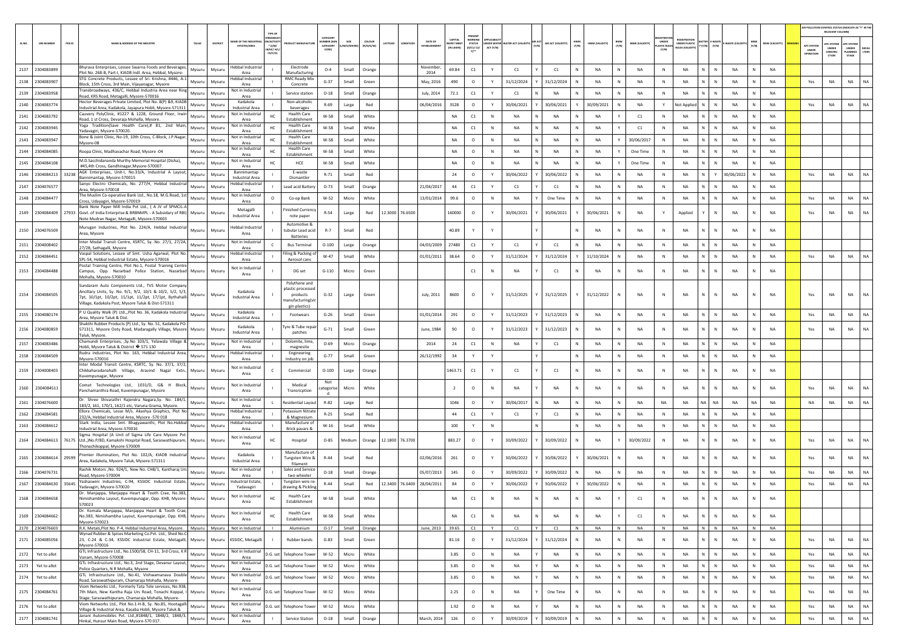|        |                       |        |                                                                                                                                                                                                                                          |         |                                           |                                             |                                                                                    |                                          |                  |                     |         |                 |                            |                                         |                                                   |              |            |   |                  |                     |                |                                       |                                     |                             |                              |            |           |                      |                                         | AIR POLLUTION CONTROL STATUS (INDICATE AS "Y" IN TH<br>RELEVANT COLUMN) |                                        |                     |
|--------|-----------------------|--------|------------------------------------------------------------------------------------------------------------------------------------------------------------------------------------------------------------------------------------------|---------|-------------------------------------------|---------------------------------------------|------------------------------------------------------------------------------------|------------------------------------------|------------------|---------------------|---------|-----------------|----------------------------|-----------------------------------------|---------------------------------------------------|--------------|------------|---|------------------|---------------------|----------------|---------------------------------------|-------------------------------------|-----------------------------|------------------------------|------------|-----------|----------------------|-----------------------------------------|-------------------------------------------------------------------------|----------------------------------------|---------------------|
| SL.NO. | <b>UIN NUMBER</b>     | PCB ID | LAME & ADDRESS OF THE INDUSTR<br>TALUR                                                                                                                                                                                                   | DISTRIC | AME OF THE INDUSTR<br><b>ESTATES/AREA</b> | N/ACTIVIT<br>* (1/M/<br>8/HC/ H/I<br>CE/C/O |                                                                                    | CATEGOR<br>MBER (XG<br>CATEGORY<br>CODE) | SIZE<br>vi/S/MIC | coLour<br>(R/O/G/W) | ATITUDI |                 | DATE OF<br>STABLISHM       | CAPITAL<br><b>EST MER</b><br>(IN LAKHS) | <b>WORKIN</b><br><b>STATUS</b><br>(0/C1/C2)<br>Y1 | ACT (Y/N)    |            |   | AIR ACT (VALIDIT | <b>HWM</b><br>(Y/N) | HWM (VALIDITY  | BMW<br><b>BMW (VALIDITY)</b><br>(Y/N) | UNDER<br><b>ASTIC RULE</b><br>(Y/N) | NDER PLASTIC<br>ULES (VALID | E-WAST<br>$(Y/N)$ $(Y/N)$    | VASTE (VA  | (Y/N)     | <b>MSW (VALIDITY</b> | APC SYSTEI<br><b>UNDER</b><br>IPERATION | <b>PC SYSTER</b><br><b>UNDER</b><br>CONSTRU<br>CTION                    | APC SYSTE<br>UNDER<br>LANNING<br>STAGE | <b>DEFA</b><br>LTER |
|        | 2137 2304083899       |        | Bhyrava Enterprises, Lessee Swarna Foods and Beverages,<br>Mysuru<br>Plot No. 268-B, Part-I, KIADB Indl. Area, Hebbal, Mysore-                                                                                                           | Mysuru  | Hebbal Industrial<br>Area                 |                                             | Electrode<br>Manufacturing                                                         | $O-4$                                    | Small            | Orange              |         |                 | November<br>2014           | 69.84                                   | C1                                                | Y            | C1         |   | C1               |                     | NA             | N<br>NA                               | N                                   | NA                          | N.<br>N                      | NA         |           | NA                   |                                         |                                                                         |                                        |                     |
|        | 2138 2304083907       |        | ISTG Concrete Products. Lessee of Sri. Krishna. #446. A-1<br>Mysuru<br>Block, 15th Cross, 3rd Main, Vijayanagar, Mysore                                                                                                                  | Mysuru  | Hebbal Industrial<br>Area                 |                                             | <b>RMC Ready Mix</b><br>Concrete                                                   | $G-37$                                   | Small            | Green               |         |                 | May, 2016                  | 490                                     | $\circ$                                           | Y            | 31/12/2024 |   | 31/12/2024       | N                   | <b>NA</b>      | N<br>NA                               | $\mathbb{N}$                        | <b>NA</b>                   | N  <br>$\mathbb{N}$          | <b>NA</b>  | N         | <b>NA</b>            | Yes                                     | NA                                                                      | NA                                     | NA                  |
|        | 2139 2304083958       |        | ransbroadways, 436/C, Hebbal Industria Area near Ring<br>Mysuru<br>Road, KRS Road, Metagalli, Mysore-570016                                                                                                                              | Mysuru  | Not in Industrial<br>Area                 |                                             | Service station                                                                    | $O-18$                                   | Small            | Orange              |         |                 | July, 2014                 | 72.1                                    | C1                                                | Y            | C1         |   | <b>NA</b>        | N                   | <b>NA</b>      | <b>NA</b><br>N                        | N                                   | <b>NA</b>                   | $\mathbb{N}$<br>N            | NA         | N         | <b>NA</b>            |                                         |                                                                         |                                        |                     |
|        | 2140 2304083774       |        | Hector Beverages Private Limited, Plot No. 8(P) &9, KIADB<br>Mysuru<br>Industrial Area, Kadakola, Jayapura Hobli, Mysore-571311                                                                                                          | Mysuru  | Kadakola<br><b>Industrial Area</b>        |                                             | Non-alcoholic<br>beverages                                                         | $R-69$                                   | Large            | Red                 |         |                 | 06/04/2016                 | 3528                                    | $\circ$                                           |              | 30/06/2021 |   | 30/06/202:       |                     | 30/09/2021     | N<br>NA                               | Y                                   | Not Applied                 | N.<br>N                      | NA         | <b>N</b>  | NA                   | Yes                                     | NA                                                                      | NA                                     | <b>NA</b>           |
|        | 2141 2304083792       |        | Cauvery PolyClinic, #1227 & 1228, Ground Floor, Irwi<br>Mysuru<br>Road, 1 st Cross, Devaraja Mohalla, Mysore.                                                                                                                            | Mysuri  | Not in Industrial<br>Area                 |                                             | <b>Health Care</b><br>Establishment                                                | W-58                                     | Small            | White               |         |                 |                            | NA                                      | C1                                                | N            | NA         |   | NA               |                     | <b>NA</b>      | C1                                    | N                                   | NA                          | N<br>N                       | NA         | N         | <b>NA</b>            |                                         |                                                                         |                                        |                     |
|        | 2142 2304083945       |        | Yoga Tradition(Save Health Care),# 81, 2nd Main,<br>Mysuru<br>Yadavagiri, Mysore-570020                                                                                                                                                  | Mysuru  | Not in Industrial<br>Area                 |                                             | <b>Health Care</b><br>Establishment                                                | $W-58$                                   | Small            | White               |         |                 |                            | NA                                      | C1                                                | N            | NA         |   | NA               | Ν                   | <b>NA</b>      | C1                                    | N                                   | NA                          | N<br>N                       | NA         |           | NA                   |                                         |                                                                         |                                        |                     |
|        | 2143 2304083947       |        | Bone & Joint Clinic, No-19, 10th Cross, C-Block, J.P.Nagar<br>Mysuru<br>Mysore-08                                                                                                                                                        | Mysuru  | Not in Industria<br>Area                  |                                             | <b>Health Care</b><br>Establishment                                                | W-58                                     | Small            | White               |         |                 |                            | <b>NA</b>                               | $\circ$                                           | N            | <b>NA</b>  | N | <b>NA</b>        | $\mathbb{N}$        | <b>NA</b>      | Y<br>30/06/2017                       | $\mathbb{N}$                        | <b>NA</b>                   | N  <br>$\mathbb{N}$          | <b>NA</b>  | N         | <b>NA</b>            |                                         |                                                                         |                                        |                     |
|        | 2144 2304084085       |        | Roopa Clinic, Madhavachar Road, Mysore -04<br>Mysuru                                                                                                                                                                                     | Mysuru  | Not in Industrial<br>Area                 | HC                                          | <b>Health Care</b><br>Establishment                                                | $W-58$                                   | Small            | White               |         |                 |                            | <b>NA</b>                               | $\circ$                                           | $\mathbb N$  | <b>NA</b>  |   | <b>NA</b>        | N                   | <b>NA</b>      | One Time<br>Y                         | N                                   | <b>NA</b>                   | N<br>N                       | <b>NA</b>  | N         | <b>NA</b>            |                                         |                                                                         |                                        |                     |
|        | 2145 2304084108       |        | M.D.Sacchidananda Murthy Memorial Hospital (Disha),<br>Mysuru<br>#45,4th Cross, Gandhinagar, Mysore-570007.                                                                                                                              | Mysuru  | Not in Industria<br>Area                  |                                             | HCE                                                                                | W-58                                     | Small            | White               |         |                 |                            | NA                                      | $\circ$                                           | N            | <b>NA</b>  |   | NA               |                     | NA             | One Time                              | $\mathbb N$                         | <b>NA</b>                   | N.<br>N                      | NA         |           | <b>NA</b>            |                                         |                                                                         |                                        |                     |
|        | 2146 2304084213 33238 |        | AGK Enterprises, Unit-I, No.33/A, Industrial A Layout,<br>Mysuru<br>Bannimantap, Mysore-570015                                                                                                                                           | Mysuri  | Bannimantap<br><b>Industrial Area</b>     |                                             | E-waste<br>Dismantler                                                              | $R-71$                                   | Small            | Red                 |         |                 |                            | 24                                      | $\circ$                                           | Y            | 30/06/2022 |   | 30/06/2022       | N                   | <b>NA</b>      | NA<br>N                               | N                                   | NA                          | N<br>Y                       | 30/06/2022 | N         | NA                   | Yes                                     | NA                                                                      | NA                                     | NA                  |
|        | 2147 2304076577       |        | Sanyo Electro Chemicals, No. 277/H, Hebbal Industrial<br>Mysuru<br>Area, Myosre-570018                                                                                                                                                   | Mysuri  | lebbal Industrial<br>Area                 |                                             | Lead acid Batter                                                                   | $O-73$                                   | Small            | Orange              |         |                 | 21/04/2017                 | 44                                      | C1                                                | Y            | C1         |   | C1               |                     | <b>NA</b>      | NA<br>N                               | N                                   | NA                          | N<br>N                       | NA         |           | NA                   |                                         |                                                                         |                                        |                     |
|        | 2148 2304084477       |        | The Muslim Co-operative Bank Ltd., No.18, M.G.Road, 1st<br>Mysuru<br>Cross, Udayagiri, Mysore-570019                                                                                                                                     | Mysuru  | Not in Industrial<br>Area                 | $\circ$                                     | Co-op Bank                                                                         | $W-52$                                   | Micro            | White               |         |                 | 13/01/2014                 | 99.6                                    | $\circ$                                           | $\mathbb{N}$ | <b>NA</b>  |   | One Time         | N                   | <b>NA</b>      | N<br>NA                               | N                                   | <b>NA</b>                   | N<br>$\mathbb{N}$            | <b>NA</b>  | N         | <b>NA</b>            | Yes                                     | <b>NA</b>                                                               | <b>NA</b>                              | NA                  |
|        | 2149 2304084409       |        | Bank Note Paper Mill India Pvt Ltd., ( A JV of SPMCIL-A<br>27933 Govt. of India Enterprise & BRBNMPL - A Subsidary of RBI)<br>Mysuru<br>Note Mudran Nagar, Metagalli, Mysore-570003                                                      | Mysuru  | Metagalli<br><b>Industrial Area</b>       |                                             | Finished Currency<br>note paper                                                    | $R-54$                                   | Large            | Red                 |         | 12.3000 76.6500 |                            | 160000                                  | $\circ$                                           | Y            | 30/06/2021 |   | 30/06/2021       |                     | 30/06/2021     | NA                                    | Y                                   | Applied                     | N                            | NA         |           | <b>NA</b>            | Yes                                     | NA                                                                      | NA                                     | <b>NA</b>           |
|        | 2150 2304076509       |        | Murugan Industries, Plot No. 224/A, Hebbal Industrial<br>Mysuru<br>Area, Mysore                                                                                                                                                          | Mysuru  | lebbal Industrial<br>Area                 |                                             | Automotive &<br>tubular Lead acid<br><b>Batteries</b>                              | $R-7$                                    | Small            | Red                 |         |                 |                            | 40.89                                   |                                                   |              |            |   |                  | N                   | N <sub>A</sub> | <b>NA</b><br>N                        | N                                   | <b>NA</b>                   | N                            | <b>NA</b>  |           | <b>NA</b>            |                                         |                                                                         |                                        |                     |
|        | 2151 2304008402       |        | nter Modal Transit Centre, KSRTC, Sy. No. 27/1, 27/2A,<br>Mysuru<br>27/2B, Sathagalli, Mysore                                                                                                                                            | Mysuru  | Not in Industrial<br>Area                 |                                             | <b>Bus Terminal</b>                                                                | $O-100$                                  | Large            | Orange              |         |                 | 04/03/2009                 | 27480                                   | C1                                                | Y            | C1         |   | C1               | Ν                   | NA             | NA<br>N                               | N                                   | NA                          | N<br>${\sf N}$               | NA         |           | NA                   |                                         |                                                                         |                                        |                     |
|        | 2152 2304084451       |        | Vaspal Solutions, Lessee of Smt. Usha Agarwal, Plot No.<br>Mysuru<br>SPL-54, Hebbal Industrial Estate, Mysore-570016                                                                                                                     | Mysuru  | lebbal Industria<br>Area                  |                                             | Filing & Packing c<br>Aerosol cans                                                 | $W-47$                                   | Small            | White               |         |                 | 01/01/2011                 | 38.64                                   | $\circ$                                           | Y            | 31/12/2024 |   | 31/12/2024       |                     | 11/10/2024     | N<br>NA                               | $\mathbb{N}$                        | NA                          | N  <br>${\sf N}$             | NA         | N         | <b>NA</b>            | Yes                                     | <b>NA</b>                                                               | NA                                     | <b>NA</b>           |
|        | 2153 2304084488       |        | Postal Training Centre, Plot No.1, Postal Training Centre<br>Campus, Opp. Nazarbad Police Station. Nazarbad Mysuru<br>Mohalla, Mysore-570010                                                                                             | Mysuru  | Not in Industrial<br>Area                 |                                             | DG set                                                                             | $G-110$                                  | Micro            | Green               |         |                 |                            |                                         | C1                                                | N            | NA         |   | C1               |                     | <b>NA</b>      | NA<br>N                               | N                                   | <b>NA</b>                   | N                            | NA         |           | <b>NA</b>            |                                         |                                                                         |                                        |                     |
|        | 2154 2304084505       |        | Sundaram Auto Components Ltd., TVS Motor Company<br>Ancillary Units, Sy. No. 9/1, 9/2, 10/1 & 10/2, 5/2, 5/3,<br>Mysuru<br>7pt. 10/1pt. 10/2pt. 11/1pt. 11/2pt. 17/1pt. Bythahalli<br>Village, Kadakola Post, Mysore Taluk & Dist-571311 | Mysuru  | Kadakola<br><b>Industrial Area</b>        |                                             | Polythene and<br>plastic processed<br>products<br>nanufacturing(v<br>gin plastics) | $G - 32$                                 | Large            | Green               |         |                 | July, 2011                 | 8600                                    | $\circ$                                           | Y            | 31/12/2025 |   | 31/12/2025       | Υ                   | 31/12/2022     | NA<br>N                               | N                                   | <b>NA</b>                   | N<br>N                       | NA         | N         | <b>NA</b>            | Yes                                     | <b>NA</b>                                                               | NA                                     | NA                  |
|        | 2155 2304080174       |        | P U Quality Walk (P) Ltd.,,Plot No. 36, Kadakola Industria<br>Mysuru<br>Area, Mysore Taluk & Dist.                                                                                                                                       | Mysuru  | Kadakola<br><b>Industrial Area</b>        |                                             | Footwears                                                                          | $G-26$                                   | Small            | Green               |         |                 | 01/01/2014                 | 291                                     | $\circ$                                           | Y            | 31/12/2023 |   | 31/12/2023       | N                   | NA             | N<br>NA                               | $\,$ N                              | NA                          | N<br>$\mathbb N$             | NA         | N         | <b>NA</b>            | Yes                                     | NA                                                                      | <b>NA</b>                              | <b>NA</b>           |
|        | 2156 2304080859       |        | Shakthi Rubber Products (P) Ltd., Sy. No. 51, Kadakola PO-<br>571311, Mysore Ooty Road, Madaragally Village, Mysore<br>Mysuru                                                                                                            | Mysuru  | Kadakola<br><b>Industrial Area</b>        |                                             | Tyre & Tube repa<br>patches                                                        | $G-71$                                   | Small            | Green               |         |                 | June, 1984                 | 90                                      | $\circ$                                           |              | 31/12/2023 |   | 31/12/2023       |                     | <b>NA</b>      | NA<br>N                               | N                                   | <b>NA</b>                   | N                            | <b>NA</b>  |           | <b>NA</b>            | Yes                                     | NA                                                                      | <b>NA</b>                              | <b>NA</b>           |
|        | 2157 2304083486       |        | Taluk, Mysore.<br>Chamundi Enterprises, ,Sy.No 103/1, Yelawala Village &<br>Mysuru<br>Hobli, Mysore Taluk & District ♦ 571 130                                                                                                           | Mysuru  | Not in Industria<br>Area                  |                                             | Dolomite, lime                                                                     | $O - 69$                                 | Micro            | Orange              |         |                 | 2014                       | 24                                      | C1                                                | N            | NA         |   | C1               | N                   | <b>NA</b>      | N<br>NA                               | $\mathbb{N}$                        | <b>NA</b>                   | N<br>$\mathbb{N}$            | NA         | N         | <b>NA</b>            |                                         |                                                                         |                                        |                     |
|        | 2158 2304084509       |        | Rudra Industries, Plot No. 163, Hebbal Industrial Area,<br>Mysuru<br>Mysore-570016                                                                                                                                                       | Mysuru  | lebbal Industria<br>Area                  |                                             | magnesite<br>Engineering<br>Industry on job                                        | $G-77$                                   | Small            | Green               |         |                 | 26/12/1992                 | 34                                      | Y                                                 | Y            |            |   |                  | N                   | <b>NA</b>      | <b>NA</b><br>N                        | N                                   | <b>NA</b>                   | N<br>$\mathbb N$             | NA         | N         | NA                   |                                         |                                                                         |                                        |                     |
|        | 2159 2304008403       |        | Inter Modal Transit Centre, KSRTC, Sy. No. 37/1, 37/2,<br>Chikkaharadanahalli Village, Aravind Nagar Extn.,<br>Mysuru<br>Kuvempunagar, Mysore                                                                                            | Mysuru  | Not in Industria<br>Area                  |                                             | Commercial                                                                         | $O-100$                                  | Large            | Orange              |         |                 |                            | 1463.71                                 | C1                                                |              | C1         |   | C1               | N                   | <b>NA</b>      | NA<br>N                               | N                                   | <b>NA</b>                   | N<br>$\mathbb{N}$            | NA         |           | <b>NA</b>            |                                         |                                                                         |                                        |                     |
|        | 2160 2304084511       |        | Comat Technologies Ltd., 1031/D, G& H Block,<br>Mysuru<br>Panchamanthra Road, Kuvempunagar, Mysore                                                                                                                                       | Mysuru  | Not in Industrial<br>Area                 |                                             | Medical<br>Transricption                                                           | Not<br>categoris                         | Micro            | White               |         |                 |                            | $\overline{2}$                          | $\circ$                                           | ${\sf N}$    | NA         |   | NA               |                     | <b>NA</b>      | NA<br>N                               | N                                   | <b>NA</b>                   | $\mathsf{N}$                 | <b>NA</b>  |           | <b>NA</b>            | Yes                                     | NA                                                                      | NA                                     | <b>NA</b>           |
|        | 2161 2304076600       |        | Dr. Shree Shivarathri Rajendra Nagara, Sy. No. 184/1,<br>Mysuru<br>183/2, 161, 170/1, 162/1 etc, Varuna Grama, Mysore.                                                                                                                   | Mysuru  | Not in Industrial<br>Area                 |                                             | <b>Residential Layout</b>                                                          | R-82                                     | Large            | Red                 |         |                 |                            | 1046                                    | $\circ$                                           | Y            | 30/06/2017 |   | <b>NA</b>        | $\mathbb{N}$        | <b>NA</b>      | N<br>NA                               | <b>NA</b>                           | <b>NA</b>                   | NA<br>NA                     | <b>NA</b>  | NA        | <b>NA</b>            | <b>NA</b>                               | NA                                                                      | <b>NA</b>                              | NA                  |
|        | 2162 2304084581       |        | Ellora Chemicals, Lesse M/s. Akashya Graphics, Plot No<br>Mysuru<br>232/A, Hebbal Industrial Area, Mysore -570 018                                                                                                                       | Mysuru  | lebbal Industria<br>Area                  |                                             | Potassium Nitrat<br>& Magnesium                                                    | $R-25$                                   | Small            | Red                 |         |                 |                            | 44                                      | C1                                                | Y            | C1         |   | C1               | N                   | <b>NA</b>      | NA<br>N                               | N                                   | <b>NA</b>                   | $\mathbb N$<br>N             | NA         | N         | <b>NA</b>            |                                         |                                                                         |                                        |                     |
|        | 2163 2304084612       |        | Stark India, Lessee Smt. Bhagyawanthi, Plot No.Hebba<br>Mysuru<br>Industrial Area, Mysore-570016                                                                                                                                         | Mysuru  | lebbal Industrial<br>Area                 |                                             | Manufacture o<br>Brick payars &                                                    | $W-16$                                   | Small            | White               |         |                 |                            | 100                                     | Y                                                 | N            |            |   |                  | N                   | <b>NA</b>      | N<br>NA                               | N                                   | NA                          | N.<br>$\mathbb{N}$           | NA         | N         | <b>NA</b>            |                                         |                                                                         |                                        |                     |
|        | 2164 2304084613       |        | Sigma Hospital (A Unit of Sigma Life Care Mysore Pvt.<br>76175 Ltd., No.P/8D, Kamakshi Hospital Road, Saraswathipuram, Mysuru<br>Thonachikoppal, Mysore-570009                                                                           | Mysuru  | Not in Industrial<br>Area                 | HC                                          | Hospital                                                                           | $O-85$                                   | Medium           | Orange              |         | 12.1800 76.3700 |                            | 883.27                                  | $\circ$                                           |              | 30/09/2022 |   | 30/09/2022       | N                   | <b>NA</b>      | 30/09/2022                            | N                                   | <b>NA</b>                   | ${\sf N}$<br>N               | NA         |           | <b>NA</b>            | Yes                                     | <b>NA</b>                                                               | <b>NA</b>                              | NA                  |
|        | 2165 2304084614 29599 |        | Premier Illumination, Plot No. 102/A, KIADB Industrial<br>Mysuru<br>Area, Kadakola, Mysore Taluk, Mysore-571311                                                                                                                          | Mysuru  | Kadakola<br><b>Industrial Area</b>        |                                             | Manufacture o<br>Tungsten Wire &<br>Filament                                       | $R - 44$                                 | Small            | Red                 |         |                 | 02/06/2016                 | 261                                     | $\circ$                                           |              | 30/06/2022 |   | 30/06/2022       |                     | 30/06/2021     | <b>NA</b><br>N                        | N                                   | <b>NA</b>                   | N.<br>$\mathbb{N}$           | <b>NA</b>  |           | <b>NA</b>            | Yes                                     | <b>NA</b>                                                               | <b>NA</b>                              | NA                  |
|        | 2166 2304076731       |        | Rashik Motors ,No. 924/1, New No. CH8/1, Kantharaj Urs<br>Mysuru<br>Road, Mysore-570004                                                                                                                                                  | Mysuru  | Not in Industrial<br>Area                 |                                             | Sales and Service<br>two wheeler                                                   | $O-18$                                   | Small            | Orange              |         |                 | 05/07/2013                 | 145                                     | $\circ$                                           | Y            | 30/09/2022 |   | 30/09/2022       |                     | <b>NA</b>      | <b>NA</b><br>N                        | N                                   | <b>NA</b>                   | N<br>$\mathbb N$             | NA         | N         | <b>NA</b>            | Yes                                     | NA                                                                      | <b>NA</b>                              | NA                  |
|        | 2167 2304084630       | 35645  | Yashaswini Industries, C-94, KSSIDC Industrial Estate,<br>Mysuru<br>Yadavagiri, Mysore-570020                                                                                                                                            | Mysuru  | <b>ndustrial Estate</b><br>Yadavagiri     |                                             | Tungsten wire re<br>rawing & Pickling                                              | $R-44$                                   | Small            | Red                 |         |                 | 12.3400 76.6400 28/04/2011 | 84                                      | $\circ$                                           |              | 30/06/2022 |   | 30/06/2022       |                     | 30/06/2022     | N<br>NA                               | N                                   | NA                          | N<br>N                       | NA         |           | NA                   | Yes                                     | NA                                                                      | <b>NA</b>                              | NA                  |
|        | 2168 2304084658       |        | Dr. Manjappa, Manjappa Heart & Tooth Crae, No.383,<br>Nimishambha Layout, Kuvempunagar, Opp. KHB, Mysore-<br>Mysuru<br>570023                                                                                                            | Mysuru  | Not in Industrial<br>Area                 |                                             | <b>Health Care</b><br>Establishment                                                | W-58                                     | Small            | White               |         |                 |                            | <b>NA</b>                               | C1                                                | N            | NA         |   | NA               |                     | <b>NA</b>      | C1                                    | N                                   | <b>NA</b>                   | Ν                            | NA         |           | <b>NA</b>            |                                         |                                                                         |                                        |                     |
|        | 2169 2304084662       |        | Dr. Komala Manjappa, Manjappa Heart & Tooth Crae,<br>No.383, Nimishambha Layout, Kuvempunagar, Opp. KHB, Mysuru<br>Mysore-570023                                                                                                         | Mysuru  | Not in Industrial<br>Area                 | HC                                          | <b>Health Care</b><br>Establishment                                                | W-58                                     | Small            | White               |         |                 |                            | NA                                      | C1                                                | N            | <b>NA</b>  |   | NA               | N                   | <b>NA</b>      | C1<br>Y                               | $\mathbb{N}$                        | <b>NA</b>                   | $\mathbb{N}$<br>$\mathbb{N}$ | <b>NA</b>  | N         | NA                   |                                         |                                                                         |                                        |                     |
|        | 2170 2304076603       |        | R.K. Metals, Plot No. P-4, Hebbal Industrial Area, Mysore.   Mysuru   Mysuru   Not in Industrial<br>Wynad Rubber & Spices Marketing Co.Pyt. Ltd., Shed No.C.                                                                             |         |                                           | - 12 -                                      | Aluminium                                                                          | $0 - 17$                                 | Small Orange     |                     |         |                 | June, 2013 39.65           |                                         | C1                                                | Y            | C1         | Y | C1               | N I                 | NA             | N<br>NA                               | N                                   | NA                          | N N                          | NA         | N         | <b>NA</b>            |                                         |                                                                         |                                        |                     |
|        | 2171 2304085056       |        | 23, C-24 & C-34, KSSIDC Industrial Estate, Metagalli, Mysuru<br>Mysore-570016<br>GTL Infrastructure Ltd., No.1500/58, CH-11, 3rd Cross, K R                                                                                              | Mysuru  | KSSIDC, Metagalli<br>Not in Industrial    |                                             | Rubber bands                                                                       | $G-83$                                   | Small            | Green               |         |                 |                            | 81.16                                   | $\circ$                                           |              | 31/12/2024 |   | 31/12/2024       | N                   | NA             | ${\sf N}$<br>NA                       | ${\sf N}$                           | NA                          | N<br>$\mathbb N$             | NA         | N         | NA                   | Yes                                     | NA                                                                      | NA                                     | <b>NA</b>           |
|        | 2172 Yet to allot     |        | Mysuru<br>Vanam, Mysore-570008<br>GTL Infrastructure Ltd., No.3, 2nd Stage, Devanur Layout,                                                                                                                                              | Mysuru  | Area<br>Not in Industrial                 |                                             | D.G. set Telephone Tower                                                           | W-52                                     | Micro            | White               |         |                 |                            | 3.85                                    | $\circ$                                           | $\,$ N       | NA         |   | NA               | N                   | NA             | N<br>NA                               | N                                   | NA                          | $N$ $N$                      | NA         | N         | NA                   | Yes                                     | NA                                                                      | NA                                     | <b>NA</b>           |
| 2173   | Yet to allot          |        | Mysuru<br>Police Quarters, N R Mohalla, Mysore<br>GTI Infrastructure Ltd., No.41. Vishwamanaya Double                                                                                                                                    | Mysuru  | Area<br>Not in Industrial                 |                                             | D.G. set Telephone Tower                                                           | W-52                                     | Micro            | White               |         |                 |                            | 3.85                                    | $\circ$                                           | $\,$ N       | NA         |   | NA               | $\mathbb{N}$        | NA             | N<br>NA                               | N                                   | NA                          | N  <br>${\sf N}$             | NA         | N         | <b>NA</b>            | Yes                                     | NA                                                                      | <b>NA</b>                              | <b>NA</b>           |
|        | 2174 Yet to allot     |        | Mysuru<br>Road, Saraswathipuram, Chamaraja Mohalla, Mysore-<br>Viom Networks Ltd., Formerly Tata Tele services, No.938.                                                                                                                  | Mysuru  | Area<br>Not in Industrial                 |                                             | D.G. set Telephone Tower                                                           | $W-52$                                   | Micro            | White               |         |                 |                            | 3.85                                    | $\circ$                                           | $\,$ N       | NA         |   | NA               | N                   | NA             | N<br>NA                               | N                                   | NA                          | N<br>$\,$ N                  | NA         | ${\sf N}$ | <b>NA</b>            | Yes                                     | NA                                                                      | <b>NA</b>                              | NA                  |
|        | 2175 2304084761       |        | 7th Main, New Kantha Raja Urs Road, Tonachi Koppal, I Mysuru<br>Stage, Saraswathipuram, Chamaraja Mohalla, Mysore-                                                                                                                       | Mysuru  | Area                                      |                                             | D.G. set Telephone Tower                                                           | W-52                                     | Micro            | White               |         |                 |                            | 2.25                                    | $\circ$                                           | $\,$ N       | <b>NA</b>  |   | One Time         | N                   | <b>NA</b>      | <b>NA</b><br>N                        | N                                   | <b>NA</b>                   | N<br>N                       | <b>NA</b>  | ${\sf N}$ | <b>NA</b>            | Yes                                     | NA                                                                      | <b>NA</b>                              | NA                  |
|        | 2176 Yet to allot     |        | Viom Networks Ltd., Plot No.1-H-B, Sy. No.85, Hootagall<br>Mysuru<br>Village & Industrial Area, Kasaba Hobli, Mysore Taluk &                                                                                                             | Mysuru  | Not in Industrial<br>Area                 | D.G. set                                    | <b>Telephone Tower</b>                                                             | $W-52$                                   | Micro            | White               |         |                 |                            | 1.92                                    | $\circ$                                           | $\,$ N       | NA         |   | NA               | N                   | NA             | N<br>NA                               | $\,$ N                              | NA                          | N<br>$\,$ N                  | NA         | ${\sf N}$ | NA                   | Yes                                     | NA                                                                      | <b>NA</b>                              | NA                  |
|        | 2177 2304081741       |        | Janani Automobiles Pvt. Ltd.,#1848/1, 1848/2, 1848/3,<br>Mysuru<br>Hinkal, Hunsur Main Road, Mysore-570 017.                                                                                                                             | Mysuru  | Not in Industrial<br>Area                 |                                             | Service Station                                                                    | $O-18$                                   | Small            | Orange              |         |                 | March, 2014                | 126                                     | $\circ$                                           | Y            | 30/09/2019 |   | 30/09/2019       | N                   | NA             | NA<br>N                               | $\,$ N                              | NA                          | N<br>N                       | NA         | N         | NA                   | Yes                                     | $_{\sf NA}$                                                             | <b>NA</b>                              | <b>NA</b>           |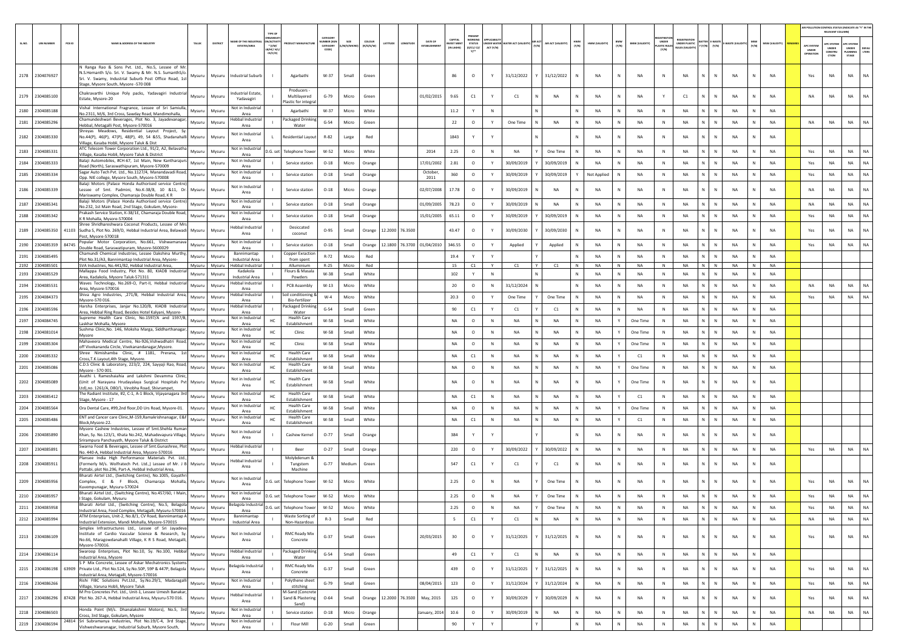|        |                                    |        |                                                                                                                                                                                                              |                           |                |                                                    |                                                   |                                                 |                               |                |                     |                 |         |                                |                                          |                                                                             |              |                                  |                       |              |                   |                    |                   |                                      |                                                             |                         |             |              |                |                                | AIR POLLUTION CONTROL STATUS (INDICATE AS "Y" IN THE<br>RELEVANT COLUMN |                                                |               |
|--------|------------------------------------|--------|--------------------------------------------------------------------------------------------------------------------------------------------------------------------------------------------------------------|---------------------------|----------------|----------------------------------------------------|---------------------------------------------------|-------------------------------------------------|-------------------------------|----------------|---------------------|-----------------|---------|--------------------------------|------------------------------------------|-----------------------------------------------------------------------------|--------------|----------------------------------|-----------------------|--------------|-------------------|--------------------|-------------------|--------------------------------------|-------------------------------------------------------------|-------------------------|-------------|--------------|----------------|--------------------------------|-------------------------------------------------------------------------|------------------------------------------------|---------------|
| SL.NO. | <b>UIN NUMBER</b>                  | PCB ID | NAME & ADDRESS OF THE INDUSTR'                                                                                                                                                                               | TALUK                     | <b>DISTRIC</b> | ME OF THE INDU:<br><b>ESTATES/AREA</b>             | <b>ACTIV</b><br>$^*$ (i/M/<br>B/HC/ H<br>$CE/C/O$ | DUCT MANUFACTUI                                 | CATEGORY<br>CATEGORY<br>CODET | /M/S/MICRO     | coLous<br>(R/O/G/W) | ATITUDE         |         | DATE OF<br><b>ESTABLISHMEN</b> | <b>CAPITAL</b><br>VEST MEN<br>(IN LAKHS) | PRESENT<br><b>WORKING</b><br><b>STATUS</b><br>(0/C1/C2/<br>$Y$ <sup>+</sup> | ACT (Y/N)    | INDER WATER WATER ACT (VALIDITY) | AIR ACT (VALIDITY)    | HWM<br>(Y/N) | HWM (VALIDITY)    | BMW<br>(Y/N)       | BMW (VALIDITY)    | UNDER<br><b>LASTIC RULE</b><br>(Y/N) | <b>FOISTRATIO</b><br>UNDER PLASTIC<br><b>NULES IVALIDIT</b> | ATTER<br>(Y/N)<br>(Y/N) | WASTE (VALI | MSW<br>(Y/N) | MSW (VALIDITY) | APC SYSTE<br>UNDER<br>OPERATIO | <b>APC SYSTEM</b><br><b>UNDER</b><br>CONSTRU<br>CTION                   | APC SYSTEM<br><b>UNDER</b><br>LANNING<br>STAGE | DEFA<br>LTERS |
| 2178   | 2304076927                         |        | N Ranga Rao & Sons Pyt. Ltd., No.5. Lessee of Mr.<br>N.S.Hemanth S/o. Sri. V. Swamy & Mr. N.S. SumanthS/o.<br>Sri. V. Swamy, Industrial Suburb Post Office Road, 1st<br>Stage, Mysore South, Mysore -570 008 | Mysuru                    | Mysuru         | <b>Industrial Suburb</b>                           |                                                   | Agarbathi                                       | W-37                          | Small          | Green               |                 |         |                                | 86                                       | $\circ$                                                                     | Y            | 31/12/2022                       | 31/12/2022            |              | NA                | N                  | NA                | ${\sf N}$                            | NA                                                          | ${\sf N}$<br>N          | NA          |              | NA             | Yes                            | NA                                                                      | NA                                             | NA            |
|        | 2179 2304085100                    |        | Chakravarthi Unique Poly packs, Yadavagiri Industrial<br>Estate, Mysore-20                                                                                                                                   | Mysuru                    | Mysuru         | ndustrial Estate,<br>Yadavagiri                    |                                                   | Producers<br>Multilavered<br>lastic for integra | $G-79$                        | Micro          | Green               |                 |         | 01/02/2015                     | 9.65                                     | C1                                                                          | Y            | C1                               | <b>NA</b>             | $\mathbb N$  | <b>NA</b>         | N                  | NA                | Y                                    | C1                                                          | $\mathbb{N}$<br>N       | <b>NA</b>   |              | <b>NA</b>      | <b>NA</b>                      | NA                                                                      | <b>NA</b>                                      | <b>NA</b>     |
| 2180   | 2304085188                         |        | Vishal International Fragrance, Lessee of Sri Samiulla,<br>No.2311, M/6, 3rd Cross, Sawday Road, Mandimohalla,                                                                                               | Mysuru                    | Mysuru         | Not in Industrial<br>Area                          |                                                   | Agarbathi                                       | $W-37$                        | Micro          | White               |                 |         |                                | 11.2                                     | Y                                                                           | N            |                                  |                       | $\mathbb{N}$ | <b>NA</b>         | N                  | <b>NA</b>         | $\mathbb{N}$                         | <b>NA</b>                                                   | N.<br>$\mathbb{N}$      | NA          | N            | <b>NA</b>      |                                |                                                                         |                                                |               |
|        | 2181 2304085296                    |        | Chamundeshwari Beverages, Plot No. 3, Jayadevanagar,<br>Hebbal, Metagalli Post, Mysore-570016                                                                                                                | Mysuru                    | Mysuru         | Hebbal Industrial<br>Area                          |                                                   | ackaged Drinking<br>Water                       | $G-54$                        | Micro          | Green               |                 |         |                                | 22                                       | $\circ$                                                                     | Y            | One Time                         | <b>NA</b>             | $\mathbb{N}$ | <b>NA</b>         | N                  | NA                | N                                    | NA                                                          | N<br>N                  | NA          | N            | <b>NA</b>      | NA                             | NA                                                                      | NA                                             | NA            |
|        | 2182 2304085330                    |        | Shreyas Meadows, Residential Layout Project, Sy.<br>No.44(P), 46(P), 47(P), 48(P), 49, 54 &55, Shadanahalli<br>Village, Kasaba Hobli, Mysore Taluk & Dist                                                    | Mysuru                    | Mysuru         | <b>Not in Industrial</b><br>Area                   |                                                   | Residential Layout                              | R-82                          | Large          | Red                 |                 |         |                                | 1843                                     | Y                                                                           |              |                                  |                       |              | <b>NA</b>         | N                  | NA                | N                                    | NA                                                          | N<br>$\mathbb{N}$       | NA          | N            | <b>NA</b>      |                                |                                                                         |                                                |               |
|        | 2183 2304085331                    |        | ATC Telecom Tower Corporation Ltd., 91/2, A2, Belavatha<br>Village, Kasaba Hobli, Mysore Taluk & District                                                                                                    | Mysuru                    | Mysuru         | <b>Not in Industrial</b><br>Area                   | D.G. set                                          | <b>Telephone Tower</b>                          | W-52                          | Micro          | White               |                 |         | 2014                           | 2.25                                     | $\circ$                                                                     | N            | <b>NA</b>                        | One Time              | N            | <b>NA</b>         | N                  | NA                | $\mathbb{N}$                         | NA                                                          | N<br>$\mathbb N$        | NA          | N            | <b>NA</b>      | Yes                            | NA                                                                      | <b>NA</b>                                      | NA            |
| 2184   | 2304085333                         |        | Balaji Automobiles, #CH-67, 1st Main, New Kantharajurs<br>Road (North), Saraswathipuram, Mysore-570009                                                                                                       | Mysuru                    | Mysuru         | Not in Industrial<br>Area                          |                                                   | Service station                                 | $O-18$                        | Micro          | Orange              |                 |         | 17/01/2002                     | 2.81                                     | $\circ$                                                                     |              | 30/09/2019                       | 30/09/2019            |              | NA                | N                  | NA                | N                                    | <b>NA</b>                                                   | N<br>N                  | NA          | N            | NA             | Yes                            | NA                                                                      | NA                                             | NA            |
|        | 2185 2304085334                    |        | Sagar Auto Tech Pvt. Ltd., No.1127/4, Manandavadi Road,<br>Opp. NIE college, Mysore South, Mysore-570008                                                                                                     | Mysuru                    | Mysuru         | Not in Industrial<br>Area                          |                                                   | Service station                                 | $O-18$                        | Small          | Orange              |                 |         | October.<br>2011               | 360                                      | $\circ$                                                                     | Y            | 30/09/2019                       | 30/09/2019            | Y            | Not Applied       | N                  | <b>NA</b>         | N                                    | <b>NA</b>                                                   | N<br>$\mathbb{N}$       | <b>NA</b>   | N            | <b>NA</b>      | Yes                            | NA                                                                      | <b>NA</b>                                      | NA            |
|        | 2186 2304085339                    |        | Balaji Motors (Palace Honda Authorised service Centre)<br>Lessee of Smt. Padmini, No.K-38/8, 10 &11, Dr. Mysuru<br>Mariswamy Complex, Chamaraja Double Road, K R                                             |                           | Mysuru         | Not in Industrial<br>Area                          |                                                   | Service station                                 | $O-18$                        | Micro          | Orange              |                 |         | 02/07/2008                     | 17.78                                    | $\circ$                                                                     |              | 30/09/2019                       | <b>NA</b>             |              | NA                | N                  | NA                | N                                    | <b>NA</b>                                                   | $\mathsf{N}$            | <b>NA</b>   |              | <b>NA</b>      | <b>NA</b>                      | NA                                                                      | NA                                             | <b>NA</b>     |
| 2187   | 2304085341                         |        | Balaii Motors (Palace Honda Authorised service Centre)<br>No.232, 1st Main Road, 2nd Stage, Gokulam, Mysore-                                                                                                 | Mysuru                    | Mysuru         | Not in Industrial<br>Area                          |                                                   | Service station                                 | $O-18$                        | Small          | Orange              |                 |         | 01/09/2005                     | 78.23                                    | $\circ$                                                                     | Y            | 30/09/2019                       | <b>NA</b>             | $\mathbb{N}$ | <b>NA</b>         | N                  | <b>NA</b>         | N                                    | <b>NA</b>                                                   | N<br>$\mathbb{N}$       | <b>NA</b>   | N            | <b>NA</b>      | <b>NA</b>                      | NA                                                                      | NA                                             | <b>NA</b>     |
|        | 2188 2304085342                    |        | Prakash Service Station, K-38/1E, Chamaraja Double Road,<br>K R Mohalla, Mysore-570004                                                                                                                       | Mysuru                    | Mysuru         | Not in Industrial<br>Area                          |                                                   | Service station                                 | $O-18$                        | Small          | Orange              |                 |         | 15/01/2005                     | 65.11                                    | $\circ$                                                                     | Y            | 30/09/2019                       | 30/09/2019            | N            | <b>NA</b>         | N                  | NA                | $\,$ N                               | NA                                                          | N                       | <b>NA</b>   | N            | <b>NA</b>      | Yes                            | NA                                                                      | NA                                             | <b>NA</b>     |
| 2189   | 2304085350                         |        | Shree Shridhareshwara Coconut Products, Lessee of Mrs<br>41103 Sudha S, Plot No. 269/D, Hebbal Industrial Area, Belawadi Mysuru                                                                              |                           | Mysuru         | <b>Hebbal Industrial</b>                           |                                                   | Desiccated                                      | $O-95$                        | Small          | Orange              | 12.2000 76.3500 |         |                                | 43.47                                    | $\circ$                                                                     |              | 30/09/2030                       | 30/09/2030            | N            | <b>NA</b>         | N                  | <b>NA</b>         | N                                    | <b>NA</b>                                                   | N.<br>$\mathbb{N}$      | NA          | N            | <b>NA</b>      | Yes                            | <b>NA</b>                                                               | <b>NA</b>                                      | <b>NA</b>     |
| 2190   | 2304085359                         | 84745  | Post. Mysore-570018<br>Popular Motor Corporation, No.661, Vishwamanava                                                                                                                                       | Mysuru                    | Mysuru         | Area<br>Not in Industrial                          |                                                   | coconut<br>Service station                      | $O-18$                        | Small          | Orange              | 12.1800 76.3700 |         | 01/04/2010                     | 346.55                                   | $\circ$                                                                     | Y            | Applied                          | Applied               |              | <b>NA</b>         | N                  | NA                | N                                    | <b>NA</b>                                                   | N                       | <b>NA</b>   |              | <b>NA</b>      | Yes                            | NA                                                                      | NA                                             | NA            |
| 2191   | 2304085495                         |        | Double Road, Saraswatipuram, Mysore-5600029<br>Chamundi Chemical Industries, Lessee Dakshina Murthy,                                                                                                         | Mysuru                    | Mysuru         | Area<br>Bannimantap                                |                                                   | Copper Exraction                                | $R - 72$                      | Micro          | Red                 |                 |         |                                | 19.4                                     | Y                                                                           | Y            |                                  |                       |              | <b>NA</b>         | N                  | <b>NA</b>         | <b>N</b>                             | <b>NA</b>                                                   | N.<br>$\mathbb{N}$      | <b>NA</b>   | N            | <b>NA</b>      |                                |                                                                         |                                                |               |
|        | 2192 2304085501                    |        | Plot No.31/A3. Bannimantap Industrial Area. Mysore-<br>SVA Industries, No.441/B2, Hebbal Industrial Area,                                                                                                    | Mysuru Mysuru             |                | <b>Industrial Area</b><br><b>Hebbal Industrial</b> |                                                   | from spent<br>Alluminium                        | $R - 25$                      | Micro          | Red                 |                 |         |                                | 15                                       | C1                                                                          | Y            | C1                               | C1                    | N            | NA                | N                  | NA                | N                                    | NA                                                          | $N$ $N$                 | NA          | N            | <b>NA</b>      |                                |                                                                         |                                                |               |
| 2193   | 2304085529                         |        | Mallappa Food Industry, Plot No. 80, KIADB Industrial<br>Area, Kadakola, Mysore Taluk-571311                                                                                                                 | Mysuru                    | Mysuru         | Kadakola<br>Industrial Area                        |                                                   | Flours & Masala<br>Powders                      | W-38                          | Small          | White               |                 |         |                                | 102                                      | Y                                                                           | N            |                                  |                       | N            | <b>NA</b>         | N                  | NA                | N                                    | <b>NA</b>                                                   | N                       | NA          | N            | <b>NA</b>      |                                |                                                                         |                                                |               |
| 2194   | 2304085531                         |        | Waves Technology, No.269-O, Part-II, Hebbal Industrial<br>Area, Mysore-570016                                                                                                                                | Mysuru                    | Mysuru         | lebbal Industria<br>Area                           |                                                   | PCB Assembly                                    | $W-13$                        | Micro          | White               |                 |         |                                | 20                                       | $\circ$                                                                     | N            | 31/12/2024                       |                       | N            | <b>NA</b>         | N                  | <b>NA</b>         | $\mathbb N$                          | <b>NA</b>                                                   | N.<br>N                 | NA          | N            | <b>NA</b>      | <b>NA</b>                      | <b>NA</b>                                                               | <b>NA</b>                                      | NA            |
| 2195   | 2304084373                         |        | Shiva Agro Industries, ,271/B, Hebbal Industrial Area,<br>Mysore-570 016.                                                                                                                                    | Mysuru                    | Mysuru         | <b>Hebbal Industrial</b><br>Area                   |                                                   | oil conditioning &<br>Bio-fertilizer            | $W-4$                         | Micro          | White               |                 |         |                                | 20.3                                     | $\circ$                                                                     | Y            | One Time                         | One Time              | N            | <b>NA</b>         | N                  | <b>NA</b>         | $\mathbb{N}$                         | <b>NA</b>                                                   | N<br>$\mathbb N$        | <b>NA</b>   | N            | <b>NA</b>      | Yes                            | NA                                                                      | <b>NA</b>                                      | <b>NA</b>     |
| 2196   | 2304085596                         |        | Harsha Enterprises, Janjar No.120/B, KIADB Industrial<br>Area, Hebbal Ring Road, Besides Hotel Kalyani, Mysore-                                                                                              | Mysuru                    | Mysuru         | lebbal Industrial<br>Area                          |                                                   | ackaged Drinking<br>Water                       | $G-54$                        | Small          | Green               |                 |         |                                | 90                                       | C1                                                                          | Y            | C1                               | C1                    |              | NA                | ${\sf N}$          | NA                | N                                    | NA                                                          | N                       | NA          |              | NA             |                                |                                                                         |                                                |               |
| 2197   | 2304084745                         |        | Supreme Health Care Clinic, No.1597/A and 1597/B,<br>Laskhar Mohalla, Mysore                                                                                                                                 | Mysuru                    | Mysuru         | Not in Industrial<br>Area                          |                                                   | <b>Health Care</b><br>Establishment             | $W-58$                        | Small          | White               |                 |         |                                | <b>NA</b>                                | $\circ$                                                                     | N            | <b>NA</b>                        | <b>NA</b>             | $\mathbb{N}$ | <b>NA</b>         | Y                  | One Time          | N                                    | <b>NA</b>                                                   | $\mathbb{N}$<br>N       | <b>NA</b>   | N            | NA             |                                |                                                                         |                                                |               |
| 2198   | 2304081014                         |        | Sushma Clinic, No. 146, Moksha Marga, Siddharthanagar,<br>Mysore                                                                                                                                             | Mysuru                    | Mysuru         | Not in Industrial<br>Area                          | HC                                                | Clinic                                          | W-58                          | Small          | White               |                 |         |                                | NA                                       | $\circ$                                                                     | N            | <b>NA</b>                        | <b>NA</b>             | N            | <b>NA</b>         | Y                  | One Time          | $\mathbb N$                          | <b>NA</b>                                                   | N                       | <b>NA</b>   | N            | <b>NA</b>      |                                |                                                                         |                                                |               |
| 2199   | 2304085304                         |        | Mahaveera Medical Centre, No-926, Vishwadhatri Road,<br>off Vivekananda Circle, Vivekanandanagar, Mysore.                                                                                                    | Mysuru                    | Mysuru         | Not in Industrial<br>Area                          | HC                                                | Clinic                                          | $W-58$                        | Small          | White               |                 |         |                                | <b>NA</b>                                | $\circ$                                                                     | N            | <b>NA</b>                        | <b>NA</b>             | N            | <b>NA</b>         | Y                  | One Time          | $\mathbb N$                          | <b>NA</b>                                                   | N.<br>$\mathbb{N}$      | <b>NA</b>   | N            | <b>NA</b>      |                                |                                                                         |                                                |               |
| 2200   | 2304085332                         |        | Shree Nimishamba Clinic, # 1181, Prerana, 1st<br>Cross.T.K.Layout,4th Stage, Mysore.                                                                                                                         | Mysuru                    | Mysuru         | <b>Not in Industria</b><br>Area                    | HC                                                | <b>Health Care</b><br>Establishment             | W-58                          | Small          | White               |                 |         |                                | <b>NA</b>                                | C1                                                                          | N            | NA                               | NA                    | N            | <b>NA</b>         | Y                  | C1                | N                                    | <b>NA</b>                                                   | N<br>$\mathbb N$        | NA          | N            | <b>NA</b>      |                                |                                                                         |                                                |               |
| 2201   | 2304085086                         |        | C.D.S Clinic & Laboratory, 223/2, 224, Sayyaji Rao, Road,<br>Mysore - 570 001.                                                                                                                               | Mysuru                    | Mysuru         | Not in Industrial<br>Area                          | HC                                                | <b>Health Care</b><br>Establishment             | $W-58$                        | Small          | White               |                 |         |                                | NA                                       | $\circ$                                                                     | N            | NA                               | NA                    |              | NA                |                    | One Time          | N                                    | NA                                                          | N.<br>$\mathbb N$       | NA          | N            | NA             |                                |                                                                         |                                                |               |
|        | 2202 2304085089                    |        | Avathi L Rameshaiahia and Lakshmi Devamma Clinic.<br>(Unit of Narayana Hrudayalaya Surgical Hospitals Pvt Mysuru<br>Ltd).no. 1261/A. D80/1. Vinobha Road. Shivrampet.                                        |                           | Mysuru         | Not in Industrial<br>Area                          |                                                   | <b>Health Care</b><br>Establishment             | W-58                          | Small          | White               |                 |         |                                | NA                                       | $\circ$                                                                     | N            | NA                               | NA                    | $\mathbb N$  | N <sub>A</sub>    |                    | One Time          | N                                    | <b>NA</b>                                                   | N<br>${\sf N}$          | NA          | N            | <b>NA</b>      |                                |                                                                         |                                                |               |
| 2203   | 2304085412                         |        | The Radiant Institute, #2, C-1, A-1 Block, Vijayanagara 3rd<br>Stage, Mysore - 17                                                                                                                            | Mysuru                    | Mysuru         | <b>Not in Industrial</b><br>Area                   | HC                                                | <b>Health Care</b><br>Establishment             | W-58                          | Small          | White               |                 |         |                                | NA                                       | C1                                                                          | $\mathbb{N}$ | NA                               | NA                    | N            | <b>NA</b>         |                    | C1                | N                                    | NA                                                          | N<br>N                  | <b>NA</b>   | N            | NA             |                                |                                                                         |                                                |               |
| 2204   | 2304085564                         |        | Ora Dental Care, #99,2nd floor,DD Urs Road, Mysore-01.                                                                                                                                                       | Mysuru                    | Mysuru         | Not in Industria<br>Area                           |                                                   | <b>Health Care</b><br>Establishment             | W-58                          | Small          | White               |                 |         |                                | <b>NA</b>                                | $\circ$                                                                     | N            | <b>NA</b>                        | <b>NA</b>             | $\mathbb{N}$ | <b>NA</b>         | Y                  | One Time          | N                                    | <b>NA</b>                                                   | N<br>$\mathbb{N}$       | <b>NA</b>   | N            | <b>NA</b>      |                                |                                                                         |                                                |               |
|        | 2205 2304085486                    |        | ENT and Cancer care Clinic, M-159, Ramakrishnanagar, E&F<br>Block, Mysore-22.                                                                                                                                | Mysuru                    | Mysuru         | Not in Industrial<br>Area                          | HC                                                | <b>Health Care</b><br>Establishment             | W-58                          | Small          | White               |                 |         |                                | <b>NA</b>                                | C1                                                                          | N            | <b>NA</b>                        | <b>NA</b>             | $\mathbb N$  | <b>NA</b>         | Y                  | C1                | N                                    | <b>NA</b>                                                   | $\mathbb{N}$<br>N       | <b>NA</b>   | N            | NA             |                                |                                                                         |                                                |               |
|        | 2206 2304085890                    |        | Mysore Cashew Industries, Lessee of Smt.Shehla Ruman<br>Khan, Sy. No.123/1, Khata No.242, Mahadevapura Village, Mysuru                                                                                       |                           | Mysuru         | Not in Industrial<br>Area                          |                                                   | Cashew Kernel                                   | $O-77$                        | Small          | Orange              |                 |         |                                | 384                                      | Y                                                                           | Y            |                                  |                       |              | <b>NA</b>         | N                  | <b>NA</b>         | N                                    | <b>NA</b>                                                   | N<br>$\mathbb{N}$       | NA          | N            | <b>NA</b>      |                                |                                                                         |                                                |               |
|        | 2207 2304085891                    |        | Srirampura Panchayath, Mysore Taluk & District<br>Swarna Food & Beverages, Lessee of Smt.Gunashree, Plot                                                                                                     | Mysuru I                  | Mysuru         | lebbal Industria                                   |                                                   | Beer                                            | $O-27$                        | Small          | Orange              |                 |         |                                | 220                                      | $\circ$                                                                     | Y            | 30/09/2022                       | 30/09/2022            | N            | <b>NA</b>         | N                  | <b>NA</b>         | N                                    | <b>NA</b>                                                   | N<br>N                  | NA          | N            | <b>NA</b>      | Yes                            | NA                                                                      | <b>NA</b>                                      | <b>NA</b>     |
| 2208   | 2304085911                         |        | No. 440-A, Hebbal Industrial Area, Mysore-570016<br>Plansee India High Performance Materials Pvt. Ltd.,<br>(Formerly M/s. Wolfratech Pvt. Ltd.,) Lessee of Mr. J B Mysuru                                    |                           | Mysuru         | Area<br><b>Hebbal Industrial</b>                   |                                                   | Molybdenum &<br>Tungstem                        | $G-77$                        | Medium         | Green               |                 |         |                                | 547                                      | C1                                                                          | Y            | C1                               | C1                    | N            | <b>NA</b>         | N                  | <b>NA</b>         | N                                    | <b>NA</b>                                                   | N.<br>$\mathbb{N}$      | NA          | N            | <b>NA</b>      |                                |                                                                         |                                                |               |
| 2209   | 2304085956                         |        | Pattabi, plot No.296, Part-A, Hebbal Industrial Area,<br>Bharati Airtel Ltd., (Switching Centre), No.1005, Gayathri<br>Complex, E & F Block, Chamaraja Mohalla, Mysuru                                       |                           | Mysuru         | Area<br>Not in Industrial                          | D.G. set                                          | Machine<br><b>Telephone Tower</b>               | $W-52$                        | Micro          | White               |                 |         |                                | 2.25                                     | $\circ$                                                                     | N            | NA                               | One Time              |              | <b>NA</b>         | N                  | <b>NA</b>         | N                                    | <b>NA</b>                                                   | $\mathsf{N}$            | <b>NA</b>   |              | <b>NA</b>      | Yes                            | NA                                                                      | <b>NA</b>                                      | <b>NA</b>     |
|        | 2210 2304085957                    |        | Kuvempunagar, Mysuru-570024<br>Bharati Airtel Ltd., (Switching Centre), No.457/60, I Main, Mysuru Mysuru                                                                                                     |                           |                | Area<br>Not in Industrial                          | D.G. set                                          | <b>Telephone Tower</b>                          | W-52                          | Micro          | White               |                 |         |                                | 2.25                                     | $\circ$                                                                     | N            | <b>NA</b>                        | One Time              | $\mathbb{N}$ | <b>NA</b>         | N                  | NA                | N                                    | <b>NA</b>                                                   | N<br>$\mathbb{N}$       | <b>NA</b>   |              | <b>NA</b>      | Yes                            | <b>NA</b>                                                               | <b>NA</b>                                      |               |
|        |                                    |        | I Stage, Gokulam, Mysuru<br>Bharati Airtel Ltd., (Switching Centre), No.5, Belagola                                                                                                                          |                           |                | Area<br>Belagola Industrial                        |                                                   | <b>Telephone Tower</b>                          |                               |                |                     |                 |         |                                |                                          |                                                                             |              |                                  |                       | N.           |                   |                    |                   | -N                                   |                                                             | N.                      |             | N.           |                |                                |                                                                         |                                                |               |
|        | 2211 2304085958<br>2212 2304085994 |        | Industrial Area, Food Complex, Metagalli, Mysuru-570016<br>ATM Enterprises, Unit-2, No.8/1, CV Road, Bannimantap A                                                                                           | Mysuru   Mysuru<br>Mysuru | Mysuru         | Area<br>Bannimantap                                | D.G. set                                          | Waste Sorting of                                | W-52<br>$R-3$                 | Micro<br>Small | White<br>Red        |                 |         |                                | 2.25<br>-5                               | $\circ$<br>$\mathsf{C1}$                                                    | N<br>Y       | - NA<br>C1                       | One Time<br><b>NA</b> | N            | - NA<br><b>NA</b> | N.<br>$\mathsf{N}$ | - NA<br><b>NA</b> | N                                    | - NA<br><b>NA</b>                                           | N<br>N.<br>$\mathbb{N}$ | NA<br>NA    | N            | - NA<br>NA     | Yes<br><b>NA</b>               | NA.<br>NA                                                               | - NA<br><b>NA</b>                              | - NA<br>NA    |
|        |                                    |        | Industrial Extension, Mandi Mohalla, Mysore-570015<br>Simplex Infrastructures Ltd., Lessee of Sri Jayadeva                                                                                                   |                           |                | <b>Industrial Area</b>                             |                                                   | Non-Hazardous                                   |                               |                |                     |                 |         |                                |                                          |                                                                             |              |                                  |                       |              |                   |                    |                   |                                      |                                                             |                         |             |              |                |                                |                                                                         |                                                |               |
|        | 2213 2304086109                    |        | Institute of Cardio Vascular Science & Research, Sy.<br>No.66, Maragowdanahalli Village, K R S Road, Metagalli,<br>Mysore-570016.                                                                            | Mysuru                    | Mysuru         | Not in Industrial<br>Area                          |                                                   | <b>RMC Ready Mix</b><br>Concrete                | $G-37$                        | Small          | Green               |                 |         | 20/03/2015                     | 30                                       | $\circ$                                                                     | Y            | 31/12/2025                       | 31/12/2025            | N            | <b>NA</b>         | N                  | <b>NA</b>         | N                                    | NA                                                          | N<br>N                  | NA          | N            | <b>NA</b>      | Yes                            | NA                                                                      | <b>NA</b>                                      | NA            |
|        | 2214 2304086114                    |        | Swaroop Enterprises, Plot No.10, Sy. No.100, Hebbal<br>Industrial Area, Mysore                                                                                                                               | Mysuru                    | Mysuru         | <b>Hebbal Industrial</b><br>Area                   |                                                   | Packaged Drinking<br>Water                      | $G-54$                        | Small          | Green               |                 |         |                                | 49                                       | C1                                                                          | Y            | C1                               | NA                    | N            | NA                | ${\sf N}$          | NA                | $\,$ N $\,$                          | NA                                                          | N<br>$\,$ N             | NA          | N            | NA             |                                |                                                                         |                                                |               |
| 2215   | 2304086198                         | 63909  | S P Mix Concrete, Lessee of Askar Mechatronics Systems<br>Private Ltd., Plot No.524, Sy.No.50P, 59P & 447P, Belagola Mysuru<br>Industrial Area, Metagalli, Mysore-570016                                     |                           | Mysuru         | elagola Industria<br>Area                          |                                                   | <b>RMC Ready Mix</b><br>Concrete                | $G-37$                        | Small          | Green               |                 |         |                                | 439                                      | $\circ$                                                                     | Y            | 31/12/2025                       | 31/12/2025            | N            | <b>NA</b>         | ${\sf N}$          | NA                | $\,$ N                               | NA                                                          | N<br>${\sf N}$          | NA          | N            | <b>NA</b>      | Yes                            | NA                                                                      | <b>NA</b>                                      | <b>NA</b>     |
|        | 2216 2304086266                    |        | Rishi FIBC Solutions Pvt.Ltd., Sy.No.29/1, Madaragalli<br>Village, Varuna Hobli, Mysore Taluk                                                                                                                | Mysuru                    | Mysuru         | Not in Industrial<br>Area                          |                                                   | Polythene sheet<br>stitching                    | $G - 79$                      | Small          | Green               |                 |         | 08/04/2015                     | 123                                      | $\circ$                                                                     | Y            | 31/12/2024                       | 31/12/2024            | $\mathbb{N}$ | <b>NA</b>         | N                  | NA                | N                                    | NA                                                          | N<br>N                  | NA          | ${\sf N}$    | <b>NA</b>      | Yes                            | NA                                                                      | <b>NA</b>                                      | <b>NA</b>     |
| 2217   | 2304086296                         |        | M Pro Concretes Pvt. Ltd., Unit-1, Lessee Umesh Banakar,<br>87428 Plot No. 267-A, Hebbal Industrial Area, Mysuru-570 016.                                                                                    | Mysuru                    | Mysuru         | Hebbal Industrial<br>Area                          |                                                   | <b>M-Sand (Concrete</b><br>Sand & Plastering    | $O - 64$                      | Small          | Orange              | 12.2000         | 76.3500 | May, 2015                      | 125                                      | $\circ$                                                                     | Y            | 30/09/2029                       | 30/09/2029            | N            | <b>NA</b>         | ${\sf N}$          | NA                | $\,$ N                               | NA                                                          | ${\sf N}$               | NA          | ${\sf N}$    | NA             | Yes                            | NA                                                                      | <b>NA</b>                                      | <b>NA</b>     |
|        | 2218 2304086503                    |        | Honda Point (M/s. Dhanalakshmi Motors), No.5, 3rd<br>Cross, 3rd Stage, Gokulam, Mysore                                                                                                                       | Mysuru                    | Mysuru         | Not in Industrial<br>Area                          |                                                   | Sand)<br>Service station                        | $O-18$                        | Micro          | Orange              |                 |         | anuary, 2014                   | 10.6                                     | $\circ$                                                                     | Y            | 30/09/2019                       | NA                    | N            | <b>NA</b>         | N                  | NA                | $\,$ N                               | NA                                                          | N<br>$\,$ N             | NA          | ${\sf N}$    | NA             | NA                             | NA                                                                      | <b>NA</b>                                      | NA            |
| 2219   | 2304086594                         |        | 24814 Sri Subramanya Industries, Plot No.19/C-4, 3rd Stage,<br>Vishweshwaranagar, Industrial Suburb, Mysore South,                                                                                           | Mysuru                    | Mysuru         | Not in Industrial<br>Area                          |                                                   | Flour Mill                                      | $G-20$                        | Small          | Green               |                 |         |                                | 90                                       | Y                                                                           |              |                                  |                       |              | NA                | N                  | NA                | N                                    | NA                                                          | N                       | $\sf NA$    | N            | NA             |                                |                                                                         |                                                |               |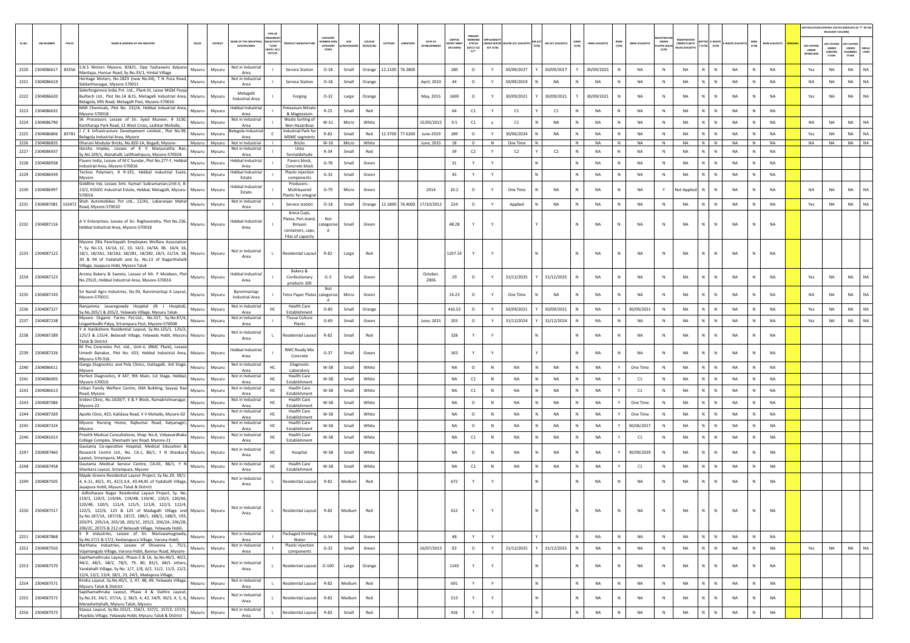|        |                   |          |                                                                                                                                                                                                                                                                                                                                                                                                                                                                  |        |                |                                                |                                                  |                                                                                       |                                         |                    |                            |                 |                                |                                 |                                                  |                        |                |       |                  |              |                |              |                       |                                      |                                                         |                                     |                  |              |                       |                                        | AIR POLLUTION CONTROL STATUS (INDICATE AS "Y" IN THE<br>RELEVANT COLUMN) |                                                |                |
|--------|-------------------|----------|------------------------------------------------------------------------------------------------------------------------------------------------------------------------------------------------------------------------------------------------------------------------------------------------------------------------------------------------------------------------------------------------------------------------------------------------------------------|--------|----------------|------------------------------------------------|--------------------------------------------------|---------------------------------------------------------------------------------------|-----------------------------------------|--------------------|----------------------------|-----------------|--------------------------------|---------------------------------|--------------------------------------------------|------------------------|----------------|-------|------------------|--------------|----------------|--------------|-----------------------|--------------------------------------|---------------------------------------------------------|-------------------------------------|------------------|--------------|-----------------------|----------------------------------------|--------------------------------------------------------------------------|------------------------------------------------|----------------|
| SL.NO. | <b>UIN NUMBER</b> | $PCB$ ID | <b>VAME &amp; ADDRESS OF THE INDUSTR'</b>                                                                                                                                                                                                                                                                                                                                                                                                                        | TALUK  | <b>DISTRIC</b> | AME OF THE INDUSTR<br><b>ESTATES/AREA</b>      | <b>N/ACTIV</b><br>$*(1/M)$<br>8/HC/ H/<br>CE/C/O |                                                                                       | CATEGOR<br>MBER DO<br>CATEGORY<br>CODE) | SIZE<br>M/S/MICRO] | <b>COLOUR</b><br>(R/O/G/W) | ATITUDE         | DATE OF<br><b>ESTABLISHMEN</b> | CAPITAL<br>EST MEP<br>IN LAKHS) | PRESENT<br>WORKING<br>STATUS<br>(0/C1/ C2/<br>Y1 | NDER WATE<br>ACT (Y/N) | TER ACT (VALID | (Y/N) | AIR ACT (VALIDIT | HWM<br>(Y/N) | HWM (VALIDITY) | BMW<br>(Y/N) | <b>BMW (VALIDITY)</b> | UNDER<br><b>LASTIC RULE</b><br>(Y/N) | <b>IEGISTRATI</b><br>INDER PLASTI<br><b>JLES (VALID</b> | <b>TTER E-WAST</b><br>Y/N)<br>(Y/N) | <b>NASTE</b> (VA | MSW<br>(Y/N) | <b>MSW (VALIDITY)</b> | APC SYSTEI<br><b>UNDER</b><br>IPERATIO | <b>PC SYSTER</b><br><b>UNDER</b><br>CONSTRU<br>CTION                     | <b>APC SYSTER</b><br>UNDER<br>LANNING<br>STAGE | DEFAL<br>LTERS |
| 2220   | 2304086617        | 83356    | S.N.S Motors Mysore, #2421, Opp Yashaswini Kalyana                                                                                                                                                                                                                                                                                                                                                                                                               | Mysuru | Mysuru         | Not in Industrial                              |                                                  | Service Station                                                                       | $O-18$                                  | Small              | Orange                     | 12.2100 76.3800 |                                | 180                             | $\circ$                                          | Υ                      | 30/09/2027     |       | 30/09/2027       |              | 30/09/2025     | N            | NA                    | N                                    | NA                                                      | N                                   | <b>NA</b>        |              | NA                    | Yes                                    | NA                                                                       | NA                                             | NA             |
|        | 2221 2304086619   |          | Mantapa, Hunsur Road, Sy.No.33/1, Hinkal Village<br>Heritage Motors, No.1823 (new No.04), T N Pura Road,                                                                                                                                                                                                                                                                                                                                                         | Mysuru | Mysuru         | Area<br>Not in Industrial                      |                                                  | <b>Service Station</b>                                                                | $O-18$                                  | Small              | Orange                     |                 | April, 2010                    | 44                              | $\circ$                                          | Y                      | 30/09/2019     |       | <b>NA</b>        |              | <b>NA</b>      | N            | NA                    | N                                    | <b>NA</b>                                               | N<br>$\mathbb{N}$                   | <b>NA</b>        | N            | <b>NA</b>             | <b>NA</b>                              | NA                                                                       | <b>NA</b>                                      | <b>NA</b>      |
|        | 2222 2304086620   |          | Siddarthanagar, Mysore-570011<br>Siderforgerossi India Pvt. Ltd., Plant-III, Lesse MGM Pooja<br>Builtech Ltd., Plot No.14 &15, Metagalli Industrial Area, Mysuru                                                                                                                                                                                                                                                                                                 |        | Mysuru         | Area<br>Metagalli<br>Industrial Area           |                                                  | Forging                                                                               | $O-32$                                  | Large              | Orange                     |                 | May, 2015                      | 1600                            | $\circ$                                          | Y                      | 30/09/2021     |       | 30/09/2021       |              | 30/09/2021     | N            | <b>NA</b>             | N                                    | <b>NA</b>                                               | $\mathbb{N}$                        | <b>NA</b>        |              | NA                    | Yes                                    | NA                                                                       | NA                                             | <b>NA</b>      |
|        | 2223 2304086632   |          | Belagola, KRS Road, Metagalli Post, Mysore-570016<br>MSR Chemicals, Plot No. 232/A, Hebbal Industrial Area,                                                                                                                                                                                                                                                                                                                                                      | Mysuru | Mysuru         | Hebbal Industria                               |                                                  | Potassium Nitrate                                                                     | $R-25$                                  | Small              | Red                        |                 |                                | 64                              | C1                                               | Y                      | C1             |       | C1               | N            | <b>NA</b>      | N            | NA                    | N                                    | <b>NA</b>                                               | N<br>$\mathbb{N}$                   | <b>NA</b>        | N            | <b>NA</b>             |                                        |                                                                          |                                                |                |
| 2224   | 2304086790        |          | Mysore-570018.<br>SK Processors Lessee of Sri. Syed Muneer, # 3130,                                                                                                                                                                                                                                                                                                                                                                                              | Mysuru | Mysuru         | Area<br>Not in Industrial                      |                                                  | & Magnesium<br>Waste Sorting of                                                       | $W-51$                                  | Micro              | White                      |                 | 15/05/2015                     | 9.5                             | C1                                               | v                      | C1             |       | <b>NA</b>        | N            | <b>NA</b>      | N            | NA                    | N                                    | <b>NA</b>                                               | N<br>N                              | <b>NA</b>        | N            | NA                    | <b>NA</b>                              | NA                                                                       | <b>NA</b>                                      | NA             |
| 2225   | 2304086806        | 83781    | Kantharaja Park Road, 21 West Cross, Lashkar Mohalla,<br>J C K Infrastructure Development Limited., Plot No.99,                                                                                                                                                                                                                                                                                                                                                  | Mysuru | Mysuru         | Area<br>elagola Industria                      |                                                  | Non-Hazardous<br>ndustrial Park fo                                                    | R-82                                    | Small              | Red                        | 12.3700 77.6200 | June-2019                      | 189                             | $\circ$                                          | Y                      | 30/06/2024     |       | NA               |              | <b>NA</b>      | N            | NA                    | N                                    | <b>NA</b>                                               | N<br>N                              | NA               | N            | <b>NA</b>             | Yes                                    | <b>NA</b>                                                                | NA                                             | NA             |
|        | 2226 2304086835   |          | Belagola Industrial Area, Mysore<br>Dharani Modular Bricks, No.820-1A, Bogadi, Mysore-                                                                                                                                                                                                                                                                                                                                                                           |        | Mysuru Mysuru  | Area<br>Not in Industrial<br>Not in Industrial |                                                  | <b>MSME</b> segments<br><b>Bricks</b>                                                 | $W-16$                                  | Micro              | White                      |                 | June, 2015                     | 18                              | $\circ$                                          | $\mathbb{N}$           | One Time       | N     |                  | N            | <b>NA</b>      | N            | NA                    | N                                    | <b>NA</b>                                               | N N                                 | <b>NA</b>        | N            | <b>NA</b>             | <b>NA</b>                              | <b>NA</b>                                                                | <b>NA</b>                                      | NA             |
| 2227   | 2304086937        |          | Harsha Implex, Lessee of K V Manjunatha Rao,<br>Sy.No.109/1, Alanahalli, Lalithadripura, Mysore-570028<br>Pavers India, Lessee of M C Sundar, Plot No.277-F, Hebbal                                                                                                                                                                                                                                                                                              | Mysuru | Mysuru         | Area<br>lebbal Industrial                      |                                                  | Urea<br>formaldehyde<br>Pavers block,                                                 | $R-34$                                  | Small              | Red                        |                 |                                | 39                              | C2                                               | Y                      | C2             |       | C2               | $\mathbb N$  | <b>NA</b>      | N            | <b>NA</b>             | $\mathbb{N}$                         | <b>NA</b>                                               | N<br>N                              | <b>NA</b>        | N            | NA                    |                                        |                                                                          |                                                |                |
| 2228   | 2304086938        |          | Industrial Area. Mysore-570016<br>Techno Polymers, # R-155, Hebbal Industrial Esate,                                                                                                                                                                                                                                                                                                                                                                             | Mysuru | Mysuru         | Area<br>lebbal Industrial                      |                                                  | Concrete block<br>Plastic injection                                                   | $G-78$                                  | Small              | Green                      |                 |                                | 31                              | Y                                                | Y                      |                |       |                  |              | <b>NA</b>      | N            | NA                    | $\mathbb N$                          | NA                                                      | N.<br>N                             | NA               | N            | <b>NA</b>             |                                        |                                                                          |                                                |                |
|        | 2229 2304086939   |          | Mysore<br>Goldline Ind, Lessee Smt. Kumari Subramanian, Unit-II, B-                                                                                                                                                                                                                                                                                                                                                                                              | Mysuru | Mysuru         | Estate                                         |                                                  | components<br>Producers -                                                             | $G-32$                                  | Small              | Green                      |                 |                                | 45                              | Y                                                | Y                      |                |       |                  | N            | <b>NA</b>      | N            | NA                    | $\,$ N                               | NA                                                      | N<br>$\,$ N                         | <b>NA</b>        | N            | <b>NA</b>             |                                        |                                                                          |                                                |                |
|        | 2230 2304086997   |          | 13/2, KSSIDC Industrial Estate, Hebbal, Metagalli, Mysuru-<br>570016                                                                                                                                                                                                                                                                                                                                                                                             | Mysuru | Mysuru         | lebbal Industrial<br>Estate                    |                                                  | Multilayered<br>Plastic for integra                                                   | $G-79$                                  | Micro              | Green                      |                 | 2014                           | 10.2                            | $\circ$                                          |                        | One Time       |       | NA               | $\mathbb N$  | NA             | ${\sf N}$    | NA                    | Y                                    | Not Applied                                             | $\mathbb{N}$                        | <b>NA</b>        | N            | NA                    | NA                                     | NA                                                                       | NA                                             | NA             |
|        | 2231 2304087081   |          | 102472 Shah Automobikes Pvt Ltd., 12/A1, Lokaranjan Mahal                                                                                                                                                                                                                                                                                                                                                                                                        | Mysuru | Mysuru         | Not in Industrial<br>Area                      |                                                  | Service station                                                                       | $O-18$                                  | Small              | Orange                     |                 | 12.1800 76.4000 17/10/2012     | 224                             | $\circ$                                          | Y                      | Applied        |       | NA               | N            | <b>NA</b>      | N            | NA                    | $\,$ N                               | NA                                                      | ${\sf N}$<br>N                      | <b>NA</b>        | N            | NA                    | Yes                                    | NA                                                                       | NA                                             | <b>NA</b>      |
|        | 2232 2304087116   |          | A V Enterprises, Lessee of Sri. Raghavendra, Plot No.236, Mysuru Mysuru<br>Hebbal Industrial Area, Mysore-570018                                                                                                                                                                                                                                                                                                                                                 |        |                | <b>Hebbal Industrial</b><br>Area               |                                                  | Areca Cups,<br>lates, Pen stand<br>Biriyani<br>containers, caps,<br>Files of capacity | Not<br>ategorise<br>d                   | Small              | Green                      |                 |                                | 48.28                           | Y                                                |                        |                |       |                  | N            | <b>NA</b>      | N            | <b>NA</b>             | $\mathbb{N}$                         | <b>NA</b>                                               | $\mathbb N$<br>$\mathbb{N}$         | NA               |              | <b>NA</b>             |                                        |                                                                          |                                                |                |
|        | 2233 2304087122   |          | Mysore Zilla Panchayath Employees Welfare Association<br>, Sy. No.13, 14/1A, 1C, 1D, 14/2, 14/3A, 3B, 14/4, 16,<br>18/1, 18/2A1, 18/2A2, 18/2B1, 18/2B2, 18/3, 21/1A, 1B, Mysuru<br>30 & 94 of Yadahalli and Sy. No.13 of Nagarthahalli<br>Village, Jayapura Hobl, Mysore Taluk                                                                                                                                                                                  |        | Mysuru         | Not in Industrial<br>Area                      |                                                  | <b>Residential Layout</b>                                                             | R-82                                    | Large              | Red                        |                 |                                | 1297.33                         | Y                                                |                        |                |       |                  | $\mathbb{N}$ | <b>NA</b>      | N            | NA                    | N                                    | NA                                                      | $\mathbb{N}$<br>N                   | NA               | N            | <b>NA</b>             |                                        |                                                                          |                                                |                |
|        | 2234 2304087123   |          | Aroma Bakery & Sweets, Lessee of Mr. P Moideen, Plot<br>No.291/E. Hebbal Industrial Area. Mysore-570016                                                                                                                                                                                                                                                                                                                                                          | Mysuru | Mysuru         | lebbal Industrial<br>Area                      |                                                  | Bakery &<br>Confectionery<br>products 100                                             | $G-3$                                   | Small              | Green                      |                 | October,<br>2006               | 29                              | $\circ$                                          |                        | 31/12/2025     |       | 31/12/2025       | N            | <b>NA</b>      | ${\sf N}$    | NA                    | ${\sf N}$                            | NA                                                      | N.<br>$\mathbb{N}$                  | <b>NA</b>        |              | <b>NA</b>             | Yes                                    | NA                                                                       | NA                                             | <b>NA</b>      |
|        | 2235 2304087143   |          | Sri Nandi Agro Industries, No.93, Bannimantap A Layout,<br>Mysore-570015.                                                                                                                                                                                                                                                                                                                                                                                        | Mysuru | Mysuru         | Bannimantap<br><b>Industrial Area</b>          |                                                  | Tetra Paper Plates                                                                    | Not<br>categorise                       | Micro              | Green                      |                 |                                | 14.23                           | $\circ$                                          |                        | One Time       |       | <b>NA</b>        | N            | <b>NA</b>      | N            | <b>NA</b>             | N                                    | NA                                                      | N<br>Ν                              | NA               | N            | <b>NA</b>             | NA                                     | <b>NA</b>                                                                | NA                                             | NA             |
| 2236   | 2304087227        |          | Nanjamma Javaregowda Hospital (N J Hospital),<br>Sy.No.205/1 & 205/2, Yelawala Village, Mysuru Taluk-                                                                                                                                                                                                                                                                                                                                                            | Mysuru | Mysuru         | Not in Industrial<br>Area                      | HC.                                              | <b>Health Care</b><br>Establishment                                                   | $O-85$                                  | Small              | Orange                     |                 |                                | 410.53                          | $\circ$                                          | Y                      | 30/09/2021     |       | 30/09/2021       |              | <b>NA</b>      | Y            | 30/09/2021            | N                                    | NA                                                      | $\mathbb{N}$<br>N                   | NA               | N            | NA                    | Yes                                    | NA                                                                       | <b>NA</b>                                      | <b>NA</b>      |
|        | 2237 2304087238   |          | Mysore Organic Farms Pvt.Ltd., No.317, Sy.No.87/4,<br>Lingambudhi Palya, Srirampura Post, Mysore-570008                                                                                                                                                                                                                                                                                                                                                          | Mysuru | Mysuru         | Not in Industrial<br>Area                      |                                                  | <b>Tissue Culture</b><br>Plants                                                       | $G-69$                                  | Small              | Green                      |                 | June, 2015                     | 203                             | $\circ$                                          | Υ                      | 31/12/2024     |       | 31/12/2024       | N            | <b>NA</b>      | N            | NA                    | $\,$ N                               | NA                                                      | N<br>${\sf N}$                      | <b>NA</b>        | N            | NA                    | Yes                                    | NA                                                                       | NA                                             | NA             |
| 2238   | 2304087289        |          | Y A Harikishore Residential Layout, Sy.No.125/1, 125/2,<br>125/3 & 125/4, Belavadi Village, Yelawala Hobli, Mysuru<br>Taluk & District                                                                                                                                                                                                                                                                                                                           | Mysuru | Mysuru         | Not in Industrial<br>Area                      |                                                  | Residential Layout                                                                    | R-82                                    | Small              | Red                        |                 |                                | 328                             | Y                                                |                        |                |       |                  |              | NA             | N            | NA                    | N                                    | NA                                                      | ${\sf N}$<br>N                      | <b>NA</b>        |              | NA                    |                                        |                                                                          |                                                |                |
|        | 2239 2304087326   |          | M Pro Concretes Pvt. Ltd., Unit-II, (RMC Plant), Lessee<br>Umesh Banakar, Plot No. 653, Hebbal Industrial Area, Mysuru<br>Mysuru-570 016.                                                                                                                                                                                                                                                                                                                        |        | Mysuru         | lebbal Industrial<br>Area                      |                                                  | <b>RMC Ready Mix</b><br>Concrete                                                      | $G-37$                                  | Small              | Green                      |                 |                                | 163                             | Y                                                |                        |                |       |                  | N            | <b>NA</b>      | N            | <b>NA</b>             | $\mathbb N$                          | <b>NA</b>                                               | N<br>$\mathbb N$                    | <b>NA</b>        | N            | <b>NA</b>             |                                        |                                                                          |                                                |                |
| 2240   | 2304086611        |          | Ganga Diagnostics and Poly Clinics, Dattagalli, 3rd Stage,<br>Mysore                                                                                                                                                                                                                                                                                                                                                                                             | Mysuru | Mysuru         | Not in Industrial<br>Area                      | HC.                                              | Diagnostic<br>Laboratory                                                              | W-58                                    | Small              | White                      |                 |                                | <b>NA</b>                       | $\circ$                                          | $\mathbb N$            | NA             |       | <b>NA</b>        |              | <b>NA</b>      | Y            | One Time              | N                                    | <b>NA</b>                                               | N.<br>$\mathbb N$                   | NA               | N            | NA                    |                                        |                                                                          |                                                |                |
| 2241   | 2304086605        |          | Perfect Diagnostics, # 347, 9th Main, 1st Stage, Hebbal,<br>Mysore-570016                                                                                                                                                                                                                                                                                                                                                                                        | Mysuru | Mysuru         | Not in Industrial<br>Area                      | HC.                                              | <b>Health Care</b><br>Establishment                                                   | W-58                                    | Small              | White                      |                 |                                | NA                              | C1                                               | $\,$ N                 | NA             |       | NA               | N            | <b>NA</b>      | Y            | C1                    | $\,$ N                               | NA                                                      | N<br>${\sf N}$                      | <b>NA</b>        | N            | <b>NA</b>             |                                        |                                                                          |                                                |                |
|        | 2242 2304086613   |          | Urban Family Welfare Centre, IMA Building, Sayyaji Rao<br>Road, Mysore                                                                                                                                                                                                                                                                                                                                                                                           | Mysuru | Mysuru         | Not in Industrial<br>Area                      |                                                  | <b>Health Care</b><br>Establishment                                                   | W-58                                    | Small              | White                      |                 |                                | <b>NA</b>                       | C1                                               | N                      | <b>NA</b>      |       | <b>NA</b>        |              | <b>NA</b>      | Y            | C1                    | N                                    | <b>NA</b>                                               | N                                   | <b>NA</b>        | N            | <b>NA</b>             |                                        |                                                                          |                                                |                |
| 2243   | 2304087086        |          | Sridevi Clinic, No.1620/7, E & F Block, Ramakrishnanagar,<br>Mysore-22                                                                                                                                                                                                                                                                                                                                                                                           | Mysuru | Mysuru         | Not in Industrial<br>Area                      |                                                  | <b>Health Care</b><br>Establishment                                                   | W-58                                    | Small              | White                      |                 |                                | <b>NA</b>                       | $\circ$                                          | N                      | NA             |       | <b>NA</b>        | $\mathbb{N}$ | <b>NA</b>      | Y            | One Time              | $\mathbb{N}$                         | <b>NA</b>                                               | N.<br>$\mathbb{N}$                  | <b>NA</b>        | ${\sf N}$    | <b>NA</b>             |                                        |                                                                          |                                                |                |
| 2244   | 2304087269        |          | Apollo Clinic, #23, Kalidasa Road, V V Mohalla, Mysore-02 Mysuru                                                                                                                                                                                                                                                                                                                                                                                                 |        | Mysuru         | Not in Industrial<br>Area                      | HC                                               | <b>Health Care</b><br>Establishment                                                   | W-58                                    | Small              | White                      |                 |                                | <b>NA</b>                       | $\circ$                                          | N                      | <b>NA</b>      |       | <b>NA</b>        | N            | <b>NA</b>      | Y            | One Time              | N                                    | <b>NA</b>                                               | N<br>N                              | <b>NA</b>        | N            | NA                    |                                        |                                                                          |                                                |                |
| 2245   | 2304087324        |          | Mysore Nursing Home, Rajkumar Road, Kalyanagiri,<br>Mysore                                                                                                                                                                                                                                                                                                                                                                                                       | Mysuru | Mysuru         | Not in Industrial<br>Area                      | HC.                                              | <b>Health Care</b><br>Establishment                                                   | W-58                                    | Small              | White                      |                 |                                | <b>NA</b>                       | $\circ$                                          | N                      | <b>NA</b>      |       | <b>NA</b>        |              | <b>NA</b>      | Y            | 30/06/2017            | $\mathbb N$                          | <b>NA</b>                                               | $\mathbb{N}$<br>N.                  | <b>NA</b>        | N            | <b>NA</b>             |                                        |                                                                          |                                                |                |
| 2246   | 2304081013        |          | Preethi Medical Consultations, Shop. No.4, Vidyavardhaka<br>College Complex, Sheshadri Iyer Road, Mysore-21                                                                                                                                                                                                                                                                                                                                                      | Mysuru | Mysuru         | Not in Industrial<br>Area                      | HC                                               | <b>Health Care</b><br>Establishment                                                   | W-58                                    | Small              | White                      |                 |                                | NA                              | C1                                               | $\,$ N                 | NA             |       | NA               | N            | <b>NA</b>      | Y            | C1                    | $\,$ N                               | NA                                                      | ${\sf N}$<br>N                      | <b>NA</b>        | N            | <b>NA</b>             |                                        |                                                                          |                                                |                |
| 2247   | 2304087460        |          | Gautama Co-operative Hospital, Medical Education &<br>Research Centre Ltd., No. CA.1, 86/1, Y N Shankara<br>Layout, Srirampura, Mysore                                                                                                                                                                                                                                                                                                                           | Mysuru | Mysuru         | Not in Industrial<br>Area                      | HC                                               | Hospital                                                                              | W-58                                    | Small              | White                      |                 |                                | NA                              | $\circ$                                          | N                      | NA             |       | NA               |              | NA             |              | 30/09/2029            | N                                    | <b>NA</b>                                               | N                                   | <b>NA</b>        |              | NA                    |                                        |                                                                          |                                                |                |
| 2248   | 2304087458        |          | Gautama Medical Service Centre, CA-01, 86/1, Y<br>Shankara Layout, Srirampura, Mysore                                                                                                                                                                                                                                                                                                                                                                            | Mysuru | Mysuru         | Not in Industria<br>Area                       | HC                                               | <b>Health Care</b><br>Establishment                                                   | W-58                                    | Small              | White                      |                 |                                | NA                              | C1                                               | $\,$ N                 | NA             |       | <b>NA</b>        | N            | <b>NA</b>      | Y            | C1                    | $\,$ N                               | NA                                                      | N<br>${\sf N}$                      | <b>NA</b>        | N            | <b>NA</b>             |                                        |                                                                          |                                                |                |
|        | 2249 2304087505   |          | Maple Greens Residential Lavout Project, Sv.No.29, 39/1-<br>4, 6-11, 40/1, 41, 42/2,3,4, 43,44,45 of Yadahalli Village, Mysuru                                                                                                                                                                                                                                                                                                                                   |        | Mysuru         | Not in Industrial<br>Area                      |                                                  | <b>Residential Layout</b>                                                             | R-82                                    | Medium             | Red                        |                 |                                | 672                             | Y                                                |                        |                |       |                  | $\mathbb N$  | <b>NA</b>      | ${\sf N}$    | NA                    | $\mathbb N$                          | NA                                                      | ${\sf N}$<br>N                      | <b>NA</b>        | N            | <b>NA</b>             |                                        |                                                                          |                                                |                |
|        | 2250 2304087517   |          | layapura Hobli, Mysuru Taluk & District<br>Adhishwara Nagar Residential Layout Project, Sy. No.<br>119/2, 119/3, 119/4A, 119/4B, 119/4C, 120/3, 120/4A,<br>120/4B, 120/5, 121/4, 121/5, 121/6, 122/3, 122/4,<br>122/5, 122/6, 123 & 125 of Madagalli Village and Mysuru   Mysuru<br>Sy.No.187/1A, 187/1B, 187/2, 188/1, 188/2, 188/3, 193,<br>203/P1, 205/1A, 205/1B, 205/1C, 205/2, 206/2A, 206/2B,<br>206/2C, 207/5 & 212 of Belavadi Village, Yelawala Hobli, |        |                | Not in Industrial<br>Area                      | $\mathbf{L}$                                     | Residential Layout R-82 Medium                                                        |                                         |                    | Red                        |                 |                                | 612                             | Y                                                | Y                      |                |       |                  | N            | NA             | N            | NA                    | N                                    | NA                                                      | $N$ $N$                             | NA               | N            | NA                    |                                        |                                                                          |                                                |                |
|        | 2251 2304087868   |          | The United States of Sti. Mariswamygowda, Mysuru Mysuru<br>Sy.No.57/1 & 57/2, Keelanapura Village, Varuna Hobli,                                                                                                                                                                                                                                                                                                                                                 |        |                | Not in Industrial<br>Area                      |                                                  | Packaged Drinking<br>Water                                                            | $G-54$                                  | Small              | Green                      |                 |                                | 48                              | Y                                                | Y                      |                |       |                  |              | <b>NA</b>      | N            | NA                    | N                                    | NA                                                      | $\mathbb{N}$<br>N.                  | <b>NA</b>        | N            | NA                    |                                        |                                                                          |                                                |                |
|        | 2252 2304087550   |          | $\frac{\text{N.NO.57}1 \text{K} \text{J.7} \text{L}}{\text{Narthana}}$ Industries, Lessee of Shivanna L, 75/1, Mysuru<br>Vajamangala Village, Varuna Hobli, Bannur Road, Mysore-                                                                                                                                                                                                                                                                                 |        |                | Not in Industrial<br>Area                      |                                                  | Plastic injection<br>components                                                       | $G-32$                                  | Small              | Green                      |                 | 16/07/2015                     | 83                              | $\circ$                                          | Y                      | 31/12/2025     |       | Y 31/12/2025     | N            | <b>NA</b>      | N            | NA                    | N                                    | <b>NA</b>                                               | N<br>$\,$ N                         | <b>NA</b>        | N            | NA                    | Yes                                    | NA                                                                       | <b>NA</b>                                      | NA             |
|        | 2253 2304087570   |          | Sapthamathruka Layout, Phase-3 & 1A, Sy.No.40/1, 40/2,<br>44/2, 48/1, 68/2, 78/5, 79, 80, 83/1, 84/1 others.<br>Yandahalli Village, Sy.No. 1/7, 1/8, 6/2, 11/2, 11/3, 12/2,<br>12/4, 13/2, 13/4, 18/1, 23, 24/1, Madapura Village,                                                                                                                                                                                                                               | Mysuru | Mysuru         | Not in Industrial<br>Area                      | $\mathbf{L}$                                     | Residential Layout                                                                    | $O-100$                                 | Large              | Orange                     |                 |                                | 1143                            | Y                                                | Y                      |                |       |                  | N            | <b>NA</b>      | N            | NA                    | $\,$ N                               | NA                                                      | ${\sf N}$                           | NA               | N            | <b>NA</b>             |                                        |                                                                          |                                                |                |
|        | 2254 2304087571   |          | $\frac{12f^{14} + 3f^{2}f^{3} + 2f^{4}f^{2} + 2f^{2}f^{2} - 2f^{2}f^{2} - 2f^{2}f^{2} + 2f^{2}f^{2}f^{2}}{16f^{2}f^{2}}$ Krisha Layout, Sy.No.45/1, 2, 47, 48, 49, Yelawala Village, Mysuru<br>Mysuru Taluk & District                                                                                                                                                                                                                                           |        | Mysuru         | Not in Industrial<br>Area                      | $\mathbf{L}$                                     | Residential Layout                                                                    | R-82                                    | Medium             | Red                        |                 |                                | 691                             | Y                                                | Y                      |                | N     |                  | N            | NA             | N            | NA                    | N                                    | NA                                                      | N<br>N                              | NA               | N            | <b>NA</b>             |                                        |                                                                          |                                                |                |
| 2255   | 2304087572        |          | Sapthamathruka Layout, Phase 4 & Dathre Layout,<br>Sy.No.33, 34/1, 37/1A, 2, 38/3, 4, 42, 54/9, 30/3, 4, 5, 6, Mysuru<br>Marashettyhalli, Mysuru Taluk, Mysuru                                                                                                                                                                                                                                                                                                   |        | Mysuru         | Not in Industrial<br>Area                      |                                                  | <b>Residential Layout</b>                                                             | R-82                                    | Medium             | Red                        |                 |                                | 513                             | Y                                                | Y                      |                |       |                  | ${\sf N}$    | <b>NA</b>      | ${\sf N}$    | NA                    | $\,$ N                               | NA                                                      | ${\sf N}$<br>N                      | <b>NA</b>        | N            | NA                    |                                        |                                                                          |                                                |                |
|        | 2256 2304087573   |          | Stavya Layout, Sy.No.155/1, 156/1, 157/1, 157/2, 157/5,<br>Huyilalu Village, Yelawala Hobli, Mysuru Taluk & District                                                                                                                                                                                                                                                                                                                                             |        | Mysuru Mysuru  | Not in Industrial<br>Area                      |                                                  | <b>Residential Layout</b>                                                             | R-82                                    | Small              | Red                        |                 |                                | 416                             | Y                                                | Y                      |                |       |                  | N            | <b>NA</b>      | N            | NA                    | $\,$ N                               | NA                                                      | N<br>N                              | NA               | N            | NA                    |                                        |                                                                          |                                                |                |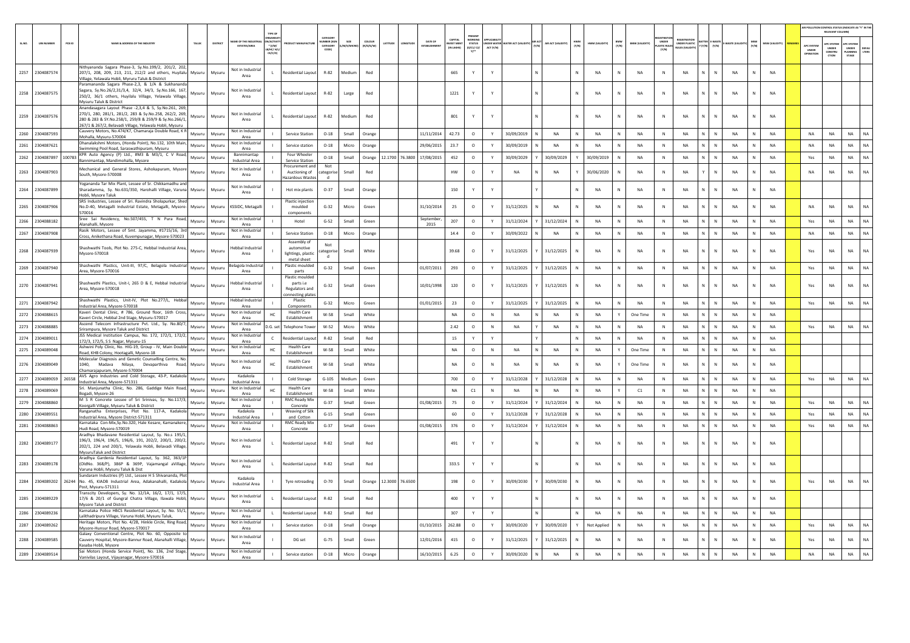|        |                   |        |                                                                                                                                                                                                                                     |        |         |                                    |                                           |                                                                |                               |        |                  |                 |                 |                   |                                             |                          |                     |                |                  |              |                               |                      |                         |                      |    |                             |              |                       |                                |                           | TION CONTROL STATUS (INDICATE AS "Y" IN 1<br>RELEVANT COLUMN) |
|--------|-------------------|--------|-------------------------------------------------------------------------------------------------------------------------------------------------------------------------------------------------------------------------------------|--------|---------|------------------------------------|-------------------------------------------|----------------------------------------------------------------|-------------------------------|--------|------------------|-----------------|-----------------|-------------------|---------------------------------------------|--------------------------|---------------------|----------------|------------------|--------------|-------------------------------|----------------------|-------------------------|----------------------|----|-----------------------------|--------------|-----------------------|--------------------------------|---------------------------|---------------------------------------------------------------|
| SL.NO. | <b>UIN NUMBER</b> | PCB ID | NAME & ADDRESS OF THE INDUSTRY                                                                                                                                                                                                      | TALUK  | DISTRIC | AME OF THE INDUS                   | N/ACTIV<br>+ (I/M/<br>B/HC/ H/<br>CE/C/O) |                                                                | CATEGOR<br>MBER DO<br>CATFOOR | SIZE   | coLous<br>/0/G/V | ATITUD          |                 | DATE OF           | CAPITAL<br><b>EST MEP</b><br><b>INLIAVU</b> | <b>STATUS</b><br>0/01/02 | NDER WA<br>ACT (Y/N | TER ACT (VALID | AIR ACT (VALIDIT | HWM<br>(Y/N) | BMW<br>(Y/N)<br>HWM (VALIDITY | <b>BMW (VALIDITY</b> | <b>UNDER</b><br>stic au | <b>INDER PLASTIC</b> |    | MASTE IVA<br>(Y/N)          | MSW<br>(Y/N) | <b>MSW (VALIDITY)</b> | PC SYSTEI<br>UNDER<br>PERATION | UNDER<br>CONSTRU<br>CTION | UNDER<br>PLANNING<br>STAGE<br><b>DEFAU</b><br>LTERS           |
| 2257   | 2304087574        |        | Nithyananda Sagara Phase-3, Sv.No.199/2, 201/2, 202.<br>207/1, 208, 209, 213, 211, 212/2 and others, Huyilalu<br>Village, Yelawala Hobli, Myruru Taluk & District                                                                   | Mysuru | Mysuru  | Not in Industrial<br>Area          | $\mathbf{L}$                              | esidential Layou                                               | R-82                          | Mediun | Red              |                 |                 |                   | 665                                         |                          |                     |                |                  |              | NA<br>${\sf N}$               | NA                   | N                       | NA                   |    | NA<br>N                     | N            | NA                    |                                |                           |                                                               |
|        | 2258 2304087575   |        | Paramananda Sagara Phase-2.3, & 1/A & Sukhananda<br>Sagara, Sy.No.26/2,31/3,4, 32/4, 34/3, Sy.No.166, 167,<br>250/2, 36/1 others, Huyilalu Village, Yelawala Village,<br>Mysuru Taluk & District                                    | Mysuru | Mysuru  | Not in Industrial<br>Area          |                                           | Residential Layout                                             | R-82                          | Large  | Red              |                 |                 |                   | 1221                                        | Y                        | Y                   |                |                  |              | N<br>NA                       | <b>NA</b>            | $\mathbb{N}$            | <b>NA</b>            |    | $\mathsf{N}$<br><b>NA</b>   | $\mathsf{N}$ | <b>NA</b>             |                                |                           |                                                               |
|        | 2259 2304087576   |        | Anandasagara Lavout Phase -2.3.4 & 5. Sv.No.261, 269.<br>270/1, 280, 281/1, 281/2, 283 & Sy.No.258, 262/2, 269,<br>280 & 283 & SY.No.258/1, 259/8 & 259/9 & Sy.No.266/1,<br>267/1 & 267/2, Belavadi Village, Yelawala Hobli, Mysuru | Mysuru | Mysuru  | Not in Industrial<br>Area          | $\mathbf{1}$                              | Residential Lavout                                             | $R - 82$                      | Mediun | Red              |                 |                 |                   | 801                                         | Y                        | Y                   |                |                  |              | <b>NA</b><br>N                | <b>NA</b>            | N                       | <b>NA</b>            |    | <b>NA</b><br>N              | N            | <b>NA</b>             |                                |                           |                                                               |
| 2260   | 2304087593        |        | Cauvery Motors, No.474/K7, Chamaraja Double Road, K R<br>Mohalla, Mysuru-570004                                                                                                                                                     | Mysuru | Mysuru  | Not in Industria<br>Area           |                                           | Service Station                                                | $O-18$                        | Small  | Orange           |                 |                 | 11/11/2014        | 42.73                                       | $\circ$                  | Y                   | 30/09/2019     | <b>NA</b>        |              | <b>NA</b><br>N                | <b>NA</b>            | $\mathbb{N}$            | NA                   |    | Ń<br><b>NA</b>              | $\mathsf{N}$ | <b>NA</b>             | <b>NA</b>                      | <b>NA</b>                 | <b>NA</b><br>NA                                               |
| 2261   | 2304087621        |        | Dhanalakshmi Motors, (Honda Point), No.132, 10th Main,<br>Swimming Pool Road, Saraswathipuram, Mysuru                                                                                                                               | Mysuru | Mysuru  | Not in Industria<br>Area           |                                           | Service station                                                | $0-18$                        | Micro  | Orange           |                 |                 | 29/06/2015        | 23.7                                        | $\circ$                  | $\mathsf{Y}$        | 30/09/2019     | <b>NA</b>        |              | <b>NA</b><br>$\mathsf{N}$     | <b>NA</b>            | N                       | <b>NA</b>            |    | <b>NA</b><br>N              | N            | <b>NA</b>             | <b>NA</b>                      | <b>NA</b>                 | <b>NA</b><br><b>NA</b>                                        |
| 2262   | 2304087897        | 100783 | KPR Auto Agency (P) Ltd., #M3 & M3/1, C V Road,<br>Bannimantap, Mandimohalla, Mysore                                                                                                                                                | Mysuru | Mysuru  | Bannimantap<br>Industrial Area     |                                           | Four Wheeler<br><b>Service Station</b>                         | $O-18$                        | Small  | Orange           |                 | 12.1700 76.3800 | 17/08/2015        | 452                                         | $\circ$                  | Y                   | 30/09/2029     | 30/09/2029       |              | 30/09/2019<br>${\sf N}$       | NA                   | $\,$ N                  | <b>NA</b>            | N. | $\mathbb{N}$<br>NA          | N            | NA                    | Yes                            | NA                        | NA<br>NA                                                      |
|        | 2263 2304087903   |        | Mechanical and General Stores, Ashokapuram, Mysore<br>South, Mysore-570008                                                                                                                                                          | Mysuru | Mysuru  | Not in Industria<br>Area           |                                           | rocurement and<br>Auctioning of<br>lazardous Wastes            | Not<br>ategorise:<br>- d      | Small  | Red              |                 |                 |                   | <b>HW</b>                                   | $\circ$                  |                     | <b>NA</b>      | <b>NA</b>        |              | 30/06/2020<br>$\mathsf{N}$    | NA                   | $\mathbb{N}$            | NA                   |    | NA<br>$\mathsf{N}$          | $\mathbf N$  | <b>NA</b>             | NA                             | <b>NA</b>                 | NA<br>NA                                                      |
| 2264   | 2304087899        |        | Yogananda Tar Mix Plant, Lessee of Sr. Chikkamadhu and<br>Sharadamma, Sy. No.631/350, Harohalli Village, Varuna Mysuru<br>Hobli, Mysore Taluk                                                                                       |        | Mysuru  | Not in Industria<br>Area           |                                           | Hot mix plants                                                 | $O-37$                        | Small  | Orange           |                 |                 |                   | 150                                         |                          |                     |                |                  |              | NA<br>N                       | NA                   | $\mathsf{N}$            | $_{\sf NA}$          |    | NA<br>N                     | N            | <b>NA</b>             |                                |                           |                                                               |
|        | 2265 2304087906   |        | SRS Industries, Lessee of Sri, Ravindra Sholapurkar, Shed<br>No.D-40, Metagalli Industrial Estate, Metagalli, Mysore- Mysuru<br>570016                                                                                              |        | Mysuru  | KSSIDC, Metagalli                  |                                           | <b>Plastic injection</b><br>moulded<br>components              | $G-32$                        | Micro  | Green            |                 |                 | 31/10/2014        | 25                                          | $\circ$                  | Y                   | 31/12/2025     | <b>NA</b>        | N            | NA<br>N                       | <b>NA</b>            | $\,$ N                  | <b>NA</b>            |    | N<br>NA                     | $\mathsf{N}$ | <b>NA</b>             | <b>NA</b>                      | <b>NA</b>                 | <b>NA</b><br>NA                                               |
| 2266   | 2304088182        |        | Sree Sai Residency, No.507/455, T N Pura Road, Mysuru<br>Nanahalli, Mysore                                                                                                                                                          |        | Mysuru  | Not in Industria<br>Area           |                                           | Hotel                                                          | $G-52$                        | Small  | Green            |                 |                 | September<br>2015 | 207                                         | $\circ$                  | Y                   | 31/12/2024     | 31/12/2024       | N            | NA<br>$\,$ N                  | <b>NA</b>            | N                       | <b>NA</b>            | N. | NA<br>N                     | N            | NA                    | Yes                            | NA                        | NA<br>NA                                                      |
| 2267   | 2304087908        |        | Rasik Motors, Lessee of Smt. Jayamma, #1715/16, 3rd<br>Cross, Anikethana Road, Kuvempunagar, Mysore-570023                                                                                                                          | Mysuru | Mysuru  | Not in Industrial<br>Area          |                                           | Service Station                                                | $O-18$                        | Micro  | Orange           |                 |                 |                   | 14.4                                        | $\circ$                  | Y                   | 30/09/2022     | <b>NA</b>        |              | N<br><b>NA</b>                | <b>NA</b>            | N                       | <b>NA</b>            |    | $\mathsf{N}$<br><b>NA</b>   | N            | <b>NA</b>             | <b>NA</b>                      | <b>NA</b>                 | NA<br><b>NA</b>                                               |
|        | 2268 2304087939   |        | Shashwathi Tools, Plot No. 275-C, Hebbal Industrial Area,<br>Mysore-570018                                                                                                                                                          | Mysuru | Mysuru  | lehhal Industrial<br>Area          |                                           | Assembly of<br>automotive<br>lightings, plastic<br>metal sheet | Not<br>ategorise<br>d         | Small  | White            |                 |                 |                   | 39.68                                       | $\circ$                  |                     | 31/12/2025     | 31/12/2025       |              | <b>NA</b><br>N                | <b>NA</b>            | $\mathbb{N}$            | <b>NA</b>            |    | $\mathsf{N}$<br><b>NA</b>   | $\mathsf{N}$ | <b>NA</b>             | Yes                            | <b>NA</b>                 | NA<br><b>NA</b>                                               |
|        | 2269 2304087940   |        | Shashwathi Plastics, Unit-III, 97/C, Belagola Industrial Mysuru<br>Area. Mysore-570016                                                                                                                                              |        | Mysuru  | Belagola Industria<br>Area         |                                           | Plastic moulded<br>parts                                       | $G-32$                        | Small  | Green            |                 |                 | 01/07/2011        | 293                                         | $\circ$                  | Y                   | 31/12/2025     | 31/12/2025       | N            | NA<br>$\,$ N                  | <b>NA</b>            | $\,$ N                  | NA                   | N. | NA<br>N                     | N            | NA                    | Yes                            | NA                        | NA<br>NA                                                      |
|        | 2270 2304087941   |        | Shashwathi Plastics, Unit-I, 265 D & E, Hebbal Industrial<br>Area. Mysore-570018                                                                                                                                                    | Mysunu | Mysuru  | lebbal Industrial<br>Area          |                                           | Plastic moulded<br>parts i.e<br>Regulators and                 | $G-32$                        | Small  | Green            |                 |                 | 10/01/1998        | 120                                         | $\circ$                  | Y                   | 31/12/2025     | 31/12/2025       |              | <b>NA</b><br>N                | <b>NA</b>            | N                       | <b>NA</b>            |    | $\mathbb{N}$<br><b>NA</b>   | $\mathbf N$  | <b>NA</b>             | Yes                            | <b>NA</b>                 | <b>NA</b><br><b>NA</b>                                        |
|        | 2271 2304087942   |        | Shashwathi Plastics, Unit-IV, Plot No.277/L, Hebbal<br>ndustrial Area, Mysore-570018                                                                                                                                                | Mysuru | Mysuru  | lebbal Industria<br>Area           |                                           | onnecting plates<br>Plastic<br>Components                      | $G-32$                        | Micro  | Green            |                 |                 | 01/01/2015        | 23                                          | $\circ$                  | Y                   | 31/12/2025     | 31/12/2025       |              | $\,$ N<br>NA                  | NA                   | N                       | NA                   |    | NA<br>N                     | ${\sf N}$    | NA                    | Yes                            | NA                        | NA<br>NA                                                      |
| 2272   | 2304088615        |        | Kaveri Dental Clinic, # 786, Ground floor, 16th Cross,<br>Kaveri Circle, Hebbal 2nd Stage, Mysuru-570017                                                                                                                            | Mysuru | Mysuru  | Not in Industria<br>Area           | HC.                                       | <b>Health Care</b><br>Establishment                            | $W-58$                        | Small  | White            |                 |                 |                   | <b>NA</b>                                   | $\circ$                  | $\mathbb{N}$        | <b>NA</b>      | $_{\sf NA}$      |              | $_{\sf NA}$<br>$\mathbf{Y}$   | One Time             | N                       | <b>NA</b>            | N. | $\mathbb{N}$<br>$_{\sf NA}$ | N            | <b>NA</b>             |                                |                           |                                                               |
| 2273   | 2304088885        |        | Ascend Telecom Infrastructure Pvt. Ltd., Sy. No.80/7,<br>Srirampura, Mysore Taluk and District                                                                                                                                      | Mysuru | Mysuru  | Not in Industria<br>Area           | D.G. set                                  | Telephone Towe                                                 | $W-52$                        | Micro  | White            |                 |                 |                   | 2.42                                        | $\circ$                  | N                   | <b>NA</b>      | <b>NA</b>        |              | N<br><b>NA</b>                | <b>NA</b>            | N                       | <b>NA</b>            | N. | $\mathbf{N}$<br><b>NA</b>   | N            | <b>NA</b>             | Yes                            | <b>NA</b>                 | NA<br><b>NA</b>                                               |
| 2274   | 2304089011        |        | JSS Medical Institution Campus, No. 172, 172/1, 172/2.<br>172/3, 172/5, S S Nagar, Mysuru-15                                                                                                                                        | Mysuru | Mysuru  | Not in Industria<br>Area           | $\mathsf{C}$                              | sidential Layo                                                 | $R-82$                        | Small  | Red              |                 |                 |                   | 15                                          |                          |                     |                |                  |              | N<br>NA                       | NA                   | $\,$ N                  | $_{\sf NA}$          |    | NA<br>N                     | $\mathsf{N}$ | <b>NA</b>             |                                |                           |                                                               |
|        | 2275 2304089048   |        | Ashwini Poly Clinic, No. HIG-19, Group - IV, Main Double<br>Road, KHB Colony, Hootagalli, Mysore-18                                                                                                                                 | Mysuru | Mysuru  | Not in Industria<br>Area           | <b>HC</b>                                 | <b>Health Care</b><br>Establishmen                             | W-58                          | Small  | White            |                 |                 |                   | NA                                          | $\circ$                  | N                   | <b>NA</b>      | NA               | N            | NA<br>Y                       | One Time             | N                       | <b>NA</b>            |    | NA<br>$\mathbb N$           | N            | <b>NA</b>             |                                |                           |                                                               |
| 2276   | 2304089049        |        | Molecular Diagnosis and Genetic Counselling Centre, No<br>1040. Madava Nilava. Devaparthiva Road, Mysuru<br>Chamarajapuram, Mysore-570004                                                                                           |        | Mysuru  | Not in Industria<br>Area           | HC.                                       | <b>Health Care</b><br>Establishment                            | W-58                          | Small  | White            |                 |                 |                   | <b>NA</b>                                   | $\circ$                  | N                   | <b>NA</b>      | <b>NA</b>        |              | <b>NA</b>                     | One Time             | N                       | <b>NA</b>            |    | <b>NA</b><br>$\mathsf{N}$   | $\mathsf{N}$ | <b>NA</b>             |                                |                           |                                                               |
|        | 2277 2304089059   | 26558  | AVS Agro Industries and Cold Storage, 43-P, Kadakola<br>Industrial Area, Mysore-571311                                                                                                                                              | Mysuru | Mysuru  | Kadakola<br>Industrial Area        |                                           | Cold Storage                                                   | $G-105$                       | Medium | Green            |                 |                 |                   | 700                                         | $\circ$                  | Y                   | 31/12/2028     | 31/12/2028       | N            | NA<br>N                       | NA                   | N                       | <b>NA</b>            |    | N<br>NA                     | N            | <b>NA</b>             | Yes                            | NA                        | NA<br>NA                                                      |
| 2278   | 2304089069        |        | Sri. Manjunatha Clinic, No. 286, Gaddige Main Road,<br>Bogadi, Mysore-26                                                                                                                                                            | Mysuru | Mysuru  | Not in Industrial<br>Area          | HC.                                       | <b>Health Care</b><br>Establishment                            | W-58                          | Small  | White            |                 |                 |                   | NA                                          | C1                       | $\mathbb{N}$        | <b>NA</b>      | NA               |              | NA<br>Y                       | C1                   | N                       | <b>NA</b>            |    | $\mathbf{N}$<br>NA          | $\mathbb{N}$ | <b>NA</b>             |                                |                           |                                                               |
| 2279   | 2304088860        |        | M S R Concrete Lessee of Sri Srinivas, Sy. No.117/3,<br>Koorgalli Village, Mysuru Taluk & District                                                                                                                                  | Mysuru | Mysuru  | Not in Industria<br>Area           |                                           | <b>RMC Ready Mix</b><br>Concrete                               | $G-37$                        | Small  | Green            |                 |                 | 01/08/2015        | 75                                          | $\circ$                  | Y                   | 31/12/2024     | 31/12/2024       |              | N<br><b>NA</b>                | <b>NA</b>            | N                       | <b>NA</b>            |    | $\mathsf{N}$<br><b>NA</b>   | N            | NA                    | Yes                            | <b>NA</b>                 | <b>NA</b><br><b>NA</b>                                        |
| 2280   | 2304089551        |        | Ranganatha Enterprises, Plot No. 117-A, Kadakola<br>Industrial Area, Mysore District-571311                                                                                                                                         | Mysuru | Mysuru  | Kadakola<br><b>Industrial Area</b> |                                           | Weaving of Silk<br>and Cotton                                  | $G-15$                        | Small  | Green            |                 |                 |                   | 60                                          | $\circ$                  | Y                   | 31/12/2028     | 31/12/2028       |              | NA<br>N                       | <b>NA</b>            | $\mathbb{N}$            | <b>NA</b>            |    | <b>NA</b><br>N              | $\mathsf{N}$ | <b>NA</b>             | Yes                            | NA                        | NA<br><b>NA</b>                                               |
|        | 2281 2304088863   |        | Karnataka Con-Mix, Sy. No. 320, Hale Kesare, Kamanakere,<br>Hudi Road, Mysore-570019                                                                                                                                                | Mysuru | Mysuru  | Not in Industrial<br>Area          |                                           | <b>RMC Ready Mix</b><br>Concrete                               | $G-37$                        | Small  | Green            |                 |                 | 01/08/2015        | 376                                         | $\circ$                  | Y                   | 31/12/2024     | 31/12/2024       |              | NA<br>N                       | <b>NA</b>            | $\,$ N                  | <b>NA</b>            |    | $\mathbb N$<br><b>NA</b>    | N            | <b>NA</b>             | Yes                            | NA                        | NA<br><b>NA</b>                                               |
|        | 2282 2304089177   |        | Aradhya Bhadavane Residential Layout, Sy. No.s 195/1,<br>196/3, 196/4, 196/5, 196/6, 191, 202/2, 200/1, 200/2,<br>202/1, 224 and 200/1, Yelawala Hobli, Belavadi Village,<br>MysuruTaluk and District                               | Mysuru | Mysuru  | Not in Industrial<br>Area          | $\mathbf{L}$                              | <b>Residential Lavout</b>                                      | R-82                          | Small  | Red              |                 |                 |                   | 491                                         | Y                        | Y                   |                |                  |              | <b>NA</b><br>N                | <b>NA</b>            | N                       | <b>NA</b>            |    | N<br><b>NA</b>              | $\mathbf N$  | <b>NA</b>             |                                |                           |                                                               |
| 2283   | 2304089178        |        | Aradhya Gardenia Residential Layout, Sy. 362, 363/1P<br>(OldNo. 368/P), 386P & 369P, Vajamangal aVillage,<br>Varuna Hobli, Mysuru Taluk & Dist                                                                                      | Mysuru | Mysuru  | Not in Industrial<br>Area          |                                           | esidential Layout                                              | R-82                          | Small  | Red              |                 |                 |                   | 333.5                                       |                          |                     |                |                  |              | NA<br>N                       | NA                   | $\,$ N                  | NA                   |    | NA<br>N                     | N            | NA                    |                                |                           |                                                               |
|        | 2284 2304089202   |        | Sundaram Industries (P) Ltd., Lessee H S Shivananda, Plot<br>26244 No. 45, KIADB Industrial Area, Adakanahalli, Kadakola Mysuru<br>Post, Mysuru-571311                                                                              |        | Mysuru  | Kadakola<br><b>Industrial Area</b> |                                           | Tyre retreading                                                | $O-70$                        | Small  | Orange           | 12.3000 76.6500 |                 |                   | 198                                         | $\circ$                  | Y                   | 30/09/2030     | 30/09/2030       |              | N<br>NA                       | NA                   | N                       | <b>NA</b>            |    | N<br><b>NA</b>              | $\mathsf{N}$ | NA                    | Yes                            | NA                        | <b>NA</b><br><b>NA</b>                                        |
|        | 2285 2304089229   |        | Transcity Developers, Sy. No. 12/1A, 16/2, 17/1, 17/5,<br>17/6 & 20/1 of Gungral Chatra Village, Ilawala Hobli, Mysuru<br>Mysore Taluk and District                                                                                 |        | Mysuru  | Not in Industria<br>Area           | $\mathbf{L}$                              | Residential Lavout                                             | R-82                          | Small  | Red              |                 |                 |                   | 400                                         | Y                        | $\mathbf{v}$        |                |                  |              | N<br><b>NA</b>                | <b>NA</b>            | $\mathbb{N}$            | <b>NA</b>            |    | $\mathsf{N}$<br><b>NA</b>   | $\mathbf N$  | <b>NA</b>             |                                |                           |                                                               |
| 2286   | 2304089236        |        | Karnataka Police HBCS Residential Layout, Sy. No. 55/1,<br>Lalithadripura Village, Varuna Hobli, Mysuru Taluk,                                                                                                                      | Mysuru | Mysuru  | Not in Industria<br>Area           |                                           | Residential Layout                                             | R-82                          | Small  | Red              |                 |                 |                   | 307                                         | v                        | $\mathbf{v}$        |                |                  | <b>N</b>     | N<br><b>NA</b>                | <b>NA</b>            | N                       | <b>NA</b>            | N. | N<br><b>NA</b>              | N            | NA                    |                                |                           |                                                               |
| 2287   | 2304089262        |        | Heritage Motors, Plot No. 4/2B, Hinkle Circle, Ring Road,<br>Mysore-Hunsur Road, Mysore-570017                                                                                                                                      | Mysuru | Mysuru  | Not in Industrial<br>Area          |                                           | Service station                                                | $O-18$                        | Small  | Orange           |                 |                 | 01/10/2015        | 262.88                                      | $\circ$                  | Y                   | 30/09/2020     | 30/09/2020       |              | Not Applied<br>N              | <b>NA</b>            | $\mathbb{N}$            | <b>NA</b>            |    | $\mathsf{N}$<br><b>NA</b>   | $\mathsf{N}$ | <b>NA</b>             | Yes                            | NA                        | <b>NA</b><br>NA                                               |
| 2288   | 2304089585        |        | Galaxy Conventional Centre, Plot No. 60, Opposite to<br>Cauvery Hospital, Mysore-Bannur Road, Alanahalli Village, Mysuru<br>Kasaba Hobli, Mysore                                                                                    |        | Mysuru  | Not in Industrial<br>Area          |                                           | DG set                                                         | $G-75$                        | Small  | Greer            |                 |                 | 12/01/2016        | 415                                         | $\circ$                  |                     | 31/12/2025     | 31/12/2025       |              | NA<br>N                       | <b>NA</b>            | N                       | <b>NA</b>            |    | NA                          |              | NA                    | Yes                            | NA                        | <b>NA</b><br><b>NA</b>                                        |
| 2289   | 2304089514        |        | Sai Motors (Honda Service Point), No. 136, 2nd Stage,<br>Vanivilas Layout, Vijayanagar, Mysore-570016                                                                                                                               | Mysuru | Mysuru  | Not in Industrial<br>Area          |                                           | Service station                                                | $O-18$                        | Micro  | Orange           |                 |                 | 16/10/2015        | 6.25                                        | $\circ$                  |                     | 30/09/2020     | <b>NA</b>        |              | <b>NA</b>                     | NA                   |                         | NA                   |    | <b>NA</b>                   |              | <b>NA</b>             | NA                             | NA                        | NA                                                            |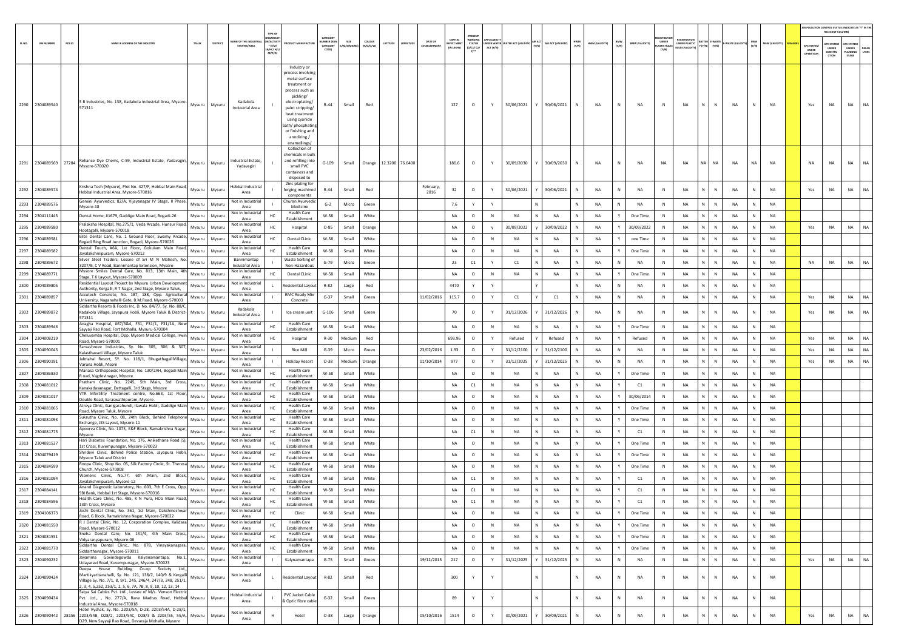| SL.NO. | <b>UIN NUMBER</b> | PCB ID | NAME & ADDRESS OF THE INDUSTRY                                                                                                                                                                    | TALUK  | DISTRICT      | AME OF THE INDUSTR<br><b>ESTATES/AREA</b>  | TYPE O<br>N/ACTIV<br>$*$ (l/M)<br>в/нс/ н/<br>CE/C/O | <b>DUCT MANUFACTUR</b>                                                                                                                                                                                                                            | CATFOOR<br><b>JMBER (XC</b><br>CATEGORY<br>CODE) | SIZE<br>M/S/MICRO) | COLOUR<br>(R/O/G/W)    | LATITUDE | ONGITUD | DATE OF           | CAPITAL<br><b>VEST MENT</b> | WORKING<br><b>STATUS</b><br>(0/C1/ C2/<br>Y | ACT (Y/N)    | UNDER WATER WATER ACT (VALIDITY) (Y/N) |   | AIR ACT (VALIDITY) | HWM<br>(Y/N) | HWM (VALIDITY) | BMW<br>(Y/N) | <b>BMW (VALIDITY)</b> | UNDER<br>STIC RUI<br>(Y/N) | <b>UNDER PLASTIC</b> | <b>TTER E-WASTE</b><br>(Y/N)<br>[Y/N] | WASTE (VALI) | MSW<br>(Y/N) | <b>MSW (VALIDITY)</b> | AIR POLLUTION CONTROL STATUS (INDICATE AS "Y" IN TH<br>RELEVANT COLUMN)<br>APC SYSTE<br>UNDER | <b>C SYST</b><br>UNDER<br>CONSTRU<br>c <sub>mon</sub> | PC SYSTEN<br>UNDER<br><b>PLANNING</b><br>STAGE | DEFAL<br>LTERS |
|--------|-------------------|--------|---------------------------------------------------------------------------------------------------------------------------------------------------------------------------------------------------|--------|---------------|--------------------------------------------|------------------------------------------------------|---------------------------------------------------------------------------------------------------------------------------------------------------------------------------------------------------------------------------------------------------|--------------------------------------------------|--------------------|------------------------|----------|---------|-------------------|-----------------------------|---------------------------------------------|--------------|----------------------------------------|---|--------------------|--------------|----------------|--------------|-----------------------|----------------------------|----------------------|---------------------------------------|--------------|--------------|-----------------------|-----------------------------------------------------------------------------------------------|-------------------------------------------------------|------------------------------------------------|----------------|
|        | 2290 2304089540   |        | S B Industries, No. 138, Kadakola Industrial Area, Mysore-<br>571311                                                                                                                              |        | Mysuru Mysuru | Kadakola<br>Industrial Area                |                                                      | Industry or<br>process involving<br>metal surface<br>treatment or<br>process such as<br>pickling/<br>electroplating/<br>paint stripping/<br>heat treatment<br>using cyanide<br>ath/phosphating<br>or finishing and<br>anodizing /<br>enamellings/ | $R - 44$                                         | Small              | Red                    |          |         |                   | 127                         | $\circ$                                     | Y            | 30/06/2021                             |   | 30/06/2021         |              | <b>NA</b>      | N            | <b>NA</b>             | N                          | <b>NA</b>            | N<br>N                                | NA           | N            | <b>NA</b>             | Yes                                                                                           | NA                                                    | <b>NA</b>                                      | NA             |
|        |                   |        | 2291 2304089569 27284 Mysore-570020 Elems, C-59, Industrial Estate, Yadavagiri,                                                                                                                   | Mysuru | Mysuru        | ndustrial Estate,<br>Yadavagiri            |                                                      | Collection of<br>hemicals in bull<br>and refilling into<br>small PVC<br>containers and<br>disposed to                                                                                                                                             | $G-109$                                          | Small              | Orange 12.3200 76.6400 |          |         |                   | 186.6                       | $\circ$                                     | Y            | 30/09/2030                             |   | 30/09/2030         | N            | <b>NA</b>      | N            | NA                    | <b>NA</b>                  | <b>NA</b>            | <b>NA</b><br>NA I                     | NA           | <b>NA</b>    | <b>NA</b>             | <b>NA</b>                                                                                     | NA                                                    | <b>NA</b>                                      | NA             |
|        | 2292 2304089574   |        | Krishna Tech (Mysore), Plot No. 427/F, Hebbal Main Road,<br>Hebbal Industrial Area, Mysore-570016                                                                                                 | Mysuru | Mysuru        | <b>Hebbal Industrial</b><br>Area           |                                                      | Zinc plating for<br>forging machined<br>components                                                                                                                                                                                                | $R-44$                                           | Small              | Red                    |          |         | February,<br>2016 | 32                          | $\circ$                                     | Y            | 30/06/2021                             |   | 30/06/2021         | N            | NA             | N            | NA                    | N                          | NA                   | $\mathbb{N}$<br>N                     | NA           | N            | <b>NA</b>             | Yes                                                                                           | <b>NA</b>                                             | NA                                             | NA             |
|        | 2293 2304089576   |        | Gemini Ayurvedics, 82/A, Vijayanagar IV Stage, II Phase,<br>Mysore-18                                                                                                                             | Mysuru | Mysuru        | Not in Industrial<br>Area                  |                                                      | Churan Ayurvedi<br>Medicine                                                                                                                                                                                                                       | $G-2$                                            | Micro              | Green                  |          |         |                   | 7.6                         | Y                                           | Y            |                                        |   |                    | N            | <b>NA</b>      | N            | NA                    | N                          | NA                   | N<br>$\mathbb N$                      | NA           | N            | <b>NA</b>             |                                                                                               |                                                       |                                                |                |
| 2294   | 2304111443        |        | Dental Home, #1679, Gaddige Main Road, Bogadi-26                                                                                                                                                  | Mysuru | Mysuru        | Not in Industria<br>Area                   | HC                                                   | <b>Health Care</b><br>Establishment                                                                                                                                                                                                               | W-58                                             | Small              | White                  |          |         |                   | <b>NA</b>                   | $\circ$                                     | N            | NA                                     |   | NA                 | $\mathbb N$  | NA             | Y            | One Time              | N                          | NA                   | N<br>$\mathbb N$                      | NA           | N            | NA                    |                                                                                               |                                                       |                                                |                |
| 2295   | 2304089580        |        | Pralaksha Hospital, No.275/1, Veda Arcade, Hunsur Road,                                                                                                                                           | Mysuru | Mysuru        | Not in Industrial                          | нc                                                   | Hospital                                                                                                                                                                                                                                          | $O-85$                                           | Small              | Orange                 |          |         |                   | NA                          | $\circ$                                     | V            | 30/09/2022                             |   | 30/09/2022         | N            | <b>NA</b>      | Y            | 30/09/2022            | $\,$ N                     | NA                   | N<br>$\,$ N                           | NA           | N            | <b>NA</b>             | Yes                                                                                           | NA                                                    | NA                                             | <b>NA</b>      |
| 2296   | 2304089581        |        | Hootagalli, Mysore-570018<br>Elite Dental Care, No. 1 Ground Floor, Swamy Arcade,                                                                                                                 | Mysuru | Mysuru        | Area<br>Not in Industrial                  | HC                                                   | <b>Dental CLinic</b>                                                                                                                                                                                                                              | $W-58$                                           | Small              | White                  |          |         |                   | NA                          | $\circ$                                     | N            | <b>NA</b>                              |   | NA                 |              | <b>NA</b>      | Y            | one Time              | $\mathsf{N}$               | NA                   | N                                     | <b>NA</b>    |              | <b>NA</b>             |                                                                                               |                                                       |                                                |                |
| 2297   | 2304089582        |        | Bogadi Ring Road Junction, Bogadi, Mysore-570026<br>Dental Touch, #6A, 1st Floor, Gokulam Main Road,                                                                                              | Mysuru | Mysuru        | Area<br>Not in Industrial                  | HC.                                                  | <b>Health Care</b>                                                                                                                                                                                                                                | W-58                                             | Small              | White                  |          |         |                   | <b>NA</b>                   | $\circ$                                     | N            | <b>NA</b>                              |   | <b>NA</b>          | $\mathbb{N}$ | <b>NA</b>      | Y            | One Time              | $\mathbb{N}$               | <b>NA</b>            | N.<br>N                               | <b>NA</b>    | N            | <b>NA</b>             |                                                                                               |                                                       |                                                |                |
|        |                   |        | Jayalakshmipuram, Mysore-570012<br>Silver Steel Traders, Lessee of Sri M N Mahesh, No.                                                                                                            |        |               | Area<br>Bannimantap                        |                                                      | Establishment<br>Waste Sorting of                                                                                                                                                                                                                 |                                                  |                    |                        |          |         |                   |                             |                                             |              |                                        |   |                    | N            |                |              |                       |                            |                      |                                       |              |              | <b>NA</b>             |                                                                                               |                                                       |                                                | <b>NA</b>      |
| 2298   | 2304089672        |        | 3207/B, C V Road, Bannimantap Extension, Mysore-<br>Mysore Smiles Dental Care, No. 813, 13th Main, 4th                                                                                            | Mysuru | Mysuru        | <b>Industrial Area</b><br>Not in Industria |                                                      | Non-Hazardous                                                                                                                                                                                                                                     | $G-79$                                           | Micro              | Green                  |          |         |                   | 23                          | C1                                          | Y            | C1                                     |   | <b>NA</b>          |              | <b>NA</b>      | N            | <b>NA</b>             | $\mathbb{N}$               | <b>NA</b>            | N<br>$\mathbb N$                      | NA           | N            |                       | NA                                                                                            | NA                                                    | <b>NA</b>                                      |                |
| 2299   | 2304089771        |        | Stage, T K Layout, Mysore-570009<br>Residential Lavout Project by Mysuru Urban Development                                                                                                        | Mysuru | Mysuru        | Area<br>Not in Industria                   | HC                                                   | <b>Dental CLinic</b>                                                                                                                                                                                                                              | W-58                                             | Small              | White                  |          |         |                   | <b>NA</b>                   | $\circ$                                     | $\mathbb N$  | NA                                     |   | NA                 | N            | NA             | Y            | One Time              | N                          | <b>NA</b>            | N<br>$\mathbb{N}$                     | NA           | N            | NA                    |                                                                                               |                                                       |                                                |                |
| 2300   | 2304089805        |        | Authority, Kergalli, R T Nagar, 2nd Stage, Mysore Taluk,                                                                                                                                          | Mysuru | Mysuru        | Area<br>Not in Industrial                  |                                                      | esidential Layout<br><b>RMC Ready Mix</b>                                                                                                                                                                                                         | R-82                                             | Large              | Red                    |          |         |                   | 4470                        | Y                                           | Y            |                                        |   |                    | N            | <b>NA</b>      | N            | NA                    | $\,$ N                     | NA                   | N<br>$\,$ N                           | NA           | N            | <b>NA</b>             |                                                                                               |                                                       |                                                |                |
| 2301   | 2304089857        |        | Accutech Concrete, No. 187, 188, Opp. Agricultural<br>Jniversity, Naganahalli Gate, B.M.Road, Mysore-570003                                                                                       | Mysuru | Mysuru        | Area                                       |                                                      | Concrete                                                                                                                                                                                                                                          | $G-37$                                           | Small              | Green                  |          |         | 11/02/2016        | 115.7                       | $\circ$                                     | Y            | C1                                     |   | C1                 |              | <b>NA</b>      | N            | NA                    | N                          | NA                   | N                                     | NA           | N            | <b>NA</b>             | Yes                                                                                           | NA                                                    | NA                                             | <b>NA</b>      |
|        | 2302 2304089872   |        | Siddartha Resorts & Foods Inc, D. No. 84/77, Sy. No. 88/C,<br>Kadakola Village, Jayapura Hobli, Mysore Taluk & District- Mysuru<br>571311                                                         |        | Mysuru        | Kadakola<br><b>Industrial Area</b>         |                                                      | Ice cream unit                                                                                                                                                                                                                                    | $G-106$                                          | Small              | Green                  |          |         |                   | 70                          | $\circ$                                     | Y            | 31/12/2026                             |   | 31/12/2026         |              | <b>NA</b>      | N            | <b>NA</b>             | N                          | <b>NA</b>            | N<br>$\mathbb{N}$                     | <b>NA</b>    |              | <b>NA</b>             | Yes                                                                                           | NA                                                    | NA                                             | NA.            |
|        | 2303 2304089946   |        | Anagha Hospital, #67/5&4, F31, F31/1, F31/1A, New<br>Sayyaji Rao Road, Fort Mohalla, Mysuru-570004                                                                                                | Mysuru | Mysuru        | Not in Industrial<br>Area                  | нc                                                   | <b>Health Care</b><br>Establishment                                                                                                                                                                                                               | W-58                                             | Small              | White                  |          |         |                   | NA                          | $\circ$                                     | $\mathbb{N}$ | NA                                     |   | NA                 |              | <b>NA</b>      | Y            | One Time              | $\mathbb{N}$               | NA                   | N                                     | NA           | N            | <b>NA</b>             |                                                                                               |                                                       |                                                |                |
| 2304   | 2304008219        |        | Cheluvamba Hospital, Opp. Mysore Medical College, Irwin<br>Road, Mysore-570001                                                                                                                    | Mysuru | Mysuru        | Not in Industria<br>Area                   | HC.                                                  | Hospital                                                                                                                                                                                                                                          | $R-30$                                           | Medium             | Red                    |          |         |                   | 693.96                      | $\circ$                                     | $\mathbf{Y}$ | Refused                                |   | Refused            | N            | <b>NA</b>      | Y            | Refused               | N                          | <b>NA</b>            | N.<br>$\mathbb{N}$                    | <b>NA</b>    | N            | NA                    | Yes                                                                                           | <b>NA</b>                                             | <b>NA</b>                                      | NA             |
| 2305   | 2304090043        |        | Sarvashreee Industries, Sy. No. 305, 306 & 307,<br>Kalasthavadi Village, Mysore Taluk                                                                                                             | Mysuru | Mysuru        | Not in Industrial<br>Area                  |                                                      | <b>Rice Mill</b>                                                                                                                                                                                                                                  | $G-39$                                           | Micro              | Green                  |          |         | 23/02/2016        | 1.93                        | $\circ$                                     | Y            | 31/12/2100                             |   | 31/12/2100         | N            | <b>NA</b>      | N            | NA                    | N                          | <b>NA</b>            | N<br>N                                | NA           | N            | <b>NA</b>             | Yes                                                                                           | NA                                                    | NA                                             | NA             |
| 2306   | 2304090191        |        | Jalmahal Resort, SY. No. 118/1, BhugathagalliVillage,                                                                                                                                             | Mysuru | Mysuru        | Not in Industrial<br>Area                  |                                                      | <b>Holiday Resort</b>                                                                                                                                                                                                                             | $O-38$                                           | Medium             | Orange                 |          |         | 01/10/2014        | 977                         | $\circ$                                     | Y            | 31/12/2025                             |   | 31/12/2025         |              | <b>NA</b>      | N            | NA                    | N                          | NA                   | N<br>$\mathbb N$                      | <b>NA</b>    | N            | NA                    | Yes                                                                                           | NA                                                    | NA                                             | NA             |
| 2307   | 2304086830        |        | Varuna Hobli, Msore<br>Manasa Orthopaedic Hospital, No. 130/2AH, Bogadi Main                                                                                                                      | Mysuru | Mysuru        | Not in Industrial                          | HC                                                   | Health care                                                                                                                                                                                                                                       | W-58                                             | Small              | White                  |          |         |                   | NA                          | $\circ$                                     | $\mathbb N$  | NA                                     |   | NA                 | N            | <b>NA</b>      | Y            | One Time              | N                          | NA                   | N<br>$\,$ N                           | <b>NA</b>    | N            | NA                    |                                                                                               |                                                       |                                                |                |
| 2308   | 2304081012        |        | R oad, Vagdevinagar, Mysore<br>Pratham Clinic, No. 2245, 5th Main, 3rd Cross,                                                                                                                     | Mysuru | Mysuru        | Area<br>Not in Industrial                  | HC                                                   | establishment<br><b>Health Care</b>                                                                                                                                                                                                               | W-58                                             | Small              | White                  |          |         |                   | NA                          | C1                                          | N            | <b>NA</b>                              |   | NA                 |              | <b>NA</b>      | Y            | C1                    | N                          | <b>NA</b>            | N                                     | <b>NA</b>    | N            | <b>NA</b>             |                                                                                               |                                                       |                                                |                |
| 2309   | 2304081017        |        | Kanakadasanagar, Dattagalli, 3rd Stage, Mysore<br>VTR Infertility Treatment centre, No.663, 1st Floor,                                                                                            | Mysuru |               | Area<br>Not in Industrial                  | нс                                                   | Establishment<br><b>Health Care</b>                                                                                                                                                                                                               | W-58                                             | Small              | White                  |          |         |                   | <b>NA</b>                   | $\circ$                                     | N            | <b>NA</b>                              |   | <b>NA</b>          | N            | <b>NA</b>      | Y            | 30/06/2014            | $\mathbb N$                | <b>NA</b>            | N.<br>$\mathbb{N}$                    | <b>NA</b>    | N            | <b>NA</b>             |                                                                                               |                                                       |                                                |                |
|        |                   |        | Double Road, Saraswathipuram, Mysore.<br>Atreya Clinic, Ganigarahundi, Ilawala Hobli, Gaddige Main                                                                                                |        | Mysuru        | Area<br>Not in Industrial                  |                                                      | Establishment<br><b>Health Care</b>                                                                                                                                                                                                               |                                                  |                    |                        |          |         |                   |                             |                                             |              |                                        |   |                    |              |                |              |                       |                            |                      |                                       |              |              |                       |                                                                                               |                                                       |                                                |                |
|        | 2310 2304081065   |        | Road, Mysore Taluk, Mysore<br>Sukrutha Clinic, No. 08, 24th Block, Behind Telephone                                                                                                               | Mysuru | Mysuru        | Area<br>Not in Industrial                  | HC.                                                  | Establishment<br><b>Health Care</b>                                                                                                                                                                                                               | W-58                                             | Small              | White                  |          |         |                   | <b>NA</b>                   | $\circ$                                     | $\mathbb N$  | <b>NA</b>                              |   | <b>NA</b>          | N            | <b>NA</b>      |              | One Time              | $\mathbb{N}$               | <b>NA</b>            | N<br>$\mathbb N$                      | <b>NA</b>    | N            | <b>NA</b>             |                                                                                               |                                                       |                                                |                |
| 2311   | 2304081093        |        | Exchange, JSS Layout, Mysore-11                                                                                                                                                                   | Mysuru | Mysuru        | Area<br>Not in Industrial                  | HC                                                   | Establishment<br><b>Health Care</b>                                                                                                                                                                                                               | W-58                                             | Small              | White                  |          |         |                   | NA                          | $\circ$                                     | $\mathbb N$  | NA                                     |   | NA                 |              | <b>NA</b>      |              | One Time              | N                          | NA                   | N<br>N                                | <b>NA</b>    | N            | NA                    |                                                                                               |                                                       |                                                |                |
|        | 2312 2304081775   |        | Apoorva Clinic, No. 1075, E&F Block, Ramakrishna Nagar,<br>Mysore                                                                                                                                 | Mysuru | Mysuru        | Area                                       | HC                                                   | Establishment                                                                                                                                                                                                                                     | W-58                                             | Small              | White                  |          |         |                   | NA                          | C1                                          | N            | NA                                     | N | NA                 | N            | <b>NA</b>      | Y            | C1                    | $\,$ N                     | NA                   | N<br>N                                | <b>NA</b>    | N            | <b>NA</b>             |                                                                                               |                                                       |                                                |                |
|        | 2313 2304081527   |        | Hari Diabetes Foundation, No. 176, Anikethana Road (S),<br>1st Cross, Kuvempunagar, Mysore-570023                                                                                                 | Mysuru | Mysuru        | Not in Industrial<br>Area                  | HC                                                   | <b>Health Care</b><br>Establishment                                                                                                                                                                                                               | W-58                                             | Small              | White                  |          |         |                   | NA                          | $\circ$                                     | N            | <b>NA</b>                              |   | NA                 | N            | <b>NA</b>      | Y            | One Time              | $\mathbb N$                | <b>NA</b>            | N                                     | <b>NA</b>    | N            | <b>NA</b>             |                                                                                               |                                                       |                                                |                |
| 2314   | 2304079419        |        | Shridevi Clinic, Behind Police Station, Jayapura Hobli,<br>Mysore Taluk and District                                                                                                              | Mysuru | Mysuru        | Not in Industrial<br>Area                  | HC.                                                  | <b>Health Care</b><br>Establishment                                                                                                                                                                                                               | W-58                                             | Small              | White                  |          |         |                   | <b>NA</b>                   | $\circ$                                     | N            | <b>NA</b>                              |   | <b>NA</b>          | $\mathbb{N}$ | <b>NA</b>      | Y            | One Time              | N                          | <b>NA</b>            | N.<br>$\mathbb{N}$                    | <b>NA</b>    | N            | NA                    |                                                                                               |                                                       |                                                |                |
|        | 2315 2304084599   |        | Roopa Clinic, Shop No. 05, Silk Factory Circle, St. Theresa<br>Church, Mysore-570008                                                                                                              | Mysuru | Mysuru        | <b>Not in Industrial</b><br>Area           | нc                                                   | <b>Health Care</b><br>Establishment                                                                                                                                                                                                               | W-58                                             | Small              | White                  |          |         |                   | NA                          | $\circ$                                     | N            | NA                                     |   | NA                 | $\mathbb N$  | <b>NA</b>      | Y            | One Time              | N                          | <b>NA</b>            | N<br>N                                | NA           | N            | <b>NA</b>             |                                                                                               |                                                       |                                                |                |
| 2316   | 2304081094        |        | Womens Clinic, No.77, 6th Main, 2nd Block,<br>Jayalakshmipuram, Mysore-12                                                                                                                         | Mysuru | Mysuru        | Not in Industrial<br>Area                  | HC                                                   | <b>Health Care</b><br>Establishment                                                                                                                                                                                                               | W-58                                             | Small              | White                  |          |         |                   | NA                          | C1                                          | $\mathbb N$  | NA                                     |   | NA                 |              | <b>NA</b>      |              | C1                    | N                          | NA                   | N<br>$\mathbb N$                      | <b>NA</b>    | N            | NA                    |                                                                                               |                                                       |                                                |                |
| 2317   | 2304084141        |        | Anand Diagnostic Laboratory, No. 603, 7th E Cross, Opp.<br>SBI Bank, Hebbal 1st Stage, Mysore-570016                                                                                              | Mysuru | Mysuru        | Not in Industrial<br>Area                  | HC                                                   | <b>Health Care</b><br>Establishment                                                                                                                                                                                                               | $W-58$                                           | Small              | White                  |          |         |                   | NA                          | C1                                          | $\mathbb N$  | NA                                     | N | NA                 | N            | NA             | Y            | C1                    | N                          | NA                   | N<br>${\sf N}$                        | <b>NA</b>    | N            | NA                    |                                                                                               |                                                       |                                                |                |
| 2318   | 2304084596        |        | Health Care Clinic, No. 485, K N Pura, HCG Main Road,<br>13th Cross, Mysore                                                                                                                       | Mysuru | Mysuru        | Not in Industrial<br>Area                  | HC                                                   | <b>Health Care</b><br>Establishmen                                                                                                                                                                                                                | $W-58$                                           | Small              | White                  |          |         |                   | NA                          | C1                                          | N            | <b>NA</b>                              |   | <b>NA</b>          |              | <b>NA</b>      |              | C1                    | N                          | <b>NA</b>            | N                                     | <b>NA</b>    |              | <b>NA</b>             |                                                                                               |                                                       |                                                |                |
|        | 2319 2304106373   |        | Joshi Dental Clinic, No. 361, 1st Main, Dakshineshwar                                                                                                                                             | Mysuru | Mysuru        | Not in Industrial<br>Area                  | HC                                                   | Clinic                                                                                                                                                                                                                                            | W-58                                             | Small              | White                  |          |         |                   | NA                          | $\circ$                                     | $\mathbb{N}$ | NA                                     |   | NA                 | $\mathbb{N}$ | NA             | Y            | One Time              | N                          | NA                   | $\mathbb{N}$<br>$\mathbb{N}$          | NA           | ${\sf N}$    | NA                    |                                                                                               |                                                       |                                                |                |
|        | 2320 2304081550   |        | Road, G Block, Ramakrishna Nagar, Mysore-570022<br>R J Dental Clinic, No. 12, Corporation Complex, Kalidasa                                                                                       | Mysuru | Mysuru        | Not in Industrial                          | HC.                                                  | <b>Health Care</b>                                                                                                                                                                                                                                | W-58                                             | Small              | White                  |          |         |                   | NA                          | $\circ$                                     | $\,$ N       | <b>NA</b>                              |   | <b>NA</b>          | N            | <b>NA</b>      | Y            | One Time              | N                          | <b>NA</b>            | N<br>N.                               | <b>NA</b>    | N            | <b>NA</b>             |                                                                                               |                                                       |                                                |                |
| 2321   | 2304081551        |        | Road, Mysore-570012<br>Sneha Dental Care, No. 131/4, 4th Main Cross,                                                                                                                              | Mysuru | Mysuru        | Area<br>Not in Industrial                  | HC                                                   | Establishment<br><b>Health Care</b>                                                                                                                                                                                                               | W-58                                             | Small              | White                  |          |         |                   | NA                          | $\circ$                                     | N            | NA                                     |   | NA                 | $\,$ N       | NA             | Y            | One Time              | $\,$ N                     | NA                   | N<br>$\mathbb N$                      | <b>NA</b>    | N            | <b>NA</b>             |                                                                                               |                                                       |                                                |                |
| 2322   | 2304081770        |        | Vidyaranyapuram, Mysore-08<br>Siddartha Dental Clinic, No. 878, Vinayakanagara,                                                                                                                   | Mysuru | Mysuru        | Area<br>Not in Industrial                  | HC                                                   | Establishment<br><b>Health Care</b>                                                                                                                                                                                                               | W-58                                             | Small              | White                  |          |         |                   | NA                          | $\circ$                                     | $\,$ N       | <b>NA</b>                              | N | NA                 | $\,$ N $\,$  | NA             | Y            | One Time              | N                          | NA                   | $N$ $N$                               | <b>NA</b>    | N            | <b>NA</b>             |                                                                                               |                                                       |                                                |                |
| 2323   | 2304090232        |        | Siddarthanagar, Mysore-570011<br>Jayamma Govindegowda Kalyanamantapa, No.1,                                                                                                                       |        | Mysuru Mysuru | Area<br>Not in Industrial                  |                                                      | Establishment<br>Kalynamantapa                                                                                                                                                                                                                    | $G-75$                                           | Small              | Green                  |          |         | 19/12/2013        | 217                         | $\circ$                                     | Y            | 31/12/2025                             |   | 31/12/2025         | N            | NA             | N            | NA                    | N                          | NA                   | N<br>${\sf N}$                        | <b>NA</b>    | N            | NA                    | Yes                                                                                           | NA                                                    | <b>NA</b>                                      | NA             |
|        |                   |        | Udayaravi Road, Kuvempunagar, Mysore-570023<br>Deepa House Building Co-op Society Ltd.,                                                                                                           |        |               | Area                                       |                                                      |                                                                                                                                                                                                                                                   |                                                  |                    |                        |          |         |                   |                             |                                             |              |                                        |   |                    |              |                |              |                       |                            |                      |                                       |              |              |                       |                                                                                               |                                                       |                                                |                |
|        | 2324 2304090424   |        | Martikyathanahalli, Sy. No. 121, 138/2, 140/9 & Kergalli<br>Village Sy. No. 7/1, 8, 9/1, 245, 246/4, 247/3, 248, 251/1,<br>2, 3, 4, 5, 252, 253/1, 2, 5, 6, 7A, 7B, 8, 9, 10, 12, 13, 14          | Mysuru | Mysuru        | Not in Industrial<br>Area                  | $\mathbf{L}$                                         | Residential Layout                                                                                                                                                                                                                                | R-82                                             | Small              | Red                    |          |         |                   | 300                         | Y                                           | Y            |                                        |   |                    | N            | <b>NA</b>      | N            | <b>NA</b>             | N                          | NA                   | N<br>N                                | <b>NA</b>    | N            | <b>NA</b>             |                                                                                               |                                                       |                                                |                |
|        | 2325 2304090434   |        | Satya Sai Cables Pvt. Ltd., Lessee of M/s. Venson Electric<br>Pvt. Ltd., , No. 277/A, Rane Madras Road, Hebbal Mysuru   Mysuru<br>Industrial Area, Mysore-570018                                  |        |               | Hebbal Industrial<br>Area                  |                                                      | PVC Jacket Cable<br>& Optic fibre cable                                                                                                                                                                                                           | $G-32$                                           | Small              | Green                  |          |         |                   | 89                          | Y                                           | Y            |                                        |   |                    | $\,$ N       | NA             | N            | NA                    | N                          | NA                   | N.<br>${\sf N}$                       | NA           | N            | <b>NA</b>             |                                                                                               |                                                       |                                                |                |
| 2326   |                   |        | Hotel Vyshak, Sy. No. 2203/5A, D-28, 2203/54A, D-28/1,<br>2304090442 28156 2203/54B, D28/2, 2203/54C, D28/3 & 2203/55, 55/A, Mysuru Mysuru<br>D29, New Sayyaji Rao Road, Devaraja Mohalla, Mysore |        |               | Not in Industrial<br>Area                  | $\mathbf{H}$                                         | Hotel                                                                                                                                                                                                                                             | $O-38$                                           | Large              | Orange                 |          |         | 05/10/2016        | 1514                        | $\circ$                                     | Y            | 30/09/2021                             |   | 30/09/2021         | N            | NA             | $\mathbb N$  | NA                    | ${\sf N}$                  | NA                   | N<br>N                                | NA           | ${\sf N}$    | NA                    | Yes                                                                                           | $_{\sf NA}$                                           | NA                                             | NA             |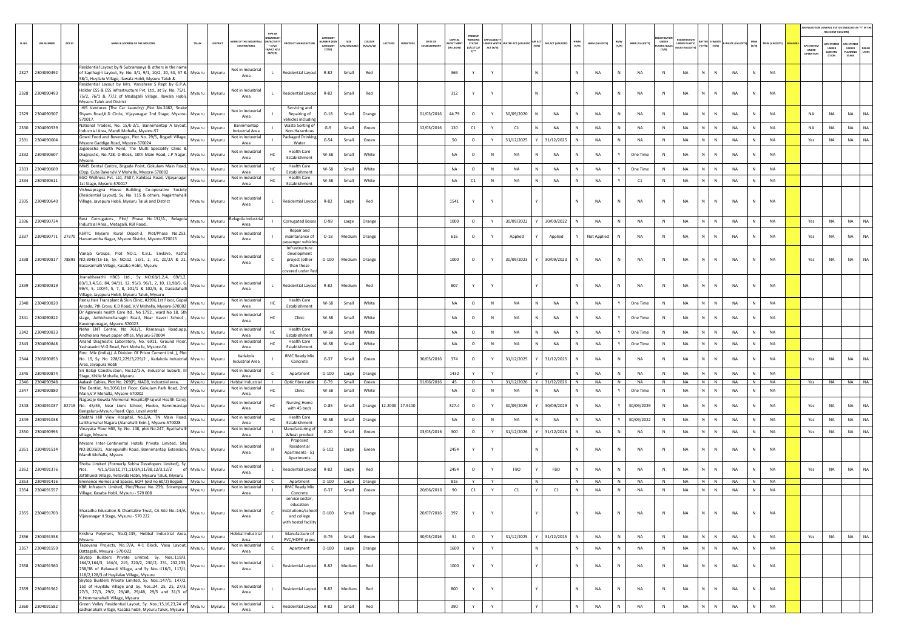|        |                       |                                                                                                                                                                                                               |         |          |                                       |                                                  |                                                                         |                                  |                    |                     |                 |         |                         |                                           |                                                           |              |                                         |                    |              |                |              |                       |                                       |                                              |              |                                |                     |                |                                  | AIR POLLUTION CONTROL STATUS (INDICATE AS "Y" IN THE<br>RELEVANT COLUMN                         |                       |
|--------|-----------------------|---------------------------------------------------------------------------------------------------------------------------------------------------------------------------------------------------------------|---------|----------|---------------------------------------|--------------------------------------------------|-------------------------------------------------------------------------|----------------------------------|--------------------|---------------------|-----------------|---------|-------------------------|-------------------------------------------|-----------------------------------------------------------|--------------|-----------------------------------------|--------------------|--------------|----------------|--------------|-----------------------|---------------------------------------|----------------------------------------------|--------------|--------------------------------|---------------------|----------------|----------------------------------|-------------------------------------------------------------------------------------------------|-----------------------|
| SL.NO. | <b>UIN NUMBER</b>     | PCB ID<br>NAME & ADDRESS OF THE INDUSTRY                                                                                                                                                                      | TALUK   | DISTRICT | AME OF THE INDU<br>ESTATES/AREA       | N/ACTIVI<br>$*$ (1/M/<br>.<br>МС/ Н/L<br>CE/C/O) | UCT MANUFACTUR                                                          | CATEGORY<br>MBER (XG<br>CATEGORY | SIZE<br>/M/S/MICRO | coLour<br>(R/O/G/W) | LATITUDE        | ONGITUD | DATE OF<br>ESTABLISHMEN | CAPITAL<br><b>VEST MENT</b><br>(IN LAKHS) | PRESENT<br><b>STATUS</b><br>0/01/02/<br>$Y$ <sup>++</sup> | ACT (Y/N)    | NDER WATER WATER ACT (VALIDITY) AIR ACT | AIR ACT (VALIDITY) | HWM<br>(Y/N) | HWM (VALIDITY) | BMW<br>(Y/N) | <b>BMW (VALIDITY)</b> | UNDER<br><b>LASTIC RULES</b><br>[Y/N] | GISTRATI<br>UNDER PLASTIC<br>ULES (VALIDITY) |              | Y (Y/N) (Y/N) E-WASTE (VALIDIT | $\frac{MSW}{(Y/N)}$ | MSW (VALIDITY) | APC SYSTEM<br>UNDER<br>OPERATION | PC SYSTEM<br><b><i>DE SYSTER</i></b><br>UNDER<br>PLANNING<br>UNDER<br>CONSTRU<br>crion<br>STAGE | <b>DEFAU</b><br>LTERS |
|        |                       | Residential Layout by N Subramanya & others in the name                                                                                                                                                       |         |          | Not in Industria                      |                                                  |                                                                         |                                  |                    |                     |                 |         |                         |                                           |                                                           |              |                                         |                    |              |                |              |                       |                                       |                                              |              |                                |                     |                |                                  |                                                                                                 |                       |
|        | 2327 2304090492       | of Sapthagiri Layout, Sy. No. 3/1, 9/1, 10/2, 20, 50, 57 & Mysuru<br>58/1, Huyilalu Village, Ilawala Hobli, Mysuru Taluk &                                                                                    |         | Mysuru   | Area                                  | L.                                               | Residential Layout                                                      | R-82                             | Small              | Red                 |                 |         |                         | 369                                       | Y                                                         | Y            |                                         |                    |              | NA             | N            | NA                    | N                                     | <b>NA</b><br>N.                              | $\mathbb{N}$ | NA                             | $\mathsf{N}$        | <b>NA</b>      |                                  |                                                                                                 |                       |
|        | 2328 2304090493       | Residential Layout by Mrs. Vanishree S Rept by G.P.A<br>Holder ESS & ESS Infrastructure Pvt. Ltd., at Sy. No. 75/1,<br>75/2, 76/1 & 77/2 of Madagalli Village, Ilawala Hobli,<br>Mysuru Taluk and District    | Vlysuru | Mysuru   | Not in Industrial<br>Area             |                                                  | <b>Residential Layout</b>                                               | R-82                             | Small              | Red                 |                 |         |                         | 312                                       | Y                                                         |              |                                         |                    |              | NA             | N            | NA                    | ${\sf N}$                             | NA<br>N                                      | $\mathsf{N}$ | NA                             |                     | NA             |                                  |                                                                                                 |                       |
|        | 2329 2304090507       | Hi5 Ventures (The Car Laundry) ,Plot No.2482, Snake<br>Shyam Road, K.D Circle, Vijayanagar 2nd Stage, Mysore- Mysuru<br>570017.                                                                               |         | Mysuru   | Not in Industrial<br>Area             |                                                  | Servicing and<br>Repairing of<br>vehicles includin                      | $O-18$                           | Small              | Orange              |                 |         | 01/03/2016              | 44.79                                     | $\circ$                                                   | Y            | 30/09/2020                              | <b>NA</b>          | N            | <b>NA</b>      | N            | NA                    | N                                     | <b>NA</b><br>N                               | N            | <b>NA</b>                      | $\mathsf{N}$        | <b>NA</b>      | <b>NA</b>                        | <b>NA</b><br>NA                                                                                 | <b>NA</b>             |
|        | 2330 2304090539       | National Traders, No. 15/E-2/1, Bannimantap A layout,<br>Industrial Area, Mandi Mohalla, Mysore-57                                                                                                            | Mysuru  | Mysuru   | Bannimantap<br><b>Industrial Area</b> |                                                  | Waste Sorting of<br>Non-Hazardous                                       | $G-9$                            | Small              | Green               |                 |         | 12/03/2016              | 120                                       | C1                                                        | Y            | C1                                      | NA                 |              | NA             | $\,$ N       | <b>NA</b>             | N                                     | N<br><b>NA</b>                               | N            | <b>NA</b>                      | $\mathsf{N}$        | <b>NA</b>      | <b>NA</b>                        | <b>NA</b><br><b>NA</b>                                                                          | NA                    |
|        | 2331 2304090604       | Gowri Food and Beverages, Plot No. 29/5, Bogadi Village,<br>Mysore Gaddige Road, Mysore-570024                                                                                                                | Mysuru  | Mysuru   | Not in Industria<br>Area              |                                                  | Packaged Drinking<br>Water                                              | $G-54$                           | Small              | Green               |                 |         |                         | $50\,$                                    | $\circ$                                                   | Y            | 31/12/2025                              | 31/12/2025         |              | NA             | N            | NA                    | N                                     | NA<br>N.                                     | N            | NA                             | $\mathbb N$         | <b>NA</b>      | Yes                              | NA<br><b>NA</b>                                                                                 | NA                    |
|        | 2332 2304090607       | Jagdeesha Health Point, The Multi Speciality Clinic &<br>Diagnostic, No.728, D-Block, 10th Main Road, J.P Nagar,                                                                                              | Mysuru  | Mysuru   | Not in Industrial<br>Area             |                                                  | <b>Health Care</b><br>Establishment                                     | W-58                             | Small              | White               |                 |         |                         | NA                                        | $\circ$                                                   | $\mathbb N$  | NA                                      | NA                 |              | NA             |              | One Time              | N                                     | NA<br>N.                                     | $\mathbb N$  | <b>NA</b>                      | N                   | <b>NA</b>      |                                  |                                                                                                 |                       |
|        | 2333 2304090609       | Mysore.<br>MMS Dental Centre, Brigade Point, Gokulam Main Road,                                                                                                                                               | Mysuru  | Mysuru   | Not in Industri                       | HC.                                              | <b>Health Care</b>                                                      | W-58                             | Small              | White               |                 |         |                         | NA                                        | $\circ$                                                   | N            | <b>NA</b>                               | <b>NA</b>          |              | <b>NA</b>      | Y            | One Time              | N                                     | <b>NA</b><br>N.                              | N            | NA                             | $\mathsf{N}$        | NA             |                                  |                                                                                                 |                       |
| 2334   | 2304090611            | (Opp. Cubs Bakery)V.V Mohalla, Mysore-570002<br>EGO Wellness Pvt. Ltd, #507, Kalidasa Road, Vijayanagar                                                                                                       | Mysuru  | Mysuru   | Area<br>Not in Industrial             | HC                                               | Establishmen<br><b>Health Care</b>                                      | W-58                             | Small              | White               |                 |         |                         | NA                                        | C1                                                        | $\mathbb N$  | NA                                      | NA                 |              | NA             |              | C1                    | N                                     | NA<br>N                                      | ${\sf N}$    | NA                             | N                   | <b>NA</b>      |                                  |                                                                                                 |                       |
|        |                       | 1st Stage, Mysore-570017<br>Vishwapragna House Building Co-operative Society                                                                                                                                  |         |          | Area                                  |                                                  | Establishment                                                           |                                  |                    |                     |                 |         |                         |                                           |                                                           |              |                                         |                    |              |                |              |                       |                                       |                                              |              |                                |                     |                |                                  |                                                                                                 |                       |
|        | 2335 2304090640       | (Residential Layout), Sy. No. 115 & others, Nagarthahalli<br>Village, Jayapura Hobli, Mysuru Taluk and District                                                                                               | Mysuru  | Mysuru   | Not in Industrial<br>Area             | L.                                               | Residential Layout                                                      | R-82                             | Large              | Red                 |                 |         |                         | 1541                                      | Y                                                         | Y            |                                         |                    |              | <b>NA</b>      | N            | NA                    | ${\sf N}$                             | NA<br>N                                      | $\mathbb{N}$ | NA                             | N                   | <b>NA</b>      |                                  |                                                                                                 |                       |
|        | 2336 2304090734       | Best Corrugators., Plot/ Phase No.131/A., Belagola<br>Industrial Area., Metagalli, RBI Road.                                                                                                                  | Mysuru  | Mysuru   | Belagola Industria<br>Area            |                                                  | <b>Corrugated Boxes</b>                                                 | $O-98$                           | Large              | Orange              |                 |         |                         | 1000                                      | $\circ$                                                   | Y            | 30/09/2022                              | 30/09/2022         |              | <b>NA</b>      | $\,$ N       | NA                    | N                                     | NA<br>$\mathsf{N}^-$                         | $\,$ N       | NA                             | $\mathbb N$         | <b>NA</b>      | Yes                              | <b>NA</b><br><b>NA</b>                                                                          | NA                    |
|        | 2337 2304090771 27370 | KSRTC Mysore Rural Depot-3, Plot/Phase No.253,<br>Hanumantha Nagar, Mysore District, Mysore-570015                                                                                                            | Mysuru  | Mysuru   | Not in Industrial<br>Area             |                                                  | Repair and<br>maintanance of<br>assenger vehicle:                       | $O-18$                           | Medium             | Orange              |                 |         |                         | 616                                       | $\circ$                                                   | Y            | Applied                                 | Applied            |              | Not Applied    | N            | <b>NA</b>             | N                                     | NA                                           | N            | NA                             |                     | <b>NA</b>      | Yes                              | <b>NA</b><br>NA                                                                                 | <b>NA</b>             |
|        |                       | Vanaja Groups, Plot NO:1, K.B.L. Envlave, Katha<br>2338 2304090817 78893 NO:3048/15-16, Sy. NO:12, 13/1, 2, 3C, 20/2A & 21, Mysuru<br>Basavanhalli Village, Kasaba Hobli, Mysuru                              |         | Mysuru   | Not in Industrial<br>Area             | $\epsilon$                                       | Infrastructure<br>development<br>project (other<br>than those           | $O-100$                          | Medium             | Orange              |                 |         |                         | 1000                                      | $\circ$                                                   | Y            | 30/09/2023                              | 30/09/2023         | N            | NA             | N            | NA                    | N                                     | NA<br>N                                      | N            | <b>NA</b>                      | N                   | NA             | Yes                              | <b>NA</b><br>NA                                                                                 | NA                    |
|        | 2339 2304090819       | Jnanabharathi HBCS Ltd., Sy NO:68/1,2,4, 69/1,2,<br>83/1,3,4,5,6, 84, 94/11, 12, 95/3, 96/1, 2, 10, 11,98/5, 6,                                                                                               | Mysuru  | Mysuru   | Not in Industrial                     | L.                                               | overed under Re<br>Residential Layout                                   | R-82                             | Medium             | Red                 |                 |         |                         | 807                                       | Y                                                         | Y            |                                         |                    | N            | <b>NA</b>      | N            | NA                    | N                                     | <b>NA</b><br>N                               | N            | NA                             | $\mathbb N$         | <b>NA</b>      |                                  |                                                                                                 |                       |
|        |                       | 99/4, 5, 100/4, 5, 7, 8, 101/1 & 102/5, 6, Dadadahalli<br>Village, Jayapura Hobli, Mysuru Taluk, Mysuru<br>Reniu Hair Transplant & Skin Clinic, #2996,1st Floor, Gopal                                        |         |          | Area<br>Not in Industria              |                                                  | <b>Health Care</b>                                                      |                                  |                    |                     |                 |         |                         |                                           |                                                           |              |                                         |                    |              |                |              |                       |                                       |                                              |              |                                |                     |                |                                  |                                                                                                 |                       |
|        | 2340 2304090820       | Arcade, 7th Cross, K.D Road, V.V Mohalla, Mysore-570002                                                                                                                                                       | Mysuru  | Mysuru   | Area                                  | HC                                               | Establishment                                                           | W-58                             | Small              | White               |                 |         |                         | NA                                        | $\circ$                                                   | N            | <b>NA</b>                               | <b>NA</b>          |              | NA             | Y            | One Time              | N                                     | NA<br>N                                      | $\mathbb{N}$ | NA                             | $\mathsf{N}$        | <b>NA</b>      |                                  |                                                                                                 |                       |
|        | 2341 2304090822       | Dr Agarwals health Care ltd., No 1792., ward No 18, 5th<br>stage, Adhichunchanagiri Road, Near Kaveri School<br>Kuvempunagar, Mysore-570023                                                                   | Mysuru  | Mysuru   | Not in Industria<br>Area              | HC                                               | Clinic                                                                  | W-58                             | Small              | White               |                 |         |                         | NA                                        | $\circ$                                                   | $\mathbb{N}$ | <b>NA</b>                               | <b>NA</b>          | N            | NA             |              | One Time              | N                                     | NA<br>N.                                     | $\mathbb{N}$ | NA                             |                     | <b>NA</b>      |                                  |                                                                                                 |                       |
|        | 2342 2304090833       | Neha ENT Centre, No 761/1, Ramanuja Road,opp.<br>Andholana News paper office, Mysuru-570004                                                                                                                   | Mysuru  | Mysuru   | Not in Industria<br>Area              | HC.                                              | <b>Health Care</b><br>Establishment                                     | W-58                             | Small              | White               |                 |         |                         | <b>NA</b>                                 | $\circ$                                                   | $\mathbb N$  | <b>NA</b>                               | <b>NA</b>          |              | NA             | Y            | One Time              | N                                     | $\mathsf{N}^-$<br><b>NA</b>                  | N            | NA                             | $\mathsf{N}$        | <b>NA</b>      |                                  |                                                                                                 |                       |
|        | 2343 2304090848       | Anand Diagnostic Laboratory, No. 6911, Ground Floor<br>Yashaswini M.G Road, Fort Mohalla, Mysore-04                                                                                                           | Mysuru  | Mysuru   | Not in Industr<br>Area                | HC                                               | <b>Health Care</b><br>Establishment                                     | W-58                             | Small              | White               |                 |         |                         | NA                                        | $\circ$                                                   | $\,$ N       | NA                                      | NA                 | N            | NA             | Y            | One Time              | N                                     | NA<br>N.                                     | N            | NA                             | N                   | <b>NA</b>      |                                  |                                                                                                 |                       |
|        | 2344 2305090853       | Rmc Mix (India), (A Division Of Prism Cement Ltd.,), Plot<br>No. 19, Sy. No. 228/2,229/3,229/2, Kadakola Industrial Mysuru<br>Area, Jayapura Hobli                                                            |         | Mysuru   | Kadakola<br><b>Industrial Area</b>    |                                                  | <b>RMC Ready Mix</b><br>Concrete                                        | $G-37$                           | Small              | Green               |                 |         | 30/05/2016              | 374                                       | $\circ$                                                   | Y            | 31/12/2025                              | 31/12/2025         |              | <b>NA</b>      | N            | NA                    | N                                     | N.<br>NA                                     | $\mathsf{N}$ | <b>NA</b>                      | N                   | <b>NA</b>      | Yes                              | <b>NA</b><br>NA                                                                                 | NA                    |
| 2345   | 2304090874            | Sri Balaji Construction, No:12/1-A, Industrial Suburb, III<br>Stage, Khille Mohalla, Mysuru                                                                                                                   | Mysuru  | Mysuru   | Not in Industri<br>Area               | $\epsilon$                                       | Apartment                                                               | $O-100$                          | Large              | Orange              |                 |         |                         | 1432                                      | Y                                                         |              |                                         |                    |              | NA             | N            | <b>NA</b>             | N                                     | NA<br>N.                                     | N            | NA                             | N                   | <b>NA</b>      |                                  |                                                                                                 |                       |
|        | 2346 2304090948       | Aakash Cables, Plot No. 269(P), KIADB, Industrial area,<br>The Dentist, No.3050,1st Floor, Gokulam Park Road, 2nd                                                                                             | Mysuru  | Mysuru   | Hebbal Industria<br>Not in Industri   |                                                  | Optic fibre cable                                                       | $G-79$                           | Small              | Green               |                 |         | 01/06/2016              | 45                                        | $\circ$                                                   | Y            | 31/12/2026                              | 31/12/2026         | N            | NA             | N            | NA                    | N                                     | NA                                           | N N          | NA                             | N                   | <b>NA</b>      | Yes                              | <b>NA</b>                                                                                       | NA NA                 |
| 2347   | 2304090880            | Main, V.V Mohalla, Mysore-570002<br>Nagaraje Gowda Memorial Hospital(Prajwal Health Care)                                                                                                                     | Mysuru  | Mysuru   | Area<br>Not in Industrial             | HC                                               | Clinic<br><b>Nursing Home</b>                                           | W-58                             | Small              | White               |                 |         |                         | NA                                        | $\circ$                                                   | $\mathbb N$  | <b>NA</b>                               | NA                 |              | NA             | Y<br>Y       | One Time              | N                                     | NA<br>N                                      | N            | <b>NA</b>                      | $\mathsf{N}$<br>N   | <b>NA</b>      |                                  |                                                                                                 |                       |
|        |                       | 2348 2304091037 82719 No. 45/46, Near Lions School, Hudco, Bannimantap Mysuru<br>Bengaluru-Mysuru Road. Opp. Loyal world                                                                                      |         | Mysuru   | Area<br>Not in Industrial             |                                                  | with 45 beds<br><b>Health Care</b>                                      | $O-85$                           | Small              | Orange              | 12.2000 17.9100 |         |                         | 327.4                                     | $\circ$                                                   | Y            | 30/09/2029                              | 30/09/2029         | N            | NA             |              | 30/09/2029            | N                                     | NA<br>N                                      | N            | <b>NA</b>                      |                     | <b>NA</b>      | Yes                              | NA<br>NA                                                                                        | <b>NA</b>             |
| 2349   | 2304091038            | Shakthi Hill View Hospital, No.6/A, TN Main Road,<br>alithamahal Nagara (Alanahalli Extn.), Mysuru-570028                                                                                                     | Mysuru  | Mysuru   | Area                                  | HC                                               | Establishment                                                           | W-58                             | Small              | Orange              |                 |         |                         | NA                                        | $\circ$                                                   | $\mathbb N$  | NA                                      | NA                 |              | NA             | Y            | 30/09/2022            | N                                     | N.<br>NA                                     | N            | <b>NA</b>                      | $\mathbf{N}$        | NA             | Yes                              | NA<br>NA                                                                                        | NA                    |
|        | 2350 2304090995       | Vinayaka Flour Mill, Sy. No. 148, plot No.247, Byathahall<br>rillage, Mysuru                                                                                                                                  | Mysuru  | Mysuru   | Not in Industri<br>Area               |                                                  | Manufacturing of<br>Wheat product                                       | $G-20$                           | Small              | Green               |                 |         | 03/05/2016              | 300                                       | $\circ$                                                   | Y            | 31/12/2026                              | 31/12/2026         | N            | NA             | $\,$ N       | NA                    | N                                     | NA<br>N                                      | N            | NA                             | N                   | <b>NA</b>      | Yes                              | NA<br>NA                                                                                        | <b>NA</b>             |
|        | 2351 2304091514       | Mysore Inter-Continental Hotels Private Limited, Site<br>NO:BCD&D1, Aanegundhi Road, Bannimantap Extension, Mysuru<br>Mandi Mohalla, Mysuru                                                                   |         | Mysuru   | Not in Industrial<br>Area             |                                                  | Proposed<br>Residential<br>Apartments - 51<br>Apartments                | $G-102$                          | Large              | Green               |                 |         |                         | 2454                                      | Y                                                         | Y            |                                         |                    |              | NA             | N            | NA                    | N                                     | NA<br>N.                                     | N            | NA                             |                     | <b>NA</b>      |                                  |                                                                                                 |                       |
|        | 2352 2304091376       | Shoba Limited (Formerly Sobha Developers Limited), Sy.<br>Nos. 4/1,5/1B/1C,7/1,11/3A,11/3B,12/3,12/2                                                                                                          | Mysuru  | Mysuru   | Not in Industrial                     |                                                  | Residential Layout                                                      | R-82                             | Large              | Red                 |                 |         |                         | 2454                                      | $\circ$                                                   |              | <b>FBO</b>                              | FBO                |              | NA             | N            | <b>NA</b>             | $\mathbb{N}$                          | <b>NA</b>                                    |              | NA                             |                     | <b>NA</b>      | Yes                              | NA<br><b>NA</b>                                                                                 | <b>NA</b>             |
|        | 2353 2304091416       | Jattihundi Village, Yellavala Hobli, Mysuru Taluk, Mysuru<br>Eminence Homes and Spaces, 60/4 (old no.60/2) Bogadi Mysuru                                                                                      |         | Mysuru   | Area<br>Not in Industrial             |                                                  | Apartment                                                               | $O-100$                          | Large              | Orange              |                 |         |                         | 816                                       |                                                           | Y            | N                                       |                    | <b>N</b>     | <b>NA</b>      | N            | <b>NA</b>             | N                                     | <b>NA</b>                                    | N N          | <b>NA</b>                      | N                   | <b>NA</b>      |                                  |                                                                                                 |                       |
|        | 2354 2304091557       | KBR Infratech Limited, Plot/Phase No.:239, Srirampura                                                                                                                                                         | Mysuru  | Mysuru   | Not in Industria                      |                                                  | RMC Ready Mix                                                           | $G-37$                           | Small              | Green               |                 |         | 20/06/2016              | 90                                        | $\mathsf{C1}$                                             | Y            | C1                                      | C1                 | N            | NA             | $\,$ N       | NA                    | ${\sf N}$                             | NA<br>N                                      | N            | NA                             | N                   | <b>NA</b>      |                                  |                                                                                                 |                       |
|        |                       | Village, Kasaba Hobli, Mysuru - 570 008                                                                                                                                                                       |         |          | Area                                  |                                                  | Concrete<br>service sector,                                             |                                  |                    |                     |                 |         |                         |                                           |                                                           |              |                                         |                    |              |                |              |                       |                                       |                                              |              |                                |                     |                |                                  |                                                                                                 |                       |
|        | 2355 2304091703       | Sharadha Education & Charitable Trust, CA Site No.:14/A, Mysuru<br>Vijayanagar II Stage, Mysuru - 570 222                                                                                                     |         | Mysuru   | Not in Industrial<br>Area             |                                                  | education<br>institutions/school<br>and college<br>with hostel facility | $O-100$                          | Small              | Orange              |                 |         | 20/07/2016              | 397                                       | Y                                                         | Y            |                                         |                    | N            | NA             | N            | NA                    | ${\sf N}$                             | NA<br>N                                      | N            | NA                             | N                   | <b>NA</b>      |                                  |                                                                                                 |                       |
|        | 2356 2304091558       | Krishna Polymers, No.Q-135, Hebbal Industrial Area,<br>Mysuru                                                                                                                                                 | Mysuru  | Mysuru   | Hebbal Industrial<br>Area             |                                                  | Manufacture of<br>PVC/HDPE pipes                                        | $G - 79$                         | Small              | Green               |                 |         | 30/05/2016              | ${\bf 51}$                                | $\circ$                                                   | Y            | 31/12/2025                              | 31/12/2025         |              | <b>NA</b>      | $\,$ N       | NA                    | $\mathbb N$                           | N<br>NA                                      | N            | NA                             | $\mathbb N$         | <b>NA</b>      | Yes                              | <b>NA</b><br>NA                                                                                 | NA                    |
|        | 2357 2304091559       | Tapovana Projects, No.:7/A, A-1 Block, Vasu Layout,<br>Dattagalli, Mysuru - 570 022                                                                                                                           | Mysuru  | Mysuru   | Not in Industria<br>Area              | $\mathbb{C}$                                     | Apartment                                                               | $O-100$                          | Large              | Orange              |                 |         |                         | 1600                                      | Y                                                         | Y            |                                         |                    | N            | NA             | $\,$ N       | NA                    | $\,$ N                                | NA<br>N                                      | N            | NA                             | N                   | <b>NA</b>      |                                  |                                                                                                 |                       |
|        | 2358 2304091560       | Skytop Builders Private Limited, Sy. Nos.:119/3,<br>164/2,164/3, 164/4, 219, 220/2, 230/2, 231, 232,233,<br>238/3B of Belawadi Village, and Sy Nos.:116/1, 117/1,<br>118/2,128/3 of Huyilalau Village, Mysuru | Mysuru  | Mysuru   | Not in Industrial<br>Area             | $\mathbf{L}$                                     | Residential Layout                                                      | R-82                             | Medium             | Red                 |                 |         |                         | 1000                                      | Y                                                         | Y            |                                         |                    | N            | NA             | N            | NA                    | N                                     | NA<br>N                                      | $\mathbb{N}$ | NA                             | $\mathsf{N}$        | <b>NA</b>      |                                  |                                                                                                 |                       |
|        | 2359 2304091562       | Skytop Builders Private Limited, Sy. Nos.:147/1, 147/2,<br>Skytop Bulluers Private Links (25, 27, 25, 27, 27/3, 27, 27)<br>27/3, 27/3, 29/2, 29/4B, 29/4B, 29/5 and 31/3 of<br>K.Hemmanahalli Village, Mysuru |         | Mysuru   | Not in Industrial<br>Area             | $\mathbf{L}$                                     | Residential Layout                                                      | R-82                             | Medium             | Red                 |                 |         |                         | 800                                       | Y                                                         | Y            |                                         |                    | N            | NA             | N            | NA                    | ${\sf N}$                             | NA<br>N                                      | $\mathbb{N}$ | NA                             | N                   | NA             |                                  |                                                                                                 |                       |
|        | 2360 2304091582       | Green Valley Residential Layout, Sy. Nos.:15,16,23,24 of<br>sadhanahalli village, Kasaba hobli, Mysuru Taluk, Mysuru                                                                                          | Mysuru  | Mysuru   | Not in Industria<br>Area              | $\mathbf{L}$                                     | Residential Layout                                                      | R-82                             | Small              | Red                 |                 |         |                         | 390                                       | Y                                                         | $\mathsf{Y}$ |                                         |                    | N            | NA             | ${\sf N}$    | NA                    | ${\sf N}$                             | $\sf NA$<br>N                                | N            | $\sf NA$                       | $\mathbb N$         | <b>NA</b>      |                                  |                                                                                                 |                       |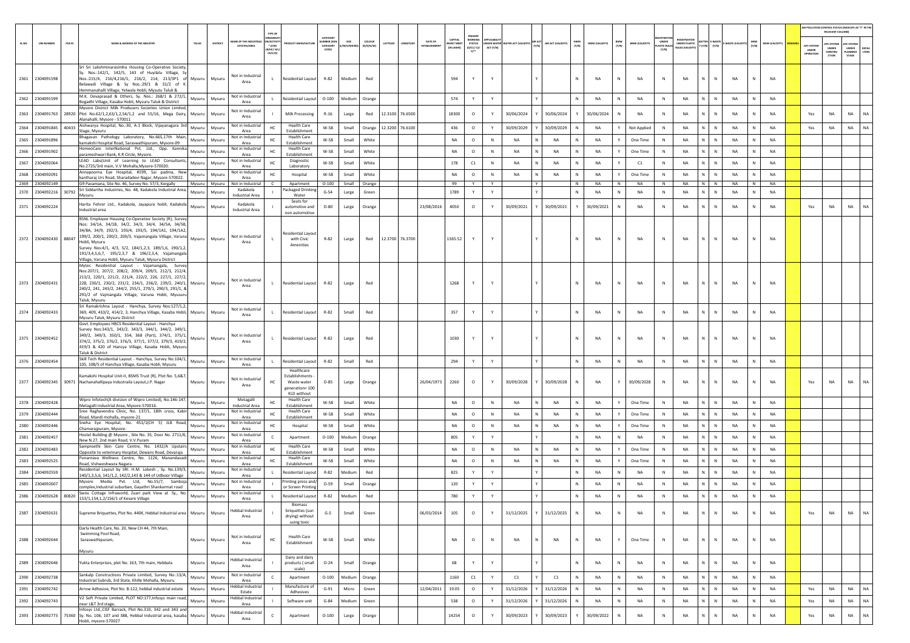|        |                       |        |                                                                                                                                                                                                                                                                                                                                                                                                                        |          |         |                                                                                         |                                                                                 |                                         |                         |                     |         |                 |                         |                                     |                                                    |                        |                              |                    |              |                                |                      |                                      |                                       |                                                                                                              |              |           |                   |                |                                  | RELEVANT COLUMN)                               | AIR POLLUTION CONTROL STATUS (INDICATE AS "Y" IN THE                    |
|--------|-----------------------|--------|------------------------------------------------------------------------------------------------------------------------------------------------------------------------------------------------------------------------------------------------------------------------------------------------------------------------------------------------------------------------------------------------------------------------|----------|---------|-----------------------------------------------------------------------------------------|---------------------------------------------------------------------------------|-----------------------------------------|-------------------------|---------------------|---------|-----------------|-------------------------|-------------------------------------|----------------------------------------------------|------------------------|------------------------------|--------------------|--------------|--------------------------------|----------------------|--------------------------------------|---------------------------------------|--------------------------------------------------------------------------------------------------------------|--------------|-----------|-------------------|----------------|----------------------------------|------------------------------------------------|-------------------------------------------------------------------------|
| SL.NO. | <b>UIN NUMBER</b>     | PCB ID | <b>NAME &amp; ADDRESS OF THE INDUSTR</b>                                                                                                                                                                                                                                                                                                                                                                               | TALUK    | DISTRIC | AME OF THE INDUST<br>N/ACTIV<br>$*(1/M)$<br><b>ESTATES/AREA</b><br>LB/HC/ H/<br>CE/C/O) |                                                                                 | CATEGOR<br>MBER DO<br>CATEGORY<br>CODE) | SIZE<br><b>M/S/MICE</b> | coLous<br>(R/O/G/W) | LATITUD |                 | DATE OF<br>ESTABLISHMEN | CAPITAL<br>NVEST MENT<br>(IN LAKHS) | <b>NORKING</b><br><b>STATUS</b><br>(0/C1/C2)<br>Y1 | NDER WATE<br>ACT (Y/N) | VATER ACT (VALIDITY) AIR ACT | AIR ACT (VALIDITY) | HWM<br>(Y/N) | BMW<br>(Y/N)<br>HWM (VALIDITY) | <b>BMW (VALIDITY</b> | UNDER<br><b>LASTIC RULE</b><br>(Y/N) | UNDER PLASTIC<br><b>ULES (VALIDI)</b> | <b>ATTER E-WASTE</b><br>$\mathbf{Y}\left( \mathbf{Y}/\mathbf{N}\right) =\left( \mathbf{Y}/\mathbf{N}\right)$ | WASTE (VAL   |           | MSW<br>(Y/N)      | MSW (VALIDITY) | APC SYSTEM<br>UNDER<br>OPERATION | <b>IPC SYSTEM</b><br>UNDER<br>CONSTRU<br>CTION | <b>UPC SYSTEM</b><br>UNDER<br><b>DEFAU</b><br>LTERS<br>LANNING<br>STAGE |
|        | 2361 2304091598       |        | Sri Sri Lakshminarasimha Housing Co-Operative Society,<br>Sy. Nos.:142/1, 142/5, 143 of Huyilalu Village, Sy<br>Nos.:215/4, 216/4,216/1, 216/2, 214, 213/3P1 of Mysuru Mysuru<br>Belawadi Village & Sy Nos.:29/1 & 31/2 of K.                                                                                                                                                                                          |          |         | Not in Industrial<br>$\mathbf{L}$<br>Area                                               | <b>Residential Layout</b>                                                       | R-82                                    | Medium                  | Red                 |         |                 |                         | 594                                 | Y                                                  | Y                      |                              |                    |              | N<br>NA                        | <b>NA</b>            | N                                    | <b>NA</b>                             | N.                                                                                                           | N            | <b>NA</b> | N                 | <b>NA</b>      |                                  |                                                |                                                                         |
| 2362   | 2304091599            |        | Hemmanahalli Village, Yelwala Hobli, Mysutu Taluk &<br>M.K. Devaprasad & Others, Sy. Nos.: 268/1 & 272/1,<br>Bogadhi Village, Kasaba Hobli, Mysuru Taluk & District                                                                                                                                                                                                                                                    | Mysuru   | Mysuru  | Not in Industrial<br>Area                                                               | Residential Layout                                                              | $O-100$                                 | Medium                  | Orange              |         |                 |                         | 574                                 | Y                                                  | Y                      |                              |                    | N            | NA<br>N                        | NA                   | N                                    | NA                                    | N                                                                                                            | ${\sf N}$    | <b>NA</b> | N                 | NA             |                                  |                                                |                                                                         |
| 2363   | 2304091763            |        | Mysore District Milk Producers Societies Union Limited,<br>28920 Plot No.62/1,2,63/1,2,54/1,2 and 55/16, Mega Dairy, Mysuru<br>Alanahalli, Mysore - 570011                                                                                                                                                                                                                                                             |          | Mysuru  | Not in Industria<br>Area                                                                | Milk Processing                                                                 | $R-16$                                  | Large                   | Red                 |         | 12.3100 76.6500 |                         | 18300                               | $\circ$                                            |                        | 30/06/2024                   | 30/06/2024         |              | 30/06/2024<br>N                | <b>NA</b>            | $\mathbb{N}$                         | <b>NA</b>                             |                                                                                                              | N            | <b>NA</b> | N                 | NA             | Yes                              | <b>NA</b>                                      | <b>NA</b><br><b>NA</b>                                                  |
| 2364   | 2304091845            |        | Aishwarya Hospital, No.:30, A-1 Block, Vijayanagara 3rd<br>$\frac{40433}{\text{Stage, Mysuru}}$                                                                                                                                                                                                                                                                                                                        | Mysuru   | Mysuru  | Not in Industrial<br>HC<br>Area                                                         | <b>Health Care</b><br>Establishment                                             | W-58                                    | Small                   | Orange              |         | 12.3200 76.6100 |                         | 436                                 | $\circ$                                            | Y                      | 30/09/2029                   | 30/09/2029         |              | NA                             | Not Applied          | N                                    | NA                                    |                                                                                                              | Ν            | <b>NA</b> | N                 | <b>NA</b>      | Yes                              | NA                                             | <b>NA</b><br>NA                                                         |
| 2365   | 2304091896            |        | Bhagavan Pathology Laboratory, No.665,17th Main,<br>kamakshi Hospital Road, Saraswathipuram, Mysore-09                                                                                                                                                                                                                                                                                                                 | Mysuru   | Mysuru  | Not in Industrial<br>HC<br>Area                                                         | <b>Health Care</b><br>Establishment                                             | W-58                                    | Small                   | White               |         |                 |                         | NA                                  | $\circ$                                            | N                      | NA                           | NA                 |              | <b>NA</b><br>Y                 | One Time             | N                                    | NA                                    | N                                                                                                            | N            | <b>NA</b> | N                 | NA             |                                  |                                                |                                                                         |
| 2366   | 2304091902            |        | HomeoCare InterNational Pvt. Ltd., Opp. Kannika<br>parameshwari Bank, K.R Circle, Mysore,                                                                                                                                                                                                                                                                                                                              | Mysuru   | Mysuru  | Not in Industrial<br>HC<br>Area                                                         | <b>Health Care</b><br>Establishment                                             | W-58                                    | Small                   | White               |         |                 |                         | <b>NA</b>                           | $\circ$                                            | $\mathbb N$            | <b>NA</b>                    | <b>NA</b>          |              | <b>NA</b>                      | One Time             | N                                    | <b>NA</b>                             | N                                                                                                            | $\mathbb N$  | <b>NA</b> | N                 | <b>NA</b>      |                                  |                                                |                                                                         |
| 2367   | 2304092064            |        | LEAD Labs(Unit of Learning to LEAD Consultants,<br>No.2725/3rd main, V.V Mohalla, Mysore-570020.                                                                                                                                                                                                                                                                                                                       | Mysuru   | Mysuru  | Not in Industria<br>HC<br>Area                                                          | Diagnostic<br>Laboratory                                                        | W-58                                    | Small                   | White               |         |                 |                         | 178                                 | C1                                                 | N                      | <b>NA</b>                    | NA                 |              | NA                             | C1                   | N                                    | NA                                    |                                                                                                              | N            | <b>NA</b> | $\mathbb N$       | NA             |                                  |                                                |                                                                         |
| 2368   | 2304092091            |        | Annapoorna Eye Hospital, #199, Sai padma, New<br>kantharaj Urs Road, Sharadadevi Nagar, Mysore-570022.                                                                                                                                                                                                                                                                                                                 | Mysuru   | Mysuru  | Not in Industria<br>HC<br>Area                                                          | Hospital                                                                        | W-58                                    | Small                   | White               |         |                 |                         | NA                                  | $\circ$                                            | $\,$ N                 | NA                           | <b>NA</b>          | N            | NA<br>Y                        | One Time             | N                                    | <b>NA</b>                             | N                                                                                                            | N            | <b>NA</b> | N                 | NA             |                                  |                                                |                                                                         |
| 2369   | 2304092149            |        | G9 Pavamana, Site No. 46, Survey No. 57/3, Kergally<br>Sri Siddartha Industries, No. 48, Kadakola Industrial Area,                                                                                                                                                                                                                                                                                                     | Mysuru   | Mysuru  | Not in Industrial<br>Kadakola                                                           | Apartment<br><b>ackaged Drinking</b>                                            | $O-100$                                 | Small                   | Orange              |         |                 |                         | 99                                  |                                                    |                        |                              |                    | N            | NA<br>N                        | NA                   | N                                    | NA                                    | N                                                                                                            |              | <b>NA</b> | N<br>$\mathsf{N}$ | NA             |                                  |                                                |                                                                         |
| 2370   | 2304092216            | 30792  | Mysuru                                                                                                                                                                                                                                                                                                                                                                                                                 | Mysuru   | Mysuru  | <b>Industrial Area</b>                                                                  | Water<br>Seats for                                                              | $G-54$                                  | Large                   | Green               |         |                 |                         | 1789                                | Y                                                  | Y                      |                              |                    |              | N<br>NA                        | NA                   | N                                    | NA                                    |                                                                                                              | N            | NA        |                   | NA             |                                  |                                                |                                                                         |
|        | 2371 2304092224       |        | Harita Fehrer Ltd., Kadakola, Jayapura hobli, Kadakola<br>Industrial area                                                                                                                                                                                                                                                                                                                                              | Mysuru   | Mysuru  | Kadakola<br><b>Industrial Area</b>                                                      | automotive and<br>non automotive                                                | $O - 80$                                | Large                   | Orange              |         |                 | 23/08/2016              | 4050                                | $\circ$                                            | Y                      | 30/09/2021                   | 30/09/2021         |              | 30/09/2021<br>N                | <b>NA</b>            | N                                    | <b>NA</b>                             |                                                                                                              | N            | <b>NA</b> | $\mathbf N$       | NA             | Yes                              | <b>NA</b>                                      | <b>NA</b><br><b>NA</b>                                                  |
|        | 2372 2304092430 88047 |        | BSNL Employee Housing Co-Operative Society (R), Survey<br>Nos: 34/1A, 34/1B, 34/2, 34/3, 34/4, 34/5A, 34/5B,<br>34/8A, 34/9, 192/3, 193/4, 193/5, 194/1A1, 194/1A2,<br>199/2, 200/1, 200/2, 200/3, Vajamangala Village, Varuna<br>Hobli, Mysuru<br>Survey Nos:4/1, 4/3, 5/2, 184/1,2,3, 189/1,6, 190/1,2,<br>191/3,4,5,6,7, 195/2,3,7 & 196/2,3,4, Vajamangala<br>Village, Varuna Hobli, Mysuru Taluk, Mysuru District | Mysuru I | Mysuru  | Not in Industrial<br>Area                                                               | esidential Layou<br>with Civic<br>Amenities                                     | R-82                                    | Large                   | Red                 |         | 12.3700 76.3700 |                         | 1365.52                             | Y                                                  | Y                      |                              |                    |              | <b>NA</b><br>N                 | <b>NA</b>            | N                                    | <b>NA</b>                             | N                                                                                                            | N            | NA        | N                 | <b>NA</b>      |                                  |                                                |                                                                         |
|        | 2373 2304092431       |        | Mytec Residential Layout - Vajamangala, Survey<br>Nos:207/1, 207/2, 208/2, 209/4, 209/5, 212/3, 212/4,<br>213/2, 220/1, 221/2, 221/4, 222/2, 226, 227/1, 227/2,<br>228, 230/1, 230/2, 231/2, 234/1, 236/2, 239/2, 240/1, Mysuru Mysuru<br>240/2, 241, 243/2, 244/2, 255/1, 270/1, 290/3, 291/1, &<br>291/2 of Vajmangala Village, Varuna Hobli, Myusuru<br>Taluk, Mysuru                                               |          |         | Not in Industrial<br>$\mathbf{L}$<br>Area                                               | <b>Residential Lavout</b>                                                       | R-82                                    | Large                   | Red                 |         |                 |                         | 1268                                | Y                                                  |                        |                              |                    |              | NA<br>N                        | <b>NA</b>            | N                                    | <b>NA</b>                             | N                                                                                                            | N            | <b>NA</b> | $\mathbf N$       | <b>NA</b>      |                                  |                                                |                                                                         |
|        | 2374 2304092433       |        | Sri Ramakrishna Layout - Hanchya, Survey Nos:127/1,2,<br>369, 409, 410/2, 414/2, 3, Hanchya Village, Kasaba Hobli, Mysuru<br>Mysuru Taluk, Mysuru District                                                                                                                                                                                                                                                             |          | Mysuru  | Not in Industrial<br>Area                                                               | <b>Residential Layout</b>                                                       | R-82                                    | Small                   | Red                 |         |                 |                         | 357                                 | Y                                                  | Y                      |                              |                    | N            | N<br>NA                        | <b>NA</b>            | N                                    | <b>NA</b>                             | N.                                                                                                           | N            | <b>NA</b> | N                 | <b>NA</b>      |                                  |                                                |                                                                         |
|        | 2375 2304092452       |        | Govt. Employees HBCS Residential Layout - Hanchya<br>Survey Nos:343/1, 343/2, 343/3, 344/1, 344/2, 349/1,<br>349/2, 349/3, 350/1, 354, 368 (Part), 374/1, 375/1,<br>374/2, 375/2, 376/2, 376/3, 377/1, 377/2, 379/3, 419/2,<br>419/3 & 420 of Hancya Village, Kasaba Hobli, Mysuru<br>Taluk & District                                                                                                                 | Mysuru   | Mysuru  | Not in Industrial<br>$\mathbf{L}$<br>Area                                               | <b>Residential Layout</b>                                                       | R-82                                    | Large                   | Red                 |         |                 |                         | 1030                                | Y                                                  | Y                      |                              |                    |              | NA<br>N                        | NA                   | N                                    | NA                                    |                                                                                                              | N            | NA        | N                 | NA             |                                  |                                                |                                                                         |
|        | 2376 2304092454       |        | Skill Tech Residential Layout - Hanchya, Survey No:104/1,<br>105, 108/5 of Hanchya Village, Kasaba Hobli, Mysuru                                                                                                                                                                                                                                                                                                       | Mysuru   | Mysuru  | Not in Industrial<br>Area                                                               | Residential Layout                                                              | R-82                                    | Small                   | Red                 |         |                 |                         | 294                                 | Y                                                  | Y                      |                              |                    |              | NA<br>N                        | NA                   | $\,$ N                               | NA                                    |                                                                                                              | $\mathsf{N}$ | <b>NA</b> | N                 | NA             |                                  |                                                |                                                                         |
|        |                       |        | Kamakshi Hospital Unit-II, BSMS Trust (R), Plot No. 5,6&7,<br>2377 2304092345 30971 Nachanahallipaya Industraila Layout, J.P. Nagar                                                                                                                                                                                                                                                                                    | Mysuru   | Mysuru  | Not in Industrial<br>HC.<br>Area                                                        | Healthcare<br>Establishments -<br>Waste water<br>generation< 100<br>KLD without | $O-85$                                  | Large                   | Orange              |         |                 | 26/04/1973              | 2260                                | $\circ$                                            | Y                      | 30/09/2028                   | 30/09/2028         | N            | NA<br>Y                        | 30/09/2028           | N                                    | <b>NA</b>                             | N                                                                                                            | N            | <b>NA</b> | N                 | NA             | Yes                              | <b>NA</b>                                      | <b>NA</b><br><b>NA</b>                                                  |
|        | 2378 2304092428       |        | Wipro Infotech(A division of Wipro Limited), No.146-147,<br>Metagalli Industrial Area, Mysore-570016.                                                                                                                                                                                                                                                                                                                  | Mysuru   | Mysuru  | Metagalli<br>HC<br>Industrial Area                                                      | <b>Health Care</b><br>Establishment                                             | W-58                                    | Small                   | White               |         |                 |                         | NA                                  | $\circ$                                            | N                      | <b>NA</b>                    | <b>NA</b>          | N            | NA<br>Y                        | One Time             | N                                    | <b>NA</b>                             | N                                                                                                            | N            | NA        | N                 | NA             |                                  |                                                |                                                                         |
| 2379   | 2304092444            |        | Sree Raghavendra Clinic, No. 137/1, 18th cross, Kabir<br>Road, Mandi mohalla, mysore-21                                                                                                                                                                                                                                                                                                                                | Mysuru   | Mysuru  | Not in Industrial<br>HC<br>Area                                                         | <b>Health Care</b><br>Establishment                                             | W-58                                    | Small                   | White               |         |                 |                         | NA                                  | $\circ$                                            | N                      | <b>NA</b>                    | NA                 | <b>N</b>     | NA                             | One Time             | N                                    | <b>NA</b>                             |                                                                                                              | $\mathbb N$  | <b>NA</b> | N                 | <b>NA</b>      |                                  |                                                |                                                                         |
| 2380   | 2304092446            |        | Sneha Eye Hospital, No. 451/1(CH 5) JLB Road,<br>Chamarajpuram, Mysore.                                                                                                                                                                                                                                                                                                                                                | Mysuru   | Mysuru  | Not in Industrial<br>HC<br>Area                                                         | Hospital                                                                        | W-58                                    | Small                   | White               |         |                 |                         | NA                                  | $\circ$                                            | N                      | NA                           | NA                 |              | NA                             | One Time             | N                                    | NA                                    | N.                                                                                                           | $\mathbb N$  | NA        | $\mathsf{N}$      | NA             |                                  |                                                |                                                                         |
| 2381   | 2304092457            |        | Hostel Building @ Mysore, Site No. 35, Door No. 2711/6,<br>New N.27, 2nd main Road, V.V.Puram                                                                                                                                                                                                                                                                                                                          | Mysuru   | Mysuru  | Not in Industria<br>Area                                                                | Apartment                                                                       | $O-100$                                 | Medium                  | Orange              |         |                 |                         | 805                                 | Y                                                  | Y                      |                              |                    | N            | NA<br>N                        | NA                   | N                                    | <b>NA</b>                             | N                                                                                                            | N            | <b>NA</b> | N                 | NA             |                                  |                                                |                                                                         |
| 2382   | 2304092483            |        | Sampreethi Skin Care Centre, No. 1432/A Upstairs<br>Opposite to veterinary Hospital, Dewans Road, Devaraja                                                                                                                                                                                                                                                                                                             | Mysuru   | Mysuru  | Not in Industrial<br>HC<br>Area                                                         | <b>Health Care</b><br>Establishment                                             | W-58                                    | Small                   | White               |         |                 |                         | NA                                  | $\circ$                                            | N                      | <b>NA</b>                    | <b>NA</b>          |              | <b>NA</b>                      | One Time             | N                                    | <b>NA</b>                             |                                                                                                              | N            | <b>NA</b> | N                 | NA             |                                  |                                                |                                                                         |
| 2383   | 2304092525            |        | Punarnava Wellness Centre, No. 1126, Manandavadi<br>Road, Vishweshwara Nagara                                                                                                                                                                                                                                                                                                                                          | Mysuru   | Mysuru  | Not in Industria<br>HC<br>Area                                                          | <b>Health Care</b><br>Establishment                                             | W-58                                    | Small                   | White               |         |                 |                         | NA                                  | $\circ$                                            | N                      | <b>NA</b>                    | <b>NA</b>          |              | <b>NA</b>                      | One Time             | N                                    | <b>NA</b>                             | N.                                                                                                           | $\mathbb{N}$ | <b>NA</b> | N                 | NA             |                                  |                                                |                                                                         |
| 2384   | 2304092559            |        | Residential Layout by SRI. H.M. Lokesh, Sy. No.139/3,<br>140/1,3,5,6, 141/1,2, 142/2,143 & 144 of Udboor Village                                                                                                                                                                                                                                                                                                       | Mysuru   | Mysuru  | Not in Industrial<br>$\mathbf{L}$<br>Area                                               | Residential Layout                                                              | R-82                                    | Medium                  | Red                 |         |                 |                         | 825                                 | Y                                                  | Y                      |                              |                    | N            | NA<br>N                        | <b>NA</b>            | N                                    | <b>NA</b>                             |                                                                                                              | N            | <b>NA</b> | N                 | <b>NA</b>      |                                  |                                                |                                                                         |
| 2385   | 2304092607            |        | Mysore Media Pvt. Ltd, No.55/7, Samboja<br>complex, Industrial suburban, Gayathri Shankarmat road                                                                                                                                                                                                                                                                                                                      | Mysuru   | Mysuru  | Not in Industrial<br>Area                                                               | inting press and,<br>r Screen Printin                                           | $O-59$                                  | Small                   | Orange              |         |                 |                         | 120                                 |                                                    | Y                      |                              |                    |              | NA<br>N                        | NA                   | N                                    | NA                                    |                                                                                                              | N            | NA        | $\mathbf N$       | NA             |                                  |                                                |                                                                         |
|        |                       |        | 2386 2304092628 80820 Swiss Cottage Infraworld, Zuari park View at Sy, No. Mysuru                                                                                                                                                                                                                                                                                                                                      |          | Mysuru  | Not in Industrial<br>Area                                                               | Residential Layout                                                              | R-82                                    | Medium                  | Red                 |         |                 |                         | 780                                 | Y                                                  |                        |                              |                    |              | N<br>NA                        | NA                   | N                                    | <b>NA</b>                             | N                                                                                                            | N            | <b>NA</b> | N                 | <b>NA</b>      |                                  |                                                |                                                                         |
|        | 2387 2304092631       |        | Supreme Briquettes, Plot No. 440K, Hebbal Industrial area Mysuru                                                                                                                                                                                                                                                                                                                                                       |          | Mysuru  | lebbal Industrial<br>Area                                                               | Biomass<br>briquettes (sun<br>drying) without<br>using toxic                    | $G-5$                                   | Small                   | Green               |         |                 | 06/03/2014              | 105                                 | $\circ$                                            | Y                      | 31/12/2025                   | 31/12/2025         |              | ${\sf N}$<br>NA                | NA                   | $\,$ N                               | NA                                    | N                                                                                                            | $\,$ N       | <b>NA</b> | N                 | NA             | Yes                              | NA                                             | NA<br>NA                                                                |
|        | 2388 2304092644       |        | Darla Health Care, No. 20, New CH 44, 7th Main,<br>Swimming Pool Road.<br>Saraswathipuram,<br>Mysuru                                                                                                                                                                                                                                                                                                                   | Mysuru   | Mysuru  | Not in Industrial<br>HC<br>Area                                                         | <b>Health Care</b><br>Establishment                                             | W-58                                    | Small                   | White               |         |                 |                         | NA                                  | $\circ$                                            | $\,$ N                 | NA                           | NA                 | N            | <b>NA</b>                      | One Time             | N                                    | NA                                    | N                                                                                                            | $\mathbb N$  | NA        | N                 | NA             |                                  |                                                |                                                                         |
|        | 2389 2304092646       |        | Yukta Enterprises, plot No. 163, 7th main, Hebbala                                                                                                                                                                                                                                                                                                                                                                     | Mysuru   | Mysuru  | Hebbal Industrial<br>Area                                                               | Dairy and dairy<br>products (small<br>scale)                                    | $O - 24$                                | Small                   | Orange              |         |                 |                         | 68                                  | Y                                                  | Y                      |                              |                    | N            | <b>NA</b><br>N                 | NA                   | N                                    | NA                                    | N                                                                                                            | N            | <b>NA</b> | N                 | <b>NA</b>      |                                  |                                                |                                                                         |
| 2390   | 2304092738            |        | Sankalp Constructions Private Limited, Survey No.:13/A,<br>Industrial Subrub, 3rd State, Khille Mohalla, Mysuru                                                                                                                                                                                                                                                                                                        | Mysuru   | Mysuru  | Not in Industrial<br>$\mathsf{C}$<br>Area                                               | Apartment                                                                       | $O-100$                                 | Medium                  | Orange              |         |                 |                         | 1160                                | C1                                                 | Y                      | C1                           | C1                 | N            | ${\sf N}$<br>NA                | NA                   | N                                    | NA                                    | N                                                                                                            | N            | NA        | N                 | NA             |                                  |                                                |                                                                         |
| 2391   | 2304092742            |        | Arrow Adhesive, Plot No. B-122, hebbal industrial estate                                                                                                                                                                                                                                                                                                                                                               | Mysuru   | Mysuru  | lebbal Industria<br>Estate                                                              | Manufacture of<br>Adhesives                                                     | $G-91$                                  | Micro                   | Green               |         |                 | 12/04/2011              | 19.05                               | $\circ$                                            | Y                      | 31/12/2026                   | 31/12/2026         | N            | <b>NA</b><br>N                 | NA                   | N                                    | <b>NA</b>                             | N                                                                                                            | N            | NA        | N                 | <b>NA</b>      | Yes                              | NA                                             | NA<br><b>NA</b>                                                         |
| 2392   | 2304092743            |        | V2 Soft Private Limited, PLOT NO:177, Infosys main road,<br>near L&T 3rd stage,                                                                                                                                                                                                                                                                                                                                        | Mysuru   | Mysuru  | lebbal Industrial<br>Area                                                               | Software unit                                                                   | $G-84$                                  | Medium                  | Green               |         |                 |                         | 538                                 | $\circ$                                            | Y                      | 31/12/2026                   | 31/12/2026         |              | N<br>NA                        | NA                   | N                                    | NA                                    |                                                                                                              | N            | NA        | N                 | NA             | Yes                              | NA                                             | NA<br><b>NA</b>                                                         |
| 2393   | 2304092773            |        | Infosys Ltd., CISF Barrack, Plot No.310, 342 and 343 and<br>75360 Sy. No. 106, 107 and 388, Hebbal Industrial area, kasaba Mysuru<br>Hobli, mysore-570027                                                                                                                                                                                                                                                              |          | Mysuru  | lebbal Industrial<br>$\mathsf{C}$<br>Area                                               | Apartment                                                                       | $O-100$                                 | Large                   | Orange              |         |                 |                         | 14254                               | $\circ$                                            | Y                      | 30/09/2023                   | 30/09/2023         | Y            | 30/09/2022<br>N                | <b>NA</b>            | N                                    | NA                                    | N                                                                                                            | Ν            | <b>NA</b> | N                 | NA             | Yes                              | NA                                             | NA<br>NA                                                                |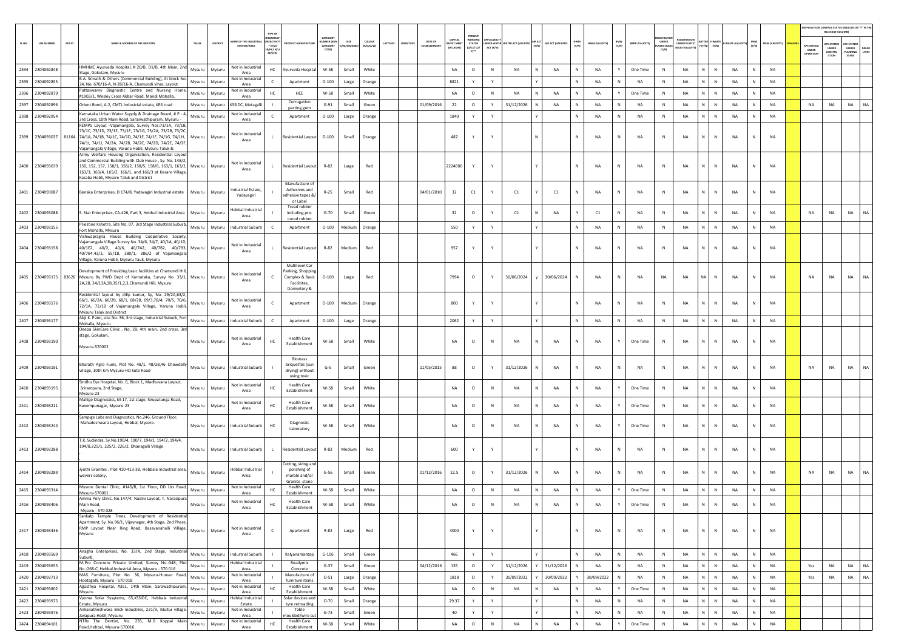| PRESENT<br>CATEGORY<br><b>NORKING</b><br>CAPITAL<br>EGISTRATIO<br>ME OF THE INDU<br><b>ACTIV</b><br><b>SIZE</b><br>coLous<br>DATE OF<br>BMW<br>(Y/N)<br>UNDER<br>HWM<br>(Y/N)<br>MSW<br>(Y/N)<br>PCB ID<br>NAME & ADDRESS OF THE INDUSTRY<br><b>STATUS</b><br>NDER WATER WATER ACT (VALIDITY)<br>AIR ACT (VALIDITY)<br>UNDER PLASTIC<br>(YTIGLIAV) W2M<br>SL.NO.<br><b>UIN NUMBER</b><br>TALUR<br>DISTRIC<br>LATITUDI<br>VEST MENT<br>HWM (VALIDITY)<br><b>BMW (VALIDITY)</b><br>-WASTE (VAL<br><b>PC SYSTEM</b><br><b>APC SYSTEM</b><br>Y (Y/N)<br>(Y/N)<br><b>ESTATES/AREA</b><br>$^*$ (i/M/<br>CATEGORY<br>M/S/MICI<br>(R/O/G/W)<br>ESTABLISHMEI<br><b>LASTIC RULI</b><br>APC SYSTEM<br>(IN LAKHS<br>(0/C1/C2/<br>ACT (Y/N)<br>UNDER<br>CONSTRU<br>UNDER<br>PLANNING<br>ULES (VALID<br><b>B/HC/ H</b><br>CODET<br>UNDER<br>m*<br>CE/C/O<br>OPERATION<br>CTION<br>STAGE<br>HMHMC Avurveda Hospital, # 20/B, D1/B, 4th Main, 2nd<br>Not in Industrial<br>2394 2304092848<br>Mysuru<br>White<br>NA<br>NA<br>Mysuru<br>HC<br>Ayurveda Hospital<br>W-58<br>Small<br>NA<br>$\circ$<br>$\,$ N<br><b>NA</b><br>NA<br>One Time<br>N<br>$\mathsf{N}$<br>NA<br>$\mathbb N$<br>NA<br>Y<br>Stage, Gokulam, Mysuru<br>Area<br>B.A. Srinath & Others (Commercial Building), At block No.<br>Not in Industrial<br>$\,$ N<br>2395 2304092855<br>8821<br>NA<br>N.<br>${\sf N}$<br>Y<br>NA<br><b>NA</b><br>N<br>$\mathbb{N}$<br><b>NA</b><br>NA<br>$O-100$<br>Orange<br>Y<br>Mysuru<br>Mysuru<br>Apartment<br>Large<br>24, No. 670/16-A, N-28/16-A, Chamundi vihar, Layout<br>Area<br>Puttaswamy Diagnostic Centre and Nursing Home,<br>Not in Industrial<br>2396 2304092879<br>W-58<br>NA<br>$\circ$<br>N<br>NA<br>Y<br>One Time<br><b>NA</b><br>NA<br>Mysuru<br>Mysuru<br>HC.<br>HCE<br>Small<br>White<br><b>NA</b><br>NA<br>N<br>N I<br>N<br>NA<br>N<br>N<br>#1903/1, Wesley Cross Akbar Road, Mandi Mohalla,<br>Area<br>Corrugation<br><b>NA</b><br>2397 2304092896<br>Orient Bond, A-2, CMTL Industrial estate, KRS road<br>Mysuru<br>(SSIDC, Metagalli<br>$G-91$<br>Small<br>Green<br>01/09/2016<br>22<br>$\circ$<br>31/12/2026<br>NA<br>NA<br>N<br>NA<br>NA<br>N.<br>$\,$ N<br>NA<br>$\mathbb N$<br>NA<br>NA<br>NA<br>Mysuru<br>N<br>pasting gum<br>Karnataka Urban Water Supply & Drainage Board, # P - 4,<br>Not in Industrial<br>2398 2304092954<br>1840<br>NA<br>${\sf N}$<br>NA<br>NA<br>N<br>NA<br>N<br>NA<br>Mysuru<br>Mysuru<br>Apartment<br>$O-100$<br>Orange<br>Y<br>Y<br>$\mathbb{N}$<br>N<br>N<br>Large<br>3rd Cross, 10th Main Road, Saraswathipuram, Mysuru -<br>Area<br>KEMPS Layout -Vajamangala, Survey Nos:73/1A, 73/1B,<br>73/1C, 73/1D, 73/1E, 73/1F, 73/1G, 73/2A, 73/2B, 73/2C,<br>Not in Industrial<br>2399 2304093037 81164 74/1A, 74/1B, 74/1C, 74/1D, 74/1E, 74/1F, 74/1G, 74/1H,<br>487<br>N<br>NA<br>NA<br>N<br>$\mathsf{N}$<br>NA<br>NA<br>Mysuru<br>Mysuru<br>Residential Layout<br>$O-100$<br>Small<br>Orange<br>Y<br>Y<br>NA<br>N<br>N<br>$\mathbf{L}$<br>Area<br>74/11, 74/11, 74/2A, 74/2B, 74/2C, 74/2D, 74/2E, 74/2F,<br>Vajamangala Village, Varuna Hobli, Mysuru Taluk &<br>Army Welfare Housing Organization, Residential Layout<br>and Commercial Building with Club House, Sy. No. 148/2,<br>Not in Industrial<br>NA<br>2400 2304093039<br>R-82<br>2224600<br>Y<br>Y<br>N<br>NA<br>$\,$ N<br>N<br>$\mathsf{N}$<br>NA<br><b>NA</b><br>150, 152, 157, 158/1, 158/2, 158/5, 158/6, 163/1, 163/2, Mysuru<br>Mysuru<br><b>Residential Layout</b><br>Large<br>Red<br>NA<br>N<br>Area<br>163/3, 163/4, 165/2, 166/1, and 166/3 at Kesare Village,<br>Kasaba Hobli, Mysore Taluk and District<br>Manufacture of<br>ndustrial Estate,<br>Adhesives and<br>2401 2304093087<br>Benaka Enterprises, D 174/B, Yadavagiri Industrial estate<br>Mysuru<br>Mysuru<br>$R-25$<br>Small<br>Red<br>04/01/2010<br>32<br>C1<br>Y<br>C1<br>C1<br>NA<br>N<br>NA<br>$\,$ N<br>NA<br>$\mathsf{N}$<br>NA<br>NA<br>$\mathbb N$<br>Yadavagiri<br>adhesive tapes &<br>or Label<br>Tread rubber<br><b>Hebbal Industrial</b><br>2402 2304093088<br>32<br>$\circ$<br>C1<br>NA<br>C1<br>${\sf N}$<br>NA<br><b>NA</b><br>$\mathsf{N}$<br><b>NA</b><br>NA<br>NA<br>NA<br>NA<br>S. Star Enterprises, CA-426, Part 3, Hebbal Industrial Area<br>$G-70$<br>Small<br>Green<br>Y<br>$\,$ N<br>Mysuru<br>Mysuru<br>including pre-<br>N<br>$\mathbb N$<br>Area<br>cured rubber<br>Priestine Kshetra, Site No. 07, 3rd Stage Industrial Suburb,<br>2403 2304093155<br>550<br>N<br>NA<br>N.<br>N<br>Mysuru<br>Mysuru<br><b>Industrial Suburb</b><br>$O-100$<br>Y<br>Y<br>N<br><b>NA</b><br>N<br>NA<br>NA<br>Apartment<br>Medium<br>Orange<br>N<br>NA<br>Fort Mohalla, Mysuru<br>Vishwapragna House Building Cooperative Society,<br>Vaiamangala Village Survey No. 34/6, 34/7, 40/1A, 40/1D.<br>Not in Industrial<br>2404 2304093158<br>R-82<br>NA<br>NA<br>40/1E2, 40/2, 40/6, 40/7A2, 40/7B2, 40/7B3,<br>Mysuru<br><b>Residential Layout</b><br>Medium<br>Red<br>957<br>Y<br>NA<br>N<br>$\,$ N<br>N<br>NA<br>NA<br>Mysuru<br>$\mathbf{L}$<br>Y<br>N<br>Area<br>40/7B4,43/2, 55/1B, 380/1, 386/2 of Vajamangala<br>Village, Varuna Hobli, Mysuru Tauk, Mysuru<br>Multilevel Car<br>Development of Providing basic facilities at Chamundi Hill<br>Parking, Shoppin<br>Not in Industrial<br>2405 2304093175 83626 Mysuru By PWD Dept of Karnataka, Survey No. 33/1, Mysuru<br>7994<br>30/06/2024<br>30/06/2024<br>NA<br>NA<br>NA<br>NA<br>NA<br>NA<br>NA<br>NA<br>NA<br>Mysuru<br>Complex & Basic<br>$O-100$<br>Large<br>Red<br>$\circ$<br>Y<br>NA<br>N<br>$\mathsf{N}$<br>Area<br>2A,2B, 34/13A,3B,35/1,2,3,Chamundi Hill, Mysuru<br><b>Facilitites</b><br>Dormetory 8<br>Residential layout by dilip kumar, Sy, No. 29/2A,63/2,<br>66/1, 66/2A, 66/2B, 68/1, 68/2B, 69/3,70/4, 70/5, 70/6,<br>Not in Industrial<br>2406 2304093176<br>NA<br>NA<br>Mysuru<br>Mysuru<br>Apartment<br>$O-100$<br>Medium<br>Orange<br>800<br>Y<br>Y<br>NA<br>N<br>$\,$ N<br>N<br>NA<br>NA<br>N<br>72/1A, 72/1B of Vajamangala Village, Varuna Hobli,<br>Area<br>Mysuru Taluk and District<br>Abji K. Patel, site No. 36, 3rd stage, Industrial Suburb, Fort<br>2407 2304093177<br>2062<br>Y<br>${\sf N}$<br>NA<br>NA<br>NA<br>NA<br>Mysuru<br>Mysuru<br>ndustrial Suburb<br>Apartment<br>$O-100$<br>Large<br>Orange<br>Y<br>N<br>NA<br>N<br>N<br>$\mathbb{N}$<br>N<br>c<br>Mohalla, Mysuru<br>Deepa SkinCare Clinic, No. 28, 4th main, 2nd cross, 3rd<br>stage, Gokulam,<br><b>Health Care</b><br>Not in Industrial<br>2408 2304093190<br>W-58<br>$\circ$<br>$\,$ N<br><b>NA</b><br>$\,$ N<br>NA<br>N<br>NA<br>NA<br>Mysuru<br>Mysuru<br>HC<br>Small<br>White<br>NA<br>NA<br>NA<br>One Time<br>N<br>N<br>Establishment<br>Area<br>Mysuru-570002<br><b>Biomass</b><br>Bharath Agro Fuels, Plot No. 48/1, 48/2B,46 Chowdally<br>briquettes (sur<br><b>NA</b><br>2409 2304093191<br>Mysuru<br>Mysuru<br><b>Industrial Suburb</b><br>$G-5$<br>Small<br>Green<br>11/05/2015<br>88<br>$\circ$<br>Y<br>31/12/2026<br>NA<br>NA<br>N<br>NA<br>$\,$ N<br>NA<br>N<br>NA<br>NA<br>NA<br>NA<br>$\mathbb N$<br>village, 10th Km Mysuru-HD kote Road<br>drying) without<br>using toxic<br>Sindhu Eye Hospital, No. 6, Block 1, Madhuvana Layout,<br>Not in Industrial<br><b>Health Care</b><br>2410 2304093195<br>W-58<br>White<br>$\circ$<br>$\mathbb{N}$<br><b>NA</b><br>One Time<br>NA<br><b>NA</b><br>NA<br>HC<br>Small<br>NA<br><b>NA</b><br><b>NA</b><br>N<br>$\mathsf{N}$<br>Srirampura, 2nd Stage,<br>Mysuru<br>Mysuru<br>$\mathbb N$<br>Establishment<br>Area<br>Mysuru-23<br>Mallige Diagnostics, M-17, 1st stage, Nrupatunga Road,<br>Not in Industrial<br><b>Health Care</b><br>2411 2304093211<br>W-58<br>$\mathbb{N}$<br>NA<br>$\,$ N<br>NA<br>$\mathbb{N}$<br>White<br>NA<br>$\circ$<br><b>NA</b><br>NA<br>One Time<br>$\mathsf{N}$<br><b>NA</b><br><b>NA</b><br>Kuvempunagar, Mysuru-23<br>Mysuru<br>Mysuru<br>HC<br>Small<br>Establishment<br>Area<br>Sampige Labs and Diagnostics, No.246, Ground Floor,<br>Mahadeshwara Layout, Hebbal, Mysore.<br>Diagnostic<br>2412 2304093244<br>Mysuru<br>Mysuru<br>ndustrial Suburb<br>HC<br>W-58<br>Small<br>White<br>NA<br>$\circ$<br>$\,$ N<br>NA<br>NA<br>NA<br>One Time<br>$\,$ N<br>NA<br>N<br>NA<br>NA<br>N<br>Laboratory<br>T.K. Sudindra, Sy.No.190/4, 190/7, 194/1, 194/2, 194/4,<br>194/8,225/1, 225/2, 226/2, Dhanagalli Village<br>2413 2304093288<br>R-82<br>NA<br><b>NA</b><br><b>Industrial Suburb</b><br>600<br><b>NA</b><br>$\,$ N<br>NA<br><b>NA</b><br>Mysuru<br>Mysuru<br><b>Residential Layout</b><br>Medium<br>Red<br>Y<br>Y<br>N<br>N<br>N<br>$\mathbb N$<br><b>L</b><br>Cutting, sizing and<br>Jyothi Granites, Plot 410-413-38, Hebbala Industrial area,<br>Hebbal Industrial<br>polishing of<br>2414 2304093289<br>01/12/2016<br>22.5<br>$\circ$<br>Y<br>31/12/2026<br><b>NA</b><br>N<br>NA<br>$\,$ N<br><b>NA</b><br>$\mathbb N$<br>NA<br>NA<br>NA<br>NA<br><b>NA</b><br>Mysuru<br>Mysuru<br>$G-56$<br>Small<br>Green<br>N<br>NA<br>N.<br>N<br>vevers colony,<br>Area<br>marble and/or<br>Granite stone<br>Mysore Dental Clinic, #145/B, 1st Floor, DD Urs Road,<br>Not in Industrial<br><b>Health Care</b><br>2415 2304093314<br>NA<br>N.<br>W-58<br>White<br>NA<br>$\circ$<br>$\mathbb{N}$<br><b>NA</b><br><b>NA</b><br>NA<br>Y<br>One Time<br>NA<br>$\mathbb N$<br>NA<br>Mysuru<br>Mysuru<br>HC<br>Small<br>N<br>N<br>Establishment<br>Mysuru-570001<br>Area<br>Amma Poly Clinic, No.147/4, Nadini Layout, T. Narasipura<br>Not in Industrial<br><b>Health Care</b><br>W-58<br>2416 2304093406<br>Small<br>$\circ$<br>One Time<br>Main Road.<br>Mysuru<br>Mysuru<br>White<br>NA<br><b>NA</b><br><b>NA</b><br><b>NA</b><br><b>NA</b><br><b>NA</b><br><b>NA</b><br>N<br>Area<br>Establishment<br>Mysuru - 570 028<br>Sankalp Temple Trees, Development of Residential<br>Apartment, Sy. No.96/1, Vijaynagar, 4th Stage, 2nd Phase,<br>RMP Layout Near Ring Road, Basavanahalli Village,<br>Not in Industrial<br>2417 2304093436<br>Mysuru<br>R-82<br>Red<br>4000<br>Y<br>Y<br>NA<br>NA<br>N<br>N<br><b>NA</b><br><b>NA</b><br>Mysuru<br>$\mathsf{C}$<br>Apartment<br>Large<br>N<br>NA<br>N<br>N<br>N<br>Mysuru<br>Area<br>Anagha Enterprises, No. 33/A, 2nd Stage, Industrial<br>2418 2304093569<br><b>Industrial Suburb</b><br>$G-106$<br>Small<br>Green<br>466<br>Y<br>Y<br>N<br>NA<br>$\,$ N<br><b>NA</b><br>$N$ $N$<br><b>NA</b><br>N<br>NA<br>Mysuru<br>Mysuru<br>Kalyanamantap<br>N<br>NA<br>Suburb<br>M-Pro Concrete Private Limited, Survey No.:348, Plot<br><b>Hebbal Industrial</b><br>Readymix<br>2419 2304093655<br>$G-37$<br>04/12/2016<br>135<br>31/12/2026<br>31/12/2026<br>N<br>$N$ $N$<br>NA<br><b>NA</b><br>Small<br>Green<br>$\circ$<br>Y<br><b>NA</b><br><b>NA</b><br>N<br><b>NA</b><br>NA<br>N<br><b>NA</b><br>Yes<br>Mysuru<br>Mysuru<br>No.:268-C, Hebbal Industrial Area, Mysuru - 570 016<br>Area<br>Concrete<br>MAS Furniture, Plot No. 36, Mysuru-Hunsur Road,<br>Not in Industrial<br>Manufacture of<br>2420 2304093713<br>30/09/2022<br>30/09/2022<br>N<br>N<br>NA<br>$O-51$<br>Orange<br>1818<br>$\circ$<br>30/09/2022<br><b>NA</b><br><b>NA</b><br>N<br>NA<br>N<br><b>NA</b><br>Yes<br>NA<br>Mysuru<br>Large<br>Y<br>N<br>Mysuru<br>Hootagalli, Mysuru - 570 018<br>Area<br>furniture items<br>Agasthya Hospital, #351, 14th Main, Sarawathipuram,<br>Not in Industrial<br><b>Health Care</b><br>2421 2304093802<br>$\circ$<br>$\,$ N<br>NA<br><b>NA</b><br>W-58<br>Small<br>White<br>NA<br>NA<br>NA<br>NA<br>One Time<br>N<br><b>NA</b><br>N<br>Mysuru<br>Mysuru<br>нc<br>Y<br>N N<br><b>N</b><br>Mysuru<br>Area<br>Establishment<br>Hebbal Industrial<br>Vyoma Solar Sysytems, 65,KSSIDC, Hebbala Industrial<br>Solar devices and<br>2422 2304093975<br>Mysuru<br>Mysuru<br>$O-70$<br>Small<br>Orange<br>29.37<br>Y<br>NA<br>N<br>NA<br>N<br>NA<br>N.<br>${\sf N}$<br>NA<br>N<br>NA<br>Y<br>Estate, Mysuru<br>Estate<br>tyre retreading<br>Ankanatheshwara Brick Industries, 221/3, Mullur village,<br>Not in Industrial<br>Table<br>2423 2304093976<br>40<br>Y<br>${\sf N}$<br>NA<br>NA<br>N<br>N<br>NA<br>N<br>NA<br>Mysuru<br>Mysuru<br>$G - 73$<br>Small<br>Green<br>Y<br>N<br>NA<br>$\,$ N<br>Jayapura Hobli, Mysuru<br>Area<br>oulded/wire cut<br>NTRs The Dentist, No. 235, M.G Koppal Main<br>Not in Industrial<br><b>Health Care</b><br>2424 2304094101<br>W-58<br>Small<br>White<br>$_{\sf NA}$<br>$\circ$<br>$\mathbb N$<br>NA<br>NA<br>NA<br>One Time<br>NA<br><b>NA</b><br>NA<br>HC<br>N<br>N<br>Mysuru<br>Mysuru<br>N |  |                             |      |               |  |  |  |  |  |  |  |  |  |  |  |  | RELEVANT COLUMNI | AIR POLLUTION CONTROL STATUS (INDICATE AS "Y" IN THI |
|------------------------------------------------------------------------------------------------------------------------------------------------------------------------------------------------------------------------------------------------------------------------------------------------------------------------------------------------------------------------------------------------------------------------------------------------------------------------------------------------------------------------------------------------------------------------------------------------------------------------------------------------------------------------------------------------------------------------------------------------------------------------------------------------------------------------------------------------------------------------------------------------------------------------------------------------------------------------------------------------------------------------------------------------------------------------------------------------------------------------------------------------------------------------------------------------------------------------------------------------------------------------------------------------------------------------------------------------------------------------------------------------------------------------------------------------------------------------------------------------------------------------------------------------------------------------------------------------------------------------------------------------------------------------------------------------------------------------------------------------------------------------------------------------------------------------------------------------------------------------------------------------------------------------------------------------------------------------------------------------------------------------------------------------------------------------------------------------------------------------------------------------------------------------------------------------------------------------------------------------------------------------------------------------------------------------------------------------------------------------------------------------------------------------------------------------------------------------------------------------------------------------------------------------------------------------------------------------------------------------------------------------------------------------------------------------------------------------------------------------------------------------------------------------------------------------------------------------------------------------------------------------------------------------------------------------------------------------------------------------------------------------------------------------------------------------------------------------------------------------------------------------------------------------------------------------------------------------------------------------------------------------------------------------------------------------------------------------------------------------------------------------------------------------------------------------------------------------------------------------------------------------------------------------------------------------------------------------------------------------------------------------------------------------------------------------------------------------------------------------------------------------------------------------------------------------------------------------------------------------------------------------------------------------------------------------------------------------------------------------------------------------------------------------------------------------------------------------------------------------------------------------------------------------------------------------------------------------------------------------------------------------------------------------------------------------------------------------------------------------------------------------------------------------------------------------------------------------------------------------------------------------------------------------------------------------------------------------------------------------------------------------------------------------------------------------------------------------------------------------------------------------------------------------------------------------------------------------------------------------------------------------------------------------------------------------------------------------------------------------------------------------------------------------------------------------------------------------------------------------------------------------------------------------------------------------------------------------------------------------------------------------------------------------------------------------------------------------------------------------------------------------------------------------------------------------------------------------------------------------------------------------------------------------------------------------------------------------------------------------------------------------------------------------------------------------------------------------------------------------------------------------------------------------------------------------------------------------------------------------------------------------------------------------------------------------------------------------------------------------------------------------------------------------------------------------------------------------------------------------------------------------------------------------------------------------------------------------------------------------------------------------------------------------------------------------------------------------------------------------------------------------------------------------------------------------------------------------------------------------------------------------------------------------------------------------------------------------------------------------------------------------------------------------------------------------------------------------------------------------------------------------------------------------------------------------------------------------------------------------------------------------------------------------------------------------------------------------------------------------------------------------------------------------------------------------------------------------------------------------------------------------------------------------------------------------------------------------------------------------------------------------------------------------------------------------------------------------------------------------------------------------------------------------------------------------------------------------------------------------------------------------------------------------------------------------------------------------------------------------------------------------------------------------------------------------------------------------------------------------------------------------------------------------------------------------------------------------------------------------------------------------------------------------------------------------------------------------------------------------------------------------------------------------------------------------------------------------------------------------------------------------------------------------------------------------------------------------------------------------------------------------------------------------------------------------------------------------------------------------------------------------------------------------------------------------------------------------------------------------------------------------------------------------------------------------------------------------------------------------------------------------------------------------------------------------------------------------------------------------------------------------------------------------------------------------------------------------------------------------------------------------------------------------------------------------------------------------------------------------------------------------------------------------------------------------------------------------------------------------------------------------------------------------------------------------------------------------------------------------------------------------------------------------------------------------------------------------------------------------------------------------------------------------------------------------------------------------------------------------------------------------------------------------------------------------------------------------------------------------------------------------------------------------------------------------------------------------------------------------------------------------------------------------------------------------------------------------------------------------------------------------------------------------------------------------------------------------------------------------------------------------------------------------------------------------------------------------------------------------------------------------------------------------------------------------------------------------------------------------------------------------------------------------------------------------------------------------------------------------------------------------------------------------------------------------------------------------------------------------------------------------------------------------------------------------------------------------------------------------------------------------------------------------------------------------------------------------------------------------------------------------------------------------------------------------------------------------------------------------------------------------------------------------------------------------------------------------------------------------------------------------------------------------------------------------------------------------------------------------------------------------------------------------------------------------------------------------------------------------------------------------------------------------------------------------------------------------------------------------------------------------------------------------------------------------------------------------------------------------------------------------------------------------------------------------------------------------------------------------------------------------------------------------------------------------------------------------------------------------------------------------------------------------------------------------------------------------------------------------------------------------------------------------------------------------------------------------------------------------------------------------------------------------------------------------------------------------------------------------------------------------------------------------------------------------------------------------------------------------------------------------------------------------------------------------------------------------------------------------------------------------------------------------------------------------------------------------------------------------------------|--|-----------------------------|------|---------------|--|--|--|--|--|--|--|--|--|--|--|--|------------------|------------------------------------------------------|
|                                                                                                                                                                                                                                                                                                                                                                                                                                                                                                                                                                                                                                                                                                                                                                                                                                                                                                                                                                                                                                                                                                                                                                                                                                                                                                                                                                                                                                                                                                                                                                                                                                                                                                                                                                                                                                                                                                                                                                                                                                                                                                                                                                                                                                                                                                                                                                                                                                                                                                                                                                                                                                                                                                                                                                                                                                                                                                                                                                                                                                                                                                                                                                                                                                                                                                                                                                                                                                                                                                                                                                                                                                                                                                                                                                                                                                                                                                                                                                                                                                                                                                                                                                                                                                                                                                                                                                                                                                                                                                                                                                                                                                                                                                                                                                                                                                                                                                                                                                                                                                                                                                                                                                                                                                                                                                                                                                                                                                                                                                                                                                                                                                                                                                                                                                                                                                                                                                                                                                                                                                                                                                                                                                                                                                                                                                                                                                                                                                                                                                                                                                                                                                                                                                                                                                                                                                                                                                                                                                                                                                                                                                                                                                                                                                                                                                                                                                                                                                                                                                                                                                                                                                                                                                                                                                                                                                                                                                                                                                                                                                                                                                                                                                                                                                                                                                                                                                                                                                                                                                                                                                                                                                                                                                                                                                                                                                                                                                                                                                                                                                                                                                                                                                                                                                                                                                                                                                                                                                                                                                                                                                                                                                                                                                                                                                                                                                                                                                                                                                                                                                                                                                                                                                                                                                                                                                                                                                                                                                                                                                                                                                                                                                                                                                                                                                                                                                                                                                                                                                                                                                                                                                                                                                                                                                                                                                                                                                                                                                                                                                                                                                                                                                                                                                                                                                                                                                                                                                                                                                                                                                                                                                                                                                                                                                                                                                                                                                                                                                                                                                            |  |                             |      |               |  |  |  |  |  |  |  |  |  |  |  |  |                  | <b>DEFAU</b><br>LTERS                                |
|                                                                                                                                                                                                                                                                                                                                                                                                                                                                                                                                                                                                                                                                                                                                                                                                                                                                                                                                                                                                                                                                                                                                                                                                                                                                                                                                                                                                                                                                                                                                                                                                                                                                                                                                                                                                                                                                                                                                                                                                                                                                                                                                                                                                                                                                                                                                                                                                                                                                                                                                                                                                                                                                                                                                                                                                                                                                                                                                                                                                                                                                                                                                                                                                                                                                                                                                                                                                                                                                                                                                                                                                                                                                                                                                                                                                                                                                                                                                                                                                                                                                                                                                                                                                                                                                                                                                                                                                                                                                                                                                                                                                                                                                                                                                                                                                                                                                                                                                                                                                                                                                                                                                                                                                                                                                                                                                                                                                                                                                                                                                                                                                                                                                                                                                                                                                                                                                                                                                                                                                                                                                                                                                                                                                                                                                                                                                                                                                                                                                                                                                                                                                                                                                                                                                                                                                                                                                                                                                                                                                                                                                                                                                                                                                                                                                                                                                                                                                                                                                                                                                                                                                                                                                                                                                                                                                                                                                                                                                                                                                                                                                                                                                                                                                                                                                                                                                                                                                                                                                                                                                                                                                                                                                                                                                                                                                                                                                                                                                                                                                                                                                                                                                                                                                                                                                                                                                                                                                                                                                                                                                                                                                                                                                                                                                                                                                                                                                                                                                                                                                                                                                                                                                                                                                                                                                                                                                                                                                                                                                                                                                                                                                                                                                                                                                                                                                                                                                                                                                                                                                                                                                                                                                                                                                                                                                                                                                                                                                                                                                                                                                                                                                                                                                                                                                                                                                                                                                                                                                                                                                                                                                                                                                                                                                                                                                                                                                                                                                                                                                                                            |  |                             |      |               |  |  |  |  |  |  |  |  |  |  |  |  |                  |                                                      |
|                                                                                                                                                                                                                                                                                                                                                                                                                                                                                                                                                                                                                                                                                                                                                                                                                                                                                                                                                                                                                                                                                                                                                                                                                                                                                                                                                                                                                                                                                                                                                                                                                                                                                                                                                                                                                                                                                                                                                                                                                                                                                                                                                                                                                                                                                                                                                                                                                                                                                                                                                                                                                                                                                                                                                                                                                                                                                                                                                                                                                                                                                                                                                                                                                                                                                                                                                                                                                                                                                                                                                                                                                                                                                                                                                                                                                                                                                                                                                                                                                                                                                                                                                                                                                                                                                                                                                                                                                                                                                                                                                                                                                                                                                                                                                                                                                                                                                                                                                                                                                                                                                                                                                                                                                                                                                                                                                                                                                                                                                                                                                                                                                                                                                                                                                                                                                                                                                                                                                                                                                                                                                                                                                                                                                                                                                                                                                                                                                                                                                                                                                                                                                                                                                                                                                                                                                                                                                                                                                                                                                                                                                                                                                                                                                                                                                                                                                                                                                                                                                                                                                                                                                                                                                                                                                                                                                                                                                                                                                                                                                                                                                                                                                                                                                                                                                                                                                                                                                                                                                                                                                                                                                                                                                                                                                                                                                                                                                                                                                                                                                                                                                                                                                                                                                                                                                                                                                                                                                                                                                                                                                                                                                                                                                                                                                                                                                                                                                                                                                                                                                                                                                                                                                                                                                                                                                                                                                                                                                                                                                                                                                                                                                                                                                                                                                                                                                                                                                                                                                                                                                                                                                                                                                                                                                                                                                                                                                                                                                                                                                                                                                                                                                                                                                                                                                                                                                                                                                                                                                                                                                                                                                                                                                                                                                                                                                                                                                                                                                                                                                                            |  |                             |      |               |  |  |  |  |  |  |  |  |  |  |  |  |                  |                                                      |
|                                                                                                                                                                                                                                                                                                                                                                                                                                                                                                                                                                                                                                                                                                                                                                                                                                                                                                                                                                                                                                                                                                                                                                                                                                                                                                                                                                                                                                                                                                                                                                                                                                                                                                                                                                                                                                                                                                                                                                                                                                                                                                                                                                                                                                                                                                                                                                                                                                                                                                                                                                                                                                                                                                                                                                                                                                                                                                                                                                                                                                                                                                                                                                                                                                                                                                                                                                                                                                                                                                                                                                                                                                                                                                                                                                                                                                                                                                                                                                                                                                                                                                                                                                                                                                                                                                                                                                                                                                                                                                                                                                                                                                                                                                                                                                                                                                                                                                                                                                                                                                                                                                                                                                                                                                                                                                                                                                                                                                                                                                                                                                                                                                                                                                                                                                                                                                                                                                                                                                                                                                                                                                                                                                                                                                                                                                                                                                                                                                                                                                                                                                                                                                                                                                                                                                                                                                                                                                                                                                                                                                                                                                                                                                                                                                                                                                                                                                                                                                                                                                                                                                                                                                                                                                                                                                                                                                                                                                                                                                                                                                                                                                                                                                                                                                                                                                                                                                                                                                                                                                                                                                                                                                                                                                                                                                                                                                                                                                                                                                                                                                                                                                                                                                                                                                                                                                                                                                                                                                                                                                                                                                                                                                                                                                                                                                                                                                                                                                                                                                                                                                                                                                                                                                                                                                                                                                                                                                                                                                                                                                                                                                                                                                                                                                                                                                                                                                                                                                                                                                                                                                                                                                                                                                                                                                                                                                                                                                                                                                                                                                                                                                                                                                                                                                                                                                                                                                                                                                                                                                                                                                                                                                                                                                                                                                                                                                                                                                                                                                                                                                            |  |                             |      |               |  |  |  |  |  |  |  |  |  |  |  |  |                  |                                                      |
|                                                                                                                                                                                                                                                                                                                                                                                                                                                                                                                                                                                                                                                                                                                                                                                                                                                                                                                                                                                                                                                                                                                                                                                                                                                                                                                                                                                                                                                                                                                                                                                                                                                                                                                                                                                                                                                                                                                                                                                                                                                                                                                                                                                                                                                                                                                                                                                                                                                                                                                                                                                                                                                                                                                                                                                                                                                                                                                                                                                                                                                                                                                                                                                                                                                                                                                                                                                                                                                                                                                                                                                                                                                                                                                                                                                                                                                                                                                                                                                                                                                                                                                                                                                                                                                                                                                                                                                                                                                                                                                                                                                                                                                                                                                                                                                                                                                                                                                                                                                                                                                                                                                                                                                                                                                                                                                                                                                                                                                                                                                                                                                                                                                                                                                                                                                                                                                                                                                                                                                                                                                                                                                                                                                                                                                                                                                                                                                                                                                                                                                                                                                                                                                                                                                                                                                                                                                                                                                                                                                                                                                                                                                                                                                                                                                                                                                                                                                                                                                                                                                                                                                                                                                                                                                                                                                                                                                                                                                                                                                                                                                                                                                                                                                                                                                                                                                                                                                                                                                                                                                                                                                                                                                                                                                                                                                                                                                                                                                                                                                                                                                                                                                                                                                                                                                                                                                                                                                                                                                                                                                                                                                                                                                                                                                                                                                                                                                                                                                                                                                                                                                                                                                                                                                                                                                                                                                                                                                                                                                                                                                                                                                                                                                                                                                                                                                                                                                                                                                                                                                                                                                                                                                                                                                                                                                                                                                                                                                                                                                                                                                                                                                                                                                                                                                                                                                                                                                                                                                                                                                                                                                                                                                                                                                                                                                                                                                                                                                                                                                                                                            |  |                             |      |               |  |  |  |  |  |  |  |  |  |  |  |  |                  | <b>NA</b>                                            |
|                                                                                                                                                                                                                                                                                                                                                                                                                                                                                                                                                                                                                                                                                                                                                                                                                                                                                                                                                                                                                                                                                                                                                                                                                                                                                                                                                                                                                                                                                                                                                                                                                                                                                                                                                                                                                                                                                                                                                                                                                                                                                                                                                                                                                                                                                                                                                                                                                                                                                                                                                                                                                                                                                                                                                                                                                                                                                                                                                                                                                                                                                                                                                                                                                                                                                                                                                                                                                                                                                                                                                                                                                                                                                                                                                                                                                                                                                                                                                                                                                                                                                                                                                                                                                                                                                                                                                                                                                                                                                                                                                                                                                                                                                                                                                                                                                                                                                                                                                                                                                                                                                                                                                                                                                                                                                                                                                                                                                                                                                                                                                                                                                                                                                                                                                                                                                                                                                                                                                                                                                                                                                                                                                                                                                                                                                                                                                                                                                                                                                                                                                                                                                                                                                                                                                                                                                                                                                                                                                                                                                                                                                                                                                                                                                                                                                                                                                                                                                                                                                                                                                                                                                                                                                                                                                                                                                                                                                                                                                                                                                                                                                                                                                                                                                                                                                                                                                                                                                                                                                                                                                                                                                                                                                                                                                                                                                                                                                                                                                                                                                                                                                                                                                                                                                                                                                                                                                                                                                                                                                                                                                                                                                                                                                                                                                                                                                                                                                                                                                                                                                                                                                                                                                                                                                                                                                                                                                                                                                                                                                                                                                                                                                                                                                                                                                                                                                                                                                                                                                                                                                                                                                                                                                                                                                                                                                                                                                                                                                                                                                                                                                                                                                                                                                                                                                                                                                                                                                                                                                                                                                                                                                                                                                                                                                                                                                                                                                                                                                                                                                                            |  |                             |      |               |  |  |  |  |  |  |  |  |  |  |  |  |                  |                                                      |
|                                                                                                                                                                                                                                                                                                                                                                                                                                                                                                                                                                                                                                                                                                                                                                                                                                                                                                                                                                                                                                                                                                                                                                                                                                                                                                                                                                                                                                                                                                                                                                                                                                                                                                                                                                                                                                                                                                                                                                                                                                                                                                                                                                                                                                                                                                                                                                                                                                                                                                                                                                                                                                                                                                                                                                                                                                                                                                                                                                                                                                                                                                                                                                                                                                                                                                                                                                                                                                                                                                                                                                                                                                                                                                                                                                                                                                                                                                                                                                                                                                                                                                                                                                                                                                                                                                                                                                                                                                                                                                                                                                                                                                                                                                                                                                                                                                                                                                                                                                                                                                                                                                                                                                                                                                                                                                                                                                                                                                                                                                                                                                                                                                                                                                                                                                                                                                                                                                                                                                                                                                                                                                                                                                                                                                                                                                                                                                                                                                                                                                                                                                                                                                                                                                                                                                                                                                                                                                                                                                                                                                                                                                                                                                                                                                                                                                                                                                                                                                                                                                                                                                                                                                                                                                                                                                                                                                                                                                                                                                                                                                                                                                                                                                                                                                                                                                                                                                                                                                                                                                                                                                                                                                                                                                                                                                                                                                                                                                                                                                                                                                                                                                                                                                                                                                                                                                                                                                                                                                                                                                                                                                                                                                                                                                                                                                                                                                                                                                                                                                                                                                                                                                                                                                                                                                                                                                                                                                                                                                                                                                                                                                                                                                                                                                                                                                                                                                                                                                                                                                                                                                                                                                                                                                                                                                                                                                                                                                                                                                                                                                                                                                                                                                                                                                                                                                                                                                                                                                                                                                                                                                                                                                                                                                                                                                                                                                                                                                                                                                                                                                            |  |                             |      |               |  |  |  |  |  |  |  |  |  |  |  |  |                  |                                                      |
|                                                                                                                                                                                                                                                                                                                                                                                                                                                                                                                                                                                                                                                                                                                                                                                                                                                                                                                                                                                                                                                                                                                                                                                                                                                                                                                                                                                                                                                                                                                                                                                                                                                                                                                                                                                                                                                                                                                                                                                                                                                                                                                                                                                                                                                                                                                                                                                                                                                                                                                                                                                                                                                                                                                                                                                                                                                                                                                                                                                                                                                                                                                                                                                                                                                                                                                                                                                                                                                                                                                                                                                                                                                                                                                                                                                                                                                                                                                                                                                                                                                                                                                                                                                                                                                                                                                                                                                                                                                                                                                                                                                                                                                                                                                                                                                                                                                                                                                                                                                                                                                                                                                                                                                                                                                                                                                                                                                                                                                                                                                                                                                                                                                                                                                                                                                                                                                                                                                                                                                                                                                                                                                                                                                                                                                                                                                                                                                                                                                                                                                                                                                                                                                                                                                                                                                                                                                                                                                                                                                                                                                                                                                                                                                                                                                                                                                                                                                                                                                                                                                                                                                                                                                                                                                                                                                                                                                                                                                                                                                                                                                                                                                                                                                                                                                                                                                                                                                                                                                                                                                                                                                                                                                                                                                                                                                                                                                                                                                                                                                                                                                                                                                                                                                                                                                                                                                                                                                                                                                                                                                                                                                                                                                                                                                                                                                                                                                                                                                                                                                                                                                                                                                                                                                                                                                                                                                                                                                                                                                                                                                                                                                                                                                                                                                                                                                                                                                                                                                                                                                                                                                                                                                                                                                                                                                                                                                                                                                                                                                                                                                                                                                                                                                                                                                                                                                                                                                                                                                                                                                                                                                                                                                                                                                                                                                                                                                                                                                                                                                                                                            |  |                             |      |               |  |  |  |  |  |  |  |  |  |  |  |  |                  |                                                      |
|                                                                                                                                                                                                                                                                                                                                                                                                                                                                                                                                                                                                                                                                                                                                                                                                                                                                                                                                                                                                                                                                                                                                                                                                                                                                                                                                                                                                                                                                                                                                                                                                                                                                                                                                                                                                                                                                                                                                                                                                                                                                                                                                                                                                                                                                                                                                                                                                                                                                                                                                                                                                                                                                                                                                                                                                                                                                                                                                                                                                                                                                                                                                                                                                                                                                                                                                                                                                                                                                                                                                                                                                                                                                                                                                                                                                                                                                                                                                                                                                                                                                                                                                                                                                                                                                                                                                                                                                                                                                                                                                                                                                                                                                                                                                                                                                                                                                                                                                                                                                                                                                                                                                                                                                                                                                                                                                                                                                                                                                                                                                                                                                                                                                                                                                                                                                                                                                                                                                                                                                                                                                                                                                                                                                                                                                                                                                                                                                                                                                                                                                                                                                                                                                                                                                                                                                                                                                                                                                                                                                                                                                                                                                                                                                                                                                                                                                                                                                                                                                                                                                                                                                                                                                                                                                                                                                                                                                                                                                                                                                                                                                                                                                                                                                                                                                                                                                                                                                                                                                                                                                                                                                                                                                                                                                                                                                                                                                                                                                                                                                                                                                                                                                                                                                                                                                                                                                                                                                                                                                                                                                                                                                                                                                                                                                                                                                                                                                                                                                                                                                                                                                                                                                                                                                                                                                                                                                                                                                                                                                                                                                                                                                                                                                                                                                                                                                                                                                                                                                                                                                                                                                                                                                                                                                                                                                                                                                                                                                                                                                                                                                                                                                                                                                                                                                                                                                                                                                                                                                                                                                                                                                                                                                                                                                                                                                                                                                                                                                                                                                                                            |  |                             |      |               |  |  |  |  |  |  |  |  |  |  |  |  |                  |                                                      |
|                                                                                                                                                                                                                                                                                                                                                                                                                                                                                                                                                                                                                                                                                                                                                                                                                                                                                                                                                                                                                                                                                                                                                                                                                                                                                                                                                                                                                                                                                                                                                                                                                                                                                                                                                                                                                                                                                                                                                                                                                                                                                                                                                                                                                                                                                                                                                                                                                                                                                                                                                                                                                                                                                                                                                                                                                                                                                                                                                                                                                                                                                                                                                                                                                                                                                                                                                                                                                                                                                                                                                                                                                                                                                                                                                                                                                                                                                                                                                                                                                                                                                                                                                                                                                                                                                                                                                                                                                                                                                                                                                                                                                                                                                                                                                                                                                                                                                                                                                                                                                                                                                                                                                                                                                                                                                                                                                                                                                                                                                                                                                                                                                                                                                                                                                                                                                                                                                                                                                                                                                                                                                                                                                                                                                                                                                                                                                                                                                                                                                                                                                                                                                                                                                                                                                                                                                                                                                                                                                                                                                                                                                                                                                                                                                                                                                                                                                                                                                                                                                                                                                                                                                                                                                                                                                                                                                                                                                                                                                                                                                                                                                                                                                                                                                                                                                                                                                                                                                                                                                                                                                                                                                                                                                                                                                                                                                                                                                                                                                                                                                                                                                                                                                                                                                                                                                                                                                                                                                                                                                                                                                                                                                                                                                                                                                                                                                                                                                                                                                                                                                                                                                                                                                                                                                                                                                                                                                                                                                                                                                                                                                                                                                                                                                                                                                                                                                                                                                                                                                                                                                                                                                                                                                                                                                                                                                                                                                                                                                                                                                                                                                                                                                                                                                                                                                                                                                                                                                                                                                                                                                                                                                                                                                                                                                                                                                                                                                                                                                                                                                                            |  |                             |      |               |  |  |  |  |  |  |  |  |  |  |  |  |                  |                                                      |
|                                                                                                                                                                                                                                                                                                                                                                                                                                                                                                                                                                                                                                                                                                                                                                                                                                                                                                                                                                                                                                                                                                                                                                                                                                                                                                                                                                                                                                                                                                                                                                                                                                                                                                                                                                                                                                                                                                                                                                                                                                                                                                                                                                                                                                                                                                                                                                                                                                                                                                                                                                                                                                                                                                                                                                                                                                                                                                                                                                                                                                                                                                                                                                                                                                                                                                                                                                                                                                                                                                                                                                                                                                                                                                                                                                                                                                                                                                                                                                                                                                                                                                                                                                                                                                                                                                                                                                                                                                                                                                                                                                                                                                                                                                                                                                                                                                                                                                                                                                                                                                                                                                                                                                                                                                                                                                                                                                                                                                                                                                                                                                                                                                                                                                                                                                                                                                                                                                                                                                                                                                                                                                                                                                                                                                                                                                                                                                                                                                                                                                                                                                                                                                                                                                                                                                                                                                                                                                                                                                                                                                                                                                                                                                                                                                                                                                                                                                                                                                                                                                                                                                                                                                                                                                                                                                                                                                                                                                                                                                                                                                                                                                                                                                                                                                                                                                                                                                                                                                                                                                                                                                                                                                                                                                                                                                                                                                                                                                                                                                                                                                                                                                                                                                                                                                                                                                                                                                                                                                                                                                                                                                                                                                                                                                                                                                                                                                                                                                                                                                                                                                                                                                                                                                                                                                                                                                                                                                                                                                                                                                                                                                                                                                                                                                                                                                                                                                                                                                                                                                                                                                                                                                                                                                                                                                                                                                                                                                                                                                                                                                                                                                                                                                                                                                                                                                                                                                                                                                                                                                                                                                                                                                                                                                                                                                                                                                                                                                                                                                                                                                            |  |                             |      |               |  |  |  |  |  |  |  |  |  |  |  |  |                  | NA                                                   |
|                                                                                                                                                                                                                                                                                                                                                                                                                                                                                                                                                                                                                                                                                                                                                                                                                                                                                                                                                                                                                                                                                                                                                                                                                                                                                                                                                                                                                                                                                                                                                                                                                                                                                                                                                                                                                                                                                                                                                                                                                                                                                                                                                                                                                                                                                                                                                                                                                                                                                                                                                                                                                                                                                                                                                                                                                                                                                                                                                                                                                                                                                                                                                                                                                                                                                                                                                                                                                                                                                                                                                                                                                                                                                                                                                                                                                                                                                                                                                                                                                                                                                                                                                                                                                                                                                                                                                                                                                                                                                                                                                                                                                                                                                                                                                                                                                                                                                                                                                                                                                                                                                                                                                                                                                                                                                                                                                                                                                                                                                                                                                                                                                                                                                                                                                                                                                                                                                                                                                                                                                                                                                                                                                                                                                                                                                                                                                                                                                                                                                                                                                                                                                                                                                                                                                                                                                                                                                                                                                                                                                                                                                                                                                                                                                                                                                                                                                                                                                                                                                                                                                                                                                                                                                                                                                                                                                                                                                                                                                                                                                                                                                                                                                                                                                                                                                                                                                                                                                                                                                                                                                                                                                                                                                                                                                                                                                                                                                                                                                                                                                                                                                                                                                                                                                                                                                                                                                                                                                                                                                                                                                                                                                                                                                                                                                                                                                                                                                                                                                                                                                                                                                                                                                                                                                                                                                                                                                                                                                                                                                                                                                                                                                                                                                                                                                                                                                                                                                                                                                                                                                                                                                                                                                                                                                                                                                                                                                                                                                                                                                                                                                                                                                                                                                                                                                                                                                                                                                                                                                                                                                                                                                                                                                                                                                                                                                                                                                                                                                                                                                                            |  |                             |      |               |  |  |  |  |  |  |  |  |  |  |  |  |                  |                                                      |
|                                                                                                                                                                                                                                                                                                                                                                                                                                                                                                                                                                                                                                                                                                                                                                                                                                                                                                                                                                                                                                                                                                                                                                                                                                                                                                                                                                                                                                                                                                                                                                                                                                                                                                                                                                                                                                                                                                                                                                                                                                                                                                                                                                                                                                                                                                                                                                                                                                                                                                                                                                                                                                                                                                                                                                                                                                                                                                                                                                                                                                                                                                                                                                                                                                                                                                                                                                                                                                                                                                                                                                                                                                                                                                                                                                                                                                                                                                                                                                                                                                                                                                                                                                                                                                                                                                                                                                                                                                                                                                                                                                                                                                                                                                                                                                                                                                                                                                                                                                                                                                                                                                                                                                                                                                                                                                                                                                                                                                                                                                                                                                                                                                                                                                                                                                                                                                                                                                                                                                                                                                                                                                                                                                                                                                                                                                                                                                                                                                                                                                                                                                                                                                                                                                                                                                                                                                                                                                                                                                                                                                                                                                                                                                                                                                                                                                                                                                                                                                                                                                                                                                                                                                                                                                                                                                                                                                                                                                                                                                                                                                                                                                                                                                                                                                                                                                                                                                                                                                                                                                                                                                                                                                                                                                                                                                                                                                                                                                                                                                                                                                                                                                                                                                                                                                                                                                                                                                                                                                                                                                                                                                                                                                                                                                                                                                                                                                                                                                                                                                                                                                                                                                                                                                                                                                                                                                                                                                                                                                                                                                                                                                                                                                                                                                                                                                                                                                                                                                                                                                                                                                                                                                                                                                                                                                                                                                                                                                                                                                                                                                                                                                                                                                                                                                                                                                                                                                                                                                                                                                                                                                                                                                                                                                                                                                                                                                                                                                                                                                                                                                            |  |                             |      |               |  |  |  |  |  |  |  |  |  |  |  |  |                  |                                                      |
|                                                                                                                                                                                                                                                                                                                                                                                                                                                                                                                                                                                                                                                                                                                                                                                                                                                                                                                                                                                                                                                                                                                                                                                                                                                                                                                                                                                                                                                                                                                                                                                                                                                                                                                                                                                                                                                                                                                                                                                                                                                                                                                                                                                                                                                                                                                                                                                                                                                                                                                                                                                                                                                                                                                                                                                                                                                                                                                                                                                                                                                                                                                                                                                                                                                                                                                                                                                                                                                                                                                                                                                                                                                                                                                                                                                                                                                                                                                                                                                                                                                                                                                                                                                                                                                                                                                                                                                                                                                                                                                                                                                                                                                                                                                                                                                                                                                                                                                                                                                                                                                                                                                                                                                                                                                                                                                                                                                                                                                                                                                                                                                                                                                                                                                                                                                                                                                                                                                                                                                                                                                                                                                                                                                                                                                                                                                                                                                                                                                                                                                                                                                                                                                                                                                                                                                                                                                                                                                                                                                                                                                                                                                                                                                                                                                                                                                                                                                                                                                                                                                                                                                                                                                                                                                                                                                                                                                                                                                                                                                                                                                                                                                                                                                                                                                                                                                                                                                                                                                                                                                                                                                                                                                                                                                                                                                                                                                                                                                                                                                                                                                                                                                                                                                                                                                                                                                                                                                                                                                                                                                                                                                                                                                                                                                                                                                                                                                                                                                                                                                                                                                                                                                                                                                                                                                                                                                                                                                                                                                                                                                                                                                                                                                                                                                                                                                                                                                                                                                                                                                                                                                                                                                                                                                                                                                                                                                                                                                                                                                                                                                                                                                                                                                                                                                                                                                                                                                                                                                                                                                                                                                                                                                                                                                                                                                                                                                                                                                                                                                                                                            |  |                             |      |               |  |  |  |  |  |  |  |  |  |  |  |  |                  | <b>NA</b>                                            |
|                                                                                                                                                                                                                                                                                                                                                                                                                                                                                                                                                                                                                                                                                                                                                                                                                                                                                                                                                                                                                                                                                                                                                                                                                                                                                                                                                                                                                                                                                                                                                                                                                                                                                                                                                                                                                                                                                                                                                                                                                                                                                                                                                                                                                                                                                                                                                                                                                                                                                                                                                                                                                                                                                                                                                                                                                                                                                                                                                                                                                                                                                                                                                                                                                                                                                                                                                                                                                                                                                                                                                                                                                                                                                                                                                                                                                                                                                                                                                                                                                                                                                                                                                                                                                                                                                                                                                                                                                                                                                                                                                                                                                                                                                                                                                                                                                                                                                                                                                                                                                                                                                                                                                                                                                                                                                                                                                                                                                                                                                                                                                                                                                                                                                                                                                                                                                                                                                                                                                                                                                                                                                                                                                                                                                                                                                                                                                                                                                                                                                                                                                                                                                                                                                                                                                                                                                                                                                                                                                                                                                                                                                                                                                                                                                                                                                                                                                                                                                                                                                                                                                                                                                                                                                                                                                                                                                                                                                                                                                                                                                                                                                                                                                                                                                                                                                                                                                                                                                                                                                                                                                                                                                                                                                                                                                                                                                                                                                                                                                                                                                                                                                                                                                                                                                                                                                                                                                                                                                                                                                                                                                                                                                                                                                                                                                                                                                                                                                                                                                                                                                                                                                                                                                                                                                                                                                                                                                                                                                                                                                                                                                                                                                                                                                                                                                                                                                                                                                                                                                                                                                                                                                                                                                                                                                                                                                                                                                                                                                                                                                                                                                                                                                                                                                                                                                                                                                                                                                                                                                                                                                                                                                                                                                                                                                                                                                                                                                                                                                                                                                                            |  |                             |      |               |  |  |  |  |  |  |  |  |  |  |  |  |                  |                                                      |
|                                                                                                                                                                                                                                                                                                                                                                                                                                                                                                                                                                                                                                                                                                                                                                                                                                                                                                                                                                                                                                                                                                                                                                                                                                                                                                                                                                                                                                                                                                                                                                                                                                                                                                                                                                                                                                                                                                                                                                                                                                                                                                                                                                                                                                                                                                                                                                                                                                                                                                                                                                                                                                                                                                                                                                                                                                                                                                                                                                                                                                                                                                                                                                                                                                                                                                                                                                                                                                                                                                                                                                                                                                                                                                                                                                                                                                                                                                                                                                                                                                                                                                                                                                                                                                                                                                                                                                                                                                                                                                                                                                                                                                                                                                                                                                                                                                                                                                                                                                                                                                                                                                                                                                                                                                                                                                                                                                                                                                                                                                                                                                                                                                                                                                                                                                                                                                                                                                                                                                                                                                                                                                                                                                                                                                                                                                                                                                                                                                                                                                                                                                                                                                                                                                                                                                                                                                                                                                                                                                                                                                                                                                                                                                                                                                                                                                                                                                                                                                                                                                                                                                                                                                                                                                                                                                                                                                                                                                                                                                                                                                                                                                                                                                                                                                                                                                                                                                                                                                                                                                                                                                                                                                                                                                                                                                                                                                                                                                                                                                                                                                                                                                                                                                                                                                                                                                                                                                                                                                                                                                                                                                                                                                                                                                                                                                                                                                                                                                                                                                                                                                                                                                                                                                                                                                                                                                                                                                                                                                                                                                                                                                                                                                                                                                                                                                                                                                                                                                                                                                                                                                                                                                                                                                                                                                                                                                                                                                                                                                                                                                                                                                                                                                                                                                                                                                                                                                                                                                                                                                                                                                                                                                                                                                                                                                                                                                                                                                                                                                                                                                            |  |                             |      |               |  |  |  |  |  |  |  |  |  |  |  |  |                  |                                                      |
|                                                                                                                                                                                                                                                                                                                                                                                                                                                                                                                                                                                                                                                                                                                                                                                                                                                                                                                                                                                                                                                                                                                                                                                                                                                                                                                                                                                                                                                                                                                                                                                                                                                                                                                                                                                                                                                                                                                                                                                                                                                                                                                                                                                                                                                                                                                                                                                                                                                                                                                                                                                                                                                                                                                                                                                                                                                                                                                                                                                                                                                                                                                                                                                                                                                                                                                                                                                                                                                                                                                                                                                                                                                                                                                                                                                                                                                                                                                                                                                                                                                                                                                                                                                                                                                                                                                                                                                                                                                                                                                                                                                                                                                                                                                                                                                                                                                                                                                                                                                                                                                                                                                                                                                                                                                                                                                                                                                                                                                                                                                                                                                                                                                                                                                                                                                                                                                                                                                                                                                                                                                                                                                                                                                                                                                                                                                                                                                                                                                                                                                                                                                                                                                                                                                                                                                                                                                                                                                                                                                                                                                                                                                                                                                                                                                                                                                                                                                                                                                                                                                                                                                                                                                                                                                                                                                                                                                                                                                                                                                                                                                                                                                                                                                                                                                                                                                                                                                                                                                                                                                                                                                                                                                                                                                                                                                                                                                                                                                                                                                                                                                                                                                                                                                                                                                                                                                                                                                                                                                                                                                                                                                                                                                                                                                                                                                                                                                                                                                                                                                                                                                                                                                                                                                                                                                                                                                                                                                                                                                                                                                                                                                                                                                                                                                                                                                                                                                                                                                                                                                                                                                                                                                                                                                                                                                                                                                                                                                                                                                                                                                                                                                                                                                                                                                                                                                                                                                                                                                                                                                                                                                                                                                                                                                                                                                                                                                                                                                                                                                                                                            |  |                             |      |               |  |  |  |  |  |  |  |  |  |  |  |  |                  |                                                      |
|                                                                                                                                                                                                                                                                                                                                                                                                                                                                                                                                                                                                                                                                                                                                                                                                                                                                                                                                                                                                                                                                                                                                                                                                                                                                                                                                                                                                                                                                                                                                                                                                                                                                                                                                                                                                                                                                                                                                                                                                                                                                                                                                                                                                                                                                                                                                                                                                                                                                                                                                                                                                                                                                                                                                                                                                                                                                                                                                                                                                                                                                                                                                                                                                                                                                                                                                                                                                                                                                                                                                                                                                                                                                                                                                                                                                                                                                                                                                                                                                                                                                                                                                                                                                                                                                                                                                                                                                                                                                                                                                                                                                                                                                                                                                                                                                                                                                                                                                                                                                                                                                                                                                                                                                                                                                                                                                                                                                                                                                                                                                                                                                                                                                                                                                                                                                                                                                                                                                                                                                                                                                                                                                                                                                                                                                                                                                                                                                                                                                                                                                                                                                                                                                                                                                                                                                                                                                                                                                                                                                                                                                                                                                                                                                                                                                                                                                                                                                                                                                                                                                                                                                                                                                                                                                                                                                                                                                                                                                                                                                                                                                                                                                                                                                                                                                                                                                                                                                                                                                                                                                                                                                                                                                                                                                                                                                                                                                                                                                                                                                                                                                                                                                                                                                                                                                                                                                                                                                                                                                                                                                                                                                                                                                                                                                                                                                                                                                                                                                                                                                                                                                                                                                                                                                                                                                                                                                                                                                                                                                                                                                                                                                                                                                                                                                                                                                                                                                                                                                                                                                                                                                                                                                                                                                                                                                                                                                                                                                                                                                                                                                                                                                                                                                                                                                                                                                                                                                                                                                                                                                                                                                                                                                                                                                                                                                                                                                                                                                                                                                                                            |  |                             |      |               |  |  |  |  |  |  |  |  |  |  |  |  |                  | <b>NA</b>                                            |
|                                                                                                                                                                                                                                                                                                                                                                                                                                                                                                                                                                                                                                                                                                                                                                                                                                                                                                                                                                                                                                                                                                                                                                                                                                                                                                                                                                                                                                                                                                                                                                                                                                                                                                                                                                                                                                                                                                                                                                                                                                                                                                                                                                                                                                                                                                                                                                                                                                                                                                                                                                                                                                                                                                                                                                                                                                                                                                                                                                                                                                                                                                                                                                                                                                                                                                                                                                                                                                                                                                                                                                                                                                                                                                                                                                                                                                                                                                                                                                                                                                                                                                                                                                                                                                                                                                                                                                                                                                                                                                                                                                                                                                                                                                                                                                                                                                                                                                                                                                                                                                                                                                                                                                                                                                                                                                                                                                                                                                                                                                                                                                                                                                                                                                                                                                                                                                                                                                                                                                                                                                                                                                                                                                                                                                                                                                                                                                                                                                                                                                                                                                                                                                                                                                                                                                                                                                                                                                                                                                                                                                                                                                                                                                                                                                                                                                                                                                                                                                                                                                                                                                                                                                                                                                                                                                                                                                                                                                                                                                                                                                                                                                                                                                                                                                                                                                                                                                                                                                                                                                                                                                                                                                                                                                                                                                                                                                                                                                                                                                                                                                                                                                                                                                                                                                                                                                                                                                                                                                                                                                                                                                                                                                                                                                                                                                                                                                                                                                                                                                                                                                                                                                                                                                                                                                                                                                                                                                                                                                                                                                                                                                                                                                                                                                                                                                                                                                                                                                                                                                                                                                                                                                                                                                                                                                                                                                                                                                                                                                                                                                                                                                                                                                                                                                                                                                                                                                                                                                                                                                                                                                                                                                                                                                                                                                                                                                                                                                                                                                                                                                            |  |                             |      |               |  |  |  |  |  |  |  |  |  |  |  |  |                  |                                                      |
|                                                                                                                                                                                                                                                                                                                                                                                                                                                                                                                                                                                                                                                                                                                                                                                                                                                                                                                                                                                                                                                                                                                                                                                                                                                                                                                                                                                                                                                                                                                                                                                                                                                                                                                                                                                                                                                                                                                                                                                                                                                                                                                                                                                                                                                                                                                                                                                                                                                                                                                                                                                                                                                                                                                                                                                                                                                                                                                                                                                                                                                                                                                                                                                                                                                                                                                                                                                                                                                                                                                                                                                                                                                                                                                                                                                                                                                                                                                                                                                                                                                                                                                                                                                                                                                                                                                                                                                                                                                                                                                                                                                                                                                                                                                                                                                                                                                                                                                                                                                                                                                                                                                                                                                                                                                                                                                                                                                                                                                                                                                                                                                                                                                                                                                                                                                                                                                                                                                                                                                                                                                                                                                                                                                                                                                                                                                                                                                                                                                                                                                                                                                                                                                                                                                                                                                                                                                                                                                                                                                                                                                                                                                                                                                                                                                                                                                                                                                                                                                                                                                                                                                                                                                                                                                                                                                                                                                                                                                                                                                                                                                                                                                                                                                                                                                                                                                                                                                                                                                                                                                                                                                                                                                                                                                                                                                                                                                                                                                                                                                                                                                                                                                                                                                                                                                                                                                                                                                                                                                                                                                                                                                                                                                                                                                                                                                                                                                                                                                                                                                                                                                                                                                                                                                                                                                                                                                                                                                                                                                                                                                                                                                                                                                                                                                                                                                                                                                                                                                                                                                                                                                                                                                                                                                                                                                                                                                                                                                                                                                                                                                                                                                                                                                                                                                                                                                                                                                                                                                                                                                                                                                                                                                                                                                                                                                                                                                                                                                                                                                                                                            |  |                             |      |               |  |  |  |  |  |  |  |  |  |  |  |  |                  |                                                      |
|                                                                                                                                                                                                                                                                                                                                                                                                                                                                                                                                                                                                                                                                                                                                                                                                                                                                                                                                                                                                                                                                                                                                                                                                                                                                                                                                                                                                                                                                                                                                                                                                                                                                                                                                                                                                                                                                                                                                                                                                                                                                                                                                                                                                                                                                                                                                                                                                                                                                                                                                                                                                                                                                                                                                                                                                                                                                                                                                                                                                                                                                                                                                                                                                                                                                                                                                                                                                                                                                                                                                                                                                                                                                                                                                                                                                                                                                                                                                                                                                                                                                                                                                                                                                                                                                                                                                                                                                                                                                                                                                                                                                                                                                                                                                                                                                                                                                                                                                                                                                                                                                                                                                                                                                                                                                                                                                                                                                                                                                                                                                                                                                                                                                                                                                                                                                                                                                                                                                                                                                                                                                                                                                                                                                                                                                                                                                                                                                                                                                                                                                                                                                                                                                                                                                                                                                                                                                                                                                                                                                                                                                                                                                                                                                                                                                                                                                                                                                                                                                                                                                                                                                                                                                                                                                                                                                                                                                                                                                                                                                                                                                                                                                                                                                                                                                                                                                                                                                                                                                                                                                                                                                                                                                                                                                                                                                                                                                                                                                                                                                                                                                                                                                                                                                                                                                                                                                                                                                                                                                                                                                                                                                                                                                                                                                                                                                                                                                                                                                                                                                                                                                                                                                                                                                                                                                                                                                                                                                                                                                                                                                                                                                                                                                                                                                                                                                                                                                                                                                                                                                                                                                                                                                                                                                                                                                                                                                                                                                                                                                                                                                                                                                                                                                                                                                                                                                                                                                                                                                                                                                                                                                                                                                                                                                                                                                                                                                                                                                                                                                                                            |  |                             |      |               |  |  |  |  |  |  |  |  |  |  |  |  |                  |                                                      |
|                                                                                                                                                                                                                                                                                                                                                                                                                                                                                                                                                                                                                                                                                                                                                                                                                                                                                                                                                                                                                                                                                                                                                                                                                                                                                                                                                                                                                                                                                                                                                                                                                                                                                                                                                                                                                                                                                                                                                                                                                                                                                                                                                                                                                                                                                                                                                                                                                                                                                                                                                                                                                                                                                                                                                                                                                                                                                                                                                                                                                                                                                                                                                                                                                                                                                                                                                                                                                                                                                                                                                                                                                                                                                                                                                                                                                                                                                                                                                                                                                                                                                                                                                                                                                                                                                                                                                                                                                                                                                                                                                                                                                                                                                                                                                                                                                                                                                                                                                                                                                                                                                                                                                                                                                                                                                                                                                                                                                                                                                                                                                                                                                                                                                                                                                                                                                                                                                                                                                                                                                                                                                                                                                                                                                                                                                                                                                                                                                                                                                                                                                                                                                                                                                                                                                                                                                                                                                                                                                                                                                                                                                                                                                                                                                                                                                                                                                                                                                                                                                                                                                                                                                                                                                                                                                                                                                                                                                                                                                                                                                                                                                                                                                                                                                                                                                                                                                                                                                                                                                                                                                                                                                                                                                                                                                                                                                                                                                                                                                                                                                                                                                                                                                                                                                                                                                                                                                                                                                                                                                                                                                                                                                                                                                                                                                                                                                                                                                                                                                                                                                                                                                                                                                                                                                                                                                                                                                                                                                                                                                                                                                                                                                                                                                                                                                                                                                                                                                                                                                                                                                                                                                                                                                                                                                                                                                                                                                                                                                                                                                                                                                                                                                                                                                                                                                                                                                                                                                                                                                                                                                                                                                                                                                                                                                                                                                                                                                                                                                                                                                                            |  |                             |      |               |  |  |  |  |  |  |  |  |  |  |  |  |                  |                                                      |
|                                                                                                                                                                                                                                                                                                                                                                                                                                                                                                                                                                                                                                                                                                                                                                                                                                                                                                                                                                                                                                                                                                                                                                                                                                                                                                                                                                                                                                                                                                                                                                                                                                                                                                                                                                                                                                                                                                                                                                                                                                                                                                                                                                                                                                                                                                                                                                                                                                                                                                                                                                                                                                                                                                                                                                                                                                                                                                                                                                                                                                                                                                                                                                                                                                                                                                                                                                                                                                                                                                                                                                                                                                                                                                                                                                                                                                                                                                                                                                                                                                                                                                                                                                                                                                                                                                                                                                                                                                                                                                                                                                                                                                                                                                                                                                                                                                                                                                                                                                                                                                                                                                                                                                                                                                                                                                                                                                                                                                                                                                                                                                                                                                                                                                                                                                                                                                                                                                                                                                                                                                                                                                                                                                                                                                                                                                                                                                                                                                                                                                                                                                                                                                                                                                                                                                                                                                                                                                                                                                                                                                                                                                                                                                                                                                                                                                                                                                                                                                                                                                                                                                                                                                                                                                                                                                                                                                                                                                                                                                                                                                                                                                                                                                                                                                                                                                                                                                                                                                                                                                                                                                                                                                                                                                                                                                                                                                                                                                                                                                                                                                                                                                                                                                                                                                                                                                                                                                                                                                                                                                                                                                                                                                                                                                                                                                                                                                                                                                                                                                                                                                                                                                                                                                                                                                                                                                                                                                                                                                                                                                                                                                                                                                                                                                                                                                                                                                                                                                                                                                                                                                                                                                                                                                                                                                                                                                                                                                                                                                                                                                                                                                                                                                                                                                                                                                                                                                                                                                                                                                                                                                                                                                                                                                                                                                                                                                                                                                                                                                                                                                            |  |                             |      |               |  |  |  |  |  |  |  |  |  |  |  |  |                  |                                                      |
|                                                                                                                                                                                                                                                                                                                                                                                                                                                                                                                                                                                                                                                                                                                                                                                                                                                                                                                                                                                                                                                                                                                                                                                                                                                                                                                                                                                                                                                                                                                                                                                                                                                                                                                                                                                                                                                                                                                                                                                                                                                                                                                                                                                                                                                                                                                                                                                                                                                                                                                                                                                                                                                                                                                                                                                                                                                                                                                                                                                                                                                                                                                                                                                                                                                                                                                                                                                                                                                                                                                                                                                                                                                                                                                                                                                                                                                                                                                                                                                                                                                                                                                                                                                                                                                                                                                                                                                                                                                                                                                                                                                                                                                                                                                                                                                                                                                                                                                                                                                                                                                                                                                                                                                                                                                                                                                                                                                                                                                                                                                                                                                                                                                                                                                                                                                                                                                                                                                                                                                                                                                                                                                                                                                                                                                                                                                                                                                                                                                                                                                                                                                                                                                                                                                                                                                                                                                                                                                                                                                                                                                                                                                                                                                                                                                                                                                                                                                                                                                                                                                                                                                                                                                                                                                                                                                                                                                                                                                                                                                                                                                                                                                                                                                                                                                                                                                                                                                                                                                                                                                                                                                                                                                                                                                                                                                                                                                                                                                                                                                                                                                                                                                                                                                                                                                                                                                                                                                                                                                                                                                                                                                                                                                                                                                                                                                                                                                                                                                                                                                                                                                                                                                                                                                                                                                                                                                                                                                                                                                                                                                                                                                                                                                                                                                                                                                                                                                                                                                                                                                                                                                                                                                                                                                                                                                                                                                                                                                                                                                                                                                                                                                                                                                                                                                                                                                                                                                                                                                                                                                                                                                                                                                                                                                                                                                                                                                                                                                                                                                                                                            |  |                             |      |               |  |  |  |  |  |  |  |  |  |  |  |  |                  | <b>NA</b>                                            |
|                                                                                                                                                                                                                                                                                                                                                                                                                                                                                                                                                                                                                                                                                                                                                                                                                                                                                                                                                                                                                                                                                                                                                                                                                                                                                                                                                                                                                                                                                                                                                                                                                                                                                                                                                                                                                                                                                                                                                                                                                                                                                                                                                                                                                                                                                                                                                                                                                                                                                                                                                                                                                                                                                                                                                                                                                                                                                                                                                                                                                                                                                                                                                                                                                                                                                                                                                                                                                                                                                                                                                                                                                                                                                                                                                                                                                                                                                                                                                                                                                                                                                                                                                                                                                                                                                                                                                                                                                                                                                                                                                                                                                                                                                                                                                                                                                                                                                                                                                                                                                                                                                                                                                                                                                                                                                                                                                                                                                                                                                                                                                                                                                                                                                                                                                                                                                                                                                                                                                                                                                                                                                                                                                                                                                                                                                                                                                                                                                                                                                                                                                                                                                                                                                                                                                                                                                                                                                                                                                                                                                                                                                                                                                                                                                                                                                                                                                                                                                                                                                                                                                                                                                                                                                                                                                                                                                                                                                                                                                                                                                                                                                                                                                                                                                                                                                                                                                                                                                                                                                                                                                                                                                                                                                                                                                                                                                                                                                                                                                                                                                                                                                                                                                                                                                                                                                                                                                                                                                                                                                                                                                                                                                                                                                                                                                                                                                                                                                                                                                                                                                                                                                                                                                                                                                                                                                                                                                                                                                                                                                                                                                                                                                                                                                                                                                                                                                                                                                                                                                                                                                                                                                                                                                                                                                                                                                                                                                                                                                                                                                                                                                                                                                                                                                                                                                                                                                                                                                                                                                                                                                                                                                                                                                                                                                                                                                                                                                                                                                                                                                                            |  |                             |      |               |  |  |  |  |  |  |  |  |  |  |  |  |                  |                                                      |
|                                                                                                                                                                                                                                                                                                                                                                                                                                                                                                                                                                                                                                                                                                                                                                                                                                                                                                                                                                                                                                                                                                                                                                                                                                                                                                                                                                                                                                                                                                                                                                                                                                                                                                                                                                                                                                                                                                                                                                                                                                                                                                                                                                                                                                                                                                                                                                                                                                                                                                                                                                                                                                                                                                                                                                                                                                                                                                                                                                                                                                                                                                                                                                                                                                                                                                                                                                                                                                                                                                                                                                                                                                                                                                                                                                                                                                                                                                                                                                                                                                                                                                                                                                                                                                                                                                                                                                                                                                                                                                                                                                                                                                                                                                                                                                                                                                                                                                                                                                                                                                                                                                                                                                                                                                                                                                                                                                                                                                                                                                                                                                                                                                                                                                                                                                                                                                                                                                                                                                                                                                                                                                                                                                                                                                                                                                                                                                                                                                                                                                                                                                                                                                                                                                                                                                                                                                                                                                                                                                                                                                                                                                                                                                                                                                                                                                                                                                                                                                                                                                                                                                                                                                                                                                                                                                                                                                                                                                                                                                                                                                                                                                                                                                                                                                                                                                                                                                                                                                                                                                                                                                                                                                                                                                                                                                                                                                                                                                                                                                                                                                                                                                                                                                                                                                                                                                                                                                                                                                                                                                                                                                                                                                                                                                                                                                                                                                                                                                                                                                                                                                                                                                                                                                                                                                                                                                                                                                                                                                                                                                                                                                                                                                                                                                                                                                                                                                                                                                                                                                                                                                                                                                                                                                                                                                                                                                                                                                                                                                                                                                                                                                                                                                                                                                                                                                                                                                                                                                                                                                                                                                                                                                                                                                                                                                                                                                                                                                                                                                                                                                            |  |                             |      |               |  |  |  |  |  |  |  |  |  |  |  |  |                  |                                                      |
|                                                                                                                                                                                                                                                                                                                                                                                                                                                                                                                                                                                                                                                                                                                                                                                                                                                                                                                                                                                                                                                                                                                                                                                                                                                                                                                                                                                                                                                                                                                                                                                                                                                                                                                                                                                                                                                                                                                                                                                                                                                                                                                                                                                                                                                                                                                                                                                                                                                                                                                                                                                                                                                                                                                                                                                                                                                                                                                                                                                                                                                                                                                                                                                                                                                                                                                                                                                                                                                                                                                                                                                                                                                                                                                                                                                                                                                                                                                                                                                                                                                                                                                                                                                                                                                                                                                                                                                                                                                                                                                                                                                                                                                                                                                                                                                                                                                                                                                                                                                                                                                                                                                                                                                                                                                                                                                                                                                                                                                                                                                                                                                                                                                                                                                                                                                                                                                                                                                                                                                                                                                                                                                                                                                                                                                                                                                                                                                                                                                                                                                                                                                                                                                                                                                                                                                                                                                                                                                                                                                                                                                                                                                                                                                                                                                                                                                                                                                                                                                                                                                                                                                                                                                                                                                                                                                                                                                                                                                                                                                                                                                                                                                                                                                                                                                                                                                                                                                                                                                                                                                                                                                                                                                                                                                                                                                                                                                                                                                                                                                                                                                                                                                                                                                                                                                                                                                                                                                                                                                                                                                                                                                                                                                                                                                                                                                                                                                                                                                                                                                                                                                                                                                                                                                                                                                                                                                                                                                                                                                                                                                                                                                                                                                                                                                                                                                                                                                                                                                                                                                                                                                                                                                                                                                                                                                                                                                                                                                                                                                                                                                                                                                                                                                                                                                                                                                                                                                                                                                                                                                                                                                                                                                                                                                                                                                                                                                                                                                                                                                                                                            |  |                             |      |               |  |  |  |  |  |  |  |  |  |  |  |  |                  |                                                      |
|                                                                                                                                                                                                                                                                                                                                                                                                                                                                                                                                                                                                                                                                                                                                                                                                                                                                                                                                                                                                                                                                                                                                                                                                                                                                                                                                                                                                                                                                                                                                                                                                                                                                                                                                                                                                                                                                                                                                                                                                                                                                                                                                                                                                                                                                                                                                                                                                                                                                                                                                                                                                                                                                                                                                                                                                                                                                                                                                                                                                                                                                                                                                                                                                                                                                                                                                                                                                                                                                                                                                                                                                                                                                                                                                                                                                                                                                                                                                                                                                                                                                                                                                                                                                                                                                                                                                                                                                                                                                                                                                                                                                                                                                                                                                                                                                                                                                                                                                                                                                                                                                                                                                                                                                                                                                                                                                                                                                                                                                                                                                                                                                                                                                                                                                                                                                                                                                                                                                                                                                                                                                                                                                                                                                                                                                                                                                                                                                                                                                                                                                                                                                                                                                                                                                                                                                                                                                                                                                                                                                                                                                                                                                                                                                                                                                                                                                                                                                                                                                                                                                                                                                                                                                                                                                                                                                                                                                                                                                                                                                                                                                                                                                                                                                                                                                                                                                                                                                                                                                                                                                                                                                                                                                                                                                                                                                                                                                                                                                                                                                                                                                                                                                                                                                                                                                                                                                                                                                                                                                                                                                                                                                                                                                                                                                                                                                                                                                                                                                                                                                                                                                                                                                                                                                                                                                                                                                                                                                                                                                                                                                                                                                                                                                                                                                                                                                                                                                                                                                                                                                                                                                                                                                                                                                                                                                                                                                                                                                                                                                                                                                                                                                                                                                                                                                                                                                                                                                                                                                                                                                                                                                                                                                                                                                                                                                                                                                                                                                                                                                                                            |  |                             |      |               |  |  |  |  |  |  |  |  |  |  |  |  |                  |                                                      |
|                                                                                                                                                                                                                                                                                                                                                                                                                                                                                                                                                                                                                                                                                                                                                                                                                                                                                                                                                                                                                                                                                                                                                                                                                                                                                                                                                                                                                                                                                                                                                                                                                                                                                                                                                                                                                                                                                                                                                                                                                                                                                                                                                                                                                                                                                                                                                                                                                                                                                                                                                                                                                                                                                                                                                                                                                                                                                                                                                                                                                                                                                                                                                                                                                                                                                                                                                                                                                                                                                                                                                                                                                                                                                                                                                                                                                                                                                                                                                                                                                                                                                                                                                                                                                                                                                                                                                                                                                                                                                                                                                                                                                                                                                                                                                                                                                                                                                                                                                                                                                                                                                                                                                                                                                                                                                                                                                                                                                                                                                                                                                                                                                                                                                                                                                                                                                                                                                                                                                                                                                                                                                                                                                                                                                                                                                                                                                                                                                                                                                                                                                                                                                                                                                                                                                                                                                                                                                                                                                                                                                                                                                                                                                                                                                                                                                                                                                                                                                                                                                                                                                                                                                                                                                                                                                                                                                                                                                                                                                                                                                                                                                                                                                                                                                                                                                                                                                                                                                                                                                                                                                                                                                                                                                                                                                                                                                                                                                                                                                                                                                                                                                                                                                                                                                                                                                                                                                                                                                                                                                                                                                                                                                                                                                                                                                                                                                                                                                                                                                                                                                                                                                                                                                                                                                                                                                                                                                                                                                                                                                                                                                                                                                                                                                                                                                                                                                                                                                                                                                                                                                                                                                                                                                                                                                                                                                                                                                                                                                                                                                                                                                                                                                                                                                                                                                                                                                                                                                                                                                                                                                                                                                                                                                                                                                                                                                                                                                                                                                                                                                                            |  |                             |      |               |  |  |  |  |  |  |  |  |  |  |  |  |                  | NA                                                   |
|                                                                                                                                                                                                                                                                                                                                                                                                                                                                                                                                                                                                                                                                                                                                                                                                                                                                                                                                                                                                                                                                                                                                                                                                                                                                                                                                                                                                                                                                                                                                                                                                                                                                                                                                                                                                                                                                                                                                                                                                                                                                                                                                                                                                                                                                                                                                                                                                                                                                                                                                                                                                                                                                                                                                                                                                                                                                                                                                                                                                                                                                                                                                                                                                                                                                                                                                                                                                                                                                                                                                                                                                                                                                                                                                                                                                                                                                                                                                                                                                                                                                                                                                                                                                                                                                                                                                                                                                                                                                                                                                                                                                                                                                                                                                                                                                                                                                                                                                                                                                                                                                                                                                                                                                                                                                                                                                                                                                                                                                                                                                                                                                                                                                                                                                                                                                                                                                                                                                                                                                                                                                                                                                                                                                                                                                                                                                                                                                                                                                                                                                                                                                                                                                                                                                                                                                                                                                                                                                                                                                                                                                                                                                                                                                                                                                                                                                                                                                                                                                                                                                                                                                                                                                                                                                                                                                                                                                                                                                                                                                                                                                                                                                                                                                                                                                                                                                                                                                                                                                                                                                                                                                                                                                                                                                                                                                                                                                                                                                                                                                                                                                                                                                                                                                                                                                                                                                                                                                                                                                                                                                                                                                                                                                                                                                                                                                                                                                                                                                                                                                                                                                                                                                                                                                                                                                                                                                                                                                                                                                                                                                                                                                                                                                                                                                                                                                                                                                                                                                                                                                                                                                                                                                                                                                                                                                                                                                                                                                                                                                                                                                                                                                                                                                                                                                                                                                                                                                                                                                                                                                                                                                                                                                                                                                                                                                                                                                                                                                                                                                                                            |  |                             |      |               |  |  |  |  |  |  |  |  |  |  |  |  |                  | NA                                                   |
|                                                                                                                                                                                                                                                                                                                                                                                                                                                                                                                                                                                                                                                                                                                                                                                                                                                                                                                                                                                                                                                                                                                                                                                                                                                                                                                                                                                                                                                                                                                                                                                                                                                                                                                                                                                                                                                                                                                                                                                                                                                                                                                                                                                                                                                                                                                                                                                                                                                                                                                                                                                                                                                                                                                                                                                                                                                                                                                                                                                                                                                                                                                                                                                                                                                                                                                                                                                                                                                                                                                                                                                                                                                                                                                                                                                                                                                                                                                                                                                                                                                                                                                                                                                                                                                                                                                                                                                                                                                                                                                                                                                                                                                                                                                                                                                                                                                                                                                                                                                                                                                                                                                                                                                                                                                                                                                                                                                                                                                                                                                                                                                                                                                                                                                                                                                                                                                                                                                                                                                                                                                                                                                                                                                                                                                                                                                                                                                                                                                                                                                                                                                                                                                                                                                                                                                                                                                                                                                                                                                                                                                                                                                                                                                                                                                                                                                                                                                                                                                                                                                                                                                                                                                                                                                                                                                                                                                                                                                                                                                                                                                                                                                                                                                                                                                                                                                                                                                                                                                                                                                                                                                                                                                                                                                                                                                                                                                                                                                                                                                                                                                                                                                                                                                                                                                                                                                                                                                                                                                                                                                                                                                                                                                                                                                                                                                                                                                                                                                                                                                                                                                                                                                                                                                                                                                                                                                                                                                                                                                                                                                                                                                                                                                                                                                                                                                                                                                                                                                                                                                                                                                                                                                                                                                                                                                                                                                                                                                                                                                                                                                                                                                                                                                                                                                                                                                                                                                                                                                                                                                                                                                                                                                                                                                                                                                                                                                                                                                                                                                                                                            |  |                             |      |               |  |  |  |  |  |  |  |  |  |  |  |  |                  |                                                      |
|                                                                                                                                                                                                                                                                                                                                                                                                                                                                                                                                                                                                                                                                                                                                                                                                                                                                                                                                                                                                                                                                                                                                                                                                                                                                                                                                                                                                                                                                                                                                                                                                                                                                                                                                                                                                                                                                                                                                                                                                                                                                                                                                                                                                                                                                                                                                                                                                                                                                                                                                                                                                                                                                                                                                                                                                                                                                                                                                                                                                                                                                                                                                                                                                                                                                                                                                                                                                                                                                                                                                                                                                                                                                                                                                                                                                                                                                                                                                                                                                                                                                                                                                                                                                                                                                                                                                                                                                                                                                                                                                                                                                                                                                                                                                                                                                                                                                                                                                                                                                                                                                                                                                                                                                                                                                                                                                                                                                                                                                                                                                                                                                                                                                                                                                                                                                                                                                                                                                                                                                                                                                                                                                                                                                                                                                                                                                                                                                                                                                                                                                                                                                                                                                                                                                                                                                                                                                                                                                                                                                                                                                                                                                                                                                                                                                                                                                                                                                                                                                                                                                                                                                                                                                                                                                                                                                                                                                                                                                                                                                                                                                                                                                                                                                                                                                                                                                                                                                                                                                                                                                                                                                                                                                                                                                                                                                                                                                                                                                                                                                                                                                                                                                                                                                                                                                                                                                                                                                                                                                                                                                                                                                                                                                                                                                                                                                                                                                                                                                                                                                                                                                                                                                                                                                                                                                                                                                                                                                                                                                                                                                                                                                                                                                                                                                                                                                                                                                                                                                                                                                                                                                                                                                                                                                                                                                                                                                                                                                                                                                                                                                                                                                                                                                                                                                                                                                                                                                                                                                                                                                                                                                                                                                                                                                                                                                                                                                                                                                                                                                                                            |  |                             |      |               |  |  |  |  |  |  |  |  |  |  |  |  |                  |                                                      |
|                                                                                                                                                                                                                                                                                                                                                                                                                                                                                                                                                                                                                                                                                                                                                                                                                                                                                                                                                                                                                                                                                                                                                                                                                                                                                                                                                                                                                                                                                                                                                                                                                                                                                                                                                                                                                                                                                                                                                                                                                                                                                                                                                                                                                                                                                                                                                                                                                                                                                                                                                                                                                                                                                                                                                                                                                                                                                                                                                                                                                                                                                                                                                                                                                                                                                                                                                                                                                                                                                                                                                                                                                                                                                                                                                                                                                                                                                                                                                                                                                                                                                                                                                                                                                                                                                                                                                                                                                                                                                                                                                                                                                                                                                                                                                                                                                                                                                                                                                                                                                                                                                                                                                                                                                                                                                                                                                                                                                                                                                                                                                                                                                                                                                                                                                                                                                                                                                                                                                                                                                                                                                                                                                                                                                                                                                                                                                                                                                                                                                                                                                                                                                                                                                                                                                                                                                                                                                                                                                                                                                                                                                                                                                                                                                                                                                                                                                                                                                                                                                                                                                                                                                                                                                                                                                                                                                                                                                                                                                                                                                                                                                                                                                                                                                                                                                                                                                                                                                                                                                                                                                                                                                                                                                                                                                                                                                                                                                                                                                                                                                                                                                                                                                                                                                                                                                                                                                                                                                                                                                                                                                                                                                                                                                                                                                                                                                                                                                                                                                                                                                                                                                                                                                                                                                                                                                                                                                                                                                                                                                                                                                                                                                                                                                                                                                                                                                                                                                                                                                                                                                                                                                                                                                                                                                                                                                                                                                                                                                                                                                                                                                                                                                                                                                                                                                                                                                                                                                                                                                                                                                                                                                                                                                                                                                                                                                                                                                                                                                                                                                                            |  |                             |      |               |  |  |  |  |  |  |  |  |  |  |  |  |                  |                                                      |
|                                                                                                                                                                                                                                                                                                                                                                                                                                                                                                                                                                                                                                                                                                                                                                                                                                                                                                                                                                                                                                                                                                                                                                                                                                                                                                                                                                                                                                                                                                                                                                                                                                                                                                                                                                                                                                                                                                                                                                                                                                                                                                                                                                                                                                                                                                                                                                                                                                                                                                                                                                                                                                                                                                                                                                                                                                                                                                                                                                                                                                                                                                                                                                                                                                                                                                                                                                                                                                                                                                                                                                                                                                                                                                                                                                                                                                                                                                                                                                                                                                                                                                                                                                                                                                                                                                                                                                                                                                                                                                                                                                                                                                                                                                                                                                                                                                                                                                                                                                                                                                                                                                                                                                                                                                                                                                                                                                                                                                                                                                                                                                                                                                                                                                                                                                                                                                                                                                                                                                                                                                                                                                                                                                                                                                                                                                                                                                                                                                                                                                                                                                                                                                                                                                                                                                                                                                                                                                                                                                                                                                                                                                                                                                                                                                                                                                                                                                                                                                                                                                                                                                                                                                                                                                                                                                                                                                                                                                                                                                                                                                                                                                                                                                                                                                                                                                                                                                                                                                                                                                                                                                                                                                                                                                                                                                                                                                                                                                                                                                                                                                                                                                                                                                                                                                                                                                                                                                                                                                                                                                                                                                                                                                                                                                                                                                                                                                                                                                                                                                                                                                                                                                                                                                                                                                                                                                                                                                                                                                                                                                                                                                                                                                                                                                                                                                                                                                                                                                                                                                                                                                                                                                                                                                                                                                                                                                                                                                                                                                                                                                                                                                                                                                                                                                                                                                                                                                                                                                                                                                                                                                                                                                                                                                                                                                                                                                                                                                                                                                                                                                            |  | oad, Hebbal, Mysuru-570016. | Area | Establishment |  |  |  |  |  |  |  |  |  |  |  |  |                  |                                                      |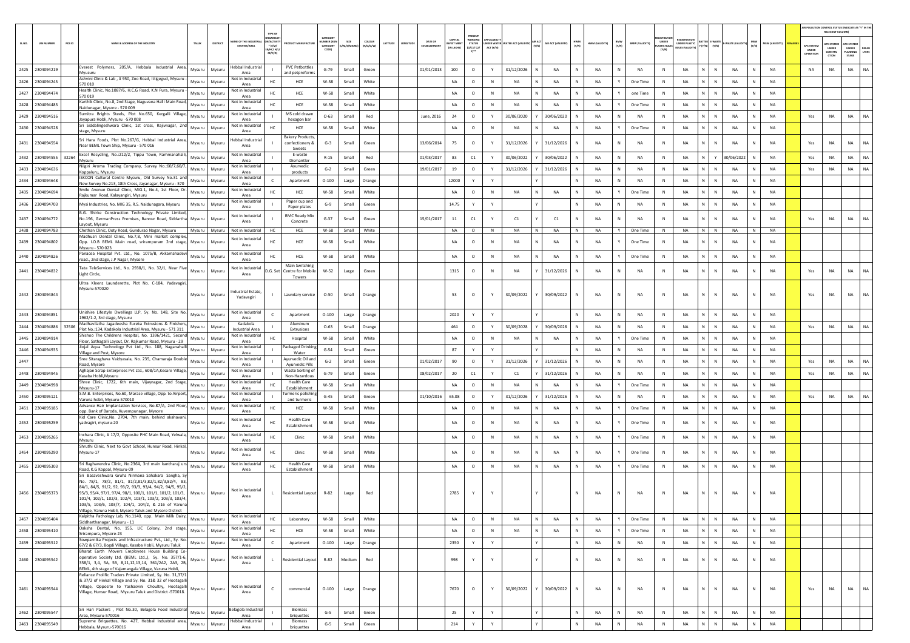|       |                   |        |                                                                                                                                                                   |        |                                                    | TYPE OF                                   |                                             |                                  |          |                     |                                                               |                              |                                                           |             |                                                |                    |              |                |              |                       |                                       |                                                |                              |               |              |                |                                  | AIR POLLUTION CONTROL STATUS (INDICATE AS "Y" IN THE<br>RELEVANT COLUMN |                                              |                       |
|-------|-------------------|--------|-------------------------------------------------------------------------------------------------------------------------------------------------------------------|--------|----------------------------------------------------|-------------------------------------------|---------------------------------------------|----------------------------------|----------|---------------------|---------------------------------------------------------------|------------------------------|-----------------------------------------------------------|-------------|------------------------------------------------|--------------------|--------------|----------------|--------------|-----------------------|---------------------------------------|------------------------------------------------|------------------------------|---------------|--------------|----------------|----------------------------------|-------------------------------------------------------------------------|----------------------------------------------|-----------------------|
| SLNO. | <b>UIN NUMBER</b> | PCB ID | NAME & ADDRESS OF THE INDUSTRY                                                                                                                                    | TALUK  | AME OF THE INDU<br>DISTRICT<br><b>ESTATES/AREA</b> | N/ACTIVI<br>* (I/M/<br>B/HC/ H<br>CE/C/O  | <b>OUCT MANUFACTUR</b>                      | CATEGORY<br>MBER (XG<br>CATEGORY | 1/S/MICR | coLous<br>(R/O/G/W) | <b>DATE OF</b><br>LATITUDE<br>LONGITUDE<br><b>ESTABLISHME</b> | <b>WEST MEN</b><br>IN LAKHST | PRESENT<br><b>STATUS</b><br>(0/01/02)<br>$Y$ <sup>*</sup> | ACT (Y/N)   | <b>NDER WATER WATER ACT (VALIDITY)</b> AIR ACT | AIR ACT (VALIDITY) | HWM<br>(Y/N) | HWM (VALIDITY) | BMW<br>(Y/N) | <b>BMW (VALIDITY)</b> | UNDER<br><b>LASTIC RULE:</b><br>(Y/N) | <b>UNDER PLASTIC</b><br><b>BULES (VALIDIT)</b> | TER E-WAST<br>CY/N3<br>[Y/N] | -WASTE (VALID | (Y/N)        | MSW (VALIDITY) | APC SYSTER<br>UNDER<br>OPERATION | PC SYSTEM<br>UNDER<br>CONSTRU<br>crion                                  | <b>PC SYSTE</b><br>UNDER<br>LANNING<br>STAGE | <b>DEFAU</b><br>LTERS |
|       | 2425 2304094219   |        | iverest Polymers, 205/A, Hebbala Industrial Area,                                                                                                                 | Mysuru | Hebbal Industria<br>Mysuru                         |                                           | <b>PVC Petbottles</b>                       | $G-79$                           | Small    | Green               | 01/01/2013                                                    | 100                          | $\circ$                                                   | Y           | 31/12/2026                                     | <b>NA</b>          | N            | <b>NA</b>      | N            | <b>NA</b>             | N                                     | <b>NA</b>                                      | $\mathbb N$<br>N             | <b>NA</b>     | N            | <b>NA</b>      | <b>NA</b>                        | NA                                                                      | <b>NA</b>                                    | NA                    |
| 2426  | 2304094245        |        | Mvusuru<br>Ashvini Clinic & Lab, #950, Zoo Road, Ittigegud, Mysuru                                                                                                | Mysuru | Area<br>Not in Industria<br>Mysuru                 | HC.                                       | and petpreform<br>HCE                       | W-58                             | Small    | White               |                                                               | <b>NA</b>                    | $\circ$                                                   | N           | <b>NA</b>                                      | NA                 | N            | <b>NA</b>      | Y            | One Time              | $\mathbb N$                           | NA                                             | N<br>N                       | NA            | $\mathsf{N}$ | <b>NA</b>      |                                  |                                                                         |                                              |                       |
|       | 2427 2304094474   |        | 570 010<br>Health Clinic, No.1087/6, H.C.G Road, K.N Pura, Mysuru                                                                                                 | Mysuru | Area<br>Not in Industria<br>Mysuru                 | HC                                        | HCE                                         | W-58                             | Small    | White               |                                                               | NA                           | $\circ$                                                   | N           | NA                                             | NA<br>N            | N            | <b>NA</b>      | Y            | one Time              | N                                     | NA                                             | $\mathsf{N}^-$<br>$\,$ N     | NA            | N            | <b>NA</b>      |                                  |                                                                         |                                              |                       |
|       | 2428 2304094483   |        | 570 019<br>Karthik Clinic, No.8, 2nd Stage, Naguvana Halli Main Road,                                                                                             | Mysuru | Area<br>Not in Industria<br>Mysuru                 |                                           | HCE                                         | W-58                             | Small    | White               |                                                               | <b>NA</b>                    | $\circ$                                                   | N           | NA                                             | NA                 | N            | <b>NA</b>      | Y            | One Time              | $\mathbb N$                           | NA                                             | N                            | NA            | N            | <b>NA</b>      |                                  |                                                                         |                                              |                       |
|       | 2429 2304094516   |        | Naidunagar, Mysore - 570 009<br>Sumitra Brights Steels, Plot No.650, Kergalli Village                                                                             | Mysuru | Area<br>Not in Industria<br>Mysuri                 |                                           | MS cold drawr                               | $O - 63$                         | Small    | Red                 | June, 2016                                                    | 24                           | $\circ$                                                   | Y           | 30/06/2020                                     | 30/06/2020         | N.           | <b>NA</b>      | N            | NA                    | N                                     | <b>NA</b>                                      | N<br>$\mathbb{N}$            | <b>NA</b>     | N            | <b>NA</b>      | Yes                              | <b>NA</b>                                                               | <b>NA</b>                                    | NA                    |
|       | 2430 2304094528   |        | Jayapura Hobli, Mysuru -570 008<br>Sri Siddalingeshwara Clinic, 1st cross, Rajivnagar, 2nd                                                                        | Mysuru | Area<br>Not in Industria<br>Mysuru                 | HC                                        | hexagon bar<br>HCE                          | W-58                             | Small    | White               |                                                               | NA                           | $\circ$                                                   | N           | <b>NA</b>                                      | <b>NA</b>          | N            | <b>NA</b>      | Y            | One Time              | N                                     | <b>NA</b>                                      | $\mathbb N$<br>N             | NA            | N            | <b>NA</b>      |                                  |                                                                         |                                              |                       |
|       |                   |        | stage, Mysuru<br>Sri Hara Foods, Plot No.267/G, Hebbal Industrial Area,                                                                                           |        | Area<br>Hebbal Industria                           |                                           | <b>Bakery Products</b>                      |                                  |          |                     |                                                               |                              |                                                           |             |                                                |                    |              |                |              |                       |                                       |                                                |                              |               |              |                |                                  |                                                                         |                                              |                       |
|       | 2431 2304094554   |        | Near BEML Town Ship, Mysuru - 570 016                                                                                                                             | Mysuru | Mysuri<br>Area                                     |                                           | confectionery 8<br>Sweets                   | $G-3$                            | Small    | Green               | 13/06/2014                                                    | 75                           | $\circ$                                                   |             | 31/12/2026                                     | 31/12/2026         |              | <b>NA</b>      | N            | NA                    | N                                     | <b>NA</b>                                      | N.<br>$\mathbb{N}$           | NA            | N            | <b>NA</b>      | Yes                              | <b>NA</b>                                                               | <b>NA</b>                                    | <b>NA</b>             |
|       | 2432 2304094555   | 32264  | Excel Recycling, No.:212/2, Tippu Town, Rammanahalli,<br>Mysuru                                                                                                   | Mysuru | Not in Industrial<br>Mysuri<br>Area                |                                           | E-waste<br>Dismantler                       | $R-15$                           | Small    | Red                 | 01/03/2017                                                    | 83                           | C1                                                        | Y           | 30/06/2022                                     | 30/06/2022         | N            | <b>NA</b>      | N            | <b>NA</b>             | N                                     | <b>NA</b>                                      | Y<br>N                       | 30/06/2022    | N            | <b>NA</b>      | Yes                              | <b>NA</b>                                                               | <b>NA</b>                                    | NA                    |
|       | 2433 2304094636   |        | Nilgiri Aroma Trading Company, Survey No.:60/7,60/7,<br>Coppaluru, Mysuru                                                                                         | Mysuru | Not in Industrial<br>Mysuri<br>Area                |                                           | Ayurvedic<br>products                       | $G-2$                            | Small    | Green               | 19/01/2017                                                    | 19                           | $\circ$                                                   |             | 31/12/2026                                     | 31/12/2026         | N            | NA             | N            | NA                    | $\mathbb N$                           | NA                                             | N.<br>N                      | NA            | N            | <b>NA</b>      | Yes                              | NA                                                                      | NA                                           | NA                    |
|       | 2434 2304094648   |        | ISKCON Cultural Centre Mysuru, Old Survey No.31 and<br>New Survey No.213, 18th Cross, Jayanagar, Mysuru - 570                                                     | Mysuru | Not in Industrial<br>Mysuru<br>Area                |                                           | Apartment                                   | $O-100$                          | Large    | Orange              |                                                               | 12000                        | Y                                                         | Y           |                                                |                    | N            | <b>NA</b>      | N            | NA                    | $\,$ N                                | NA                                             | N<br>$\,$ N                  | NA            | N            | <b>NA</b>      |                                  |                                                                         |                                              |                       |
|       | 2435 2304094694   |        | Smile Avenue Dental Clinic, MIG.1, No.4, 1st Floor, Dr.<br>łajkumar Road, Kalayangiri, Mysuru                                                                     | Mysuru | Not in Industrial<br>Mysuru<br>Area                | HC                                        | HCE                                         | W-58                             | Small    | White               |                                                               | <b>NA</b>                    | $\circ$                                                   | $\,$ N      | NA                                             | NA                 | N            | <b>NA</b>      | Y            | One Time              | N                                     | NA                                             | N                            | NA            |              | <b>NA</b>      |                                  |                                                                         |                                              |                       |
|       | 2436 2304094703   |        | Mysi Industries, No. MIG 35, R.S. Naidunagara, Mysuru                                                                                                             | Mysuru | Not in Industria<br>Mysuru<br>Area                 |                                           | Paper cup and<br>Paper plates               | $G-9$                            | Small    | Green               |                                                               | 14.75                        | Y                                                         | Y           |                                                |                    | $\mathbb{N}$ | <b>NA</b>      | N            | <b>NA</b>             | $\mathbb{N}$                          | NA                                             | $\mathbb{N}$<br>N            | <b>NA</b>     | $\mathsf{N}$ | <b>NA</b>      |                                  |                                                                         |                                              |                       |
| 2437  | 2304094772        |        | B.G. Shirke Construction Technology Private Limited<br>No.196, GermanPress Premises, Bannur Road, Siddartha                                                       | Mysuru | Not in Industrial<br>Mysuri                        |                                           | <b>RMC Ready Mix</b>                        | $G-37$                           | Small    | Green               | 15/01/2017                                                    | 11                           | C1                                                        | Y           | C1                                             | C1                 | N            | <b>NA</b>      | N            | <b>NA</b>             | $\mathbb{N}$                          | <b>NA</b>                                      | $\mathbb{N}$                 | <b>NA</b>     |              | <b>NA</b>      | Yes                              | <b>NA</b>                                                               | <b>NA</b>                                    | <b>NA</b>             |
|       | 2438 2304094783   |        | Layout, Mysuru<br>Chethan Clinic, Ooty Road, Gundurao Nagar, Mysuru                                                                                               |        | Area<br>Mysuru Mysuru<br>Not in Industrial         | HC.                                       | Concrete<br>HCE                             | W-58                             |          | Small White         |                                                               | <b>NA</b>                    | $\circ$                                                   | N           | <b>NA</b>                                      | N<br>NA            | N            | <b>NA</b>      | Y            | One Time              | N                                     | <b>NA</b>                                      | N N                          | <b>NA</b>     | N            | <b>NA</b>      |                                  |                                                                         |                                              |                       |
| 2439  | 2304094802        |        | Madhusri Dental Clinic, No.7,8, Mini market comple<br>Opp. I.O.B BEML Main road, srirampuram 2nd stage,                                                           | Mysuru | Not in Industrial<br>Mysuri                        | HC                                        | HCE                                         | W-58                             | Small    | White               |                                                               | <b>NA</b>                    | $\circ$                                                   | N           | <b>NA</b>                                      | NA                 | N            | <b>NA</b>      | Y            | One Time              | N                                     | <b>NA</b>                                      | N<br>Ν                       | NA            | N            | <b>NA</b>      |                                  |                                                                         |                                              |                       |
|       |                   |        | Mysuru - 570.023<br>anacea Hospital Pvt. Ltd., No. 1075/B, Akkamahadev                                                                                            |        | Area<br>Not in Industria                           |                                           |                                             |                                  |          |                     |                                                               |                              |                                                           |             |                                                |                    |              |                |              |                       |                                       |                                                |                              |               |              |                |                                  |                                                                         |                                              |                       |
| 2440  | 2304094826        |        | pad., 2nd stage, J.P Nagar, Mysore                                                                                                                                | Mysuru | Mysuru<br>Area                                     | HC                                        | HCE<br>Main Switching                       | W-58                             | Small    | White               |                                                               | <b>NA</b>                    | $\circ$                                                   | N           | <b>NA</b>                                      | N<br>NA            | N            | <b>NA</b>      | Y            | One Time              | N                                     | NA                                             | $\mathbb{N}$<br>N.           | NA            | N            | <b>NA</b>      |                                  |                                                                         |                                              |                       |
| 2441  | 2304094832        |        | Tata TeleServices Ltd., No. 2938/1, No. 32/1, Near Five<br>Light Circle,                                                                                          | Mysuru | Not in Industrial<br>Mysuru<br>Area                | D.G. Set                                  | Centre for Mobile<br>Towers                 | W-52                             | Large    | Green               |                                                               | 1315                         | $\circ$                                                   | N           | <b>NA</b>                                      | 31/12/2026         | N            | <b>NA</b>      | N            | NA                    | N                                     | <b>NA</b>                                      | $\mathbb N$<br>N             | NA            | N            | <b>NA</b>      | Yes                              | NA                                                                      | <b>NA</b>                                    | <b>NA</b>             |
|       |                   |        | Ultra Kleenz Launderette, Plot No. C-184, Yadavagir<br>Mysuru-570020                                                                                              |        |                                                    |                                           |                                             |                                  |          |                     |                                                               |                              |                                                           |             |                                                |                    |              |                |              |                       |                                       |                                                |                              |               |              |                |                                  |                                                                         |                                              |                       |
|       | 2442 2304094844   |        |                                                                                                                                                                   | Mysuru | ndustrial Estate<br>Mysuru<br>Yadavagiri           |                                           | Laundary service                            | $O-50$                           | Small    | Orange              |                                                               | 53                           | $\circ$                                                   |             | 30/09/2022                                     | 30/09/2022         | N            | <b>NA</b>      | N            | <b>NA</b>             | $\mathbb{N}$                          | <b>NA</b>                                      | N                            | NA            |              | <b>NA</b>      | Yes                              | <b>NA</b>                                                               | <b>NA</b>                                    | <b>NA</b>             |
|       | 2443 2304094851   |        | Inishire Lifestyle Dwellings LLP, Sy. No. 148, Site No.<br>1962/1-2, 3rd stage, Mysuru                                                                            | Mysuru | Not in Industria<br>Mysuru<br>Area                 |                                           | Apartment                                   | $O-100$                          | Large    | Orange              |                                                               | 2020                         |                                                           |             |                                                |                    |              | NA             | N            | NA                    | N                                     | <b>NA</b>                                      | N.<br>N                      | NA            | N            | NA             |                                  |                                                                         |                                              |                       |
|       | 2444 2304094886   | 32506  | Madhavilatha Jagadeesha Eureka Extrusions & Finishers<br>Plot No.:134, Kadakola Industrial Area, Mysuru - 571 311                                                 | Mysuru | Mysuri<br><b>Industrial Area</b>                   | Kadakola                                  | Aluminum<br>Extrusions                      | $O - 63$                         | Small    | Orange              |                                                               | 464                          | $\circ$                                                   | Y           | 30/09/2028                                     | 30/09/2028         | N            | NA             | N            | NA                    | N                                     | NA                                             | N<br>$\,$ N                  | NA            | N            | NA             | Yes                              | NA                                                                      | NA                                           | <b>NA</b>             |
|       | 2445 2304094914   |        | Shishoo The Childrens Hospital, No. 1396/1421, Second<br>Floor, Sathagalli Layout, Dr. Rajkumar Road, Mysuru - 29                                                 | Mysuru | Not in Industrial<br>Mysuri<br>Area                |                                           | Hospital                                    | W-58                             | Small    | White               |                                                               | <b>NA</b>                    | $\circ$                                                   | N           | NA                                             | <b>NA</b>          |              | <b>NA</b>      | Y            | One Time              | $\mathbb N$                           | <b>NA</b>                                      | N                            | NA            | N            | <b>NA</b>      |                                  |                                                                         |                                              |                       |
| 2446  | 2304094935        |        | Jiojal Aqua Technology Pvt Ltd., No. 188, Naganahall<br>Village and Post, Mysore                                                                                  | Mysuru | Not in Industria<br>Mysuri<br>Area                 |                                           | Packaged Drinking<br>Water                  | $G-54$                           | Small    | Green               |                                                               | 87                           | Y                                                         |             |                                                |                    | N            | <b>NA</b>      | N            | <b>NA</b>             | $\mathbb N$                           | <b>NA</b>                                      | N.<br>N                      | NA            | N            | <b>NA</b>      |                                  |                                                                         |                                              |                       |
| 2447  |                   |        | Sree Sitaraghava Vaidyasala, No. 235, Chamaraja Double<br>Road, Mysore                                                                                            | Mysuru | Not in Industria<br>Mysuri<br>Area                 |                                           | Ayurvedic Oil and<br><b>Avurvedic Pills</b> | $G-2$                            | Small    | Green               | 01/02/2017                                                    | 90                           | $\circ$                                                   | Y           | 31/12/2026                                     | 31/12/2026         | N            | <b>NA</b>      | N            | <b>NA</b>             | N                                     | NA                                             | N<br>$\mathbb N$             | NA            | N            | <b>NA</b>      | Yes                              | NA                                                                      | <b>NA</b>                                    | <b>NA</b>             |
| 2448  | 2304094945        |        | Aghajan Scrap Enterprises Pvt Ltd., 608/1A,Kesare Village,<br>Kasaba Hobli, Mysuru                                                                                | Mysuru | Not in Industria<br>Mysuru<br>Area                 |                                           | Waste Sorting o<br>Non-Hazardous            | $G-79$                           | Small    | Green               | 08/02/2017                                                    | 20                           | C1                                                        | Y           | C1                                             | 31/12/2026         |              | NA             | N            | NA                    | N                                     | NA                                             | $\mathbb N$                  | NA            | N            | NA             | Yes                              | NA                                                                      | <b>NA</b>                                    | NA                    |
| 2449  | 2304094998        |        | Shree Clinic, 1722, 6th main, Vijaynagar, 2nd Stage,<br>Mysuru-17                                                                                                 | Mysuru | Not in Industrial<br>Mysuri<br>Area                |                                           | <b>Health Care</b><br>Establishment         | W-58                             | Small    | White               |                                                               | NA                           | $\circ$                                                   | N           | NA                                             | NA                 | N            | <b>NA</b>      | Y            | One Time              | $\,$ N                                | NA                                             | N<br>N                       | NA            | N            | NA             |                                  |                                                                         |                                              |                       |
| 2450  | 2304095121        |        | S.M.B. Enterprises, No.60, Marase village, Opp. to Airport<br>Varuna hobli, Mysuru-570010                                                                         | Mysuru | Not in Industria<br>Mysuru<br>Area                 |                                           | urmeric polishir<br>and turmeric            | $G-45$                           | Small    | Green               | 01/10/2016                                                    | 65.08                        | $\circ$                                                   |             | 31/12/2026                                     | 31/12/2026         | N            | <b>NA</b>      | N            | NA                    | N                                     | <b>NA</b>                                      | N                            | <b>NA</b>     | N            | <b>NA</b>      | Yes                              | <b>NA</b>                                                               | <b>NA</b>                                    | <b>NA</b>             |
|       | 2451 2304095185   |        | Advance Hair Implantation Services, No.87/A, 2nd Floor<br>opp. Bank of Baroda, Kuvempunagar, Mysore                                                               | Mysuru | Not in Industria<br>Mysuri<br>Area                 | HC.                                       | HCE                                         | W-58                             | Small    | White               |                                                               | <b>NA</b>                    | $\circ$                                                   | N           | <b>NA</b>                                      | <b>NA</b>          | N            | <b>NA</b>      | Y            | One Time              | N                                     | <b>NA</b>                                      | N.<br>$\mathbb{N}$           | <b>NA</b>     | $\mathbb N$  | <b>NA</b>      |                                  |                                                                         |                                              |                       |
|       | 2452 2304095259   |        | Kid Care Clinic, No. 2704, 7th main, behind akahavan<br>vadvagiri, mysuru-20                                                                                      | Mysuru | Not in Industrial<br>Mysuri                        | HC.                                       | <b>Health Care</b>                          | W-58                             | Small    | White               |                                                               | <b>NA</b>                    | $\circ$                                                   | $\mathbb N$ | <b>NA</b>                                      | <b>NA</b>          | N            | <b>NA</b>      |              | One Time              | $\mathbb{N}$                          | <b>NA</b>                                      | $\mathbb{N}$                 | <b>NA</b>     | N            | <b>NA</b>      |                                  |                                                                         |                                              |                       |
|       |                   |        | Inchara Clinic, # 17/2, Opposite PHC Main Road, Yelwala,                                                                                                          |        | Area<br>Not in Industria                           |                                           | Establishment                               |                                  |          |                     |                                                               |                              |                                                           |             |                                                |                    |              |                |              |                       |                                       |                                                |                              |               |              |                |                                  |                                                                         |                                              |                       |
|       | 2453 2304095265   |        | Mysuru<br>Shruthi Clinic, Next to Govt School, Hunsur Road, Hinkal                                                                                                | Mysuru | Mysuru<br>Area                                     | HC                                        | Clinic                                      | W-58                             | Small    | White               |                                                               | <b>NA</b>                    | $\circ$                                                   | N           | <b>NA</b>                                      | N<br><b>NA</b>     | $\mathbb{N}$ | <b>NA</b>      | Y            | One Time              | N                                     | <b>NA</b>                                      | $\mathbb{N}$<br>N.           | <b>NA</b>     | N            | <b>NA</b>      |                                  |                                                                         |                                              |                       |
| 2454  | 2304095290        |        | Mysuru-17                                                                                                                                                         | Mysuru | Not in Industrial<br>Mysuri<br>Area                | HC                                        | Clinic                                      | W-58                             | Small    | White               |                                                               | <b>NA</b>                    | $\circ$                                                   | N           | <b>NA</b>                                      | <b>NA</b>          | N            | <b>NA</b>      |              | One Time              | N                                     | <b>NA</b>                                      | $\mathbb{N}$                 | <b>NA</b>     |              | <b>NA</b>      |                                  |                                                                         |                                              |                       |
|       | 2455 2304095303   |        | Sri Raghavendra Clinic, No.2364, 3rd main kantharaj urs<br>load, K.G Koppal, Mysuru-09                                                                            | Mysuru | Not in Industrial<br>Mysuru<br>Area                | HC                                        | <b>Health Care</b><br>Establishment         | W-58                             | Small    | White               |                                                               | NA                           | $\circ$                                                   | N           | NA                                             | NA<br>N            | N            | NA             | Y            | One Time              | N                                     | NA                                             | N.<br>$\mathbb N$            | NA            | N            | <b>NA</b>      |                                  |                                                                         |                                              |                       |
|       |                   |        | Basaveshwara Gruha Nirmana Sahakara Sangha, S<br>No. 78/1. 78/2. 81/1. 81/2.81/3.82/1.82/3.82/4. 83                                                               |        |                                                    |                                           |                                             |                                  |          |                     |                                                               |                              |                                                           |             |                                                |                    |              |                |              |                       |                                       |                                                |                              |               |              |                |                                  |                                                                         |                                              |                       |
|       | 2456 2304095373   |        | 84/1, 84/5, 91/2, 92, 93/2, 93/3, 93/4, 94/2, 94/5, 95/2                                                                                                          |        |                                                    | Not in Industrial                         |                                             |                                  |          |                     |                                                               | 2785                         |                                                           |             |                                                |                    |              |                | N            |                       | N                                     |                                                | $\mathbb N$                  |               |              |                |                                  |                                                                         |                                              |                       |
|       |                   |        | 95/3, 95/4, 97/1, 97/4, 98/1, 100/1, 101/1, 101/2, 101/3,<br>101/4, 102/1, 102/3, 102/4, 103/1, 103/2, 103/3, 103/4,                                              |        | Mysuru Mysuru<br>Area                              | L                                         | <b>Residential Layout</b>                   | R-82                             | Large    | Red                 |                                                               |                              |                                                           |             |                                                |                    |              | <b>NA</b>      |              | NA                    |                                       | NA                                             |                              | NA            |              | <b>NA</b>      |                                  |                                                                         |                                              |                       |
|       |                   |        | 103/5, 103/6, 103/7, 104/1, 104/2, & 216 of Varuna<br>Village, Varuna Hobli, Mysore Taluk and Mysore District                                                     |        |                                                    |                                           |                                             |                                  |          |                     |                                                               |                              |                                                           |             |                                                |                    |              |                |              |                       |                                       |                                                |                              |               |              |                |                                  |                                                                         |                                              |                       |
|       | 2457 2304095404   |        | Kalpitha Pathology Lab, No.1140, opp. Main Milk Dairy,<br>Siddharthanagar, Mysuru - 11                                                                            | Mysuru | Not in Industrial<br>Mysuru<br>Area                | HC                                        | Laboratory                                  | W-58                             | Small    | White               |                                                               | NA                           | $\circ$                                                   | $\,$ N      | NA                                             | N<br>NA            | N            | NA             | Y            | One Time              | N                                     | NA                                             | $\mathbb{N}$<br>$\mathbb{N}$ | NA            | N            | <b>NA</b>      |                                  |                                                                         |                                              |                       |
|       | 2458 2304095410   |        | Daksha Dental, No. 155, LIC Colony, 2nd stage,<br>Srirampura, Mysore-23                                                                                           | Mysuru | Not in Industrial<br>Mysuru<br>Area                | HC                                        | HCE                                         | W-58                             | Small    | White               |                                                               | NA                           | $\circ$                                                   | N           | NA                                             | NA<br>N            | N            | NA             | Y            | One Time              | N                                     | NA                                             | N<br>N                       | NA            | N            | NA             |                                  |                                                                         |                                              |                       |
| 2459  | 2304095512        |        | Sowparnika Projects and Infrastructure Pvt., Ltd., Sy. No.<br>57/2 & 67/3, Bogdi Village, Kasaba Hobli, Mysuru Taluk                                              | Mysuru | Mysuru                                             | Not in Industrial<br>$\mathsf{C}$<br>Area | Apartment                                   | $O-100$                          | Large    | Orange              |                                                               | 2350                         | Y                                                         | Y           |                                                |                    | N            | <b>NA</b>      | N            | NA                    | $\,$ N                                | NA                                             | $\mathbb{N}$<br>N            | NA            | N            | <b>NA</b>      |                                  |                                                                         |                                              |                       |
| 2460  | 2304095542        |        | Bharat Earth Movers Employees House Building Co-<br>operative Society Ltd. (BEML Ltd.,), Sy. No. 357/1-6,<br>358/1, 3,4, 5A, 5B, 8,11,12,13,14, 361/2A2, 2A3, 2B, | Mysuru | Mysuru                                             | Not in Industrial<br>$\mathbf{L}$<br>Area | <b>Residential Layout</b>                   | $R - 82$                         | Medium   | Red                 |                                                               | 998                          | Y                                                         |             |                                                |                    | N            | <b>NA</b>      | ${\sf N}$    | NA                    | $\,$ N                                | NA                                             | N<br>$\mathbb N$             | NA            | N            | <b>NA</b>      |                                  |                                                                         |                                              |                       |
|       |                   |        | BEML, 4th stage of Vajamangala Village, Varuna Hobli,<br>Reliance Prolific Traders Private Limited, Sy. No. 31,37/1                                               |        |                                                    |                                           |                                             |                                  |          |                     |                                                               |                              |                                                           |             |                                                |                    |              |                |              |                       |                                       |                                                |                              |               |              |                |                                  |                                                                         |                                              |                       |
|       |                   |        | & 37/2 of Hinkal Village and Sy. No. 31& 32 of Hootagalli<br>Village, Opposite to Yashasvini Choultry, Hootagalli                                                 |        | Not in Industrial                                  |                                           |                                             |                                  |          |                     |                                                               |                              |                                                           |             |                                                |                    |              |                |              |                       |                                       |                                                |                              |               |              |                |                                  |                                                                         |                                              |                       |
|       | 2461 2304095544   |        | Village, Hunsur Road, Mysuru Taluk and District -570018.                                                                                                          | Mysuru | Mysuru                                             | $\mathsf{C}$<br>Area                      | commercial                                  | $O-100$                          | Large    | Orange              |                                                               | 7670                         | $\circ$                                                   | Y           | 30/09/2022                                     | 30/09/2022         | N            | <b>NA</b>      | N            | NA                    | N                                     | NA                                             | $\mathsf{N}^-$<br>N          | NA            | N            | <b>NA</b>      | Yes                              | NA                                                                      | <b>NA</b>                                    | NA                    |
|       |                   |        | Sri Hari Packers , Plot No.30, Belagola Food Industrial                                                                                                           |        |                                                    | Belagola Industrial                       | <b>Biomass</b>                              |                                  |          |                     |                                                               |                              |                                                           |             |                                                |                    |              |                |              |                       |                                       |                                                |                              |               |              |                |                                  |                                                                         |                                              |                       |
|       | 2462 2304095547   |        | Area, Mysuru-570016                                                                                                                                               | Mysuru | Mysuru                                             | Area                                      | briquettes                                  | $G-5$                            | Small    | Green               |                                                               | 25                           | Y                                                         | Y           |                                                |                    | N            | <b>NA</b>      | N            | NA                    | N                                     | NA                                             | $\mathsf{N}$<br>$\mathbb{N}$ | NA            | N            | <b>NA</b>      |                                  |                                                                         |                                              |                       |
|       | 2463 2304095549   |        | Supreme Briquettes, No. 427, Hebbal Industrial area,<br>Hebbala, Mysuru-570016                                                                                    | Mysuru | Mysuru<br>Area                                     | <b>Hebbal Industrial</b>                  | Biomass<br>briquettes                       | $G-5$                            | Small    | Green               |                                                               | 214                          | Y                                                         | Y           |                                                |                    | $\mathbb{N}$ | NA             | N            | NA                    | $\,$ N                                | NA                                             | N<br>N                       | NA            | N            | <b>NA</b>      |                                  |                                                                         |                                              |                       |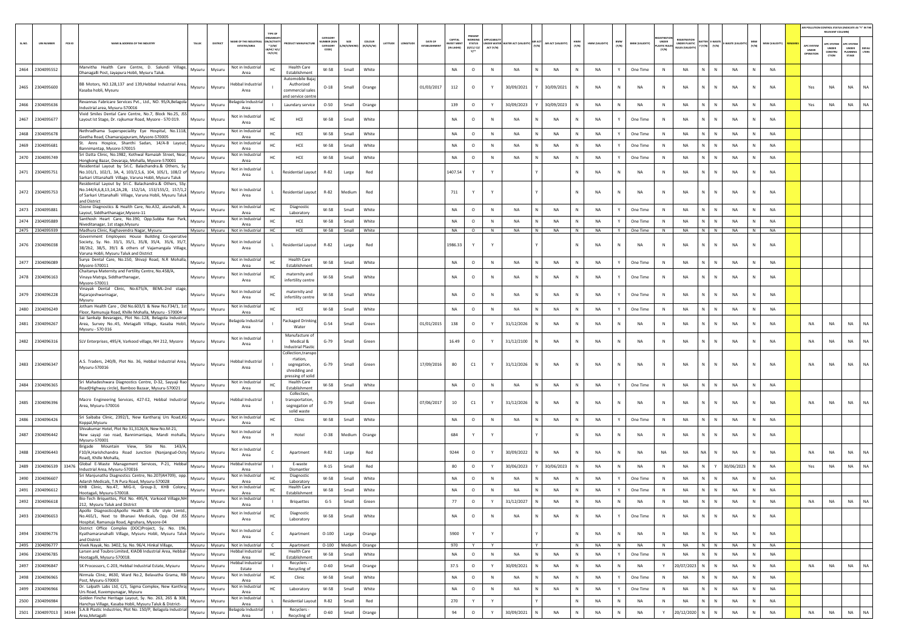|        |                               |        |                                                                                                                                                                                                            |               |                         |                                               |                                             |                                                                                     |                                          |                        |                     |          |         |            |                            |                                            |              |                                        |              |                    |              |                 |              |                       |                           |                        |                                                         |                 |              |                        | AIR POLLUTION CONTROL STATUS (INDICATE AS "Y" IN THI<br>RELEVANT COLUMN) |                                                       |                                         |                |
|--------|-------------------------------|--------|------------------------------------------------------------------------------------------------------------------------------------------------------------------------------------------------------------|---------------|-------------------------|-----------------------------------------------|---------------------------------------------|-------------------------------------------------------------------------------------|------------------------------------------|------------------------|---------------------|----------|---------|------------|----------------------------|--------------------------------------------|--------------|----------------------------------------|--------------|--------------------|--------------|-----------------|--------------|-----------------------|---------------------------|------------------------|---------------------------------------------------------|-----------------|--------------|------------------------|--------------------------------------------------------------------------|-------------------------------------------------------|-----------------------------------------|----------------|
| SL.NO. | <b>UIN NUMBER</b>             | PCB ID | NAME & ADDRESS OF THE INDUSTRY                                                                                                                                                                             | TALUK         | <b>DISTRIC</b>          | AME OF THE INDUSTI<br><b>ESTATES/AREA</b>     | N/ACTIV<br>$*$ (l/M)<br>в/нс/ н/<br>CE/C/OI | <b>ICT MANUFACTUR</b>                                                               | CATFOOL<br>MBER (X)<br>CATEGORY<br>CODE) | SIZE<br>W/S/MIC        | coLous<br>(R/O/G/W) | LATITUDE | ONGITUD | DATE OF    | CAPITAL<br><b>/EST MEN</b> | WORKING<br><b>STATUS</b><br>(0/C1/C2/<br>Y | ACT (Y/N)    | INDER WATER WATER ACT (VALIDITY) (Y/N) |              | AIR ACT (VALIDITY) | HWM<br>(Y/N) | HWM (VALIDITY)  | BMW<br>(Y/N) | <b>BMW (VALIDITY)</b> | UNDER<br>STIC RU<br>(Y/N) | <b>UNDER PLASTIC</b>   | <b>TTER E-WAST</b><br>Y/N)<br>$(\mathbb{Y}/\mathbb{N})$ | WASTE (VAL)     | MSW<br>(Y/N) | MSW (VALIDITY)         | APC SYSTE<br>UNDER                                                       | <b>C SYST</b><br>UNDER<br>CONSTRU<br>c <sub>mon</sub> | PC SYSTEN<br>UNDER<br>PLANNING<br>STAGE | DEFAL<br>LTERS |
|        | 2464 2304095552               |        | Manvitha Health Care Centre, D. Salundi Village,<br>Dhanagalli Post, Jayapura Hobli, Mysuru Taluk.                                                                                                         | Mysuru        | Mysuru                  | Not in Industrial<br>Area                     | HC                                          | <b>Health Care</b><br>Establishment                                                 | W-58                                     | Small                  | White               |          |         |            | NA                         | $\circ$                                    | $\mathbb N$  | NA                                     |              | NA                 | $\mathbb N$  | NA              | Y            | One Time              | N                         | NA                     | N<br>N                                                  | NA              | N            | NA                     |                                                                          |                                                       |                                         |                |
|        | 2465 2304095600               |        | BB Motors, NO.128,137 and 139, Hebbal Industrial Area,<br>Kasaba hobli. Mysuru                                                                                                                             | Mysuru        | Mysuru                  | lebbal Industrial<br>Area                     |                                             | Automobile Baja<br>Authorized<br>commercial sales<br>nd service cent                | $O-18$                                   | Small                  | Orange              |          |         | 01/03/2017 | 112                        | $\circ$                                    | Y            | 30/09/2021                             |              | 30/09/2021         | N            | <b>NA</b>       | N            | NA                    | N                         | NA                     | N<br>$\mathbb N$                                        | NA              | N            | <b>NA</b>              | Yes                                                                      | <b>NA</b>                                             | NA                                      | <b>NA</b>      |
|        | 2466 2304095636               |        | Revannas Fabricare Services Pvt., Ltd., NO. 95/A,Belagola<br>Industrial area, Mysuru-570016                                                                                                                | Mysuru        | Mysuru                  | Belagola Industria<br>Area                    |                                             | Laundary service                                                                    | $O-50$                                   | Small                  | Orange              |          |         |            | 139                        | $\circ$                                    | Y            | 30/09/2023                             |              | 30/09/2023         | N            | <b>NA</b>       | $\,$ N       | NA                    | N                         | NA                     | N.<br>$\mathbb{N}$                                      | NA              | N            | NA                     | Yes                                                                      | NA                                                    | <b>NA</b>                               | <b>NA</b>      |
|        | 2467 2304095677               |        | Vivid Smiles Dental Care Centre, No.7, Block No.25, JSS<br>Layout Ist Stage, Dr. rajkumar Road, Mysore - 570 019.                                                                                          | Mysuru        | Mysuru                  | <b>Not in Industrial</b><br>Area              | HC                                          | HCE                                                                                 | W-58                                     | Small                  | White               |          |         |            | <b>NA</b>                  | $\circ$                                    | N            | <b>NA</b>                              |              | <b>NA</b>          | N            | <b>NA</b>       | Y            | One Time              | $\mathbb N$               | <b>NA</b>              | N<br>N                                                  | <b>NA</b>       | N            | <b>NA</b>              |                                                                          |                                                       |                                         |                |
| 2468   | 2304095678                    |        | Nethradhama Superspeciality Eye Hospital, No.1118,<br>Geetha Road, Chamarajapuram, Mysore-570005                                                                                                           | Mysuru        | Mysuru                  | Not in Industrial<br>Area                     | HC                                          | HCE                                                                                 | W-58                                     | Small                  | White               |          |         |            | <b>NA</b>                  | $\circ$                                    | N            | <b>NA</b>                              |              | <b>NA</b>          | $\mathbb{N}$ | <b>NA</b>       | Y            | One Time              | N                         | <b>NA</b>              | N<br>$\,$ N                                             | <b>NA</b>       | $\mathbb N$  | NA                     |                                                                          |                                                       |                                         |                |
| 2469   | 2304095681                    |        | St. Anns Hospice, Shanthi Sadan, 14/A-B Layout,<br>Bannimantap, Mysore-570015                                                                                                                              | Mysuru        | Mysuru                  | Not in Industria<br>Area                      | HC.                                         | HCE                                                                                 | W-58                                     | Small                  | White               |          |         |            | <b>NA</b>                  | $\circ$                                    | $\mathbb N$  | <b>NA</b>                              |              | <b>NA</b>          | $\mathbb N$  | <b>NA</b>       | Y            | One Time              | $\mathbb{N}$              | <b>NA</b>              | N<br>$\mathbb N$                                        | NA              | N            | <b>NA</b>              |                                                                          |                                                       |                                         |                |
| 2470   | 2304095749                    |        | Sri Datta Clinic, No.1982, Kothwal Ramaiah Street, Near,<br>Hongkong Bazar, Devaraja, Mohalla, Mysore-570001<br>Residential Layout by Sri.C. Balachandra.& Others, Sy.                                     | Mysuru        | Mysuru                  | Not in Industrial<br>Area                     | HC                                          | HCE                                                                                 | W-58                                     | Small                  | White               |          |         |            | <b>NA</b>                  | $\circ$                                    | $\mathbb N$  | NA                                     |              | NA                 | N            | NA              | Y            | One Time              | N                         | NA                     | N<br>$\mathbb{N}$                                       | NA              | N            | NA                     |                                                                          |                                                       |                                         |                |
|        | 2471 2304095751               |        | No.101/1, 102/1, 3A, 4, 103/2,5,6, 104, 105/1, 108/2 of Mysuru<br>Sarkari Uttanahalli Village, Varuna Hobli, Mysuru Taluk                                                                                  |               | Mysuru                  | Not in Industrial<br>Area                     |                                             | <b>Residential Layout</b>                                                           | R-82                                     | Large                  | Red                 |          |         |            | 1407.54                    | Y                                          |              |                                        |              |                    | N            | NA              | N            | NA                    | N                         | NA                     | ${\sf N}$<br>N                                          | <b>NA</b>       | N            | <b>NA</b>              |                                                                          |                                                       |                                         |                |
|        | 2472 2304095753               |        | Residential Layout by Sri.C. Balachandra.& Others, SSy.<br>No.144/4,6,8,13,14,2A,2B, 152/1A, 153/155/2, 157/1,2<br>of Sarkari Uttanahalli Village, Varuna Hobli, Mysuru Taluk<br>and District              | Mysuru        | Mysuru                  | Not in Industrial<br>Area                     |                                             | <b>Residential Layout</b>                                                           | $R-82$                                   | Medium                 | Red                 |          |         |            | 711                        | Y                                          |              |                                        |              |                    | $\mathbb{N}$ | <b>NA</b>       | N            | <b>NA</b>             | $\mathbb{N}$              | <b>NA</b>              | N<br>$\mathbb{N}$                                       | NA              |              | <b>NA</b>              |                                                                          |                                                       |                                         |                |
|        | 2473 2304095881               |        | Ozone Diagnostics & Health Care, No.A32, alanahalli, A-<br>Layout, Siddharthanagar, Mysore-11                                                                                                              | Mysuru        | Mysuru                  | Not in Industrial<br>Area<br>Not in Industria | HC                                          | Diagnostic<br>Laboratory                                                            | W-58                                     | Small                  | White               |          |         |            | NA                         | $\circ$                                    | N            | <b>NA</b>                              |              | <b>NA</b>          | $\mathbb{N}$ | <b>NA</b>       | Y            | One Time              | N                         | NA                     | N                                                       | NA              | N            | <b>NA</b>              |                                                                          |                                                       |                                         |                |
| 2474   | 2304095889<br>2475 2304095939 |        | Santhosh Heart Care, No.190, Opp.Subba Rao Park,<br>Niveditanagar, 1st stage, Mysuru<br>Madhura Clinic, Raghavendra Nagar, Mysuru                                                                          | Mysuru        | Mysuru<br>Mysuru Mysuru | Area<br>Not in Industrial                     | HC<br>HC                                    | HCE<br>HCE                                                                          | $W-58$<br>W-58                           | Small<br>Small         | White<br>White      |          |         |            | <b>NA</b><br><b>NA</b>     | $\circ$<br>$\circ$                         | N<br>N       | NA<br>NA                               | $\mathsf{N}$ | <b>NA</b><br>NA    | N<br>N       | <b>NA</b><br>NA | Y<br>Y       | One Time<br>One Time  | $\mathbb{N}$<br>N         | <b>NA</b><br><b>NA</b> | N.<br>$\mathbb{N}$<br>$N$ $N$                           | <b>NA</b><br>NA | N<br>N       | NA<br><b>NA</b>        |                                                                          |                                                       |                                         |                |
| 2476   | 2304096038                    |        | Government Employees House Building Co-operative<br>Society, Sy. No. 33/1, 35/1, 35/8, 35/4, 35/6, 35/7,<br>38/2b2, 38/5, 39/1 & others of Vajamangala Village,<br>Varuna Hobli, Mysuru Taluk and District | Mysuru        | Mysuru                  | <b>Not in Industrial</b><br>Area              |                                             | Residential Layout                                                                  | R-82                                     | Large                  | Red                 |          |         |            | 1986.33                    | Y                                          | Y            |                                        |              |                    |              | <b>NA</b>       | N            | NA                    | N                         | NA                     | N<br>N                                                  | NA              | N            | <b>NA</b>              |                                                                          |                                                       |                                         |                |
|        | 2477 2304096089               |        | Surya Dental Care, No.150, Shivaji Road, N.R Mohalla,<br>Mysore-570011                                                                                                                                     | Mysuru        | Mysuru                  | Not in Industria<br>Area                      | HC                                          | <b>Health Care</b><br>Establishment                                                 | W-58                                     | Small                  | White               |          |         |            | NA                         | $\circ$                                    | N            | NA                                     |              | NA                 | $\mathbb N$  | <b>NA</b>       | Y            | One Time              | N                         | NA                     | N<br>$\mathbb N$                                        | NA              | N            | <b>NA</b>              |                                                                          |                                                       |                                         |                |
|        | 2478 2304096163               |        | Chaitanya Maternity and Fertility Centre, No.458/A,<br>Vinaya Matrga, Siddharthanagar,<br>Mysore-570011                                                                                                    | Mysuru        | Mysuru                  | Not in Industrial<br>Area                     | нc                                          | maternity and<br>infertility centre                                                 | W-58                                     | Small                  | White               |          |         |            | NA                         | $\circ$                                    | N            | NA                                     |              | NA                 | N            | <b>NA</b>       |              | One Time              | N                         | <b>NA</b>              | $\mathbb{N}$<br>N.                                      | NA              | N            | <b>NA</b>              |                                                                          |                                                       |                                         |                |
|        | 2479 2304096228               |        | Vinayak Dental Clinic, No.675/A, BEML-2nd stage,<br>Rajarajeshwarinagar.<br>Mysuru                                                                                                                         | Mysuru        | Mysuru                  | <b>Not in Industrial</b><br>Area              | HC                                          | maternity and<br>infertility centre                                                 | W-58                                     | Small                  | White               |          |         |            | <b>NA</b>                  | $\circ$                                    | $\mathbb{N}$ | <b>NA</b>                              |              | <b>NA</b>          | N            | <b>NA</b>       | Y            | One Time              | $\mathbb N$               | <b>NA</b>              | $\mathbb N$                                             | <b>NA</b>       | N            | <b>NA</b>              |                                                                          |                                                       |                                         |                |
| 2480   | 2304096249                    |        | Jotham Health Care, Old No.603/1 & New No.F34/1, 1st<br>Floor, Ramunuja Road, Khille Mohalla, Mysuru - 570004                                                                                              | Mysuru        | Mysuru                  | Not in Industrial<br>Area                     | HC                                          | HCE                                                                                 | W-58                                     | Small                  | White               |          |         |            | NA                         | $\circ$                                    | N            | <b>NA</b>                              |              | <b>NA</b>          | $\mathbb{N}$ | <b>NA</b>       | Y            | One Time              | N                         | <b>NA</b>              | $\mathbb{N}$<br>N.                                      | <b>NA</b>       | N            | <b>NA</b>              |                                                                          |                                                       |                                         |                |
| 2481   | 2304096267                    |        | Sai Sankalp Bevarages, Plot No.:128, Belagola Industrial<br>Area, Survey No.:45, Metagalli Village, Kasaba Hobli, Mysuru                                                                                   |               | Mysuru                  | elagola Industria<br>Area                     |                                             | ackaged Drinking<br>Water                                                           | $G-54$                                   | Small                  | Green               |          |         | 01/01/2015 | 138                        | $\circ$                                    | Y            | 31/12/2026                             |              | <b>NA</b>          | N            | <b>NA</b>       | N            | <b>NA</b>             | N                         | <b>NA</b>              | $\mathbb N$                                             | <b>NA</b>       |              | <b>NA</b>              | <b>NA</b>                                                                | NA                                                    | NA                                      | <b>NA</b>      |
|        | 2482 2304096316               |        | Mysuru - 570 016<br>SLV Enterprises, 495/4, Varkood village, NH 212, Mysore Mysuru                                                                                                                         |               | Mysuru                  | Not in Industrial<br>Area                     |                                             | Manufacture o<br>Medical &<br>ndustrial Plastic                                     | $G - 79$                                 | Small                  | Green               |          |         |            | 16.49                      | $\circ$                                    |              | 31/12/2100                             |              | <b>NA</b>          |              | <b>NA</b>       | N            | <b>NA</b>             | N                         | <b>NA</b>              | N                                                       | <b>NA</b>       |              | <b>NA</b>              | <b>NA</b>                                                                | <b>NA</b>                                             | <b>NA</b>                               | <b>NA</b>      |
|        | 2483 2304096347               |        | A.S. Traders, 240/B, Plot No. 36, Hebbal Industrial Area,<br>Mysuru-570016                                                                                                                                 | Mysuru        | Mysuru                  | Hebbal Industria<br>Area                      |                                             | ollection.transpo<br>rtation,<br>segregation,<br>shredding and<br>pressing of solid | $G-79$                                   | Small                  | Green               |          |         | 17/09/2016 | 80                         | C1                                         | Y            | 31/12/2026                             |              | NA                 | N            | NA              | N            | NA                    | N                         | NA                     | $\mathbb N$<br>N                                        | NA              | N            | <b>NA</b>              | NA                                                                       | NA                                                    | <b>NA</b>                               | <b>NA</b>      |
| 2484   | 2304096365                    |        | Sri Mahadeshwara Diagnostics Centre, D-32, Sayyaji Rao<br>Road(Highway circle), Bamboo Bazaar, Mysuru-570021                                                                                               | Mysuru        | Mysuru                  | Not in Industrial<br>Area                     |                                             | <b>Health Care</b><br>Establishment                                                 | $W-58$                                   | Small                  | White               |          |         |            | NA                         | $\circ$                                    | N            | NA                                     |              | NA                 |              | NA              | Y            | One Time              | $\,$ N                    | NA                     | N                                                       | NA              | N            | <b>NA</b>              |                                                                          |                                                       |                                         |                |
|        | 2485 2304096396               |        | Macro Engineering Services, 427-E2, Hebbal Industrial<br>Area, Mysuru-570016                                                                                                                               | Mysuru        | Mysuru                  | lebbal Industrial<br>Area                     |                                             | Collection.<br>transportation,<br>segregation of<br>solid waste                     | $G-79$                                   | Small                  | Green               |          |         | 07/06/2017 | 10                         | C1                                         | Y            | 31/12/2026                             |              | NA                 | N            | NA              | N            | NA                    | N                         | NA                     | $\mathbb N$<br>N                                        | <b>NA</b>       | N            | <b>NA</b>              | NA                                                                       | NA                                                    | NA                                      | <b>NA</b>      |
| 2486   | 2304096426                    |        | Sri Saibaba Clinic, 2392/1, New Kantharaj Urs Road,KG<br>Koppal, Mysuru                                                                                                                                    | Mysuru        | Mysuru                  | <b>Not in Industrial</b><br>Area              | HC                                          | Clinic                                                                              | W-58                                     | Small                  | White               |          |         |            | NA                         | $\circ$                                    | N            | NA                                     |              | NA                 |              | <b>NA</b>       |              | One Time              | N                         | NA                     | N                                                       | <b>NA</b>       |              | NA                     |                                                                          |                                                       |                                         |                |
|        | 2487 2304096442               |        | Shivakumar Hotel, Plot No 31,3126/A, New No.M-21,<br>New sayaji rao road, Bannimantapa, Mandi mohalla, Mysuru<br>Mysuru-570001                                                                             |               | Mysuru                  | Not in Industrial<br>Area                     |                                             | Hotel                                                                               | $O-38$                                   | Medium                 | Orange              |          |         |            | 684                        | Y                                          |              |                                        |              |                    | $\mathbb N$  | NA              | N            | NA                    | N                         | NA                     | $\mathbb N$<br>N                                        | NA              | N            | NA                     |                                                                          |                                                       |                                         |                |
| 2488   | 2304096443                    |        | Brigade Mountain View, Site No. 143/A,<br>F10/A,Harishchandra Road Junction (Nanjangud-Ooty<br>Road), Khille Mohalla.                                                                                      | Mysuru        | Mysuru                  | <b>Not in Industrial</b><br>Area              |                                             | Apartment                                                                           | R-82                                     | Large                  | Red                 |          |         |            | 9244                       | $\circ$                                    | Y            | 30/09/2022                             |              | NA                 |              | <b>NA</b>       | N            | <b>NA</b>             | <b>NA</b>                 | NA                     | <b>NA</b><br>$\mathbb{N}$                               | <b>NA</b>       | N            | <b>NA</b>              | <b>NA</b>                                                                | <b>NA</b>                                             | <b>NA</b>                               | <b>NA</b>      |
|        | 2489 2304096539 33476         |        | Global E-Waste Management Services, P-21, Hebbal<br>Industrial Area. Mysuru-570016                                                                                                                         | Mysuru        | Mysuru                  | lebbal Industria<br>Area                      |                                             | E-waste<br>Dismantler                                                               | $R - 15$                                 | Small                  | Red                 |          |         |            | 80                         | $\circ$                                    | Y            | 30/06/2023                             |              | 30/06/2023         | N            | <b>NA</b>       | N            | NA                    | N                         | <b>NA</b>              | N.<br>Y                                                 | 30/06/2023      | N            | <b>NA</b>              | Yes                                                                      | NA                                                    | <b>NA</b>                               | <b>NA</b>      |
| 2490   | 2304096607                    |        | Sri Manjunatha Diagnostics Centre, No.207(AH709), opp.<br>Adarsh Medicals, T.N Pura Road, Mysuru-570028                                                                                                    | Mysuru        | Mysuru                  | Not in Industrial<br>Area                     |                                             | Diagnostic<br>Laboratory                                                            | $W-58$                                   | Small                  | White               |          |         |            | NA                         | $\circ$                                    | N            | NA                                     |              | NA                 |              | NA              |              | One Time              | N                         | NA                     | N<br>N                                                  | NA              |              | NA                     |                                                                          |                                                       |                                         |                |
| 2491   | 2304096612                    |        | KHB Clinic, No.47, MIG-II, Group-3, KHB Colony,<br>Hootagali, Mysuru-570018.                                                                                                                               | Mysuru        | Mysuru                  | Not in Industria<br>Area                      | HC                                          | <b>Health Care</b><br>Establishment                                                 | W-58                                     | Small                  | White               |          |         |            | NA                         | $\circ$                                    | $\mathbb N$  | NA                                     |              | NA                 | N            | NA              | Y            | One Time              | N                         | NA                     | ${\sf N}$<br>N                                          | NA              | N            | NA                     |                                                                          |                                                       |                                         |                |
| 2492   | 2304096618                    |        | Bio-Tech Briquettes, Plot No. 495/4, Varkood Village, NH<br>212, Mysuru Taluk and District                                                                                                                 | Mysuru        | Mysuru                  | Not in Industrial<br>Area                     |                                             | <b>Briquettes</b>                                                                   | $G-5$                                    | Small                  | Green               |          |         |            | 77                         | $\circ$                                    |              | 31/12/2027                             |              | <b>NA</b>          |              | <b>NA</b>       |              | <b>NA</b>             |                           | <b>NA</b>              | N                                                       | <b>NA</b>       |              | <b>NA</b>              | <b>NA</b>                                                                | NA                                                    | <b>NA</b>                               |                |
|        | 2493 2304096653               |        | Apollo Diagnostics(Apollo Health & Life style Limtd.,<br>No.465/1, Next to Bhanavi Medicals, Opp. Old JSS Mysuru<br>Hospital, Ramanuja Road, Agrahara, Mysore-04                                           |               | Mysuru                  | Not in Industrial<br>Area                     | HC                                          | Diagnostic<br>Laboratory                                                            | W-58                                     | Small                  | White               |          |         |            | NA                         | $\circ$                                    | N            | NA                                     |              | NA                 | $\mathbb{N}$ | <b>NA</b>       | Y            | One Time              | ${\sf N}$                 | <b>NA</b>              | N<br>$\mathbb N$                                        | <b>NA</b>       | N            | <b>NA</b>              |                                                                          |                                                       |                                         |                |
| 2494   | 2304096776                    |        | District Office Complex (DOC)Project, Sy. No. 196,<br>Kyathamaranahalli Village, Mysuru Hobli, Mysuru Taluk Mysuru<br>and District                                                                         |               | Mysuru                  | Not in Industrial<br>Area                     | $\epsilon$                                  | Apartment                                                                           | $O-100$                                  | Large                  | Orange              |          |         |            | 5900                       | Y                                          | Y            |                                        |              |                    | $\mathbb{N}$ | <b>NA</b>       | N            | NA                    | N                         | NA                     | N.<br>${\sf N}$                                         | NA              | ${\sf N}$    | <b>NA</b>              |                                                                          |                                                       |                                         |                |
| 2496   | 2495 2304096777<br>2304096785 |        | Vivek Nayak, No. 3402, Sy. No. 96/4, Hinkal Village,<br>Larsen and Toubro Limited, KIADB Industrial Area, Hebbal-                                                                                          | Mysuru Mysuru | Mysuru Mysuru           | Not in Industrial<br><b>Hebbal Industrial</b> | $\mathsf{C}$<br>HC                          | Apartment<br><b>Health Care</b>                                                     | $O-100$<br>W-58                          | Medium Orange<br>Small | White               |          |         |            | 970<br>NA                  | Y<br>$\circ$                               | Y<br>N       | NA                                     | Y            | NA                 | N<br>N       | NA<br>NA        | N<br>Y       | NA<br>One Time        | N<br>N                    | NA<br>NA               | $N$ $N$<br>N.<br>$\mathbb N$                            | NA<br>NA        | N<br>N       | <b>NA</b><br><b>NA</b> |                                                                          |                                                       |                                         |                |
| 2497   | 2304096847                    |        | Hootagalli, Mysuru-570018.<br>SK Processors, C-203, Hebbal Industrial Estate, Mysuru                                                                                                                       | Mysuru        | Mysuru                  | Area<br>lebbal Industrial                     |                                             | Establishment<br>Recyclers -                                                        | $O - 60$                                 | Small                  | Orange              |          |         |            | 37.5                       | $\circ$                                    | Y            | 30/09/2021                             |              | NA                 | $\,$ N       | <b>NA</b>       | N            | NA                    | Y                         | 20/07/2023             | N<br>${\sf N}$                                          | NA              | N            | NA                     | NA                                                                       | NA                                                    | NA                                      | <b>NA</b>      |
| 2498   | 2304096965                    |        | Nirmala Clinic, #630, Ward No.2, Belavatha Grama, RBI<br>Post, Mysuru-570003                                                                                                                               | Mysuru        | Mysuru                  | Estate<br>Not in Industrial<br>Area           | HC                                          | Recycling of<br>Clinic                                                              | W-58                                     | Small                  | White               |          |         |            | NA                         | $\circ$                                    | N            | <b>NA</b>                              | N            | NA                 | N            | NA              | Y            | One Time              | N                         | <b>NA</b>              | N<br>N                                                  | NA              | N            | <b>NA</b>              |                                                                          |                                                       |                                         |                |
| 2499   | 2304096966                    |        | Dr. Lalpath Labs Ltd, C/1, Sigma Complex, New Kanthraj<br>Urs Road, Kuvempunagar, Mysuru                                                                                                                   | Mysuru        | Mysuru                  | Not in Industrial<br>Area                     | HC                                          | Laboratory                                                                          | W-58                                     | Small                  | White               |          |         |            | NA                         | $\circ$                                    | ${\sf N}$    | NA                                     |              | NA                 | N            | <b>NA</b>       | Y            | One Time              | N                         | NA                     | N                                                       | <b>NA</b>       | N            | NA                     |                                                                          |                                                       |                                         |                |
| 2500   | 2304096984                    |        | Golden Finche Heritage Layout, Sy. No. 263, 265 & 308,<br>Hanchya Village, Kasaba Hobli, Mysuru Taluk & District-                                                                                          | Mysuru        | Mysuru                  | Not in Industrial<br>Area                     | $\mathbf{L}$                                | <b>Residential Layout</b>                                                           | $R-82$                                   | Small                  | Red                 |          |         |            | 270                        | Y                                          | Y            |                                        |              |                    | $\mathbb{N}$ | <b>NA</b>       | $\,$ N       | NA                    | N                         | NA                     | N<br>$\mathbb{N}$                                       | NA              | N            | NA                     |                                                                          |                                                       |                                         |                |
| 2501   | 2304097013                    |        | 34344 S.A.B Plastic Industries, Plot No. 150/P, Belagola Industrial<br>Area, Metagalli                                                                                                                     | Mysuru        | Mysuru                  | elagola Industrial<br>Area                    |                                             | Recyclers -<br>Recycling of                                                         | $O - 60$                                 | Small                  | Orange              |          |         |            | 94                         | $\circ$                                    | Y            | 30/09/2021                             |              | NA                 | N            | <b>NA</b>       | N            | NA                    | Y                         | 20/12/2020             | N<br>N                                                  | NA              | N            | NA                     | NA                                                                       | $\sf NA$                                              | NA                                      | <b>NA</b>      |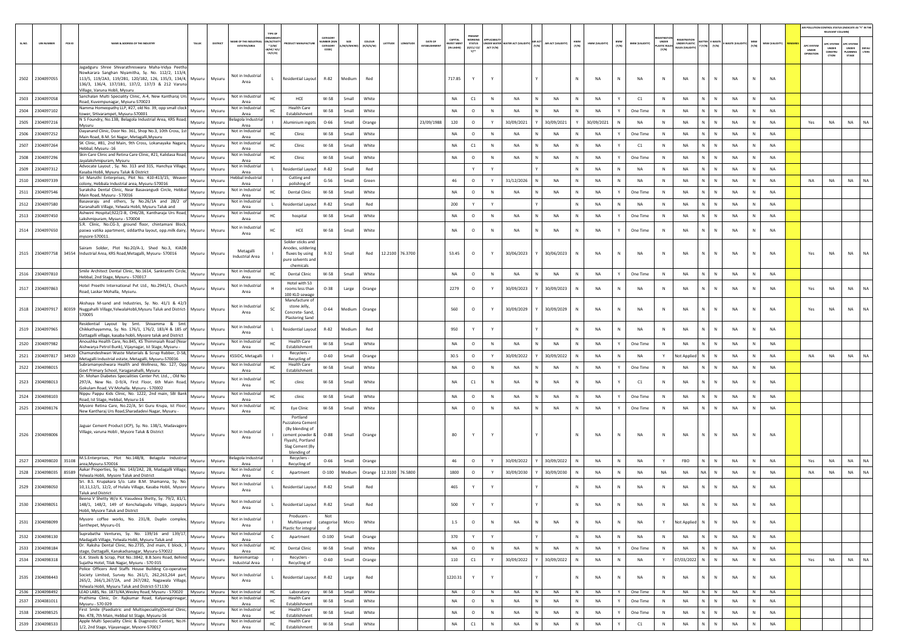|        |                             |                                                                                                                                                                                                                                                                     |         |                                             |                                                         |                                                                                                                         |                                          |                    |                            |         |                        |                         |                                         |                                             |              |                                 |                    |              |                |                                      |   |                                     |                                      |                                       |             |              |                       |                                  | RELEVANT COLUMN)                                      | AIR POLLUTION CONTROL STATUS (INDICATE AS "Y" IN THI             |
|--------|-----------------------------|---------------------------------------------------------------------------------------------------------------------------------------------------------------------------------------------------------------------------------------------------------------------|---------|---------------------------------------------|---------------------------------------------------------|-------------------------------------------------------------------------------------------------------------------------|------------------------------------------|--------------------|----------------------------|---------|------------------------|-------------------------|-----------------------------------------|---------------------------------------------|--------------|---------------------------------|--------------------|--------------|----------------|--------------------------------------|---|-------------------------------------|--------------------------------------|---------------------------------------|-------------|--------------|-----------------------|----------------------------------|-------------------------------------------------------|------------------------------------------------------------------|
| SL.NO. | PCB ID<br><b>UIN NUMBER</b> | <b>JAME &amp; ADDRESS OF THE INDUSTR'</b><br>TALUR                                                                                                                                                                                                                  | DISTRIC | AME OF THE INDUSTR<br><b>ESTATES/AREA</b>   | <b>N/ACTIV</b><br>* (I/M/<br><b>B/HC/ H/L</b><br>CE/C/O |                                                                                                                         | CATEGOR<br>MBER (XC<br>CATEGORY<br>CODE) | SIZE<br>'M/S/MICRO | <b>COLOUR</b><br>(R/O/G/W) | LATITUD |                        | DATE OF<br>ESTABLISHMEN | CAPITAL<br><b>EST MENT</b><br>IN LAKHS] | NORKING<br><b>STATUS</b><br>(0/C1/C2/<br>Y1 | ACT (Y/N)    | NDER WATER WATER ACT (VALIDITY) | AIR ACT (VALIDITY) | HWM<br>(Y/N) | HWM (VALIDITY) | BMW<br>(Y/N)<br><b>BMW (VALIDITY</b> |   | UNDER<br><b>ASTIC RULE</b><br>(Y/N) | <b>INDER PLASTIC</b><br>ULES (VALIDI | <b>ITTER E-WASTI</b><br>Y (Y/N) (Y/N) | -WASTE (VAL | MSW<br>(Y/N) | <b>MSW (VALIDITY)</b> | APC SYSTEM<br>UNDER<br>OPERATION | <b>IPC SYSTEM</b><br><b>UNDER</b><br>CONSTRU<br>CTION | <b>UPC SYSTEM</b><br>UNDER<br>DEFAU<br>LTERS<br>LANNING<br>STAGE |
|        | 2502 2304097055             | Jagadguru Shree Shivarathreswara Maha-Vidya Peetha<br>Nowkarara Sanghan Niyamitha, Sy. No. 112/2, 113/4,<br>113/5, 119/2A3, 119/2B1, 120/1B2, 126, 135/3, 134/4, Mysuru Mysuru<br>136/3, 136/4, 137/1B1, 137/2, 137/3 & 212 Varuna<br>Village, Varuna Hobli, Mysuru |         | Not in Industrial<br>Area                   | $\mathbf{L}$                                            | Residential Layout                                                                                                      | $R-82$                                   | Medium             | Red                        |         |                        |                         | 717.85                                  | Y                                           | Y            |                                 |                    |              | NA             | <b>NA</b><br>N                       |   | N                                   | <b>NA</b>                            | N.<br>$\mathbb{N}$                    | NA          | N            | <b>NA</b>             |                                  |                                                       |                                                                  |
|        | 2503 2304097058             | Sanchalan Multi Speciality Clinic, A-4, New Kantharaj Urs<br>Mysuru<br>Road, Kuvempunagar, Mysuru-570023                                                                                                                                                            | Mysuru  | <b>Not in Industrial</b><br>Area            | HC                                                      | HCE                                                                                                                     | W-58                                     | Small              | White                      |         |                        |                         | NA                                      | C1                                          | $\mathbb N$  | NA                              | <b>NA</b>          |              | NA             | Υ<br>C1                              | N |                                     | NA                                   | N<br>N                                | NA          | N            | NA                    |                                  |                                                       |                                                                  |
|        | 2504 2304097102             | Namma Homeopathy LLP, #27, old No. 39, opp small clock<br>Mysuru<br>tower, SHivarampet, Mysuru-570001                                                                                                                                                               | Mysuru  | Not in Industria<br>Area                    | HC                                                      | <b>Health Care</b><br>Establishment                                                                                     | W-58                                     | Small              | White                      |         |                        |                         | NA                                      | $\circ$                                     | $\mathbb{N}$ | <b>NA</b>                       | NA                 |              | NA             | Y<br>One Time                        | N |                                     | <b>NA</b>                            | N<br>N                                | NA          | N            | NA                    |                                  |                                                       |                                                                  |
|        | 2505 2304097216             | N S Foundry, No.13B, Belagola Industrial Area, KRS Road,<br>Mysuru<br>Mysuru                                                                                                                                                                                        | Mysuru  | elagola Industria<br>Area                   |                                                         | <b>Numinium ingots</b>                                                                                                  | $O - 66$                                 | Small              | Orange                     |         |                        | 23/09/1988              | 120                                     | $\circ$                                     | Y            | 30/09/2021                      | 30/09/2021         |              | 30/09/2021     | N<br><b>NA</b>                       | N |                                     | <b>NA</b>                            | N.<br>N                               | NA          | N            | <b>NA</b>             | Yes                              | NA                                                    | <b>NA</b><br><b>NA</b>                                           |
|        | 2506 2304097252             | Dayanand Clinic, Door No. 361, Shop No.3, 10th Cross, 1st<br>Mysuru                                                                                                                                                                                                 | Mysuru  | Not in Industrial                           | HC.                                                     | Clinic                                                                                                                  | W-58                                     | Small              | White                      |         |                        |                         | NA                                      | $\circ$                                     | $\mathbb N$  | NA                              | NA                 |              | NA             | One Time                             | N |                                     | NA                                   | N<br>N                                | NA          | $\mathbf N$  | <b>NA</b>             |                                  |                                                       |                                                                  |
|        | 2507 2304097264             | Main Road, B.M. Sri Nagar, Metagalli, Mysuru<br>SK Clinic, #81, 2nd Main, 9th Cross, Lokanayaka Nagara,<br>Mysuru                                                                                                                                                   | Mysuri  | Area<br>Not in Industrial                   | HC.                                                     | Clinic                                                                                                                  | W-58                                     | Small              | White                      |         |                        |                         | NA                                      | C1                                          | $\mathbb N$  | NA                              | NA                 | N            | NA             | Y<br>C1                              |   | N                                   | NA                                   | N<br>N                                | NA          | N            | NA                    |                                  |                                                       |                                                                  |
|        | 2508 2304097296             | Hebbal, Mysuru -16<br>Skin Care Clinic and Retina Care Clinic, #21, Kalidasa Road,<br>Mysuru                                                                                                                                                                        | Mysuru  | Area<br>Not in Industrial                   |                                                         | Clinic                                                                                                                  | W-58                                     | Small              | White                      |         |                        |                         | NA                                      | $\circ$                                     | N            | NA                              | NA                 |              | NA             | One Time                             | N |                                     | NA                                   | N.<br>${\sf N}$                       | NA          | N            | NA                    |                                  |                                                       |                                                                  |
|        | 2509 2304097312             | ayalakshmipuram, Mysuru<br>Advocate Layout, Sy. No. 313 and 315, Hanchya Village,<br>Mysuru                                                                                                                                                                         | Mysuru  | Area<br>Not in Industrial                   |                                                         | Residential Layou                                                                                                       | R-82                                     | Small              | Red                        |         |                        |                         |                                         | Y                                           | Y            |                                 |                    |              | <b>NA</b>      | ${\sf N}$<br><b>NA</b>               | N |                                     | <b>NA</b>                            | N<br>N                                | <b>NA</b>   | $\mathbb N$  | NA                    |                                  |                                                       |                                                                  |
|        |                             | Kasaba Hobli, Mysuru Taluk & District<br>Sri Maruthi Enterprises, Plot No. 410-413/15, Weaver                                                                                                                                                                       |         | Area<br>lebbal Industria                    |                                                         | Cutting and                                                                                                             |                                          |                    |                            |         |                        |                         |                                         |                                             |              |                                 |                    |              |                |                                      |   |                                     |                                      |                                       |             |              |                       |                                  |                                                       |                                                                  |
|        | 2510 2304097339             | Mysuru<br>colony, Hebbala Industrial area, Mysuru-570016<br>Suraksha Dental Clinic, Near Basavangudi Circle, Hebbal                                                                                                                                                 | Mysuru  | Area<br>Not in Industrial                   |                                                         | polishing of                                                                                                            | $G-56$                                   | Small              | Green                      |         |                        |                         | 46                                      | $\circ$                                     | Y            | 31/12/2026                      | <b>NA</b>          |              | <b>NA</b>      | N<br>NA                              | N |                                     | <b>NA</b>                            | N<br>$\mathbb N$                      | NA          | N            | NA                    | NA                               | NA                                                    | <b>NA</b><br>NA                                                  |
|        | 2511 2304097546             | Mysuru<br>Main Road, Mysuru - 570016                                                                                                                                                                                                                                | Mysuru  | Area                                        | HC.                                                     | <b>Dental Clinic</b>                                                                                                    | W-58                                     | Small              | White                      |         |                        |                         | NA                                      | $\circ$                                     | N            | NA                              | NA                 |              | NA             | Y<br>One Time                        |   | N                                   | <b>NA</b>                            | N<br>N                                | NA          | $\mathbf N$  | NA                    |                                  |                                                       |                                                                  |
|        | 2512 2304097580             | Basavaraju and others, Sy No.26/1A and 28/2 o<br>Mysuru<br>Karanahalli Village, Yelwala Hobli, Mysuru Taluk and                                                                                                                                                     | Mysuri  | Not in Industrial<br>Area                   |                                                         | esidential Layout                                                                                                       | R-82                                     | Small              | Red                        |         |                        |                         | 200                                     | Y                                           | Y            |                                 |                    |              | NA             | N<br>NA                              |   | N                                   | NA                                   | N.<br>$\mathbb N$                     | NA          | N            | NA                    |                                  |                                                       |                                                                  |
|        | 2513 2304097450             | Ashwini Hospital,922/2-B, CH6/2B, Kantharaja Urs Road,<br>Mysuru<br>Lakshmipuram, Mysuru - 570004                                                                                                                                                                   | Mysuri  | Not in Industrial<br>Area                   | HC                                                      | hospital                                                                                                                | W-58                                     | Small              | White                      |         |                        |                         | NA                                      | $\circ$                                     | $\mathsf{N}$ | NA                              | NA                 |              | NA             | One Time                             | N |                                     | NA                                   | N<br>${\sf N}$                        | NA          | N            | NA                    |                                  |                                                       |                                                                  |
|        | 2514 2304097650             | S.R. Clinic, No.CG-3, ground floor, chintamani Block,<br>paswa vatika apartment, siddartha layout, opp.milk dairy, Mysuru<br>mysore-570011                                                                                                                          | Mysuru  | Not in Industrial<br>Area                   |                                                         | HCE                                                                                                                     | W-58                                     | Small              | White                      |         |                        |                         | NA                                      | $\circ$                                     | N            | <b>NA</b>                       | NA                 |              | NA             | One Time                             |   | $\,$ N                              | <b>NA</b>                            | N                                     | <b>NA</b>   | $\mathbb N$  | NA                    |                                  |                                                       |                                                                  |
|        |                             | Sairam Solder, Plot No.20/A-1, Shed No.3, KIADE<br>2515 2304097758 34554 Industrial Area, KRS Road, Metagalli, Mysuru- 570016<br>Mysuru                                                                                                                             | Mysuru  | Metagalli<br>Industrial Area                |                                                         | Solder sticks and<br>nodes, soldering<br>fluxes by using<br>pure solvents and<br>chemicals                              | $R-32$                                   | Small              | Red                        |         | 12.2100 76.3700        |                         | 53.45                                   | $\circ$                                     | Y            | 30/06/2023                      | 30/06/2023         |              | NA             | N<br><b>NA</b>                       |   | N                                   | <b>NA</b>                            | N.<br>$\mathbb{N}$                    | NA          | N            | NA                    | Yes                              | <b>NA</b>                                             | <b>NA</b><br>NA                                                  |
|        | 2516 2304097810             | Smile Architect Dental Clinic, No.1614, Sankranthi Circle,<br>Mysuru                                                                                                                                                                                                | Mysuru  | <b>Not in Industrial</b>                    | нc                                                      | <b>Dental Clinic</b>                                                                                                    | W-58                                     | Small              | White                      |         |                        |                         | NA                                      | $\circ$                                     | $\mathbb N$  | NA                              | NA                 |              | NA             | Y<br>One Time                        |   | N                                   | <b>NA</b>                            | N<br>N                                | NA          | N            | NA                    |                                  |                                                       |                                                                  |
|        | 2517 2304097863             | Hebbal, 2nd Stage, Mysuru - 570017<br>Hotel Preethi International Pvt Ltd., No.2941/1, Church<br>Mysuru<br>Road, Laskar Mohalla, Mysuru.                                                                                                                            | Mysuru  | Area<br>Not in Industrial<br>Area           |                                                         | Hotel with 53<br>rooms less than                                                                                        | $O-38$                                   | Large              | Orange                     |         |                        |                         | 2279                                    | $\circ$                                     | Y            | 30/09/2023                      | 30/09/2023         |              | NA             | N<br><b>NA</b>                       |   | N                                   | <b>NA</b>                            | N<br>N                                | <b>NA</b>   | $\mathbb N$  | NA                    | Yes                              | <b>NA</b>                                             | <b>NA</b><br><b>NA</b>                                           |
|        |                             | Akshaya M-sand and Industries, Sy. No. 41/1 & 42/3<br>2518 2304097917 80359 Nuggahalli Village, YelwalaHobli, Mysuru Taluk and District-Mysuru<br>570005                                                                                                            | Mysuru  | <b>Not in Industrial</b><br>Area            |                                                         | 100 KLD sewage<br>Manufacture of<br>stone Jelly,<br>Concrete-Sand.<br><b>Plastering Sand</b>                            | $O - 64$                                 | Medium             | Orange                     |         |                        |                         | 560                                     | $\circ$                                     | Y            | 30/09/2029                      | 30/09/2029         |              | NA             | N<br>NA                              |   | N                                   | NA                                   | N                                     | NA          | N            | NA                    | Yes                              | <b>NA</b>                                             | <b>NA</b><br>NA                                                  |
|        | 2519 2304097965             | Residential Layout by Smt. Shivamma & Smt.<br>Chikkathayamma, Sy. No. 176/1, 176/2, 183/4 & 185 of Mysuru                                                                                                                                                           | Mysuru  | Not in Industrial                           |                                                         | Residential Layout                                                                                                      | R-82                                     | Medium             | Red                        |         |                        |                         | 950                                     |                                             | Y            |                                 |                    |              | NA             | N<br><b>NA</b>                       |   | $\,$ N                              | <b>NA</b>                            | N                                     | NA          |              | NA                    |                                  |                                                       |                                                                  |
|        |                             | Dattagalli village, kasaba hobli, Mysore taluk and District                                                                                                                                                                                                         |         | Area                                        |                                                         |                                                                                                                         |                                          |                    |                            |         |                        |                         |                                         |                                             |              |                                 |                    |              |                |                                      |   |                                     |                                      |                                       |             |              |                       |                                  |                                                       |                                                                  |
|        | 2520 2304097982             | Anoushka Health Care, No.845, KS Thimmaiah Road (Near<br>Mysuru<br>Aishwarya Petrol Bunk), Vijaynagar, Ist Stage, Mysuru -                                                                                                                                          | Mysuru  | Not in Industrial<br>Area                   |                                                         | <b>Health Care</b><br>Establishment                                                                                     | W-58                                     | Small              | White                      |         |                        |                         | NA                                      | $\circ$                                     | $\mathbb{N}$ | <b>NA</b>                       | NA                 |              | NA             | Y<br>One Time                        | N |                                     | <b>NA</b>                            | N<br>N                                | NA          | $\mathbb N$  | NA                    |                                  |                                                       |                                                                  |
|        | 2521 2304097817 34920       | Chamundeshwari Waste Materials & Scrap Rubber, D-58,<br>Mysuru<br>Metagalli Industrial estate, Metagalli, Mysuru-570016                                                                                                                                             | Mysuru  | KSSIDC, Metagalli                           |                                                         | Recyclers -<br>Recycling of                                                                                             | $O - 60$                                 | Small              | Orange                     |         |                        |                         | 30.5                                    | $\circ$                                     | Y            | 30/09/2022                      | 30/09/2022         |              | <b>NA</b>      | N<br>NA                              |   | Y                                   | Not Applied                          | $\mathbb{N}$ :<br>N                   | NA          | N            | <b>NA</b>             | NA                               | NA                                                    | NA<br>NA                                                         |
|        | 2522 2304098015             | Subramanyeshwara Health and Wellness, No. 127, Opp<br>Mysuru<br>Govt Primary School, Yaraganahalli, Mysuru                                                                                                                                                          | Mysuru  | <b>Not in Industrial</b><br>Area            | HC                                                      | <b>Health Care</b><br>Establishment                                                                                     | W-58                                     | Small              | White                      |         |                        |                         | NA                                      | $\circ$                                     | N            | NA                              | NA                 |              | NA             | Y<br>One Time                        |   | N                                   | <b>NA</b>                            | N<br>N                                | NA          | $\mathbf N$  | NA                    |                                  |                                                       |                                                                  |
|        | 2523 2304098013             | Dr. Mohan Diabetes Specialities Center Pvt. Ltd., , Old No.<br>297/A, New No. D-9/A, First Floor, 6th Main Road,<br>Mysuru<br>Gokulam Road, VV Mohalla. Mysuru - 570002                                                                                             | Mysuru  | Not in Industria<br>Area                    | HC.                                                     | clinic                                                                                                                  | W-58                                     | Small              | White                      |         |                        |                         | NA                                      | C1                                          | N            | <b>NA</b>                       | <b>NA</b>          | N            | NA             | C1                                   |   | N                                   | <b>NA</b>                            | N<br>N                                | <b>NA</b>   | N            | <b>NA</b>             |                                  |                                                       |                                                                  |
|        | 2524 2304098103             | lippu Pappu Kids Clinic, No. 1222, 2nd main, SBI Bank<br>Mysuru<br>Road, Ist Stage, Hebbal, Mysuru-16                                                                                                                                                               | Mysuru  | Not in Industria<br>Area                    | HC                                                      | clinic                                                                                                                  | W-58                                     | Small              | White                      |         |                        |                         | NA                                      | $\circ$                                     | $\mathbb N$  | NA                              | NA                 |              | NA             | One Time                             | N |                                     | NA                                   | N.<br>N                               | <b>NA</b>   | $\mathbf N$  | NA                    |                                  |                                                       |                                                                  |
|        | 2525 2304098176             | Mysore Retina Care, No.22/A, Sri Guru Krupa, Ist Floor,<br>Mysuru<br>New Kantharaj Urs Road, Sharadadevi Nagar, Mysuru -                                                                                                                                            | Mysuru  | Not in Industrial<br>Area                   | HC                                                      | Eye Clinic                                                                                                              | W-58                                     | Small              | White                      |         |                        |                         | NA                                      | $\circ$                                     | $\,$ N       | NA                              | NA                 | N            | NA             | One Time                             |   | N                                   | <b>NA</b>                            | N<br>$\,$ N                           | NA          | N            | NA                    |                                  |                                                       |                                                                  |
|        | 2526 2304098006             | Jaguar Cement Product (JCP), Sy. No. 138/1, Madavagere<br>Village, varuna Hobli, Mysore Taluk & District<br>Mysuru                                                                                                                                                  | Mysuru  | Not in Industrial<br>Area                   |                                                         | Portland<br>uzzalona Cemer<br>(By blending of<br>cement powder &<br>Flyash), Portland<br>Slag Cement (By<br>blending of | $O-88$                                   | Small              | Orange                     |         |                        |                         | 80                                      |                                             |              |                                 |                    |              | <b>NA</b>      | <b>NA</b><br>N                       |   | $\mathbb{N}$                        | <b>NA</b>                            | N<br>$\mathbb{N}$                     | NA          | $\mathbb N$  | <b>NA</b>             |                                  |                                                       |                                                                  |
|        | 2527 2304098020 35108       | M.S.Enterprises, Plot No.148/B, Belagola Industrial<br>Mysuru<br>area, Mysuru-570016                                                                                                                                                                                | Mysuru  | selagola Industria<br>Area                  |                                                         | Recyclers -<br>Recycling of                                                                                             | $O - 66$                                 | Small              | Orange                     |         |                        |                         | 46                                      | $\circ$                                     | Y            | 30/09/2022                      | 30/09/2022         |              | NA             | N<br>NA                              | Y |                                     | FBO                                  | N<br>N                                | NA          | N            | <b>NA</b>             | Yes                              | <b>NA</b>                                             | <b>NA</b><br>NA                                                  |
|        | 2528 2304098035 85589       | Aakar Properties, Sy. No. 143/2A2, 2B, Madagalli Village,<br>Mysuru                                                                                                                                                                                                 | Mysuru  | Not in Industrial                           |                                                         | Apartment                                                                                                               | $O-100$                                  | Medium             |                            |         | Orange 12.3100 76.5800 |                         | 1800                                    | $\circ$                                     | Y            | 30/09/2030                      | 30/09/2030         |              | NA             | NA<br>N                              |   | NA                                  | <b>NA</b>                            | NA N                                  | NA          | N            | <b>NA</b>             | NA                               | NA                                                    | NA<br>NA                                                         |
|        | 2529 2304098050             | Yelwala Hobli, Mysore Taluk and District<br>Sri. B.S. Krupakara S/o. Late B.M. Shamanna, Sy. No.<br>10,11,12/1, 12/2, of Hulalu Village, Kasaba Hobli, Mysore<br>Mysuru                                                                                             | Mysuru  | Area<br><b>Not in Industrial</b><br>Area    |                                                         | <b>Residential Layout</b>                                                                                               | R-82                                     | Small              | Red                        |         |                        |                         | 465                                     | Y                                           | Y            |                                 |                    |              | NA             | N<br><b>NA</b>                       |   | N                                   | NA                                   | $\mathsf{N}$                          | <b>NA</b>   | $\mathsf{N}$ | NA                    |                                  |                                                       |                                                                  |
|        | 2530 2304098051             | <b>Taluk and District</b><br>Beena V Shetty W/o K. Vasudeva Shetty, Sy. 79/2, 81/1,<br>148/1, 148/2, 149 of Kenchalagudu Village, Jayapura<br>Mysuru                                                                                                                | Mysuru  | Not in Industrial<br>Area                   |                                                         | <b>Residential Layout</b>                                                                                               | R-82                                     | Small              | Red                        |         |                        |                         | 500                                     |                                             |              |                                 |                    |              | <b>NA</b>      | <b>NA</b>                            |   |                                     | <b>NA</b>                            |                                       | <b>NA</b>   |              | <b>NA</b>             |                                  |                                                       |                                                                  |
|        | 2531 2304098099             | Hobli, Mysore Taluk and District<br>Mysore coffee works, No. 231/B, Duplin complex,<br>Mysuru<br>Santhepet, Mysuru-01                                                                                                                                               | Mysuru  | Not in Industrial<br>Area                   |                                                         | Producers -<br>Multilayered                                                                                             | Not<br>categorise                        | Micro              | White                      |         |                        |                         | $1.5\,$                                 | $\circ$                                     | N            | <b>NA</b>                       | NA                 |              | <b>NA</b>      | N<br><b>NA</b>                       |   | Y                                   | Not Applied                          | N<br>$\mathsf{N}$                     | <b>NA</b>   | $\mathbb N$  | <b>NA</b>             |                                  |                                                       |                                                                  |
|        | 2532 2304098130             | Suprabatha Ventures, Sy. No. 139/16 and 139/17,<br>Mysuru                                                                                                                                                                                                           | Mysuru  | Not in Industrial                           |                                                         | Plastic for integral<br>Apartment                                                                                       | $\mathbf d$<br>$O-100$                   | Small              | Orange                     |         |                        |                         | 370                                     | Y                                           | Y            |                                 |                    |              | NA             | ${\sf N}$<br>NA                      |   | $\,$ N                              | NA                                   | N<br>$\mathsf{N}$                     | NA          | $\mathbb N$  | NA                    |                                  |                                                       |                                                                  |
|        | 2533 2304098184             | Madagalli Village, Yelwala Hobli, Mysuru Taluk and<br>Dr. Raksha Dental Clinic, No.2735, 2nd main, E block, 3<br>Mysuru                                                                                                                                             | Mysuru  | Area<br>Not in Industrial                   |                                                         | <b>Dental Clinic</b>                                                                                                    | W-58                                     | Small              | White                      |         |                        |                         | NA                                      | $\circ$                                     | N            | <b>NA</b>                       | <b>NA</b>          |              | NA             | Y<br>One Time                        |   | N                                   | NA                                   | N<br>N                                | NA          | N            | NA                    |                                  |                                                       |                                                                  |
|        | 2534 2304098318             | stage, Dattagalli, Kanakadsanagar, Mysuru-570022<br>G.K. Steels & Scrap, Plot No.:3842, B.B.Sons Road, Behind                                                                                                                                                       |         | Area<br>Bannimantap                         |                                                         | Recyclers -                                                                                                             |                                          |                    |                            |         |                        |                         |                                         |                                             |              |                                 |                    |              |                |                                      |   |                                     |                                      |                                       |             |              |                       |                                  |                                                       |                                                                  |
|        |                             | Mysuru<br>Sujatha Hotel, Tilak Nagar, Mysuru - 570 015<br>Police Officers And Staffs House Building Co-operative<br>Society Limited, Survey No. 261/1, 262,263,264 part,                                                                                            | Mysuru  | <b>Industrial Area</b><br>Not in Industrial |                                                         | Recycling of                                                                                                            | $O - 60$                                 | Small              | Orange                     |         |                        |                         | 110                                     | C1                                          | Y            | 30/09/2022                      | 30/09/2022         |              | <b>NA</b>      | ${\sf N}$<br><b>NA</b>               |   | Y                                   | 07/03/2022                           | N<br>N                                | NA          | N            | <b>NA</b>             | Yes                              | NA                                                    | NA<br><b>NA</b>                                                  |
|        | 2535 2304098443             | Mysuru<br>265/2, 266/1,267/2A, and 267/2B2, Nagawala Village,<br>Yelwala Hobli, Mysuru Taluk and District-571130                                                                                                                                                    | Mysuru  | Area                                        |                                                         | Residential Layout                                                                                                      | R-82                                     | Large              | Red                        |         |                        |                         | 1220.31                                 | Y                                           | Y            |                                 |                    |              | <b>NA</b>      | N<br><b>NA</b>                       |   | N                                   | NA                                   | N<br>$\mathsf{N}$                     | <b>NA</b>   | $\mathbb N$  | <b>NA</b>             |                                  |                                                       |                                                                  |
|        | 2536 2304098492             | LEAD LABS, No. 1873/4A, Wesley Road, Mysuru - 570020 Mysuru   Mysuru<br>Prathima Clinic, Dr. Rajkumar Road, Kalyanagirinagar,                                                                                                                                       |         | Not in Industrial<br>Not in Industrial      | <b>HC</b>                                               | Laboratory<br><b>Health Care</b>                                                                                        | W-58                                     | Small              | White                      |         |                        |                         | NA                                      | $\circ$                                     | N            | <b>NA</b><br>N                  | <b>NA</b>          | <b>N</b>     | <b>NA</b>      | One Time<br>Y                        |   | N                                   | <b>NA</b>                            | N N                                   | <b>NA</b>   | N            | <b>NA</b>             |                                  |                                                       |                                                                  |
|        | 2537 2304081011             | Mysuru<br>Mysuru - 570 029<br>First Smile (Paediatric and Multispeciality)Dental Clinic,                                                                                                                                                                            | Mysuru  | Area<br>Not in Industrial                   | HC                                                      | Establishment<br><b>Health Care</b>                                                                                     | W-58                                     | Small              | White                      |         |                        |                         | NA                                      | $\circ$                                     | N            | <b>NA</b>                       | <b>NA</b>          |              | <b>NA</b>      | $\mathbf{Y}$<br>One Time             |   | N                                   | NA                                   | N.<br>N                               | NA          | N            | <b>NA</b>             |                                  |                                                       |                                                                  |
|        | 2538 2304098525             | Mysuru<br>No. 478, 7th Main, Hebbal Ist Stage, Mysuru-16                                                                                                                                                                                                            | Mysuru  | Area                                        | HC                                                      | Establishment                                                                                                           | W-58                                     | Small              | White                      |         |                        |                         | NA                                      | $\circ$                                     | N            | NA<br>N                         | NA                 | N            | NA             | Y<br>One Time                        |   | N                                   | NA                                   | N<br>N                                | NA          | N            | NA                    |                                  |                                                       |                                                                  |
|        | 2539 2304098533             | Apple Multi Speciality Clinic & Diagnostic Center), No.H-<br>Mysuru<br>1/2, 2nd Stage, Vijayanagar, Mysore-570017                                                                                                                                                   | Mysuru  | Not in Industrial<br>Area                   | нc                                                      | <b>Health Care</b><br>Establishment                                                                                     | W-58                                     | Small              | White                      |         |                        |                         | NA                                      | C1                                          | N            | NA                              | NA                 |              | NA             | C1                                   |   | $\,$ N                              | NA                                   | N                                     | NA          | $\mathbb N$  | NA                    |                                  |                                                       |                                                                  |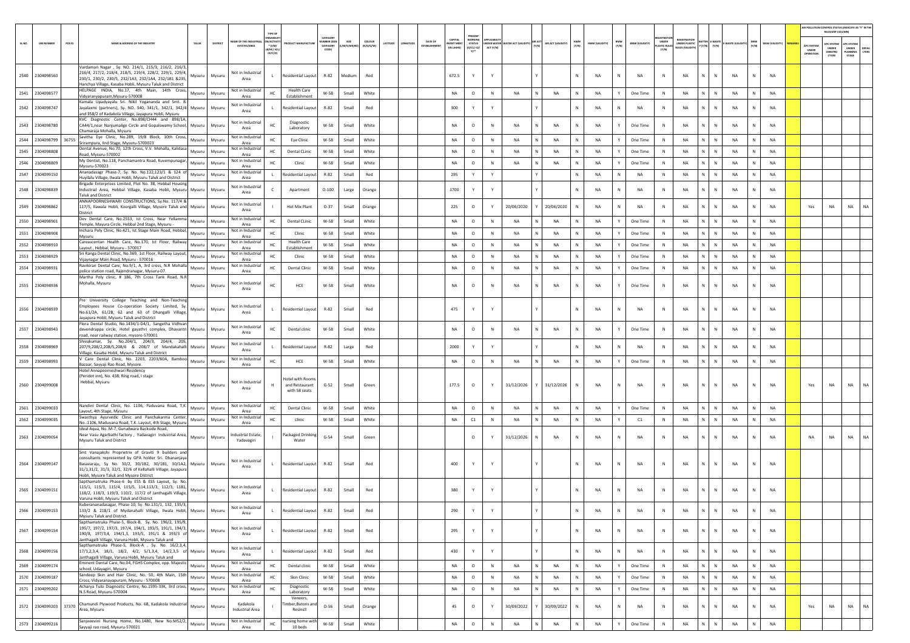|        |                   |        |                                                                                                                                                                                                                                                                                                                                |               |          |                                                   |                                                            |                                                    |                                  |                    |                     |          |           |         |                             |                                                       |             |                                          |   |                    |              |                |              |                       |                                   |                      |                             |                |              |                       | AIR POLLUTION CONTROL STATUS (INDICATE AS "Y" IN THE RELEVANT COLUMN) |                                             |                                                 |                |
|--------|-------------------|--------|--------------------------------------------------------------------------------------------------------------------------------------------------------------------------------------------------------------------------------------------------------------------------------------------------------------------------------|---------------|----------|---------------------------------------------------|------------------------------------------------------------|----------------------------------------------------|----------------------------------|--------------------|---------------------|----------|-----------|---------|-----------------------------|-------------------------------------------------------|-------------|------------------------------------------|---|--------------------|--------------|----------------|--------------|-----------------------|-----------------------------------|----------------------|-----------------------------|----------------|--------------|-----------------------|-----------------------------------------------------------------------|---------------------------------------------|-------------------------------------------------|----------------|
| SL.NO. | <b>UIN NUMBER</b> | PCB ID | NAME & ADDRESS OF THE INDUSTRY                                                                                                                                                                                                                                                                                                 | TALUK         | DISTRICT | <b>LAME OF THE INDUSTR</b><br><b>ESTATES/AREA</b> | TYPE O<br>N/ACTIV<br>$^\star$ (i/M/<br>8/HC/ H/L<br>CE/C/O | <b>OUCT MANUFACTURE</b>                            | CATFOOR<br>UMBER (XG<br>CATEGORY | SIZE<br>M/S/MICRO) | COLOUR<br>(R/O/G/W) | LATITUDE | LONGITUDE | DATE OF | CAPITAL<br><b>VEST MENT</b> | PRESENT<br>WORKING<br><b>STATUS</b><br>(0/01/02/<br>Y | ACT (Y/N)   | UNDER WATER WATER ACT (VALIDITY) AIR ACT |   | AIR ACT (VALIDITY) | HWM<br>(Y/N) | HWM (VALIDITY) | BMW<br>(Y/N) | <b>BMW (VALIDITY)</b> | UNDER<br><b>STIC RUL</b><br>(Y/N) | <b>UNDER PLASTIC</b> | ATTER E-WASTE<br>(Y/N)      | E-WASTE (VALIE | MSW<br>(Y/N) | <b>MSW (VALIDITY)</b> | APC SYSTEM<br>UNDER<br>PERATIO                                        | <b>C SYSTE</b><br>UNDER<br>CONSTRU<br>crion | <b>UPC SYSTEM</b><br>UNDER<br>PLANNING<br>STAGE | DEFAL<br>LTERS |
|        | 2540 2304098560   |        | Vardaman Nagar , Sy. NO. 214/1, 215/3, 216/2, 216/3,<br>216/4, 217/2, 218/4, 218/5, 219/4, 228/2, 229/1, 229/4,<br>230/1, 230/2, 230/5, 232/1A3, 232/1A4, 232/1B1 &235,<br>Hanchya Village, Kasaba Hobli, Mysuru Taluk and District                                                                                            | Mysuru Mysuru |          | Not in Industrial<br>Area                         | $\mathbf{L}$                                               | Residential Layout                                 | $R - 82$                         | Medium             | Red                 |          |           |         | 672.5                       | Y                                                     | Y           |                                          |   |                    | $\mathbb{N}$ | <b>NA</b>      | N            | <b>NA</b>             | N                                 | <b>NA</b>            | $\mathbb{N}$<br>$\mathbb N$ | <b>NA</b>      | N            | <b>NA</b>             |                                                                       |                                             |                                                 |                |
|        | 2541 2304098577   |        | HELPAGE INDIA, No.17, 4th Main, 14th Cross,<br>Vidyaranyapuram, Mysuru-570008                                                                                                                                                                                                                                                  | Mysuru        | Mysuru   | Not in Industrial<br>Area                         | HC                                                         | <b>Health Care</b><br>Establishment                | W-58                             | Small              | White               |          |           |         | NA                          | $\circ$                                               | $\,$ N      | <b>NA</b>                                |   | NA                 | $\mathbb N$  | <b>NA</b>      | Y            | One Time              | N                                 | NA                   | $\mathbb{N}$<br>N           | NA             | N            | <b>NA</b>             |                                                                       |                                             |                                                 |                |
|        | 2542 2304098747   |        | Kamala Upadyayalu Sri. Nikil Yogananda and Smt. B.<br>Jayalaxmi (partners), Sy. NO. 340, 341/1, 342/1, 342/4 Mysuru<br>and 358/2 of Kadakola Village, Jayapura Hobli, Mysuru                                                                                                                                                   |               | Mysuru   | Not in Industrial<br>Area                         |                                                            | Residential Layout                                 | R-82                             | Small              | Red                 |          |           |         | 300                         | Y                                                     |             |                                          |   |                    | $\mathbb N$  | <b>NA</b>      | N            | <b>NA</b>             | $\mathbb{N}$                      | <b>NA</b>            | N<br>N                      | <b>NA</b>      | N            | NA                    |                                                                       |                                             |                                                 |                |
|        | 2543 2304098780   |        | KVC Diagnostic Center, No.898/CH44 and 898/1A,<br>CA44/1, near Nanjumalige Circle and Gopalswamy School, Mysuru<br>Chamaraja Mohalla, Mysuru                                                                                                                                                                                   |               | Mysuru   | Not in Industrial<br>Area                         |                                                            | Diagnostic<br>Laboratory                           | W-58                             | Small              | White               |          |           |         | NA                          | $\circ$                                               | $\mathbb N$ | NA                                       |   | NA                 | ${\sf N}$    | <b>NA</b>      | Y            | One Time              | $\,$ N                            | NA                   | ${\sf N}$<br>N.             | <b>NA</b>      | $\mathsf{N}$ | <b>NA</b>             |                                                                       |                                             |                                                 |                |
|        | 2544 2304098799   | 36755  | Savitha Eye Clinic, No.289, 19/8 Block, 10th Cross, Mysuru Mysuru<br>Srirampura, IInd Stage, Mysuru-5700023                                                                                                                                                                                                                    |               |          | Not in Industrial<br>Area                         | HC                                                         | Eye Clinic                                         | W-58                             | Small              | White               |          |           |         | NA                          | $\circ$                                               | N           | NA                                       |   | NA                 | N            | <b>NA</b>      | Y            | One Time              | N                                 | NA                   | N<br>N                      | NA             | N            | <b>NA</b>             |                                                                       |                                             |                                                 |                |
|        | 2545 2304098808   |        | Dental Avenue, No.70, 12th Cross, V.V. Mohalla, Kalidasa<br>Road, Mysuru-570002                                                                                                                                                                                                                                                | Mysuru        | Mysuru   | Not in Industrial<br>Area                         | HC                                                         | <b>Dental CLinic</b>                               | W-58                             | Small              | White               |          |           |         | NA                          | $\circ$                                               | N           | <b>NA</b>                                |   | <b>NA</b>          | N            | <b>NA</b>      | Y            | One Time              | $\mathbb N$                       | <b>NA</b>            | N                           | NA             | N            | <b>NA</b>             |                                                                       |                                             |                                                 |                |
| 2546   | 2304098809        |        | My Dentist, No.118, Panchamantra Road, Kuvempunagar,<br>Mysuru-570023                                                                                                                                                                                                                                                          | Mysuru        | Mysuru   | Not in Industrial<br>Area                         | HC.                                                        | Clinic                                             | W-58                             | Small              | White               |          |           |         | <b>NA</b>                   | $\circ$                                               | N           | <b>NA</b>                                |   | <b>NA</b>          | $\mathbb{N}$ | <b>NA</b>      | Y            | One Time              | N                                 | <b>NA</b>            | N.<br>$\mathbb{N}$          | <b>NA</b>      | $\mathbb N$  | NA                    |                                                                       |                                             |                                                 |                |
| 2547   | 2304099150        |        | Ananadasagr Phase-7, Sy. No. No.122,123/1 & 124 of<br>Huyilalu Village, Ilwala Hobli, Mysuru Taluk and District                                                                                                                                                                                                                | Mysuru        | Mysuru   | Not in Industrial<br>Area                         |                                                            | Residential Layout                                 | $R-82$                           | Small              | Red                 |          |           |         | 295                         | Y                                                     | Y           |                                          |   |                    | N            | <b>NA</b>      | N            | NA                    | N                                 | NA                   | N<br>N                      | <b>NA</b>      | N            | <b>NA</b>             |                                                                       |                                             |                                                 |                |
|        | 2548 2304098839   |        | Brigade Enterprises Limited, Plot No. 38, Hebbal Housing<br>Industrial Area, Hebbal Village, Kasaba Hobli, Mysuru Mysuru<br><b>Taluk and District</b>                                                                                                                                                                          |               | Mysuru   | Not in Industrial<br>Area                         |                                                            | Apartment                                          | $O-100$                          | Large              | Orange              |          |           |         | 1700                        | Y                                                     | Y           |                                          |   |                    | N            | <b>NA</b>      | N            | NA                    | $\,$ N                            | NA                   | N.<br>${\sf N}$             | NA             | N            | <b>NA</b>             |                                                                       |                                             |                                                 |                |
|        | 2549 2304098862   |        | ANNAPOORNESHWARI CONSTRUCTIONS, Sy.No. 117/4 &<br>117/5, Ilawala Hobli, Koorgalli Village, Mysore Taluk and Mysuru   Mysuru<br>District                                                                                                                                                                                        |               |          | Not in Industrial<br>Area                         |                                                            | <b>Hot Mix Plant</b>                               | $O-37$                           | Small              | Orange              |          |           |         | 225                         | $\circ$                                               | Y           | 20/06/2020                               |   | 20/06/2020         | N            | <b>NA</b>      | N            | <b>NA</b>             | N                                 | <b>NA</b>            | $\mathbb{N}$<br>N           | <b>NA</b>      | N            | <b>NA</b>             | Yes                                                                   | NA                                          | <b>NA</b>                                       | NA             |
|        | 2550 2304098901   |        | Dev Dental Care, No.2553, Ist Cross, Near Yellamma<br>Temple, Mayura Circle, Hebbal 2nd Stage, Mysuru -                                                                                                                                                                                                                        | Mysuru        | Mysuru   | Not in Industrial<br>Area                         | HC.                                                        | <b>Dental CLinic</b>                               | W-58                             | Small              | White               |          |           |         | <b>NA</b>                   | $\circ$                                               | N           | NA                                       |   | <b>NA</b>          | N            | <b>NA</b>      | Y            | One Time              | N                                 | <b>NA</b>            | N.<br>$\,$ N                | <b>NA</b>      | $\mathbb N$  | NA                    |                                                                       |                                             |                                                 |                |
|        | 2551 2304098908   |        | Inchara Poly Clinic, No.421, Ist Stage Main Road, Hebbal,<br>Mysuru                                                                                                                                                                                                                                                            | Mysuru        | Mysuru   | Not in Industrial<br>Area                         | HC.                                                        | Clinic                                             | $W-58$                           | Small              | White               |          |           |         | <b>NA</b>                   | $\circ$                                               | N           | NA                                       |   | NA                 | $\mathbb{N}$ | <b>NA</b>      | Y            | One Time              | N                                 | NA                   | N<br>N                      | NA             | N            | <b>NA</b>             |                                                                       |                                             |                                                 |                |
| 2552   | 2304098910        |        | Careascentan Health Care, No.170, Ist Floor, Railway<br>Layout, Hebbal, Mysuru - 570017                                                                                                                                                                                                                                        | Mysuru        | Mysuru   | Not in Industrial<br>Area                         | HC                                                         | <b>Health Care</b><br>Establishment                | W-58                             | Small              | White               |          |           |         | <b>NA</b>                   | $\circ$                                               | N           | NA                                       |   | NA                 | N            | <b>NA</b>      | Y            | One Time              | N                                 | <b>NA</b>            | N<br>$\mathbb N$            | NA             | N            | NA                    |                                                                       |                                             |                                                 |                |
| 2553   | 2304098929        |        | Sri Ranga Dental Clinic, No.369, 1st Floor, Railway Layout,                                                                                                                                                                                                                                                                    | Mysuru        | Mysuru   | Not in Industrial                                 | HC.                                                        | Clinic                                             | W-58                             | Small              | White               |          |           |         | NA                          | $\circ$                                               | N           | NA                                       |   | NA                 | N            | <b>NA</b>      | Y            | One Time              | N                                 | NA                   | N<br>N                      | NA             | N            | <b>NA</b>             |                                                                       |                                             |                                                 |                |
| 2554   | 2304098931        |        | Vijaynagar Main Road, Mysuru - 570016<br>Ravikiran Dental Care, No.9/1, A, 3rd cross, N.R Mohalla                                                                                                                                                                                                                              | Mysuru        | Mysuru   | Area<br>Not in Industrial                         | HC                                                         | <b>Dental Clinic</b>                               | $W-58$                           | Small              | White               |          |           |         | NA                          | $\circ$                                               | N           | <b>NA</b>                                |   | <b>NA</b>          |              | <b>NA</b>      | Y            | One Time              | $\mathbb{N}$                      | <b>NA</b>            | N                           | <b>NA</b>      | N            | <b>NA</b>             |                                                                       |                                             |                                                 |                |
|        | 2555 2304098936   |        | police station road, Rajendranagar, Mysuru-07.<br>Martha Poly clinic, # 186, 7th Cross Tank Road, N.R.<br>Mohalla, Mysuru                                                                                                                                                                                                      | Mysuru        | Mysuru   | Area<br>Not in Industrial<br>Area                 | HC                                                         | HCE                                                | W-58                             | Small              | White               |          |           |         | NA                          | $\circ$                                               | N           | NA                                       |   | NA                 | $\,$ N       | <b>NA</b>      |              | One Time              | N                                 | NA                   | N<br>$\mathbb N$            | <b>NA</b>      | N            | <b>NA</b>             |                                                                       |                                             |                                                 |                |
|        | 2556 2304098939   |        | Pre University College Teaching and Non-Teaching<br>Employees House Co-operation Society Limited, Sy.<br>No.61/2A, 61/2B, 62 and 63 of Dhangalli Village,                                                                                                                                                                      | Mysuru        | Mysuru   | Not in Industrial<br>Area                         |                                                            | <b>Residential Layout</b>                          | $R - 82$                         | Small              | Red                 |          |           |         | 475                         | Y                                                     | Y           |                                          |   |                    | $\mathbb{N}$ | <b>NA</b>      | N            | <b>NA</b>             | $\mathbb{N}$                      | <b>NA</b>            | N<br>$\mathbb{N}$           | <b>NA</b>      |              | <b>NA</b>             |                                                                       |                                             |                                                 |                |
|        | 2557 2304098943   |        | Jayapura Hobli, Mysuru Taluk and District<br>Flora Dental Studio, No.1434/1-D4/1, Sangetha Vidhvan<br>devendrappa circle, Hotel gayathri complex, Dhavantri Mysuru                                                                                                                                                             |               | Mysuru   | Not in Industrial<br>Area                         | HC.                                                        | Dental clinic                                      | W-58                             | Small              | White               |          |           |         | NA                          | $\circ$                                               | $\mathbb N$ | <b>NA</b>                                |   | NA                 | $\mathbb N$  | <b>NA</b>      |              | One Time              | $\,$ N                            | NA                   | N.<br>$\mathbb N$           | <b>NA</b>      | $\mathsf{N}$ | <b>NA</b>             |                                                                       |                                             |                                                 |                |
|        | 2558 2304098969   |        | road, near railway station, mysore-570001<br>Shivakumar, Sy. No.204/1, 204/3, 204/4, 205,<br>207/9,208/2,208/5,208/6 & 208/7 of Mandakahalli Mysuru                                                                                                                                                                            |               | Mysuru   | Not in Industrial                                 |                                                            | <b>Residential Layout</b>                          | R-82                             | Large              | Red                 |          |           |         | 2000                        | Y                                                     | Y           |                                          |   |                    | ${\sf N}$    | NA             | N            | NA                    | N                                 | NA                   | $\mathbb N$<br>N            | NA             | N            | <b>NA</b>             |                                                                       |                                             |                                                 |                |
|        |                   |        | Village, Kasaba Hobli, Mysuru Taluk and District<br>Care Dental Clinic, No. 2203, 2203/60A, Bamboo                                                                                                                                                                                                                             |               |          | Area<br>Not in Industrial                         |                                                            |                                                    |                                  |                    |                     |          |           |         |                             |                                                       |             |                                          |   |                    |              |                |              |                       |                                   |                      |                             |                |              |                       |                                                                       |                                             |                                                 |                |
| 2559   | 2304098993        |        | Bazaar, Sayyaji Rao Road, Mysore.<br>Hotel Annapoorneshwari Residency                                                                                                                                                                                                                                                          | Mysuru        | Mysuru   | Area                                              | HC                                                         | HCE                                                | W-58                             | Small              | White               |          |           |         | NA                          | $\circ$                                               | ${\sf N}$   | NA                                       |   | NA                 | $\mathbb N$  | <b>NA</b>      | Y            | One Time              | $\,$ N                            | NA                   | N.<br>${\sf N}$             | <b>NA</b>      | N            | NA                    |                                                                       |                                             |                                                 |                |
|        | 2560 2304099008   |        | (Peridot inn), No. 438, Ring road, I stage<br>Hebbal, Mysuru                                                                                                                                                                                                                                                                   | Mysuru        | Mysuru   | Not in Industrial<br>Area                         |                                                            | lotel with Room<br>and Restaurant<br>with 58 seats | $G-52$                           | Small              | Green               |          |           |         | 177.5                       | $\circ$                                               | Y           | 31/12/2026                               |   | 31/12/2026         |              | <b>NA</b>      | N            | <b>NA</b>             | N                                 | <b>NA</b>            | $\mathbb{N}$                | <b>NA</b>      |              | <b>NA</b>             | Yes                                                                   | <b>NA</b>                                   | <b>NA</b>                                       | <b>NA</b>      |
|        | 2561 2304099033   |        | Nandini Dental Clinic, No. 1106, Paduvana Road, T,K.<br>Layout, 4th Stage, Mysuru                                                                                                                                                                                                                                              | Mysuru        | Mysuru   | Not in Industrial<br>Area                         | HC.                                                        | <b>Dental Clinic</b>                               | W-58                             | Small              | White               |          |           |         | NA                          | $\circ$                                               | $\,$ N      | <b>NA</b>                                |   | <b>NA</b>          | N            | NA             | Y            | One Time              | N                                 | <b>NA</b>            | N<br>$\mathbb N$            | <b>NA</b>      | N            | <b>NA</b>             |                                                                       |                                             |                                                 |                |
| 2562   | 2304099035        |        | Swasthya Ayurvedic Clinic and Panchakarma Center,<br>No.:1106, Maduvana Road, T.K. Layout, 4th Stage, Mysuru                                                                                                                                                                                                                   | Mysuru        | Mysuru   | Not in Industrial<br>Area                         | HC                                                         | clinic                                             | $W-58$                           | Small              | White               |          |           |         | NA                          | C1                                                    | N           | NA                                       |   | NA                 | $\mathbb N$  | <b>NA</b>      | Y            | C1                    | $\,$ N                            | NA                   | N<br>${\sf N}$              | <b>NA</b>      | N            | NA                    |                                                                       |                                             |                                                 |                |
|        | 2563 2304099054   |        | Ideal Aqua, No. M-7, Gurudwara Backside Road,<br>Near Vasu Agarbathi factory, Yadavagiri Industrial Area, Nysuru<br>Mysuru Taluk and District                                                                                                                                                                                  |               | Mysuru   | ndustrial Estate,<br>Yadavagiri                   |                                                            | Packaged Drinking<br>Water                         | $G-54$                           | Small              | Green               |          |           |         |                             | $\circ$                                               | Y           | 31/12/2026                               |   | <b>NA</b>          | N            | <b>NA</b>      | N            | <b>NA</b>             | N                                 | <b>NA</b>            | N<br>N                      | <b>NA</b>      | N            | <b>NA</b>             | <b>NA</b>                                                             | NA                                          | <b>NA</b>                                       | NA             |
|        | 2564 2304099147   |        | Smt Vanajakshi Proprietrix of Graviti 9 builders and<br>consultants represented by GPA holder Sri. Dhananjaya<br>Basavaraju, Sy No. 30/2, 30/1B2, 30/1B1, 30/1A2, Mysuru Mysuru<br>31/1,31/2, 31/3, 32/1, 32/6 of Kellahalli Village, Jayapura<br>Hobli, Mysore Taluk and Mysore District                                      |               |          | Not in Industrial<br>Area                         |                                                            | Residential Layout                                 | R-82                             | Small              | Red                 |          |           |         | 400                         | Y                                                     |             |                                          |   |                    | $\,$ N       | NA             | N            | NA                    | N                                 | NA                   | N<br>N                      | NA             | N            | <b>NA</b>             |                                                                       |                                             |                                                 |                |
|        | 2565 2304099151   |        | Sapthamatruka Phase-6 by ESS & ESS Layout, Sy. No.<br>115/1, 115/3, 115/4, 115/5, 114,113/3, 112/3, 1181,<br>118/2, 118/3, 119/3, 110/2, 117/2 of Janthagalli Village,<br>Varuna Hobli, Mysuru Taluk and District                                                                                                              | Mysuru Mysuru |          | Not in Industrial<br>Area                         |                                                            | Residential Layout                                 | R-82                             | Small              | Red                 |          |           |         | 380                         | Y                                                     | Y           |                                          |   |                    | N            | NA             | N            | NA                    | N                                 | NA                   | N<br>N                      | NA             | N            | <b>NA</b>             |                                                                       |                                             |                                                 |                |
|        | 2566 2304099153   |        | Kuberananadasagar, Phase-10, Sy. No.131/1, 132, 135/3,<br>133/2 & 218/1 of Mydanahalli Village, Ilwala Hobli, Mysuru   Mysuru<br>Mysuru Taluk and District.                                                                                                                                                                    |               |          | Not in Industria<br>Area                          |                                                            | <b>Residential Layout</b>                          | R-82                             | Small              | Red                 |          |           |         | 290                         | Y                                                     |             |                                          |   |                    | N            | NA             | N            | NA                    | N                                 | NA                   | N<br>N                      | NA             |              | <b>NA</b>             |                                                                       |                                             |                                                 |                |
|        | 2567 2304099154   |        | Sapthamatruka Phase-5, Block-B, Sy. No. 196/2, 195/9,<br>Saptnamatruka Priese-3, Lock b, 2,<br>195/7, 197/2, 197/3, 197/4, 194/1, 193/5, 191/1, 194/3, Nysuru<br>190/8, 197/3,4, 194/1,3, 193/5, 191/1 & 193/3 of<br>Janthagalli Village, Varuna Hobli, Mysuru Taluk and<br>Sapthamatruka Phase-5, Block-A , Sy. No. 16/2,3,4, |               | Mysuru   | Not in Industrial<br>Area                         | $\mathsf{L}$ .                                             | <b>Residential Layout</b>                          | R-82                             | Small              | Red                 |          |           |         | 295                         | Y                                                     | Y           |                                          |   |                    | $\mathbb N$  | <b>NA</b>      | ${\sf N}$    | NA                    | $\,$ N                            | NA                   | N<br>N                      | NA             | $\mathbb N$  | NA                    |                                                                       |                                             |                                                 |                |
|        | 2568 2304099156   |        | 17/1,2,3,4, 18/1, 18/2, 4/2, 5/1,3,4, 14/2,3,5 of Mysuru<br>Janthagalli Village, Varuna Hobli, Mysuru Taluk and                                                                                                                                                                                                                |               | Mysuru   | Not in Industrial<br>Area                         | L.                                                         | Residential Layout                                 | R-82                             | Small              | Red                 |          |           |         | 430                         | Y                                                     | Y           |                                          |   |                    | N            | <b>NA</b>      | N            | NA                    | $\,$ N                            | NA                   | N<br>N                      | NA             | N            | <b>NA</b>             |                                                                       |                                             |                                                 |                |
| 2569   | 2304099174        |        | Eminent Dental Care, No.04, FGHS Complex, opp. Majestic<br>school, Udayagiri, Mysuru                                                                                                                                                                                                                                           | Mysuru        | Mysuru   | Not in Industrial<br>Area                         | HC                                                         | Dental clinic                                      | W-58                             | Small              | White               |          |           |         | NA                          | $\circ$                                               | N           | NA                                       |   | NA                 | N            | NA             | Y            | One Time              | N                                 | NA                   | N<br>${\sf N}$              | NA             | N            | NA                    |                                                                       |                                             |                                                 |                |
|        | 2570 2304099187   |        | Sandeep Skin and Hair Clinic, No. 50, 4th Main, 15th<br>Cross, Vidyaranayapuram, Mysuru - 570008                                                                                                                                                                                                                               | Mysuru        | Mysuru   | Not in Industrial<br>Area                         | HC                                                         | Skin Clinic                                        | W-58                             | Small              | White               |          |           |         | NA                          | $\circ$                                               | N           | NA                                       | N | NA                 | N            | <b>NA</b>      | Y            | One Time              | N                                 | NA                   | $N$ $N$                     | NA             | N            | <b>NA</b>             |                                                                       |                                             |                                                 |                |
| 2571   | 2304099202        |        | Acharya Tulsi Diagnostic Centre, No.1595-33K, 3rd cross,<br>N.S Road, Mysuru-570004                                                                                                                                                                                                                                            | Mysuru        | Mysuru   | Not in Industrial<br>Area                         | HC                                                         | Diagnostic<br>Laboratory                           | W-58                             | Small              | White               |          |           |         | NA                          | $\circ$                                               | ${\sf N}$   | NA                                       |   | NA                 | $\mathbb{N}$ | NA             | Y            | One Time              | N                                 | NA                   | ${\sf N}$                   | NA             | N            | NA                    |                                                                       |                                             |                                                 |                |
|        |                   |        | 2572 2304099203 37370 Chamundi Plywood Products, No. 68, Kadakola Industrial<br>Area, Mysuru                                                                                                                                                                                                                                   | Mysuru        | Mysuru   | Kadakola<br>Industrial Area                       |                                                            | Veneers,<br>imber, Batons and<br>Resins            | $O-56$                           | Small              | Orange              |          |           |         | 45                          | $\circ$                                               | Y           | 30/09/2022                               |   | 30/09/2022         | N            | <b>NA</b>      | N            | NA                    | N                                 | NA                   | $\mathbb N$<br>N            | NA             | N            | NA                    | Yes                                                                   | NA                                          | <b>NA</b>                                       | NA             |
|        | 2573 2304099216   |        | Sanjeeevini Nursing Home, No.1480, New No.M52/2,<br>Sayyaji rao road, Mysuru-570021                                                                                                                                                                                                                                            | Mysuru        | Mysuru   | Not in Industrial<br>Area                         | HC                                                         | nursing home with<br>10 beds                       | $W-58$                           | Small              | White               |          |           |         | NA                          | $\circ$                                               | $\,$ N      | NA                                       |   | NA                 | ${\sf N}$    | NA             | Y            | One Time              | $\,$ N                            | NA                   | N<br>${\sf N}$              | NA             | N            | NA                    |                                                                       |                                             |                                                 |                |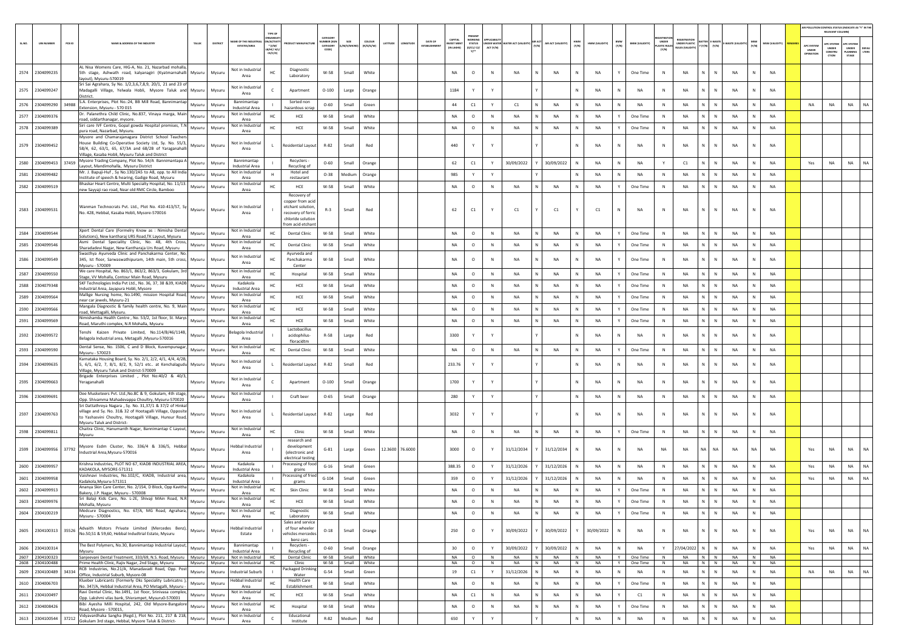|        |                                    |          |                                                                                                                                                                                                                   |               |                |                                           |                                                 |                                                                                                                  |                                         |                      |                            |                 |                                |                                  |                                                  |                        |                 |        |                  |                                  |                 |              |                        |                                       |                                                           |                                     |                        |           |                        |                                         | AIR POLLUTION CONTROL STATUS (INDICATE AS "Y" IN THI<br>RELEVANT COLUMN) |                                                |                       |
|--------|------------------------------------|----------|-------------------------------------------------------------------------------------------------------------------------------------------------------------------------------------------------------------------|---------------|----------------|-------------------------------------------|-------------------------------------------------|------------------------------------------------------------------------------------------------------------------|-----------------------------------------|----------------------|----------------------------|-----------------|--------------------------------|----------------------------------|--------------------------------------------------|------------------------|-----------------|--------|------------------|----------------------------------|-----------------|--------------|------------------------|---------------------------------------|-----------------------------------------------------------|-------------------------------------|------------------------|-----------|------------------------|-----------------------------------------|--------------------------------------------------------------------------|------------------------------------------------|-----------------------|
| SL.NO. | <b>UIN NUMBER</b>                  | $PCB$ ID | <b>VAME &amp; ADDRESS OF THE INDUSTR</b>                                                                                                                                                                          | TALUK         | <b>DISTRIC</b> | AME OF THE INDUSTR<br><b>ESTATES/AREA</b> | <b>N/ACTIV</b><br>* (I/M/<br>8/HC/ H/<br>CE/C/O |                                                                                                                  | CATEGOR<br>MBER DO<br>CATEGORY<br>CODE) | SIZE<br>M/S/MICRO]   | <b>COLOUR</b><br>(R/O/G/W) | ATITUDE         | DATE OF<br><b>ESTABLISHMEN</b> | CAPITAL<br>EST MEP<br>(IN LAKHS) | PRESENT<br>WORKING<br>STATUS<br>(0/C1/ C2/<br>Y1 | NDER WATE<br>ACT (Y/N) | TER ACT (VALID  | (v/N)  | AIR ACT (VALIDIT | HWM<br>$(\mathbb{Y}/\mathbb{N})$ | HWM (VALIDITY)  | BMW<br>(Y/N) | <b>BMW (VALIDITY)</b>  | <b>UNDER</b><br>LASTIC RULE:<br>(Y/N) | <b>IEGISTRATI</b><br>INDER PLASTIC<br><b>ULES (VALIDI</b> | <b>TTER E-WAST</b><br>Y/N)<br>[Y/N] | WASTE (VA              | (Y/N)     | <b>MSW (VALIDITY)</b>  | APC SYSTEM<br><b>UNDER</b><br>IPERATION | <b>PC SYSTEM</b><br><b>UNDER</b><br>CONSTRU<br>crion                     | <b>APC SYSTER</b><br>UNDER<br>LANNING<br>STAGE | <b>DEFAU</b><br>LTERS |
|        | 2574 2304099235                    |          | AL Nisa Womens Care, HIG-A, No. 21, Nazarbad mohalla,<br>5th stage, Ashwath road, kalyanagiri (Kyatmarnahalli<br>avout). Mysuru-570019                                                                            | Mysuru        | Mysuru         | Not in Industria<br>Area                  | нc                                              | Diagnostic<br>Laboratory                                                                                         | W-58                                    | Small                | White                      |                 |                                | NA                               | $\circ$                                          | $\mathbb N$            | NA              |        | NA               | ${\sf N}$                        | <b>NA</b>       |              | One Time               | $\,$ N                                | NA                                                        | N.<br>$\mathbb N$                   | NA                     | N         | <b>NA</b>              |                                         |                                                                          |                                                |                       |
|        | 2575 2304099247                    |          | Sri Sai Agrahara, Sy No. 1/2,3,6,7,8,9, 20/1, 21 and 23 of<br>Madagalli Village, Yelwala Hobli, Mysore Taluk and Mysuru<br>District.                                                                              |               | Mysuru         | Not in Industrial<br>Area                 |                                                 | Apartment                                                                                                        | $O-100$                                 | Large                | Orange                     |                 |                                | 1184                             | Y                                                | Y                      |                 |        |                  | N                                | <b>NA</b>       | N            | NA                     | N                                     | NA                                                        | $\mathbb N$<br>N                    | <b>NA</b>              | N         | <b>NA</b>              |                                         |                                                                          |                                                |                       |
| 2576   | 2304099290                         | 34988    | S.A. Enterprises, Plot No.:24, BB Mill Road, Bannimantap<br>Extension. Mysuru - 570 015                                                                                                                           | Mysuru        | Mysuru         | Bannimantap<br><b>Industrial Area</b>     |                                                 | Sorted non<br>azardous scrai                                                                                     | $O - 60$                                | Small                | Green                      |                 |                                | 44                               | C1                                               | Y                      | C1              |        | NA               | N                                | <b>NA</b>       | N            | NA                     | $\mathbb N$                           | NA                                                        | N.<br>$\mathbb{N}$                  | NA                     | N         | NA                     | NA                                      | NA                                                                       | <b>NA</b>                                      | NA                    |
| 2577   | 2304099376                         |          | Dr. Palanethra Child Clinic, No.837, Vinaya marga, Main<br>road, siddarthanagar, mysore.                                                                                                                          | Mysuru        | Mysuru         | Not in Industrial<br>Area                 |                                                 | HCE                                                                                                              | $W-58$                                  | Small                | White                      |                 |                                | NA                               | $\circ$                                          | $\,$ N                 | NA              |        | NA               | N                                | <b>NA</b>       | Y            | One Time               | $\,$ N                                | NA                                                        | N<br>$\,$ N                         | <b>NA</b>              | N         | <b>NA</b>              |                                         |                                                                          |                                                |                       |
| 2578   | 2304099389                         |          | Siri care IVF Centre, Gopal gowda Hospital premises, T.N<br>pura road, Nazarbad, Mysuru.<br>Mysore and Chamarajanagara District School Teachers                                                                   | Mysuru        | Mysuru         | Not in Industrial<br>Area                 | HC                                              | HCE                                                                                                              | $W-58$                                  | Small                | White                      |                 |                                | NA                               | $\circ$                                          | $\mathbb N$            | NA              |        | NA               | N                                | <b>NA</b>       |              | One Time               | N                                     | NA                                                        | N.<br>${\sf N}$                     | <b>NA</b>              | N         | NA                     |                                         |                                                                          |                                                |                       |
|        | 2579 2304099452                    |          | House Building Co-Operative Society Ltd, Sy. No. 55/3,<br>58/4, 62, 63/1, 65, 67/3A and 68/2B of Yaraganahalli<br>Village, Kasaba Hobli, Mysuru Taluk and District                                                | Mysuru        | Mysuru         | Not in Industrial<br>Area                 | $\mathbf{L}$                                    | <b>Residential Layout</b>                                                                                        | R-82                                    | Small                | Red                        |                 |                                | 440                              | Y                                                |                        |                 |        |                  | N                                | NA              | N            | NA                     | N                                     | NA                                                        | ${\sf N}$<br>N                      | NA                     | N         | <b>NA</b>              |                                         |                                                                          |                                                |                       |
| 2580   | 2304099453                         | 37459    | Mysore Trading Company, Plot No. 54/A Bannimantapa A<br>Layout, Mandimohalla, Mysuru District                                                                                                                     | Mysuru        | Mysuru         | Bannimantap<br><b>Industrial Area</b>     |                                                 | Recyclers<br>Recycling of                                                                                        | $O - 60$                                | Small                | Orange                     |                 |                                | 62                               | C1                                               | Y                      | 30/09/2022      |        | 30/09/2022       |                                  | <b>NA</b>       | N            | NA                     | Y                                     | C1                                                        | N<br>N                              | NA                     | N         | NA                     | Yes                                     | NA                                                                       | <b>NA</b>                                      | <b>NA</b>             |
| 2581   | 2304099482                         |          | Mr. J. Bapuji-Huf , Sy No.130/2A5 to A8, opp. to All India<br>Institute of speech & hearing, Gadige Road, Mysuru                                                                                                  | Mysuru        | Mysuru         | Not in Industrial<br>Area                 |                                                 | Hotel and<br>restaurant                                                                                          | $O-38$                                  | Medium               | Orange                     |                 |                                | 985                              | Y                                                | Y                      |                 |        |                  | N                                | <b>NA</b>       | N            | NA                     | $\,$ N                                | NA                                                        | N<br>$\,$ N                         | <b>NA</b>              | N         | <b>NA</b>              |                                         |                                                                          |                                                |                       |
| 2582   | 2304099519                         |          | Bhaskar Heart Centre, Multi Specialty Hospital, No. 11/13.<br>new Sayyaji rao road, Near old RMC Circle, Bamboo                                                                                                   | Mysuru        | Mysuru         | Not in Industrial<br>Area                 | HC                                              | HCE                                                                                                              | $W-58$                                  | Small                | White                      |                 |                                | NA                               | $\circ$                                          | N                      | NA              |        | NA               |                                  | <b>NA</b>       |              | One Time               | $\mathbb N$                           | NA                                                        | N.<br>N                             | <b>NA</b>              | N         | NA                     |                                         |                                                                          |                                                |                       |
|        | 2583 2304099531                    |          | Wanman Technocrats Pvt. Ltd., Plot No. 410-413/57, Sy<br>No. 428, Hebbal, Kasaba Hobli, Mysore-570016                                                                                                             |               | Mysuru Mysuru  | Not in Industrial<br>Area                 |                                                 | Recovery of<br>copper from acid<br>etchant solution<br>recovery of ferric<br>chloride solutio<br>rom acid etchan | $R-3$                                   | Small                | Red                        |                 |                                | 62                               | $\mathsf{C1}$                                    |                        | C1              |        | C1               |                                  | C1              | N            | NA                     | N                                     | NA                                                        | $\mathsf{N}$                        | <b>NA</b>              |           | <b>NA</b>              |                                         |                                                                          |                                                |                       |
| 2584   | 2304099544                         |          | Xpert Dental Care (Formelry Know as : Nimisha Dental<br>Solutions), New kantharaj URS Road, TK Layout, Mysuru                                                                                                     | Mysuru        | Mysuru         | Not in Industria<br>Area                  | нc                                              | <b>Dental Clinic</b>                                                                                             | $W-58$                                  | Small                | White                      |                 |                                | <b>NA</b>                        | $\circ$                                          | $\,$ N                 | NA              |        | NA               | N                                | <b>NA</b>       | Y            | One Time               | $\,$ N                                | NA                                                        | N<br>$\,$ N                         | NA                     | N         | <b>NA</b>              |                                         |                                                                          |                                                |                       |
| 2585   | 2304099546                         |          | Asmi Dental Speciality Clinic, No. 48, 4th Cross,<br>Sharadadevi Nagar, New Kantharaja Urs Road, Mysuru                                                                                                           | Mysuru        | Mysuru         | Not in Industrial<br>Area                 | HC                                              | <b>Dental Clinic</b>                                                                                             | W-58                                    | Small                | White                      |                 |                                | NA                               | $\circ$                                          | $\,$ N                 | NA              |        | NA               | N                                | NA              |              | One Time               | N                                     | NA                                                        | N<br>N                              | <b>NA</b>              | N         | NA                     |                                         |                                                                          |                                                |                       |
|        | 2586 2304099549                    |          | Swasthya Ayurveda Clinic and Panchakarma Center, No.<br>345, Ist floor, Sarwaswathipuram, 14th main, 5th cross, Mysuru<br>Mysuru - 570009                                                                         |               | Mysuru         | Not in Industrial<br>Area                 |                                                 | Avurveda and<br>Panchakarma<br>Center                                                                            | W-58                                    | Small                | White                      |                 |                                | <b>NA</b>                        | $\circ$                                          | N                      | <b>NA</b>       |        | <b>NA</b>        | $\mathbb{N}$                     | <b>NA</b>       | Y            | One Time               | $\mathbb{N}$                          | NA                                                        | N<br>$\mathbb{N}$                   | <b>NA</b>              | N         | <b>NA</b>              |                                         |                                                                          |                                                |                       |
| 2587   | 2304099550                         |          | We care Hospital, No. 863/1, 863/2, 863/3, Gokulam, 3rd<br>Stage, VV Mohalla, Contour Main Road, Mysuru                                                                                                           | Mysuru        | Mysuru         | <b>Not in Industrial</b><br>Area          | HC                                              | Hospital                                                                                                         | $W-58$                                  | Small                | White                      |                 |                                | NA                               | $\circ$                                          | $\mathbb N$            | NA              |        | NA               | N                                | <b>NA</b>       |              | One Time               | $\mathbb N$                           | NA                                                        | N.<br>N                             | <b>NA</b>              | ${\sf N}$ | NA                     |                                         |                                                                          |                                                |                       |
| 2588   | 2304079348                         |          | SKF Technologies India Pvt Ltd., No. 36, 37, 38 & 39, KIADB<br>Industrial Area, Jayapura Hobli, Mysore                                                                                                            | Mysuru        | Mysuru         | Kadakola<br>Industrial Area               | HC                                              | HCE                                                                                                              | W-58                                    | Small                | White                      |                 |                                | <b>NA</b>                        | $\circ$                                          | N                      | NA              |        | <b>NA</b>        | $\mathbb{N}$                     | <b>NA</b>       | Y            | One Time               | N                                     | NA                                                        | N.<br>$\mathbb{N}$                  | <b>NA</b>              | N         | NA                     |                                         |                                                                          |                                                |                       |
| 2589   | 2304099564                         |          | Mallige Nursing home, No.1490, mission Hospital Road,<br>near car jewels, Mysuru-21                                                                                                                               | Mysuru        | Mysuru         | Not in Industrial<br>Area                 | HC                                              | HCE                                                                                                              | W-58                                    | Small                | White                      |                 |                                | <b>NA</b>                        | $\circ$                                          | N                      | <b>NA</b>       |        | <b>NA</b>        | N                                | <b>NA</b>       | Y            | One Time               | N                                     | <b>NA</b>                                                 | $\mathbb{N}$<br>N                   | <b>NA</b>              | N         | NA                     |                                         |                                                                          |                                                |                       |
| 2590   | 2304099566                         |          | Mangala Diagnostic & family health centre, No. 9, Main<br>road, Mettagalli, Mysuru.                                                                                                                               | Mysuru        | Mysuru         | Not in Industrial<br>Area                 | HC.                                             | HCE                                                                                                              | W-58                                    | Small                | White                      |                 |                                | <b>NA</b>                        | $\circ$                                          | N                      | <b>NA</b>       |        | <b>NA</b>        |                                  | <b>NA</b>       | Y            | One Time               | $\mathbb N$                           | <b>NA</b>                                                 | $\mathbb{N}$<br>N                   | <b>NA</b>              | N         | <b>NA</b>              |                                         |                                                                          |                                                |                       |
|        | 2591 2304099569                    |          | Nimishamba Health Centre . No. 53/2, 1st floor, St. Marys<br>Road, Maruthi complex, N.R Mohalla, Mysuru                                                                                                           | Mysuru        | Mysuru         | Not in Industrial<br>Area                 | HC                                              | HCE                                                                                                              | W-58                                    | Small                | White                      |                 |                                | NA                               | $\circ$                                          | $\,$ N                 | NA              |        | NA               | N                                | <b>NA</b>       | Y            | One Time               | $\,$ N                                | NA                                                        | N<br>${\sf N}$                      | <b>NA</b>              | N         | NA                     |                                         |                                                                          |                                                |                       |
| 2592   | 2304099572                         |          | Tenshi Kaizen Private Limited, No.114/B/46/114B,<br>Belagola Industrial area, Metagalli , Mysuru-570016                                                                                                           | Mysuru        | Mysuru         | elagola Industria<br>Area                 |                                                 | Lactobacillus<br>acidophilus-<br>floracidtm                                                                      | $R-58$                                  | Large                | Red                        |                 |                                | 3300                             | Y                                                |                        |                 |        |                  |                                  | NA              | N            | NA                     | N                                     | NA                                                        | N<br>N                              | <b>NA</b>              |           | NA                     |                                         |                                                                          |                                                |                       |
| 2593   | 2304099590                         |          | Dental Sense, No. 1506, C and D Block, Kuvempunagar, Mysuru<br>Mysuru - 570023                                                                                                                                    |               | Mysuru         | Not in Industria<br>Area                  | нc                                              | <b>Dental Clinic</b>                                                                                             | W-58                                    | Small                | White                      |                 |                                | NA                               | $\circ$                                          | $\,$ N                 | NA              |        | NA               | N                                | <b>NA</b>       | Y            | One Time               | N                                     | NA                                                        | N<br>$\,$ N                         | NA                     | N         | <b>NA</b>              |                                         |                                                                          |                                                |                       |
| 2594   | 2304099635                         |          | Karnataka Housing Board, Sy. No. 2/1, 2/2, 4/1, 4/4, 4/2B,<br>, 6/1, 6/2, 7, 8/1, 8/2, 9, 52/1 etc at Kenchalagudu Mysuru<br>Village, Mysuru Taluk and District-570009                                            |               | Mysuru         | <b>Not in Industrial</b><br>Area          |                                                 | Residential Layout                                                                                               | R-82                                    | Small                | Red                        |                 |                                | 233.76                           | Y                                                |                        |                 |        |                  | $\mathbb N$                      | <b>NA</b>       | N            | NA                     | N                                     | NA                                                        | N.<br>$\mathbb N$                   | <b>NA</b>              | N         | NA                     |                                         |                                                                          |                                                |                       |
| 2595   | 2304099663                         |          | Brigade Enterprises Limited , Plot No:40/2 & 40/3,<br>Yeraganahalli                                                                                                                                               | Mysuru        | Mysuru         | Not in Industria<br>Area                  |                                                 | Apartment                                                                                                        | $O-100$                                 | Small                | Orange                     |                 |                                | 1700                             | Y                                                | Y                      |                 |        |                  | $\mathbb{N}$                     | <b>NA</b>       | N            | NA                     | N                                     | NA                                                        | $\mathbb N$<br>N                    | <b>NA</b>              | N         | <b>NA</b>              |                                         |                                                                          |                                                |                       |
| 2596   | 2304099691                         |          | Dee Musketeers Pvt. Ltd., No.8C & 9, Gokulam, 4th stage,<br>Opp. Shivamma Mahadevappa Choultry, Mysuru-570020                                                                                                     | Mysuru        | Mysuru         | Not in Industrial<br>Area                 |                                                 | Craft beer                                                                                                       | $O - 65$                                | Small                | Orange                     |                 |                                | 280                              | Y                                                | Y                      |                 |        |                  | N                                | <b>NA</b>       | N            | NA                     | N                                     | NA                                                        | N<br>$\mathbb{N}$                   | NA                     | N         | <b>NA</b>              |                                         |                                                                          |                                                |                       |
| 2597   | 2304099763                         |          | Sri Dattathreya Nagara , Sy. No. 31,37/1 & 37/2 of Hinkal<br>village and Sy. No. 31& 32 of Hootagalli Village, Opposite<br>to Yashasvini Choultry, Hootagalli Village, Hunsur Road,<br>Mysuru Taluk and District- | Mysuru        | Mysuru         | Not in Industrial<br>Area                 | $\mathbf{L}$                                    | <b>Residential Layout</b>                                                                                        | $R-82$                                  | Large                | Red                        |                 |                                | 3032                             | Y                                                | Y                      |                 |        |                  | N                                | <b>NA</b>       | N            | <b>NA</b>              | N                                     | <b>NA</b>                                                 | $\mathbb N$                         | <b>NA</b>              |           | <b>NA</b>              |                                         |                                                                          |                                                |                       |
|        | 2598 2304099811                    |          | Chaitra Clinic, Hanumanth Nagar, Bannimantap C Layout,<br>Mysuru                                                                                                                                                  | Mysuru        | Mysuru         | Not in Industrial<br>Area                 |                                                 | Clinic                                                                                                           | W-58                                    | Small                | White                      |                 |                                | NA                               | $\circ$                                          | N                      | <b>NA</b>       |        | NA               | $\mathbb N$                      | <b>NA</b>       | Y            | One Time               | $\,$ N                                | NA                                                        | N<br>$\mathbb N$                    | NA                     | N         | <b>NA</b>              |                                         |                                                                          |                                                |                       |
|        |                                    |          | Mysore Esdm Cluster, No. 336/4 & 336/5, Hebbal<br>2599 2304099956 37792 Mysore Esum Chesser,                                                                                                                      | Mysuru        | Mysuru         | <b>Hebbal Industrial</b><br>Area          |                                                 | research and<br>development<br>(electronic and<br>electrical testin                                              | $G-81$                                  | Large                | Green                      | 12.3600 76.6000 |                                | 3000                             | $\circ$                                          |                        | 31/12/2034      |        | 31/12/2034       |                                  | <b>NA</b>       |              | <b>NA</b>              | NA                                    | NA                                                        | NA<br>NA                            | <b>NA</b>              | <b>NA</b> | <b>NA</b>              | Yes                                     | NA                                                                       | NA                                             | <b>NA</b>             |
|        | 2600 2304099957                    |          | Krishna Industries, PLOT NO 67, KIADB INDUSTRIAL AREA,<br>KADAKOLA, MYSORE-571311                                                                                                                                 | Mysuru        | Mysuru         | Kadakola<br><b>Industrial Area</b>        |                                                 | Processing of food<br>grains                                                                                     | $G-16$                                  | Small                | Green                      |                 |                                | 388.35                           | $\circ$                                          | Y                      | 31/12/2026      |        | 31/12/2026       | N                                | <b>NA</b>       | N            | NA                     | N                                     | NA                                                        | N<br>${\sf N}$                      | NA                     | N         | <b>NA</b>              | Yes                                     | NA                                                                       | NA                                             | NA.                   |
| 2601   | 2304099958                         |          | Vaishnavi Industries, No.102/C, KIADB, Industrial area,<br>Kadakola.Mvsuru-571311                                                                                                                                 | Mysuru        | Mysuru         | Kadakola<br>Industrial Area               |                                                 | rocessing of fried<br>grams                                                                                      | $G-104$                                 | Small                | Green                      |                 |                                | 359                              | $\circ$                                          | Y                      | 31/12/2026      |        | 31/12/2026       |                                  | <b>NA</b>       | N            | NA                     | $\mathbb{N}$                          | NA                                                        | N                                   | <b>NA</b>              |           | <b>NA</b>              | Yes                                     | NA                                                                       | <b>NA</b>                                      | <b>NA</b>             |
| 2602   | 2304099913                         |          | Ananya Skin Care Center, No. 2/154, D Block, Opp Kavitha<br>Bakery, J.P. Nagar, Mysuru - 570008                                                                                                                   | Mysuru        | Mysuru         | Not in Industrial<br>Area                 |                                                 | <b>Skin Clinic</b>                                                                                               | $W-58$                                  | Small                | White                      |                 |                                | <b>NA</b>                        | $\circ$                                          | N                      | <b>NA</b>       |        | <b>NA</b>        |                                  | <b>NA</b>       | Y            | One Time               | N                                     | <b>NA</b>                                                 | N<br>$\mathbb{N}$                   | <b>NA</b>              | N         | NA                     |                                         |                                                                          |                                                |                       |
| 2603   | 2304099976                         |          | Sri Balaji Kids Care, No. L-2E, Shivaji MAin Road, N.R<br>Mohalla, Mysuru                                                                                                                                         | Mysuru        | Mysuru         | Not in Industrial<br>Area                 | HC                                              | HCE                                                                                                              | $W-58$                                  | Small                | White                      |                 |                                | NA                               | $\circ$                                          | N                      | <b>NA</b>       |        | <b>NA</b>        | N                                | <b>NA</b>       |              | One Time               | N                                     | <b>NA</b>                                                 | $\mathbb N$                         | <b>NA</b>              | N         | <b>NA</b>              |                                         |                                                                          |                                                |                       |
|        | 2604 2304100219                    |          | Medcure Diagnostics, No. 67/A, MG Road, Agrahara,<br>Mysuru - 570004                                                                                                                                              | Mysuru        | Mysuru         | Not in Industrial<br>Area                 | HC.                                             | Diagnostic<br>Laboratory                                                                                         | W-58                                    | Small                | White                      |                 |                                | NA                               | $\circ$                                          | ${\sf N}$              | <b>NA</b>       |        | NA               |                                  | NA              | Y            | One Time               | N                                     | NA                                                        | $\mathbb{N}$<br>$\mathbb{N}$        | NA                     | N         | NA                     |                                         |                                                                          |                                                |                       |
|        | 2605 2304100313 35526              |          | Advaith Motors Private Limited (Mercedes Benz), Mysuru<br>No.50.51 & 59.60. Hebbal Indudtrial Estate. Mysuru                                                                                                      |               | Mysuru         | <b>Hebbal Industrial</b><br>Estate        |                                                 | Sales and service<br>of four wheeler<br>vehicles mercede:<br>benz cars                                           | $O-18$                                  | Small                | Orange                     |                 |                                | 250                              | $\circ$                                          | Y                      | 30/09/2022      |        | 30/09/2022       | Y                                | 30/09/2022      | $\mathsf{N}$ | NA                     | $\,$ N                                | NA                                                        | N<br>N                              | <b>NA</b>              | N         | NA                     | Yes                                     | NA                                                                       | <b>NA</b>                                      | NA                    |
|        | 2606 2304100314                    |          | The Best Polymers, No.30, Bannimantap Industrial Layout,<br>Mysuru                                                                                                                                                |               | Mysuru Mysuru  | Bannimantap<br>Industrial Area            |                                                 | Recyclers -<br>Recycling of                                                                                      | $O - 60$                                | Small                | Orange                     |                 |                                | 30                               | $\circ$                                          | Y                      | 30/09/2022      |        | 30/09/2022       | $\mathbb{N}$                     | <b>NA</b>       | N            | NA                     | Y                                     | 27/04/2022                                                | N<br>$\,$ N                         | NA                     | N         | <b>NA</b>              | Yes                                     | NA                                                                       | <b>NA</b>                                      | <b>NA</b>             |
|        | 2607 2304100323<br>2608 2304100488 |          | Sanjeevani Dental Treatment, 333/69, N.S. Road, Mysuru   Mysuru   Mysuru<br>Prime Health Clinic, Rajiv Nagar, 2nd Stage, Mysuru                                                                                   | Mysuru Mysuru |                | Not in Industrial<br>Not in Industrial    | HC<br>HC                                        | Dental Clinic<br>Clinic                                                                                          | W-58<br>W-58                            | Small White<br>Small | White                      |                 |                                | <b>NA</b><br><b>NA</b>           | $\circ$<br>$\circ$                               | N<br>N                 | <b>NA</b><br>NA | N<br>N | <b>NA</b><br>NA  | N<br>N                           | <b>NA</b><br>NA | Y            | Y One Time<br>One Time | N<br>N                                | <b>NA</b><br><b>NA</b>                                    | $N$ $N$<br>$N$ $N$                  | <b>NA</b><br><b>NA</b> | N<br>N    | <b>NA</b><br><b>NA</b> |                                         |                                                                          |                                                |                       |
| 2609   | 2304100489                         |          | RCB Industries, No.21/A, Manadavadi Road, Opp. Post<br>34334 Office, Industrial Suburb, Mysore-08                                                                                                                 | Mysuru        | Mysuru         | ndustrial Suburb                          |                                                 | ackaged Drinkin<br>Water                                                                                         | $G-54$                                  | Small                | Green                      |                 |                                | 19                               | $\mathsf{C1}$                                    | Y                      | 31/12/2026      |        | NA               | $\mathbb N$                      | NA              | N            | NA                     | N                                     | NA                                                        | N<br>$\mathbb N$                    | NA                     | N         | NA                     | NA                                      | NA                                                                       | <b>NA</b>                                      | NA                    |
|        | 2610 2304006703                    |          | Klueber Lubricants (Formerly Oks Speciality Lubricatns ),<br>No. 347/A, Hebbal Industrial Area, PO Metagalli, Mysuru -                                                                                            | Mysuru        | Mysuru         | Hebbal Industrial<br>Area                 | HC                                              | <b>Health Care</b><br>Establishment                                                                              | W-58                                    | Small                | White                      |                 |                                | NA                               | $\circ$                                          | ${\sf N}$              | NA              |        | NA               | N                                | NA              | Y            | One Time               | N                                     | NA                                                        | $N$ $N$                             | <b>NA</b>              | N         | <b>NA</b>              |                                         |                                                                          |                                                |                       |
| 2611   | 2304100497                         |          | Ravi Dental Clinic, No.1491, 1st floor, Srinivasa complex,<br>Opp. Lakshmi vilas bank, Shivrampet, Mysuru0-570001                                                                                                 | Mysuru        | Mysuru         | Not in Industrial<br>Area                 | HC                                              | HCE                                                                                                              | W-58                                    | Small                | White                      |                 |                                | NA                               | C1                                               | $\,$ N                 | NA              |        | NA               | N                                | <b>NA</b>       | Y            | C1                     | $\,$ N                                | NA                                                        | ${\sf N}$                           | <b>NA</b>              | N         | NA                     |                                         |                                                                          |                                                |                       |
| 2612   | 2304008426                         |          | Bibi Ayesha Milli Hospital, 242, Old Mysore-Bangalore<br>Road, Mysore - 570015,                                                                                                                                   | Mysuru        | Mysuru         | Not in Industrial<br>Area                 | HC                                              | Hospital                                                                                                         | $W-58$                                  | Small                | White                      |                 |                                | NA                               | $\circ$                                          | N                      | <b>NA</b>       | N      | NA               | N                                | <b>NA</b>       | Y            | One Time               | N                                     | NA                                                        | N<br>$\,$ N                         | <b>NA</b>              | N         | NA                     |                                         |                                                                          |                                                |                       |
|        | 2613 2304100544                    |          | 37212 Vidyavardhaka Sangha (Regd.), Plot No. 211, 217 & 218,<br>Gokulam 3rd stage, Hebbal, Mysore Taluk & District-                                                                                               | Mysuru        | Mysuru         | Not in Industrial<br>Area                 | $\epsilon$                                      | Educational<br>Institute                                                                                         | $R-82$                                  | Medium               | Red                        |                 |                                | 650                              | Y                                                | Y                      |                 |        |                  | $\mathbb N$                      | <b>NA</b>       | N            | NA                     | N                                     | NA                                                        | N<br>N                              | $_{\sf NA}$            | N         | NA                     |                                         |                                                                          |                                                |                       |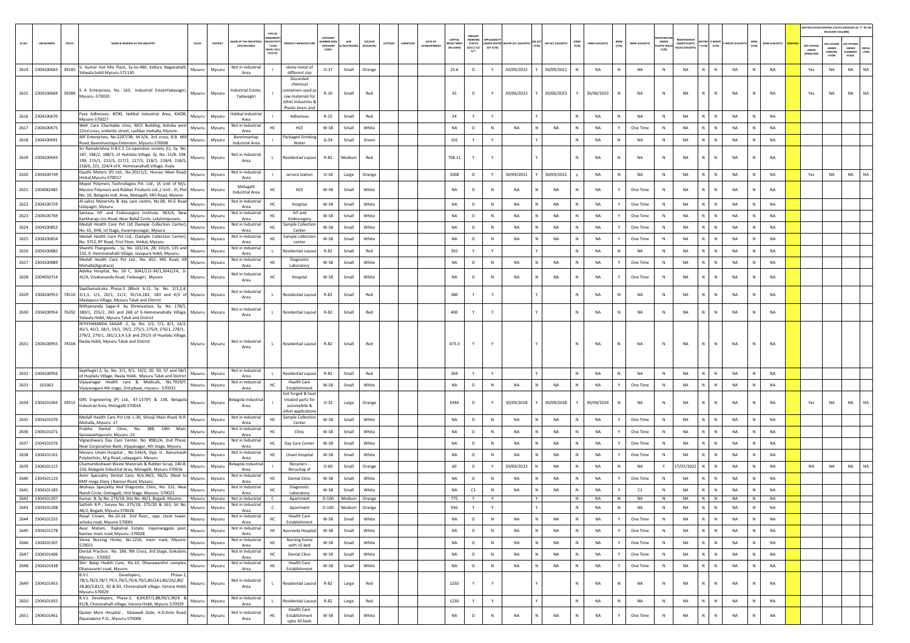|        |                               |        |                                                                                                                                                                                            |                  |                                             |                                                                                                            |                                                  |                 |                     |          |                                              |                                  |                                             |                              |                     |                        |                   |              |                                |                       |                                      |                                   |                                        |              |               |              |                        |                                        | R POLLUTION CONTROL STATUS (INDICATE AS "Y" IN THE<br>RELEVANT COLUMN) |                                          |                |
|--------|-------------------------------|--------|--------------------------------------------------------------------------------------------------------------------------------------------------------------------------------------------|------------------|---------------------------------------------|------------------------------------------------------------------------------------------------------------|--------------------------------------------------|-----------------|---------------------|----------|----------------------------------------------|----------------------------------|---------------------------------------------|------------------------------|---------------------|------------------------|-------------------|--------------|--------------------------------|-----------------------|--------------------------------------|-----------------------------------|----------------------------------------|--------------|---------------|--------------|------------------------|----------------------------------------|------------------------------------------------------------------------|------------------------------------------|----------------|
| SL.NO. | <b>UIN NUMBER</b>             | PCB ID | AME & ADDRESS OF THE INDUSTR'<br>TALUR                                                                                                                                                     | DISTRICT         | AME OF THE INDUSTR<br><b>ESTATES/AREA</b>   | N/ACTIVIT<br>* (I/M/<br>8/HC/ H/L<br>CE/C/O)                                                               | CATEGOR<br><b>IMBER DOG</b><br>CATEGORY<br>CODE) | SIZE<br>M/S/MIC | coLour<br>(R/O/G/W) | LATITUDE | <b>DATE OF</b><br>NGITUC<br><b>STABLISHN</b> | CAPITAL<br>VEST MEN<br>IN LAKHS) | <b>WORKIN</b><br>STATUS<br>(0/C1/ C2/<br>Y1 | <b>SER WATE</b><br>ACT (Y/N) | ATER ACT (VALIDITY) | <b>MR ACT</b><br>(Y/N) | AIR ACT (VALIDITY | HWM<br>(Y/N) | BMW<br>(Y/N)<br>HWM (VALIDITY) | BMW (VALIDITY)        | UNDER<br><b>LASTIC RULE</b><br>(Y/N) | <b>EGISTRATI</b><br>UNDER PLASTIC | <b>TTER E-WASTE</b><br>$(Y/N)$ $(Y/N)$ |              | E-WASTE (VALI | MSW<br>(Y/N) | MSW (VALIDITY)         | APC SYSTEM<br><b>UNDER</b><br>IPERATIO | <b>PC SYSTEM</b><br>UNDER<br>CONSTRU<br>CTION                          | APC SYSTER<br>UNDER<br>PLANNING<br>STAGE | DEFAU<br>LTERS |
|        |                               |        | 2614 2304100663 39183 V. Kumar Hot Mix Plant, Sy.no.480, kalluru Naganahalli,<br>Mysuru<br>Yelwala hobli Mysuru-571130                                                                     | Mysuru           | Not in Industrial<br>Area                   | stone metal of<br>different size                                                                           | $O-37$                                           | Small           | Orange              |          |                                              | 23.6                             | $\circ$                                     | Y                            | 30/09/2022          |                        | 30/09/2022        |              | NA<br>N                        | NA                    | N                                    | NA                                |                                        | $\mathbb N$  | NA            | N            | <b>NA</b>              | Yes                                    | NA                                                                     | NA                                       | NA             |
|        |                               |        | 2615 2304100669 39384 S A Enterprises, No. 163, Industrial EstateYadavagiri,<br>Mysuru                                                                                                     | Mysuru           | ndustrial Estate<br>Yadavagiri              | Discarded<br>chemical<br>containers used as<br>raw materials for<br>othet industries<br>Plastic liners and | $R-10$                                           | Small           | Red                 |          |                                              | 35                               | $\circ$                                     |                              | 30/06/2023          |                        | 30/06/2023        |              | 30/06/2023                     | <b>NA</b>             | N                                    | NA                                |                                        | N            | <b>NA</b>     |              | <b>NA</b>              | Yes                                    | <b>NA</b>                                                              | NA                                       | NA             |
|        | 2616 2304100670               |        | Fyxa Adhesives, #290, Hebbal Industrial Area, KIADB,<br>Mysuru<br>Mysore-570027                                                                                                            | Mysuru           | Hebbal Industria<br>Area                    | Adhesives                                                                                                  | $R-25$                                           | Small           | Red                 |          |                                              | 24                               | Y                                           | Y                            |                     |                        |                   | $\mathbb N$  | NA<br>N                        | NA                    | N                                    | NA                                | N                                      | N            | NA            | N            | NA                     |                                        |                                                                        |                                          |                |
| 2617   | 2304100675                    |        | Well Care Charitable clinic, MCC Building, Ashoka west<br>Mysuru<br>22nd cross, erekette street. Lashkar mohalla. Mysore-                                                                  | Mysuri           | Not in Industrial<br>Area                   | HCE                                                                                                        | W-58                                             | Small           | White               |          |                                              | NA                               | $\circ$                                     | $\,$ N                       | NA                  | N                      | NA                | $\mathsf{N}$ | NA                             | One Time              | $\,$ N                               | NA                                |                                        | $\mathbb N$  | NA            | ${\sf N}$    | NA                     |                                        |                                                                        |                                          |                |
| 2618   | 2304100691                    |        | Alif Enterprises, No.3207/3B, M-3/A, 3rd cross, B.B. Mill<br>Mysuru<br>Road, Bannimantapa Extension, Mysuru-570008                                                                         | Mysuru           | Bannimantap<br>Industrial Area              | Packaged Drinking<br>Water                                                                                 | $G-54$                                           | Small           | Green               |          |                                              | 101                              | Y                                           | Y                            |                     |                        |                   | N            | NA<br>N                        | NA                    | N                                    | NA                                | $\mathsf{N}$                           | $\,$ N       | NA            | N            | <b>NA</b>              |                                        |                                                                        |                                          |                |
| 2619   | 2304100693                    |        | Sri Ramakrishna H.B.C.S Co-operative society (L), Sy. No.<br>187, 188/2, 188/3, of Huhilalu Village. Sy. No. 15/8, 194,<br>Mysuru<br>199, 215/1, 215/3, 217/2, 217/3, 218/1, 218/4, 218/5, | Mysuru           | Not in Industrial<br>Area                   | Residential Layout                                                                                         | R-82                                             | Medium          | Red                 |          |                                              | 758.11                           |                                             |                              |                     |                        |                   |              | NA<br>N                        | NA                    | N                                    | NA                                | M                                      | ${\sf N}$    | NA            | N            | <b>NA</b>              |                                        |                                                                        |                                          |                |
|        | 2620 2304100749               |        | 218/6, 221, 224/4 of K. Hemmanahalli Village, Ilvala<br>Dyuthi Motors (P) Ltd., No.201/1/2, Hunsur Main Road,<br>Mysuru                                                                    | Mysuru           | Not in Industria                            | service station                                                                                            | $O-18$                                           | Large           | Orange              |          |                                              | 1008                             | $\circ$                                     | Y                            | 30/09/2021          |                        | 30/09/2021        |              | NA<br>N                        | NA                    | N                                    | <b>NA</b>                         | N                                      | $\,$ N       | NA            | N            | <b>NA</b>              | Yes                                    | NA                                                                     | <b>NA</b>                                | NA             |
| 2621   | 2304082485                    |        | Hinkal, Mysuru-570017<br>Mypol Polymers Technologies Pvt. Ltd., (A Unit of M/s.<br>Mysore Polymers and Rubber Products Ltd.,) Unit - III, Plot<br>Mysuru                                   | Mysuru           | Area<br>Metagalli<br><b>Industrial Area</b> | HCE                                                                                                        | $W-58$                                           | Small           | White               |          |                                              | NA                               | $\circ$                                     | N                            | NA                  |                        | NA                |              | NA<br>$\mathbf{Y}$             | One Time              | N                                    | NA                                |                                        | ${\sf N}$    | NA            | ${\sf N}$    | NA                     |                                        |                                                                        |                                          |                |
|        | 2622 2304100759               |        | No. 10, Belagola Indl. Area, Metagalli, KRS Road, Mysore-<br>Al-zahra Maternity & day care centre, No.08, M.G Road<br>Mysuru                                                               | Mysuru           | Not in Industrial<br>Area                   | HC<br>Hospital                                                                                             | W-58                                             | Small           | White               |          |                                              | NA                               | $\circ$                                     | N                            | NA                  | N                      | NA                | $\mathbb N$  | NA<br>Y                        | One Time              | N                                    | NA                                | $\mathbb{N}$                           | $\,$ N       | NA            | N            | <b>NA</b>              |                                        |                                                                        |                                          |                |
| 2623   | 2304100769                    |        | Udayagiri, Mysuru<br>Santasa IVF and Endosurgery Institute, 963/A, New<br>Mysuru                                                                                                           | Mysuru           | Not in Industrial<br>Area                   | IVF and<br>HC                                                                                              | W-58                                             | Small           | White               |          |                                              | NA                               | $\circ$                                     | N                            | NA                  |                        | NA                | N            | NA                             | One Time              | N                                    | <b>NA</b>                         |                                        | ${\sf N}$    | NA            | ${\sf N}$    | NA                     |                                        |                                                                        |                                          |                |
| 2624   | 2304100853                    |        | Kantharaju Urs Road, Near Ballal Circle, Lakshmipuram,<br>Medall Health Care Pvt Ltd (Sample Collection Center),<br>Mysuru                                                                 | Mysuru           | Not in Industrial                           | Endosurgery<br>Sample Collection                                                                           | W-58                                             | Small           | White               |          |                                              | <b>NA</b>                        | $\circ$                                     | N                            | NA                  | N                      | <b>NA</b>         | $\mathbb{N}$ | <b>NA</b><br>Y                 | One Time              | N                                    | <b>NA</b>                         | $\mathsf{N}$                           | $\mathbb{N}$ | NA            | N            | <b>NA</b>              |                                        |                                                                        |                                          |                |
| 2625   | 2304100854                    |        | No. 61, KHB, Ist Stage, Kuvempunagar, Mysuru<br>Medall Health Care Pvt Ltd., (Sample Collection Center),<br>Mysuru<br>No. 3752, BT Road, First Floor, Hinkal, Mysuru                       | Mysuru           | Area<br>Not in Industrial                   | Center<br>Sample collection<br>HC                                                                          | W-58                                             | Small           | White               |          |                                              | <b>NA</b>                        | $\circ$                                     | N                            | NA                  | N                      | NA                | N            | <b>NA</b><br>Y                 | One Time              | N                                    | <b>NA</b>                         | N                                      | N            | NA            | N            | NA                     |                                        |                                                                        |                                          |                |
| 2626   | 2304100882                    |        | Shanthi Thangavelu, Sy. No. 101/2A, 2B, 101/6, 135 and<br>Mysuru                                                                                                                           | Mysuru           | Area<br>Not in Industrial                   | center<br>Residential Layou                                                                                | R-82                                             | Small           | Red                 |          |                                              | 392                              | Y                                           | Y                            |                     |                        |                   |              | <b>NA</b><br>N                 | NA                    | N                                    | NA                                | N                                      | N            | <b>NA</b>     | N            | NA                     |                                        |                                                                        |                                          |                |
| 2627   | 2304100889                    |        | 232, K. Hemmanahalli Village, Jayapura Hobli, Mysuru-<br>Medall Health Care Pvt Ltd., No. 452, MG Road, KR<br>Mysuru                                                                       | Mysuru           | Area<br>Not in Industria                    | Diagnostic<br>нc                                                                                           | W-58                                             | Small           | White               |          |                                              | NA                               | $\circ$                                     | N                            | NA                  | N                      | NA                | N            | NA<br>Y                        | One Time              | N                                    | NA                                | N                                      | $\,$ N       | NA            | N            | NA                     |                                        |                                                                        |                                          |                |
|        |                               |        | Mohalla(Agrahara)<br>Advika Hospital, No. 50 C, 3041/2,D-34/1,3041/2A, D-                                                                                                                  |                  | Area<br>Not in Industria                    | Laboratory                                                                                                 |                                                  |                 |                     |          |                                              |                                  |                                             |                              |                     |                        |                   | N            |                                |                       | ${\sf N}$                            |                                   |                                        | ${\sf N}$    | <b>NA</b>     | N            |                        |                                        |                                                                        |                                          |                |
| 2629   | 2628 2304050714<br>2304100953 |        | 41/A, Vivekananda Road, Yadavagiri, Mysore<br>Mysuru<br>Sapthamatruka Phase-5 (Block A-1), Sy. No. 2/1,2,4,<br>74510 3/1,3, 1/1, 20/1, 21/2, 35/1A,1B2, 1B3 and 4/3 of Mysuru              | Mysuru<br>Mysuri | Area<br>Not in Industria                    | нc<br>Hospital<br><b>Residential Layout</b>                                                                | $W-58$<br>R-82                                   | Small<br>Small  | White<br>Red        |          |                                              | NA<br>380                        | $\circ$<br>Y                                | N                            | NA                  |                        | NA                | N            | NA<br><b>NA</b><br><b>N</b>    | One Time<br><b>NA</b> | N                                    | NA<br>NA                          |                                        | N            | <b>NA</b>     | N            | <b>NA</b><br><b>NA</b> |                                        |                                                                        |                                          |                |
| 2630   | 2304100954                    |        | Madapura Village, Mysuru Taluk and District<br>Nithyananda Sagar-6 by Shreevatsaa, Sy. No. 178/1,<br>76392 180/1, 255/2, 265 and 268 of K-Hemmanahally Village,<br>Mysuru                  | Mysuru           | Area<br>Not in Industria                    | Residential Layout<br>L.                                                                                   | R-82                                             | Small           | Red                 |          |                                              | 400                              | Y                                           | Y                            |                     |                        |                   | N            | <b>NA</b><br>N                 | <b>NA</b>             | $\mathbb N$                          | NA                                | $\mathsf{N}$                           | $\mathbb N$  | <b>NA</b>     | $\mathbb{N}$ | <b>NA</b>              |                                        |                                                                        |                                          |                |
|        |                               |        | Yelwala Hobli, Mysuru Taluk and District<br>NITHYANANDA SAGAR -2, Sy. No. 1/2, 7/1, 8/1, 14/2,<br>45/1, 45/2, 58/1, 59/1, 59/2, 275/1, 275/4, 276/1, 278/1,                                |                  | Area                                        |                                                                                                            |                                                  |                 |                     |          |                                              |                                  |                                             |                              |                     |                        |                   |              |                                |                       |                                      |                                   |                                        |              |               |              |                        |                                        |                                                                        |                                          |                |
|        | 2631 2304100955 74504         |        | 278/2, 279/1, 281/2,3,4.5,8 and 291/5 of Huyilalu Village,<br>Ilwala Hobli, Mysuru Taluk and District<br>Mysuru                                                                            | Mysuru           | Not in Industrial<br>Area                   | <b>Residential Layout</b><br>L.                                                                            | R-82                                             | Small           | Red                 |          |                                              | 473.3                            |                                             |                              |                     |                        |                   |              | <b>NA</b>                      | <b>NA</b>             | $\mathbb N$                          | <b>NA</b>                         | $\mathsf{N}$                           | N            | <b>NA</b>     |              | <b>NA</b>              |                                        |                                                                        |                                          |                |
| 2632   | 2304100956                    |        | Sapthagiri-2, Sy. No. 3/1, 9/1, 10/2, 20, 50, 57 and 58/1<br>Mysuru<br>of Huyilalu Village, Ilwala Hobli, Mysuru Taluk and District                                                        | Mysuru           | Not in Industrial<br>Area                   | Residential Layout                                                                                         | R-82                                             | Small           | Red                 |          |                                              | 369                              | Y                                           | Y                            |                     |                        |                   | $\mathbb{N}$ | <b>NA</b><br>N                 | <b>NA</b>             | $\mathbb N$                          | NA                                | $\mathsf{N}$                           | $\mathbb N$  | <b>NA</b>     | N            | <b>NA</b>              |                                        |                                                                        |                                          |                |
| 2633   | 101063                        |        | Vijayanagar Health care & Medicals, No.7919/F,<br>Mysuru                                                                                                                                   | Mysuru           | Not in Industrial<br>Area                   | <b>Health Care</b><br>HC<br>Establishment                                                                  | W-58                                             | Small           | White               |          |                                              | <b>NA</b>                        | $\circ$                                     | N                            | NA                  | N                      | NA                | N            | <b>NA</b><br>Y                 | One Time              | N                                    | NA                                | N                                      | N            | <b>NA</b>     | N            | <b>NA</b>              |                                        |                                                                        |                                          |                |
|        |                               |        | Vijayanagara 4th stage, 2nd phase, mysuru - 570032<br>2634 2304101065 39315 GRS Engineering (P) Ltd., 47-137(P) & 138, Belagola<br>Industrial Area, Metagalli-570016<br>Mysuru             | Mysuru           | elagola Industria<br>Area                   | hot forged & heat<br>treated parts for<br>automobile &<br>other application                                | $O-32$                                           | Large           | Orange              |          |                                              | 4394                             | $\circ$                                     |                              | 30/09/2028          |                        | 30/09/2028        |              | 30/09/2024                     | <b>NA</b>             | $\mathbb N$                          | NA                                | $\mathsf{N}$                           | N            | <b>NA</b>     | N            | <b>NA</b>              | Yes                                    | <b>NA</b>                                                              | NA                                       | NA             |
| 2635   | 2304101070                    |        | Medall Health Care Pvt Ltd, L-30, Shivaji Main Road, N.R.<br>Mysuru<br>Mohalla, Mysuru -17                                                                                                 | Mysuru           | Not in Industrial<br>Area                   | Sample Collectio<br>HC<br>Center                                                                           | W-58                                             | Small           | White               |          |                                              | <b>NA</b>                        | $\circ$                                     | $\,$ N                       | <b>NA</b>           |                        | NA                |              | NA                             | One Time              | ${\sf N}$                            | NA                                |                                        | $\mathbb{N}$ | <b>NA</b>     | N            | <b>NA</b>              |                                        |                                                                        |                                          |                |
| 2636   | 2304101071                    |        | Prabhu Dental Clinic, No. 388, 14th Main,<br>Mysuru<br>Saraswathipuram, Mysuru -23                                                                                                         | Mysuru           | Not in Industria<br>Area                    | Clinic                                                                                                     | $W-58$                                           | Small           | White               |          |                                              | <b>NA</b>                        | $\circ$                                     | N                            | NA                  | N                      | NA                | $\mathsf{N}$ | NA<br>Y                        | One Time              | $\,$ N                               | <b>NA</b>                         | $\mathsf{N}$                           | $\mathbb N$  | NA            | N            | <b>NA</b>              |                                        |                                                                        |                                          |                |
| 2637   | 2304101076                    |        | Vigneshwara Day Care Center, No. 8981/A, 2nd Phase,<br>Mysuru                                                                                                                              | Mysuru           | Not in Industrial<br>Area                   | HC<br>Day Care Center                                                                                      | W-58                                             | Small           | White               |          |                                              | <b>NA</b>                        | $\circ$                                     | N                            | <b>NA</b>           | N                      | <b>NA</b>         | N            | <b>NA</b><br>Y                 | One Time              | N                                    | <b>NA</b>                         | N                                      | N            | <b>NA</b>     | N            | NA                     |                                        |                                                                        |                                          |                |
| 2638   | 2304101101                    |        | Near Corporation Bank, Vijayanagar, 4th Stage, Mysuru<br>Mysuru Unani Hospital , No.534/A, Opp. D Banumaiah<br>Mysuru<br>Polytechnic, M.g Road, udayagairi, Mysuru                         | Mysuru           | Not in Industria<br>Area                    | Unani Hospital<br>HC                                                                                       | W-58                                             | Small           | White               |          |                                              | <b>NA</b>                        | $\circ$                                     | N                            | NA                  |                        | NA                | N            | NA                             | One Time              | $\mathbb N$                          | NA                                | N                                      | $\mathbb N$  | NA            | ${\sf N}$    | NA                     |                                        |                                                                        |                                          |                |
| 2639   | 2304101115                    |        | Chamundeshwari Waste Materials & Rubber Scrap, 140-B,<br>Mysuru<br>156, Belagola Industrial Area, Metagalli, Mysuru 570016                                                                 | Mysuri           | elagola Industri<br>Area                    | Recyclers<br>Recycling of                                                                                  | $O - 60$                                         | Small           | Orange              |          |                                              | 60                               | $\circ$                                     | Y                            | 30/09/2023          | N                      | NA                | N            | NA<br>N                        | NA                    | Y                                    | 17/07/2022                        | N                                      | $\mathbb N$  | NA            | N            | NA                     | <b>NA</b>                              | NA                                                                     | <b>NA</b>                                | NA             |
| 2640   | 2304101123                    |        | Avini Speciality Dental Care, N/o.96/2, 96/2c (Next to<br>Mysuru<br>KMF mega Diary ) Bannur Road, Mysuru                                                                                   | Mysuru           | Not in Industrial<br>Area                   | <b>Dental Clinic</b><br>HC                                                                                 | $W-58$                                           | Small           | White               |          |                                              | <b>NA</b>                        | $\circ$                                     | N                            | <b>NA</b>           |                        | NA                |              | NA                             | One Time              | $\mathbb N$                          | NA                                |                                        | $\mathbb{N}$ | <b>NA</b>     | N            | NA                     |                                        |                                                                        |                                          |                |
| 2641   | 2304101183                    |        | Akshaya Speciality And Diagnostic Clinic, No. 152, Near<br>Mysuru<br>Nandi Circle, Dattagalli, IIIrd Stage, Mysuru- 570023                                                                 | Mysuru           | Not in Industria<br>Area                    | Diagnostic<br>Laboratory                                                                                   | W-58                                             | Small           | White               |          |                                              | <b>NA</b>                        | C1                                          | N                            | <b>NA</b>           | N                      | <b>NA</b>         |              | <b>NA</b>                      | C1                    | $\mathbb N$                          | <b>NA</b>                         | $\mathbb N$                            | $\mathbb{N}$ | <b>NA</b>     | N            | <b>NA</b>              |                                        |                                                                        |                                          |                |
|        | 2642 2304101207               |        | Kumar. B, Sy No: 275/18, Site No: 46/1, Bogadi, Mysore- Mysuru Mysuru<br>Sathish B.P., Survey No. 275/18, 275/20 & 263, Sit No.                                                            |                  | Not in Industrial<br>Not in Industrial      | Apartment<br>C.                                                                                            |                                                  | O-100 Medium    | Orange              |          |                                              | 775                              | Y                                           | Y                            |                     | Υ                      |                   | N            | NA<br>N                        | <b>NA</b>             | N                                    | <b>NA</b>                         | N                                      | N            | <b>NA</b>     | N            | NA                     |                                        |                                                                        |                                          |                |
|        | 2643 2304101208               |        | Mysuru<br>46/2, Bogadi, Mysuru-570026<br>Royal Crown, No.10-14, 2nd floor,, opp. clock tower,                                                                                              | Mysuru           | Area<br>Not in Industrial                   | Apartment<br><b>Health Care</b>                                                                            | $O-100$                                          | Medium Orange   |                     |          |                                              | 936                              |                                             |                              |                     |                        |                   |              | NA.                            | NA                    | N                                    | NA                                |                                        | N            | NA            | N.           | NA                     |                                        |                                                                        |                                          |                |
| 2644   | 2304101255                    |        | Mysuru<br>ashoka road, Mysore-570001<br>Ayur Matam, Rajkamal Estate, Vajamanggala post,                                                                                                    | Mysuru           | Area<br>Not in Industrial                   | HC<br>Establishment                                                                                        | W-58                                             | Small           | White               |          |                                              | NA                               | $\circ$                                     | N                            | NA                  | N                      | NA                | $\,$ N       | Y<br><b>NA</b>                 | One Time              | $\mathbb N$                          | <b>NA</b>                         | $\mathbb{N}$                           | $\mathbb{N}$ | NA            | ${\sf N}$    | NA                     |                                        |                                                                        |                                          |                |
| 2645   | 2304101278                    |        | Mysuru<br>bannur main road, Mysuru -570028<br>Shree Nursing Home, No.1216, Irwin road, Mysore-                                                                                             | Mysuru           | Area<br>Not in Industrial                   | HC<br>Ayurveda Hospital<br>Nursing home                                                                    | W-58                                             | Small           | White               |          |                                              | NA                               | $\circ$                                     | $\,$ N                       | <b>NA</b>           | N                      | NA                | $\mathbb N$  | <b>NA</b><br>$\mathbf{Y}$      | One Time              | N                                    | <b>NA</b>                         | $\mathsf{N}$                           | N            | NA            | N            | <b>NA</b>              |                                        |                                                                        |                                          |                |
| 2646   | 2304101307                    |        | Mysuru<br>570021<br>Dental Practice, No. 186, 9th Cross, 3rd Stage, Gokulam,                                                                                                               | Mysuru           | Area<br>Not in Industrial                   | HC<br>with 15 bed                                                                                          | W-58                                             | Small           | White               |          |                                              | NA                               | $\circ$                                     | $\,$ N                       | NA                  | N                      | NA                | $\mathbb N$  | $\mathbf{v}$<br><b>NA</b>      | One Time              | N                                    | <b>NA</b>                         | $\mathsf{N}$                           | $\,$ N       | NA            | ${\sf N}$    | NA                     |                                        |                                                                        |                                          |                |
| 2647   | 2304101406                    |        | Mysuru<br>Mysuru - 570002<br>Shri Balaji Health Care, No.10, Dhanawanthri complex,                                                                                                         | Mysuru           | Area<br>Not in Industrial                   | HC<br><b>Dental Clinic</b><br><b>Health Care</b>                                                           | W-58                                             | Small           | White               |          |                                              | NA                               | $\circ$                                     | $\,$ N                       | <b>NA</b>           | N                      | NA                | N            | NA<br>Y                        | One Time              | N                                    | <b>NA</b>                         | N                                      | $\,$ N       | NA            | N            | <b>NA</b>              |                                        |                                                                        |                                          |                |
| 2648   | 2304101438                    |        | Mysuru<br>Dhanavantri road, Mysore<br>B.V.L<br>Developers,<br>Phase-1.                                                                                                                     | Mysuru           | Area                                        | HC<br>Establishment                                                                                        | W-58                                             | Small           | White               |          |                                              | NA                               | $\circ$                                     | $\,$ N                       | NA                  | N                      | NA                | $\mathsf{N}$ | NA<br>Y                        | One Time              | $\,$ N                               | <b>NA</b>                         | N                                      | $\,$ N       | NA            | ${\sf N}$    | NA                     |                                        |                                                                        |                                          |                |
|        | 2649 2304101453               |        | 78/1,78/3,78/7,79/1,79/3,79/4,79/5,80/2A1,80/2A2,80/<br>Mysuru<br>2B,80/3,81/2, 82 & 83, Choranahalli village, Varuna Hobli,<br>Mysuru-570029                                              | Mysuru           | Not in Industrial<br>Area                   | $\mathbf{L}$<br>Residential Layout                                                                         | R-82                                             | Large           | Red                 |          |                                              | 1250                             | Y                                           | Y                            |                     |                        |                   | N            | NA<br>N                        | NA                    | ${\sf N}$                            | <b>NA</b>                         | $\mathsf{N}$                           | $\mathbb N$  | <b>NA</b>     | N            | <b>NA</b>              |                                        |                                                                        |                                          |                |
| 2650   | 2304101455                    |        | B.V.L Developers, Phase-2, 8,84,87/1,88,90/1,90/4 &<br>Mysuru<br>91/8, Choranahalli village, Varuna Hobli, Mysuru-570029                                                                   | Mysuru           | Not in Industrial<br>Area                   | <b>Residential Layout</b><br>$\mathbf{L}$                                                                  | R-82                                             | Large           | Red                 |          |                                              | 1230                             | Y                                           | Y                            |                     |                        |                   | N            | N<br>NA                        | NA                    | N                                    | <b>NA</b>                         | N                                      | $\mathbb N$  | NA            | ${\sf N}$    | NA                     |                                        |                                                                        |                                          |                |
|        | 2651 2304101461               |        | Queen Mary Hospital, Kalawadi Gate, H.D.Kote Road,<br>Mysuru<br>Rayanakere P.O., Mysuru-570008                                                                                             | Mysuru           | Not in Industrial<br>Area                   | <b>Health Care</b><br>HC<br>Establishment<br>upto 30 beds                                                  | W-58                                             | Small           | White               |          |                                              | NA                               | $\circ$                                     | N                            | NA                  | N                      | $_{\sf NA}$       | ${\sf N}$    | NA<br>$\mathbf{Y}$             | One Time              | ${\sf N}$                            | <b>NA</b>                         | N                                      | ${\sf N}$    | <b>NA</b>     | ${\sf N}$    | NA                     |                                        |                                                                        |                                          |                |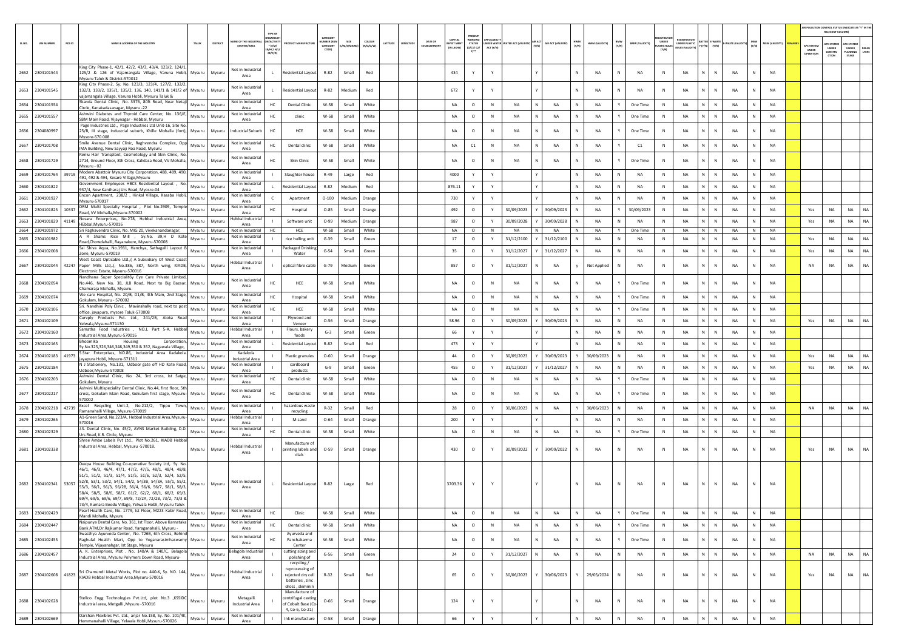|        |                             |                                                                                                                                            |          |                                     |                         |                                            |                    |             |               |                   |                     |                       |                                  |             |                           |   |                    |              |                |              |                       |                             |                                      |                          |             |              |                |                    | AIR POLLUTION CONTROL STATUS (INDICATE AS "Y" IN THE<br>RELEVANT COLUMN) |                       |
|--------|-----------------------------|--------------------------------------------------------------------------------------------------------------------------------------------|----------|-------------------------------------|-------------------------|--------------------------------------------|--------------------|-------------|---------------|-------------------|---------------------|-----------------------|----------------------------------|-------------|---------------------------|---|--------------------|--------------|----------------|--------------|-----------------------|-----------------------------|--------------------------------------|--------------------------|-------------|--------------|----------------|--------------------|--------------------------------------------------------------------------|-----------------------|
|        |                             | NAME & ADDRESS OF THE INDUSTR'                                                                                                             |          | AME OF THE INDUSTR                  | N/ACTIVI                |                                            | CATEGOR<br>MBER DO | SIZE        | <b>COLOUR</b> |                   | DATE OF             | CAPITAL               | PRESENT<br>WORKING               | NDER WATE   |                           |   |                    |              |                |              |                       | UNDER                       | <b>EGISTRATIC</b>                    | <b>TTER E-WASTE</b>      |             |              |                |                    |                                                                          |                       |
| SL.NO. | PCB ID<br><b>UIN NUMBER</b> | TALUR                                                                                                                                      | DISTRICT | <b>ESTATES/AREA</b>                 | $*(1/M)^*$<br>8/HC/ H/I |                                            | CATEGORY<br>CODE)  | /M/S/MICRO) | (R/O/G/W)     | ATITUDE<br>MGITUD | <b>ESTABLISHMEN</b> | EST MEI<br>(IN LAKHS) | <b>STATUS</b><br>(0/C1/C2)<br>Y1 | ACT (Y/N)   | ATER ACT (VALIDITY) (Y/N) |   | AIR ACT (VALIDITY) | HWM<br>(Y/N) | HWM (VALIDITY) | BMW<br>(Y/N) | <b>BMW (VALIDITY)</b> | <b>LASTIC RULE</b><br>(Y/N) | UNDER PLASTIC<br><b>ULES (VALIDI</b> | (Y/N)<br>[Y/N]           | -WASTE (VAL | (Y/N)        | MSW (VALIDITY) | APC SYSTER         | APC SYSTER<br><b>APC SYSTER</b><br>UNDER<br>UNDER<br>LANNING             | <b>DEFAL</b><br>LTERS |
|        |                             |                                                                                                                                            |          |                                     | CE/C/O)                 |                                            |                    |             |               |                   |                     |                       |                                  |             |                           |   |                    |              |                |              |                       |                             |                                      |                          |             |              |                | UNDER<br>OPERATION | CONSTRU<br>CTION<br>STAGE                                                |                       |
|        |                             | King City Phase-1, 42/1, 42/2, 43/3, 43/4, 123/2, 124/1,                                                                                   |          |                                     |                         |                                            |                    |             |               |                   |                     |                       |                                  |             |                           |   |                    |              |                |              |                       |                             |                                      |                          |             |              |                |                    |                                                                          |                       |
|        | 2652 2304101544             | 125/2 & 126 of Vajamangala Village, Varuna Hobli, Mysuru                                                                                   | Mysuru   | Not in Industria<br>Area            |                         | <b>Residential Layout</b>                  | R-82               | Small       | Red           |                   |                     | 434                   | Y                                |             |                           |   |                    | N            | NA             | ${\sf N}$    | NA                    | $\,$ N                      | NA<br>N                              | $\mathbb{N}$             | NA          |              | <b>NA</b>      |                    |                                                                          |                       |
|        |                             | Mysuru Taluk & District-570012<br>King City Phase-2, Sy. No. 123/3, 123/4, 127/2, 132/2,                                                   |          |                                     |                         |                                            |                    |             |               |                   |                     |                       |                                  |             |                           |   |                    |              |                |              |                       |                             |                                      |                          |             |              |                |                    |                                                                          |                       |
|        | 2653 2304101545             | 132/3, 133/2, 135/1, 135/2, 136, 140, 141/1 & 141/2 of Mysuru                                                                              | Mysuru   | Not in Industrial<br>Area           |                         | Residential Layout                         | R-82               | Medium      | Red           |                   |                     | 672                   | Y                                | Y           |                           |   |                    | N            | <b>NA</b>      | N            | NA                    | $\mathbb N$                 | NA<br>N                              | $\mathbb{N}$             | <b>NA</b>   | $\mathbf N$  | <b>NA</b>      |                    |                                                                          |                       |
|        |                             | vajamangala Village, Varuna Hobli, Mysuru Taluk &<br>Skanda Dental Clinic, No. 3376, 80ft Road, Near Netaji                                |          | Not in Industria                    |                         |                                            |                    |             |               |                   |                     |                       |                                  |             |                           |   |                    |              |                |              |                       |                             |                                      |                          |             |              |                |                    |                                                                          |                       |
|        | 2654 2304101554             | Mysuru<br>Circle, Kanakadasanagar, Mysuru -22                                                                                              | Mysuru   | Area                                | HC.                     | <b>Dental Clinic</b>                       | W-58               | Small       | White         |                   |                     | NA                    | $\circ$                          | N           | NA                        |   | <b>NA</b>          | N            | <b>NA</b>      | Y            | One Time              | N                           | N.<br>NA                             | N                        | <b>NA</b>   | $\mathbf N$  | NA             |                    |                                                                          |                       |
|        | 2655 2304101557             | Ashwini Diabetes and Thyroid Care Center, No. 136/E,<br>Mysuru                                                                             | Mysuru   | Not in Industrial<br>Area           | HC                      | clinic                                     | W-58               | Small       | White         |                   |                     | NA                    | $\circ$                          | ${\sf N}$   | NA                        |   | NA                 | $\mathbb N$  | NA             | Y            | One Time              | N                           | NA                                   | N<br>$\,$ N              | NA          | N            | <b>NA</b>      |                    |                                                                          |                       |
|        |                             | SBM Main Road, Vijaynagar - Hebbal, Mysuru<br>Page Industries Ltd., Page Industries Ltd Unit-16, Site No.                                  |          |                                     |                         |                                            |                    |             |               |                   |                     |                       |                                  |             |                           |   |                    |              |                |              |                       |                             |                                      |                          |             |              |                |                    |                                                                          |                       |
|        | 2656 2304080997             | 25/B, III stage, Industrial suburb, Khille Mohalla (fort), Mysuru<br>Mysore-570 008                                                        | Mysuru   | ndustrial Suburb                    | HC                      | HCE                                        | W-58               | Small       | White         |                   |                     | <b>NA</b>             | $\circ$                          | $\mathbb N$ | NA                        |   | NA                 | $\mathbb{N}$ | NA             |              | One Time              | ${\sf N}$                   | NA<br>N                              | $\mathbb{N}$             | NA          |              | NA             |                    |                                                                          |                       |
|        |                             | Smile Avenue Dental Clinic, Raghvendra Complex, Opp                                                                                        |          | Not in Industria                    |                         |                                            |                    |             |               |                   |                     |                       |                                  |             |                           |   |                    |              |                |              |                       |                             |                                      |                          |             | N            | <b>NA</b>      |                    |                                                                          |                       |
|        | 2657 2304101708             | Mysuru<br>IMA Building, New Sayyaji Roa Road, Mysuru                                                                                       | Mysuru   | Area                                | HC                      | Dental clinic                              | W-58               | Small       | White         |                   |                     | NA                    | C1                               | N           | NA                        |   | NA                 | N            | NA             | Y            | C1                    | N                           | NA                                   | $\mathsf{N}^-$<br>$\,$ N | NA          |              |                |                    |                                                                          |                       |
|        | 2658 2304101729             | Reniu Hair Transplant, Cosmetology and Skin Clinic, No.<br>2714, Ground Floor, 8th Cross, Kalidasa Road, VV Mohalla,<br>Mysuru             | Mysuru   | Not in Industria                    | нc                      | <b>Skin Clinic</b>                         | W-58               | Small       | White         |                   |                     | NA                    | $\circ$                          | N           | <b>NA</b>                 |   | NA                 | N            | NA             | Y            | One Time              | ${\sf N}$                   | NA<br>N                              | N                        | NA          |              | <b>NA</b>      |                    |                                                                          |                       |
|        |                             | Mysuru - 02                                                                                                                                |          | Area                                |                         |                                            |                    |             |               |                   |                     |                       |                                  |             |                           |   |                    |              |                |              |                       |                             |                                      |                          |             |              |                |                    |                                                                          |                       |
|        | 2659 2304101764 39719       | Modern Abattoir Mysuru City Corporation, 488, 489, 490,<br>Mysuru<br>491, 492 & 494, Kesare Village, Mysuru                                | Mysuru   | Not in Industrial<br>Area           |                         | Slaughter house                            | R-49               | Large       | Red           |                   |                     | 4000                  | Y                                | Y           |                           |   |                    | $\mathbb N$  | NA             | N            | <b>NA</b>             | ${\sf N}$                   | NA                                   | N<br>$\,$ N              | NA          | N            | <b>NA</b>      |                    |                                                                          |                       |
| 2660   | 2304101822                  | iovernment Employees HBCS Residential Layout, No.<br>Mysuru                                                                                | Mysuru   | Not in Industrial                   |                         | Residential Layou                          | R-82               | Medium      | Red           |                   |                     | 876.11                |                                  | Y           |                           |   |                    |              | NA             | ${\sf N}$    | <b>NA</b>             | $\mathbb N$                 | NA<br>N                              | N                        | NA          | $\mathbf N$  | NA             |                    |                                                                          |                       |
|        |                             | 937/4, New Kantharaj Urs Road, Myosre-04<br>Encon Apartment, 238/2, Hinkal Village, Kasaba Hobli,                                          |          | Area<br>Not in Industrial           |                         |                                            |                    |             |               |                   |                     |                       |                                  |             |                           |   |                    |              |                |              |                       |                             |                                      |                          |             |              |                |                    |                                                                          |                       |
|        | 2661 2304101927             | Mysuru<br>Mysuru-570017                                                                                                                    | Mysuru   | Area                                |                         | Apartment                                  | $O-100$            | Medium      | Orange        |                   |                     | 730                   | Y                                | Y           |                           |   |                    |              | <b>NA</b>      | N            | <b>NA</b>             | N                           | <b>NA</b>                            | N<br>$\mathbb{N}$        | NA          | N            | <b>NA</b>      |                    |                                                                          |                       |
|        | 2662 2304101825 10337       | DRM Multi Specialty Hospital , Plot No.2909, Temple<br>Mysuru<br>Road, VV Mohalla, Mysuru-570002                                           | Mysuru   | Not in Industrial<br>Area           | HC                      | Hospital                                   | $O-85$             | Small       | Orange        |                   |                     | 492                   | $\circ$                          | Y           | 30/09/2023                |   | 30/09/2023         | N            | <b>NA</b>      | Y            | 30/09/2023            | N                           | <b>NA</b><br>N                       | N                        | <b>NA</b>   | N            | <b>NA</b>      | Yes                | <b>NA</b><br><b>NA</b>                                                   | <b>NA</b>             |
|        | 2663 2304101829<br>41149    | Nesara Enterprises, No.278, Hebbal Industrial Area,<br>Mysuru                                                                              | Mysuru   | lebbal Industrial                   |                         | Software unit                              | $O-99$             | Medium      | Orange        |                   |                     | 987                   | $\circ$                          | Y           | 30/09/2028                |   | 30/09/2028         |              | <b>NA</b>      | N            | <b>NA</b>             | N                           | N.<br><b>NA</b>                      | N                        | <b>NA</b>   | N            | <b>NA</b>      | Yes                | <b>NA</b><br>NA                                                          | NA                    |
|        | 2664 2304101972             | HEbbal.Mysuru-570016<br>Sri Raghavendra Clinic, No. MIG 20, Vivekanandanagar, Mysuru Mysuru                                                |          | Area<br>Not in Industrial           | HC                      | HCE                                        | W-58               | Small       | White         |                   |                     | <b>NA</b>             | $\circ$                          | N           | <b>NA</b>                 |   | <b>NA</b>          | N            | <b>NA</b>      | Y            | One Time              | N                           | NA                                   | N<br>N                   | <b>NA</b>   | N            | <b>NA</b>      |                    |                                                                          |                       |
|        | 2665 2304101982             | A R Shams Rice Mill , Sy.No. 39,H D Kote<br>Mysuru                                                                                         | Mysuru   | Not in Industrial                   |                         | rice hulling unit                          | $G-39$             | Small       | Green         |                   |                     | 17                    | $\circ$                          | Y           | 31/12/2100                |   | 31/12/2100         | <b>N</b>     | <b>NA</b>      | N            | <b>NA</b>             | $\mathbb N$                 | <b>NA</b><br>N                       | N                        | <b>NA</b>   | N            | <b>NA</b>      | Yes                | <b>NA</b><br><b>NA</b>                                                   | NA                    |
|        |                             | Road, Chowdahalli, Rayanakere, Mysuru-570008<br>Sai Shiva Aqua, No.1931, Hanchya, Sathagalli Layout B                                      |          | Area<br>Not in Industrial           |                         |                                            |                    |             |               |                   |                     |                       |                                  |             |                           |   |                    |              |                |              |                       |                             |                                      |                          |             |              |                |                    |                                                                          |                       |
|        | 2666 2304102008             | Mysuru<br>Zone. Mysuru-570019                                                                                                              | Mysuru   | Area                                |                         | ackaged Drinking<br>Water                  | $G-54$             | Small       | Green         |                   |                     | 35                    | $\circ$                          |             | 31/12/2027                |   | 31/12/2027         |              | NA             | N            | NA                    | $\mathbb N$                 | NA<br>N                              | N                        | <b>NA</b>   | $\mathbf{N}$ | NA             | Yes                | NA<br>NA                                                                 | NA                    |
|        |                             | West Coast Opticable Ltd., (A Subsidiary Of West Coast<br>2667 2304102044 42247 Paper Mills Ltd,.), No.386, 387, North wing, KIADB, Mysuru | Mysuru   | Hebbal Industrial                   |                         | optical fibre cable                        | $G-79$             | Medium      | Green         |                   |                     | 857                   | $\circ$                          | Y           | 31/12/2027                |   | NA                 |              |                | N            | <b>NA</b>             | $\mathbb N$                 | NA<br>N                              | N                        | <b>NA</b>   | N            | <b>NA</b>      | <b>NA</b>          | <b>NA</b><br>NA                                                          | NA                    |
|        |                             | Electronic Estate, Mysuru-570016                                                                                                           |          | Area                                |                         |                                            |                    |             |               |                   |                     |                       |                                  |             |                           |   |                    |              | Not Applied    |              |                       |                             |                                      |                          |             |              |                |                    |                                                                          |                       |
|        |                             | Nandhana Super Specialit6y Eye Care Private Limited,                                                                                       |          | Not in Industrial                   | HC                      |                                            | W-58               | Small       | White         |                   |                     | <b>NA</b>             | $\circ$                          | N           | NA                        |   | <b>NA</b>          | N            | <b>NA</b>      | Y            | One Time              | $\mathbb{N}$                | <b>NA</b><br>N                       | N                        | <b>NA</b>   | $\mathsf{N}$ | <b>NA</b>      |                    |                                                                          |                       |
|        | 2668 2304102054             | No.446, New No. 38, JLB Road, Next to Big Bazaar,<br>Mysuru<br>Chamaraja Mohalla, Mysuru.                                                  | Mysuru   | Area                                |                         | HCE                                        |                    |             |               |                   |                     |                       |                                  |             |                           |   |                    |              |                |              |                       |                             |                                      |                          |             |              |                |                    |                                                                          |                       |
|        | 2669 2304102074             | We care Hospital, No. 20/B, D1/B, 4th Main, 2nd Stage,<br>Mysuru                                                                           | Mysuru   | Not in Industrial                   | HC                      | Hospital                                   | W-58               | Small       | White         |                   |                     | NA                    | $\circ$                          | N           | <b>NA</b>                 |   | <b>NA</b>          | N            | <b>NA</b>      | Y            | One Time              | N                           | <b>NA</b><br>N                       | N                        | <b>NA</b>   | N            | <b>NA</b>      |                    |                                                                          |                       |
|        |                             | Sokulam, Mysuru - 570002<br>Sri. Nandhini Poly Clinic, Mavinahally road, next to post                                                      |          | Area<br>Not in Industrial           |                         |                                            |                    |             |               |                   |                     |                       |                                  |             |                           |   |                    |              |                |              |                       |                             |                                      |                          |             |              |                |                    |                                                                          |                       |
|        | 2670 2304102106             | Mysuru<br>office, jayapura, mysore Taluk-570008                                                                                            | Mysuru   | Area                                | HC.                     | HCE                                        | W-58               | Small       | White         |                   |                     | <b>NA</b>             | $\circ$                          | N           | <b>NA</b>                 |   | <b>NA</b>          |              | <b>NA</b>      | Y            | One Time              | N                           | N.<br><b>NA</b>                      | N                        | <b>NA</b>   | $\mathbf N$  | <b>NA</b>      |                    |                                                                          |                       |
|        | 2671 2304102109             | Curvply Products Pvt. Ltd., 241/2B, Aloka Road<br>Mysuru<br>Yelwala, Mysuru-571130                                                         | Mysuru   | Not in Industrial<br>Area           |                         | Plywood and<br>Veneer                      | $O-56$             | Small       | Orange        |                   |                     | 58.96                 | $\circ$                          | Y           | 30/09/2023                |   | 30/09/2023         | N            | NA             | N            | <b>NA</b>             | $\mathbb N$                 | NA                                   | $\mathsf{N}^-$<br>N      | NA          | N            | NA             | Yes                | NA<br><b>NA</b>                                                          | <b>NA</b>             |
|        | 2672 2304102160             | Samatha Food Industries , NO.J, Part 5-A, Hebbal<br>Mysuru                                                                                 | Mysuru   | lebbal Industrial                   |                         | Flours, bakery                             | $G-3$              | Small       | Green         |                   |                     | 66                    | Y                                |             |                           |   |                    |              | NA             | ${\sf N}$    | NA                    | $\mathbb N$                 | NA<br>N                              | N                        | NA          | $\mathbb N$  | NA             |                    |                                                                          |                       |
|        |                             | Industrial Area, Mysuru-570016<br>Bhoomika<br>Housing<br>Corporation                                                                       |          | Area<br>Not in Industria            |                         | foods                                      |                    |             |               |                   |                     |                       |                                  |             |                           |   |                    |              |                |              |                       |                             |                                      |                          |             |              |                |                    |                                                                          |                       |
|        | 2673 2304102165             | Mysuru<br>Sy.No.325,326,346,348,349,350 & 352, Nagawala Village,                                                                           | Mysuru   | Area                                |                         | <b>Residential Layout</b>                  | R-82               | Small       | Red           |                   |                     | 473                   | Y                                | Y           |                           |   |                    |              | <b>NA</b>      | N            | <b>NA</b>             | N                           | <b>NA</b><br>N                       | N                        | NA          | $\mathbb N$  | <b>NA</b>      |                    |                                                                          |                       |
|        | 2674 2304102183 41973       | S.Star Enterprises, NO.86, Industrial Area Kadakola.<br>Mysuru<br>jayapura Hobli, Mysuru-571311                                            | Mysuru   | Kadakola<br><b>Industrial Area</b>  |                         | <b>Plastic granules</b>                    | $O - 60$           | Small       | Orange        |                   |                     | 44                    | $\circ$                          | Y           | 30/09/2023                |   | 30/09/2023         |              | 30/09/2023     | N            | NA                    | N                           | <b>NA</b>                            | N<br>N                   | <b>NA</b>   | N            | <b>NA</b>      | Yes                | <b>NA</b><br><b>NA</b>                                                   | NA                    |
|        | 2675 2304102184             | N J Stationery, No.131, Udboor gate off HD Kote Road,<br>Mysuru                                                                            | Mysuru   | Not in Industrial                   |                         | cardboard                                  | $G-9$              | Small       | Green         |                   |                     | 455                   | $\circ$                          | Y           | 31/12/2027                |   | 31/12/2027         |              | NA             | N            | <b>NA</b>             | $\mathbb N$                 | <b>NA</b><br>N                       | N                        | <b>NA</b>   | $\mathbf{N}$ | NA             | Yes                | <b>NA</b><br>NA                                                          | NA                    |
|        |                             | Udboor.Mysuru-570008<br>Ashwini Dental Clinic, No. 24, 3rd cross, Ist Satge,                                                               |          | Area<br>Not in Industrial           |                         | products                                   |                    |             |               |                   |                     |                       |                                  |             |                           |   |                    |              |                |              |                       |                             |                                      |                          |             |              |                |                    |                                                                          |                       |
|        | 2676 2304102203             | Mysuru<br>Gokulam, Mysuru                                                                                                                  | Mysuri   | Area                                | HC                      | Dental clinic                              | W-58               | Small       | White         |                   |                     | NA                    | $\circ$                          | N           | NA                        |   | NA                 | $\mathbb N$  | NA             | Y            | One Time              | N                           | NA                                   | N<br>${\sf N}$           | NA          | N            | <b>NA</b>      |                    |                                                                          |                       |
|        |                             | Ashvini Multispeciality Dental Clinic, No.44, first floor, 5th                                                                             |          | Not in Industrial                   | HC                      |                                            |                    |             |               |                   |                     |                       |                                  | N           | <b>NA</b>                 |   |                    | N            |                |              |                       | ${\sf N}$                   | N                                    | N                        |             |              | <b>NA</b>      |                    |                                                                          |                       |
|        | 2677 2304102217             | ross, Gokulam Main Road, Gokulam first stage, Mysuru-<br>Mysuru<br>570002                                                                  | Mysuru   | Area                                |                         | Dental clinic                              | W-58               | Small       | White         |                   |                     | NA                    | $\circ$                          |             |                           |   | NA                 |              | NA             |              | One Time              |                             | NA                                   |                          | NA          |              |                |                    |                                                                          |                       |
|        | 2678 2304102218 42739       | Excel Recycling Unit-2, No.212/2, Tippu Town,<br>Mysuru                                                                                    | Mysuru   | Not in Industria                    |                         | hazardous waste                            | $R-32$             | Small       | Red           |                   |                     | 28                    | $\circ$                          | Y           | 30/06/2023                |   | NA                 | Y            | 30/06/2023     | N            | <b>NA</b>             | ${\sf N}$                   | NA                                   | N<br>$\,$ N              | NA          | N            | NA             | NA                 | NA<br>NA                                                                 | NA                    |
|        |                             | Ramanahalli Village, Mysuru-570019<br>A1-Green Sand, No.223/A, Hebbal Industrial Area, Mysuru-                                             |          | Area<br>lebbal Industrial           |                         | recycling                                  |                    |             |               |                   |                     |                       |                                  |             |                           |   |                    |              |                |              |                       |                             |                                      |                          |             |              |                |                    |                                                                          |                       |
|        | 2679 2304102265             | Mysuru<br>570016                                                                                                                           | Mysuru   | Area                                |                         | M-sand                                     | $O - 64$           | Small       | Orange        |                   |                     | 200                   | Y                                | Y           |                           |   |                    |              | <b>NA</b>      | ${\sf N}$    | <b>NA</b>             | $\mathbb{N}$                | <b>NA</b>                            | N                        | NA          |              | <b>NA</b>      |                    |                                                                          |                       |
|        | 2680 2304102329             | J.S. Dental Clinic, No. 45/2, AVNS Market Building, D.D.<br>Mysuru<br>Urs Road, K.R. Circle, Mysuru                                        | Mysuru   | Not in Industrial<br>Area           |                         | Dental clinic                              | W-58               | Small       | White         |                   |                     | NA                    | $\circ$                          | ${\sf N}$   | <b>NA</b>                 |   | NA                 | $\mathbb N$  | NA             | Y            | One Time              | N                           | NA<br>N                              | $\mathbb{N}$             | NA          | $\mathbb N$  | <b>NA</b>      |                    |                                                                          |                       |
|        |                             | Shree Ambe Labels Pvt Ltd., Plot No.261, KIADB Hebbal                                                                                      |          |                                     |                         | Manufacture of                             |                    |             |               |                   |                     |                       |                                  |             |                           |   |                    |              |                |              |                       |                             |                                      |                          |             |              |                |                    |                                                                          |                       |
|        | 2681 2304102338             | Industrial Area, Hebbal, Mysuru -570018.<br>Mysuru                                                                                         | Mysuru   | lebbal Industrial<br>Area           |                         | printing labels and                        | $O-59$             | Small       | Orange        |                   |                     | 430                   | $\circ$                          | Y           | 30/09/2022                |   | 30/09/2022         |              | <b>NA</b>      | N            | <b>NA</b>             | $\mathsf{N}$                | <b>NA</b>                            | N                        | NA          |              | <b>NA</b>      | Yes                | NA<br>NA                                                                 | <b>NA</b>             |
|        |                             |                                                                                                                                            |          |                                     |                         | dials                                      |                    |             |               |                   |                     |                       |                                  |             |                           |   |                    |              |                |              |                       |                             |                                      |                          |             |              |                |                    |                                                                          |                       |
|        |                             | Deepa House Building Co-operative Society Ltd,. Sy. No.<br>46/1, 46/3, 46/4, 47/1, 47/2, 47/5, 48/1, 48/4, 48/8,                           |          |                                     |                         |                                            |                    |             |               |                   |                     |                       |                                  |             |                           |   |                    |              |                |              |                       |                             |                                      |                          |             |              |                |                    |                                                                          |                       |
|        |                             | 51/1 51/2 51/3 51/4 51/5 51/6 52/3 52/4 52/5                                                                                               |          |                                     |                         |                                            |                    |             |               |                   |                     |                       |                                  |             |                           |   |                    |              |                |              |                       |                             |                                      |                          |             |              |                |                    |                                                                          |                       |
|        | 2682 2304102341 53057       | 52/8, 53/1, 53/2, 54/1, 54/2, 54/3B, 54/3A, 55/1, 55/2,<br>Mysuru                                                                          | Mysuru   | Not in Industrial                   | $\mathbf{L}$            | <b>Residential Layout</b>                  | R-82               | Large       | Red           |                   |                     | 3703.36               | Y                                | Y           |                           |   |                    | N            | <b>NA</b>      | N            | NA                    | N                           | N<br><b>NA</b>                       | N                        | NA          | N            | <b>NA</b>      |                    |                                                                          |                       |
|        |                             | 55/3, 56/1, 56/3, 56/2B, 56/4, 56/6, 56/7, 58/1, 58/3,<br>58/4, 58/5, 58/6, 58/7, 61/2, 62/2, 68/1, 68/2, 69/3,                            |          | Area                                |                         |                                            |                    |             |               |                   |                     |                       |                                  |             |                           |   |                    |              |                |              |                       |                             |                                      |                          |             |              |                |                    |                                                                          |                       |
|        |                             | 69/4, 69/5, 69/6, 69/7, 69/8, 72/2A, 72/2B, 73/2, 73/3 &                                                                                   |          |                                     |                         |                                            |                    |             |               |                   |                     |                       |                                  |             |                           |   |                    |              |                |              |                       |                             |                                      |                          |             |              |                |                    |                                                                          |                       |
|        |                             | 73/4, Kumara Beedu Village, Yelwala Hobli, Mysuru Taluk<br>Pearl Health Care, No. 1779, Ist Floor, M223 Kabir Road,                        |          | Not in Industrial                   |                         |                                            |                    |             |               |                   |                     |                       |                                  |             |                           |   |                    |              |                |              |                       |                             |                                      |                          |             |              |                |                    |                                                                          |                       |
|        | 2683 2304102429             | Mysuru<br>Mandi Mohalla, Mysuru                                                                                                            | Mysuru   | Area                                | нc                      | Clinic                                     | W-58               | Small       | White         |                   |                     | NA                    | $\circ$                          | ${\sf N}$   | NA                        |   | NA                 | N            | NA             | Y            | One Time              | N                           | NA<br>N                              | $\mathbb{N}$             | NA          | $\mathbb N$  | NA             |                    |                                                                          |                       |
|        | 2684 2304102447             | Naipunya Dental Care, No. 361, Ist Floor, Above Karnataka<br>Mysuru<br>Bank ATM, Dr. Rajkumar Road, Yaraganahalli, Mysuru -                | Mysuru   | Not in Industrial<br>Area           | HC                      | Dental clinic                              | W-58               | Small       | White         |                   |                     | NA                    | $\circ$                          | N           | NA                        | N | NA                 | N            | NA             | Υ            | One Time              | N                           | NA                                   | N<br>N                   | NA          | N            | <b>NA</b>      |                    |                                                                          |                       |
|        |                             | Swasthya Ayurveda Center, No. 726B, 6th Cross, Behind                                                                                      |          | Not in Industrial                   |                         | Avurveda and                               |                    |             |               |                   |                     |                       |                                  |             |                           |   |                    |              |                |              |                       |                             |                                      |                          |             |              |                |                    |                                                                          |                       |
|        | 2685 2304102455             | Raghulal Health Mart, Opp to Yoganarasimhaswamy Mysuru<br>Temple, Vijayanahgar, Ist Stage, Mysuru                                          | Mysuru   | Area                                |                         | Panchakarma<br>Center                      | W-58               | Small       | White         |                   |                     | NA                    | $\circ$                          | N           | NA                        |   | NA                 | $\,$ N       | NA             | Υ            | One Time              | N                           | N<br>NA                              | $\mathbb N$              | NA          | $\mathbb N$  | <b>NA</b>      |                    |                                                                          |                       |
|        | 2686 2304102457             | A. K. Enterprises, Plot . No. 140/A & 140/C, Belagola                                                                                      |          | elagola Industria                   |                         | cutting sizing and                         | $G-56$             |             | Green         |                   |                     | 24                    |                                  | Y           | 31/12/2027                |   | NA                 | $\mathbb N$  | NA             |              | NA                    | N                           | N                                    | N                        |             | N            | <b>NA</b>      | NA                 | <b>NA</b><br>NA                                                          | NA                    |
|        |                             | Mysuru<br>Industrial Area, Mysuru Polymers Down Road, Mysuru-                                                                              | Mysuru   | Area                                |                         | polishing of                               |                    | Small       |               |                   |                     |                       | $\circ$                          |             |                           |   |                    |              |                | $\,N\,$      |                       |                             | NA                                   |                          | NA          |              |                |                    |                                                                          |                       |
|        |                             |                                                                                                                                            |          |                                     |                         | recycling /<br>reprocessing of             |                    |             |               |                   |                     |                       |                                  |             |                           |   |                    |              |                |              |                       |                             |                                      |                          |             |              |                |                    |                                                                          |                       |
|        |                             | 2687 2304102608 41823 Sri Chamundi Metal Works, Plot no. 440-K, Sy. NO. 144, Mysuru                                                        | Mysuru   | <b>Hebbal Industrial</b><br>Area    |                         | rejected dry cell                          | $R - 32$           | Small       | Red           |                   |                     | 65                    | $\circ$                          | Y           | 30/06/2023                |   | 30/06/2023         | Y            | 29/05/2024     | N            | <b>NA</b>             | N                           | NA<br>N                              | $\mathbb{N}$             | NA          | $\mathsf{N}$ | <b>NA</b>      | Yes                | <b>NA</b><br>NA                                                          | NA                    |
|        |                             |                                                                                                                                            |          |                                     |                         | batteries, zinc<br>dross, skimmin          |                    |             |               |                   |                     |                       |                                  |             |                           |   |                    |              |                |              |                       |                             |                                      |                          |             |              |                |                    |                                                                          |                       |
|        |                             |                                                                                                                                            |          |                                     |                         | Manufacture of                             |                    |             |               |                   |                     |                       |                                  |             |                           |   |                    |              |                |              |                       |                             |                                      |                          |             |              |                |                    |                                                                          |                       |
|        | 2688 2304102628             | Stellco Engg Technologies Pvt.Ltd, plot No.3 ,KSSIDC Mysuru<br>ndustrial area, Metgalli , Mysuru -570016                                   | Mysuru   | Metagalli<br><b>Industrial Area</b> |                         | centrifugal casting<br>of Cobalt Base (Co- | $O - 66$           | Small       | Orange        |                   |                     | 124                   | Y                                | Y           |                           |   |                    | N            | NA             | ${\sf N}$    | <b>NA</b>             | $\,$ N                      | N.<br>NA                             | N                        | NA          | $\mathbf N$  | <b>NA</b>      |                    |                                                                          |                       |
|        |                             |                                                                                                                                            |          |                                     |                         | 4, Co-6, Co-21)                            |                    |             |               |                   |                     |                       |                                  |             |                           |   |                    |              |                |              |                       |                             |                                      |                          |             |              |                |                    |                                                                          |                       |
|        | 2689 2304102669             | Darshan Flexibles Pvt. Ltd., anjar No.158, Sy. No. 101/4K,<br>Mysuru<br>Iemmanahalli Village, Yelwala Hobli, Mysuru-570026                 | Mysuru   | Not in Industrial<br>Area           |                         | Ink manufacture                            | $O-58$             | Small       | Orange        |                   |                     | 66                    | Y                                | Y           |                           |   |                    | $\mathbb N$  | NA             | ${\sf N}$    | NA                    | $\,$ N                      | NA<br>N                              | N                        | <b>NA</b>   | $\mathbb N$  | <b>NA</b>      |                    |                                                                          |                       |
|        |                             |                                                                                                                                            |          |                                     |                         |                                            |                    |             |               |                   |                     |                       |                                  |             |                           |   |                    |              |                |              |                       |                             |                                      |                          |             |              |                |                    |                                                                          |                       |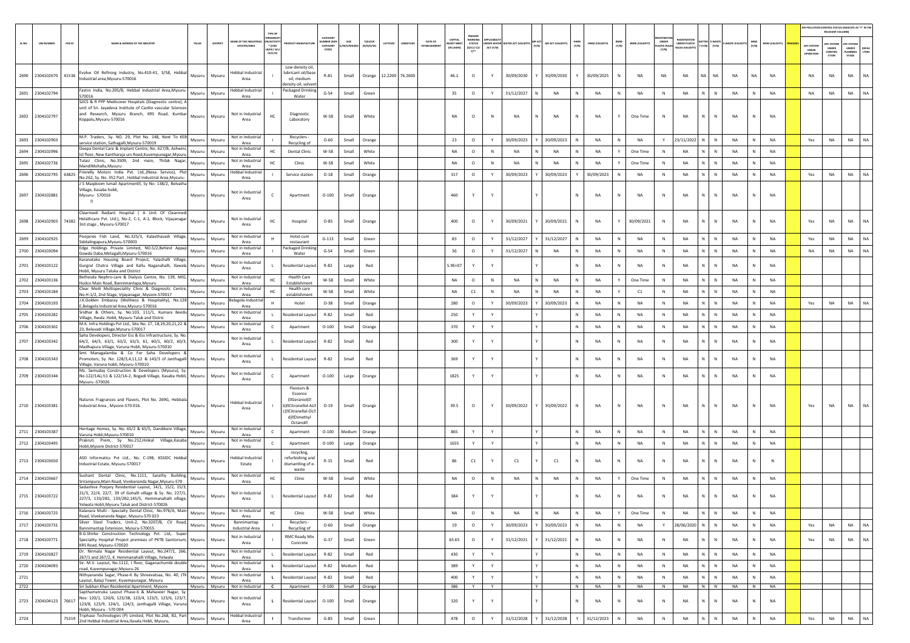|        |                       |                                                                                                                                                                                                                                |        |          |                                                                |                                                      |                                                                                                                                  |                                 |                             |                            |                        |                        |                                  |                                             |                              |                 |                   |                   |                 |                   |                       |                               |                                   |                                        |                  |                   |                        |                                         | AIR POLLUTION CONTROL STATUS (INDICATE AS "Y" IN THI<br>RELEVANT COLUMN) |                                         |                       |
|--------|-----------------------|--------------------------------------------------------------------------------------------------------------------------------------------------------------------------------------------------------------------------------|--------|----------|----------------------------------------------------------------|------------------------------------------------------|----------------------------------------------------------------------------------------------------------------------------------|---------------------------------|-----------------------------|----------------------------|------------------------|------------------------|----------------------------------|---------------------------------------------|------------------------------|-----------------|-------------------|-------------------|-----------------|-------------------|-----------------------|-------------------------------|-----------------------------------|----------------------------------------|------------------|-------------------|------------------------|-----------------------------------------|--------------------------------------------------------------------------|-----------------------------------------|-----------------------|
| SL.NO. | <b>UIN NUMBER</b>     | PCB ID<br><b>NAME &amp; ADDRESS OF THE INDUSTR</b>                                                                                                                                                                             | TALUK  | DISTRICT | AME OF THE INDUSTI<br><b>ESTATES/AREA</b>                      | N/ACTIVI<br>$*$ (i/M/<br><b>LB/HC/ H/L</b><br>CE/C/O |                                                                                                                                  | UMBER (XG)<br>CATEGORY<br>CODE) | SIZE<br><b>M/S/MICRO</b>    | <b>COLOUR</b><br>(R/O/G/W) | LATITUDE<br>MGITUE     | DATE OF<br>ESTABLISHME | CAPITAL<br>VEST MEN<br>IN LAKHS) | <b>WORKIN</b><br>STATUS<br>(0/C1/ C2/<br>Y1 | <b>DER WATE</b><br>ACT (Y/N) | ATER ACT (VALIE | AIR ACT (VALIDITY | HWM<br>(Y/N)      | HWM (VALIDITY)  | BMW<br>(Y/N)      | <b>BMW (VALIDITY)</b> | UNDER<br>ASTIC RULES<br>(Y/N) | UNDER PLASTIC<br>IULES (VALIDITY) | <b>ITTER E-WAST</b><br>$(Y/N)$ $(Y/N)$ | <b>WASTE</b> (VA | (Y/N)             | <b>MSW (VALIDITY)</b>  | APC SYSTEM<br><b>UNDER</b><br>IPERATION | APC SYSTEM<br>UNDER<br>CONSTRU<br><b>CTION</b>                           | APC SYSTER<br>UNDER<br>LANNING<br>STAGE | <b>DEFAU</b><br>LTERS |
|        |                       | 2690 2304102670 41536 Evolve Oil Refining Industry, No.410-41, 3/58, Hebbal<br>Industrial area.Mysuru-570016                                                                                                                   | Mysuru | Mysuru   | lebbal Industria<br>Area                                       |                                                      | Low density oil,<br>lubricant oil/base<br>oil. medium<br>ensity oil, solver                                                      | $R - 81$                        | Small                       |                            | Orange 12.2200 76.2600 |                        | 46.1                             | $\circ$                                     | Y                            | 30/09/2030      | 30/09/2030        |                   | 30/09/2025      | N                 | NA                    | NA                            | NA                                | NA I<br><b>NA</b>                      | <b>NA</b>        | <b>NA</b>         | <b>NA</b>              | NA                                      | <b>NA</b>                                                                | <b>NA</b>                               | <b>NA</b>             |
|        | 2691 2304102794       | Fastro India, No.205/B, Hebbal Industrial Area, Mysuru-<br>570016                                                                                                                                                              | Mysuru | Mysuru   | <b>Hebbal Industrial</b><br>Area                               |                                                      | Packaged Drinking<br>Water                                                                                                       | $G-54$                          | Small                       | Green                      |                        |                        | 35                               | $\circ$                                     | Y                            | 31/12/2027      | NA                | N                 | <b>NA</b>       | N                 | NA                    | N                             | <b>NA</b>                         | N<br>$\mathbb N$                       | NA               | N                 | <b>NA</b>              | <b>NA</b>                               | NA                                                                       | <b>NA</b>                               | <b>NA</b>             |
|        | 2692 2304102797       | SJICS & R PPP Medicover Hospitals (Diagnostic centre), A<br>unit of Sri. Jayadeva Institute of Cardio vascular Science:<br>and Research, Mysuru Branch, KRS Road, Kumbar<br>Koppalu, Mysuru-570016                             | Mysuru | Mysuru   | Not in Industrial<br>Area                                      | HC                                                   | Diagnostic<br>Laboratory                                                                                                         | W-58                            | Small                       | White                      |                        |                        | <b>NA</b>                        | $\circ$                                     | N                            | NA              | NA<br>N           | N                 | <b>NA</b>       |                   | One Time              | N                             | NA                                | N<br>$\mathbb N$                       | NA               |                   | <b>NA</b>              |                                         |                                                                          |                                         |                       |
| 2693   | 2304102903            | M.P. Traders, Sy. NO. 29, Plot No. 148, Next To KEB<br>service station, Sathagalli, Mysuru-570019                                                                                                                              | Mysuru | Mysuru   | Not in Industrial<br>Area                                      |                                                      | Recyclers -<br>Recycling of                                                                                                      | $O - 60$                        | Small                       | Orange                     |                        |                        | 23                               | $\circ$                                     | Y                            | 30/09/2023      | 30/09/2023        | $\mathbb{N}$      | <b>NA</b>       | N                 | NA                    | Y                             | 23/11/2022                        | N<br>$\,$ N                            | <b>NA</b>        | N                 | <b>NA</b>              | Yes                                     | NA                                                                       | <b>NA</b>                               | NA                    |
| 2694   | 2304102996            | Deepa Dental Care & Implant Centre, No. 627/B, Ashwini,<br>Ist floor, New Kantharaja urs Road, Kuvempunagar, Mysuru                                                                                                            | Mvsuru | Mysuru   | Not in Industrial<br>Area                                      | HC                                                   | Dental Clinic                                                                                                                    | W-58                            | Small                       | White                      |                        |                        | <b>NA</b>                        | $\circ$                                     | N                            | <b>NA</b>       | <b>NA</b>         | N                 | <b>NA</b>       | Y                 | One Time              | N                             | <b>NA</b>                         | $\mathbb N$<br>N.                      | <b>NA</b>        | N                 | <b>NA</b>              |                                         |                                                                          |                                         |                       |
| 2695   | 2304102736            | Tulasi Clinic, No.3509, 2nd main, Thilak Nagar,<br>MandiMohalla, Mysuru                                                                                                                                                        | Mysuru | Mysuru   | Not in Industria<br>Area                                       | HC                                                   | Clinic                                                                                                                           | W-58                            | Small                       | White                      |                        |                        | <b>NA</b>                        | $\circ$                                     | N                            | NA              | NA                |                   | NA              |                   | One Time              | $\mathbb{N}$                  | <b>NA</b>                         | N<br>N                                 | NA               |                   | NA                     |                                         |                                                                          |                                         |                       |
|        | 2696 2304102795 63825 | Friendly Motors India Pvt. Ltd, (Nexa Service), Plot                                                                                                                                                                           | Mysuru | Mysuru   | Hebbal Industrial                                              |                                                      | Service station                                                                                                                  | $O-18$                          | Small                       | Orange                     |                        |                        | 317                              | $\circ$                                     | Y                            | 30/09/2023      | 30/09/2023        | Y                 | 30/09/2023      | N                 | NA                    | $\,$ N                        | NA                                | N  <br>$\mathbb N$                     | NA               | N                 | <b>NA</b>              | Yes                                     | NA                                                                       | NA                                      | NA                    |
|        | 2697 2304102881       | No.262, Sy. No. 352 Part, Hebbal Industrial Area, Mysuru-<br>S Maqdoom Ismail Apartment <sup>2</sup> , Sy No: 138/2, Belvatha<br>/illage, Kasaba hobli,<br>Mysuru- 570016<br>固                                                 | Mysuru | Mysuru   | Area<br>Not in Industrial<br>Area                              |                                                      | Apartment                                                                                                                        | $O-100$                         | Small                       | Orange                     |                        |                        | 460                              |                                             |                              |                 |                   | N                 | <b>NA</b>       | N                 | NA                    | N                             | NA                                | N<br>$\mathbb N$                       | NA               |                   | <b>NA</b>              |                                         |                                                                          |                                         |                       |
|        | 2698 2304102903 74382 | Clearmedi Radiant Hospital ( A Unit Of Clearmed<br>Helathcare Pvt. Ltd.), No-2, C-1, A-1, Block, Vijayanagar<br>3rd stage, Mysuru-570017                                                                                       | Mysuru | Mysuru   | Not in Industrial<br>Area                                      | HC                                                   | Hospital                                                                                                                         | $O-85$                          | Small                       | Orange                     |                        |                        | 400                              | $\circ$                                     |                              | 30/09/2021      | 30/09/2021        | N                 | NA              | Y                 | 30/09/2021            | N                             | <b>NA</b>                         | N<br>N                                 | NA               |                   | <b>NA</b>              | Yes                                     | NA                                                                       | <b>NA</b>                               | NA.                   |
| 2699   | 2304102925            | Poojaries Fish Land, No.325/3, Kalasthavadi Village,<br>Siddalingapura, Mysuru-570003                                                                                                                                          | Mysuru | Mysuru   | Not in Industrial<br>Area                                      |                                                      | Hotel cum<br>restaurant                                                                                                          | $G-113$                         | Small                       | Green                      |                        |                        | 83                               | $\circ$                                     | Y                            | 31/12/2027      | 31/12/2027        | N                 | <b>NA</b>       | N                 | <b>NA</b>             | N                             | <b>NA</b>                         | N.<br>$\mathbb{N}$                     | <b>NA</b>        |                   | <b>NA</b>              | Yes                                     | NA                                                                       | <b>NA</b>                               | NA                    |
| 2700   | 2304103094            | Edge Holdings Private Limited, NO.5/2, Behind Appaji<br>Gowda Daba, Metagalli, Mysuru-570016                                                                                                                                   | Mysuru | Mysuru   | Not in Industrial<br>Area                                      |                                                      | ackaged Drinking<br>Water                                                                                                        | $G-54$                          | Small                       | Green                      |                        |                        | 36                               | $\circ$                                     |                              | 31/12/2027      | NA                |                   | NA              | N                 | NA                    | N                             | <b>NA</b>                         | N<br>N                                 | NA               |                   | NA                     | NA                                      | <b>NA</b>                                                                | <b>NA</b>                               | <b>NA</b>             |
|        | 2701 2304103122       | Karanataka Housing Board Project, Yalachalli Village,<br>Gurgral Chatra Village and Kallu Naganahalli, Ilawala Mysuru<br>Hobli, Mysuru Taluka and District                                                                     |        | Mysuru   | Not in Industrial<br>Area                                      |                                                      | Residential Layou                                                                                                                | R-82                            | Large                       | Red                        |                        |                        | $5.9E + 07$                      |                                             |                              |                 |                   | N                 | <b>NA</b>       | N                 | NA                    | N                             | <b>NA</b>                         | N<br>N                                 | <b>NA</b>        | N                 | <b>NA</b>              |                                         |                                                                          |                                         |                       |
| 2702   | 2304103136            | Bethesda Nephro-care & Dialysis Centre, No. 139, MIG,<br>Hudco Main Road, Bannimantapa, Mysuru                                                                                                                                 | Mysuru | Mysuru   | Not in Industria<br>Area                                       | HC                                                   | <b>Health Care</b><br>Establishment                                                                                              | W-58                            | Small                       | White                      |                        |                        | <b>NA</b>                        | $\circ$                                     | N                            | NA              | N<br>NA           | N                 | NA              | Y                 | One Time              | N                             | <b>NA</b>                         | N<br>${\sf N}$                         | NA               |                   | NA                     |                                         |                                                                          |                                         |                       |
|        | 2703 2304103184       | Clear Medi Multispeciality Clinic & Diagnositc Centre,<br>No.H-1/2, 2nd Stage, Vijayanagar, Mysore-570017                                                                                                                      | Mysuru | Mysuru   | Not in Industrial<br>Area                                      | HC                                                   | Health care<br>establishment                                                                                                     | W-58                            | Small                       | White                      |                        |                        | NA                               | C1                                          | N                            | NA              | N<br>NA           | N                 | NA              | Y                 | C1                    | $\,$ N                        | NA                                | N<br>$\,$ N                            | NA               | N                 | <b>NA</b>              |                                         |                                                                          |                                         |                       |
| 2704   | 2304103193            | J.K.Golden Embassy (Wellness & Hospitality), No.128<br>E, Belagola Industrial Area, Mysuru-570016                                                                                                                              | Mysuru | Mysuru   | lagola Industria<br>Area                                       |                                                      | Hotel                                                                                                                            | $O-38$                          | Small                       | Orange                     |                        |                        | 280                              | $\circ$                                     | Y                            | 30/09/2023      | 30/09/2023        | N                 | NA              | N                 | NA                    | N                             | NA                                | N.<br>${\sf N}$                        | NA               |                   | NA                     | Yes                                     | NA                                                                       | NA                                      | <b>NA</b>             |
| 2705   | 2304103282            | Sridhar & Others, Sy. No.103, 111/1, Kumara Beedu<br>Village, Ilwala Hobli, Mysuru Taluk and Distric                                                                                                                           | Mysuru | Mysuru   | Not in Industrial<br>Area                                      |                                                      | Residential Layout                                                                                                               | $R - 82$                        | Small                       | Red                        |                        |                        | 250                              | Y                                           |                              |                 |                   | N                 | <b>NA</b>       | N                 | NA                    | N                             | NA                                | N<br>$\mathbb N$                       | NA               | N                 | <b>NA</b>              |                                         |                                                                          |                                         |                       |
| 2706   | 2304103302            | M.K. Infra Holdings Pvt Ltd., Site No. 17, 18,19,20,21,22 &<br>23, Belavadi Village, Mysuru-570017                                                                                                                             | Mysuru | Mysuru   | Not in Industrial<br>Area                                      | C.                                                   | Apartment                                                                                                                        | $O-100$                         | Small                       | Orange                     |                        |                        | 370                              | Y                                           | Y                            |                 |                   | N                 | <b>NA</b>       | N                 | <b>NA</b>             | N                             | <b>NA</b>                         | N<br>N                                 | <b>NA</b>        | N                 | NA                     |                                         |                                                                          |                                         |                       |
|        | 2707 2304103342       | Saha Developers, Director Ess & Ess Infrastructure, Sy. No.<br>64/2, 64/3, 63/1, 63/2, 63/3, 61, 60/1, 60/2, 60/3, Mysuru<br>Madhapura Village, Varuna Hobli, Mysuru-570010                                                    |        | Mysuru   | Not in Industrial<br>Area                                      |                                                      | Residential Layou                                                                                                                | R-82                            | Small                       | Red                        |                        |                        | 300                              |                                             |                              |                 |                   | N                 | <b>NA</b>       | N                 | <b>NA</b>             | $\mathbb{N}$                  | <b>NA</b>                         | N.<br>$\mathbb{N}$                     | <b>NA</b>        |                   | <b>NA</b>              |                                         |                                                                          |                                         |                       |
| 2708   | 2304103343            | Smt Managalamba & Co For Saha Developers &<br>romoters, Sy. No. 128/3,4,11,12 & 143/3 of Janthagalli Mysuru<br>/illage, Varuna hobli, Mysuru-570010                                                                            |        | Mysuru   | Not in Industrial<br>Area                                      |                                                      | Residential Layout                                                                                                               | R-82                            | Small                       | Red                        |                        |                        | 369                              | Y                                           |                              |                 |                   | N                 | <b>NA</b>       | N                 | NA                    | N                             | <b>NA</b>                         | ${\sf N}$                              | <b>NA</b>        |                   | <b>NA</b>              |                                         |                                                                          |                                         |                       |
|        | 2709 2304103344       | Ms. Samuday Construction & Developers (Mysuru), Sy.<br>No.122/1Aï¿1/1 & 122/1A-2, Bogadi Village, Kasaba Hobli, Mysuru<br>Mysuru -570026                                                                                       |        | Mysuru   | Not in Industrial<br>Area                                      |                                                      | Apartment                                                                                                                        | $O-100$                         | Large                       | Orange                     |                        |                        | 1825                             | Y                                           |                              |                 |                   | N                 | <b>NA</b>       | N                 | NA                    | $\,$ N                        | NA                                | N<br>$\mathbb N$                       | NA               | $\mathbb{N}$      | <b>NA</b>              |                                         |                                                                          |                                         |                       |
|        | 2710 2304103381       | Natures Fragrances and Flavors, Plot No. 269G, Hebbala<br>Industrial Area, Mysore-570 016.                                                                                                                                     | Mysuru | Mysuru   | Hebbal Industrial<br>Area                                      |                                                      | Flavours &<br>Essence<br>(@Geraniol)<br>b) <b>ECitronellol-ALE</b><br>c)@Citranellal-OLE<br>d) <sup>2</sup> Dimethyl<br>Octanola | $O-19$                          | Small                       | Orange                     |                        |                        | 39.5                             | $\circ$                                     | Y                            | 30/09/2022      | Y 30/09/2022      | N                 | <b>NA</b>       |                   | NA                    | $\mathbb{N}$                  | <b>NA</b>                         | N<br>$\mathbb{N}$                      | <b>NA</b>        |                   | <b>NA</b>              | Yes                                     | <b>NA</b>                                                                | <b>NA</b>                               |                       |
|        | 2711 2304103387       | Heritage Homes, Sy. No. 65/2 & 65/5, Dandikere Village,                                                                                                                                                                        | Mysuru | Mysuru   | Not in Industrial                                              | $\epsilon$                                           | Apartment                                                                                                                        | $O-100$                         | Medium                      | Orange                     |                        |                        | 865                              |                                             |                              |                 |                   | $\mathbb{N}$      | NA              | N                 | NA                    | $\,$ N                        | NA                                | N<br>$\mathbb N$                       | NA               | N                 | <b>NA</b>              |                                         |                                                                          |                                         |                       |
|        | 2712 2304103495       | Varuna Hobli, Mysuru-570010<br>Prakruti Prem, Sy No.212, Hinkal Village, Kasaba                                                                                                                                                | Mysuru | Mysuru   | Area<br>Not in Industrial                                      | $\mathsf{C}$                                         | Apartment                                                                                                                        | $O-100$                         | Large                       | Orange                     |                        |                        | 1655                             | Y                                           | Y                            |                 |                   | N                 | <b>NA</b>       | N                 | NA                    | N                             | <b>NA</b>                         | N<br>N I                               | <b>NA</b>        | N                 | <b>NA</b>              |                                         |                                                                          |                                         |                       |
|        | 2713 2304103650       | Hobli, Mysore District-570017<br>ASD Informatics Pvt Ltd., No. C-198, KSSIDC Hebbal<br>Industrial Estate, Mysuru-570017                                                                                                        | Mysuru | Mysuru   | Area<br>Hebbal Industria<br>Estate                             |                                                      | recycling,<br>refurbishing and<br>dismantling of e                                                                               | $R - 15$                        | Small                       | Red                        |                        |                        | 86                               | C1                                          |                              | C1              | C1                | $\mathbb{N}$      | <b>NA</b>       |                   | NA                    | $\mathbb{N}$                  | <b>NA</b>                         | N<br>$\mathbb{N}$                      | <b>NA</b>        |                   | N                      |                                         |                                                                          |                                         |                       |
|        | 2714 2304103667       | Sushant Dental Clinic, No.1111, Sarathy Building,<br>Srirampura, Main Road, Vivekananda Nagar, Mysuru-570                                                                                                                      | Mysuru | Mysuru   | Not in Industrial<br>Area                                      | HC                                                   | waste<br>Clinic                                                                                                                  | W-58                            | Small                       | White                      |                        |                        | NA                               | $\circ$                                     | N                            | NA              | NA                | N                 | NA              |                   | One Time              | ${\sf N}$                     | NA                                | ${\sf N}$                              | NA               |                   | <b>NA</b>              |                                         |                                                                          |                                         |                       |
|        | 2715 2304103722       | Sadashiva Poojary Residential Layout, 14/1, 15/2, 15/3,<br>21/3, 22/4, 22/7, 39 of Gohalli village & Sy. No. 227/1,<br>227/3, 133/2B1, 133/2B2,145/5, Hemmanahalli village,<br>Yelwala Hobli, Mysuru Taluk and District-570026 | Mysuru | Mysuru   | Not in Industrial<br>Area                                      |                                                      | Residential Layout                                                                                                               | R-82                            | Small                       | Red                        |                        |                        | 384                              |                                             |                              |                 |                   | N                 | <b>NA</b>       |                   | NA                    | N                             | NA                                | N<br>N                                 | NA               |                   | <b>NA</b>              |                                         |                                                                          |                                         |                       |
|        | 2716 2304103725       | Kalanara Multi - Specialty Dental Clinic, No.976/A, Main<br>Road, Vivekananda Nagar, Mysuru-570 023                                                                                                                            | Mysuru | Mysuru   | Not in Industrial<br>Area                                      | HC                                                   | Clinic                                                                                                                           | W-58                            | Small                       | White                      |                        |                        | NA                               | $\circ$                                     | N                            | NA              | NA                | N                 | NA              | Y                 | One Time              | N                             | NA                                | N<br>$\mathbb N$                       | NA               | N                 | NA                     |                                         |                                                                          |                                         |                       |
|        | 2717 2304103731       | Silver Steel Traders, Unit-2, No.3207/B, CV Road,<br>Bannimantap Extension, Mysuru-570015                                                                                                                                      | Mysuru | Mysuru   | Bannimantap<br>Industrial Area                                 |                                                      | Recyclers -<br>Recycling of                                                                                                      | $O - 60$                        | Small                       | Orange                     |                        |                        | 19                               | $\circ$                                     | Y                            | 30/09/2023      | 30/09/2023        | N                 | NA              | $\,N\,$           | NA                    | Y                             | 28/06/2020                        | $N$ $N$                                | NA               | N                 | <b>NA</b>              | Yes                                     | NA                                                                       | <b>NA</b>                               | <b>NA</b>             |
|        | 2718 2304103771       | B.G.Shirke Construction Technology Pvt. Ltd,. Super<br>Speciality Hospital Project premises of PKTB Sanitorium, Mysuru<br>KRS Road, Mysuru-570020                                                                              |        | Mysuru   | Not in Industrial<br>Area                                      |                                                      | RMC Ready Mix<br>Concrete                                                                                                        | $G-37$                          | Small                       | Green                      |                        |                        | 65.65                            | $\circ$                                     |                              | 31/12/2021      | 31/12/2021        | Ν                 | NA              | N                 | NA                    | $\,$ N                        | <b>NA</b>                         | N<br>$\mathbb N$                       | NA               | N                 | NA                     | Yes                                     | NA                                                                       | <b>NA</b>                               | <b>NA</b>             |
|        | 2719 2304103827       | Dr. Nirmala Nagar Residential Layout, No.247/1, 266,<br>267/1 and 267/2, K. Hemmanahalli Village, Yelwala                                                                                                                      | Mysuru | Mysuru   | Not in Industrial<br>Area                                      |                                                      | Residential Layout                                                                                                               | R-82                            | Small                       | Red                        |                        |                        | 430                              | Y                                           | Y                            |                 |                   | N                 | NA              | $\,N\,$           | NA                    | N                             | NA                                | $N$ $N$                                | NA               | N                 | NA                     |                                         |                                                                          |                                         |                       |
| 2720   | 2304104093            | Sir. M.V. Layout, No.1112, I floor, Gaganachumbi double<br>road, Kuvempunagar, Mysuru-26                                                                                                                                       | Mysuru | Mysuru   | Not in Industria<br>Area                                       | $\mathbf{L}$                                         | Residential Layout                                                                                                               | $R - 82$                        | Medium                      | Red                        |                        |                        | 389                              | Y                                           | Y                            |                 |                   | ${\sf N}$         | NA              | N                 | NA                    | N                             | NA                                | N<br>$\,$ N                            | NA               | N                 | NA                     |                                         |                                                                          |                                         |                       |
| 2721   |                       | Nithyananda Sagar, Phase-6 By Shreevatsaa, No. 40, JTK<br>Layout, Balaji Tower, Kuvempunagar, Mysuru                                                                                                                           | Mysuru | Mysuru   | Not in Industria<br>Area                                       | $\mathbf{L}$                                         | <b>Residential Layout</b>                                                                                                        | $R - 82$                        | Small                       | Red                        |                        |                        | 400                              | Y                                           | Y                            |                 |                   | N                 | NA              | N                 | NA                    | N                             | NA                                | N<br>$\,$ N                            | NA               | N                 | <b>NA</b>              |                                         |                                                                          |                                         |                       |
| 2722   | 2723 2304104123 76617 | Sri Subhan Khan Residential Apartment, Mysore<br>Sapthamatruka Layout Phase-6 & Mahaveer Nagar, Sy<br>Nos: 120/1, 120/6, 123/3B, 123/4, 123/5, 123/6, 123/7,<br>123/8, 123/9, 124/1, 124/3, Janthagalli Village, Varuna        | Mysuru | Mysuru   | Mysuru Mysuru Not in Industrial C<br>Not in Industrial<br>Area | $\mathbf{L}$                                         | Apartment<br><b>Residential Layout</b>                                                                                           | $O-100$                         | O-100 Small Orange<br>Small | Orange                     |                        |                        | 386<br>320                       | Y<br>Y                                      | Y<br>Y                       |                 | Y                 | N<br>$\mathbb{N}$ | <b>NA</b><br>NA | N<br>$\mathsf{N}$ | <b>NA</b><br>NA       | N<br>$\,$ N                   | <b>NA</b><br>NA                   | N N<br>$\mathbb{N}$<br>$\mathbb N$     | <b>NA</b><br>NA  | N<br>$\mathbf{N}$ | <b>NA</b><br><b>NA</b> |                                         |                                                                          |                                         |                       |
| 2724   |                       | Hobli, Mysuru - 570 004<br>Triphase Technologies (P) Limited, Plot No.268, B2, Part<br>75319                                                                                                                                   | Mysuru | Mysuru   | Hebbal Industria                                               | $\mathbf{L}$                                         | Transformer                                                                                                                      | $G-85$                          | Small                       | Green                      |                        |                        | 478                              | $\circ$                                     | Y                            | 31/12/2028      | 31/12/2028        |                   | 31/12/2023      | N                 | NA                    | $\,$ N                        | NA                                | N<br>$\mathbb N$                       | NA               | N                 | NA                     | Yes                                     | $_{\sf NA}$                                                              | <b>NA</b>                               | <b>NA</b>             |
|        |                       | 2nd Hebbal Industrial Area, Ilavala Hobli, Mysuru,                                                                                                                                                                             |        |          | Area                                                           |                                                      |                                                                                                                                  |                                 |                             |                            |                        |                        |                                  |                                             |                              |                 |                   |                   |                 |                   |                       |                               |                                   |                                        |                  |                   |                        |                                         |                                                                          |                                         |                       |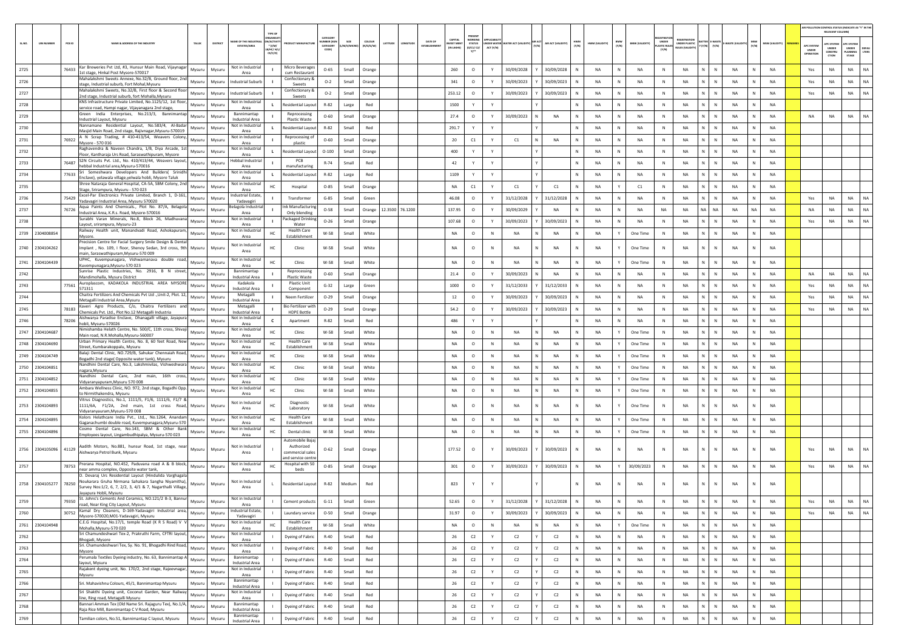|                       |                   |        |                                                                                                                                                                      |        |          |                                                                                                    |                                                           |                                          |                 |           |                                                              |                                         | PRESEN                               |             |                                 |                  |                    |              |                |                                       |                             |                                            |                                 |                           |              |               |                                        | AIR POLLUTION CONTROL STATUS (INDICATE AS "Y" IN THI<br>RELEVANT COLUMNI |                                                |               |
|-----------------------|-------------------|--------|----------------------------------------------------------------------------------------------------------------------------------------------------------------------|--------|----------|----------------------------------------------------------------------------------------------------|-----------------------------------------------------------|------------------------------------------|-----------------|-----------|--------------------------------------------------------------|-----------------------------------------|--------------------------------------|-------------|---------------------------------|------------------|--------------------|--------------|----------------|---------------------------------------|-----------------------------|--------------------------------------------|---------------------------------|---------------------------|--------------|---------------|----------------------------------------|--------------------------------------------------------------------------|------------------------------------------------|---------------|
| SLNO.                 | <b>UIN NUMBER</b> | PCB ID | NAME & ADDRESS OF THE INDUSTR                                                                                                                                        | TALUK  | DISTRICT | GANISA<br>ME OF THE IND<br><b>ACTIV</b><br>$*(1/M)^*$<br><b>ESTATES/AREA</b><br>B/HC/ H/<br>CE/C/O |                                                           | CATEGORY<br>MBER (X<br>CATEGORY<br>CODE) | <b>M/S/MICR</b> | (R/O/G/W) | <b>DATE OF</b><br>LATITUDE<br>LONGITUD<br><b>ESTABLISHME</b> | CAPITAL<br><b>VEST MEN</b><br>IN LAKHS) | WORKIN<br><b>STATUS</b><br>(0/C1/C2) | ACT (Y/N)   | NDER WATER WATER ACT (VALIDITY) | AIR ACT<br>(Y/N) | AIR ACT (VALIDITY) | HWM<br>(Y/N) | HWM (VALIDITY) | BMW<br>(Y/N)<br><b>BMW (VALIDITY)</b> | <b>LASTIC RULE</b><br>(Y/N) | FOISTRAT<br>UNDER PLASTIC<br>ULES (VALIDI) | BATTER E-WASTE<br>Y (Y/N) (Y/N) | -WASTE (VALI              | MSW<br>(Y/N) | MSW (VALIDITY | <b>APC SYSTER</b><br>UNDER<br>OPERATIO | <b>APC SYSTEM</b><br><b>UNDER</b><br>CONSTRU<br>CTION                    | APC SYSTER<br><b>UNDER</b><br>LANNING<br>STAGE | DEFA<br>LTERS |
| 2725                  |                   | 76433  | Kar Breweries Pvt Ltd, #3, Hunsur Main Road, Vijaynagar                                                                                                              | Mysuru | Mysuru   | Not in Industrial                                                                                  | Micro Beverages                                           | $O - 65$                                 | Small           | Orange    |                                                              | 260                                     | $\circ$                              | Y           | 30/09/2028                      |                  | 30/09/2028         |              | <b>NA</b>      | N<br>NA                               | $\,$ N                      | NA                                         | N                               | N<br>NA                   |              | NA            | Yes                                    | NA                                                                       | NA                                             | <b>NA</b>     |
| 2726                  |                   |        | 1st stage, Hinkal Post Mysore-570017<br>Mahalakshmi Sweets Annexe, No.32/B, Ground floor, 2nd                                                                        | Mysuru | Mysuru   | Area<br>Industrial Suburb                                                                          | cum Restaurant<br>Confectionary &                         | $O-2$                                    | Small           | Orange    |                                                              | 341                                     | $\circ$                              |             | 30/09/2023                      |                  | 30/09/2023         |              | <b>NA</b>      | N<br>NA                               | N                           | NA                                         | N                               | N<br><b>NA</b>            |              | <b>NA</b>     | Yes                                    | <b>NA</b>                                                                | <b>NA</b>                                      | NA            |
| 2727                  |                   |        | stage, Industrial suburb, Fort Mohal,Mysuru<br>Mahalakshmi Sweets, No.32/B, First floor & Second floor                                                               | Mysuru | Mysuru   | <b>Industrial Suburb</b>                                                                           | Sweets<br>Confectionary 8                                 | $O-2$                                    | Small           | Orange    |                                                              | 253.12                                  | $\circ$                              | Y           | 30/09/2023                      |                  | 30/09/2023         |              | NA             | N<br>NA                               | N                           | NA                                         | N                               | N<br>NA                   |              | <b>NA</b>     | Yes                                    | NA                                                                       | NA                                             | NA            |
| 2728                  |                   |        | 2nd stage, Industrial suburb, fort Mohalla, Mysuru<br>KNS Infrastructure Private Limited, No.1125/12, 1st floor                                                      | Mysuru | Mysur    | Not in Industrial                                                                                  | Sweets<br>esidential Layou                                | R-82                                     | Large           | Red       |                                                              | 1500                                    |                                      |             |                                 |                  |                    |              | NA             | N<br>NA                               |                             | <b>NA</b>                                  | N                               | ${\sf N}$<br>NA           |              | NA            |                                        |                                                                          |                                                |               |
| 2729                  |                   |        | service road, Hampi nagar, Vijayanagara 2nd stage<br>Green India Enterprises, No.213/3, Bannimantap                                                                  | Mysuru | Mysuru   | Area<br>Bannimantap                                                                                | Reprocessing                                              | $O - 60$                                 | Small           | Orange    |                                                              | 27.4                                    | $\circ$                              | Y           | 30/09/2023                      |                  | <b>NA</b>          |              | <b>NA</b>      | N<br>NA                               | $\mathbb{N}$                | <b>NA</b>                                  | N                               | N<br><b>NA</b>            |              | <b>NA</b>     | <b>NA</b>                              | <b>NA</b>                                                                | <b>NA</b>                                      | <b>NA</b>     |
| 2730                  |                   |        | Industrial Layout, Mysuru<br>Nannamane Residential Layout, No.583/4, Al-Badar                                                                                        | Mysuru |          | <b>Industrial Area</b><br>Not in Industrial                                                        | Plastic Waste<br>Residential Layout                       | R-82                                     | Small           | Red       |                                                              | 291.7                                   | Y                                    | Y           |                                 |                  |                    |              | <b>NA</b>      | NA<br>N                               | N                           | NA                                         | N                               | ${\sf N}$<br>NA           |              | <b>NA</b>     |                                        |                                                                          |                                                |               |
|                       |                   |        | Masjid Main Road, 2nd stage, Rajivnagar, Mysuru-570019<br>A N Scrap Trading, # 410-413/54, Weavers Colony,                                                           |        | Mysuri   | Area<br>Not in Industria                                                                           | Reprocessing o                                            |                                          |                 |           |                                                              |                                         |                                      |             |                                 |                  |                    |              |                |                                       |                             |                                            |                                 |                           |              |               |                                        |                                                                          |                                                |               |
| 2731                  |                   | 76922  | Mysore - 570 016<br>Raghavendra & Naveen Chandra, 1/B, Diya Arcade, 1st                                                                                              | Mysuru | Mysuru   | Area<br>Not in Industria                                                                           | plastic                                                   | $O - 60$                                 | Small           | Orange    |                                                              | 20                                      | C1                                   | Y           | C1                              | N                | NA                 |              | <b>NA</b>      | N<br>NA                               | $\mathbb N$                 | NA                                         | N                               | N<br><b>NA</b>            |              | <b>NA</b>     |                                        |                                                                          |                                                |               |
| 2732                  |                   |        | loor, Kantharaja Urs Road, Saraswathipuram, Mysore<br>S2N Circuits Pvt. Ltd., No. 410/413/44, Weavers layout,                                                        | Mysuru | Mysuru   | <b>L</b><br>Area<br>Hebbal Industria                                                               | Residential Layou<br>PCB                                  | $O-100$                                  | Small           | Orange    |                                                              | 400                                     |                                      |             |                                 |                  |                    |              | <b>NA</b>      | N<br>NA                               | N                           | <b>NA</b>                                  | N                               | $\mathbb N$<br><b>NA</b>  |              | <b>NA</b>     |                                        |                                                                          |                                                |               |
| 2733                  |                   | 76487  | hebbal Industrial area, Mysuru-570016                                                                                                                                | Mysuru | Mysuri   | Area<br>Not in Industria                                                                           | manufacturing                                             | $R-74$                                   | Small           | Red       |                                                              | 42                                      |                                      |             |                                 |                  |                    |              | NA             | NA                                    |                             | <b>NA</b>                                  | N                               | ${\sf N}$<br>NA           |              | NA            |                                        |                                                                          |                                                |               |
| 2734                  |                   | 77633  | Sri Someshwara Developers And Builders( Srinidh<br>Enclave), yelawala village, yelwala hobli, Mysore Taluk                                                           | Mysuru | Mysuri   | τ.<br>Area                                                                                         | Residential Layou                                         | R-82                                     | Large           | Red       |                                                              | 1109                                    | Y                                    | Y           |                                 |                  |                    |              | <b>NA</b>      | N<br>NA                               | $\mathbb{N}$                | <b>NA</b>                                  | N                               | N<br><b>NA</b>            |              | <b>NA</b>     |                                        |                                                                          |                                                |               |
| 2735                  |                   |        | Shree Nataraja General Hospital, CA-5A, SBM Colony, 2nd<br>tage, Srirampura, Mysuru - 570 023                                                                        | Mysuru | Mysuru   | Not in Industria<br>Area                                                                           | Hospital                                                  | $O-85$                                   | Small           | Orange    |                                                              | NA                                      | C1                                   | Y           | C1                              |                  | C1                 |              | NA             | C1<br>Y                               | N                           | NA                                         | N.                              | $\mathbb N$<br>NA         |              | NA            |                                        |                                                                          |                                                |               |
| 2736                  |                   | 75429  | ixcel-Par Electronics Private Limited, Branch 1, D-161,<br>Yadavagiri Industrial Area, Mysuru 570020                                                                 | Mysuru | Mysuri   | ndustrial Estate<br>Yadavagiri                                                                     | Transformer                                               | $G-85$                                   | Small           | Green     |                                                              | 46.08                                   | $\circ$                              | Y           | 31/12/2028                      |                  | 31/12/2028         |              | <b>NA</b>      | N<br>NA                               | N                           | <b>NA</b>                                  | N                               | N<br><b>NA</b>            |              | <b>NA</b>     | Yes                                    | <b>NA</b>                                                                | <b>NA</b>                                      | <b>NA</b>     |
| 2737                  |                   | 76726  | Aqua Paints And Chemicals., Plot No. 87/A, Belagola<br>ndustrial Area, K.R.s. Road, Mysore-570016                                                                    | Mysuru | Mysuru   | elagola Industri<br>Area                                                                           | nk Manufacturir<br>Only blending                          | $O-58$                                   | Small           |           | Orange 12.3500 76.1200                                       | 137.95                                  | $\circ$                              | Y           | 30/09/2029                      |                  | NA                 |              | NA             | N<br>NA                               | NA                          | <b>NA</b>                                  | NA NA                           | NA                        | <b>NA</b>    | <b>NA</b>     | NA                                     | NA                                                                       | NA                                             | <b>NA</b>     |
| 2738                  |                   |        | Surabhi Varan Minerals, No.8, Block 26, Madhuvana<br>ayout, srirampura, Mysuru-23                                                                                    | Mysuru | Mysur    | Not in Industrial<br>Area                                                                          | ackaged Drinking<br>Water                                 | $O - 26$                                 | Small           | Orange    |                                                              | 107.68                                  | $\circ$                              |             | 30/09/2023                      |                  | 30/09/2023         |              | NA             | N<br>NA                               |                             | <b>NA</b>                                  | N                               | ${\sf N}$<br>NA           |              | NA            | Yes                                    | NA                                                                       | NA                                             | NA            |
| 2739 2304008854       |                   |        | Railway Health unit, Manandvadi Road, Ashokapuram,<br>Mysore.                                                                                                        | Mysuru | Mysuru   | Not in Industria<br>HC<br>Area                                                                     | <b>Health Care</b><br>Establishment                       | W-58                                     | Small           | White     |                                                              | <b>NA</b>                               | $\circ$                              | N           | NA                              |                  | <b>NA</b>          |              | <b>NA</b>      | Y<br>One Time                         | $\mathbb{N}$                | <b>NA</b>                                  | N                               | $\mathbb N$<br><b>NA</b>  | N            | <b>NA</b>     |                                        |                                                                          |                                                |               |
| 2740 2304104262       |                   |        | Precision Centre for Facial Surgery Smile Design & Dental<br>Implant, No. 109, I floor, Shenoy Sedan, 3rd cross, 9th Mysuru<br>nain, Saraswathipuram, Mysuru-570 009 |        | Mysuri   | Not in Industria<br>Area                                                                           | Clinic                                                    | $W-58$                                   | Small           | White     |                                                              | NA                                      | $\circ$                              | N           | NA                              |                  | <b>NA</b>          |              | <b>NA</b>      | One Time                              | $\mathbb N$                 | NA                                         |                                 | $\mathsf{N}$<br><b>NA</b> |              | <b>NA</b>     |                                        |                                                                          |                                                |               |
| 2741 2304104439       |                   |        | UPHC, Kuvempunagara, Vishwamanava double road,<br>Kuvempunagara, Mysuru-570 023                                                                                      | Mysuru | Mysuru   | Not in Industria<br>Area                                                                           | Clinic                                                    | W-58                                     | Small           | White     |                                                              | <b>NA</b>                               | $\circ$                              | N           | NA                              | N                | <b>NA</b>          |              | <b>NA</b>      | Y<br>One Time                         | N                           | NA                                         | N                               | ${\sf N}$<br><b>NA</b>    |              | <b>NA</b>     |                                        |                                                                          |                                                |               |
| 2742                  |                   |        | Sunrise Plastic Industries, No. 2916, B N street<br>Mandimohalla, Mysuru District                                                                                    | Mysuru | Mysuru   | Bannimantap<br><b>Industrial Area</b>                                                              | Reprocessing<br>Plastic Waste                             | $O - 60$                                 | Small           | Orange    |                                                              | 21.4                                    | $\circ$                              |             | 30/09/2023                      |                  | NA                 |              | NA             | N<br>NA                               | N                           | <b>NA</b>                                  | N                               | $\mathbb N$<br>NA         |              | <b>NA</b>     | <b>NA</b>                              | NA                                                                       | NA                                             | <b>NA</b>     |
| 2743                  |                   | 77561  | Auroplascom, KADAKOLA INDUSTRIAL AREA MYSORE<br>571311                                                                                                               | Mysuru | Mysuru   | Kadakola                                                                                           | <b>Plastic Unit</b>                                       | $G-32$                                   | Large           | Green     |                                                              | 1000                                    | $\circ$                              |             | 31/12/2033                      |                  | 31/12/2033         |              | <b>NA</b>      | $\mathsf{N}$<br><b>NA</b>             | N                           | <b>NA</b>                                  | N                               | $\mathbb{N}$<br><b>NA</b> |              | <b>NA</b>     | Yes                                    | <b>NA</b>                                                                | <b>NA</b>                                      | NA            |
| 2744                  |                   |        | Chaitra Fertilizers And Chemicals Pvt Ltd ., Unit-2, Plot. 12,                                                                                                       | Mysuru | Mysuru   | Industrial Are<br>Metagalli                                                                        | Component<br>Neem Fertilizer                              | $O - 29$                                 | Small           | Orange    |                                                              | 12                                      | $\circ$                              | Y           | 30/09/2023                      |                  | 30/09/2023         |              | NA             | N<br>NA                               | N                           | <b>NA</b>                                  | N                               | N<br>NA                   | <b>N</b>     | NA            | Yes                                    | NA                                                                       | NA                                             | <b>NA</b>     |
| 2745                  |                   | 78183  | Metagalli Industrial Area, Mysuru<br>Kaveri Agro Products, C/o, Chaitra Fertilizers and                                                                              | Mysuru | Mysuru   | Industrial Area<br>Metagalli                                                                       | Bio Fertilizer with                                       | $O-29$                                   | Small           | Orange    |                                                              | 54.2                                    | $\circ$                              |             | 30/09/2023                      |                  | 30/09/2023         |              | NA             | N<br>NA                               | N                           | NA                                         | N                               | ${\sf N}$<br>NA           |              | NA            | Yes                                    | NA                                                                       | NA                                             | NA            |
| 2746                  |                   | 78206  | hemicals Pvt. Ltd., Plot No.12 Metagalli Industria<br>Aishwarya Paradise Enclave, Dhanagalli village, Jayapura                                                       | Mysuru | Mysuri   | <b>Industrial Area</b><br>Not in Industrial                                                        | <b>HDPE Bottle</b><br>Apartment                           | R-82                                     | Small           | Red       |                                                              | 486                                     | Y                                    |             |                                 |                  |                    |              | <b>NA</b>      | N<br>NA                               | $\mathbb{N}$                | NA                                         | N                               | N<br><b>NA</b>            |              | <b>NA</b>     |                                        |                                                                          |                                                |               |
| 2747 2304104687       |                   |        | hobli, Mysuru-570026<br>Nimishamba Helath Centre, No. 500/C, 11th cross, Shivaj                                                                                      | Mysuru | Mysuri   | Area<br>Not in Industrial                                                                          | Clinic                                                    | $W-58$                                   | Small           | White     |                                                              | <b>NA</b>                               | $\circ$                              | N           | NA                              |                  | <b>NA</b>          |              | NA             | One Time                              | $\mathbb N$                 | NA                                         | N                               | $\mathbb{N}$<br>NA        |              | <b>NA</b>     |                                        |                                                                          |                                                |               |
| 2748 2304104690       |                   |        | Main road, N.R.Mohalla, Mysuru-560007<br>Urban Primary Health Centre, No. 8, 60 feet Road, New                                                                       |        |          | Area<br>Not in Industria<br>HC.                                                                    | <b>Health Care</b>                                        | W-58                                     |                 | White     |                                                              | <b>NA</b>                               | $\circ$                              | N           | NA                              |                  | <b>NA</b>          |              | <b>NA</b>      | One Time<br>Y                         | $\mathbb{N}$                | NA                                         | N                               | $\mathbb{N}$<br>NA        |              | <b>NA</b>     |                                        |                                                                          |                                                |               |
|                       |                   |        | Street, Kumbarakoppalu, Mysuru<br>Balaji Dental Clinic, NO.729/B, Sahukar Chennaiah Road,                                                                            | Mysuru | Mysuri   | Area<br>Not in Industri                                                                            | Establishment                                             |                                          | Small           |           |                                                              |                                         |                                      |             |                                 |                  |                    |              |                |                                       |                             |                                            |                                 |                           |              |               |                                        |                                                                          |                                                |               |
| 2749 2304104749       |                   |        | Bogadhi 2nd stage( Opposite water tank), Mysuru<br>Nandhini Dental Care, No.3, Lakshmivilas, Vishweshwara                                                            | Mysuru | Mysuru   | HC<br>Area<br>Not in Industria                                                                     | Clinic                                                    | W-58                                     | Small           | White     |                                                              | <b>NA</b>                               | $\circ$                              | N           | NA                              | N                | NA                 | N            | NA             | Y<br>One Time                         | N                           | <b>NA</b>                                  | N                               | $\mathbb N$<br>NA         | <b>N</b>     | <b>NA</b>     |                                        |                                                                          |                                                |               |
| 2750                  | 2304104851        |        | agara, Mysuru<br>Nandhini Dental Care, 2nd main, 16th cross,                                                                                                         | Mysuru | Mysuri   | HC<br>Area<br>Not in Industria                                                                     | Clinic                                                    | W-58                                     | Small           | White     |                                                              | NA                                      | $\circ$                              | N           | NA                              |                  | <b>NA</b>          |              | <b>NA</b>      | One Time                              | N                           | <b>NA</b>                                  | N                               | ${\sf N}$<br><b>NA</b>    |              | <b>NA</b>     |                                        |                                                                          |                                                |               |
| 2751 2304104852       |                   |        | Vidyaranyapuram, Mysuru 570 008<br>Ambara Wellness Clinic, NO. 972, 2nd stage, Bogadhi Opp                                                                           | Mysuru | Mysuru   | Area<br>Not in Industria                                                                           | Clinic                                                    | W-58                                     | Small           | White     |                                                              | <b>NA</b>                               | $\circ$                              | N           | NA                              | N                | <b>NA</b>          |              | <b>NA</b>      | Y<br>One Time                         | $\mathbb{N}$                | NA                                         | N                               | $\mathbb N$<br><b>NA</b>  |              | <b>NA</b>     |                                        |                                                                          |                                                |               |
| 2752 2304104855       |                   |        | o Nirmithakendra, Mysuru                                                                                                                                             | Mvsuru | Mysuri   | HC.<br>Area                                                                                        | Clinic                                                    | $W-58$                                   | Small           | White     |                                                              | <b>NA</b>                               | $\circ$                              | N           | <b>NA</b>                       | N                | <b>NA</b>          | N            | <b>NA</b>      | Y<br>One Time                         | N                           | <b>NA</b>                                  | N                               | N<br><b>NA</b>            |              | <b>NA</b>     |                                        |                                                                          |                                                |               |
| 2753 2304104893       |                   |        | Vitrus Diagnostics, No.1, 1111/5, F1/6, 1111/6, F1/7 &<br>1111/6A, F1/2A, 2nd main, 1st cross Road, Mysuru                                                           |        | Mysuru   | Not in Industrial<br>HC<br>Area                                                                    | Diagnostic<br>Laboratory                                  | W-58                                     | Small           | White     |                                                              | NA                                      | $\circ$                              | N           | ΝA                              |                  | <b>NA</b>          | N            | <b>NA</b>      | One Time                              | N                           | <b>NA</b>                                  | N                               | N<br><b>NA</b>            |              | <b>NA</b>     |                                        |                                                                          |                                                |               |
| 2754                  | 2304104895        |        | Vidyaranyauram, Mysuru-570 008<br>Kolors Helathcare India Pvt., Ltd,., No.1264, Anandam                                                                              | Mysuru | Mysuru   | Not in Industrial<br>HC                                                                            | Health Care                                               | W-58                                     | Small           | White     |                                                              | NA                                      | $\circ$                              | N           | <b>NA</b>                       | N                | <b>NA</b>          | N            | <b>NA</b>      | One Time<br>Y                         | N                           | <b>NA</b>                                  | N.                              | N<br><b>NA</b>            |              | <b>NA</b>     |                                        |                                                                          |                                                |               |
| 2755 2304104896       |                   |        | Gaganachumbi double road, Kuvempunagara, Mysuru-570<br>Cosmo Dental Care, No.143, SBM & Other Bank                                                                   | Mysuru | Mysuru   | Area<br>Not in Industrial                                                                          | Establishment<br>Dental clinic                            | W-58                                     | Small           | White     |                                                              | <b>NA</b>                               | $\circ$                              | N           | ΝA                              | N                | NA                 |              | <b>NA</b>      | $\mathbf{v}$<br>One Time              | N                           | NA                                         | N                               | N<br>NA                   |              | NA            |                                        |                                                                          |                                                |               |
|                       |                   |        | mployees layout, Lingambudhipalya, Mysuru-570 023                                                                                                                    |        |          | Area                                                                                               | utomobile Baja                                            |                                          |                 |           |                                                              |                                         |                                      |             |                                 |                  |                    |              |                |                                       |                             |                                            |                                 |                           |              |               |                                        |                                                                          |                                                |               |
| 2756 2304105096 41129 |                   |        | Aadith Motors, No.881, hunsur Road, 1st stage, near<br>Aishwarya Petrol Bunk, Mysuru                                                                                 | Mysuru | Mysuri   | Not in Industrial<br>Area                                                                          | Authorized<br>commercial sales<br><b>ind service cent</b> | $O - 62$                                 | Small           | Orange    |                                                              | 177.52                                  | $\circ$                              |             | 30/09/2023                      |                  | 30/09/2023         |              | <b>NA</b>      | <b>NA</b>                             | $\mathbb N$                 | <b>NA</b>                                  | N                               | $\mathbb N$<br><b>NA</b>  |              | <b>NA</b>     | Yes                                    | <b>NA</b>                                                                | <b>NA</b>                                      | <b>NA</b>     |
| 2757                  |                   | 78753  | Prerana Hospital, NO.452, Paduvana road A & B block,<br>near amma complex, Opposite water tank,                                                                      | Mysuru | Mysuru   | Not in Industrial<br>HC<br>Area                                                                    | Hospital with 50<br>beds                                  | $O - 85$                                 | Small           | Orange    |                                                              | 301                                     | $\circ$                              | Y           | 30/09/2023                      |                  | 30/09/2023         |              | <b>NA</b>      | Y<br>30/09/2023                       | N                           | NA                                         | N                               | $\mathbb N$<br><b>NA</b>  | N            | <b>NA</b>     | Yes                                    | NA                                                                       | <b>NA</b>                                      | <b>NA</b>     |
| 2758 2304105277 78250 |                   |        | . Devaraj Urs Residential Layout (Hindulida Varghagal<br>Noukarara Gruha Nirmana Sahakara Sangha Niyamitha),                                                         | Mysuru | Mysuru   | Not in Industrial<br>$\mathbf{L}$                                                                  | <b>Residential Layout</b>                                 | R-82                                     | Mediun          | Red       |                                                              | 823                                     |                                      |             |                                 |                  |                    |              | <b>NA</b>      | NA                                    | N                           | NA                                         |                                 | $\mathbb N$<br>NA         |              | <b>NA</b>     |                                        |                                                                          |                                                |               |
|                       |                   |        | Survey Nos:1/2, 6, 7, 2/2, 3, 4/1 & 7, Nagarthalli Village,<br>lavapura Hobli, Mysuru<br>St. Johns's Cements And Ceramics, NO.121/2 B-3, Bannur                      |        |          | Area<br>Not in Industrial                                                                          |                                                           |                                          |                 |           |                                                              |                                         |                                      |             |                                 |                  |                    |              |                |                                       |                             |                                            |                                 |                           |              |               |                                        |                                                                          |                                                |               |
| 2759                  |                   | 79350  | road, Near King City Layout, Mysuru<br>Kamal Dry Cleaners, D-169-Yadavagiri Industrial area,                                                                         | Mysuru | Mysuru   | $\mathbf{L}$<br>Area<br>ndustrial Estate,                                                          | Cement products                                           | $G-11$                                   | Small           | Green     |                                                              | 52.65                                   | $\circ$                              | Y           | 31/12/2028                      |                  | 31/12/2028         |              | <b>NA</b>      | <b>NA</b><br>N                        | $\mathbb N$                 | NA                                         | N                               | ${\sf N}$<br><b>NA</b>    |              | <b>NA</b>     | Yes                                    | NA                                                                       | <b>NA</b>                                      | <b>NA</b>     |
| 2760                  |                   | 30752  | Mysore-570020,M01-Yadavagiri, Mysuru<br>C.E.G Hospital, No.17/1, temple Road (K R S Road) V                                                                          | Mysuru | Mysuru   | Yadavagiri<br>Not in Industrial                                                                    | Laundary service<br><b>Health Care</b>                    | $O - 50$                                 | Small           | Orange    |                                                              | 31.97                                   | $\circ$                              |             | 30/09/2023                      |                  | 30/09/2023         |              | NA             | ${\sf N}$<br>NA                       | N                           | NA                                         | N                               | $\mathbb N$<br>NA         |              | NA            | Yes                                    | NA                                                                       | NA                                             | NA            |
| 2761 2304104948       |                   |        | Mohalla, Mysuru-570 020                                                                                                                                              | Mysuru | Mysuru   | HC<br>Area                                                                                         | Establishment                                             | W-58                                     | Small           | White     |                                                              | NA                                      | $\circ$                              | $\mathbb N$ | NA                              | N                | <b>NA</b>          | N            | <b>NA</b>      | Y<br>One Time                         | N                           | NA                                         | N                               | $\mathbb N$<br><b>NA</b>  | N            | <b>NA</b>     |                                        |                                                                          |                                                |               |
| 2762                  |                   |        | Sri Chamundeshwari Tex-2, Prakruthi Farm, CFTRI layout,<br>Bhogadi, Mysore                                                                                           | Mysuru | Mysuru   | Not in Industrial<br>Area                                                                          | Dyeing of Fabric                                          | $R-40$                                   | Small           | Red       |                                                              | 26                                      | C2                                   | Y           | C2                              |                  | C2                 | N            | NA             | N<br>NA                               | N                           | NA                                         | N                               | $\,$ N $\,$<br><b>NA</b>  | N            | <b>NA</b>     |                                        |                                                                          |                                                |               |
| 2763                  |                   |        | Sri. Chamundeshwari Tex, Sy. No. 91, Bhogadhi Rind Road,<br>Mysore                                                                                                   | Mysuru | Mysuru   | Not in Industrial<br>Area                                                                          | Dyeing of Fabric                                          | $R-40$                                   | Small           | Red       |                                                              | 26                                      | $\mathsf{C2}$                        | Y           | C2                              |                  | C2                 | N            | <b>NA</b>      | N<br>NA                               | N                           | <b>NA</b>                                  | N                               | $\mathbb N$<br><b>NA</b>  | $\mathbb N$  | NA            |                                        |                                                                          |                                                |               |
| 2764                  |                   |        | erumala Textiles Dyeing industry, No. 63, Bannimantap A<br>ayout, Mysuru                                                                                             | Mysuru | Mysuru   | Bannimantap<br><b>Industrial Area</b>                                                              | Dyeing of Fabric                                          | $R-40$                                   | Small           | Red       |                                                              | 26                                      | C2                                   | Y           | C2                              | Y                | C2                 | N            | NA             | N<br>NA                               | N                           | NA                                         | N                               | $\,$ N<br><b>NA</b>       | N            | <b>NA</b>     |                                        |                                                                          |                                                |               |
| 2765                  |                   |        | Rajakent dyeing unit, No. 170/2, 2nd stage, Rajeevnagar<br>Mysuru                                                                                                    | Mysuru | Mysuru   | Not in Industrial<br>Area                                                                          | Dyeing of Fabric                                          | $R-40$                                   | Small           | Red       |                                                              | 26                                      | C2                                   | Y           | C2                              |                  | C2                 | Ν            | NA             | N<br>NA                               | N                           | NA                                         | N                               | $\mathbb N$<br><b>NA</b>  | N            | NA            |                                        |                                                                          |                                                |               |
| 2766                  |                   |        | Sri. Mahavishnu Colours, 45/1, Bannimantap Mysuru                                                                                                                    | Mysuru | Mysuru   | Bannimantap<br>Industrial Area                                                                     | Dyeing of Fabric                                          | $R-40$                                   | Small           | Red       |                                                              | 26                                      | $\mathsf{C2}$                        | Y           | C2                              |                  | C2                 | N            | NA             | N<br>NA                               | N                           | NA                                         | N                               | ${\sf N}$<br><b>NA</b>    | ${\sf N}$    | NA            |                                        |                                                                          |                                                |               |
| 2767                  |                   |        | Sri Shakthi Dyeing unit, Coconut Garden, Near Railway<br>ine, Ring road, Metagalli Mysuru                                                                            | Mysuru | Mysuru   | Not in Industrial<br>Area                                                                          | Dyeing of Fabric                                          | $R-40$                                   | Small           | Red       |                                                              | 26                                      | C2                                   | Y           | C2                              |                  | C2                 | N            | NA             | <b>NA</b><br>N                        | N                           | <b>NA</b>                                  | N                               | $\mathbb{N}$<br><b>NA</b> | N            | NA            |                                        |                                                                          |                                                |               |
| 2768                  |                   |        | Bannari Amman Tex (Old Name Sri. Rajaguru Tex), No.1/A,<br>Raja Rice Mill, Bannimantap C V Road, Mysuru                                                              | Mysuru | Mysuru   | Bannimantap<br>Industrial Area                                                                     | Dyeing of Fabric                                          | $R-40$                                   | Small           | Red       |                                                              | 26                                      | $\mathsf{C2}$                        | Y           | C2                              |                  | C2                 | N            | <b>NA</b>      | N<br>NA                               | N                           | NA                                         | N                               | $\mathbb N$<br><b>NA</b>  | N            | NA            |                                        |                                                                          |                                                |               |
| 2769                  |                   |        | Tamilian colors, No.51, Bannimantap C layout, Mysuru                                                                                                                 | Mysuru | Mysuru   | Bannimantap<br>$\blacksquare$<br>Industrial Area                                                   | Dyeing of Fabric                                          | $R-40$                                   | Small           | Red       |                                                              | 26                                      | $\mathsf{C2}$                        | Y           | C2                              |                  | C2                 | $\mathbb N$  | NA             | NA<br>N                               | N                           | NA                                         | N                               | ${\sf N}$<br><b>NA</b>    | N            | NA            |                                        |                                                                          |                                                |               |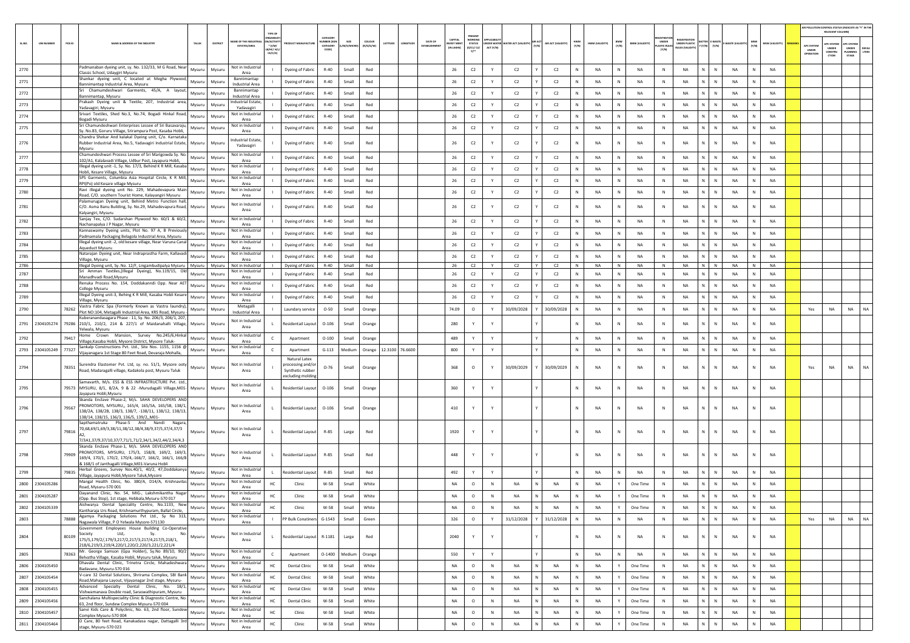|        |                             |                                                                                                                                                                                                                                                                                                                                                                                                                                                                                                                                                                                                                                                 |          |                                              |                                                              |                                                            |                                                    |                    |                     |                 |          |                                |                                            |                                                  |                                                       |                    |              |                |                                       |                              |                                                                  |                                 |                           |              |                |                                        | RELEVANT COLUMNI                               | AIR POLLUTION CONTROL STATUS (INDICATE AS "Y" IN THE             |
|--------|-----------------------------|-------------------------------------------------------------------------------------------------------------------------------------------------------------------------------------------------------------------------------------------------------------------------------------------------------------------------------------------------------------------------------------------------------------------------------------------------------------------------------------------------------------------------------------------------------------------------------------------------------------------------------------------------|----------|----------------------------------------------|--------------------------------------------------------------|------------------------------------------------------------|----------------------------------------------------|--------------------|---------------------|-----------------|----------|--------------------------------|--------------------------------------------|--------------------------------------------------|-------------------------------------------------------|--------------------|--------------|----------------|---------------------------------------|------------------------------|------------------------------------------------------------------|---------------------------------|---------------------------|--------------|----------------|----------------------------------------|------------------------------------------------|------------------------------------------------------------------|
| SL.NO. | <b>UIN NUMBER</b><br>PCB ID | NAME & ADDRESS OF THE INDUSTR'<br>TALUK                                                                                                                                                                                                                                                                                                                                                                                                                                                                                                                                                                                                         | DISTRICT | ME OF THE IND<br><b>ESTATES/AREA</b>         | RGANISA<br><b>ACTIV</b><br>$*(1/M)^*$<br>LB/HC/ H/<br>CE/C/O | <b>MANUFACTUI</b>                                          | CATEGORY<br>ABER <sub>D</sub><br>CATEGORY<br>CODE) | SIZE<br>/M/S/MICRO | coLour<br>(R/O/G/W) | LATITUDE        | ONGITUDE | DATE OF<br><b>ESTABLISHMEN</b> | CAPITAL<br><b>IVEST MENT</b><br>(IN LAKHS) | PRESENT<br>WORKING<br><b>STATUS</b><br>(0/C1/C2/ | INDER WATER WATER ACT (VALIDITY) AIR ACT<br>ACT (Y/N) | AIR ACT (VALIDITY) | HWM<br>(Y/N) | HWM (VALIDITY) | BMW<br>(Y/N)<br><b>BMW (VALIDITY)</b> | <b>MASTIC RULE:</b><br>(Y/N) | <b>EGISTRATI</b><br><b>UNDER PLASTIC</b><br><b>WLES IVALIDIT</b> | BATTER E-WASTE<br>Y (Y/N) (Y/N) | E-WASTE (VALID            | MSW<br>(Y/N) | MSW (VALIDITY) | <b>APC SYSTEM</b><br>UNDER<br>OPERATIO | <b>APC SYSTEM</b><br>UNDER<br>CONSTRU<br>CTION | APC SYSTEM<br><b>UNDER</b><br>DEFAL<br>LTERS<br>LANNING<br>STAGE |
| 2770   |                             | Padmanaban dyeing unit, sy. No. 132/33, M G Road, Near<br>Mysuru                                                                                                                                                                                                                                                                                                                                                                                                                                                                                                                                                                                | Mysuru   | Not in Industrial                            |                                                              | Dyeing of Fabric                                           | $R-40$                                             | Small              | Red                 |                 |          |                                | 26                                         | C2                                               | Y<br>C2                                               | C2                 |              | <b>NA</b>      | N<br>NA                               | $\,$ N                       | NA                                                               | N                               | N<br><b>NA</b>            |              | <b>NA</b>      |                                        |                                                |                                                                  |
| 2771   |                             | Classic School, Udaygiri Mysuru<br>Shankar dyeing unit, C located at Megha Plywood,<br>Mysuru                                                                                                                                                                                                                                                                                                                                                                                                                                                                                                                                                   | Mysuru   | Area<br>Bannimantap                          |                                                              | Dyeing of Fabric                                           | $R-40$                                             | Small              | Red                 |                 |          |                                | 26                                         | $\mathsf{C2}$                                    | C2<br>Y                                               | C2                 | N            | <b>NA</b>      | N<br><b>NA</b>                        | N                            | NA                                                               | N                               | $\,$ N<br><b>NA</b>       |              | <b>NA</b>      |                                        |                                                |                                                                  |
| 2772   |                             | Bannimantap Industrial Area, Mysuru<br>Sri Chamumdeshwari Garments, 45/A, A layout,<br>Mysuru                                                                                                                                                                                                                                                                                                                                                                                                                                                                                                                                                   | Mysuru   | Industrial Area<br>Bannimantap               |                                                              | Dyeing of Fabric                                           | R-40                                               | Small              | Red                 |                 |          |                                | 26                                         | C2                                               | C2<br>Y                                               | C2                 | N            | <b>NA</b>      | N<br><b>NA</b>                        | N                            | NA                                                               | N                               | N<br><b>NA</b>            | N            | <b>NA</b>      |                                        |                                                |                                                                  |
| 2773   |                             | Bannimantap, Mysuru<br>Prakash Dyeing unit & Textile, 207, Industrial area,<br>Mysuru                                                                                                                                                                                                                                                                                                                                                                                                                                                                                                                                                           | Mysuru   | <b>Industrial Area</b><br>Industrial Estate, |                                                              | Dyeing of Fabric                                           | $R-40$                                             | Small              | Red                 |                 |          |                                | 26                                         | C2                                               | C2<br>Y                                               | C2                 | Ν            | NA             | N<br>NA                               | $\mathbb N$                  | NA                                                               | N                               | $\,$ N<br>NA              |              | NA             |                                        |                                                |                                                                  |
|        |                             | Yadavagiri, Mysuru<br>Srivari Textiles, Shed No.3, No.74, Bogadi Hinkal Road,                                                                                                                                                                                                                                                                                                                                                                                                                                                                                                                                                                   |          | Yadavagiri<br>Not in Industria               |                                                              |                                                            |                                                    |                    |                     |                 |          |                                | 26                                         |                                                  | Y<br>C2                                               |                    | $\mathbb{N}$ | <b>NA</b>      | N<br><b>NA</b>                        | N                            | <b>NA</b>                                                        | N                               | N<br><b>NA</b>            | $\mathbb N$  | <b>NA</b>      |                                        |                                                |                                                                  |
| 2774   |                             | Mysuru<br>Bogadi Mysuru<br>Sri Chamundeshwari Enterprises Lessee of Sri Basavaraju,                                                                                                                                                                                                                                                                                                                                                                                                                                                                                                                                                             | Mysuru   | Area<br>Not in Industria                     |                                                              | Dyeing of Fabric                                           | $R-40$                                             | Small              | Red                 |                 |          |                                |                                            | C2                                               |                                                       | C2                 |              |                |                                       |                              |                                                                  |                                 |                           |              |                |                                        |                                                |                                                                  |
| 2775   |                             | Mysuru<br>iy. No.83, Goruru Village, Srirampura Post, Kasaba Hobli,<br>Chandra Shekar And kalakal Dyeing unit, C/o. Karnataka                                                                                                                                                                                                                                                                                                                                                                                                                                                                                                                   | Mysuru   | Area                                         |                                                              | Dyeing of Fabric                                           | $R-40$                                             | Small              | Red                 |                 |          |                                | 26                                         | C2                                               | C2<br>Y                                               | C2                 |              | NA             | N<br>NA                               | $\,$ N                       | NA                                                               | N                               | $\,$ N<br><b>NA</b>       |              | NA             |                                        |                                                |                                                                  |
| 2776   |                             | Rubber Industrial Area, No.5, Yadavagiri Industrial Estate, Mysuru<br>Mysuru                                                                                                                                                                                                                                                                                                                                                                                                                                                                                                                                                                    | Mysuru   | <b>Industrial Estate</b><br>Yadavagiri       |                                                              | Dyeing of Fabric                                           | $R-40$                                             | Small              | Red                 |                 |          |                                | 26                                         | $\mathsf{C2}$                                    | C <sub>2</sub><br>Y                                   | C2                 | N            | <b>NA</b>      | NA<br>N                               | N                            | <b>NA</b>                                                        | N.                              | $\mathbb{N}$<br><b>NA</b> |              | NA             |                                        |                                                |                                                                  |
| 2777   |                             | Chamundeshwari Process Lessee of Sri Marigowda Sy. No.<br>Mysuru<br>102/A1, Kalalavadi Village, Udbur Post, Jayapura Hobli,                                                                                                                                                                                                                                                                                                                                                                                                                                                                                                                     | Mysuru   | Not in Industria                             |                                                              | Dyeing of Fabric                                           | $R-40$                                             | Small              | Red                 |                 |          |                                | 26                                         | C2                                               | Y<br>C2                                               | C2                 |              | NA             | N<br>NA                               | N                            | NA                                                               | N                               | $\,$ N<br>NA              |              | <b>NA</b>      |                                        |                                                |                                                                  |
| 2778   |                             | Illegal dyeing unit -1, Sy. No. 17/3, Behind K R Mill, Kasaba<br>Mysuru                                                                                                                                                                                                                                                                                                                                                                                                                                                                                                                                                                         | Mysuru   | Area<br>Not in Industria                     |                                                              | Dyeing of Fabric                                           | $R-40$                                             | Small              | Red                 |                 |          |                                | 26                                         | $\mathsf{C2}$                                    | C2<br>Y                                               | C2                 | $\mathbb{N}$ | <b>NA</b>      | N<br>NA                               | N                            | NA                                                               | N                               | $\,$ N<br><b>NA</b>       | $\mathbb N$  | NA             |                                        |                                                |                                                                  |
| 2779   |                             | Hobli, Kesare Village, Mysuru<br>SPS Garments, Columbia Asia Hospital Circle, K R Mill,<br>Mysuru                                                                                                                                                                                                                                                                                                                                                                                                                                                                                                                                               | Mysuru   | Area<br>Not in Industrial                    |                                                              | Dyeing of Fabric                                           | R-40                                               | Small              | Red                 |                 |          |                                | 26                                         | C2                                               | C2<br>Y                                               | C2                 | N            | <b>NA</b>      | N<br>NA                               | $\mathbb N$                  | NA                                                               | N                               | <b>NA</b><br>N            | N            | <b>NA</b>      |                                        |                                                |                                                                  |
| 2780   |                             | RPI(Po) old Kesare village Mysuru<br>Ravi illegal dyeing unit No. 229, Mahadevapura Main                                                                                                                                                                                                                                                                                                                                                                                                                                                                                                                                                        |          | Area<br>Not in Industrial                    |                                                              |                                                            | $R-40$                                             | Small              | Red                 |                 |          |                                | 26                                         |                                                  | C <sub>2</sub><br>Y                                   | C2                 | N            | NA             | N<br>NA                               | $\mathbb N$                  | NA                                                               | N                               | ${\sf N}$<br>NA           |              | NA             |                                        |                                                |                                                                  |
|        |                             | Mysuru<br>Road, C/O. southern Tourist Home, Kalayangiri Mysuru<br>Palamurugan Dyeing unit, Behind Metro Function hall,                                                                                                                                                                                                                                                                                                                                                                                                                                                                                                                          | Mysuru   | Area                                         |                                                              | Dyeing of Fabric                                           |                                                    |                    |                     |                 |          |                                |                                            | C2                                               |                                                       |                    |              |                |                                       |                              |                                                                  |                                 |                           |              |                |                                        |                                                |                                                                  |
| 2781   |                             | C/O. Asma Banu Building, Sy. No.29, Mahadevapura Road, Mysuru<br>Kalyangiri, Mysuru                                                                                                                                                                                                                                                                                                                                                                                                                                                                                                                                                             | Mysuru   | Not in Industrial<br>Area                    |                                                              | Dyeing of Fabric                                           | $R-40$                                             | Small              | Red                 |                 |          |                                | 26                                         | C2                                               | C <sub>2</sub>                                        | C2                 | N            | NA             | NA<br>N                               | $\,$ N                       | NA                                                               | N                               | ${\sf N}$<br><b>NA</b>    | N            | <b>NA</b>      |                                        |                                                |                                                                  |
| 2782   |                             | Sanjay Tex, C/O. Sudarshan Plywood No. 60/1 & 60/2, Mysuru                                                                                                                                                                                                                                                                                                                                                                                                                                                                                                                                                                                      | Mysuru   | Not in Industrial<br>Area                    |                                                              | Dyeing of Fabric                                           | $R-40$                                             | Small              | Red                 |                 |          |                                | 26                                         | C2                                               | C2<br>Y                                               | C2                 | Ν            | NA             | N<br>NA                               | $\mathbb N$                  | NA                                                               | N                               | $\,$ N<br>NA              |              | NA             |                                        |                                                |                                                                  |
| 2783   |                             | Nachanapalya J P Nagar, Mysuru<br>Kannaswamy Dyeing units, Plot No. 97 A, B Previously<br>Mysuru                                                                                                                                                                                                                                                                                                                                                                                                                                                                                                                                                | Mysuru   | Not in Industria                             |                                                              | Dyeing of Fabric                                           | $R-40$                                             | Small              | Red                 |                 |          |                                | 26                                         | C2                                               | Y<br>C2                                               | C2                 | $\mathbb{N}$ | <b>NA</b>      | N<br><b>NA</b>                        | N                            | <b>NA</b>                                                        | N                               | $\,$ N<br><b>NA</b>       | $\mathbb{N}$ | <b>NA</b>      |                                        |                                                |                                                                  |
| 2784   |                             | Padmamala Packaging Belagola Industrial Area, Mysuru<br>Illegal dyeing unit -2, old kesare village, Near Varuna Canal<br>Mysuru                                                                                                                                                                                                                                                                                                                                                                                                                                                                                                                 | Mysuru   | Area<br>Not in Industria                     |                                                              | Dyeing of Fabric                                           | $R-40$                                             | Small              | Red                 |                 |          |                                | 26                                         | C2                                               | Y<br>C2                                               | C2                 | $\mathsf{N}$ | NA             | N<br>NA                               | N                            | NA                                                               | N                               | $\,$ N<br><b>NA</b>       |              | NA             |                                        |                                                |                                                                  |
| 2785   |                             | Aqueduct Mysuru<br>Natarajan Dyeing unit, Near Indraprastha Farm, Kallavadi<br>Mysuru                                                                                                                                                                                                                                                                                                                                                                                                                                                                                                                                                           | Mysuru   | Area<br>Not in Industria                     |                                                              | Dyeing of Fabric                                           | $R-40$                                             | Small              | Red                 |                 |          |                                | 26                                         | C2                                               | C2<br>Y                                               | C <sub>2</sub>     |              | <b>NA</b>      | N<br><b>NA</b>                        | $\mathbb N$                  | <b>NA</b>                                                        | $\mathbb{N}$                    | $\mathbb{N}$<br><b>NA</b> |              | <b>NA</b>      |                                        |                                                |                                                                  |
| 2786   |                             | Village, Mysuru<br>Illegal Dyeing unit, Sy. No. 12/F, Lingambudipalya Mysuru Mysuru                                                                                                                                                                                                                                                                                                                                                                                                                                                                                                                                                             | Mysuru   | Area<br>Not in Industrial                    |                                                              | Dyeing of Fabric                                           | $R-40$                                             | Small              | Red                 |                 |          |                                | 26                                         | C2                                               | C2<br>Y<br>Y                                          | C2                 | N            | NA             | N<br>NA                               | N                            | NA                                                               | N                               | N<br>NA                   | N            | NA             |                                        |                                                |                                                                  |
| 2787   |                             | Sri Amman Textiles, (Illegal Dyeing), No.119/15, Old<br>Mysuru<br>Manadhvadi Road, Mysuru                                                                                                                                                                                                                                                                                                                                                                                                                                                                                                                                                       | Mysuru   | Not in Industria<br>Area                     |                                                              | Dyeing of Fabric                                           | $R-40$                                             | Small              | Red                 |                 |          |                                | 26                                         | C2                                               | C2<br>Y                                               | C2                 | N            | NA             | N<br>NA                               | N                            | NA                                                               | N                               | N<br>NA                   |              | NA             |                                        |                                                |                                                                  |
| 2788   |                             | Renuka Process No. 154, Doddakanndi Opp. Near AET<br>Mysuru                                                                                                                                                                                                                                                                                                                                                                                                                                                                                                                                                                                     | Mysuru   | Not in Industria<br>Area                     |                                                              | Dyeing of Fabric                                           | $R-40$                                             | Small              | Red                 |                 |          |                                | 26                                         | C2                                               | C2<br>Y                                               | C2                 | N            | <b>NA</b>      | N<br><b>NA</b>                        | N                            | <b>NA</b>                                                        | N                               | $\mathbb{N}$<br><b>NA</b> |              | <b>NA</b>      |                                        |                                                |                                                                  |
| 2789   |                             | College Mysuru<br>Illegal Dyeing unit-3, Behing K R Mill, Kasaba Hobli Kesare<br>Mysuru                                                                                                                                                                                                                                                                                                                                                                                                                                                                                                                                                         | Mysuru   | Not in Industria                             |                                                              | Dyeing of Fabric                                           | R-40                                               | Small              | Red                 |                 |          |                                | 26                                         | $\mathsf{C2}$                                    | C2<br>Y                                               | C2                 | N            | NA             | NA<br>N                               | $\mathbb N$                  | NA                                                               | N                               | <b>NA</b><br>N            | N            | <b>NA</b>      |                                        |                                                |                                                                  |
| 2790   | 78262                       | Village, Mysuru<br>Vastra Fabric Spa (Formerly Known as Vastra laundry),<br>Mysuru                                                                                                                                                                                                                                                                                                                                                                                                                                                                                                                                                              | Mysuru   | Area<br>Metagalli                            |                                                              | Laundary service                                           | $O - 50$                                           | Small              | Orange              |                 |          |                                | 74.09                                      | $\circ$                                          | 30/09/2028<br>Y                                       | 30/09/2028         |              | NA             | N<br>NA                               | $\mathbb N$                  | NA                                                               | N                               | $\,$ N<br>NA              |              | NA             | Yes                                    | NA                                             | NA<br>NA                                                         |
|        |                             | Plot NO:104, Metagalli Industrial Area, KRS Road, Mysuru -<br>Kuberanandasagara Phase - 11, Sy. No. 206/3, 206/1, 207,                                                                                                                                                                                                                                                                                                                                                                                                                                                                                                                          |          | <b>Industrial Area</b><br>Not in Industrial  |                                                              |                                                            |                                                    |                    |                     |                 |          |                                |                                            |                                                  |                                                       |                    |              |                |                                       |                              |                                                                  |                                 |                           |              |                |                                        |                                                |                                                                  |
|        |                             | 2791 2304105274 79286 210/1, 210/2, 214 & 227/1 of Maidanahalli Village, Mysuru<br>Yelwala, Mysuru                                                                                                                                                                                                                                                                                                                                                                                                                                                                                                                                              | Mysuru   | Area                                         |                                                              | Residentail Layout                                         | $O-106$                                            | Small              | Orange              |                 |          |                                | 280                                        | Y                                                |                                                       |                    | N            | NA             | NA<br>N                               | $\,$ N                       | NA                                                               | N                               | $\,$ N<br><b>NA</b>       | N            | <b>NA</b>      |                                        |                                                |                                                                  |
| 2792   | 79417                       | Home Crown Mansion, Survey No.245/6, Hinkal<br>Mysuru<br>Village, Kasaba Hobli, Mysore District, Mysore Taluk-                                                                                                                                                                                                                                                                                                                                                                                                                                                                                                                                  | Mysuru   | Not in Industria<br>Area                     |                                                              | Apartment                                                  | $O-100$                                            | Small              | Orange              |                 |          |                                | 489                                        | Y                                                | Y                                                     |                    | N            | NA             | N<br>NA                               | $\mathbb N$                  | NA                                                               | N                               | $\,$ N<br>NA              |              | NA             |                                        |                                                |                                                                  |
|        | 2793 2304105249 77327       | Sankalp Constructions Pvt. Ltd., Site Nos. 1155, 1156 @<br>Mysuru                                                                                                                                                                                                                                                                                                                                                                                                                                                                                                                                                                               | Mysuru   | Not in Industria<br>Area                     | $\epsilon$                                                   | Apartment                                                  | $G-113$                                            | Medium             | Orange              | 12.3100 76.6600 |          |                                | 800                                        | Y                                                | Y                                                     |                    | N            | <b>NA</b>      | N<br><b>NA</b>                        | N                            | NA                                                               | N                               | $\mathbb N$<br><b>NA</b>  | N            | <b>NA</b>      |                                        |                                                |                                                                  |
|        |                             | Vijayanagara 1st Stage 80 Feet Road, Devaraja Mohalla,                                                                                                                                                                                                                                                                                                                                                                                                                                                                                                                                                                                          |          |                                              |                                                              | Natural Latex                                              |                                                    |                    |                     |                 |          |                                |                                            |                                                  |                                                       |                    |              |                |                                       |                              |                                                                  |                                 |                           |              |                |                                        |                                                |                                                                  |
| 2794   | 78351                       | Surendra Elastomer Pvt. Ltd, sy. no. 51/1, Mysore ooty<br>Mysuru<br>Road, Madaragalli village, Kadakola post, Mysuru Taluk                                                                                                                                                                                                                                                                                                                                                                                                                                                                                                                      | Mysuru   | Not in Industrial<br>Area                    |                                                              | processing and/or<br>Synthetic rubber<br>excluding molding | $O - 76$                                           | Small              | Orange              |                 |          |                                | 368                                        | $\circ$                                          | 30/09/2029                                            | 30/09/2029         | N            | NA             | N<br>NA                               | $\,$ N                       | NA                                                               |                                 | ${\sf N}$<br>NA           |              | NA             | Yes                                    | NA                                             | NA<br>NA                                                         |
| 2795   |                             | Samavarth, M/s. ESS & ESS INFRASTRUCTURE Pvt. Ltd.,<br>79573 MYSURU, 8/1, 8/2A, 9 & 22 -Murudagalli Village, M01- Mysuru<br>Jayapura Hobli, Mysuru                                                                                                                                                                                                                                                                                                                                                                                                                                                                                              | Mysuru   | Not in Industrial<br>Area                    | $\mathsf{L}$                                                 | <b>Residential Layout</b>                                  | $O-106$                                            | Small              | Orange              |                 |          |                                | 360                                        | Y                                                | Y                                                     |                    | N            | <b>NA</b>      | <b>NA</b><br>N                        | N                            | <b>NA</b>                                                        | N                               | $\mathbb{N}$<br><b>NA</b> |              | <b>NA</b>      |                                        |                                                |                                                                  |
| 2796   | 79567                       | Skanda Enclave Phase-2, M/s. SAHA DEVELOPERS AND<br>PROMOTORS, MYSURU,, 165/4, 165/5A, 165/5B, 138/1,<br>Mysuru<br>138/2A, 138/2B, 138/3, 138/7, -138/11, 138/12, 138/13,                                                                                                                                                                                                                                                                                                                                                                                                                                                                       | Mysuru   | Not in Industria<br>Area                     | L.                                                           | Residential Layout 0-106                                   |                                                    | Small              | Orange              |                 |          |                                | 410                                        | Y                                                |                                                       |                    | N            | <b>NA</b>      | NA                                    | $\,$ N                       | NA                                                               | N                               | $\mathbb{N}$<br><b>NA</b> |              | <b>NA</b>      |                                        |                                                |                                                                  |
| 2797   | 79816                       | 138/14, 138/15, 136/3, 136/5, 139/2,,M01-<br>Sapthamatruka Phase-5 And Nandi<br>Nagara,<br>70,68,69/1,69/3,38/11,38/12,38/4,38/9,37/5,37/4,37/3<br>Mysuru                                                                                                                                                                                                                                                                                                                                                                                                                                                                                       | Mysuru   | Not in Industrial                            | L                                                            | <b>Residential Layout</b>                                  | R-85                                               | Large              | Red                 |                 |          |                                | 1920                                       | Y                                                |                                                       |                    | N            | <b>NA</b>      | N<br>NA                               | $\mathbb N$                  | <b>NA</b>                                                        | N                               | $\mathbb{N}$<br><b>NA</b> |              | <b>NA</b>      |                                        |                                                |                                                                  |
|        |                             | 7/3A1,37/9,37/10,37/7,71/1,71/2,34/1,34/2,44/2,34/4,3                                                                                                                                                                                                                                                                                                                                                                                                                                                                                                                                                                                           |          | Area                                         |                                                              |                                                            |                                                    |                    |                     |                 |          |                                |                                            |                                                  |                                                       |                    |              |                |                                       |                              |                                                                  |                                 |                           |              |                |                                        |                                                |                                                                  |
| 2798   | 79909                       | Skanda Enclave Phase-1, M/s. SAHA DEVELOPERS AND<br>PROMOTORS, MYSURU, 175/3, 158/8, 169/2, 169/3,<br>Mysuru<br>169/4, 170/1, 170/2, 170/4, 166/7, 166/2, 166/1, 166/8                                                                                                                                                                                                                                                                                                                                                                                                                                                                          | Mysuru   | Not in Industria<br>Area                     | L.                                                           | Residential Layout                                         | R-85                                               | Small              | Red                 |                 |          |                                | 448                                        | Y                                                |                                                       |                    | N            | NA             | N<br>NA                               | $\,$ N                       | NA                                                               | N                               | N<br>NA                   |              | <b>NA</b>      |                                        |                                                |                                                                  |
| 2799   | 79835                       | & 168/1 of Janthagalli Village, M01-Varuna Hobli<br>Herbal Greens, Survey Nos.40/1, 40/2, 47,Doddakanya Mysuru                                                                                                                                                                                                                                                                                                                                                                                                                                                                                                                                  | Mysuru   | Not in Industria<br>Area                     | $\blacksquare$                                               | Residential Layout                                         | R-85                                               | Small              | Red                 |                 |          |                                | 492                                        | Y                                                | Y                                                     |                    | $\mathbb N$  | NA             | N<br>NA                               | N                            | NA                                                               | N                               | N<br>NA                   | N            | <b>NA</b>      |                                        |                                                |                                                                  |
| 2800   | 2304105286                  | Village, Jayapura Hobli, Mysore Taluk, Mysore<br>Mangal Health Clinic, No. 380/A, D14/A, Krishnavilas<br>Mysuru                                                                                                                                                                                                                                                                                                                                                                                                                                                                                                                                 | Mysuru   | Not in Industrial                            | HC                                                           | Clinic                                                     | W-58                                               | Small              | White               |                 |          |                                | NA                                         | $\circ$                                          | $\mathbb N$<br>NA                                     | NA                 | N            | NA             | One Time                              | $\mathbb N$                  | <b>NA</b>                                                        | N                               | ${\sf N}$<br>NA           |              | NA             |                                        |                                                |                                                                  |
|        | 2801 2304105287             | Road, Mysuru-570 001<br>Dayanand Clinic, No. 54, MIG-, Lakshmikantha Nagar<br>Mysuru                                                                                                                                                                                                                                                                                                                                                                                                                                                                                                                                                            | Mysuru   | Area<br>Not in Industria                     | HC                                                           | Clinic                                                     | W-58                                               | Small              | White               |                 |          |                                | <b>NA</b>                                  | $\circ$                                          | N<br><b>NA</b>                                        | NA                 | $\mathbb{N}$ | <b>NA</b>      | Y<br>One Time                         | N                            | <b>NA</b>                                                        | N                               | N<br><b>NA</b>            |              | <b>NA</b>      |                                        |                                                |                                                                  |
|        |                             | (Opp. Bus Stop), 1st stage, Hebbala, Mysuru-570 017<br>Aishwarya Dental Speciality Centre, No.1133, New                                                                                                                                                                                                                                                                                                                                                                                                                                                                                                                                         |          | Area<br>Not in Industrial                    |                                                              |                                                            |                                                    |                    |                     |                 |          |                                |                                            |                                                  |                                                       |                    |              |                |                                       |                              |                                                                  |                                 |                           |              |                |                                        |                                                |                                                                  |
|        | 2802 2304105339             | Mysuru Mysuru<br>Kantharaja Urs Road, Krishnamurthypuram, Ballal Circle,<br>Agamya Packaging Solutions Pvt Ltd., Sy No 313, Mysuru                                                                                                                                                                                                                                                                                                                                                                                                                                                                                                              |          | Area<br>Not in Industria                     | HC.                                                          | Clinic                                                     | l W-58                                             | Small              | White               |                 |          |                                | NA.                                        | $\circ$                                          | - N<br>NA                                             | NA                 | N            | NA.            | Y<br>One Time                         | N                            | NA.                                                              | NI                              | N<br>NA                   |              | <b>NA</b>      |                                        |                                                |                                                                  |
| 2803   | 78888                       | Nagawala Village, P O Yelwala Mysore-571130<br>Government Employees House Building Co-Operative                                                                                                                                                                                                                                                                                                                                                                                                                                                                                                                                                 | Mysuru   | Area                                         | $\mathbf{L}$                                                 | PP Bulk Conatiners G-1543                                  |                                                    | Small              | Green               |                 |          |                                | 326                                        | $\circ$                                          | 31/12/2028<br>Y                                       | 31/12/2028         | $\mathbb N$  | NA             | $\mathsf{N}$<br><b>NA</b>             | N                            | <b>NA</b>                                                        | N                               | $\mathsf{N}$<br>NA        | $\mathsf{N}$ | NA             | Yes                                    | NA                                             | NA<br><b>NA</b>                                                  |
| 2804   |                             | $\begin{array}{ccc}\n & \text{Society} \\  & \text{Sque} \\  & \text{Sque} \\  & \text{Sque} \\  & \text{Sque} \\  & \text{Sque} \\  & \text{Sque} \\  & \text{Sque} \\  & \text{Sque} \\  & \text{Sque} \\  & \text{Sque} \\  & \text{Sque} \\  & \text{Sque} \\  & \text{Sque} \\  & \text{Sque} \\  & \text{Sque} \\  & \text{Sque} \\  & \text{Sque} \\  & \text{Sque} \\  & \text{Sque} \\  & \text{Sque} \\  & \text{Sque} \\  & \text{Sque} \\  & \text{Sque} \\  & \text{Sque} \\  & \text{Sque} \\  & \text{$<br>No.<br>Mysuru<br>175/5,179/2/,179/3,217/2,217/3,217/4,217/5,218/1,<br>218/6,219/3,219/4,220/1,220/2,220/3,221/2,221/4 | Mysuru   | Not in Industrial<br>Area                    | $\mathbf{L}$                                                 | Residential Layout R-1181                                  |                                                    | Large              | Red                 |                 |          |                                | 2040                                       | Y                                                | Y                                                     |                    | N            | <b>NA</b>      | N<br><b>NA</b>                        | N                            | NA                                                               | N                               | N<br><b>NA</b>            |              | NA             |                                        |                                                |                                                                  |
| 2805   |                             | Mr. George Samson (Gpa Holder), Sy No 89/10, 90/2 Mysuru<br>78363 Mr. George Jamaon (Specific Company) Rely and Belvatha Village, Kasaba Hobli, Mysuru                                                                                                                                                                                                                                                                                                                                                                                                                                                                                          | Mysuru   | Not in Industrial<br>Area                    | $\mathsf{C}$                                                 | Apartment                                                  |                                                    | O-1400 Medium      | Orange              |                 |          |                                | 550                                        | Y                                                | Y                                                     |                    | N            | NA             | $\mathsf{N}$<br><b>NA</b>             | $\,$ N                       | NA                                                               | $\,$ N $\,$                     | N<br>NA                   | N            | NA             |                                        |                                                |                                                                  |
|        | 2806 2304105450             | Dhavala Dental Clinic, Trinetra Circle, Mahadeshwara<br>Mysuru<br>Badavane, Mysuru-570 016                                                                                                                                                                                                                                                                                                                                                                                                                                                                                                                                                      | Mysuru   | Not in Industrial<br>Area                    | $\rm HC$                                                     | <b>Dental Clinic</b>                                       | W-58                                               | Small              | White               |                 |          |                                | NA                                         | $\circ$                                          | N<br><b>NA</b><br>N                                   | <b>NA</b>          | N            | <b>NA</b>      | Y<br>One Time                         | N                            | <b>NA</b>                                                        | $\mathsf{N}^-$                  | N<br><b>NA</b>            | N            | <b>NA</b>      |                                        |                                                |                                                                  |
|        | 2807 2304105454             | Badavane, wysuru-bru www.<br>V-care 32 Dental Solutions, Shrirama Complex, SBI Bank Mysuru<br>Road, Mahajana Layout, Vijayanagar 2nd stage, Mysuru-                                                                                                                                                                                                                                                                                                                                                                                                                                                                                             | Mysuru   | Not in Industria<br>Area                     | $\rm HC$                                                     | <b>Dental Clinic</b>                                       | W-58                                               | Small              | White               |                 |          |                                | NA                                         | $\circ$                                          | N<br>N<br><b>NA</b>                                   | NA                 | N            | <b>NA</b>      | Y<br>One Time                         | N                            | <b>NA</b>                                                        | $\mathsf{N}^-$                  | $\mathbb N$<br>NA         | N            | <b>NA</b>      |                                        |                                                |                                                                  |
| 2808   | 2304105455                  | Advanced Specialty Dental Clinic, No. 18/1,<br>Mysuru                                                                                                                                                                                                                                                                                                                                                                                                                                                                                                                                                                                           | Mysuru   | Not in Industria                             | HC                                                           | <b>Dental Clinic</b>                                       | W-58                                               | Small              | White               |                 |          |                                | NA                                         | $\circ$                                          | N<br>NA<br>N                                          | $_{\sf NA}$        | N            | <b>NA</b>      | Y<br>One Time                         | N                            | <b>NA</b>                                                        | $\mathsf{N}^-$                  | $\mathbb N$<br>NA         | N            | NA             |                                        |                                                |                                                                  |
| 2809   | 2304105456                  | Vishwamanava Double road, Saraswathipuram, Mysuru<br>Sanchalana Multispeciality Clinic & Diagnostic Centre, No.<br>Mysuru                                                                                                                                                                                                                                                                                                                                                                                                                                                                                                                       | Mysuru   | Area<br>Not in Industrial                    | HC                                                           | <b>Dental Clinic</b>                                       | W-58                                               | Small              | White               |                 |          |                                | NA                                         | $\circ$                                          | $\,$ N<br>NA<br>N                                     | NA                 | N            | NA             | Y<br>One Time                         | N                            | <b>NA</b>                                                        | N                               | N<br><b>NA</b>            |              | NA             |                                        |                                                |                                                                  |
|        | 2810 2304105457             | 63, 2nd floor, Sundew Complex Mysuru-570 004<br>Sanvi Kids Care & Polyclinic, No. 63, 2nd floor, Sundew<br>Sanvi Kids Care & Polyclinic, No. 63, 2nd floor, Sundew                                                                                                                                                                                                                                                                                                                                                                                                                                                                              | Mysuru   | Area<br>Not in Industria                     | $\rm HC$                                                     | Clinic                                                     | W-58                                               | Small              | White               |                 |          |                                | NA                                         | $\circ$                                          | $\mathsf{N}$<br>N<br>NA                               | NA                 | N            | <b>NA</b>      | Y<br>One Time                         | N                            | <b>NA</b>                                                        | $\mathsf{N}^-$                  | $\mathbb N$<br><b>NA</b>  | N            | NA             |                                        |                                                |                                                                  |
|        |                             | Complex Mysuru-570 004<br>D Care, 80 feet Road, Kanakadasa nagar, Dattagalli 3rd                                                                                                                                                                                                                                                                                                                                                                                                                                                                                                                                                                |          | Area<br>Not in Industrial                    |                                                              |                                                            |                                                    |                    |                     |                 |          |                                |                                            |                                                  |                                                       |                    |              |                |                                       |                              |                                                                  |                                 |                           |              |                |                                        |                                                |                                                                  |
|        | 2811 2304105464             | Mysuru<br>stage, Mysuru-570 023                                                                                                                                                                                                                                                                                                                                                                                                                                                                                                                                                                                                                 | Mysuru   | Area                                         | $\rm HC$                                                     | Clinic                                                     | W-58                                               | Small              | White               |                 |          |                                | NA                                         | $\circ$                                          | NA<br>N                                               | NA                 | N            | NA             | One Time                              | N                            | NA                                                               | $\mathbb{N}$                    | $\mathbb N$<br>NA         |              | <b>NA</b>      |                                        |                                                |                                                                  |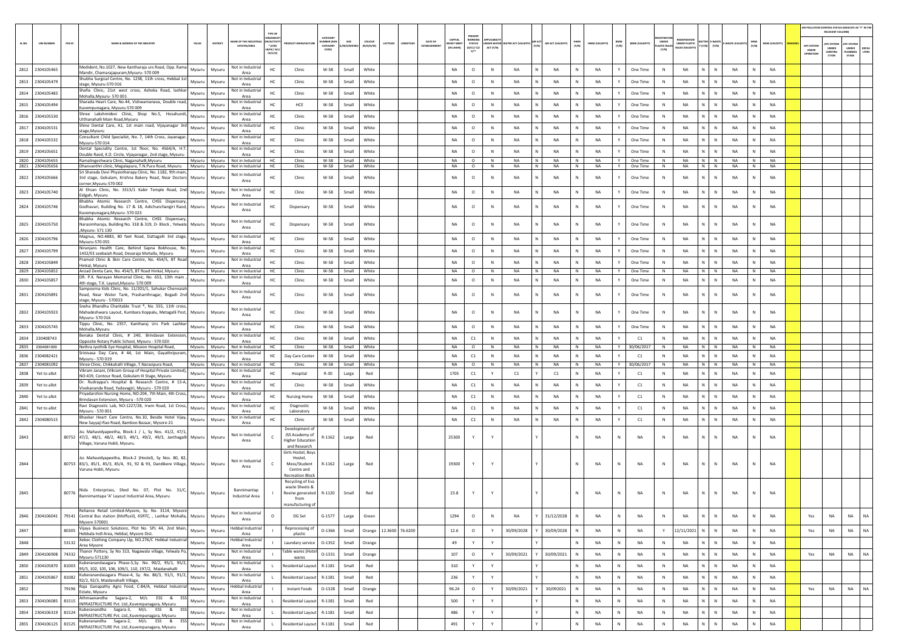|        |                                    |                                                                                                                                                          |                                        |                                                                                 |                                          |                |                                |         |                                          |                                                  |                  |                                       |                      |              |                        |              |                       |                                     |                                                            |                                      |                        |              |                        | AIR POLLUTION CONTROL STATUS (INDICATE AS "Y" IN THE | RELEVANT COLUMN                                |                                                |                |
|--------|------------------------------------|----------------------------------------------------------------------------------------------------------------------------------------------------------|----------------------------------------|---------------------------------------------------------------------------------|------------------------------------------|----------------|--------------------------------|---------|------------------------------------------|--------------------------------------------------|------------------|---------------------------------------|----------------------|--------------|------------------------|--------------|-----------------------|-------------------------------------|------------------------------------------------------------|--------------------------------------|------------------------|--------------|------------------------|------------------------------------------------------|------------------------------------------------|------------------------------------------------|----------------|
| SL.NO. | <b>UIN NUMBER</b>                  | PCB ID<br>NAME & ADDRESS OF THE INDUSTRY<br>TALUR<br>DISTRICT                                                                                            | ME OF THE INDUS<br><b>ESTATES/AREA</b> | <b>GANISA</b><br><b>ACTIVE</b><br>WUFACTUI<br>$*(1/M)^*$<br>B/HC/ H/L<br>CE/C/O | CATEGORY<br>ABER (X<br>CATEGORY<br>CODET | /M/S/MICRC     | coLour<br>ATITUDE<br>(R/O/G/W) | DATE OF | CAPITAL<br><b>VEST MEN</b><br>(IN LAKHS) | PRESENT<br>WORKING<br><b>STATUS</b><br>(0/C1/C2) | ACT (Y/N)        | NDER WATER WATER ACT (VALIDITY) (Y/N) | AIR ACT (VALIDITY)   | HWM<br>(Y/N) | HWM (VALIDITY)         | BMW<br>(Y/N) | <b>BMW (VALIDITY)</b> | UNDER<br><b>ASTIC RULE</b><br>(Y/N) | <b>FGISTRATI</b><br>UNDER PLASTIC<br><b>NULES IVALIDIT</b> | ATTER E-WASTE<br>' (Y/N)       (Y/N) | -WASTE (VALI           | MSW<br>(Y/N) | MSW (VALIDITY)         | <b>APC SYSTEM</b><br>UNDER<br>OPERATIO               | <b>APC SYSTEM</b><br>UNDER<br>CONSTRU<br>CTION | APC SYSTEM<br><b>UNDER</b><br>LANNING<br>STAGE | DEFAL<br>LTERS |
|        | 2812 2304105465                    | Medident, No.1027, New Kantharaja urs Road, Opp. Rama<br>Mysuru<br>Mysuru                                                                                | Not in Industrial                      | HC<br>Clinic                                                                    | W-58                                     | Small          | White                          |         | <b>NA</b>                                | $\circ$                                          | ${\sf N}$        | <b>NA</b>                             | <b>NA</b>            | N            | <b>NA</b>              | Y            | One Time              | $\,$ N                              | <b>NA</b>                                                  | $\mathbb{N}$                         | <b>NA</b>              |              | <b>NA</b>              |                                                      |                                                |                                                |                |
|        | 2813 2304105479                    | Mandir, Chamarajapuram, Mysuru- 570 009<br>Shubha Surgical Centre, No. 1238, 11th cross, Hebbal 1st<br>Mysuru<br>Mysuru                                  | Area<br>Not in Industrial              | HC<br>Clinic                                                                    | W-58                                     | Small          | White                          |         | <b>NA</b>                                | $\circ$                                          | $\mathbb{N}$     | <b>NA</b>                             | N<br><b>NA</b>       | N            | <b>NA</b>              | Y            | One Time              | N                                   | <b>NA</b>                                                  | N.<br>$\mathbb{N}$                   | <b>NA</b>              | N            | <b>NA</b>              |                                                      |                                                |                                                |                |
|        | 2814 2304105483                    | stage, Mysuru-570 016<br>Shafia Clinic, 21st west cross, Ashoka Road, lashkar<br>Mysuru<br>Mysuru                                                        | Area<br>Not in Industrial              | HC.<br>Clinic                                                                   | W-58                                     | Small          | White                          |         | <b>NA</b>                                | $\circ$                                          | N                | <b>NA</b>                             | <b>NA</b><br>N       | N            | <b>NA</b>              | Y            | One Time              | N                                   | <b>NA</b>                                                  | N<br>$\mathbb N$                     | <b>NA</b>              | N            | <b>NA</b>              |                                                      |                                                |                                                |                |
|        | 2815 2304105494                    | Mohalla.Mysuru-570 001<br>Sharada Heart Care, No.44, Vishwamanava, Double road,<br>Mysuru<br>Mysuru                                                      | Area<br>Not in Industrial              | HC<br>HCE                                                                       | W-58                                     | Small          | White                          |         | NA                                       | $\circ$                                          | N                | NA                                    | NA                   | N            | <b>NA</b>              |              | One Time              | N                                   | NA                                                         | N.<br>${\sf N}$                      | NA                     | N            | NA                     |                                                      |                                                |                                                |                |
|        | 2816 2304105530                    | Kuvempunagara, Mysuru-570 009<br>Shree Lakshmidevi Clinic, Shop No.5, Hosahundi,<br>Mysuru<br>Mysuru                                                     | Area<br>Not in Industria               | Clinic                                                                          | W-58                                     | Small          | White                          |         | <b>NA</b>                                | $\circ$                                          | N                | <b>NA</b>                             | N<br><b>NA</b>       | $\mathbb{N}$ | <b>NA</b>              | Y            | One Time              | N                                   | <b>NA</b>                                                  | N<br>$\mathbb{N}$                    | <b>NA</b>              | N            | <b>NA</b>              |                                                      |                                                |                                                |                |
|        | 2817 2304105531                    | Utthanahalli Main Road, Mysuru<br>Shine Dental Care, A1, 1st main road, Vijayanagar 3rd<br>Mysuru<br>Mysuru                                              | Area<br>Not in Industria               | HC<br>Clinic                                                                    | W-58                                     | Small          | White                          |         | NA                                       | $\circ$                                          | ${\sf N}$        | NA                                    | NA                   | N            | <b>NA</b>              | Y            | One Time              | $\,$ N                              | NA                                                         | N                                    | NA                     |              | <b>NA</b>              |                                                      |                                                |                                                |                |
|        | 2818 2304105532                    | stage, Mysuru<br>Consultant Child Specialist, No. 7, 14th Cross, Jayanagar,<br>Mysuru                                                                    | Area<br>Not in Industrial              | Clinic                                                                          | W-58                                     |                | White                          |         | <b>NA</b>                                | $\circ$                                          | N                | <b>NA</b>                             | N<br><b>NA</b>       | N            | <b>NA</b>              | Y            | One Time              | N                                   | <b>NA</b>                                                  | N.<br>N                              | <b>NA</b>              | N            | <b>NA</b>              |                                                      |                                                |                                                |                |
|        |                                    | Mysuru<br>Mysuru-570 014<br>Dental Speciality Centre, 1st floor, No. 4564/A, H.T.                                                                        | Area<br>Not in Industrial              | HC                                                                              |                                          | Small          |                                |         |                                          |                                                  |                  |                                       |                      |              |                        |              |                       |                                     |                                                            |                                      |                        |              | <b>NA</b>              |                                                      |                                                |                                                |                |
|        | 2819 2304105651<br>2820 2304105655 | Mysuru<br>Mysuru<br>Double Raod, K.D. Circle, Vijayanagar, 2nd stage, Mysuru-<br>Ramalingeshwara Clinic, Naganahalli, Mysuru<br>Mysuru Mysuru            | Area<br>Not in Industrial              | HC<br>Clinic<br>Clinic<br>HC                                                    | W-58<br>W-58                             | Small<br>Small | White<br>White                 |         | <b>NA</b><br>NA                          | $\circ$<br>$\circ$                               | $\mathbb N$<br>N | <b>NA</b><br>NA                       | <b>NA</b><br>N<br>NA | N<br>N       | <b>NA</b><br><b>NA</b> | Y<br>Y       | One Time<br>One Time  | N<br>N                              | <b>NA</b><br>NA                                            | N<br>N<br>N N                        | <b>NA</b><br><b>NA</b> | N<br>N       | <b>NA</b>              |                                                      |                                                |                                                |                |
|        | 2821 2304105656                    | Dhanvanthri clinic, Megalapura, T.N.Pura Road, Mysuru   Mysuru   Mysuru<br>Sri Sharada Devi Physiotherapy Clinic, No. 1182, 9th main,                    | Not in Industrial                      | HC<br>Clinic                                                                    | W-58                                     | Small          | White                          |         | NA                                       | $\circ$                                          | N                | <b>NA</b>                             | N<br><b>NA</b>       | N            | NA                     | Y            | One Time              | N                                   | <b>NA</b>                                                  | NIN                                  | NA                     | N            | <b>NA</b>              |                                                      |                                                |                                                |                |
|        | 2822 2304105666                    | 3rd stage, Gokulam, Krishna Bakery Road, Near Doctors Mysuru<br>Mysuri<br>corner.Mysuru-570 002                                                          | Not in Industria<br>Area               | HC<br>Clinic                                                                    | $W-58$                                   | Small          | White                          |         | <b>NA</b>                                | $\circ$                                          | N                | NA                                    | <b>NA</b>            | N            | <b>NA</b>              |              | One Time              | N                                   | <b>NA</b>                                                  | ${\sf N}$<br>N                       | NA                     | N            | <b>NA</b>              |                                                      |                                                |                                                |                |
|        | 2823 2304105740                    | Il Ehsan Clinic, No. 3313/1 Kabir Temple Road, 2nd<br>Mysuru<br>Mysuru                                                                                   | Not in Industrial                      | HC<br>Clinic                                                                    | $W-58$                                   | Small          | White                          |         | NA                                       | $\circ$                                          | N                | NA                                    | NA                   | N            | <b>NA</b>              |              | One Time              | N                                   | NA                                                         | N.<br>${\sf N}$                      | NA                     | N            | NA                     |                                                      |                                                |                                                |                |
|        | 2824 2304105746                    | Eidgah, Mysuru<br>Bhabha Atomic Research Centre, CHSS Dispensary,<br>Godhavari, Building No. 17 & 18, Adichunchangiri Raod, Mysuru<br>Mysuru             | Area<br>Not in Industrial              | Dispensary                                                                      | W-58                                     | Small          | White                          |         | NA                                       | $\circ$                                          | N                | NA                                    | NA                   | N            | <b>NA</b>              |              | One Time              | N                                   | NA                                                         | N<br>$\mathbb N$                     | NA                     | N            | <b>NA</b>              |                                                      |                                                |                                                |                |
|        |                                    | Kuvempunagara, Mysuru- 570 023<br>Bhabha Atomic Research Centre, CHSS Dispensary,                                                                        | Area<br>Not in Industrial              |                                                                                 |                                          |                |                                |         |                                          |                                                  |                  |                                       |                      |              |                        |              |                       |                                     |                                                            |                                      |                        |              |                        |                                                      |                                                |                                                |                |
|        | 2825 2304105750                    | Narasimharaja, Building No. 318 & 319, D- Block, Yelwala Mysuru<br>Mysuru<br>Mysuru-571 130                                                              | Area                                   | HC<br>Dispensary                                                                | W-58                                     | Small          | White                          |         | <b>NA</b>                                | $\circ$                                          | N                | NA                                    | <b>NA</b>            | N            | <b>NA</b>              |              | One Time              | N                                   | <b>NA</b>                                                  | $\mathbb{N}$<br>N.                   | <b>NA</b>              | N            | <b>NA</b>              |                                                      |                                                |                                                |                |
|        | 2826 2304105796                    | Magnus, NO.4883, 80 feet Road, Dattagalli 3rd stage,<br>Mysuru<br>Mysuru<br>Mysuru-570 055                                                               | Not in Industria<br>Area               | HC<br>Clinic                                                                    | W-58                                     | Small          | White                          |         | <b>NA</b>                                | $\circ$                                          | N                | NA                                    | NA                   | N            | <b>NA</b>              | Y            | One Time              | N                                   | <b>NA</b>                                                  | N<br>N                               | NA                     | N            | <b>NA</b>              |                                                      |                                                |                                                |                |
|        | 2827 2304105799                    | Niranjans Health Care, Behind Sapna Bokhouse, No.<br>Mysuru<br>Mysuru<br>1432/EE seebaiah Road, Devaraia Mohalla, Mysuru                                 | Not in Industrial<br>Area              | Clinic<br>нc                                                                    | W-58                                     | Small          | White                          |         | NA                                       | $\circ$                                          | N                | NA                                    | NA                   |              | <b>NA</b>              |              | One Time              | N                                   | NA                                                         | N.<br>N                              | <b>NA</b>              |              | NA                     |                                                      |                                                |                                                |                |
|        | 2828 2304105849                    | Pramod Clinic & Skin Care Centre, No. 454/5, BT Road<br>Mysuru<br>Mysuru<br>Hinkal, Mysuru                                                               | Not in Industrial<br>Area              | Clinic<br>HC                                                                    | W-58                                     | Small          | White                          |         | <b>NA</b>                                | $\circ$                                          | N                | <b>NA</b>                             | N<br><b>NA</b>       | $\mathbb{N}$ | <b>NA</b>              | Y            | One Time              | $\mathbb{N}$                        | <b>NA</b>                                                  | N  <br>$\mathbb{N}$                  | <b>NA</b>              | N            | <b>NA</b>              |                                                      |                                                |                                                |                |
|        | 2829 2304105852<br>2830 2304105857 | Anzad Denta Care, No. 454/5, BT Road Hinkal, Mysuru<br>Mysuru Mysuru<br>DR. P.K. Narayan Memorial Clinic, No. 653, 13th main<br>Mysuru<br>Mysuru         | Not in Industrial<br>Not in Industria  | Clinic<br>HC.<br>HC<br>Clinic                                                   | W-58<br>W-58                             | Small<br>Small | White<br>White                 |         | <b>NA</b><br>NA                          | $\circ$<br>$\circ$                               | N<br>N           | NA<br>NA                              | N<br><b>NA</b><br>NA | N<br>Ν       | <b>NA</b><br><b>NA</b> | Y            | One Time<br>One Time  | N<br>N                              | <b>NA</b><br>NA                                            | N N<br>N<br>${\sf N}$                | NA<br>NA               | N<br>N       | <b>NA</b><br>NA        |                                                      |                                                |                                                |                |
|        |                                    | 4th stage, T.K. Layout, Mysuru- 570 009<br>Sampoorna Kids Clinic, No. 11/201/1, Sahukar Chennaiah                                                        | Area<br>Not in Industria               |                                                                                 |                                          |                |                                |         |                                          |                                                  |                  |                                       |                      |              |                        |              |                       |                                     |                                                            |                                      |                        |              |                        |                                                      |                                                |                                                |                |
|        | 2831 2304105891                    | Mysuru<br>Road, Near Water Tank, Prashanthnagar, Bogadi 2nd Mysuru<br>stage. Mysuru - 570023                                                             | Area                                   | нc<br>Clinic                                                                    | W-58                                     | Small          | White                          |         | NA                                       | $\circ$                                          | N                | NA                                    | NA                   | N            | <b>NA</b>              |              | One Time              | N                                   | <b>NA</b>                                                  | ${\sf N}$<br>N                       | <b>NA</b>              | N            | <b>NA</b>              |                                                      |                                                |                                                |                |
|        | 2832 2304105923                    | Sneha Bhandhu Charitable Trust ®, No. 555, 11th cross,<br>Mahadeshwara Layout, Kumbara Koppalu, Metagalli Post, Mysuru<br>Mysuru<br>Mysuru-570 016       | Not in Industria<br>Area               | HC<br>Clinic                                                                    | W-58                                     | Small          | White                          |         | <b>NA</b>                                | $\circ$                                          | N                | NA                                    | NA                   | N            | <b>NA</b>              |              | One Time              | N                                   | <b>NA</b>                                                  | N.<br>$\mathbb{N}$                   | NA                     | N            | <b>NA</b>              |                                                      |                                                |                                                |                |
|        | 2833 2304105745                    | Tippu Clinic, No. 2357, Kantharaj Urs Park Lashkar<br>Mysuru<br>Mysuru<br>Mohalla.Mysuru                                                                 | Not in Industri<br>Area                | HC<br>Clinic                                                                    | W-58                                     | Small          | White                          |         | <b>NA</b>                                | $\circ$                                          | N                | NA                                    | N<br><b>NA</b>       | N            | <b>NA</b>              | Y            | One Time              | N                                   | <b>NA</b>                                                  | N<br>$\mathbb N$                     | NA                     | N            | <b>NA</b>              |                                                      |                                                |                                                |                |
| 2834   | 230408743                          | Benaka Dental Clinic, # 240, Brindavan Extension,<br>Mysuru<br>Mysuru<br>Opposite Rotary Public School, Mysuru - 570 020                                 | Not in Industria<br>Area               | Clinic<br>нc                                                                    | W-58                                     | Small          | White                          |         | NA                                       | C1                                               | N                | NA                                    | NA                   |              | <b>NA</b>              |              | C1                    | N                                   | <b>NA</b>                                                  | N.<br>N                              | NA                     |              | NA                     |                                                      |                                                |                                                |                |
|        | 2835 2304081009                    | Nethra Jyothi& Eye Hospital, Mission Hospital Road,<br>Mysuru<br>Mysuru<br>Srinivasa Day Care, # 44, 1st Main, Gayathripuram,                            | Not in Industrial<br>Not in Industria  | HC<br>Clinic                                                                    | W-58                                     | Small          | White                          |         | <b>NA</b>                                | $\circ$                                          | N                | <b>NA</b>                             | N<br><b>NA</b>       | N            | <b>NA</b>              | Y            | 30/06/2017            | N                                   | <b>NA</b>                                                  | N N                                  | <b>NA</b>              | N            | <b>NA</b>              |                                                      |                                                |                                                |                |
|        | 2836 2304082421<br>2837 2304081092 | Mysuru<br>Mysuru<br>Mysuru - 570 019<br>Shree Clinic, Chikkahalli Village, T.Narasipura Road,<br>Mysuru<br>Mysuru                                        | Area<br>Not in Industrial              | HC<br>Day Care Center<br>Clinic<br>HC.                                          | W-58<br>W-58                             | Small<br>Small | White<br>White                 |         | NA<br><b>NA</b>                          | C1<br>$\circ$                                    | N<br>$\mathbb N$ | <b>NA</b><br><b>NA</b>                | <b>NA</b><br>N<br>NA | N<br>N       | <b>NA</b><br><b>NA</b> | Y<br>Y       | C1<br>30/06/2017      | N<br>N                              | <b>NA</b><br>NA                                            | N.<br>N<br>$N$ $N$                   | NA<br><b>NA</b>        | N<br>N       | <b>NA</b><br><b>NA</b> |                                                      |                                                |                                                |                |
| 2838   | Yet to allot                       | Vikram Janani, (Vikram Group of Hospital Private Limited),<br>Mysuru<br>Mysuru                                                                           | Not in Industrial                      | HC<br>Hospital                                                                  | $R-30$                                   | Large          | Red                            |         | 1705                                     | C1                                               | Y                | C1                                    | C1                   | N            | <b>NA</b>              | Y            | C1                    | N                                   | <b>NA</b>                                                  | N.<br>$\mathbb N$                    | <b>NA</b>              | N            | <b>NA</b>              |                                                      |                                                |                                                |                |
|        | 2839 Yet to allot                  | NO:419, Contour Road, Gokulam III Stage, Mysuru<br>Dr. Rudrappa's Hospital & Research Centre, # 13-A,<br>Mysuru<br>Mysuru                                | Area<br>Not in Industria               | HC<br>Clinic                                                                    | W-58                                     | Small          | White                          |         | <b>NA</b>                                | C1                                               | N                | NA                                    | <b>NA</b>            | N            | <b>NA</b>              | Y            | C1                    | N                                   | <b>NA</b>                                                  | N I<br>N                             | NA                     | N            | <b>NA</b>              |                                                      |                                                |                                                |                |
| 2840   | Yet to allot                       | Vivekananda Road, Yadavagiri, Mysuru - 570 020<br>riyadarshini Nursing Home, NO:204, 7th Main, 4th Cross,<br>Mysuru<br>Mysuru                            | Area<br>Not in Industrial              | нc<br><b>Nursing Home</b>                                                       | W-58                                     | Small          | White                          |         | NA                                       | C1                                               | N                | NA                                    | NA                   | Ν            | <b>NA</b>              |              | C1                    | N                                   | NA                                                         | N.<br>N                              | NA                     | N            | NA                     |                                                      |                                                |                                                |                |
| 2841   | Yet to allot                       | Brindavan Extension, Mysuru - 570 020<br>Ravi Diagnostic Lab, NO:1227/28, Irwin Road, 1st Cross,<br>Mysuru<br>Mysuru                                     | Area<br>Not in Industria               | Diagnostic                                                                      | $W-58$                                   | Small          | White                          |         | <b>NA</b>                                | C1                                               | N                | <b>NA</b>                             | <b>NA</b>            | N            | <b>NA</b>              | Y            | C1                    | N                                   | <b>NA</b>                                                  | N  <br>$\mathbb{N}$                  | <b>NA</b>              | N            | <b>NA</b>              |                                                      |                                                |                                                |                |
|        | 2842 2304080515                    | Mysuru - 570 001<br>Bhaskar Heart Care Centre, No.10, Beside Hotel Vijay,<br>Mysuru<br>Mysuru                                                            | Area<br>Not in Industrial              | Laboratory<br>Clinic<br>HC                                                      | W-58                                     | Small          | White                          |         | <b>NA</b>                                | C1                                               | N                | <b>NA</b>                             | <b>NA</b>            | N            | <b>NA</b>              | Y            | C1                    | N                                   | NA                                                         | $\mathbb N$<br>N                     | NA                     | N            | NA                     |                                                      |                                                |                                                |                |
|        |                                    | New Sayyaji Rao Road, Bamboo Bazaar, Mysore-21<br>Jss Mahavidyapeetha, Block-1 / L, Sy Nos. 41/2, 47/1,                                                  | Area                                   | Development of                                                                  |                                          |                |                                |         |                                          |                                                  |                  |                                       |                      |              |                        |              |                       |                                     |                                                            |                                      |                        |              |                        |                                                      |                                                |                                                |                |
| 2843   |                                    | 80752 47/2, 48/1, 48/2, 48/3, 49/1, 49/2, 49/3, Janthagalli Mysuru<br>Mysuru<br>Village, Varuna Hobli, Mysuru.                                           | Not in Industrial<br>Area              | JSS Academy of<br><b>Higher Education</b><br>and Research                       | R-1162                                   | Large          | Red                            |         | 25300                                    | Y                                                |                  |                                       |                      | N            | <b>NA</b>              | N            | <b>NA</b>             | $\mathbb{N}$                        | <b>NA</b>                                                  | N<br>N                               | <b>NA</b>              |              | <b>NA</b>              |                                                      |                                                |                                                |                |
|        |                                    | Jss Mahavidyapeetha, Block-2 (Hostel), Sy Nos. 80, 82,                                                                                                   |                                        | Girls Hostel, Boys<br>Hostel,                                                   |                                          |                |                                |         |                                          |                                                  |                  |                                       |                      |              |                        |              |                       |                                     |                                                            |                                      |                        |              |                        |                                                      |                                                |                                                |                |
| 2844   |                                    | 80753 83/1, 85/1, 85/3, 85/4, 91, 92 & 93, Dandikere Village, Mysuru<br>Mysuru<br>Varuna Hobli, Mysuru                                                   | Not in Industrial<br>Area              | Mess/Student<br>$\epsilon$<br>Centre and                                        | R-1162                                   | Large          | Red                            |         | 19300                                    | Y                                                |                  |                                       |                      | N            | <b>NA</b>              | N            | NA                    | N                                   | <b>NA</b>                                                  | N.<br>$\mathbb N$                    | NA                     |              | <b>NA</b>              |                                                      |                                                |                                                |                |
|        |                                    |                                                                                                                                                          |                                        | <b>Recreation Block</b>                                                         |                                          |                |                                |         |                                          |                                                  |                  |                                       |                      |              |                        |              |                       |                                     |                                                            |                                      |                        |              |                        |                                                      |                                                |                                                |                |
|        |                                    | Nida Enterprises, Shed No. 07, Plot No. 31/C,                                                                                                            | Bannimantap                            | Recycling of Eva<br>waste Sheets 8                                              |                                          |                |                                |         |                                          |                                                  |                  |                                       |                      |              |                        |              |                       |                                     |                                                            |                                      |                        |              |                        |                                                      |                                                |                                                |                |
| 2845   |                                    | 80776 Bannimantapa 'A' Layout Industrial Area, Mysuru<br>Mysuru Mysuru                                                                                   | Industrial Area                        | Rexine generated<br>from<br>manufacturing of                                    | R-1120                                   | Small          | Red                            |         | 23.8                                     | Y                                                |                  |                                       |                      |              | <b>NA</b>              | N            | NA                    | N                                   | NA                                                         | N<br>N                               | NA                     |              | <b>NA</b>              |                                                      |                                                |                                                |                |
|        |                                    | Reliance Retail Limited-Mysore, Sy. No. 3114, Mysore<br>2846 2304106041 79141 Central Bus station (Moffusil), KSRTC, , Lashkar Mohalla, Mysuru<br>Mysuru | Not in Industrial<br>Area              | $\Omega$<br>DG Set                                                              | $G-1577$                                 | Large          | Green                          |         | 1294                                     | $\circ$                                          | N                | <b>NA</b>                             | 31/12/2028           | N            | <b>NA</b>              | N            | NA                    | ${\sf N}$                           | NA                                                         | N.<br>N                              | NA                     | N            | <b>NA</b>              | Yes                                                  | <b>NA</b>                                      | <b>NA</b>                                      | NA             |
| 2847   |                                    | Mysore 570001<br>Vijaya Businezz Solutionz, Plot No. SPL 44, 2nd Main,<br>80305<br>Mysuru<br>Mysuru                                                      | <b>Hebbal Industrial</b>               | Reprocessing of                                                                 | $O-1366$                                 | Small          | Orange 12.3600 76.6200         |         | 12.6                                     | $\circ$                                          | Y                | 30/09/2028                            | 30/09/2028           | N            | <b>NA</b>              | N            | NA                    | Y                                   | 12/11/2021                                                 | $N$ $N$                              | NA                     | N            | NA                     | Yes                                                  | NA                                             | <b>NA</b>                                      | NA             |
|        |                                    | Hebbala Indl Area, Hebbal, Mysore Dist.<br>Xebec Clothing Company Llp, NO.276/C Hebbal Industrial                                                        | Area<br>Hebbal Industrial              | plastic                                                                         |                                          |                |                                |         |                                          |                                                  |                  |                                       |                      |              |                        |              |                       |                                     |                                                            |                                      |                        |              |                        |                                                      |                                                |                                                |                |
| 2848   |                                    | 53132<br>Mysuru<br>Mysuru<br>Area Mysore<br>Thanor Pottery, Sy No 313, Nagawala village, Yelwala Po,                                                     | Area<br>Not in Industrial              | Laundary service<br><b>Table wares (Hotel</b>                                   | 0-1352                                   | Small          | Orange                         |         | 49                                       | Y                                                | Y                |                                       |                      | Ν            | <b>NA</b>              | N            | NA                    | $\,$ N                              | NA                                                         | N<br>${\sf N}$                       | NA                     | N            | NA                     |                                                      |                                                |                                                |                |
|        | 2849 2304106908 74332              | Mysuru<br>Mysuru<br>Mysuru-571130<br>Kuberanandasagara Phase-5, Sy. No. 90/2, 95/1, 95/2,                                                                | Area<br>Not in Industrial              | wares                                                                           | 0-1331                                   | Small          | Orange                         |         | 107                                      | $\circ$                                          | Y                | 30/09/2021                            | 30/09/2021           | N            | NA                     | ${\sf N}$    | NA                    | $\,$ N                              | <b>NA</b>                                                  | $N$ $N$                              | NA                     | ${\sf N}$    | NA                     | Yes                                                  | NA                                             | <b>NA</b>                                      | <b>NA</b>      |
|        | 2850 2304105870 81003              | Mysuru<br>Mysuru<br>95/5, 102, 105, 106, 109/1, 110, 197/2, Maidanahalli<br>Kuberanandasagara Phase-4, Sy. No. 86/3, 91/1, 91/2,                         | Area<br>Not in Industrial              | Residential Layout R-1181<br>L.                                                 |                                          | Small          | Red                            |         | 310                                      | Y                                                | Y                |                                       |                      | N            | <b>NA</b>              | N            | <b>NA</b>             | N                                   | <b>NA</b>                                                  | $N$ $N$                              | NA                     | N            | NA                     |                                                      |                                                |                                                |                |
|        | 2851 2304105867 81082              | Mysuru<br>Mysuru<br>92/2, 92/3, Maidanahalli Village,<br>Raja Ganapathy Agro Food, C-84/A, Hebbal Industrial                                             | Area                                   | Residential Layout                                                              | R-1181                                   | Small          | Red                            |         | 236                                      | Y                                                | Y                |                                       |                      | N            | <b>NA</b>              | N            | NA                    | N                                   | NA                                                         | $N$ $N$                              | NA                     | ${\sf N}$    | NA                     |                                                      |                                                |                                                |                |
| 2852   |                                    | 79196<br>Mysuru<br>Mysuru<br>Estate, Mysuru                                                                                                              | Hebbal Industria<br>Area               | Instant Foods                                                                   | 0-1328                                   | Small          | Orange                         |         | 96.24                                    | $\circ$                                          | Y                | 30/09/2021                            | 30/092021            | N            | NA                     | N            | NA                    | N                                   | NA                                                         | $N$ $N$                              | NA                     | N            | <b>NA</b>              | Yes                                                  | NA                                             | NA                                             | <b>NA</b>      |
|        |                                    | Athmaanandha Sagara-2, M/s. ESS & ESS<br>2853 2304106085 81515 Athindalidium Jupice J. All Kuvempunagara, Mysuru<br>Mysuru<br>Mysuru                     | Not in Industrial<br>Area              | <b>Residential Layout</b><br>$\mathbf{L}$                                       | R-1181                                   | Small          | Red                            |         | 500                                      | Y                                                | Y                |                                       |                      | Ν            | NA                     | N            | NA                    | $\,$ N                              | NA                                                         | N<br>${\sf N}$                       | NA                     | N            | NA                     |                                                      |                                                |                                                |                |
|        | 2854 2304106319 81524              | Kuberanandha Sagara-3, M/s. ESS & ESS<br>Mysuru<br>Mysuru<br>INFRASTRUCTURE Pvt. Ltd., Kuvempunagara, Mysuru                                             | Not in Industrial<br>Area              | Residential Layout R-1181                                                       |                                          | Small          | Red                            |         | 486                                      | Y                                                | Y                |                                       |                      | N            | <b>NA</b>              | N            | NA                    | $\,$ N                              | NA                                                         | N<br>$\,$ N                          | NA                     | ${\sf N}$    | NA                     |                                                      |                                                |                                                |                |
|        | 2855 2304106125 81525              | Kuberanandha Sagara-2, M/s. ESS & ESS<br>Mysuru<br>Mysuru<br>INFRASTRUCTURE Pvt. Ltd., Kuvempunagara, Mysuru                                             | Not in Industrial<br>Area              | Residential Layout R-1181<br>$\mathbf{L}$                                       |                                          | Small          | Red                            |         | 491                                      | Y                                                | Y                |                                       |                      | $\mathbb{N}$ | NA                     | N            | NA                    | $\mathbb{N}$                        | NA                                                         | N<br>N                               | NA                     | N            | NA                     |                                                      |                                                |                                                |                |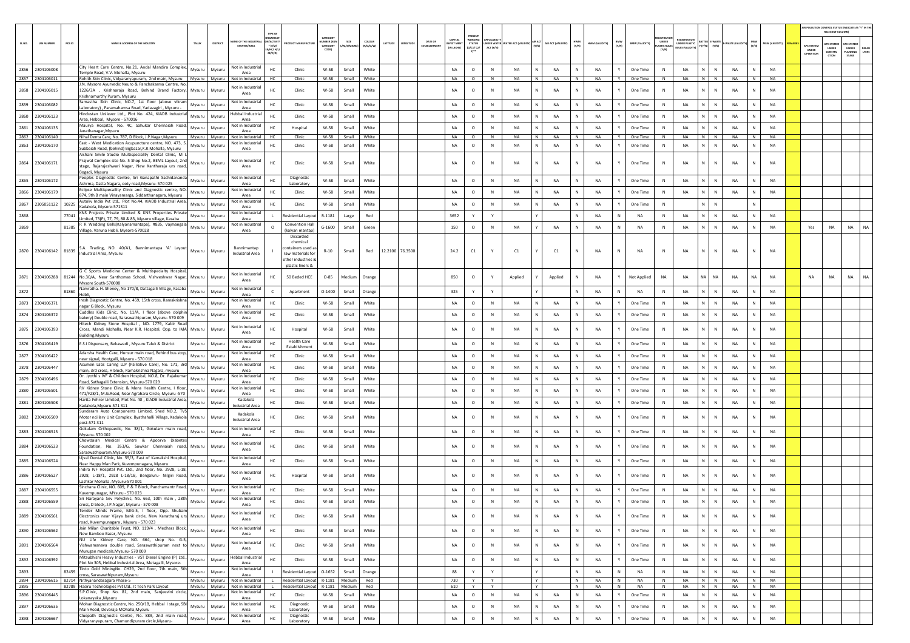|              |                                |                                                                                                                                                                                                                                     |                  |                         |                                                     |                                                                  |                                                                                              |                                           |                   |                        |                 |                        |                                          |                                                 |             |                                 |                  |                        |              |                        |              |                       |                            |                                        |                             |                          |              |                        | AIR POLLUTION CONTROL STATUS (INDICATE AS "Y" IN THE | RELEVANT COLUMNI                                      |                                                |               |
|--------------|--------------------------------|-------------------------------------------------------------------------------------------------------------------------------------------------------------------------------------------------------------------------------------|------------------|-------------------------|-----------------------------------------------------|------------------------------------------------------------------|----------------------------------------------------------------------------------------------|-------------------------------------------|-------------------|------------------------|-----------------|------------------------|------------------------------------------|-------------------------------------------------|-------------|---------------------------------|------------------|------------------------|--------------|------------------------|--------------|-----------------------|----------------------------|----------------------------------------|-----------------------------|--------------------------|--------------|------------------------|------------------------------------------------------|-------------------------------------------------------|------------------------------------------------|---------------|
| SL.NO.       | <b>UIN NUMBER</b>              | $PCB$ ID<br>NAME & ADDRESS OF THE INDUSTR'                                                                                                                                                                                          | <b>TALUK</b>     | DISTRICT                | <b><i>RE OF THE INDI</i></b><br><b>ESTATES/AREA</b> | <b>RGANIS</b><br><b>ACTIV</b><br>$*(1/M)^*$<br>B/HC/ H<br>CE/C/O | <b>OUCT MANUFACTU</b>                                                                        | CATEGORY<br>MBER (X)<br>CATEGORY<br>CODET | A/S/MIC           | coLour<br>(R/O/G/W)    | LATITUDE        | DATE OF<br>ESTABLISHMB | CAPITAL<br><b>WEST MEN</b><br>(IN LAKHS) | PRESENT<br>WORKIN<br><b>STATUS</b><br>(0/C1/C2) | ACT (Y/N)   | NDER WATER WATER ACT (VALIDITY) | AIR ACT<br>(Y/N) | AIR ACT (VALIDITY)     | HWM<br>(Y/N) | HWM (VALIDITY)         | BMW<br>(Y/N) | <b>BMW (VALIDITY)</b> | <b>ASTIC RULE</b><br>[Y/N] | UNDER PLASTIC<br><b>NJLES (VALIDI)</b> | Y (Y/N) (Y/N)               | WASTE (VALI              | MSW<br>(Y/N) | MSW (VALIDITY)         | <b>APC SYSTER</b><br>UNDER<br>OPERATIO               | <b>APC SYSTEM</b><br><b>UNDER</b><br>CONSTRU<br>CTION | APC SYSTER<br><b>UNDER</b><br>LANNING<br>STAGE | DEFA<br>LTERS |
|              | 2856 2304106008                | City Heart Care Centre, No.21, Andal Mandira Complex,<br>Femple Road, V.V. Mohalla, Mysuru                                                                                                                                          | Mysuru           | Mysuru                  | Not in Industrial<br>Area                           | HC                                                               | Clinic                                                                                       | W-58                                      | Small             | White                  |                 |                        | <b>NA</b>                                | $\circ$                                         | N           | NA                              |                  | <b>NA</b>              |              | <b>NA</b>              | Y            | One Time              | $\,$ N                     | <b>NA</b>                              | N<br>$\mathbb{N}$           | <b>NA</b>                |              | <b>NA</b>              |                                                      |                                                       |                                                |               |
|              | 2857 2304106011                | Rohith Skin Clinic, Vidyaranyapuram, 2nd main, Mysuru   Mysuru   Mysuru   Not in Industrial<br>J.N. Mysore Ayurvedic Neuro & Panchakarma Centre, No.                                                                                |                  |                         |                                                     | HC                                                               | Clinic                                                                                       | W-58                                      | Small             | White                  |                 |                        | NA                                       | $\circ$                                         | N           | NA                              | N                | NA                     | N            | <b>NA</b>              | Y            | One Time              | N                          | <b>NA</b>                              | $N$ $N$                     | NA                       | N            | NA                     |                                                      |                                                       |                                                |               |
|              | 2858 2304106015                | 1226/3A , Krishnaraja Road, Behind Brand Factory,<br>Krishnamurthy Puram, Mysuru                                                                                                                                                    | Mysuru           | Mysuru                  | Not in Industria<br>Area                            | HC                                                               | Clinic                                                                                       | W-58                                      | Small             | White                  |                 |                        | NA                                       | $\circ$                                         | N           | NA                              | N                | NA                     | Ν            | <b>NA</b>              |              | One Time              | N                          | NA                                     | N<br>${\sf N}$              | NA<br>N                  |              | <b>NA</b>              |                                                      |                                                       |                                                |               |
| 2859         | 2304106082                     | Samastha Skin Clinic, NO.7, 1st floor (above vikram<br>Laboratory), Paramahamsa Road, Yadavagiri, Mysuru -                                                                                                                          | Mysuru           | Mysuru                  | Not in Industrial<br>Area                           | HC                                                               | Clinic                                                                                       | W-58                                      | Small             | White                  |                 |                        | NA                                       | $\circ$                                         | N           | NA                              | N                | NA                     | Ν            | NA                     |              | One Time              | N                          | NA                                     | N<br>${\sf N}$              | NA                       |              | NA                     |                                                      |                                                       |                                                |               |
| 2860         | 2304106123                     | Hindustan Unilever Ltd., Plot No. 424, KIADB Industrial<br>Area, Hebbal, Mysore - 570016                                                                                                                                            | Mysuru           | Mysuru                  | Hebbal Industria<br>Area                            | HC                                                               | Clinic                                                                                       | W-58                                      | Small             | White                  |                 |                        | <b>NA</b>                                | $\circ$                                         | N           | NA                              | N                | <b>NA</b>              | $\mathbb{N}$ | <b>NA</b>              | Y            | One Time              | N                          | <b>NA</b>                              | $N$ $N$                     | <b>NA</b>                | N            | <b>NA</b>              |                                                      |                                                       |                                                |               |
| 2861         | 2304106135                     | Maurya Hospital, No. 4C, Sahukar Chennaiah Road,<br>Janathanagar, Mysuru                                                                                                                                                            | Mysuru           | Mysuru                  | Not in Industria<br>Area                            | HC                                                               | Hospital                                                                                     | W-58                                      | Small             | White                  |                 |                        | <b>NA</b>                                | $\circ$                                         | N           | NA                              |                  | NA                     |              | <b>NA</b>              | Y            | One Time              | N                          | NA                                     | N.<br>${\sf N}$             | NA                       |              | <b>NA</b>              |                                                      |                                                       |                                                |               |
| 2863         | 2862 2304106140<br>2304106170  | Nihal Denta Care, No. 787, D Block, J.P.Nagar, Mysuru<br>East - West Medication Acupuncture centre, NO. 473, S.                                                                                                                     | Mysuru           | Mysuru Mysuru<br>Mysuru | Not in Industrial<br>Not in Industrial              | HC<br>HC                                                         | Clinic<br>Clinic                                                                             | W-58<br>W-58                              | Small             | Small   White<br>White |                 |                        | <b>NA</b><br><b>NA</b>                   | $\circ$<br>$\circ$                              | N<br>N      | <b>NA</b><br>NA                 | N<br>N           | <b>NA</b><br><b>NA</b> | N<br>N       | <b>NA</b><br><b>NA</b> | Y<br>Y       | One Time<br>One Time  | N<br>$\,$ N                | <b>NA</b><br>NA                        | N N<br>N<br>$\mathbb N$     | NA<br><b>NA</b><br>N     | N            | <b>NA</b><br><b>NA</b> |                                                      |                                                       |                                                |               |
|              | 2864 2304106171                | Subbaiah Road, (behind) Bigbazar, K.R.Mohalla, Mysuru<br>Aishani Smile Studio Multispeciality Dental Clinic, M L<br>Prajwal Complex site No. 5 Shop No.2, BEML Layout, 2nd<br>stage, Rajarajeshwari Nagar, New Kantharaja urs road, | Mysuru           | Mysuru                  | Area<br>Not in Industrial<br>Area                   | HC                                                               | Clinic                                                                                       | W-58                                      | Small             | White                  |                 |                        | NA                                       | $\circ$                                         | N           | NA                              |                  | NA                     | Ν            | NA                     |              | One Time              | N                          | NA                                     | N<br>${\sf N}$              | NA                       |              | NA                     |                                                      |                                                       |                                                |               |
|              |                                | Bogadi, Mysuru<br>Peoples Diagnostic Centre, Sri Ganapathi Sachidananda                                                                                                                                                             |                  |                         | Not in Industria                                    |                                                                  | Diagnostic                                                                                   |                                           |                   |                        |                 |                        |                                          |                                                 |             |                                 |                  |                        |              |                        |              |                       |                            |                                        |                             |                          |              |                        |                                                      |                                                       |                                                |               |
| 2865         | 2304106172                     | Ashrma, Datta Nagara, ooty road, Mysuru- 570 025<br>Eclipse Multispecaility Clinic and Diagnostic centre, NO.                                                                                                                       | Mysuru           | Mysuru                  | Area<br>Not in Industrial                           | HC                                                               | Laboratory                                                                                   | W-58                                      | Small             | White                  |                 |                        | <b>NA</b>                                | $\circ$                                         | N           | NA                              | N                | NA                     | N            | <b>NA</b>              | Y            | One Time              | N                          | <b>NA</b>                              | N.<br>$\mathsf{N}$<br>N     | <b>NA</b><br>N           |              | <b>NA</b>              |                                                      |                                                       |                                                |               |
| 2866<br>2867 | 2304106179<br>2305051122 10225 | 874, 9th B main Vinayamarga, Siddarthanagara, Mysuru<br>Autoliv India Pvt Ltd., Plot No.44, KIADB Industrial Area,                                                                                                                  | Mysuru<br>Mysuru | Mysuru<br>Mysuru        | Area<br>Not in Industria                            | HC                                                               | Clinic<br>Clinic                                                                             | W-58<br>W-58                              | Small<br>Small    | White<br>White         |                 |                        | NA<br><b>NA</b>                          | $\circ$<br>$\circ$                              | N<br>N      | NA<br>NA                        | N                | NA<br><b>NA</b>        | $\mathbb{N}$ | NA<br><b>NA</b>        | Y            | One Time<br>One Time  | N<br>N                     | NA                                     | ${\sf N}$<br>N<br>N         | NA<br>N                  |              | NA                     |                                                      |                                                       |                                                |               |
| 2868         |                                | Kadakola, Mysore-571311<br>KNS Projects Private Limited & KNS Properties Private<br>77041                                                                                                                                           | Mysuru           | Mysuru                  | Area<br>Not in Industria                            |                                                                  | Residential Layout                                                                           | R-1181                                    | Large             | Red                    |                 |                        | 3652                                     | Y                                               |             |                                 |                  |                        |              | NA                     | N            | NA                    | $\mathbb N$                | <b>NA</b>                              | N<br>$\mathbb{N}$           | NA                       |              | <b>NA</b>              |                                                      |                                                       |                                                |               |
| 2869         |                                | mited, 73(P), 77, 79, 80 & 83, Mysuru village, Kasaba<br>R R Wedding Bells(Kalyanamantapa), #835, Vajmangala<br>81385                                                                                                               | Mysuru           | Mysuru                  | Area<br>Not in Industrial                           | $\circ$                                                          | Convention Hall                                                                              | $G-1600$                                  | Small             | Green                  |                 |                        | 150                                      | $\circ$                                         | N           | <b>NA</b>                       |                  | <b>NA</b>              | N            | <b>NA</b>              | N            | NA                    | N                          | <b>NA</b>                              | N<br>$\mathbb{N}$           | <b>NA</b><br>N           |              | <b>NA</b>              | Yes                                                  | NA                                                    | <b>NA</b>                                      | <b>NA</b>     |
|              |                                | Village, Varuna Hobli, Mysore-570028                                                                                                                                                                                                |                  |                         | Area                                                |                                                                  | kalyan mantap<br>Discarded                                                                   |                                           |                   |                        |                 |                        |                                          |                                                 |             |                                 |                  |                        |              |                        |              |                       |                            |                                        |                             |                          |              |                        |                                                      |                                                       |                                                |               |
|              |                                | 2870 2304106142 81839 S.A. Trading, NO. 40/A1, Bannimantapa 'A' Layout<br>Industrial Area, Mysuru                                                                                                                                   | Mysuru           | Mysuru                  | Bannimantap<br>Industrial Area                      |                                                                  | chemical<br>ontainers used as<br>raw materials for<br>other industries &<br>plastic liners & | $R-10$                                    | Small             | Red                    | 12.2100 76.3500 |                        | 24.2                                     | C1                                              |             | C1                              |                  | C1                     | Ν            | NA                     |              | NA                    | ${\sf N}$                  | NA                                     | $\mathbb{N}$<br>$\mathbb N$ | NA                       |              | <b>NA</b>              |                                                      |                                                       |                                                |               |
| 2871         | 2304106288                     | G C Sports Medicine Center & Multispecialty Hospita<br>81244 No.30/A, Near Santhomas School, Vishveshwar Nagar,                                                                                                                     | Mysuru           | Mysuru                  | Not in Industrial<br>Area                           | HC                                                               | 50 Beded HCE                                                                                 | $O - 85$                                  | Medium            | Orange                 |                 |                        | 850                                      | $\circ$                                         |             | Applied                         |                  | Applied                | N            | <b>NA</b>              |              | Not Applied           | NA                         | <b>NA</b>                              | NA.<br>NA                   | <b>NA</b><br><b>NA</b>   |              | <b>NA</b>              | <b>NA</b>                                            | NA                                                    | <b>NA</b>                                      | <b>NA</b>     |
| 2872         |                                | Mysore South-570008<br>Namratha. H. Shenoy, No 170/8, Dattagalli Village, Kasaba<br>81860<br>Hobli                                                                                                                                  | Mysuru           | Mysuru                  | Not in Industria<br>Area                            |                                                                  | Apartment                                                                                    | $O-1400$                                  | Small             | Orange                 |                 |                        | 325                                      | Y                                               | Y           |                                 |                  |                        | $\mathbb{N}$ | <b>NA</b>              | N            | NA                    | N                          | <b>NA</b>                              | N<br>$\mathbb N$            | <b>NA</b><br>N           |              | <b>NA</b>              |                                                      |                                                       |                                                |               |
| 2873         | 2304106371                     | Iresh Diagnostic Centre, No. 459, 15th cross, Ramakrishna<br>nagar G Block, Mysuru                                                                                                                                                  | Mysuru           | Mysuru                  | Not in Industrial                                   | HC                                                               | Clinic                                                                                       | W-58                                      | Small             | White                  |                 |                        | <b>NA</b>                                | $\circ$                                         | N           | NA                              |                  | NA                     | N            | NA                     | Y            | One Time              | $\,$ N                     | NA                                     | N.<br>${\sf N}$             | NA                       |              | <b>NA</b>              |                                                      |                                                       |                                                |               |
| 2874         | 2304106372                     | Cuddles Kids Clinic, No. 11/A, I floor (above dolphir                                                                                                                                                                               | Mysuru           | Mysuru                  | Area<br>Not in Industria<br>Area                    | HC                                                               | Clinic                                                                                       | W-58                                      | Small             | White                  |                 |                        | <b>NA</b>                                | $\circ$                                         | N           | <b>NA</b>                       | N.               | <b>NA</b>              | N            | <b>NA</b>              | Y            | One Time              | N                          | NA                                     | N<br>$\mathbb N$            | NA<br>$\mathbb N$        |              | <b>NA</b>              |                                                      |                                                       |                                                |               |
| 2875         | 2304106393                     | bakery) Double road, Saraswathipuram, Mysuru-570 009<br>Hitech Kidney Stone Hospital , NO. 1779, Kabir Road<br>Cross, Mandi Mohalla, Near K.R. Hospital, Opp. to IMA Mysuru                                                         |                  | Mysuru                  | Not in Industrial                                   | HC                                                               | Hospital                                                                                     | W-58                                      | Small             | White                  |                 |                        | <b>NA</b>                                | $\circ$                                         | N           | <b>NA</b>                       |                  | <b>NA</b>              | N            | <b>NA</b>              |              | One Time              | N                          | <b>NA</b>                              | $\mathbb{N}$<br>N           | <b>NA</b>                |              | <b>NA</b>              |                                                      |                                                       |                                                |               |
|              |                                | Building, Mysuru                                                                                                                                                                                                                    |                  |                         | Area<br>Not in Industria                            |                                                                  | <b>Health Care</b>                                                                           |                                           |                   |                        |                 |                        |                                          |                                                 |             |                                 |                  |                        |              |                        |              |                       |                            |                                        |                             |                          |              |                        |                                                      |                                                       |                                                |               |
| 2876         | 2304106419                     | E.S.I Dispensary, Bekawadi, Mysuru Taluk & District<br>Adarsha Health Care, Hunsur main road, Behind bus stop,                                                                                                                      | Mysuru           | Mysuru                  | Area<br>Not in Industri                             | HC                                                               | Establishment                                                                                | W-58                                      | Small             | White                  |                 |                        | <b>NA</b>                                | $\circ$                                         | N           | <b>NA</b>                       | N                | <b>NA</b>              | N            | <b>NA</b>              | Y            | One Time              | N                          | <b>NA</b>                              | N<br>N                      | NA<br>$\mathbb N$        |              | <b>NA</b>              |                                                      |                                                       |                                                |               |
|              | 2877 2304106422                | near signal, Hootgalli, Mysuru - 570 018<br>Acumen Labs Caring LLP (Palliative Care), No. 171, 3rd                                                                                                                                  | Mysuru           | Mysuru                  | Area<br>Not in Industrial                           | HC                                                               | Clinic                                                                                       | W-58                                      | Small             | White                  |                 |                        | <b>NA</b>                                | $\circ$                                         | N           | NA                              | N                | NA                     | N            | NA                     | Y            | One Time              | N                          | <b>NA</b>                              | N N                         | NA                       | N            | NA                     |                                                      |                                                       |                                                |               |
| 2878         | 2304106447                     | main, 3rd cross, H block, Ramakrishna Nagara, mysuru<br>Dr. Jyothi s IVF & Children Hospital, NO.8, Dr. Rajakumar                                                                                                                   | Mysuru           | Mysuru                  | Area<br>Not in Industria                            | HC                                                               | Clinic                                                                                       | W-58                                      | Small             | White                  |                 |                        | NA                                       | $\circ$                                         | N           | NA                              |                  | NA                     |              | <b>NA</b>              |              | One Time              | N                          | NA                                     | N.<br>${\sf N}$             | NA                       |              | NA                     |                                                      |                                                       |                                                |               |
| 2879         | 2304106496                     | Road, Sathagalli Extension, Mysuru-570 029<br>RV Kidney Stone Clinic & Mens Health Centre, I floor,                                                                                                                                 | Mysuru           | Mysuru                  | Area<br>Not in Industria                            | HC                                                               | Clinic                                                                                       | W-58                                      | Small             | White                  |                 |                        | <b>NA</b>                                | $\circ$                                         | N           | NA                              | N                | <b>NA</b>              | N            | <b>NA</b>              | Y            | One Time              | N                          | NA                                     | N<br>$\mathbb{N}$           | <b>NA</b><br>N           |              | <b>NA</b>              |                                                      |                                                       |                                                |               |
| 2880         | 2304106501                     | 471/F28/1, M.G.Road, Near Agrahara Circle, Mysuru -570<br>Harita Fehrer Limited, Plot No. 40, KIADB Industrial Area,                                                                                                                | Mysuru           | Mysuru                  | Area<br>Kadakola                                    | HC                                                               | Clinic                                                                                       | W-58                                      | Small             | White                  |                 |                        | <b>NA</b>                                | $\circ$                                         | N           | <b>NA</b>                       | N                | <b>NA</b>              | N            | <b>NA</b>              | Y            | One Time              | N                          | <b>NA</b>                              | N.<br>$\mathbb{N}$          | <b>NA</b>                |              | <b>NA</b>              |                                                      |                                                       |                                                |               |
| 2881         | 2304106508                     | Kadakola, Mysuru-571 311<br>Sundaram Auto Components Limited, Shed NO.2, TVS                                                                                                                                                        | Mysuru           | Mysuru                  | <b>Industrial Area</b>                              | HC                                                               | Clinic                                                                                       | W-58                                      | Small             | White                  |                 |                        | <b>NA</b>                                | $\circ$                                         | N           | NA                              | N                | <b>NA</b>              | N            | <b>NA</b>              | Y            | One Time              | N                          | NA                                     | N<br>$\mathbb N$            | NA                       |              | <b>NA</b>              |                                                      |                                                       |                                                |               |
| 2882         | 2304106509                     | Motor ncillary Unit Complex, Byathahalli Village, Kadakola Mysuru<br>post-571 311                                                                                                                                                   |                  | Mysuru                  | Kadakola<br><b>Industrial Area</b>                  | HC                                                               | Clinic                                                                                       | $W-58$                                    | Small             | White                  |                 |                        | <b>NA</b>                                | $\circ$                                         | N           | <b>NA</b>                       |                  | <b>NA</b>              | N            | <b>NA</b>              |              | One Time              | $\mathbb N$                | <b>NA</b>                              | N<br>$\mathbb N$            | <b>NA</b>                |              | <b>NA</b>              |                                                      |                                                       |                                                |               |
| 2883         | 2304106515                     | Gokulam Orthopaedic, No. 38/1, Gokulam main road,<br>Mysuru-570 002                                                                                                                                                                 | Mysuru           | Mysuru                  | Not in Industrial<br>Area                           | HC                                                               | Clinic                                                                                       | W-58                                      | Small             | White                  |                 |                        | <b>NA</b>                                | $\circ$                                         | N           | <b>NA</b>                       | N                | <b>NA</b>              | N            | <b>NA</b>              | $\mathsf{Y}$ | One Time              | N                          | NA                                     | N<br>$\mathbb{N}$           | <b>NA</b><br>N           |              | <b>NA</b>              |                                                      |                                                       |                                                |               |
| 2884         | 2304106523                     | Chowdaiah Medical Centre & Apoorva Diabete<br>Foundation, No. 353/G, Sowkar Chennaiah road, Mysuru<br>Saraswathipuram, Mysuru-570 009                                                                                               |                  | Mysuru                  | Not in Industrial<br>Area                           |                                                                  | Clinic                                                                                       | W-58                                      | Small             | White                  |                 |                        | <b>NA</b>                                | $\circ$                                         | $\mathbb N$ | <b>NA</b>                       |                  | NA                     | N            | <b>NA</b>              |              | One Time              | N                          | <b>NA</b>                              | $\mathbb{N}$<br>N.          | <b>NA</b>                |              | <b>NA</b>              |                                                      |                                                       |                                                |               |
| 2885         | 2304106524                     | Ujval Dental Clinic, No. 55/3, East of Kamakshi Hospital,<br>Near Happy Man Park, Kuvempunagara, Mysuru                                                                                                                             | Mysuru           | Mysuru                  | Not in Industrial<br>Area                           | HC                                                               | Clinic                                                                                       | W-58                                      | Small             | White                  |                 |                        | <b>NA</b>                                | $\circ$                                         | N           | NA                              | N                | <b>NA</b>              | N            | <b>NA</b>              | Y            | One Time              | N                          | <b>NA</b>                              | N<br>N                      | <b>NA</b><br>$\mathbb N$ |              | <b>NA</b>              |                                                      |                                                       |                                                |               |
| 2886         | 2304106527                     | Indira IVF Hospital Pvt. Ltd., 2nd floor, No. 2928, L-18<br>2928, L-18/1, 2928 L-18/1B, Bengaluru- Nilgiri Road, Mysuru<br>Lashkar Mohalla, Mysuru-570 001                                                                          |                  | Mysuru                  | Not in Industria<br>Area                            | HC                                                               | Hospital                                                                                     | W-58                                      | Small             | White                  |                 |                        | <b>NA</b>                                | $\circ$                                         | N           | NA                              | N                | NA                     | N            | <b>NA</b>              |              | One Time              | N                          | <b>NA</b>                              | N.<br>$\mathbb N$           | <b>NA</b><br>$\mathbb N$ |              | <b>NA</b>              |                                                      |                                                       |                                                |               |
| 2887         | 2304106555                     | Sinchana Clinic, NO. 609, P & T Block, Panchamantr Road,<br>Kuvempunagar, MYsuru - 570 023                                                                                                                                          | Mysuru           | Mysuru                  | Not in Industria<br>Area                            | HC                                                               | Clinic                                                                                       | W-58                                      | Small             | White                  |                 |                        | <b>NA</b>                                | $\circ$                                         | N           | ΝA                              | N                | <b>NA</b>              | N            | <b>NA</b>              | Y            | One Time              | N <sub>N</sub>             | <b>NA</b>                              | N<br>$\mathbb N$            | <b>NA</b>                |              | <b>NA</b>              |                                                      |                                                       |                                                |               |
| 2888         | 2304106559                     | Sri Narayana Sev Polyclinic, No. 663, 10th main, 28th<br>cross, D block, J.P.Nagar, Mysuru - 570 008                                                                                                                                | Mysuru           | Mysuru                  | Not in Industria<br>Area                            | HC                                                               | Clinic                                                                                       | W-58                                      | Small             | White                  |                 |                        | <b>NA</b>                                | $\circ$                                         | N           | <b>NA</b>                       | N                | NA                     | N            | <b>NA</b>              |              | One Time              | N                          | <b>NA</b>                              | ${\sf N}$<br>N              | NA                       |              | <b>NA</b>              |                                                      |                                                       |                                                |               |
|              | 2889 2304106561                | Tender Minds Frame, MIG-5, I floor, Opp. Shuban<br>Electronics near Vijaya bank circle, New Kanatharaj urs Mysuru<br>road, Kuvempunagara, Mysuru - 570 023                                                                          |                  | Mysuru                  | Not in Industrial<br>Area                           | нc                                                               | Clinic                                                                                       | W-58                                      | Small             | White                  |                 |                        | NA                                       | $\circ$                                         | N           | NA                              | N                | NA                     | N            | <b>NA</b>              | $\mathbf{v}$ | One Time              | $\,$ N                     | NA                                     | N<br>$\mathbb{N}$           | <b>NA</b>                | N            | <b>NA</b>              |                                                      |                                                       |                                                |               |
|              | 2890 2304106562                | Jain Milan Charitable Trust, NO. 119/4, Medhars Block, Mysuru<br>New Bamboo Bazar, Mysuru                                                                                                                                           |                  | Mysuru                  | Not in Industrial<br>Area                           | HC                                                               | Clinic                                                                                       | W-58                                      | Small             | White                  |                 |                        | NA                                       | $\circ$                                         | N           | NA                              | N                | NA                     | N            | <b>NA</b>              | Y            | One Time              | N                          | NA                                     | $N$ $N$                     | <b>NA</b>                | N            | <b>NA</b>              |                                                      |                                                       |                                                |               |
|              | 2891 2304106564                | NU Life Kidney Care, NO. 664, shop No. G-5,<br>Vishwamanava double road, Saraswathipuram next to Mysuru<br>Murugan medicals, Mysuru- 570 009                                                                                        |                  | Mysuru                  | Not in Industrial<br>Area                           | HC                                                               | Clinic                                                                                       | W-58                                      | Small             | White                  |                 |                        | NA                                       | $\circ$                                         | N           | NA                              | N                | NA                     | $\mathbb{N}$ | <b>NA</b>              | $\mathbf{v}$ | One Time              | N                          | NA                                     | N<br>$\,$ N                 | <b>NA</b>                | $\mathbb{N}$ | NA                     |                                                      |                                                       |                                                |               |
|              | 2892 2304106392                | Mitsubhishi Heavy Industries - VST Diesel Engine (P) Ltd.,<br>Plot No 305, Hebbal Industrial Area, Metagalli, Mysore-                                                                                                               | Mysuru           | Mysuru                  | Hebbal Industrial<br>Area                           | HC                                                               | Clinic                                                                                       | W-58                                      | Small             | White                  |                 |                        | NA                                       | $\circ$                                         | N           | NA                              | N                | NA                     | N            | NA                     | Y            | One Time              | N                          | <b>NA</b>                              | $N$ $N$                     | <b>NA</b>                | N            | <b>NA</b>              |                                                      |                                                       |                                                |               |
| 2893         |                                | Tinto Gold MiningNo. CH29, 2nd floor, 7th main, 5th<br>82459<br>cross, Saraswathipuram, Mysuru                                                                                                                                      | Mysuru           | Mysuru                  | Not in Industrial<br>Area                           |                                                                  | Residential Layou                                                                            | $O-1652$                                  | Small             | Orange                 |                 |                        | 88                                       | Y                                               | Y           |                                 |                  |                        | N            | NA                     | N            | NA                    | N                          | NA                                     | N<br>${\sf N}$              | <b>NA</b><br>$\mathbb N$ |              | <b>NA</b>              |                                                      |                                                       |                                                |               |
| 2895         |                                | 2894 2304106615 82714 Nithyanandasagara Phase-5<br>82789 Hasiru Technologies Pvt Ltd., It Tech Park Layout                                                                                                                          |                  |                         | Mysuru Mysuru Not in Industrial L                   |                                                                  | Mysuru Mysuru Not in Industrial L Residential Layout<br><b>Residential Layout</b>            | R-1181 Medium Red                         | R-1181 Medium Red |                        |                 |                        | 730<br>610                               | Y<br>Y                                          | Y<br>Y      |                                 | Y I<br>Y         |                        | N<br>N       | NA<br>NA               | N<br>N       | NA<br><b>NA</b>       | N<br>N                     | <b>NA</b><br><b>NA</b>                 | $N$ $N$<br>$N$ $N$          | <b>NA</b><br><b>NA</b>   | N<br>N       | NA<br><b>NA</b>        |                                                      |                                                       |                                                |               |
| 2896         | 2304106445                     | S.P.Clinic, Shop No. 81, 2nd main, Sanjeevini circle,<br>Lokanayaka , Mysuru                                                                                                                                                        | Mysuru           | Mysuru                  | Not in Industrial<br>Area                           | HC                                                               | Clinic                                                                                       | W-58                                      | Small             | White                  |                 |                        | NA                                       | $\circ$                                         | $\,$ N      | <b>NA</b>                       | N                | <b>NA</b>              | N            | NA                     | Y            | One Time              | N                          | <b>NA</b>                              | N<br>N                      | <b>NA</b>                | N            | <b>NA</b>              |                                                      |                                                       |                                                |               |
| 2897         | 2304106635                     | Mohan Diagnostic Centre, No. 250/1B, Hebbal I stage, SBI<br>Main Road, Devaraja MOhalla, Mysuru                                                                                                                                     | Mysuru           | Mysuru                  | Not In Industrial<br>Area                           | HC                                                               | Diagnostic<br>Laboratory                                                                     | W-58                                      | Small             | White                  |                 |                        | NA                                       | $\circ$                                         | N           | NA                              | $\mathsf{N}$     | NA                     | N            | <b>NA</b>              | Y            | One Time              | N                          | NA                                     | $N$ $N$                     | <b>NA</b>                | N            | NA                     |                                                      |                                                       |                                                |               |
|              | 2898 2304106667                | Cluepath Diagnostic Centre, No. 889, 2nd main road,<br>Vidyaranyapuram, Chamundipuram circle, Mysuru-                                                                                                                               | Mysuru           | Mysuru                  | Not In Industrial<br>Area                           | $\rm HC$                                                         | Diagnostic<br>Laboratory                                                                     | W-58                                      | Small             | White                  |                 |                        | NA                                       | $\circ$                                         | N           | NA                              | N                | NA                     | N            | <b>NA</b>              | Y            | One Time              | N                          | NA                                     | N<br>${\sf N}$              | <b>NA</b><br>$\mathbb N$ |              | NA                     |                                                      |                                                       |                                                |               |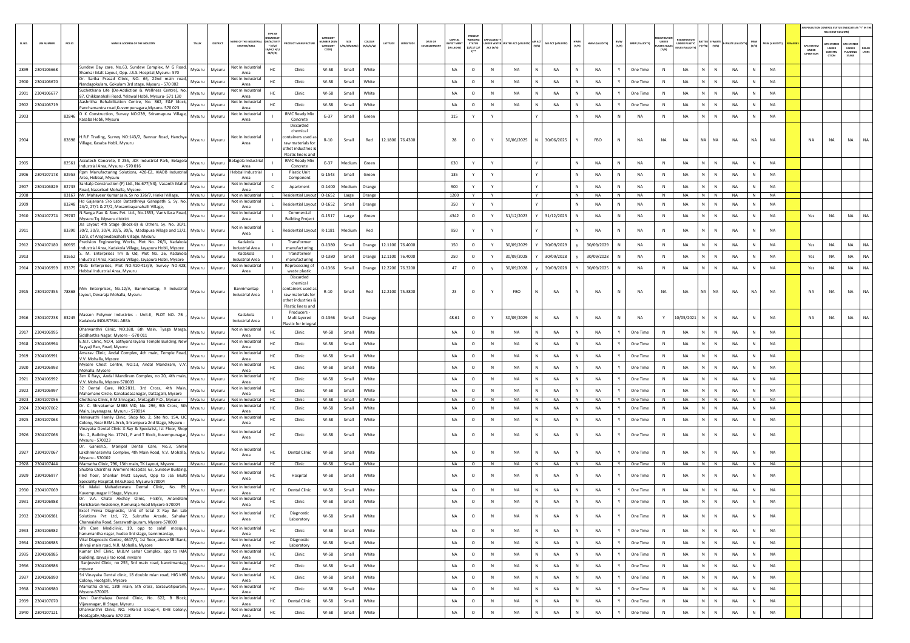|        |                       |                                                                                                                                                                                        |                   |                                             |                                                                                                 |                                                  |                     |                                |                 |                                |                                  |                                                        |                                |                           |   |                    |              |                |               |                       |                                      |                                |                        |                                                                                                            |                |                |                                  |                                                                    | AIR POLLUTION CONTROL STATUS (INDICATE AS "Y" IN THE             |
|--------|-----------------------|----------------------------------------------------------------------------------------------------------------------------------------------------------------------------------------|-------------------|---------------------------------------------|-------------------------------------------------------------------------------------------------|--------------------------------------------------|---------------------|--------------------------------|-----------------|--------------------------------|----------------------------------|--------------------------------------------------------|--------------------------------|---------------------------|---|--------------------|--------------|----------------|---------------|-----------------------|--------------------------------------|--------------------------------|------------------------|------------------------------------------------------------------------------------------------------------|----------------|----------------|----------------------------------|--------------------------------------------------------------------|------------------------------------------------------------------|
| SL.NO. | <b>UIN NUMBER</b>     | PCB ID<br><b>NAME &amp; ADDRESS OF THE INDUSTR</b>                                                                                                                                     | TALUR<br>DISTRICT | AME OF THE INDUSTR<br><b>ESTATES/AREA</b>   | N/ACTIVIT<br>$*$ (i/M/<br>8/HC/ H/L<br>CE/C/O)                                                  | CATEGOR<br><b>IMBER DOG</b><br>CATEGORY<br>CODE) | SIZE<br>/M/S/MICRO) | coLour<br>ATITUDE<br>(R/O/G/W) |                 | DATE OF<br><b>ESTABLISHMEN</b> | CAPITAL<br>EST MEN<br>(IN LAKHS) | PRESENT<br>WORKING<br><b>STATUS</b><br>(0/C1/C2)<br>Y1 | <b>IDER WATER</b><br>ACT (Y/N) | ATER ACT (VALIDITY) (Y/N) |   | AIR ACT (VALIDITY) | HWM<br>(Y/N) | HWM (VALIDITY) | BMW<br>(Y/N)  | <b>BMW (VALIDITY)</b> | UNDER<br><b>LASTIC RULE</b><br>(Y/N) | UNDER PLASTIC<br>ULES (VALIDIT | ATTER E-WASTI          | $\gamma\left(\gamma/N\right)\equiv\left[\gamma/N\right]\left[E\text{-WASTE}\left[\text{VAL}\right]\right]$ | MSW<br>(Y/N)   | MSW (VALIDITY) | APC SYSTEM<br>UNDER<br>OPERATION | RELEVANT COLUMN)<br><b>IPC SYSTEM</b><br>UNDER<br>CONSTRU<br>CTION | <b>UPC SYSTEM</b><br>UNDER<br>DEFAU<br>LTERS<br>LANNING<br>STAGE |
| 2899   | 2304106668            | sundew Day care, No.63, Sundew Complex, M G Road,                                                                                                                                      | Mysuru<br>Mysuru  | Not In Industrial                           | HC<br>Clinic                                                                                    | W-58                                             | Small               | White                          |                 |                                | NA                               | $\circ$                                                | N                              | NA                        |   | NA                 |              | NA             |               | One Time              | N                                    | NA                             | N                      | NA                                                                                                         |                | NA             |                                  |                                                                    |                                                                  |
| 2900   | 2304106670            | Shankar Malt Layout, Opp. J.S.S. Hospital, Mysuru- 570<br>Dr. Sarika Prasad Clinic, NO. 66, 22nd main road,                                                                            | Mysuru<br>Mysuru  | Area<br>Not In Industrial                   | HC<br>Clinic                                                                                    | W-58                                             | Small               | White                          |                 |                                | <b>NA</b>                        | $\circ$                                                | N                              | <b>NA</b>                 |   | <b>NA</b>          |              | <b>NA</b>      | Y             | One Time              | N                                    | NA                             | N<br>N                 | <b>NA</b>                                                                                                  | N              | <b>NA</b>      |                                  |                                                                    |                                                                  |
| 2901   | 2304106677            | Nandagokulam, Gokulam 3rd stage, Mysuru - 570 002<br>Suchethana Life (De-Addiction & Wellness Centre), No.                                                                             | Mysuru<br>Mysuru  | Area<br>Not In Industria                    | HC<br>Clinic                                                                                    | W-58                                             | Small               | White                          |                 |                                | <b>NA</b>                        | $\circ$                                                | N                              | <b>NA</b>                 |   | <b>NA</b>          |              | <b>NA</b>      | Y             | One Time              | N                                    | <b>NA</b>                      | N<br>N                 | <b>NA</b>                                                                                                  | N              | <b>NA</b>      |                                  |                                                                    |                                                                  |
| 2902   | 2304106719            | 87, Chikkanahalli Road, Yelawal Hobli, Mysuru- 571 130<br>Aashritha Rehabilitation Centre, No. 862, E&F block,                                                                         | Mysuru<br>Mysuru  | Area<br>Not In Industria                    | Clinic                                                                                          | W-58                                             | Small               | White                          |                 |                                | NA                               | $\circ$                                                | N                              | NA                        |   | NA                 |              | NA             | Y             | One Time              | N                                    | <b>NA</b>                      | N.<br>N                | <b>NA</b>                                                                                                  | $\mathbf{N}$   | NA             |                                  |                                                                    |                                                                  |
| 2903   |                       | Panchamantra road, Kuvempunagara, Mysuru-570 023<br>D K Construction, Survey NO:239, Sriramapura Village,<br>82846                                                                     | Mysuru<br>Mysuru  | Area<br>Not In Industrial                   | <b>RMC Ready Mix</b>                                                                            | $G-37$                                           | Small               | Green                          |                 |                                | 115                              | Y                                                      | Y                              |                           |   |                    | N            | NA             | N             | NA                    | N                                    | NA                             | N.<br>$\mathbb N$      | NA                                                                                                         | N              | NA             |                                  |                                                                    |                                                                  |
|        |                       | Kasaba Hobli, Mysuru                                                                                                                                                                   |                   | Area                                        | Concrete<br>Discarded                                                                           |                                                  |                     |                                |                 |                                |                                  |                                                        |                                |                           |   |                    |              |                |               |                       |                                      |                                |                        |                                                                                                            |                |                |                                  |                                                                    |                                                                  |
| 2904   |                       | H.R.F Trading, Survey NO:143/2, Bannur Road, Hanchya Mysuru<br>82898<br>Village, Kasaba Hobli, Mysuru                                                                                  | Mysuru            | Not In Industrial<br>Area                   | chemical<br>containers used as<br>raw materials for<br>othet industries &<br>Plastic liners and | $R-10$                                           | Small               | Red                            | 12.1800 76.4300 |                                | 28                               | $\circ$                                                | Y                              | 30/06/2025                |   | 30/06/2025         |              | FBO            | N             | <b>NA</b>             | <b>NA</b>                            | <b>NA</b>                      | <b>NA</b><br><b>NA</b> | <b>NA</b>                                                                                                  | <b>NA</b>      | <b>NA</b>      | <b>NA</b>                        | <b>NA</b>                                                          | <b>NA</b><br><b>NA</b>                                           |
| 2905   |                       | Accutech Concrete, # 255, JCK Industrial Park, Belagola<br>82561<br>Industrial Area, Mysuru - 570 016                                                                                  | Mysuru<br>Mysuru  | Belagola Industria<br>Area                  | <b>RMC Ready Mix</b><br>Concrete                                                                | $G-37$                                           | Medium              | Green                          |                 |                                | 630                              | Y                                                      | Y                              |                           |   |                    |              | NA             | N             | NA                    | N                                    | NA                             | N<br>$\mathbb N$       | NA                                                                                                         | $\mathbf{N}$   | NA             |                                  |                                                                    |                                                                  |
|        | 2906 2304107178 82953 | Rpm Manufacturing Solutions, 428-E2, KIADB Industrial<br>Area, Hebbal, Mysuru                                                                                                          | Mysuru<br>Mysuru  | Hebbal Industria<br>Area                    | <b>Plastic Unit</b><br>Component                                                                | $G-1543$                                         | Small               | Green                          |                 |                                | 135                              | Y                                                      | Y                              |                           |   |                    | N            | NA             | N             | NA                    | N                                    | NA                             | $N$ $N$                | NA                                                                                                         | N              | NA             |                                  |                                                                    |                                                                  |
| 2907   | 2304106829            | Sankalp Construction (P) Ltd., No.677(N3), Vasanth Mahal<br>82733<br>Road, Nazarbad Mohalla, Mysore.                                                                                   | Mysuru<br>Mysuru  | Not in Industrial<br>Area                   | Apartment                                                                                       | $0 - 1400$                                       | Medium              | Orange                         |                 |                                | 900                              |                                                        | Y                              |                           |   |                    |              | NA             | N             | NA                    | N                                    | NA                             | N<br>N                 | NA                                                                                                         | $\mathbb N$    | NA             |                                  |                                                                    |                                                                  |
| 2908   |                       | 83167 Mr. Mahaveer Kumar Jain, Sy no 326/7, Hinkal Village,                                                                                                                            | Mysuru<br>Mysuru  | Not in Industrial                           | Residential Layout 0-1652                                                                       |                                                  | Large               | Orange                         |                 |                                | 1200                             | Y                                                      | Y                              |                           |   |                    | N            | NA             | N             | <b>NA</b>             | N                                    | NA                             | $N$ $N$                | <b>NA</b>                                                                                                  | $\overline{z}$ | <b>NA</b>      |                                  |                                                                    |                                                                  |
| 2909   |                       | Hd Gajanana S\o Late Dattathreya Ganapathi S, Sy. No.<br>83248<br>24/2, 27/1 & 27/2, Mosambayanahalli Village,                                                                         | Mysuru<br>Mysuru  | Not in Industrial<br>Area                   | Residential Layou                                                                               | $0 - 1652$                                       | Small               | Orange                         |                 |                                | 350                              | Y                                                      | Y                              |                           |   |                    | N            | NA             | N             | NA                    | N                                    | NA                             | N  <br>$\mathbb N$     | NA                                                                                                         | N              | NA             |                                  |                                                                    |                                                                  |
| 2910   | 2304107274            | N.Ranga Rao & Sons Pvt. Ltd., No.1553, Vanivilasa Road,<br>79787<br>Mysuru Tq. Mysuru district                                                                                         | Mysuru<br>Mysuru  | Not in Industrial<br>Area                   | Commercial<br><b>Building Project</b>                                                           | $G-1517$                                         | Large               | Green                          |                 |                                | 4342                             | $\circ$                                                | Y                              | 31/12/2023                |   | 31/12/2023         |              | NA             | N             | NA                    | N                                    | NA                             | N.<br>${\sf N}$        | NA                                                                                                         | N              | NA             | Yes                              | NA                                                                 | NA<br>NA                                                         |
| 2911   |                       | Jss Layout 4th Stage (Block-B) & Others, Sy. No. 30/1,<br>83390 30/2, 30/3, 30/4, 30/5, 30/6, Madapura Village and 12/2, Mysuru<br>12/3, of Aregowdanahalli Village, Mysuru            | Mysuru            | Not in Industria<br>Area                    | <b>Residential Layout</b>                                                                       | R-1181                                           | Medium              | Red                            |                 |                                | 950                              | Y                                                      |                                |                           |   |                    |              | <b>NA</b>      | N             | <b>NA</b>             | N                                    | <b>NA</b>                      | N                      | <b>NA</b>                                                                                                  | $\mathbb{N}$   | <b>NA</b>      |                                  |                                                                    |                                                                  |
| 2912   | 2304107180 80955      | Precision Engineering Works, Plot No. 26/1, Kadakola<br>Industrial Area, Kadakola Village, Jayapura Hobli, Mysore                                                                      | Mysuru<br>Mysuru  | Kadakola<br><b>Industrial Area</b>          | Transformer<br>manufacturing                                                                    | $0 - 1380$                                       | Small               | Orange                         | 12.1100 76.4000 |                                | 150                              | $\circ$                                                | Y                              | 30/09/2029                |   | 30/09/2029         |              | 30/09/2029     | N             | NA                    | N                                    | NA                             | N.<br>N                | NA                                                                                                         | N              | NA             | Yes                              | NA                                                                 | NA<br><b>NA</b>                                                  |
| 2913   |                       | 81652 S. M. Enterprises Tm & Od, Plot No. 26, Kadakola                                                                                                                                 | Mysuru<br>Mysuru  | Kadakola                                    | Transformer                                                                                     | $0 - 1380$                                       | Small               | 12.1100<br>Orange              | 76,4000         |                                | 250                              | $\circ$                                                | Y                              | 30/09/2028                |   | 30/09/2028         |              | 30/09/2028     | N             | <b>NA</b>             | N                                    | NA                             | N<br>$\mathbb{N}$      | <b>NA</b>                                                                                                  | N              | <b>NA</b>      | Yes                              | <b>NA</b>                                                          | NA<br><b>NA</b>                                                  |
|        |                       | Industrial Area, Kadakola Village, Jayapura Hobli, Mysore<br>Nida Enterprises, Plot NO:410-413/9, Survey NO:428,<br>2914 2304106959 83375 Hebbal Industrial Area, Mysuru               | Mysuru<br>Mysuru  | <b>Industrial Area</b><br>Not in Industrial | manufacturing<br>Reprocessing of                                                                | 0-1366                                           | Small               | Orange<br>12.2200              | 76.3200         |                                | 47                               | $\circ$                                                | y                              | 30/09/2028                |   | 30/09/2028         |              | 30/09/2025     | N             | <b>NA</b>             | N                                    | <b>NA</b>                      | N.<br>$\mathbb N$      | NA                                                                                                         | $\mathbb N$    | NA             | Yes                              | NA                                                                 | NA<br><b>NA</b>                                                  |
|        |                       |                                                                                                                                                                                        |                   | Area                                        | waste plastic<br>Discarded                                                                      |                                                  |                     |                                |                 |                                |                                  |                                                        |                                |                           |   |                    |              |                |               |                       |                                      |                                |                        |                                                                                                            |                |                |                                  |                                                                    |                                                                  |
|        |                       | Mm Enterprises, No.12/A, Bannimantap, A Industrial<br>2915 2304107355 78868 MINI EURELPISCH, NELLEY, N. 2015                                                                           | Mysuru<br>Mysuru  | Bannimantap<br>Industrial Area              | chemical<br>containers used as<br>raw materials for<br>othet industries<br>Plastic liners and   | $R-10$                                           | Small               | Red                            | 12.2100 75.3800 |                                | 23                               | $\circ$                                                | Y                              | FBO                       |   | NA                 | $\mathbb N$  | NA             | N             | NA                    | NA                                   | NA                             | NA<br><b>NA</b>        | NA                                                                                                         | NA             | <b>NA</b>      | NA                               | NA                                                                 | NA<br>NA                                                         |
|        | 2916 2304107238 83245 | Masson Polymer Industries - Unit-II, PLOT NO. 7B<br>Kadakola INDUSTRIAL AREA                                                                                                           | Mysuru<br>Mysuru  | Kadakola<br><b>Industrial Area</b>          | Producers -<br>Multilayered<br>Plastic for integra                                              | $O-1366$                                         | Small               | Orange                         |                 |                                | 48.61                            | $\circ$                                                | Y                              | 30/09/2029                |   | <b>NA</b>          | N            | <b>NA</b>      | N             | <b>NA</b>             | Y                                    | 10/05/2021                     | N<br>$\mathsf{N}$      | <b>NA</b>                                                                                                  | $\mathbb{N}$   | <b>NA</b>      | <b>NA</b>                        | <b>NA</b>                                                          | NA<br>NA                                                         |
| 2917   | 2304106995            | Dhanvanthri Clinic, NO:388, 6th Main, Tyaga Marga,<br>Siddhartha Nagar, Mysore - - 570 011                                                                                             | Mysuru<br>Mysuru  | Not in Industrial<br>Area                   | нc<br>Clinic                                                                                    | $W-58$                                           | Small               | White                          |                 |                                | NA                               | $\circ$                                                | N                              | NA                        |   | NA                 |              | NA             | Υ             | One Time              | N                                    | NA                             | N.<br>N                | NA                                                                                                         | N              | NA             |                                  |                                                                    |                                                                  |
|        | 2918 2304106994       | E.N.T. Clinic, NO:4, Sathyanarayana Temple Building, New<br>Sayyaji Rao, Road, Mysore                                                                                                  | Mysuru<br>Mysuru  | Not in Industrial<br>Area                   | Clinic                                                                                          | W-58                                             | Small               | White                          |                 |                                | <b>NA</b>                        | $\circ$                                                | $\mathbb{N}$                   | <b>NA</b>                 |   | <b>NA</b>          |              | NA             | Y             | One Time              | N                                    | <b>NA</b>                      | N<br>$\mathbb{N}$      | NA                                                                                                         | $\mathbb N$    | NA             |                                  |                                                                    |                                                                  |
| 2919   | 2304106991            | Amarav Clinic, Andal Complex, 4th main, Temple Road,<br>V.V. Mohalla, Mysore                                                                                                           | Mysuru<br>Mysuru  | Not in Industrial<br>Area                   | HC<br>Clinic                                                                                    | W-58                                             | Small               | White                          |                 |                                | <b>NA</b>                        | $\circ$                                                | N                              | <b>NA</b>                 |   | <b>NA</b>          |              | <b>NA</b>      | Y             | One Time              | N                                    | <b>NA</b>                      | N.<br>$\mathbb N$      | NA                                                                                                         | N              | NA             |                                  |                                                                    |                                                                  |
| 2920   | 2304106993            | Mysore Chest Centre, NO:13, Andal Mandiram, V.V.<br>Mohalla, Mysore                                                                                                                    | Mysuru<br>Mysuru  | Not in Industria<br>Area                    | HC<br>Clinic                                                                                    | W-58                                             | Small               | White                          |                 |                                | <b>NA</b>                        | $\circ$                                                | N                              | NA                        |   | NA                 |              | NA             | Y             | One Time              | N                                    | <b>NA</b>                      | N.<br>N                | <b>NA</b>                                                                                                  | N              | NA             |                                  |                                                                    |                                                                  |
| 2921   | 2304106992            | Zen X Rays, Andal Mandiram Complex, no 20, 4th main,                                                                                                                                   | Mysuru<br>Mysuru  | Not in Industria                            | Clinic<br>HC                                                                                    | W-58                                             | Small               | White                          |                 |                                | NA                               | $\circ$                                                | N                              | NA                        |   | NA                 | N            | NA             | Y             | One Time              | N                                    | NA                             | N  <br>$\mathbb N$     | NA                                                                                                         | N              | NA             |                                  |                                                                    |                                                                  |
| 2922   | 2304106997            | V.V. Mohalla, Mysore-570003<br>32 Dental Care, NO:2811, 3rd Cross, 4th Main,                                                                                                           | Mysuru<br>Mysuru  | Area<br>Not in Industrial                   | HC<br>Clinic                                                                                    | $W-58$                                           | Small               | White                          |                 |                                | <b>NA</b>                        | $\circ$                                                | N                              | <b>NA</b>                 |   | <b>NA</b>          |              | <b>NA</b>      |               | One Time              | $\mathbb N$                          | <b>NA</b>                      |                        | <b>NA</b>                                                                                                  |                | NA             |                                  |                                                                    |                                                                  |
|        | 2923 2304107056       | Mahamane Circle, Kanakadasanagar, Dattagalli, Mysore<br>Chethana Clinic, B M Srinagara, Metagalli P.O., Mysuru - Mysuru   Mysuru                                                       |                   | Area<br>Not in Industrial                   | HC<br>Clinic                                                                                    | W-58                                             | Small               | White                          |                 |                                | <b>NA</b>                        | $\circ$                                                | N                              | <b>NA</b>                 | N | <b>NA</b>          | N            | <b>NA</b>      | Y             | One Time              | N                                    | <b>NA</b>                      | $N$ $N$                | <b>NA</b>                                                                                                  | N              | <b>NA</b>      |                                  |                                                                    |                                                                  |
| 2924   | 2304107062            | Dr. C. Shivakumar MBBS MD, No. 296, 9th Cross, 5th<br>Main, Jayanagara, Mysuru - 570014                                                                                                | Mysuru<br>Mysuru  | Not in Industrial<br>Area                   | HC<br>Clinic                                                                                    | $W-58$                                           | Small               | White                          |                 |                                | NA                               | $\circ$                                                | N                              | NA                        |   | NA                 | N            | NA             | Y             | One Time              | N                                    | NA                             | N<br>N                 | NA                                                                                                         | N              | NA             |                                  |                                                                    |                                                                  |
| 2925   | 2304107063            | Hemavathi Family Clinic, Shop No. 2, Site No. 154, LIC                                                                                                                                 | Mysuru<br>Mysuru  | Not in Industrial<br>Area                   | HC<br>Clinic                                                                                    | $W-58$                                           | Small               | White                          |                 |                                | NA                               | $\circ$                                                | N                              | <b>NA</b>                 |   | NA                 |              | NA             |               | One Time              | N                                    | NA                             | N                      | NA                                                                                                         | $\mathbb{N}$   | NA             |                                  |                                                                    |                                                                  |
|        | 2926 2304107066       | Colony, Near BEML Arch, Srirampura 2nd Stage, Mysuru -<br>Vinayaka Dental Clinic X-Ray & Specialist, Ist Floor, Shop<br>No. 2, Building No. 17741, P and T Block, Kuvempunagar, Mysuru | Mysuru            | Not in Industria<br>Area                    | Clinic                                                                                          | $W-58$                                           | Small               | White                          |                 |                                | <b>NA</b>                        | $\circ$                                                | $\mathbb N$                    | <b>NA</b>                 |   | <b>NA</b>          |              | <b>NA</b>      |               | One Time              | ${\sf N}$                            | <b>NA</b>                      |                        | <b>NA</b>                                                                                                  | N              | <b>NA</b>      |                                  |                                                                    |                                                                  |
| 2927   | 2304107067            | Mysuru - 570023<br>Dr. Ganesh.S, Manipal Dental Care, No.3, Shree<br>Lakshminarsimha Complex, 4th Main Road, V.V. Mohalla,                                                             | Mysuru<br>Mysuru  | Not in Industrial<br>Area                   | HC<br><b>Dental Clinic</b>                                                                      | W-58                                             | Small               | White                          |                 |                                | NA                               | $\circ$                                                | $\mathbb N$                    | NA                        |   | NA                 |              | <b>NA</b>      |               | One Time              | ${\sf N}$                            | NA                             |                        | <b>NA</b>                                                                                                  |                | NA             |                                  |                                                                    |                                                                  |
|        | 2928 2304107444       | Mysuru - 570002<br>Mamatha Clinic, 796, 13th main, TK Layout, Mysore                                                                                                                   | Mysuru Mysuru     | Not in Industrial                           | Clinic<br>HC                                                                                    | W-58                                             | Small               | White                          |                 |                                | <b>NA</b>                        | $\circ$                                                | N                              | <b>NA</b>                 | N | <b>NA</b>          |              | <b>NA</b>      | Y             | One Time              | N                                    | NA                             | N N                    | NA                                                                                                         | N              | <b>NA</b>      |                                  |                                                                    |                                                                  |
| 2929   | 2304106977            | Shubha Charithra Womens Hospital, 63, Sundew Building<br>Illrd floor, Shankar Mutt Layout, Opp to JSS Multi Mysuru                                                                     | Mysuru            | Not in Industrial                           | HC<br>Hospital                                                                                  | W-58                                             | Small               | White                          |                 |                                | <b>NA</b>                        | $\circ$                                                | $\mathbb N$                    | <b>NA</b>                 |   | <b>NA</b>          |              | <b>NA</b>      | Y             | One Time              | N                                    | <b>NA</b>                      | N<br>N                 | <b>NA</b>                                                                                                  | N              | NA             |                                  |                                                                    |                                                                  |
|        |                       | Speciality Hospital, M.G.Road, Mysuru-570004<br>Sri Malai Mahadeswara Dental Clinic, No. 89,                                                                                           |                   | Area<br>Not in Industrial                   |                                                                                                 |                                                  |                     |                                |                 |                                |                                  |                                                        |                                |                           |   |                    |              |                |               |                       |                                      |                                |                        |                                                                                                            |                |                |                                  |                                                                    |                                                                  |
| 2930   | 2304107069            | Kuvempunagar II Stage, Mysuru<br>Dr. V.A. Chate Akshay Clinic, F-58/3, Anandram                                                                                                        | Mysuru<br>Mysuru  | Area<br>Not in Industrial                   | HC<br><b>Dental Clinic</b>                                                                      | W-58                                             | Small               | White                          |                 |                                | <b>NA</b>                        | $\circ$                                                | $\mathbb{N}$                   | <b>NA</b>                 | N | <b>NA</b>          |              | <b>NA</b>      | Y             | One Time              | N                                    | NA                             | N<br>N                 | NA                                                                                                         | $\mathbb N$    | NA             |                                  |                                                                    |                                                                  |
| 2931   | 2304106988            | Haricharan Residensy, Ramunaja Road Mysore-570004                                                                                                                                      | Mysuru<br>Mysuru  | Area                                        | HC<br>Clinic                                                                                    | W-58                                             | Small               | White                          |                 |                                | NA                               | $\circ$                                                | $\mathbb N$                    | <b>NA</b>                 |   | <b>NA</b>          |              | <b>NA</b>      |               | One Time              | N <sub>N</sub>                       | <b>NA</b>                      |                        | <b>NA</b>                                                                                                  |                | <b>NA</b>      |                                  |                                                                    |                                                                  |
|        | 2932 2304106981       | Excel Prima Diagnostic, Unit of total X Ray &n Lab<br>Solutions Pvt Ltd, 72, Sukrutha Arcade, Sahukar Mysuru<br>Channaiaha Road, Saraswathipuram, Mysore-570009                        | Mysuru            | Not in Industrial<br>Area                   | Diagnostic<br>HC<br>Laboratory                                                                  | W-58                                             | Small               | White                          |                 |                                | NA                               | $\circ$                                                | $\mathbb{N}$                   | <b>NA</b>                 |   | NA                 | N            | <b>NA</b>      | Y             | One Time              | N                                    | NA                             | N<br>$\mathbb{N}$      | <b>NA</b>                                                                                                  | N              | NA             |                                  |                                                                    |                                                                  |
|        | 2933 2304106982       | Life Care Mediclinic, 19, opp to salafi mosque, Mysuru<br>hanumantha nagar, hudco 3rd stage, bannimantap,                                                                              | Mysuru            | Not in Industrial<br>Area                   | HC<br>Clinic                                                                                    | W-58                                             | Small               | White                          |                 |                                | NA                               | $\circ$                                                | N                              | <b>NA</b>                 |   | NA                 | N            | <b>NA</b>      | Y             | One Time              | $\,$ N                               | NA                             | N  <br>N               | NA                                                                                                         | N              | <b>NA</b>      |                                  |                                                                    |                                                                  |
| 2934   | 2304106983            | Vital Diagnostic Centre, 4647/1, 1st floor, above SBI Bank,<br>shivaji main road, N.R. Mohalla, Mysore                                                                                 | Mysuru<br>Mysuru  | Not in Industrial<br>Area                   | Diagnostic<br>HC<br>Laboratory                                                                  | W-58                                             | Small               | White                          |                 |                                | NA                               | $\circ$                                                | N                              | NA                        |   | NA                 |              | NA             | Y             | One Time              | N                                    | NA                             | N<br>N                 | <b>NA</b>                                                                                                  | N              | <b>NA</b>      |                                  |                                                                    |                                                                  |
|        | 2935 2304106985       | Kumar ENT Clinic, M.B.M Lehar Complex, opp to IMA<br>building, sayyaji rao road, mysore                                                                                                | Mysuru<br>Mysuru  | Not in Industrial<br>Area                   | HC<br>Clinic                                                                                    | W-58                                             | Small               | White                          |                 |                                | NA                               | $\circ$                                                | N                              | NA                        | N | NA                 | N            | NA             | Y             | One Time              | N                                    | <b>NA</b>                      | $N$ $N$                | NA                                                                                                         | N              | NA             |                                  |                                                                    |                                                                  |
| 2936   | 2304106986            | Sanjeevini Clinic, no 255, 3rd main road, bannimantap,                                                                                                                                 | Mysuru<br>Mysuru  | Not in Industrial                           | HC<br>Clinic                                                                                    | W-58                                             | Small               | White                          |                 |                                | NA                               | $\circ$                                                | N                              | <b>NA</b>                 |   | NA                 |              | NA             | Y             | One Time              | N                                    | NA                             | N  <br>N               | <b>NA</b>                                                                                                  | N              | NA             |                                  |                                                                    |                                                                  |
| 2937   | 2304106990            | mysore<br>Sri Vinayaka Dental clinic, 18 double mian road, HIG kHB                                                                                                                     | Mysuru<br>Mysuru  | Area<br>Not in Industrial                   | HC<br>Clinic                                                                                    | W-58                                             | Small               | White                          |                 |                                | NA                               | $\circ$                                                | $\,$ N                         | NA                        | N | NA                 | N            | <b>NA</b>      | $\mathbb {Y}$ | One Time              | N                                    | NA                             | N<br>N                 | NA                                                                                                         | N              | <b>NA</b>      |                                  |                                                                    |                                                                  |
| 2938   | 2304106980            | Colony, Hootgalli, Mysore<br>Mamatha clinic, 13th main, 5th cross, Saraswatipuram,                                                                                                     | Mysuru<br>Mysuru  | Area<br>Not in Industrial                   | HC<br>Clinic                                                                                    | W-58                                             | Small               | White                          |                 |                                | NA                               | $\circ$                                                | N                              | <b>NA</b>                 |   | NA                 | <b>N</b>     | <b>NA</b>      | Y             | One Time              | N                                    | <b>NA</b>                      | N I<br>N               | NA                                                                                                         | N              | <b>NA</b>      |                                  |                                                                    |                                                                  |
|        |                       | Mysore-570005<br>Devi Danthalaya Dental Clinic, No. 622, B Block,                                                                                                                      |                   | Area<br>Not in Industrial                   |                                                                                                 |                                                  |                     |                                |                 |                                |                                  |                                                        |                                |                           |   |                    |              |                |               |                       |                                      |                                |                        |                                                                                                            |                |                |                                  |                                                                    |                                                                  |
| 2939   | 2304107070            | Vijayanagar, III Stage, Mysuru<br>Dhanvanthri Clinic, NO. HIG-53 Group-4, KHB Colony,                                                                                                  | Mysuru<br>Mysuru  | Area<br>Not in Industrial                   | HC<br><b>Dental Clinic</b>                                                                      | W-58                                             | Small               | White                          |                 |                                | NA                               | $\circ$                                                | N                              | NA                        |   | NA                 |              | <b>NA</b>      | Y.            | One Time              | N                                    | NA                             | N.<br>$\mathbb N$      | <b>NA</b>                                                                                                  | N              | <b>NA</b>      |                                  |                                                                    |                                                                  |
|        | 2940 2304107121       | Hootagally, Mysuru-570 018                                                                                                                                                             | Mysuru<br>Mysuru  | Area                                        | HC<br>Clinic                                                                                    | W-58                                             | Small               | White                          |                 |                                | NA                               | $\circ$                                                | $\,$ N                         | NA                        |   | NA                 | N            | NA             | Y             | One Time              | N                                    | NA                             | N  <br>${\sf N}$       | NA                                                                                                         | N              | <b>NA</b>      |                                  |                                                                    |                                                                  |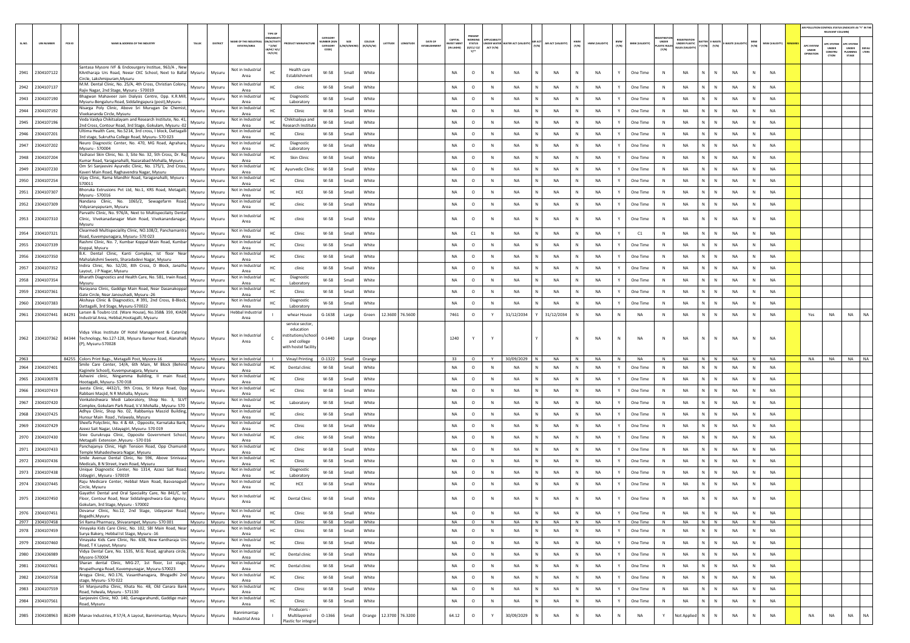|        |                                    |        |                                                     |                                                                                                                       |                  |                  |                                                      |                               |                                                          |                              |                          |                     |                        |                         |                                           |                                                         |              |                                  |                             |              |                 |              |                       |                                 |                                           |                                 |                        |           |                 |                                  | RELEVANT COLUMN)                               | AIR POLLUTION CONTROL STATUS (INDICATE AS "Y" IN THE             |
|--------|------------------------------------|--------|-----------------------------------------------------|-----------------------------------------------------------------------------------------------------------------------|------------------|------------------|------------------------------------------------------|-------------------------------|----------------------------------------------------------|------------------------------|--------------------------|---------------------|------------------------|-------------------------|-------------------------------------------|---------------------------------------------------------|--------------|----------------------------------|-----------------------------|--------------|-----------------|--------------|-----------------------|---------------------------------|-------------------------------------------|---------------------------------|------------------------|-----------|-----------------|----------------------------------|------------------------------------------------|------------------------------------------------------------------|
| SL.NO. | <b>UIN NUMBER</b>                  | PCB ID |                                                     | NAME & ADDRESS OF THE INDUSTR                                                                                         | TALUS            | DISTRICT         | <b><i>RE OF THE IND</i></b><br><b>ESTATES/AREA</b>   | $*(1/M)^*$<br>MC/H/<br>CE/C/O |                                                          | CATEGOR<br>CATEGORY<br>CODET | SIZE<br><b>M/S/MICRO</b> | coLour<br>(R/O/G/W) | LONGITUD<br>LATITUDE   | DATE OF<br>ESTABLISHMEN | CAPITAL<br><b>NVEST MEN</b><br>(IN LAKHS) | PRESENT<br><b>WORKING</b><br><b>STATUS</b><br>(0/C1/C2/ | ACT (Y/N)    | INDER WATER WATER ACT (VALIDITY) | AIR ACT (VALIDITY)<br>(Y/N) | HWM<br>(Y/N) | HWM (VALIDITY)  | BMW<br>(Y/N) | <b>BMW (VALIDITY)</b> | UNDER<br>PLASTIC RULE:<br>[Y/N] | EGISTRATI<br>UNDER PLASTIC<br>ULES (VALID | BATTER E-WASTE<br>Y (Y/N) (Y/N) | <b>E-WASTE (VALID</b>  | (Y/N)     | MSW (VALIDITY)  | APC SYSTER<br>UNDER<br>OPERATION | <b>APC SYSTEM</b><br>UNDER<br>CONSTRU<br>CTION | APC SYSTER<br>UNDER<br><b>DEFAU</b><br>LTERS<br>LANNING<br>STAGE |
|        | 2941 2304107122                    |        |                                                     | Santasa Mysore IVF & Endosurgery Institue, 963/A, Nev<br>(Antharaja Urs Road, Neear CKC School, Next to Ballal        | Mysuru           | Mysuru           | Not in Industrial                                    |                               | Health care                                              | W-58                         | Small                    | White               |                        |                         | NA                                        | $\circ$                                                 | N            | <b>NA</b>                        | <b>NA</b>                   | $\mathbb N$  | <b>NA</b>       |              | One Time              | $\mathbb N$                     | <b>NA</b>                                 | $\mathbb{N}$                    | <b>NA</b>              | N         | <b>NA</b>       |                                  |                                                |                                                                  |
|        | 2942 2304107137                    |        | Circle, Lakshmipuram, Mysuru                        | M.M. Dental Clinic, No. 25/A, 4th Cross, Christian Colony                                                             | Mysuru           | Mysuru           | Area<br>Not in Industrial                            | HC                            | Establishment<br>clinic                                  | W-58                         | Small                    | White               |                        |                         | NA                                        | $\circ$                                                 | N            | <b>NA</b>                        | <b>NA</b>                   | N            | <b>NA</b>       |              | One Time              | N                               | <b>NA</b>                                 | N<br>$\mathbb{N}$               | <b>NA</b>              | N         | <b>NA</b>       |                                  |                                                |                                                                  |
|        | 2943 2304107190                    |        | Rajiv Nagar, 2nd Stage, Mysuru - 570019             | Bhagwan Mahaveer Jain Dialysis Centre, Opp. K.R.Mi                                                                    | Mysuru           | Mysuru           | Area<br>Not in Industrial                            | HC                            | Diagnostic                                               | W-58                         | Small                    | White               |                        |                         | NA                                        | $\circ$                                                 | N            | <b>NA</b>                        | <b>NA</b>                   | N            | <b>NA</b>       |              | One Time              | $\mathbb N$                     | <b>NA</b>                                 | $\mathbb{N}$<br>$\mathbb{N}$    | <b>NA</b>              | N         | <b>NA</b>       |                                  |                                                |                                                                  |
|        | 2944 2304107192                    |        |                                                     | Mysuru-Bengaluru Road, Siddalingapura (post), Mysuru-<br>Nisarga Poly Clinic, Above Sri Murugan De Chemis             | Mvsuru           | Mysuri           | Area<br>Not in Industrial                            | HC                            | Laboratory<br>Clinic                                     | W-58                         | Small                    | White               |                        |                         | <b>NA</b>                                 | $\circ$                                                 | N            | <b>NA</b>                        | <b>NA</b>                   | N            | <b>NA</b>       |              | One Time              | N                               | <b>NA</b>                                 | N<br>N                          | <b>NA</b>              | N         | <b>NA</b>       |                                  |                                                |                                                                  |
|        | 2945 2304107196                    |        | Vivekananda Circle, Mysuru                          | Veda Vaidya Chikitsalayam and Research Institute, No. 41                                                              | Mysuru           | Mysuru           | Area<br>Not in Industria                             | HC                            | Chikitsalaya and                                         | W-58                         | Small                    | White               |                        |                         | NA                                        | $\circ$                                                 | N            | <b>NA</b>                        | NA                          | N            | <b>NA</b>       |              | One Time              | N                               | NA                                        | N<br>N                          | <b>NA</b>              | N         | <b>NA</b>       |                                  |                                                |                                                                  |
| 2946   | 2304107201                         |        |                                                     | 2nd Cross, Contour Road, 3rd Stage, Gokulam, Mysuru -02<br>Ultima Health Care, No.5214, 3rd cross, I block, Dattagall | Mysuru           | Mysuri           | Area<br><b>Not in Industrial</b>                     | HC                            | Research Institut<br>Clinic                              | W-58                         | Small                    | White               |                        |                         | NA                                        | $\circ$                                                 | N            | NA                               | NA                          | $\mathbb N$  | NA              |              | One Time              | N                               | <b>NA</b>                                 | N<br>$\mathbb N$                | NA                     | ${\sf N}$ | NA              |                                  |                                                |                                                                  |
|        | 2947 2304107202                    |        |                                                     | 3rd stage, Sukrutha College Road, Mysuru-570 023<br>Neuro Diagnostic Center, No. 470, MG Road, Agrahara               | Mysuru           | Mysuri           | Area<br>Not in Industrial                            | HC                            | Diagnostic                                               | W-58                         | Small                    | White               |                        |                         | NA                                        | $\circ$                                                 | N            | <b>NA</b>                        | <b>NA</b>                   | N            | <b>NA</b>       |              | One Time              | $\mathbb N$                     | <b>NA</b>                                 | N<br>$\mathbb{N}$               | <b>NA</b>              | N         | <b>NA</b>       |                                  |                                                |                                                                  |
|        | 2948 2304107204                    |        | Mysuru - 570004                                     | Yashasvi Skin Clinic, No. 3, Site No. 32, 5th Cross, Dr. Ra                                                           | Mysuru           | Mysuru           | Area<br>Not in Industrial                            | HC                            | Laboratory<br>Skin Clinic                                | W-58                         | Small                    | White               |                        |                         | NA                                        | $\circ$                                                 | N            | <b>NA</b>                        | <b>NA</b>                   | N            | <b>NA</b>       |              | One Time              | $\mathbb N$                     | <b>NA</b>                                 | $\mathbb{N}$<br>$\mathbb{N}$    | NA                     | N         | NA              |                                  |                                                |                                                                  |
|        | 2949 2304107230                    |        |                                                     | Kumar Road, Yaraganahalli, Nazarabad Mohalla, Mysuru<br>Om Sri Sanjeevini Ayurvdic Clinic, No. 175/1, 2nd Cros:       | Mysuru           | Mysuri           | Area<br>Not in Industrial                            | HC                            | Ayurvedic Clinic                                         | W-58                         | Small                    | White               |                        |                         | <b>NA</b>                                 | $\circ$                                                 | N            | <b>NA</b>                        | <b>NA</b>                   | N            | <b>NA</b>       |              | One Time              | N                               | <b>NA</b>                                 | N<br>$\,$ N                     | <b>NA</b>              | N         | <b>NA</b>       |                                  |                                                |                                                                  |
|        | 2950<br>2304107254                 |        |                                                     | Kaveri Main Road, Raghavendra Nagar, Mysuru<br>Vijay Clinic, Rama Mandhir Road, Yaraganahalli, Mysuru                 | Mysuru           | Mysuru           | Area<br>Not in Industrial                            | HC                            | Clinic                                                   | W-58                         | Small                    | White               |                        |                         | NA                                        | $\circ$                                                 | N            | <b>NA</b>                        | NA                          | N            | <b>NA</b>       |              | One Time              | N                               | <b>NA</b>                                 | N<br>N                          | <b>NA</b>              | N         | <b>NA</b>       |                                  |                                                |                                                                  |
| 2951   | 2304107307                         |        | 570011                                              | Bhoruka Extrusions Pvt Ltd, No.1, KRS Road, Metagalli                                                                 | Mysuru           | Mysuri           | Area<br><b>Not in Industrial</b>                     | HC                            | HCE                                                      | W-58                         | Small                    | White               |                        |                         | NA                                        | $\circ$                                                 | $\mathbb N$  | NA                               | NA                          | $\mathbb N$  | NA              |              | One Time              | N                               | <b>NA</b>                                 | N<br>$\mathbb{N}$               | <b>NA</b>              | ${\sf N}$ | NA              |                                  |                                                |                                                                  |
|        | 2952 2304107309                    |        | Mysuru - 570016                                     | Nandana Clinic, No. 1065/2, Sewagefarm Road                                                                           | Mysuru           | Mysuru           | Area<br>Not in Industria                             | HC                            | clinic                                                   | W-58                         | Small                    | White               |                        |                         | NA                                        | $\circ$                                                 | N            | <b>NA</b>                        | <b>NA</b>                   | N            | <b>NA</b>       |              | One Time              | $\mathbb{N}$                    | <b>NA</b>                                 | $\mathbb{N}$<br>$\mathbb{N}$    | <b>NA</b>              | N         | <b>NA</b>       |                                  |                                                |                                                                  |
|        |                                    |        | Vidyaranyapuram, Mysuru                             | Parvathi Clinic, No. 976/A, Next to Multispecilaity Dent                                                              |                  |                  | Area<br><b>Not in Industrial</b>                     |                               |                                                          |                              |                          |                     |                        |                         |                                           |                                                         |              |                                  |                             |              |                 |              |                       |                                 |                                           |                                 |                        |           |                 |                                  |                                                |                                                                  |
|        | 2953 2304107310                    |        | Mysuru                                              | Clinic, Vivekanadanagar Main Road, Vivekanandanagar,                                                                  | Mysuru           | Mysuri           | Area                                                 |                               | clinic                                                   | W-58                         | Small                    | White               |                        |                         | NA                                        | $\circ$                                                 | N            | <b>NA</b>                        | <b>NA</b>                   | $\mathbb N$  | <b>NA</b>       |              | One Time              | $\mathbb N$                     | <b>NA</b>                                 | N                               | <b>NA</b>              |           | NA              |                                  |                                                |                                                                  |
|        | 2954 2304107321                    |        | Road, Kuvempunagara, Mysuru- 570 023                | Clearmedi Multispeciality Clinic, NO.108/2, Panchamantra                                                              | Mysuru           | Mysuru           | Not in Industria<br>Area                             | HC                            | Clinic                                                   | W-58                         | Small                    | White               |                        |                         | <b>NA</b>                                 | C1                                                      | N            | <b>NA</b>                        | <b>NA</b>                   | N            | <b>NA</b>       |              | C1                    | N                               | <b>NA</b>                                 | N<br>$\mathbb{N}$               | <b>NA</b>              | N         | NA              |                                  |                                                |                                                                  |
|        | 2955 2304107339                    |        | Koppal, Mysuru                                      | Rashmi Clinic, No. 7, Kumbar Koppal Main Road, Kumba                                                                  | Mysuru           | Mysuri           | Not in Industrial<br>Area                            | HC                            | Clinic                                                   | W-58                         | Small                    | White               |                        |                         | NA                                        | $\circ$                                                 | N            | <b>NA</b>                        | NA                          | N            | <b>NA</b>       |              | One Time              | $\mathbb N$                     | <b>NA</b>                                 | $\mathbb{N}$<br>$\mathbb{N}$    | <b>NA</b>              | N         | NA              |                                  |                                                |                                                                  |
|        | 2956<br>2304107350                 |        |                                                     | B.K. Dental Clinic, Kanti Complex, Ist floor Nea<br>Mahalakshmi Sweets, Sharadadevi Nagar, Mysuru                     | Mysuru           | Mysuri           | Not in Industria<br>Area                             | HC                            | Clinic                                                   | W-58                         | Small                    | White               |                        |                         | <b>NA</b>                                 | $\circ$                                                 | N            | <b>NA</b>                        | <b>NA</b><br>N              | N            | <b>NA</b>       |              | One Time              | N                               | <b>NA</b>                                 | N<br>N                          | <b>NA</b>              | N         | <b>NA</b>       |                                  |                                                |                                                                  |
|        | 2957 2304107352                    |        | Layout, J P Nagar, Mysuru                           | Indira Clinic, No. 52/20, 8th Cross, D Block, Janatha                                                                 | Mysuru           | Mysuru           | Not in Industria<br>Area                             | HC                            | clinic                                                   | W-58                         | Small                    | White               |                        |                         | NA                                        | $\circ$                                                 | N            | <b>NA</b>                        | <b>NA</b>                   | N            | <b>NA</b>       |              | One Time              | N                               | NA                                        | N<br>$\mathbb N$                | <b>NA</b>              | N         | <b>NA</b>       |                                  |                                                |                                                                  |
|        | 2958 2304107354                    |        | Mysuru                                              | Bharath Diagnostics and Health Care, No. 581, Irwin Road                                                              | Mysuru           | Mysuri           | Not in Industrial<br>Area                            | HC                            | Diagnostic<br>Laboratory                                 | W-58                         | Small                    | White               |                        |                         | NA                                        | $\circ$                                                 | $\mathbb N$  | NA                               | NA                          | $\mathbb N$  | NA              |              | One Time              | N                               | NA                                        | $\mathbb{N}$<br>${\sf N}$       | <b>NA</b>              | ${\sf N}$ | NA              |                                  |                                                |                                                                  |
|        | 2959 2304107361                    |        | Gate Circle, Near Janoushadi, Mysuru -26            | Narayana Clinic, Gaddige Main Road, Near Dasanakoppa                                                                  | Mysuru           | Mysuri           | Not in Industria<br>Area                             | HC                            | Clinic                                                   | W-58                         | Small                    | White               |                        |                         | <b>NA</b>                                 | $\circ$                                                 | N            | <b>NA</b>                        | <b>NA</b>                   | N            | <b>NA</b>       |              | One Time              | $\mathbb{N}$                    | <b>NA</b>                                 | N<br>$\mathbb N$                | <b>NA</b>              | N         | <b>NA</b>       |                                  |                                                |                                                                  |
|        | 2960<br>2304107383                 |        | Dattagalli, 3rd Stage, Mysuru-570022                | Akshaya Clinic & Diagnostics, # 391, 2nd Cross, B-Blocl                                                               | Mysuru           | Mysuri           | Not in Industrial<br>Area                            | HC                            | Diagnostic<br>Laboratory                                 | W-58                         | Small                    | White               |                        |                         | NA                                        | $\circ$                                                 | N            | <b>NA</b>                        | NA                          | N            | <b>NA</b>       |              | One Time              | $\mathbb N$                     | <b>NA</b>                                 | $\mathbb{N}$<br>$\mathbb{N}$    | NA                     | N         | NA              |                                  |                                                |                                                                  |
|        | 2961 2304107441 84291              |        | Industrial Area, Hebbal, Hootagalli, Mysuru         | Larsen & Toubro Ltd. (Ware House), No.358& 359, KIADE                                                                 | Mysuru           | Mysuru           | Hebbal Industria<br>Area                             |                               | whear House                                              | $G-1638$                     | Large                    |                     | Green 12.3600 76.5600  |                         | 7461                                      | $\circ$                                                 | Y            | 31/12/2034                       | 31/12/2034                  | N            | <b>NA</b>       |              | <b>NA</b>             | N                               | <b>NA</b>                                 | $\mathbb{N}$<br>N               | <b>NA</b>              | N         | NA              | Yes                              | NA                                             | <b>NA</b><br><b>NA</b>                                           |
|        |                                    |        |                                                     | Vidya Vikas Institute Of Hotel Management & Caterin                                                                   |                  |                  |                                                      |                               | service secto<br>education                               |                              |                          |                     |                        |                         |                                           |                                                         |              |                                  |                             |              |                 |              |                       |                                 |                                           |                                 |                        |           |                 |                                  |                                                |                                                                  |
|        |                                    |        | (P), Mysuru-570028                                  | 2962 2304107362 84344 Technology, No.127-128, Mysuru Bannur Road, Alanahalli Mysuru                                   |                  | Mysuru           | Not in Industrial<br>Area                            |                               | stitutions/school<br>and college<br>with hostel facility | $0 - 1440$                   | Large                    | Orange              |                        |                         | 1240                                      |                                                         |              |                                  |                             | N            | NA              |              | NA                    |                                 | NA                                        | N<br>$\mathbb N$                | NA                     |           | NA              |                                  |                                                |                                                                  |
|        | 2963                               |        | 84255 Colors Print Bags., Metagalli Post, Mysore-16 |                                                                                                                       | Mysuru           | Mysuru           | Not in Industrial                                    |                               | Vinavl Printing                                          | $O-1322$                     | Small                    | Orange              |                        |                         | 33                                        | $\circ$                                                 | Y            | 30/09/2029                       | <b>NA</b><br>N              | N            | <b>NA</b>       | N            | <b>NA</b>             | <b>N</b>                        | <b>NA</b>                                 | N N                             | <b>NA</b>              | N         | <b>NA</b>       | <b>NA</b>                        |                                                | NA NA NA                                                         |
|        | 2964<br>2304107401                 |        | Kaginele School), Kuvempunagara, Mysuru             | Smile Care Center, 14/A, 6th Main, M Block (Behin                                                                     | Mysuru           | Mysuri           | <b>Not in Industrial</b><br>Area                     | HC                            | Dental clinic                                            | W-58                         | Small                    | White               |                        |                         | NA                                        | $\circ$                                                 | N            | NA                               | NA                          | $\mathbb N$  | NA              |              | One Time              | N                               | NA                                        | N<br>$\mathbb N$                | NA                     | N         | NA              |                                  |                                                |                                                                  |
|        | 2965 2304106978                    |        | Hootagalli, Mysuru-570018                           | Ashwini clinic, Ningamma Building, II main Road                                                                       | Mysuru           | Mysuru           | Not in Industrial<br>Area                            | HC                            | Clinic                                                   | W-58                         | Small                    | White               |                        |                         | NA                                        | $\circ$                                                 | N            | <b>NA</b>                        | <b>NA</b>                   | N            | <b>NA</b>       |              | One Time              | $\mathbb N$                     | <b>NA</b>                                 | N<br>$\mathbb N$                | <b>NA</b>              | N         | <b>NA</b>       |                                  |                                                |                                                                  |
|        | 2966 2304107419                    |        | Rabbani Masjid, N R Mohalla, Mysuru                 | Jaesta Clinic, 4432/1, 9th Cross, St Marys Road, Op                                                                   | Mysuru           | Mysuri           | Not in Industrial<br>Area                            | HC                            | Clinic                                                   | W-58                         | Small                    | White               |                        |                         | <b>NA</b>                                 | $\circ$                                                 | N            | <b>NA</b>                        | <b>NA</b><br>N              | N            | <b>NA</b>       |              | One Time              | N                               | <b>NA</b>                                 | N<br>$\mathbb N$                | <b>NA</b>              | N         | NA              |                                  |                                                |                                                                  |
|        | 2304107420<br>2967                 |        |                                                     | Venkateshwara Medi Laboratory, Shop No. 3, SLV<br>Complex, Gokulam Park Road, V.V.Mohalla, Mysuru- 570                | Mysuru           | Mysuri           | Not in Industrial<br>Area                            | HC                            | Laboratory                                               | W-58                         | Small                    | White               |                        |                         | <b>NA</b>                                 | $\circ$                                                 | N            | <b>NA</b>                        | <b>NA</b><br>N              | N            | <b>NA</b>       |              | One Time              | N                               | <b>NA</b>                                 | N<br>N                          | <b>NA</b>              | N         | NA              |                                  |                                                |                                                                  |
|        | 2968 2304107425                    |        | Hunsur Main Road, Yelawala, Mysuru                  | Adhya Clinic, Shop No. 02, Rabbaniya Maszid Building                                                                  | Mysuru           | Mysuru           | Not in Industri<br>Area                              | HC                            | clinic                                                   | W-58                         | Small                    | White               |                        |                         | NA                                        | $\circ$                                                 | N            | <b>NA</b>                        | NA                          | N            | NA              |              | One Time              | N                               | NA                                        | N<br>N                          | NA                     | N         | <b>NA</b>       |                                  |                                                |                                                                  |
| 2969   | 2304107429                         |        | Azeez Sait Nagar, Udayagiri, Mysuru- 570 019        | Sheefa Polyclinic, No. 4 & 4A, Opposite, Karnataka Banl                                                               | Mysuru           | Mysuri           | <b>Not in Industrial</b><br>Area                     | HC                            | Clinic                                                   | W-58                         | Small                    | White               |                        |                         | NA                                        | $\circ$                                                 | N            | NA                               | NA                          | $\mathbb N$  | NA              |              | One Time              | N                               | <b>NA</b>                                 | N<br>${\sf N}$                  | NA                     | ${\sf N}$ | NA              |                                  |                                                |                                                                  |
|        | 2970 2304107430                    |        | Metagalli Extension , Mysuru - 570 016              | Sree Gurukrupa Clinic, Opposite Government School                                                                     | Mysuru           | Mysuru           | Not in Industria<br>Area                             | HC                            | clinic                                                   | W-58                         | Small                    | White               |                        |                         | NA                                        | $\circ$                                                 | N            | <b>NA</b>                        | <b>NA</b>                   | N            | <b>NA</b>       |              | One Time              | $\mathbb N$                     | <b>NA</b>                                 | N<br>$\mathbb{N}$               | <b>NA</b>              | N         | <b>NA</b>       |                                  |                                                |                                                                  |
|        | 2971 2304107433                    |        | Temple Mahadeshwara Nagar, Mysuru                   | Panchajanya Clinic, High Tension Road, Opp Chamuno                                                                    | Mysuru           | Mysuri           | Not in Industrial<br>Area                            | HC                            | Clinic                                                   | W-58                         | Small                    | White               |                        |                         | <b>NA</b>                                 | $\circ$                                                 | N            | <b>NA</b>                        | <b>NA</b>                   | N            | <b>NA</b>       |              | One Time              | N                               | <b>NA</b>                                 | N<br>$\mathbb N$                | <b>NA</b>              | N         | <b>NA</b>       |                                  |                                                |                                                                  |
|        | 2972 2304107436                    |        | Medicals. B N Street, Irwin Road, Mysuru            | Smile Avenue Dental Clinic, No 596, Above Srinivas                                                                    | Mysuru           | Mysuri           | Not in Industrial<br>Area                            | HC                            | Clinic                                                   | W-58                         | Small                    | White               |                        |                         | <b>NA</b>                                 | $\circ$                                                 | $\mathbb{N}$ | <b>NA</b>                        | <b>NA</b>                   | N            | <b>NA</b>       |              | One Time              | N                               | <b>NA</b>                                 | N<br>N                          | <b>NA</b>              | N         | <b>NA</b>       |                                  |                                                |                                                                  |
|        | 2973 2304107438                    |        | Udaygiri, Mysuru - 570019                           | Unique Diagnostic Center, No 1314, Azzez Sait Road<br>Raiu Medicare Center, Hebbal Main Road, Basyanague              | Mysuru           | Mysuru           | Not in Industria<br>Area<br><b>Not in Industrial</b> | HC                            | Diagnostic<br>Laborator                                  | W-58                         | Small                    | White               |                        |                         | NA                                        | $\circ$                                                 | N            | NA                               | NA                          | N            | NA              |              | One Time              | N                               | NA                                        | N<br>N                          | <b>NA</b>              | N         | NA              |                                  |                                                |                                                                  |
|        | 2974<br>2304107445                 |        | Circle, Mysuru                                      |                                                                                                                       | Mysuru           | Mysuri           | Area                                                 | HC                            | HCE                                                      | W-58                         | Small                    | White               |                        |                         | NA                                        | $\circ$                                                 | $\mathbb N$  | NA                               | NA                          | $\mathbb N$  | NA              |              | One Time              | N                               | <b>NA</b>                                 | ${\sf N}$                       | NA                     | N         | NA              |                                  |                                                |                                                                  |
|        | 2975 2304107450                    |        | Gokulam, 3rd Stage, Mysuru - 570002                 | Gayathri Dental and Oral Speciality Care, No 841/C, I:<br>Floor, Contour Road, Near Siddalingeshwara Gas Agency,      | Mysuru           | Mysuru           | Not in Industrial<br>Area                            |                               | <b>Dental Clinic</b>                                     | $W-58$                       | Small                    | White               |                        |                         | NA                                        | $\circ$                                                 | N            | <b>NA</b>                        | <b>NA</b>                   | N            | <b>NA</b>       |              | One Time              |                                 | <b>NA</b>                                 | $\mathbb N$<br>N                | <b>NA</b>              | N         | <b>NA</b>       |                                  |                                                |                                                                  |
|        | 2976 2304107451                    |        | Bogadhi, Mysuru                                     | Devanur Clinic, No.12, 2nd Stage, Udayaravi Road,                                                                     | Mysuru           | Mysuru           | Not in Industrial<br>Area                            | HC                            | Clinic                                                   | W-58                         | Small                    | White               |                        |                         | NA                                        | $\circ$                                                 | $\mathbb N$  | NA                               | <b>NA</b>                   | $\mathbb N$  | NA              |              | One Time              | N                               | <b>NA</b>                                 | N<br>$\mathbb N$                | <b>NA</b>              | N         | NA              |                                  |                                                |                                                                  |
|        | 2977 2304107458<br>2978 2304107459 |        |                                                     | Sri Rama Pharmacy, Shivarampet, Mysuru- 570 001<br>Vinayaka Kids Care Clinic, No. 102, SBI Main Road, Nea             | Mysuru<br>Mysuru | Mysuru<br>Mysuru | Not in Industrial<br>Not in Industrial               | <b>HC</b><br>HC               | Clinic<br>Clinic                                         | W-58<br>W-58                 | Small<br>Small           | White<br>White      |                        |                         | NA<br>NA                                  | $\circ$<br>$\circ$                                      | N<br>N       | NA<br><b>NA</b>                  | N<br><b>NA</b><br><b>NA</b> | N<br>N       | <b>NA</b><br>NA | Y            | One Time<br>One Time  | N<br>N                          | <b>NA</b><br><b>NA</b>                    | N N<br>N<br>N                   | <b>NA</b><br><b>NA</b> | N<br>N    | NA<br><b>NA</b> |                                  |                                                |                                                                  |
|        | 2979 2304107460                    |        | Surya Bakery, Hebbal Ist Stage, Mysuru -16          | Vinayaka Kids Care Clinic, No. 638, New Kantharaja Ur                                                                 | Mysuru           | Mysuru           | Area<br>Not in Industrial                            | HC                            | Clinic                                                   | W-58                         | Small                    | White               |                        |                         | NA                                        | $\circ$                                                 | N            | NA                               | NA                          | N            | NA              |              | One Time              | $\mathbb N$                     | <b>NA</b>                                 | $\mathbb{N}$<br>$\,$ N          | <b>NA</b>              | N         | NA              |                                  |                                                |                                                                  |
|        | 2980 2304106989                    |        | Road, T K Layout, Mysuru                            | Vidya Dental Care, No. 1535, M.G. Road, agrahara circle,                                                              | Mysuru           | Mysuru           | Area<br>Not in Industrial                            | HC                            | Dental clinic                                            | W-58                         | Small                    | White               |                        |                         | NA                                        | $\circ$                                                 | N            | <b>NA</b>                        | N<br><b>NA</b>              | $\mathbb N$  | <b>NA</b>       |              | One Time              | N                               | <b>NA</b>                                 | N<br>$\,$ N                     | <b>NA</b>              | N         | NA              |                                  |                                                |                                                                  |
|        | 2981 2304107661                    |        | Mysore-570004                                       | Sharan dental Clinic, MIG-27, 1st floor, 1st stage                                                                    | Mysuru           | Mysuru           | Area<br>Not in Industrial                            | HC                            | Dental clinic                                            | W-58                         | Small                    | White               |                        |                         | <b>NA</b>                                 | $\circ$                                                 | N            | <b>NA</b>                        | <b>NA</b><br>N              | N            | <b>NA</b>       |              | One Time              | N                               | <b>NA</b>                                 | N<br>N                          | <b>NA</b>              | ${\sf N}$ | NA              |                                  |                                                |                                                                  |
|        | 2982 2304107558                    |        |                                                     | Nrupathunga Road, Kuvempunagar, Mysuru-570023<br>Arogya Clinic, NO.176, Vasanthanagara, Bhogadhi 2nd                  | Mysuru           | Mysuru           | Area<br>Not in Industrial                            | HC                            | Clinic                                                   | W-58                         | Small                    | White               |                        |                         | NA                                        | $\circ$                                                 | N            | <b>NA</b>                        | <b>NA</b><br>N              | N            | <b>NA</b>       |              | One Time              | N                               | <b>NA</b>                                 | N<br>N                          | <b>NA</b>              | N         | NA              |                                  |                                                |                                                                  |
|        | 2983 2304107559                    |        | stage, Mysuru-570 022                               | Sri Manjunatha Clinic, Khata No. 48, Old Canara Ban                                                                   | Mysuru           | Mysuru           | Area<br>Not in Industria                             | $\rm HC$                      | Clinic                                                   | W-58                         | Small                    | White               |                        |                         | NA                                        | $\circ$                                                 | N            | <b>NA</b>                        | NA<br>N                     | N            | NA              | Y            | One Time              | N                               | <b>NA</b>                                 | N<br>N                          | <b>NA</b>              | N         | NA              |                                  |                                                |                                                                  |
| 2984   | 2304107561                         |        | Road, Yelwala, Mysuru - 571130                      | Sanjeevini Clinic, NO. 140, Ganagarahundi, Gaddige mai                                                                | Mysuru           | Mysuru           | Area<br>Not in Industrial                            | HC                            | Clinic                                                   | W-58                         | Small                    | White               |                        |                         | NA                                        | $\circ$                                                 | N            | NA                               | NA                          | $\mathbb N$  | NA              |              | One Time              | N                               | <b>NA</b>                                 | N<br>$\mathbb N$                | <b>NA</b>              | N         | NA              |                                  |                                                |                                                                  |
|        |                                    |        | Road, Mysuru                                        |                                                                                                                       |                  |                  | Area<br>Bannimantap                                  |                               | Producers -                                              |                              |                          |                     |                        |                         |                                           |                                                         |              |                                  |                             |              |                 |              |                       |                                 |                                           |                                 |                        |           |                 |                                  |                                                |                                                                  |
|        | 2985<br>2304108963                 |        |                                                     | 86249 Manav Industries, #57/4, A Layout, Bannimantap, Mysuru                                                          | Mysuru           | Mysuru           | Industrial Area                                      |                               | Multilayered<br>Plastic for integral                     | $O-1366$                     | Small                    |                     | Orange 12.3700 76.3200 |                         | 64.12                                     | $\circ$                                                 |              | 30/09/2029                       | <b>NA</b>                   | $\mathbb N$  | NA              | N            | NA                    |                                 | Not Applied                               | N<br>N                          | <b>NA</b>              | N         | NA              | NA                               | NA                                             | NA<br><b>NA</b>                                                  |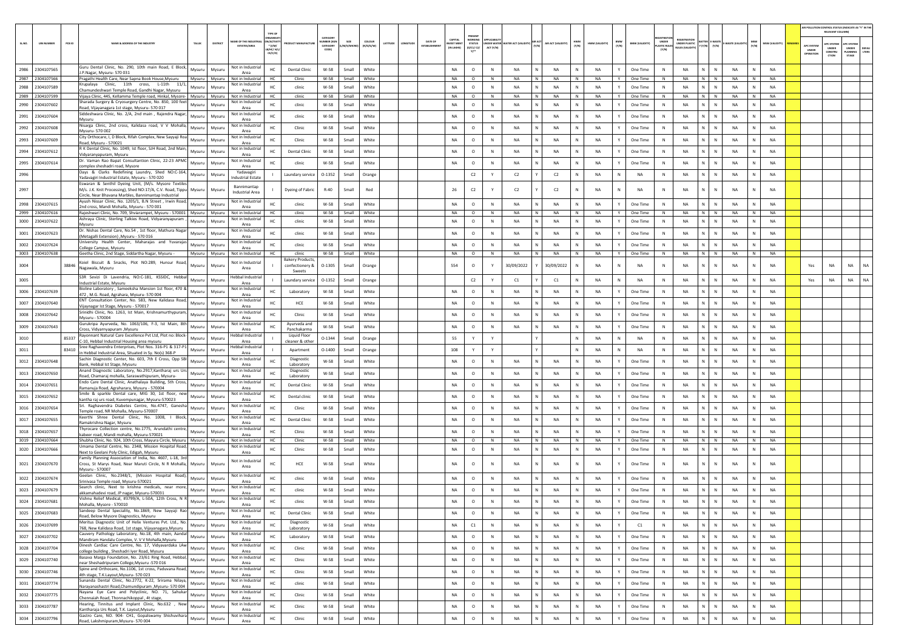|        |                                    |                                                                                                                                                                                             |                                              |                                                                  |                                          |                |                     |         |                        |                                          |                                                  |              |                                 |                             |              |                        |              |                       |                                      |                                                            |                                      |                 |              |                      |                                        | AIR POLLUTION CONTROL STATUS (INDICATE AS "Y" IN THI<br>RELEVANT COLUMN |                                         |               |
|--------|------------------------------------|---------------------------------------------------------------------------------------------------------------------------------------------------------------------------------------------|----------------------------------------------|------------------------------------------------------------------|------------------------------------------|----------------|---------------------|---------|------------------------|------------------------------------------|--------------------------------------------------|--------------|---------------------------------|-----------------------------|--------------|------------------------|--------------|-----------------------|--------------------------------------|------------------------------------------------------------|--------------------------------------|-----------------|--------------|----------------------|----------------------------------------|-------------------------------------------------------------------------|-----------------------------------------|---------------|
| SL.NO. | PCB ID<br><b>UIN NUMBER</b>        | NAME & ADDRESS OF THE INDUSTRY<br>TALUS<br>DISTRICT                                                                                                                                         | <b>WE OF THE INDL</b><br><b>ESTATES/AREA</b> | <b>GANISA</b><br><b>ACTIV</b><br>$*$ (I/M/<br>B/HC/ H/<br>CE/C/O | CATEGORY<br>ABER (X<br>CATEGORY<br>CODE) | M/S/MICRO      | coLour<br>(R/O/G/W) | ATITUDI | DATE OF<br>ESTABLISHMB | CAPITAL<br><b>VEST MEN</b><br>(IN LAKHS) | PRESENT<br>WORKING<br><b>STATUS</b><br>(0/C1/C2) | ACT (Y/N)    | NDER WATER WATER ACT (VALIDITY) | AIR ACT (VALIDITY)<br>(Y/N) | HWM<br>(Y/N) | HWM (VALIDITY)         | BMW<br>(Y/N) | <b>BMW (VALIDITY)</b> | UNDER<br><b>ASTIC RULES</b><br>[Y/N] | <b>FGISTRATI</b><br>UNDER PLASTIC<br><b>NULES IVALIDIT</b> | ATTER E-WASTE<br>' (Y/N)       (Y/N) | WASTE (VALI     | MSW<br>(Y/N) | <b>MSW (VALIDITY</b> | <b>APC SYSTER</b><br>UNDER<br>OPERATIO | <b>PC SYSTEM</b><br><b>UNDER</b><br>CONSTRU<br>CTION                    | APC SYSTER<br>UNDER<br>LANNING<br>STAGE | DEFA<br>LTERS |
|        | 2986 2304107565                    | Guru Dental Clinic, No. 290, 10th main Road, E Block,<br>Mysuru<br>Mysuru<br>I.P.Nagar, Mysuru- 570 031                                                                                     | Not in Industrial                            | HC<br><b>Dental Clinic</b>                                       | W-58                                     | Small          | White               |         |                        | <b>NA</b>                                | $\circ$                                          | ${\sf N}$    | <b>NA</b>                       | <b>NA</b>                   |              | <b>NA</b>              | Y            | One Time              | $\,$ N                               | <b>NA</b>                                                  | N                                    | NA              |              | <b>NA</b>            |                                        |                                                                         |                                         |               |
|        | 2987 2304107566                    | Pragathi Health Care, Near Sapna Book House, Mysuru<br>Mysuru Mysuru                                                                                                                        | Area<br>Not in Industrial                    | HC.<br>Clinic                                                    | W-58                                     | Small          | White               |         |                        | <b>NA</b>                                | $\circ$                                          | N            | <b>NA</b>                       | N<br><b>NA</b>              | N            | <b>NA</b>              | Y            | One Time              | N                                    | <b>NA</b>                                                  | N N                                  | <b>NA</b>       | N            | <b>NA</b>            |                                        |                                                                         |                                         |               |
|        | 2988 2304107589                    | Krupalaya Clinic, 11th cross, L-11th 11/1,<br>Mysuru<br>Mysuru<br>Chamundeshwari Temple Road, Gandhi Nagar, Mysuru                                                                          | Not in Industria<br>Area                     | HC<br>clinic                                                     | $W-58$                                   | Small          | White               |         |                        | <b>NA</b>                                | $\circ$                                          | N            | <b>NA</b>                       | N<br><b>NA</b>              | $\mathbb{N}$ | <b>NA</b>              | Y            | One Time              | N                                    | <b>NA</b>                                                  | N<br>$\mathbb{N}$                    | <b>NA</b>       | N            | <b>NA</b>            |                                        |                                                                         |                                         |               |
|        | 2989 2304107599<br>2990 2304107602 | Vijava Clinic, 445, Kellamma Temple road, Hinkal, Mysore- Mysuru<br>Mysuru<br>Sharada Surgery & Cryosurgery Centre, No. 850, 100 feet                                                       | Not in Industrial<br>Not in Industria        | HC.<br>clinic<br>HC<br>clinic                                    | W-58<br>$W-58$                           | Small          | White<br>White      |         |                        | NA<br>NA                                 | $\circ$<br>$\circ$                               | N<br>N       | <b>NA</b><br>NA                 | N<br><b>NA</b><br>NA        | N.<br>Ν      | <b>NA</b><br><b>NA</b> | Y            | One Time              | N<br>N                               | <b>NA</b><br>NA                                            | N N<br>N<br>${\sf N}$                | NA<br>NA        | N            | <b>NA</b><br>NA      |                                        |                                                                         |                                         |               |
|        |                                    | Mysuru<br>Mysuru<br>Road, Vijayanagara 1st stage, Mysuru- 570 017<br>Siddeshwara Clinic, No. 2/A, 2nd main, Rajendra Nagar,                                                                 | Area<br>Not in Industria                     | HC                                                               | W-58                                     | Small          | White               |         |                        | <b>NA</b>                                |                                                  | $\mathbb{N}$ | <b>NA</b>                       | <b>NA</b>                   | N            | <b>NA</b>              | Y            | One Time              | N                                    | <b>NA</b>                                                  | ΝI<br>$\mathbb{N}$                   | <b>NA</b>       | N            | <b>NA</b>            |                                        |                                                                         |                                         |               |
|        | 2991 2304107604                    | Mysuru<br>Mysuru<br>Mysuru<br>Nisarga Clinic, 2nd cross, Kalidasa road, V V Mohalla                                                                                                         | Area<br>Not in Industria                     | clinic                                                           |                                          | Small          |                     |         |                        |                                          | $\circ$                                          |              |                                 |                             |              |                        |              | One Time              |                                      |                                                            |                                      |                 |              |                      |                                        |                                                                         |                                         |               |
|        | 2992 2304107608                    | Mysuru<br>Mysuru<br>Mysuru- 570 002<br>City Orthocare, I, D Block, Rifah Complex, New Sayyaji Roa                                                                                           | Area<br>Not in Industria                     | HC<br>Clinic                                                     | W-58                                     | Small          | White               |         |                        | NA                                       | $\circ$                                          | ${\sf N}$    | NA                              | NA                          |              | <b>NA</b>              |              | One Time              | $\,$ N                               | NA                                                         | N<br>N                               | NA              |              | NA                   |                                        |                                                                         |                                         |               |
|        | 2993 2304107609                    | Mysuru<br>Mysuru<br>Road, Mysuru - 570021<br>R K Dental Clinic, No. 1049, Ist floor, SJH Road, 2nd Main                                                                                     | Area<br>Not in Industria                     | HC<br>Clinic                                                     | W-58                                     | Small          | White               |         |                        | <b>NA</b>                                | $\circ$                                          | N            | <b>NA</b>                       | N<br><b>NA</b>              | N            | <b>NA</b>              | Y            | One Time              | N                                    | <b>NA</b>                                                  | N  <br>N                             | <b>NA</b>       | N            | <b>NA</b>            |                                        |                                                                         |                                         |               |
|        | 2994 2304107612                    | Mysuru<br>Mysuru<br>Vidyaranyapuram, Mysuru<br>Dr. Vaman Rao Bapat Consultantion Clinic, 22-23 APMO                                                                                         | Area<br>Not in Industrial                    | <b>Dental Clinic</b><br>нc                                       | W-58                                     | Small          | White               |         |                        | NA                                       | $\circ$                                          | N            | NA                              | NA                          | N            | <b>NA</b>              | Y            | One Time              | N                                    | <b>NA</b>                                                  | N<br>N                               | NA              | N            | <b>NA</b>            |                                        |                                                                         |                                         |               |
| 2995   | 2304107614                         | Mysuru<br>Mysuri<br>omplex sheshadri road, Mysore                                                                                                                                           | Area                                         | clinic                                                           | $W-58$                                   | Small          | White               |         |                        | NA                                       | $\circ$                                          | N            | NA                              | NA                          |              | <b>NA</b>              |              | One Time              | N                                    | <b>NA</b>                                                  | N.<br>N                              | NA              |              | NA                   |                                        |                                                                         |                                         |               |
| 2996   |                                    | Days & Clarks Redefining Laundry, Shed NO:C-164,<br>Mysuru<br>Mysuru<br>Yadavagiri Industrial Estate, Mysuru - 570 020                                                                      | Yadavagiri<br>Industrial Estate              | Laundary service                                                 | $0 - 1352$                               | Small          | Orange              |         |                        |                                          | C2                                               | Y            | C2                              | C2                          | $\mathbb{N}$ | <b>NA</b>              | N            | NA                    | N                                    | <b>NA</b>                                                  | N<br>${\sf N}$                       | <b>NA</b>       | N            | <b>NA</b>            |                                        |                                                                         |                                         |               |
| 2997   |                                    | Eswaran & Senthil Dyeing Unit, (M/s. Mysore Textiles<br>M/s. J.K. Knit Processing), Shed NO:17/A, C.V. Road, Tippu Mysuru<br>Mysuru<br>Circle, Near Bhavana Marbles, Bannimantap Industrial | Bannimantap<br><b>Industrial Area</b>        | Dyeing of Fabric                                                 | $R-40$                                   | Small          | Red                 |         |                        | 26                                       | C2                                               |              | C2                              | C2                          | N            | <b>NA</b>              | N            | NA                    | N                                    | NA                                                         | N                                    | NA              |              | <b>NA</b>            |                                        |                                                                         |                                         |               |
|        | 2998 2304107615                    | Ayush Nissar Clinic, No. 1205/1, B.N Street, Irwin Road,<br>Mysuru<br>Mysuru<br>2nd cross, Mandi Mohalla, Mysuru - 570 001                                                                  | Not in Industria<br>Area                     | HC<br>clinic                                                     | W-58                                     | Small          | White               |         |                        | <b>NA</b>                                | $\circ$                                          | $\mathbb{N}$ | <b>NA</b>                       | N<br><b>NA</b>              | $\mathbb{N}$ | <b>NA</b>              | Y            | One Time              | $\mathbb{N}$                         | <b>NA</b>                                                  | N<br>$\mathbb{N}$                    | <b>NA</b>       | N            | <b>NA</b>            |                                        |                                                                         |                                         |               |
|        | 2999 2304107616<br>3000 2304107622 | Raieshwari Clinic, No. 709, Shviarampet, Mysuru - 570001   Mysuru<br>Mysuru<br>Ashraya Clinic, Sterling Talkies Road, Vidyaranyapuram<br>Mysuru<br>Mysuri                                   | Not in Industrial<br>Not in Industria        | HC.<br>clinic<br>HC<br>clinic                                    | W-58<br>$W-58$                           | Small<br>Small | White<br>White      |         |                        | NA<br>NA                                 | $\circ$<br>$\circ$                               | N<br>N       | <b>NA</b><br>NA                 | N<br><b>NA</b><br>NA        | N.<br>Ν      | <b>NA</b><br><b>NA</b> | Y            | One Time<br>One Time  | N<br>N                               | <b>NA</b><br>NA                                            | N N<br>N<br>${\sf N}$                | NA<br><b>NA</b> | N            | <b>NA</b><br>NA      |                                        |                                                                         |                                         |               |
|        | 3001 2304107623                    | Mysuru<br>Dr. Nishas Dental Care, No.54, 1st floor, Mathura Nagar<br>Mysuru<br>Mysuru                                                                                                       | Area<br>Not in Industria                     | HC<br>clinic                                                     | W-58                                     | Small          | White               |         |                        | <b>NA</b>                                | $\circ$                                          | $\mathbb{N}$ | <b>NA</b>                       | <b>NA</b>                   | N            | <b>NA</b>              | Y            | One Time              | N                                    | <b>NA</b>                                                  | ΝI<br>${\sf N}$                      | <b>NA</b>       | N            | <b>NA</b>            |                                        |                                                                         |                                         |               |
|        | 3002 2304107624                    | (Metagalli Extension) , Mysuru - 570 016<br>University Health Center, Maharajas and Yuvarajas<br>Mysuru<br>Mysuru                                                                           | Area<br>Not in Industria                     | clinic<br>HC                                                     | W-58                                     | Small          | White               |         |                        | NA                                       | $\circ$                                          | ${\sf N}$    | NA                              | <b>NA</b>                   |              | <b>NA</b>              |              | One Time              | N                                    | <b>NA</b>                                                  | N<br>N                               | NA              |              | <b>NA</b>            |                                        |                                                                         |                                         |               |
|        | 3003 2304107638                    | College Campus, Mysuru<br>Geetha Clinic, 2nd Stage, Siddartha Nagar, Mysuru -<br>Mysuru<br>Mysuru                                                                                           | Area<br>Not in Industrial                    | HC.<br>clinic                                                    | W-58                                     | Small          | White               |         |                        | NA                                       | $\circ$                                          | N            | <b>NA</b>                       | IN.<br><b>NA</b>            | N            | <b>NA</b>              | Y            | One Time              | N                                    | <b>NA</b>                                                  | N N                                  | <b>NA</b>       | N            | NA                   |                                        |                                                                         |                                         |               |
| 3004   | 38846                              | Koiel Biscuit & Snacks, Plot NO:289, Hunsur Road,<br>Mysuru<br>Mysuri<br>Nagawala, Mysuru                                                                                                   | Not in Industri<br>Area                      | <b>Bakery Product:</b><br>confectionery &<br>Sweets              | $0 - 1305$                               | Small          | Orange              |         |                        | 554                                      | $\circ$                                          |              | 30/09/2022                      | 30/09/2022                  | N            | <b>NA</b>              |              | NA                    | N                                    | <b>NA</b>                                                  | N<br>${\sf N}$                       | <b>NA</b>       | N            | <b>NA</b>            | Yes                                    | NA                                                                      | NA                                      | <b>NA</b>     |
| 3005   |                                    | S3R Sevizi Di Lavendria, NO:C-181, KSSIDC, Hebbal<br>Mysuru<br>Mysuru<br>Industrial Estate, Mysuru                                                                                          | lebbal Industrial<br>Area                    | Laundary service                                                 | $0 - 1352$                               | Small          | Orange              |         |                        |                                          | C2                                               |              | C1                              | C1                          |              | <b>NA</b>              | N            | NA                    | N                                    | NA                                                         | N<br>N                               | NA              | N            | NA                   | Yes                                    | NA                                                                      | NA                                      | NA            |
|        | 3006 2304107639                    | Bioline Laboratory, Sameeksha Mansion 1st floor, 470 &<br>Mysuru<br>Mysuru<br>472, M.G. Road, Agrahara, Mysuru- 570 004                                                                     | Not in Industria<br>Area                     | Laboratory                                                       | W-58                                     | Small          | White               |         |                        | <b>NA</b>                                | $\circ$                                          | $\mathbb{N}$ | <b>NA</b>                       | <b>NA</b>                   | N            | <b>NA</b>              | Y            | One Time              | N                                    | <b>NA</b>                                                  | N  <br>$\mathbb{N}$                  | <b>NA</b>       | N            | <b>NA</b>            |                                        |                                                                         |                                         |               |
|        | 3007 2304107640                    | ENT Consultation Center, No. 583, New Kalidasa Road,<br>Mysuru<br>Mysuru<br>Vijaynagar Ist Stage, Mysuru - 570017                                                                           | Not in Industrial<br>Area                    | HCE<br>HC                                                        | W-58                                     | Small          | White               |         |                        | NA                                       | $\circ$                                          | ${\sf N}$    | NA                              | NA                          | N            | <b>NA</b>              | Y            | One Time              | $\,$ N                               | NA                                                         | ${\sf N}$                            | <b>NA</b>       | N            | NA                   |                                        |                                                                         |                                         |               |
|        | 3008 2304107642                    | Srinidhi Clinic, No. 1263, Ist Main, Krishnamurthypuram<br>Mysuru<br>Mysuru<br>Mysuru - 570004                                                                                              | Not in Industria<br>Area                     | Clinic                                                           | W-58                                     | Small          | White               |         |                        | <b>NA</b>                                | $\circ$                                          | $\mathbb N$  | <b>NA</b>                       | <b>NA</b>                   | N            | <b>NA</b>              | Y            | One Time              | $\mathbb N$                          | NA                                                         | N.<br>$\mathbb{N}$                   | <b>NA</b>       | N            | <b>NA</b>            |                                        |                                                                         |                                         |               |
|        | 3009 2304107643                    | Gurukripa Ayurveda, No. 1063/106, F-3, Ist Main, 8th<br>Mysuru<br>Mysuru<br>Cross, Vidyarnyapuram ,Mysuru                                                                                   | Not in Industri<br>Area                      | Ayurveda and<br>HC<br>Panchakarma                                | W-58                                     | Small          | White               |         |                        | NA                                       | $\circ$                                          | N            | NA                              | NA<br>N                     | N            | <b>NA</b>              | Y            | One Time              | N                                    | <b>NA</b>                                                  | N<br>$\mathbb N$                     | NA              | N            | <b>NA</b>            |                                        |                                                                         |                                         |               |
| 3010   | 85337                              | Rayonnant Natural Care Excellence Pvt Ltd, Plot no: Block-<br>Mysuru<br>Mysuru<br>C-10, Hebbal Industrial Housing area mysuru                                                               | lebbal Industrial<br>Area                    | Liquid Floor<br>cleaner & othe                                   | 0-1344                                   | Small          | Orange              |         |                        | 55                                       | Y                                                |              |                                 |                             |              | <b>NA</b>              | N            | NA                    | N                                    | <b>NA</b>                                                  | N.<br>N                              | <b>NA</b>       |              | NA                   |                                        |                                                                         |                                         |               |
| 3011   | 83410                              | Sree Raghavendra Enterprises, Plot Nos. 316-P1 & 317-P1<br>Mysuru<br>Mysuru<br>in Hebbal Industrial Area, Situated in Sy. No(s) 368-P                                                       | Hebbal Industria<br>Area                     | Apartment                                                        | $0 - 1400$                               | Small          | Orange              |         |                        | 108                                      | Y                                                | Y            |                                 |                             | $\mathbb{N}$ | <b>NA</b>              | N            | NA                    | $\mathbb{N}$                         | <b>NA</b>                                                  | N<br>N                               | <b>NA</b>       | N            | <b>NA</b>            |                                        |                                                                         |                                         |               |
|        | 3012 2304107648                    | Sachin Diagnostic Center, No. 603, 7th E Cross, Opp SBI<br>Mysuru<br>Mysuru<br>Bank, Hebbal Ist Stage, Mysuru                                                                               | Not in Industria<br>Area                     | Diagnostic<br>HC<br>Laboratory                                   | W-58                                     | Small          | White               |         |                        | <b>NA</b>                                | $\circ$                                          | N            | <b>NA</b>                       | <b>NA</b>                   | N            | <b>NA</b>              | Y            | One Time              | N                                    | <b>NA</b>                                                  | N<br>$\mathbb{N}$                    | <b>NA</b>       | N            | NA                   |                                        |                                                                         |                                         |               |
|        | 3013 2304107650                    | Anand Diagnostic Laboratory, No.2917, Kantharaj urs Urs<br>Mysuru<br>Mysuru<br>Road, Chamaraj mohalla, Saraswathipuram, Mysuru-                                                             | Not in Industrial<br>Area                    | Diagnostic<br>HC<br>Laboratory                                   | W-58                                     | Small          | White               |         |                        | <b>NA</b>                                | $\circ$                                          | <b>N</b>     | <b>NA</b>                       | <b>NA</b>                   | N            | <b>NA</b>              | Y            | One Time              | N <sub>N</sub>                       | <b>NA</b>                                                  | N.<br>N                              | <b>NA</b>       | N            | <b>NA</b>            |                                        |                                                                         |                                         |               |
|        | 3014 2304107651                    | Endo Care Dental Clinic, Anathalaya Building, 5th Cross,<br>Mysuru<br>Mysuru<br>Ramanuja Road, Agraharara, Mysuru - 570004                                                                  | Not in Industri<br>Area                      | <b>Dental Clinic</b><br>нc                                       | W-58                                     | Small          | White               |         |                        | NA                                       | $\circ$                                          | N            | NA                              | NA<br>N                     | N            | <b>NA</b>              | Y            | One Time              | N                                    | <b>NA</b>                                                  | N<br>N                               | NA              | N            | <b>NA</b>            |                                        |                                                                         |                                         |               |
|        | 3015 2304107652                    | Smile & sparkle Dental care, MIG 30, 1st floor, new<br>Mysuru<br>Mysuri<br>kantha raj urs road, Kuvempunagar, Mysuru-570023                                                                 | Not in Industria<br>Area                     | HC<br>Dental clinic                                              | W-58                                     | Small          | White               |         |                        | NA                                       | $\circ$                                          | N            | NA                              | NA                          |              | <b>NA</b>              |              | One Time              | N                                    | <b>NA</b>                                                  | N.<br>N                              | <b>NA</b>       |              | NA                   |                                        |                                                                         |                                         |               |
|        | 3016 2304107654                    | Sri. Raghavendra Diabetes Centre, No.4747, Ganesha<br>Mysuru<br>Mysuru<br>Femple road, NR Mohalla, Mysuru-570007                                                                            | Not in Industria<br>Area                     | Clinic                                                           | W-58                                     | Small          | White               |         |                        | <b>NA</b>                                | $\circ$                                          | $\mathbb{N}$ | <b>NA</b>                       | <b>NA</b>                   | N            | <b>NA</b>              |              | One Time              | N                                    | <b>NA</b>                                                  | N  <br>$\mathbb{N}$                  | <b>NA</b>       | N            | <b>NA</b>            |                                        |                                                                         |                                         |               |
|        | 3017 2304107655                    | Keerthi Shree Dental Clinic, No. 1008, I Block,<br>Mysuru<br>Mysuru<br>Ramakrishna Nagar, Mysuru                                                                                            | Not in Industrial<br>Area                    | <b>Dental Clinic</b><br>HC                                       | W-58                                     | Small          | White               |         |                        | <b>NA</b>                                | $\circ$                                          | N            | <b>NA</b>                       | <b>NA</b>                   | N            | <b>NA</b>              |              | One Time              | N                                    | <b>NA</b>                                                  | N<br>$\mathbb{N}$                    | <b>NA</b>       | N            | <b>NA</b>            |                                        |                                                                         |                                         |               |
|        | 3018 2304107657                    | Thyrocare Collection centre, No.1775, Arundathi centre,<br>Mysuru<br>Mysuru<br>kabeer road. Mandi mohalla. Mysuru-570021                                                                    | Not in Industria<br>Area                     | Clinic<br>HC                                                     | W-58                                     | Small          | White               |         |                        | <b>NA</b>                                | $\circ$                                          | $\mathbb N$  | <b>NA</b>                       | <b>NA</b>                   | N            | <b>NA</b>              |              | One Time              | N                                    | <b>NA</b>                                                  | N.<br>N                              | <b>NA</b>       |              | <b>NA</b>            |                                        |                                                                         |                                         |               |
|        | 3019 2304107664                    | Shubha Clinic, No. 924, 10th Cross, Mayura Circle, Mysuru<br>Mysuru<br>Mysuru<br>Jmama Dental Centre, No. 2348, Mission Hospital Road,                                                      | Not in Industria<br>Not in Industrial        | нc<br>Clinic                                                     | W-58                                     | Small          | White               |         |                        | NA                                       | $\circ$                                          | $\mathbb N$  | NA                              | N<br>NA                     | N            | NA                     | Y            | One Time              | N                                    | <b>NA</b>                                                  | $N$ $N$                              | <b>NA</b>       | N            | <b>NA</b>            |                                        |                                                                         |                                         |               |
|        | 3020 2304107666                    | Mysuru<br>Mysuru<br>Next to Geelani Poly Clinic, Edigah, Mysuru<br>Family Planning Association of India, No. 4607, L-18, 3rd                                                                | Area                                         | HC<br>Clinic                                                     | W-58                                     | Small          | White               |         |                        | <b>NA</b>                                | $\circ$                                          | $\mathbb{N}$ | <b>NA</b>                       | <b>NA</b>                   | N            | <b>NA</b>              | Y            | One Time              | N                                    | <b>NA</b>                                                  | $\mathbb{N}$<br>N                    | <b>NA</b>       | N            | <b>NA</b>            |                                        |                                                                         |                                         |               |
|        | 3021 2304107670                    | Cross, St Marys Road, Near Maruti Circle, N R Mohalla, Mysuru<br>Mysuru<br>Mysuru - 570007                                                                                                  | Not in Industria<br>Area<br>Not in Industria | HCE<br>HC                                                        | W-58                                     | Small          | White               |         |                        | <b>NA</b>                                | $\circ$                                          | N            | NA                              | <b>NA</b>                   | N            | <b>NA</b>              |              | One Time              | N                                    | <b>NA</b>                                                  | N<br>$\mathbb{N}$                    | <b>NA</b>       |              | <b>NA</b>            |                                        |                                                                         |                                         |               |
|        | 3022 2304107674                    | Geelan Clinic, No.2348/1, (Mission Hospital Road)<br>Mysuru<br>Mysuru<br>Srinivasa Temple road, Mysuru-570021                                                                               | Area                                         | HC<br>clinic                                                     | W-58                                     | Small          | White               |         |                        | NA                                       | $\circ$                                          | $\mathbb N$  | <b>NA</b>                       | <b>NA</b>                   | N            | <b>NA</b>              |              | One Time              | N                                    | <b>NA</b>                                                  | $\mathbb{N}$<br>N                    | <b>NA</b>       |              | NA                   |                                        |                                                                         |                                         |               |
|        | 3023 2304107679                    | Search clinic, Next to krishna medicals, near more,<br>Mysuru<br>Mysuru<br>akkamahadevi road, JP nagar, Mysuru-570031                                                                       | Not in Industria<br>Area                     | HC<br>clinic                                                     | W-58                                     | Small          | White               |         |                        | <b>NA</b>                                | $\circ$                                          | $\mathbb N$  | <b>NA</b>                       | <b>NA</b>                   | N            | <b>NA</b>              |              | One Time              | N <sub>N</sub>                       | <b>NA</b>                                                  | N<br>$\mathbb{N}$                    | <b>NA</b>       |              | <b>NA</b>            |                                        |                                                                         |                                         |               |
|        | 3024 2304107681                    | Vishnu Relief Medical, #3799/A, L-50A, 12th Cross, N F<br>Mysuru<br>Mysuru<br>Mohalla, Mysore - 570010                                                                                      | Not in Industri<br>Area                      | HC<br>clinic                                                     | W-58                                     | Small          | White               |         |                        | NA                                       | $\circ$                                          | N            | NA                              | <b>NA</b>                   | N            | <b>NA</b>              |              | One Time              | N                                    | <b>NA</b>                                                  | N<br>N                               | <b>NA</b>       |              | <b>NA</b>            |                                        |                                                                         |                                         |               |
|        | 3025 2304107683                    | Sandeep Dental Speciality, No.1869, New Sayyaji Rao<br>Mysuru<br>Mysuru<br>Road, Below Mysore Diagnostics, Mysuru                                                                           | Not in Industrial<br>Area                    | HC<br><b>Dental Clinic</b>                                       | W-58                                     | Small          | White               |         |                        | NA                                       | $\circ$                                          | N            | NA                              | NA                          | N            | <b>NA</b>              |              | One Time              | N                                    | NA                                                         | N<br>${\sf N}$                       | NA              |              | NA                   |                                        |                                                                         |                                         |               |
|        | 3026 2304107699                    | Meritus Diagnostic Unit of Helix Ventures Pvt. Ltd., No.<br>Mysuru<br>Mysuru<br>768, New Kalidasa Road, 1st stage, Vijayanagara, Mysuru                                                     | Not in Industrial<br>Area                    | Diagnostic<br>HC<br>Laboratory                                   | W-58                                     | Small          | White               |         |                        | NA                                       | C1                                               | N            | NA                              | $\,N\,$<br>NA               | N            | <b>NA</b>              | Y            | C1                    | N                                    | <b>NA</b>                                                  | $N$ $N$                              | <b>NA</b>       | N            | <b>NA</b>            |                                        |                                                                         |                                         |               |
|        | 3027 2304107702                    | Cauvery Pathology Laboratory, No.18, 4th main, Aandal<br>Mysuru<br>Mysuru<br>Mandiram Handalu Complex, V. V V Mohalla, Mysuru                                                               | Not in Industrial<br>Area                    | HC<br>Laboratory                                                 | W-58                                     | Small          | White               |         |                        | NA                                       | $\circ$                                          | $\mathbb N$  | NA                              | NA<br>N                     | N            | <b>NA</b>              | Y            | One Time              | $\,$ N                               | NA                                                         | $N$ $N$                              | NA              | N            | <b>NA</b>            |                                        |                                                                         |                                         |               |
|        | 3028 2304107704                    | Dinesh Cardiac Care Centre, No. 17, Vidyavardaka LAw<br>Mysuru<br>Mysuru<br>college building, Sheshadri Iyer Road, Mysuru                                                                   | Not in Industrial<br>Area                    | $\rm HC$<br>Clinic                                               | W-58                                     | Small          | White               |         |                        | NA                                       | $\circ$                                          | N            | NA                              | N<br>NA                     | N            | <b>NA</b>              | Y            | One Time              | N                                    | NA                                                         | N<br>$\,$ N                          | <b>NA</b>       | $\,$ N $\,$  | NA                   |                                        |                                                                         |                                         |               |
|        | 3029 2304107740                    | Basava Marga Foundation, No. 23/61 Ring Road, Hebbal,<br>Mysuru<br>Mysuru<br>near Sheshadripuram College, Mysuru -570 016                                                                   | Not in Industria<br>Area                     | HC<br>Clinic                                                     | W-58                                     | Small          | White               |         |                        | NA                                       | $\circ$                                          | N            | NA                              | N<br>NA                     | N            | NA                     | Y            | One Time              | N                                    | NA                                                         | $\mathsf{N}$   $\mathsf{N}$          | <b>NA</b>       | N            | <b>NA</b>            |                                        |                                                                         |                                         |               |
|        | 3030 2304107746                    | Spine and Orthocare, No.1106, 1st cross, Paduvana Road,<br>Mysuru<br>Mysuru<br>4th stage, T.K.Layout, Mysuru- 570 023                                                                       | Not in Industrial<br>Area                    | HC<br>Clinic                                                     | W-58                                     | Small          | White               |         |                        | NA                                       | $\circ$                                          | $\,$ N       | NA                              | NA                          | N            | <b>NA</b>              | Y            | One Time              | $\mathbb N$                          | NA                                                         | N  <br>${\sf N}$                     | <b>NA</b>       | N            | NA                   |                                        |                                                                         |                                         |               |
|        | 3031 2304107774                    | Sunanda Dental Clinic, No.2772, K-22, Srirama Nilava,<br>Mysuru<br>Mysuru<br>Narayanashastri Road, Chamundipuram, Mysuru- 570 004                                                           | Not in Industrial<br>Area                    | HC<br>clinic                                                     | W-58                                     | Small          | White               |         |                        | NA                                       | $\circ$                                          | $\,$ N       | NA                              | N<br>NA                     | N            | <b>NA</b>              | Y            | One Time              | N                                    | NA                                                         | $N$ $N$                              | NA              | N            | <b>NA</b>            |                                        |                                                                         |                                         |               |
|        | 3032 2304107775                    | Nayana Eye Care and Polyclinic, NO. 71, Sahukar<br>Mysuru<br>Mysuru<br>Chennaiah Road, Thonnachikoppal, 4t stage,                                                                           | Not in Industrial<br>Area                    | HC<br>Clinic                                                     | W-58                                     | Small          | White               |         |                        | NA                                       | $\circ$                                          | N            | <b>NA</b>                       | <b>NA</b>                   | N            | <b>NA</b>              | Y            | One Time              | N                                    | NA                                                         | N<br>N                               | <b>NA</b>       | N            | <b>NA</b>            |                                        |                                                                         |                                         |               |
|        | 3033 2304107787                    | Hearing, Tinnitus and Implant Clinic, No.632 , New<br>Mysuru<br>Mysuru<br>Kantharaja Urs Road, T.K. Layout, Mysuru                                                                          | Not in Industrial<br>Area                    | HC<br>Clinic                                                     | W-58                                     | Small          | White               |         |                        | NA                                       | $\circ$                                          | N            | NA                              | N<br>NA                     | N            | <b>NA</b>              | Y            | One Time              | N                                    | NA                                                         | N<br>$\,$ N                          | NA              | N            | NA                   |                                        |                                                                         |                                         |               |
|        | 3034 2304107796                    | Gastro Care, NO. 904- CH1, Gopalswamy Shishuvihara<br>Mysuru<br>Mysuru<br>Road, Lakshmipuram, Mysuru- 570 004                                                                               | Not in Industria<br>Area                     | HC<br>Clinic                                                     | W-58                                     | Small          | White               |         |                        | NA                                       | $\circ$                                          | ${\sf N}$    | NA                              | NA                          | N            | <b>NA</b>              | Y            | One Time              | $\,$ N                               | NA                                                         | N<br>N                               | NA              | N            | NA                   |                                        |                                                                         |                                         |               |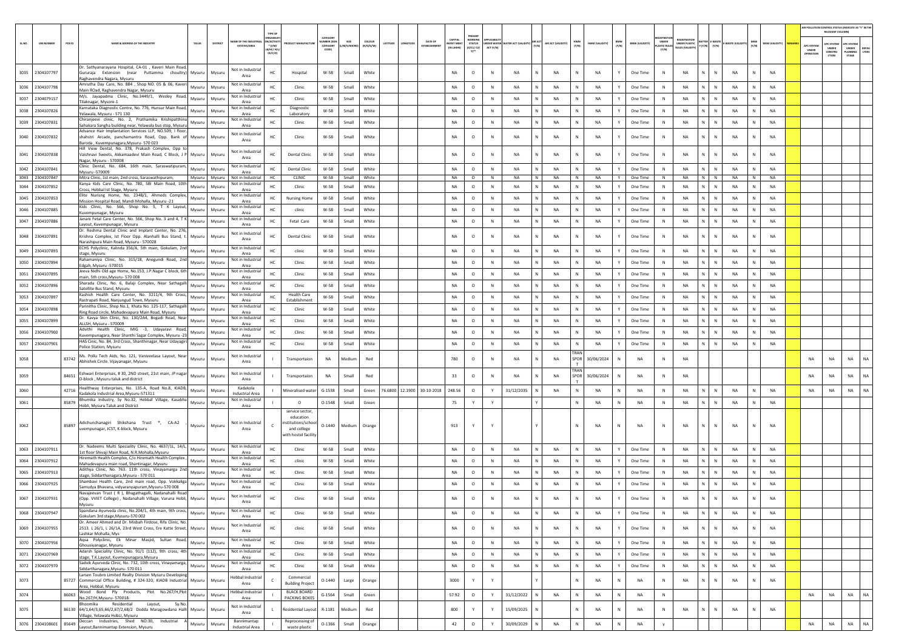|        |                               |        |                                                                                                                                                               |                         |                |                                        |                                                 |                                                                                          |                               |                |                     |          |          |                                |                                                   |                                                  |                |                                        |   |                    |                  |                 |              |                       |                              |                                                                     |                                 |             |              |                 |                                 | AIR POLLUTION CONTROL STATUS (INDICATE AS "Y" IN THE<br>RELEVANT COLUMN |                                         |               |
|--------|-------------------------------|--------|---------------------------------------------------------------------------------------------------------------------------------------------------------------|-------------------------|----------------|----------------------------------------|-------------------------------------------------|------------------------------------------------------------------------------------------|-------------------------------|----------------|---------------------|----------|----------|--------------------------------|---------------------------------------------------|--------------------------------------------------|----------------|----------------------------------------|---|--------------------|------------------|-----------------|--------------|-----------------------|------------------------------|---------------------------------------------------------------------|---------------------------------|-------------|--------------|-----------------|---------------------------------|-------------------------------------------------------------------------|-----------------------------------------|---------------|
| SL.NO. | <b>UIN NUMBER</b>             | PCB ID | NAME & ADDRESS OF THE INDUSTR'                                                                                                                                | TALUK                   | <b>DISTRIC</b> | ME OF THE INDU:<br><b>ESTATES/AREA</b> | <b>ACTIV</b><br>$^*$ (i/M/<br>B/HC/ H<br>CE/C/O | DUCT MANUFACTUI                                                                          | CATEGORY<br>CATEGORY<br>CODET | /M/S/MICRO     | coLous<br>(R/O/G/W) | LATITUDE | ONGITUDE | DATE OF<br><b>ESTABLISHMEN</b> | <b>CAPITAL</b><br><b>IVEST MENT</b><br>(IN LAKHS) | PRESENT<br>WORKING<br><b>STATUS</b><br>(0/C1/C2/ | ACT (Y/N)      | UNDER WATER WATER ACT (VALIDITY) (Y/N) |   | AIR ACT (VALIDITY) | HWM<br>(Y/N)     | HWM (VALIDITY)  | BMW<br>(Y/N) | <b>BMW (VALIDITY)</b> | UNDER<br><b>LASTIC RULE:</b> | <b>FOISTRATIO</b><br><b>UNDER PLASTIC</b><br><b>RULES (VALIDIT)</b> | SATTER E-WASTE<br>Y (Y/N) (Y/N) | WASTE (VALI | MSW<br>(Y/N) | MSW (VALIDITY)  | APC SYSTEM<br>UNDER<br>OPERATIO | <b>APC SYSTEM</b><br><b>UNDER</b><br>CONSTRU<br>CTION                   | APC SYSTEM<br>UNDER<br>LANNING<br>STAGE | DEFA<br>LTERS |
|        | 3035 2304107797               |        | Dr. Sathyanarayana Hospital, CA-01, Kaveri Main Road,<br>Gururaja Extension (near Puttamma choultry) Mysuru<br>Raghavendra Nagara, Mysuru                     |                         | Mysuru         | Not in Industrial<br>Area              | HC                                              | Hospital                                                                                 | W-58                          | Small          | White               |          |          |                                | NA                                                | $\circ$                                          | N              | NA                                     |   | <b>NA</b>          | $\mathbb{N}$     | <b>NA</b>       | Y            | One Time              | $\mathsf{N}$                 | <b>NA</b>                                                           | $\mathbb{N}$                    | NA          |              | <b>NA</b>       |                                 |                                                                         |                                         |               |
| 3036   | 2304107798                    |        | Amrutha Day Care, No. 884, Shop NO. 05 & 06, Kaveri<br>Main ROad, Raghavendra Nagar, Mysuru                                                                   | Mysuru                  | Mysuru         | Not in Industrial<br>Area              | HC                                              | Clinic                                                                                   | W-58                          | Small          | White               |          |          |                                | <b>NA</b>                                         | $\circ$                                          | N              | <b>NA</b>                              | N | <b>NA</b>          | N                | <b>NA</b>       | Y            | One Time              | N                            | <b>NA</b>                                                           | N<br>$\,$ N                     | <b>NA</b>   | N            | NA              |                                 |                                                                         |                                         |               |
|        | 3037 2304079157               |        | M/s. Jayapadma Clinic, No.3449/1, Wesley Road,<br>Tilaknagar, Mysore-1                                                                                        | Mysuru                  | Mysuru         | Not in Industrial<br>Area              | HC                                              | Clinic                                                                                   | W-58                          | Small          | White               |          |          |                                | NA                                                | $\circ$                                          | ${\sf N}$      | <b>NA</b>                              |   | NA                 | N                | <b>NA</b>       | Y            | One Time              | N                            | NA                                                                  | $\mathbb{N}$                    | NA          | N            | <b>NA</b>       |                                 |                                                                         |                                         |               |
| 3038   | 2304107826                    |        | Karnataka Diagnostic Centre, No. 776, Hunsur Main Road,<br>Yelawala, Mysuru - 571 130                                                                         | Mysuru                  | Mysuru         | Not in Industrial<br>Area              | HC                                              | Diagnostic<br>Laboratory                                                                 | W-58                          | Small          | White               |          |          |                                | <b>NA</b>                                         | $\circ$                                          | N              | <b>NA</b>                              |   | <b>NA</b>          | $\mathbb{N}$     | <b>NA</b>       | Y            | One Time              | $\mathbb{N}$                 | <b>NA</b>                                                           | N.<br>$\mathbb{N}$              | NA          | N            | <b>NA</b>       |                                 |                                                                         |                                         |               |
| 3039   | 2304107831                    |        | Chiranjeevi clinic, No. 2, Prathamika Krishipatthina<br>Sahakara Sangha building near, Yelawala bus stop, Mysuru                                              | Mysuru                  | Mysuru         | Not in Industrial<br>Area              | HC.                                             | Clinic                                                                                   | W-58                          | Small          | White               |          |          |                                | NA                                                | $\circ$                                          | N              | NA                                     |   | NA                 | N                | <b>NA</b>       | Y            | One Time              | N                            | NA                                                                  | N.<br>$\mathbb N$               | NA          | N            | <b>NA</b>       |                                 |                                                                         |                                         |               |
|        | 3040 2304107832               |        | Advance Hair Implantation Services LLP, NO.509, I floor,<br>shahstri Arcade, panchamantra Road, Opp. Bank of Mysuru<br>Baroda, Kuvempunagara, Mysuru- 570 023 |                         | Mysuru         | Not in Industria<br>Area               | HC                                              | Clinic                                                                                   | W-58                          | Small          | White               |          |          |                                | NA                                                | $\circ$                                          | $\mathbb N$    | NA                                     |   | NA                 | N                | NA              |              | One Time              | N                            | NA                                                                  | N<br>${\sf N}$                  | NA          | N            | <b>NA</b>       |                                 |                                                                         |                                         |               |
| 3041   | 2304107838                    |        | Hill View Dental, No. 378, Prakash Complex, Opp to<br>Vaishnavi Sweets, Akkamaadevi Main Road, C Block, J P Mysuru<br>Nagar, Mysuru - 570008                  |                         | Mysuru         | Not in Industrial<br>Area              | HC                                              | Dental Clinic                                                                            | W-58                          | Small          | White               |          |          |                                | <b>NA</b>                                         | $\circ$                                          | N              | <b>NA</b>                              |   | NA                 | N                | <b>NA</b>       |              | One Time              | N                            | NA                                                                  | $\mathbb{N}$<br>N               | <b>NA</b>   |              | <b>NA</b>       |                                 |                                                                         |                                         |               |
|        | 3042 2304107841               |        | Clinic Dental, No. 684, 16th main, Saraswatipuram,<br>Mysuru -570009                                                                                          | Mysuru                  | Mysuru         | Not in Industrial<br>Area              | HC                                              | <b>Dental Clinic</b>                                                                     | W-58                          | Small          | White               |          |          |                                | <b>NA</b>                                         | $\circ$                                          | N              | <b>NA</b>                              |   | <b>NA</b>          | N                | <b>NA</b>       | Y            | One Time              | $\mathbb{N}$                 | <b>NA</b>                                                           | N.<br>$\mathbb{N}$              | NA          | N            | <b>NA</b>       |                                 |                                                                         |                                         |               |
| 3044   | 3043 2304107847<br>2304107852 |        | Mitra Clinic, 1st main, 2nd cross, Saraswathipuram,<br>Kanya Kids Care Clinic, No. 780, SBI Main Road, 10th                                                   | Mysuru Mysuru<br>Mysuru | Mysuru         | Not in Industrial<br>Not in Industrial | <b>HC</b><br>HC                                 | CLINIC<br>Clinic                                                                         | W-58<br>$W-58$                | Small<br>Small | White<br>White      |          |          |                                | NA<br>NA                                          | $\circ$<br>$\circ$                               | N<br>${\sf N}$ | NA<br><b>NA</b>                        | N | NA<br>NA           | N<br>N           | NA<br><b>NA</b> | Y            | One Time<br>One Time  | N<br>N                       | <b>NA</b><br><b>NA</b>                                              | $N$ $N$<br>N                    | NA<br>NA    | N<br>N       | <b>NA</b><br>NA |                                 |                                                                         |                                         |               |
| 3045   | 2304107853                    |        | Cross, Hebbal Ist Stage, Mysuru<br>Elite Nurisng Home, No. 2348/1, Ahmeds Complex,                                                                            | Mysuru                  | Mysuru         | Area<br>Not in Industrial              | HC.                                             | <b>Nursing Home</b>                                                                      | W-58                          | Small          | White               |          |          |                                | <b>NA</b>                                         | $\circ$                                          | N              | <b>NA</b>                              |   | <b>NA</b>          | N                | <b>NA</b>       | Y            | One Time              | $\mathbb{N}$                 | NA                                                                  | $\mathbb{N}$<br>N               | NA          | N            | <b>NA</b>       |                                 |                                                                         |                                         |               |
| 3046   | 2304107885                    |        | Mission Hospital Road, Mandi Mohalla, Mysuru -21<br>Kids Clinic, No. 566, Shop No. 5, T K Layout,                                                             | Mysuru                  | Mysuru         | Area<br>Not in Industrial              | HC.                                             | clinic                                                                                   | W-58                          | Small          | White               |          |          |                                | <b>NA</b>                                         | $\circ$                                          | N              | <b>NA</b>                              |   | <b>NA</b>          | N                | <b>NA</b>       | Y            | One Time              | N                            | <b>NA</b>                                                           | N<br>$\mathbb N$                | NA          | N            | <b>NA</b>       |                                 |                                                                         |                                         |               |
| 3047   | 2304107886                    |        | Kuvempunagar, Mysuru<br>Janani Fetal Care Center, No. 566, Shop No. 3 and 4, T K                                                                              | Mysuru                  | Mysuru         | Area<br>Not in Industrial              | HC                                              | Fetal Care                                                                               | W-58                          | Small          | White               |          |          |                                | NA                                                | $\circ$                                          | $\mathbb N$    | NA                                     |   | NA                 | N                | <b>NA</b>       |              | One Time              | $\mathbb N$                  | NA                                                                  | N<br>N                          | <b>NA</b>   | N            | NA              |                                 |                                                                         |                                         |               |
|        |                               |        | Layout, Kuvempunagar, Mysuru<br>Dr. Reshma Dental Clinic and Implant Center, No. 276,                                                                         |                         |                | Area<br>Not in Industrial              |                                                 |                                                                                          |                               |                |                     |          |          |                                |                                                   |                                                  |                |                                        |   |                    |                  |                 |              |                       |                              |                                                                     |                                 |             |              |                 |                                 |                                                                         |                                         |               |
|        | 3048 2304107891               |        | Krishna Complex, Ist Floor Opp. Alanhalli Bus Stand, t. Mysuru<br>Narashipura Main Road, Mysuru - 570028                                                      |                         | Mysuru         | Area                                   | HC                                              | <b>Dental Clinic</b>                                                                     | W-58                          | Small          | White               |          |          |                                | NA                                                | $\circ$                                          | N              | NA                                     |   | NA                 | N                | NA              |              | One Time              | N                            | NA                                                                  | ${\sf N}$<br>N                  | NA          | N            | <b>NA</b>       |                                 |                                                                         |                                         |               |
| 3049   | 2304107893                    |        | ECHS Polyclinic, Kalinda 356/A, 5th main, Gokulam, 2nd<br>stage, Mysuru                                                                                       | Mysuru                  | Mysuru         | Not in Industrial<br>Area              | HC                                              | clinic                                                                                   | $W-58$                        | Small          | White               |          |          |                                | NA                                                | $\circ$                                          | $\,$ N         | NA                                     |   | NA                 |                  | <b>NA</b>       |              | One Time              | N                            | NA                                                                  | N<br>N                          | <b>NA</b>   | N            | NA              |                                 |                                                                         |                                         |               |
| 3050   | 2304107894                    |        | Rahamaniya Clinic, No. 315/18, Anegundi Road, 2nd<br>Edgah, Mysuru -570015                                                                                    | Mysuru                  | Mysuru         | Not in Industrial<br>Area              |                                                 | Clinic                                                                                   | $W-58$                        | Small          | White               |          |          |                                | <b>NA</b>                                         | $\circ$                                          | N              | <b>NA</b>                              |   | <b>NA</b>          | $\mathbb{N}$     | <b>NA</b>       | Y            | One Time              | N                            | <b>NA</b>                                                           | N  <br>N                        | <b>NA</b>   | N            | <b>NA</b>       |                                 |                                                                         |                                         |               |
| 3051   | 2304107895                    |        | Jeeva Nidhi Old age Home, No.153, J.P.Nagar C block, 6th<br>main, 5th cross, Mysuru- 570 008                                                                  | Mysuru                  | Mysuru         | Not in Industrial<br>Area              | HC                                              | Clinic                                                                                   | W-58                          | Small          | White               |          |          |                                | NA                                                | $\circ$                                          | N              | <b>NA</b>                              |   | NA                 | N                | <b>NA</b>       | Y            | One Time              | N                            | <b>NA</b>                                                           | N                               | <b>NA</b>   | N            | <b>NA</b>       |                                 |                                                                         |                                         |               |
| 3052   | 2304107896                    |        | Sharada Clinic, No. 6, Balaji Complex, Near Sathagalli<br>Satellite Bus Stand, Mysuru                                                                         | Mysuru                  | Mysuru         | Not in Industria<br>Area               | HC.                                             | Clinic                                                                                   | W-58                          | Small          | White               |          |          |                                | <b>NA</b>                                         | $\circ$                                          | N              | <b>NA</b>                              |   | <b>NA</b>          | N                | <b>NA</b>       | Y            | One Time              | $\mathbb{N}$                 | <b>NA</b>                                                           | N.<br>$\mathbb{N}$              | <b>NA</b>   | N            | <b>NA</b>       |                                 |                                                                         |                                         |               |
| 3053   | 2304107897                    |        | Kashish Health Care Center, No. 3211/4, 9th Cross,<br>Rastrapati Road, Nanjungud Town, Mysuru                                                                 | Mysuru                  | Mysuru         | Not in Industrial<br>Area              | HC.                                             | <b>Health Care</b><br>Establishment                                                      | W-58                          | Small          | White               |          |          |                                | <b>NA</b>                                         | $\circ$                                          | $\,$ N         | <b>NA</b>                              |   | <b>NA</b>          | N                | <b>NA</b>       | Y            | One Time              | $\mathbb{N}$                 | <b>NA</b>                                                           | N<br>$\mathbb N$                | <b>NA</b>   | N            | <b>NA</b>       |                                 |                                                                         |                                         |               |
| 3054   | 2304107898                    |        | Parinitha Clinic, Shop No.1, Khata No. 125-117, Sathagalli<br>Ring Road circle, Mahadevapura Main Road, Mysuru                                                | Mysuru                  | Mysuru         | Not in Industrial<br>Area              | HC                                              | Clinic                                                                                   | W-58                          | Small          | White               |          |          |                                | NA                                                | $\circ$                                          | $\mathbb N$    | NA                                     |   | NA                 |                  | <b>NA</b>       |              | One Time              | N                            | NA                                                                  | ${\sf N}$<br>N                  | <b>NA</b>   | N            | NA              |                                 |                                                                         |                                         |               |
|        | 3055 2304107899               |        | Dr. Kavya Skin Clinic, No. 130/2A4, Bogadi Road, Near<br>ALLSH, Mysuru - 570009                                                                               | Mysuru                  | Mysuru         | Not in Industrial<br>Area              |                                                 | Clinic                                                                                   | W-58                          | Small          | White               |          |          |                                | <b>NA</b>                                         | $\circ$                                          | N              | <b>NA</b>                              |   | <b>NA</b>          | N                | <b>NA</b>       | Y            | One Time              | N                            | <b>NA</b>                                                           | N  <br>$\,$ N                   | <b>NA</b>   | ${\sf N}$    | NA              |                                 |                                                                         |                                         |               |
|        | 3056 2304107900               |        | Advithi Health Clinic, MIG -3, Udayaravi Road,<br>Kuvempunagara, Near Shanthi Sagar Complex, Mysuru -23                                                       | Mysuru                  | Mysuru         | Not in Industrial<br>Area              | HC                                              | Clinic                                                                                   | W-58                          | Small          | White               |          |          |                                | NA                                                | $\circ$                                          | $\mathbb N$    | <b>NA</b>                              |   | NA                 | N                | <b>NA</b>       | Y            | One Time              | N                            | NA                                                                  | N                               | <b>NA</b>   | N            | <b>NA</b>       |                                 |                                                                         |                                         |               |
|        | 3057 2304107901               |        | HAS Cinic, No. 84, 3rd Cross, Shanthinagar, Near Udayagiri<br>Police Station, Mysuru                                                                          | Mysuru                  | Mysuru         | Not in Industrial<br>Area              | HC.                                             | Clinic                                                                                   | W-58                          | Small          | White               |          |          |                                | <b>NA</b>                                         | $\circ$                                          | N              | <b>NA</b>                              |   | <b>NA</b>          | N<br><b>FRAN</b> | <b>NA</b>       | Y            | One Time              | N                            | <b>NA</b>                                                           | N.<br>$\mathbb{N}$              | <b>NA</b>   | N            | <b>NA</b>       |                                 |                                                                         |                                         |               |
| 3058   |                               |        | Ms. Pollu Tech Aids, No. 121, Vaniveelasa Layout, Near                                                                                                        | Mysuru                  | Mysuru         | Not in Industrial<br>Area              |                                                 | Transportaion                                                                            | <b>NA</b>                     | Medium         | Red                 |          |          |                                | 780                                               | $\circ$                                          | N              | <b>NA</b>                              |   | <b>NA</b>          | SPOR<br>TRAN     | 30/06/2024      |              | <b>NA</b>             | $\mathbb{N}$                 | <b>NA</b>                                                           |                                 |             |              |                 | <b>NA</b>                       | NA                                                                      | <b>NA</b>                               | NA            |
| 3059   |                               | 84651  | Eshwari Enterprises, #30, 2ND street, 21st main, JP nagar<br>D-block, Mysuru taluk and district                                                               | Mysuru                  | Mysuru         | Not in Industrial<br>Area              |                                                 | Transportaion                                                                            | NA                            | Small          | Red                 |          |          |                                | 33                                                | $\circ$                                          | N              | <b>NA</b>                              |   | <b>NA</b>          | SPOR             | 30/06/2024      | N            | NA                    | N                            | <b>NA</b>                                                           |                                 |             |              |                 | <b>NA</b>                       | NA                                                                      | <b>NA</b>                               | NA            |
| 3060   |                               | 42716  | Healthway Enterprises, No. 135-A, Road No.8, KIADB,<br>Kadakola Industrial Area, Mysuru-571311                                                                |                         | Mysuru Mysuru  | Kadakola<br>Industrial Area            |                                                 | Mineralised water                                                                        | $G-1538$                      | Small          | Green               |          |          | 76.6800 12.1900 30-10-2018     | 248.56                                            | $\circ$                                          | Y              | 31/12/2035                             |   | <b>NA</b>          | N                | <b>NA</b>       | N            | <b>NA</b>             | $\mathbb{N}$                 | <b>NA</b>                                                           | $\mathbb N$<br>N                | <b>NA</b>   | N            | <b>NA</b>       | <b>NA</b>                       | NA                                                                      | <b>NA</b>                               | <b>NA</b>     |
| 3061   |                               | 85879  | Bhumika Industry, Sy No.32, Hebbal Village, Kasabha<br>Hobli, Mysuru Taluk and District                                                                       | Mysuru                  | Mysuru         | Not in Industrial<br>Area              |                                                 | $\circ$                                                                                  | $O-1548$                      | Small          | Green               |          |          |                                | 75                                                | Y                                                | Y              |                                        |   |                    | N                | <b>NA</b>       | N            | <b>NA</b>             | $\mathbb{N}$                 | <b>NA</b>                                                           | N.<br>N                         | <b>NA</b>   | N            | <b>NA</b>       |                                 |                                                                         |                                         |               |
| 3062   |                               |        | 85897 Adichunchanagiri Shikshana Trust ®, CA-A2<br>uvempunagar, JCST, K-block, Mysuru                                                                         | Mysuru                  | Mysuru         | Not in Industrial<br>Area              |                                                 | service sector,<br>education<br>stitutions/school<br>and college<br>with hostel facility | $0 - 1440$                    | Medium         | Orange              |          |          |                                | 913                                               |                                                  |                |                                        |   |                    |                  | NA              | N            | NA                    | N                            | NA                                                                  | $\mathbb N$<br>N                | NA          |              | NA              |                                 |                                                                         |                                         |               |
| 3063   | 2304107911                    |        | Dr. Nadeems Multi Speciality Clinic, No. 4637/1L, 14/L, Mysuru<br>1st floor Shivaji Main Road, N.R.Mohalla, Mysuru                                            |                         | Mysuru         | Not in Industrial<br>Area              | HC                                              | Clinic                                                                                   | W-58                          | Small          | White               |          |          |                                | <b>NA</b>                                         | $\circ$                                          | N              | <b>NA</b>                              |   | <b>NA</b>          | N                | <b>NA</b>       | Y            | One Time              | $\mathbb{N}$                 | <b>NA</b>                                                           | N<br>$\mathbb N$                | NA          | N            | <b>NA</b>       |                                 |                                                                         |                                         |               |
| 3064   | 2304107912                    |        | Hiremath Health Complex, C/o Hiremath Health Complex,<br>Mahadevapura main road, Shantinagar, Mysuru                                                          | Mysuru                  | Mysuru         | Not in Industrial<br>Area              | HC                                              | clinic                                                                                   | W-58                          | Small          | White               |          |          |                                | <b>NA</b>                                         | $\circ$                                          | N              | <b>NA</b>                              |   | <b>NA</b>          | N                | <b>NA</b>       | Y            | One Time              | $\mathbb{N}$                 | <b>NA</b>                                                           | N.<br>$\,$ N                    | NA          | N            | <b>NA</b>       |                                 |                                                                         |                                         |               |
| 3065   | 2304107913                    |        | Adithya Clinic, No. 763. 11th cross, Vinayamarga 2nd<br>stage, Siddarthanagara, Mysuru - 570 011                                                              | Mysuru                  | Mysuru         | Not in Industria<br>Area               | HC.                                             | Clinic                                                                                   | W-58                          | Small          | White               |          |          |                                | NA                                                | $\circ$                                          | N              | NA                                     |   | NA                 | $\mathbb N$      | <b>NA</b>       | Y            | One Time              | N                            | NA                                                                  | N.<br>$\mathbb N$               | NA          | N            | <b>NA</b>       |                                 |                                                                         |                                         |               |
| 3066   | 2304107925                    |        | Shambavi Health Care, 2nd main road, Opp. Vokkaliga<br>Samudya Bhavana, vidyaranyapuram, Mysuru-570 008                                                       | Mysuru                  | Mysuru         | Not in Industrial<br>Area              | HC                                              | Clinic                                                                                   | $W-58$                        | Small          | White               |          |          |                                | NA                                                | $\circ$                                          | N              | NA                                     |   | NA                 |                  | <b>NA</b>       |              | One Time              | N                            | NA                                                                  | N<br>$\mathbb N$                | NA          | N            | NA              |                                 |                                                                         |                                         |               |
| 3067   | 2304107931                    |        | Navajeevan Trust (R), Bhugathagalli, Nadanahalli Road<br>(Opp. VVIET College) , Nadanahalli Village, Varuna Hobli, Mysuru<br>Mysuru                           |                         | Mysuru         | Not in Industrial<br>Area              | HC                                              | Clinio                                                                                   | W-58                          | Small          | White               |          |          |                                | NA                                                | $\circ$                                          | N              | NA                                     |   | NA                 | $\mathbb N$      | N <sub>A</sub>  |              | One Time              | N                            | <b>NA</b>                                                           | $\mathbb N$<br>N                | NA          | N            | <b>NA</b>       |                                 |                                                                         |                                         |               |
| 3068   | 2304107947                    |        | Spandana Ayurveda clinic, No.204/1, 4th main, 9th cross,<br>Gokulam 3rd stage, Mysuru-570 002                                                                 | Mysuru Mysuru           |                | Not in Industrial<br>Area              | HC                                              | Clinic                                                                                   | $W-58$                        | Small          | White               |          |          |                                | NA                                                | $\circ$                                          | ${\sf N}$      | NA                                     |   | NA                 |                  | <b>NA</b>       |              | One Time              | N                            | NA                                                                  | N<br>${\sf N}$                  | NA          | N            | NA              |                                 |                                                                         |                                         |               |
|        | 3069 2304107955               |        | Dr. Ameer Ahmed and Dr. Misbah Firdose, Rifa Clinic, No.<br>2513. L 26/1, L 26/1A, 23rd West Cross, Ere Katte Street, Mysuru<br>Lashkar Mohalla, Mys          |                         | Mysuru         | Not in Industrial<br>Area              | HC                                              | clinic                                                                                   | W-58                          | Small          | White               |          |          |                                | NA                                                | $\circ$                                          | ${\sf N}$      | NA                                     |   | NA                 | N                | <b>NA</b>       | Y            | One Time              | $\,$ N                       | NA                                                                  | N<br>N                          | NA          | N            | <b>NA</b>       |                                 |                                                                         |                                         |               |
| 3070   | 2304107956                    |        | Aqsa Polyclinic, Ek Minar Masjid, Sultan Road,<br>Ghousiyanagar, Mysuru                                                                                       |                         | Mysuru Mysuru  | Not in Industrial<br>Area              | HC                                              | Clinic                                                                                   | W-58                          | Small          | White               |          |          |                                | NA                                                | $\circ$                                          | ${\sf N}$      | NA                                     |   | NA                 | N                | <b>NA</b>       | Y            | One Time              | N                            | NA                                                                  | N<br>$\mathbb N$                | NA          | N            | NA              |                                 |                                                                         |                                         |               |
|        | 3071 2304107969               |        | Adarsh Speciality Clinic, No. 91/1 (112), 9th cross, 4th<br>stage, T.K.Layout, Kuvmepunagara, Mysuru                                                          | Mysuru Mysuru           |                | Not in Industrial<br>Area              | HC                                              | Clinic                                                                                   | W-58                          | Small          | White               |          |          |                                | NA                                                | $\circ$                                          | N              | <b>NA</b>                              | N | NA                 | N                | <b>NA</b>       | Y            | One Time              | N                            | NA                                                                  | N<br>$\,$ N                     | NA          | N            | NA              |                                 |                                                                         |                                         |               |
|        | 3072 2304107970               |        | Sadivik Ayurveda Clinic, No. 732, 10th cross, Vinayamarga, Mysuru Mysuru<br>Siddarthanagara, Mysuru-570 011                                                   |                         |                | Not in Industrial<br>Area              | HC                                              | Clinic                                                                                   | W-58                          | Small          | White               |          |          |                                | NA                                                | $\circ$                                          | N              | <b>NA</b>                              |   | <b>NA</b>          | $\mathbb N$      | <b>NA</b>       | Y            | One Time              | N                            | <b>NA</b>                                                           | N<br>N                          | <b>NA</b>   | N            | <b>NA</b>       |                                 |                                                                         |                                         |               |
| 3073   |                               |        | Larsen Toubro Limited Realty Division Mysuru Developing<br>85727 Commercial Office Building, # 324-320, KIADB Industrial Mysuru<br>Area, Hebbal, Mysuru       |                         | Mysuru         | <b>Hebbal Industrial</b><br>Area       | C.                                              | Commercial<br><b>Building Project</b>                                                    | $O-1440$                      | Large          | Orange              |          |          |                                | 3000                                              | Y                                                | Y              |                                        |   |                    | $\mathbb{N}$     | <b>NA</b>       | N            | NA                    | N                            | NA                                                                  | N<br>$\mathbb{N}$               | <b>NA</b>   | ${\sf N}$    | <b>NA</b>       |                                 |                                                                         |                                         |               |
| 3074   |                               |        | Wood Bond Ply Products, Plot No.267/H,Plot<br>86063 No.267/H, Mysuru-570018.                                                                                  |                         | Mysuru Mysuru  | <b>Hebbal Industrial</b><br>Area       |                                                 | <b>BLACK BOARD</b><br>PACKING BOXES                                                      | $G-1564$                      | Small          | Green               |          |          |                                | 57.92                                             | $\circ$                                          | Y              | 31/12/2022                             |   | NA                 | N                | <b>NA</b>       | $\mathbb N$  | NA                    | N                            |                                                                     |                                 |             |              |                 | <b>NA</b>                       | NA                                                                      | <b>NA</b>                               | NA            |
| 3075   |                               |        | Bhoomika Residential Layout, Sy.No.<br>86130 64/1,64/3,65,66/2,67/2,68/2 Dodda Maragowdana Halli Mysuru<br>Village, Yelawala HobLI, Mysuru                    |                         | Mysuru         | Not in Industrial<br>Area              |                                                 | <b>Residential Layout</b>                                                                | R-1181                        | Medium         | Red                 |          |          |                                | 800                                               | Y                                                | Y              | 15/09/2025                             |   |                    | $\mathbb N$      | <b>NA</b>       | N            | NA                    | N                            | NA                                                                  | N<br>$\mathbb{N}$               | <b>NA</b>   | N            | NA              |                                 |                                                                         |                                         |               |
|        | 3076 2304108601 85649         |        | Deccan Industries, Shed NO:30, Industrial A<br>Layout, Bannimantap Extension, Mysuru                                                                          |                         | Mysuru Mysuru  | Bannimantap<br>Industrial Area         |                                                 | Reprocessing of<br>waste plastic                                                         | $O-1366$                      | Small          | Orange              |          |          |                                | 42                                                | $\circ$                                          | Y              | 30/09/2029                             |   | NA                 | $\mathbb N$      | <b>NA</b>       | $\mathbb{N}$ | NA                    |                              |                                                                     |                                 |             |              |                 | NA                              | $_{\sf NA}$                                                             | <b>NA</b>                               | NA            |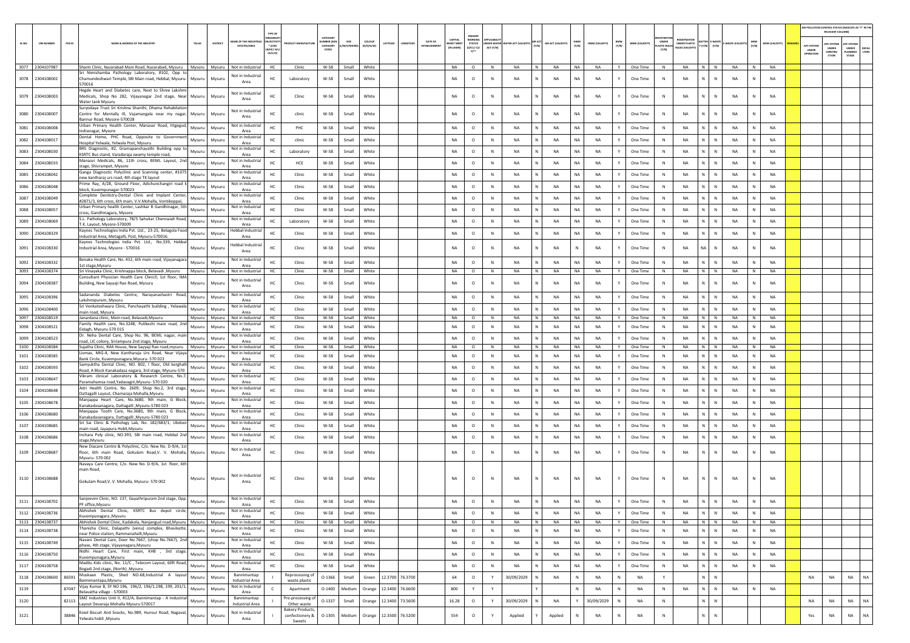|        |                                    |        |                                                                                                                                                                                                                    |                                                |                                               |                                            |                                                  |                    |                                |                 |                                                                   |                                                 |                                |                        |                   |                   |                        |                        |              |                       |                                       |                                                        |                                       |                        |              |                        | AIR POLLUTION CONTROL STATUS (INDICATE AS "Y" IN THI | RELEVANT COLUMN)                               |                                         |                       |
|--------|------------------------------------|--------|--------------------------------------------------------------------------------------------------------------------------------------------------------------------------------------------------------------------|------------------------------------------------|-----------------------------------------------|--------------------------------------------|--------------------------------------------------|--------------------|--------------------------------|-----------------|-------------------------------------------------------------------|-------------------------------------------------|--------------------------------|------------------------|-------------------|-------------------|------------------------|------------------------|--------------|-----------------------|---------------------------------------|--------------------------------------------------------|---------------------------------------|------------------------|--------------|------------------------|------------------------------------------------------|------------------------------------------------|-----------------------------------------|-----------------------|
| SL.NO. | <b>UIN NUMBER</b>                  | PCB ID | NAME & ADDRESS OF THE INDUSTR<br>TALUR<br>DISTRICT                                                                                                                                                                 | AME OF THE INDUSTR<br><b>ESTATES/AREA</b>      | N/ACTIVIT<br>$*$ (i/M/<br>8/HC/ H/L<br>CE/C/O |                                            | CATEGOR<br><b>IMBER DOG</b><br>CATEGORY<br>CODE) | SIZE<br>/M/S/MICRO | coLour<br>ATITUDE<br>(R/O/G/W) |                 | CAPITAL<br>DATE OF<br><b>EST MEN</b><br>ESTABLISHME<br>(IN LAKHS) | PRESENT<br>WORKIN<br>STATUS<br>(0/C1/ C2/<br>Y1 | <b>IDER WAT</b><br>ACT $(Y/N)$ | TER ACT (VALID         | $\frac{1}{(Y/N)}$ | AIR ACT (VALIDITY | HWM<br>(Y/N)           | HWM (VALIDITY)         | BMW<br>(Y/N) | <b>BMW (VALIDITY)</b> | UNDER<br><b>LASTIC RULES</b><br>(Y/N) | <b>IEGISTRATI</b><br>UNDER PLASTIC<br>RULES (VALIDITY) | <b>TTER E-WAST</b><br>$(Y/N)$ $(Y/N)$ | WASTE (VAL             | MSW<br>(Y/N) | <b>MSW (VALIDITY)</b>  | APC SYSTEM<br><b>UNDER</b><br>IPERATION              | <b>APC SYSTEM</b><br>UNDER<br>CONSTRU<br>CTION | APC SYSTER<br>UNDER<br>LANNING<br>STAGE | <b>DEFAU</b><br>LTERS |
|        | 3077 2304107987                    |        | Shanti Clinic, Nazarabad Main Road, Nazarabad, Mysuru Mysuru Mysuru                                                                                                                                                | Not in Industrial                              | HC                                            | Clinic                                     | W-58                                             | Small              | White                          |                 | NA                                                                | $\circ$                                         | N                              | <b>NA</b>              | N                 | NA                | NA I                   | NA                     | Y            | One Time              | N                                     | NA                                                     | N<br>N                                | NA                     | N            | NA                     |                                                      |                                                |                                         |                       |
|        | 3078 2304108002                    |        | Sri Nimishamba Pathology Laboratory, #102, Opp to<br>Chamundeshwari Temple, SBI Main road, Hebbal, Mysuru-<br>Mysuru<br>Mysuru                                                                                     | Not in Industrial<br>Area                      | HC                                            | Laboratory                                 | W-58                                             | Small              | White                          |                 | <b>NA</b>                                                         | $\circ$                                         | $\mathbb N$                    | <b>NA</b>              |                   | <b>NA</b>         | <b>NA</b>              | <b>NA</b>              | Y            | One Time              | N                                     | <b>NA</b>                                              | N.<br>$\mathbb{N}$                    | <b>NA</b>              | N            | <b>NA</b>              |                                                      |                                                |                                         |                       |
|        | 3079 2304108003                    |        | 570016<br>Hegde Heart and Diabetes care, Next to Shree Lakshm<br>Medicals, Shop No 282, Vijayanagar 2nd stage, Near Mysuru<br>Mysuru<br>Water tank Mysuru                                                          | Not in Industrial<br>Area                      | HC                                            | Clinic                                     | $W-58$                                           | Small              | White                          |                 | NA                                                                | $\circ$                                         | ${\sf N}$                      | NA                     |                   | NA                | NA                     | <b>NA</b>              |              | One Time              | $\,$ N                                | NA                                                     | ${\sf N}$                             | NA                     |              | NA                     |                                                      |                                                |                                         |                       |
|        | 3080 2304108007                    |        | Suryodaya Trust Sri Krishna Shanthi, Dhama Rehabilatio<br>Centre for Mentally III, Vajamangala near my nagar, Mysuru<br>Mysuru<br>Bannur Road, Mysore-570028                                                       | Not in Industria<br>Area                       |                                               | clinic                                     | $W-58$                                           | Small              | White                          |                 | <b>NA</b>                                                         | $\circ$                                         | N                              | NA                     |                   | <b>NA</b>         | NA                     | <b>NA</b>              |              | One Time              | N                                     | <b>NA</b>                                              | $\mathsf{N}$                          | <b>NA</b>              | $\mathbb N$  | <b>NA</b>              |                                                      |                                                |                                         |                       |
|        | 3081 2304108008                    |        | Urban Primary Health Center, Manasar Road, Ittgegud,<br>Mysuru<br>Mysuru                                                                                                                                           | Not in Industrial                              | нc                                            | PHC                                        | W-58                                             | Small              | White                          |                 | NA                                                                | $\circ$                                         | $\,$ N                         | NA                     |                   | NA                | <b>NA</b>              | <b>NA</b>              |              | One Time              | $\,$ N                                | NA                                                     | N<br>${\sf N}$                        | NA                     | N            | NA                     |                                                      |                                                |                                         |                       |
|        | 3082 2304108017                    |        | Indranagar, Mysore<br>Dental Home, PHC Road, Opposite to Governmer<br>Mysuru<br>Mysuru                                                                                                                             | Area<br>Not in Industria                       | HC                                            | clinic                                     | W-58                                             | Small              | White                          |                 | <b>NA</b>                                                         | $\circ$                                         | N                              | NA                     | N                 | <b>NA</b>         | NA                     | <b>NA</b>              | Y            | One Time              | N                                     | NA                                                     | N  <br>N                              | <b>NA</b>              | N            | <b>NA</b>              |                                                      |                                                |                                         |                       |
|        | 3083 2304108030                    |        | Hospital Yelwala, Yelwala Post, Mysuru<br>BRS Diagnostic, #2, Gramapanchayathi Building opp to                                                                                                                     | Area<br>Not in Industrial                      |                                               |                                            | W-58                                             |                    | White                          |                 | <b>NA</b>                                                         | $\circ$                                         |                                |                        |                   |                   | <b>NA</b>              | <b>NA</b>              |              | One Time              |                                       | <b>NA</b>                                              | $\mathbb{N}$                          | <b>NA</b>              |              | <b>NA</b>              |                                                      |                                                |                                         |                       |
|        |                                    |        | Mysuru<br>Mysuru<br>KSRTC Bus stand, Varadaraja swamy temple road,<br>Manasvi Medicals, #6, 11th cross, BEML Layout, 2nd                                                                                           | Area<br>Not in Industria                       | HC                                            | Laboratory                                 |                                                  | Small              |                                |                 |                                                                   |                                                 | $\mathbb N$                    | <b>NA</b>              |                   | <b>NA</b>         |                        |                        | Y            |                       | N                                     |                                                        | N                                     |                        | N            |                        |                                                      |                                                |                                         |                       |
|        | 3084 2304108033                    |        | Mysuru<br>Mysuru<br>stage, Shivrampet, Mysore                                                                                                                                                                      | Area                                           | HC                                            | HCE                                        | W-58                                             | Small              | White                          |                 | NA                                                                | $\circ$                                         | N                              | NA                     |                   | NA                | NA                     | NA                     | Y            | One Time              | $\mathbb{N}$                          | <b>NA</b>                                              | N.<br>N                               | NA                     | N            | NA                     |                                                      |                                                |                                         |                       |
|        | 3085 2304108042                    |        | Ganga Diagnostic Polyclinic and Scanning center, #1075<br>Mysuru<br>Mysuri<br>new kantharaj urs road, 4th stage TK layout                                                                                          | Not in Industrial<br>Area                      | HC                                            | Clinic                                     | W-58                                             | Small              | White                          |                 | NA                                                                | $\circ$                                         | ${\sf N}$                      | NA                     | N                 | NA                | NA                     | <b>NA</b>              | Y            | One Time              | N                                     | NA                                                     | N<br>$\,$ N                           | NA                     | N            | <b>NA</b>              |                                                      |                                                |                                         |                       |
| 3086   | 2304108048                         |        | rime Ray, A/28, Ground Floor, Adichunchangiri road k<br>Mysuru<br>Mysuru<br>block, Kuvempunagar-570023                                                                                                             | Not in Industrial<br>Area                      | HC                                            | Clinic                                     | $W-58$                                           | Small              | White                          |                 | NA                                                                | $\circ$                                         | N                              | NA                     |                   | NA                | NA                     | <b>NA</b>              |              | One Time              | N                                     | NA                                                     | N.<br>N                               | NA                     | N            | NA                     |                                                      |                                                |                                         |                       |
|        | 3087 2304108049                    |        | Complete Dentistry-Dental Clinic and Implant Center<br>Mysuru<br>Mysuru<br>#2871/3, 6th cross, 6th main, V.V.Mohalla, Vontikoppal,                                                                                 | Not in Industrial                              | HC                                            | Clinic                                     | W-58                                             | Small              | White                          |                 | <b>NA</b>                                                         | $\circ$                                         | $\mathbb N$                    | <b>NA</b>              | N                 | <b>NA</b>         | <b>NA</b>              | <b>NA</b>              | Y            | One Time              | N                                     | <b>NA</b>                                              | N<br>${\sf N}$                        | <b>NA</b>              | N            | <b>NA</b>              |                                                      |                                                |                                         |                       |
|        | 3088 2304108057                    |        | Urban Primary health Center, Lashkar B Gandhinagar, 5th<br>Mysuru<br>Mysuru                                                                                                                                        | Area<br>Not in Industria                       | HC                                            | Clinic                                     | W-58                                             | Small              | White                          |                 | <b>NA</b>                                                         | $\circ$                                         | $\mathbb{N}$                   | <b>NA</b>              | N                 | <b>NA</b>         | <b>NA</b>              | <b>NA</b>              | Y            | One Time              | N                                     | <b>NA</b>                                              | $\mathbb{N}$<br>N                     | <b>NA</b>              | N            | NA                     |                                                      |                                                |                                         |                       |
|        |                                    |        | cross, Gandhinagara, Mysore<br>S.L. Pathology Laboratory, 78/5 Sahukar Chennaiah Road,                                                                                                                             | Area<br>Not in Industria                       |                                               |                                            |                                                  |                    |                                |                 |                                                                   |                                                 |                                |                        |                   |                   |                        |                        |              |                       |                                       |                                                        | N.                                    |                        |              |                        |                                                      |                                                |                                         |                       |
|        | 3089 2304108069                    |        | Mysuru<br>Mysuru<br>T.K. Layout, Mysore-570009<br>Kaynes Technologies India Pvt. Ltd., 23-25, Belagola Food                                                                                                        | Area<br>lebbal Industria                       | HC                                            | Laboratory                                 | W-58                                             | Small              | White                          |                 | NA                                                                | $\circ$                                         | $\mathbb N$                    | NA                     |                   | NA                | <b>NA</b>              | NA                     | Y            | One Time              | $\mathbb N$                           | <b>NA</b>                                              | N                                     | <b>NA</b>              | N            | NA                     |                                                      |                                                |                                         |                       |
|        | 3090 2304108329                    |        | Mysuru<br>Mysuru<br>Industrial Area, Metagalli, Post, Mysuru-570016.                                                                                                                                               | Area                                           | нc                                            | Clinic                                     | W-58                                             | Small              | White                          |                 | NA                                                                | $\circ$                                         | ${\sf N}$                      | NA                     | N                 | NA                | NA                     | <b>NA</b>              | Y            | One Time              | N                                     | NA                                                     | N<br>$\,$ N                           | <b>NA</b>              | N            | <b>NA</b>              |                                                      |                                                |                                         |                       |
|        | 3091 2304108330                    |        | Kaynes Technologies India Pvt. Ltd., No.339, Hebbal<br>dustrial Area, Mysore - 570016<br>Mysuru<br>Mysuru                                                                                                          | lebbal Industria<br>Area                       | HC                                            | Clinic                                     | W-58                                             | Small              | White                          |                 | NA                                                                | $\circ$                                         | N                              | NA                     |                   | NA                | N                      | <b>NA</b>              |              | One Time              | $\mathsf{N}$                          | NA                                                     | NA<br>${\sf N}$                       | NA                     | N            | NA                     |                                                      |                                                |                                         |                       |
|        | 3092 2304108332                    |        | Benaka Health Care, No. 432, 6th main road, Vijayanagara<br>Mysuru<br>Mysuru<br>1st stage, Mysuru                                                                                                                  | Not in Industria<br>Area                       | HC                                            | Clinic                                     | W-58                                             | Small              | White                          |                 | NA                                                                | $\circ$                                         | N                              | NA                     | N                 | NA                | <b>NA</b>              | <b>NA</b>              |              | One Time              | N                                     | NA                                                     | N<br>N                                | NA                     | N            | <b>NA</b>              |                                                      |                                                |                                         |                       |
|        | 3093 2304108374<br>3094 2304108387 |        | Sri Vinavaka Clinic, Krishnappa block, Belavadi , Mysuru<br>Mysuru<br>Mysuru<br>onsultant Physician Health Care Clinic <sup>2</sup> , 1st floor, IM/<br>Building, New Sayyaji Rao Road, Mysuru<br>Mysuru<br>Mysuru | Not in Industrial<br>Not in Industrial<br>Area | HC<br>HC                                      | Clinic<br>Clinic                           | W-58<br>W-58                                     | Small<br>Small     | White<br>White                 |                 | NA<br><b>NA</b>                                                   | $\circ$<br>$\circ$                              | N<br>$\mathbb N$               | NA<br>NA               | N                 | NA<br><b>NA</b>   | NA<br><b>NA</b>        | NA<br><b>NA</b>        | Y            | One Time<br>One Time  | N<br>N                                | <b>NA</b><br><b>NA</b>                                 | $N$ $N$<br>N<br>$\mathbb{N}$          | NA<br><b>NA</b>        | N<br>N       | NA<br><b>NA</b>        |                                                      |                                                |                                         |                       |
|        | 3095 2304108396                    |        | Sadananda Diabetes Centre, Narayanashastri Road,<br>Mysuru<br>Mysuru                                                                                                                                               | Not in Industrial                              | HC                                            | Clinic                                     | W-58                                             | Small              | White                          |                 | <b>NA</b>                                                         | $\circ$                                         | N                              | <b>NA</b>              |                   | <b>NA</b>         | <b>NA</b>              | <b>NA</b>              | Y            | One Time              | N                                     | <b>NA</b>                                              | $\mathbb{N}$<br>N                     | <b>NA</b>              | N            | NA                     |                                                      |                                                |                                         |                       |
|        |                                    |        | Lakshmipuram, Mysuru<br>Sri Venkateshwara Clinic, Panchayathi building, Yelawala                                                                                                                                   | Area<br>Not in Industrial                      |                                               |                                            |                                                  |                    |                                |                 |                                                                   |                                                 |                                |                        |                   |                   |                        |                        |              |                       |                                       |                                                        | N.                                    |                        |              |                        |                                                      |                                                |                                         |                       |
|        | 3096 2304108400<br>3097 2304108519 |        | Mysuru<br>Mysuru<br>main road. Mysuru<br>Janardana clinic, Main road, Belavadi, Mysuru<br>Mysuru<br>Mysuru                                                                                                         | Area<br>Not in Industria                       | HC<br>HC                                      | Clinic<br>Clinic                           | W-58<br>W-58                                     | Small<br>Small     | White<br>White                 |                 | <b>NA</b><br><b>NA</b>                                            | $\circ$<br>$\circ$                              | N<br>N                         | <b>NA</b><br><b>NA</b> | N                 | <b>NA</b><br>NA   | <b>NA</b><br><b>NA</b> | <b>NA</b><br><b>NA</b> | Y            | One Time<br>One Time  | N<br>N                                | <b>NA</b><br><b>NA</b>                                 | $\mathbb{N}$<br>N<br>$\mathbb N$      | <b>NA</b><br><b>NA</b> | N<br>N       | <b>NA</b><br><b>NA</b> |                                                      |                                                |                                         |                       |
|        | 3098 2304108521                    |        | Family Health care, No.3248, Pulikeshi main road, 2nd<br>Mysuru<br>Mysuru                                                                                                                                          | Not in Industrial                              | HC                                            | Clinic                                     | W-58                                             | Small              | White                          |                 | NA                                                                | $\circ$                                         | $\mathbb{N}$                   | <b>NA</b>              | N                 | <b>NA</b>         | <b>NA</b>              | <b>NA</b>              | Y            | One Time              | N                                     | <b>NA</b>                                              | $\mathbb{N}$<br>N                     | <b>NA</b>              | N            | NA                     |                                                      |                                                |                                         |                       |
|        |                                    |        | Eidagh, Mysuru-570 015<br>Dr. Neha Dental Care, Shop No. 96, BEML nagar, main                                                                                                                                      | Area<br>Not in Industria                       | HC                                            | Clinic                                     |                                                  |                    |                                |                 | <b>NA</b>                                                         |                                                 | $\mathbb N$                    | <b>NA</b>              |                   |                   | <b>NA</b>              | <b>NA</b>              |              | One Time              | $\mathbb N$                           | <b>NA</b>                                              | N.<br>N                               |                        | N            | <b>NA</b>              |                                                      |                                                |                                         |                       |
|        | 3099 2304108523<br>3100 2304108584 |        | Mysuru<br>Mysuru<br>road, LIC colony, Srirampura 2nd stage, Mysuru<br>Sujatha Clinic, IMA House, New Sayyaji Rao road, mysuru Mysuru<br>Mysuru                                                                     | Area<br>Not in Industrial                      | HC                                            | Clinic                                     | W-58<br>W-58                                     | Small<br>Small     | White<br>White                 |                 | <b>NA</b>                                                         | $\circ$<br>$\circ$                              | N                              | <b>NA</b>              | N                 | NA<br><b>NA</b>   | <b>NA</b>              | <b>NA</b>              | Y            | One Time              | N                                     | <b>NA</b>                                              | N N                                   | <b>NA</b><br><b>NA</b> | N            | <b>NA</b>              |                                                      |                                                |                                         |                       |
|        | 3101 2304108585                    |        | Livmax, MIG-4, New Kantharaja Urs Road, Near Vijaya<br>Mysuru<br>Mysuru<br>Bank Circle, Kuvempunagara, Mysuru-570 023                                                                                              | Not in Industrial<br>Area                      | HC                                            | Clinic                                     | W-58                                             | Small              | White                          |                 | <b>NA</b>                                                         | $\circ$                                         | N                              | <b>NA</b>              |                   | <b>NA</b>         | <b>NA</b>              | <b>NA</b>              | Y            | One Time              | N                                     | <b>NA</b>                                              | $\mathbb{N}$<br>N                     | <b>NA</b>              | N            | NA                     |                                                      |                                                |                                         |                       |
|        | 3102 2304108593                    |        | Samyuktha Dental Clinic, NO. 802, I floor, Old kerghalli<br>Mysuru<br>Mysuru                                                                                                                                       | Not in Industria                               | нc                                            | Clinic                                     | W-58                                             | Small              | White                          |                 | NA                                                                | $\circ$                                         | N                              | NA                     |                   | NA                | NA                     | <b>NA</b>              |              | One Time              | N                                     | <b>NA</b>                                              | N.<br>N                               | <b>NA</b>              |              | NA                     |                                                      |                                                |                                         |                       |
|        |                                    |        | Road, A Block Kanakadasa nagara, 3rd stage, Mysuru-570<br>Vikram clinical Laboratory & Research Centre, No.7,                                                                                                      | Area<br>Not in Industria                       | HC                                            |                                            |                                                  |                    |                                |                 |                                                                   |                                                 |                                |                        | N                 |                   |                        |                        | Y            |                       |                                       |                                                        | ${\sf N}$                             |                        |              | <b>NA</b>              |                                                      |                                                |                                         |                       |
|        | 3103 2304108647                    |        | Mysuru<br>Mysuru<br>Paramahamsa road, Yadavagiri, Mysuru- 570 020<br>Adri Health Centre, No. 2609, Shop No.2, 3rd stage,                                                                                           | Area<br>Not in Industrial                      |                                               | Clinic                                     | W-58                                             | Small              | White                          |                 | NA                                                                | $\circ$                                         | N                              | NA                     |                   | NA                | NA                     | <b>NA</b>              |              | One Time              | N                                     | NA                                                     | N                                     | NA                     | N            |                        |                                                      |                                                |                                         |                       |
|        | 3104 2304108648                    |        | Mysuru<br>Mysuru<br>Dattagalli Layout, Chamaraja Mohalla, Mysuru                                                                                                                                                   | Area<br>Not in Industrial                      | HC                                            | Clinic                                     | W-58                                             | Small              | White                          |                 | <b>NA</b>                                                         | $\circ$                                         | N                              | <b>NA</b>              |                   | <b>NA</b>         | NA                     | <b>NA</b>              |              | One Time              | N                                     | <b>NA</b>                                              | N                                     | <b>NA</b>              |              | <b>NA</b>              |                                                      |                                                |                                         |                       |
|        | 3105 2304108678                    |        | Manjappa Heart Care, No.3680, 9th main, G Block,<br>Mysuru<br>Mysuru<br>Kanakadasanagara, Dattagalli , Mysuru-5780 023                                                                                             | Area                                           |                                               | Clinic                                     | W-58                                             | Small              | White                          |                 | <b>NA</b>                                                         | $\circ$                                         | $\mathbb{N}$                   | <b>NA</b>              | N                 | <b>NA</b>         | <b>NA</b>              | <b>NA</b>              | Y            | One Time              | N                                     | <b>NA</b>                                              | N  <br>$\mathbb{N}$                   | <b>NA</b>              | N            | <b>NA</b>              |                                                      |                                                |                                         |                       |
|        | 3106 2304108680                    |        | Manjappa Tooth Care, No.3680, 9th main, G Block,<br>Mysuru<br>Mysuru<br>Kanakadasanagara, Dattagalli ,Mysuru-5780 023                                                                                              | Not in Industria<br>Area                       | HC                                            | Clinic                                     | W-58                                             | Small              | White                          |                 | NA                                                                | $\circ$                                         | N                              | <b>NA</b>              |                   | <b>NA</b>         | <b>NA</b>              | <b>NA</b>              | Y            | One Time              | N                                     | <b>NA</b>                                              | $\mathbb{N}$<br>N                     | <b>NA</b>              | N            | NA                     |                                                      |                                                |                                         |                       |
|        | 3107 2304108685                    |        | Sri Sai Clinic & Pathology Lab, No. 182/683/1, Ubdoor<br>Mysuru<br>Mysuru<br>main road, Jayapura Hobli,Mysuru                                                                                                      | Not in Industrial<br>Area                      | HC                                            | Clinic                                     | W-58                                             | Small              | White                          |                 | <b>NA</b>                                                         | $\circ$                                         | N                              | NA                     |                   | NA                | <b>NA</b>              | <b>NA</b>              | $\mathbf{v}$ | One Time              | N                                     | <b>NA</b>                                              | N.<br>$\mathbb{N}$                    | <b>NA</b>              | N            | <b>NA</b>              |                                                      |                                                |                                         |                       |
|        | 3108 2304108686                    |        | Inchara Poly clinic, NO.393, SBI main road, Hebbal 2nd<br>Mysuru<br>Mysuru                                                                                                                                         | Not in Industria                               | нc                                            | Clinic                                     | W-58                                             | Small              | White                          |                 | NA                                                                | $\circ$                                         | N                              | NA                     | N                 | NA                | NA                     | <b>NA</b>              | Y            | One Time              | $\,$ N                                | NA                                                     | N  <br>$\mathbb N$                    | NA                     | N            | <b>NA</b>              |                                                      |                                                |                                         |                       |
|        | 3109 2304108687                    |        | stage, Mysuru<br>New Diacare Centre & Polyclinic, C/o. New No. D-9/A. 1st<br>floor, 6th main Road, Gokulam Road, V. V. Mohalla,<br>Mysuru<br>Mysuru                                                                | Area<br>Not in Industria                       | HC                                            | Clinic                                     | W-58                                             | Small              | White                          |                 | NA                                                                | $\circ$                                         | N                              | NA                     |                   | NA                | NA                     | <b>NA</b>              |              | One Time              | ${\sf N}$                             | NA                                                     | N<br>N                                | <b>NA</b>              |              | NA                     |                                                      |                                                |                                         |                       |
|        |                                    |        | Mysuru-570 002<br>Navayu Care Centre, C/o. New No. D-9/A, 1st floor, 6th<br>main Road,                                                                                                                             | Area                                           |                                               |                                            |                                                  |                    |                                |                 |                                                                   |                                                 |                                |                        |                   |                   |                        |                        |              |                       |                                       |                                                        |                                       |                        |              |                        |                                                      |                                                |                                         |                       |
|        | 3110 2304108688                    |        | Mysuru<br>Mysuru<br>Gokulam Road, V. V. Mohalla, Mysuru- 570 002                                                                                                                                                   | Not in Industrial<br>Area                      | HC                                            | Clinic                                     | $W-58$                                           | Small              | White                          |                 | NA                                                                | $\circ$                                         | N                              | NA                     |                   | NA                | NA                     | NA                     |              | One Time              | ${\sf N}$                             | NA                                                     | $\mathbb N$                           | NA                     |              | <b>NA</b>              |                                                      |                                                |                                         |                       |
|        | 3111 2304108702                    |        | Sanjeevini Clinic, NO. 137, Gayathripuram 2nd stage, Opp.<br>Mysuru<br>Mysuru                                                                                                                                      | Not in Industrial                              | HC                                            | Clinic                                     | W-58                                             | Small              | White                          |                 | <b>NA</b>                                                         | $\circ$                                         | ${\sf N}$                      | NA                     | Ν                 | NA                | NA                     | <b>NA</b>              |              | One Time              | N                                     | NA                                                     | N<br>N                                | NA                     |              | <b>NA</b>              |                                                      |                                                |                                         |                       |
|        | 3112 2304108736                    |        | PF office.Mysuru<br>Abhishek Dental Clinic, KSRTC Bus depot circle, Mysuru<br>Mysuru                                                                                                                               | Area<br>Not in Industrial                      | HC                                            | Clinic                                     | W-58                                             | Small              | White                          |                 | NA                                                                | $\circ$                                         | ${\sf N}$                      | NA                     | N                 | NA                | NA                     | NA                     |              | One Time              | N                                     | NA                                                     | N<br>$\mathbb{N}$                     | <b>NA</b>              | N            | NA                     |                                                      |                                                |                                         |                       |
|        | 3113 2304108737                    |        | Kuvempunagara , Mysuru<br>Abhishek Dental Clinic, Kadakola, Nanjangud road, Mysuru   Mysuru   Mysuru                                                                                                               | Area<br>Not in Industrial                      | HC                                            | Clinic                                     | W-58                                             | Small              | White                          |                 | NA                                                                | $\circ$                                         | N                              | NA                     | N                 | NA                | NA                     | <b>NA</b>              | Y            | One Time              | N                                     | <b>NA</b>                                              | $N$ $N$                               | <b>NA</b>              | N            | <b>NA</b>              |                                                      |                                                |                                         |                       |
|        | 3114 2304108738                    |        | Thanisha Clinic, Dalapathi (venu) complex, Bhavikatte,<br>Mysuru<br>Mysuru<br>near Police station, Rammanahalli, Mysuru                                                                                            | Not in Industrial<br>Area                      | HC                                            | Clinic                                     | W-58                                             | Small              | White                          |                 | NA                                                                | $\circ$                                         | $\,$ N $\,$                    | NA                     | N                 | <b>NA</b>         | NA                     | <b>NA</b>              | Y            | One Time              | N                                     | NA                                                     | $N$ $N$                               | <b>NA</b>              | $\,$ N $\,$  | <b>NA</b>              |                                                      |                                                |                                         |                       |
|        | 3115 2304108749                    |        | Navani Dental Care, Door No.7667, (shop No.7667), 2nd<br>Mysuru<br>Mysuru                                                                                                                                          | Not in Industrial                              | HC                                            | Clinic                                     | W-58                                             | Small              | White                          |                 | NA                                                                | $\circ$                                         | N                              | NA                     | N                 | NA                | NA                     | <b>NA</b>              | Y            | One Time              | N                                     | NA                                                     | $\mathsf{N}=\mathsf{N}$ .             | NA                     | $\,$ N $\,$  | NA                     |                                                      |                                                |                                         |                       |
|        | 3116 2304108750                    |        | phase, 4th stage, Vijayanagara, Mysuru<br>Nidhi Heart Care, First main, KHB , 3rd stage,<br>Mysuru<br>Mysuru                                                                                                       | Area<br>Not in Industrial                      | HC                                            | Clinic                                     | W-58                                             | Small              | White                          |                 | NA                                                                | $\circ$                                         | N                              | NA                     | $\,N\,$           | NA                | NA                     | <b>NA</b>              | Y            | One Time              | N                                     | NA                                                     | $N$ $N$                               | <b>NA</b>              | N            | <b>NA</b>              |                                                      |                                                |                                         |                       |
|        |                                    |        | Kuvempunagara, Mysuru<br>Madilu Kids clinic. No. 11/C . Telecom Lavout. 60ft Road.                                                                                                                                 | Area<br>Not in Industrial                      |                                               |                                            |                                                  |                    |                                |                 |                                                                   |                                                 |                                |                        |                   |                   |                        |                        |              |                       |                                       |                                                        |                                       |                        |              |                        |                                                      |                                                |                                         |                       |
|        | 3117 2304108758                    |        | Mysuru<br>Mysuru<br>Bogadi 2nd stage, (North) , Mysuru<br>Muskaan Plastic, Shed NO-68, Industrial A layout                                                                                                         | Area<br>Bannimantap                            | нc                                            | Clinic<br>Reprocessing of                  | W-58                                             | Small              | White                          |                 | NA                                                                | $\circ$                                         | $\,$ N                         | NA                     |                   | NA                | NA                     | <b>NA</b>              | Y            | One Time              | N                                     | NA                                                     | N<br>$\,$ N                           | <b>NA</b>              | N            | NA                     |                                                      |                                                |                                         |                       |
|        | 3118 2304108600 86591              |        | Mysuru<br>Mysuru<br>Bannimantapa, Mysuru                                                                                                                                                                           | <b>Industrial Area</b>                         |                                               | waste plastic                              | 0-1366                                           | Small              | Green                          | 12.3700 76.3700 | 64                                                                | $\circ$                                         | Y                              | 30/09/2029             |                   | NA                | N                      | <b>NA</b>              | N            | NA                    | $\mathsf{Y}$                          |                                                        | $\mathsf{N}=\mathsf{N}$ .             |                        |              |                        | NA                                                   | NA                                             | <b>NA</b>                               | NA                    |
| 3119   |                                    | 87047  | Vijay Kumar B, SY NO 196, 196/2, 196/1,198, 199, 201/1,<br>Mysuru<br>Mysuru<br>Belavatha village - 570003                                                                                                          | Not in Industrial<br>Area                      | $\mathsf{C}$                                  | Apartment                                  | $O-1400$                                         | Medium             | Orange                         | 12.3400 76.6600 | 800                                                               | Y                                               | Y                              |                        |                   |                   | N                      | <b>NA</b>              | N            | NA                    | $\,$ N                                | NA                                                     | $N$ $N$                               | <b>NA</b>              | N            | NA                     |                                                      |                                                |                                         |                       |
| 3120   |                                    | 82113  | SMZ Industries Unit II, #12/A, Bannimantap - A Industrial<br>Mysuru<br>Mysuru<br>Layout Devaraja Mohalla Mysuru 570017                                                                                             | Bannimantap<br><b>Industrial Area</b>          |                                               | Pre-processing of<br>Other waste           | $0 - 1337$                                       | Small              | Orange                         | 12.3400 73.5600 | 16.28                                                             | $\circ$                                         | Y                              | 30/09/2029             |                   | NA                |                        | 30/09/2029             | N            | NA                    | $\,$ N                                |                                                        | N<br>$\,$ N                           |                        |              |                        | NA                                                   | NA                                             | <b>NA</b>                               | NA                    |
| 3121   |                                    | 38846  | Koiel Biscuit And Snacks, No.989, Hunsur Road, Nagaval,<br>Mysuru<br>Mysuru                                                                                                                                        | Not in Industrial                              |                                               | <b>Bakery Products,</b><br>confectionery & | 0-1305                                           |                    |                                | 12.3500 76.5200 | 554                                                               | $\circ$                                         | Y                              |                        |                   |                   | N                      | NA                     | N            | NA                    | $\,$ N                                |                                                        | N<br>$\,$ N                           |                        |              |                        |                                                      | $_{\sf NA}$                                    | <b>NA</b>                               | $_{\sf NA}$           |
|        |                                    |        | Mysuru (Mysuru                                                                                                                                                                                                     | Area                                           |                                               | Sweets                                     |                                                  | Medium             | Orange                         |                 |                                                                   |                                                 |                                | Applied                |                   | Applied           |                        |                        |              |                       |                                       |                                                        |                                       |                        |              |                        | Yes                                                  |                                                |                                         |                       |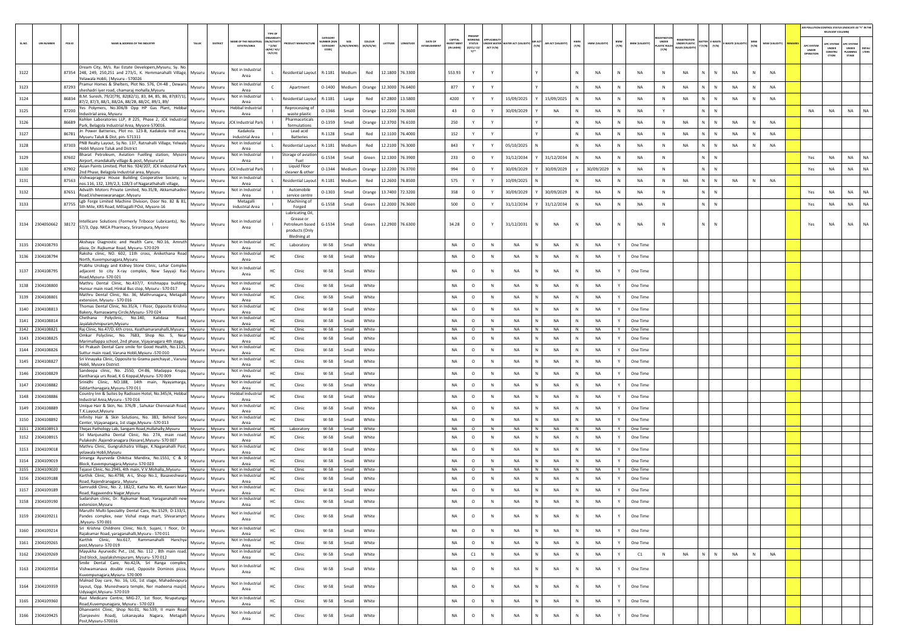|          |                               |                                                                                                                                                             |        |                  |                                               |                                                            |                                                                      |                                           |                |                     |                 |         |                        |                                          |                                                  |           |                                        |        |                        |              |                 |              |                      |                                     |                                                            |                                      |             |              |                |                                | AIR POLLUTION CONTROL STATUS (INDICATE AS "Y" IN THI<br>RELEVANT COLUMN |                                         |               |
|----------|-------------------------------|-------------------------------------------------------------------------------------------------------------------------------------------------------------|--------|------------------|-----------------------------------------------|------------------------------------------------------------|----------------------------------------------------------------------|-------------------------------------------|----------------|---------------------|-----------------|---------|------------------------|------------------------------------------|--------------------------------------------------|-----------|----------------------------------------|--------|------------------------|--------------|-----------------|--------------|----------------------|-------------------------------------|------------------------------------------------------------|--------------------------------------|-------------|--------------|----------------|--------------------------------|-------------------------------------------------------------------------|-----------------------------------------|---------------|
| SL.NO.   | <b>UIN NUMBER</b>             | $PCB$ ID<br>NAME & ADDRESS OF THE INDUSTR'                                                                                                                  | TALUK  | DISTRICT         | ME OF THE INDU<br><b>ESTATES/AREA</b>         | RGANISA<br><b>ACTIV</b><br>$*(1/M)^*$<br>B/HC/ H<br>CE/C/O | <b>OUCT MANUFACTU</b>                                                | CATEGORY<br>MBER (X)<br>CATEGORY<br>CODET | A/S/MICRO      | coLour<br>(R/O/G/W) | LATITUDE        | ONGITUD | DATE OF<br>ESTABLISHME | CAPITAL<br><b>VEST MEN</b><br>(IN LAKHS) | PRESENT<br>WORKING<br><b>STATUS</b><br>(0/C1/C2) | ACT (Y/N) | <b>NDER WATER WATER ACT (VALIDITY)</b> | (Y/N)  | AIR ACT (VALIDITY)     | HWM<br>(Y/N) | HWM (VALIDITY)  | BMW<br>(Y/N) | BMW (VALIDITY)       | UNDER<br><b>ASTIC RULE</b><br>(Y/N) | <b>FGISTRATI</b><br>UNDER PLASTIC<br><b>NULES IVALIDIT</b> | ATTER E-WASTE<br>' (Y/N)       (Y/N) | WASTE (VALI | MSW<br>(Y/N) | MSW (VALIDITY) | APC SYSTE<br>UNDER<br>OPERATIO | <b>APC SYSTEM</b><br>UNDER<br>CONSTRU<br>CTION                          | APC SYSTER<br>UNDER<br>LANNING<br>STAGE | DEFA<br>LTERS |
| 3122     |                               | Dream City, M/s. Rai Estate Developers, Mysuru, Sy. No<br>87354 248, 249, 250, 251 and 273/1, K. Hemmanahalli Village,<br>Yelawala Hobli,   Mysuru - 570026 | Mysuru | Mysuru           | Not in Industrial<br>Area                     |                                                            | Residential Layout                                                   | R-1181                                    | Medium         | Red                 | 12.1800 76.3300 |         |                        | 553.93                                   | Y                                                |           |                                        |        |                        |              | <b>NA</b>       | N            | NA                   | N                                   | <b>NA</b>                                                  | N<br>$\mathbb N$                     | <b>NA</b>   |              | <b>NA</b>      |                                |                                                                         |                                         |               |
| 3123     |                               | Pramur Homes & Shelters, Plot No. 576, CH-48, Dewan:<br>87293<br>sheshadri iyer road, chamaraj mohalla,Mysuru                                               | Mysuru | Mysuru           | Not in Industrial<br>Area                     | $\mathsf{C}$                                               | Apartment                                                            | $O-1400$                                  | Medium         | Orange              | 12,3000 76,6400 |         |                        | 877                                      | Y                                                | Y         |                                        |        |                        | N            | <b>NA</b>       | N            | NA                   | N                                   | <b>NA</b>                                                  | N<br>$\,$ N                          | <b>NA</b>   | N            | <b>NA</b>      |                                |                                                                         |                                         |               |
| 3124     |                               | B.M. Suresh, 79/2(79), 82(82/1), 83, 84, 85, 86, 87(87/1),<br>86834<br>87/2, 87/3, 88/1, 88/2A, 88/2B, 88/2C, 89/1, 89/                                     | Mysuru | Mysuru           | Not in Industrial<br>Area                     |                                                            | Residential Layout                                                   | R-1181                                    | Large          | Red                 | 67.2800 13.5800 |         |                        | 4200                                     | Y                                                | Y         | 15/09/2025                             |        | 15/09/2025             | N            | NA              | N            | NA                   | N                                   | <b>NA</b>                                                  | N.<br>$\mathbb N$                    | NA          |              | <b>NA</b>      |                                |                                                                         |                                         |               |
| 3125     |                               | Yes Polymers, No.306/B Opp HP Gas Plant, Hebbal<br>87200<br>Industrial area, Mysuru                                                                         | Mysuru | Mysuru           | Hebbal Industria<br>Area                      |                                                            | Reprocessing of<br>waste plastic                                     | $O-1366$                                  | Small          | Orange              | 12.2200 76.3600 |         |                        | 43                                       | $\circ$                                          |           | 30/09/2029                             |        | <b>NA</b>              | N            | <b>NA</b>       | N            | <b>NA</b>            | Y                                   |                                                            | $N$ $N$                              |             |              |                | <b>NA</b>                      | NA                                                                      | <b>NA</b>                               | <b>NA</b>     |
| 3126     |                               | Kohlen Laboratories LLP, # 225, Phase 2, JCK Industrial<br>86689<br>Park, Belagola Industrial Area, Mysore-570016.                                          | Mysuru | Mysuru           | <b>JCK Industrial Park</b>                    |                                                            | Pharmaceticals<br>formulations                                       | 0-1359                                    | Small          | Orange              | 12.3700 76.6100 |         |                        | 250                                      | Y                                                | Y         |                                        |        |                        | N            | NA              | N            | NA                   | N                                   | NA                                                         | N<br>N                               | NA          | N            | <b>NA</b>      |                                |                                                                         |                                         |               |
| 3127     |                               | Jn Power Batteries, Plot no. 123-B, Kadakola Indl area,<br>86781<br>Mysuru Taluk & Dist, pin-571311                                                         | Mysuru | Mysuru           | Kadakola<br><b>Industrial Area</b>            |                                                            | Lead acid<br><b>Batteries</b>                                        | R-1128                                    | Small          | Red                 | 12.1100 76.4000 |         |                        | 152                                      |                                                  |           |                                        |        |                        |              | <b>NA</b>       | N            | NA                   | N                                   | NA                                                         | N.<br>${\sf N}$                      | NA          |              | NA             |                                |                                                                         |                                         |               |
| 3128     |                               | PNB Realty Layout, Sy.No. 137, Ratnahalli Village, Yelwala<br>87303<br>Hobli Mysore Taluk and District                                                      | Mysuru | Mysuru           | Not in Industrial<br>Area                     |                                                            | Residential Layout                                                   | R-1181                                    | Medium         | Red                 | 12.2100 76.3000 |         |                        | 843                                      |                                                  | Y         | 05/10/2025                             |        |                        | $\mathbb{N}$ | <b>NA</b>       | N            | NA                   | N                                   | <b>NA</b>                                                  | N<br>$\mathbb N$                     | <b>NA</b>   | N            | <b>NA</b>      |                                |                                                                         |                                         |               |
| 3129     |                               | Bharat Petroleum, Aviation Fuelling station, Mysor<br>87602<br>Airport, mandakally village & post, Mysuru tal                                               | Mysuru | Mysuru           | Not in Industria<br>Area                      |                                                            | storage of aviatio<br>Fuel                                           | $G-1534$                                  | Small          | Green               | 12.1300 76.3900 |         |                        | 233                                      | $\circ$                                          |           | 31/12/2034                             |        | 31/12/2034             |              | <b>NA</b>       | N            | NA                   | $\mathbb{N}$                        |                                                            | N.<br>${\sf N}$                      |             |              |                | Yes                            | NA                                                                      | NA                                      | <b>NA</b>     |
| 3130     |                               | Asian Paints Limited, Plot No. 924/207, JCK Industrial Park<br>87902<br>2nd Phase, Belagola Industrial area, Mysuru                                         | Mysuru | Mysuru           | <b>JCK Industrial Park</b>                    |                                                            | Liquid Floor<br>leaner & other                                       | $O-1344$                                  | Medium         | Orange              | 12.2200 76.3700 |         |                        | 994                                      | $\circ$                                          |           | 30/09/2029                             |        | 30/09/2029             |              | 30/09/2029      | N            | <b>NA</b>            | N                                   |                                                            | $N$ $N$                              |             |              |                | Yes                            | <b>NA</b>                                                               | <b>NA</b>                               | <b>NA</b>     |
| $3131\,$ |                               | /ishwapragna House Building Cooperative Society, sy<br>87563<br>nos.116, 132, 139/2,3, 128/3 of Nagarathahalli village,                                     | Mysuru | Mysuru           | Not in Industrial<br>Area                     |                                                            | Residential Layou                                                    | R-1181                                    | Medium         | Red                 | 12.2600 76.8500 |         |                        | 575                                      | Y                                                | Y         | 10/09/2025                             |        |                        |              | <b>NA</b>       | N            | <b>NA</b>            | N                                   | <b>NA</b>                                                  | N<br>$\mathbb N$                     | <b>NA</b>   |              | <b>NA</b>      |                                |                                                                         |                                         |               |
| 3132     |                               | Advaith Motors Private Limited, No.35/B, Akkamahadevi<br>87651<br>Road, Vishweswaranagar, Mysuru                                                            | Mysuru | Mysuru           | Not in Industrial<br>Area                     |                                                            | Automobile<br>service centre                                         | $0 - 1303$                                | Small          | Orange              | 13.7400 72.3200 |         |                        | 358                                      | $\circ$                                          |           | 30/09/2029                             |        | 30/09/2029             |              | <b>NA</b>       | N            | NA                   | N                                   |                                                            | N.<br>${\sf N}$                      |             |              |                | Yes                            | NA                                                                      | NA                                      | NA            |
| 3133     |                               | Lgb Forge Limited Machine Division, Door No. 82 & 81,<br>87755<br>5th Mile, KRS Road, MEtagalli POst, Mysore-16                                             | Mysuru | Mysuru           | Metagalli<br><b>Industrial Area</b>           |                                                            | Machining of<br>Forged<br><b>Lubricating Oil</b>                     | $G-1558$                                  | Small          | Green               | 12.2000 76.3600 |         |                        | 500                                      | $\circ$                                          | Y         | 31/12/2034                             |        | 31/12/2034             | N            | <b>NA</b>       | N            | <b>NA</b>            | $\mathbb{N}$                        |                                                            | N<br>$\,$ N                          |             |              |                | Yes                            | NA                                                                      | <b>NA</b>                               | <b>NA</b>     |
|          |                               | 3134 2304050662 38172 Intellicare Solutions (Formerly Tribocor Lubricants), No.<br>57/3, Opp. NKCA Pharmacy, Srirampura, Mysore                             | Mysuru | Mysuru           | Not in Industrial<br>Area                     |                                                            | Grease or<br>Petroleum based<br>products (Only<br><b>Bledning at</b> | $G-1534$                                  | Small          | Green               | 12.2900 76.6300 |         |                        | 34.28                                    | $\circ$                                          | Y         | 31/12/2031                             |        | NA                     | N            | <b>NA</b>       | N            | NA                   | $\,$ N                              |                                                            | N.<br>$\mathbb{N}$                   |             |              |                | Yes                            | <b>NA</b>                                                               | <b>NA</b>                               | <b>NA</b>     |
| 3135     | 2304108793                    | Akshaya Diagnostic and Health Care, NO.16, Amruth<br>plaza, Dr. Rajkumar Road, Mysuru- 570 029                                                              | Mysuru | Mysuru           | Not in Industrial<br>Area                     | HC                                                         | Laboratory                                                           | W-58                                      | Small          | White               |                 |         |                        | <b>NA</b>                                | $\circ$                                          | N         | NA                                     |        | NA                     |              | <b>NA</b>       |              | One Time             |                                     |                                                            |                                      |             |              |                |                                |                                                                         |                                         |               |
| 3136     | 2304108794                    | Raksha clinic, NO. 602, 11th cross, Anikethana Road<br>North, Kuvempunagara, Mysuru                                                                         | Mysuru | Mysuru           | Not in Industria<br>Area                      | HC                                                         | Clinic                                                               | W-58                                      | Small          | White               |                 |         |                        | <b>NA</b>                                | $\circ$                                          | N         | <b>NA</b>                              | N      | <b>NA</b>              | N            | <b>NA</b>       | Y            | One Time             |                                     |                                                            |                                      |             |              |                |                                |                                                                         |                                         |               |
| 3137     | 2304108795                    | Prabhu Urology and Kidney Stone Clinic, Lehar Comple:<br>adjacent to city X-ray complex, New Sayyaji Rao Mysuru                                             |        | Mysuru           | Not in Industrial<br>Area                     | HC                                                         | Clinic                                                               | W-58                                      | Small          | White               |                 |         |                        | <b>NA</b>                                | $\circ$                                          | N         | <b>NA</b>                              |        | <b>NA</b>              | N            | <b>NA</b>       |              | One Time             |                                     |                                                            |                                      |             |              |                |                                |                                                                         |                                         |               |
|          | 3138 2304108800               | Road, Mysuru-570021<br>Mathru Dental Clinic, No.437/7, Krishnappa building,                                                                                 | Mysuru | Mysuru           | Not in Industria                              | HC                                                         | Clinic                                                               | W-58                                      | Small          | White               |                 |         |                        | <b>NA</b>                                | $\circ$                                          | N         | <b>NA</b>                              | N.     | <b>NA</b>              | N            | <b>NA</b>       | Y            | One Time             |                                     |                                                            |                                      |             |              |                |                                |                                                                         |                                         |               |
|          | 3139 2304108801               | Hunsur main road, Hinkal Bus stop, Mysuru - 570 017<br>Mathru Dental Clinic, No. 36, Mathrunagara, Metagalli                                                | Mysuru | Mysuru           | Area<br>Not in Industria                      | HC                                                         | Clinic                                                               | W-58                                      | Small          | White               |                 |         |                        | <b>NA</b>                                | $\circ$                                          | N         | <b>NA</b>                              | N      | <b>NA</b>              | N            | <b>NA</b>       | Y            | One Time             |                                     |                                                            |                                      |             |              |                |                                |                                                                         |                                         |               |
| 3140     | 2304108813                    | extension. Mysuru - 570 016<br>Fhomas Dental Clinic, No.35/A, I Floor, Opposite Krishna                                                                     | Mysuru | Mysuru           | Area<br>Not in Industrial                     | HC                                                         | Clinic                                                               | W-58                                      | Small          | White               |                 |         |                        | NA                                       | $\circ$                                          | N         | NA                                     | N      | NA                     | N            | <b>NA</b>       |              | One Time             |                                     |                                                            |                                      |             |              |                |                                |                                                                         |                                         |               |
|          | 3141 2304108814               | Bakery, Ramaswamy Circle, Mysuru-570024<br>Chethana Polyclinic, No.140, Kalidasa<br>Road.                                                                   | Mysuru | Mysuru           | Area<br>Not in Industria                      | HC                                                         | Clinic                                                               | W-58                                      | Small          | White               |                 |         |                        | <b>NA</b>                                | $\circ$                                          | N         | <b>NA</b>                              | N      | <b>NA</b>              |              | <b>NA</b>       | Y            | One Time             |                                     |                                                            |                                      |             |              |                |                                |                                                                         |                                         |               |
|          | 3142 2304108821               | Jayalakshmipuram, Mysuru<br>Rai Clinic, No.47/D, 6th cross, Kyathamaranahalli, Mysuru   Mysuru                                                              |        | Mysuru           | Area<br>Not in Industrial                     | HC                                                         | Clinic                                                               | W-58                                      | Small          | White               |                 |         |                        | NA                                       | $\circ$                                          | N         | <b>NA</b>                              | N      | <b>NA</b>              | N            | <b>NA</b>       | Y            | One Time             |                                     |                                                            |                                      |             |              |                |                                |                                                                         |                                         |               |
| 3143     | 2304108825                    | Omkar Polyclinic, No. 7683, Shop No. 5, Near<br>Marimallappa school, 2nd phase, Vijayanagara 4th stage,                                                     | Mysuru | Mysuru           | Not in Industria<br>Area                      | HC                                                         | Clinic                                                               | W-58                                      | Small          | White               |                 |         |                        | NA                                       | $\circ$                                          | N         | NA                                     |        | NA                     | Ν            | <b>NA</b>       |              | One Time             |                                     |                                                            |                                      |             |              |                |                                |                                                                         |                                         |               |
|          | 3144 2304108826               | Sri Prakash Dental Care smile for Good Health, No.1125,<br>Suttur main road, Varuna Hobli, Mysuru -570 010                                                  | Mysuru | Mysuru           | Not in Industria<br>Area                      | HC                                                         | Clinic                                                               | W-58                                      | Small          | White               |                 |         |                        | <b>NA</b>                                | $\circ$                                          | N         | NA                                     | N      | <b>NA</b>              | $\mathbb{N}$ | <b>NA</b>       | Y            | One Time             |                                     |                                                            |                                      |             |              |                |                                |                                                                         |                                         |               |
| 3145     | 2304108827                    | Sri Vinayaka Clinic, Opposite to Grama panchayat, Varuna<br>Hobli, Mysore District                                                                          | Mysuru | Mysuru           | Not in Industria<br>Area                      | HC                                                         | Clinic                                                               | W-58                                      | Small          | White               |                 |         |                        | <b>NA</b>                                | $\circ$                                          | N         | <b>NA</b>                              | N      | <b>NA</b>              | N            | NA              | Y            | One Time             |                                     |                                                            |                                      |             |              |                |                                |                                                                         |                                         |               |
| 3146     | 2304108829                    | Sandeepa clinic, No. 2550, CH-86, Madappa Krupa,<br>Kantharaja urs Road, K G Koppal, Mysuru- 570 009                                                        | Mysuru | Mysuru           | Not in Industria<br>Area                      | нc                                                         | Clinic                                                               | W-58                                      | Small          | White               |                 |         |                        | <b>NA</b>                                | $\circ$                                          | N         | <b>NA</b>                              | N      | <b>NA</b>              | N            | <b>NA</b>       | Y            | One Time             |                                     |                                                            |                                      |             |              |                |                                |                                                                         |                                         |               |
|          | 3147 2304108882               | Srinidhi Clinic, NO.188, 14th main, Nyayamarga,<br>Siddarthanagara,Mysuru-570 011                                                                           | Mysuru | Mysuru           | Not in Industria<br>Area                      | HC                                                         | Clinic                                                               | W-58                                      | Small          | White               |                 |         |                        | <b>NA</b>                                | $\circ$                                          | N         | NA                                     | N      | NA                     | N            | <b>NA</b>       | Y            | One Time             |                                     |                                                            |                                      |             |              |                |                                |                                                                         |                                         |               |
| 3148     | 2304108886                    | Country Inn & Suites by Radisson Hotel, No.345/A, Hebbal<br>Industrial Area, Mysuru - 570 016                                                               | Mysuru | Mysuru           | <b>Hebbal Industrial</b><br>Area              | HC                                                         | Clinic                                                               | W-58                                      | Small          | White               |                 |         |                        | NA                                       | $\circ$                                          | N         | NA                                     |        | NA                     | N            | NA              |              | One Time             |                                     |                                                            |                                      |             |              |                |                                |                                                                         |                                         |               |
|          | 3149 2304108889               | Unique Hair & Skin, No. 376/B, Sahukar Chennaiah Road,<br>T.K.Layout, Mysuru                                                                                | Mysuru | Mysuru           | Not in Industria<br>Area<br>Not in Industrial | HC                                                         | Clinic                                                               | W-58                                      | Small          | White               |                 |         |                        | <b>NA</b>                                | $\circ$                                          | N         | <b>NA</b>                              | N      | NA                     | $\mathbb{N}$ | <b>NA</b>       | Y            | One Time             |                                     |                                                            |                                      |             |              |                |                                |                                                                         |                                         |               |
|          | 3150 2304108892               | nfinity Hair & Skin Solutions, No. 383, Behind Sony<br>Center, Vijayanagara, 1st stage, Mysuru -570 013                                                     | Mysuru | Mysuru           | Area                                          | HC<br>HC.                                                  | Clinic                                                               | W-58                                      | Small          | White               |                 |         |                        | <b>NA</b>                                | $\circ$                                          | N<br>N    | <b>NA</b>                              | N<br>N | <b>NA</b>              | N<br>N       | NA<br><b>NA</b> | Y<br>Y       | One Time             |                                     |                                                            |                                      |             |              |                |                                |                                                                         |                                         |               |
| 3152     | 3151 2304108913<br>2304108915 | Thejas Pathology Lab, Sangam Road, Hullahally, Mysuru Mysuru<br>Sri Manjunatha Dental Clinic, No. 27A, main road,                                           | Mysuru | Mysuru<br>Mysuru | Not in Industrial<br>Not in Industria         | HC                                                         | Laboratory<br>Clinic                                                 | W-58<br>W-58                              | Small<br>Small | White<br>White      |                 |         |                        | NA<br><b>NA</b>                          | $\circ$<br>$\circ$                               | N         | <b>NA</b><br><b>NA</b>                 | N      | <b>NA</b><br><b>NA</b> | N            | <b>NA</b>       | Y            | One Time<br>One Time |                                     |                                                            |                                      |             |              |                |                                |                                                                         |                                         |               |
|          | 3153 2304109018               | Pulakeshi , Rajendranagara (Kesare), Mysuru - 570 007<br>Mathru Clinic, Gungralchatra Village, K.Naganahalli Post,                                          | Mysuru | Mysuru           | Area<br>Not in Industrial                     | HC                                                         | Clinic                                                               | W-58                                      | Small          | White               |                 |         |                        | <b>NA</b>                                | $\circ$                                          | N         | <b>NA</b>                              | N      | <b>NA</b>              | N            | <b>NA</b>       | Y            | One Time             |                                     |                                                            |                                      |             |              |                |                                |                                                                         |                                         |               |
| 3154     | 2304109019                    | yelawala Hobli, Mysuru<br>Sriranga Ayurveda Chikitsa Mandira, No.1551, C & D                                                                                | Mysuru | Mysuru           | Area<br>Not in Industria                      | HC                                                         | Clinic                                                               | W-58                                      | Small          | White               |                 |         |                        | <b>NA</b>                                | $\circ$                                          | N         | <b>NA</b>                              | N      | <b>NA</b>              | N            | NA              | Y            | One Time             |                                     |                                                            |                                      |             |              |                |                                |                                                                         |                                         |               |
|          | 3155 2304109020               | Block, Kuvempunagara, Mysuru-570 023<br>Tejasvi Clinic, No.2945, 4th main, V.V.Mohalla,, Mysuru-   Mysuru   Mysuru                                          |        |                  | Area<br>Not in Industrial                     | HC                                                         | Clinic                                                               | W-58                                      | Small          | White               |                 |         |                        | NA                                       | $\circ$                                          | N         | NA                                     | N      | NA                     | N            | NA              | Y            | One Time             |                                     |                                                            |                                      |             |              |                |                                |                                                                         |                                         |               |
| 3156     | 2304109188                    | Karthik Clinic, No.4798, A-L, Shop No.1, Basaveshwara<br>Road, Rajendranagara, Mysuru                                                                       | Mysuru | Mysuru           | Not in Industrial<br>Area                     | HC                                                         | Clinic                                                               | W-58                                      | Small          | White               |                 |         |                        | <b>NA</b>                                | $\circ$                                          | N         | <b>NA</b>                              |        | <b>NA</b>              | N            | <b>NA</b>       | Y            | One Time             |                                     |                                                            |                                      |             |              |                |                                |                                                                         |                                         |               |
| 3157     | 2304109189                    | Samruddi Clinic, No. 2, 182/2, Katha No. 49, Kaveri Main<br>Road, Ragavendra Nagar, Mysuru                                                                  | Mysuru | Mysuru           | Not in Industria<br>Area                      | HC                                                         | Clinic                                                               | W-58                                      | Small          | White               |                 |         |                        | <b>NA</b>                                | $\circ$                                          | N         | NA                                     | N      | <b>NA</b>              | N            | <b>NA</b>       | Y            | One Time             |                                     |                                                            |                                      |             |              |                |                                |                                                                         |                                         |               |
|          | 3158 2304109190               | Sudarshan clinic, Dr. Rajkumar Road, Yaraganahalli new<br>extension, Mysuru                                                                                 | Mysuru | Mysuru           | Not in Industria<br>Area                      | HC                                                         | Clinic                                                               | W-58                                      | Small          | White               |                 |         |                        | <b>NA</b>                                | $\circ$                                          | N         | <b>NA</b>                              | N      | NA                     | N            | <b>NA</b>       |              | One Time             |                                     |                                                            |                                      |             |              |                |                                |                                                                         |                                         |               |
|          | 3159 2304109211               | Maruthi Multi-Speciality Dental Care, No.1529, D-133/1,<br>Pandes complex, near Vishal mega mart, Shivaramprt Mysuru<br>Mysuru-570001                       |        | Mysuru           | Not in Industrial<br>Area                     | нc                                                         | Clinic                                                               | W-58                                      | Small          | White               |                 |         |                        | NA                                       | $\circ$                                          | N         | NA                                     | N      | NA                     | N            | <b>NA</b>       | $\mathbf{v}$ | One Time             |                                     |                                                            |                                      |             |              |                |                                |                                                                         |                                         |               |
|          | 3160 2304109214               | Sri Krishna Childrens Clinic, No.9, Sujani, I floor, Dr. Mysuru<br>Rajakumar Road, yaraganahalli, Mysuru - 570 011                                          |        | Mysuru           | Not in Industrial<br>Area                     | HC                                                         | Clinic                                                               | W-58                                      | Small          | White               |                 |         |                        | NA                                       | $\circ$                                          | N         | NA                                     | N      | <b>NA</b>              | N            | <b>NA</b>       | Y            | One Time             |                                     |                                                            |                                      |             |              |                |                                |                                                                         |                                         |               |
| 3161     | 2304109265                    | Karthik Clinic, No.617, Rammanahalli Hanchya<br>post, Mysuru-570019                                                                                         | Mysuru | Mysuru           | Not in Industrial<br>Area                     | HC                                                         | Clinic                                                               | W-58                                      | Small          | White               |                 |         |                        | NA                                       | $\circ$                                          | $\,$ N    | NA                                     | N      | NA                     | ${\sf N}$    | NA              | Y            | One Time             |                                     |                                                            |                                      |             |              |                |                                |                                                                         |                                         |               |
|          | 3162 2304109269               | Mayukha Ayurvedic Pvt., Ltd, No. 112, 8th main road,<br>2nd block, Jayalakshmipuram, Mysuru- 570 012<br>Smile Dental Care, No.42/A, Sri Ranga complex,      | Mysuru | Mysuru           | Not in Industrial<br>Area                     | HC                                                         | Clinic                                                               | W-58                                      | Small          | White               |                 |         |                        | NA                                       | C1                                               | N         | NA                                     | N      | NA                     | N            | <b>NA</b>       | Y            | C1                   | $\mathbb N$                         | NA                                                         | $N$ $N$                              | <b>NA</b>   | N            | NA             |                                |                                                                         |                                         |               |
|          | 3163 2304109354               | Vishwamanava double road, Opposite Dominos pizza, Mysuru<br>Kuvempunagara, Mysuru- 570 009                                                                  |        | Mysuru           | Not in Industrial<br>Area                     | HC                                                         | Clinic                                                               | W-58                                      | Small          | White               |                 |         |                        | NA                                       | $\circ$                                          | N         | NA                                     |        | NA                     | N            | <b>NA</b>       | Y            | One Time             |                                     |                                                            |                                      |             |              |                |                                |                                                                         |                                         |               |
|          | 3164 2304109359               | Malnad Day care, No. 16, LIG, 1st stage, Mahadevapura<br>layout, Opp. Muneshwara temple, Ner madeena masjid, Mysuru<br>Udyaagiri, Mysuru- 570 019           |        | Mysuru           | Not in Industrial<br>Area                     | HC                                                         | Clinic                                                               | W-58                                      | Small          | White               |                 |         |                        | NA                                       | $\circ$                                          | N         | NA                                     | N      | NA                     | ${\sf N}$    | <b>NA</b>       | Y            | One Time             |                                     |                                                            |                                      |             |              |                |                                |                                                                         |                                         |               |
|          | 3165 2304109360               | Ravi Medicare Centre, MIG-27, 1st floor, Nrupatunga<br>Road, Kuvempunagara, Mysuru - 570 023                                                                | Mysuru | Mysuru           | Not in Industrial<br>Area                     | HC                                                         | Clinic                                                               | W-58                                      | Small          | White               |                 |         |                        | NA                                       | $\circ$                                          | $\,$ N    | NA                                     | N      | NA                     | Ν            | <b>NA</b>       | Y            | One Time             |                                     |                                                            |                                      |             |              |                |                                |                                                                         |                                         |               |
|          | 3166 2304109425               | Dhanvantri Clinic, Shon No.01, No.539, II main Road<br>(Sanjeevini Road), Lokanayaka Nagara, Metagalli Mysuru<br>Post, Mysuru-570016                        |        | Mysuru           | Not in Industrial<br>Area                     | HC                                                         | Clinic                                                               | W-58                                      | Small          | White               |                 |         |                        | NA                                       | $\circ$                                          | $\,$ N    | NA                                     | N      | NA                     | N            | <b>NA</b>       | Y            | One Time             |                                     |                                                            |                                      |             |              |                |                                |                                                                         |                                         |               |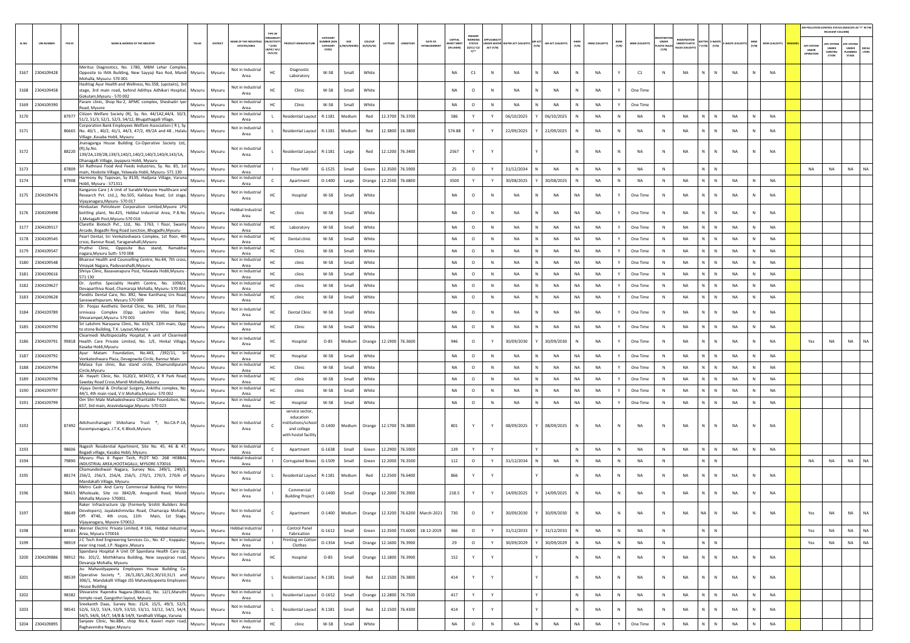|        |                   |        |                                                                                                                                                                                                                             |               |          |                                                | TYPE O                                   |                                                               |                                  |                        |                        |                 |                 |                                   |                                                |                                                           |                  |                                        |   |                    |              |                 |              |                       |                                       |                                                |                                       |               |              |                 | AIR POLLUTION CONTROL STATUS (INDICATE AS "Y" IN THI | RELEVANT COLUM                                 |                                          |                       |
|--------|-------------------|--------|-----------------------------------------------------------------------------------------------------------------------------------------------------------------------------------------------------------------------------|---------------|----------|------------------------------------------------|------------------------------------------|---------------------------------------------------------------|----------------------------------|------------------------|------------------------|-----------------|-----------------|-----------------------------------|------------------------------------------------|-----------------------------------------------------------|------------------|----------------------------------------|---|--------------------|--------------|-----------------|--------------|-----------------------|---------------------------------------|------------------------------------------------|---------------------------------------|---------------|--------------|-----------------|------------------------------------------------------|------------------------------------------------|------------------------------------------|-----------------------|
| SL.NO. | <b>UIN NUMBER</b> | PCB ID | NAME & ADDRESS OF THE INDUSTRY                                                                                                                                                                                              | TALUK         | DISTRICT | AME OF THE INDU:<br>ESTATES/AREA               | VACTIV<br>$*$ (1/M/<br>в/нс/ н<br>CE/C/O | <b>OUCT MANUFACTUR</b>                                        | CATEGORY<br>MBER (XC<br>CATEGORY | /M/S/MICRO]            | coLous<br>(R/O/G/W)    | LATITUDE        | LONGITUDE       | DATE OF<br><b>ESTABLISHMEN</b>    | <b>APITA</b><br><b>IVEST MEN</b><br>(IN LAKHS) | PRESENT<br><b>STATUS</b><br>(0/C1/C2/<br>$Y$ <sup>*</sup> | ACT (Y/N)        | UNDER WATER WATER ACT (VALIDITY) (Y/N) |   | AIR ACT (VALIDITY) | (N/N)        | HWM (VALIDITY)  | BMW<br>(Y/N) | <b>BMW (VALIDITY)</b> | UNDER<br><b>LASTIC RULE:</b><br>(Y/N) | <b>UNDER PLASTIC</b><br><b>BULES (VALIDIT)</b> | <b>TTER E-WAST</b><br>$(Y/N)$ $(Y/N)$ | -WASTE (VALID | (Y/N)        | MSW (VALIDITY)  | <b>APC SYSTEM</b><br>UNDER<br>OPERATIO               | <b>APC SYSTEM</b><br>UNDER<br>CONSTRU<br>crios | APC SYSTER<br>UNDER<br>PLANNING<br>STAGE | <b>DEFAU</b><br>LTERS |
|        | 3167 2304109428   |        | Meritus Diagnostics, No. 1780, MBM Lehar Complex,<br>Opposite to IMA Building, New Sayyaji Rao Rod, Mandi Mysuru   Mysuru<br>Mohalla, Mysuru-570001                                                                         |               |          | Not in Industrial<br>Area                      | HC                                       | Diagnostic<br>Laboratory                                      | W-58                             | Small                  | White                  |                 |                 |                                   | <b>NA</b>                                      | $\mathsf{C1}$                                             | $\mathbb{N}$     | <b>NA</b>                              |   | <b>NA</b>          | N            | <b>NA</b>       | Y            | C1                    | N                                     | <b>NA</b>                                      | N.<br>$\mathbb{N}$                    | <b>NA</b>     | N            | <b>NA</b>       |                                                      |                                                |                                          |                       |
|        | 3168 2304109458   |        | Hashtag Ayur Health and Wellness, No.358, (upstairs), 3rd<br>stage, 3rd main road, behind Adithya Adhikari Hospital, Mysuru<br>Gokulam, Mysuru - 570 002                                                                    |               | Mysuru   | Not in Industrial<br>Area                      | HC                                       | Clinic                                                        | W-58                             | Small                  | White                  |                 |                 |                                   | NA                                             | $\circ$                                                   | $\mathbb N$      | <b>NA</b>                              |   | NA                 | $\mathbb N$  | <b>NA</b>       | Y            | One Time              |                                       |                                                |                                       |               |              |                 |                                                      |                                                |                                          |                       |
|        | 3169 2304109390   |        | Param clinic, Shop No-2, APMC complex, Sheshadri Iyer<br>Road, Mysore                                                                                                                                                       | Mysuru        | Mysuru   | Not in Industrial<br>Area                      |                                          | Clinic                                                        | W-58                             | Small                  | White                  |                 |                 |                                   | NA                                             | $\circ$                                                   | $\mathbb N$      | <b>NA</b>                              |   | <b>NA</b>          | $\mathbb{N}$ | <b>NA</b>       | Y            | One Time              |                                       |                                                |                                       |               |              |                 |                                                      |                                                |                                          |                       |
| 3170   |                   | 87977  | Citizen Welfare Society (R), Sy. No. 44/1A2,44/4, 50/3, Mysuru<br>51/2, 51/3, 52/1, 52/3, 54/12, Bhugathagalli Vllage,                                                                                                      |               | Mysuru   | Not in Industria<br>Area                       |                                          | <b>Residential Layout</b>                                     | R-1181                           | Medium                 | Red                    |                 | 12.3700 76.3700 |                                   | 586                                            | Y                                                         | Y                | 06/10/2025                             |   | 06/10/2025         | N            | <b>NA</b>       | N            | NA                    | N                                     | NA                                             | N.<br>$\mathbb{N}$                    | <b>NA</b>     | $\mathsf{N}$ | NA              |                                                      |                                                |                                          |                       |
| 3171   |                   |        | Corporation Bank Employees Welfare Association (R), Sy.<br>86665 No. 40/1 , 40/2, 41/1, 44/3, 47/2, 49/2A and 48 , Halalu Mysuru<br>Village , Kasaba Hobli, Mysuru                                                          |               | Mysuru   | Not in Industrial<br>Area                      | L.                                       | Residential Layout                                            | R-1181                           | Medium                 | Red                    | 12.3800 16.3800 |                 |                                   | 574.88                                         | Y                                                         | Y                | 22/09/2025                             |   | 22/09/2025         | N            | <b>NA</b>       | N            | <b>NA</b>             | N                                     | <b>NA</b>                                      | $\mathbb{N}$<br>N                     | NA            | N            | <b>NA</b>       |                                                      |                                                |                                          |                       |
| 3172   |                   | 88220  | Jnanaganga House Building Co-Operative Society Ltd,.<br>$(R)$ , Sy. No.<br>139/2A,139/2B,139/3,140/1,140/2,140/3,140/4,143/1A,                                                                                              | Mysuru Mysuru |          | Not in Industrial<br>Area                      |                                          | <b>Residential Layout</b>                                     | R-1181                           | Large                  | Red                    | 12.1200 76.3400 |                 |                                   | 2567                                           | Y                                                         | Y                |                                        |   |                    | N            | NA              | N            | NA                    | ${\sf N}$                             | NA                                             | $\mathbb{N}$<br>N                     | NA            | N            | <b>NA</b>       |                                                      |                                                |                                          |                       |
| 3173   |                   | 87809  | Dhanagalli Village, Jayapura Hobli, Mysuru<br>Sri Rathnavi Food And Feeds Industries, Sy. No. 85, 1st<br>main, Hoskote Village, Yelawala Hobli, Mysuru- 571 130                                                             | Mysuru Mysuru |          | Not in Industria                               |                                          | Flour Mill                                                    | $G-1525$                         | Small                  | Green                  | 12.3500 76.5900 |                 |                                   | 25                                             | $\circ$                                                   | Y                | 31/12/2034                             |   | NA                 | N            | NA              | N            | NA                    | N                                     |                                                | $\mathbb{N}$<br>N                     |               |              |                 | NA                                                   | NA                                             | <b>NA</b>                                | NA                    |
| 3174   |                   | 87908  | Harmony By Tapovan, Sy #139, Hadjana Village, Varuna<br>Hobli, Mysuru - 571311                                                                                                                                              | Mysuru        | Mysuru   | Area<br>Not in Industrial<br>Area              |                                          | Apartment                                                     | $O-1400$                         | Large                  | Orange                 | 12.2500 76.6800 |                 |                                   | 3500                                           | Y                                                         | Υ                | 30/08/2025                             |   | 30/08/2025         | N            | NA              | N            | <b>NA</b>             | N                                     | NA                                             | N<br>N                                | <b>NA</b>     | N            | <b>NA</b>       |                                                      |                                                |                                          |                       |
|        | 3175 2304109476   |        | Kangaroo Care ( A Unit of Surabhi Mysore Healthcare and<br>lesearch Pvt. Ltd.,), No.505, Kalidasa Road, 1st stage, Mysuru<br>Vijayanagara, Mysuru - 570 017                                                                 |               | Mysuru   | Not in Industrial<br>Area                      | HC                                       | Hospital                                                      | W-58                             | Small                  | White                  |                 |                 |                                   | NA                                             | $\circ$                                                   | N                | NA                                     |   | NA                 | NA           | <b>NA</b>       |              | One Time              | $\,$ N                                | NA                                             | N.<br>$\mathbb N$                     | NA            | N            | <b>NA</b>       |                                                      |                                                |                                          |                       |
|        | 3176 2304109498   |        | Hindustan Petroleum Corporation Limited, Mysore LPG<br>bottling plant, No.425, Hebbal Industrial Area, P.B.No. Mysuru<br>1, Metagalli Post, Mysuru-570 016                                                                  |               | Mysuru   | Hebbal Industrial<br>Area                      | HC                                       | clinic                                                        | W-58                             | Small                  | White                  |                 |                 |                                   | NA                                             | $\circ$                                                   | N                | <b>NA</b>                              |   | NA                 | <b>NA</b>    | <b>NA</b>       |              | One Time              | N                                     | NA                                             | $\mathbb N$<br>N                      | NA            | N            | <b>NA</b>       |                                                      |                                                |                                          |                       |
| 3177   | 2304109517        |        | Clarette Biotech Pvt., Ltd,. No. 1763, I floor, Swamy<br>Arcade, Bogadhi Ring Road Junction, Bhogadhi, Mysuru-                                                                                                              | Mysuru Mysuru |          | Not in Industria<br>Area                       | HC                                       | Laboratory                                                    | W-58                             | Small                  | White                  |                 |                 |                                   | NA                                             | $\circ$                                                   | N                | NA                                     |   | NA                 | NA           | NA              | Y            | One Time              | $\mathbb N$                           | <b>NA</b>                                      | N<br>$\mathbb{N}$                     | NA            | N            | NA              |                                                      |                                                |                                          |                       |
| 3178   | 2304109545        |        | Pearl Dental, Sri Venkateshwara Complex, 1st floor, 4th<br>cross, Bannur Road, Yaraganahalli, Mysuru                                                                                                                        | Mysuru        | Mysuru   | Not in Industrial<br>Area                      | HC                                       | Dental clinic                                                 | W-58                             | Small                  | White                  |                 |                 |                                   | NA                                             | $\circ$                                                   | $\,$ N           | NA                                     |   | NA                 | <b>NA</b>    | <b>NA</b>       | Y            | One Time              | $\,$ N                                | NA                                             | N<br>N                                | NA            | N            | <b>NA</b>       |                                                      |                                                |                                          |                       |
| 3179   | 2304109547        |        | Pruthvi Clinic, Opposite Bus stand, Ramabhai<br>nagara, Mysuru Suth-570 008                                                                                                                                                 | Mysuru        | Mysuru   | Not in Industrial<br>Area                      | HC                                       | Clinic                                                        | W-58                             | Small                  | White                  |                 |                 |                                   | NA                                             | $\circ$                                                   | $\,$ N           | <b>NA</b>                              |   | NA                 | NA           | <b>NA</b>       | Y            | One Time              | N                                     | NA                                             | N                                     | <b>NA</b>     | N            | <b>NA</b>       |                                                      |                                                |                                          |                       |
| 3180   | 2304109548        |        | Bhairavi Health and Counselling Centre, No.44, 7th cross, Mysuru<br>Vinayak Nagara, Paduvarahalli, Mysuru                                                                                                                   |               | Mysuru   | Not in Industria<br>Area                       | HC.                                      | clinic                                                        | W-58                             | Small                  | White                  |                 |                 |                                   | <b>NA</b>                                      | $\circ$                                                   | N                | <b>NA</b>                              |   | <b>NA</b>          | <b>NA</b>    | <b>NA</b>       | Y            | One Time              | N                                     | <b>NA</b>                                      | N.<br>$\,$ N                          | <b>NA</b>     | $\mathbb N$  | NA              |                                                      |                                                |                                          |                       |
|        | 3181 2304109616   |        | Shriya Clinic, Basavanapura Post, Yelawala Hobli, Mysuru -<br>571 130                                                                                                                                                       | Mysuru I      | Mysuru   | Not in Industrial<br>Area                      | HC                                       | clinic                                                        | W-58                             | Small                  | White                  |                 |                 |                                   | <b>NA</b>                                      | $\circ$                                                   | N                | <b>NA</b>                              |   | <b>NA</b>          | <b>NA</b>    | <b>NA</b>       | Y            | One Time              | N                                     | <b>NA</b>                                      | $\mathbb N$<br>N                      | <b>NA</b>     | N            | <b>NA</b>       |                                                      |                                                |                                          |                       |
| 3182   | 2304109627        |        | Dr. Jyothis Speciality Health Centre, No. 1098/2,<br>Devaparthiva Road, Chamaraja Mohalla, Mysuru- 570 004<br>Pandits Dental Care, No. 892, New Kantharaj Urs Road,                                                         | Mysuru        | Mysuru   | Not in Industria<br>Area<br>Not in Industrial  | HC                                       | clinic                                                        | W-58                             | Small                  | White                  |                 |                 |                                   | NA                                             | $\circ$                                                   | $\mathbb N$      | NA                                     |   | NA                 | <b>NA</b>    | NA              | Y            | One Time              | $\mathbb N$                           | NA                                             | N<br>$\mathbb{N}$                     | <b>NA</b>     | N            | NA              |                                                      |                                                |                                          |                       |
|        | 3183 2304109628   |        | Saraswathipuram, Mysuru 570 009<br>Dr. Poojas Aesthetic Dental Clinic, No. 1491, 1st Floor,                                                                                                                                 | Mysuru        | Mysuru   | Area                                           | HC                                       | clinic                                                        | W-58                             | Small                  | White                  |                 |                 |                                   | NA                                             | $\circ$                                                   | $\,$ N           | NA                                     |   | NA                 | <b>NA</b>    | <b>NA</b>       | Y            | One Time              | $\,$ N                                | NA                                             | N<br>$\,$ N                           | <b>NA</b>     | N            | <b>NA</b>       |                                                      |                                                |                                          |                       |
|        | 3184 2304109789   |        | inivasa Complex (Opp. Lakshmi Vilas Bank), Mysuru<br>Shivarampet, Mysuru-570 001                                                                                                                                            |               | Mysuru   | Not in Industrial<br>Area<br>Not in Industrial | HC                                       | <b>Dental Clinic</b>                                          | W-58                             | Small                  | White                  |                 |                 |                                   | NA                                             | $\circ$                                                   | $\mathbb N$      | NA                                     |   | NA                 | NA           | <b>NA</b>       |              | One Time              | $\mathbb N$                           | NA                                             | N.<br>$\mathbb{N}$                    | <b>NA</b>     | N            | <b>NA</b>       |                                                      |                                                |                                          |                       |
|        | 3185 2304109790   |        | Sri Lakshmi Narayana Clinic, No. 619/4, 13th main, Opp. Mysuru Mysuru<br>to stone Building, T.K. Layout, Mysuru<br>Clearmedi Multispeciality Hospital, A unit of Clearmedi                                                  |               |          | Area                                           | HC                                       | Clinic                                                        | W-58                             | Small                  | White                  |                 |                 |                                   | NA                                             | $\circ$                                                   | N                | NA                                     | N | NA                 | NA           | <b>NA</b>       | Y            | One Time              | N                                     | NA                                             | N<br>N                                | <b>NA</b>     | N            | NA              |                                                      |                                                |                                          |                       |
| 3186   | 2304109791        |        | 99818 Health Care Private Limited, No. 1/E, Hinkal Village, Mysuru<br>Kasaba Hobli, Mysuru<br>Ayur Matam Foundation, No.443, /392/11, Sri Mysuru                                                                            |               | Mysuru   | Not in Industrial<br>Area<br>Not in Industria  | HC                                       | Hospital                                                      | $O-85$                           | Medium                 | Orange                 | 12.1900 76.3600 |                 |                                   | 946                                            | $\circ$                                                   |                  | 30/09/2030                             |   | 30/09/2030         | N            | <b>NA</b>       |              | One Time              | $\,$ N                                | NA                                             | N.<br>$\mathbb{N}$                    | <b>NA</b>     |              | <b>NA</b>       | Yes                                                  | NA                                             | <b>NA</b>                                |                       |
|        | 3187 2304109792   |        | Venkateshwara Plaza, Devegowda Circle, Bannur Main<br>Malasa Eye clinic, Bus stand circle, Chamundipuram                                                                                                                    |               | Mysuru   | Area<br>Not in Industrial                      | HC                                       | Hospital                                                      | W-58                             | Small                  | White                  |                 |                 |                                   | NA                                             | $\circ$                                                   | $\,$ N           | NA                                     |   | NA                 | NA           | <b>NA</b>       | Y            | One Time              | N                                     | NA                                             | N<br>$\,$ N                           | <b>NA</b>     | N            | <b>NA</b>       |                                                      |                                                |                                          |                       |
| 3188   | 2304109794        |        | Circle, Mysuru<br>Al- Hayatt Clinic, No. 3120/2, M347/2, K R Park Road,                                                                                                                                                     | Mysuru        | Mysuru   | Area<br>Not in Industria                       | HC                                       | Clinic                                                        | W-58                             | Small                  | White                  |                 |                 |                                   | NA                                             | $\circ$                                                   | $\mathbb N$      | <b>NA</b>                              |   | NA                 | NA           | <b>NA</b>       | Y            | One Time              | N                                     | NA                                             | N                                     | <b>NA</b>     | N            | <b>NA</b>       |                                                      |                                                |                                          |                       |
| 3189   | 2304109796        |        | Sawday Road Cross, Mandi Mohalla, Mysuru<br>Vijaya Dental & Orofacial Surgery, Ankitha complex, No.                                                                                                                         | Mysuru        | Mysuru   | Area<br>Not in Industrial                      | HC.                                      | clinic                                                        | W-58                             | Small                  | White                  |                 |                 |                                   | <b>NA</b>                                      | $\circ$                                                   | N                | <b>NA</b>                              |   | <b>NA</b>          | <b>NA</b>    | <b>NA</b>       | Y            | One Time              | N                                     | <b>NA</b>                                      | N.<br>$\,$ N                          | <b>NA</b>     | $\mathbb N$  | <b>NA</b>       |                                                      |                                                |                                          |                       |
|        | 3190 2304109797   |        | 44/1, 4th main road, V.V.Mohalla, Mysuru- 570 002<br>Om Shri Male Mahadeshwara Charitable Foundation, No.                                                                                                                   | Mysuru        | Mysuru   | Area<br>Not in Industrial                      | HC.<br>HC                                | clinic                                                        | W-58                             | Small                  | White                  |                 |                 |                                   | <b>NA</b>                                      | $\circ$                                                   | N                | <b>NA</b>                              |   | <b>NA</b>          | NA           | <b>NA</b>       | Y            | One Time              | N                                     | <b>NA</b>                                      | N<br>$\mathbb N$<br>N<br>$\mathbb{N}$ | <b>NA</b>     | N<br>N       | <b>NA</b>       |                                                      |                                                |                                          |                       |
| 3192   | 3191 2304109799   | 87492  | 657, 3rd main, Aravindanagar, Mysuru- 570 023<br>Adichunchanagiri Shikshana Trust ®, No.CA-P-1A, Mysuru Mysuru                                                                                                              | Mysuru        | Mysuru   | Area<br>Not in Industrial                      |                                          | Hospital<br>service sector,<br>education<br>stitutions/school | W-58<br>$O-1400$                 | Small<br>Medium Orange | White                  | 12.1700 76.3800 |                 |                                   | NA<br>801                                      | $\circ$<br>Y                                              | $\mathbb N$<br>Y | NA<br>08/09/2025                       |   | NA<br>08/09/2025   | NA           | NA<br><b>NA</b> | N            | One Time<br>NA        | N<br>$\mathbb{N}$                     | NA<br><b>NA</b>                                | N                                     | NA<br>NA      |              | NA<br><b>NA</b> |                                                      |                                                |                                          |                       |
|        |                   |        | Kuvempunagara, J.T.K, K-Block, Mysuru                                                                                                                                                                                       |               |          | Area                                           |                                          | and college<br>vith hostel facility                           |                                  |                        |                        |                 |                 |                                   |                                                |                                                           |                  |                                        |   |                    |              |                 |              |                       |                                       |                                                |                                       |               |              |                 |                                                      |                                                |                                          |                       |
| 3193   |                   | 98606  | Nagesh Residential Apartment, Site No. 45, 46 & 47,<br>Bogadi village, Kasaba Hobli, Mysuru                                                                                                                                 | Mysuru Mysuru |          | Not in Industrial<br>Area                      |                                          | Apartment                                                     | $G-1638$                         | Small                  | Green                  | 12.2900 76.5900 |                 |                                   | 139                                            | Y                                                         | Y                |                                        |   |                    | N            | <b>NA</b>       | N            | <b>NA</b>             | N                                     | NA                                             | N<br>$\mathbb N$                      | NA            | N            | <b>NA</b>       |                                                      |                                                |                                          |                       |
| 3194   |                   | 79890  | Mysuru Plus 6 Paper Tech, PLOT NO. 268 HEBBAL<br>INDUSTRIAL AREA, HOOTAGALLI, MYSORE-570016                                                                                                                                 | Mysuru        | Mysuru   | ebbal Industrial<br>Area                       |                                          | <b>Corrugated Boxes</b>                                       | $G-1509$                         | Small                  | Green                  | 12.2000         | 76.3500         |                                   | 112                                            | $\circ$                                                   | Y                | 31/12/2034                             |   | NA                 | N            | NA              | N            | NA                    | N                                     |                                                | ${\sf N}$<br>N                        |               |              |                 | NA                                                   | NA                                             | NA                                       | NA                    |
| 3195   |                   |        | Chamundeshwari Nagara, Survey Nos. 249/1, 249/3,<br>88174 256/2, 256/3, 256/4, 256/5, 270/1, 270/3, 270/6 of Mysuru<br>Mandakalli Village, Mysuru                                                                           |               | Mysuru   | Not in Industrial<br>Area                      |                                          | Residential Layout                                            | R-1181                           | Medium                 | Red                    | 12.2500         | 76.6400         |                                   | 866                                            | Y                                                         |                  |                                        |   |                    | N            | NA              | N            | NA                    | N                                     | NA                                             | ${\sf N}$<br>N                        | NA            | N            | <b>NA</b>       |                                                      |                                                |                                          |                       |
| 3196   |                   |        | Metro Cash And Carry Commercial Building For Metro<br>98415 Wholesale, Site no 3842/B, Anegundi Road, Mandi Mysuru Mysuru<br>Mohalla Mysore- 570001.                                                                        |               |          | Not in Industrial<br>Area                      |                                          | Commercial<br><b>Building Project</b>                         | $O-1400$                         | Small                  | Orange 12.2000 76.3900 |                 |                 |                                   | 218.5                                          | Y                                                         | Y                | 14/09/2025                             |   | 14/09/2025         | N            | NA              | N            | NA                    | N                                     | NA                                             | N<br>$\,$ N                           | NA            | N            | <b>NA</b>       |                                                      |                                                |                                          |                       |
| 3197   |                   |        | Raker Infrastructure Llp (Formerly Srishti Builders And<br>98649 Developers), Jayalakshmivilas Road, Chamaraja Mohalla, Mysuru Mysuru<br>Off- #740, 4th cross, 11th Main, 1st Stage, Mysuru<br>Vijayanagara, Mysore-570012. |               |          | Not in Industrial<br>Area                      |                                          | Apartment                                                     | $O-1400$                         | Medium                 |                        |                 |                 | Orange 12.3200 76.6200 March-2021 | 730                                            | $\circ$                                                   |                  | 30/09/2030                             |   | 30/09/2030         | N            | <b>NA</b>       | ${\sf N}$    | NA                    | N                                     | <b>NA</b>                                      | NA<br>$\mathbb N$                     | <b>NA</b>     | N            | NA              | Yes                                                  | NA                                             | <b>NA</b>                                | <b>NA</b>             |
| 3198   |                   |        | 84583 Werner Electric Private Limited, # 166, Hebbal Industrial<br>Area, Mysuru 570016                                                                                                                                      | Mysuru        | Mysuru   | <b>Hebbal Industrial</b><br>Area               |                                          | Control Panel<br>Fabrication                                  | $G-1612$                         | Small                  | Green                  |                 |                 | 12.3500 73.6000 18-12-2019        | 366                                            | $\circ$                                                   | Y                | 31/12/2033                             |   | 31/12/2033         | N            | NA              | N            | NA                    | N                                     |                                                | $N$ $N$                               |               |              |                 | Yes                                                  | NA                                             | <b>NA</b>                                | <b>NA</b>             |
| 3199   |                   | 98919  | I.C. Tech And Engineering Services Co., No. 47, Koppalur, Mysuru<br>near ring road, J.P. Nagara , Mysuru                                                                                                                    |               | Mysuru   | Not in Industrial<br>Area                      |                                          | Printing on Cottor<br>Clothes                                 | 0-1354                           | Small                  | Orange                 | 12.1600 76.3900 |                 |                                   | 29                                             | $\circ$                                                   | Y                | 30/09/2029                             |   | 30/09/2029         |              | NA              | N            | NA                    | N                                     |                                                | N<br>$\,$ N                           |               |              |                 | Yes                                                  | NA                                             | <b>NA</b>                                | NA                    |
|        |                   |        | Spandana Hospital A Unit Of Spandana Health Care Llp,<br>3200 2304109886 98912 No. 101/2, Mothikhana Building, New sayyajirao road, Mysuru<br>Devaraja Mohalla, Mysuru                                                      |               | Mysuru   | Not in Industrial<br>Area                      | HC                                       | Hospital                                                      | $O-85$                           | Small                  | Orange 12.1800 76.3900 |                 |                 |                                   | 152                                            | Y                                                         | Y                |                                        |   |                    | $\mathbb N$  | NA              | N            | NA                    | $\,$ N                                | NA                                             | N<br>${\sf N}$                        | NA            | N            | NA              |                                                      |                                                |                                          |                       |
| 3201   |                   |        | Jss Mahavidyapeeta Employees House Building Co-<br>98539 Operative Society <sup>®</sup> , 26/3,28/1,28/2,30/10,31/1 and Mysuru Mysuru<br>306/1, Mandakalli Village JSS Mahavidyapeeta Employees<br><b>House Building</b>    |               |          | Not in Industrial<br>Area                      | $\mathbf{L}$                             | <b>Residential Layout</b>                                     | R-1181                           | Small                  | Red                    |                 | 12.1500 76.3800 |                                   | 414                                            | Y                                                         | Y                |                                        |   |                    | N            | NA              | N            | NA                    | N                                     | NA                                             | $\,$ N<br>N                           | NA            | N            | <b>NA</b>       |                                                      |                                                |                                          |                       |
| 3202   |                   |        | 98382 Shivaratre Rajendra Nagara-(Block-6), No. 12/1, Maruthi<br>temple road, Gangothri layout, Mysuru                                                                                                                      | Mysuru Mysuru |          | Not in Industrial<br>Area                      | $\mathbf{L}$                             | Residential Layout 0-1652                                     |                                  | Small                  | Orange 12.2800 76.7500 |                 |                 |                                   | 417                                            | Y                                                         | Y                |                                        |   |                    | N            | NA              | N            | NA                    | N                                     | NA                                             | N<br>N                                | NA            | N            | NA              |                                                      |                                                |                                          |                       |
| 3203   |                   |        | Sreekanth Daas, Survey Nos: 15/4, 15/5, 49/3, 52/5,<br>98541 52/6, 53/2, 53/4, 53/9, 53/10, 53/11, 53/12, 54/1, 54/4, Mysuru<br>54/5, 54/6, 54/7, 54/8 & 54/9, Yandhalli Village, Varuna                                    |               | Mysuru   | Not in Industrial<br>Area                      | L.                                       | Residential Layout                                            | R-1181                           | Small                  | Red                    |                 | 12.1500 76.4300 |                                   | 414                                            | Y                                                         | Y                |                                        |   |                    | $\mathbb{N}$ | NA              | N            | NA                    | N                                     | NA                                             | N<br>$\mathbb N$                      | NA            | N            | <b>NA</b>       |                                                      |                                                |                                          |                       |
|        | 3204 2304109895   |        | Sanjeev Clinic, No.884, shop No.4, Kaveri main road,<br>Raghavendra Nagar, Mysuru                                                                                                                                           | Mysuru        | Mysuru   | Not in Industrial<br>Area                      | HC                                       | clinic                                                        | W-58                             | Small                  | White                  |                 |                 |                                   | NA                                             | $\circ$                                                   | $\,$ N           | <b>NA</b>                              |   | NA                 | NA           | <b>NA</b>       |              | One Time              | $\mathbb N$                           | NA                                             |                                       | NA            | N            | NA              |                                                      |                                                |                                          |                       |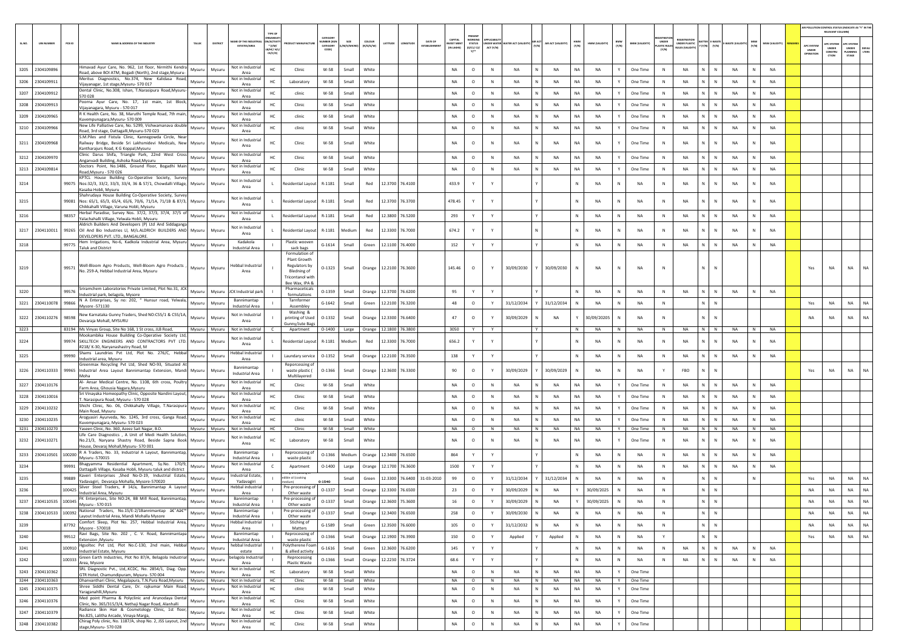|          |                               |                                                                                                                                                                     |                  |                  |                                        |                                                                  |                                                                           |                                                              |                      |                     |                                  |                                        |                                                 |           |                                 |                    |                        |                 |                                |                             |                      |                                        |                        |                |                               | <b>UR POLLUTION CONTROL STATUS (INDICATE AS "Y" IN T</b><br>RELEVANT COLUMN |                                        |           |
|----------|-------------------------------|---------------------------------------------------------------------------------------------------------------------------------------------------------------------|------------------|------------------|----------------------------------------|------------------------------------------------------------------|---------------------------------------------------------------------------|--------------------------------------------------------------|----------------------|---------------------|----------------------------------|----------------------------------------|-------------------------------------------------|-----------|---------------------------------|--------------------|------------------------|-----------------|--------------------------------|-----------------------------|----------------------|----------------------------------------|------------------------|----------------|-------------------------------|-----------------------------------------------------------------------------|----------------------------------------|-----------|
| SL.NO.   | <b>UIN NUMBER</b>             | PCB ID<br>NAME & ADDRESS OF THE INDUSTR'                                                                                                                            | TALUK            | DISTRICT         | ME OF THE INDUS'                       | TYPE OF<br>N/ACTIVI<br>$^{\circ}$ (l/M/<br>LB/HC/ H/L<br>CE/C/OI | <b>OUCT MANUFACTUR</b>                                                    | <b>ATFOOR</b><br><b>IMBER (XGI</b><br><b>ATEGOR</b><br>CODE) | SIZE<br>/S/MI        | COLOUR<br>(R/O/G/W) | DATE OF<br>LATITUDE<br>LONGITUDE | CAPITAL<br><b>WEST MEN</b><br>IN LAKHS | <b>WORKIN</b><br><b>STATUS</b><br>0/01/02<br>n" | ACT (Y/N) | NDER WATER WATER ACT (VALIDITY) | AIR ACT (VALIDITY) | HWM<br>(Y/N)           | HWM (VALIDITY)  | BMW<br>(Y/N)<br>BMW (VALIDITY) | UNDER<br>STIC RULI<br>(Y/N) | <b>UNDER PLASTIC</b> | <b>ATTER E-WAST</b><br>$(Y/N)$ $(Y/N)$ | -WASTE (VALI)<br>(Y/N) | MSW (VALIDITY) | APC SYSTE<br>UNDER<br>PERATIO | <b>C SYSTEM</b><br>UNDER<br>CONSTRU<br>ction                                | PC SYSTE<br>UNDER<br>PLANNING<br>STAGE | LTERS     |
|          | 3205 2304109896               | limavad Ayur Care, No. 962, 1st floor, Nirmithi Kendra                                                                                                              | Mysuru           | Mysuru           | Not in Industria<br>Area               | HC                                                               | Clinic                                                                    | W-58                                                         | Small                | White               |                                  | NA                                     | $\circ$                                         | N         | <b>NA</b>                       | NA<br>N            | <b>NA</b>              | <b>NA</b>       | Y<br>One Time                  | N                           | NA                   | N<br>$\,$ N                            | <b>NA</b><br>N         | <b>NA</b>      |                               |                                                                             |                                        |           |
| 3206     | 2304109911                    | Road, above BOI ATM, Bogadi (North), 2nd stage, Mysuru-<br>Meritus Diagnostics, No.374, New Kalidasa Road,                                                          | Mysuru           | Mysuru           | Not in Industrial                      | HC                                                               | Laboratory                                                                | W-58                                                         | Small                | White               |                                  | NA                                     | $\circ$                                         | N         | NA                              | NA                 | NA                     | <b>NA</b>       | One Time                       | N                           | NA                   | N.<br>${\sf N}$                        | NA                     | NA             |                               |                                                                             |                                        |           |
| 3207     | 2304109912                    | /ijayanagar, 1st stage, Mysuru- 570 017<br>Dental Clinic, No.308, Ishan, T.Narasipura Road, Mysuru-<br>570 028                                                      | Mysuru           | Mysuru           | Area<br>Not in Industria<br>Area       | HC                                                               | clinic                                                                    | W-58                                                         | Small                | White               |                                  | <b>NA</b>                              | $\circ$                                         | N         | <b>NA</b>                       | N<br><b>NA</b>     | <b>NA</b>              | <b>NA</b>       | Y<br>One Time                  | N                           | <b>NA</b>            | N<br>N                                 | <b>NA</b><br>N         | NA             |                               |                                                                             |                                        |           |
| 3208     | 2304109913                    | Poorna Ayur Care, No. 17, 1st main, 1st Block,                                                                                                                      | Mysuru           | Mysuru           | Not in Industrial                      | HC                                                               | Clinic                                                                    | W-58                                                         | Small                | White               |                                  | <b>NA</b>                              | $\circ$                                         | N         | NA                              | <b>NA</b><br>N     | NA                     | <b>NA</b>       | One Time<br>Y                  | N                           | <b>NA</b>            | N<br>N                                 | <b>NA</b><br>N         | <b>NA</b>      |                               |                                                                             |                                        |           |
| 3209     | 2304109965                    | Vijayanagara, Mysuru - 570 017<br>R K Health Care, No. 38, Maruthi Temple Road, 7th main,<br>Kuvempunagara, Mysuru-570 009                                          | Mysuru           | Mysuru           | Area<br>Not in Industria               | HC                                                               | clinic                                                                    | W-58                                                         | Small                | White               |                                  | <b>NA</b>                              | $\circ$                                         | N         | NA                              | N<br>NA            | <b>NA</b>              | NA              | Y<br>One Time                  | $\mathbb N$                 | <b>NA</b>            | N<br>${\sf N}$                         | NA<br>N                | <b>NA</b>      |                               |                                                                             |                                        |           |
|          | 3210 2304109966               | New Life Palliative Care, No. 5299, Vishwamanava double                                                                                                             | Mysuru           | Mysuru           | Area<br>Not in Industri                | HC                                                               | clinic                                                                    | W-58                                                         | Small                | White               |                                  | NA                                     | $\circ$                                         | N         | NA                              | N<br>NA            | NA                     | NA              | Y<br>One Time                  | N                           | <b>NA</b>            | N<br>N                                 | NA<br>N                | NA             |                               |                                                                             |                                        |           |
|          | 3211 2304109968               | Road, 3rd stage, Dattagalli, Mysuru-570 023<br>S.M.Piles and Fistula Clinic, Kannegowda Circle, Near<br>Railway Bridge, Beside Sri Lakhsmidevi Medicals, New Mysuru |                  | Mysuru           | Area<br>Not in Industria               |                                                                  | Clinic                                                                    | W-58                                                         | Small                | White               |                                  | NA                                     | $\circ$                                         | N         | NA                              | NA                 | NA                     | <b>NA</b>       | One Time                       | N                           | NA                   | N.<br>${\sf N}$                        | NA                     | NA             |                               |                                                                             |                                        |           |
|          |                               | Kantharajurs Road, K G Koppal, Mysuru<br>Clinic Darus Shifa, Triangle Park, 22nd West Cross                                                                         |                  |                  | Area<br>Not in Industria               |                                                                  |                                                                           |                                                              |                      |                     |                                  | <b>NA</b>                              |                                                 |           |                                 |                    |                        |                 |                                |                             |                      |                                        |                        | <b>NA</b>      |                               |                                                                             |                                        |           |
| 3213     | 3212 2304109970<br>2304109814 | Anganvadi Building, Ashoka Road, Mysuru<br>Doctors Point, No.1486, Ground Floor, Bogadhi Main                                                                       | Mysuru<br>Mysuru | Mysuru<br>Mysuru | Area<br>Not in Industrial              | HC<br>HC                                                         | Clinic<br>Clinic                                                          | W-58<br>W-58                                                 | Small<br>Small       | White<br>White      |                                  | NA                                     | $\circ$<br>$\circ$                              | N<br>N    | <b>NA</b><br>NA                 | N<br>NA<br>NA      | <b>NA</b><br><b>NA</b> | <b>NA</b><br>NA | Y<br>One Time<br>One Time      | N<br>$\mathbb N$            | NA<br>NA             | N<br>N<br>N.<br>${\sf N}$              | NA<br>N<br>NA          | NA             |                               |                                                                             |                                        |           |
|          |                               | Road, Mysuru - 570 026<br>KPTCL House Building Co-Operative Society, Survey                                                                                         |                  |                  | Area<br>Not in Industrial              |                                                                  |                                                                           |                                                              |                      |                     |                                  |                                        |                                                 |           |                                 |                    |                        |                 |                                |                             |                      |                                        |                        |                |                               |                                                                             |                                        |           |
| 3214     |                               | 99075 Nos:32/3, 33/2, 33/3, 33/4, 36 & 57/1, Chowdalli Village, Mysuru<br>Kasaba Hobli, Mysuru<br>Shahrudaya House Building Co-Operative Society, Survey            |                  | Mysuru           | Area                                   |                                                                  | Residential Layout                                                        | R-1181                                                       | Small                | Red                 | 12.3700 76.4100                  | 433.9                                  | Y                                               |           |                                 |                    | N                      | <b>NA</b>       | NA                             | $\,$ N                      | NA                   | N<br>$\mathbb N$                       | NA<br>N                | <b>NA</b>      |                               |                                                                             |                                        |           |
| 3215     |                               | 99081 Nos: 65/1, 65/3, 65/4, 65/6, 70/6, 71/1A, 71/1B & 87/3, Mysuru<br>Chikkahalli Village, Varuna Hobli, Mysuru                                                   |                  | Mysuru           | Not in Industrial<br>Area              |                                                                  | Residential Layout                                                        | R-1181                                                       | Small                | Red                 | 12.3700 76.3700                  | 478.45                                 | Y                                               |           |                                 |                    | N                      | <b>NA</b>       | NA<br>N                        | $\,$ N                      | NA                   | N<br>$\mathbb N$                       | NA                     | NA             |                               |                                                                             |                                        |           |
| 3216     |                               | Herbal Paradise, Survey Nos. 37/2, 37/3, 37/4, 37/5 of<br>98357<br>Yalachahalli Village, Yelwala Hobli, Mysuru                                                      | Mysuru           | Mysuru           | Not in Industria<br>Area               | L.                                                               | <b>Residential Layout</b>                                                 | R-1181                                                       | Small                | Red                 | 12.3800 76.5200                  | 293                                    | Y                                               | Y         |                                 |                    | N                      | NA              | N<br>NA                        | N                           | NA                   | N  <br>$\,$ N                          | NA<br>N                | <b>NA</b>      |                               |                                                                             |                                        |           |
| 3217     | 2304110011                    | Aldrich Builders And Developers (P) Ltd And Siddaganga<br>99265 Oil And Bio Industries LI, M/s.ALDRICH BUILDERS AND Mysuru<br>DEVELOPERS PVT, LTD., BANGALORE.      |                  | Mysuru           | Not in Industria<br>Area               |                                                                  | Residential Layout                                                        | R-1181                                                       | Medium               | Red                 | 12.3300 76.7000                  | 674.2                                  |                                                 |           |                                 |                    | N                      | <b>NA</b>       | NA                             | ${\sf N}$                   | NA                   | N<br>${\sf N}$                         | NA                     | <b>NA</b>      |                               |                                                                             |                                        |           |
| $3218\,$ |                               | Hem Irrigations, No-6, Kadkola Industrial Area, Mysuru<br>99775<br><b>Taluk and District</b>                                                                        | Mysuru           | Mysuru           | Kadakola<br><b>Industrial Area</b>     |                                                                  | Plastic woover<br>sack bags                                               | $G-1614$                                                     | Small                | Green               | 12.1100 76.4000                  | 152                                    | Y                                               | Y         |                                 |                    | N                      | NA              | N<br>NA                        | N                           | <b>NA</b>            | N<br>N                                 | NA<br>N                | NA             |                               |                                                                             |                                        |           |
|          |                               |                                                                                                                                                                     |                  |                  |                                        |                                                                  | Formulation of<br>Plant Growth                                            |                                                              |                      |                     |                                  |                                        |                                                 |           |                                 |                    |                        |                 |                                |                             |                      |                                        |                        |                |                               |                                                                             |                                        |           |
| 3219     |                               | Well-Bloom Agro Products, Well-Bloom Agro Products<br>99571<br>No. 259-A, Hebbal Industrial Area, Mysuru                                                            | Mysuru           | Mysuru           | <b>Hebbal Industrial</b><br>Area       |                                                                  | Regulators by<br><b>Bledning of</b><br>Fricontanol with<br>Bee Wax, IPA & | $O-1323$                                                     | Small                |                     | Orange 12.2100 76.3600           | 145.46                                 | $\circ$                                         |           | 30/09/2030                      | 30/09/2030         | N                      | <b>NA</b>       | NA                             | $\mathbb{N}$                |                      | N<br>N                                 |                        |                | Yes                           | <b>NA</b>                                                                   | <b>NA</b>                              | NA        |
| 3220     |                               | Sriramchem Laboratories Private Limited, Plot No.31, JCK<br>99576                                                                                                   | Mysuru           | Mysuru           | JCK Industrial park                    |                                                                  | Pharmaceticals<br>formulations                                            | $0 - 1359$                                                   | Small                | Orange              | 12.3700 76.6200                  | 95                                     |                                                 |           |                                 |                    |                        | NA              | N<br>NA                        | N                           | NA                   | N<br>N                                 | NA                     | <b>NA</b>      |                               |                                                                             |                                        |           |
|          | 3221 2304110078               | Industrial park, belagola, Mysore<br>N A Enterprises, Sy no: 202, " Hunsur road, Yelwala,<br>99866<br>Mysore -571130                                                | Mysuru           | Mysuru           | Bannimantap<br><b>Industrial Area</b>  |                                                                  | Tarnformer<br>Assembley                                                   | $G-1642$                                                     | Small                | Green               | 12.2100 76.3200                  | 48                                     | $\circ$                                         | Y         | 31/12/2034                      | 31/12/2034         | N                      | <b>NA</b>       | NA<br>N                        | N                           |                      | $N$ $N$                                |                        |                | Yes                           | NA                                                                          | <b>NA</b>                              | NA        |
|          | 3222 2304110276               | New Karnataka Gunny Traders, Shed NO:C55/1 & C55/1A,<br>98598<br>Devaraja Mohall, MYSURU                                                                            | Mysuru           | Mysuru           | Not in Industria<br>Area               |                                                                  | Washing &<br>printing of Used                                             | $0 - 1332$                                                   | Small                | Orange              | 12.3300 76.6400                  | 47                                     | $\circ$                                         |           | 30/09/2029                      | NA                 |                        | 30/09/20205     | NA                             | N                           |                      | N<br>$\mathbb{N}$                      |                        |                | NA                            | NA                                                                          | NA                                     | NA        |
| 3223     |                               | 83194 Ms Vinyas Group, Site No 168, 1 St cross, JLB Road,                                                                                                           |                  | Mysuru Mysuru    | Not in Industrial                      |                                                                  | Gunny/Jute Bags<br>Apartment                                              | $O-1400$                                                     |                      | Large Orange        | 12.1800 76.3800                  | 3050                                   |                                                 |           |                                 |                    | N                      | NA              | N<br>NA                        | N                           | NA                   | N N                                    | NA<br>N                | <b>NA</b>      |                               |                                                                             |                                        |           |
| 3224     |                               | Mookambika House Building Co-Operative Society Ltd,<br>99974 SKILLTECH ENGINEERS AND CONTRACTORS PVT LTD.<br>#218/K-30, Naryanashastry Road, M                      | Mysuru           | Mysuru           | Not in Industrial<br>Area              |                                                                  | Residential Layout                                                        | R-1181                                                       | Mediun               | Red                 | 12.3300 76.7000                  | 656.2                                  |                                                 |           |                                 |                    |                        | <b>NA</b>       | NA                             | N                           | <b>NA</b>            | N                                      | <b>NA</b>              | <b>NA</b>      |                               |                                                                             |                                        |           |
| 3225     |                               | Shams Laundries Pvt Ltd, Plot No. 276/C, Hebbal<br>99990<br>Industrial area, Mysuru                                                                                 | Mysuru           | Mysuru           | <b>Hebbal Industrial</b><br>Area       |                                                                  | Laundary service                                                          | $0 - 1352$                                                   | Small                | Orange              | 12,2100 76,3500                  | 138                                    | Y                                               | Y         |                                 | Y                  | N                      | <b>NA</b>       | N<br>NA                        | $\,$ N                      | NA                   | N<br>$\,$ N                            | <b>NA</b><br>N         | <b>NA</b>      |                               |                                                                             |                                        |           |
|          | 3226 2304110333               | Greenmax Recycling Pvt Ltd, Shed NO-93, Situated At<br>99965 Industrial Area Layout Bannimantap Extension, Mandi Mysuru<br>Moha                                     |                  | Mysuru           | Bannimantap<br>Industrial Area         |                                                                  | Reporcessing of<br>waste plastic (<br>Multilayered                        | $O-1366$                                                     | Small                | Orange              | 12.3600 76.3300                  | 90                                     | $\circ$                                         |           | 30/09/2029                      | 30/09/2029         |                        | <b>NA</b>       | <b>NA</b>                      | Y                           | FBO                  | N.<br>$\overline{N}$                   |                        |                | Yes                           | NA                                                                          | <b>NA</b>                              | <b>NA</b> |
|          | 3227 2304110176               | Al- Ansar Medical Centre, No. 1108, 6th cross, Poultry<br>Farm Area, Ghousia Nagara, Mysuru                                                                         | Mysuru           | Mysuru           | Not in Industrial<br>Area              | HC                                                               | Clinic                                                                    | W-58                                                         | Small                | White               |                                  | <b>NA</b>                              | $\circ$                                         | N         | NA                              | N<br>NA            | <b>NA</b>              | <b>NA</b>       | Y<br>One Time                  | N                           | NA                   | N<br>$\mathbb N$                       | <b>NA</b><br>N         | <b>NA</b>      |                               |                                                                             |                                        |           |
| 3228     | 2304110016                    | Sri Vinayaka Homeopathy Clinic, Opposite Nandini Layout,<br>T. Narasipura Road, Mysuru - 570 028                                                                    | Mysuru           | Mysuru           | Not in Industrial<br>Area              | HC                                                               | Clinic                                                                    | W-58                                                         | Small                | White               |                                  | <b>NA</b>                              | $\circ$                                         | N         | <b>NA</b>                       | <b>NA</b><br>N     | NA                     | <b>NA</b>       | One Time<br>Y                  | N                           | <b>NA</b>            | N.<br>$\mathbb{N}$                     | <b>NA</b><br>N         | <b>NA</b>      |                               |                                                                             |                                        |           |
| 3229     | 2304110232                    | Shichi Clinic, No. 06, Chikkahally Village, T.Narasipura<br>Main Road, Mysuru                                                                                       | Mysuru           | Mysuru           | Not in Industria<br>Area               | HC                                                               | Clinic                                                                    | W-58                                                         | Small                | White               |                                  | <b>NA</b>                              | $\circ$                                         | N         | NA                              | N<br>NA            | <b>NA</b>              | NA              | Y<br>One Time                  | $\mathbb{N}$                | <b>NA</b>            | N<br>N                                 | NA                     | NA             |                               |                                                                             |                                        |           |
|          | 3230 2304110235               | Arogyasiri Ayurveda, No. 1245, 3rd cross, Ganga Road,<br>Kuvempunagara, Mysuru- 570 023                                                                             | Mysuru           | Mysuru           | Not in Industria<br>Area               | HC                                                               | clinic                                                                    | W-58                                                         | Small                | White               |                                  | NA                                     | $\circ$                                         | N         | NA                              | N<br>NA            | NA                     | NA              | One Time<br>Y                  | N                           | NA                   | N<br>${\sf N}$                         | <b>NA</b><br>N         | <b>NA</b>      |                               |                                                                             |                                        |           |
|          | 3231 2304110270               | Yaseen Clinic, No. 360, Azeez Sait Nagar, B.D.<br>Life Care Diagnostics, A Unit of Medi Health Solutior                                                             | Mysuru           | Mysuru           | Not in Industrial<br>Not in Industrial | HC.                                                              | Clinic                                                                    | W-58                                                         | Small                | White               |                                  | NA                                     | $\circ$                                         | N         | NA                              | N<br>NA            | <b>NA</b>              | NA              | One Time<br>Y                  | N                           | NA                   | N<br>$\mathbb N$                       | NA<br>N                | NA             |                               |                                                                             |                                        |           |
|          | 3232 2304110271               | No.21/3, Naryana Shastry Road, Beside Sapna Book Mysuru<br>House, Devaraj Mohall, Mysuru- 570 001                                                                   |                  | Mysuru           | Area                                   | HC                                                               | Laboratory                                                                | W-58                                                         | Small                | White               |                                  | <b>NA</b>                              | $\circ$                                         | N         | ΝA                              | <b>NA</b><br>N     | NA                     | <b>NA</b>       | One Time<br>Y                  | N                           | NA                   | N<br>$\mathbb N$                       | <b>NA</b>              | <b>NA</b>      |                               |                                                                             |                                        |           |
|          |                               | 3233 2304110501 100200 R A Traders, No. 33, Industrial A Layout, Bannimantap,<br>Mysuru -570015                                                                     | Mysuru           | Mysuru           | Bannimantap<br>Industrial Area         |                                                                  | Reprocessing of<br>waste plastic                                          | $O-1366$                                                     | Medium               | Orange              | 12.3400 76.6500                  | 864                                    | Y                                               | Y         |                                 |                    | N                      | NA              | <b>NA</b><br>N                 | N                           | <b>NA</b>            | N<br>$\mathbb N$                       | <b>NA</b><br>N         | <b>NA</b>      |                               |                                                                             |                                        |           |
| 3234     |                               | Bhagyamma Residential Apartment, Sy.No. 170/9,<br>99991<br>Dattagalli Village, Kasaba Hobli, Mysuru taluk and district                                              | Mysuru           | Mysuru           | Not in Industrial<br>Area              |                                                                  | Apartment<br>ie and packing o                                             | $O-1400$                                                     | Large                | Orange              | 12.1700 76.3600                  | 1500                                   |                                                 |           |                                 |                    |                        | NA              | N<br>NA                        | N                           | <b>NA</b>            | N<br>${\sf N}$                         | NA                     | <b>NA</b>      |                               |                                                                             |                                        |           |
| 3235     |                               | Kaveri Enterprises ,Shed No-D-19, Industrial Estate,<br>99889<br>Yadavagiri, Devaraja Mohalla, Mysore-570020                                                        | Mysuru           | Mysuru           | ndustrial Estate<br>Yadavagiri         |                                                                  | ible oil (cooking<br>ium)                                                 | 0.1540                                                       | Small                | Green               | 12.3300 76.6400 31-03-2010       | 99                                     | $\circ$                                         | Y         | 31/12/2034                      | 31/12/2034         | N                      | <b>NA</b>       | NA<br>N                        | $\,$ N                      |                      | $N$ $N$                                | N                      |                | Yes                           | NA                                                                          | NA                                     | <b>NA</b> |
| 3236     |                               | Silver Steel Traders, # 14/a, Bannimantap A Layout<br>100425<br>Industrial Area, Mysuru                                                                             | Mysuru           | Mysuru           | lebbal industria<br>Area               |                                                                  | Pre-processing o<br>Other waste                                           | 0-1337                                                       | Small                | Orange              | 12.3300 76.6500                  | 23                                     | $\circ$                                         |           | 30/09/2029                      | NA                 |                        | 30/09/2025      | NA<br>N                        | N                           |                      | N<br>$\,$ N                            |                        |                | NA                            | NA                                                                          | NA                                     | <b>NA</b> |
|          | 3237 2304110535 100345        | FK Enterprises, Site NO:24, BB Mill Road, Bannimantap,<br>Mysuru - 570 015                                                                                          | Mysuru           | Mysuru           | Bannimantap<br>ndustrial Area          |                                                                  | Pre-processing o<br>Other waste                                           | 0-1337                                                       | Small                | Orange              | 12.3600 75.3600                  | 16                                     | $\circ$                                         | Y         | 30/09/2029                      | <b>NA</b>          |                        | 30/09/2025      | N<br><b>NA</b>                 | $\mathbb{N}$                |                      | N<br>$\,$ N                            |                        |                | <b>NA</b>                     | NA                                                                          | <b>NA</b>                              | NA        |
| 3238     | 2304110533 100392             | National Traders, No.15/E-2/1Bannimantap å€"Aå€"<br>Layout Industrial Area, Mandi Mohalla Mysore                                                                    | Mysuru           | Mysuru           | Bannimantap<br>Industrial Area         |                                                                  | Pre-processing of<br>Other waste                                          | $0 - 1337$                                                   | Small                |                     | Orange 12.3400 76.6500           | 258                                    | $\circ$                                         | Y         | 30/09/2030                      | <b>NA</b><br>N     | N                      | NA              | <b>NA</b><br>N                 | N                           |                      | $N$ $N$                                |                        |                | <b>NA</b>                     | NA                                                                          | <b>NA</b>                              | NA        |
| 3239     |                               | Comfort Sleep, Plot No. 257, Hebbal Industrial Area,<br>87792<br>Mysore - 570018                                                                                    | Mysuru           | Mysuru           | Hebbal Industrial<br>Area              |                                                                  | Stiching of<br>Matters                                                    | $G-1589$                                                     | Small                | Green               | 12.3500 76.6000                  | 105                                    | $\circ$                                         |           | 31/12/2032                      | NA                 | N                      | NA              | N<br>NA                        | ${\sf N}$                   |                      | $\mathsf{N}=\mathsf{N}$ .              |                        |                | NA                            | NA                                                                          | <b>NA</b>                              | <b>NA</b> |
| 3240     |                               | Ravi Bags, Site No. 202 , C. V. Road, Bannimantapa<br>99512<br>Extension , Mysuru                                                                                   | Mysuru           | Mysuru           | Bannimantap<br>Industrial Area         |                                                                  | Reprocessing of<br>waste plastic                                          | $O-1366$                                                     | Small                |                     | Orange 12.1900 76.3900           | 150                                    | $\circ$                                         | Y         | Applied                         | Applied            | N                      | NA              | N<br>NA                        | Y                           |                      | $N$ $N$                                |                        |                | Yes                           | NA                                                                          | <b>NA</b>                              | NA        |
| 3241     |                               | Hgsoltec Pvt Ltd, Plot No.C-130, 2nd main, Hebbal<br>100910<br>Industrial Estate, Mysuru                                                                            | Mysuru           | Mysuru           | hebbal Industrial<br>estate            |                                                                  | Polytherene Foam<br>& allied activity                                     | $G-1616$                                                     | Small                | Green               | 12.3600 76.6200                  | 145                                    | Y                                               | Y         |                                 |                    | Ν                      | NA              | N<br>NA                        | $\,$ N                      | NA                   | N<br>$\mathbb N$                       | NA<br>$\mathbb N$      | NA             |                               |                                                                             |                                        |           |
| 3242     |                               | 100333 Green Earth Industries, Plot No 87/A, Belagola Industrial<br>Area, Mysore                                                                                    | Mysuru           | Mysuru           | pelagola Industrial<br>Area            |                                                                  | Reprocessing<br>Plastic Waste                                             | $O-1366$                                                     | Small                | Orange              | 12.2230 76.3724                  | 68.6                                   | Y                                               | Y         |                                 | Y.                 | N                      | <b>NA</b>       | N<br>NA                        | $\,$ N                      | NA                   | N<br>${\sf N}$                         | ${\sf N}$<br><b>NA</b> | NA             |                               |                                                                             |                                        |           |
|          | 3243 2304110362               | SRL Diagnostic Pvt., Ltd,.KCDC, No. 2854/1, Diag. Opp.<br>GTR Hotel, Chamundipuram, Mysuru- 570 004                                                                 | Mysuru           | Mysuru           | Not in Industrial<br>Area              | HC                                                               | Laboratory                                                                | W-58                                                         | Small                | White               |                                  | NA                                     | $\circ$                                         | N         | <b>NA</b>                       | <b>NA</b><br>N     | NA                     | NA              | One Time<br>Y                  |                             |                      |                                        |                        |                |                               |                                                                             |                                        |           |
| 3245     | 3244 2304110363<br>2304110375 | Dhanvanthari Clinic, Megalapura, T.N.Pura Road, Mysuru   Mysuru   Mysuru<br>Shree Siddhi Dental Care, Dr. rajkumar Main Road,                                       | Mysuru           | Mysuru           | Not in Industrial<br>Not in Industrial | HC<br>HC                                                         | Clinic<br>clinic                                                          | W-58<br>W-58                                                 | Small White<br>Small | White               |                                  | NA<br>NA                               | $\circ$<br>$\circ$                              | N<br>N    | NA<br>NA                        | N<br>NA<br>N<br>NA | NA<br><b>NA</b>        | NA<br><b>NA</b> | Y<br>One Time<br>One Time<br>Y |                             |                      |                                        |                        |                |                               |                                                                             |                                        |           |
| 3246     | 2304110376                    | Yaraganahlli, Mysuru<br>Med point Pharma & Polyclinic and Arunodaya Dental<br>Clinic, No. 365/315/3/4, Nethaji Nagar Road, Alanhalli                                | Mysuru           | Mysuru           | Area<br>Not in Industrial              | HC                                                               | Clinic                                                                    | W-58                                                         | Small                | White               |                                  | NA                                     | $\circ$                                         | N         | NA                              | N<br><b>NA</b>     | NA                     | NA              | One Time<br>Y                  |                             |                      |                                        |                        |                |                               |                                                                             |                                        |           |
| 3247     | 2304110379                    | Radiance Skin Hair & Cosmetology Clinic, 1st floor,<br>No.825, Lalitha Arcade, Vinaya Marga,                                                                        | Mysuru           | Mysuru           | Area<br>Not in Industrial<br>Area      | HC                                                               | Clinic                                                                    | W-58                                                         | Small                | White               |                                  | NA                                     | $\circ$                                         | N         | NA                              | N.<br>NA           | <b>NA</b>              | NA              | One Time<br>Y                  |                             |                      |                                        |                        |                |                               |                                                                             |                                        |           |
|          | 3248 2304110382               | Chirag Poly clinic, No. 1187/A, shop No. 2, JSS Layout, 2nd<br>stage, Mysuru-570 028                                                                                | Mysuru           | Mysuru           | Not in Industrial<br>Area              | HC                                                               | Clinic                                                                    | W-58                                                         | Small                | White               |                                  | NA                                     | $\circ$                                         | N         | NA                              | N<br>NA            | <b>NA</b>              | NA              | Y<br>One Time                  |                             |                      |                                        |                        |                |                               |                                                                             |                                        |           |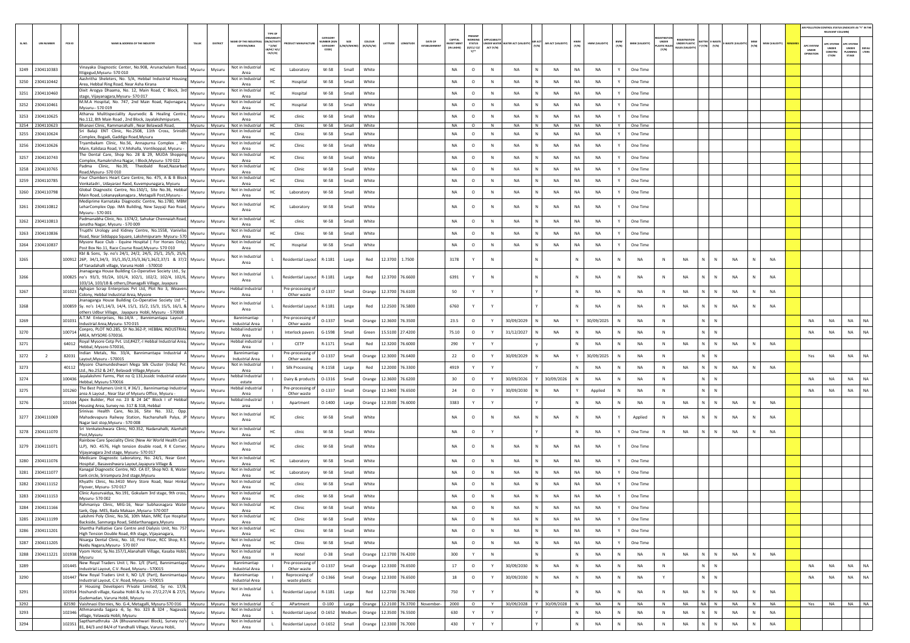|        |                         |        |                                                                                                                                  |               |                                       | TYPE OF                                   |                                 |           |                                        |                 |                                |                  |                                |              |                                        |   |                    |              |                |              |                       |                              |                |                      |                |              |                |                                  | AIR POLLUTION CONTROL STATUS (INDICATE AS "Y" IN THE<br>RELEVANT COLUMN |                       |
|--------|-------------------------|--------|----------------------------------------------------------------------------------------------------------------------------------|---------------|---------------------------------------|-------------------------------------------|---------------------------------|-----------|----------------------------------------|-----------------|--------------------------------|------------------|--------------------------------|--------------|----------------------------------------|---|--------------------|--------------|----------------|--------------|-----------------------|------------------------------|----------------|----------------------|----------------|--------------|----------------|----------------------------------|-------------------------------------------------------------------------|-----------------------|
| SL.NO. | <b>UIN NUMBER</b>       | PCB ID | NAME & ADDRESS OF THE INDUSTRY<br>TALUK                                                                                          | DISTRICT      | AME OF THE INDUS<br>ESTATES/AREA      | VACTIV<br>$*$ (1/M/                       | CATEGOR<br>MBER (XG<br>CATEGORY | M/S/MICRO | coLour<br>LATITUDE<br>(R/O/G/W)        | ONGITUD         | DATE OF<br><b>FSTARI KHMFM</b> | <b>IVEST MEN</b> | PRESENT<br><b>STATUS</b>       |              | UNDER WATER WATER ACT (VALIDITY) (Y/N) |   | AIR ACT (VALIDITY) | HWM<br>(Y/N) | HWM (VALIDITY) | BMW<br>(Y/N) | <b>BMW (VALIDITY)</b> | UNDER<br><b>PLASTIC RULE</b> | UNDER PLASTIC  | <b>ITTER E-WASTE</b> | E-WASTE (VALID | (Y/N)        | MSW (VALIDITY) |                                  | PC SYSTEM<br><b>PC SYSTER</b>                                           |                       |
|        |                         |        |                                                                                                                                  |               |                                       | в/нс/ н/і<br>CE/C/O                       |                                 |           |                                        |                 |                                | (IN LAKHS)       | (0/C1/C2)<br>$Y$ <sup>++</sup> | ACT (Y/N)    |                                        |   |                    |              |                |              |                       |                              | ULES (VALIDITY | $(Y/N)$ $(Y/N)$      |                |              |                | APC SYSTER<br>UNDER<br>OPERATION | UNDER<br>UNDER<br>CONSTRU<br>LANNING<br>crion<br>STAGE                  | <b>DEFAU</b><br>LTERS |
|        |                         |        |                                                                                                                                  |               |                                       |                                           |                                 |           |                                        |                 |                                |                  |                                |              |                                        |   |                    |              |                |              |                       |                              |                |                      |                |              |                |                                  |                                                                         |                       |
|        | 3249 2304110383         |        | Vinayaka Diagnostic Center, No.908, Arunachalam Road,<br>Mysuru<br>ttigegud, Mysuru- 570 010                                     | Mysuru        | Not in Industrial<br>Area             | HC<br>Laboratory                          | W-58                            | Small     | White                                  |                 |                                | NA               | $\circ$                        | N            | <b>NA</b>                              |   | <b>NA</b>          | <b>NA</b>    | <b>NA</b>      | Y            | One Time              |                              |                |                      |                |              |                |                                  |                                                                         |                       |
|        | 3250 2304110442         |        | Aashritha Sheleters, No. 5/A, Hebbal Industrial Housing<br>Mysuru<br>Area, Hebbal Ring Road, Near Asha Kirana                    | Mysuru        | Not in Industria<br>Area              | HC<br>Hospital                            | W-58                            | Small     | White                                  |                 |                                | <b>NA</b>        | $\circ$                        | $\mathbb N$  | NA                                     |   | <b>NA</b>          | <b>NA</b>    | <b>NA</b>      | Y            | One Time              |                              |                |                      |                |              |                |                                  |                                                                         |                       |
|        | 3251 2304110460         |        | Dixit Arogya Dhaama, No. 12, Main Road, C Block, 3rd<br>Mysuru<br>stage, Vijayanagara, Mysuru- 570 017                           | Mysuru        | Not in Industrial<br>Area             | HC<br>Hospital                            | W-58                            | Small     | White                                  |                 |                                | NA               | $\circ$                        | N            | NA                                     |   | NA                 | NA           | NA             | Y            | One Time              |                              |                |                      |                |              |                |                                  |                                                                         |                       |
|        | 3252 2304110461         |        | M.M.A Hospital, No. 747, 2nd Main Road, Rajivnagara,<br>Mysuru<br>Mysuru -- 570 019                                              | Mysuru        | Not in Industria<br>Area              | HC<br>Hospital                            | $W-58$                          | Small     | White                                  |                 |                                | <b>NA</b>        | $\circ$                        | $\mathbb N$  | <b>NA</b>                              |   | <b>NA</b>          | <b>NA</b>    | <b>NA</b>      | Y            | One Time              |                              |                |                      |                |              |                |                                  |                                                                         |                       |
|        | 3253 2304110625         |        | Atharva Mulitispeciality Ayurvedic & Healing Centre,<br>Mysuru                                                                   | Mysuru        | Not in Industria                      | HC<br>clinic                              | W-58                            | Small     | White                                  |                 |                                | <b>NA</b>        | $\circ$                        | N            | NA                                     |   | <b>NA</b>          | <b>NA</b>    | <b>NA</b>      | Y            | One Time              |                              |                |                      |                |              |                |                                  |                                                                         |                       |
|        | 3254 2304110623         |        | No.112, 8th Main Road, 2nd Block, Jayalakshmipuram,<br>Bhanavi Clinic, Rammanahalli, Near Belawadi Road,                         | Mysuru Mysuru | Area<br>Not in Industrial             | HC<br>Clinic                              | W-58                            | Small     | White                                  |                 |                                | <b>NA</b>        | $\circ$                        | N            | NA.                                    | N | NA                 | NA           | NA             | Y            | One Time              |                              |                |                      |                |              |                |                                  |                                                                         |                       |
|        | 3255 2304110624         |        | Sri Balaii ENT Clinic. No.2508. 11th Cross. Srinidh<br>Mysuru<br>Complex, Bogadi, Gaddige Road, Mysuru                           | Mysuru        | Not in Industrial<br>Area             | HC<br>Clinic                              | W-58                            | Small     | White                                  |                 |                                | NA               | $\circ$                        | $\mathbb{N}$ | <b>NA</b>                              |   | <b>NA</b>          | <b>NA</b>    | <b>NA</b>      | Y            | One Time              |                              |                |                      |                |              |                |                                  |                                                                         |                       |
|        | 3256 2304110626         |        | Tryambakam Clinic, No.56, Annapurna Complex, 4th<br>Mysuru<br>Main, Kalidasa Road, V.V.Mohalla, Vontikoppal, Mysuru -            | Mysuru        | Not in Industria<br>Area              | HC<br>Clinic                              | W-58                            | Small     | White                                  |                 |                                | <b>NA</b>        | $\circ$                        | N            | <b>NA</b>                              |   | <b>NA</b>          | <b>NA</b>    | <b>NA</b>      | Y            | One Time              |                              |                |                      |                |              |                |                                  |                                                                         |                       |
|        | 3257 2304110743         |        | The Dental Care, Shop No. 28 & 29, MUDA Shoppin<br>Mysuru<br>Complex, Ramakrishna Nagar, I Block, Mysuru- 570 022                | Mysuru        | Not in Industrial<br>Area             | HC<br>Clinic                              | W-58                            | Small     | White                                  |                 |                                | NA               | $\circ$                        | N            | <b>NA</b>                              |   | <b>NA</b>          | <b>NA</b>    | <b>NA</b>      | Y            | One Time              |                              |                |                      |                |              |                |                                  |                                                                         |                       |
|        | 3258 2304110765         |        | Padma Clinic, No.39, Theobald Road, Nazarbac<br>Mysuru                                                                           | Mysuru        | Not in Industria                      | HC<br>Clinic                              | W-58                            | Small     | White                                  |                 |                                | <b>NA</b>        | $\circ$                        | $\mathbb N$  | NA                                     |   | NA                 | <b>NA</b>    | NA             | Y            | One Time              |                              |                |                      |                |              |                |                                  |                                                                         |                       |
|        | 3259 2304110785         |        | Road, Mysuru-570 010<br>Four Chambers Heart Care Centre, No. 475, A & B Block<br>Mysuru                                          | Mysuru        | Area<br>Not in Industrial             | HC<br>Clinic                              | W-58                            | Small     | White                                  |                 |                                | NA               | $\circ$                        | $\,$ N       | NA                                     |   | NA                 | NA           | NA             | Y            | One Time              |                              |                |                      |                |              |                |                                  |                                                                         |                       |
|        |                         |        | Venkatadri , Udayaravi Raod, Kuvempunagara, Mysuru<br>Global Diagnostic Centre, No.150/1, Site No.36, Hebbal                     |               | Area<br>Not in Industria              | HC                                        |                                 |           |                                        |                 |                                |                  |                                | $\mathbb{N}$ | <b>NA</b>                              |   |                    | <b>NA</b>    | <b>NA</b>      | Y            |                       |                              |                |                      |                |              |                |                                  |                                                                         |                       |
|        | 3260 2304110798         |        | Mysuru<br>Main Road, Lokanayakanagara, Metagalli Post, Mysuru -<br>Mediprime Karnataka Diagnostic Centre, No.1780, MBM           | Mysuru        | Area                                  | Laboratory                                | W-58                            | Small     | White                                  |                 |                                | NA               | $\circ$                        |              |                                        |   | NA                 |              |                |              | One Time              |                              |                |                      |                |              |                |                                  |                                                                         |                       |
|        | 3261 2304110812         |        | LeharComplex Opp. IMA Building, New Sayyaji Rao Road, Mysuru<br>Mysuru - 570 001                                                 | Mysuru        | Not in Industrial<br>Area             | Laboratory                                | W-58                            | Small     | White                                  |                 |                                | NA               | $\circ$                        | $\mathbb N$  | NA                                     |   | <b>NA</b>          | NA           | N <sub>A</sub> | Y            | One Time              |                              |                |                      |                |              |                |                                  |                                                                         |                       |
|        | 3262 2304110813         |        | Padmanabha Clinic, No. 1374/2, Sahukar Chennaiah Road,<br>Mysuru                                                                 | Mysuru        | Not in Industria                      | HC<br>clinic                              | W-58                            | Small     | White                                  |                 |                                | NA               | $\circ$                        | N            | <b>NA</b>                              |   | <b>NA</b>          | NA           | <b>NA</b>      | Y            | One Time              |                              |                |                      |                |              |                |                                  |                                                                         |                       |
|        | 3263 2304110836         |        | lanatha Nagar, Mysuru - 570 009<br>rupthi Urology and Kidney Centre, No.1558, Vanivilas<br>Mysuru                                | Mysuru        | Area<br>Not in Industria              | Clinic<br>HC                              | W-58                            | Small     | White                                  |                 |                                | <b>NA</b>        | $\circ$                        | N            | <b>NA</b>                              |   | <b>NA</b>          | <b>NA</b>    | <b>NA</b>      | Y            | One Time              |                              |                |                      |                |              |                |                                  |                                                                         |                       |
|        | 3264 2304110837         |        | Road, Near Siddappa Square, Lakshmipuram- Mysuru- 570<br>Mysore Race Club - Equine Hospital ( For Horses Only),<br>Mysuru        | Mysuru        | Area<br>Not in Industrial             | HC                                        | W-58                            | Small     | White                                  |                 |                                | <b>NA</b>        | $\circ$                        | N            | <b>NA</b>                              |   | <b>NA</b>          | <b>NA</b>    | <b>NA</b>      | Y            | One Time              |                              |                |                      |                |              |                |                                  |                                                                         |                       |
|        |                         |        | Post Box No.11, Race Course Road, Mysuru- 570 010<br>Kbl & Sons, Sy. no's 24/1, 24/2, 24/5, 25/1, 25/5, 25/6,                    |               | Area                                  | Hospital                                  |                                 |           |                                        |                 |                                |                  |                                |              |                                        |   |                    |              |                |              |                       |                              |                |                      |                |              |                |                                  |                                                                         |                       |
| 3265   |                         |        | 100912 26P, 34/1.34/3, 35/1.35/2.35/3.36/1.36/2.37/1 & 37/2<br>Mysuru<br>of Yanadahalli village, Varuna Hobli - 570010           | Mysuru        | Not in Industria<br>Area              | <b>Residential Layout</b>                 | R-1181                          | Large     | Red                                    | 12.3700 1.7500  |                                | 3178             | Y                              | $\mathbb N$  |                                        |   |                    | N            | NA             | N            | NA                    | $\mathbb N$                  | NA             | N<br>$\mathbb{N}$    | <b>NA</b>      | N            | <b>NA</b>      |                                  |                                                                         |                       |
|        |                         |        | Jnanaganga House Building Co-Operative Society Ltd., Sy.                                                                         |               | Not in Industrial                     |                                           |                                 |           |                                        |                 |                                |                  |                                |              |                                        |   |                    |              |                |              |                       |                              |                |                      |                |              |                |                                  |                                                                         |                       |
| 3266   |                         |        | 100825 no's 93/3, 93/2A, 101/4, 102/1, 102/2, 102/4, 102/6, Mysuru<br>103/1A, 103/1B & others, Dhanagalli Village, Jayapura      | Mysuru        | Area                                  | <b>Residential Layout</b>                 | R-1181                          | Large     | Red                                    | 12.3700 76.6600 |                                | 6391             | Y                              | N            |                                        |   |                    | $\mathbb{N}$ | <b>NA</b>      | N            | NA                    | $\mathbb{N}$                 | NA             | $\mathbb{N}$<br>N    | NA             |              | NA             |                                  |                                                                         |                       |
| 3267   |                         | 101023 | Aghajan Scrap Enterprises Pvt Ltd, Plot No 3, Weavers<br>Mysuru<br>Colony, Hebbal Industrial Area, Mysore                        | Mysuru        | Hebbal Industria<br>Area              | Pre-processing of<br>Other waste          | $O-1337$                        | Small     | Orange                                 | 12.3700 76.6100 |                                | 50               | Y                              | Y            |                                        |   |                    | N            | <b>NA</b>      | N            | NA                    | N                            | <b>NA</b>      | N<br>$\mathbb{N}$    | NA             | $\mathbb N$  | <b>NA</b>      |                                  |                                                                         |                       |
| 3268   |                         |        | Jnanaganga House Building Co-Operative Society Ltd *.<br>100859 Sy. no's 14/1,14/3, 14/4, 15/1, 15/2, 15/3, 15/5, 16/1, & Mysuru | Mysuri        | Not in Industrial                     | <b>Residential Layout</b>                 | R-1181                          | Large     | 12.2500<br>Red                         | 76.5800         |                                | 6760             | Y                              |              |                                        |   |                    | N            | <b>NA</b>      | N            | NA                    | $\mathbb{N}$                 | <b>NA</b>      | $\mathbb{N}$<br>N    | NA             |              | <b>NA</b>      |                                  |                                                                         |                       |
|        |                         |        | thers Udbur Village, Jayapura Hobli, Mysuru - 570008<br>A.T.M Enterprises, No.14/A , Bannimantapa Layout                         |               | Area<br>Bannimantap                   | Pre-processing o                          |                                 |           |                                        |                 |                                |                  |                                |              |                                        |   |                    |              |                |              |                       |                              |                |                      |                |              |                |                                  |                                                                         |                       |
| 3269   |                         | 101031 | Mysuru<br>Industrial Area, Mysuru-570015                                                                                         | Mysuru        | Industrial Area                       | Other waste                               | 0-1337                          | Small     | Orange                                 | 12.3600 76.3500 |                                | 23.5             | $\circ$                        | Y            | 30/09/2029                             |   | <b>NA</b>          |              | 30/09/2025     | N            | <b>NA</b>             | N                            |                | N<br>$\mathbb{N}$    |                |              |                | <b>NA</b>                        | NA<br><b>NA</b>                                                         | NA                    |
| 3270   |                         | 100714 | Conpro, PLOT NO.285, SY No.362-P, HEBBAL INDUSTRIAL<br>Mysuru<br>AREA, MYSORE-570016.                                            | Mysuru        | hebbal industrial<br>Area             | Interlock pavers                          | $G-1598$                        | Small     | Green                                  | 15.5100 27.4200 |                                | 75.10            | $\circ$                        | Y            | 31/12/2027                             |   | <b>NA</b>          |              | <b>NA</b>      | N            | NA                    | N                            |                | N<br>N               |                |              |                | <b>NA</b>                        | NA<br><b>NA</b>                                                         | <b>NA</b>             |
| 3271   |                         | 64012  | Royal Mysore Cetp Pvt. Ltd,#427,-I Hebbal Industrial Area,<br>Mysuru<br>Hebbal, Mysore-570016                                    | Mysuru        | lebbal industria<br>Area              | CETP                                      | R-1171                          | Small     | Red<br>12.3200                         | 76.6000         |                                | 290              | Y                              |              |                                        |   |                    |              | NA             | N            | NA                    | N                            | NA             | N<br>N               | NA             | $\mathbf N$  | NA             |                                  |                                                                         |                       |
| 3272   | $\overline{\mathbf{2}}$ | 82031  | Indian Metals, No. 33/A, Bannimantapa Industrial A<br>Mysuru<br>Layout, Mysuru - 570015                                          | Mysuru        | Bannimantap<br><b>Industrial Area</b> | Pre-processing c<br>Other waste           | $0 - 1337$                      | Small     | 12.3000<br>Orange                      | 76.6400         |                                | 22               | $\circ$                        | Y            | 30/09/2029                             |   | NA                 |              | 30/09/2025     | N            | <b>NA</b>             | N                            |                | N<br>N               |                |              |                | Yes                              | NA<br>NA                                                                | NA                    |
| 3273   |                         | 40112  | Mysore Chamundeshwari Mega Silk Cluster (India) Pvt.<br>Mysuru<br>Ltd., No.252 & 247, Belavadi Village, Mysuru                   | Mysuru        | Not in Industrial<br>Area             | <b>Silk Processing</b>                    | R-1158                          | Large     | Red<br>12.2000                         | 76.3300         |                                | 4919             | Y                              | Y            |                                        |   |                    |              | <b>NA</b>      | N            | <b>NA</b>             | $\,$ N                       | <b>NA</b>      | N                    | NA             |              | <b>NA</b>      |                                  |                                                                         |                       |
| 3274   |                         | 100436 | Jayalakshmi Farms, Plot no Q 131, kssidc Industrial estate<br>Mysuru                                                             | Mysuru        | hebbal Industria                      | Dairy & products                          | $O-1316$                        | Small     | 12,3600<br>Orange                      | 76.6200         |                                | 30               | $\circ$                        | Y            | 30/09/2026                             |   | 30/09/2026         |              | <b>NA</b>      | N            | NA                    | N                            |                | N<br>N               |                |              |                | <b>NA</b>                        | <b>NA</b><br><b>NA</b>                                                  | NA                    |
| 3275   |                         | 101260 | Hebbal, Mysuru 570016<br>The Best Polymers Unit II, #36/1, Bannimantap Industria<br>Mysuru                                       | Mysuru        | estate<br>lebbal industria            | Pre-processing o                          | $0 - 1337$                      | Small     | 12.3400<br>Orange                      | 76.6500         |                                | 24               | $\circ$                        | Y            | 30/09/2030                             |   | NA                 |              | Applied        | N            | <b>NA</b>             | N                            |                | N<br>N               |                |              |                | NA                               | <b>NA</b><br>NA                                                         | <b>NA</b>             |
| 3276   |                         | 101504 | area A Layout, Near Star of Mysuru Office, Mysuru -<br>Apex Builder, Plot no. 23 & 24 å€" Block I of Hebba<br>Mysuru             |               | Area<br>ebbal industrial              | Other waste                               | $O-1400$                        |           | 12.3500                                | 76.6000         |                                | 3383             | Y                              | Y            |                                        |   |                    |              | NA             | N            | <b>NA</b>             | N                            | <b>NA</b>      | N<br>N               | <b>NA</b>      | $\mathbb N$  | NA             |                                  |                                                                         |                       |
|        |                         |        | Housing Area, Survey no. 317 & 318, Hebbal<br>Srinivas Health Care, No.16, Site No. 332, Opp.                                    | Mysuru        | area                                  | Apartment                                 |                                 | Large     | Orange                                 |                 |                                |                  |                                |              |                                        |   |                    |              |                |              |                       |                              |                |                      |                |              |                |                                  |                                                                         |                       |
|        | 3277 2304111069         |        | Mahadevapura Railway Station, Nachanahalli Palya, JP Mysuru<br>Nagar last stop, Mysuru - 570 008                                 | Mysuru        | Not in Industrial<br>Area             | HC<br>clinic                              | W-58                            | Small     | White                                  |                 |                                | <b>NA</b>        | $\circ$                        | N            | <b>NA</b>                              |   | NA                 | N            | <b>NA</b>      | Y            | Applied               | $\mathbb N$                  | <b>NA</b>      | N<br>N               | <b>NA</b>      | $\mathbf N$  | <b>NA</b>      |                                  |                                                                         |                       |
|        | 3278 2304111070         |        | iri Venkateshwara Clinic, NO.352, Nadanahalli, Alanhalli<br>Mysuru                                                               | Mysuru        | Not in Industria                      | HC<br>clinic                              | W-58                            | Small     | White                                  |                 |                                | NA               | $\circ$                        | Y            |                                        |   |                    | N            | NA             | Y            | One Time              | N                            | NA             | N<br>$\mathbb N$     | NA             | $\mathbf N$  | NA             |                                  |                                                                         |                       |
|        |                         |        | Post, Mysuru<br>Rainbow Care Speciality Clinic (New Air World Health Care                                                        |               | Area<br>Not in Industrial             |                                           |                                 |           |                                        |                 |                                |                  |                                |              |                                        |   |                    |              |                |              |                       |                              |                |                      |                |              |                |                                  |                                                                         |                       |
|        | 3279 2304111071         |        | LLP), NO. 4576, High tension double road, R K Corner, Mysuru<br>Vijayanagara 2nd stage, Mysuru- 570 017                          | Mysuru        | Area                                  | HC<br>clinic                              | W-58                            | Small     | White                                  |                 |                                | NA               | $\circ$                        | $\mathbb N$  | <b>NA</b>                              |   | NA                 | NA           | NA             |              | One Time              |                              |                |                      |                |              |                |                                  |                                                                         |                       |
|        | 3280 2304111076         |        | Medicare Diagnostic Laboratory, No. 24/1, Near Govt.<br>Mysuru<br>Hospital, Basaveshwara Layout, Jayapura Village &              | Mysuru        | Not in Industria<br>Area              | HC<br>Laboratory                          | W-58                            | Small     | White                                  |                 |                                | NA               | $\circ$                        | $\mathbb N$  | NA                                     |   | NA                 | NA           | NA             | Y            | One Time              |                              |                |                      |                |              |                |                                  |                                                                         |                       |
|        | 3281 2304111077         |        | Kanagal Diagnostic Centre, NO. CA 07, Shop NO. 8, Water<br>Mysuru<br>tank circle, Srirampura 2nd stage, Mysuru                   | Mysuru        | Not in Industria<br>Area              | HC<br>Laboratory                          | W-58                            | Small     | White                                  |                 |                                | NA               | $\circ$                        | N            | NA                                     |   | NA                 | NA           | NA             | Y            | One Time              |                              |                |                      |                |              |                |                                  |                                                                         |                       |
|        | 3282 2304111152         |        | Khyathi Clinic, No.3410 Mery Store Road, Near Hinkal<br>Mysuru<br>Flyover, Mysuru- 570 017                                       | Mysuru        | Not in Industria<br>Area              | HC<br>clinic                              | W-58                            | Small     | White                                  |                 |                                | <b>NA</b>        | $\circ$                        | N            | <b>NA</b>                              |   | NA                 | <b>NA</b>    | <b>NA</b>      | Y            | One Time              |                              |                |                      |                |              |                |                                  |                                                                         |                       |
|        | 3283 2304111153         |        | Clinic Ayourvaidya, No.191, Gokulam 3rd stage, 9th cross,<br>Mysuru                                                              | Mysuru        | Not in Industria                      | HC<br>clinic                              | W-58                            | Small     | White                                  |                 |                                | <b>NA</b>        | $\circ$                        | $\mathbb{N}$ | NA                                     |   | <b>NA</b>          | <b>NA</b>    | <b>NA</b>      | Y            | One Time              |                              |                |                      |                |              |                |                                  |                                                                         |                       |
|        | 3284 2304111166         |        | Mysuru- 570 002<br>Rahmaniya Clinic, MIG-16, Near Subhasnagara Water<br>Mysuru                                                   | Mysuri        | Area<br>Not in Industrial             | Clinic                                    | W-58                            | Small     | White                                  |                 |                                | NA               | $\circ$                        | N            | NA                                     |   | <b>NA</b>          |              | <b>NA</b>      | Y            | One Time              |                              |                |                      |                |              |                |                                  |                                                                         |                       |
|        |                         |        | tank, Opp. MES, Bada Makaan , Mysuru- 570 007<br>Lakshmi Poly Clinic, No.56, 10th Main, MRC Eye Hospital                         |               | Area<br>Not in Industrial             | Clinic                                    |                                 |           | White                                  |                 |                                |                  |                                |              |                                        |   |                    | <b>NA</b>    |                | Y            |                       |                              |                |                      |                |              |                |                                  |                                                                         |                       |
|        | 3285 2304111199         |        | Mysuru<br>Backside, Sanmarga Road, Siddarthanagara, Mysuru<br>Shantha Palliative Care Centre and Dialysis Unit, No. 757          | Mysuru        | Area<br>Not in Industrial             | HC                                        | W-58                            | Small     |                                        |                 |                                | NA               | $\circ$                        | N            | NA                                     |   | NA                 |              | NA             |              | One Time              |                              |                |                      |                |              |                |                                  |                                                                         |                       |
|        | 3286 2304111201         |        | Mysuru<br>High Tension Double Road, 4th stage, Vijayanagara,<br>Nisarga Dental Clinic, No. 10, First Floor, RCC Shop, R.S.       | Mysuru        | Area<br>Not in Industrial             | HC<br>Clinic                              | W-58                            | Small     | White                                  |                 |                                | NA               | $\circ$                        | N            | NA                                     |   | NA                 | <b>NA</b>    | NA             | Y            | One Time              |                              |                |                      |                |              |                |                                  |                                                                         |                       |
|        | 3287 2304111205         |        | Mysuru<br>Naidu Nagara, Mysuru- 570 007                                                                                          | Mysuru        | Area                                  | HC<br>Clinic                              | W-58                            | Small     | White                                  |                 |                                | NA               | $\circ$                        | N            | NA                                     |   | NA                 | NA           | NA             | Y            | One Time              |                              |                |                      |                |              |                |                                  |                                                                         |                       |
|        | 3288 2304111221 101938  |        | Vyom Hotel, Sy.No.157/1,Alanahalli Village, Kasaba Hobli,<br>Mysuru<br>Mysuru                                                    | Mysuru        | Not in Industrial<br>Area             | Hotel                                     | $O-38$                          | Small     | Orange 12.1700 76.4200                 |                 |                                | 300              | Y                              | N            |                                        |   |                    | N            | <b>NA</b>      | ${\sf N}$    | NA                    | N                            | NA             | N<br>N               | NA             | $\mathbb{N}$ | NA             |                                  |                                                                         |                       |
| 3289   |                         |        | New Royal Traders Unit I, No. 1/E (Part), Bannimantapa<br>101445   Mew Noya Museum C.V. Road, Mysuru - 570015<br>Mysuru          | Mysuru        | Bannimantap<br><b>Industrial Area</b> | Pre-processing of<br>Other waste          | $0 - 1337$                      | Small     | Orange                                 | 12.3300 76.6500 |                                | 17               | $\circ$                        | Y            | 30/09/2030                             |   | NA                 | N            | <b>NA</b>      | N            | <b>NA</b>             | N                            |                | N<br>N               |                |              |                | <b>NA</b>                        | <b>NA</b><br><b>NA</b>                                                  | NA                    |
| 3290   |                         | 101447 | New Royal Traders Unit II, NO 1/E (Part), Bannimantapa<br>Mysuru<br>Industrial Layout, C.V. Road, Mysuru - 570015                | Mysuru        | Bannimantap<br><b>Industrial Area</b> | Reprocesing of<br>waste plastic           | $O-1366$                        | Small     | 12.3300<br>Orange                      | 76.6500         |                                | 18               | $\circ$                        | Y            | 30/09/2030                             |   | NA                 | $\mathbb N$  | NA             | $\,$ N       | NA                    | Y                            |                | N<br>N               |                |              |                | NA                               | NA<br>NA                                                                | NA                    |
| 3291   |                         |        | Jr Housing Developers Private Limited, Sy no. 17/8,<br>101914 Hoshundi village, Kasaba Hobli & Sy no. 27/2,27/4 & 27/5, Mysuru   | Mysuru        | Not in Industrial                     | Residential Layout                        | R-1181                          | Large     | Red                                    | 12.2700 76.7400 |                                | 750              | Y                              | Y            |                                        |   |                    | $\,$ N       | NA             | ${\sf N}$    | NA                    | ${\sf N}$                    | NA             | N<br>$\mathbb N$     | <b>NA</b>      | N            | NA             |                                  |                                                                         |                       |
| 3292   |                         |        | Gudemadan, Varuna Hobli, Mysuru<br>82590 Vaishnaoi Eternies, No. G-4, Metagalli, Mysuru-570 016 Mysuru   Mysuru                  |               | Area<br>Not in Industrial             | APartment                                 | $O-100$                         |           | Large Orange 12.2100 76.3700 November- |                 |                                | 2000             | $\circ$                        |              | 30/09/2028 Y                           |   | 30/09/2028 N       |              | NA             | N            | NA                    | N                            | NA             | NA N                 | <b>NA</b>      | N            | NA             |                                  | Yes NA                                                                  | NA NA                 |
| 3293   |                         | 102346 | Athmananda Sagara -6, Sy. No. 323 & 324, Nagavala<br>Mysuru                                                                      | Mysuru        | Not in Industrial                     | Residential Layout 0-1652<br>$\mathbf{L}$ |                                 | Medium    | Orange                                 | 12.3500 76.5500 |                                | 630              | Y                              | Y            |                                        |   |                    | N            | <b>NA</b>      | N            | NA                    | N                            | <b>NA</b>      | $\mathsf{N}^-$<br>N  | <b>NA</b>      | N            | <b>NA</b>      |                                  |                                                                         |                       |
| 3294   |                         |        | village, Yelawala Hobli, Mysuru<br>Sapthamathruka -2A (Bhuvaneshwari Block), Survey no's<br>Mysuru                               | Mysuru        | Area<br>Not in Industrial             | Residential Layout 0-1652<br>L.           |                                 | Small     | Orange                                 | 12.3300 76.7000 |                                | 430              | Y                              | Y            |                                        |   |                    | $\mathbb N$  | NA             | ${\sf N}$    | NA                    | ${\sf N}$                    | NA             | N<br>N               | $_{\sf NA}$    | $\mathbb N$  | <b>NA</b>      |                                  |                                                                         |                       |
|        |                         |        | 102351 3aptuania un al Est (politicianismo)<br>81, 84/3 and 84/4 of Yandhalli Village, Varuna Hobli,                             |               | Area                                  |                                           |                                 |           |                                        |                 |                                |                  |                                |              |                                        |   |                    |              |                |              |                       |                              |                |                      |                |              |                |                                  |                                                                         |                       |